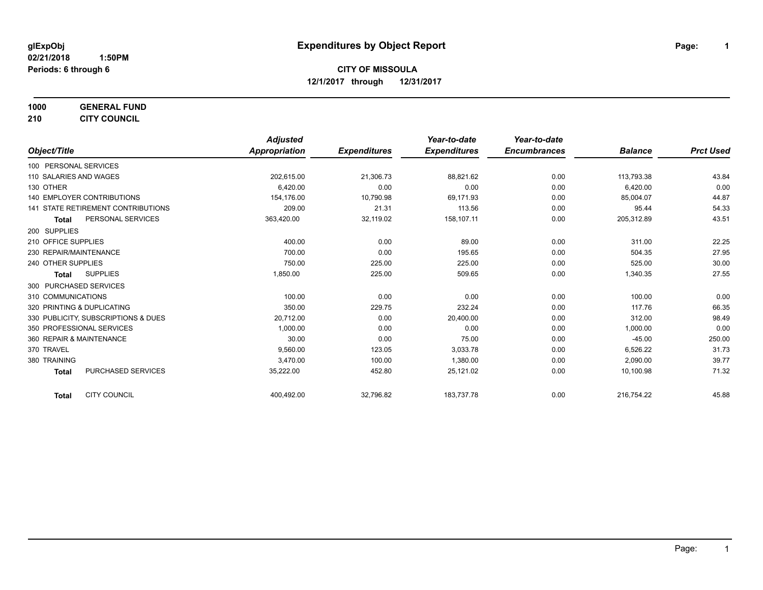**1000 GENERAL FUND 210 CITY COUNCIL**

|                                           | <b>Adjusted</b>      |                     | Year-to-date        | Year-to-date        |                |                  |
|-------------------------------------------|----------------------|---------------------|---------------------|---------------------|----------------|------------------|
| Object/Title                              | <b>Appropriation</b> | <b>Expenditures</b> | <b>Expenditures</b> | <b>Encumbrances</b> | <b>Balance</b> | <b>Prct Used</b> |
| 100 PERSONAL SERVICES                     |                      |                     |                     |                     |                |                  |
| 110 SALARIES AND WAGES                    | 202,615.00           | 21,306.73           | 88,821.62           | 0.00                | 113,793.38     | 43.84            |
| 130 OTHER                                 | 6,420.00             | 0.00                | 0.00                | 0.00                | 6,420.00       | 0.00             |
| <b>140 EMPLOYER CONTRIBUTIONS</b>         | 154,176.00           | 10,790.98           | 69,171.93           | 0.00                | 85,004.07      | 44.87            |
| <b>141 STATE RETIREMENT CONTRIBUTIONS</b> | 209.00               | 21.31               | 113.56              | 0.00                | 95.44          | 54.33            |
| PERSONAL SERVICES<br><b>Total</b>         | 363,420.00           | 32,119.02           | 158,107.11          | 0.00                | 205,312.89     | 43.51            |
| 200 SUPPLIES                              |                      |                     |                     |                     |                |                  |
| 210 OFFICE SUPPLIES                       | 400.00               | 0.00                | 89.00               | 0.00                | 311.00         | 22.25            |
| 230 REPAIR/MAINTENANCE                    | 700.00               | 0.00                | 195.65              | 0.00                | 504.35         | 27.95            |
| 240 OTHER SUPPLIES                        | 750.00               | 225.00              | 225.00              | 0.00                | 525.00         | 30.00            |
| <b>SUPPLIES</b><br><b>Total</b>           | 1,850.00             | 225.00              | 509.65              | 0.00                | 1,340.35       | 27.55            |
| 300 PURCHASED SERVICES                    |                      |                     |                     |                     |                |                  |
| 310 COMMUNICATIONS                        | 100.00               | 0.00                | 0.00                | 0.00                | 100.00         | 0.00             |
| 320 PRINTING & DUPLICATING                | 350.00               | 229.75              | 232.24              | 0.00                | 117.76         | 66.35            |
| 330 PUBLICITY, SUBSCRIPTIONS & DUES       | 20,712.00            | 0.00                | 20,400.00           | 0.00                | 312.00         | 98.49            |
| 350 PROFESSIONAL SERVICES                 | 1,000.00             | 0.00                | 0.00                | 0.00                | 1,000.00       | 0.00             |
| 360 REPAIR & MAINTENANCE                  | 30.00                | 0.00                | 75.00               | 0.00                | $-45.00$       | 250.00           |
| 370 TRAVEL                                | 9,560.00             | 123.05              | 3,033.78            | 0.00                | 6,526.22       | 31.73            |
| 380 TRAINING                              | 3,470.00             | 100.00              | 1,380.00            | 0.00                | 2,090.00       | 39.77            |
| <b>PURCHASED SERVICES</b><br><b>Total</b> | 35,222.00            | 452.80              | 25,121.02           | 0.00                | 10,100.98      | 71.32            |
| <b>CITY COUNCIL</b><br><b>Total</b>       | 400,492.00           | 32,796.82           | 183,737.78          | 0.00                | 216,754.22     | 45.88            |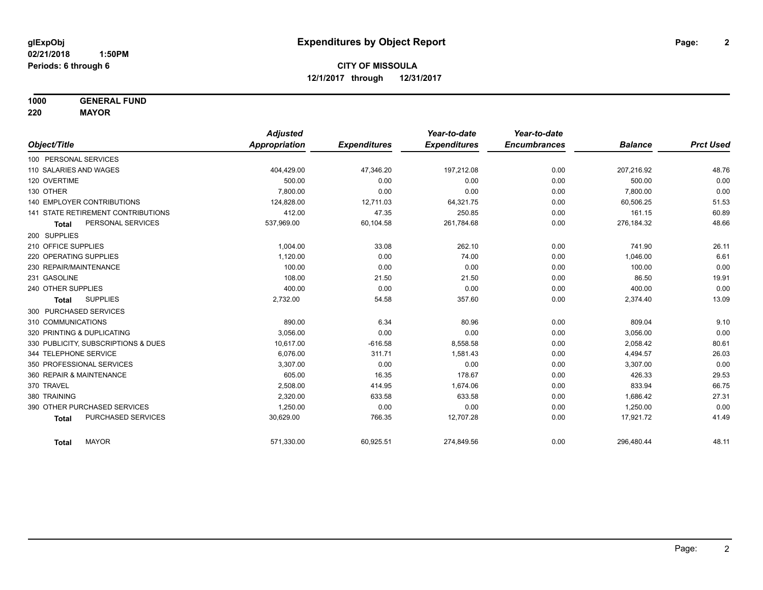**1000 GENERAL FUND**

**220 MAYOR**

|                                     | <b>Adjusted</b> |                     | Year-to-date        | Year-to-date        |                |                  |
|-------------------------------------|-----------------|---------------------|---------------------|---------------------|----------------|------------------|
| Object/Title                        | Appropriation   | <b>Expenditures</b> | <b>Expenditures</b> | <b>Encumbrances</b> | <b>Balance</b> | <b>Prct Used</b> |
| 100 PERSONAL SERVICES               |                 |                     |                     |                     |                |                  |
| 110 SALARIES AND WAGES              | 404,429.00      | 47,346.20           | 197,212.08          | 0.00                | 207,216.92     | 48.76            |
| 120 OVERTIME                        | 500.00          | 0.00                | 0.00                | 0.00                | 500.00         | 0.00             |
| 130 OTHER                           | 7.800.00        | 0.00                | 0.00                | 0.00                | 7,800.00       | 0.00             |
| <b>140 EMPLOYER CONTRIBUTIONS</b>   | 124,828.00      | 12,711.03           | 64,321.75           | 0.00                | 60,506.25      | 51.53            |
| 141 STATE RETIREMENT CONTRIBUTIONS  | 412.00          | 47.35               | 250.85              | 0.00                | 161.15         | 60.89            |
| PERSONAL SERVICES<br><b>Total</b>   | 537,969.00      | 60,104.58           | 261,784.68          | 0.00                | 276,184.32     | 48.66            |
| 200 SUPPLIES                        |                 |                     |                     |                     |                |                  |
| 210 OFFICE SUPPLIES                 | 1,004.00        | 33.08               | 262.10              | 0.00                | 741.90         | 26.11            |
| 220 OPERATING SUPPLIES              | 1,120.00        | 0.00                | 74.00               | 0.00                | 1,046.00       | 6.61             |
| 230 REPAIR/MAINTENANCE              | 100.00          | 0.00                | 0.00                | 0.00                | 100.00         | 0.00             |
| 231 GASOLINE                        | 108.00          | 21.50               | 21.50               | 0.00                | 86.50          | 19.91            |
| 240 OTHER SUPPLIES                  | 400.00          | 0.00                | 0.00                | 0.00                | 400.00         | 0.00             |
| <b>SUPPLIES</b><br><b>Total</b>     | 2,732.00        | 54.58               | 357.60              | 0.00                | 2,374.40       | 13.09            |
| 300 PURCHASED SERVICES              |                 |                     |                     |                     |                |                  |
| 310 COMMUNICATIONS                  | 890.00          | 6.34                | 80.96               | 0.00                | 809.04         | 9.10             |
| 320 PRINTING & DUPLICATING          | 3.056.00        | 0.00                | 0.00                | 0.00                | 3,056.00       | 0.00             |
| 330 PUBLICITY, SUBSCRIPTIONS & DUES | 10,617.00       | $-616.58$           | 8,558.58            | 0.00                | 2,058.42       | 80.61            |
| 344 TELEPHONE SERVICE               | 6.076.00        | 311.71              | 1,581.43            | 0.00                | 4,494.57       | 26.03            |
| 350 PROFESSIONAL SERVICES           | 3,307.00        | 0.00                | 0.00                | 0.00                | 3,307.00       | 0.00             |
| 360 REPAIR & MAINTENANCE            | 605.00          | 16.35               | 178.67              | 0.00                | 426.33         | 29.53            |
| 370 TRAVEL                          | 2,508.00        | 414.95              | 1,674.06            | 0.00                | 833.94         | 66.75            |
| 380 TRAINING                        | 2,320.00        | 633.58              | 633.58              | 0.00                | 1,686.42       | 27.31            |
| 390 OTHER PURCHASED SERVICES        | 1,250.00        | 0.00                | 0.00                | 0.00                | 1,250.00       | 0.00             |
| PURCHASED SERVICES<br><b>Total</b>  | 30,629.00       | 766.35              | 12,707.28           | 0.00                | 17,921.72      | 41.49            |
| <b>MAYOR</b><br><b>Total</b>        | 571,330.00      | 60,925.51           | 274,849.56          | 0.00                | 296,480.44     | 48.11            |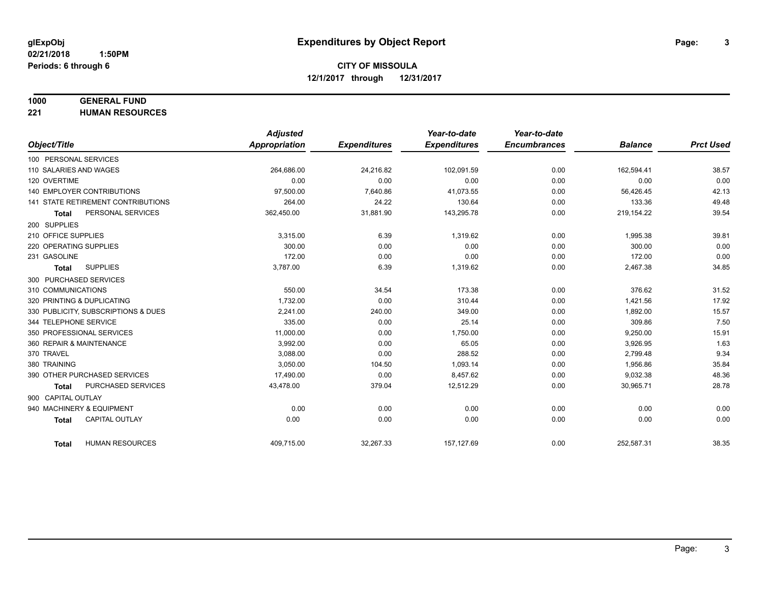## **1000 GENERAL FUND**

**221 HUMAN RESOURCES**

|                                           | <b>Adjusted</b> |                     | Year-to-date        | Year-to-date        |                |                  |
|-------------------------------------------|-----------------|---------------------|---------------------|---------------------|----------------|------------------|
| Object/Title                              | Appropriation   | <b>Expenditures</b> | <b>Expenditures</b> | <b>Encumbrances</b> | <b>Balance</b> | <b>Prct Used</b> |
| 100 PERSONAL SERVICES                     |                 |                     |                     |                     |                |                  |
| 110 SALARIES AND WAGES                    | 264,686.00      | 24,216.82           | 102,091.59          | 0.00                | 162,594.41     | 38.57            |
| 120 OVERTIME                              | 0.00            | 0.00                | 0.00                | 0.00                | 0.00           | 0.00             |
| <b>140 EMPLOYER CONTRIBUTIONS</b>         | 97,500.00       | 7,640.86            | 41,073.55           | 0.00                | 56,426.45      | 42.13            |
| <b>141 STATE RETIREMENT CONTRIBUTIONS</b> | 264.00          | 24.22               | 130.64              | 0.00                | 133.36         | 49.48            |
| PERSONAL SERVICES<br><b>Total</b>         | 362,450.00      | 31,881.90           | 143,295.78          | 0.00                | 219,154.22     | 39.54            |
| 200 SUPPLIES                              |                 |                     |                     |                     |                |                  |
| 210 OFFICE SUPPLIES                       | 3,315.00        | 6.39                | 1,319.62            | 0.00                | 1,995.38       | 39.81            |
| 220 OPERATING SUPPLIES                    | 300.00          | 0.00                | 0.00                | 0.00                | 300.00         | 0.00             |
| 231 GASOLINE                              | 172.00          | 0.00                | 0.00                | 0.00                | 172.00         | 0.00             |
| <b>SUPPLIES</b><br><b>Total</b>           | 3,787.00        | 6.39                | 1,319.62            | 0.00                | 2,467.38       | 34.85            |
| 300 PURCHASED SERVICES                    |                 |                     |                     |                     |                |                  |
| 310 COMMUNICATIONS                        | 550.00          | 34.54               | 173.38              | 0.00                | 376.62         | 31.52            |
| 320 PRINTING & DUPLICATING                | 1,732.00        | 0.00                | 310.44              | 0.00                | 1,421.56       | 17.92            |
| 330 PUBLICITY, SUBSCRIPTIONS & DUES       | 2,241.00        | 240.00              | 349.00              | 0.00                | 1,892.00       | 15.57            |
| 344 TELEPHONE SERVICE                     | 335.00          | 0.00                | 25.14               | 0.00                | 309.86         | 7.50             |
| 350 PROFESSIONAL SERVICES                 | 11,000.00       | 0.00                | 1,750.00            | 0.00                | 9,250.00       | 15.91            |
| 360 REPAIR & MAINTENANCE                  | 3,992.00        | 0.00                | 65.05               | 0.00                | 3,926.95       | 1.63             |
| 370 TRAVEL                                | 3,088.00        | 0.00                | 288.52              | 0.00                | 2,799.48       | 9.34             |
| 380 TRAINING                              | 3,050.00        | 104.50              | 1,093.14            | 0.00                | 1,956.86       | 35.84            |
| 390 OTHER PURCHASED SERVICES              | 17,490.00       | 0.00                | 8.457.62            | 0.00                | 9,032.38       | 48.36            |
| PURCHASED SERVICES<br>Total               | 43,478.00       | 379.04              | 12,512.29           | 0.00                | 30,965.71      | 28.78            |
| 900 CAPITAL OUTLAY                        |                 |                     |                     |                     |                |                  |
| 940 MACHINERY & EQUIPMENT                 | 0.00            | 0.00                | 0.00                | 0.00                | 0.00           | 0.00             |
| <b>CAPITAL OUTLAY</b><br><b>Total</b>     | 0.00            | 0.00                | 0.00                | 0.00                | 0.00           | 0.00             |
| <b>HUMAN RESOURCES</b><br>Total           | 409,715.00      | 32,267.33           | 157,127.69          | 0.00                | 252,587.31     | 38.35            |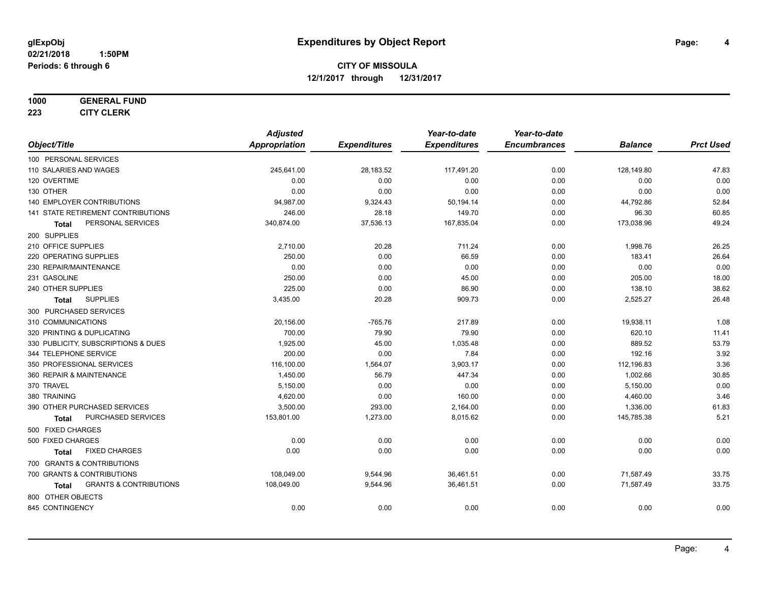## **1000 GENERAL FUND**

**223 CITY CLERK**

|                                            | <b>Adjusted</b> |                     | Year-to-date        | Year-to-date        |                |                  |
|--------------------------------------------|-----------------|---------------------|---------------------|---------------------|----------------|------------------|
| Object/Title                               | Appropriation   | <b>Expenditures</b> | <b>Expenditures</b> | <b>Encumbrances</b> | <b>Balance</b> | <b>Prct Used</b> |
| 100 PERSONAL SERVICES                      |                 |                     |                     |                     |                |                  |
| 110 SALARIES AND WAGES                     | 245,641.00      | 28,183.52           | 117,491.20          | 0.00                | 128,149.80     | 47.83            |
| 120 OVERTIME                               | 0.00            | 0.00                | 0.00                | 0.00                | 0.00           | 0.00             |
| 130 OTHER                                  | 0.00            | 0.00                | 0.00                | 0.00                | 0.00           | 0.00             |
| 140 EMPLOYER CONTRIBUTIONS                 | 94,987.00       | 9,324.43            | 50,194.14           | 0.00                | 44,792.86      | 52.84            |
| 141 STATE RETIREMENT CONTRIBUTIONS         | 246.00          | 28.18               | 149.70              | 0.00                | 96.30          | 60.85            |
| PERSONAL SERVICES<br>Total                 | 340,874.00      | 37,536.13           | 167,835.04          | 0.00                | 173,038.96     | 49.24            |
| 200 SUPPLIES                               |                 |                     |                     |                     |                |                  |
| 210 OFFICE SUPPLIES                        | 2,710.00        | 20.28               | 711.24              | 0.00                | 1,998.76       | 26.25            |
| 220 OPERATING SUPPLIES                     | 250.00          | 0.00                | 66.59               | 0.00                | 183.41         | 26.64            |
| 230 REPAIR/MAINTENANCE                     | 0.00            | 0.00                | 0.00                | 0.00                | 0.00           | 0.00             |
| 231 GASOLINE                               | 250.00          | 0.00                | 45.00               | 0.00                | 205.00         | 18.00            |
| 240 OTHER SUPPLIES                         | 225.00          | 0.00                | 86.90               | 0.00                | 138.10         | 38.62            |
| <b>SUPPLIES</b><br>Total                   | 3,435.00        | 20.28               | 909.73              | 0.00                | 2,525.27       | 26.48            |
| 300 PURCHASED SERVICES                     |                 |                     |                     |                     |                |                  |
| 310 COMMUNICATIONS                         | 20,156.00       | $-765.76$           | 217.89              | 0.00                | 19,938.11      | 1.08             |
| 320 PRINTING & DUPLICATING                 | 700.00          | 79.90               | 79.90               | 0.00                | 620.10         | 11.41            |
| 330 PUBLICITY, SUBSCRIPTIONS & DUES        | 1,925.00        | 45.00               | 1,035.48            | 0.00                | 889.52         | 53.79            |
| 344 TELEPHONE SERVICE                      | 200.00          | 0.00                | 7.84                | 0.00                | 192.16         | 3.92             |
| 350 PROFESSIONAL SERVICES                  | 116,100.00      | 1,564.07            | 3,903.17            | 0.00                | 112,196.83     | 3.36             |
| 360 REPAIR & MAINTENANCE                   | 1,450.00        | 56.79               | 447.34              | 0.00                | 1,002.66       | 30.85            |
| 370 TRAVEL                                 | 5,150.00        | 0.00                | 0.00                | 0.00                | 5,150.00       | 0.00             |
| 380 TRAINING                               | 4,620.00        | 0.00                | 160.00              | 0.00                | 4,460.00       | 3.46             |
| 390 OTHER PURCHASED SERVICES               | 3,500.00        | 293.00              | 2,164.00            | 0.00                | 1,336.00       | 61.83            |
| PURCHASED SERVICES<br>Total                | 153,801.00      | 1,273.00            | 8,015.62            | 0.00                | 145,785.38     | 5.21             |
| 500 FIXED CHARGES                          |                 |                     |                     |                     |                |                  |
| 500 FIXED CHARGES                          | 0.00            | 0.00                | 0.00                | 0.00                | 0.00           | 0.00             |
| <b>FIXED CHARGES</b><br>Total              | 0.00            | 0.00                | 0.00                | 0.00                | 0.00           | 0.00             |
| 700 GRANTS & CONTRIBUTIONS                 |                 |                     |                     |                     |                |                  |
| 700 GRANTS & CONTRIBUTIONS                 | 108,049.00      | 9,544.96            | 36,461.51           | 0.00                | 71,587.49      | 33.75            |
| <b>GRANTS &amp; CONTRIBUTIONS</b><br>Total | 108,049.00      | 9,544.96            | 36,461.51           | 0.00                | 71,587.49      | 33.75            |
| 800 OTHER OBJECTS                          |                 |                     |                     |                     |                |                  |
| 845 CONTINGENCY                            | 0.00            | 0.00                | 0.00                | 0.00                | 0.00           | 0.00             |
|                                            |                 |                     |                     |                     |                |                  |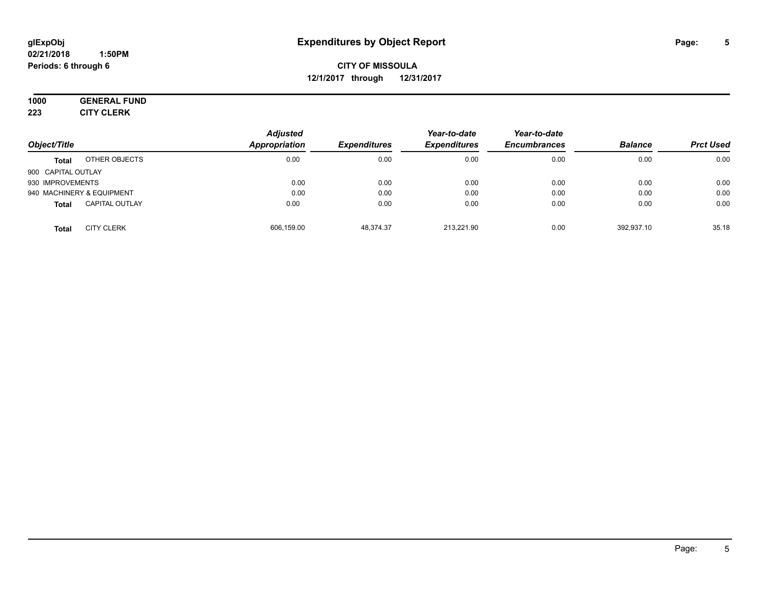#### **02/21/2018 1:50PM Periods: 6 through 6**

## **CITY OF MISSOULA 12/1/2017 through 12/31/2017**

# **1000 GENERAL FUND**

**223 CITY CLERK**

|                    |                           | <b>Adjusted</b>     |                     | Year-to-date        | Year-to-date   |                  |       |
|--------------------|---------------------------|---------------------|---------------------|---------------------|----------------|------------------|-------|
| Object/Title       | Appropriation             | <b>Expenditures</b> | <b>Expenditures</b> | <b>Encumbrances</b> | <b>Balance</b> | <b>Prct Used</b> |       |
| <b>Total</b>       | OTHER OBJECTS             | 0.00                | 0.00                | 0.00                | 0.00           | 0.00             | 0.00  |
| 900 CAPITAL OUTLAY |                           |                     |                     |                     |                |                  |       |
| 930 IMPROVEMENTS   |                           | 0.00                | 0.00                | 0.00                | 0.00           | 0.00             | 0.00  |
|                    | 940 MACHINERY & EQUIPMENT | 0.00                | 0.00                | 0.00                | 0.00           | 0.00             | 0.00  |
| <b>Total</b>       | <b>CAPITAL OUTLAY</b>     | 0.00                | 0.00                | 0.00                | 0.00           | 0.00             | 0.00  |
| <b>Total</b>       | <b>CITY CLERK</b>         | 606,159.00          | 48,374.37           | 213.221.90          | 0.00           | 392.937.10       | 35.18 |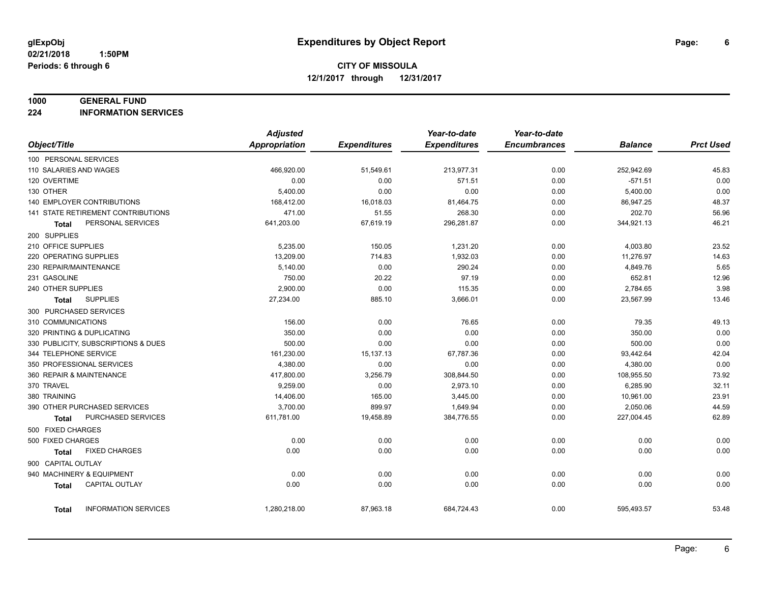#### **1000 GENERAL FUND**

**224 INFORMATION SERVICES**

|                                             | <b>Adjusted</b>      |                     | Year-to-date        | Year-to-date        |                |                  |
|---------------------------------------------|----------------------|---------------------|---------------------|---------------------|----------------|------------------|
| Object/Title                                | <b>Appropriation</b> | <b>Expenditures</b> | <b>Expenditures</b> | <b>Encumbrances</b> | <b>Balance</b> | <b>Prct Used</b> |
| 100 PERSONAL SERVICES                       |                      |                     |                     |                     |                |                  |
| 110 SALARIES AND WAGES                      | 466,920.00           | 51,549.61           | 213,977.31          | 0.00                | 252,942.69     | 45.83            |
| 120 OVERTIME                                | 0.00                 | 0.00                | 571.51              | 0.00                | $-571.51$      | 0.00             |
| 130 OTHER                                   | 5,400.00             | 0.00                | 0.00                | 0.00                | 5,400.00       | 0.00             |
| 140 EMPLOYER CONTRIBUTIONS                  | 168,412.00           | 16,018.03           | 81,464.75           | 0.00                | 86,947.25      | 48.37            |
| 141 STATE RETIREMENT CONTRIBUTIONS          | 471.00               | 51.55               | 268.30              | 0.00                | 202.70         | 56.96            |
| PERSONAL SERVICES<br>Total                  | 641,203.00           | 67,619.19           | 296,281.87          | 0.00                | 344,921.13     | 46.21            |
| 200 SUPPLIES                                |                      |                     |                     |                     |                |                  |
| 210 OFFICE SUPPLIES                         | 5,235.00             | 150.05              | 1,231.20            | 0.00                | 4,003.80       | 23.52            |
| 220 OPERATING SUPPLIES                      | 13,209.00            | 714.83              | 1,932.03            | 0.00                | 11,276.97      | 14.63            |
| 230 REPAIR/MAINTENANCE                      | 5,140.00             | 0.00                | 290.24              | 0.00                | 4,849.76       | 5.65             |
| 231 GASOLINE                                | 750.00               | 20.22               | 97.19               | 0.00                | 652.81         | 12.96            |
| 240 OTHER SUPPLIES                          | 2,900.00             | 0.00                | 115.35              | 0.00                | 2,784.65       | 3.98             |
| <b>SUPPLIES</b><br>Total                    | 27,234.00            | 885.10              | 3,666.01            | 0.00                | 23,567.99      | 13.46            |
| 300 PURCHASED SERVICES                      |                      |                     |                     |                     |                |                  |
| 310 COMMUNICATIONS                          | 156.00               | 0.00                | 76.65               | 0.00                | 79.35          | 49.13            |
| 320 PRINTING & DUPLICATING                  | 350.00               | 0.00                | 0.00                | 0.00                | 350.00         | 0.00             |
| 330 PUBLICITY, SUBSCRIPTIONS & DUES         | 500.00               | 0.00                | 0.00                | 0.00                | 500.00         | 0.00             |
| 344 TELEPHONE SERVICE                       | 161,230.00           | 15,137.13           | 67,787.36           | 0.00                | 93,442.64      | 42.04            |
| 350 PROFESSIONAL SERVICES                   | 4,380.00             | 0.00                | 0.00                | 0.00                | 4,380.00       | 0.00             |
| 360 REPAIR & MAINTENANCE                    | 417,800.00           | 3,256.79            | 308,844.50          | 0.00                | 108,955.50     | 73.92            |
| 370 TRAVEL                                  | 9,259.00             | 0.00                | 2,973.10            | 0.00                | 6,285.90       | 32.11            |
| 380 TRAINING                                | 14,406.00            | 165.00              | 3,445.00            | 0.00                | 10,961.00      | 23.91            |
| 390 OTHER PURCHASED SERVICES                | 3,700.00             | 899.97              | 1,649.94            | 0.00                | 2,050.06       | 44.59            |
| PURCHASED SERVICES<br>Total                 | 611,781.00           | 19,458.89           | 384,776.55          | 0.00                | 227,004.45     | 62.89            |
| 500 FIXED CHARGES                           |                      |                     |                     |                     |                |                  |
| 500 FIXED CHARGES                           | 0.00                 | 0.00                | 0.00                | 0.00                | 0.00           | 0.00             |
| <b>FIXED CHARGES</b><br><b>Total</b>        | 0.00                 | 0.00                | 0.00                | 0.00                | 0.00           | 0.00             |
| 900 CAPITAL OUTLAY                          |                      |                     |                     |                     |                |                  |
| 940 MACHINERY & EQUIPMENT                   | 0.00                 | 0.00                | 0.00                | 0.00                | 0.00           | 0.00             |
| CAPITAL OUTLAY<br><b>Total</b>              | 0.00                 | 0.00                | 0.00                | 0.00                | 0.00           | 0.00             |
|                                             |                      |                     |                     |                     |                |                  |
| <b>INFORMATION SERVICES</b><br><b>Total</b> | 1,280,218.00         | 87,963.18           | 684,724.43          | 0.00                | 595,493.57     | 53.48            |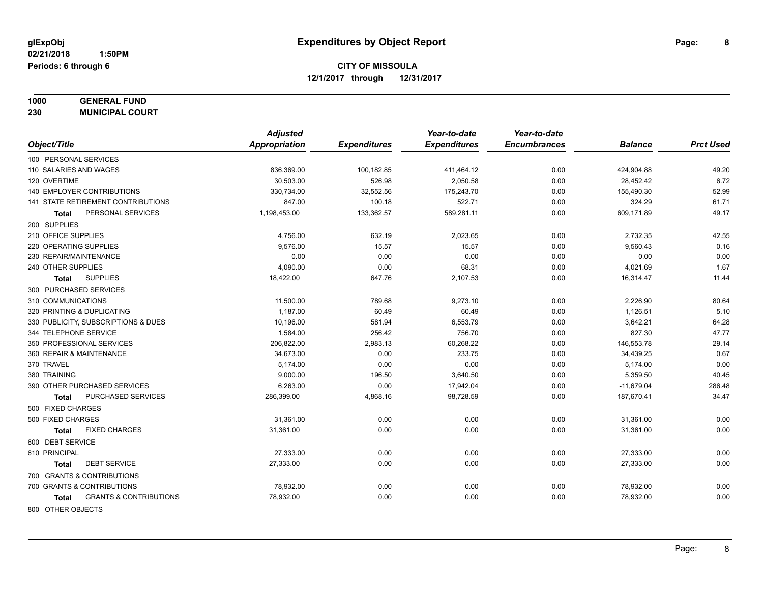# **1000 GENERAL FUND**

**230 MUNICIPAL COURT**

|                                            | <b>Adjusted</b> |                     | Year-to-date        | Year-to-date        |                |                  |
|--------------------------------------------|-----------------|---------------------|---------------------|---------------------|----------------|------------------|
| Object/Title                               | Appropriation   | <b>Expenditures</b> | <b>Expenditures</b> | <b>Encumbrances</b> | <b>Balance</b> | <b>Prct Used</b> |
| 100 PERSONAL SERVICES                      |                 |                     |                     |                     |                |                  |
| 110 SALARIES AND WAGES                     | 836,369.00      | 100,182.85          | 411,464.12          | 0.00                | 424,904.88     | 49.20            |
| 120 OVERTIME                               | 30,503.00       | 526.98              | 2,050.58            | 0.00                | 28,452.42      | 6.72             |
| 140 EMPLOYER CONTRIBUTIONS                 | 330,734.00      | 32,552.56           | 175,243.70          | 0.00                | 155,490.30     | 52.99            |
| <b>141 STATE RETIREMENT CONTRIBUTIONS</b>  | 847.00          | 100.18              | 522.71              | 0.00                | 324.29         | 61.71            |
| PERSONAL SERVICES<br>Total                 | 1,198,453.00    | 133,362.57          | 589,281.11          | 0.00                | 609,171.89     | 49.17            |
| 200 SUPPLIES                               |                 |                     |                     |                     |                |                  |
| 210 OFFICE SUPPLIES                        | 4,756.00        | 632.19              | 2,023.65            | 0.00                | 2,732.35       | 42.55            |
| 220 OPERATING SUPPLIES                     | 9,576.00        | 15.57               | 15.57               | 0.00                | 9,560.43       | 0.16             |
| 230 REPAIR/MAINTENANCE                     | 0.00            | 0.00                | 0.00                | 0.00                | 0.00           | 0.00             |
| 240 OTHER SUPPLIES                         | 4,090.00        | 0.00                | 68.31               | 0.00                | 4,021.69       | 1.67             |
| <b>SUPPLIES</b><br><b>Total</b>            | 18,422.00       | 647.76              | 2,107.53            | 0.00                | 16,314.47      | 11.44            |
| 300 PURCHASED SERVICES                     |                 |                     |                     |                     |                |                  |
| 310 COMMUNICATIONS                         | 11,500.00       | 789.68              | 9,273.10            | 0.00                | 2,226.90       | 80.64            |
| 320 PRINTING & DUPLICATING                 | 1,187.00        | 60.49               | 60.49               | 0.00                | 1,126.51       | 5.10             |
| 330 PUBLICITY, SUBSCRIPTIONS & DUES        | 10,196.00       | 581.94              | 6,553.79            | 0.00                | 3,642.21       | 64.28            |
| 344 TELEPHONE SERVICE                      | 1,584.00        | 256.42              | 756.70              | 0.00                | 827.30         | 47.77            |
| 350 PROFESSIONAL SERVICES                  | 206,822.00      | 2,983.13            | 60,268.22           | 0.00                | 146,553.78     | 29.14            |
| 360 REPAIR & MAINTENANCE                   | 34,673.00       | 0.00                | 233.75              | 0.00                | 34,439.25      | 0.67             |
| 370 TRAVEL                                 | 5,174.00        | 0.00                | 0.00                | 0.00                | 5,174.00       | 0.00             |
| 380 TRAINING                               | 9,000.00        | 196.50              | 3,640.50            | 0.00                | 5,359.50       | 40.45            |
| 390 OTHER PURCHASED SERVICES               | 6,263.00        | 0.00                | 17,942.04           | 0.00                | $-11,679.04$   | 286.48           |
| PURCHASED SERVICES<br>Total                | 286,399.00      | 4,868.16            | 98,728.59           | 0.00                | 187,670.41     | 34.47            |
| 500 FIXED CHARGES                          |                 |                     |                     |                     |                |                  |
| 500 FIXED CHARGES                          | 31,361.00       | 0.00                | 0.00                | 0.00                | 31,361.00      | 0.00             |
| <b>FIXED CHARGES</b><br>Total              | 31,361.00       | 0.00                | 0.00                | 0.00                | 31,361.00      | 0.00             |
| 600 DEBT SERVICE                           |                 |                     |                     |                     |                |                  |
| 610 PRINCIPAL                              | 27,333.00       | 0.00                | 0.00                | 0.00                | 27,333.00      | 0.00             |
| <b>DEBT SERVICE</b><br>Total               | 27,333.00       | 0.00                | 0.00                | 0.00                | 27,333.00      | 0.00             |
| 700 GRANTS & CONTRIBUTIONS                 |                 |                     |                     |                     |                |                  |
| 700 GRANTS & CONTRIBUTIONS                 | 78,932.00       | 0.00                | 0.00                | 0.00                | 78,932.00      | 0.00             |
| <b>GRANTS &amp; CONTRIBUTIONS</b><br>Total | 78,932.00       | 0.00                | 0.00                | 0.00                | 78,932.00      | 0.00             |
| 800 OTHER OBJECTS                          |                 |                     |                     |                     |                |                  |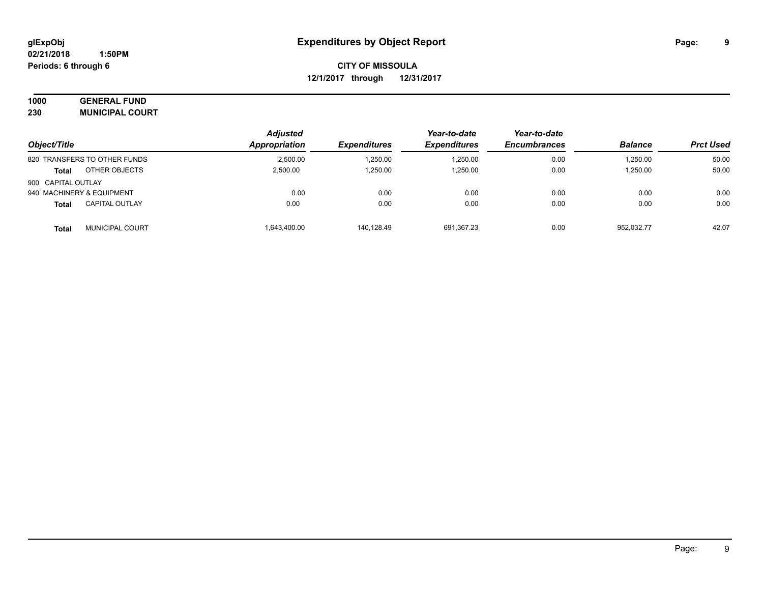#### **1000 GENERAL FUND 230 MUNICIPAL COURT**

|                    |                              | <b>Adjusted</b> |                     | Year-to-date        | Year-to-date        |                |                  |
|--------------------|------------------------------|-----------------|---------------------|---------------------|---------------------|----------------|------------------|
| Object/Title       |                              | Appropriation   | <b>Expenditures</b> | <b>Expenditures</b> | <b>Encumbrances</b> | <b>Balance</b> | <b>Prct Used</b> |
|                    | 820 TRANSFERS TO OTHER FUNDS | 2.500.00        | 1.250.00            | 1,250.00            | 0.00                | 1,250.00       | 50.00            |
| <b>Total</b>       | OTHER OBJECTS                | 2,500.00        | 1,250.00            | 1,250.00            | 0.00                | 1,250.00       | 50.00            |
| 900 CAPITAL OUTLAY |                              |                 |                     |                     |                     |                |                  |
|                    | 940 MACHINERY & EQUIPMENT    | 0.00            | 0.00                | 0.00                | 0.00                | 0.00           | 0.00             |
| <b>Total</b>       | <b>CAPITAL OUTLAY</b>        | 0.00            | 0.00                | 0.00                | 0.00                | 0.00           | 0.00             |
| <b>Total</b>       | <b>MUNICIPAL COURT</b>       | 1.643.400.00    | 140.128.49          | 691,367.23          | 0.00                | 952.032.77     | 42.07            |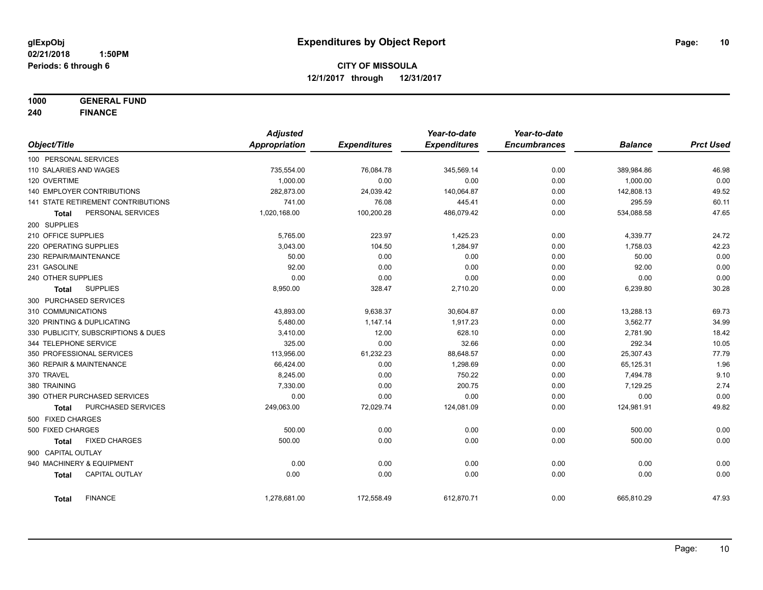**1000 GENERAL FUND**

**240 FINANCE**

|                              |                                     | <b>Adjusted</b> |                     | Year-to-date        | Year-to-date        |                |                  |
|------------------------------|-------------------------------------|-----------------|---------------------|---------------------|---------------------|----------------|------------------|
| Object/Title                 |                                     | Appropriation   | <b>Expenditures</b> | <b>Expenditures</b> | <b>Encumbrances</b> | <b>Balance</b> | <b>Prct Used</b> |
| 100 PERSONAL SERVICES        |                                     |                 |                     |                     |                     |                |                  |
| 110 SALARIES AND WAGES       |                                     | 735,554.00      | 76,084.78           | 345,569.14          | 0.00                | 389,984.86     | 46.98            |
| 120 OVERTIME                 |                                     | 1,000.00        | 0.00                | 0.00                | 0.00                | 1,000.00       | 0.00             |
| 140 EMPLOYER CONTRIBUTIONS   |                                     | 282,873.00      | 24,039.42           | 140,064.87          | 0.00                | 142,808.13     | 49.52            |
|                              | 141 STATE RETIREMENT CONTRIBUTIONS  | 741.00          | 76.08               | 445.41              | 0.00                | 295.59         | 60.11            |
| Total                        | PERSONAL SERVICES                   | 1,020,168.00    | 100,200.28          | 486,079.42          | 0.00                | 534,088.58     | 47.65            |
| 200 SUPPLIES                 |                                     |                 |                     |                     |                     |                |                  |
| 210 OFFICE SUPPLIES          |                                     | 5,765.00        | 223.97              | 1,425.23            | 0.00                | 4,339.77       | 24.72            |
| 220 OPERATING SUPPLIES       |                                     | 3,043.00        | 104.50              | 1,284.97            | 0.00                | 1,758.03       | 42.23            |
| 230 REPAIR/MAINTENANCE       |                                     | 50.00           | 0.00                | 0.00                | 0.00                | 50.00          | 0.00             |
| 231 GASOLINE                 |                                     | 92.00           | 0.00                | 0.00                | 0.00                | 92.00          | 0.00             |
| 240 OTHER SUPPLIES           |                                     | 0.00            | 0.00                | 0.00                | 0.00                | 0.00           | 0.00             |
| Total                        | <b>SUPPLIES</b>                     | 8,950.00        | 328.47              | 2,710.20            | 0.00                | 6,239.80       | 30.28            |
| 300 PURCHASED SERVICES       |                                     |                 |                     |                     |                     |                |                  |
| 310 COMMUNICATIONS           |                                     | 43,893.00       | 9,638.37            | 30,604.87           | 0.00                | 13,288.13      | 69.73            |
| 320 PRINTING & DUPLICATING   |                                     | 5,480.00        | 1,147.14            | 1,917.23            | 0.00                | 3,562.77       | 34.99            |
|                              | 330 PUBLICITY, SUBSCRIPTIONS & DUES | 3,410.00        | 12.00               | 628.10              | 0.00                | 2,781.90       | 18.42            |
| 344 TELEPHONE SERVICE        |                                     | 325.00          | 0.00                | 32.66               | 0.00                | 292.34         | 10.05            |
| 350 PROFESSIONAL SERVICES    |                                     | 113,956.00      | 61,232.23           | 88,648.57           | 0.00                | 25,307.43      | 77.79            |
| 360 REPAIR & MAINTENANCE     |                                     | 66,424.00       | 0.00                | 1,298.69            | 0.00                | 65,125.31      | 1.96             |
| 370 TRAVEL                   |                                     | 8,245.00        | 0.00                | 750.22              | 0.00                | 7,494.78       | 9.10             |
| 380 TRAINING                 |                                     | 7,330.00        | 0.00                | 200.75              | 0.00                | 7,129.25       | 2.74             |
| 390 OTHER PURCHASED SERVICES |                                     | 0.00            | 0.00                | 0.00                | 0.00                | 0.00           | 0.00             |
| <b>Total</b>                 | PURCHASED SERVICES                  | 249,063.00      | 72,029.74           | 124,081.09          | 0.00                | 124,981.91     | 49.82            |
| 500 FIXED CHARGES            |                                     |                 |                     |                     |                     |                |                  |
| 500 FIXED CHARGES            |                                     | 500.00          | 0.00                | 0.00                | 0.00                | 500.00         | 0.00             |
| <b>Total</b>                 | <b>FIXED CHARGES</b>                | 500.00          | 0.00                | 0.00                | 0.00                | 500.00         | 0.00             |
| 900 CAPITAL OUTLAY           |                                     |                 |                     |                     |                     |                |                  |
| 940 MACHINERY & EQUIPMENT    |                                     | 0.00            | 0.00                | 0.00                | 0.00                | 0.00           | 0.00             |
| <b>Total</b>                 | <b>CAPITAL OUTLAY</b>               | 0.00            | 0.00                | 0.00                | 0.00                | 0.00           | 0.00             |
| <b>Total</b>                 | <b>FINANCE</b>                      | 1,278,681.00    | 172,558.49          | 612,870.71          | 0.00                | 665,810.29     | 47.93            |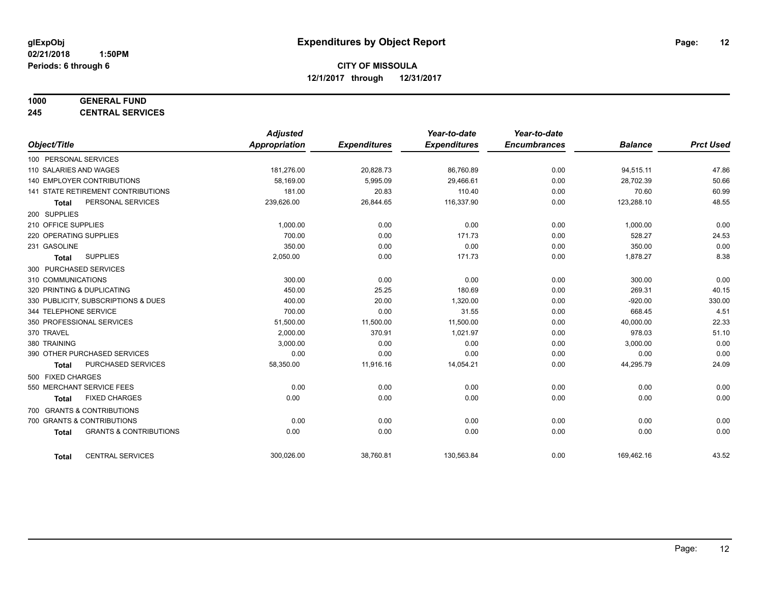# **1000 GENERAL FUND**

**245 CENTRAL SERVICES**

|                                                   | <b>Adjusted</b> |                     | Year-to-date        | Year-to-date        |                |                  |
|---------------------------------------------------|-----------------|---------------------|---------------------|---------------------|----------------|------------------|
| Object/Title                                      | Appropriation   | <b>Expenditures</b> | <b>Expenditures</b> | <b>Encumbrances</b> | <b>Balance</b> | <b>Prct Used</b> |
| 100 PERSONAL SERVICES                             |                 |                     |                     |                     |                |                  |
| 110 SALARIES AND WAGES                            | 181,276.00      | 20,828.73           | 86,760.89           | 0.00                | 94,515.11      | 47.86            |
| <b>140 EMPLOYER CONTRIBUTIONS</b>                 | 58,169.00       | 5,995.09            | 29,466.61           | 0.00                | 28,702.39      | 50.66            |
| 141 STATE RETIREMENT CONTRIBUTIONS                | 181.00          | 20.83               | 110.40              | 0.00                | 70.60          | 60.99            |
| PERSONAL SERVICES<br><b>Total</b>                 | 239,626.00      | 26,844.65           | 116,337.90          | 0.00                | 123,288.10     | 48.55            |
| 200 SUPPLIES                                      |                 |                     |                     |                     |                |                  |
| 210 OFFICE SUPPLIES                               | 1.000.00        | 0.00                | 0.00                | 0.00                | 1,000.00       | 0.00             |
| 220 OPERATING SUPPLIES                            | 700.00          | 0.00                | 171.73              | 0.00                | 528.27         | 24.53            |
| 231 GASOLINE                                      | 350.00          | 0.00                | 0.00                | 0.00                | 350.00         | 0.00             |
| <b>SUPPLIES</b><br><b>Total</b>                   | 2,050.00        | 0.00                | 171.73              | 0.00                | 1,878.27       | 8.38             |
| 300 PURCHASED SERVICES                            |                 |                     |                     |                     |                |                  |
| 310 COMMUNICATIONS                                | 300.00          | 0.00                | 0.00                | 0.00                | 300.00         | 0.00             |
| 320 PRINTING & DUPLICATING                        | 450.00          | 25.25               | 180.69              | 0.00                | 269.31         | 40.15            |
| 330 PUBLICITY, SUBSCRIPTIONS & DUES               | 400.00          | 20.00               | 1,320.00            | 0.00                | $-920.00$      | 330.00           |
| 344 TELEPHONE SERVICE                             | 700.00          | 0.00                | 31.55               | 0.00                | 668.45         | 4.51             |
| 350 PROFESSIONAL SERVICES                         | 51,500.00       | 11,500.00           | 11,500.00           | 0.00                | 40,000.00      | 22.33            |
| 370 TRAVEL                                        | 2,000.00        | 370.91              | 1,021.97            | 0.00                | 978.03         | 51.10            |
| 380 TRAINING                                      | 3,000.00        | 0.00                | 0.00                | 0.00                | 3,000.00       | 0.00             |
| 390 OTHER PURCHASED SERVICES                      | 0.00            | 0.00                | 0.00                | 0.00                | 0.00           | 0.00             |
| <b>PURCHASED SERVICES</b><br><b>Total</b>         | 58,350.00       | 11,916.16           | 14,054.21           | 0.00                | 44,295.79      | 24.09            |
| 500 FIXED CHARGES                                 |                 |                     |                     |                     |                |                  |
| 550 MERCHANT SERVICE FEES                         | 0.00            | 0.00                | 0.00                | 0.00                | 0.00           | 0.00             |
| <b>FIXED CHARGES</b><br><b>Total</b>              | 0.00            | 0.00                | 0.00                | 0.00                | 0.00           | 0.00             |
| 700 GRANTS & CONTRIBUTIONS                        |                 |                     |                     |                     |                |                  |
| 700 GRANTS & CONTRIBUTIONS                        | 0.00            | 0.00                | 0.00                | 0.00                | 0.00           | 0.00             |
| <b>GRANTS &amp; CONTRIBUTIONS</b><br><b>Total</b> | 0.00            | 0.00                | 0.00                | 0.00                | 0.00           | 0.00             |
| <b>CENTRAL SERVICES</b><br><b>Total</b>           | 300,026.00      | 38,760.81           | 130,563.84          | 0.00                | 169,462.16     | 43.52            |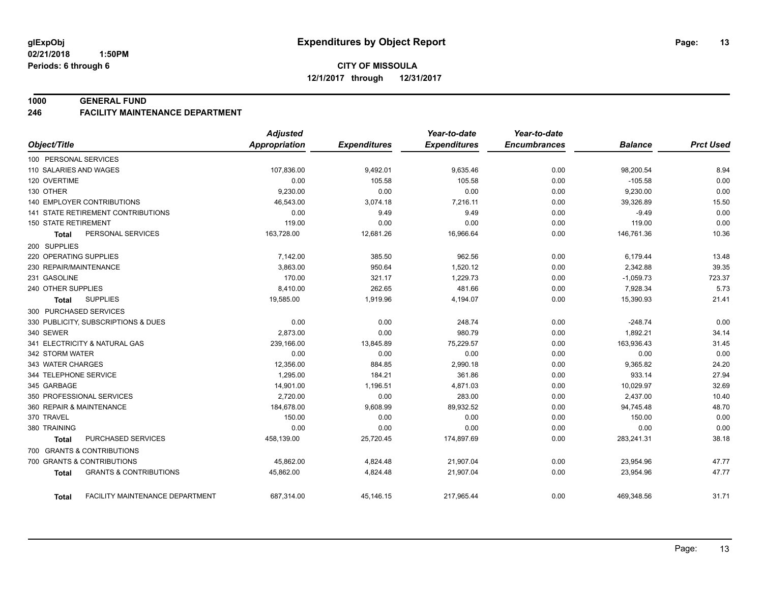#### **1000 GENERAL FUND**

#### **246 FACILITY MAINTENANCE DEPARTMENT**

|                                                   | <b>Adjusted</b>      |                     | Year-to-date        | Year-to-date        |                |                  |
|---------------------------------------------------|----------------------|---------------------|---------------------|---------------------|----------------|------------------|
| Object/Title                                      | <b>Appropriation</b> | <b>Expenditures</b> | <b>Expenditures</b> | <b>Encumbrances</b> | <b>Balance</b> | <b>Prct Used</b> |
| 100 PERSONAL SERVICES                             |                      |                     |                     |                     |                |                  |
| 110 SALARIES AND WAGES                            | 107,836.00           | 9,492.01            | 9,635.46            | 0.00                | 98,200.54      | 8.94             |
| 120 OVERTIME                                      | 0.00                 | 105.58              | 105.58              | 0.00                | $-105.58$      | 0.00             |
| 130 OTHER                                         | 9,230.00             | 0.00                | 0.00                | 0.00                | 9,230.00       | 0.00             |
| 140 EMPLOYER CONTRIBUTIONS                        | 46,543.00            | 3,074.18            | 7,216.11            | 0.00                | 39,326.89      | 15.50            |
| <b>141 STATE RETIREMENT CONTRIBUTIONS</b>         | 0.00                 | 9.49                | 9.49                | 0.00                | $-9.49$        | 0.00             |
| <b>150 STATE RETIREMENT</b>                       | 119.00               | 0.00                | 0.00                | 0.00                | 119.00         | 0.00             |
| PERSONAL SERVICES<br><b>Total</b>                 | 163,728.00           | 12,681.26           | 16,966.64           | 0.00                | 146,761.36     | 10.36            |
| 200 SUPPLIES                                      |                      |                     |                     |                     |                |                  |
| 220 OPERATING SUPPLIES                            | 7,142.00             | 385.50              | 962.56              | 0.00                | 6,179.44       | 13.48            |
| 230 REPAIR/MAINTENANCE                            | 3,863.00             | 950.64              | 1,520.12            | 0.00                | 2,342.88       | 39.35            |
| 231 GASOLINE                                      | 170.00               | 321.17              | 1,229.73            | 0.00                | $-1,059.73$    | 723.37           |
| 240 OTHER SUPPLIES                                | 8,410.00             | 262.65              | 481.66              | 0.00                | 7,928.34       | 5.73             |
| <b>SUPPLIES</b><br>Total                          | 19,585.00            | 1,919.96            | 4,194.07            | 0.00                | 15,390.93      | 21.41            |
| 300 PURCHASED SERVICES                            |                      |                     |                     |                     |                |                  |
| 330 PUBLICITY, SUBSCRIPTIONS & DUES               | 0.00                 | 0.00                | 248.74              | 0.00                | $-248.74$      | 0.00             |
| 340 SEWER                                         | 2,873.00             | 0.00                | 980.79              | 0.00                | 1,892.21       | 34.14            |
| 341 ELECTRICITY & NATURAL GAS                     | 239,166.00           | 13,845.89           | 75,229.57           | 0.00                | 163,936.43     | 31.45            |
| 342 STORM WATER                                   | 0.00                 | 0.00                | 0.00                | 0.00                | 0.00           | 0.00             |
| 343 WATER CHARGES                                 | 12,356.00            | 884.85              | 2,990.18            | 0.00                | 9,365.82       | 24.20            |
| 344 TELEPHONE SERVICE                             | 1,295.00             | 184.21              | 361.86              | 0.00                | 933.14         | 27.94            |
| 345 GARBAGE                                       | 14,901.00            | 1,196.51            | 4,871.03            | 0.00                | 10,029.97      | 32.69            |
| 350 PROFESSIONAL SERVICES                         | 2,720.00             | 0.00                | 283.00              | 0.00                | 2,437.00       | 10.40            |
| 360 REPAIR & MAINTENANCE                          | 184,678.00           | 9,608.99            | 89,932.52           | 0.00                | 94,745.48      | 48.70            |
| 370 TRAVEL                                        | 150.00               | 0.00                | 0.00                | 0.00                | 150.00         | 0.00             |
| 380 TRAINING                                      | 0.00                 | 0.00                | 0.00                | 0.00                | 0.00           | 0.00             |
| PURCHASED SERVICES<br>Total                       | 458,139.00           | 25,720.45           | 174,897.69          | 0.00                | 283,241.31     | 38.18            |
| 700 GRANTS & CONTRIBUTIONS                        |                      |                     |                     |                     |                |                  |
| 700 GRANTS & CONTRIBUTIONS                        | 45,862.00            | 4,824.48            | 21,907.04           | 0.00                | 23,954.96      | 47.77            |
| <b>GRANTS &amp; CONTRIBUTIONS</b><br><b>Total</b> | 45,862.00            | 4,824.48            | 21,907.04           | 0.00                | 23,954.96      | 47.77            |
| FACILITY MAINTENANCE DEPARTMENT<br>Total          | 687,314.00           | 45,146.15           | 217,965.44          | 0.00                | 469,348.56     | 31.71            |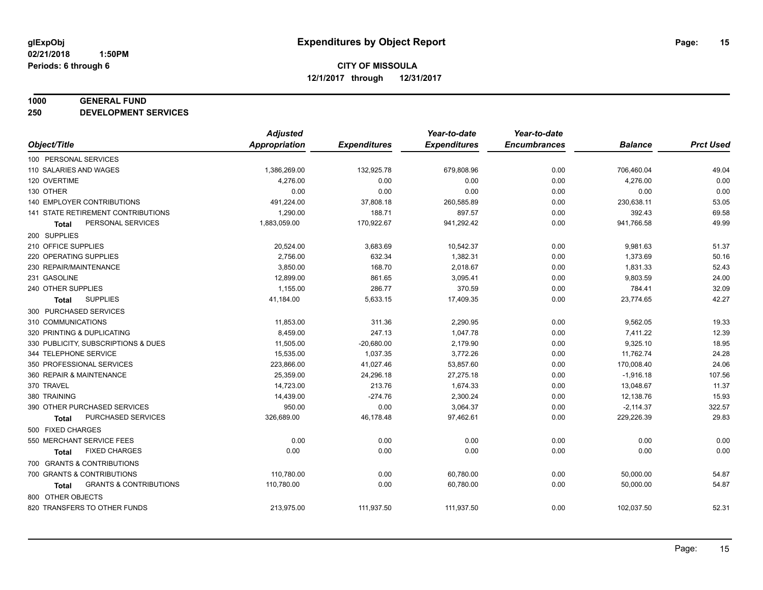#### **1000 GENERAL FUND**

**250 DEVELOPMENT SERVICES**

|                                            | <b>Adjusted</b>      |                     | Year-to-date        | Year-to-date        |                |                  |
|--------------------------------------------|----------------------|---------------------|---------------------|---------------------|----------------|------------------|
| Object/Title                               | <b>Appropriation</b> | <b>Expenditures</b> | <b>Expenditures</b> | <b>Encumbrances</b> | <b>Balance</b> | <b>Prct Used</b> |
| 100 PERSONAL SERVICES                      |                      |                     |                     |                     |                |                  |
| 110 SALARIES AND WAGES                     | 1,386,269.00         | 132,925.78          | 679,808.96          | 0.00                | 706,460.04     | 49.04            |
| 120 OVERTIME                               | 4,276.00             | 0.00                | 0.00                | 0.00                | 4,276.00       | 0.00             |
| 130 OTHER                                  | 0.00                 | 0.00                | 0.00                | 0.00                | 0.00           | 0.00             |
| 140 EMPLOYER CONTRIBUTIONS                 | 491,224.00           | 37,808.18           | 260,585.89          | 0.00                | 230,638.11     | 53.05            |
| 141 STATE RETIREMENT CONTRIBUTIONS         | 1,290.00             | 188.71              | 897.57              | 0.00                | 392.43         | 69.58            |
| PERSONAL SERVICES<br><b>Total</b>          | 1,883,059.00         | 170,922.67          | 941,292.42          | 0.00                | 941,766.58     | 49.99            |
| 200 SUPPLIES                               |                      |                     |                     |                     |                |                  |
| 210 OFFICE SUPPLIES                        | 20,524.00            | 3,683.69            | 10,542.37           | 0.00                | 9,981.63       | 51.37            |
| 220 OPERATING SUPPLIES                     | 2,756.00             | 632.34              | 1,382.31            | 0.00                | 1,373.69       | 50.16            |
| 230 REPAIR/MAINTENANCE                     | 3,850.00             | 168.70              | 2,018.67            | 0.00                | 1,831.33       | 52.43            |
| 231 GASOLINE                               | 12,899.00            | 861.65              | 3,095.41            | 0.00                | 9,803.59       | 24.00            |
| 240 OTHER SUPPLIES                         | 1,155.00             | 286.77              | 370.59              | 0.00                | 784.41         | 32.09            |
| <b>SUPPLIES</b><br><b>Total</b>            | 41,184.00            | 5,633.15            | 17,409.35           | 0.00                | 23,774.65      | 42.27            |
| 300 PURCHASED SERVICES                     |                      |                     |                     |                     |                |                  |
| 310 COMMUNICATIONS                         | 11,853.00            | 311.36              | 2,290.95            | 0.00                | 9,562.05       | 19.33            |
| 320 PRINTING & DUPLICATING                 | 8,459.00             | 247.13              | 1,047.78            | 0.00                | 7,411.22       | 12.39            |
| 330 PUBLICITY, SUBSCRIPTIONS & DUES        | 11,505.00            | $-20,680.00$        | 2,179.90            | 0.00                | 9,325.10       | 18.95            |
| 344 TELEPHONE SERVICE                      | 15,535.00            | 1,037.35            | 3,772.26            | 0.00                | 11,762.74      | 24.28            |
| 350 PROFESSIONAL SERVICES                  | 223,866.00           | 41,027.46           | 53,857.60           | 0.00                | 170,008.40     | 24.06            |
| 360 REPAIR & MAINTENANCE                   | 25,359.00            | 24,296.18           | 27,275.18           | 0.00                | $-1,916.18$    | 107.56           |
| 370 TRAVEL                                 | 14,723.00            | 213.76              | 1,674.33            | 0.00                | 13,048.67      | 11.37            |
| 380 TRAINING                               | 14,439.00            | $-274.76$           | 2,300.24            | 0.00                | 12,138.76      | 15.93            |
| 390 OTHER PURCHASED SERVICES               | 950.00               | 0.00                | 3,064.37            | 0.00                | $-2,114.37$    | 322.57           |
| <b>PURCHASED SERVICES</b><br>Total         | 326,689.00           | 46,178.48           | 97,462.61           | 0.00                | 229,226.39     | 29.83            |
| 500 FIXED CHARGES                          |                      |                     |                     |                     |                |                  |
| 550 MERCHANT SERVICE FEES                  | 0.00                 | 0.00                | 0.00                | 0.00                | 0.00           | 0.00             |
| <b>FIXED CHARGES</b><br><b>Total</b>       | 0.00                 | 0.00                | 0.00                | 0.00                | 0.00           | 0.00             |
| 700 GRANTS & CONTRIBUTIONS                 |                      |                     |                     |                     |                |                  |
| 700 GRANTS & CONTRIBUTIONS                 | 110,780.00           | 0.00                | 60,780.00           | 0.00                | 50,000.00      | 54.87            |
| <b>GRANTS &amp; CONTRIBUTIONS</b><br>Total | 110,780.00           | 0.00                | 60,780.00           | 0.00                | 50,000.00      | 54.87            |
| 800 OTHER OBJECTS                          |                      |                     |                     |                     |                |                  |
| 820 TRANSFERS TO OTHER FUNDS               | 213,975.00           | 111,937.50          | 111,937.50          | 0.00                | 102,037.50     | 52.31            |
|                                            |                      |                     |                     |                     |                |                  |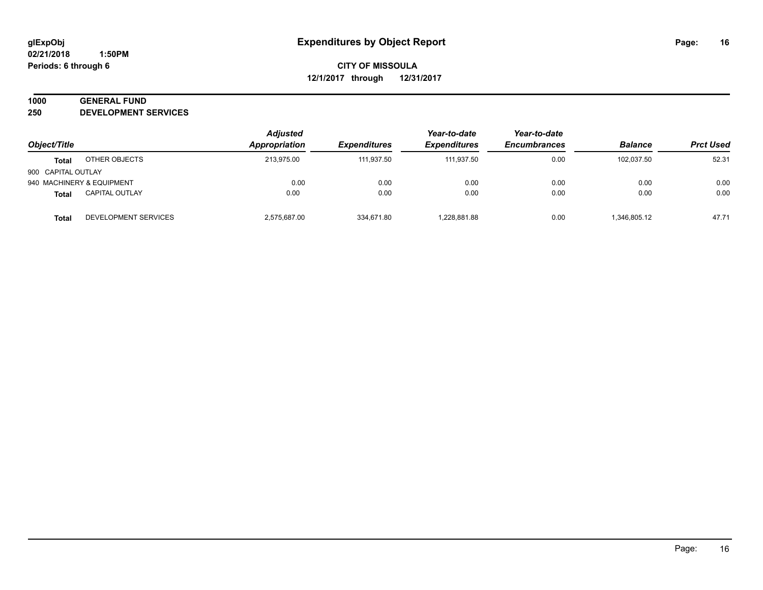## **1000 GENERAL FUND**

**250 DEVELOPMENT SERVICES**

|                           |                       | <b>Adjusted</b> |                     | Year-to-date        | Year-to-date        |                |                  |
|---------------------------|-----------------------|-----------------|---------------------|---------------------|---------------------|----------------|------------------|
| Object/Title              |                       | Appropriation   | <b>Expenditures</b> | <b>Expenditures</b> | <b>Encumbrances</b> | <b>Balance</b> | <b>Prct Used</b> |
| <b>Total</b>              | OTHER OBJECTS         | 213,975.00      | 111,937.50          | 111.937.50          | 0.00                | 102.037.50     | 52.31            |
| 900 CAPITAL OUTLAY        |                       |                 |                     |                     |                     |                |                  |
| 940 MACHINERY & EQUIPMENT |                       | 0.00            | 0.00                | 0.00                | 0.00                | 0.00           | 0.00             |
| <b>Total</b>              | <b>CAPITAL OUTLAY</b> | 0.00            | 0.00                | 0.00                | 0.00                | 0.00           | 0.00             |
| <b>Total</b>              | DEVELOPMENT SERVICES  | 2,575,687.00    | 334.671.80          | 1.228.881.88        | 0.00                | 1.346.805.12   | 47.71            |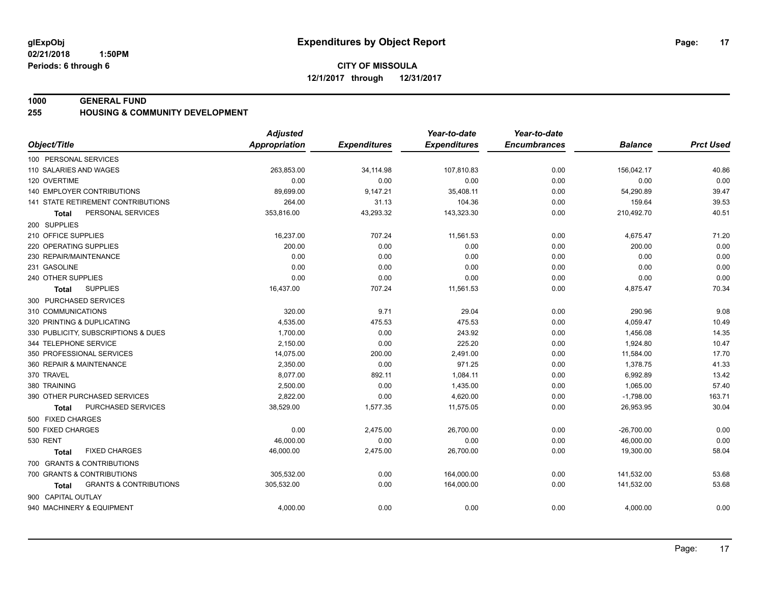#### **1000 GENERAL FUND**

#### **255 HOUSING & COMMUNITY DEVELOPMENT**

|                                            | <b>Adjusted</b>      |                     | Year-to-date        | Year-to-date        |                |                  |
|--------------------------------------------|----------------------|---------------------|---------------------|---------------------|----------------|------------------|
| Object/Title                               | <b>Appropriation</b> | <b>Expenditures</b> | <b>Expenditures</b> | <b>Encumbrances</b> | <b>Balance</b> | <b>Prct Used</b> |
| 100 PERSONAL SERVICES                      |                      |                     |                     |                     |                |                  |
| 110 SALARIES AND WAGES                     | 263,853.00           | 34,114.98           | 107,810.83          | 0.00                | 156,042.17     | 40.86            |
| 120 OVERTIME                               | 0.00                 | 0.00                | 0.00                | 0.00                | 0.00           | 0.00             |
| 140 EMPLOYER CONTRIBUTIONS                 | 89,699.00            | 9,147.21            | 35,408.11           | 0.00                | 54,290.89      | 39.47            |
| <b>141 STATE RETIREMENT CONTRIBUTIONS</b>  | 264.00               | 31.13               | 104.36              | 0.00                | 159.64         | 39.53            |
| PERSONAL SERVICES<br><b>Total</b>          | 353,816.00           | 43,293.32           | 143,323.30          | 0.00                | 210,492.70     | 40.51            |
| 200 SUPPLIES                               |                      |                     |                     |                     |                |                  |
| 210 OFFICE SUPPLIES                        | 16,237.00            | 707.24              | 11,561.53           | 0.00                | 4,675.47       | 71.20            |
| 220 OPERATING SUPPLIES                     | 200.00               | 0.00                | 0.00                | 0.00                | 200.00         | 0.00             |
| 230 REPAIR/MAINTENANCE                     | 0.00                 | 0.00                | 0.00                | 0.00                | 0.00           | 0.00             |
| 231 GASOLINE                               | 0.00                 | 0.00                | 0.00                | 0.00                | 0.00           | 0.00             |
| 240 OTHER SUPPLIES                         | 0.00                 | 0.00                | 0.00                | 0.00                | 0.00           | 0.00             |
| <b>SUPPLIES</b><br>Total                   | 16,437.00            | 707.24              | 11,561.53           | 0.00                | 4,875.47       | 70.34            |
| 300 PURCHASED SERVICES                     |                      |                     |                     |                     |                |                  |
| 310 COMMUNICATIONS                         | 320.00               | 9.71                | 29.04               | 0.00                | 290.96         | 9.08             |
| 320 PRINTING & DUPLICATING                 | 4,535.00             | 475.53              | 475.53              | 0.00                | 4,059.47       | 10.49            |
| 330 PUBLICITY, SUBSCRIPTIONS & DUES        | 1,700.00             | 0.00                | 243.92              | 0.00                | 1,456.08       | 14.35            |
| 344 TELEPHONE SERVICE                      | 2,150.00             | 0.00                | 225.20              | 0.00                | 1,924.80       | 10.47            |
| 350 PROFESSIONAL SERVICES                  | 14,075.00            | 200.00              | 2,491.00            | 0.00                | 11,584.00      | 17.70            |
| 360 REPAIR & MAINTENANCE                   | 2,350.00             | 0.00                | 971.25              | 0.00                | 1,378.75       | 41.33            |
| 370 TRAVEL                                 | 8,077.00             | 892.11              | 1,084.11            | 0.00                | 6,992.89       | 13.42            |
| 380 TRAINING                               | 2,500.00             | 0.00                | 1,435.00            | 0.00                | 1,065.00       | 57.40            |
| 390 OTHER PURCHASED SERVICES               | 2,822.00             | 0.00                | 4,620.00            | 0.00                | $-1,798.00$    | 163.71           |
| PURCHASED SERVICES<br>Total                | 38,529.00            | 1,577.35            | 11,575.05           | 0.00                | 26,953.95      | 30.04            |
| 500 FIXED CHARGES                          |                      |                     |                     |                     |                |                  |
| 500 FIXED CHARGES                          | 0.00                 | 2,475.00            | 26,700.00           | 0.00                | $-26,700.00$   | 0.00             |
| <b>530 RENT</b>                            | 46,000.00            | 0.00                | 0.00                | 0.00                | 46,000.00      | 0.00             |
| <b>FIXED CHARGES</b><br><b>Total</b>       | 46,000.00            | 2,475.00            | 26,700.00           | 0.00                | 19,300.00      | 58.04            |
| 700 GRANTS & CONTRIBUTIONS                 |                      |                     |                     |                     |                |                  |
| 700 GRANTS & CONTRIBUTIONS                 | 305,532.00           | 0.00                | 164,000.00          | 0.00                | 141,532.00     | 53.68            |
| <b>GRANTS &amp; CONTRIBUTIONS</b><br>Total | 305,532.00           | 0.00                | 164,000.00          | 0.00                | 141,532.00     | 53.68            |
| 900 CAPITAL OUTLAY                         |                      |                     |                     |                     |                |                  |
| 940 MACHINERY & EQUIPMENT                  | 4,000.00             | 0.00                | 0.00                | 0.00                | 4,000.00       | 0.00             |
|                                            |                      |                     |                     |                     |                |                  |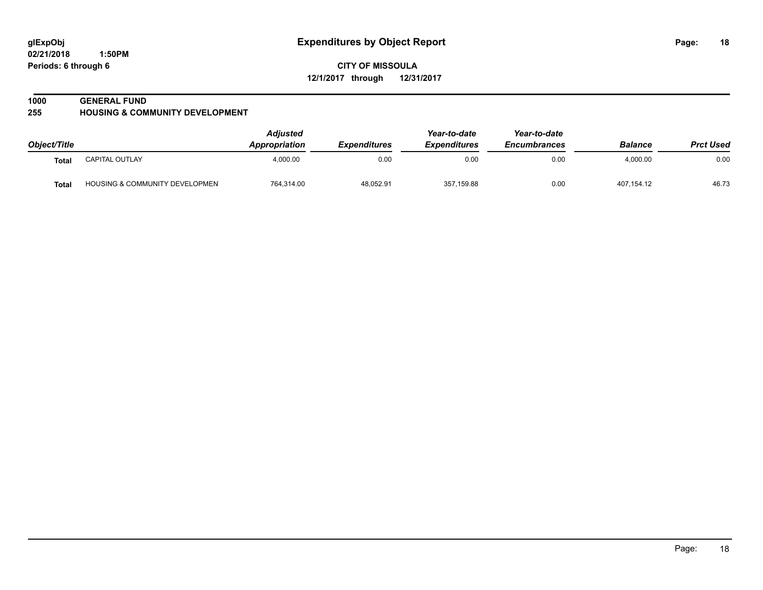#### **1000 GENERAL FUND**

**255 HOUSING & COMMUNITY DEVELOPMENT**

| Object/Title |                                           | <b>Adjusted</b><br>Appropriation | <i><b>Expenditures</b></i> | Year-to-date<br><b>Expenditures</b> | Year-to-date<br><b>Encumbrances</b> | <b>Balance</b> | <b>Prct Used</b> |
|--------------|-------------------------------------------|----------------------------------|----------------------------|-------------------------------------|-------------------------------------|----------------|------------------|
| Total        | <b>CAPITAL OUTLAY</b>                     | 4.000.00                         | 0.00                       | 0.00                                | 0.00                                | 4.000.00       | 0.00             |
| Total        | <b>HOUSING &amp; COMMUNITY DEVELOPMEN</b> | 764,314.00                       | 48,052.91                  | 357,159.88                          | 0.00                                | 407,154.12     | 46.73            |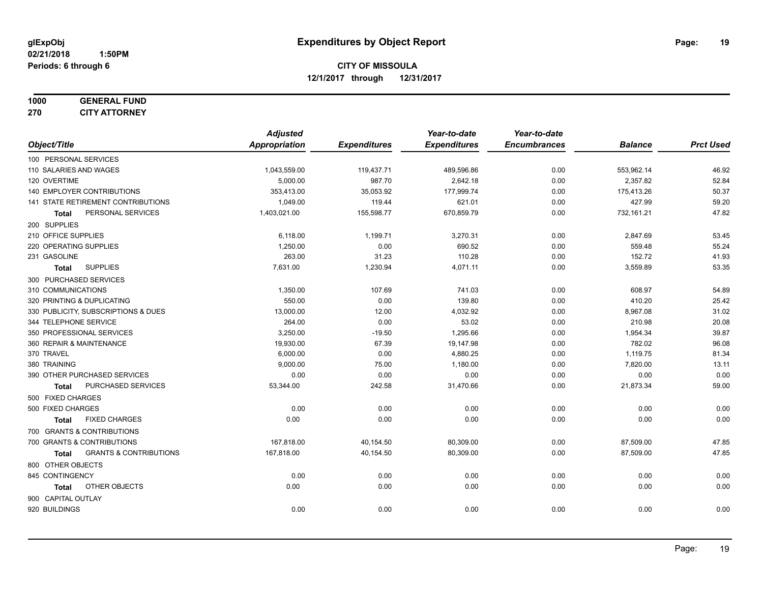| 1000 | <b>GENERAL FUND</b> |
|------|---------------------|
| 270  | CITY ATTODNEY       |

**270 CITY ATTORNEY**

|                                                   | <b>Adjusted</b> |                     | Year-to-date        | Year-to-date        |                |                  |
|---------------------------------------------------|-----------------|---------------------|---------------------|---------------------|----------------|------------------|
| Object/Title                                      | Appropriation   | <b>Expenditures</b> | <b>Expenditures</b> | <b>Encumbrances</b> | <b>Balance</b> | <b>Prct Used</b> |
| 100 PERSONAL SERVICES                             |                 |                     |                     |                     |                |                  |
| 110 SALARIES AND WAGES                            | 1,043,559.00    | 119,437.71          | 489,596.86          | 0.00                | 553,962.14     | 46.92            |
| 120 OVERTIME                                      | 5,000.00        | 987.70              | 2,642.18            | 0.00                | 2,357.82       | 52.84            |
| <b>140 EMPLOYER CONTRIBUTIONS</b>                 | 353,413.00      | 35,053.92           | 177,999.74          | 0.00                | 175,413.26     | 50.37            |
| 141 STATE RETIREMENT CONTRIBUTIONS                | 1,049.00        | 119.44              | 621.01              | 0.00                | 427.99         | 59.20            |
| PERSONAL SERVICES<br>Total                        | 1,403,021.00    | 155,598.77          | 670,859.79          | 0.00                | 732,161.21     | 47.82            |
| 200 SUPPLIES                                      |                 |                     |                     |                     |                |                  |
| 210 OFFICE SUPPLIES                               | 6,118.00        | 1,199.71            | 3,270.31            | 0.00                | 2,847.69       | 53.45            |
| 220 OPERATING SUPPLIES                            | 1,250.00        | 0.00                | 690.52              | 0.00                | 559.48         | 55.24            |
| 231 GASOLINE                                      | 263.00          | 31.23               | 110.28              | 0.00                | 152.72         | 41.93            |
| <b>SUPPLIES</b><br><b>Total</b>                   | 7,631.00        | 1,230.94            | 4,071.11            | 0.00                | 3,559.89       | 53.35            |
| 300 PURCHASED SERVICES                            |                 |                     |                     |                     |                |                  |
| 310 COMMUNICATIONS                                | 1,350.00        | 107.69              | 741.03              | 0.00                | 608.97         | 54.89            |
| 320 PRINTING & DUPLICATING                        | 550.00          | 0.00                | 139.80              | 0.00                | 410.20         | 25.42            |
| 330 PUBLICITY, SUBSCRIPTIONS & DUES               | 13,000.00       | 12.00               | 4,032.92            | 0.00                | 8,967.08       | 31.02            |
| 344 TELEPHONE SERVICE                             | 264.00          | 0.00                | 53.02               | 0.00                | 210.98         | 20.08            |
| 350 PROFESSIONAL SERVICES                         | 3,250.00        | $-19.50$            | 1,295.66            | 0.00                | 1,954.34       | 39.87            |
| 360 REPAIR & MAINTENANCE                          | 19,930.00       | 67.39               | 19,147.98           | 0.00                | 782.02         | 96.08            |
| 370 TRAVEL                                        | 6,000.00        | 0.00                | 4,880.25            | 0.00                | 1,119.75       | 81.34            |
| 380 TRAINING                                      | 9,000.00        | 75.00               | 1,180.00            | 0.00                | 7,820.00       | 13.11            |
| 390 OTHER PURCHASED SERVICES                      | 0.00            | 0.00                | 0.00                | 0.00                | 0.00           | 0.00             |
| PURCHASED SERVICES<br>Total                       | 53,344.00       | 242.58              | 31,470.66           | 0.00                | 21,873.34      | 59.00            |
| 500 FIXED CHARGES                                 |                 |                     |                     |                     |                |                  |
| 500 FIXED CHARGES                                 | 0.00            | 0.00                | 0.00                | 0.00                | 0.00           | 0.00             |
| <b>FIXED CHARGES</b><br>Total                     | 0.00            | 0.00                | 0.00                | 0.00                | 0.00           | 0.00             |
| 700 GRANTS & CONTRIBUTIONS                        |                 |                     |                     |                     |                |                  |
| 700 GRANTS & CONTRIBUTIONS                        | 167,818.00      | 40,154.50           | 80,309.00           | 0.00                | 87,509.00      | 47.85            |
| <b>GRANTS &amp; CONTRIBUTIONS</b><br><b>Total</b> | 167,818.00      | 40,154.50           | 80,309.00           | 0.00                | 87,509.00      | 47.85            |
| 800 OTHER OBJECTS                                 |                 |                     |                     |                     |                |                  |
| 845 CONTINGENCY                                   | 0.00            | 0.00                | 0.00                | 0.00                | 0.00           | 0.00             |
| OTHER OBJECTS<br><b>Total</b>                     | 0.00            | 0.00                | 0.00                | 0.00                | 0.00           | 0.00             |
| 900 CAPITAL OUTLAY                                |                 |                     |                     |                     |                |                  |
| 920 BUILDINGS                                     | 0.00            | 0.00                | 0.00                | 0.00                | 0.00           | 0.00             |
|                                                   |                 |                     |                     |                     |                |                  |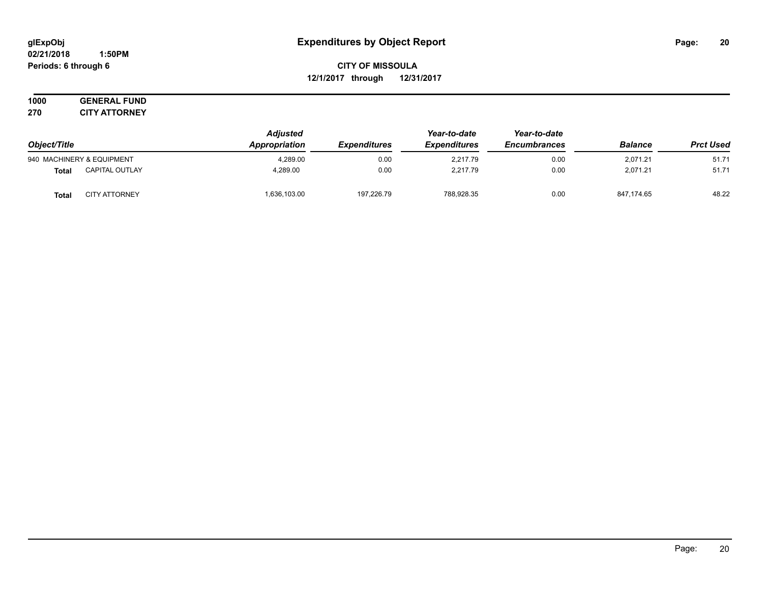#### **02/21/2018 1:50PM Periods: 6 through 6**

## **CITY OF MISSOULA 12/1/2017 through 12/31/2017**

**1000 GENERAL FUND 270 CITY ATTORNEY**

| Object/Title |                           | <b>Adjusted</b><br>Appropriation<br><i><b>Expenditures</b></i> | Year-to-date<br><b>Expenditures</b> | Year-to-date<br><b>Encumbrances</b> | <b>Balance</b> | <b>Prct Used</b> |       |
|--------------|---------------------------|----------------------------------------------------------------|-------------------------------------|-------------------------------------|----------------|------------------|-------|
|              | 940 MACHINERY & EQUIPMENT | 4,289.00                                                       | 0.00                                | 2,217.79                            | 0.00           | 2,071.21         | 51.71 |
| <b>Total</b> | <b>CAPITAL OUTLAY</b>     | 4.289.00                                                       | 0.00                                | 2.217.79                            | 0.00           | 2.071.21         | 51.71 |
| <b>Total</b> | <b>CITY ATTORNEY</b>      | 1,636,103.00                                                   | 197.226.79                          | 788,928.35                          | 0.00           | 847.174.65       | 48.22 |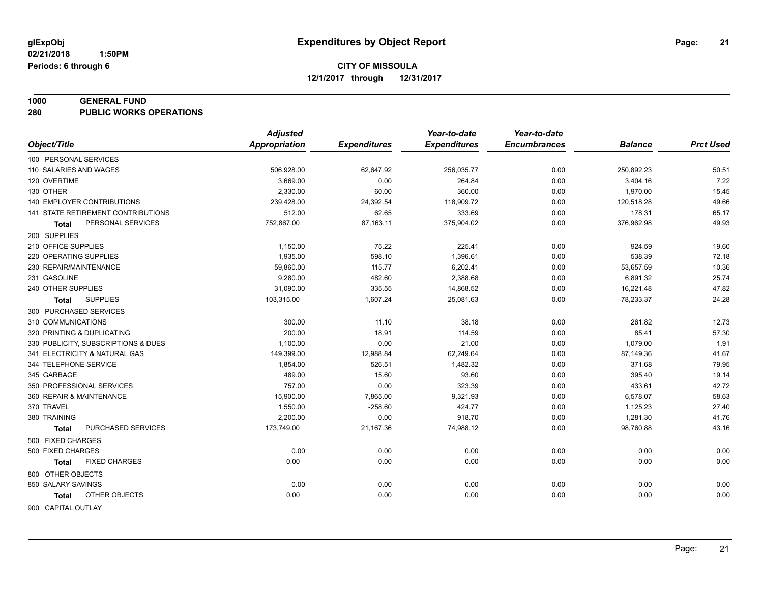#### **1000 GENERAL FUND**

**280 PUBLIC WORKS OPERATIONS**

|                                      | <b>Adjusted</b> |                     | Year-to-date        | Year-to-date        |                |                  |
|--------------------------------------|-----------------|---------------------|---------------------|---------------------|----------------|------------------|
| Object/Title                         | Appropriation   | <b>Expenditures</b> | <b>Expenditures</b> | <b>Encumbrances</b> | <b>Balance</b> | <b>Prct Used</b> |
| 100 PERSONAL SERVICES                |                 |                     |                     |                     |                |                  |
| 110 SALARIES AND WAGES               | 506,928.00      | 62,647.92           | 256,035.77          | 0.00                | 250,892.23     | 50.51            |
| 120 OVERTIME                         | 3,669.00        | 0.00                | 264.84              | 0.00                | 3,404.16       | 7.22             |
| 130 OTHER                            | 2,330.00        | 60.00               | 360.00              | 0.00                | 1,970.00       | 15.45            |
| <b>140 EMPLOYER CONTRIBUTIONS</b>    | 239,428.00      | 24,392.54           | 118,909.72          | 0.00                | 120,518.28     | 49.66            |
| 141 STATE RETIREMENT CONTRIBUTIONS   | 512.00          | 62.65               | 333.69              | 0.00                | 178.31         | 65.17            |
| PERSONAL SERVICES<br>Total           | 752,867.00      | 87,163.11           | 375,904.02          | 0.00                | 376,962.98     | 49.93            |
| 200 SUPPLIES                         |                 |                     |                     |                     |                |                  |
| 210 OFFICE SUPPLIES                  | 1,150.00        | 75.22               | 225.41              | 0.00                | 924.59         | 19.60            |
| 220 OPERATING SUPPLIES               | 1,935.00        | 598.10              | 1,396.61            | 0.00                | 538.39         | 72.18            |
| 230 REPAIR/MAINTENANCE               | 59,860.00       | 115.77              | 6,202.41            | 0.00                | 53,657.59      | 10.36            |
| 231 GASOLINE                         | 9,280.00        | 482.60              | 2,388.68            | 0.00                | 6,891.32       | 25.74            |
| 240 OTHER SUPPLIES                   | 31,090.00       | 335.55              | 14,868.52           | 0.00                | 16,221.48      | 47.82            |
| <b>SUPPLIES</b><br>Total             | 103,315.00      | 1,607.24            | 25,081.63           | 0.00                | 78,233.37      | 24.28            |
| 300 PURCHASED SERVICES               |                 |                     |                     |                     |                |                  |
| 310 COMMUNICATIONS                   | 300.00          | 11.10               | 38.18               | 0.00                | 261.82         | 12.73            |
| 320 PRINTING & DUPLICATING           | 200.00          | 18.91               | 114.59              | 0.00                | 85.41          | 57.30            |
| 330 PUBLICITY, SUBSCRIPTIONS & DUES  | 1,100.00        | 0.00                | 21.00               | 0.00                | 1,079.00       | 1.91             |
| 341 ELECTRICITY & NATURAL GAS        | 149,399.00      | 12,988.84           | 62,249.64           | 0.00                | 87,149.36      | 41.67            |
| 344 TELEPHONE SERVICE                | 1,854.00        | 526.51              | 1,482.32            | 0.00                | 371.68         | 79.95            |
| 345 GARBAGE                          | 489.00          | 15.60               | 93.60               | 0.00                | 395.40         | 19.14            |
| 350 PROFESSIONAL SERVICES            | 757.00          | 0.00                | 323.39              | 0.00                | 433.61         | 42.72            |
| 360 REPAIR & MAINTENANCE             | 15,900.00       | 7,865.00            | 9,321.93            | 0.00                | 6,578.07       | 58.63            |
| 370 TRAVEL                           | 1,550.00        | $-258.60$           | 424.77              | 0.00                | 1,125.23       | 27.40            |
| 380 TRAINING                         | 2,200.00        | 0.00                | 918.70              | 0.00                | 1,281.30       | 41.76            |
| PURCHASED SERVICES<br><b>Total</b>   | 173,749.00      | 21,167.36           | 74,988.12           | 0.00                | 98,760.88      | 43.16            |
| 500 FIXED CHARGES                    |                 |                     |                     |                     |                |                  |
| 500 FIXED CHARGES                    | 0.00            | 0.00                | 0.00                | 0.00                | 0.00           | 0.00             |
| <b>FIXED CHARGES</b><br><b>Total</b> | 0.00            | 0.00                | 0.00                | 0.00                | 0.00           | 0.00             |
| 800 OTHER OBJECTS                    |                 |                     |                     |                     |                |                  |
| 850 SALARY SAVINGS                   | 0.00            | 0.00                | 0.00                | 0.00                | 0.00           | 0.00             |
| OTHER OBJECTS<br><b>Total</b>        | 0.00            | 0.00                | 0.00                | 0.00                | 0.00           | 0.00             |
| 000 CADITAL OLITI AV                 |                 |                     |                     |                     |                |                  |

900 CAPITAL OUTLAY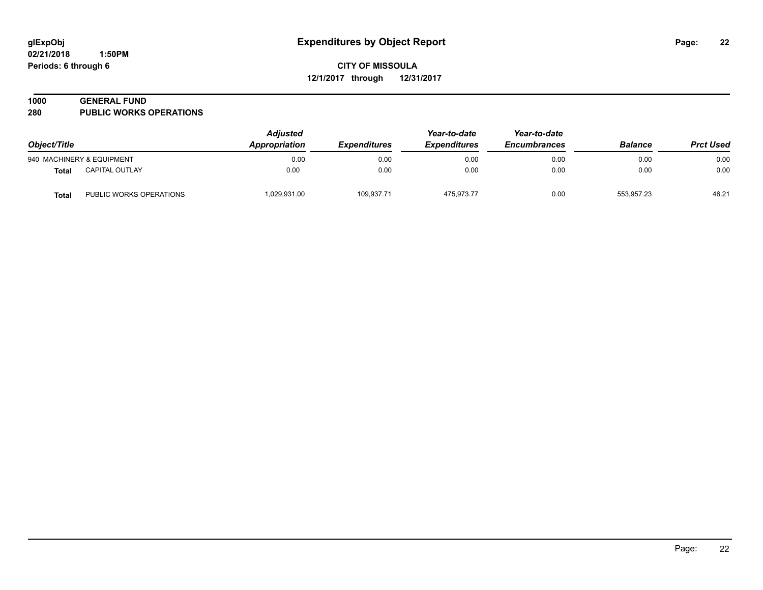## **1000 GENERAL FUND**

**280 PUBLIC WORKS OPERATIONS**

| Object/Title |                           | <b>Adjusted</b><br>Appropriation<br><i><b>Expenditures</b></i> | Year-to-date<br><b>Expenditures</b> | Year-to-date<br><b>Encumbrances</b> | <b>Balance</b> | <b>Prct Used</b> |       |
|--------------|---------------------------|----------------------------------------------------------------|-------------------------------------|-------------------------------------|----------------|------------------|-------|
|              | 940 MACHINERY & EQUIPMENT | 0.00                                                           | 0.00                                | 0.00                                | 0.00           | 0.00             | 0.00  |
| Total        | <b>CAPITAL OUTLAY</b>     | 0.00                                                           | 0.00                                | 0.00                                | 0.00           | 0.00             | 0.00  |
| <b>Total</b> | PUBLIC WORKS OPERATIONS   | 1,029,931.00                                                   | 109.937.71                          | 475.973.77                          | 0.00           | 553.957.23       | 46.21 |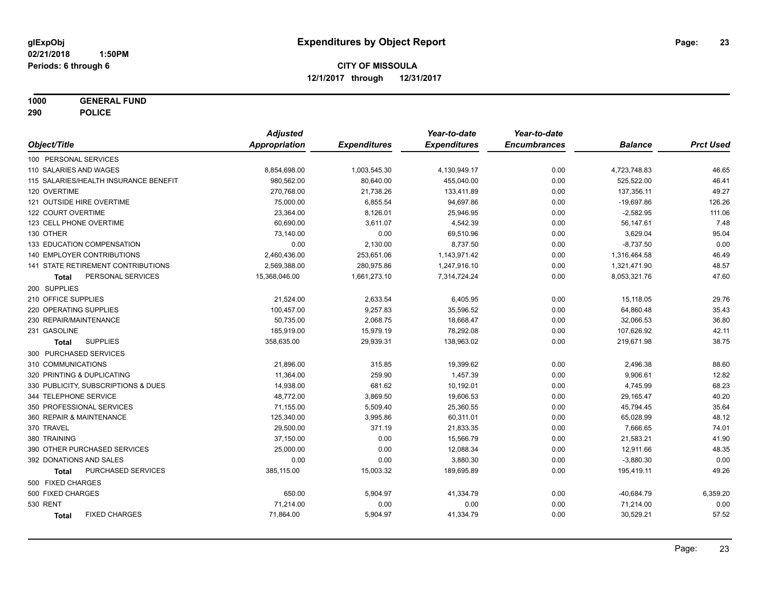**1000 GENERAL FUND**

**290 POLICE**

|                                       | <b>Adjusted</b> |                     | Year-to-date        | Year-to-date        |                |                  |
|---------------------------------------|-----------------|---------------------|---------------------|---------------------|----------------|------------------|
| Object/Title                          | Appropriation   | <b>Expenditures</b> | <b>Expenditures</b> | <b>Encumbrances</b> | <b>Balance</b> | <b>Prct Used</b> |
| 100 PERSONAL SERVICES                 |                 |                     |                     |                     |                |                  |
| 110 SALARIES AND WAGES                | 8,854,698.00    | 1,003,545.30        | 4,130,949.17        | 0.00                | 4,723,748.83   | 46.65            |
| 115 SALARIES/HEALTH INSURANCE BENEFIT | 980,562.00      | 80,640.00           | 455,040.00          | 0.00                | 525,522.00     | 46.41            |
| 120 OVERTIME                          | 270,768.00      | 21,738.26           | 133,411.89          | 0.00                | 137,356.11     | 49.27            |
| 121 OUTSIDE HIRE OVERTIME             | 75,000.00       | 6,855.54            | 94,697.86           | 0.00                | $-19,697.86$   | 126.26           |
| 122 COURT OVERTIME                    | 23,364.00       | 8,126.01            | 25,946.95           | 0.00                | $-2,582.95$    | 111.06           |
| 123 CELL PHONE OVERTIME               | 60,690.00       | 3,611.07            | 4,542.39            | 0.00                | 56,147.61      | 7.48             |
| 130 OTHER                             | 73,140.00       | 0.00                | 69,510.96           | 0.00                | 3,629.04       | 95.04            |
| 133 EDUCATION COMPENSATION            | 0.00            | 2,130.00            | 8,737.50            | 0.00                | $-8,737.50$    | 0.00             |
| 140 EMPLOYER CONTRIBUTIONS            | 2,460,436.00    | 253,651.06          | 1,143,971.42        | 0.00                | 1,316,464.58   | 46.49            |
| 141 STATE RETIREMENT CONTRIBUTIONS    | 2,569,388.00    | 280,975.86          | 1,247,916.10        | 0.00                | 1,321,471.90   | 48.57            |
| PERSONAL SERVICES<br>Total            | 15,368,046.00   | 1,661,273.10        | 7,314,724.24        | 0.00                | 8,053,321.76   | 47.60            |
| 200 SUPPLIES                          |                 |                     |                     |                     |                |                  |
| 210 OFFICE SUPPLIES                   | 21,524.00       | 2,633.54            | 6,405.95            | 0.00                | 15,118.05      | 29.76            |
| 220 OPERATING SUPPLIES                | 100,457.00      | 9,257.83            | 35,596.52           | 0.00                | 64,860.48      | 35.43            |
| 230 REPAIR/MAINTENANCE                | 50,735.00       | 2,068.75            | 18,668.47           | 0.00                | 32,066.53      | 36.80            |
| 231 GASOLINE                          | 185,919.00      | 15,979.19           | 78,292.08           | 0.00                | 107,626.92     | 42.11            |
| <b>SUPPLIES</b><br>Total              | 358,635.00      | 29,939.31           | 138,963.02          | 0.00                | 219,671.98     | 38.75            |
| 300 PURCHASED SERVICES                |                 |                     |                     |                     |                |                  |
| 310 COMMUNICATIONS                    | 21,896.00       | 315.85              | 19,399.62           | 0.00                | 2,496.38       | 88.60            |
| 320 PRINTING & DUPLICATING            | 11,364.00       | 259.90              | 1,457.39            | 0.00                | 9,906.61       | 12.82            |
| 330 PUBLICITY, SUBSCRIPTIONS & DUES   | 14,938.00       | 681.62              | 10,192.01           | 0.00                | 4,745.99       | 68.23            |
| 344 TELEPHONE SERVICE                 | 48,772.00       | 3,869.50            | 19,606.53           | 0.00                | 29,165.47      | 40.20            |
| 350 PROFESSIONAL SERVICES             | 71,155.00       | 5,509.40            | 25,360.55           | 0.00                | 45,794.45      | 35.64            |
| 360 REPAIR & MAINTENANCE              | 125,340.00      | 3,995.86            | 60,311.01           | 0.00                | 65,028.99      | 48.12            |
| 370 TRAVEL                            | 29,500.00       | 371.19              | 21,833.35           | 0.00                | 7,666.65       | 74.01            |
| 380 TRAINING                          | 37,150.00       | 0.00                | 15,566.79           | 0.00                | 21,583.21      | 41.90            |
| 390 OTHER PURCHASED SERVICES          | 25,000.00       | 0.00                | 12,088.34           | 0.00                | 12,911.66      | 48.35            |
| 392 DONATIONS AND SALES               | 0.00            | 0.00                | 3,880.30            | 0.00                | $-3,880.30$    | 0.00             |
| PURCHASED SERVICES<br><b>Total</b>    | 385,115.00      | 15,003.32           | 189,695.89          | 0.00                | 195,419.11     | 49.26            |
| 500 FIXED CHARGES                     |                 |                     |                     |                     |                |                  |
| 500 FIXED CHARGES                     | 650.00          | 5,904.97            | 41,334.79           | 0.00                | $-40,684.79$   | 6,359.20         |
| <b>530 RENT</b>                       | 71,214.00       | 0.00                | 0.00                | 0.00                | 71,214.00      | 0.00             |
| <b>FIXED CHARGES</b><br><b>Total</b>  | 71,864.00       | 5,904.97            | 41,334.79           | 0.00                | 30,529.21      | 57.52            |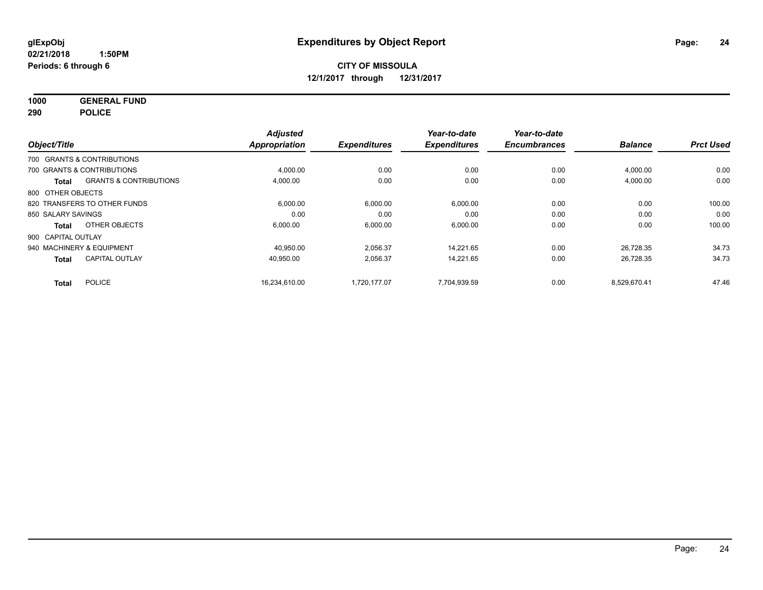**1000 GENERAL FUND**

**290 POLICE**

| Object/Title       |                                   | <b>Adjusted</b><br>Appropriation | <b>Expenditures</b> | Year-to-date<br><b>Expenditures</b> | Year-to-date<br><b>Encumbrances</b> | <b>Balance</b> | <b>Prct Used</b> |
|--------------------|-----------------------------------|----------------------------------|---------------------|-------------------------------------|-------------------------------------|----------------|------------------|
|                    | 700 GRANTS & CONTRIBUTIONS        |                                  |                     |                                     |                                     |                |                  |
|                    | 700 GRANTS & CONTRIBUTIONS        | 4.000.00                         | 0.00                | 0.00                                | 0.00                                | 4,000.00       | 0.00             |
| <b>Total</b>       | <b>GRANTS &amp; CONTRIBUTIONS</b> | 4.000.00                         | 0.00                | 0.00                                | 0.00                                | 4,000.00       | 0.00             |
| 800 OTHER OBJECTS  |                                   |                                  |                     |                                     |                                     |                |                  |
|                    | 820 TRANSFERS TO OTHER FUNDS      | 6,000.00                         | 6,000.00            | 6,000.00                            | 0.00                                | 0.00           | 100.00           |
| 850 SALARY SAVINGS |                                   | 0.00                             | 0.00                | 0.00                                | 0.00                                | 0.00           | 0.00             |
| Total              | OTHER OBJECTS                     | 6.000.00                         | 6,000.00            | 6,000.00                            | 0.00                                | 0.00           | 100.00           |
| 900 CAPITAL OUTLAY |                                   |                                  |                     |                                     |                                     |                |                  |
|                    | 940 MACHINERY & EQUIPMENT         | 40.950.00                        | 2,056.37            | 14,221.65                           | 0.00                                | 26.728.35      | 34.73            |
| <b>Total</b>       | <b>CAPITAL OUTLAY</b>             | 40.950.00                        | 2,056.37            | 14,221.65                           | 0.00                                | 26.728.35      | 34.73            |
| <b>Total</b>       | <b>POLICE</b>                     | 16,234,610.00                    | 1,720,177.07        | 7,704,939.59                        | 0.00                                | 8,529,670.41   | 47.46            |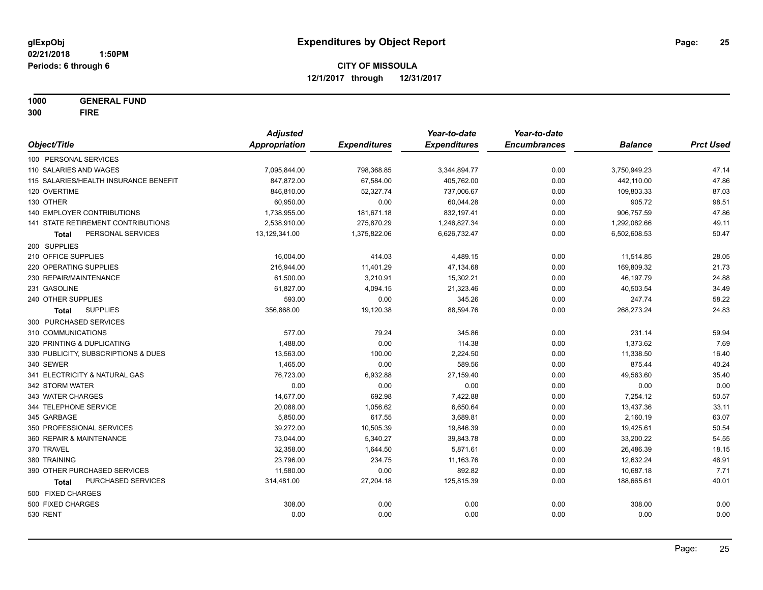**1000 GENERAL FUND 300 FIRE**

|                                       | <b>Adjusted</b> |                     | Year-to-date        | Year-to-date        |                |                  |
|---------------------------------------|-----------------|---------------------|---------------------|---------------------|----------------|------------------|
| Object/Title                          | Appropriation   | <b>Expenditures</b> | <b>Expenditures</b> | <b>Encumbrances</b> | <b>Balance</b> | <b>Prct Used</b> |
| 100 PERSONAL SERVICES                 |                 |                     |                     |                     |                |                  |
| 110 SALARIES AND WAGES                | 7,095,844.00    | 798,368.85          | 3,344,894.77        | 0.00                | 3,750,949.23   | 47.14            |
| 115 SALARIES/HEALTH INSURANCE BENEFIT | 847,872.00      | 67,584.00           | 405,762.00          | 0.00                | 442,110.00     | 47.86            |
| 120 OVERTIME                          | 846,810.00      | 52,327.74           | 737,006.67          | 0.00                | 109,803.33     | 87.03            |
| 130 OTHER                             | 60,950.00       | 0.00                | 60,044.28           | 0.00                | 905.72         | 98.51            |
| <b>140 EMPLOYER CONTRIBUTIONS</b>     | 1,738,955.00    | 181,671.18          | 832,197.41          | 0.00                | 906,757.59     | 47.86            |
| 141 STATE RETIREMENT CONTRIBUTIONS    | 2,538,910.00    | 275,870.29          | 1,246,827.34        | 0.00                | 1,292,082.66   | 49.11            |
| PERSONAL SERVICES<br><b>Total</b>     | 13,129,341.00   | 1,375,822.06        | 6,626,732.47        | 0.00                | 6,502,608.53   | 50.47            |
| 200 SUPPLIES                          |                 |                     |                     |                     |                |                  |
| 210 OFFICE SUPPLIES                   | 16,004.00       | 414.03              | 4,489.15            | 0.00                | 11,514.85      | 28.05            |
| 220 OPERATING SUPPLIES                | 216,944.00      | 11,401.29           | 47,134.68           | 0.00                | 169,809.32     | 21.73            |
| 230 REPAIR/MAINTENANCE                | 61,500.00       | 3,210.91            | 15,302.21           | 0.00                | 46,197.79      | 24.88            |
| 231 GASOLINE                          | 61,827.00       | 4,094.15            | 21,323.46           | 0.00                | 40,503.54      | 34.49            |
| 240 OTHER SUPPLIES                    | 593.00          | 0.00                | 345.26              | 0.00                | 247.74         | 58.22            |
| <b>SUPPLIES</b><br>Total              | 356,868.00      | 19,120.38           | 88,594.76           | 0.00                | 268,273.24     | 24.83            |
| 300 PURCHASED SERVICES                |                 |                     |                     |                     |                |                  |
| 310 COMMUNICATIONS                    | 577.00          | 79.24               | 345.86              | 0.00                | 231.14         | 59.94            |
| 320 PRINTING & DUPLICATING            | 1,488.00        | 0.00                | 114.38              | 0.00                | 1,373.62       | 7.69             |
| 330 PUBLICITY, SUBSCRIPTIONS & DUES   | 13,563.00       | 100.00              | 2,224.50            | 0.00                | 11,338.50      | 16.40            |
| 340 SEWER                             | 1,465.00        | 0.00                | 589.56              | 0.00                | 875.44         | 40.24            |
| 341 ELECTRICITY & NATURAL GAS         | 76,723.00       | 6,932.88            | 27,159.40           | 0.00                | 49,563.60      | 35.40            |
| 342 STORM WATER                       | 0.00            | 0.00                | 0.00                | 0.00                | 0.00           | 0.00             |
| 343 WATER CHARGES                     | 14,677.00       | 692.98              | 7,422.88            | 0.00                | 7,254.12       | 50.57            |
| 344 TELEPHONE SERVICE                 | 20,088.00       | 1,056.62            | 6,650.64            | 0.00                | 13,437.36      | 33.11            |
| 345 GARBAGE                           | 5,850.00        | 617.55              | 3,689.81            | 0.00                | 2,160.19       | 63.07            |
| 350 PROFESSIONAL SERVICES             | 39,272.00       | 10,505.39           | 19,846.39           | 0.00                | 19,425.61      | 50.54            |
| 360 REPAIR & MAINTENANCE              | 73,044.00       | 5,340.27            | 39,843.78           | 0.00                | 33,200.22      | 54.55            |
| 370 TRAVEL                            | 32,358.00       | 1,644.50            | 5,871.61            | 0.00                | 26,486.39      | 18.15            |
| 380 TRAINING                          | 23,796.00       | 234.75              | 11,163.76           | 0.00                | 12,632.24      | 46.91            |
| 390 OTHER PURCHASED SERVICES          | 11,580.00       | 0.00                | 892.82              | 0.00                | 10,687.18      | 7.71             |
| PURCHASED SERVICES<br><b>Total</b>    | 314,481.00      | 27,204.18           | 125,815.39          | 0.00                | 188,665.61     | 40.01            |
| 500 FIXED CHARGES                     |                 |                     |                     |                     |                |                  |
| 500 FIXED CHARGES                     | 308.00          | 0.00                | 0.00                | 0.00                | 308.00         | 0.00             |
| 530 RENT                              | 0.00            | 0.00                | 0.00                | 0.00                | 0.00           | 0.00             |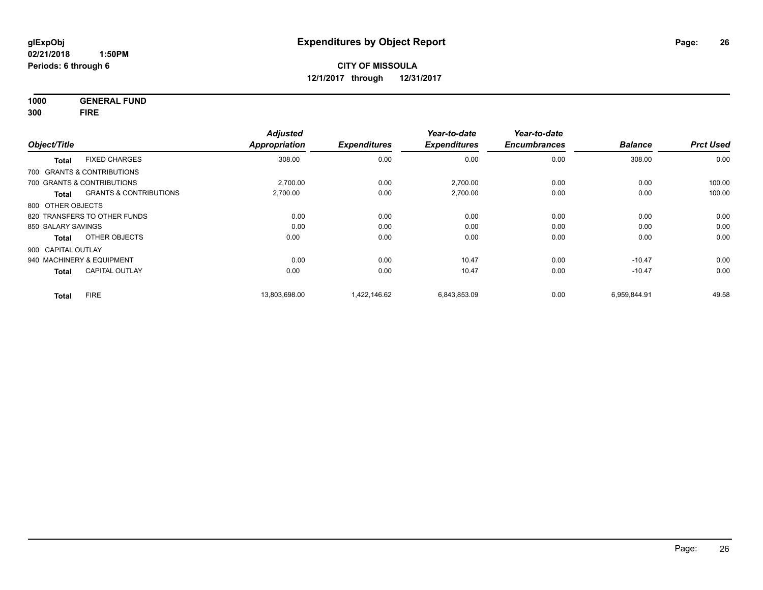**1000 GENERAL FUND 300 FIRE**

|                    |                                   | <b>Adjusted</b> |                     | Year-to-date        | Year-to-date        |                |                  |
|--------------------|-----------------------------------|-----------------|---------------------|---------------------|---------------------|----------------|------------------|
| Object/Title       |                                   | Appropriation   | <b>Expenditures</b> | <b>Expenditures</b> | <b>Encumbrances</b> | <b>Balance</b> | <b>Prct Used</b> |
| <b>Total</b>       | <b>FIXED CHARGES</b>              | 308.00          | 0.00                | 0.00                | 0.00                | 308.00         | 0.00             |
|                    | 700 GRANTS & CONTRIBUTIONS        |                 |                     |                     |                     |                |                  |
|                    | 700 GRANTS & CONTRIBUTIONS        | 2,700.00        | 0.00                | 2,700.00            | 0.00                | 0.00           | 100.00           |
| <b>Total</b>       | <b>GRANTS &amp; CONTRIBUTIONS</b> | 2,700.00        | 0.00                | 2,700.00            | 0.00                | 0.00           | 100.00           |
| 800 OTHER OBJECTS  |                                   |                 |                     |                     |                     |                |                  |
|                    | 820 TRANSFERS TO OTHER FUNDS      | 0.00            | 0.00                | 0.00                | 0.00                | 0.00           | 0.00             |
| 850 SALARY SAVINGS |                                   | 0.00            | 0.00                | 0.00                | 0.00                | 0.00           | 0.00             |
| <b>Total</b>       | OTHER OBJECTS                     | 0.00            | 0.00                | 0.00                | 0.00                | 0.00           | 0.00             |
| 900 CAPITAL OUTLAY |                                   |                 |                     |                     |                     |                |                  |
|                    | 940 MACHINERY & EQUIPMENT         | 0.00            | 0.00                | 10.47               | 0.00                | $-10.47$       | 0.00             |
| <b>Total</b>       | <b>CAPITAL OUTLAY</b>             | 0.00            | 0.00                | 10.47               | 0.00                | $-10.47$       | 0.00             |
| <b>Total</b>       | <b>FIRE</b>                       | 13,803,698.00   | 1,422,146.62        | 6,843,853.09        | 0.00                | 6,959,844.91   | 49.58            |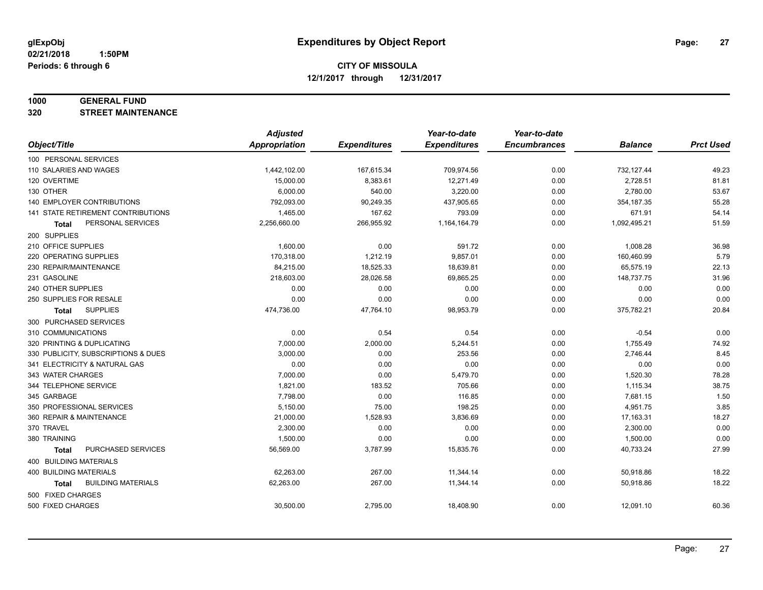#### **1000 GENERAL FUND**

**320 STREET MAINTENANCE**

|                                           | <b>Adjusted</b>      |                     | Year-to-date        | Year-to-date        |                |                  |
|-------------------------------------------|----------------------|---------------------|---------------------|---------------------|----------------|------------------|
| Object/Title                              | <b>Appropriation</b> | <b>Expenditures</b> | <b>Expenditures</b> | <b>Encumbrances</b> | <b>Balance</b> | <b>Prct Used</b> |
| 100 PERSONAL SERVICES                     |                      |                     |                     |                     |                |                  |
| 110 SALARIES AND WAGES                    | 1,442,102.00         | 167,615.34          | 709,974.56          | 0.00                | 732,127.44     | 49.23            |
| 120 OVERTIME                              | 15,000.00            | 8,383.61            | 12,271.49           | 0.00                | 2,728.51       | 81.81            |
| 130 OTHER                                 | 6,000.00             | 540.00              | 3,220.00            | 0.00                | 2,780.00       | 53.67            |
| 140 EMPLOYER CONTRIBUTIONS                | 792,093.00           | 90,249.35           | 437,905.65          | 0.00                | 354, 187. 35   | 55.28            |
| <b>141 STATE RETIREMENT CONTRIBUTIONS</b> | 1,465.00             | 167.62              | 793.09              | 0.00                | 671.91         | 54.14            |
| PERSONAL SERVICES<br>Total                | 2,256,660.00         | 266,955.92          | 1,164,164.79        | 0.00                | 1,092,495.21   | 51.59            |
| 200 SUPPLIES                              |                      |                     |                     |                     |                |                  |
| 210 OFFICE SUPPLIES                       | 1,600.00             | 0.00                | 591.72              | 0.00                | 1,008.28       | 36.98            |
| 220 OPERATING SUPPLIES                    | 170,318.00           | 1,212.19            | 9,857.01            | 0.00                | 160,460.99     | 5.79             |
| 230 REPAIR/MAINTENANCE                    | 84,215.00            | 18,525.33           | 18,639.81           | 0.00                | 65,575.19      | 22.13            |
| 231 GASOLINE                              | 218,603.00           | 28,026.58           | 69,865.25           | 0.00                | 148,737.75     | 31.96            |
| 240 OTHER SUPPLIES                        | 0.00                 | 0.00                | 0.00                | 0.00                | 0.00           | 0.00             |
| 250 SUPPLIES FOR RESALE                   | 0.00                 | 0.00                | 0.00                | 0.00                | 0.00           | 0.00             |
| <b>SUPPLIES</b><br><b>Total</b>           | 474,736.00           | 47,764.10           | 98,953.79           | 0.00                | 375,782.21     | 20.84            |
| 300 PURCHASED SERVICES                    |                      |                     |                     |                     |                |                  |
| 310 COMMUNICATIONS                        | 0.00                 | 0.54                | 0.54                | 0.00                | $-0.54$        | 0.00             |
| 320 PRINTING & DUPLICATING                | 7,000.00             | 2,000.00            | 5,244.51            | 0.00                | 1,755.49       | 74.92            |
| 330 PUBLICITY, SUBSCRIPTIONS & DUES       | 3,000.00             | 0.00                | 253.56              | 0.00                | 2,746.44       | 8.45             |
| 341 ELECTRICITY & NATURAL GAS             | 0.00                 | 0.00                | 0.00                | 0.00                | 0.00           | 0.00             |
| 343 WATER CHARGES                         | 7,000.00             | 0.00                | 5,479.70            | 0.00                | 1,520.30       | 78.28            |
| 344 TELEPHONE SERVICE                     | 1,821.00             | 183.52              | 705.66              | 0.00                | 1,115.34       | 38.75            |
| 345 GARBAGE                               | 7,798.00             | 0.00                | 116.85              | 0.00                | 7,681.15       | 1.50             |
| 350 PROFESSIONAL SERVICES                 | 5,150.00             | 75.00               | 198.25              | 0.00                | 4,951.75       | 3.85             |
| 360 REPAIR & MAINTENANCE                  | 21,000.00            | 1,528.93            | 3,836.69            | 0.00                | 17,163.31      | 18.27            |
| 370 TRAVEL                                | 2,300.00             | 0.00                | 0.00                | 0.00                | 2,300.00       | 0.00             |
| 380 TRAINING                              | 1,500.00             | 0.00                | 0.00                | 0.00                | 1,500.00       | 0.00             |
| PURCHASED SERVICES<br>Total               | 56,569.00            | 3,787.99            | 15,835.76           | 0.00                | 40,733.24      | 27.99            |
| 400 BUILDING MATERIALS                    |                      |                     |                     |                     |                |                  |
| <b>400 BUILDING MATERIALS</b>             | 62,263.00            | 267.00              | 11,344.14           | 0.00                | 50,918.86      | 18.22            |
| <b>BUILDING MATERIALS</b><br>Total        | 62,263.00            | 267.00              | 11,344.14           | 0.00                | 50,918.86      | 18.22            |
| 500 FIXED CHARGES                         |                      |                     |                     |                     |                |                  |
| 500 FIXED CHARGES                         | 30,500.00            | 2,795.00            | 18,408.90           | 0.00                | 12,091.10      | 60.36            |
|                                           |                      |                     |                     |                     |                |                  |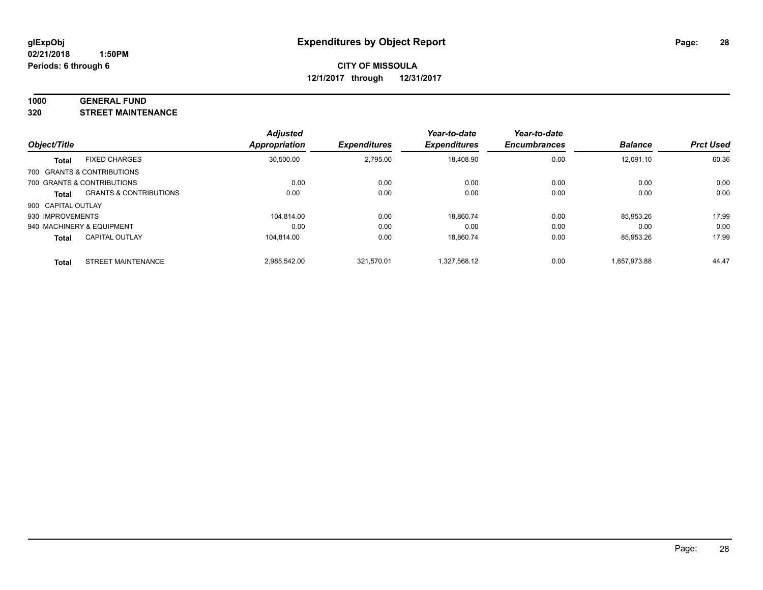#### **1000 GENERAL FUND**

**320 STREET MAINTENANCE**

| Object/Title              |                                   | <b>Adjusted</b><br><b>Appropriation</b> | <b>Expenditures</b> | Year-to-date<br><b>Expenditures</b> | Year-to-date<br><b>Encumbrances</b> | <b>Balance</b> | <b>Prct Used</b> |
|---------------------------|-----------------------------------|-----------------------------------------|---------------------|-------------------------------------|-------------------------------------|----------------|------------------|
|                           | <b>FIXED CHARGES</b>              | 30,500.00                               | 2,795.00            | 18,408.90                           | 0.00                                | 12,091.10      | 60.36            |
| <b>Total</b>              |                                   |                                         |                     |                                     |                                     |                |                  |
|                           | 700 GRANTS & CONTRIBUTIONS        |                                         |                     |                                     |                                     |                |                  |
|                           | 700 GRANTS & CONTRIBUTIONS        | 0.00                                    | 0.00                | 0.00                                | 0.00                                | 0.00           | 0.00             |
| Total                     | <b>GRANTS &amp; CONTRIBUTIONS</b> | 0.00                                    | 0.00                | 0.00                                | 0.00                                | 0.00           | 0.00             |
| 900 CAPITAL OUTLAY        |                                   |                                         |                     |                                     |                                     |                |                  |
| 930 IMPROVEMENTS          |                                   | 104.814.00                              | 0.00                | 18,860.74                           | 0.00                                | 85,953.26      | 17.99            |
| 940 MACHINERY & EQUIPMENT |                                   | 0.00                                    | 0.00                | 0.00                                | 0.00                                | 0.00           | 0.00             |
| <b>Total</b>              | <b>CAPITAL OUTLAY</b>             | 104.814.00                              | 0.00                | 18,860.74                           | 0.00                                | 85.953.26      | 17.99            |
| <b>Total</b>              | <b>STREET MAINTENANCE</b>         | 2,985,542.00                            | 321.570.01          | 1.327.568.12                        | 0.00                                | 1.657.973.88   | 44.47            |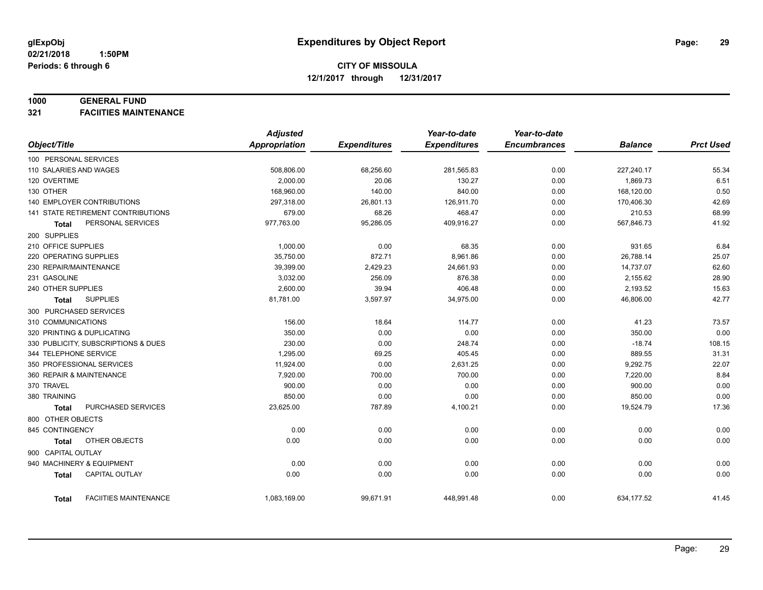#### **1000 GENERAL FUND**

**321 FACIITIES MAINTENANCE**

|                                              | <b>Adjusted</b> |                     | Year-to-date        | Year-to-date        |                |                  |
|----------------------------------------------|-----------------|---------------------|---------------------|---------------------|----------------|------------------|
| Object/Title                                 | Appropriation   | <b>Expenditures</b> | <b>Expenditures</b> | <b>Encumbrances</b> | <b>Balance</b> | <b>Prct Used</b> |
| 100 PERSONAL SERVICES                        |                 |                     |                     |                     |                |                  |
| 110 SALARIES AND WAGES                       | 508,806.00      | 68,256.60           | 281,565.83          | 0.00                | 227,240.17     | 55.34            |
| 120 OVERTIME                                 | 2,000.00        | 20.06               | 130.27              | 0.00                | 1,869.73       | 6.51             |
| 130 OTHER                                    | 168,960.00      | 140.00              | 840.00              | 0.00                | 168,120.00     | 0.50             |
| 140 EMPLOYER CONTRIBUTIONS                   | 297,318.00      | 26,801.13           | 126,911.70          | 0.00                | 170,406.30     | 42.69            |
| <b>141 STATE RETIREMENT CONTRIBUTIONS</b>    | 679.00          | 68.26               | 468.47              | 0.00                | 210.53         | 68.99            |
| PERSONAL SERVICES<br><b>Total</b>            | 977,763.00      | 95,286.05           | 409,916.27          | 0.00                | 567,846.73     | 41.92            |
| 200 SUPPLIES                                 |                 |                     |                     |                     |                |                  |
| 210 OFFICE SUPPLIES                          | 1,000.00        | 0.00                | 68.35               | 0.00                | 931.65         | 6.84             |
| 220 OPERATING SUPPLIES                       | 35,750.00       | 872.71              | 8,961.86            | 0.00                | 26,788.14      | 25.07            |
| 230 REPAIR/MAINTENANCE                       | 39,399.00       | 2,429.23            | 24,661.93           | 0.00                | 14,737.07      | 62.60            |
| 231 GASOLINE                                 | 3,032.00        | 256.09              | 876.38              | 0.00                | 2,155.62       | 28.90            |
| 240 OTHER SUPPLIES                           | 2,600.00        | 39.94               | 406.48              | 0.00                | 2,193.52       | 15.63            |
| <b>SUPPLIES</b><br><b>Total</b>              | 81,781.00       | 3,597.97            | 34,975.00           | 0.00                | 46,806.00      | 42.77            |
| 300 PURCHASED SERVICES                       |                 |                     |                     |                     |                |                  |
| 310 COMMUNICATIONS                           | 156.00          | 18.64               | 114.77              | 0.00                | 41.23          | 73.57            |
| 320 PRINTING & DUPLICATING                   | 350.00          | 0.00                | 0.00                | 0.00                | 350.00         | 0.00             |
| 330 PUBLICITY, SUBSCRIPTIONS & DUES          | 230.00          | 0.00                | 248.74              | 0.00                | $-18.74$       | 108.15           |
| 344 TELEPHONE SERVICE                        | 1,295.00        | 69.25               | 405.45              | 0.00                | 889.55         | 31.31            |
| 350 PROFESSIONAL SERVICES                    | 11,924.00       | 0.00                | 2,631.25            | 0.00                | 9,292.75       | 22.07            |
| 360 REPAIR & MAINTENANCE                     | 7,920.00        | 700.00              | 700.00              | 0.00                | 7,220.00       | 8.84             |
| 370 TRAVEL                                   | 900.00          | 0.00                | 0.00                | 0.00                | 900.00         | 0.00             |
| 380 TRAINING                                 | 850.00          | 0.00                | 0.00                | 0.00                | 850.00         | 0.00             |
| PURCHASED SERVICES<br><b>Total</b>           | 23,625.00       | 787.89              | 4,100.21            | 0.00                | 19,524.79      | 17.36            |
| 800 OTHER OBJECTS                            |                 |                     |                     |                     |                |                  |
| 845 CONTINGENCY                              | 0.00            | 0.00                | 0.00                | 0.00                | 0.00           | 0.00             |
| OTHER OBJECTS<br><b>Total</b>                | 0.00            | 0.00                | 0.00                | 0.00                | 0.00           | 0.00             |
| 900 CAPITAL OUTLAY                           |                 |                     |                     |                     |                |                  |
| 940 MACHINERY & EQUIPMENT                    | 0.00            | 0.00                | 0.00                | 0.00                | 0.00           | 0.00             |
| <b>CAPITAL OUTLAY</b><br><b>Total</b>        | 0.00            | 0.00                | 0.00                | 0.00                | 0.00           | 0.00             |
|                                              |                 |                     |                     |                     |                |                  |
| <b>FACIITIES MAINTENANCE</b><br><b>Total</b> | 1,083,169.00    | 99,671.91           | 448,991.48          | 0.00                | 634,177.52     | 41.45            |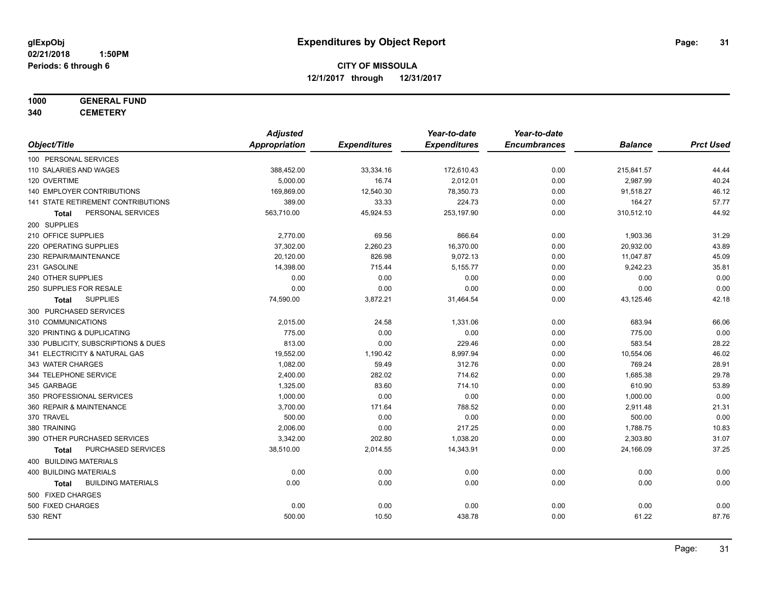# **1000 GENERAL FUND**

**340 CEMETERY**

|                                           | <b>Adjusted</b> |                     | Year-to-date        | Year-to-date        |                |                  |
|-------------------------------------------|-----------------|---------------------|---------------------|---------------------|----------------|------------------|
| Object/Title                              | Appropriation   | <b>Expenditures</b> | <b>Expenditures</b> | <b>Encumbrances</b> | <b>Balance</b> | <b>Prct Used</b> |
| 100 PERSONAL SERVICES                     |                 |                     |                     |                     |                |                  |
| 110 SALARIES AND WAGES                    | 388,452.00      | 33,334.16           | 172,610.43          | 0.00                | 215,841.57     | 44.44            |
| 120 OVERTIME                              | 5,000.00        | 16.74               | 2,012.01            | 0.00                | 2,987.99       | 40.24            |
| <b>140 EMPLOYER CONTRIBUTIONS</b>         | 169,869.00      | 12,540.30           | 78,350.73           | 0.00                | 91,518.27      | 46.12            |
| 141 STATE RETIREMENT CONTRIBUTIONS        | 389.00          | 33.33               | 224.73              | 0.00                | 164.27         | 57.77            |
| PERSONAL SERVICES<br>Total                | 563,710.00      | 45,924.53           | 253,197.90          | 0.00                | 310,512.10     | 44.92            |
| 200 SUPPLIES                              |                 |                     |                     |                     |                |                  |
| 210 OFFICE SUPPLIES                       | 2,770.00        | 69.56               | 866.64              | 0.00                | 1,903.36       | 31.29            |
| 220 OPERATING SUPPLIES                    | 37,302.00       | 2,260.23            | 16,370.00           | 0.00                | 20,932.00      | 43.89            |
| 230 REPAIR/MAINTENANCE                    | 20,120.00       | 826.98              | 9,072.13            | 0.00                | 11,047.87      | 45.09            |
| 231 GASOLINE                              | 14,398.00       | 715.44              | 5,155.77            | 0.00                | 9,242.23       | 35.81            |
| 240 OTHER SUPPLIES                        | 0.00            | 0.00                | 0.00                | 0.00                | 0.00           | 0.00             |
| 250 SUPPLIES FOR RESALE                   | 0.00            | 0.00                | 0.00                | 0.00                | 0.00           | 0.00             |
| <b>SUPPLIES</b><br>Total                  | 74,590.00       | 3,872.21            | 31,464.54           | 0.00                | 43,125.46      | 42.18            |
| 300 PURCHASED SERVICES                    |                 |                     |                     |                     |                |                  |
| 310 COMMUNICATIONS                        | 2,015.00        | 24.58               | 1,331.06            | 0.00                | 683.94         | 66.06            |
| 320 PRINTING & DUPLICATING                | 775.00          | 0.00                | 0.00                | 0.00                | 775.00         | 0.00             |
| 330 PUBLICITY, SUBSCRIPTIONS & DUES       | 813.00          | 0.00                | 229.46              | 0.00                | 583.54         | 28.22            |
| 341 ELECTRICITY & NATURAL GAS             | 19,552.00       | 1,190.42            | 8,997.94            | 0.00                | 10,554.06      | 46.02            |
| 343 WATER CHARGES                         | 1,082.00        | 59.49               | 312.76              | 0.00                | 769.24         | 28.91            |
| 344 TELEPHONE SERVICE                     | 2,400.00        | 282.02              | 714.62              | 0.00                | 1,685.38       | 29.78            |
| 345 GARBAGE                               | 1,325.00        | 83.60               | 714.10              | 0.00                | 610.90         | 53.89            |
| 350 PROFESSIONAL SERVICES                 | 1,000.00        | 0.00                | 0.00                | 0.00                | 1,000.00       | 0.00             |
| 360 REPAIR & MAINTENANCE                  | 3,700.00        | 171.64              | 788.52              | 0.00                | 2,911.48       | 21.31            |
| 370 TRAVEL                                | 500.00          | 0.00                | 0.00                | 0.00                | 500.00         | 0.00             |
| 380 TRAINING                              | 2,006.00        | 0.00                | 217.25              | 0.00                | 1,788.75       | 10.83            |
| 390 OTHER PURCHASED SERVICES              | 3,342.00        | 202.80              | 1,038.20            | 0.00                | 2,303.80       | 31.07            |
| PURCHASED SERVICES<br><b>Total</b>        | 38,510.00       | 2,014.55            | 14,343.91           | 0.00                | 24,166.09      | 37.25            |
| 400 BUILDING MATERIALS                    |                 |                     |                     |                     |                |                  |
| <b>400 BUILDING MATERIALS</b>             | 0.00            | 0.00                | 0.00                | 0.00                | 0.00           | 0.00             |
| <b>BUILDING MATERIALS</b><br><b>Total</b> | 0.00            | 0.00                | 0.00                | 0.00                | 0.00           | 0.00             |
| 500 FIXED CHARGES                         |                 |                     |                     |                     |                |                  |
| 500 FIXED CHARGES                         | 0.00            | 0.00                | 0.00                | 0.00                | 0.00           | 0.00             |
| <b>530 RENT</b>                           | 500.00          | 10.50               | 438.78              | 0.00                | 61.22          | 87.76            |
|                                           |                 |                     |                     |                     |                |                  |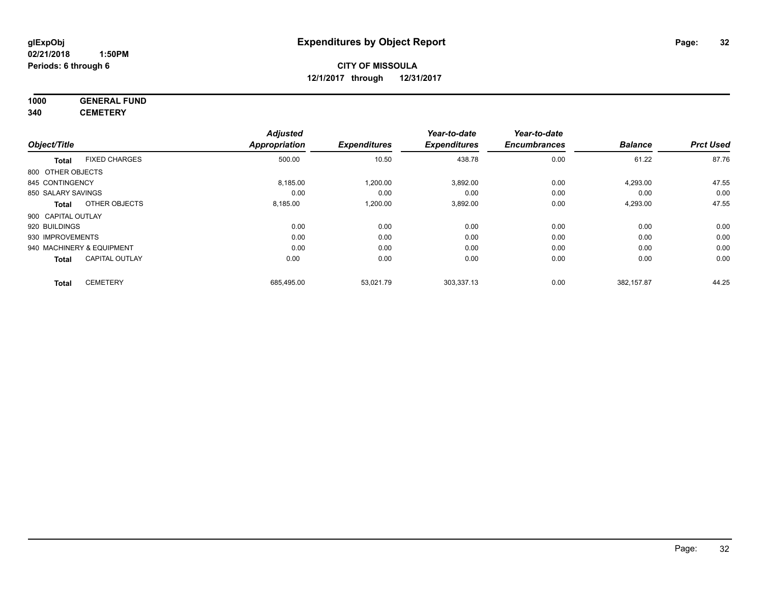#### **1000 GENERAL FUND 340 CEMETERY**

|                    |                           | <b>Adjusted</b>      |                     | Year-to-date        | Year-to-date        |                |                  |
|--------------------|---------------------------|----------------------|---------------------|---------------------|---------------------|----------------|------------------|
| Object/Title       |                           | <b>Appropriation</b> | <b>Expenditures</b> | <b>Expenditures</b> | <b>Encumbrances</b> | <b>Balance</b> | <b>Prct Used</b> |
| <b>Total</b>       | <b>FIXED CHARGES</b>      | 500.00               | 10.50               | 438.78              | 0.00                | 61.22          | 87.76            |
| 800 OTHER OBJECTS  |                           |                      |                     |                     |                     |                |                  |
| 845 CONTINGENCY    |                           | 8,185.00             | 1,200.00            | 3,892.00            | 0.00                | 4,293.00       | 47.55            |
| 850 SALARY SAVINGS |                           | 0.00                 | 0.00                | 0.00                | 0.00                | 0.00           | 0.00             |
| <b>Total</b>       | OTHER OBJECTS             | 8,185.00             | 1,200.00            | 3,892.00            | 0.00                | 4,293.00       | 47.55            |
| 900 CAPITAL OUTLAY |                           |                      |                     |                     |                     |                |                  |
| 920 BUILDINGS      |                           | 0.00                 | 0.00                | 0.00                | 0.00                | 0.00           | 0.00             |
| 930 IMPROVEMENTS   |                           | 0.00                 | 0.00                | 0.00                | 0.00                | 0.00           | 0.00             |
|                    | 940 MACHINERY & EQUIPMENT | 0.00                 | 0.00                | 0.00                | 0.00                | 0.00           | 0.00             |
| <b>Total</b>       | <b>CAPITAL OUTLAY</b>     | 0.00                 | 0.00                | 0.00                | 0.00                | 0.00           | 0.00             |
| <b>Total</b>       | <b>CEMETERY</b>           | 685,495.00           | 53,021.79           | 303,337.13          | 0.00                | 382,157.87     | 44.25            |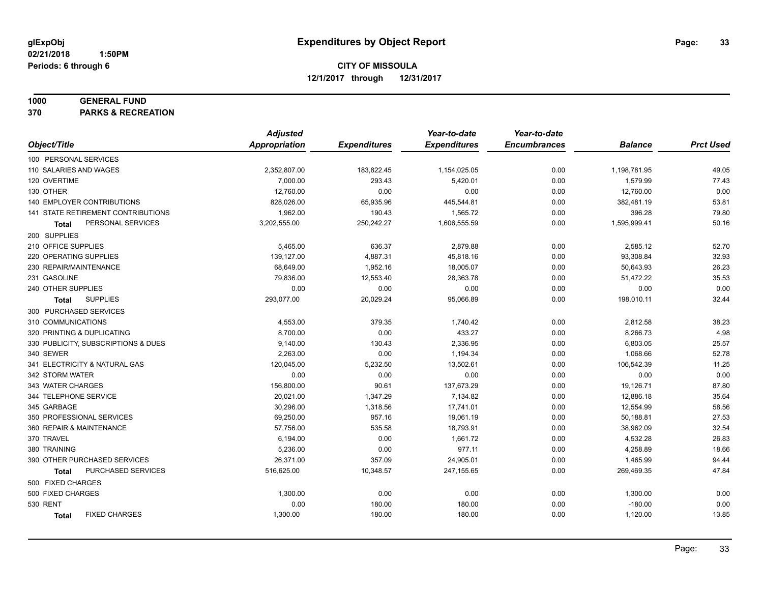#### **1000 GENERAL FUND**

**370 PARKS & RECREATION**

|                                      | <b>Adjusted</b>      |                     | Year-to-date        | Year-to-date        |                |                  |
|--------------------------------------|----------------------|---------------------|---------------------|---------------------|----------------|------------------|
| Object/Title                         | <b>Appropriation</b> | <b>Expenditures</b> | <b>Expenditures</b> | <b>Encumbrances</b> | <b>Balance</b> | <b>Prct Used</b> |
| 100 PERSONAL SERVICES                |                      |                     |                     |                     |                |                  |
| 110 SALARIES AND WAGES               | 2,352,807.00         | 183,822.45          | 1,154,025.05        | 0.00                | 1,198,781.95   | 49.05            |
| 120 OVERTIME                         | 7,000.00             | 293.43              | 5,420.01            | 0.00                | 1,579.99       | 77.43            |
| 130 OTHER                            | 12,760.00            | 0.00                | 0.00                | 0.00                | 12,760.00      | 0.00             |
| 140 EMPLOYER CONTRIBUTIONS           | 828,026.00           | 65,935.96           | 445,544.81          | 0.00                | 382,481.19     | 53.81            |
| 141 STATE RETIREMENT CONTRIBUTIONS   | 1,962.00             | 190.43              | 1,565.72            | 0.00                | 396.28         | 79.80            |
| PERSONAL SERVICES<br><b>Total</b>    | 3,202,555.00         | 250,242.27          | 1,606,555.59        | 0.00                | 1,595,999.41   | 50.16            |
| 200 SUPPLIES                         |                      |                     |                     |                     |                |                  |
| 210 OFFICE SUPPLIES                  | 5,465.00             | 636.37              | 2,879.88            | 0.00                | 2,585.12       | 52.70            |
| 220 OPERATING SUPPLIES               | 139,127.00           | 4,887.31            | 45,818.16           | 0.00                | 93,308.84      | 32.93            |
| 230 REPAIR/MAINTENANCE               | 68,649.00            | 1,952.16            | 18,005.07           | 0.00                | 50,643.93      | 26.23            |
| 231 GASOLINE                         | 79,836.00            | 12,553.40           | 28,363.78           | 0.00                | 51,472.22      | 35.53            |
| 240 OTHER SUPPLIES                   | 0.00                 | 0.00                | 0.00                | 0.00                | 0.00           | 0.00             |
| <b>SUPPLIES</b><br>Total             | 293,077.00           | 20,029.24           | 95,066.89           | 0.00                | 198,010.11     | 32.44            |
| 300 PURCHASED SERVICES               |                      |                     |                     |                     |                |                  |
| 310 COMMUNICATIONS                   | 4,553.00             | 379.35              | 1,740.42            | 0.00                | 2,812.58       | 38.23            |
| 320 PRINTING & DUPLICATING           | 8,700.00             | 0.00                | 433.27              | 0.00                | 8,266.73       | 4.98             |
| 330 PUBLICITY, SUBSCRIPTIONS & DUES  | 9,140.00             | 130.43              | 2,336.95            | 0.00                | 6,803.05       | 25.57            |
| 340 SEWER                            | 2,263.00             | 0.00                | 1,194.34            | 0.00                | 1,068.66       | 52.78            |
| 341 ELECTRICITY & NATURAL GAS        | 120,045.00           | 5,232.50            | 13,502.61           | 0.00                | 106,542.39     | 11.25            |
| 342 STORM WATER                      | 0.00                 | 0.00                | 0.00                | 0.00                | 0.00           | 0.00             |
| 343 WATER CHARGES                    | 156,800.00           | 90.61               | 137,673.29          | 0.00                | 19,126.71      | 87.80            |
| 344 TELEPHONE SERVICE                | 20,021.00            | 1,347.29            | 7,134.82            | 0.00                | 12,886.18      | 35.64            |
| 345 GARBAGE                          | 30,296.00            | 1,318.56            | 17,741.01           | 0.00                | 12,554.99      | 58.56            |
| 350 PROFESSIONAL SERVICES            | 69,250.00            | 957.16              | 19,061.19           | 0.00                | 50,188.81      | 27.53            |
| 360 REPAIR & MAINTENANCE             | 57,756.00            | 535.58              | 18,793.91           | 0.00                | 38,962.09      | 32.54            |
| 370 TRAVEL                           | 6,194.00             | 0.00                | 1,661.72            | 0.00                | 4,532.28       | 26.83            |
| 380 TRAINING                         | 5,236.00             | 0.00                | 977.11              | 0.00                | 4,258.89       | 18.66            |
| 390 OTHER PURCHASED SERVICES         | 26,371.00            | 357.09              | 24,905.01           | 0.00                | 1,465.99       | 94.44            |
| PURCHASED SERVICES<br><b>Total</b>   | 516,625.00           | 10,348.57           | 247, 155.65         | 0.00                | 269,469.35     | 47.84            |
| 500 FIXED CHARGES                    |                      |                     |                     |                     |                |                  |
| 500 FIXED CHARGES                    | 1,300.00             | 0.00                | 0.00                | 0.00                | 1,300.00       | 0.00             |
| <b>530 RENT</b>                      | 0.00                 | 180.00              | 180.00              | 0.00                | $-180.00$      | 0.00             |
| <b>FIXED CHARGES</b><br><b>Total</b> | 1,300.00             | 180.00              | 180.00              | 0.00                | 1,120.00       | 13.85            |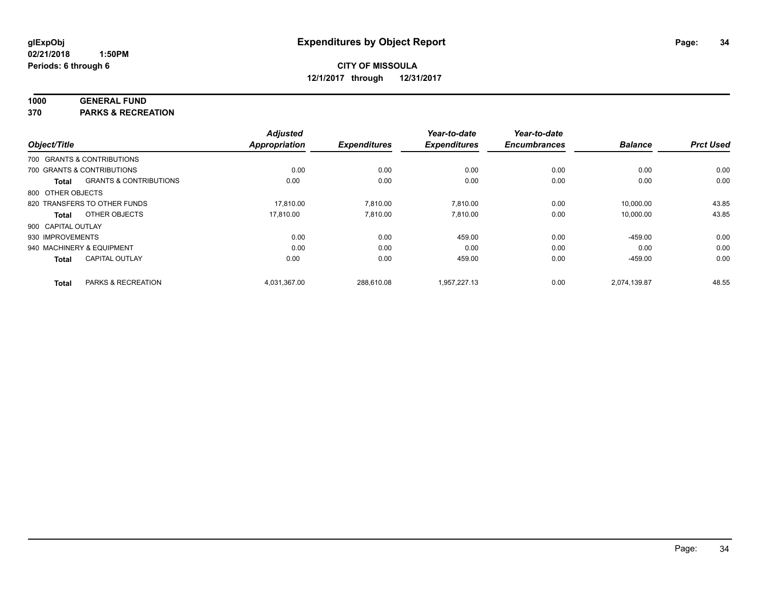## **1000 GENERAL FUND**

**370 PARKS & RECREATION**

|                    |                                   | <b>Adjusted</b>      |                     | Year-to-date        | Year-to-date        |                |                  |
|--------------------|-----------------------------------|----------------------|---------------------|---------------------|---------------------|----------------|------------------|
| Object/Title       |                                   | <b>Appropriation</b> | <b>Expenditures</b> | <b>Expenditures</b> | <b>Encumbrances</b> | <b>Balance</b> | <b>Prct Used</b> |
|                    | 700 GRANTS & CONTRIBUTIONS        |                      |                     |                     |                     |                |                  |
|                    | 700 GRANTS & CONTRIBUTIONS        | 0.00                 | 0.00                | 0.00                | 0.00                | 0.00           | 0.00             |
| Total              | <b>GRANTS &amp; CONTRIBUTIONS</b> | 0.00                 | 0.00                | 0.00                | 0.00                | 0.00           | 0.00             |
| 800 OTHER OBJECTS  |                                   |                      |                     |                     |                     |                |                  |
|                    | 820 TRANSFERS TO OTHER FUNDS      | 17.810.00            | 7,810.00            | 7.810.00            | 0.00                | 10.000.00      | 43.85            |
| <b>Total</b>       | OTHER OBJECTS                     | 17,810.00            | 7,810.00            | 7.810.00            | 0.00                | 10.000.00      | 43.85            |
| 900 CAPITAL OUTLAY |                                   |                      |                     |                     |                     |                |                  |
| 930 IMPROVEMENTS   |                                   | 0.00                 | 0.00                | 459.00              | 0.00                | $-459.00$      | 0.00             |
|                    | 940 MACHINERY & EQUIPMENT         | 0.00                 | 0.00                | 0.00                | 0.00                | 0.00           | 0.00             |
| <b>Total</b>       | <b>CAPITAL OUTLAY</b>             | 0.00                 | 0.00                | 459.00              | 0.00                | $-459.00$      | 0.00             |
| <b>Total</b>       | PARKS & RECREATION                | 4,031,367.00         | 288.610.08          | 1.957.227.13        | 0.00                | 2.074.139.87   | 48.55            |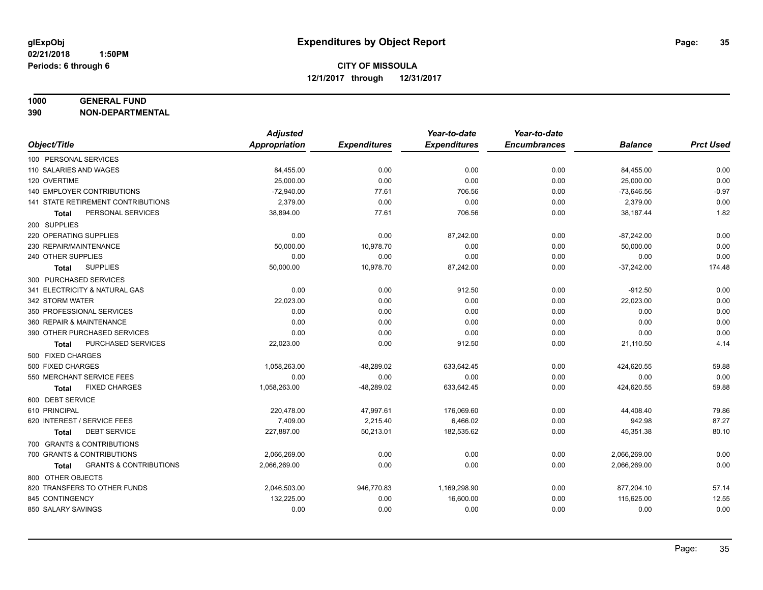#### **1000 GENERAL FUND**

**390 NON-DEPARTMENTAL**

|                                            | <b>Adjusted</b> |                     | Year-to-date        | Year-to-date        |                |                  |
|--------------------------------------------|-----------------|---------------------|---------------------|---------------------|----------------|------------------|
| Object/Title                               | Appropriation   | <b>Expenditures</b> | <b>Expenditures</b> | <b>Encumbrances</b> | <b>Balance</b> | <b>Prct Used</b> |
| 100 PERSONAL SERVICES                      |                 |                     |                     |                     |                |                  |
| 110 SALARIES AND WAGES                     | 84,455.00       | 0.00                | 0.00                | 0.00                | 84,455.00      | 0.00             |
| 120 OVERTIME                               | 25,000.00       | 0.00                | 0.00                | 0.00                | 25,000.00      | 0.00             |
| 140 EMPLOYER CONTRIBUTIONS                 | $-72,940.00$    | 77.61               | 706.56              | 0.00                | $-73,646.56$   | $-0.97$          |
| 141 STATE RETIREMENT CONTRIBUTIONS         | 2,379.00        | 0.00                | 0.00                | 0.00                | 2,379.00       | 0.00             |
| PERSONAL SERVICES<br>Total                 | 38,894.00       | 77.61               | 706.56              | 0.00                | 38,187.44      | 1.82             |
| 200 SUPPLIES                               |                 |                     |                     |                     |                |                  |
| 220 OPERATING SUPPLIES                     | 0.00            | 0.00                | 87,242.00           | 0.00                | $-87,242.00$   | 0.00             |
| 230 REPAIR/MAINTENANCE                     | 50,000.00       | 10,978.70           | 0.00                | 0.00                | 50,000.00      | 0.00             |
| 240 OTHER SUPPLIES                         | 0.00            | 0.00                | 0.00                | 0.00                | 0.00           | 0.00             |
| <b>SUPPLIES</b><br>Total                   | 50,000.00       | 10,978.70           | 87,242.00           | 0.00                | $-37,242.00$   | 174.48           |
| 300 PURCHASED SERVICES                     |                 |                     |                     |                     |                |                  |
| 341 ELECTRICITY & NATURAL GAS              | 0.00            | 0.00                | 912.50              | 0.00                | $-912.50$      | 0.00             |
| 342 STORM WATER                            | 22,023.00       | 0.00                | 0.00                | 0.00                | 22,023.00      | 0.00             |
| 350 PROFESSIONAL SERVICES                  | 0.00            | 0.00                | 0.00                | 0.00                | 0.00           | 0.00             |
| 360 REPAIR & MAINTENANCE                   | 0.00            | 0.00                | 0.00                | 0.00                | 0.00           | 0.00             |
| 390 OTHER PURCHASED SERVICES               | 0.00            | 0.00                | 0.00                | 0.00                | 0.00           | 0.00             |
| PURCHASED SERVICES<br>Total                | 22,023.00       | 0.00                | 912.50              | 0.00                | 21,110.50      | 4.14             |
| 500 FIXED CHARGES                          |                 |                     |                     |                     |                |                  |
| 500 FIXED CHARGES                          | 1,058,263.00    | $-48,289.02$        | 633,642.45          | 0.00                | 424,620.55     | 59.88            |
| 550 MERCHANT SERVICE FEES                  | 0.00            | 0.00                | 0.00                | 0.00                | 0.00           | 0.00             |
| <b>FIXED CHARGES</b><br>Total              | 1,058,263.00    | $-48,289.02$        | 633,642.45          | 0.00                | 424,620.55     | 59.88            |
| 600 DEBT SERVICE                           |                 |                     |                     |                     |                |                  |
| 610 PRINCIPAL                              | 220,478.00      | 47,997.61           | 176,069.60          | 0.00                | 44,408.40      | 79.86            |
| 620 INTEREST / SERVICE FEES                | 7.409.00        | 2,215.40            | 6,466.02            | 0.00                | 942.98         | 87.27            |
| <b>DEBT SERVICE</b><br><b>Total</b>        | 227,887.00      | 50,213.01           | 182,535.62          | 0.00                | 45,351.38      | 80.10            |
| 700 GRANTS & CONTRIBUTIONS                 |                 |                     |                     |                     |                |                  |
| 700 GRANTS & CONTRIBUTIONS                 | 2,066,269.00    | 0.00                | 0.00                | 0.00                | 2,066,269.00   | 0.00             |
| <b>GRANTS &amp; CONTRIBUTIONS</b><br>Total | 2,066,269.00    | 0.00                | 0.00                | 0.00                | 2,066,269.00   | 0.00             |
| 800 OTHER OBJECTS                          |                 |                     |                     |                     |                |                  |
| 820 TRANSFERS TO OTHER FUNDS               | 2,046,503.00    | 946,770.83          | 1,169,298.90        | 0.00                | 877,204.10     | 57.14            |
| 845 CONTINGENCY                            | 132,225.00      | 0.00                | 16,600.00           | 0.00                | 115,625.00     | 12.55            |
| 850 SALARY SAVINGS                         | 0.00            | 0.00                | 0.00                | 0.00                | 0.00           | 0.00             |
|                                            |                 |                     |                     |                     |                |                  |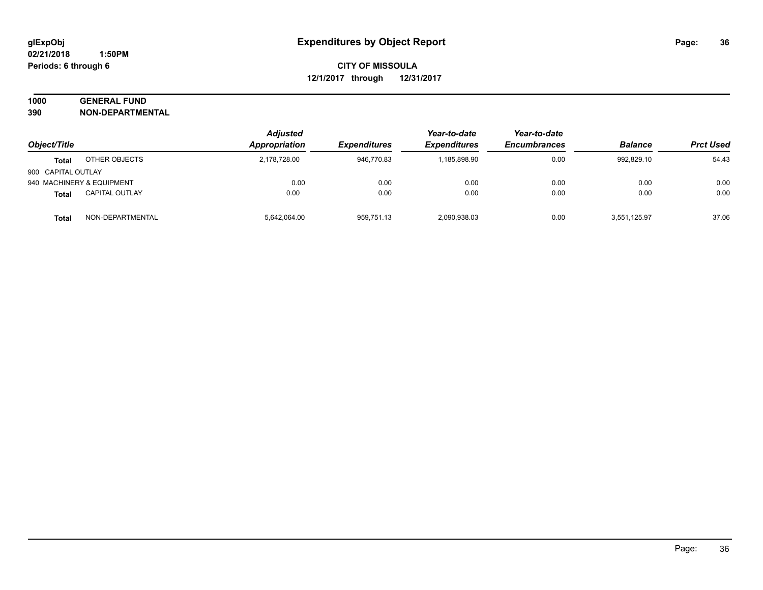# **1000 GENERAL FUND**

**390 NON-DEPARTMENTAL**

| Object/Title       |                           | <b>Adjusted</b><br>Appropriation<br><b>Expenditures</b> | Year-to-date | Year-to-date        |                     |                |                  |
|--------------------|---------------------------|---------------------------------------------------------|--------------|---------------------|---------------------|----------------|------------------|
|                    |                           |                                                         |              | <b>Expenditures</b> | <b>Encumbrances</b> | <b>Balance</b> | <b>Prct Used</b> |
| <b>Total</b>       | OTHER OBJECTS             | 2,178,728.00                                            | 946,770.83   | 1.185.898.90        | 0.00                | 992.829.10     | 54.43            |
| 900 CAPITAL OUTLAY |                           |                                                         |              |                     |                     |                |                  |
|                    | 940 MACHINERY & EQUIPMENT | 0.00                                                    | 0.00         | 0.00                | 0.00                | 0.00           | 0.00             |
| <b>Total</b>       | <b>CAPITAL OUTLAY</b>     | 0.00                                                    | 0.00         | 0.00                | 0.00                | 0.00           | 0.00             |
| Total              | NON-DEPARTMENTAL          | 5,642,064.00                                            | 959,751.13   | 2,090,938.03        | 0.00                | 3,551,125.97   | 37.06            |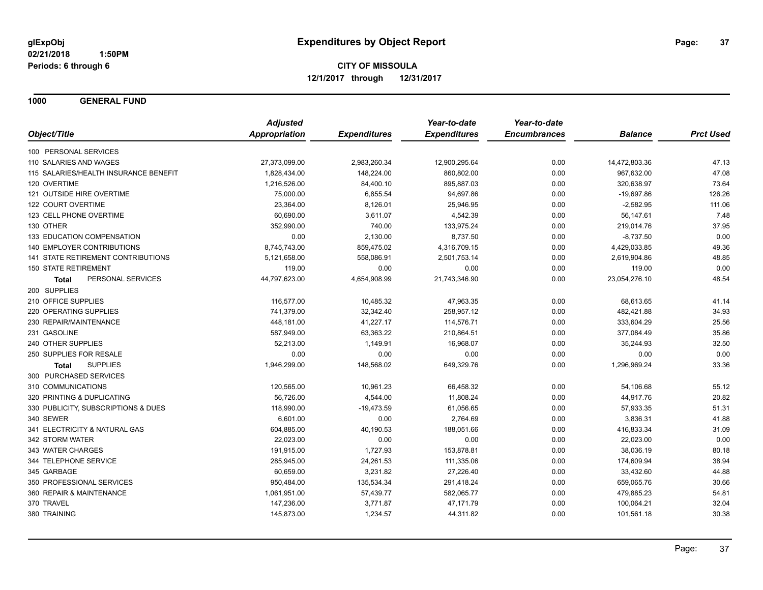**1000 GENERAL FUND**

|                                       | <b>Adjusted</b>      |                     | Year-to-date        | Year-to-date        |                |                  |
|---------------------------------------|----------------------|---------------------|---------------------|---------------------|----------------|------------------|
| Object/Title                          | <b>Appropriation</b> | <b>Expenditures</b> | <b>Expenditures</b> | <b>Encumbrances</b> | <b>Balance</b> | <b>Prct Used</b> |
| 100 PERSONAL SERVICES                 |                      |                     |                     |                     |                |                  |
| 110 SALARIES AND WAGES                | 27,373,099.00        | 2,983,260.34        | 12,900,295.64       | 0.00                | 14,472,803.36  | 47.13            |
| 115 SALARIES/HEALTH INSURANCE BENEFIT | 1,828,434.00         | 148,224.00          | 860,802.00          | 0.00                | 967,632.00     | 47.08            |
| 120 OVERTIME                          | 1,216,526.00         | 84,400.10           | 895,887.03          | 0.00                | 320,638.97     | 73.64            |
| 121 OUTSIDE HIRE OVERTIME             | 75,000.00            | 6,855.54            | 94,697.86           | 0.00                | $-19,697.86$   | 126.26           |
| 122 COURT OVERTIME                    | 23,364.00            | 8,126.01            | 25,946.95           | 0.00                | $-2,582.95$    | 111.06           |
| 123 CELL PHONE OVERTIME               | 60,690.00            | 3,611.07            | 4,542.39            | 0.00                | 56,147.61      | 7.48             |
| 130 OTHER                             | 352,990.00           | 740.00              | 133,975.24          | 0.00                | 219,014.76     | 37.95            |
| 133 EDUCATION COMPENSATION            | 0.00                 | 2,130.00            | 8,737.50            | 0.00                | $-8,737.50$    | 0.00             |
| 140 EMPLOYER CONTRIBUTIONS            | 8,745,743.00         | 859,475.02          | 4,316,709.15        | 0.00                | 4,429,033.85   | 49.36            |
| 141 STATE RETIREMENT CONTRIBUTIONS    | 5,121,658.00         | 558,086.91          | 2,501,753.14        | 0.00                | 2,619,904.86   | 48.85            |
| <b>150 STATE RETIREMENT</b>           | 119.00               | 0.00                | 0.00                | 0.00                | 119.00         | 0.00             |
| PERSONAL SERVICES<br>Total            | 44,797,623.00        | 4,654,908.99        | 21,743,346.90       | 0.00                | 23,054,276.10  | 48.54            |
| 200 SUPPLIES                          |                      |                     |                     |                     |                |                  |
| 210 OFFICE SUPPLIES                   | 116,577.00           | 10,485.32           | 47,963.35           | 0.00                | 68,613.65      | 41.14            |
| 220 OPERATING SUPPLIES                | 741,379.00           | 32,342.40           | 258,957.12          | 0.00                | 482,421.88     | 34.93            |
| 230 REPAIR/MAINTENANCE                | 448,181.00           | 41,227.17           | 114,576.71          | 0.00                | 333,604.29     | 25.56            |
| 231 GASOLINE                          | 587,949.00           | 63,363.22           | 210,864.51          | 0.00                | 377,084.49     | 35.86            |
| 240 OTHER SUPPLIES                    | 52,213.00            | 1,149.91            | 16,968.07           | 0.00                | 35,244.93      | 32.50            |
| 250 SUPPLIES FOR RESALE               | 0.00                 | 0.00                | 0.00                | 0.00                | 0.00           | 0.00             |
| <b>SUPPLIES</b><br><b>Total</b>       | 1,946,299.00         | 148,568.02          | 649,329.76          | 0.00                | 1,296,969.24   | 33.36            |
| 300 PURCHASED SERVICES                |                      |                     |                     |                     |                |                  |
| 310 COMMUNICATIONS                    | 120,565.00           | 10,961.23           | 66,458.32           | 0.00                | 54,106.68      | 55.12            |
| 320 PRINTING & DUPLICATING            | 56,726.00            | 4,544.00            | 11,808.24           | 0.00                | 44,917.76      | 20.82            |
| 330 PUBLICITY, SUBSCRIPTIONS & DUES   | 118,990.00           | $-19,473.59$        | 61,056.65           | 0.00                | 57,933.35      | 51.31            |
| 340 SEWER                             | 6,601.00             | 0.00                | 2,764.69            | 0.00                | 3,836.31       | 41.88            |
| 341 ELECTRICITY & NATURAL GAS         | 604,885.00           | 40,190.53           | 188,051.66          | 0.00                | 416,833.34     | 31.09            |
| 342 STORM WATER                       | 22.023.00            | 0.00                | 0.00                | 0.00                | 22,023.00      | 0.00             |
| 343 WATER CHARGES                     | 191,915.00           | 1,727.93            | 153,878.81          | 0.00                | 38,036.19      | 80.18            |
| 344 TELEPHONE SERVICE                 | 285,945.00           | 24,261.53           | 111,335.06          | 0.00                | 174,609.94     | 38.94            |
| 345 GARBAGE                           | 60,659.00            | 3,231.82            | 27,226.40           | 0.00                | 33,432.60      | 44.88            |
| 350 PROFESSIONAL SERVICES             | 950,484.00           | 135,534.34          | 291,418.24          | 0.00                | 659,065.76     | 30.66            |
| 360 REPAIR & MAINTENANCE              | 1,061,951.00         | 57,439.77           | 582,065.77          | 0.00                | 479,885.23     | 54.81            |
| 370 TRAVEL                            | 147,236.00           | 3,771.87            | 47,171.79           | 0.00                | 100,064.21     | 32.04            |
| 380 TRAINING                          | 145,873.00           | 1,234.57            | 44,311.82           | 0.00                | 101,561.18     | 30.38            |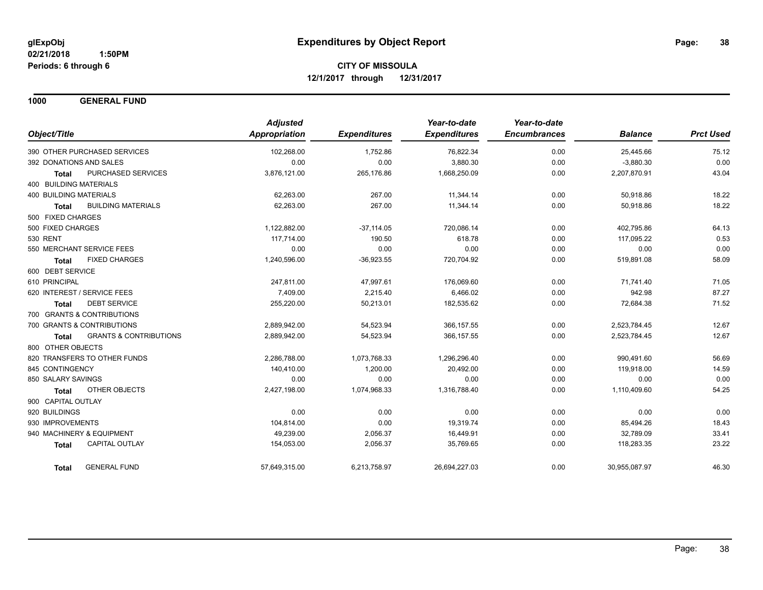**1000 GENERAL FUND**

|                                           |                                   | <b>Adjusted</b> |                     | Year-to-date        | Year-to-date        |                |                  |
|-------------------------------------------|-----------------------------------|-----------------|---------------------|---------------------|---------------------|----------------|------------------|
| Object/Title                              |                                   | Appropriation   | <b>Expenditures</b> | <b>Expenditures</b> | <b>Encumbrances</b> | <b>Balance</b> | <b>Prct Used</b> |
| 390 OTHER PURCHASED SERVICES              |                                   | 102,268.00      | 1,752.86            | 76,822.34           | 0.00                | 25,445.66      | 75.12            |
| 392 DONATIONS AND SALES                   |                                   | 0.00            | 0.00                | 3,880.30            | 0.00                | $-3,880.30$    | 0.00             |
| PURCHASED SERVICES<br><b>Total</b>        |                                   | 3,876,121.00    | 265,176.86          | 1,668,250.09        | 0.00                | 2,207,870.91   | 43.04            |
| 400 BUILDING MATERIALS                    |                                   |                 |                     |                     |                     |                |                  |
| <b>400 BUILDING MATERIALS</b>             |                                   | 62,263.00       | 267.00              | 11,344.14           | 0.00                | 50,918.86      | 18.22            |
| <b>BUILDING MATERIALS</b><br><b>Total</b> |                                   | 62,263.00       | 267.00              | 11,344.14           | 0.00                | 50,918.86      | 18.22            |
| 500 FIXED CHARGES                         |                                   |                 |                     |                     |                     |                |                  |
| 500 FIXED CHARGES                         |                                   | 1,122,882.00    | $-37,114.05$        | 720,086.14          | 0.00                | 402,795.86     | 64.13            |
| <b>530 RENT</b>                           |                                   | 117,714.00      | 190.50              | 618.78              | 0.00                | 117,095.22     | 0.53             |
| 550 MERCHANT SERVICE FEES                 |                                   | 0.00            | 0.00                | 0.00                | 0.00                | 0.00           | 0.00             |
| <b>FIXED CHARGES</b><br><b>Total</b>      |                                   | 1,240,596.00    | $-36,923.55$        | 720,704.92          | 0.00                | 519,891.08     | 58.09            |
| 600 DEBT SERVICE                          |                                   |                 |                     |                     |                     |                |                  |
| 610 PRINCIPAL                             |                                   | 247,811.00      | 47,997.61           | 176,069.60          | 0.00                | 71,741.40      | 71.05            |
| 620 INTEREST / SERVICE FEES               |                                   | 7,409.00        | 2,215.40            | 6,466.02            | 0.00                | 942.98         | 87.27            |
| <b>DEBT SERVICE</b><br><b>Total</b>       |                                   | 255,220.00      | 50,213.01           | 182,535.62          | 0.00                | 72,684.38      | 71.52            |
| 700 GRANTS & CONTRIBUTIONS                |                                   |                 |                     |                     |                     |                |                  |
| 700 GRANTS & CONTRIBUTIONS                |                                   | 2,889,942.00    | 54,523.94           | 366, 157.55         | 0.00                | 2,523,784.45   | 12.67            |
| Total                                     | <b>GRANTS &amp; CONTRIBUTIONS</b> | 2,889,942.00    | 54,523.94           | 366,157.55          | 0.00                | 2,523,784.45   | 12.67            |
| 800 OTHER OBJECTS                         |                                   |                 |                     |                     |                     |                |                  |
| 820 TRANSFERS TO OTHER FUNDS              |                                   | 2,286,788.00    | 1,073,768.33        | 1,296,296.40        | 0.00                | 990,491.60     | 56.69            |
| 845 CONTINGENCY                           |                                   | 140,410.00      | 1,200.00            | 20,492.00           | 0.00                | 119,918.00     | 14.59            |
| 850 SALARY SAVINGS                        |                                   | 0.00            | 0.00                | 0.00                | 0.00                | 0.00           | 0.00             |
| OTHER OBJECTS<br><b>Total</b>             |                                   | 2,427,198.00    | 1,074,968.33        | 1,316,788.40        | 0.00                | 1,110,409.60   | 54.25            |
| 900 CAPITAL OUTLAY                        |                                   |                 |                     |                     |                     |                |                  |
| 920 BUILDINGS                             |                                   | 0.00            | 0.00                | 0.00                | 0.00                | 0.00           | 0.00             |
| 930 IMPROVEMENTS                          |                                   | 104,814.00      | 0.00                | 19,319.74           | 0.00                | 85,494.26      | 18.43            |
| 940 MACHINERY & EQUIPMENT                 |                                   | 49,239.00       | 2,056.37            | 16,449.91           | 0.00                | 32,789.09      | 33.41            |
| <b>CAPITAL OUTLAY</b><br><b>Total</b>     |                                   | 154,053.00      | 2,056.37            | 35,769.65           | 0.00                | 118,283.35     | 23.22            |
| <b>GENERAL FUND</b><br><b>Total</b>       |                                   | 57,649,315.00   | 6,213,758.97        | 26,694,227.03       | 0.00                | 30,955,087.97  | 46.30            |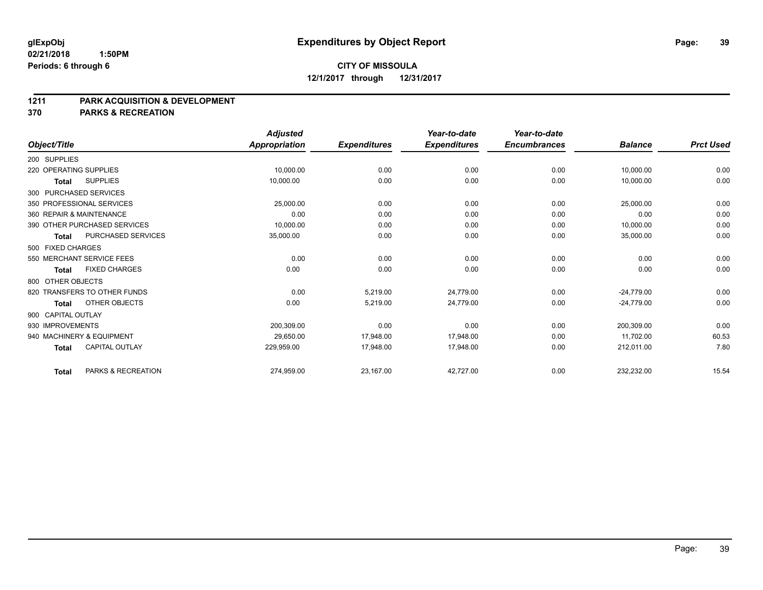#### **1211 PARK ACQUISITION & DEVELOPMENT**

| Object/Title                          |                           | <b>Adjusted</b><br><b>Appropriation</b> | <b>Expenditures</b> | Year-to-date<br><b>Expenditures</b> | Year-to-date<br><b>Encumbrances</b> | <b>Balance</b> | <b>Prct Used</b> |
|---------------------------------------|---------------------------|-----------------------------------------|---------------------|-------------------------------------|-------------------------------------|----------------|------------------|
| 200 SUPPLIES                          |                           |                                         |                     |                                     |                                     |                |                  |
| 220 OPERATING SUPPLIES                |                           | 10,000.00                               | 0.00                | 0.00                                | 0.00                                | 10,000.00      | 0.00             |
| <b>SUPPLIES</b><br><b>Total</b>       |                           | 10,000.00                               | 0.00                | 0.00                                | 0.00                                | 10,000.00      | 0.00             |
| 300 PURCHASED SERVICES                |                           |                                         |                     |                                     |                                     |                |                  |
| 350 PROFESSIONAL SERVICES             |                           | 25.000.00                               | 0.00                | 0.00                                | 0.00                                | 25,000.00      | 0.00             |
| 360 REPAIR & MAINTENANCE              |                           | 0.00                                    | 0.00                | 0.00                                | 0.00                                | 0.00           | 0.00             |
| 390 OTHER PURCHASED SERVICES          |                           | 10,000.00                               | 0.00                | 0.00                                | 0.00                                | 10,000.00      | 0.00             |
| Total                                 | <b>PURCHASED SERVICES</b> | 35,000.00                               | 0.00                | 0.00                                | 0.00                                | 35,000.00      | 0.00             |
| 500 FIXED CHARGES                     |                           |                                         |                     |                                     |                                     |                |                  |
| 550 MERCHANT SERVICE FEES             |                           | 0.00                                    | 0.00                | 0.00                                | 0.00                                | 0.00           | 0.00             |
| <b>FIXED CHARGES</b><br>Total         |                           | 0.00                                    | 0.00                | 0.00                                | 0.00                                | 0.00           | 0.00             |
| 800 OTHER OBJECTS                     |                           |                                         |                     |                                     |                                     |                |                  |
| 820 TRANSFERS TO OTHER FUNDS          |                           | 0.00                                    | 5,219.00            | 24,779.00                           | 0.00                                | $-24.779.00$   | 0.00             |
| <b>OTHER OBJECTS</b><br>Total         |                           | 0.00                                    | 5,219.00            | 24,779.00                           | 0.00                                | $-24,779.00$   | 0.00             |
| 900 CAPITAL OUTLAY                    |                           |                                         |                     |                                     |                                     |                |                  |
| 930 IMPROVEMENTS                      |                           | 200,309.00                              | 0.00                | 0.00                                | 0.00                                | 200,309.00     | 0.00             |
| 940 MACHINERY & EQUIPMENT             |                           | 29,650.00                               | 17,948.00           | 17.948.00                           | 0.00                                | 11.702.00      | 60.53            |
| <b>CAPITAL OUTLAY</b><br><b>Total</b> |                           | 229,959.00                              | 17,948.00           | 17,948.00                           | 0.00                                | 212,011.00     | 7.80             |
| <b>Total</b>                          | PARKS & RECREATION        | 274,959.00                              | 23,167.00           | 42,727.00                           | 0.00                                | 232,232.00     | 15.54            |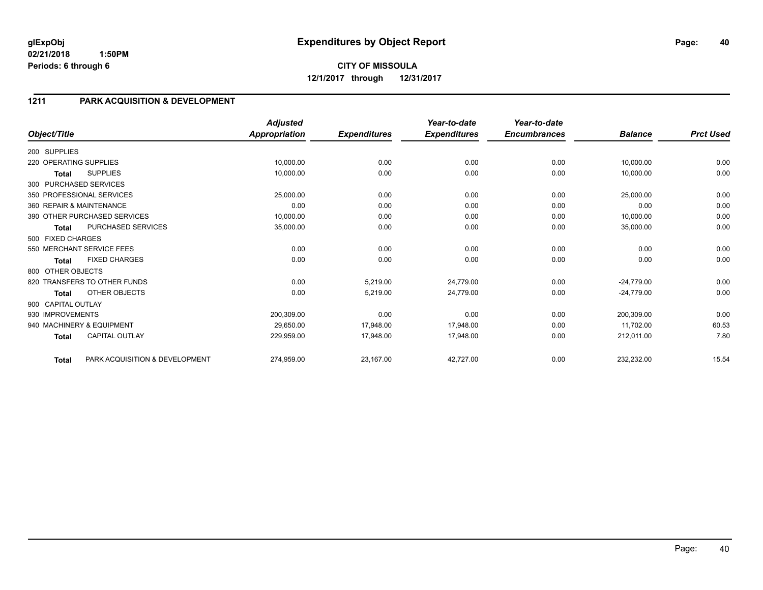## **1211 PARK ACQUISITION & DEVELOPMENT**

| Object/Title           |                                | <b>Adjusted</b><br><b>Appropriation</b> | <b>Expenditures</b> | Year-to-date<br><b>Expenditures</b> | Year-to-date<br><b>Encumbrances</b> | <b>Balance</b> | <b>Prct Used</b> |
|------------------------|--------------------------------|-----------------------------------------|---------------------|-------------------------------------|-------------------------------------|----------------|------------------|
|                        |                                |                                         |                     |                                     |                                     |                |                  |
| 200 SUPPLIES           |                                |                                         |                     |                                     |                                     |                |                  |
| 220 OPERATING SUPPLIES |                                | 10,000.00                               | 0.00                | 0.00                                | 0.00                                | 10,000.00      | 0.00             |
| <b>Total</b>           | <b>SUPPLIES</b>                | 10,000.00                               | 0.00                | 0.00                                | 0.00                                | 10,000.00      | 0.00             |
|                        | 300 PURCHASED SERVICES         |                                         |                     |                                     |                                     |                |                  |
|                        | 350 PROFESSIONAL SERVICES      | 25,000.00                               | 0.00                | 0.00                                | 0.00                                | 25,000.00      | 0.00             |
|                        | 360 REPAIR & MAINTENANCE       | 0.00                                    | 0.00                | 0.00                                | 0.00                                | 0.00           | 0.00             |
|                        | 390 OTHER PURCHASED SERVICES   | 10,000.00                               | 0.00                | 0.00                                | 0.00                                | 10,000.00      | 0.00             |
| <b>Total</b>           | PURCHASED SERVICES             | 35,000.00                               | 0.00                | 0.00                                | 0.00                                | 35,000.00      | 0.00             |
| 500 FIXED CHARGES      |                                |                                         |                     |                                     |                                     |                |                  |
|                        | 550 MERCHANT SERVICE FEES      | 0.00                                    | 0.00                | 0.00                                | 0.00                                | 0.00           | 0.00             |
| Total                  | <b>FIXED CHARGES</b>           | 0.00                                    | 0.00                | 0.00                                | 0.00                                | 0.00           | 0.00             |
| 800 OTHER OBJECTS      |                                |                                         |                     |                                     |                                     |                |                  |
|                        | 820 TRANSFERS TO OTHER FUNDS   | 0.00                                    | 5,219.00            | 24.779.00                           | 0.00                                | $-24.779.00$   | 0.00             |
| <b>Total</b>           | <b>OTHER OBJECTS</b>           | 0.00                                    | 5,219.00            | 24,779.00                           | 0.00                                | $-24,779.00$   | 0.00             |
| 900 CAPITAL OUTLAY     |                                |                                         |                     |                                     |                                     |                |                  |
| 930 IMPROVEMENTS       |                                | 200,309.00                              | 0.00                | 0.00                                | 0.00                                | 200,309.00     | 0.00             |
|                        | 940 MACHINERY & EQUIPMENT      | 29.650.00                               | 17.948.00           | 17.948.00                           | 0.00                                | 11,702.00      | 60.53            |
| <b>Total</b>           | <b>CAPITAL OUTLAY</b>          | 229,959.00                              | 17,948.00           | 17,948.00                           | 0.00                                | 212,011.00     | 7.80             |
| <b>Total</b>           | PARK ACQUISITION & DEVELOPMENT | 274,959.00                              | 23,167.00           | 42,727.00                           | 0.00                                | 232,232.00     | 15.54            |

Page: 40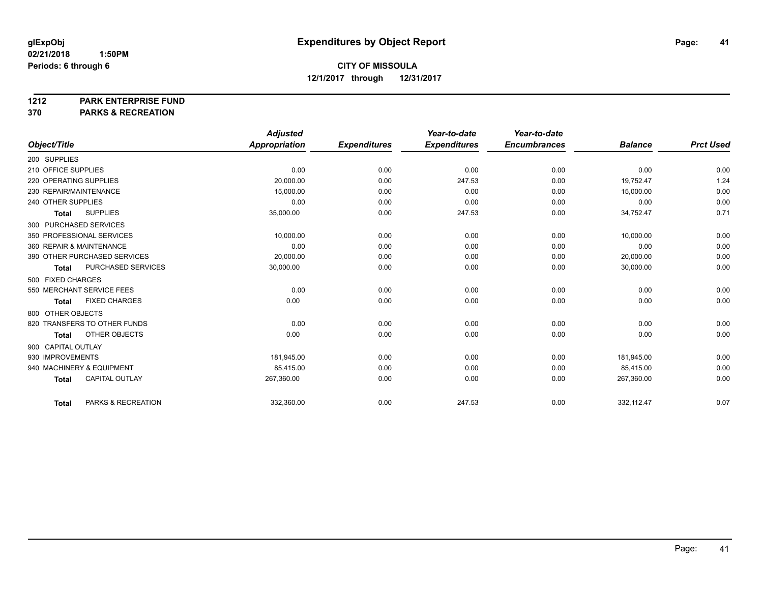**1212 PARK ENTERPRISE FUND**

|                                       | <b>Adjusted</b>      |                     | Year-to-date        | Year-to-date        |                |                  |
|---------------------------------------|----------------------|---------------------|---------------------|---------------------|----------------|------------------|
| Object/Title                          | <b>Appropriation</b> | <b>Expenditures</b> | <b>Expenditures</b> | <b>Encumbrances</b> | <b>Balance</b> | <b>Prct Used</b> |
| 200 SUPPLIES                          |                      |                     |                     |                     |                |                  |
| 210 OFFICE SUPPLIES                   | 0.00                 | 0.00                | 0.00                | 0.00                | 0.00           | 0.00             |
| 220 OPERATING SUPPLIES                | 20,000.00            | 0.00                | 247.53              | 0.00                | 19,752.47      | 1.24             |
| 230 REPAIR/MAINTENANCE                | 15,000.00            | 0.00                | 0.00                | 0.00                | 15,000.00      | 0.00             |
| 240 OTHER SUPPLIES                    | 0.00                 | 0.00                | 0.00                | 0.00                | 0.00           | 0.00             |
| <b>SUPPLIES</b><br><b>Total</b>       | 35,000.00            | 0.00                | 247.53              | 0.00                | 34,752.47      | 0.71             |
| 300 PURCHASED SERVICES                |                      |                     |                     |                     |                |                  |
| 350 PROFESSIONAL SERVICES             | 10,000.00            | 0.00                | 0.00                | 0.00                | 10,000.00      | 0.00             |
| 360 REPAIR & MAINTENANCE              | 0.00                 | 0.00                | 0.00                | 0.00                | 0.00           | 0.00             |
| 390 OTHER PURCHASED SERVICES          | 20,000.00            | 0.00                | 0.00                | 0.00                | 20,000.00      | 0.00             |
| PURCHASED SERVICES<br>Total           | 30,000.00            | 0.00                | 0.00                | 0.00                | 30,000.00      | 0.00             |
| 500 FIXED CHARGES                     |                      |                     |                     |                     |                |                  |
| 550 MERCHANT SERVICE FEES             | 0.00                 | 0.00                | 0.00                | 0.00                | 0.00           | 0.00             |
| <b>FIXED CHARGES</b><br><b>Total</b>  | 0.00                 | 0.00                | 0.00                | 0.00                | 0.00           | 0.00             |
| 800 OTHER OBJECTS                     |                      |                     |                     |                     |                |                  |
| 820 TRANSFERS TO OTHER FUNDS          | 0.00                 | 0.00                | 0.00                | 0.00                | 0.00           | 0.00             |
| OTHER OBJECTS<br><b>Total</b>         | 0.00                 | 0.00                | 0.00                | 0.00                | 0.00           | 0.00             |
| 900 CAPITAL OUTLAY                    |                      |                     |                     |                     |                |                  |
| 930 IMPROVEMENTS                      | 181,945.00           | 0.00                | 0.00                | 0.00                | 181,945.00     | 0.00             |
| 940 MACHINERY & EQUIPMENT             | 85,415.00            | 0.00                | 0.00                | 0.00                | 85,415.00      | 0.00             |
| <b>CAPITAL OUTLAY</b><br><b>Total</b> | 267,360.00           | 0.00                | 0.00                | 0.00                | 267,360.00     | 0.00             |
|                                       |                      |                     |                     |                     |                |                  |
| PARKS & RECREATION<br><b>Total</b>    | 332,360.00           | 0.00                | 247.53              | 0.00                | 332,112.47     | 0.07             |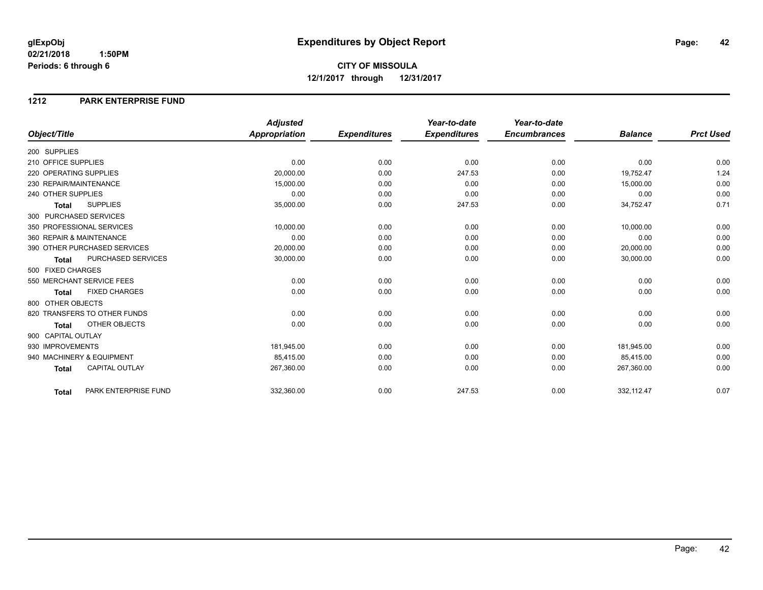#### **1212 PARK ENTERPRISE FUND**

|                                           | <b>Adjusted</b>      |                     | Year-to-date        | Year-to-date        |                |                  |
|-------------------------------------------|----------------------|---------------------|---------------------|---------------------|----------------|------------------|
| Object/Title                              | <b>Appropriation</b> | <b>Expenditures</b> | <b>Expenditures</b> | <b>Encumbrances</b> | <b>Balance</b> | <b>Prct Used</b> |
| 200 SUPPLIES                              |                      |                     |                     |                     |                |                  |
| 210 OFFICE SUPPLIES                       | 0.00                 | 0.00                | 0.00                | 0.00                | 0.00           | 0.00             |
| 220 OPERATING SUPPLIES                    | 20,000.00            | 0.00                | 247.53              | 0.00                | 19,752.47      | 1.24             |
| 230 REPAIR/MAINTENANCE                    | 15,000.00            | 0.00                | 0.00                | 0.00                | 15,000.00      | 0.00             |
| 240 OTHER SUPPLIES                        | 0.00                 | 0.00                | 0.00                | 0.00                | 0.00           | 0.00             |
| <b>SUPPLIES</b><br><b>Total</b>           | 35,000.00            | 0.00                | 247.53              | 0.00                | 34,752.47      | 0.71             |
| 300 PURCHASED SERVICES                    |                      |                     |                     |                     |                |                  |
| 350 PROFESSIONAL SERVICES                 | 10,000.00            | 0.00                | 0.00                | 0.00                | 10,000.00      | 0.00             |
| 360 REPAIR & MAINTENANCE                  | 0.00                 | 0.00                | 0.00                | 0.00                | 0.00           | 0.00             |
| 390 OTHER PURCHASED SERVICES              | 20,000.00            | 0.00                | 0.00                | 0.00                | 20,000.00      | 0.00             |
| <b>PURCHASED SERVICES</b><br><b>Total</b> | 30,000.00            | 0.00                | 0.00                | 0.00                | 30,000.00      | 0.00             |
| 500 FIXED CHARGES                         |                      |                     |                     |                     |                |                  |
| 550 MERCHANT SERVICE FEES                 | 0.00                 | 0.00                | 0.00                | 0.00                | 0.00           | 0.00             |
| <b>FIXED CHARGES</b><br><b>Total</b>      | 0.00                 | 0.00                | 0.00                | 0.00                | 0.00           | 0.00             |
| 800 OTHER OBJECTS                         |                      |                     |                     |                     |                |                  |
| 820 TRANSFERS TO OTHER FUNDS              | 0.00                 | 0.00                | 0.00                | 0.00                | 0.00           | 0.00             |
| <b>OTHER OBJECTS</b><br><b>Total</b>      | 0.00                 | 0.00                | 0.00                | 0.00                | 0.00           | 0.00             |
| 900 CAPITAL OUTLAY                        |                      |                     |                     |                     |                |                  |
| 930 IMPROVEMENTS                          | 181,945.00           | 0.00                | 0.00                | 0.00                | 181,945.00     | 0.00             |
| 940 MACHINERY & EQUIPMENT                 | 85,415.00            | 0.00                | 0.00                | 0.00                | 85,415.00      | 0.00             |
| <b>CAPITAL OUTLAY</b><br><b>Total</b>     | 267,360.00           | 0.00                | 0.00                | 0.00                | 267,360.00     | 0.00             |
| PARK ENTERPRISE FUND<br><b>Total</b>      | 332,360.00           | 0.00                | 247.53              | 0.00                | 332,112.47     | 0.07             |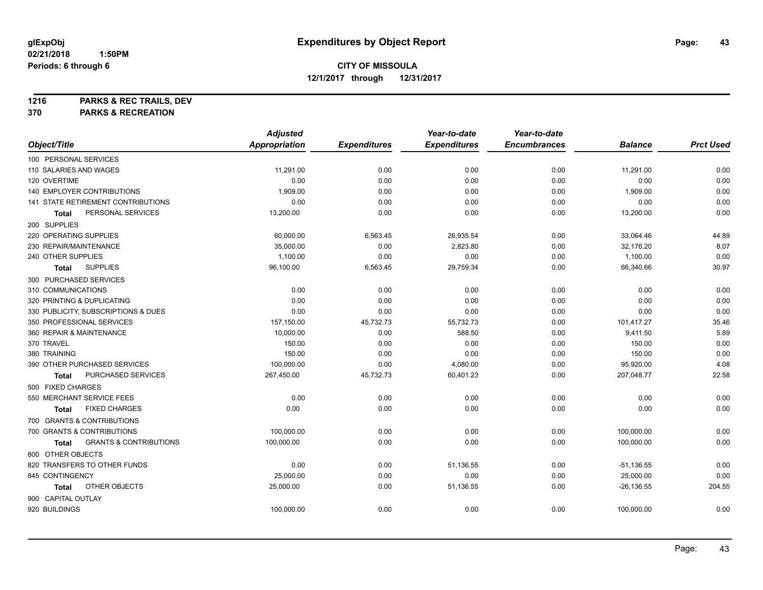**1216 PARKS & REC TRAILS, DEV**

|                                            | <b>Adjusted</b> |                     | Year-to-date        | Year-to-date        |                |                  |
|--------------------------------------------|-----------------|---------------------|---------------------|---------------------|----------------|------------------|
| Object/Title                               | Appropriation   | <b>Expenditures</b> | <b>Expenditures</b> | <b>Encumbrances</b> | <b>Balance</b> | <b>Prct Used</b> |
| 100 PERSONAL SERVICES                      |                 |                     |                     |                     |                |                  |
| 110 SALARIES AND WAGES                     | 11,291.00       | 0.00                | 0.00                | 0.00                | 11,291.00      | 0.00             |
| 120 OVERTIME                               | 0.00            | 0.00                | 0.00                | 0.00                | 0.00           | 0.00             |
| 140 EMPLOYER CONTRIBUTIONS                 | 1,909.00        | 0.00                | 0.00                | 0.00                | 1,909.00       | 0.00             |
| 141 STATE RETIREMENT CONTRIBUTIONS         | 0.00            | 0.00                | 0.00                | 0.00                | 0.00           | 0.00             |
| PERSONAL SERVICES<br>Total                 | 13,200.00       | 0.00                | 0.00                | 0.00                | 13,200.00      | 0.00             |
| 200 SUPPLIES                               |                 |                     |                     |                     |                |                  |
| 220 OPERATING SUPPLIES                     | 60,000.00       | 6,563.45            | 26,935.54           | 0.00                | 33,064.46      | 44.89            |
| 230 REPAIR/MAINTENANCE                     | 35,000.00       | 0.00                | 2,823.80            | 0.00                | 32,176.20      | 8.07             |
| 240 OTHER SUPPLIES                         | 1,100.00        | 0.00                | 0.00                | 0.00                | 1,100.00       | 0.00             |
| <b>SUPPLIES</b><br>Total                   | 96,100.00       | 6,563.45            | 29,759.34           | 0.00                | 66,340.66      | 30.97            |
| 300 PURCHASED SERVICES                     |                 |                     |                     |                     |                |                  |
| 310 COMMUNICATIONS                         | 0.00            | 0.00                | 0.00                | 0.00                | 0.00           | 0.00             |
| 320 PRINTING & DUPLICATING                 | 0.00            | 0.00                | 0.00                | 0.00                | 0.00           | 0.00             |
| 330 PUBLICITY, SUBSCRIPTIONS & DUES        | 0.00            | 0.00                | 0.00                | 0.00                | 0.00           | 0.00             |
| 350 PROFESSIONAL SERVICES                  | 157,150.00      | 45,732.73           | 55,732.73           | 0.00                | 101,417.27     | 35.46            |
| 360 REPAIR & MAINTENANCE                   | 10,000.00       | 0.00                | 588.50              | 0.00                | 9,411.50       | 5.89             |
| 370 TRAVEL                                 | 150.00          | 0.00                | 0.00                | 0.00                | 150.00         | 0.00             |
| 380 TRAINING                               | 150.00          | 0.00                | 0.00                | 0.00                | 150.00         | 0.00             |
| 390 OTHER PURCHASED SERVICES               | 100,000.00      | 0.00                | 4,080.00            | 0.00                | 95,920.00      | 4.08             |
| PURCHASED SERVICES<br><b>Total</b>         | 267,450.00      | 45,732.73           | 60,401.23           | 0.00                | 207,048.77     | 22.58            |
| 500 FIXED CHARGES                          |                 |                     |                     |                     |                |                  |
| 550 MERCHANT SERVICE FEES                  | 0.00            | 0.00                | 0.00                | 0.00                | 0.00           | 0.00             |
| <b>FIXED CHARGES</b><br><b>Total</b>       | 0.00            | 0.00                | 0.00                | 0.00                | 0.00           | 0.00             |
| 700 GRANTS & CONTRIBUTIONS                 |                 |                     |                     |                     |                |                  |
| 700 GRANTS & CONTRIBUTIONS                 | 100,000.00      | 0.00                | 0.00                | 0.00                | 100,000.00     | 0.00             |
| <b>GRANTS &amp; CONTRIBUTIONS</b><br>Total | 100,000.00      | 0.00                | 0.00                | 0.00                | 100,000.00     | 0.00             |
| 800 OTHER OBJECTS                          |                 |                     |                     |                     |                |                  |
| 820 TRANSFERS TO OTHER FUNDS               | 0.00            | 0.00                | 51,136.55           | 0.00                | $-51,136.55$   | 0.00             |
| 845 CONTINGENCY                            | 25,000.00       | 0.00                | 0.00                | 0.00                | 25,000.00      | 0.00             |
| OTHER OBJECTS<br>Total                     | 25,000.00       | 0.00                | 51,136.55           | 0.00                | $-26, 136.55$  | 204.55           |
| 900 CAPITAL OUTLAY                         |                 |                     |                     |                     |                |                  |
| 920 BUILDINGS                              | 100,000.00      | 0.00                | 0.00                | 0.00                | 100,000.00     | 0.00             |
|                                            |                 |                     |                     |                     |                |                  |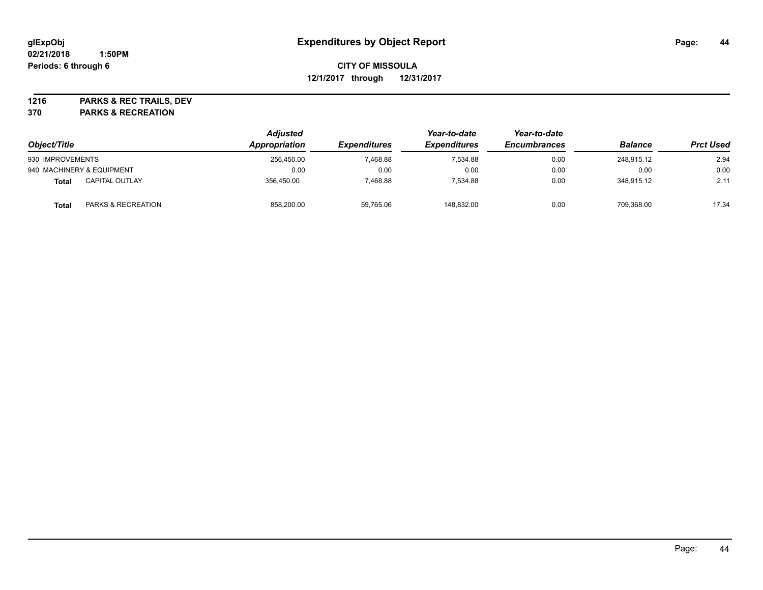**1216 PARKS & REC TRAILS, DEV**

| Object/Title              |                       | <b>Adjusted</b><br><b>Appropriation</b> | <i><b>Expenditures</b></i> | Year-to-date<br><b>Expenditures</b> | Year-to-date<br><b>Encumbrances</b> | <b>Balance</b> | <b>Prct Used</b> |
|---------------------------|-----------------------|-----------------------------------------|----------------------------|-------------------------------------|-------------------------------------|----------------|------------------|
| 930 IMPROVEMENTS          |                       | 256.450.00                              | 7.468.88                   | 7.534.88                            | 0.00                                | 248.915.12     | 2.94             |
| 940 MACHINERY & EQUIPMENT |                       | 0.00                                    | 0.00                       | 0.00                                | 0.00                                | 0.00           | 0.00             |
| Total                     | <b>CAPITAL OUTLAY</b> | 356.450.00                              | 7.468.88                   | 7.534.88                            | 0.00                                | 348.915.12     | 2.11             |
| <b>Total</b>              | PARKS & RECREATION    | 858,200.00                              | 59,765.06                  | 148,832.00                          | 0.00                                | 709,368.00     | 17.34            |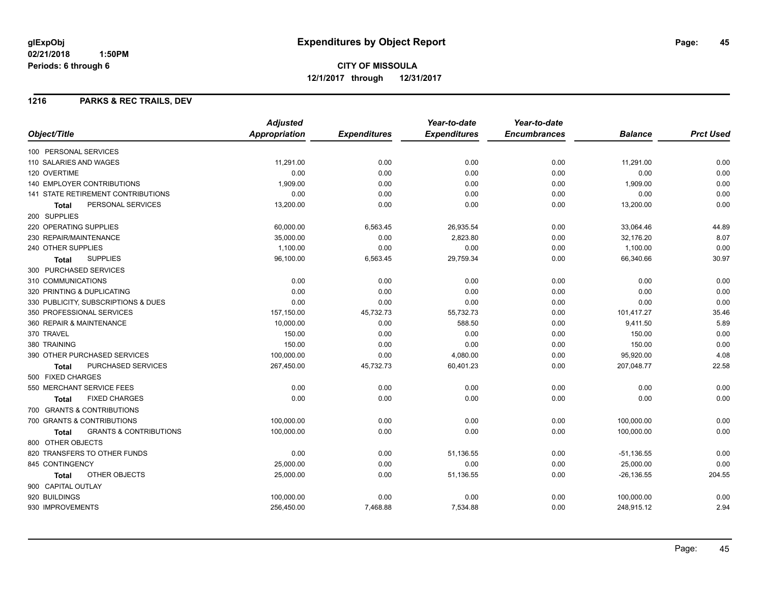#### **1216 PARKS & REC TRAILS, DEV**

|                                            | <b>Adjusted</b>      |                     | Year-to-date        | Year-to-date        |                |                  |
|--------------------------------------------|----------------------|---------------------|---------------------|---------------------|----------------|------------------|
| Object/Title                               | <b>Appropriation</b> | <b>Expenditures</b> | <b>Expenditures</b> | <b>Encumbrances</b> | <b>Balance</b> | <b>Prct Used</b> |
| 100 PERSONAL SERVICES                      |                      |                     |                     |                     |                |                  |
| 110 SALARIES AND WAGES                     | 11,291.00            | 0.00                | 0.00                | 0.00                | 11,291.00      | 0.00             |
| 120 OVERTIME                               | 0.00                 | 0.00                | 0.00                | 0.00                | 0.00           | 0.00             |
| <b>140 EMPLOYER CONTRIBUTIONS</b>          | 1,909.00             | 0.00                | 0.00                | 0.00                | 1,909.00       | 0.00             |
| 141 STATE RETIREMENT CONTRIBUTIONS         | 0.00                 | 0.00                | 0.00                | 0.00                | 0.00           | 0.00             |
| PERSONAL SERVICES<br><b>Total</b>          | 13,200.00            | 0.00                | 0.00                | 0.00                | 13,200.00      | 0.00             |
| 200 SUPPLIES                               |                      |                     |                     |                     |                |                  |
| 220 OPERATING SUPPLIES                     | 60,000.00            | 6,563.45            | 26,935.54           | 0.00                | 33,064.46      | 44.89            |
| 230 REPAIR/MAINTENANCE                     | 35,000.00            | 0.00                | 2,823.80            | 0.00                | 32,176.20      | 8.07             |
| 240 OTHER SUPPLIES                         | 1,100.00             | 0.00                | 0.00                | 0.00                | 1,100.00       | 0.00             |
| <b>SUPPLIES</b><br><b>Total</b>            | 96,100.00            | 6,563.45            | 29,759.34           | 0.00                | 66,340.66      | 30.97            |
| 300 PURCHASED SERVICES                     |                      |                     |                     |                     |                |                  |
| 310 COMMUNICATIONS                         | 0.00                 | 0.00                | 0.00                | 0.00                | 0.00           | 0.00             |
| 320 PRINTING & DUPLICATING                 | 0.00                 | 0.00                | 0.00                | 0.00                | 0.00           | 0.00             |
| 330 PUBLICITY, SUBSCRIPTIONS & DUES        | 0.00                 | 0.00                | 0.00                | 0.00                | 0.00           | 0.00             |
| 350 PROFESSIONAL SERVICES                  | 157,150.00           | 45,732.73           | 55,732.73           | 0.00                | 101,417.27     | 35.46            |
| 360 REPAIR & MAINTENANCE                   | 10,000.00            | 0.00                | 588.50              | 0.00                | 9,411.50       | 5.89             |
| 370 TRAVEL                                 | 150.00               | 0.00                | 0.00                | 0.00                | 150.00         | 0.00             |
| 380 TRAINING                               | 150.00               | 0.00                | 0.00                | 0.00                | 150.00         | 0.00             |
| 390 OTHER PURCHASED SERVICES               | 100,000.00           | 0.00                | 4,080.00            | 0.00                | 95,920.00      | 4.08             |
| PURCHASED SERVICES<br><b>Total</b>         | 267,450.00           | 45,732.73           | 60,401.23           | 0.00                | 207,048.77     | 22.58            |
| 500 FIXED CHARGES                          |                      |                     |                     |                     |                |                  |
| 550 MERCHANT SERVICE FEES                  | 0.00                 | 0.00                | 0.00                | 0.00                | 0.00           | 0.00             |
| <b>FIXED CHARGES</b><br><b>Total</b>       | 0.00                 | 0.00                | 0.00                | 0.00                | 0.00           | 0.00             |
| 700 GRANTS & CONTRIBUTIONS                 |                      |                     |                     |                     |                |                  |
| 700 GRANTS & CONTRIBUTIONS                 | 100,000.00           | 0.00                | 0.00                | 0.00                | 100,000.00     | 0.00             |
| <b>GRANTS &amp; CONTRIBUTIONS</b><br>Total | 100,000.00           | 0.00                | 0.00                | 0.00                | 100,000.00     | 0.00             |
| 800 OTHER OBJECTS                          |                      |                     |                     |                     |                |                  |
| 820 TRANSFERS TO OTHER FUNDS               | 0.00                 | 0.00                | 51,136.55           | 0.00                | $-51,136.55$   | 0.00             |
| 845 CONTINGENCY                            | 25,000.00            | 0.00                | 0.00                | 0.00                | 25,000.00      | 0.00             |
| OTHER OBJECTS<br>Total                     | 25,000.00            | 0.00                | 51,136.55           | 0.00                | $-26, 136.55$  | 204.55           |
| 900 CAPITAL OUTLAY                         |                      |                     |                     |                     |                |                  |
| 920 BUILDINGS                              | 100,000.00           | 0.00                | 0.00                | 0.00                | 100,000.00     | 0.00             |
| 930 IMPROVEMENTS                           | 256,450.00           | 7,468.88            | 7,534.88            | 0.00                | 248,915.12     | 2.94             |
|                                            |                      |                     |                     |                     |                |                  |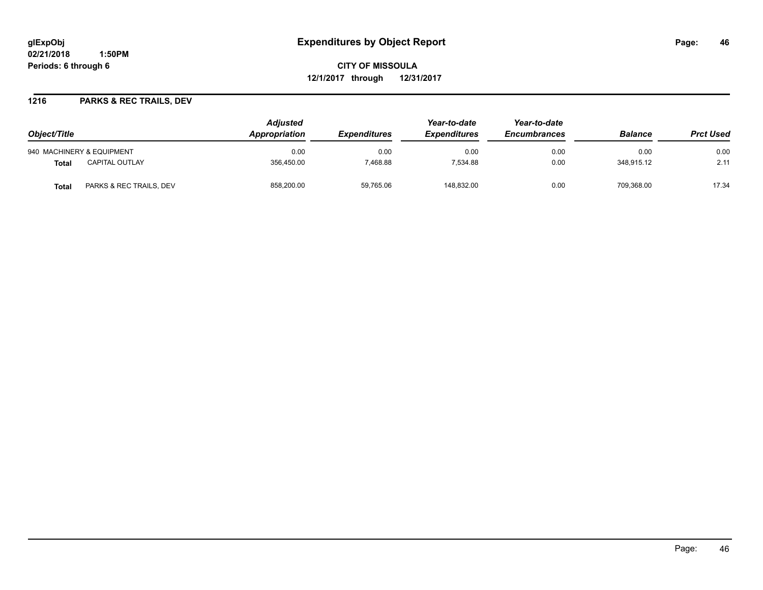**CITY OF MISSOULA 12/1/2017 through 12/31/2017**

#### **1216 PARKS & REC TRAILS, DEV**

| Object/Title                            | <b>Adjusted</b><br>Appropriation | <i><b>Expenditures</b></i> | Year-to-date<br><b>Expenditures</b> | Year-to-date<br><b>Encumbrances</b> | <b>Balance</b> | <b>Prct Used</b> |
|-----------------------------------------|----------------------------------|----------------------------|-------------------------------------|-------------------------------------|----------------|------------------|
| 940 MACHINERY & EQUIPMENT               | 0.00                             | 0.00                       | 0.00                                | 0.00                                | 0.00           | 0.00             |
| <b>CAPITAL OUTLAY</b><br>Total          | 356.450.00                       | 7.468.88                   | 7.534.88                            | 0.00                                | 348.915.12     | 2.11             |
| PARKS & REC TRAILS, DEV<br><b>Total</b> | 858,200.00                       | 59,765.06                  | 148,832.00                          | 0.00                                | 709.368.00     | 17.34            |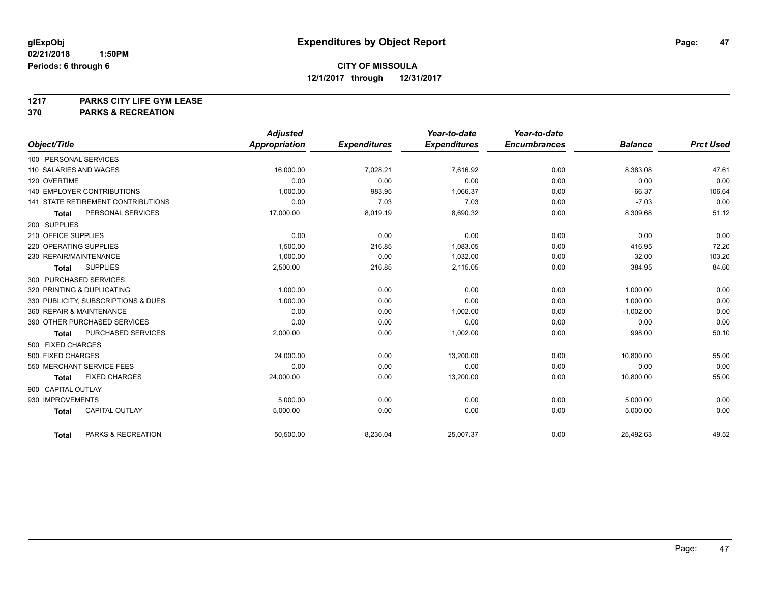**1217 PARKS CITY LIFE GYM LEASE**

|                                           | <b>Adjusted</b>      |                     | Year-to-date        | Year-to-date        |                |                  |
|-------------------------------------------|----------------------|---------------------|---------------------|---------------------|----------------|------------------|
| Object/Title                              | <b>Appropriation</b> | <b>Expenditures</b> | <b>Expenditures</b> | <b>Encumbrances</b> | <b>Balance</b> | <b>Prct Used</b> |
| 100 PERSONAL SERVICES                     |                      |                     |                     |                     |                |                  |
| 110 SALARIES AND WAGES                    | 16,000.00            | 7,028.21            | 7,616.92            | 0.00                | 8,383.08       | 47.61            |
| 120 OVERTIME                              | 0.00                 | 0.00                | 0.00                | 0.00                | 0.00           | 0.00             |
| 140 EMPLOYER CONTRIBUTIONS                | 1.000.00             | 983.95              | 1.066.37            | 0.00                | $-66.37$       | 106.64           |
| <b>141 STATE RETIREMENT CONTRIBUTIONS</b> | 0.00                 | 7.03                | 7.03                | 0.00                | $-7.03$        | 0.00             |
| PERSONAL SERVICES<br><b>Total</b>         | 17,000.00            | 8,019.19            | 8,690.32            | 0.00                | 8,309.68       | 51.12            |
| 200 SUPPLIES                              |                      |                     |                     |                     |                |                  |
| 210 OFFICE SUPPLIES                       | 0.00                 | 0.00                | 0.00                | 0.00                | 0.00           | 0.00             |
| 220 OPERATING SUPPLIES                    | 1.500.00             | 216.85              | 1,083.05            | 0.00                | 416.95         | 72.20            |
| 230 REPAIR/MAINTENANCE                    | 1.000.00             | 0.00                | 1,032.00            | 0.00                | $-32.00$       | 103.20           |
| <b>SUPPLIES</b><br><b>Total</b>           | 2,500.00             | 216.85              | 2,115.05            | 0.00                | 384.95         | 84.60            |
| 300 PURCHASED SERVICES                    |                      |                     |                     |                     |                |                  |
| 320 PRINTING & DUPLICATING                | 1,000.00             | 0.00                | 0.00                | 0.00                | 1,000.00       | 0.00             |
| 330 PUBLICITY, SUBSCRIPTIONS & DUES       | 1,000.00             | 0.00                | 0.00                | 0.00                | 1,000.00       | 0.00             |
| 360 REPAIR & MAINTENANCE                  | 0.00                 | 0.00                | 1,002.00            | 0.00                | $-1,002.00$    | 0.00             |
| 390 OTHER PURCHASED SERVICES              | 0.00                 | 0.00                | 0.00                | 0.00                | 0.00           | 0.00             |
| PURCHASED SERVICES<br><b>Total</b>        | 2,000.00             | 0.00                | 1,002.00            | 0.00                | 998.00         | 50.10            |
| 500 FIXED CHARGES                         |                      |                     |                     |                     |                |                  |
| 500 FIXED CHARGES                         | 24,000.00            | 0.00                | 13,200.00           | 0.00                | 10,800.00      | 55.00            |
| 550 MERCHANT SERVICE FEES                 | 0.00                 | 0.00                | 0.00                | 0.00                | 0.00           | 0.00             |
| <b>FIXED CHARGES</b><br><b>Total</b>      | 24,000.00            | 0.00                | 13,200.00           | 0.00                | 10,800.00      | 55.00            |
| 900 CAPITAL OUTLAY                        |                      |                     |                     |                     |                |                  |
| 930 IMPROVEMENTS                          | 5,000.00             | 0.00                | 0.00                | 0.00                | 5,000.00       | 0.00             |
| <b>CAPITAL OUTLAY</b><br><b>Total</b>     | 5,000.00             | 0.00                | 0.00                | 0.00                | 5,000.00       | 0.00             |
|                                           |                      |                     |                     |                     |                |                  |
| PARKS & RECREATION<br>Total               | 50,500.00            | 8,236.04            | 25,007.37           | 0.00                | 25,492.63      | 49.52            |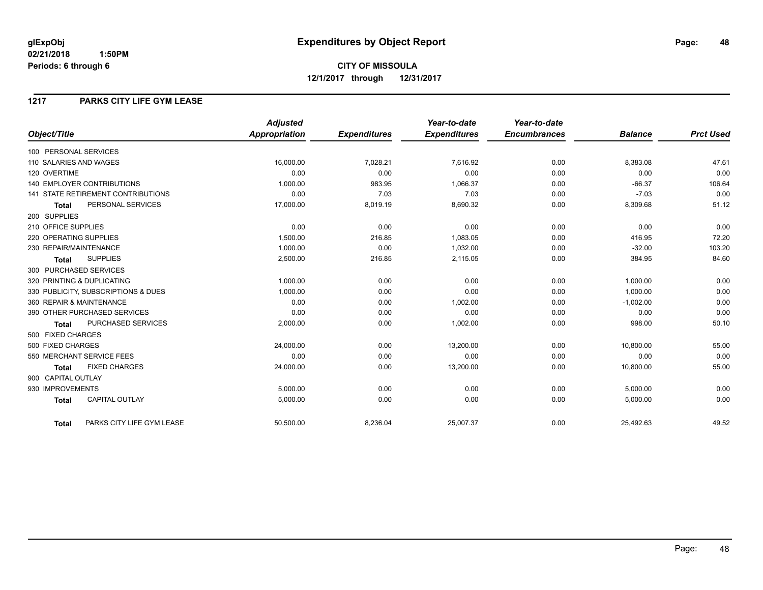#### **1217 PARKS CITY LIFE GYM LEASE**

|                                           | <b>Adjusted</b>      |                     | Year-to-date        | Year-to-date        |                |                  |
|-------------------------------------------|----------------------|---------------------|---------------------|---------------------|----------------|------------------|
| Object/Title                              | <b>Appropriation</b> | <b>Expenditures</b> | <b>Expenditures</b> | <b>Encumbrances</b> | <b>Balance</b> | <b>Prct Used</b> |
| 100 PERSONAL SERVICES                     |                      |                     |                     |                     |                |                  |
| 110 SALARIES AND WAGES                    | 16.000.00            | 7,028.21            | 7.616.92            | 0.00                | 8,383.08       | 47.61            |
| 120 OVERTIME                              | 0.00                 | 0.00                | 0.00                | 0.00                | 0.00           | 0.00             |
| <b>140 EMPLOYER CONTRIBUTIONS</b>         | 1,000.00             | 983.95              | 1,066.37            | 0.00                | $-66.37$       | 106.64           |
| 141 STATE RETIREMENT CONTRIBUTIONS        | 0.00                 | 7.03                | 7.03                | 0.00                | $-7.03$        | 0.00             |
| PERSONAL SERVICES<br><b>Total</b>         | 17,000.00            | 8,019.19            | 8,690.32            | 0.00                | 8,309.68       | 51.12            |
| 200 SUPPLIES                              |                      |                     |                     |                     |                |                  |
| 210 OFFICE SUPPLIES                       | 0.00                 | 0.00                | 0.00                | 0.00                | 0.00           | 0.00             |
| 220 OPERATING SUPPLIES                    | 1,500.00             | 216.85              | 1.083.05            | 0.00                | 416.95         | 72.20            |
| 230 REPAIR/MAINTENANCE                    | 1,000.00             | 0.00                | 1,032.00            | 0.00                | $-32.00$       | 103.20           |
| <b>SUPPLIES</b><br><b>Total</b>           | 2,500.00             | 216.85              | 2,115.05            | 0.00                | 384.95         | 84.60            |
| 300 PURCHASED SERVICES                    |                      |                     |                     |                     |                |                  |
| 320 PRINTING & DUPLICATING                | 1,000.00             | 0.00                | 0.00                | 0.00                | 1,000.00       | 0.00             |
| 330 PUBLICITY, SUBSCRIPTIONS & DUES       | 1,000.00             | 0.00                | 0.00                | 0.00                | 1,000.00       | 0.00             |
| 360 REPAIR & MAINTENANCE                  | 0.00                 | 0.00                | 1,002.00            | 0.00                | $-1,002.00$    | 0.00             |
| 390 OTHER PURCHASED SERVICES              | 0.00                 | 0.00                | 0.00                | 0.00                | 0.00           | 0.00             |
| PURCHASED SERVICES<br><b>Total</b>        | 2,000.00             | 0.00                | 1,002.00            | 0.00                | 998.00         | 50.10            |
| 500 FIXED CHARGES                         |                      |                     |                     |                     |                |                  |
| 500 FIXED CHARGES                         | 24,000.00            | 0.00                | 13,200.00           | 0.00                | 10,800.00      | 55.00            |
| 550 MERCHANT SERVICE FEES                 | 0.00                 | 0.00                | 0.00                | 0.00                | 0.00           | 0.00             |
| <b>FIXED CHARGES</b><br>Total             | 24,000.00            | 0.00                | 13,200.00           | 0.00                | 10,800.00      | 55.00            |
| 900 CAPITAL OUTLAY                        |                      |                     |                     |                     |                |                  |
| 930 IMPROVEMENTS                          | 5,000.00             | 0.00                | 0.00                | 0.00                | 5,000.00       | 0.00             |
| <b>CAPITAL OUTLAY</b><br><b>Total</b>     | 5,000.00             | 0.00                | 0.00                | 0.00                | 5,000.00       | 0.00             |
| PARKS CITY LIFE GYM LEASE<br><b>Total</b> | 50,500.00            | 8,236.04            | 25,007.37           | 0.00                | 25,492.63      | 49.52            |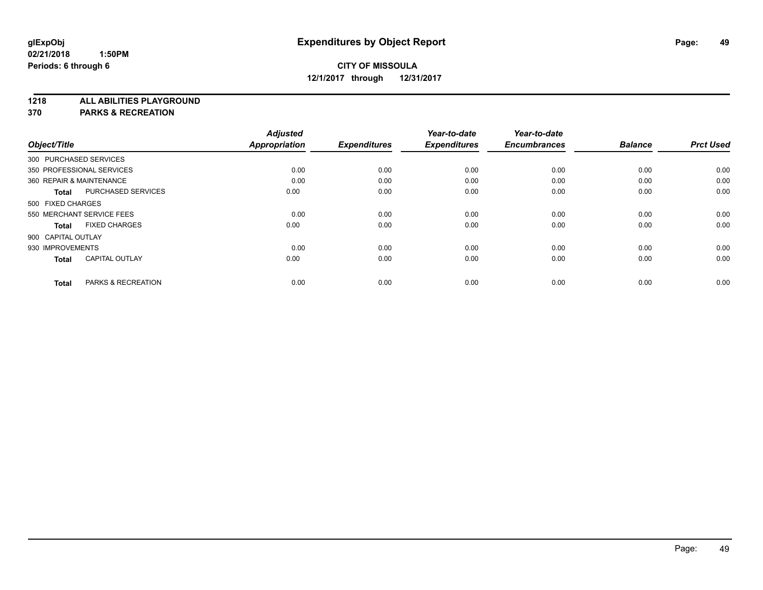**1218 ALL ABILITIES PLAYGROUND**

|                    |                               | <b>Adjusted</b>      |                     | Year-to-date        | Year-to-date        |                |                  |
|--------------------|-------------------------------|----------------------|---------------------|---------------------|---------------------|----------------|------------------|
| Object/Title       |                               | <b>Appropriation</b> | <b>Expenditures</b> | <b>Expenditures</b> | <b>Encumbrances</b> | <b>Balance</b> | <b>Prct Used</b> |
|                    | 300 PURCHASED SERVICES        |                      |                     |                     |                     |                |                  |
|                    | 350 PROFESSIONAL SERVICES     | 0.00                 | 0.00                | 0.00                | 0.00                | 0.00           | 0.00             |
|                    | 360 REPAIR & MAINTENANCE      | 0.00                 | 0.00                | 0.00                | 0.00                | 0.00           | 0.00             |
| <b>Total</b>       | <b>PURCHASED SERVICES</b>     | 0.00                 | 0.00                | 0.00                | 0.00                | 0.00           | 0.00             |
| 500 FIXED CHARGES  |                               |                      |                     |                     |                     |                |                  |
|                    | 550 MERCHANT SERVICE FEES     | 0.00                 | 0.00                | 0.00                | 0.00                | 0.00           | 0.00             |
| <b>Total</b>       | <b>FIXED CHARGES</b>          | 0.00                 | 0.00                | 0.00                | 0.00                | 0.00           | 0.00             |
| 900 CAPITAL OUTLAY |                               |                      |                     |                     |                     |                |                  |
| 930 IMPROVEMENTS   |                               | 0.00                 | 0.00                | 0.00                | 0.00                | 0.00           | 0.00             |
| <b>Total</b>       | <b>CAPITAL OUTLAY</b>         | 0.00                 | 0.00                | 0.00                | 0.00                | 0.00           | 0.00             |
|                    |                               |                      |                     |                     |                     |                |                  |
| <b>Total</b>       | <b>PARKS &amp; RECREATION</b> | 0.00                 | 0.00                | 0.00                | 0.00                | 0.00           | 0.00             |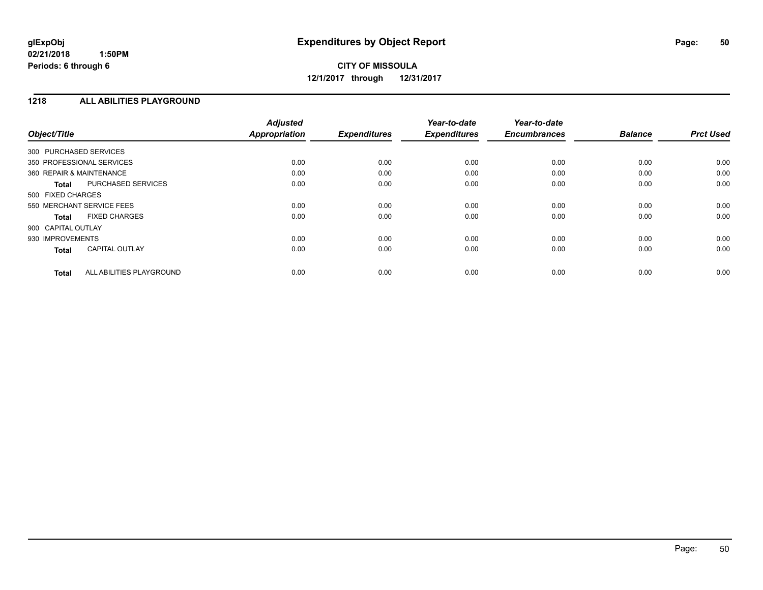# **CITY OF MISSOULA 12/1/2017 through 12/31/2017**

#### **1218 ALL ABILITIES PLAYGROUND**

| Object/Title              |                          | <b>Adjusted</b><br>Appropriation | <b>Expenditures</b> | Year-to-date<br><b>Expenditures</b> | Year-to-date<br><b>Encumbrances</b> | <b>Balance</b> | <b>Prct Used</b> |
|---------------------------|--------------------------|----------------------------------|---------------------|-------------------------------------|-------------------------------------|----------------|------------------|
| 300 PURCHASED SERVICES    |                          |                                  |                     |                                     |                                     |                |                  |
| 350 PROFESSIONAL SERVICES |                          | 0.00                             | 0.00                | 0.00                                | 0.00                                | 0.00           | 0.00             |
| 360 REPAIR & MAINTENANCE  |                          | 0.00                             | 0.00                | 0.00                                | 0.00                                | 0.00           | 0.00             |
| <b>Total</b>              | PURCHASED SERVICES       | 0.00                             | 0.00                | 0.00                                | 0.00                                | 0.00           | 0.00             |
| 500 FIXED CHARGES         |                          |                                  |                     |                                     |                                     |                |                  |
| 550 MERCHANT SERVICE FEES |                          | 0.00                             | 0.00                | 0.00                                | 0.00                                | 0.00           | 0.00             |
| <b>Total</b>              | <b>FIXED CHARGES</b>     | 0.00                             | 0.00                | 0.00                                | 0.00                                | 0.00           | 0.00             |
| 900 CAPITAL OUTLAY        |                          |                                  |                     |                                     |                                     |                |                  |
| 930 IMPROVEMENTS          |                          | 0.00                             | 0.00                | 0.00                                | 0.00                                | 0.00           | 0.00             |
| <b>Total</b>              | <b>CAPITAL OUTLAY</b>    | 0.00                             | 0.00                | 0.00                                | 0.00                                | 0.00           | 0.00             |
| <b>Total</b>              | ALL ABILITIES PLAYGROUND | 0.00                             | 0.00                | 0.00                                | 0.00                                | 0.00           | 0.00             |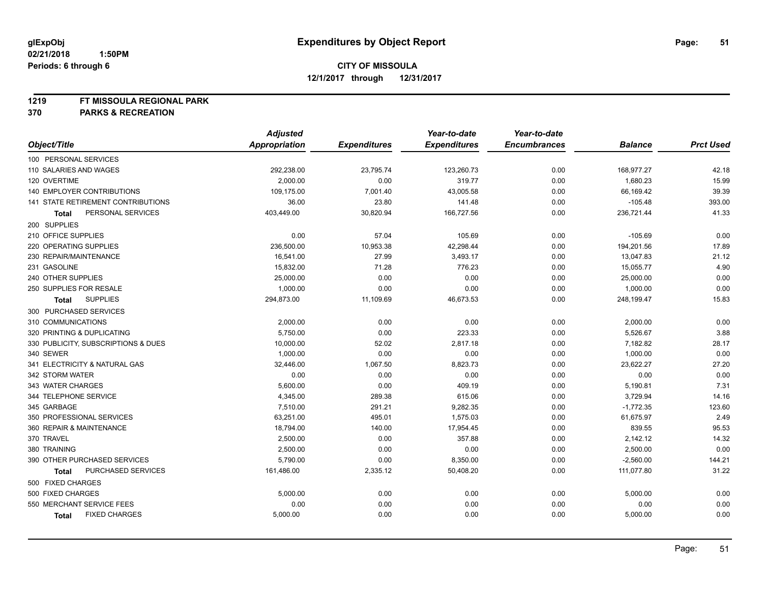#### **1219 FT MISSOULA REGIONAL PARK**

|                                      | <b>Adjusted</b>      |                     | Year-to-date        | Year-to-date        |                |                  |
|--------------------------------------|----------------------|---------------------|---------------------|---------------------|----------------|------------------|
| Object/Title                         | <b>Appropriation</b> | <b>Expenditures</b> | <b>Expenditures</b> | <b>Encumbrances</b> | <b>Balance</b> | <b>Prct Used</b> |
| 100 PERSONAL SERVICES                |                      |                     |                     |                     |                |                  |
| 110 SALARIES AND WAGES               | 292,238.00           | 23,795.74           | 123,260.73          | 0.00                | 168,977.27     | 42.18            |
| 120 OVERTIME                         | 2,000.00             | 0.00                | 319.77              | 0.00                | 1,680.23       | 15.99            |
| 140 EMPLOYER CONTRIBUTIONS           | 109,175.00           | 7,001.40            | 43,005.58           | 0.00                | 66,169.42      | 39.39            |
| 141 STATE RETIREMENT CONTRIBUTIONS   | 36.00                | 23.80               | 141.48              | 0.00                | $-105.48$      | 393.00           |
| PERSONAL SERVICES<br><b>Total</b>    | 403,449.00           | 30,820.94           | 166,727.56          | 0.00                | 236,721.44     | 41.33            |
| 200 SUPPLIES                         |                      |                     |                     |                     |                |                  |
| 210 OFFICE SUPPLIES                  | 0.00                 | 57.04               | 105.69              | 0.00                | $-105.69$      | 0.00             |
| 220 OPERATING SUPPLIES               | 236,500.00           | 10,953.38           | 42,298.44           | 0.00                | 194,201.56     | 17.89            |
| 230 REPAIR/MAINTENANCE               | 16,541.00            | 27.99               | 3,493.17            | 0.00                | 13,047.83      | 21.12            |
| 231 GASOLINE                         | 15,832.00            | 71.28               | 776.23              | 0.00                | 15,055.77      | 4.90             |
| 240 OTHER SUPPLIES                   | 25,000.00            | 0.00                | 0.00                | 0.00                | 25,000.00      | 0.00             |
| 250 SUPPLIES FOR RESALE              | 1,000.00             | 0.00                | 0.00                | 0.00                | 1,000.00       | 0.00             |
| <b>SUPPLIES</b><br>Total             | 294,873.00           | 11,109.69           | 46,673.53           | 0.00                | 248,199.47     | 15.83            |
| 300 PURCHASED SERVICES               |                      |                     |                     |                     |                |                  |
| 310 COMMUNICATIONS                   | 2,000.00             | 0.00                | 0.00                | 0.00                | 2,000.00       | 0.00             |
| 320 PRINTING & DUPLICATING           | 5,750.00             | 0.00                | 223.33              | 0.00                | 5,526.67       | 3.88             |
| 330 PUBLICITY, SUBSCRIPTIONS & DUES  | 10,000.00            | 52.02               | 2,817.18            | 0.00                | 7,182.82       | 28.17            |
| 340 SEWER                            | 1,000.00             | 0.00                | 0.00                | 0.00                | 1,000.00       | 0.00             |
| 341 ELECTRICITY & NATURAL GAS        | 32,446.00            | 1,067.50            | 8,823.73            | 0.00                | 23,622.27      | 27.20            |
| 342 STORM WATER                      | 0.00                 | 0.00                | 0.00                | 0.00                | 0.00           | 0.00             |
| 343 WATER CHARGES                    | 5,600.00             | 0.00                | 409.19              | 0.00                | 5,190.81       | 7.31             |
| 344 TELEPHONE SERVICE                | 4,345.00             | 289.38              | 615.06              | 0.00                | 3,729.94       | 14.16            |
| 345 GARBAGE                          | 7,510.00             | 291.21              | 9,282.35            | 0.00                | $-1,772.35$    | 123.60           |
| 350 PROFESSIONAL SERVICES            | 63,251.00            | 495.01              | 1,575.03            | 0.00                | 61,675.97      | 2.49             |
| 360 REPAIR & MAINTENANCE             | 18,794.00            | 140.00              | 17,954.45           | 0.00                | 839.55         | 95.53            |
| 370 TRAVEL                           | 2,500.00             | 0.00                | 357.88              | 0.00                | 2,142.12       | 14.32            |
| 380 TRAINING                         | 2,500.00             | 0.00                | 0.00                | 0.00                | 2,500.00       | 0.00             |
| 390 OTHER PURCHASED SERVICES         | 5,790.00             | 0.00                | 8,350.00            | 0.00                | $-2,560.00$    | 144.21           |
| PURCHASED SERVICES<br><b>Total</b>   | 161,486.00           | 2,335.12            | 50,408.20           | 0.00                | 111,077.80     | 31.22            |
| 500 FIXED CHARGES                    |                      |                     |                     |                     |                |                  |
| 500 FIXED CHARGES                    | 5,000.00             | 0.00                | 0.00                | 0.00                | 5,000.00       | 0.00             |
| 550 MERCHANT SERVICE FEES            | 0.00                 | 0.00                | 0.00                | 0.00                | 0.00           | 0.00             |
| <b>FIXED CHARGES</b><br><b>Total</b> | 5,000.00             | 0.00                | 0.00                | 0.00                | 5,000.00       | 0.00             |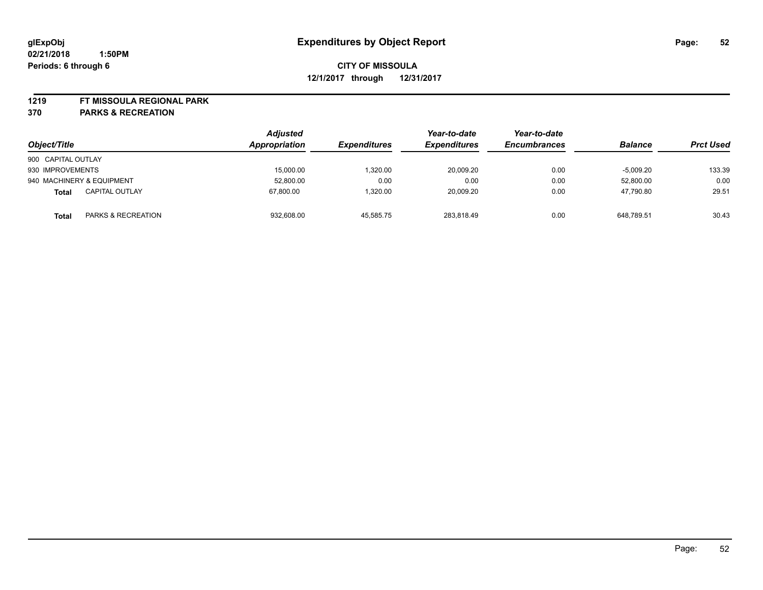#### **1219 FT MISSOULA REGIONAL PARK**

| Object/Title                   | <b>Adjusted</b><br>Appropriation | <b>Expenditures</b> | Year-to-date<br><b>Expenditures</b> | Year-to-date<br><b>Encumbrances</b> | <b>Balance</b> | <b>Prct Used</b> |
|--------------------------------|----------------------------------|---------------------|-------------------------------------|-------------------------------------|----------------|------------------|
| 900 CAPITAL OUTLAY             |                                  |                     |                                     |                                     |                |                  |
| 930 IMPROVEMENTS               | 15,000.00                        | 1.320.00            | 20,009.20                           | 0.00                                | $-5.009.20$    | 133.39           |
| 940 MACHINERY & EQUIPMENT      | 52,800.00                        | 0.00                | 0.00                                | 0.00                                | 52,800.00      | 0.00             |
| <b>CAPITAL OUTLAY</b><br>Total | 67,800.00                        | 1.320.00            | 20,009.20                           | 0.00                                | 47,790.80      | 29.51            |
| PARKS & RECREATION<br>Total    | 932,608.00                       | 45,585.75           | 283,818.49                          | 0.00                                | 648,789.51     | 30.43            |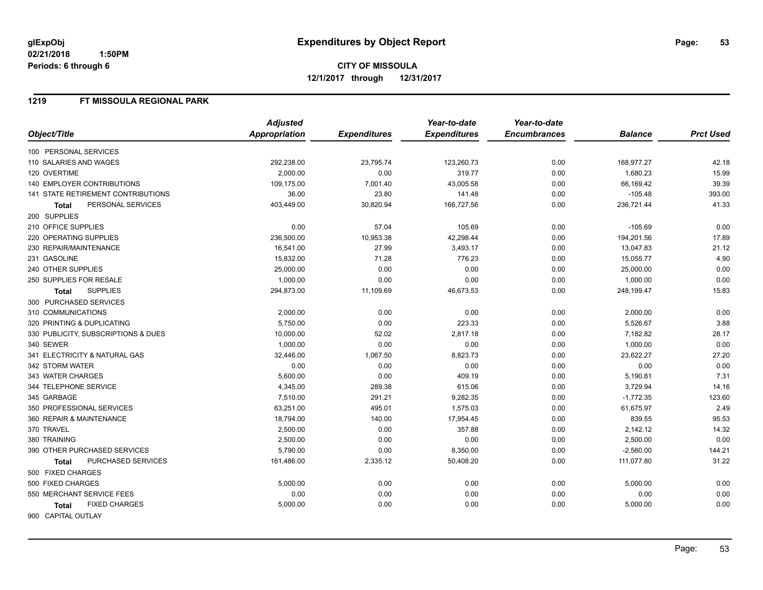#### **1219 FT MISSOULA REGIONAL PARK**

|                                           | <b>Adjusted</b> |                     | Year-to-date        | Year-to-date        |                |                  |
|-------------------------------------------|-----------------|---------------------|---------------------|---------------------|----------------|------------------|
| Object/Title                              | Appropriation   | <b>Expenditures</b> | <b>Expenditures</b> | <b>Encumbrances</b> | <b>Balance</b> | <b>Prct Used</b> |
| 100 PERSONAL SERVICES                     |                 |                     |                     |                     |                |                  |
| 110 SALARIES AND WAGES                    | 292,238.00      | 23,795.74           | 123,260.73          | 0.00                | 168,977.27     | 42.18            |
| 120 OVERTIME                              | 2,000.00        | 0.00                | 319.77              | 0.00                | 1,680.23       | 15.99            |
| 140 EMPLOYER CONTRIBUTIONS                | 109,175.00      | 7,001.40            | 43,005.58           | 0.00                | 66,169.42      | 39.39            |
| <b>141 STATE RETIREMENT CONTRIBUTIONS</b> | 36.00           | 23.80               | 141.48              | 0.00                | $-105.48$      | 393.00           |
| PERSONAL SERVICES<br>Total                | 403,449.00      | 30,820.94           | 166,727.56          | 0.00                | 236,721.44     | 41.33            |
| 200 SUPPLIES                              |                 |                     |                     |                     |                |                  |
| 210 OFFICE SUPPLIES                       | 0.00            | 57.04               | 105.69              | 0.00                | $-105.69$      | 0.00             |
| 220 OPERATING SUPPLIES                    | 236,500.00      | 10,953.38           | 42,298.44           | 0.00                | 194,201.56     | 17.89            |
| 230 REPAIR/MAINTENANCE                    | 16,541.00       | 27.99               | 3,493.17            | 0.00                | 13,047.83      | 21.12            |
| 231 GASOLINE                              | 15,832.00       | 71.28               | 776.23              | 0.00                | 15,055.77      | 4.90             |
| 240 OTHER SUPPLIES                        | 25,000.00       | 0.00                | 0.00                | 0.00                | 25,000.00      | 0.00             |
| 250 SUPPLIES FOR RESALE                   | 1,000.00        | 0.00                | 0.00                | 0.00                | 1,000.00       | 0.00             |
| <b>SUPPLIES</b><br>Total                  | 294,873.00      | 11,109.69           | 46,673.53           | 0.00                | 248,199.47     | 15.83            |
| 300 PURCHASED SERVICES                    |                 |                     |                     |                     |                |                  |
| 310 COMMUNICATIONS                        | 2,000.00        | 0.00                | 0.00                | 0.00                | 2,000.00       | 0.00             |
| 320 PRINTING & DUPLICATING                | 5,750.00        | 0.00                | 223.33              | 0.00                | 5,526.67       | 3.88             |
| 330 PUBLICITY, SUBSCRIPTIONS & DUES       | 10,000.00       | 52.02               | 2,817.18            | 0.00                | 7,182.82       | 28.17            |
| 340 SEWER                                 | 1,000.00        | 0.00                | 0.00                | 0.00                | 1,000.00       | 0.00             |
| 341 ELECTRICITY & NATURAL GAS             | 32,446.00       | 1,067.50            | 8,823.73            | 0.00                | 23,622.27      | 27.20            |
| 342 STORM WATER                           | 0.00            | 0.00                | 0.00                | 0.00                | 0.00           | 0.00             |
| 343 WATER CHARGES                         | 5,600.00        | 0.00                | 409.19              | 0.00                | 5,190.81       | 7.31             |
| 344 TELEPHONE SERVICE                     | 4,345.00        | 289.38              | 615.06              | 0.00                | 3,729.94       | 14.16            |
| 345 GARBAGE                               | 7,510.00        | 291.21              | 9,282.35            | 0.00                | $-1,772.35$    | 123.60           |
| 350 PROFESSIONAL SERVICES                 | 63,251.00       | 495.01              | 1,575.03            | 0.00                | 61,675.97      | 2.49             |
| 360 REPAIR & MAINTENANCE                  | 18,794.00       | 140.00              | 17,954.45           | 0.00                | 839.55         | 95.53            |
| 370 TRAVEL                                | 2,500.00        | 0.00                | 357.88              | 0.00                | 2,142.12       | 14.32            |
| 380 TRAINING                              | 2,500.00        | 0.00                | 0.00                | 0.00                | 2,500.00       | 0.00             |
| 390 OTHER PURCHASED SERVICES              | 5,790.00        | 0.00                | 8,350.00            | 0.00                | $-2,560.00$    | 144.21           |
| PURCHASED SERVICES<br>Total               | 161,486.00      | 2,335.12            | 50,408.20           | 0.00                | 111,077.80     | 31.22            |
| 500 FIXED CHARGES                         |                 |                     |                     |                     |                |                  |
| 500 FIXED CHARGES                         | 5,000.00        | 0.00                | 0.00                | 0.00                | 5,000.00       | 0.00             |
| 550 MERCHANT SERVICE FEES                 | 0.00            | 0.00                | 0.00                | 0.00                | 0.00           | 0.00             |
| <b>FIXED CHARGES</b><br>Total             | 5,000.00        | 0.00                | 0.00                | 0.00                | 5,000.00       | 0.00             |
| 900 CAPITAL OUTLAY                        |                 |                     |                     |                     |                |                  |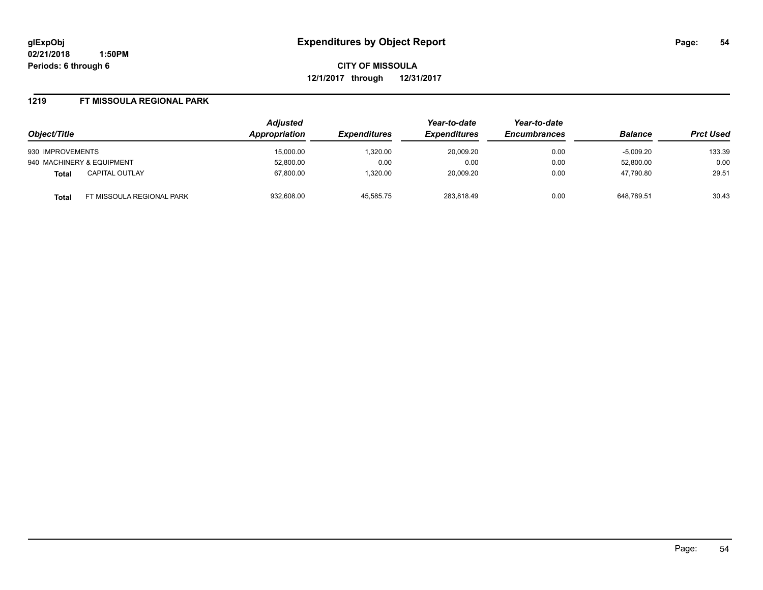**CITY OF MISSOULA 12/1/2017 through 12/31/2017**

#### **1219 FT MISSOULA REGIONAL PARK**

| Object/Title                              | <b>Adjusted</b><br><b>Appropriation</b><br><i><b>Expenditures</b></i> | Year-to-date<br><b>Expenditures</b> | Year-to-date<br><b>Encumbrances</b> | <b>Balance</b> | <b>Prct Used</b> |        |
|-------------------------------------------|-----------------------------------------------------------------------|-------------------------------------|-------------------------------------|----------------|------------------|--------|
| 930 IMPROVEMENTS                          | 15,000.00                                                             | ,320.00                             | 20,009.20                           | 0.00           | $-5.009.20$      | 133.39 |
| 940 MACHINERY & EQUIPMENT                 | 52,800.00                                                             | 0.00                                | 0.00                                | 0.00           | 52.800.00        | 0.00   |
| <b>CAPITAL OUTLAY</b><br><b>Total</b>     | 67.800.00                                                             | 1.320.00                            | 20.009.20                           | 0.00           | 47.790.80        | 29.51  |
| FT MISSOULA REGIONAL PARK<br><b>Total</b> | 932,608.00                                                            | 45,585.75                           | 283.818.49                          | 0.00           | 648.789.51       | 30.43  |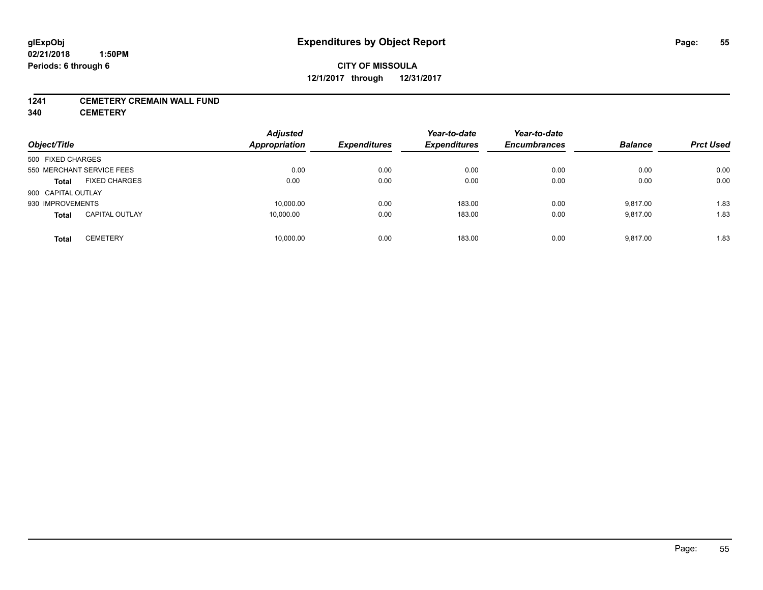#### **1241 CEMETERY CREMAIN WALL FUND**

**340 CEMETERY**

| Object/Title                          | <b>Adjusted</b><br><b>Appropriation</b> | <b>Expenditures</b> | Year-to-date<br><b>Expenditures</b> | Year-to-date<br><b>Encumbrances</b> | <b>Balance</b> | <b>Prct Used</b> |
|---------------------------------------|-----------------------------------------|---------------------|-------------------------------------|-------------------------------------|----------------|------------------|
| 500 FIXED CHARGES                     |                                         |                     |                                     |                                     |                |                  |
| 550 MERCHANT SERVICE FEES             | 0.00                                    | 0.00                | 0.00                                | 0.00                                | 0.00           | 0.00             |
| <b>FIXED CHARGES</b><br><b>Total</b>  | 0.00                                    | 0.00                | 0.00                                | 0.00                                | 0.00           | 0.00             |
| 900 CAPITAL OUTLAY                    |                                         |                     |                                     |                                     |                |                  |
| 930 IMPROVEMENTS                      | 10,000.00                               | 0.00                | 183.00                              | 0.00                                | 9.817.00       | 1.83             |
| <b>CAPITAL OUTLAY</b><br><b>Total</b> | 10,000.00                               | 0.00                | 183.00                              | 0.00                                | 9,817.00       | 1.83             |
| <b>CEMETERY</b><br><b>Total</b>       | 10,000.00                               | 0.00                | 183.00                              | 0.00                                | 9.817.00       | 1.83             |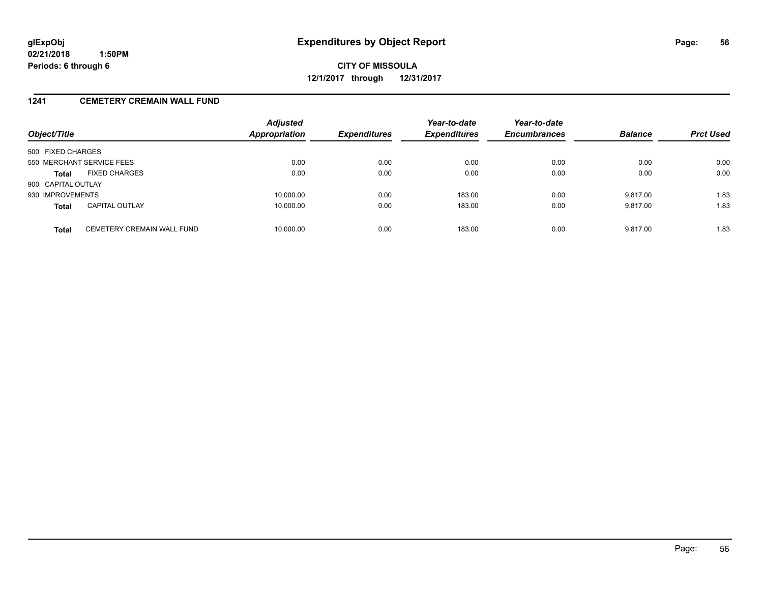#### **1241 CEMETERY CREMAIN WALL FUND**

| Object/Title                                      | <b>Adjusted</b><br>Appropriation | <b>Expenditures</b> | Year-to-date<br><b>Expenditures</b> | Year-to-date<br><b>Encumbrances</b> | <b>Balance</b> | <b>Prct Used</b> |
|---------------------------------------------------|----------------------------------|---------------------|-------------------------------------|-------------------------------------|----------------|------------------|
| 500 FIXED CHARGES                                 |                                  |                     |                                     |                                     |                |                  |
| 550 MERCHANT SERVICE FEES                         | 0.00                             | 0.00                | 0.00                                | 0.00                                | 0.00           | 0.00             |
| <b>FIXED CHARGES</b><br><b>Total</b>              | 0.00                             | 0.00                | 0.00                                | 0.00                                | 0.00           | 0.00             |
| 900 CAPITAL OUTLAY                                |                                  |                     |                                     |                                     |                |                  |
| 930 IMPROVEMENTS                                  | 10,000.00                        | 0.00                | 183.00                              | 0.00                                | 9.817.00       | 1.83             |
| <b>CAPITAL OUTLAY</b><br><b>Total</b>             | 10,000.00                        | 0.00                | 183.00                              | 0.00                                | 9.817.00       | 1.83             |
| <b>CEMETERY CREMAIN WALL FUND</b><br><b>Total</b> | 10,000.00                        | 0.00                | 183.00                              | 0.00                                | 9.817.00       | 1.83             |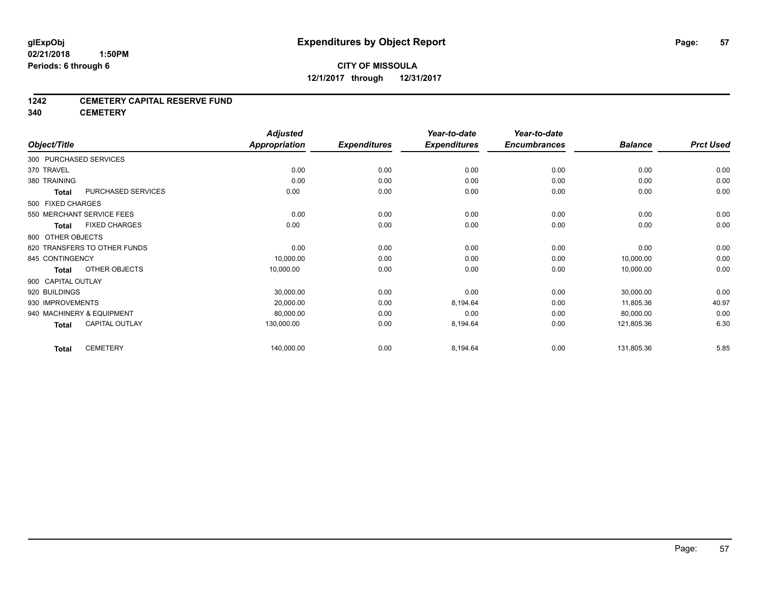#### **1242 CEMETERY CAPITAL RESERVE FUND**

**340 CEMETERY**

|                        |                              | <b>Adjusted</b> |                     | Year-to-date        | Year-to-date        |                |                  |
|------------------------|------------------------------|-----------------|---------------------|---------------------|---------------------|----------------|------------------|
| Object/Title           |                              | Appropriation   | <b>Expenditures</b> | <b>Expenditures</b> | <b>Encumbrances</b> | <b>Balance</b> | <b>Prct Used</b> |
| 300 PURCHASED SERVICES |                              |                 |                     |                     |                     |                |                  |
| 370 TRAVEL             |                              | 0.00            | 0.00                | 0.00                | 0.00                | 0.00           | 0.00             |
| 380 TRAINING           |                              | 0.00            | 0.00                | 0.00                | 0.00                | 0.00           | 0.00             |
| <b>Total</b>           | PURCHASED SERVICES           | 0.00            | 0.00                | 0.00                | 0.00                | 0.00           | 0.00             |
| 500 FIXED CHARGES      |                              |                 |                     |                     |                     |                |                  |
|                        | 550 MERCHANT SERVICE FEES    | 0.00            | 0.00                | 0.00                | 0.00                | 0.00           | 0.00             |
| <b>Total</b>           | <b>FIXED CHARGES</b>         | 0.00            | 0.00                | 0.00                | 0.00                | 0.00           | 0.00             |
| 800 OTHER OBJECTS      |                              |                 |                     |                     |                     |                |                  |
|                        | 820 TRANSFERS TO OTHER FUNDS | 0.00            | 0.00                | 0.00                | 0.00                | 0.00           | 0.00             |
| 845 CONTINGENCY        |                              | 10,000.00       | 0.00                | 0.00                | 0.00                | 10,000.00      | 0.00             |
| <b>Total</b>           | OTHER OBJECTS                | 10,000.00       | 0.00                | 0.00                | 0.00                | 10,000.00      | 0.00             |
| 900 CAPITAL OUTLAY     |                              |                 |                     |                     |                     |                |                  |
| 920 BUILDINGS          |                              | 30,000.00       | 0.00                | 0.00                | 0.00                | 30,000.00      | 0.00             |
| 930 IMPROVEMENTS       |                              | 20,000.00       | 0.00                | 8,194.64            | 0.00                | 11,805.36      | 40.97            |
|                        | 940 MACHINERY & EQUIPMENT    | 80,000.00       | 0.00                | 0.00                | 0.00                | 80,000.00      | 0.00             |
| <b>Total</b>           | <b>CAPITAL OUTLAY</b>        | 130,000.00      | 0.00                | 8,194.64            | 0.00                | 121,805.36     | 6.30             |
| <b>Total</b>           | <b>CEMETERY</b>              | 140,000.00      | 0.00                | 8,194.64            | 0.00                | 131,805.36     | 5.85             |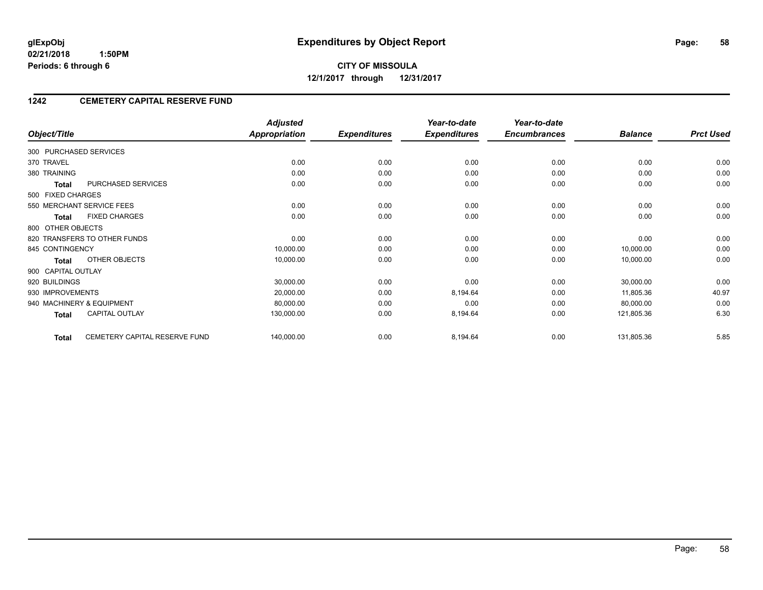### **1242 CEMETERY CAPITAL RESERVE FUND**

|                        |                               | <b>Adjusted</b>      |                     | Year-to-date        | Year-to-date        |                |                  |
|------------------------|-------------------------------|----------------------|---------------------|---------------------|---------------------|----------------|------------------|
| Object/Title           |                               | <b>Appropriation</b> | <b>Expenditures</b> | <b>Expenditures</b> | <b>Encumbrances</b> | <b>Balance</b> | <b>Prct Used</b> |
| 300 PURCHASED SERVICES |                               |                      |                     |                     |                     |                |                  |
| 370 TRAVEL             |                               | 0.00                 | 0.00                | 0.00                | 0.00                | 0.00           | 0.00             |
| 380 TRAINING           |                               | 0.00                 | 0.00                | 0.00                | 0.00                | 0.00           | 0.00             |
| <b>Total</b>           | PURCHASED SERVICES            | 0.00                 | 0.00                | 0.00                | 0.00                | 0.00           | 0.00             |
| 500 FIXED CHARGES      |                               |                      |                     |                     |                     |                |                  |
|                        | 550 MERCHANT SERVICE FEES     | 0.00                 | 0.00                | 0.00                | 0.00                | 0.00           | 0.00             |
| <b>Total</b>           | <b>FIXED CHARGES</b>          | 0.00                 | 0.00                | 0.00                | 0.00                | 0.00           | 0.00             |
| 800 OTHER OBJECTS      |                               |                      |                     |                     |                     |                |                  |
|                        | 820 TRANSFERS TO OTHER FUNDS  | 0.00                 | 0.00                | 0.00                | 0.00                | 0.00           | 0.00             |
| 845 CONTINGENCY        |                               | 10,000.00            | 0.00                | 0.00                | 0.00                | 10,000.00      | 0.00             |
| <b>Total</b>           | OTHER OBJECTS                 | 10,000.00            | 0.00                | 0.00                | 0.00                | 10,000.00      | 0.00             |
| 900 CAPITAL OUTLAY     |                               |                      |                     |                     |                     |                |                  |
| 920 BUILDINGS          |                               | 30,000.00            | 0.00                | 0.00                | 0.00                | 30,000.00      | 0.00             |
| 930 IMPROVEMENTS       |                               | 20,000.00            | 0.00                | 8,194.64            | 0.00                | 11,805.36      | 40.97            |
|                        | 940 MACHINERY & EQUIPMENT     | 80,000.00            | 0.00                | 0.00                | 0.00                | 80,000.00      | 0.00             |
| <b>Total</b>           | <b>CAPITAL OUTLAY</b>         | 130,000.00           | 0.00                | 8,194.64            | 0.00                | 121,805.36     | 6.30             |
| <b>Total</b>           | CEMETERY CAPITAL RESERVE FUND | 140,000.00           | 0.00                | 8,194.64            | 0.00                | 131,805.36     | 5.85             |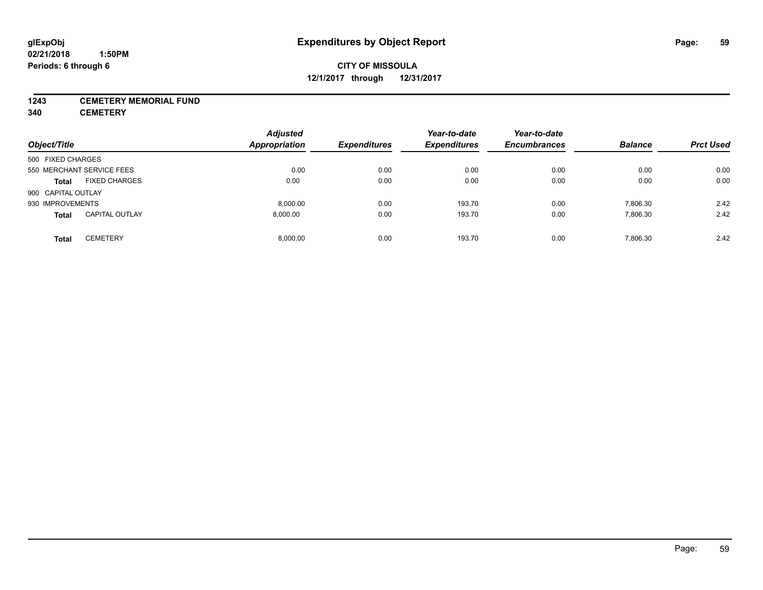#### **1243 CEMETERY MEMORIAL FUND**

**340 CEMETERY**

| Object/Title              |                       | <b>Adjusted</b><br>Appropriation | <b>Expenditures</b> | Year-to-date<br><b>Expenditures</b> | Year-to-date<br><b>Encumbrances</b> | <b>Balance</b> | <b>Prct Used</b> |
|---------------------------|-----------------------|----------------------------------|---------------------|-------------------------------------|-------------------------------------|----------------|------------------|
| 500 FIXED CHARGES         |                       |                                  |                     |                                     |                                     |                |                  |
| 550 MERCHANT SERVICE FEES |                       | 0.00                             | 0.00                | 0.00                                | 0.00                                | 0.00           | 0.00             |
| <b>Total</b>              | <b>FIXED CHARGES</b>  | 0.00                             | 0.00                | 0.00                                | 0.00                                | 0.00           | 0.00             |
| 900 CAPITAL OUTLAY        |                       |                                  |                     |                                     |                                     |                |                  |
| 930 IMPROVEMENTS          |                       | 8.000.00                         | 0.00                | 193.70                              | 0.00                                | 7.806.30       | 2.42             |
| <b>Total</b>              | <b>CAPITAL OUTLAY</b> | 8,000.00                         | 0.00                | 193.70                              | 0.00                                | 7,806.30       | 2.42             |
| <b>Total</b>              | <b>CEMETERY</b>       | 8.000.00                         | 0.00                | 193.70                              | 0.00                                | 7.806.30       | 2.42             |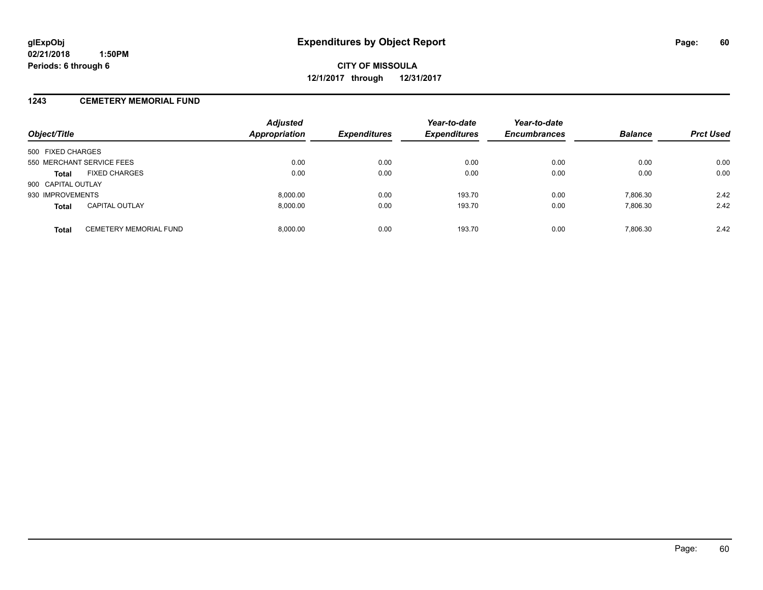#### **1243 CEMETERY MEMORIAL FUND**

| Object/Title              |                               | <b>Adjusted</b><br>Appropriation | <b>Expenditures</b> | Year-to-date<br><b>Expenditures</b> | Year-to-date<br><b>Encumbrances</b> | <b>Balance</b> | <b>Prct Used</b> |
|---------------------------|-------------------------------|----------------------------------|---------------------|-------------------------------------|-------------------------------------|----------------|------------------|
| 500 FIXED CHARGES         |                               |                                  |                     |                                     |                                     |                |                  |
| 550 MERCHANT SERVICE FEES |                               | 0.00                             | 0.00                | 0.00                                | 0.00                                | 0.00           | 0.00             |
| <b>Total</b>              | <b>FIXED CHARGES</b>          | 0.00                             | 0.00                | 0.00                                | 0.00                                | 0.00           | 0.00             |
| 900 CAPITAL OUTLAY        |                               |                                  |                     |                                     |                                     |                |                  |
| 930 IMPROVEMENTS          |                               | 8,000.00                         | 0.00                | 193.70                              | 0.00                                | 7.806.30       | 2.42             |
| <b>Total</b>              | <b>CAPITAL OUTLAY</b>         | 8,000.00                         | 0.00                | 193.70                              | 0.00                                | 7,806.30       | 2.42             |
| <b>Total</b>              | <b>CEMETERY MEMORIAL FUND</b> | 8.000.00                         | 0.00                | 193.70                              | 0.00                                | 7.806.30       | 2.42             |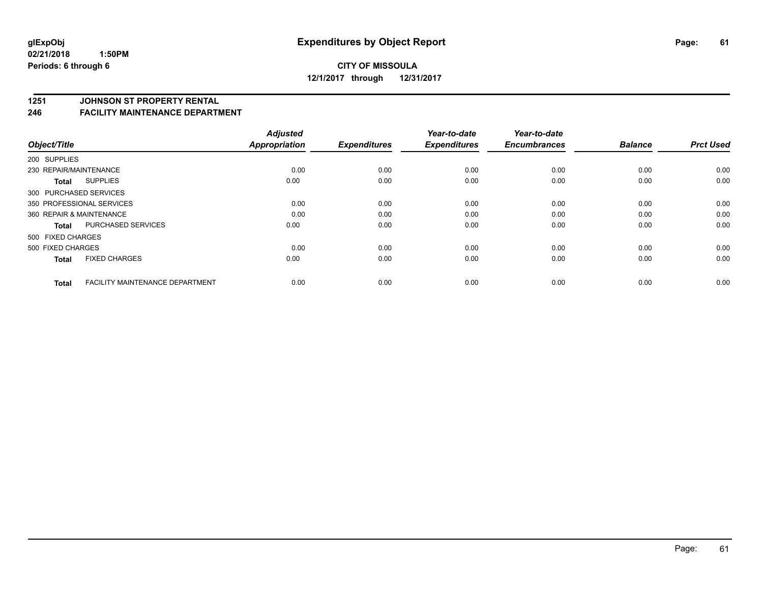#### **1251 JOHNSON ST PROPERTY RENTAL**

#### **246 FACILITY MAINTENANCE DEPARTMENT**

| Object/Title              |                                        | <b>Adjusted</b><br><b>Appropriation</b> | <b>Expenditures</b> | Year-to-date<br><b>Expenditures</b> | Year-to-date<br><b>Encumbrances</b> | <b>Balance</b> | <b>Prct Used</b> |
|---------------------------|----------------------------------------|-----------------------------------------|---------------------|-------------------------------------|-------------------------------------|----------------|------------------|
| 200 SUPPLIES              |                                        |                                         |                     |                                     |                                     |                |                  |
| 230 REPAIR/MAINTENANCE    |                                        | 0.00                                    | 0.00                | 0.00                                | 0.00                                | 0.00           | 0.00             |
| <b>Total</b>              | <b>SUPPLIES</b>                        | 0.00                                    | 0.00                | 0.00                                | 0.00                                | 0.00           | 0.00             |
| 300 PURCHASED SERVICES    |                                        |                                         |                     |                                     |                                     |                |                  |
| 350 PROFESSIONAL SERVICES |                                        | 0.00                                    | 0.00                | 0.00                                | 0.00                                | 0.00           | 0.00             |
| 360 REPAIR & MAINTENANCE  |                                        | 0.00                                    | 0.00                | 0.00                                | 0.00                                | 0.00           | 0.00             |
| <b>Total</b>              | <b>PURCHASED SERVICES</b>              | 0.00                                    | 0.00                | 0.00                                | 0.00                                | 0.00           | 0.00             |
| 500 FIXED CHARGES         |                                        |                                         |                     |                                     |                                     |                |                  |
| 500 FIXED CHARGES         |                                        | 0.00                                    | 0.00                | 0.00                                | 0.00                                | 0.00           | 0.00             |
| <b>Total</b>              | <b>FIXED CHARGES</b>                   | 0.00                                    | 0.00                | 0.00                                | 0.00                                | 0.00           | 0.00             |
| <b>Total</b>              | <b>FACILITY MAINTENANCE DEPARTMENT</b> | 0.00                                    | 0.00                | 0.00                                | 0.00                                | 0.00           | 0.00             |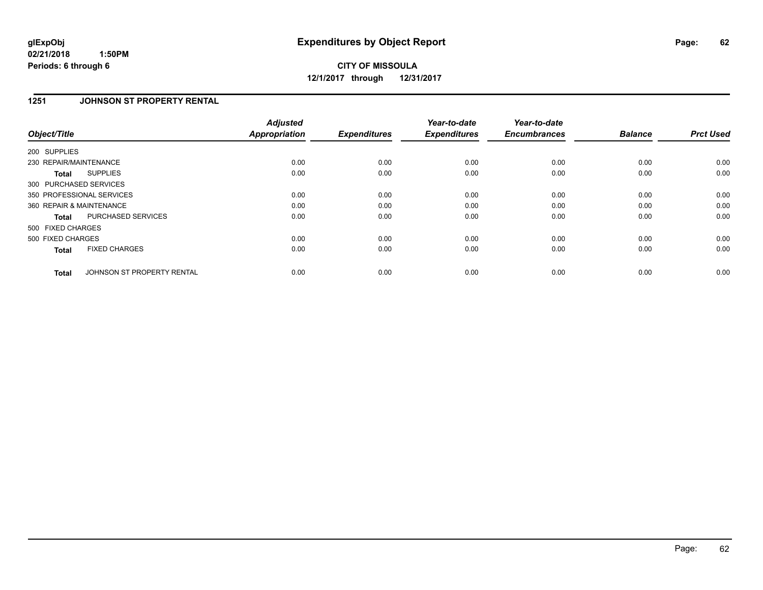# **CITY OF MISSOULA 12/1/2017 through 12/31/2017**

## **1251 JOHNSON ST PROPERTY RENTAL**

| Object/Title             |                            | <b>Adjusted</b><br><b>Appropriation</b> | <b>Expenditures</b> | Year-to-date<br><b>Expenditures</b> | Year-to-date<br><b>Encumbrances</b> | <b>Balance</b> | <b>Prct Used</b> |
|--------------------------|----------------------------|-----------------------------------------|---------------------|-------------------------------------|-------------------------------------|----------------|------------------|
| 200 SUPPLIES             |                            |                                         |                     |                                     |                                     |                |                  |
| 230 REPAIR/MAINTENANCE   |                            | 0.00                                    | 0.00                | 0.00                                | 0.00                                | 0.00           | 0.00             |
| Total                    | <b>SUPPLIES</b>            | 0.00                                    | 0.00                | 0.00                                | 0.00                                | 0.00           | 0.00             |
| 300 PURCHASED SERVICES   |                            |                                         |                     |                                     |                                     |                |                  |
|                          | 350 PROFESSIONAL SERVICES  | 0.00                                    | 0.00                | 0.00                                | 0.00                                | 0.00           | 0.00             |
| 360 REPAIR & MAINTENANCE |                            | 0.00                                    | 0.00                | 0.00                                | 0.00                                | 0.00           | 0.00             |
| <b>Total</b>             | PURCHASED SERVICES         | 0.00                                    | 0.00                | 0.00                                | 0.00                                | 0.00           | 0.00             |
| 500 FIXED CHARGES        |                            |                                         |                     |                                     |                                     |                |                  |
| 500 FIXED CHARGES        |                            | 0.00                                    | 0.00                | 0.00                                | 0.00                                | 0.00           | 0.00             |
| <b>Total</b>             | <b>FIXED CHARGES</b>       | 0.00                                    | 0.00                | 0.00                                | 0.00                                | 0.00           | 0.00             |
| <b>Total</b>             | JOHNSON ST PROPERTY RENTAL | 0.00                                    | 0.00                | 0.00                                | 0.00                                | 0.00           | 0.00             |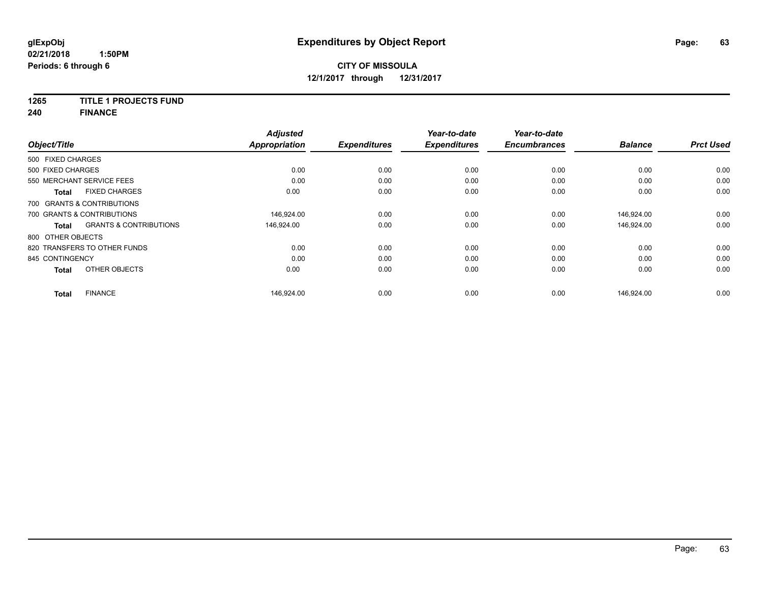**1265 TITLE 1 PROJECTS FUND**

**240 FINANCE**

|                                            | <b>Adjusted</b>      |                     | Year-to-date        | Year-to-date        |                |                  |
|--------------------------------------------|----------------------|---------------------|---------------------|---------------------|----------------|------------------|
| Object/Title                               | <b>Appropriation</b> | <b>Expenditures</b> | <b>Expenditures</b> | <b>Encumbrances</b> | <b>Balance</b> | <b>Prct Used</b> |
| 500 FIXED CHARGES                          |                      |                     |                     |                     |                |                  |
| 500 FIXED CHARGES                          | 0.00                 | 0.00                | 0.00                | 0.00                | 0.00           | 0.00             |
| 550 MERCHANT SERVICE FEES                  | 0.00                 | 0.00                | 0.00                | 0.00                | 0.00           | 0.00             |
| <b>FIXED CHARGES</b><br><b>Total</b>       | 0.00                 | 0.00                | 0.00                | 0.00                | 0.00           | 0.00             |
| 700 GRANTS & CONTRIBUTIONS                 |                      |                     |                     |                     |                |                  |
| 700 GRANTS & CONTRIBUTIONS                 | 146,924.00           | 0.00                | 0.00                | 0.00                | 146.924.00     | 0.00             |
| <b>GRANTS &amp; CONTRIBUTIONS</b><br>Total | 146.924.00           | 0.00                | 0.00                | 0.00                | 146.924.00     | 0.00             |
| 800 OTHER OBJECTS                          |                      |                     |                     |                     |                |                  |
| 820 TRANSFERS TO OTHER FUNDS               | 0.00                 | 0.00                | 0.00                | 0.00                | 0.00           | 0.00             |
| 845 CONTINGENCY                            | 0.00                 | 0.00                | 0.00                | 0.00                | 0.00           | 0.00             |
| OTHER OBJECTS<br><b>Total</b>              | 0.00                 | 0.00                | 0.00                | 0.00                | 0.00           | 0.00             |
| <b>FINANCE</b><br><b>Total</b>             | 146,924.00           | 0.00                | 0.00                | 0.00                | 146.924.00     | 0.00             |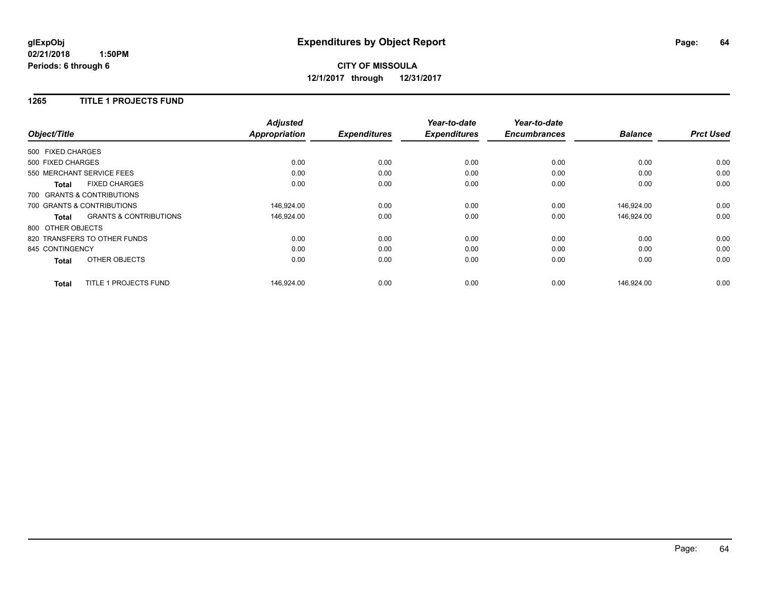#### **1265 TITLE 1 PROJECTS FUND**

|                                                   | <b>Adjusted</b>      |                     | Year-to-date        | Year-to-date        |                |                  |
|---------------------------------------------------|----------------------|---------------------|---------------------|---------------------|----------------|------------------|
| Object/Title                                      | <b>Appropriation</b> | <b>Expenditures</b> | <b>Expenditures</b> | <b>Encumbrances</b> | <b>Balance</b> | <b>Prct Used</b> |
| 500 FIXED CHARGES                                 |                      |                     |                     |                     |                |                  |
| 500 FIXED CHARGES                                 | 0.00                 | 0.00                | 0.00                | 0.00                | 0.00           | 0.00             |
| 550 MERCHANT SERVICE FEES                         | 0.00                 | 0.00                | 0.00                | 0.00                | 0.00           | 0.00             |
| <b>FIXED CHARGES</b><br><b>Total</b>              | 0.00                 | 0.00                | 0.00                | 0.00                | 0.00           | 0.00             |
| 700 GRANTS & CONTRIBUTIONS                        |                      |                     |                     |                     |                |                  |
| 700 GRANTS & CONTRIBUTIONS                        | 146.924.00           | 0.00                | 0.00                | 0.00                | 146.924.00     | 0.00             |
| <b>GRANTS &amp; CONTRIBUTIONS</b><br><b>Total</b> | 146,924.00           | 0.00                | 0.00                | 0.00                | 146,924.00     | 0.00             |
| 800 OTHER OBJECTS                                 |                      |                     |                     |                     |                |                  |
| 820 TRANSFERS TO OTHER FUNDS                      | 0.00                 | 0.00                | 0.00                | 0.00                | 0.00           | 0.00             |
| 845 CONTINGENCY                                   | 0.00                 | 0.00                | 0.00                | 0.00                | 0.00           | 0.00             |
| OTHER OBJECTS<br><b>Total</b>                     | 0.00                 | 0.00                | 0.00                | 0.00                | 0.00           | 0.00             |
| TITLE 1 PROJECTS FUND<br>Total                    | 146.924.00           | 0.00                | 0.00                | 0.00                | 146.924.00     | 0.00             |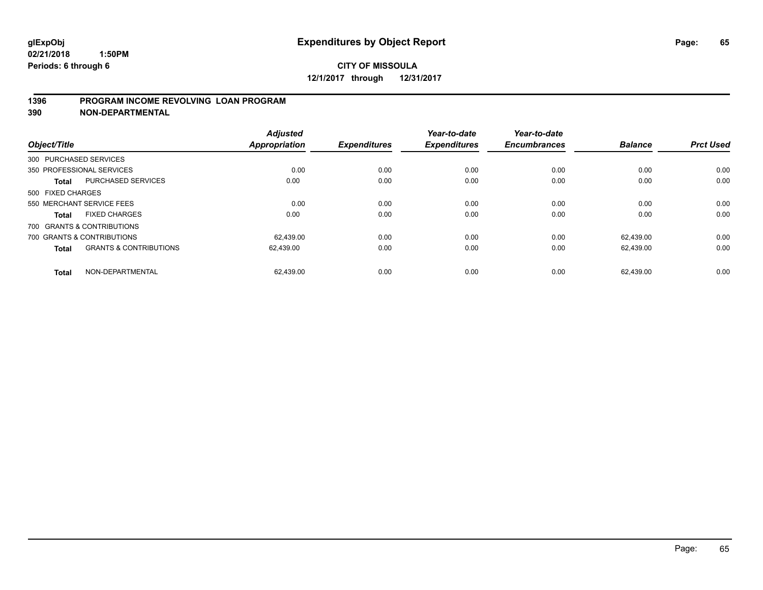#### **1396 PROGRAM INCOME REVOLVING LOAN PROGRAM**

**390 NON-DEPARTMENTAL**

| Object/Title      |                                   | <b>Adjusted</b><br><b>Appropriation</b> | <b>Expenditures</b> | Year-to-date<br><b>Expenditures</b> | Year-to-date<br><b>Encumbrances</b> | <b>Balance</b> | <b>Prct Used</b> |
|-------------------|-----------------------------------|-----------------------------------------|---------------------|-------------------------------------|-------------------------------------|----------------|------------------|
|                   |                                   |                                         |                     |                                     |                                     |                |                  |
|                   | 300 PURCHASED SERVICES            |                                         |                     |                                     |                                     |                |                  |
|                   | 350 PROFESSIONAL SERVICES         | 0.00                                    | 0.00                | 0.00                                | 0.00                                | 0.00           | 0.00             |
| <b>Total</b>      | <b>PURCHASED SERVICES</b>         | 0.00                                    | 0.00                | 0.00                                | 0.00                                | 0.00           | 0.00             |
| 500 FIXED CHARGES |                                   |                                         |                     |                                     |                                     |                |                  |
|                   | 550 MERCHANT SERVICE FEES         | 0.00                                    | 0.00                | 0.00                                | 0.00                                | 0.00           | 0.00             |
| <b>Total</b>      | <b>FIXED CHARGES</b>              | 0.00                                    | 0.00                | 0.00                                | 0.00                                | 0.00           | 0.00             |
|                   | 700 GRANTS & CONTRIBUTIONS        |                                         |                     |                                     |                                     |                |                  |
|                   | 700 GRANTS & CONTRIBUTIONS        | 62.439.00                               | 0.00                | 0.00                                | 0.00                                | 62.439.00      | 0.00             |
| <b>Total</b>      | <b>GRANTS &amp; CONTRIBUTIONS</b> | 62,439.00                               | 0.00                | 0.00                                | 0.00                                | 62,439.00      | 0.00             |
| <b>Total</b>      | NON-DEPARTMENTAL                  | 62,439.00                               | 0.00                | 0.00                                | 0.00                                | 62.439.00      | 0.00             |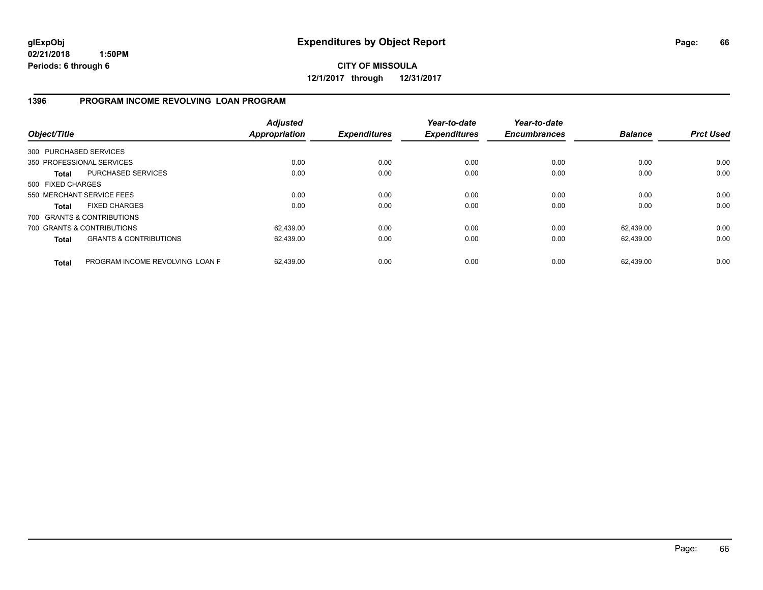# **CITY OF MISSOULA 12/1/2017 through 12/31/2017**

## **1396 PROGRAM INCOME REVOLVING LOAN PROGRAM**

| Object/Title           |                                   | <b>Adjusted</b><br><b>Appropriation</b> | <b>Expenditures</b> | Year-to-date<br><b>Expenditures</b> | Year-to-date<br><b>Encumbrances</b> | <b>Balance</b> | <b>Prct Used</b> |
|------------------------|-----------------------------------|-----------------------------------------|---------------------|-------------------------------------|-------------------------------------|----------------|------------------|
| 300 PURCHASED SERVICES |                                   |                                         |                     |                                     |                                     |                |                  |
|                        | 350 PROFESSIONAL SERVICES         | 0.00                                    | 0.00                | 0.00                                | 0.00                                | 0.00           | 0.00             |
| Total                  | PURCHASED SERVICES                | 0.00                                    | 0.00                | 0.00                                | 0.00                                | 0.00           | 0.00             |
| 500 FIXED CHARGES      |                                   |                                         |                     |                                     |                                     |                |                  |
|                        | 550 MERCHANT SERVICE FEES         | 0.00                                    | 0.00                | 0.00                                | 0.00                                | 0.00           | 0.00             |
| Total                  | <b>FIXED CHARGES</b>              | 0.00                                    | 0.00                | 0.00                                | 0.00                                | 0.00           | 0.00             |
|                        | 700 GRANTS & CONTRIBUTIONS        |                                         |                     |                                     |                                     |                |                  |
|                        | 700 GRANTS & CONTRIBUTIONS        | 62,439.00                               | 0.00                | 0.00                                | 0.00                                | 62.439.00      | 0.00             |
| <b>Total</b>           | <b>GRANTS &amp; CONTRIBUTIONS</b> | 62,439.00                               | 0.00                | 0.00                                | 0.00                                | 62.439.00      | 0.00             |
| <b>Total</b>           | PROGRAM INCOME REVOLVING LOAN P   | 62.439.00                               | 0.00                | 0.00                                | 0.00                                | 62.439.00      | 0.00             |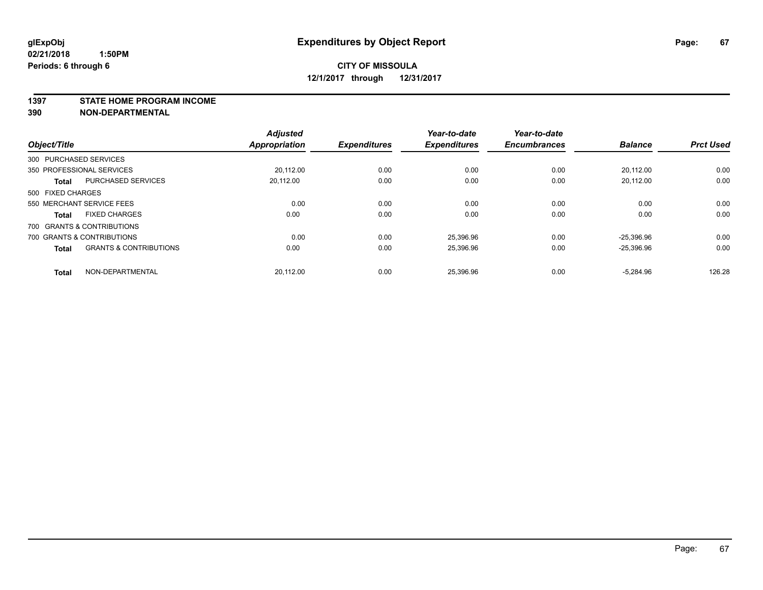#### **1397 STATE HOME PROGRAM INCOME**

**390 NON-DEPARTMENTAL**

| Object/Title      |                                   | <b>Adjusted</b><br><b>Appropriation</b> | <b>Expenditures</b> | Year-to-date<br><b>Expenditures</b> | Year-to-date<br><b>Encumbrances</b> | <b>Balance</b> | <b>Prct Used</b> |
|-------------------|-----------------------------------|-----------------------------------------|---------------------|-------------------------------------|-------------------------------------|----------------|------------------|
|                   |                                   |                                         |                     |                                     |                                     |                |                  |
|                   | 300 PURCHASED SERVICES            |                                         |                     |                                     |                                     |                |                  |
|                   | 350 PROFESSIONAL SERVICES         | 20,112.00                               | 0.00                | 0.00                                | 0.00                                | 20,112.00      | 0.00             |
| <b>Total</b>      | <b>PURCHASED SERVICES</b>         | 20.112.00                               | 0.00                | 0.00                                | 0.00                                | 20.112.00      | 0.00             |
| 500 FIXED CHARGES |                                   |                                         |                     |                                     |                                     |                |                  |
|                   | 550 MERCHANT SERVICE FEES         | 0.00                                    | 0.00                | 0.00                                | 0.00                                | 0.00           | 0.00             |
| <b>Total</b>      | <b>FIXED CHARGES</b>              | 0.00                                    | 0.00                | 0.00                                | 0.00                                | 0.00           | 0.00             |
|                   | 700 GRANTS & CONTRIBUTIONS        |                                         |                     |                                     |                                     |                |                  |
|                   | 700 GRANTS & CONTRIBUTIONS        | 0.00                                    | 0.00                | 25,396.96                           | 0.00                                | $-25.396.96$   | 0.00             |
| <b>Total</b>      | <b>GRANTS &amp; CONTRIBUTIONS</b> | 0.00                                    | 0.00                | 25,396.96                           | 0.00                                | $-25,396.96$   | 0.00             |
| <b>Total</b>      | NON-DEPARTMENTAL                  | 20,112.00                               | 0.00                | 25,396.96                           | 0.00                                | $-5.284.96$    | 126.28           |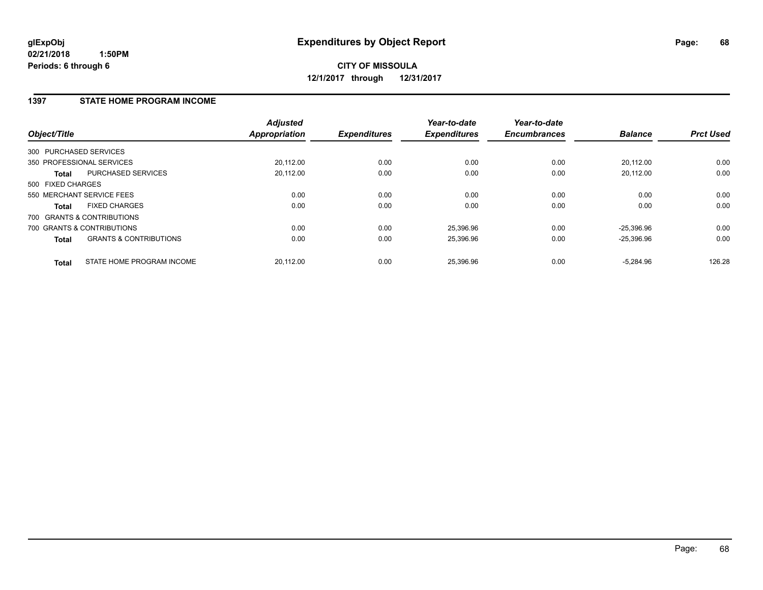#### **1397 STATE HOME PROGRAM INCOME**

| Object/Title      |                                   | <b>Adjusted</b><br>Appropriation | <b>Expenditures</b> | Year-to-date<br><b>Expenditures</b> | Year-to-date<br><b>Encumbrances</b> | <b>Balance</b> | <b>Prct Used</b> |
|-------------------|-----------------------------------|----------------------------------|---------------------|-------------------------------------|-------------------------------------|----------------|------------------|
|                   | 300 PURCHASED SERVICES            |                                  |                     |                                     |                                     |                |                  |
|                   | 350 PROFESSIONAL SERVICES         | 20.112.00                        | 0.00                | 0.00                                | 0.00                                | 20.112.00      | 0.00             |
| <b>Total</b>      | <b>PURCHASED SERVICES</b>         | 20,112.00                        | 0.00                | 0.00                                | 0.00                                | 20.112.00      | 0.00             |
| 500 FIXED CHARGES |                                   |                                  |                     |                                     |                                     |                |                  |
|                   | 550 MERCHANT SERVICE FEES         | 0.00                             | 0.00                | 0.00                                | 0.00                                | 0.00           | 0.00             |
| <b>Total</b>      | <b>FIXED CHARGES</b>              | 0.00                             | 0.00                | 0.00                                | 0.00                                | 0.00           | 0.00             |
|                   | 700 GRANTS & CONTRIBUTIONS        |                                  |                     |                                     |                                     |                |                  |
|                   | 700 GRANTS & CONTRIBUTIONS        | 0.00                             | 0.00                | 25.396.96                           | 0.00                                | $-25.396.96$   | 0.00             |
| <b>Total</b>      | <b>GRANTS &amp; CONTRIBUTIONS</b> | 0.00                             | 0.00                | 25,396.96                           | 0.00                                | $-25,396.96$   | 0.00             |
| <b>Total</b>      | STATE HOME PROGRAM INCOME         | 20.112.00                        | 0.00                | 25.396.96                           | 0.00                                | $-5.284.96$    | 126.28           |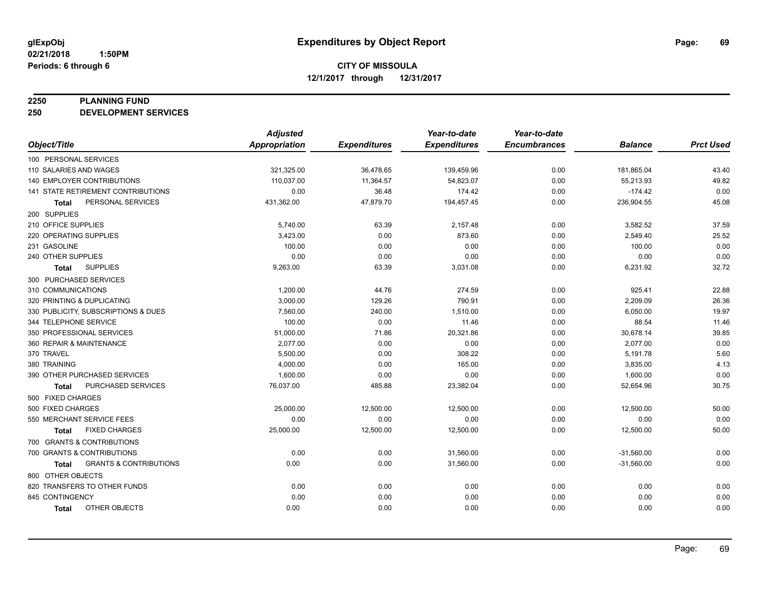#### **2250 PLANNING FUND**

**250 DEVELOPMENT SERVICES**

|                                            | <b>Adjusted</b>      |                     | Year-to-date        | Year-to-date        |                |                  |
|--------------------------------------------|----------------------|---------------------|---------------------|---------------------|----------------|------------------|
| Object/Title                               | <b>Appropriation</b> | <b>Expenditures</b> | <b>Expenditures</b> | <b>Encumbrances</b> | <b>Balance</b> | <b>Prct Used</b> |
| 100 PERSONAL SERVICES                      |                      |                     |                     |                     |                |                  |
| 110 SALARIES AND WAGES                     | 321,325.00           | 36,478.65           | 139,459.96          | 0.00                | 181,865.04     | 43.40            |
| <b>140 EMPLOYER CONTRIBUTIONS</b>          | 110,037.00           | 11,364.57           | 54,823.07           | 0.00                | 55,213.93      | 49.82            |
| 141 STATE RETIREMENT CONTRIBUTIONS         | 0.00                 | 36.48               | 174.42              | 0.00                | $-174.42$      | 0.00             |
| PERSONAL SERVICES<br>Total                 | 431,362.00           | 47,879.70           | 194,457.45          | 0.00                | 236,904.55     | 45.08            |
| 200 SUPPLIES                               |                      |                     |                     |                     |                |                  |
| 210 OFFICE SUPPLIES                        | 5,740.00             | 63.39               | 2,157.48            | 0.00                | 3,582.52       | 37.59            |
| 220 OPERATING SUPPLIES                     | 3,423.00             | 0.00                | 873.60              | 0.00                | 2,549.40       | 25.52            |
| 231 GASOLINE                               | 100.00               | 0.00                | 0.00                | 0.00                | 100.00         | 0.00             |
| 240 OTHER SUPPLIES                         | 0.00                 | 0.00                | 0.00                | 0.00                | 0.00           | 0.00             |
| <b>SUPPLIES</b><br>Total                   | 9,263.00             | 63.39               | 3,031.08            | 0.00                | 6,231.92       | 32.72            |
| 300 PURCHASED SERVICES                     |                      |                     |                     |                     |                |                  |
| 310 COMMUNICATIONS                         | 1,200.00             | 44.76               | 274.59              | 0.00                | 925.41         | 22.88            |
| 320 PRINTING & DUPLICATING                 | 3,000.00             | 129.26              | 790.91              | 0.00                | 2,209.09       | 26.36            |
| 330 PUBLICITY, SUBSCRIPTIONS & DUES        | 7,560.00             | 240.00              | 1,510.00            | 0.00                | 6,050.00       | 19.97            |
| 344 TELEPHONE SERVICE                      | 100.00               | 0.00                | 11.46               | 0.00                | 88.54          | 11.46            |
| 350 PROFESSIONAL SERVICES                  | 51,000.00            | 71.86               | 20,321.86           | 0.00                | 30,678.14      | 39.85            |
| 360 REPAIR & MAINTENANCE                   | 2,077.00             | 0.00                | 0.00                | 0.00                | 2,077.00       | 0.00             |
| 370 TRAVEL                                 | 5,500.00             | 0.00                | 308.22              | 0.00                | 5,191.78       | 5.60             |
| 380 TRAINING                               | 4,000.00             | 0.00                | 165.00              | 0.00                | 3,835.00       | 4.13             |
| 390 OTHER PURCHASED SERVICES               | 1,600.00             | 0.00                | 0.00                | 0.00                | 1,600.00       | 0.00             |
| <b>PURCHASED SERVICES</b><br>Total         | 76,037.00            | 485.88              | 23,382.04           | 0.00                | 52,654.96      | 30.75            |
| 500 FIXED CHARGES                          |                      |                     |                     |                     |                |                  |
| 500 FIXED CHARGES                          | 25,000.00            | 12,500.00           | 12,500.00           | 0.00                | 12,500.00      | 50.00            |
| 550 MERCHANT SERVICE FEES                  | 0.00                 | 0.00                | 0.00                | 0.00                | 0.00           | 0.00             |
| <b>FIXED CHARGES</b><br>Total              | 25,000.00            | 12,500.00           | 12,500.00           | 0.00                | 12,500.00      | 50.00            |
| 700 GRANTS & CONTRIBUTIONS                 |                      |                     |                     |                     |                |                  |
| 700 GRANTS & CONTRIBUTIONS                 | 0.00                 | 0.00                | 31,560.00           | 0.00                | $-31,560.00$   | 0.00             |
| <b>GRANTS &amp; CONTRIBUTIONS</b><br>Total | 0.00                 | 0.00                | 31,560.00           | 0.00                | $-31,560.00$   | 0.00             |
| 800 OTHER OBJECTS                          |                      |                     |                     |                     |                |                  |
| 820 TRANSFERS TO OTHER FUNDS               | 0.00                 | 0.00                | 0.00                | 0.00                | 0.00           | 0.00             |
| 845 CONTINGENCY                            | 0.00                 | 0.00                | 0.00                | 0.00                | 0.00           | 0.00             |
| OTHER OBJECTS<br>Total                     | 0.00                 | 0.00                | 0.00                | 0.00                | 0.00           | 0.00             |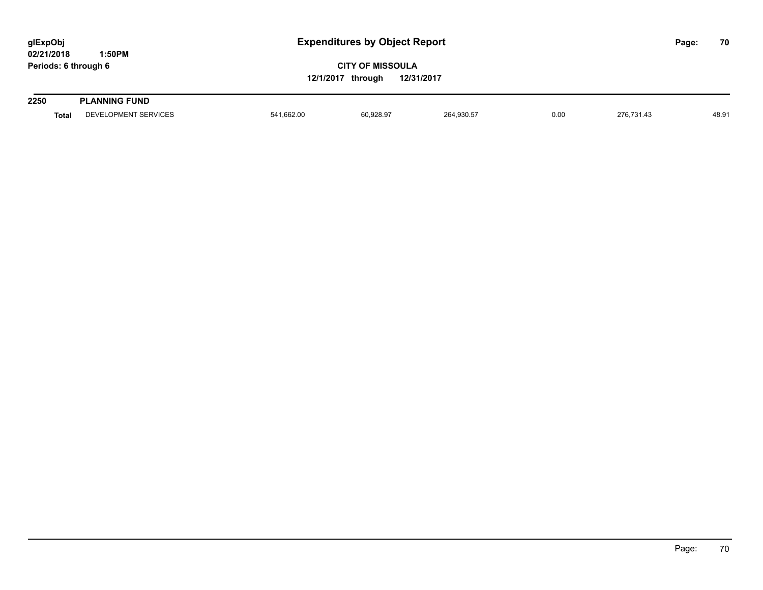| glExpObj             |        |
|----------------------|--------|
| 02/21/2018           | 1:50PM |
| Periods: 6 through 6 |        |

| 2250  | <b>ANNING FUND</b><br>DI. |            |           |           |     |            |       |
|-------|---------------------------|------------|-----------|-----------|-----|------------|-------|
| Total | OPMENT SERVICES<br>NEVEI  | 541,662.00 | 60.928.97 | 201 020 E | 0.0 | $\epsilon$ | 48.91 |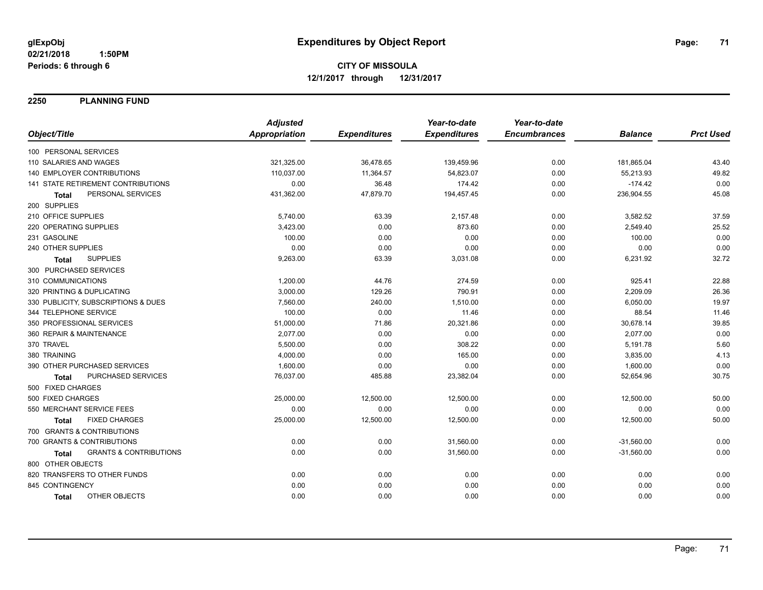**2250 PLANNING FUND**

|                                            | <b>Adjusted</b>      |                     | Year-to-date        | Year-to-date        |                |                  |
|--------------------------------------------|----------------------|---------------------|---------------------|---------------------|----------------|------------------|
| Object/Title                               | <b>Appropriation</b> | <b>Expenditures</b> | <b>Expenditures</b> | <b>Encumbrances</b> | <b>Balance</b> | <b>Prct Used</b> |
| 100 PERSONAL SERVICES                      |                      |                     |                     |                     |                |                  |
| 110 SALARIES AND WAGES                     | 321,325.00           | 36,478.65           | 139,459.96          | 0.00                | 181,865.04     | 43.40            |
| <b>140 EMPLOYER CONTRIBUTIONS</b>          | 110,037.00           | 11,364.57           | 54,823.07           | 0.00                | 55,213.93      | 49.82            |
| 141 STATE RETIREMENT CONTRIBUTIONS         | 0.00                 | 36.48               | 174.42              | 0.00                | $-174.42$      | 0.00             |
| PERSONAL SERVICES<br><b>Total</b>          | 431,362.00           | 47,879.70           | 194,457.45          | 0.00                | 236,904.55     | 45.08            |
| 200 SUPPLIES                               |                      |                     |                     |                     |                |                  |
| 210 OFFICE SUPPLIES                        | 5,740.00             | 63.39               | 2,157.48            | 0.00                | 3,582.52       | 37.59            |
| 220 OPERATING SUPPLIES                     | 3,423.00             | 0.00                | 873.60              | 0.00                | 2,549.40       | 25.52            |
| 231 GASOLINE                               | 100.00               | 0.00                | 0.00                | 0.00                | 100.00         | 0.00             |
| 240 OTHER SUPPLIES                         | 0.00                 | 0.00                | 0.00                | 0.00                | 0.00           | 0.00             |
| <b>SUPPLIES</b><br>Total                   | 9,263.00             | 63.39               | 3,031.08            | 0.00                | 6,231.92       | 32.72            |
| 300 PURCHASED SERVICES                     |                      |                     |                     |                     |                |                  |
| 310 COMMUNICATIONS                         | 1,200.00             | 44.76               | 274.59              | 0.00                | 925.41         | 22.88            |
| 320 PRINTING & DUPLICATING                 | 3,000.00             | 129.26              | 790.91              | 0.00                | 2,209.09       | 26.36            |
| 330 PUBLICITY, SUBSCRIPTIONS & DUES        | 7,560.00             | 240.00              | 1,510.00            | 0.00                | 6,050.00       | 19.97            |
| 344 TELEPHONE SERVICE                      | 100.00               | 0.00                | 11.46               | 0.00                | 88.54          | 11.46            |
| 350 PROFESSIONAL SERVICES                  | 51,000.00            | 71.86               | 20,321.86           | 0.00                | 30,678.14      | 39.85            |
| 360 REPAIR & MAINTENANCE                   | 2,077.00             | 0.00                | 0.00                | 0.00                | 2,077.00       | 0.00             |
| 370 TRAVEL                                 | 5,500.00             | 0.00                | 308.22              | 0.00                | 5,191.78       | 5.60             |
| 380 TRAINING                               | 4,000.00             | 0.00                | 165.00              | 0.00                | 3,835.00       | 4.13             |
| 390 OTHER PURCHASED SERVICES               | 1,600.00             | 0.00                | 0.00                | 0.00                | 1,600.00       | 0.00             |
| PURCHASED SERVICES<br><b>Total</b>         | 76,037.00            | 485.88              | 23,382.04           | 0.00                | 52,654.96      | 30.75            |
| 500 FIXED CHARGES                          |                      |                     |                     |                     |                |                  |
| 500 FIXED CHARGES                          | 25,000.00            | 12,500.00           | 12,500.00           | 0.00                | 12,500.00      | 50.00            |
| 550 MERCHANT SERVICE FEES                  | 0.00                 | 0.00                | 0.00                | 0.00                | 0.00           | 0.00             |
| <b>FIXED CHARGES</b><br><b>Total</b>       | 25,000.00            | 12,500.00           | 12,500.00           | 0.00                | 12,500.00      | 50.00            |
| 700 GRANTS & CONTRIBUTIONS                 |                      |                     |                     |                     |                |                  |
| 700 GRANTS & CONTRIBUTIONS                 | 0.00                 | 0.00                | 31,560.00           | 0.00                | $-31,560.00$   | 0.00             |
| <b>GRANTS &amp; CONTRIBUTIONS</b><br>Total | 0.00                 | 0.00                | 31,560.00           | 0.00                | $-31,560.00$   | 0.00             |
| 800 OTHER OBJECTS                          |                      |                     |                     |                     |                |                  |
| 820 TRANSFERS TO OTHER FUNDS               | 0.00                 | 0.00                | 0.00                | 0.00                | 0.00           | 0.00             |
| 845 CONTINGENCY                            | 0.00                 | 0.00                | 0.00                | 0.00                | 0.00           | 0.00             |
| OTHER OBJECTS<br><b>Total</b>              | 0.00                 | 0.00                | 0.00                | 0.00                | 0.00           | 0.00             |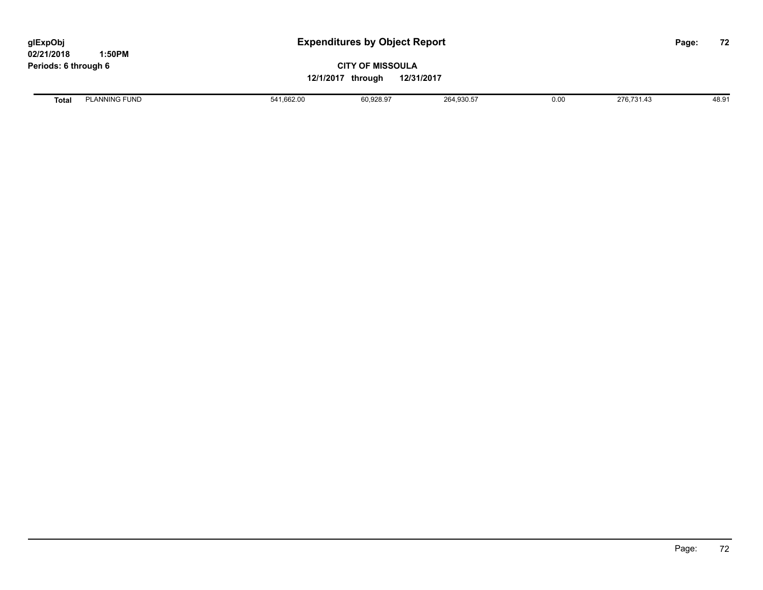## **CITY OF MISSOULA 12/1/2017 through 12/31/2017**

**Total** PLANNING FUND 6541,662.00 541,662.00 60,928.97 364,930.57 66,928.97 564,930.57 6.00 276,731.43 48.91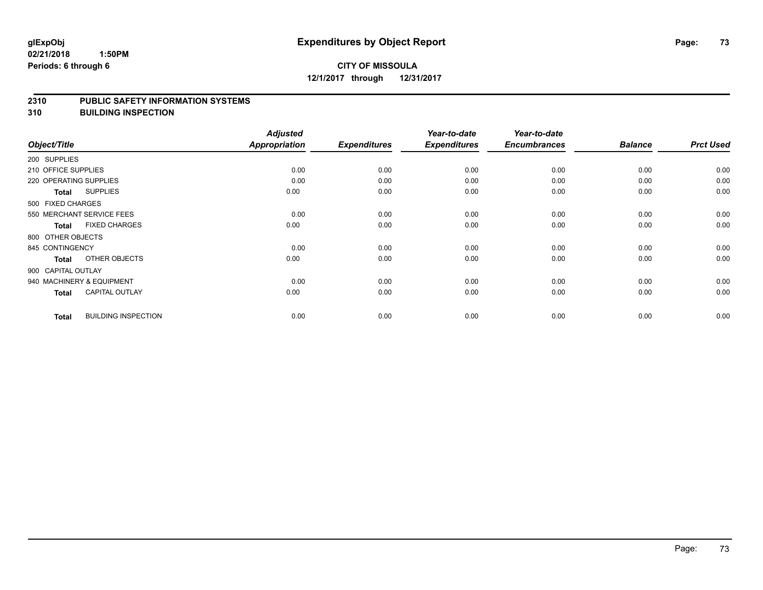## **CITY OF MISSOULA 12/1/2017 through 12/31/2017**

#### **2310 PUBLIC SAFETY INFORMATION SYSTEMS**

**310 BUILDING INSPECTION**

|                        |                            | <b>Adjusted</b> |                     | Year-to-date        | Year-to-date        |                |                  |
|------------------------|----------------------------|-----------------|---------------------|---------------------|---------------------|----------------|------------------|
| Object/Title           |                            | Appropriation   | <b>Expenditures</b> | <b>Expenditures</b> | <b>Encumbrances</b> | <b>Balance</b> | <b>Prct Used</b> |
| 200 SUPPLIES           |                            |                 |                     |                     |                     |                |                  |
| 210 OFFICE SUPPLIES    |                            | 0.00            | 0.00                | 0.00                | 0.00                | 0.00           | 0.00             |
| 220 OPERATING SUPPLIES |                            | 0.00            | 0.00                | 0.00                | 0.00                | 0.00           | 0.00             |
| <b>Total</b>           | <b>SUPPLIES</b>            | 0.00            | 0.00                | 0.00                | 0.00                | 0.00           | 0.00             |
| 500 FIXED CHARGES      |                            |                 |                     |                     |                     |                |                  |
|                        | 550 MERCHANT SERVICE FEES  | 0.00            | 0.00                | 0.00                | 0.00                | 0.00           | 0.00             |
| <b>Total</b>           | <b>FIXED CHARGES</b>       | 0.00            | 0.00                | 0.00                | 0.00                | 0.00           | 0.00             |
| 800 OTHER OBJECTS      |                            |                 |                     |                     |                     |                |                  |
| 845 CONTINGENCY        |                            | 0.00            | 0.00                | 0.00                | 0.00                | 0.00           | 0.00             |
| <b>Total</b>           | OTHER OBJECTS              | 0.00            | 0.00                | 0.00                | 0.00                | 0.00           | 0.00             |
| 900 CAPITAL OUTLAY     |                            |                 |                     |                     |                     |                |                  |
|                        | 940 MACHINERY & EQUIPMENT  | 0.00            | 0.00                | 0.00                | 0.00                | 0.00           | 0.00             |
| <b>Total</b>           | <b>CAPITAL OUTLAY</b>      | 0.00            | 0.00                | 0.00                | 0.00                | 0.00           | 0.00             |
| <b>Total</b>           | <b>BUILDING INSPECTION</b> | 0.00            | 0.00                | 0.00                | 0.00                | 0.00           | 0.00             |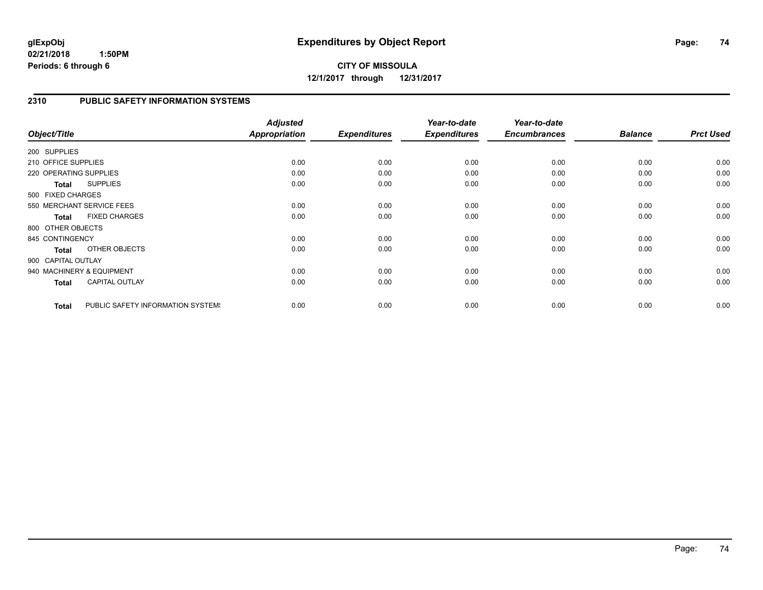# **CITY OF MISSOULA 12/1/2017 through 12/31/2017**

## **2310 PUBLIC SAFETY INFORMATION SYSTEMS**

| Object/Title           |                                   | <b>Adjusted</b><br>Appropriation | <b>Expenditures</b> | Year-to-date<br><b>Expenditures</b> | Year-to-date<br><b>Encumbrances</b> | <b>Balance</b> | <b>Prct Used</b> |
|------------------------|-----------------------------------|----------------------------------|---------------------|-------------------------------------|-------------------------------------|----------------|------------------|
| 200 SUPPLIES           |                                   |                                  |                     |                                     |                                     |                |                  |
| 210 OFFICE SUPPLIES    |                                   | 0.00                             | 0.00                | 0.00                                | 0.00                                | 0.00           | 0.00             |
| 220 OPERATING SUPPLIES |                                   | 0.00                             | 0.00                | 0.00                                | 0.00                                | 0.00           | 0.00             |
| Total                  | <b>SUPPLIES</b>                   | 0.00                             | 0.00                | 0.00                                | 0.00                                | 0.00           | 0.00             |
| 500 FIXED CHARGES      |                                   |                                  |                     |                                     |                                     |                |                  |
|                        | 550 MERCHANT SERVICE FEES         | 0.00                             | 0.00                | 0.00                                | 0.00                                | 0.00           | 0.00             |
| <b>Total</b>           | <b>FIXED CHARGES</b>              | 0.00                             | 0.00                | 0.00                                | 0.00                                | 0.00           | 0.00             |
| 800 OTHER OBJECTS      |                                   |                                  |                     |                                     |                                     |                |                  |
| 845 CONTINGENCY        |                                   | 0.00                             | 0.00                | 0.00                                | 0.00                                | 0.00           | 0.00             |
| <b>Total</b>           | OTHER OBJECTS                     | 0.00                             | 0.00                | 0.00                                | 0.00                                | 0.00           | 0.00             |
| 900 CAPITAL OUTLAY     |                                   |                                  |                     |                                     |                                     |                |                  |
|                        | 940 MACHINERY & EQUIPMENT         | 0.00                             | 0.00                | 0.00                                | 0.00                                | 0.00           | 0.00             |
| Total                  | <b>CAPITAL OUTLAY</b>             | 0.00                             | 0.00                | 0.00                                | 0.00                                | 0.00           | 0.00             |
| <b>Total</b>           | PUBLIC SAFETY INFORMATION SYSTEM! | 0.00                             | 0.00                | 0.00                                | 0.00                                | 0.00           | 0.00             |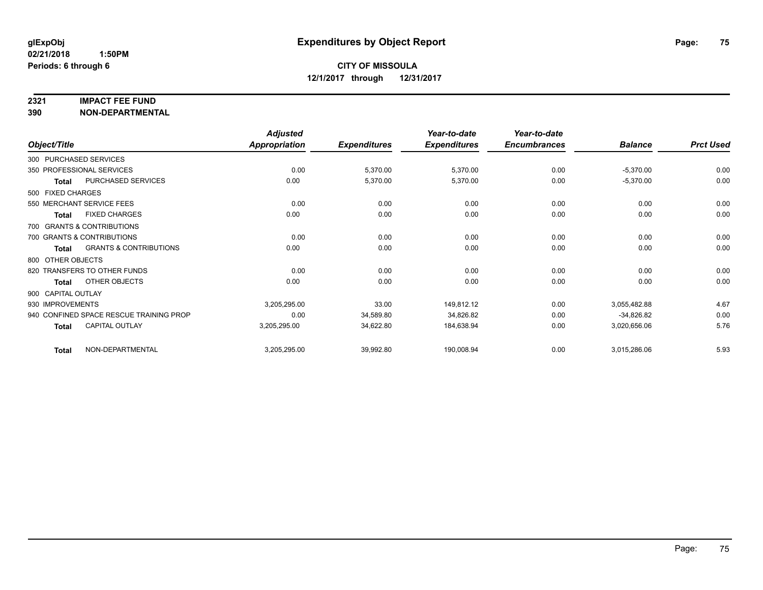#### **2321 IMPACT FEE FUND**

|                    |                                         | <b>Adjusted</b> |                     | Year-to-date        | Year-to-date        |                |                  |
|--------------------|-----------------------------------------|-----------------|---------------------|---------------------|---------------------|----------------|------------------|
| Object/Title       |                                         | Appropriation   | <b>Expenditures</b> | <b>Expenditures</b> | <b>Encumbrances</b> | <b>Balance</b> | <b>Prct Used</b> |
|                    | 300 PURCHASED SERVICES                  |                 |                     |                     |                     |                |                  |
|                    | 350 PROFESSIONAL SERVICES               | 0.00            | 5,370.00            | 5,370.00            | 0.00                | $-5,370.00$    | 0.00             |
| Total              | <b>PURCHASED SERVICES</b>               | 0.00            | 5,370.00            | 5,370.00            | 0.00                | $-5,370.00$    | 0.00             |
| 500 FIXED CHARGES  |                                         |                 |                     |                     |                     |                |                  |
|                    | 550 MERCHANT SERVICE FEES               | 0.00            | 0.00                | 0.00                | 0.00                | 0.00           | 0.00             |
| <b>Total</b>       | <b>FIXED CHARGES</b>                    | 0.00            | 0.00                | 0.00                | 0.00                | 0.00           | 0.00             |
|                    | 700 GRANTS & CONTRIBUTIONS              |                 |                     |                     |                     |                |                  |
|                    | 700 GRANTS & CONTRIBUTIONS              | 0.00            | 0.00                | 0.00                | 0.00                | 0.00           | 0.00             |
| <b>Total</b>       | <b>GRANTS &amp; CONTRIBUTIONS</b>       | 0.00            | 0.00                | 0.00                | 0.00                | 0.00           | 0.00             |
| 800 OTHER OBJECTS  |                                         |                 |                     |                     |                     |                |                  |
|                    | 820 TRANSFERS TO OTHER FUNDS            | 0.00            | 0.00                | 0.00                | 0.00                | 0.00           | 0.00             |
| <b>Total</b>       | OTHER OBJECTS                           | 0.00            | 0.00                | 0.00                | 0.00                | 0.00           | 0.00             |
| 900 CAPITAL OUTLAY |                                         |                 |                     |                     |                     |                |                  |
| 930 IMPROVEMENTS   |                                         | 3,205,295.00    | 33.00               | 149,812.12          | 0.00                | 3,055,482.88   | 4.67             |
|                    | 940 CONFINED SPACE RESCUE TRAINING PROP | 0.00            | 34,589.80           | 34,826.82           | 0.00                | $-34,826.82$   | 0.00             |
| <b>Total</b>       | <b>CAPITAL OUTLAY</b>                   | 3,205,295.00    | 34,622.80           | 184,638.94          | 0.00                | 3,020,656.06   | 5.76             |
| <b>Total</b>       | NON-DEPARTMENTAL                        | 3,205,295.00    | 39,992.80           | 190,008.94          | 0.00                | 3,015,286.06   | 5.93             |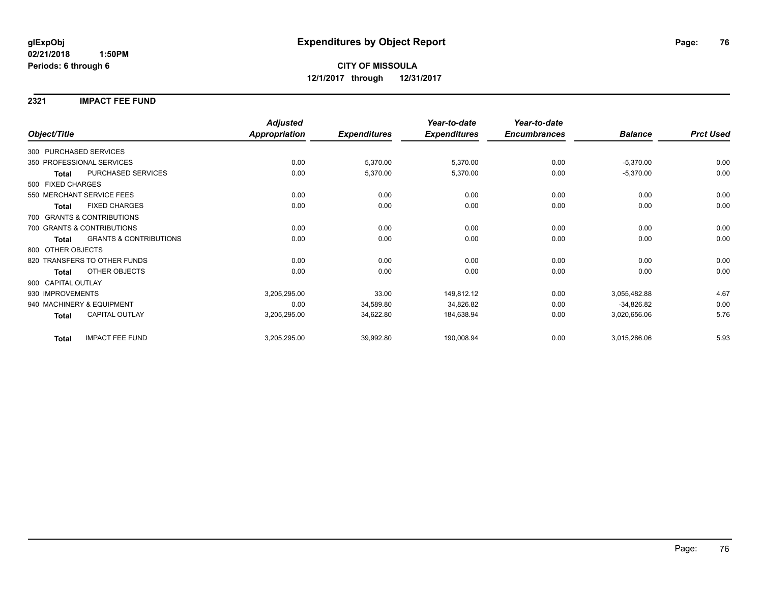## **2321 IMPACT FEE FUND**

|                        |                                   | <b>Adjusted</b> |                     | Year-to-date        | Year-to-date        |                |                  |
|------------------------|-----------------------------------|-----------------|---------------------|---------------------|---------------------|----------------|------------------|
| Object/Title           |                                   | Appropriation   | <b>Expenditures</b> | <b>Expenditures</b> | <b>Encumbrances</b> | <b>Balance</b> | <b>Prct Used</b> |
| 300 PURCHASED SERVICES |                                   |                 |                     |                     |                     |                |                  |
|                        | 350 PROFESSIONAL SERVICES         | 0.00            | 5,370.00            | 5,370.00            | 0.00                | $-5,370.00$    | 0.00             |
| <b>Total</b>           | PURCHASED SERVICES                | 0.00            | 5,370.00            | 5,370.00            | 0.00                | $-5,370.00$    | 0.00             |
| 500 FIXED CHARGES      |                                   |                 |                     |                     |                     |                |                  |
|                        | 550 MERCHANT SERVICE FEES         | 0.00            | 0.00                | 0.00                | 0.00                | 0.00           | 0.00             |
| <b>Total</b>           | <b>FIXED CHARGES</b>              | 0.00            | 0.00                | 0.00                | 0.00                | 0.00           | 0.00             |
|                        | 700 GRANTS & CONTRIBUTIONS        |                 |                     |                     |                     |                |                  |
|                        | 700 GRANTS & CONTRIBUTIONS        | 0.00            | 0.00                | 0.00                | 0.00                | 0.00           | 0.00             |
| <b>Total</b>           | <b>GRANTS &amp; CONTRIBUTIONS</b> | 0.00            | 0.00                | 0.00                | 0.00                | 0.00           | 0.00             |
| 800 OTHER OBJECTS      |                                   |                 |                     |                     |                     |                |                  |
|                        | 820 TRANSFERS TO OTHER FUNDS      | 0.00            | 0.00                | 0.00                | 0.00                | 0.00           | 0.00             |
| Total                  | OTHER OBJECTS                     | 0.00            | 0.00                | 0.00                | 0.00                | 0.00           | 0.00             |
| 900 CAPITAL OUTLAY     |                                   |                 |                     |                     |                     |                |                  |
| 930 IMPROVEMENTS       |                                   | 3,205,295.00    | 33.00               | 149,812.12          | 0.00                | 3,055,482.88   | 4.67             |
|                        | 940 MACHINERY & EQUIPMENT         | 0.00            | 34,589.80           | 34,826.82           | 0.00                | $-34,826.82$   | 0.00             |
| <b>Total</b>           | <b>CAPITAL OUTLAY</b>             | 3,205,295.00    | 34,622.80           | 184,638.94          | 0.00                | 3,020,656.06   | 5.76             |
| <b>Total</b>           | <b>IMPACT FEE FUND</b>            | 3,205,295.00    | 39,992.80           | 190,008.94          | 0.00                | 3,015,286.06   | 5.93             |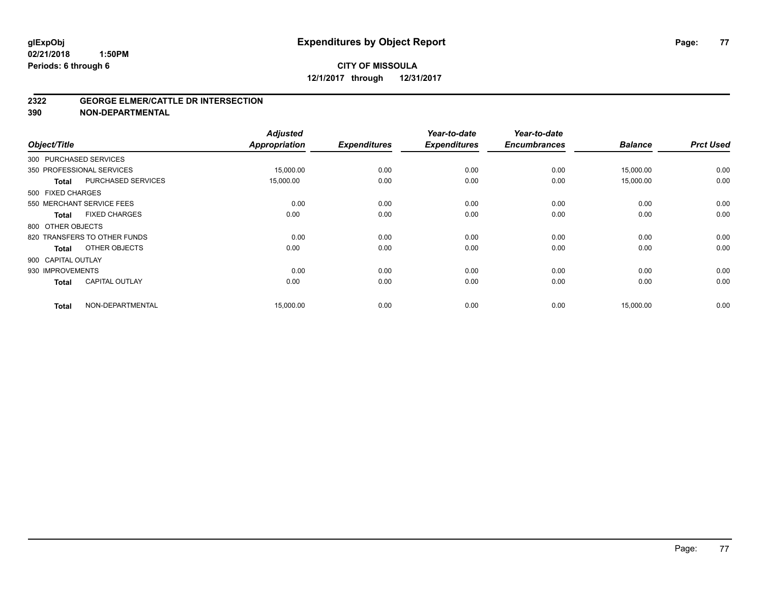#### **2322 GEORGE ELMER/CATTLE DR INTERSECTION**

| Object/Title       |                              | <b>Adjusted</b><br><b>Appropriation</b> | <b>Expenditures</b> | Year-to-date<br><b>Expenditures</b> | Year-to-date<br><b>Encumbrances</b> | <b>Balance</b> | <b>Prct Used</b> |
|--------------------|------------------------------|-----------------------------------------|---------------------|-------------------------------------|-------------------------------------|----------------|------------------|
|                    | 300 PURCHASED SERVICES       |                                         |                     |                                     |                                     |                |                  |
|                    | 350 PROFESSIONAL SERVICES    | 15,000.00                               | 0.00                | 0.00                                | 0.00                                | 15,000.00      | 0.00             |
| <b>Total</b>       | <b>PURCHASED SERVICES</b>    | 15,000.00                               | 0.00                | 0.00                                | 0.00                                | 15,000.00      | 0.00             |
| 500 FIXED CHARGES  |                              |                                         |                     |                                     |                                     |                |                  |
|                    | 550 MERCHANT SERVICE FEES    | 0.00                                    | 0.00                | 0.00                                | 0.00                                | 0.00           | 0.00             |
| <b>Total</b>       | <b>FIXED CHARGES</b>         | 0.00                                    | 0.00                | 0.00                                | 0.00                                | 0.00           | 0.00             |
| 800 OTHER OBJECTS  |                              |                                         |                     |                                     |                                     |                |                  |
|                    | 820 TRANSFERS TO OTHER FUNDS | 0.00                                    | 0.00                | 0.00                                | 0.00                                | 0.00           | 0.00             |
| <b>Total</b>       | OTHER OBJECTS                | 0.00                                    | 0.00                | 0.00                                | 0.00                                | 0.00           | 0.00             |
| 900 CAPITAL OUTLAY |                              |                                         |                     |                                     |                                     |                |                  |
| 930 IMPROVEMENTS   |                              | 0.00                                    | 0.00                | 0.00                                | 0.00                                | 0.00           | 0.00             |
| <b>Total</b>       | <b>CAPITAL OUTLAY</b>        | 0.00                                    | 0.00                | 0.00                                | 0.00                                | 0.00           | 0.00             |
| <b>Total</b>       | NON-DEPARTMENTAL             | 15,000.00                               | 0.00                | 0.00                                | 0.00                                | 15,000.00      | 0.00             |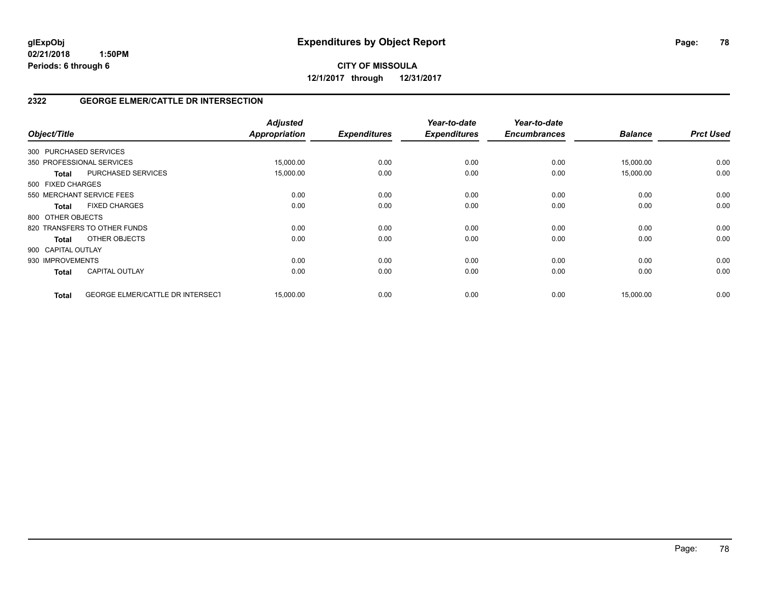**CITY OF MISSOULA 12/1/2017 through 12/31/2017**

# **2322 GEORGE ELMER/CATTLE DR INTERSECTION**

| Object/Title           |                                         | <b>Adjusted</b><br>Appropriation | <b>Expenditures</b> | Year-to-date<br><b>Expenditures</b> | Year-to-date<br><b>Encumbrances</b> | <b>Balance</b> | <b>Prct Used</b> |
|------------------------|-----------------------------------------|----------------------------------|---------------------|-------------------------------------|-------------------------------------|----------------|------------------|
| 300 PURCHASED SERVICES |                                         |                                  |                     |                                     |                                     |                |                  |
|                        | 350 PROFESSIONAL SERVICES               | 15,000.00                        | 0.00                | 0.00                                | 0.00                                | 15,000.00      | 0.00             |
| <b>Total</b>           | PURCHASED SERVICES                      | 15,000.00                        | 0.00                | 0.00                                | 0.00                                | 15,000.00      | 0.00             |
| 500 FIXED CHARGES      |                                         |                                  |                     |                                     |                                     |                |                  |
|                        | 550 MERCHANT SERVICE FEES               | 0.00                             | 0.00                | 0.00                                | 0.00                                | 0.00           | 0.00             |
| <b>Total</b>           | <b>FIXED CHARGES</b>                    | 0.00                             | 0.00                | 0.00                                | 0.00                                | 0.00           | 0.00             |
| 800 OTHER OBJECTS      |                                         |                                  |                     |                                     |                                     |                |                  |
|                        | 820 TRANSFERS TO OTHER FUNDS            | 0.00                             | 0.00                | 0.00                                | 0.00                                | 0.00           | 0.00             |
| <b>Total</b>           | OTHER OBJECTS                           | 0.00                             | 0.00                | 0.00                                | 0.00                                | 0.00           | 0.00             |
| 900 CAPITAL OUTLAY     |                                         |                                  |                     |                                     |                                     |                |                  |
| 930 IMPROVEMENTS       |                                         | 0.00                             | 0.00                | 0.00                                | 0.00                                | 0.00           | 0.00             |
| <b>Total</b>           | <b>CAPITAL OUTLAY</b>                   | 0.00                             | 0.00                | 0.00                                | 0.00                                | 0.00           | 0.00             |
| <b>Total</b>           | <b>GEORGE ELMER/CATTLE DR INTERSECT</b> | 15,000.00                        | 0.00                | 0.00                                | 0.00                                | 15,000.00      | 0.00             |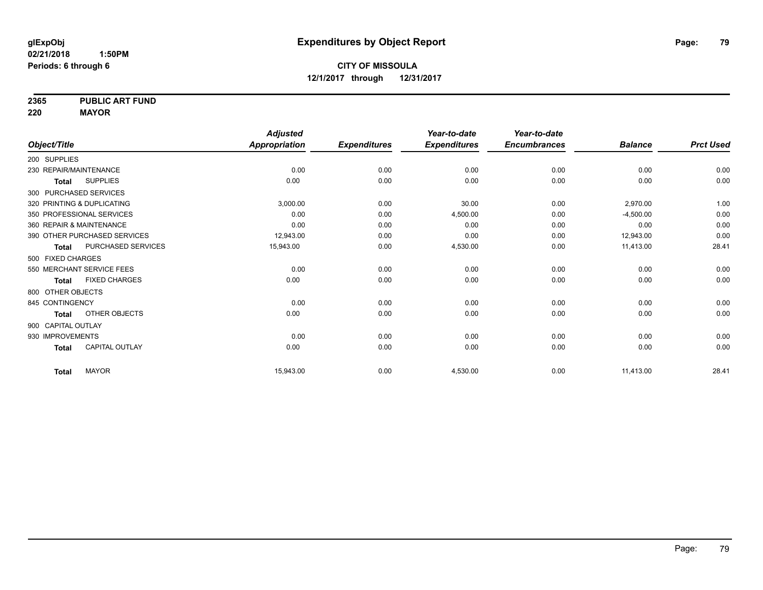**2365 PUBLIC ART FUND**

**220 MAYOR**

|                            |                              | <b>Adjusted</b>      |                     | Year-to-date        | Year-to-date        |                |                  |
|----------------------------|------------------------------|----------------------|---------------------|---------------------|---------------------|----------------|------------------|
| Object/Title               |                              | <b>Appropriation</b> | <b>Expenditures</b> | <b>Expenditures</b> | <b>Encumbrances</b> | <b>Balance</b> | <b>Prct Used</b> |
| 200 SUPPLIES               |                              |                      |                     |                     |                     |                |                  |
| 230 REPAIR/MAINTENANCE     |                              | 0.00                 | 0.00                | 0.00                | 0.00                | 0.00           | 0.00             |
| <b>Total</b>               | <b>SUPPLIES</b>              | 0.00                 | 0.00                | 0.00                | 0.00                | 0.00           | 0.00             |
| 300 PURCHASED SERVICES     |                              |                      |                     |                     |                     |                |                  |
| 320 PRINTING & DUPLICATING |                              | 3,000.00             | 0.00                | 30.00               | 0.00                | 2,970.00       | 1.00             |
|                            | 350 PROFESSIONAL SERVICES    | 0.00                 | 0.00                | 4,500.00            | 0.00                | $-4,500.00$    | 0.00             |
| 360 REPAIR & MAINTENANCE   |                              | 0.00                 | 0.00                | 0.00                | 0.00                | 0.00           | 0.00             |
|                            | 390 OTHER PURCHASED SERVICES | 12,943.00            | 0.00                | 0.00                | 0.00                | 12,943.00      | 0.00             |
| <b>Total</b>               | PURCHASED SERVICES           | 15,943.00            | 0.00                | 4,530.00            | 0.00                | 11,413.00      | 28.41            |
| 500 FIXED CHARGES          |                              |                      |                     |                     |                     |                |                  |
|                            | 550 MERCHANT SERVICE FEES    | 0.00                 | 0.00                | 0.00                | 0.00                | 0.00           | 0.00             |
| <b>Total</b>               | <b>FIXED CHARGES</b>         | 0.00                 | 0.00                | 0.00                | 0.00                | 0.00           | 0.00             |
| 800 OTHER OBJECTS          |                              |                      |                     |                     |                     |                |                  |
| 845 CONTINGENCY            |                              | 0.00                 | 0.00                | 0.00                | 0.00                | 0.00           | 0.00             |
| <b>Total</b>               | OTHER OBJECTS                | 0.00                 | 0.00                | 0.00                | 0.00                | 0.00           | 0.00             |
| 900 CAPITAL OUTLAY         |                              |                      |                     |                     |                     |                |                  |
| 930 IMPROVEMENTS           |                              | 0.00                 | 0.00                | 0.00                | 0.00                | 0.00           | 0.00             |
| <b>Total</b>               | <b>CAPITAL OUTLAY</b>        | 0.00                 | 0.00                | 0.00                | 0.00                | 0.00           | 0.00             |
| <b>Total</b>               | <b>MAYOR</b>                 | 15,943.00            | 0.00                | 4,530.00            | 0.00                | 11,413.00      | 28.41            |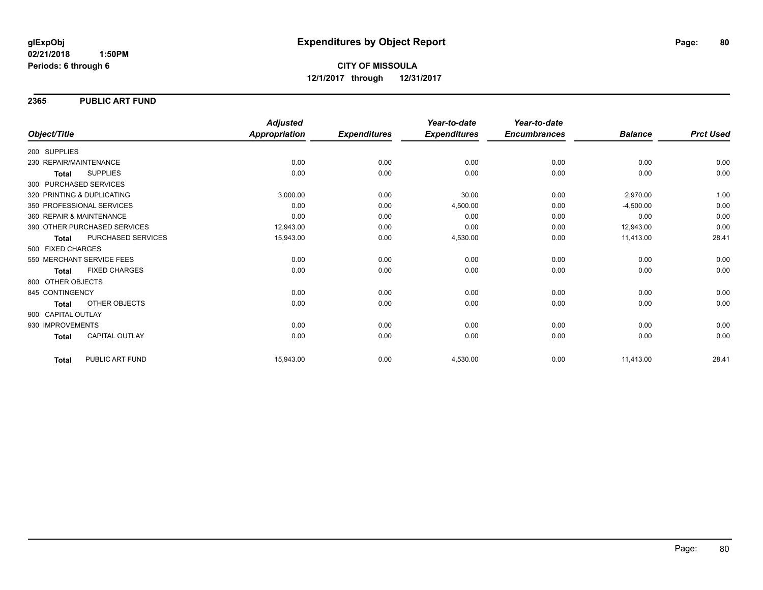## **2365 PUBLIC ART FUND**

|                                       | <b>Adjusted</b>      |                     | Year-to-date        | Year-to-date        |                |                  |
|---------------------------------------|----------------------|---------------------|---------------------|---------------------|----------------|------------------|
| Object/Title                          | <b>Appropriation</b> | <b>Expenditures</b> | <b>Expenditures</b> | <b>Encumbrances</b> | <b>Balance</b> | <b>Prct Used</b> |
| 200 SUPPLIES                          |                      |                     |                     |                     |                |                  |
| 230 REPAIR/MAINTENANCE                | 0.00                 | 0.00                | 0.00                | 0.00                | 0.00           | 0.00             |
| <b>SUPPLIES</b><br><b>Total</b>       | 0.00                 | 0.00                | 0.00                | 0.00                | 0.00           | 0.00             |
| 300 PURCHASED SERVICES                |                      |                     |                     |                     |                |                  |
| 320 PRINTING & DUPLICATING            | 3,000.00             | 0.00                | 30.00               | 0.00                | 2,970.00       | 1.00             |
| 350 PROFESSIONAL SERVICES             | 0.00                 | 0.00                | 4,500.00            | 0.00                | $-4,500.00$    | 0.00             |
| 360 REPAIR & MAINTENANCE              | 0.00                 | 0.00                | 0.00                | 0.00                | 0.00           | 0.00             |
| 390 OTHER PURCHASED SERVICES          | 12,943.00            | 0.00                | 0.00                | 0.00                | 12,943.00      | 0.00             |
| PURCHASED SERVICES<br><b>Total</b>    | 15,943.00            | 0.00                | 4,530.00            | 0.00                | 11,413.00      | 28.41            |
| 500 FIXED CHARGES                     |                      |                     |                     |                     |                |                  |
| 550 MERCHANT SERVICE FEES             | 0.00                 | 0.00                | 0.00                | 0.00                | 0.00           | 0.00             |
| <b>FIXED CHARGES</b><br><b>Total</b>  | 0.00                 | 0.00                | 0.00                | 0.00                | 0.00           | 0.00             |
| 800 OTHER OBJECTS                     |                      |                     |                     |                     |                |                  |
| 845 CONTINGENCY                       | 0.00                 | 0.00                | 0.00                | 0.00                | 0.00           | 0.00             |
| <b>OTHER OBJECTS</b><br><b>Total</b>  | 0.00                 | 0.00                | 0.00                | 0.00                | 0.00           | 0.00             |
| 900 CAPITAL OUTLAY                    |                      |                     |                     |                     |                |                  |
| 930 IMPROVEMENTS                      | 0.00                 | 0.00                | 0.00                | 0.00                | 0.00           | 0.00             |
| <b>CAPITAL OUTLAY</b><br><b>Total</b> | 0.00                 | 0.00                | 0.00                | 0.00                | 0.00           | 0.00             |
| PUBLIC ART FUND<br><b>Total</b>       | 15,943.00            | 0.00                | 4,530.00            | 0.00                | 11,413.00      | 28.41            |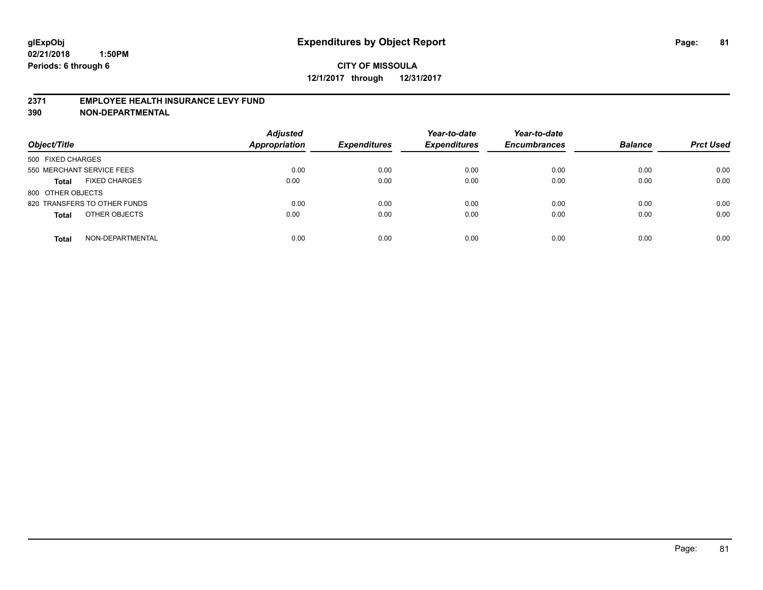#### **2371 EMPLOYEE HEALTH INSURANCE LEVY FUND**

| Object/Title                         | <b>Adjusted</b><br><b>Appropriation</b> | <b>Expenditures</b> | Year-to-date<br><b>Expenditures</b> | Year-to-date<br><b>Encumbrances</b> | <b>Balance</b> | <b>Prct Used</b> |
|--------------------------------------|-----------------------------------------|---------------------|-------------------------------------|-------------------------------------|----------------|------------------|
| 500 FIXED CHARGES                    |                                         |                     |                                     |                                     |                |                  |
| 550 MERCHANT SERVICE FEES            | 0.00                                    | 0.00                | 0.00                                | 0.00                                | 0.00           | 0.00             |
| <b>FIXED CHARGES</b><br><b>Total</b> | 0.00                                    | 0.00                | 0.00                                | 0.00                                | 0.00           | 0.00             |
| 800 OTHER OBJECTS                    |                                         |                     |                                     |                                     |                |                  |
| 820 TRANSFERS TO OTHER FUNDS         | 0.00                                    | 0.00                | 0.00                                | 0.00                                | 0.00           | 0.00             |
| OTHER OBJECTS<br><b>Total</b>        | 0.00                                    | 0.00                | 0.00                                | 0.00                                | 0.00           | 0.00             |
| NON-DEPARTMENTAL<br><b>Total</b>     | 0.00                                    | 0.00                | 0.00                                | 0.00                                | 0.00           | 0.00             |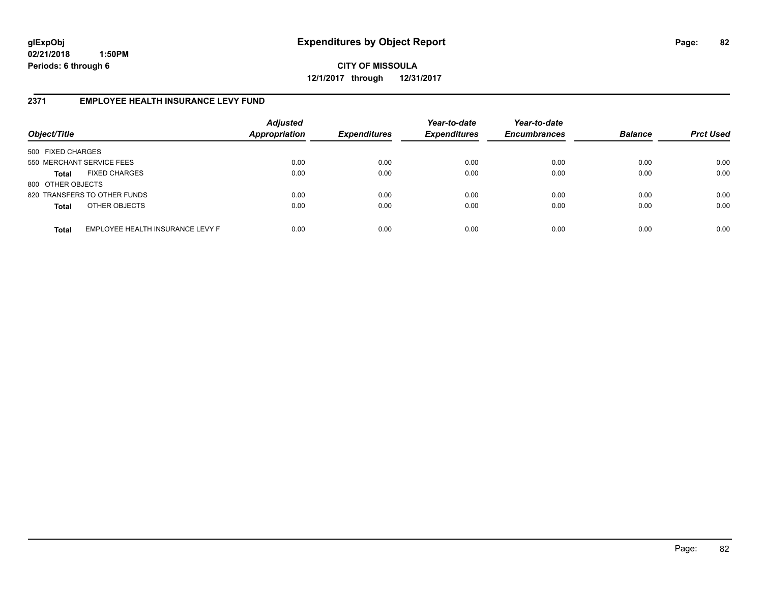**CITY OF MISSOULA 12/1/2017 through 12/31/2017**

## **2371 EMPLOYEE HEALTH INSURANCE LEVY FUND**

| Object/Title              |                                  | <b>Adjusted</b><br>Appropriation | <b>Expenditures</b> | Year-to-date<br><b>Expenditures</b> | Year-to-date<br><b>Encumbrances</b> | <b>Balance</b> | <b>Prct Used</b> |
|---------------------------|----------------------------------|----------------------------------|---------------------|-------------------------------------|-------------------------------------|----------------|------------------|
| 500 FIXED CHARGES         |                                  |                                  |                     |                                     |                                     |                |                  |
| 550 MERCHANT SERVICE FEES |                                  | 0.00                             | 0.00                | 0.00                                | 0.00                                | 0.00           | 0.00             |
| <b>Total</b>              | <b>FIXED CHARGES</b>             | 0.00                             | 0.00                | 0.00                                | 0.00                                | 0.00           | 0.00             |
| 800 OTHER OBJECTS         |                                  |                                  |                     |                                     |                                     |                |                  |
|                           | 820 TRANSFERS TO OTHER FUNDS     | 0.00                             | 0.00                | 0.00                                | 0.00                                | 0.00           | 0.00             |
| <b>Total</b>              | OTHER OBJECTS                    | 0.00                             | 0.00                | 0.00                                | 0.00                                | 0.00           | 0.00             |
| <b>Total</b>              | EMPLOYEE HEALTH INSURANCE LEVY F | 0.00                             | 0.00                | 0.00                                | 0.00                                | 0.00           | 0.00             |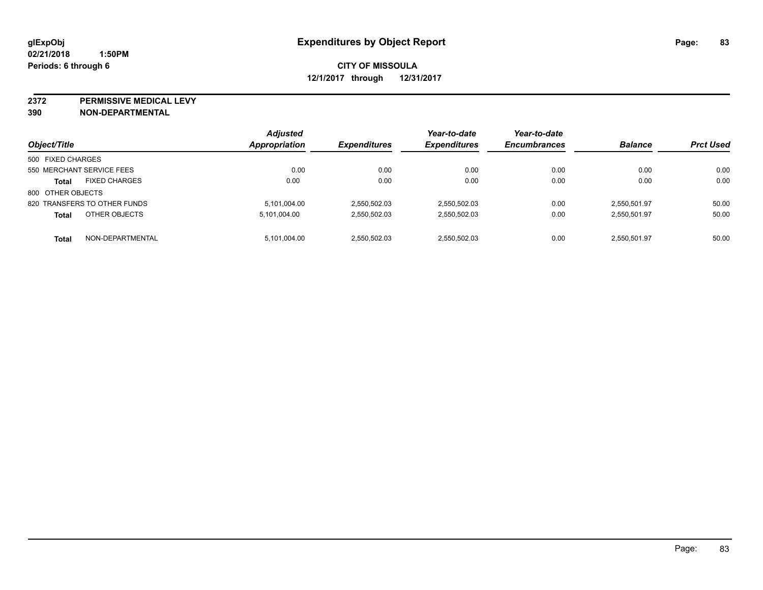**2372 PERMISSIVE MEDICAL LEVY**

| Object/Title                         | <b>Adjusted</b><br>Appropriation | <b>Expenditures</b> | Year-to-date<br><b>Expenditures</b> | Year-to-date<br><b>Encumbrances</b> | <b>Balance</b> | <b>Prct Used</b> |
|--------------------------------------|----------------------------------|---------------------|-------------------------------------|-------------------------------------|----------------|------------------|
| 500 FIXED CHARGES                    |                                  |                     |                                     |                                     |                |                  |
| 550 MERCHANT SERVICE FEES            | 0.00                             | 0.00                | 0.00                                | 0.00                                | 0.00           | 0.00             |
| <b>FIXED CHARGES</b><br><b>Total</b> | 0.00                             | 0.00                | 0.00                                | 0.00                                | 0.00           | 0.00             |
| 800 OTHER OBJECTS                    |                                  |                     |                                     |                                     |                |                  |
| 820 TRANSFERS TO OTHER FUNDS         | 5,101,004.00                     | 2.550.502.03        | 2,550,502.03                        | 0.00                                | 2,550,501.97   | 50.00            |
| OTHER OBJECTS<br><b>Total</b>        | 5,101,004.00                     | 2,550,502.03        | 2,550,502.03                        | 0.00                                | 2,550,501.97   | 50.00            |
| NON-DEPARTMENTAL<br><b>Total</b>     | 5,101,004.00                     | 2,550,502.03        | 2,550,502.03                        | 0.00                                | 2,550,501.97   | 50.00            |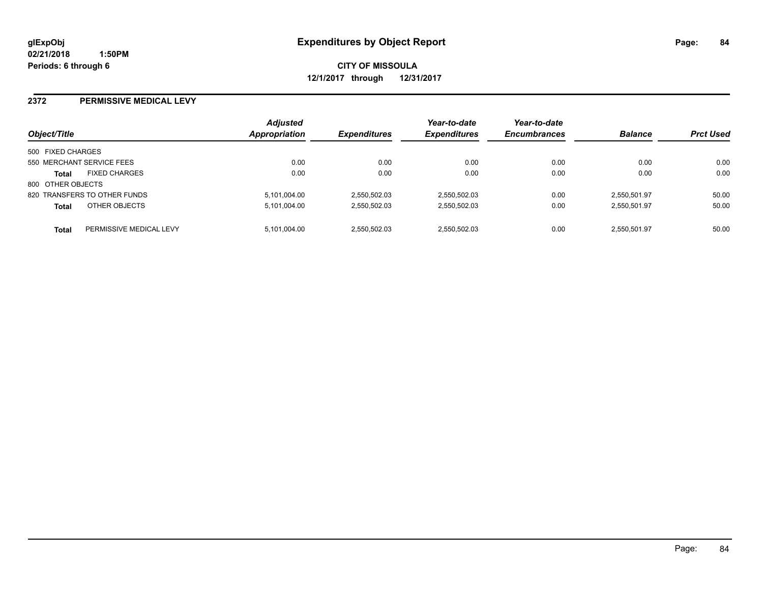#### **2372 PERMISSIVE MEDICAL LEVY**

| Object/Title      |                              | <b>Adjusted</b><br>Appropriation | <b>Expenditures</b> | Year-to-date<br><b>Expenditures</b> | Year-to-date<br><b>Encumbrances</b> | <b>Balance</b> | <b>Prct Used</b> |
|-------------------|------------------------------|----------------------------------|---------------------|-------------------------------------|-------------------------------------|----------------|------------------|
| 500 FIXED CHARGES |                              |                                  |                     |                                     |                                     |                |                  |
|                   | 550 MERCHANT SERVICE FEES    | 0.00                             | 0.00                | 0.00                                | 0.00                                | 0.00           | 0.00             |
| <b>Total</b>      | <b>FIXED CHARGES</b>         | 0.00                             | 0.00                | 0.00                                | 0.00                                | 0.00           | 0.00             |
| 800 OTHER OBJECTS |                              |                                  |                     |                                     |                                     |                |                  |
|                   | 820 TRANSFERS TO OTHER FUNDS | 5,101,004.00                     | 2,550,502.03        | 2,550,502.03                        | 0.00                                | 2.550.501.97   | 50.00            |
| <b>Total</b>      | OTHER OBJECTS                | 5,101,004.00                     | 2,550,502.03        | 2,550,502.03                        | 0.00                                | 2,550,501.97   | 50.00            |
| <b>Total</b>      | PERMISSIVE MEDICAL LEVY      | 5.101.004.00                     | 2,550,502.03        | 2.550.502.03                        | 0.00                                | 2.550.501.97   | 50.00            |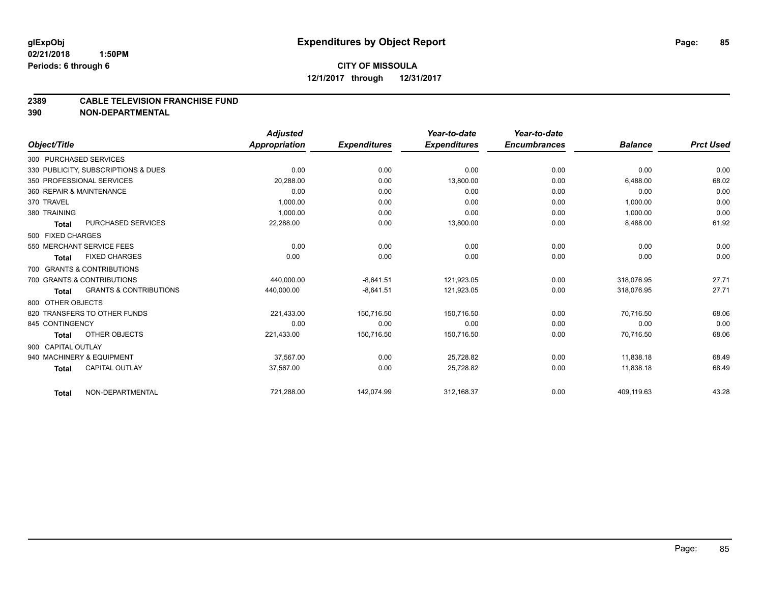#### **2389 CABLE TELEVISION FRANCHISE FUND**

|                    |                                     | <b>Adjusted</b> |                     | Year-to-date        | Year-to-date        |                |                  |
|--------------------|-------------------------------------|-----------------|---------------------|---------------------|---------------------|----------------|------------------|
| Object/Title       |                                     | Appropriation   | <b>Expenditures</b> | <b>Expenditures</b> | <b>Encumbrances</b> | <b>Balance</b> | <b>Prct Used</b> |
|                    | 300 PURCHASED SERVICES              |                 |                     |                     |                     |                |                  |
|                    | 330 PUBLICITY, SUBSCRIPTIONS & DUES | 0.00            | 0.00                | 0.00                | 0.00                | 0.00           | 0.00             |
|                    | 350 PROFESSIONAL SERVICES           | 20,288.00       | 0.00                | 13,800.00           | 0.00                | 6,488.00       | 68.02            |
|                    | 360 REPAIR & MAINTENANCE            | 0.00            | 0.00                | 0.00                | 0.00                | 0.00           | 0.00             |
| 370 TRAVEL         |                                     | 1,000.00        | 0.00                | 0.00                | 0.00                | 1,000.00       | 0.00             |
| 380 TRAINING       |                                     | 1,000.00        | 0.00                | 0.00                | 0.00                | 1,000.00       | 0.00             |
| <b>Total</b>       | PURCHASED SERVICES                  | 22,288.00       | 0.00                | 13,800.00           | 0.00                | 8,488.00       | 61.92            |
| 500 FIXED CHARGES  |                                     |                 |                     |                     |                     |                |                  |
|                    | 550 MERCHANT SERVICE FEES           | 0.00            | 0.00                | 0.00                | 0.00                | 0.00           | 0.00             |
| <b>Total</b>       | <b>FIXED CHARGES</b>                | 0.00            | 0.00                | 0.00                | 0.00                | 0.00           | 0.00             |
|                    | 700 GRANTS & CONTRIBUTIONS          |                 |                     |                     |                     |                |                  |
|                    | 700 GRANTS & CONTRIBUTIONS          | 440.000.00      | $-8.641.51$         | 121.923.05          | 0.00                | 318.076.95     | 27.71            |
| <b>Total</b>       | <b>GRANTS &amp; CONTRIBUTIONS</b>   | 440,000.00      | $-8,641.51$         | 121,923.05          | 0.00                | 318,076.95     | 27.71            |
| 800 OTHER OBJECTS  |                                     |                 |                     |                     |                     |                |                  |
|                    | 820 TRANSFERS TO OTHER FUNDS        | 221,433.00      | 150,716.50          | 150.716.50          | 0.00                | 70,716.50      | 68.06            |
| 845 CONTINGENCY    |                                     | 0.00            | 0.00                | 0.00                | 0.00                | 0.00           | 0.00             |
| <b>Total</b>       | OTHER OBJECTS                       | 221,433.00      | 150,716.50          | 150,716.50          | 0.00                | 70,716.50      | 68.06            |
| 900 CAPITAL OUTLAY |                                     |                 |                     |                     |                     |                |                  |
|                    | 940 MACHINERY & EQUIPMENT           | 37,567.00       | 0.00                | 25,728.82           | 0.00                | 11,838.18      | 68.49            |
| <b>Total</b>       | <b>CAPITAL OUTLAY</b>               | 37.567.00       | 0.00                | 25,728.82           | 0.00                | 11,838.18      | 68.49            |
| <b>Total</b>       | NON-DEPARTMENTAL                    | 721,288.00      | 142,074.99          | 312,168.37          | 0.00                | 409,119.63     | 43.28            |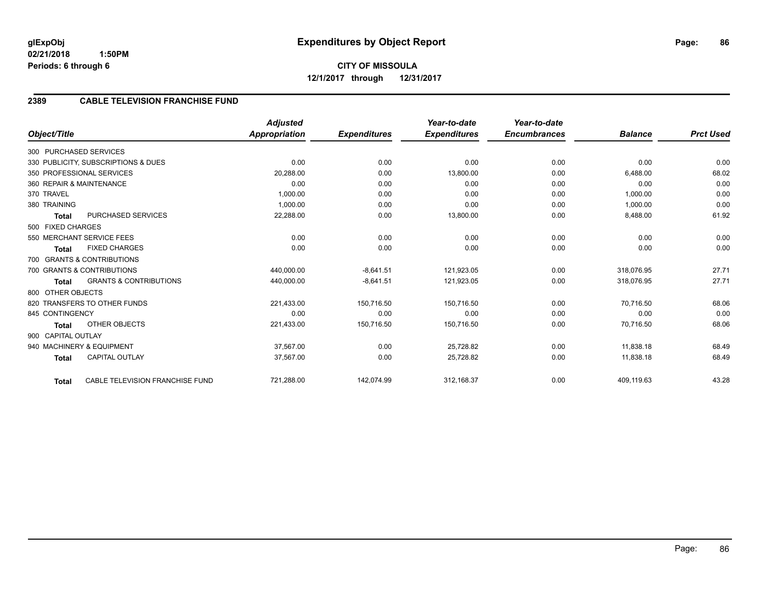## **2389 CABLE TELEVISION FRANCHISE FUND**

|                 |                                                   | <b>Adjusted</b>      |                     | Year-to-date        | Year-to-date        |                |                  |
|-----------------|---------------------------------------------------|----------------------|---------------------|---------------------|---------------------|----------------|------------------|
| Object/Title    |                                                   | <b>Appropriation</b> | <b>Expenditures</b> | <b>Expenditures</b> | <b>Encumbrances</b> | <b>Balance</b> | <b>Prct Used</b> |
|                 | 300 PURCHASED SERVICES                            |                      |                     |                     |                     |                |                  |
|                 | 330 PUBLICITY, SUBSCRIPTIONS & DUES               | 0.00                 | 0.00                | 0.00                | 0.00                | 0.00           | 0.00             |
|                 | 350 PROFESSIONAL SERVICES                         | 20.288.00            | 0.00                | 13,800.00           | 0.00                | 6,488.00       | 68.02            |
|                 | 360 REPAIR & MAINTENANCE                          | 0.00                 | 0.00                | 0.00                | 0.00                | 0.00           | 0.00             |
| 370 TRAVEL      |                                                   | 1,000.00             | 0.00                | 0.00                | 0.00                | 1,000.00       | 0.00             |
| 380 TRAINING    |                                                   | 1,000.00             | 0.00                | 0.00                | 0.00                | 1,000.00       | 0.00             |
|                 | PURCHASED SERVICES<br><b>Total</b>                | 22,288.00            | 0.00                | 13,800.00           | 0.00                | 8,488.00       | 61.92            |
|                 | 500 FIXED CHARGES                                 |                      |                     |                     |                     |                |                  |
|                 | 550 MERCHANT SERVICE FEES                         | 0.00                 | 0.00                | 0.00                | 0.00                | 0.00           | 0.00             |
|                 | <b>FIXED CHARGES</b><br><b>Total</b>              | 0.00                 | 0.00                | 0.00                | 0.00                | 0.00           | 0.00             |
|                 | 700 GRANTS & CONTRIBUTIONS                        |                      |                     |                     |                     |                |                  |
|                 | 700 GRANTS & CONTRIBUTIONS                        | 440,000.00           | $-8,641.51$         | 121,923.05          | 0.00                | 318,076.95     | 27.71            |
|                 | <b>GRANTS &amp; CONTRIBUTIONS</b><br><b>Total</b> | 440,000.00           | $-8,641.51$         | 121,923.05          | 0.00                | 318,076.95     | 27.71            |
|                 | 800 OTHER OBJECTS                                 |                      |                     |                     |                     |                |                  |
|                 | 820 TRANSFERS TO OTHER FUNDS                      | 221,433.00           | 150,716.50          | 150,716.50          | 0.00                | 70,716.50      | 68.06            |
| 845 CONTINGENCY |                                                   | 0.00                 | 0.00                | 0.00                | 0.00                | 0.00           | 0.00             |
|                 | <b>OTHER OBJECTS</b><br><b>Total</b>              | 221,433.00           | 150,716.50          | 150,716.50          | 0.00                | 70,716.50      | 68.06            |
|                 | 900 CAPITAL OUTLAY                                |                      |                     |                     |                     |                |                  |
|                 | 940 MACHINERY & EQUIPMENT                         | 37,567.00            | 0.00                | 25,728.82           | 0.00                | 11,838.18      | 68.49            |
|                 | <b>CAPITAL OUTLAY</b><br><b>Total</b>             | 37,567.00            | 0.00                | 25,728.82           | 0.00                | 11,838.18      | 68.49            |
|                 | CABLE TELEVISION FRANCHISE FUND<br><b>Total</b>   | 721,288.00           | 142,074.99          | 312,168.37          | 0.00                | 409,119.63     | 43.28            |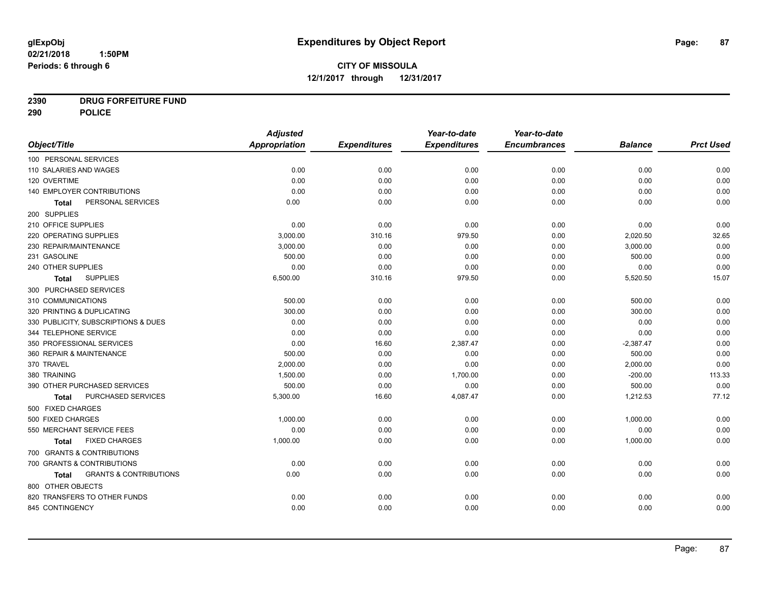**2390 DRUG FORFEITURE FUND**

**290 POLICE**

|                                                   | <b>Adjusted</b>      |                     | Year-to-date        | Year-to-date        |                |                  |
|---------------------------------------------------|----------------------|---------------------|---------------------|---------------------|----------------|------------------|
| Object/Title                                      | <b>Appropriation</b> | <b>Expenditures</b> | <b>Expenditures</b> | <b>Encumbrances</b> | <b>Balance</b> | <b>Prct Used</b> |
| 100 PERSONAL SERVICES                             |                      |                     |                     |                     |                |                  |
| 110 SALARIES AND WAGES                            | 0.00                 | 0.00                | 0.00                | 0.00                | 0.00           | 0.00             |
| 120 OVERTIME                                      | 0.00                 | 0.00                | 0.00                | 0.00                | 0.00           | 0.00             |
| 140 EMPLOYER CONTRIBUTIONS                        | 0.00                 | 0.00                | 0.00                | 0.00                | 0.00           | 0.00             |
| PERSONAL SERVICES<br>Total                        | 0.00                 | 0.00                | 0.00                | 0.00                | 0.00           | 0.00             |
| 200 SUPPLIES                                      |                      |                     |                     |                     |                |                  |
| 210 OFFICE SUPPLIES                               | 0.00                 | 0.00                | 0.00                | 0.00                | 0.00           | 0.00             |
| 220 OPERATING SUPPLIES                            | 3,000.00             | 310.16              | 979.50              | 0.00                | 2,020.50       | 32.65            |
| 230 REPAIR/MAINTENANCE                            | 3,000.00             | 0.00                | 0.00                | 0.00                | 3,000.00       | 0.00             |
| 231 GASOLINE                                      | 500.00               | 0.00                | 0.00                | 0.00                | 500.00         | 0.00             |
| 240 OTHER SUPPLIES                                | 0.00                 | 0.00                | 0.00                | 0.00                | 0.00           | 0.00             |
| <b>SUPPLIES</b><br><b>Total</b>                   | 6,500.00             | 310.16              | 979.50              | 0.00                | 5,520.50       | 15.07            |
| 300 PURCHASED SERVICES                            |                      |                     |                     |                     |                |                  |
| 310 COMMUNICATIONS                                | 500.00               | 0.00                | 0.00                | 0.00                | 500.00         | 0.00             |
| 320 PRINTING & DUPLICATING                        | 300.00               | 0.00                | 0.00                | 0.00                | 300.00         | 0.00             |
| 330 PUBLICITY, SUBSCRIPTIONS & DUES               | 0.00                 | 0.00                | 0.00                | 0.00                | 0.00           | 0.00             |
| 344 TELEPHONE SERVICE                             | 0.00                 | 0.00                | 0.00                | 0.00                | 0.00           | 0.00             |
| 350 PROFESSIONAL SERVICES                         | 0.00                 | 16.60               | 2,387.47            | 0.00                | $-2,387.47$    | 0.00             |
| 360 REPAIR & MAINTENANCE                          | 500.00               | 0.00                | 0.00                | 0.00                | 500.00         | 0.00             |
| 370 TRAVEL                                        | 2,000.00             | 0.00                | 0.00                | 0.00                | 2,000.00       | 0.00             |
| 380 TRAINING                                      | 1,500.00             | 0.00                | 1,700.00            | 0.00                | $-200.00$      | 113.33           |
| 390 OTHER PURCHASED SERVICES                      | 500.00               | 0.00                | 0.00                | 0.00                | 500.00         | 0.00             |
| PURCHASED SERVICES<br><b>Total</b>                | 5,300.00             | 16.60               | 4,087.47            | 0.00                | 1,212.53       | 77.12            |
| 500 FIXED CHARGES                                 |                      |                     |                     |                     |                |                  |
| 500 FIXED CHARGES                                 | 1,000.00             | 0.00                | 0.00                | 0.00                | 1,000.00       | 0.00             |
| 550 MERCHANT SERVICE FEES                         | 0.00                 | 0.00                | 0.00                | 0.00                | 0.00           | 0.00             |
| <b>FIXED CHARGES</b><br><b>Total</b>              | 1,000.00             | 0.00                | 0.00                | 0.00                | 1,000.00       | 0.00             |
| 700 GRANTS & CONTRIBUTIONS                        |                      |                     |                     |                     |                |                  |
| 700 GRANTS & CONTRIBUTIONS                        | 0.00                 | 0.00                | 0.00                | 0.00                | 0.00           | 0.00             |
| <b>GRANTS &amp; CONTRIBUTIONS</b><br><b>Total</b> | 0.00                 | 0.00                | 0.00                | 0.00                | 0.00           | 0.00             |
| 800 OTHER OBJECTS                                 |                      |                     |                     |                     |                |                  |
| 820 TRANSFERS TO OTHER FUNDS                      | 0.00                 | 0.00                | 0.00                | 0.00                | 0.00           | 0.00             |
| 845 CONTINGENCY                                   | 0.00                 | 0.00                | 0.00                | 0.00                | 0.00           | 0.00             |
|                                                   |                      |                     |                     |                     |                |                  |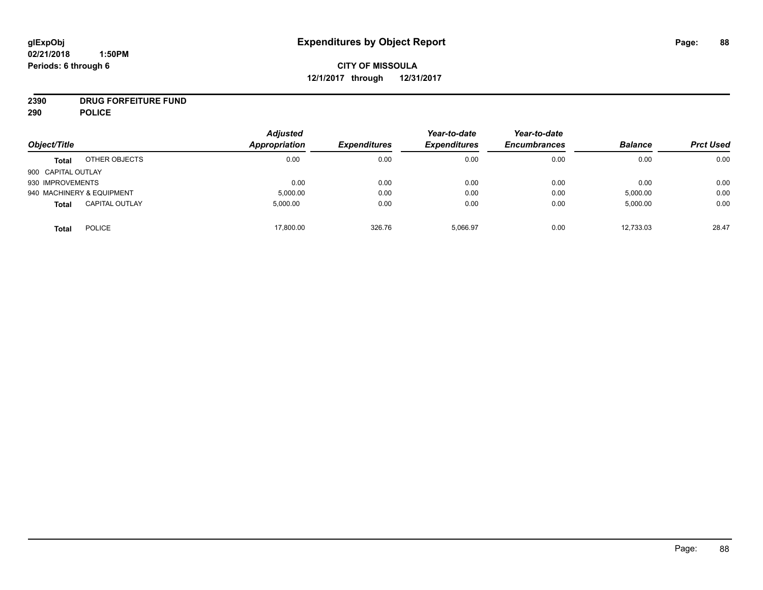# **CITY OF MISSOULA 12/1/2017 through 12/31/2017**

# **2390 DRUG FORFEITURE FUND**

**290 POLICE**

|                    |                           | <b>Adjusted</b> |                     | Year-to-date        | Year-to-date        |                |                  |
|--------------------|---------------------------|-----------------|---------------------|---------------------|---------------------|----------------|------------------|
| Object/Title       |                           | Appropriation   | <b>Expenditures</b> | <b>Expenditures</b> | <b>Encumbrances</b> | <b>Balance</b> | <b>Prct Used</b> |
| <b>Total</b>       | OTHER OBJECTS             | 0.00            | 0.00                | 0.00                | 0.00                | 0.00           | 0.00             |
| 900 CAPITAL OUTLAY |                           |                 |                     |                     |                     |                |                  |
| 930 IMPROVEMENTS   |                           | 0.00            | 0.00                | 0.00                | 0.00                | 0.00           | 0.00             |
|                    | 940 MACHINERY & EQUIPMENT | 5,000.00        | 0.00                | 0.00                | 0.00                | 5,000.00       | 0.00             |
| <b>Total</b>       | <b>CAPITAL OUTLAY</b>     | 5.000.00        | 0.00                | 0.00                | 0.00                | 5,000.00       | 0.00             |
| <b>Total</b>       | <b>POLICE</b>             | 17,800.00       | 326.76              | 5,066.97            | 0.00                | 12,733.03      | 28.47            |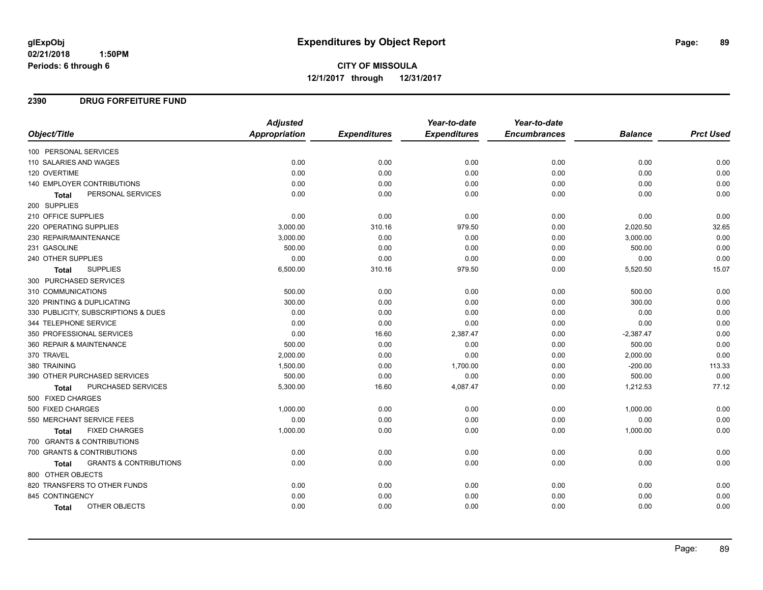**CITY OF MISSOULA 12/1/2017 through 12/31/2017**

#### **2390 DRUG FORFEITURE FUND**

|                                            | <b>Adjusted</b> |                     | Year-to-date        | Year-to-date        |                |                  |
|--------------------------------------------|-----------------|---------------------|---------------------|---------------------|----------------|------------------|
| Object/Title                               | Appropriation   | <b>Expenditures</b> | <b>Expenditures</b> | <b>Encumbrances</b> | <b>Balance</b> | <b>Prct Used</b> |
| 100 PERSONAL SERVICES                      |                 |                     |                     |                     |                |                  |
| 110 SALARIES AND WAGES                     | 0.00            | 0.00                | 0.00                | 0.00                | 0.00           | 0.00             |
| 120 OVERTIME                               | 0.00            | 0.00                | 0.00                | 0.00                | 0.00           | 0.00             |
| 140 EMPLOYER CONTRIBUTIONS                 | 0.00            | 0.00                | 0.00                | 0.00                | 0.00           | 0.00             |
| PERSONAL SERVICES<br><b>Total</b>          | 0.00            | 0.00                | 0.00                | 0.00                | 0.00           | 0.00             |
| 200 SUPPLIES                               |                 |                     |                     |                     |                |                  |
| 210 OFFICE SUPPLIES                        | 0.00            | 0.00                | 0.00                | 0.00                | 0.00           | 0.00             |
| <b>220 OPERATING SUPPLIES</b>              | 3,000.00        | 310.16              | 979.50              | 0.00                | 2,020.50       | 32.65            |
| 230 REPAIR/MAINTENANCE                     | 3,000.00        | 0.00                | 0.00                | 0.00                | 3,000.00       | 0.00             |
| 231 GASOLINE                               | 500.00          | 0.00                | 0.00                | 0.00                | 500.00         | 0.00             |
| 240 OTHER SUPPLIES                         | 0.00            | 0.00                | 0.00                | 0.00                | 0.00           | 0.00             |
| <b>SUPPLIES</b><br>Total                   | 6,500.00        | 310.16              | 979.50              | 0.00                | 5,520.50       | 15.07            |
| 300 PURCHASED SERVICES                     |                 |                     |                     |                     |                |                  |
| 310 COMMUNICATIONS                         | 500.00          | 0.00                | 0.00                | 0.00                | 500.00         | 0.00             |
| 320 PRINTING & DUPLICATING                 | 300.00          | 0.00                | 0.00                | 0.00                | 300.00         | 0.00             |
| 330 PUBLICITY, SUBSCRIPTIONS & DUES        | 0.00            | 0.00                | 0.00                | 0.00                | 0.00           | 0.00             |
| 344 TELEPHONE SERVICE                      | 0.00            | 0.00                | 0.00                | 0.00                | 0.00           | 0.00             |
| 350 PROFESSIONAL SERVICES                  | 0.00            | 16.60               | 2,387.47            | 0.00                | $-2,387.47$    | 0.00             |
| 360 REPAIR & MAINTENANCE                   | 500.00          | 0.00                | 0.00                | 0.00                | 500.00         | 0.00             |
| 370 TRAVEL                                 | 2,000.00        | 0.00                | 0.00                | 0.00                | 2,000.00       | 0.00             |
| 380 TRAINING                               | 1,500.00        | 0.00                | 1,700.00            | 0.00                | $-200.00$      | 113.33           |
| 390 OTHER PURCHASED SERVICES               | 500.00          | 0.00                | 0.00                | 0.00                | 500.00         | 0.00             |
| PURCHASED SERVICES<br><b>Total</b>         | 5,300.00        | 16.60               | 4,087.47            | 0.00                | 1,212.53       | 77.12            |
| 500 FIXED CHARGES                          |                 |                     |                     |                     |                |                  |
| 500 FIXED CHARGES                          | 1,000.00        | 0.00                | 0.00                | 0.00                | 1,000.00       | 0.00             |
| 550 MERCHANT SERVICE FEES                  | 0.00            | 0.00                | 0.00                | 0.00                | 0.00           | 0.00             |
| <b>FIXED CHARGES</b><br><b>Total</b>       | 1,000.00        | 0.00                | 0.00                | 0.00                | 1,000.00       | 0.00             |
| 700 GRANTS & CONTRIBUTIONS                 |                 |                     |                     |                     |                |                  |
| 700 GRANTS & CONTRIBUTIONS                 | 0.00            | 0.00                | 0.00                | 0.00                | 0.00           | 0.00             |
| <b>GRANTS &amp; CONTRIBUTIONS</b><br>Total | 0.00            | 0.00                | 0.00                | 0.00                | 0.00           | 0.00             |
| 800 OTHER OBJECTS                          |                 |                     |                     |                     |                |                  |
| 820 TRANSFERS TO OTHER FUNDS               | 0.00            | 0.00                | 0.00                | 0.00                | 0.00           | 0.00             |
| 845 CONTINGENCY                            | 0.00            | 0.00                | 0.00                | 0.00                | 0.00           | 0.00             |
| OTHER OBJECTS<br>Total                     | 0.00            | 0.00                | 0.00                | 0.00                | 0.00           | 0.00             |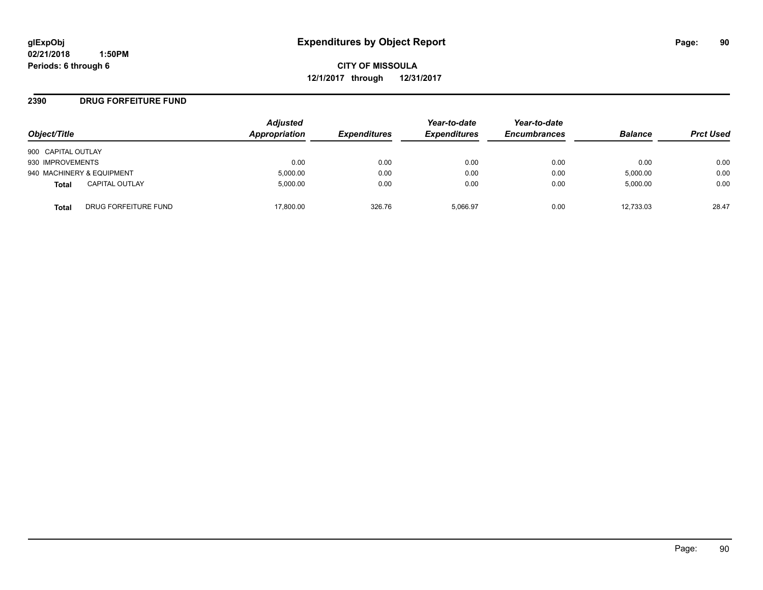**CITY OF MISSOULA 12/1/2017 through 12/31/2017**

#### **2390 DRUG FORFEITURE FUND**

| Object/Title       |                           | <b>Adjusted</b><br>Appropriation | <b>Expenditures</b> | Year-to-date<br><b>Expenditures</b> | Year-to-date<br><b>Encumbrances</b> | <b>Balance</b> | <b>Prct Used</b> |
|--------------------|---------------------------|----------------------------------|---------------------|-------------------------------------|-------------------------------------|----------------|------------------|
| 900 CAPITAL OUTLAY |                           |                                  |                     |                                     |                                     |                |                  |
| 930 IMPROVEMENTS   |                           | 0.00                             | 0.00                | 0.00                                | 0.00                                | 0.00           | 0.00             |
|                    | 940 MACHINERY & EQUIPMENT | 5,000.00                         | 0.00                | 0.00                                | 0.00                                | 5,000.00       | 0.00             |
| Total              | <b>CAPITAL OUTLAY</b>     | 5.000.00                         | 0.00                | 0.00                                | 0.00                                | 5,000.00       | 0.00             |
| Total              | DRUG FORFEITURE FUND      | 17.800.00                        | 326.76              | 5.066.97                            | 0.00                                | 12.733.03      | 28.47            |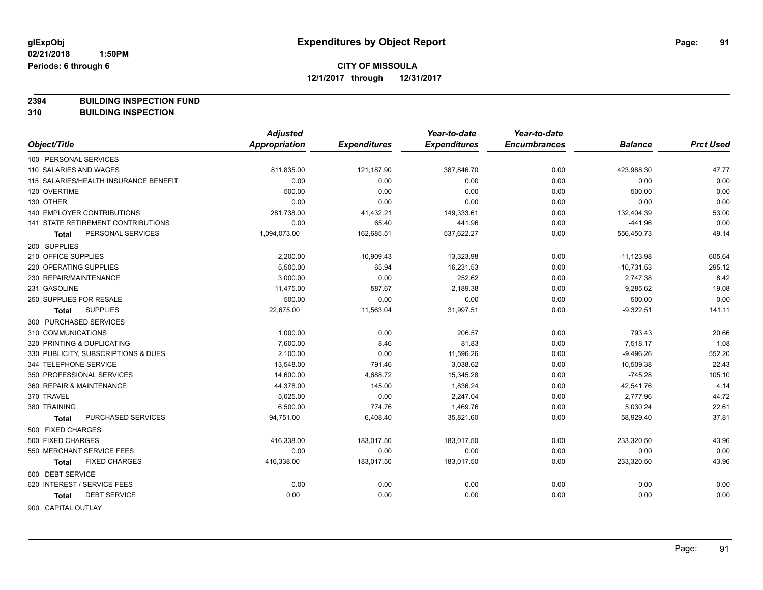**2394 BUILDING INSPECTION FUND**

**310 BUILDING INSPECTION**

|                                       | <b>Adjusted</b>      |                     | Year-to-date        | Year-to-date        |                |                  |
|---------------------------------------|----------------------|---------------------|---------------------|---------------------|----------------|------------------|
| Object/Title                          | <b>Appropriation</b> | <b>Expenditures</b> | <b>Expenditures</b> | <b>Encumbrances</b> | <b>Balance</b> | <b>Prct Used</b> |
| 100 PERSONAL SERVICES                 |                      |                     |                     |                     |                |                  |
| 110 SALARIES AND WAGES                | 811,835.00           | 121,187.90          | 387,846.70          | 0.00                | 423,988.30     | 47.77            |
| 115 SALARIES/HEALTH INSURANCE BENEFIT | 0.00                 | 0.00                | 0.00                | 0.00                | 0.00           | 0.00             |
| 120 OVERTIME                          | 500.00               | 0.00                | 0.00                | 0.00                | 500.00         | 0.00             |
| 130 OTHER                             | 0.00                 | 0.00                | 0.00                | 0.00                | 0.00           | 0.00             |
| <b>140 EMPLOYER CONTRIBUTIONS</b>     | 281,738.00           | 41,432.21           | 149,333.61          | 0.00                | 132,404.39     | 53.00            |
| 141 STATE RETIREMENT CONTRIBUTIONS    | 0.00                 | 65.40               | 441.96              | 0.00                | $-441.96$      | 0.00             |
| PERSONAL SERVICES<br><b>Total</b>     | 1,094,073.00         | 162,685.51          | 537,622.27          | 0.00                | 556,450.73     | 49.14            |
| 200 SUPPLIES                          |                      |                     |                     |                     |                |                  |
| 210 OFFICE SUPPLIES                   | 2,200.00             | 10,909.43           | 13,323.98           | 0.00                | $-11,123.98$   | 605.64           |
| 220 OPERATING SUPPLIES                | 5,500.00             | 65.94               | 16,231.53           | 0.00                | $-10,731.53$   | 295.12           |
| 230 REPAIR/MAINTENANCE                | 3,000.00             | 0.00                | 252.62              | 0.00                | 2,747.38       | 8.42             |
| 231 GASOLINE                          | 11,475.00            | 587.67              | 2,189.38            | 0.00                | 9,285.62       | 19.08            |
| 250 SUPPLIES FOR RESALE               | 500.00               | 0.00                | 0.00                | 0.00                | 500.00         | 0.00             |
| <b>SUPPLIES</b><br><b>Total</b>       | 22,675.00            | 11,563.04           | 31,997.51           | 0.00                | $-9,322.51$    | 141.11           |
| 300 PURCHASED SERVICES                |                      |                     |                     |                     |                |                  |
| 310 COMMUNICATIONS                    | 1,000.00             | 0.00                | 206.57              | 0.00                | 793.43         | 20.66            |
| 320 PRINTING & DUPLICATING            | 7,600.00             | 8.46                | 81.83               | 0.00                | 7,518.17       | 1.08             |
| 330 PUBLICITY, SUBSCRIPTIONS & DUES   | 2,100.00             | 0.00                | 11,596.26           | 0.00                | $-9,496.26$    | 552.20           |
| 344 TELEPHONE SERVICE                 | 13,548.00            | 791.46              | 3,038.62            | 0.00                | 10,509.38      | 22.43            |
| 350 PROFESSIONAL SERVICES             | 14,600.00            | 4,688.72            | 15,345.28           | 0.00                | $-745.28$      | 105.10           |
| 360 REPAIR & MAINTENANCE              | 44,378.00            | 145.00              | 1,836.24            | 0.00                | 42,541.76      | 4.14             |
| 370 TRAVEL                            | 5,025.00             | 0.00                | 2,247.04            | 0.00                | 2,777.96       | 44.72            |
| 380 TRAINING                          | 6,500.00             | 774.76              | 1,469.76            | 0.00                | 5,030.24       | 22.61            |
| PURCHASED SERVICES<br><b>Total</b>    | 94,751.00            | 6,408.40            | 35,821.60           | 0.00                | 58,929.40      | 37.81            |
| 500 FIXED CHARGES                     |                      |                     |                     |                     |                |                  |
| 500 FIXED CHARGES                     | 416,338.00           | 183,017.50          | 183,017.50          | 0.00                | 233,320.50     | 43.96            |
| 550 MERCHANT SERVICE FEES             | 0.00                 | 0.00                | 0.00                | 0.00                | 0.00           | 0.00             |
| <b>FIXED CHARGES</b><br>Total         | 416,338.00           | 183,017.50          | 183,017.50          | 0.00                | 233,320.50     | 43.96            |
| 600 DEBT SERVICE                      |                      |                     |                     |                     |                |                  |
| 620 INTEREST / SERVICE FEES           | 0.00                 | 0.00                | 0.00                | 0.00                | 0.00           | 0.00             |
| <b>DEBT SERVICE</b><br><b>Total</b>   | 0.00                 | 0.00                | 0.00                | 0.00                | 0.00           | 0.00             |
| 900 CAPITAL OUTLAY                    |                      |                     |                     |                     |                |                  |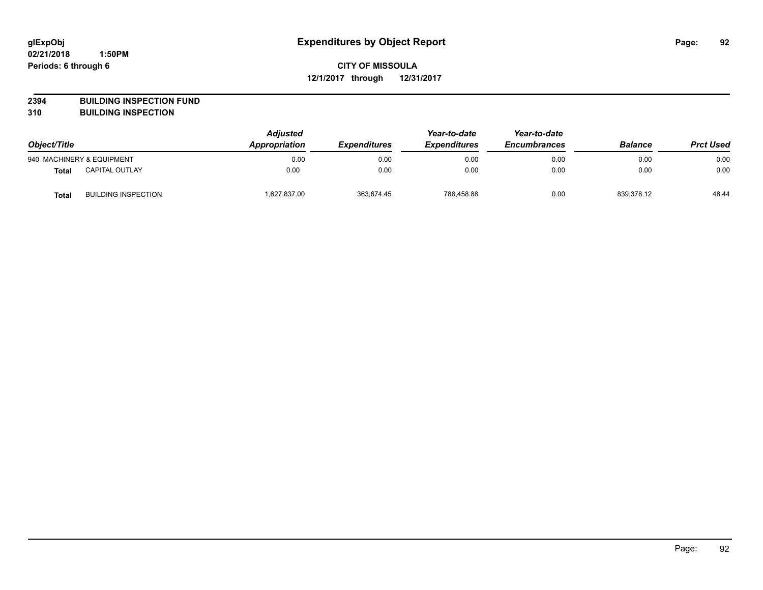**2394 BUILDING INSPECTION FUND**

**310 BUILDING INSPECTION**

| Object/Title |                            | <b>Adjusted</b><br>Appropriation<br><b>Expenditures</b> | Year-to-date<br><b>Expenditures</b> | Year-to-date<br><b>Encumbrances</b> | <b>Balance</b> | <b>Prct Used</b> |       |
|--------------|----------------------------|---------------------------------------------------------|-------------------------------------|-------------------------------------|----------------|------------------|-------|
|              | 940 MACHINERY & EQUIPMENT  | 0.00                                                    | 0.00                                | 0.00                                | 0.00           | 0.00             | 0.00  |
| <b>Total</b> | <b>CAPITAL OUTLAY</b>      | 0.00                                                    | 0.00                                | 0.00                                | 0.00           | 0.00             | 0.00  |
| Total        | <b>BUILDING INSPECTION</b> | 1,627,837.00                                            | 363.674.45                          | 788.458.88                          | 0.00           | 839,378.12       | 48.44 |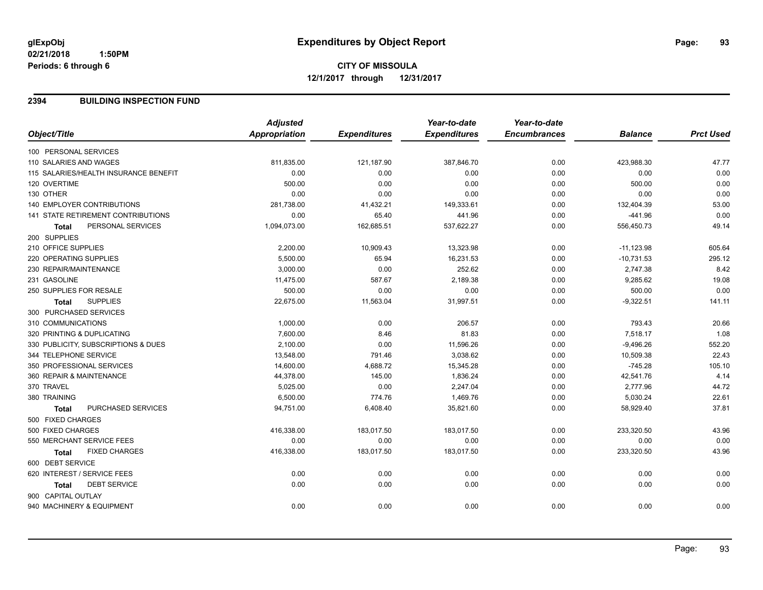#### **2394 BUILDING INSPECTION FUND**

|                                           | <b>Adjusted</b>      |                     | Year-to-date        | Year-to-date        |                |                  |
|-------------------------------------------|----------------------|---------------------|---------------------|---------------------|----------------|------------------|
| Object/Title                              | <b>Appropriation</b> | <b>Expenditures</b> | <b>Expenditures</b> | <b>Encumbrances</b> | <b>Balance</b> | <b>Prct Used</b> |
| 100 PERSONAL SERVICES                     |                      |                     |                     |                     |                |                  |
| 110 SALARIES AND WAGES                    | 811,835.00           | 121,187.90          | 387,846.70          | 0.00                | 423,988.30     | 47.77            |
| 115 SALARIES/HEALTH INSURANCE BENEFIT     | 0.00                 | 0.00                | 0.00                | 0.00                | 0.00           | 0.00             |
| 120 OVERTIME                              | 500.00               | 0.00                | 0.00                | 0.00                | 500.00         | 0.00             |
| 130 OTHER                                 | 0.00                 | 0.00                | 0.00                | 0.00                | 0.00           | 0.00             |
| <b>140 EMPLOYER CONTRIBUTIONS</b>         | 281,738.00           | 41,432.21           | 149,333.61          | 0.00                | 132,404.39     | 53.00            |
| <b>141 STATE RETIREMENT CONTRIBUTIONS</b> | 0.00                 | 65.40               | 441.96              | 0.00                | $-441.96$      | 0.00             |
| PERSONAL SERVICES<br><b>Total</b>         | 1,094,073.00         | 162,685.51          | 537,622.27          | 0.00                | 556,450.73     | 49.14            |
| 200 SUPPLIES                              |                      |                     |                     |                     |                |                  |
| 210 OFFICE SUPPLIES                       | 2,200.00             | 10,909.43           | 13,323.98           | 0.00                | $-11, 123.98$  | 605.64           |
| 220 OPERATING SUPPLIES                    | 5,500.00             | 65.94               | 16,231.53           | 0.00                | $-10,731.53$   | 295.12           |
| 230 REPAIR/MAINTENANCE                    | 3,000.00             | 0.00                | 252.62              | 0.00                | 2,747.38       | 8.42             |
| 231 GASOLINE                              | 11,475.00            | 587.67              | 2,189.38            | 0.00                | 9,285.62       | 19.08            |
| 250 SUPPLIES FOR RESALE                   | 500.00               | 0.00                | 0.00                | 0.00                | 500.00         | 0.00             |
| <b>SUPPLIES</b><br><b>Total</b>           | 22,675.00            | 11,563.04           | 31,997.51           | 0.00                | $-9,322.51$    | 141.11           |
| 300 PURCHASED SERVICES                    |                      |                     |                     |                     |                |                  |
| 310 COMMUNICATIONS                        | 1,000.00             | 0.00                | 206.57              | 0.00                | 793.43         | 20.66            |
| 320 PRINTING & DUPLICATING                | 7,600.00             | 8.46                | 81.83               | 0.00                | 7,518.17       | 1.08             |
| 330 PUBLICITY, SUBSCRIPTIONS & DUES       | 2,100.00             | 0.00                | 11,596.26           | 0.00                | $-9,496.26$    | 552.20           |
| 344 TELEPHONE SERVICE                     | 13,548.00            | 791.46              | 3,038.62            | 0.00                | 10,509.38      | 22.43            |
| 350 PROFESSIONAL SERVICES                 | 14,600.00            | 4,688.72            | 15,345.28           | 0.00                | $-745.28$      | 105.10           |
| 360 REPAIR & MAINTENANCE                  | 44,378.00            | 145.00              | 1,836.24            | 0.00                | 42,541.76      | 4.14             |
| 370 TRAVEL                                | 5,025.00             | 0.00                | 2,247.04            | 0.00                | 2,777.96       | 44.72            |
| 380 TRAINING                              | 6,500.00             | 774.76              | 1,469.76            | 0.00                | 5,030.24       | 22.61            |
| PURCHASED SERVICES<br><b>Total</b>        | 94,751.00            | 6,408.40            | 35,821.60           | 0.00                | 58,929.40      | 37.81            |
| 500 FIXED CHARGES                         |                      |                     |                     |                     |                |                  |
| 500 FIXED CHARGES                         | 416,338.00           | 183,017.50          | 183,017.50          | 0.00                | 233,320.50     | 43.96            |
| 550 MERCHANT SERVICE FEES                 | 0.00                 | 0.00                | 0.00                | 0.00                | 0.00           | 0.00             |
| <b>FIXED CHARGES</b><br><b>Total</b>      | 416,338.00           | 183,017.50          | 183,017.50          | 0.00                | 233,320.50     | 43.96            |
| 600 DEBT SERVICE                          |                      |                     |                     |                     |                |                  |
| 620 INTEREST / SERVICE FEES               | 0.00                 | 0.00                | 0.00                | 0.00                | 0.00           | 0.00             |
| <b>DEBT SERVICE</b><br><b>Total</b>       | 0.00                 | 0.00                | 0.00                | 0.00                | 0.00           | 0.00             |
| 900 CAPITAL OUTLAY                        |                      |                     |                     |                     |                |                  |
| 940 MACHINERY & EQUIPMENT                 | 0.00                 | 0.00                | 0.00                | 0.00                | 0.00           | 0.00             |
|                                           |                      |                     |                     |                     |                |                  |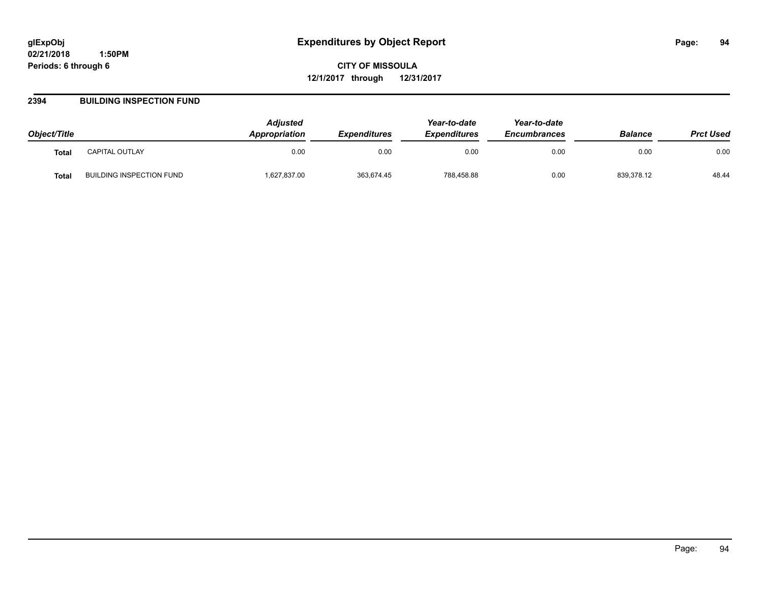**CITY OF MISSOULA 12/1/2017 through 12/31/2017**

#### **2394 BUILDING INSPECTION FUND**

| Object/Title      |                                 | <b>Adjusted</b><br><b>Appropriation</b> | <i><b>Expenditures</b></i> | Year-to-date<br><b>Expenditures</b> | Year-to-date<br><b>Encumbrances</b> | <b>Balance</b> | <b>Prct Used</b> |
|-------------------|---------------------------------|-----------------------------------------|----------------------------|-------------------------------------|-------------------------------------|----------------|------------------|
| Total             | <b>CAPITAL OUTLAY</b>           | 0.00                                    | 0.00                       | 0.00                                | 0.00                                | 0.00           | 0.00             |
| Tota <sub>l</sub> | <b>BUILDING INSPECTION FUND</b> | 1,627,837.00                            | 363,674.45                 | 788,458.88                          | 0.00                                | 839,378.12     | 48.44            |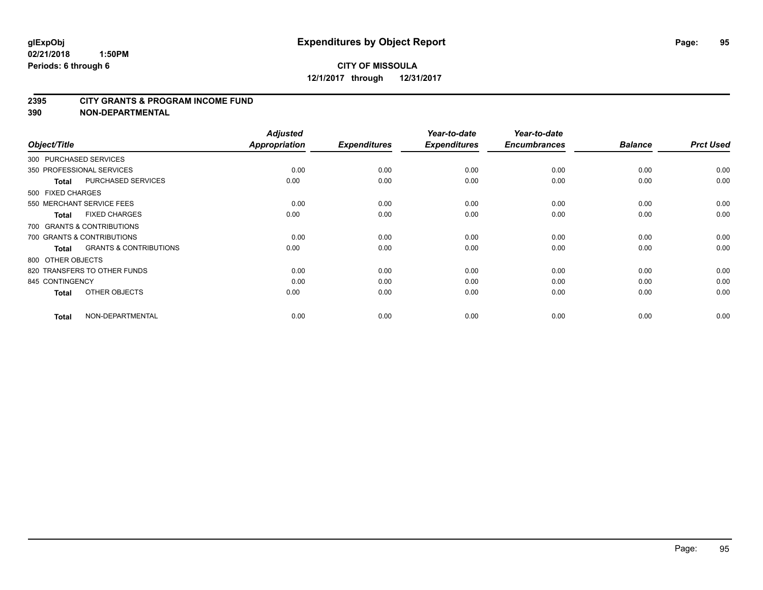#### **2395 CITY GRANTS & PROGRAM INCOME FUND**

| Object/Title               |                                   | <b>Adjusted</b><br><b>Appropriation</b> | <b>Expenditures</b> | Year-to-date<br><b>Expenditures</b> | Year-to-date<br><b>Encumbrances</b> | <b>Balance</b> | <b>Prct Used</b> |
|----------------------------|-----------------------------------|-----------------------------------------|---------------------|-------------------------------------|-------------------------------------|----------------|------------------|
| 300 PURCHASED SERVICES     |                                   |                                         |                     |                                     |                                     |                |                  |
| 350 PROFESSIONAL SERVICES  |                                   | 0.00                                    | 0.00                | 0.00                                | 0.00                                | 0.00           | 0.00             |
| <b>Total</b>               | <b>PURCHASED SERVICES</b>         | 0.00                                    | 0.00                | 0.00                                | 0.00                                | 0.00           | 0.00             |
| 500 FIXED CHARGES          |                                   |                                         |                     |                                     |                                     |                |                  |
| 550 MERCHANT SERVICE FEES  |                                   | 0.00                                    | 0.00                | 0.00                                | 0.00                                | 0.00           | 0.00             |
| <b>Total</b>               | <b>FIXED CHARGES</b>              | 0.00                                    | 0.00                | 0.00                                | 0.00                                | 0.00           | 0.00             |
|                            | 700 GRANTS & CONTRIBUTIONS        |                                         |                     |                                     |                                     |                |                  |
| 700 GRANTS & CONTRIBUTIONS |                                   | 0.00                                    | 0.00                | 0.00                                | 0.00                                | 0.00           | 0.00             |
| <b>Total</b>               | <b>GRANTS &amp; CONTRIBUTIONS</b> | 0.00                                    | 0.00                | 0.00                                | 0.00                                | 0.00           | 0.00             |
| 800 OTHER OBJECTS          |                                   |                                         |                     |                                     |                                     |                |                  |
|                            | 820 TRANSFERS TO OTHER FUNDS      | 0.00                                    | 0.00                | 0.00                                | 0.00                                | 0.00           | 0.00             |
| 845 CONTINGENCY            |                                   | 0.00                                    | 0.00                | 0.00                                | 0.00                                | 0.00           | 0.00             |
| <b>Total</b>               | OTHER OBJECTS                     | 0.00                                    | 0.00                | 0.00                                | 0.00                                | 0.00           | 0.00             |
| <b>Total</b>               | NON-DEPARTMENTAL                  | 0.00                                    | 0.00                | 0.00                                | 0.00                                | 0.00           | 0.00             |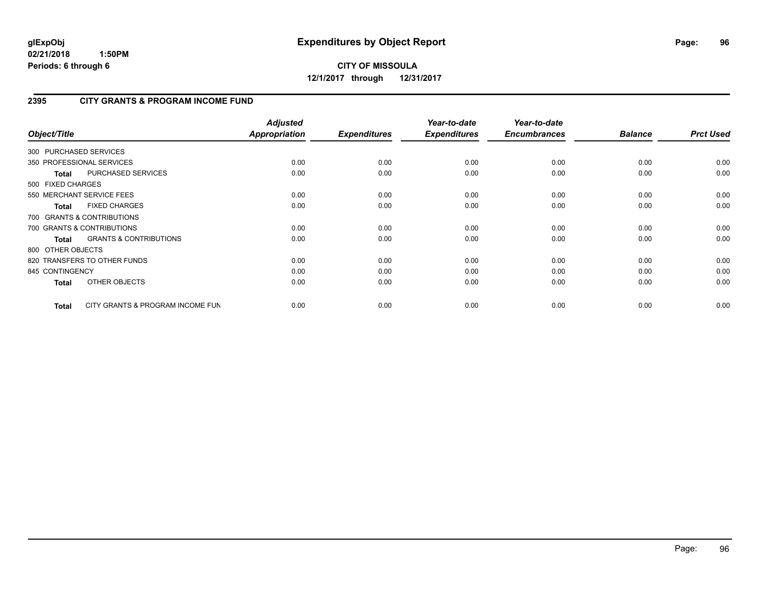**CITY OF MISSOULA 12/1/2017 through 12/31/2017**

## **2395 CITY GRANTS & PROGRAM INCOME FUND**

| Object/Title           |                                   | <b>Adjusted</b><br><b>Appropriation</b> | <b>Expenditures</b> | Year-to-date<br><b>Expenditures</b> | Year-to-date<br><b>Encumbrances</b> | <b>Balance</b> | <b>Prct Used</b> |
|------------------------|-----------------------------------|-----------------------------------------|---------------------|-------------------------------------|-------------------------------------|----------------|------------------|
| 300 PURCHASED SERVICES |                                   |                                         |                     |                                     |                                     |                |                  |
|                        | 350 PROFESSIONAL SERVICES         | 0.00                                    | 0.00                | 0.00                                | 0.00                                | 0.00           | 0.00             |
| <b>Total</b>           | PURCHASED SERVICES                | 0.00                                    | 0.00                | 0.00                                | 0.00                                | 0.00           | 0.00             |
| 500 FIXED CHARGES      |                                   |                                         |                     |                                     |                                     |                |                  |
|                        | 550 MERCHANT SERVICE FEES         | 0.00                                    | 0.00                | 0.00                                | 0.00                                | 0.00           | 0.00             |
| <b>Total</b>           | <b>FIXED CHARGES</b>              | 0.00                                    | 0.00                | 0.00                                | 0.00                                | 0.00           | 0.00             |
|                        | 700 GRANTS & CONTRIBUTIONS        |                                         |                     |                                     |                                     |                |                  |
|                        | 700 GRANTS & CONTRIBUTIONS        | 0.00                                    | 0.00                | 0.00                                | 0.00                                | 0.00           | 0.00             |
| <b>Total</b>           | <b>GRANTS &amp; CONTRIBUTIONS</b> | 0.00                                    | 0.00                | 0.00                                | 0.00                                | 0.00           | 0.00             |
| 800 OTHER OBJECTS      |                                   |                                         |                     |                                     |                                     |                |                  |
|                        | 820 TRANSFERS TO OTHER FUNDS      | 0.00                                    | 0.00                | 0.00                                | 0.00                                | 0.00           | 0.00             |
| 845 CONTINGENCY        |                                   | 0.00                                    | 0.00                | 0.00                                | 0.00                                | 0.00           | 0.00             |
| <b>Total</b>           | OTHER OBJECTS                     | 0.00                                    | 0.00                | 0.00                                | 0.00                                | 0.00           | 0.00             |
| <b>Total</b>           | CITY GRANTS & PROGRAM INCOME FUN  | 0.00                                    | 0.00                | 0.00                                | 0.00                                | 0.00           | 0.00             |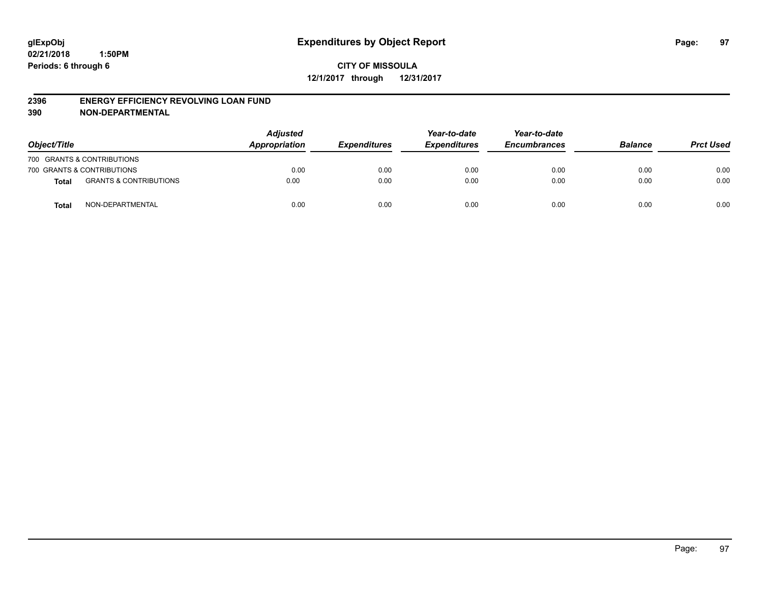#### **2396 ENERGY EFFICIENCY REVOLVING LOAN FUND**

| Object/Title |                                   | <b>Adjusted</b><br>Appropriation | <b>Expenditures</b> | Year-to-date<br><b>Expenditures</b> | Year-to-date<br><b>Encumbrances</b> | <b>Balance</b> | <b>Prct Used</b> |
|--------------|-----------------------------------|----------------------------------|---------------------|-------------------------------------|-------------------------------------|----------------|------------------|
|              | 700 GRANTS & CONTRIBUTIONS        |                                  |                     |                                     |                                     |                |                  |
|              | 700 GRANTS & CONTRIBUTIONS        | 0.00                             | 0.00                | 0.00                                | 0.00                                | 0.00           | 0.00             |
| <b>Total</b> | <b>GRANTS &amp; CONTRIBUTIONS</b> | 0.00                             | 0.00                | 0.00                                | 0.00                                | 0.00           | 0.00             |
| <b>Total</b> | NON-DEPARTMENTAL                  | 0.00                             | 0.00                | 0.00                                | 0.00                                | 0.00           | 0.00             |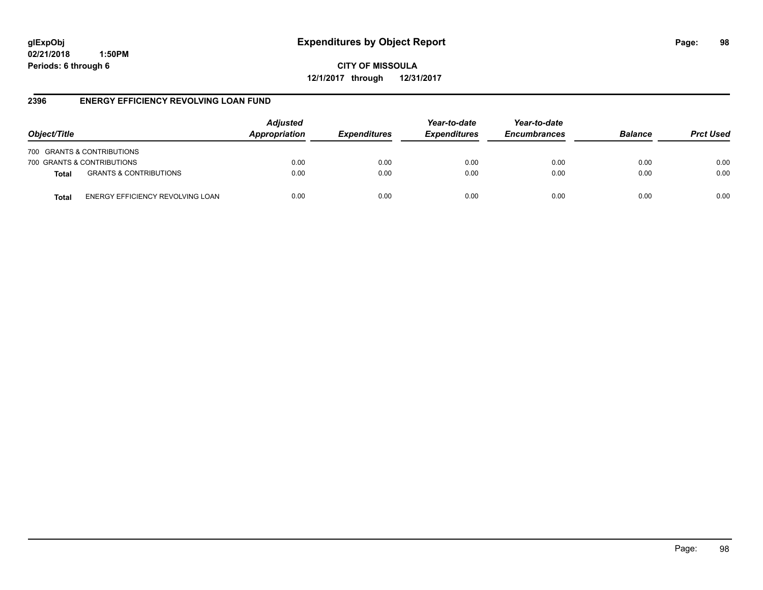# **glExpObj Expenditures by Object Report Page: 98**

**02/21/2018 1:50PM Periods: 6 through 6**

## **2396 ENERGY EFFICIENCY REVOLVING LOAN FUND**

| Object/Title |                                         | <b>Adjusted</b><br>Appropriation | <b>Expenditures</b> | Year-to-date<br><b>Expenditures</b> | Year-to-date<br><b>Encumbrances</b> | <b>Balance</b> | <b>Prct Used</b> |
|--------------|-----------------------------------------|----------------------------------|---------------------|-------------------------------------|-------------------------------------|----------------|------------------|
|              | 700 GRANTS & CONTRIBUTIONS              |                                  |                     |                                     |                                     |                |                  |
|              | 700 GRANTS & CONTRIBUTIONS              | 0.00                             | 0.00                | 0.00                                | 0.00                                | 0.00           | 0.00             |
| <b>Total</b> | <b>GRANTS &amp; CONTRIBUTIONS</b>       | 0.00                             | 0.00                | 0.00                                | 0.00                                | 0.00           | 0.00             |
| <b>Total</b> | <b>ENERGY EFFICIENCY REVOLVING LOAN</b> | 0.00                             | 0.00                | 0.00                                | 0.00                                | 0.00           | 0.00             |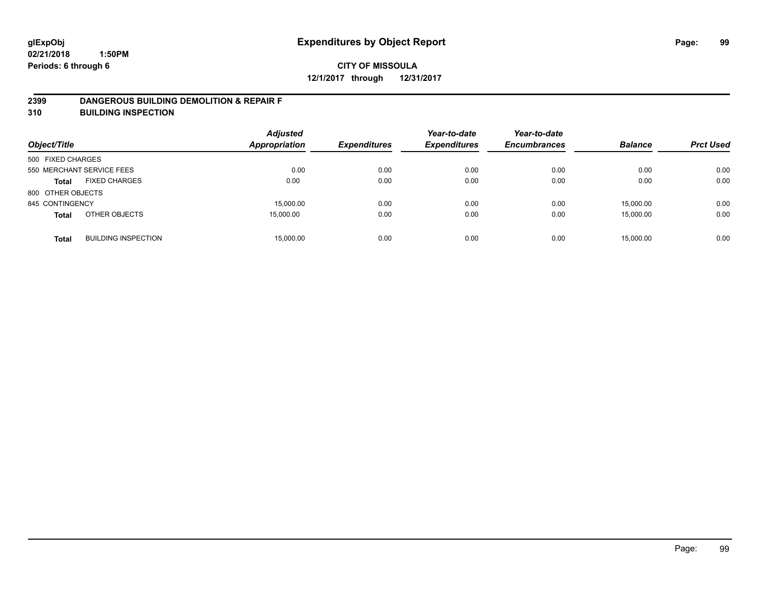#### **2399 DANGEROUS BUILDING DEMOLITION & REPAIR F**

**310 BUILDING INSPECTION**

| Object/Title      |                            | <b>Adjusted</b><br><b>Appropriation</b> | <b>Expenditures</b> | Year-to-date<br><b>Expenditures</b> | Year-to-date<br><b>Encumbrances</b> | <b>Balance</b> | <b>Prct Used</b> |
|-------------------|----------------------------|-----------------------------------------|---------------------|-------------------------------------|-------------------------------------|----------------|------------------|
| 500 FIXED CHARGES |                            |                                         |                     |                                     |                                     |                |                  |
|                   | 550 MERCHANT SERVICE FEES  | 0.00                                    | 0.00                | 0.00                                | 0.00                                | 0.00           | 0.00             |
| <b>Total</b>      | <b>FIXED CHARGES</b>       | 0.00                                    | 0.00                | 0.00                                | 0.00                                | 0.00           | 0.00             |
| 800 OTHER OBJECTS |                            |                                         |                     |                                     |                                     |                |                  |
| 845 CONTINGENCY   |                            | 15,000.00                               | 0.00                | 0.00                                | 0.00                                | 15,000.00      | 0.00             |
| <b>Total</b>      | OTHER OBJECTS              | 15,000.00                               | 0.00                | 0.00                                | 0.00                                | 15,000.00      | 0.00             |
| <b>Total</b>      | <b>BUILDING INSPECTION</b> | 15,000.00                               | 0.00                | 0.00                                | 0.00                                | 15.000.00      | 0.00             |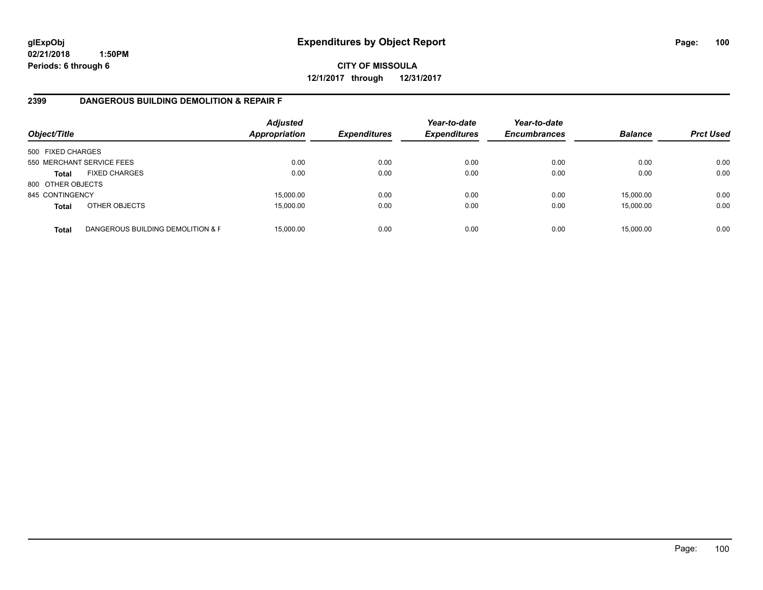**CITY OF MISSOULA 12/1/2017 through 12/31/2017**

## **2399 DANGEROUS BUILDING DEMOLITION & REPAIR F**

| Object/Title      |                                   | <b>Adjusted</b><br><b>Appropriation</b> | <b>Expenditures</b> | Year-to-date<br><b>Expenditures</b> | Year-to-date<br><b>Encumbrances</b> | <b>Balance</b> | <b>Prct Used</b> |
|-------------------|-----------------------------------|-----------------------------------------|---------------------|-------------------------------------|-------------------------------------|----------------|------------------|
| 500 FIXED CHARGES |                                   |                                         |                     |                                     |                                     |                |                  |
|                   | 550 MERCHANT SERVICE FEES         | 0.00                                    | 0.00                | 0.00                                | 0.00                                | 0.00           | 0.00             |
| <b>Total</b>      | <b>FIXED CHARGES</b>              | 0.00                                    | 0.00                | 0.00                                | 0.00                                | 0.00           | 0.00             |
| 800 OTHER OBJECTS |                                   |                                         |                     |                                     |                                     |                |                  |
| 845 CONTINGENCY   |                                   | 15,000.00                               | 0.00                | 0.00                                | 0.00                                | 15,000.00      | 0.00             |
| <b>Total</b>      | OTHER OBJECTS                     | 15,000.00                               | 0.00                | 0.00                                | 0.00                                | 15,000.00      | 0.00             |
| <b>Total</b>      | DANGEROUS BUILDING DEMOLITION & F | 15.000.00                               | 0.00                | 0.00                                | 0.00                                | 15,000.00      | 0.00             |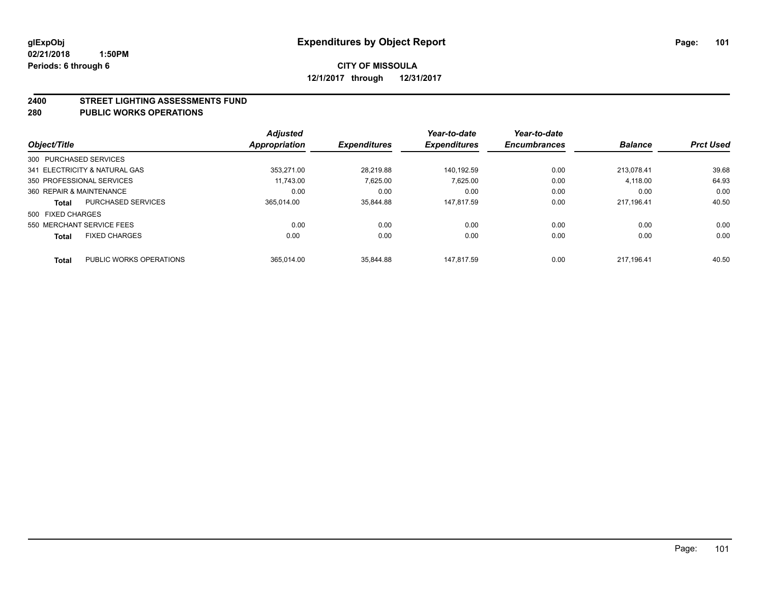#### **2400 STREET LIGHTING ASSESSMENTS FUND**

#### **280 PUBLIC WORKS OPERATIONS**

| Object/Title             |                               | <b>Adjusted</b><br>Appropriation | <b>Expenditures</b> | Year-to-date<br><b>Expenditures</b> | Year-to-date<br><b>Encumbrances</b> | <b>Balance</b> | <b>Prct Used</b> |
|--------------------------|-------------------------------|----------------------------------|---------------------|-------------------------------------|-------------------------------------|----------------|------------------|
|                          |                               |                                  |                     |                                     |                                     |                |                  |
| 300 PURCHASED SERVICES   |                               |                                  |                     |                                     |                                     |                |                  |
|                          | 341 ELECTRICITY & NATURAL GAS | 353.271.00                       | 28.219.88           | 140.192.59                          | 0.00                                | 213.078.41     | 39.68            |
|                          | 350 PROFESSIONAL SERVICES     | 11.743.00                        | 7,625.00            | 7,625.00                            | 0.00                                | 4,118.00       | 64.93            |
| 360 REPAIR & MAINTENANCE |                               | 0.00                             | 0.00                | 0.00                                | 0.00                                | 0.00           | 0.00             |
| <b>Total</b>             | <b>PURCHASED SERVICES</b>     | 365.014.00                       | 35.844.88           | 147.817.59                          | 0.00                                | 217.196.41     | 40.50            |
| 500 FIXED CHARGES        |                               |                                  |                     |                                     |                                     |                |                  |
|                          | 550 MERCHANT SERVICE FEES     | 0.00                             | 0.00                | 0.00                                | 0.00                                | 0.00           | 0.00             |
| <b>Total</b>             | <b>FIXED CHARGES</b>          | 0.00                             | 0.00                | 0.00                                | 0.00                                | 0.00           | 0.00             |
| <b>Total</b>             | PUBLIC WORKS OPERATIONS       | 365.014.00                       | 35.844.88           | 147.817.59                          | 0.00                                | 217.196.41     | 40.50            |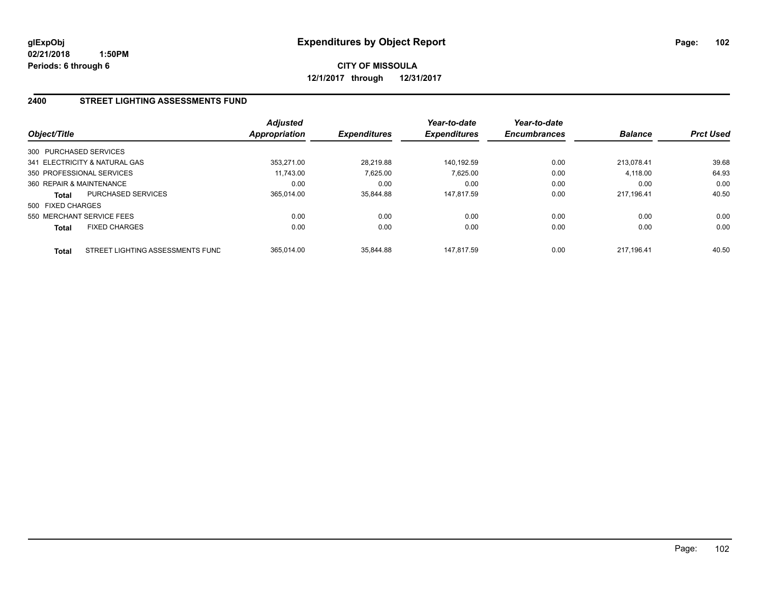**CITY OF MISSOULA 12/1/2017 through 12/31/2017**

## **2400 STREET LIGHTING ASSESSMENTS FUND**

| Object/Title             |                                  | Adjusted<br><b>Appropriation</b> | <b>Expenditures</b> | Year-to-date<br><b>Expenditures</b> | Year-to-date<br><b>Encumbrances</b> | <b>Balance</b> | <b>Prct Used</b> |
|--------------------------|----------------------------------|----------------------------------|---------------------|-------------------------------------|-------------------------------------|----------------|------------------|
| 300 PURCHASED SERVICES   |                                  |                                  |                     |                                     |                                     |                |                  |
|                          | 341 ELECTRICITY & NATURAL GAS    | 353.271.00                       | 28.219.88           | 140.192.59                          | 0.00                                | 213.078.41     | 39.68            |
|                          | 350 PROFESSIONAL SERVICES        | 11.743.00                        | 7,625.00            | 7.625.00                            | 0.00                                | 4,118.00       | 64.93            |
| 360 REPAIR & MAINTENANCE |                                  | 0.00                             | 0.00                | 0.00                                | 0.00                                | 0.00           | 0.00             |
| Total                    | PURCHASED SERVICES               | 365.014.00                       | 35.844.88           | 147.817.59                          | 0.00                                | 217.196.41     | 40.50            |
| 500 FIXED CHARGES        |                                  |                                  |                     |                                     |                                     |                |                  |
|                          | 550 MERCHANT SERVICE FEES        | 0.00                             | 0.00                | 0.00                                | 0.00                                | 0.00           | 0.00             |
| <b>Total</b>             | <b>FIXED CHARGES</b>             | 0.00                             | 0.00                | 0.00                                | 0.00                                | 0.00           | 0.00             |
| <b>Total</b>             | STREET LIGHTING ASSESSMENTS FUND | 365.014.00                       | 35.844.88           | 147.817.59                          | 0.00                                | 217.196.41     | 40.50            |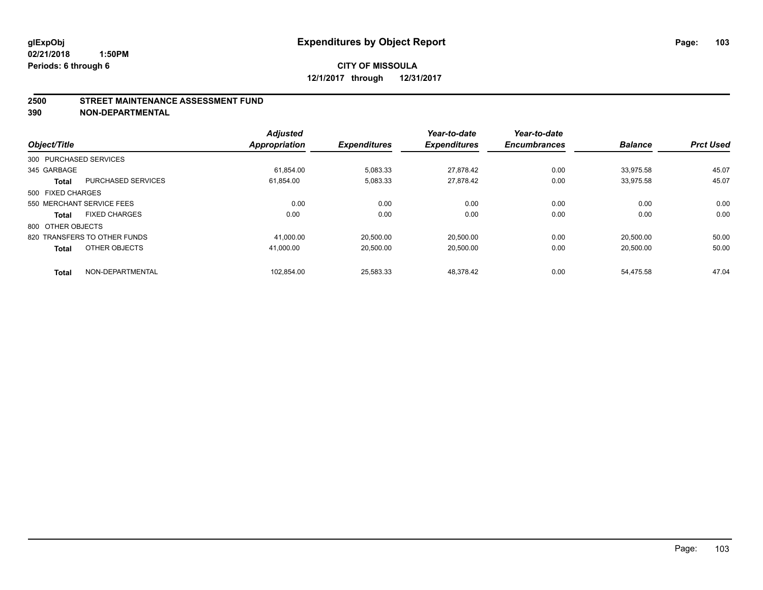#### **2500 STREET MAINTENANCE ASSESSMENT FUND**

| Object/Title      |                              | <b>Adjusted</b><br>Appropriation | <b>Expenditures</b> | Year-to-date<br><b>Expenditures</b> | Year-to-date<br><b>Encumbrances</b> | <b>Balance</b> | <b>Prct Used</b> |
|-------------------|------------------------------|----------------------------------|---------------------|-------------------------------------|-------------------------------------|----------------|------------------|
|                   | 300 PURCHASED SERVICES       |                                  |                     |                                     |                                     |                |                  |
| 345 GARBAGE       |                              | 61.854.00                        | 5,083.33            | 27,878.42                           | 0.00                                | 33,975.58      | 45.07            |
| <b>Total</b>      | <b>PURCHASED SERVICES</b>    | 61,854.00                        | 5,083.33            | 27,878.42                           | 0.00                                | 33,975.58      | 45.07            |
| 500 FIXED CHARGES |                              |                                  |                     |                                     |                                     |                |                  |
|                   | 550 MERCHANT SERVICE FEES    | 0.00                             | 0.00                | 0.00                                | 0.00                                | 0.00           | 0.00             |
| <b>Total</b>      | <b>FIXED CHARGES</b>         | 0.00                             | 0.00                | 0.00                                | 0.00                                | 0.00           | 0.00             |
| 800 OTHER OBJECTS |                              |                                  |                     |                                     |                                     |                |                  |
|                   | 820 TRANSFERS TO OTHER FUNDS | 41.000.00                        | 20.500.00           | 20.500.00                           | 0.00                                | 20.500.00      | 50.00            |
| <b>Total</b>      | OTHER OBJECTS                | 41.000.00                        | 20,500.00           | 20,500.00                           | 0.00                                | 20,500.00      | 50.00            |
| <b>Total</b>      | NON-DEPARTMENTAL             | 102.854.00                       | 25.583.33           | 48.378.42                           | 0.00                                | 54.475.58      | 47.04            |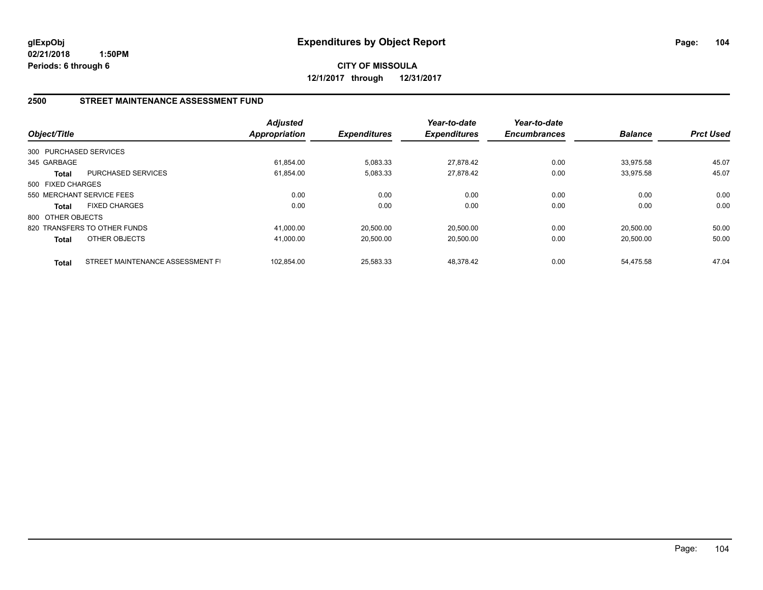**CITY OF MISSOULA 12/1/2017 through 12/31/2017**

## **2500 STREET MAINTENANCE ASSESSMENT FUND**

| Object/Title           |                                  | <b>Adjusted</b><br><b>Appropriation</b> | <b>Expenditures</b> | Year-to-date<br><b>Expenditures</b> | Year-to-date<br><b>Encumbrances</b> | <b>Balance</b> | <b>Prct Used</b> |
|------------------------|----------------------------------|-----------------------------------------|---------------------|-------------------------------------|-------------------------------------|----------------|------------------|
| 300 PURCHASED SERVICES |                                  |                                         |                     |                                     |                                     |                |                  |
| 345 GARBAGE            |                                  | 61,854.00                               | 5,083.33            | 27.878.42                           | 0.00                                | 33.975.58      | 45.07            |
| Total                  | <b>PURCHASED SERVICES</b>        | 61,854.00                               | 5,083.33            | 27,878.42                           | 0.00                                | 33,975.58      | 45.07            |
| 500 FIXED CHARGES      |                                  |                                         |                     |                                     |                                     |                |                  |
|                        | 550 MERCHANT SERVICE FEES        | 0.00                                    | 0.00                | 0.00                                | 0.00                                | 0.00           | 0.00             |
| <b>Total</b>           | <b>FIXED CHARGES</b>             | 0.00                                    | 0.00                | 0.00                                | 0.00                                | 0.00           | 0.00             |
| 800 OTHER OBJECTS      |                                  |                                         |                     |                                     |                                     |                |                  |
|                        | 820 TRANSFERS TO OTHER FUNDS     | 41.000.00                               | 20,500.00           | 20,500.00                           | 0.00                                | 20.500.00      | 50.00            |
| <b>Total</b>           | <b>OTHER OBJECTS</b>             | 41,000.00                               | 20,500.00           | 20,500.00                           | 0.00                                | 20,500.00      | 50.00            |
| <b>Total</b>           | STREET MAINTENANCE ASSESSMENT FI | 102.854.00                              | 25.583.33           | 48.378.42                           | 0.00                                | 54.475.58      | 47.04            |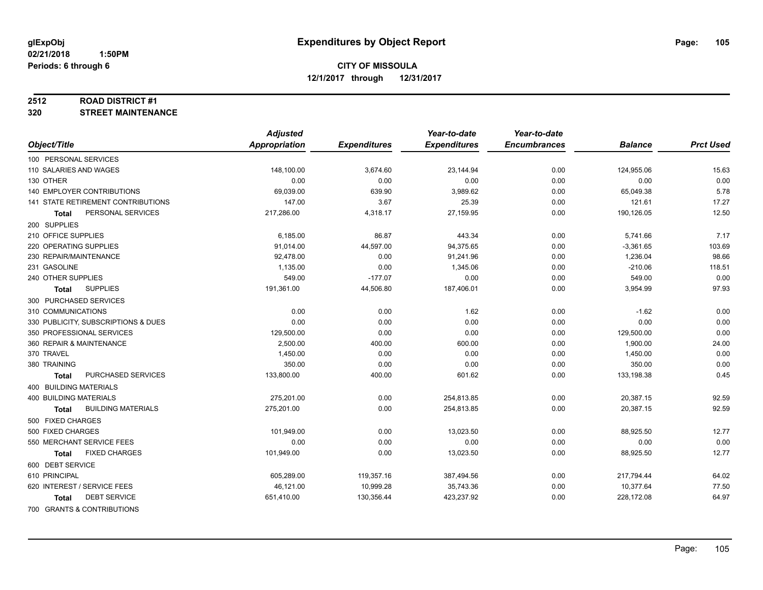#### **2512 ROAD DISTRICT #1**

**320 STREET MAINTENANCE**

|                                           | <b>Adjusted</b> |                     | Year-to-date        | Year-to-date        |                |                  |
|-------------------------------------------|-----------------|---------------------|---------------------|---------------------|----------------|------------------|
| Object/Title                              | Appropriation   | <b>Expenditures</b> | <b>Expenditures</b> | <b>Encumbrances</b> | <b>Balance</b> | <b>Prct Used</b> |
| 100 PERSONAL SERVICES                     |                 |                     |                     |                     |                |                  |
| 110 SALARIES AND WAGES                    | 148,100.00      | 3,674.60            | 23,144.94           | 0.00                | 124,955.06     | 15.63            |
| 130 OTHER                                 | 0.00            | 0.00                | 0.00                | 0.00                | 0.00           | 0.00             |
| 140 EMPLOYER CONTRIBUTIONS                | 69,039.00       | 639.90              | 3,989.62            | 0.00                | 65,049.38      | 5.78             |
| 141 STATE RETIREMENT CONTRIBUTIONS        | 147.00          | 3.67                | 25.39               | 0.00                | 121.61         | 17.27            |
| PERSONAL SERVICES<br>Total                | 217,286.00      | 4,318.17            | 27,159.95           | 0.00                | 190,126.05     | 12.50            |
| 200 SUPPLIES                              |                 |                     |                     |                     |                |                  |
| 210 OFFICE SUPPLIES                       | 6,185.00        | 86.87               | 443.34              | 0.00                | 5,741.66       | 7.17             |
| 220 OPERATING SUPPLIES                    | 91,014.00       | 44,597.00           | 94,375.65           | 0.00                | $-3,361.65$    | 103.69           |
| 230 REPAIR/MAINTENANCE                    | 92,478.00       | 0.00                | 91,241.96           | 0.00                | 1,236.04       | 98.66            |
| 231 GASOLINE                              | 1,135.00        | 0.00                | 1,345.06            | 0.00                | $-210.06$      | 118.51           |
| 240 OTHER SUPPLIES                        | 549.00          | $-177.07$           | 0.00                | 0.00                | 549.00         | 0.00             |
| <b>SUPPLIES</b><br>Total                  | 191,361.00      | 44,506.80           | 187,406.01          | 0.00                | 3,954.99       | 97.93            |
| 300 PURCHASED SERVICES                    |                 |                     |                     |                     |                |                  |
| 310 COMMUNICATIONS                        | 0.00            | 0.00                | 1.62                | 0.00                | $-1.62$        | 0.00             |
| 330 PUBLICITY, SUBSCRIPTIONS & DUES       | 0.00            | 0.00                | 0.00                | 0.00                | 0.00           | 0.00             |
| 350 PROFESSIONAL SERVICES                 | 129,500.00      | 0.00                | 0.00                | 0.00                | 129,500.00     | 0.00             |
| 360 REPAIR & MAINTENANCE                  | 2.500.00        | 400.00              | 600.00              | 0.00                | 1,900.00       | 24.00            |
| 370 TRAVEL                                | 1,450.00        | 0.00                | 0.00                | 0.00                | 1,450.00       | 0.00             |
| 380 TRAINING                              | 350.00          | 0.00                | 0.00                | 0.00                | 350.00         | 0.00             |
| PURCHASED SERVICES<br><b>Total</b>        | 133,800.00      | 400.00              | 601.62              | 0.00                | 133,198.38     | 0.45             |
| 400 BUILDING MATERIALS                    |                 |                     |                     |                     |                |                  |
| <b>400 BUILDING MATERIALS</b>             | 275,201.00      | 0.00                | 254,813.85          | 0.00                | 20,387.15      | 92.59            |
| <b>BUILDING MATERIALS</b><br><b>Total</b> | 275,201.00      | 0.00                | 254,813.85          | 0.00                | 20,387.15      | 92.59            |
| 500 FIXED CHARGES                         |                 |                     |                     |                     |                |                  |
| 500 FIXED CHARGES                         | 101,949.00      | 0.00                | 13,023.50           | 0.00                | 88,925.50      | 12.77            |
| 550 MERCHANT SERVICE FEES                 | 0.00            | 0.00                | 0.00                | 0.00                | 0.00           | 0.00             |
| <b>FIXED CHARGES</b><br><b>Total</b>      | 101,949.00      | 0.00                | 13,023.50           | 0.00                | 88,925.50      | 12.77            |
| 600 DEBT SERVICE                          |                 |                     |                     |                     |                |                  |
| 610 PRINCIPAL                             | 605,289.00      | 119,357.16          | 387,494.56          | 0.00                | 217,794.44     | 64.02            |
| 620 INTEREST / SERVICE FEES               | 46,121.00       | 10,999.28           | 35,743.36           | 0.00                | 10,377.64      | 77.50            |
| <b>DEBT SERVICE</b><br><b>Total</b>       | 651,410.00      | 130,356.44          | 423,237.92          | 0.00                | 228,172.08     | 64.97            |
| 700 GRANTS & CONTRIBUTIONS                |                 |                     |                     |                     |                |                  |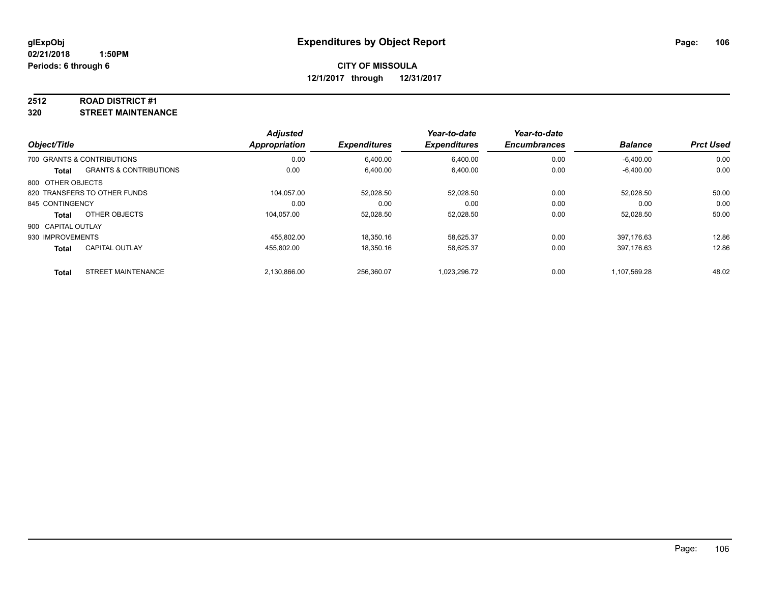#### **2512 ROAD DISTRICT #1**

**320 STREET MAINTENANCE**

| Object/Title       |                                   | <b>Adjusted</b><br>Appropriation | <b>Expenditures</b> | Year-to-date<br><b>Expenditures</b> | Year-to-date<br><b>Encumbrances</b> | <b>Balance</b> | <b>Prct Used</b> |
|--------------------|-----------------------------------|----------------------------------|---------------------|-------------------------------------|-------------------------------------|----------------|------------------|
|                    |                                   |                                  |                     |                                     |                                     |                |                  |
|                    | 700 GRANTS & CONTRIBUTIONS        | 0.00                             | 6,400.00            | 6,400.00                            | 0.00                                | $-6,400.00$    | 0.00             |
| Total              | <b>GRANTS &amp; CONTRIBUTIONS</b> | 0.00                             | 6,400.00            | 6,400.00                            | 0.00                                | $-6,400.00$    | 0.00             |
| 800 OTHER OBJECTS  |                                   |                                  |                     |                                     |                                     |                |                  |
|                    | 820 TRANSFERS TO OTHER FUNDS      | 104.057.00                       | 52,028.50           | 52.028.50                           | 0.00                                | 52.028.50      | 50.00            |
| 845 CONTINGENCY    |                                   | 0.00                             | 0.00                | 0.00                                | 0.00                                | 0.00           | 0.00             |
| Total              | OTHER OBJECTS                     | 104.057.00                       | 52,028.50           | 52,028.50                           | 0.00                                | 52,028.50      | 50.00            |
| 900 CAPITAL OUTLAY |                                   |                                  |                     |                                     |                                     |                |                  |
| 930 IMPROVEMENTS   |                                   | 455.802.00                       | 18.350.16           | 58.625.37                           | 0.00                                | 397.176.63     | 12.86            |
| <b>Total</b>       | <b>CAPITAL OUTLAY</b>             | 455,802.00                       | 18,350.16           | 58,625.37                           | 0.00                                | 397,176.63     | 12.86            |
| <b>Total</b>       | <b>STREET MAINTENANCE</b>         | 2,130,866.00                     | 256.360.07          | 1,023,296.72                        | 0.00                                | 1,107,569.28   | 48.02            |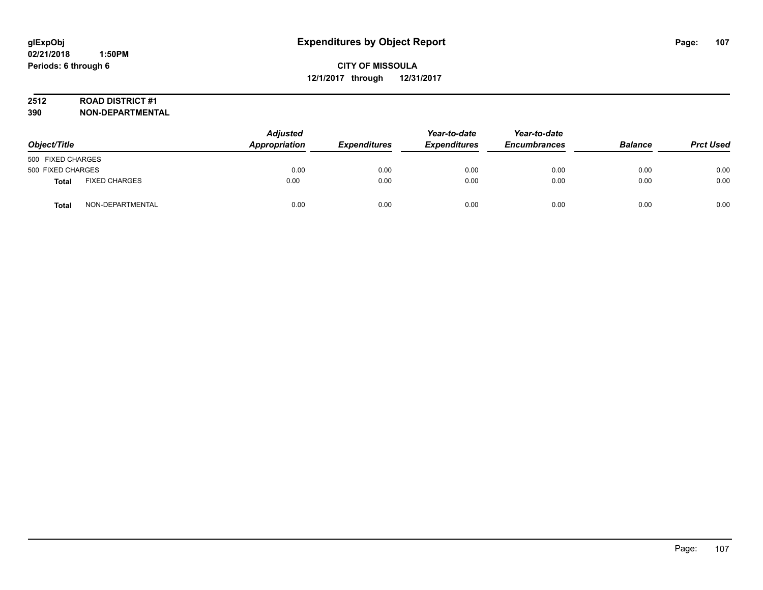# **2512 ROAD DISTRICT #1**

| Object/Title      |                      | <b>Adjusted</b><br>Appropriation | <b>Expenditures</b> | Year-to-date<br><b>Expenditures</b> | Year-to-date<br><b>Encumbrances</b> | <b>Balance</b> | <b>Prct Used</b> |
|-------------------|----------------------|----------------------------------|---------------------|-------------------------------------|-------------------------------------|----------------|------------------|
| 500 FIXED CHARGES |                      |                                  |                     |                                     |                                     |                |                  |
| 500 FIXED CHARGES |                      | 0.00                             | 0.00                | 0.00                                | 0.00                                | 0.00           | 0.00             |
| Total             | <b>FIXED CHARGES</b> | 0.00                             | 0.00                | 0.00                                | 0.00                                | 0.00           | 0.00             |
| Total             | NON-DEPARTMENTAL     | 0.00                             | 0.00                | 0.00                                | 0.00                                | 0.00           | 0.00             |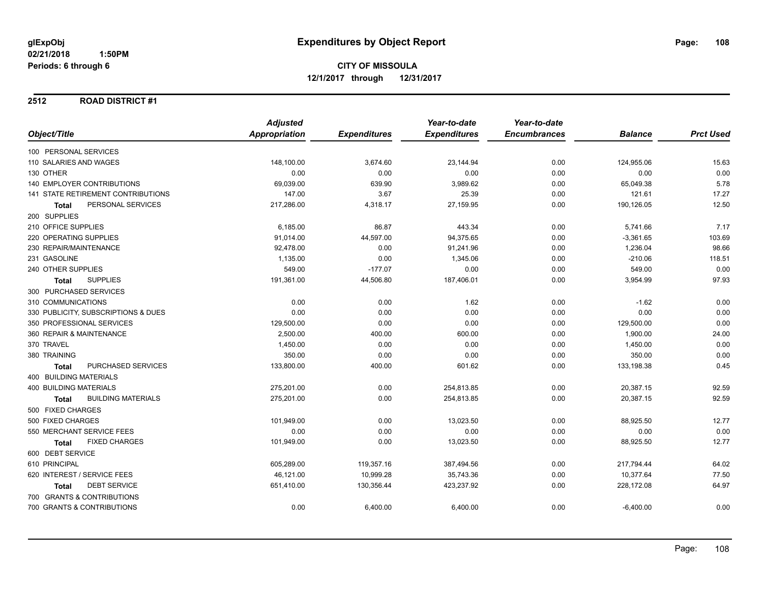#### **2512 ROAD DISTRICT #1**

| <b>Expenditures</b><br><b>Encumbrances</b><br>Object/Title<br>Appropriation<br><b>Expenditures</b><br><b>Balance</b><br>100 PERSONAL SERVICES<br>0.00<br>110 SALARIES AND WAGES<br>148,100.00<br>3,674.60<br>23,144.94<br>124,955.06<br>130 OTHER<br>0.00<br>0.00<br>0.00<br>0.00<br>0.00<br><b>140 EMPLOYER CONTRIBUTIONS</b><br>69,039.00<br>639.90<br>3,989.62<br>0.00<br>65,049.38<br>141 STATE RETIREMENT CONTRIBUTIONS<br>147.00<br>3.67<br>25.39<br>0.00<br>121.61<br>PERSONAL SERVICES<br>217,286.00<br>4,318.17<br>27,159.95<br>0.00<br>190,126.05<br><b>Total</b><br>200 SUPPLIES<br>210 OFFICE SUPPLIES<br>6,185.00<br>86.87<br>443.34<br>0.00<br>5,741.66<br>220 OPERATING SUPPLIES<br>91,014.00<br>44,597.00<br>94,375.65<br>0.00<br>$-3,361.65$<br>230 REPAIR/MAINTENANCE<br>92,478.00<br>0.00<br>91,241.96<br>0.00<br>1,236.04<br>231 GASOLINE<br>1,135.00<br>0.00<br>$-210.06$<br>1,345.06<br>0.00<br>240 OTHER SUPPLIES<br>549.00<br>$-177.07$<br>549.00<br>0.00<br>0.00<br><b>SUPPLIES</b><br>191,361.00<br>44,506.80<br>187,406.01<br>3,954.99<br>0.00<br><b>Total</b><br>300 PURCHASED SERVICES<br>310 COMMUNICATIONS<br>0.00<br>0.00<br>1.62<br>0.00<br>$-1.62$<br>0.00<br>0.00<br>0.00<br>0.00<br>0.00<br>330 PUBLICITY, SUBSCRIPTIONS & DUES<br>129,500.00<br>0.00<br>0.00<br>129,500.00<br>350 PROFESSIONAL SERVICES<br>0.00<br>360 REPAIR & MAINTENANCE<br>2,500.00<br>400.00<br>0.00<br>1,900.00<br>600.00<br>370 TRAVEL<br>1,450.00<br>0.00<br>0.00<br>0.00<br>1,450.00<br>350.00<br>0.00<br>0.00<br>350.00<br>380 TRAINING<br>0.00<br><b>PURCHASED SERVICES</b><br>133,800.00<br>400.00<br>0.00<br>133,198.38<br>601.62<br><b>Total</b><br><b>400 BUILDING MATERIALS</b><br><b>400 BUILDING MATERIALS</b><br>0.00<br>275,201.00<br>254,813.85<br>0.00<br>20,387.15<br><b>BUILDING MATERIALS</b><br>275,201.00<br>0.00<br>254,813.85<br>0.00<br>20,387.15<br><b>Total</b><br>500 FIXED CHARGES<br>500 FIXED CHARGES<br>101,949.00<br>0.00<br>13,023.50<br>0.00<br>88,925.50<br>550 MERCHANT SERVICE FEES<br>0.00<br>0.00<br>0.00<br>0.00<br>0.00<br><b>FIXED CHARGES</b><br>101,949.00<br>0.00<br>13,023.50<br>0.00<br>88,925.50<br><b>Total</b><br>600 DEBT SERVICE<br>610 PRINCIPAL<br>605,289.00<br>119,357.16<br>387,494.56<br>0.00<br>217,794.44<br>620 INTEREST / SERVICE FEES<br>46,121.00<br>10,999.28<br>10,377.64<br>35,743.36<br>0.00<br><b>DEBT SERVICE</b><br>651,410.00<br>130,356.44<br>423,237.92<br>0.00<br>228,172.08<br>Total<br>700 GRANTS & CONTRIBUTIONS |                            | <b>Adjusted</b> | Year-to-date | Year-to-date |                  |
|-----------------------------------------------------------------------------------------------------------------------------------------------------------------------------------------------------------------------------------------------------------------------------------------------------------------------------------------------------------------------------------------------------------------------------------------------------------------------------------------------------------------------------------------------------------------------------------------------------------------------------------------------------------------------------------------------------------------------------------------------------------------------------------------------------------------------------------------------------------------------------------------------------------------------------------------------------------------------------------------------------------------------------------------------------------------------------------------------------------------------------------------------------------------------------------------------------------------------------------------------------------------------------------------------------------------------------------------------------------------------------------------------------------------------------------------------------------------------------------------------------------------------------------------------------------------------------------------------------------------------------------------------------------------------------------------------------------------------------------------------------------------------------------------------------------------------------------------------------------------------------------------------------------------------------------------------------------------------------------------------------------------------------------------------------------------------------------------------------------------------------------------------------------------------------------------------------------------------------------------------------------------------------------------------------------------------------------------------------------------------------------------------------------------------------------------------------------------------------------------------------------|----------------------------|-----------------|--------------|--------------|------------------|
|                                                                                                                                                                                                                                                                                                                                                                                                                                                                                                                                                                                                                                                                                                                                                                                                                                                                                                                                                                                                                                                                                                                                                                                                                                                                                                                                                                                                                                                                                                                                                                                                                                                                                                                                                                                                                                                                                                                                                                                                                                                                                                                                                                                                                                                                                                                                                                                                                                                                                                           |                            |                 |              |              | <b>Prct Used</b> |
|                                                                                                                                                                                                                                                                                                                                                                                                                                                                                                                                                                                                                                                                                                                                                                                                                                                                                                                                                                                                                                                                                                                                                                                                                                                                                                                                                                                                                                                                                                                                                                                                                                                                                                                                                                                                                                                                                                                                                                                                                                                                                                                                                                                                                                                                                                                                                                                                                                                                                                           |                            |                 |              |              |                  |
|                                                                                                                                                                                                                                                                                                                                                                                                                                                                                                                                                                                                                                                                                                                                                                                                                                                                                                                                                                                                                                                                                                                                                                                                                                                                                                                                                                                                                                                                                                                                                                                                                                                                                                                                                                                                                                                                                                                                                                                                                                                                                                                                                                                                                                                                                                                                                                                                                                                                                                           |                            |                 |              |              | 15.63            |
|                                                                                                                                                                                                                                                                                                                                                                                                                                                                                                                                                                                                                                                                                                                                                                                                                                                                                                                                                                                                                                                                                                                                                                                                                                                                                                                                                                                                                                                                                                                                                                                                                                                                                                                                                                                                                                                                                                                                                                                                                                                                                                                                                                                                                                                                                                                                                                                                                                                                                                           |                            |                 |              |              | 0.00             |
|                                                                                                                                                                                                                                                                                                                                                                                                                                                                                                                                                                                                                                                                                                                                                                                                                                                                                                                                                                                                                                                                                                                                                                                                                                                                                                                                                                                                                                                                                                                                                                                                                                                                                                                                                                                                                                                                                                                                                                                                                                                                                                                                                                                                                                                                                                                                                                                                                                                                                                           |                            |                 |              |              | 5.78             |
|                                                                                                                                                                                                                                                                                                                                                                                                                                                                                                                                                                                                                                                                                                                                                                                                                                                                                                                                                                                                                                                                                                                                                                                                                                                                                                                                                                                                                                                                                                                                                                                                                                                                                                                                                                                                                                                                                                                                                                                                                                                                                                                                                                                                                                                                                                                                                                                                                                                                                                           |                            |                 |              |              | 17.27            |
|                                                                                                                                                                                                                                                                                                                                                                                                                                                                                                                                                                                                                                                                                                                                                                                                                                                                                                                                                                                                                                                                                                                                                                                                                                                                                                                                                                                                                                                                                                                                                                                                                                                                                                                                                                                                                                                                                                                                                                                                                                                                                                                                                                                                                                                                                                                                                                                                                                                                                                           |                            |                 |              |              | 12.50            |
|                                                                                                                                                                                                                                                                                                                                                                                                                                                                                                                                                                                                                                                                                                                                                                                                                                                                                                                                                                                                                                                                                                                                                                                                                                                                                                                                                                                                                                                                                                                                                                                                                                                                                                                                                                                                                                                                                                                                                                                                                                                                                                                                                                                                                                                                                                                                                                                                                                                                                                           |                            |                 |              |              |                  |
|                                                                                                                                                                                                                                                                                                                                                                                                                                                                                                                                                                                                                                                                                                                                                                                                                                                                                                                                                                                                                                                                                                                                                                                                                                                                                                                                                                                                                                                                                                                                                                                                                                                                                                                                                                                                                                                                                                                                                                                                                                                                                                                                                                                                                                                                                                                                                                                                                                                                                                           |                            |                 |              |              | 7.17             |
|                                                                                                                                                                                                                                                                                                                                                                                                                                                                                                                                                                                                                                                                                                                                                                                                                                                                                                                                                                                                                                                                                                                                                                                                                                                                                                                                                                                                                                                                                                                                                                                                                                                                                                                                                                                                                                                                                                                                                                                                                                                                                                                                                                                                                                                                                                                                                                                                                                                                                                           |                            |                 |              |              | 103.69           |
|                                                                                                                                                                                                                                                                                                                                                                                                                                                                                                                                                                                                                                                                                                                                                                                                                                                                                                                                                                                                                                                                                                                                                                                                                                                                                                                                                                                                                                                                                                                                                                                                                                                                                                                                                                                                                                                                                                                                                                                                                                                                                                                                                                                                                                                                                                                                                                                                                                                                                                           |                            |                 |              |              | 98.66            |
|                                                                                                                                                                                                                                                                                                                                                                                                                                                                                                                                                                                                                                                                                                                                                                                                                                                                                                                                                                                                                                                                                                                                                                                                                                                                                                                                                                                                                                                                                                                                                                                                                                                                                                                                                                                                                                                                                                                                                                                                                                                                                                                                                                                                                                                                                                                                                                                                                                                                                                           |                            |                 |              |              | 118.51           |
|                                                                                                                                                                                                                                                                                                                                                                                                                                                                                                                                                                                                                                                                                                                                                                                                                                                                                                                                                                                                                                                                                                                                                                                                                                                                                                                                                                                                                                                                                                                                                                                                                                                                                                                                                                                                                                                                                                                                                                                                                                                                                                                                                                                                                                                                                                                                                                                                                                                                                                           |                            |                 |              |              | 0.00             |
|                                                                                                                                                                                                                                                                                                                                                                                                                                                                                                                                                                                                                                                                                                                                                                                                                                                                                                                                                                                                                                                                                                                                                                                                                                                                                                                                                                                                                                                                                                                                                                                                                                                                                                                                                                                                                                                                                                                                                                                                                                                                                                                                                                                                                                                                                                                                                                                                                                                                                                           |                            |                 |              |              | 97.93            |
|                                                                                                                                                                                                                                                                                                                                                                                                                                                                                                                                                                                                                                                                                                                                                                                                                                                                                                                                                                                                                                                                                                                                                                                                                                                                                                                                                                                                                                                                                                                                                                                                                                                                                                                                                                                                                                                                                                                                                                                                                                                                                                                                                                                                                                                                                                                                                                                                                                                                                                           |                            |                 |              |              |                  |
|                                                                                                                                                                                                                                                                                                                                                                                                                                                                                                                                                                                                                                                                                                                                                                                                                                                                                                                                                                                                                                                                                                                                                                                                                                                                                                                                                                                                                                                                                                                                                                                                                                                                                                                                                                                                                                                                                                                                                                                                                                                                                                                                                                                                                                                                                                                                                                                                                                                                                                           |                            |                 |              |              | 0.00             |
|                                                                                                                                                                                                                                                                                                                                                                                                                                                                                                                                                                                                                                                                                                                                                                                                                                                                                                                                                                                                                                                                                                                                                                                                                                                                                                                                                                                                                                                                                                                                                                                                                                                                                                                                                                                                                                                                                                                                                                                                                                                                                                                                                                                                                                                                                                                                                                                                                                                                                                           |                            |                 |              |              | 0.00             |
|                                                                                                                                                                                                                                                                                                                                                                                                                                                                                                                                                                                                                                                                                                                                                                                                                                                                                                                                                                                                                                                                                                                                                                                                                                                                                                                                                                                                                                                                                                                                                                                                                                                                                                                                                                                                                                                                                                                                                                                                                                                                                                                                                                                                                                                                                                                                                                                                                                                                                                           |                            |                 |              |              | 0.00             |
|                                                                                                                                                                                                                                                                                                                                                                                                                                                                                                                                                                                                                                                                                                                                                                                                                                                                                                                                                                                                                                                                                                                                                                                                                                                                                                                                                                                                                                                                                                                                                                                                                                                                                                                                                                                                                                                                                                                                                                                                                                                                                                                                                                                                                                                                                                                                                                                                                                                                                                           |                            |                 |              |              | 24.00            |
|                                                                                                                                                                                                                                                                                                                                                                                                                                                                                                                                                                                                                                                                                                                                                                                                                                                                                                                                                                                                                                                                                                                                                                                                                                                                                                                                                                                                                                                                                                                                                                                                                                                                                                                                                                                                                                                                                                                                                                                                                                                                                                                                                                                                                                                                                                                                                                                                                                                                                                           |                            |                 |              |              | 0.00             |
|                                                                                                                                                                                                                                                                                                                                                                                                                                                                                                                                                                                                                                                                                                                                                                                                                                                                                                                                                                                                                                                                                                                                                                                                                                                                                                                                                                                                                                                                                                                                                                                                                                                                                                                                                                                                                                                                                                                                                                                                                                                                                                                                                                                                                                                                                                                                                                                                                                                                                                           |                            |                 |              |              | 0.00             |
|                                                                                                                                                                                                                                                                                                                                                                                                                                                                                                                                                                                                                                                                                                                                                                                                                                                                                                                                                                                                                                                                                                                                                                                                                                                                                                                                                                                                                                                                                                                                                                                                                                                                                                                                                                                                                                                                                                                                                                                                                                                                                                                                                                                                                                                                                                                                                                                                                                                                                                           |                            |                 |              |              | 0.45             |
|                                                                                                                                                                                                                                                                                                                                                                                                                                                                                                                                                                                                                                                                                                                                                                                                                                                                                                                                                                                                                                                                                                                                                                                                                                                                                                                                                                                                                                                                                                                                                                                                                                                                                                                                                                                                                                                                                                                                                                                                                                                                                                                                                                                                                                                                                                                                                                                                                                                                                                           |                            |                 |              |              |                  |
|                                                                                                                                                                                                                                                                                                                                                                                                                                                                                                                                                                                                                                                                                                                                                                                                                                                                                                                                                                                                                                                                                                                                                                                                                                                                                                                                                                                                                                                                                                                                                                                                                                                                                                                                                                                                                                                                                                                                                                                                                                                                                                                                                                                                                                                                                                                                                                                                                                                                                                           |                            |                 |              |              | 92.59            |
|                                                                                                                                                                                                                                                                                                                                                                                                                                                                                                                                                                                                                                                                                                                                                                                                                                                                                                                                                                                                                                                                                                                                                                                                                                                                                                                                                                                                                                                                                                                                                                                                                                                                                                                                                                                                                                                                                                                                                                                                                                                                                                                                                                                                                                                                                                                                                                                                                                                                                                           |                            |                 |              |              | 92.59            |
|                                                                                                                                                                                                                                                                                                                                                                                                                                                                                                                                                                                                                                                                                                                                                                                                                                                                                                                                                                                                                                                                                                                                                                                                                                                                                                                                                                                                                                                                                                                                                                                                                                                                                                                                                                                                                                                                                                                                                                                                                                                                                                                                                                                                                                                                                                                                                                                                                                                                                                           |                            |                 |              |              |                  |
|                                                                                                                                                                                                                                                                                                                                                                                                                                                                                                                                                                                                                                                                                                                                                                                                                                                                                                                                                                                                                                                                                                                                                                                                                                                                                                                                                                                                                                                                                                                                                                                                                                                                                                                                                                                                                                                                                                                                                                                                                                                                                                                                                                                                                                                                                                                                                                                                                                                                                                           |                            |                 |              |              | 12.77            |
|                                                                                                                                                                                                                                                                                                                                                                                                                                                                                                                                                                                                                                                                                                                                                                                                                                                                                                                                                                                                                                                                                                                                                                                                                                                                                                                                                                                                                                                                                                                                                                                                                                                                                                                                                                                                                                                                                                                                                                                                                                                                                                                                                                                                                                                                                                                                                                                                                                                                                                           |                            |                 |              |              | 0.00             |
|                                                                                                                                                                                                                                                                                                                                                                                                                                                                                                                                                                                                                                                                                                                                                                                                                                                                                                                                                                                                                                                                                                                                                                                                                                                                                                                                                                                                                                                                                                                                                                                                                                                                                                                                                                                                                                                                                                                                                                                                                                                                                                                                                                                                                                                                                                                                                                                                                                                                                                           |                            |                 |              |              | 12.77            |
|                                                                                                                                                                                                                                                                                                                                                                                                                                                                                                                                                                                                                                                                                                                                                                                                                                                                                                                                                                                                                                                                                                                                                                                                                                                                                                                                                                                                                                                                                                                                                                                                                                                                                                                                                                                                                                                                                                                                                                                                                                                                                                                                                                                                                                                                                                                                                                                                                                                                                                           |                            |                 |              |              |                  |
|                                                                                                                                                                                                                                                                                                                                                                                                                                                                                                                                                                                                                                                                                                                                                                                                                                                                                                                                                                                                                                                                                                                                                                                                                                                                                                                                                                                                                                                                                                                                                                                                                                                                                                                                                                                                                                                                                                                                                                                                                                                                                                                                                                                                                                                                                                                                                                                                                                                                                                           |                            |                 |              |              | 64.02            |
|                                                                                                                                                                                                                                                                                                                                                                                                                                                                                                                                                                                                                                                                                                                                                                                                                                                                                                                                                                                                                                                                                                                                                                                                                                                                                                                                                                                                                                                                                                                                                                                                                                                                                                                                                                                                                                                                                                                                                                                                                                                                                                                                                                                                                                                                                                                                                                                                                                                                                                           |                            |                 |              |              | 77.50            |
|                                                                                                                                                                                                                                                                                                                                                                                                                                                                                                                                                                                                                                                                                                                                                                                                                                                                                                                                                                                                                                                                                                                                                                                                                                                                                                                                                                                                                                                                                                                                                                                                                                                                                                                                                                                                                                                                                                                                                                                                                                                                                                                                                                                                                                                                                                                                                                                                                                                                                                           |                            |                 |              |              | 64.97            |
|                                                                                                                                                                                                                                                                                                                                                                                                                                                                                                                                                                                                                                                                                                                                                                                                                                                                                                                                                                                                                                                                                                                                                                                                                                                                                                                                                                                                                                                                                                                                                                                                                                                                                                                                                                                                                                                                                                                                                                                                                                                                                                                                                                                                                                                                                                                                                                                                                                                                                                           |                            |                 |              |              |                  |
| 0.00<br>6,400.00<br>6,400.00<br>0.00<br>$-6,400.00$                                                                                                                                                                                                                                                                                                                                                                                                                                                                                                                                                                                                                                                                                                                                                                                                                                                                                                                                                                                                                                                                                                                                                                                                                                                                                                                                                                                                                                                                                                                                                                                                                                                                                                                                                                                                                                                                                                                                                                                                                                                                                                                                                                                                                                                                                                                                                                                                                                                       | 700 GRANTS & CONTRIBUTIONS |                 |              |              | 0.00             |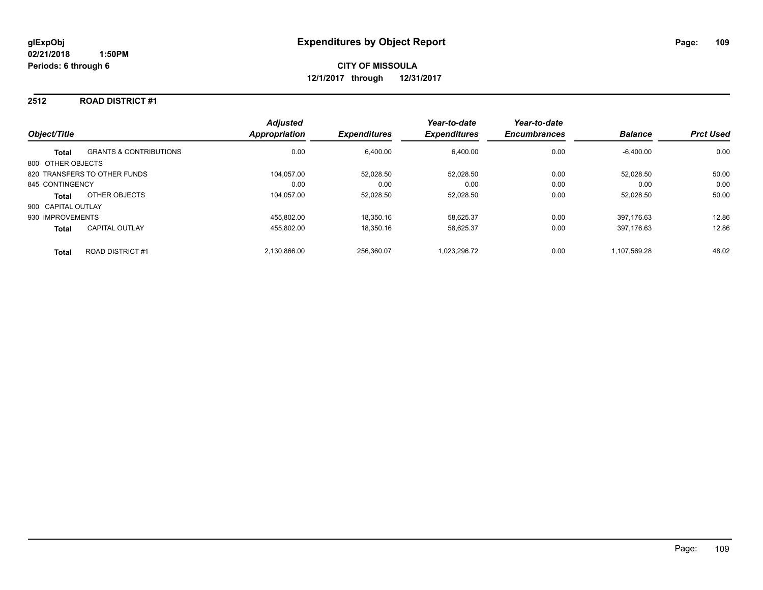#### **2512 ROAD DISTRICT #1**

| Object/Title                      |                                   | <b>Adjusted</b><br><b>Appropriation</b> | <b>Expenditures</b> | Year-to-date<br><b>Expenditures</b> | Year-to-date<br><b>Encumbrances</b> | <b>Balance</b> | <b>Prct Used</b> |
|-----------------------------------|-----------------------------------|-----------------------------------------|---------------------|-------------------------------------|-------------------------------------|----------------|------------------|
|                                   | <b>GRANTS &amp; CONTRIBUTIONS</b> | 0.00                                    | 6,400.00            | 6,400.00                            | 0.00                                | $-6,400.00$    | 0.00             |
| <b>Total</b><br>800 OTHER OBJECTS |                                   |                                         |                     |                                     |                                     |                |                  |
|                                   | 820 TRANSFERS TO OTHER FUNDS      | 104.057.00                              | 52,028.50           | 52.028.50                           | 0.00                                | 52,028.50      | 50.00            |
| 845 CONTINGENCY                   |                                   | 0.00                                    | 0.00                | 0.00                                | 0.00                                | 0.00           | 0.00             |
| <b>Total</b>                      | OTHER OBJECTS                     | 104.057.00                              | 52,028.50           | 52.028.50                           | 0.00                                | 52.028.50      | 50.00            |
| 900 CAPITAL OUTLAY                |                                   |                                         |                     |                                     |                                     |                |                  |
| 930 IMPROVEMENTS                  |                                   | 455.802.00                              | 18.350.16           | 58.625.37                           | 0.00                                | 397.176.63     | 12.86            |
| <b>Total</b>                      | <b>CAPITAL OUTLAY</b>             | 455,802.00                              | 18,350.16           | 58,625.37                           | 0.00                                | 397,176.63     | 12.86            |
| <b>Total</b>                      | ROAD DISTRICT #1                  | 2.130.866.00                            | 256.360.07          | 1.023.296.72                        | 0.00                                | 1,107,569.28   | 48.02            |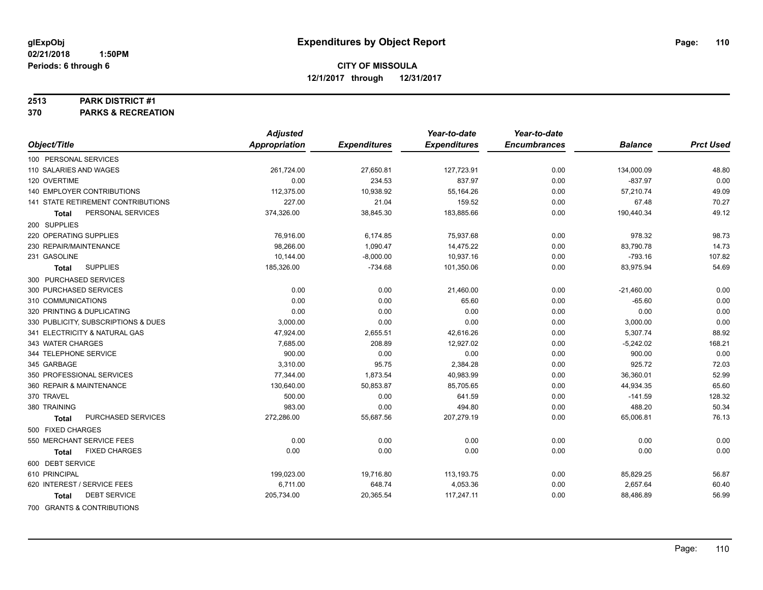#### **2513 PARK DISTRICT #1**

**370 PARKS & RECREATION**

|                                     | <b>Adjusted</b>      |                     | Year-to-date        | Year-to-date        |                |                  |
|-------------------------------------|----------------------|---------------------|---------------------|---------------------|----------------|------------------|
| Object/Title                        | <b>Appropriation</b> | <b>Expenditures</b> | <b>Expenditures</b> | <b>Encumbrances</b> | <b>Balance</b> | <b>Prct Used</b> |
| 100 PERSONAL SERVICES               |                      |                     |                     |                     |                |                  |
| 110 SALARIES AND WAGES              | 261,724.00           | 27,650.81           | 127,723.91          | 0.00                | 134,000.09     | 48.80            |
| 120 OVERTIME                        | 0.00                 | 234.53              | 837.97              | 0.00                | $-837.97$      | 0.00             |
| <b>140 EMPLOYER CONTRIBUTIONS</b>   | 112,375.00           | 10,938.92           | 55,164.26           | 0.00                | 57,210.74      | 49.09            |
| 141 STATE RETIREMENT CONTRIBUTIONS  | 227.00               | 21.04               | 159.52              | 0.00                | 67.48          | 70.27            |
| PERSONAL SERVICES<br><b>Total</b>   | 374,326.00           | 38,845.30           | 183,885.66          | 0.00                | 190,440.34     | 49.12            |
| 200 SUPPLIES                        |                      |                     |                     |                     |                |                  |
| 220 OPERATING SUPPLIES              | 76,916.00            | 6,174.85            | 75,937.68           | 0.00                | 978.32         | 98.73            |
| 230 REPAIR/MAINTENANCE              | 98.266.00            | 1,090.47            | 14,475.22           | 0.00                | 83,790.78      | 14.73            |
| 231 GASOLINE                        | 10,144.00            | $-8,000.00$         | 10,937.16           | 0.00                | $-793.16$      | 107.82           |
| <b>SUPPLIES</b><br><b>Total</b>     | 185,326.00           | $-734.68$           | 101,350.06          | 0.00                | 83,975.94      | 54.69            |
| 300 PURCHASED SERVICES              |                      |                     |                     |                     |                |                  |
| 300 PURCHASED SERVICES              | 0.00                 | 0.00                | 21,460.00           | 0.00                | $-21,460.00$   | 0.00             |
| 310 COMMUNICATIONS                  | 0.00                 | 0.00                | 65.60               | 0.00                | $-65.60$       | 0.00             |
| 320 PRINTING & DUPLICATING          | 0.00                 | 0.00                | 0.00                | 0.00                | 0.00           | 0.00             |
| 330 PUBLICITY, SUBSCRIPTIONS & DUES | 3,000.00             | 0.00                | 0.00                | 0.00                | 3,000.00       | 0.00             |
| 341 ELECTRICITY & NATURAL GAS       | 47,924.00            | 2,655.51            | 42,616.26           | 0.00                | 5,307.74       | 88.92            |
| 343 WATER CHARGES                   | 7,685.00             | 208.89              | 12,927.02           | 0.00                | $-5,242.02$    | 168.21           |
| 344 TELEPHONE SERVICE               | 900.00               | 0.00                | 0.00                | 0.00                | 900.00         | 0.00             |
| 345 GARBAGE                         | 3,310.00             | 95.75               | 2,384.28            | 0.00                | 925.72         | 72.03            |
| 350 PROFESSIONAL SERVICES           | 77,344.00            | 1,873.54            | 40,983.99           | 0.00                | 36,360.01      | 52.99            |
| 360 REPAIR & MAINTENANCE            | 130,640.00           | 50,853.87           | 85,705.65           | 0.00                | 44,934.35      | 65.60            |
| 370 TRAVEL                          | 500.00               | 0.00                | 641.59              | 0.00                | $-141.59$      | 128.32           |
| 380 TRAINING                        | 983.00               | 0.00                | 494.80              | 0.00                | 488.20         | 50.34            |
| PURCHASED SERVICES<br><b>Total</b>  | 272,286.00           | 55,687.56           | 207,279.19          | 0.00                | 65,006.81      | 76.13            |
| 500 FIXED CHARGES                   |                      |                     |                     |                     |                |                  |
| 550 MERCHANT SERVICE FEES           | 0.00                 | 0.00                | 0.00                | 0.00                | 0.00           | 0.00             |
| <b>FIXED CHARGES</b><br>Total       | 0.00                 | 0.00                | 0.00                | 0.00                | 0.00           | 0.00             |
| 600 DEBT SERVICE                    |                      |                     |                     |                     |                |                  |
| 610 PRINCIPAL                       | 199,023.00           | 19,716.80           | 113,193.75          | 0.00                | 85,829.25      | 56.87            |
| 620 INTEREST / SERVICE FEES         | 6,711.00             | 648.74              | 4,053.36            | 0.00                | 2,657.64       | 60.40            |
| <b>DEBT SERVICE</b><br>Total        | 205,734.00           | 20,365.54           | 117,247.11          | 0.00                | 88,486.89      | 56.99            |
| 700 GRANTS & CONTRIBUTIONS          |                      |                     |                     |                     |                |                  |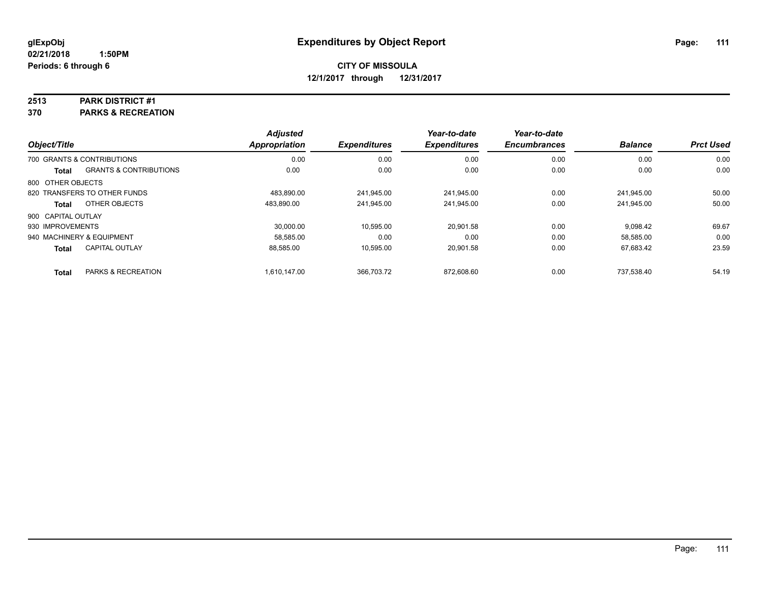#### **2513 PARK DISTRICT #1**

**370 PARKS & RECREATION**

| Object/Title       |                                   | <b>Adjusted</b><br>Appropriation | <b>Expenditures</b> | Year-to-date<br><b>Expenditures</b> | Year-to-date        | <b>Balance</b> | <b>Prct Used</b> |
|--------------------|-----------------------------------|----------------------------------|---------------------|-------------------------------------|---------------------|----------------|------------------|
|                    |                                   |                                  |                     |                                     | <b>Encumbrances</b> |                |                  |
|                    | 700 GRANTS & CONTRIBUTIONS        | 0.00                             | 0.00                | 0.00                                | 0.00                | 0.00           | 0.00             |
| Total              | <b>GRANTS &amp; CONTRIBUTIONS</b> | 0.00                             | 0.00                | 0.00                                | 0.00                | 0.00           | 0.00             |
| 800 OTHER OBJECTS  |                                   |                                  |                     |                                     |                     |                |                  |
|                    | 820 TRANSFERS TO OTHER FUNDS      | 483.890.00                       | 241.945.00          | 241.945.00                          | 0.00                | 241.945.00     | 50.00            |
| Total              | OTHER OBJECTS                     | 483,890.00                       | 241,945.00          | 241,945.00                          | 0.00                | 241,945.00     | 50.00            |
| 900 CAPITAL OUTLAY |                                   |                                  |                     |                                     |                     |                |                  |
| 930 IMPROVEMENTS   |                                   | 30.000.00                        | 10,595.00           | 20.901.58                           | 0.00                | 9.098.42       | 69.67            |
|                    | 940 MACHINERY & EQUIPMENT         | 58.585.00                        | 0.00                | 0.00                                | 0.00                | 58.585.00      | 0.00             |
| <b>Total</b>       | <b>CAPITAL OUTLAY</b>             | 88,585.00                        | 10,595.00           | 20,901.58                           | 0.00                | 67,683.42      | 23.59            |
| Total              | PARKS & RECREATION                | 1.610.147.00                     | 366.703.72          | 872.608.60                          | 0.00                | 737.538.40     | 54.19            |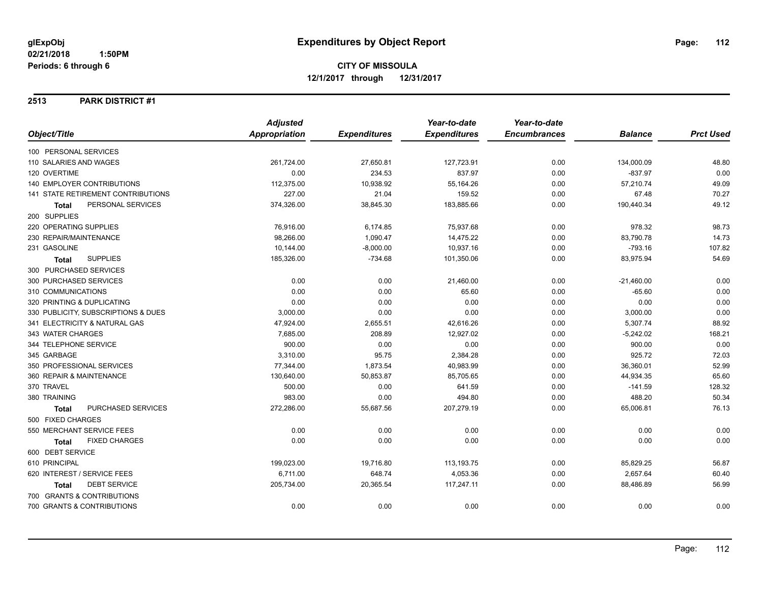#### **2513 PARK DISTRICT #1**

|                                      | <b>Adjusted</b> |                     | Year-to-date        | Year-to-date        |                |                  |
|--------------------------------------|-----------------|---------------------|---------------------|---------------------|----------------|------------------|
| Object/Title                         | Appropriation   | <b>Expenditures</b> | <b>Expenditures</b> | <b>Encumbrances</b> | <b>Balance</b> | <b>Prct Used</b> |
| 100 PERSONAL SERVICES                |                 |                     |                     |                     |                |                  |
| 110 SALARIES AND WAGES               | 261,724.00      | 27,650.81           | 127,723.91          | 0.00                | 134,000.09     | 48.80            |
| 120 OVERTIME                         | 0.00            | 234.53              | 837.97              | 0.00                | $-837.97$      | 0.00             |
| <b>140 EMPLOYER CONTRIBUTIONS</b>    | 112,375.00      | 10,938.92           | 55,164.26           | 0.00                | 57,210.74      | 49.09            |
| 141 STATE RETIREMENT CONTRIBUTIONS   | 227.00          | 21.04               | 159.52              | 0.00                | 67.48          | 70.27            |
| PERSONAL SERVICES<br><b>Total</b>    | 374,326.00      | 38,845.30           | 183,885.66          | 0.00                | 190,440.34     | 49.12            |
| 200 SUPPLIES                         |                 |                     |                     |                     |                |                  |
| 220 OPERATING SUPPLIES               | 76,916.00       | 6,174.85            | 75,937.68           | 0.00                | 978.32         | 98.73            |
| 230 REPAIR/MAINTENANCE               | 98,266.00       | 1,090.47            | 14,475.22           | 0.00                | 83,790.78      | 14.73            |
| 231 GASOLINE                         | 10,144.00       | $-8,000.00$         | 10,937.16           | 0.00                | $-793.16$      | 107.82           |
| <b>SUPPLIES</b><br><b>Total</b>      | 185,326.00      | $-734.68$           | 101,350.06          | 0.00                | 83,975.94      | 54.69            |
| 300 PURCHASED SERVICES               |                 |                     |                     |                     |                |                  |
| 300 PURCHASED SERVICES               | 0.00            | 0.00                | 21,460.00           | 0.00                | $-21,460.00$   | 0.00             |
| 310 COMMUNICATIONS                   | 0.00            | 0.00                | 65.60               | 0.00                | $-65.60$       | 0.00             |
| 320 PRINTING & DUPLICATING           | 0.00            | 0.00                | 0.00                | 0.00                | 0.00           | 0.00             |
| 330 PUBLICITY, SUBSCRIPTIONS & DUES  | 3,000.00        | 0.00                | 0.00                | 0.00                | 3,000.00       | 0.00             |
| 341 ELECTRICITY & NATURAL GAS        | 47,924.00       | 2,655.51            | 42,616.26           | 0.00                | 5,307.74       | 88.92            |
| 343 WATER CHARGES                    | 7,685.00        | 208.89              | 12,927.02           | 0.00                | $-5,242.02$    | 168.21           |
| 344 TELEPHONE SERVICE                | 900.00          | 0.00                | 0.00                | 0.00                | 900.00         | 0.00             |
| 345 GARBAGE                          | 3,310.00        | 95.75               | 2,384.28            | 0.00                | 925.72         | 72.03            |
| 350 PROFESSIONAL SERVICES            | 77,344.00       | 1,873.54            | 40,983.99           | 0.00                | 36,360.01      | 52.99            |
| 360 REPAIR & MAINTENANCE             | 130,640.00      | 50,853.87           | 85,705.65           | 0.00                | 44,934.35      | 65.60            |
| 370 TRAVEL                           | 500.00          | 0.00                | 641.59              | 0.00                | $-141.59$      | 128.32           |
| 380 TRAINING                         | 983.00          | 0.00                | 494.80              | 0.00                | 488.20         | 50.34            |
| PURCHASED SERVICES<br><b>Total</b>   | 272,286.00      | 55,687.56           | 207,279.19          | 0.00                | 65,006.81      | 76.13            |
| 500 FIXED CHARGES                    |                 |                     |                     |                     |                |                  |
| 550 MERCHANT SERVICE FEES            | 0.00            | 0.00                | 0.00                | 0.00                | 0.00           | 0.00             |
| <b>FIXED CHARGES</b><br><b>Total</b> | 0.00            | 0.00                | 0.00                | 0.00                | 0.00           | 0.00             |
| 600 DEBT SERVICE                     |                 |                     |                     |                     |                |                  |
| 610 PRINCIPAL                        | 199,023.00      | 19,716.80           | 113,193.75          | 0.00                | 85,829.25      | 56.87            |
| 620 INTEREST / SERVICE FEES          | 6,711.00        | 648.74              | 4,053.36            | 0.00                | 2,657.64       | 60.40            |
| <b>DEBT SERVICE</b><br><b>Total</b>  | 205,734.00      | 20,365.54           | 117,247.11          | 0.00                | 88,486.89      | 56.99            |
| 700 GRANTS & CONTRIBUTIONS           |                 |                     |                     |                     |                |                  |
| 700 GRANTS & CONTRIBUTIONS           | 0.00            | 0.00                | 0.00                | 0.00                | 0.00           | 0.00             |
|                                      |                 |                     |                     |                     |                |                  |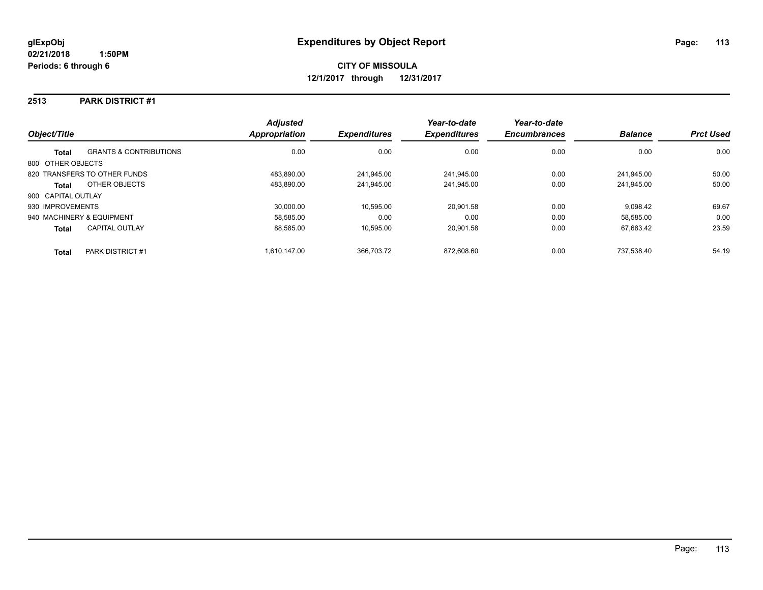#### **2513 PARK DISTRICT #1**

| Object/Title              |                                   | <b>Adjusted</b><br>Appropriation | <b>Expenditures</b> | Year-to-date<br><b>Expenditures</b> | Year-to-date<br><b>Encumbrances</b> | <b>Balance</b> | <b>Prct Used</b> |
|---------------------------|-----------------------------------|----------------------------------|---------------------|-------------------------------------|-------------------------------------|----------------|------------------|
| <b>Total</b>              | <b>GRANTS &amp; CONTRIBUTIONS</b> | 0.00                             | 0.00                | 0.00                                | 0.00                                | 0.00           | 0.00             |
| 800 OTHER OBJECTS         |                                   |                                  |                     |                                     |                                     |                |                  |
|                           | 820 TRANSFERS TO OTHER FUNDS      | 483.890.00                       | 241.945.00          | 241.945.00                          | 0.00                                | 241.945.00     | 50.00            |
| <b>Total</b>              | OTHER OBJECTS                     | 483.890.00                       | 241.945.00          | 241.945.00                          | 0.00                                | 241.945.00     | 50.00            |
| 900 CAPITAL OUTLAY        |                                   |                                  |                     |                                     |                                     |                |                  |
| 930 IMPROVEMENTS          |                                   | 30,000.00                        | 10,595.00           | 20,901.58                           | 0.00                                | 9,098.42       | 69.67            |
| 940 MACHINERY & EQUIPMENT |                                   | 58.585.00                        | 0.00                | 0.00                                | 0.00                                | 58.585.00      | 0.00             |
| <b>Total</b>              | <b>CAPITAL OUTLAY</b>             | 88,585.00                        | 10,595.00           | 20,901.58                           | 0.00                                | 67,683.42      | 23.59            |
| <b>Total</b>              | PARK DISTRICT #1                  | 1.610.147.00                     | 366.703.72          | 872.608.60                          | 0.00                                | 737.538.40     | 54.19            |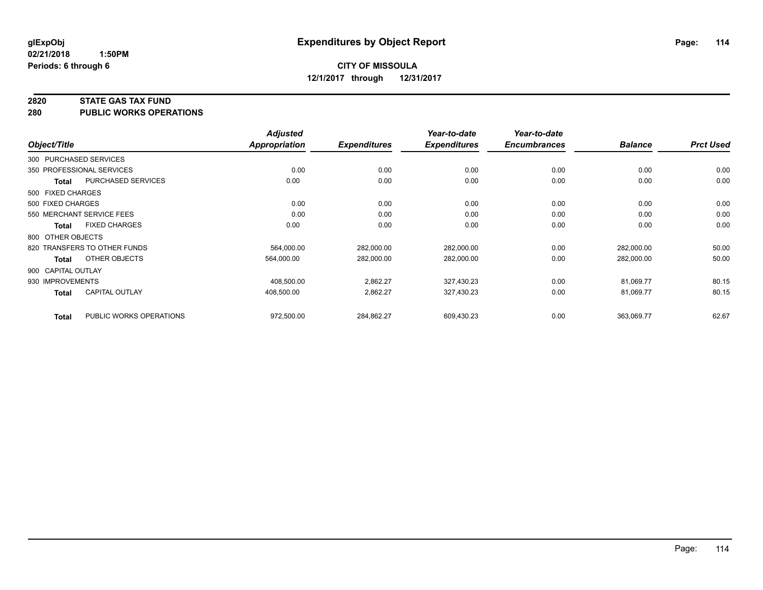#### **2820 STATE GAS TAX FUND**

**280 PUBLIC WORKS OPERATIONS**

|                    |                              | <b>Adjusted</b> |                     | Year-to-date        | Year-to-date        |                |                  |
|--------------------|------------------------------|-----------------|---------------------|---------------------|---------------------|----------------|------------------|
| Object/Title       |                              | Appropriation   | <b>Expenditures</b> | <b>Expenditures</b> | <b>Encumbrances</b> | <b>Balance</b> | <b>Prct Used</b> |
|                    | 300 PURCHASED SERVICES       |                 |                     |                     |                     |                |                  |
|                    | 350 PROFESSIONAL SERVICES    | 0.00            | 0.00                | 0.00                | 0.00                | 0.00           | 0.00             |
| <b>Total</b>       | PURCHASED SERVICES           | 0.00            | 0.00                | 0.00                | 0.00                | 0.00           | 0.00             |
| 500 FIXED CHARGES  |                              |                 |                     |                     |                     |                |                  |
| 500 FIXED CHARGES  |                              | 0.00            | 0.00                | 0.00                | 0.00                | 0.00           | 0.00             |
|                    | 550 MERCHANT SERVICE FEES    | 0.00            | 0.00                | 0.00                | 0.00                | 0.00           | 0.00             |
| Total              | <b>FIXED CHARGES</b>         | 0.00            | 0.00                | 0.00                | 0.00                | 0.00           | 0.00             |
| 800 OTHER OBJECTS  |                              |                 |                     |                     |                     |                |                  |
|                    | 820 TRANSFERS TO OTHER FUNDS | 564,000.00      | 282,000.00          | 282,000.00          | 0.00                | 282,000.00     | 50.00            |
| Total              | OTHER OBJECTS                | 564,000.00      | 282,000.00          | 282,000.00          | 0.00                | 282,000.00     | 50.00            |
| 900 CAPITAL OUTLAY |                              |                 |                     |                     |                     |                |                  |
| 930 IMPROVEMENTS   |                              | 408,500.00      | 2,862.27            | 327,430.23          | 0.00                | 81,069.77      | 80.15            |
| Total              | CAPITAL OUTLAY               | 408.500.00      | 2,862.27            | 327,430.23          | 0.00                | 81,069.77      | 80.15            |
| <b>Total</b>       | PUBLIC WORKS OPERATIONS      | 972,500.00      | 284,862.27          | 609,430.23          | 0.00                | 363,069.77     | 62.67            |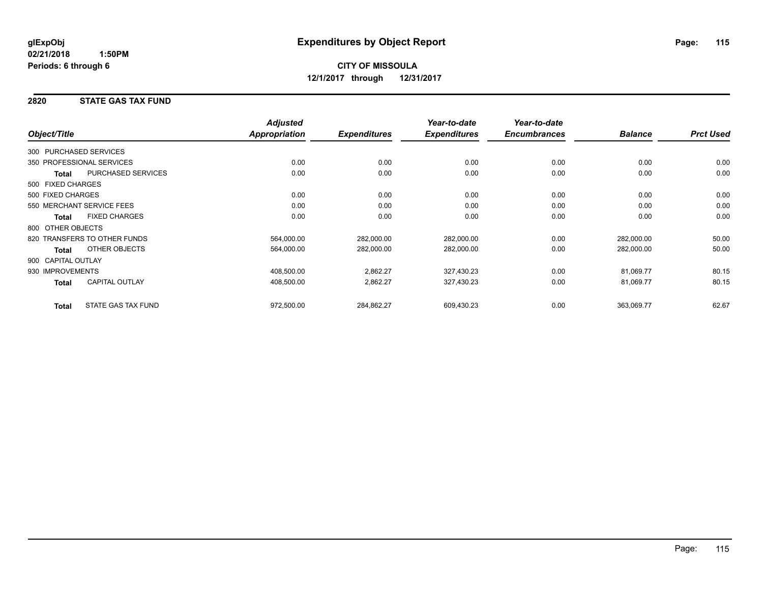#### **2820 STATE GAS TAX FUND**

|                    |                              | <b>Adjusted</b>      |                     | Year-to-date        | Year-to-date        |                |                  |
|--------------------|------------------------------|----------------------|---------------------|---------------------|---------------------|----------------|------------------|
| Object/Title       |                              | <b>Appropriation</b> | <b>Expenditures</b> | <b>Expenditures</b> | <b>Encumbrances</b> | <b>Balance</b> | <b>Prct Used</b> |
|                    | 300 PURCHASED SERVICES       |                      |                     |                     |                     |                |                  |
|                    | 350 PROFESSIONAL SERVICES    | 0.00                 | 0.00                | 0.00                | 0.00                | 0.00           | 0.00             |
| Total              | PURCHASED SERVICES           | 0.00                 | 0.00                | 0.00                | 0.00                | 0.00           | 0.00             |
| 500 FIXED CHARGES  |                              |                      |                     |                     |                     |                |                  |
| 500 FIXED CHARGES  |                              | 0.00                 | 0.00                | 0.00                | 0.00                | 0.00           | 0.00             |
|                    | 550 MERCHANT SERVICE FEES    | 0.00                 | 0.00                | 0.00                | 0.00                | 0.00           | 0.00             |
| <b>Total</b>       | <b>FIXED CHARGES</b>         | 0.00                 | 0.00                | 0.00                | 0.00                | 0.00           | 0.00             |
| 800 OTHER OBJECTS  |                              |                      |                     |                     |                     |                |                  |
|                    | 820 TRANSFERS TO OTHER FUNDS | 564,000.00           | 282,000.00          | 282,000.00          | 0.00                | 282,000.00     | 50.00            |
| <b>Total</b>       | OTHER OBJECTS                | 564,000.00           | 282,000.00          | 282,000.00          | 0.00                | 282,000.00     | 50.00            |
| 900 CAPITAL OUTLAY |                              |                      |                     |                     |                     |                |                  |
| 930 IMPROVEMENTS   |                              | 408,500.00           | 2,862.27            | 327,430.23          | 0.00                | 81,069.77      | 80.15            |
| Total              | <b>CAPITAL OUTLAY</b>        | 408,500.00           | 2,862.27            | 327,430.23          | 0.00                | 81,069.77      | 80.15            |
| <b>Total</b>       | STATE GAS TAX FUND           | 972,500.00           | 284,862.27          | 609,430.23          | 0.00                | 363,069.77     | 62.67            |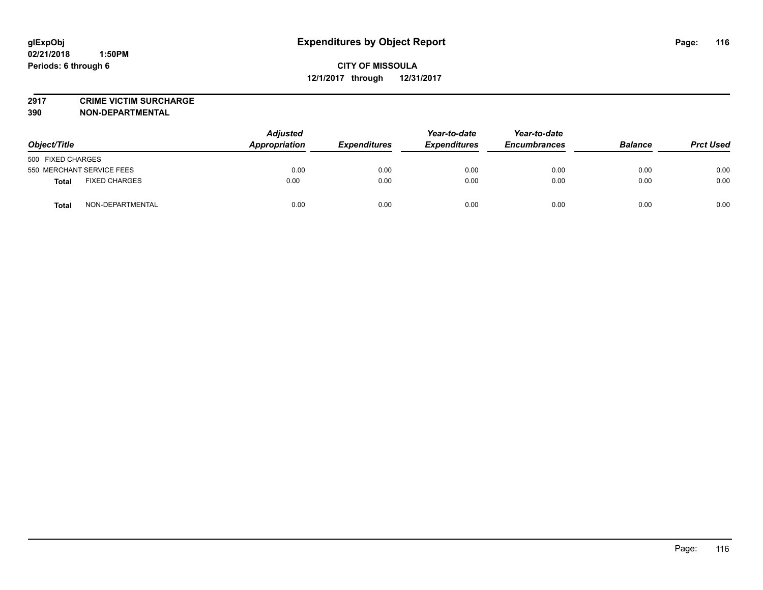**2917 CRIME VICTIM SURCHARGE**

**390 NON-DEPARTMENTAL**

| Object/Title                         | <b>Adjusted</b><br>Appropriation | <b>Expenditures</b> | Year-to-date<br><b>Expenditures</b> | Year-to-date<br><b>Encumbrances</b> | <b>Balance</b> | <b>Prct Used</b> |
|--------------------------------------|----------------------------------|---------------------|-------------------------------------|-------------------------------------|----------------|------------------|
| 500 FIXED CHARGES                    |                                  |                     |                                     |                                     |                |                  |
| 550 MERCHANT SERVICE FEES            | 0.00                             | 0.00                | 0.00                                | 0.00                                | 0.00           | 0.00             |
| <b>FIXED CHARGES</b><br><b>Total</b> | 0.00                             | 0.00                | 0.00                                | 0.00                                | 0.00           | 0.00             |
| NON-DEPARTMENTAL<br>Total            | 0.00                             | 0.00                | 0.00                                | 0.00                                | 0.00           | 0.00             |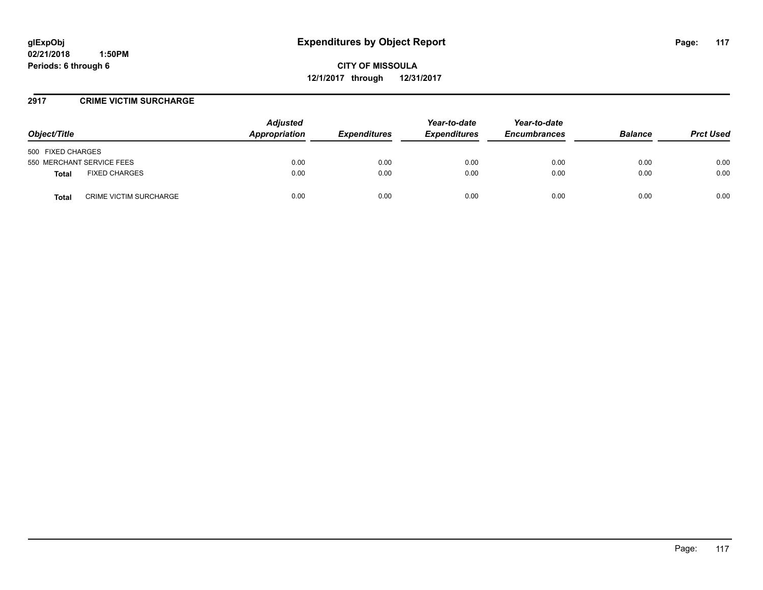#### **2917 CRIME VICTIM SURCHARGE**

| Object/Title                           | <b>Adjusted</b><br>Appropriation | <b>Expenditures</b> | Year-to-date<br><b>Expenditures</b> | Year-to-date<br><b>Encumbrances</b> | <b>Balance</b> | <b>Prct Used</b> |
|----------------------------------------|----------------------------------|---------------------|-------------------------------------|-------------------------------------|----------------|------------------|
| 500 FIXED CHARGES                      |                                  |                     |                                     |                                     |                |                  |
| 550 MERCHANT SERVICE FEES              | 0.00                             | 0.00                | 0.00                                | 0.00                                | 0.00           | 0.00             |
| <b>FIXED CHARGES</b><br><b>Total</b>   | 0.00                             | 0.00                | 0.00                                | 0.00                                | 0.00           | 0.00             |
| <b>CRIME VICTIM SURCHARGE</b><br>Total | 0.00                             | 0.00                | 0.00                                | 0.00                                | 0.00           | 0.00             |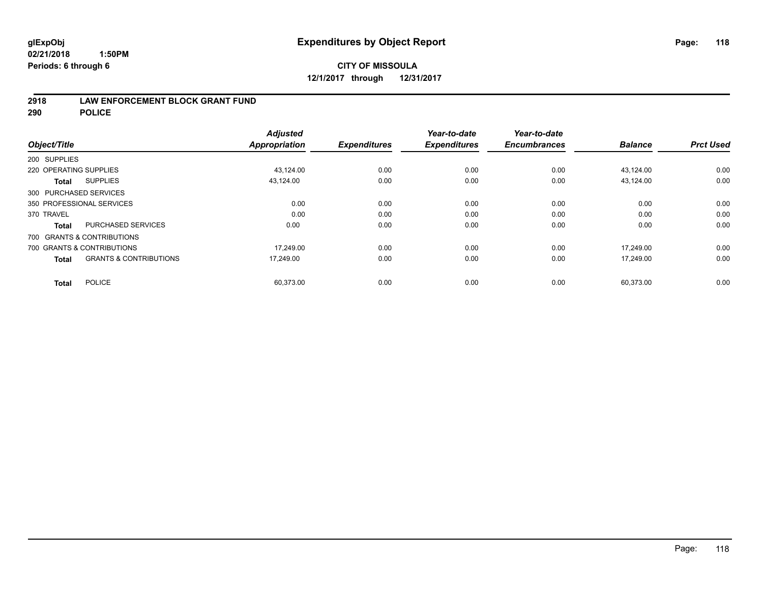#### **02/21/2018 1:50PM Periods: 6 through 6**

## **CITY OF MISSOULA 12/1/2017 through 12/31/2017**

#### **2918 LAW ENFORCEMENT BLOCK GRANT FUND**

**290 POLICE**

|                                                   | <b>Adjusted</b>      |                     | Year-to-date        | Year-to-date        |                |                  |
|---------------------------------------------------|----------------------|---------------------|---------------------|---------------------|----------------|------------------|
| Object/Title                                      | <b>Appropriation</b> | <b>Expenditures</b> | <b>Expenditures</b> | <b>Encumbrances</b> | <b>Balance</b> | <b>Prct Used</b> |
| 200 SUPPLIES                                      |                      |                     |                     |                     |                |                  |
| 220 OPERATING SUPPLIES                            | 43,124.00            | 0.00                | 0.00                | 0.00                | 43,124.00      | 0.00             |
| <b>SUPPLIES</b><br><b>Total</b>                   | 43.124.00            | 0.00                | 0.00                | 0.00                | 43,124.00      | 0.00             |
| 300 PURCHASED SERVICES                            |                      |                     |                     |                     |                |                  |
| 350 PROFESSIONAL SERVICES                         | 0.00                 | 0.00                | 0.00                | 0.00                | 0.00           | 0.00             |
| 370 TRAVEL                                        | 0.00                 | 0.00                | 0.00                | 0.00                | 0.00           | 0.00             |
| <b>PURCHASED SERVICES</b><br><b>Total</b>         | 0.00                 | 0.00                | 0.00                | 0.00                | 0.00           | 0.00             |
| 700 GRANTS & CONTRIBUTIONS                        |                      |                     |                     |                     |                |                  |
| 700 GRANTS & CONTRIBUTIONS                        | 17.249.00            | 0.00                | 0.00                | 0.00                | 17.249.00      | 0.00             |
| <b>GRANTS &amp; CONTRIBUTIONS</b><br><b>Total</b> | 17.249.00            | 0.00                | 0.00                | 0.00                | 17.249.00      | 0.00             |
|                                                   |                      |                     |                     |                     |                |                  |
| <b>POLICE</b><br><b>Total</b>                     | 60,373.00            | 0.00                | 0.00                | 0.00                | 60,373.00      | 0.00             |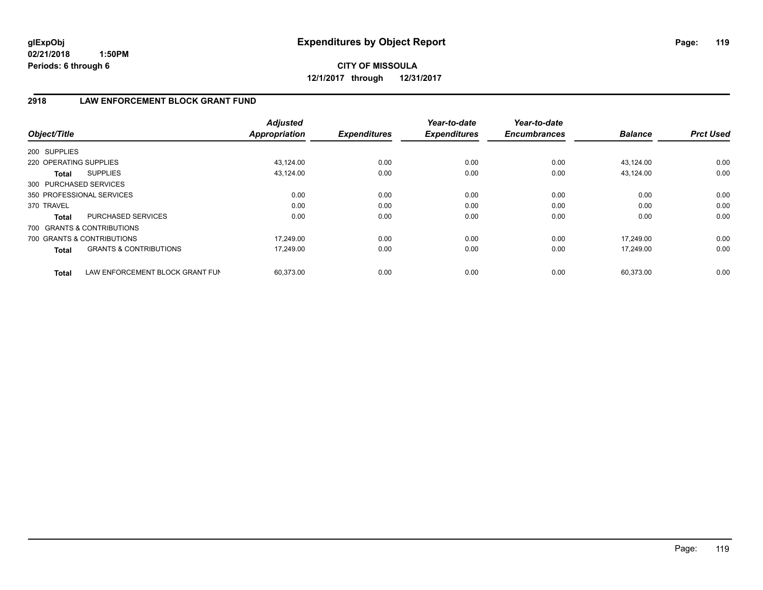**02/21/2018 1:50PM Periods: 6 through 6**

**CITY OF MISSOULA 12/1/2017 through 12/31/2017**

### **2918 LAW ENFORCEMENT BLOCK GRANT FUND**

| Object/Title                                    | <b>Adjusted</b><br><b>Appropriation</b> | <b>Expenditures</b> | Year-to-date<br><b>Expenditures</b> | Year-to-date<br><b>Encumbrances</b> | <b>Balance</b> | <b>Prct Used</b> |
|-------------------------------------------------|-----------------------------------------|---------------------|-------------------------------------|-------------------------------------|----------------|------------------|
|                                                 |                                         |                     |                                     |                                     |                |                  |
| 200 SUPPLIES                                    |                                         |                     |                                     |                                     |                |                  |
| 220 OPERATING SUPPLIES                          | 43,124.00                               | 0.00                | 0.00                                | 0.00                                | 43,124.00      | 0.00             |
| <b>SUPPLIES</b><br>Total                        | 43.124.00                               | 0.00                | 0.00                                | 0.00                                | 43.124.00      | 0.00             |
| 300 PURCHASED SERVICES                          |                                         |                     |                                     |                                     |                |                  |
| 350 PROFESSIONAL SERVICES                       | 0.00                                    | 0.00                | 0.00                                | 0.00                                | 0.00           | 0.00             |
| 370 TRAVEL                                      | 0.00                                    | 0.00                | 0.00                                | 0.00                                | 0.00           | 0.00             |
| <b>PURCHASED SERVICES</b><br>Total              | 0.00                                    | 0.00                | 0.00                                | 0.00                                | 0.00           | 0.00             |
| 700 GRANTS & CONTRIBUTIONS                      |                                         |                     |                                     |                                     |                |                  |
| 700 GRANTS & CONTRIBUTIONS                      | 17.249.00                               | 0.00                | 0.00                                | 0.00                                | 17.249.00      | 0.00             |
| <b>GRANTS &amp; CONTRIBUTIONS</b><br>Total      | 17,249.00                               | 0.00                | 0.00                                | 0.00                                | 17,249.00      | 0.00             |
| LAW ENFORCEMENT BLOCK GRANT FUN<br><b>Total</b> | 60,373.00                               | 0.00                | 0.00                                | 0.00                                | 60,373.00      | 0.00             |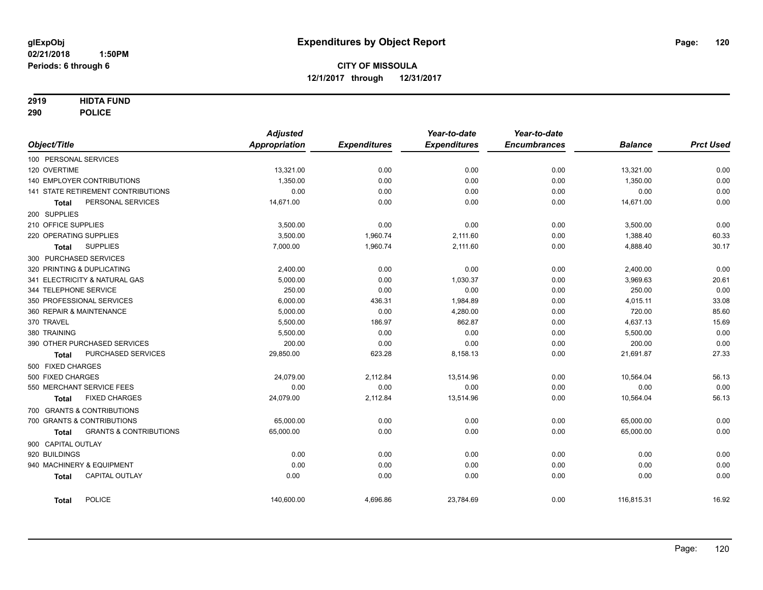#### **2919 HIDTA FUND**

**290 POLICE**

|                        |                                    | <b>Adjusted</b>      |                     | Year-to-date        | Year-to-date        |                |                  |
|------------------------|------------------------------------|----------------------|---------------------|---------------------|---------------------|----------------|------------------|
| Object/Title           |                                    | <b>Appropriation</b> | <b>Expenditures</b> | <b>Expenditures</b> | <b>Encumbrances</b> | <b>Balance</b> | <b>Prct Used</b> |
| 100 PERSONAL SERVICES  |                                    |                      |                     |                     |                     |                |                  |
| 120 OVERTIME           |                                    | 13,321.00            | 0.00                | 0.00                | 0.00                | 13,321.00      | 0.00             |
|                        | <b>140 EMPLOYER CONTRIBUTIONS</b>  | 1.350.00             | 0.00                | 0.00                | 0.00                | 1,350.00       | 0.00             |
|                        | 141 STATE RETIREMENT CONTRIBUTIONS | 0.00                 | 0.00                | 0.00                | 0.00                | 0.00           | 0.00             |
| Total                  | PERSONAL SERVICES                  | 14,671.00            | 0.00                | 0.00                | 0.00                | 14,671.00      | 0.00             |
| 200 SUPPLIES           |                                    |                      |                     |                     |                     |                |                  |
| 210 OFFICE SUPPLIES    |                                    | 3,500.00             | 0.00                | 0.00                | 0.00                | 3,500.00       | 0.00             |
| 220 OPERATING SUPPLIES |                                    | 3,500.00             | 1,960.74            | 2,111.60            | 0.00                | 1,388.40       | 60.33            |
| Total                  | <b>SUPPLIES</b>                    | 7,000.00             | 1,960.74            | 2,111.60            | 0.00                | 4,888.40       | 30.17            |
|                        | 300 PURCHASED SERVICES             |                      |                     |                     |                     |                |                  |
|                        | 320 PRINTING & DUPLICATING         | 2,400.00             | 0.00                | 0.00                | 0.00                | 2,400.00       | 0.00             |
|                        | 341 ELECTRICITY & NATURAL GAS      | 5,000.00             | 0.00                | 1,030.37            | 0.00                | 3,969.63       | 20.61            |
| 344 TELEPHONE SERVICE  |                                    | 250.00               | 0.00                | 0.00                | 0.00                | 250.00         | 0.00             |
|                        | 350 PROFESSIONAL SERVICES          | 6,000.00             | 436.31              | 1,984.89            | 0.00                | 4,015.11       | 33.08            |
|                        | 360 REPAIR & MAINTENANCE           | 5,000.00             | 0.00                | 4,280.00            | 0.00                | 720.00         | 85.60            |
| 370 TRAVEL             |                                    | 5,500.00             | 186.97              | 862.87              | 0.00                | 4,637.13       | 15.69            |
| 380 TRAINING           |                                    | 5,500.00             | 0.00                | 0.00                | 0.00                | 5,500.00       | 0.00             |
|                        | 390 OTHER PURCHASED SERVICES       | 200.00               | 0.00                | 0.00                | 0.00                | 200.00         | 0.00             |
| <b>Total</b>           | PURCHASED SERVICES                 | 29,850.00            | 623.28              | 8,158.13            | 0.00                | 21,691.87      | 27.33            |
| 500 FIXED CHARGES      |                                    |                      |                     |                     |                     |                |                  |
| 500 FIXED CHARGES      |                                    | 24,079.00            | 2,112.84            | 13,514.96           | 0.00                | 10,564.04      | 56.13            |
|                        | 550 MERCHANT SERVICE FEES          | 0.00                 | 0.00                | 0.00                | 0.00                | 0.00           | 0.00             |
| Total                  | <b>FIXED CHARGES</b>               | 24,079.00            | 2,112.84            | 13,514.96           | 0.00                | 10,564.04      | 56.13            |
|                        | 700 GRANTS & CONTRIBUTIONS         |                      |                     |                     |                     |                |                  |
|                        | 700 GRANTS & CONTRIBUTIONS         | 65,000.00            | 0.00                | 0.00                | 0.00                | 65,000.00      | 0.00             |
| Total                  | <b>GRANTS &amp; CONTRIBUTIONS</b>  | 65,000.00            | 0.00                | 0.00                | 0.00                | 65,000.00      | 0.00             |
| 900 CAPITAL OUTLAY     |                                    |                      |                     |                     |                     |                |                  |
| 920 BUILDINGS          |                                    | 0.00                 | 0.00                | 0.00                | 0.00                | 0.00           | 0.00             |
|                        | 940 MACHINERY & EQUIPMENT          | 0.00                 | 0.00                | 0.00                | 0.00                | 0.00           | 0.00             |
| <b>Total</b>           | <b>CAPITAL OUTLAY</b>              | 0.00                 | 0.00                | 0.00                | 0.00                | 0.00           | 0.00             |
| <b>Total</b>           | POLICE                             | 140,600.00           | 4,696.86            | 23,784.69           | 0.00                | 116,815.31     | 16.92            |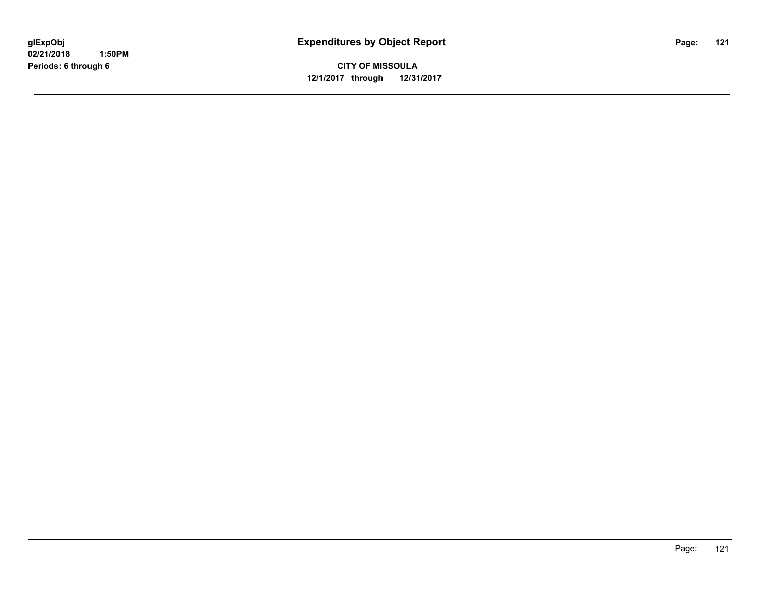**CITY OF MISSOULA**

**12/1/2017 through 12/31/2017**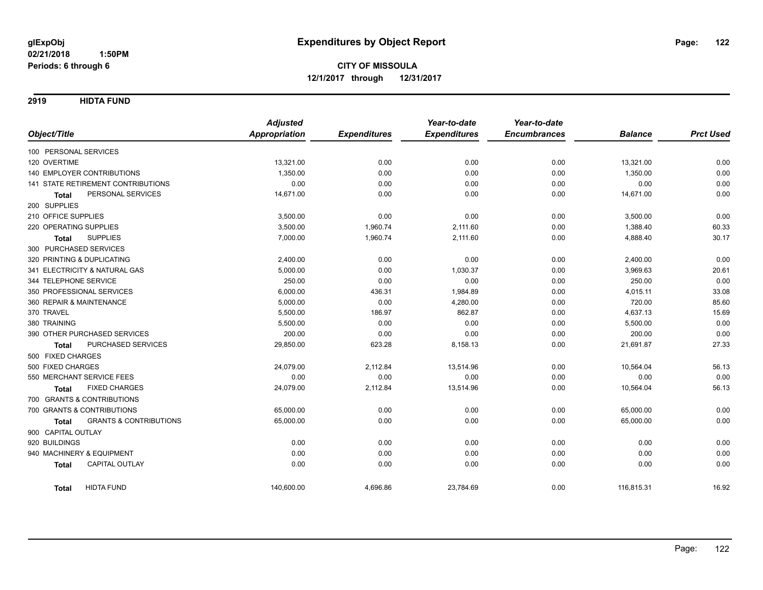**2919 HIDTA FUND**

|                            |                                           | <b>Adjusted</b>      |                     | Year-to-date        | Year-to-date        |                |                  |
|----------------------------|-------------------------------------------|----------------------|---------------------|---------------------|---------------------|----------------|------------------|
| Object/Title               |                                           | <b>Appropriation</b> | <b>Expenditures</b> | <b>Expenditures</b> | <b>Encumbrances</b> | <b>Balance</b> | <b>Prct Used</b> |
| 100 PERSONAL SERVICES      |                                           |                      |                     |                     |                     |                |                  |
| 120 OVERTIME               |                                           | 13,321.00            | 0.00                | 0.00                | 0.00                | 13,321.00      | 0.00             |
|                            | 140 EMPLOYER CONTRIBUTIONS                | 1,350.00             | 0.00                | 0.00                | 0.00                | 1,350.00       | 0.00             |
|                            | <b>141 STATE RETIREMENT CONTRIBUTIONS</b> | 0.00                 | 0.00                | 0.00                | 0.00                | 0.00           | 0.00             |
| Total                      | PERSONAL SERVICES                         | 14,671.00            | 0.00                | 0.00                | 0.00                | 14,671.00      | 0.00             |
| 200 SUPPLIES               |                                           |                      |                     |                     |                     |                |                  |
| 210 OFFICE SUPPLIES        |                                           | 3,500.00             | 0.00                | 0.00                | 0.00                | 3,500.00       | 0.00             |
| 220 OPERATING SUPPLIES     |                                           | 3,500.00             | 1,960.74            | 2,111.60            | 0.00                | 1,388.40       | 60.33            |
| <b>Total</b>               | <b>SUPPLIES</b>                           | 7,000.00             | 1,960.74            | 2,111.60            | 0.00                | 4,888.40       | 30.17            |
| 300 PURCHASED SERVICES     |                                           |                      |                     |                     |                     |                |                  |
| 320 PRINTING & DUPLICATING |                                           | 2,400.00             | 0.00                | 0.00                | 0.00                | 2,400.00       | 0.00             |
|                            | 341 ELECTRICITY & NATURAL GAS             | 5,000.00             | 0.00                | 1,030.37            | 0.00                | 3,969.63       | 20.61            |
| 344 TELEPHONE SERVICE      |                                           | 250.00               | 0.00                | 0.00                | 0.00                | 250.00         | 0.00             |
| 350 PROFESSIONAL SERVICES  |                                           | 6,000.00             | 436.31              | 1,984.89            | 0.00                | 4,015.11       | 33.08            |
| 360 REPAIR & MAINTENANCE   |                                           | 5,000.00             | 0.00                | 4,280.00            | 0.00                | 720.00         | 85.60            |
| 370 TRAVEL                 |                                           | 5,500.00             | 186.97              | 862.87              | 0.00                | 4,637.13       | 15.69            |
| 380 TRAINING               |                                           | 5,500.00             | 0.00                | 0.00                | 0.00                | 5,500.00       | 0.00             |
|                            | 390 OTHER PURCHASED SERVICES              | 200.00               | 0.00                | 0.00                | 0.00                | 200.00         | 0.00             |
| Total                      | <b>PURCHASED SERVICES</b>                 | 29,850.00            | 623.28              | 8,158.13            | 0.00                | 21,691.87      | 27.33            |
| 500 FIXED CHARGES          |                                           |                      |                     |                     |                     |                |                  |
| 500 FIXED CHARGES          |                                           | 24,079.00            | 2,112.84            | 13,514.96           | 0.00                | 10,564.04      | 56.13            |
| 550 MERCHANT SERVICE FEES  |                                           | 0.00                 | 0.00                | 0.00                | 0.00                | 0.00           | 0.00             |
| Total                      | <b>FIXED CHARGES</b>                      | 24,079.00            | 2,112.84            | 13,514.96           | 0.00                | 10,564.04      | 56.13            |
| 700 GRANTS & CONTRIBUTIONS |                                           |                      |                     |                     |                     |                |                  |
| 700 GRANTS & CONTRIBUTIONS |                                           | 65,000.00            | 0.00                | 0.00                | 0.00                | 65,000.00      | 0.00             |
| Total                      | <b>GRANTS &amp; CONTRIBUTIONS</b>         | 65,000.00            | 0.00                | 0.00                | 0.00                | 65,000.00      | 0.00             |
| 900 CAPITAL OUTLAY         |                                           |                      |                     |                     |                     |                |                  |
| 920 BUILDINGS              |                                           | 0.00                 | 0.00                | 0.00                | 0.00                | 0.00           | 0.00             |
| 940 MACHINERY & EQUIPMENT  |                                           | 0.00                 | 0.00                | 0.00                | 0.00                | 0.00           | 0.00             |
| <b>Total</b>               | <b>CAPITAL OUTLAY</b>                     | 0.00                 | 0.00                | 0.00                | 0.00                | 0.00           | 0.00             |
| <b>Total</b>               | <b>HIDTA FUND</b>                         | 140,600.00           | 4,696.86            | 23,784.69           | 0.00                | 116,815.31     | 16.92            |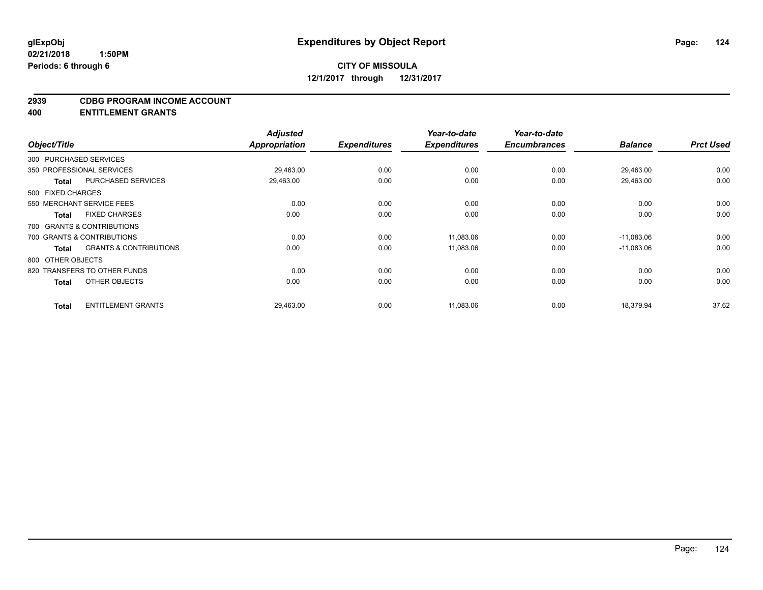#### **2939 CDBG PROGRAM INCOME ACCOUNT**

**400 ENTITLEMENT GRANTS**

| Object/Title           |                                   | <b>Adjusted</b><br><b>Appropriation</b> | <b>Expenditures</b> | Year-to-date<br><b>Expenditures</b> | Year-to-date<br><b>Encumbrances</b> | <b>Balance</b> | <b>Prct Used</b> |
|------------------------|-----------------------------------|-----------------------------------------|---------------------|-------------------------------------|-------------------------------------|----------------|------------------|
| 300 PURCHASED SERVICES |                                   |                                         |                     |                                     |                                     |                |                  |
|                        | 350 PROFESSIONAL SERVICES         | 29,463.00                               | 0.00                | 0.00                                | 0.00                                | 29,463.00      | 0.00             |
| <b>Total</b>           | PURCHASED SERVICES                | 29,463.00                               | 0.00                | 0.00                                | 0.00                                | 29,463.00      | 0.00             |
| 500 FIXED CHARGES      |                                   |                                         |                     |                                     |                                     |                |                  |
|                        | 550 MERCHANT SERVICE FEES         | 0.00                                    | 0.00                | 0.00                                | 0.00                                | 0.00           | 0.00             |
| <b>Total</b>           | <b>FIXED CHARGES</b>              | 0.00                                    | 0.00                | 0.00                                | 0.00                                | 0.00           | 0.00             |
|                        | 700 GRANTS & CONTRIBUTIONS        |                                         |                     |                                     |                                     |                |                  |
|                        | 700 GRANTS & CONTRIBUTIONS        | 0.00                                    | 0.00                | 11,083.06                           | 0.00                                | $-11,083.06$   | 0.00             |
| <b>Total</b>           | <b>GRANTS &amp; CONTRIBUTIONS</b> | 0.00                                    | 0.00                | 11,083.06                           | 0.00                                | $-11,083.06$   | 0.00             |
| 800 OTHER OBJECTS      |                                   |                                         |                     |                                     |                                     |                |                  |
|                        | 820 TRANSFERS TO OTHER FUNDS      | 0.00                                    | 0.00                | 0.00                                | 0.00                                | 0.00           | 0.00             |
| <b>Total</b>           | OTHER OBJECTS                     | 0.00                                    | 0.00                | 0.00                                | 0.00                                | 0.00           | 0.00             |
| <b>Total</b>           | <b>ENTITLEMENT GRANTS</b>         | 29,463.00                               | 0.00                | 11,083.06                           | 0.00                                | 18.379.94      | 37.62            |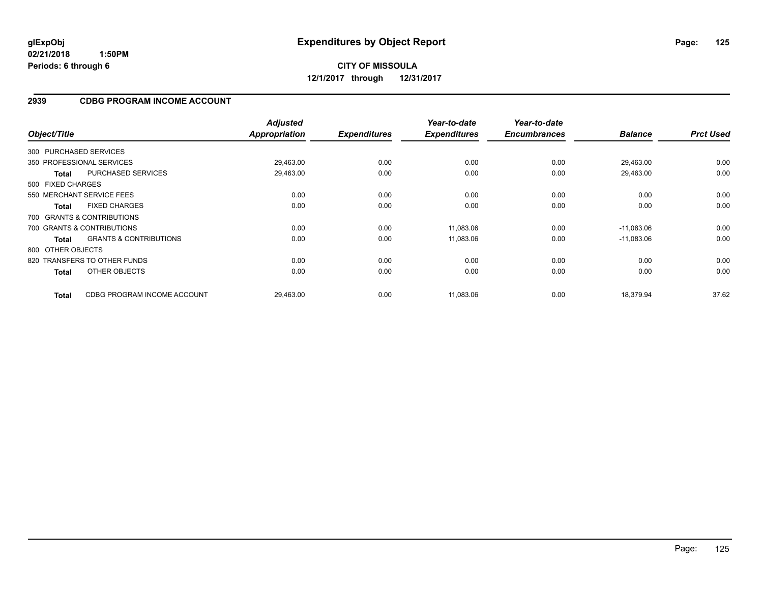#### **2939 CDBG PROGRAM INCOME ACCOUNT**

| Object/Title      |                                   | <b>Adjusted</b><br><b>Appropriation</b> | <b>Expenditures</b> | Year-to-date<br><b>Expenditures</b> | Year-to-date<br><b>Encumbrances</b> | <b>Balance</b> | <b>Prct Used</b> |
|-------------------|-----------------------------------|-----------------------------------------|---------------------|-------------------------------------|-------------------------------------|----------------|------------------|
|                   | 300 PURCHASED SERVICES            |                                         |                     |                                     |                                     |                |                  |
|                   | 350 PROFESSIONAL SERVICES         | 29,463.00                               | 0.00                | 0.00                                | 0.00                                | 29,463.00      | 0.00             |
| <b>Total</b>      | PURCHASED SERVICES                | 29,463.00                               | 0.00                | 0.00                                | 0.00                                | 29,463.00      | 0.00             |
| 500 FIXED CHARGES |                                   |                                         |                     |                                     |                                     |                |                  |
|                   | 550 MERCHANT SERVICE FEES         | 0.00                                    | 0.00                | 0.00                                | 0.00                                | 0.00           | 0.00             |
| Total             | <b>FIXED CHARGES</b>              | 0.00                                    | 0.00                | 0.00                                | 0.00                                | 0.00           | 0.00             |
|                   | 700 GRANTS & CONTRIBUTIONS        |                                         |                     |                                     |                                     |                |                  |
|                   | 700 GRANTS & CONTRIBUTIONS        | 0.00                                    | 0.00                | 11,083.06                           | 0.00                                | $-11,083.06$   | 0.00             |
| <b>Total</b>      | <b>GRANTS &amp; CONTRIBUTIONS</b> | 0.00                                    | 0.00                | 11,083.06                           | 0.00                                | $-11,083.06$   | 0.00             |
| 800 OTHER OBJECTS |                                   |                                         |                     |                                     |                                     |                |                  |
|                   | 820 TRANSFERS TO OTHER FUNDS      | 0.00                                    | 0.00                | 0.00                                | 0.00                                | 0.00           | 0.00             |
| <b>Total</b>      | OTHER OBJECTS                     | 0.00                                    | 0.00                | 0.00                                | 0.00                                | 0.00           | 0.00             |
| <b>Total</b>      | CDBG PROGRAM INCOME ACCOUNT       | 29,463.00                               | 0.00                | 11,083.06                           | 0.00                                | 18,379.94      | 37.62            |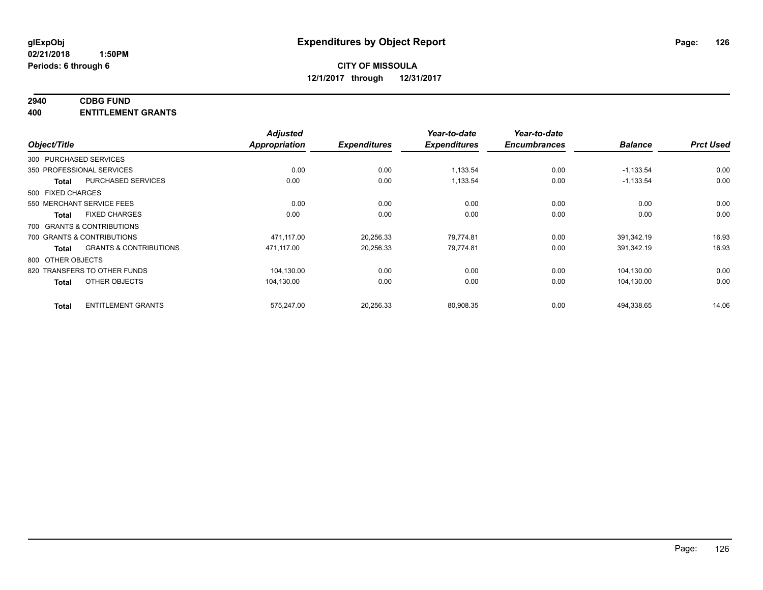# **2940 CDBG FUND**

**400 ENTITLEMENT GRANTS**

|                        |                                   | <b>Adjusted</b>      |                     | Year-to-date        | Year-to-date        |                |                  |
|------------------------|-----------------------------------|----------------------|---------------------|---------------------|---------------------|----------------|------------------|
| Object/Title           |                                   | <b>Appropriation</b> | <b>Expenditures</b> | <b>Expenditures</b> | <b>Encumbrances</b> | <b>Balance</b> | <b>Prct Used</b> |
| 300 PURCHASED SERVICES |                                   |                      |                     |                     |                     |                |                  |
|                        | 350 PROFESSIONAL SERVICES         | 0.00                 | 0.00                | 1,133.54            | 0.00                | $-1,133.54$    | 0.00             |
| <b>Total</b>           | PURCHASED SERVICES                | 0.00                 | 0.00                | 1,133.54            | 0.00                | $-1,133.54$    | 0.00             |
| 500 FIXED CHARGES      |                                   |                      |                     |                     |                     |                |                  |
|                        | 550 MERCHANT SERVICE FEES         | 0.00                 | 0.00                | 0.00                | 0.00                | 0.00           | 0.00             |
| <b>Total</b>           | <b>FIXED CHARGES</b>              | 0.00                 | 0.00                | 0.00                | 0.00                | 0.00           | 0.00             |
|                        | 700 GRANTS & CONTRIBUTIONS        |                      |                     |                     |                     |                |                  |
|                        | 700 GRANTS & CONTRIBUTIONS        | 471.117.00           | 20,256.33           | 79.774.81           | 0.00                | 391,342.19     | 16.93            |
| <b>Total</b>           | <b>GRANTS &amp; CONTRIBUTIONS</b> | 471,117.00           | 20,256.33           | 79,774.81           | 0.00                | 391,342.19     | 16.93            |
| 800 OTHER OBJECTS      |                                   |                      |                     |                     |                     |                |                  |
|                        | 820 TRANSFERS TO OTHER FUNDS      | 104,130.00           | 0.00                | 0.00                | 0.00                | 104,130.00     | 0.00             |
| <b>Total</b>           | OTHER OBJECTS                     | 104,130.00           | 0.00                | 0.00                | 0.00                | 104,130.00     | 0.00             |
| <b>Total</b>           | <b>ENTITLEMENT GRANTS</b>         | 575,247.00           | 20,256.33           | 80,908.35           | 0.00                | 494,338.65     | 14.06            |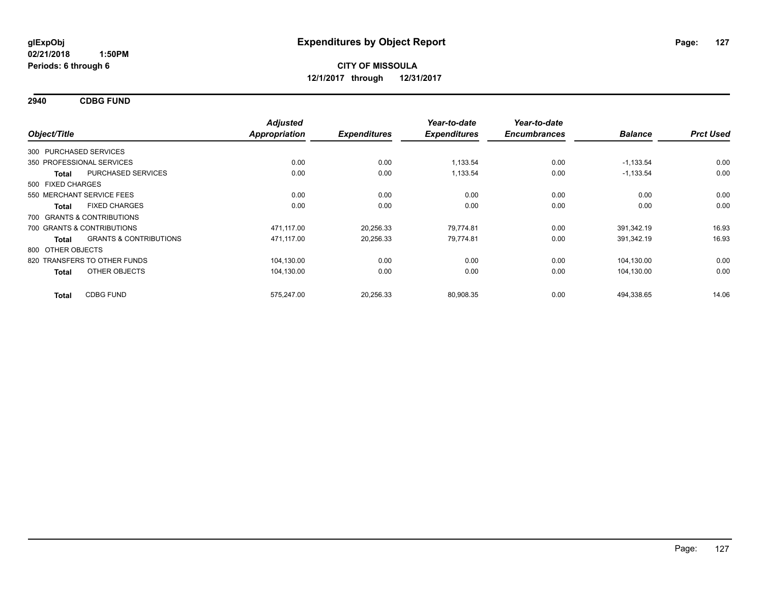**2940 CDBG FUND**

| Object/Title                 |                                   | <b>Adjusted</b><br><b>Appropriation</b> | <b>Expenditures</b> | Year-to-date<br><b>Expenditures</b> | Year-to-date<br><b>Encumbrances</b> | <b>Balance</b> | <b>Prct Used</b> |
|------------------------------|-----------------------------------|-----------------------------------------|---------------------|-------------------------------------|-------------------------------------|----------------|------------------|
|                              |                                   |                                         |                     |                                     |                                     |                |                  |
| 300 PURCHASED SERVICES       |                                   |                                         |                     |                                     |                                     |                |                  |
| 350 PROFESSIONAL SERVICES    |                                   | 0.00                                    | 0.00                | 1,133.54                            | 0.00                                | $-1,133.54$    | 0.00             |
| <b>Total</b>                 | PURCHASED SERVICES                | 0.00                                    | 0.00                | 1,133.54                            | 0.00                                | $-1,133.54$    | 0.00             |
| 500 FIXED CHARGES            |                                   |                                         |                     |                                     |                                     |                |                  |
| 550 MERCHANT SERVICE FEES    |                                   | 0.00                                    | 0.00                | 0.00                                | 0.00                                | 0.00           | 0.00             |
| Total                        | <b>FIXED CHARGES</b>              | 0.00                                    | 0.00                | 0.00                                | 0.00                                | 0.00           | 0.00             |
| 700 GRANTS & CONTRIBUTIONS   |                                   |                                         |                     |                                     |                                     |                |                  |
| 700 GRANTS & CONTRIBUTIONS   |                                   | 471,117.00                              | 20,256.33           | 79,774.81                           | 0.00                                | 391,342.19     | 16.93            |
| <b>Total</b>                 | <b>GRANTS &amp; CONTRIBUTIONS</b> | 471,117.00                              | 20,256.33           | 79,774.81                           | 0.00                                | 391,342.19     | 16.93            |
| 800 OTHER OBJECTS            |                                   |                                         |                     |                                     |                                     |                |                  |
| 820 TRANSFERS TO OTHER FUNDS |                                   | 104,130.00                              | 0.00                | 0.00                                | 0.00                                | 104,130.00     | 0.00             |
| Total                        | OTHER OBJECTS                     | 104,130.00                              | 0.00                | 0.00                                | 0.00                                | 104,130.00     | 0.00             |
| <b>Total</b>                 | <b>CDBG FUND</b>                  | 575,247.00                              | 20,256.33           | 80,908.35                           | 0.00                                | 494,338.65     | 14.06            |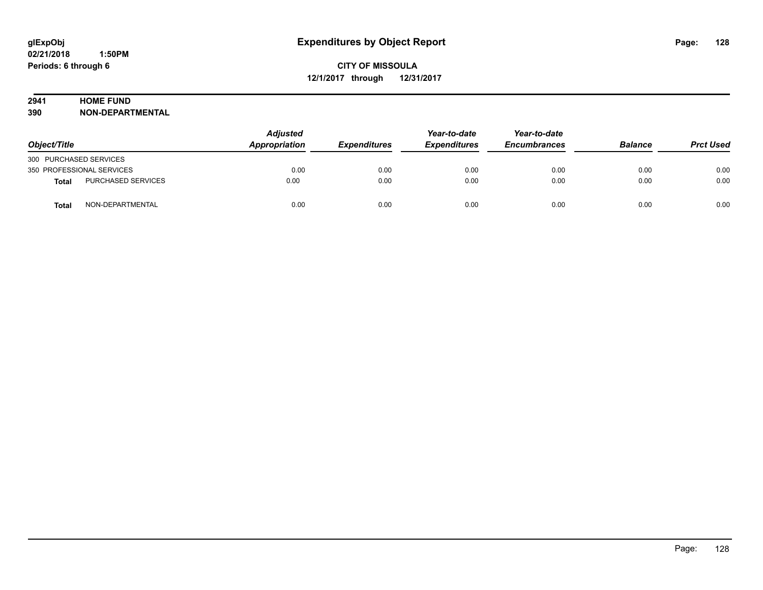## **2941 HOME FUND**

**390 NON-DEPARTMENTAL**

| Object/Title                       | <b>Adjusted</b><br><b>Appropriation</b> | <b>Expenditures</b> | Year-to-date<br><b>Expenditures</b> | Year-to-date<br><b>Encumbrances</b> | <b>Balance</b> | <b>Prct Used</b> |
|------------------------------------|-----------------------------------------|---------------------|-------------------------------------|-------------------------------------|----------------|------------------|
| 300 PURCHASED SERVICES             |                                         |                     |                                     |                                     |                |                  |
| 350 PROFESSIONAL SERVICES          | 0.00                                    | 0.00                | 0.00                                | 0.00                                | 0.00           | 0.00             |
| PURCHASED SERVICES<br><b>Total</b> | 0.00                                    | 0.00                | 0.00                                | 0.00                                | 0.00           | 0.00             |
| NON-DEPARTMENTAL<br><b>Total</b>   | 0.00                                    | 0.00                | 0.00                                | 0.00                                | 0.00           | 0.00             |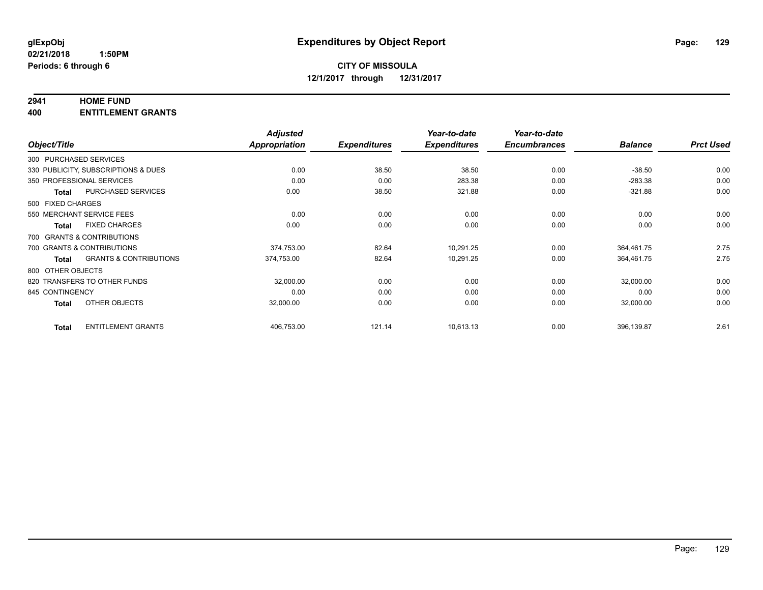#### **2941 HOME FUND**

**400 ENTITLEMENT GRANTS**

|                   |                                     | <b>Adjusted</b>      |                     | Year-to-date        | Year-to-date        |                |                  |
|-------------------|-------------------------------------|----------------------|---------------------|---------------------|---------------------|----------------|------------------|
| Object/Title      |                                     | <b>Appropriation</b> | <b>Expenditures</b> | <b>Expenditures</b> | <b>Encumbrances</b> | <b>Balance</b> | <b>Prct Used</b> |
|                   | 300 PURCHASED SERVICES              |                      |                     |                     |                     |                |                  |
|                   | 330 PUBLICITY, SUBSCRIPTIONS & DUES | 0.00                 | 38.50               | 38.50               | 0.00                | $-38.50$       | 0.00             |
|                   | 350 PROFESSIONAL SERVICES           | 0.00                 | 0.00                | 283.38              | 0.00                | $-283.38$      | 0.00             |
| Total             | <b>PURCHASED SERVICES</b>           | 0.00                 | 38.50               | 321.88              | 0.00                | $-321.88$      | 0.00             |
| 500 FIXED CHARGES |                                     |                      |                     |                     |                     |                |                  |
|                   | 550 MERCHANT SERVICE FEES           | 0.00                 | 0.00                | 0.00                | 0.00                | 0.00           | 0.00             |
| Total             | <b>FIXED CHARGES</b>                | 0.00                 | 0.00                | 0.00                | 0.00                | 0.00           | 0.00             |
|                   | 700 GRANTS & CONTRIBUTIONS          |                      |                     |                     |                     |                |                  |
|                   | 700 GRANTS & CONTRIBUTIONS          | 374,753.00           | 82.64               | 10,291.25           | 0.00                | 364,461.75     | 2.75             |
| Total             | <b>GRANTS &amp; CONTRIBUTIONS</b>   | 374,753.00           | 82.64               | 10,291.25           | 0.00                | 364,461.75     | 2.75             |
| 800 OTHER OBJECTS |                                     |                      |                     |                     |                     |                |                  |
|                   | 820 TRANSFERS TO OTHER FUNDS        | 32,000.00            | 0.00                | 0.00                | 0.00                | 32,000.00      | 0.00             |
| 845 CONTINGENCY   |                                     | 0.00                 | 0.00                | 0.00                | 0.00                | 0.00           | 0.00             |
| <b>Total</b>      | OTHER OBJECTS                       | 32,000.00            | 0.00                | 0.00                | 0.00                | 32,000.00      | 0.00             |
| <b>Total</b>      | <b>ENTITLEMENT GRANTS</b>           | 406,753.00           | 121.14              | 10,613.13           | 0.00                | 396,139.87     | 2.61             |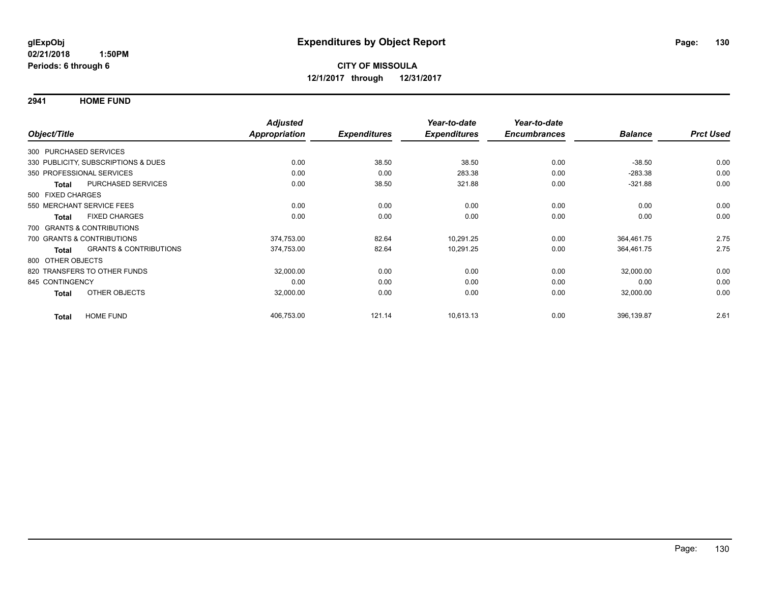**2941 HOME FUND**

|                        |                                     | <b>Adjusted</b> |                     | Year-to-date        | Year-to-date        |                |                  |
|------------------------|-------------------------------------|-----------------|---------------------|---------------------|---------------------|----------------|------------------|
| Object/Title           |                                     | Appropriation   | <b>Expenditures</b> | <b>Expenditures</b> | <b>Encumbrances</b> | <b>Balance</b> | <b>Prct Used</b> |
| 300 PURCHASED SERVICES |                                     |                 |                     |                     |                     |                |                  |
|                        | 330 PUBLICITY, SUBSCRIPTIONS & DUES | 0.00            | 38.50               | 38.50               | 0.00                | $-38.50$       | 0.00             |
|                        | 350 PROFESSIONAL SERVICES           | 0.00            | 0.00                | 283.38              | 0.00                | $-283.38$      | 0.00             |
| <b>Total</b>           | <b>PURCHASED SERVICES</b>           | 0.00            | 38.50               | 321.88              | 0.00                | $-321.88$      | 0.00             |
| 500 FIXED CHARGES      |                                     |                 |                     |                     |                     |                |                  |
|                        | 550 MERCHANT SERVICE FEES           | 0.00            | 0.00                | 0.00                | 0.00                | 0.00           | 0.00             |
| <b>Total</b>           | <b>FIXED CHARGES</b>                | 0.00            | 0.00                | 0.00                | 0.00                | 0.00           | 0.00             |
|                        | 700 GRANTS & CONTRIBUTIONS          |                 |                     |                     |                     |                |                  |
|                        | 700 GRANTS & CONTRIBUTIONS          | 374,753.00      | 82.64               | 10,291.25           | 0.00                | 364,461.75     | 2.75             |
| Total                  | <b>GRANTS &amp; CONTRIBUTIONS</b>   | 374,753.00      | 82.64               | 10,291.25           | 0.00                | 364,461.75     | 2.75             |
| 800 OTHER OBJECTS      |                                     |                 |                     |                     |                     |                |                  |
|                        | 820 TRANSFERS TO OTHER FUNDS        | 32,000.00       | 0.00                | 0.00                | 0.00                | 32,000.00      | 0.00             |
| 845 CONTINGENCY        |                                     | 0.00            | 0.00                | 0.00                | 0.00                | 0.00           | 0.00             |
| <b>Total</b>           | OTHER OBJECTS                       | 32,000.00       | 0.00                | 0.00                | 0.00                | 32,000.00      | 0.00             |
| <b>Total</b>           | <b>HOME FUND</b>                    | 406,753.00      | 121.14              | 10,613.13           | 0.00                | 396,139.87     | 2.61             |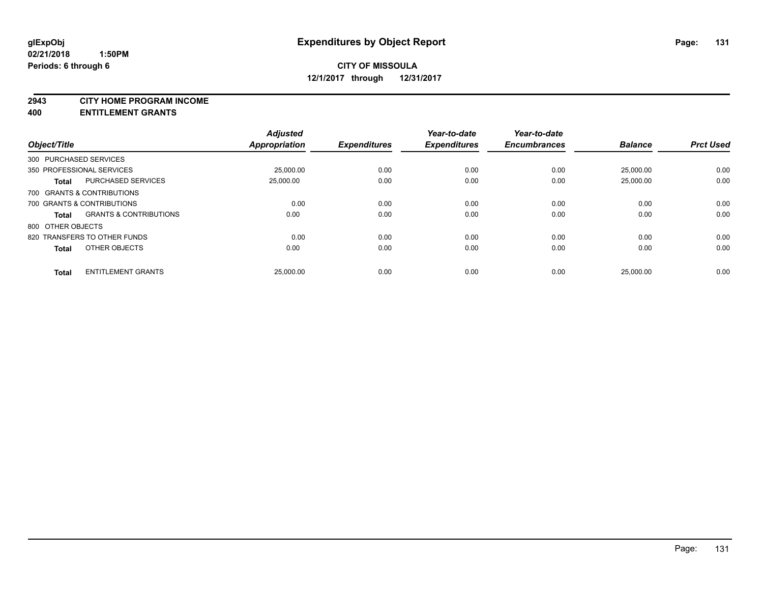#### **2943 CITY HOME PROGRAM INCOME**

**400 ENTITLEMENT GRANTS**

| Object/Title              |                                   | <b>Adjusted</b><br><b>Appropriation</b> | <b>Expenditures</b> | Year-to-date<br><b>Expenditures</b> | Year-to-date<br><b>Encumbrances</b> | <b>Balance</b> | <b>Prct Used</b> |
|---------------------------|-----------------------------------|-----------------------------------------|---------------------|-------------------------------------|-------------------------------------|----------------|------------------|
| 300 PURCHASED SERVICES    |                                   |                                         |                     |                                     |                                     |                |                  |
| 350 PROFESSIONAL SERVICES |                                   | 25,000.00                               | 0.00                | 0.00                                | 0.00                                | 25,000.00      | 0.00             |
| <b>Total</b>              | <b>PURCHASED SERVICES</b>         | 25,000.00                               | 0.00                | 0.00                                | 0.00                                | 25,000.00      | 0.00             |
|                           | 700 GRANTS & CONTRIBUTIONS        |                                         |                     |                                     |                                     |                |                  |
|                           | 700 GRANTS & CONTRIBUTIONS        | 0.00                                    | 0.00                | 0.00                                | 0.00                                | 0.00           | 0.00             |
| <b>Total</b>              | <b>GRANTS &amp; CONTRIBUTIONS</b> | 0.00                                    | 0.00                | 0.00                                | 0.00                                | 0.00           | 0.00             |
| 800 OTHER OBJECTS         |                                   |                                         |                     |                                     |                                     |                |                  |
|                           | 820 TRANSFERS TO OTHER FUNDS      | 0.00                                    | 0.00                | 0.00                                | 0.00                                | 0.00           | 0.00             |
| <b>Total</b>              | OTHER OBJECTS                     | 0.00                                    | 0.00                | 0.00                                | 0.00                                | 0.00           | 0.00             |
|                           |                                   |                                         |                     |                                     |                                     |                |                  |
| <b>Total</b>              | <b>ENTITLEMENT GRANTS</b>         | 25,000.00                               | 0.00                | 0.00                                | 0.00                                | 25,000.00      | 0.00             |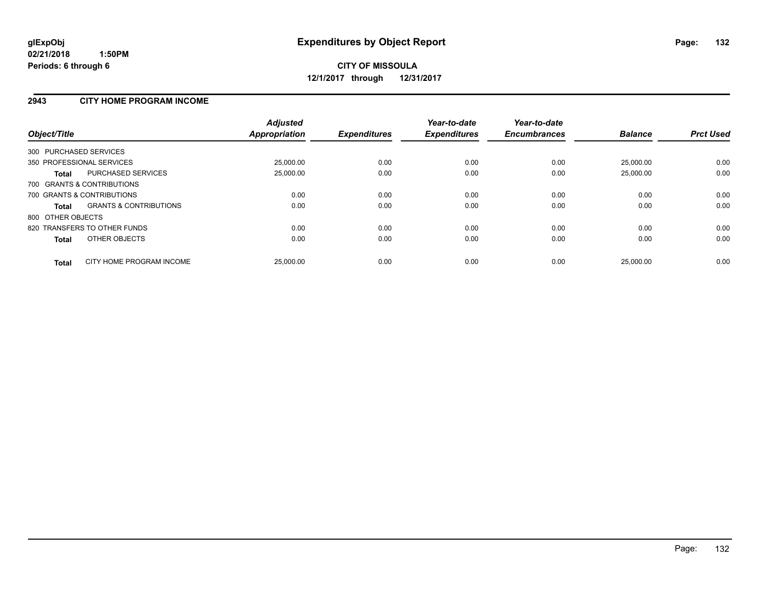#### **2943 CITY HOME PROGRAM INCOME**

| Object/Title           |                                   | <b>Adjusted</b><br><b>Appropriation</b> | <b>Expenditures</b> | Year-to-date<br><b>Expenditures</b> | Year-to-date<br><b>Encumbrances</b> | <b>Balance</b> | <b>Prct Used</b> |
|------------------------|-----------------------------------|-----------------------------------------|---------------------|-------------------------------------|-------------------------------------|----------------|------------------|
| 300 PURCHASED SERVICES |                                   |                                         |                     |                                     |                                     |                |                  |
|                        | 350 PROFESSIONAL SERVICES         | 25.000.00                               | 0.00                | 0.00                                | 0.00                                | 25.000.00      | 0.00             |
| Total                  | PURCHASED SERVICES                | 25,000.00                               | 0.00                | 0.00                                | 0.00                                | 25,000.00      | 0.00             |
|                        | 700 GRANTS & CONTRIBUTIONS        |                                         |                     |                                     |                                     |                |                  |
|                        | 700 GRANTS & CONTRIBUTIONS        | 0.00                                    | 0.00                | 0.00                                | 0.00                                | 0.00           | 0.00             |
| Total                  | <b>GRANTS &amp; CONTRIBUTIONS</b> | 0.00                                    | 0.00                | 0.00                                | 0.00                                | 0.00           | 0.00             |
| 800 OTHER OBJECTS      |                                   |                                         |                     |                                     |                                     |                |                  |
|                        | 820 TRANSFERS TO OTHER FUNDS      | 0.00                                    | 0.00                | 0.00                                | 0.00                                | 0.00           | 0.00             |
| <b>Total</b>           | OTHER OBJECTS                     | 0.00                                    | 0.00                | 0.00                                | 0.00                                | 0.00           | 0.00             |
| <b>Total</b>           | CITY HOME PROGRAM INCOME          | 25,000.00                               | 0.00                | 0.00                                | 0.00                                | 25.000.00      | 0.00             |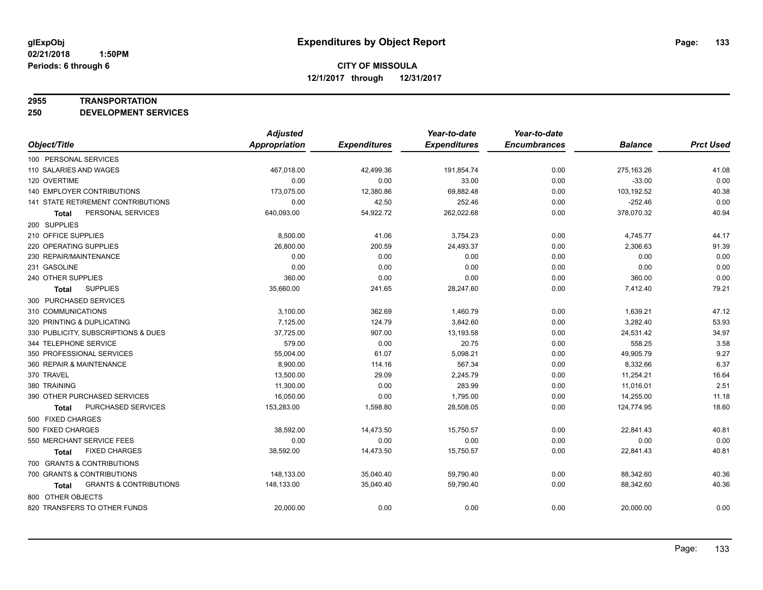#### **2955 TRANSPORTATION**

**250 DEVELOPMENT SERVICES**

|                                            | <b>Adjusted</b>      |                     | Year-to-date        | Year-to-date        |                |                  |
|--------------------------------------------|----------------------|---------------------|---------------------|---------------------|----------------|------------------|
| Object/Title                               | <b>Appropriation</b> | <b>Expenditures</b> | <b>Expenditures</b> | <b>Encumbrances</b> | <b>Balance</b> | <b>Prct Used</b> |
| 100 PERSONAL SERVICES                      |                      |                     |                     |                     |                |                  |
| 110 SALARIES AND WAGES                     | 467,018.00           | 42,499.36           | 191,854.74          | 0.00                | 275,163.26     | 41.08            |
| 120 OVERTIME                               | 0.00                 | 0.00                | 33.00               | 0.00                | $-33.00$       | 0.00             |
| <b>140 EMPLOYER CONTRIBUTIONS</b>          | 173,075.00           | 12,380.86           | 69,882.48           | 0.00                | 103,192.52     | 40.38            |
| 141 STATE RETIREMENT CONTRIBUTIONS         | 0.00                 | 42.50               | 252.46              | 0.00                | $-252.46$      | 0.00             |
| PERSONAL SERVICES<br>Total                 | 640,093.00           | 54,922.72           | 262,022.68          | 0.00                | 378,070.32     | 40.94            |
| 200 SUPPLIES                               |                      |                     |                     |                     |                |                  |
| 210 OFFICE SUPPLIES                        | 8,500.00             | 41.06               | 3,754.23            | 0.00                | 4,745.77       | 44.17            |
| 220 OPERATING SUPPLIES                     | 26,800.00            | 200.59              | 24,493.37           | 0.00                | 2,306.63       | 91.39            |
| 230 REPAIR/MAINTENANCE                     | 0.00                 | 0.00                | 0.00                | 0.00                | 0.00           | 0.00             |
| 231 GASOLINE                               | 0.00                 | 0.00                | 0.00                | 0.00                | 0.00           | 0.00             |
| 240 OTHER SUPPLIES                         | 360.00               | 0.00                | 0.00                | 0.00                | 360.00         | 0.00             |
| <b>SUPPLIES</b><br>Total                   | 35,660.00            | 241.65              | 28,247.60           | 0.00                | 7,412.40       | 79.21            |
| 300 PURCHASED SERVICES                     |                      |                     |                     |                     |                |                  |
| 310 COMMUNICATIONS                         | 3,100.00             | 362.69              | 1,460.79            | 0.00                | 1,639.21       | 47.12            |
| 320 PRINTING & DUPLICATING                 | 7,125.00             | 124.79              | 3,842.60            | 0.00                | 3,282.40       | 53.93            |
| 330 PUBLICITY, SUBSCRIPTIONS & DUES        | 37,725.00            | 907.00              | 13,193.58           | 0.00                | 24,531.42      | 34.97            |
| 344 TELEPHONE SERVICE                      | 579.00               | 0.00                | 20.75               | 0.00                | 558.25         | 3.58             |
| 350 PROFESSIONAL SERVICES                  | 55,004.00            | 61.07               | 5,098.21            | 0.00                | 49,905.79      | 9.27             |
| 360 REPAIR & MAINTENANCE                   | 8,900.00             | 114.16              | 567.34              | 0.00                | 8,332.66       | 6.37             |
| 370 TRAVEL                                 | 13,500.00            | 29.09               | 2,245.79            | 0.00                | 11,254.21      | 16.64            |
| 380 TRAINING                               | 11,300.00            | 0.00                | 283.99              | 0.00                | 11,016.01      | 2.51             |
| 390 OTHER PURCHASED SERVICES               | 16,050.00            | 0.00                | 1,795.00            | 0.00                | 14,255.00      | 11.18            |
| PURCHASED SERVICES<br>Total                | 153,283.00           | 1,598.80            | 28,508.05           | 0.00                | 124,774.95     | 18.60            |
| 500 FIXED CHARGES                          |                      |                     |                     |                     |                |                  |
| 500 FIXED CHARGES                          | 38,592.00            | 14,473.50           | 15,750.57           | 0.00                | 22,841.43      | 40.81            |
| 550 MERCHANT SERVICE FEES                  | 0.00                 | 0.00                | 0.00                | 0.00                | 0.00           | 0.00             |
| <b>FIXED CHARGES</b><br>Total              | 38,592.00            | 14,473.50           | 15,750.57           | 0.00                | 22,841.43      | 40.81            |
| 700 GRANTS & CONTRIBUTIONS                 |                      |                     |                     |                     |                |                  |
| 700 GRANTS & CONTRIBUTIONS                 | 148,133.00           | 35,040.40           | 59,790.40           | 0.00                | 88,342.60      | 40.36            |
| <b>GRANTS &amp; CONTRIBUTIONS</b><br>Total | 148,133.00           | 35,040.40           | 59,790.40           | 0.00                | 88,342.60      | 40.36            |
| 800 OTHER OBJECTS                          |                      |                     |                     |                     |                |                  |
| 820 TRANSFERS TO OTHER FUNDS               | 20,000.00            | 0.00                | 0.00                | 0.00                | 20,000.00      | 0.00             |
|                                            |                      |                     |                     |                     |                |                  |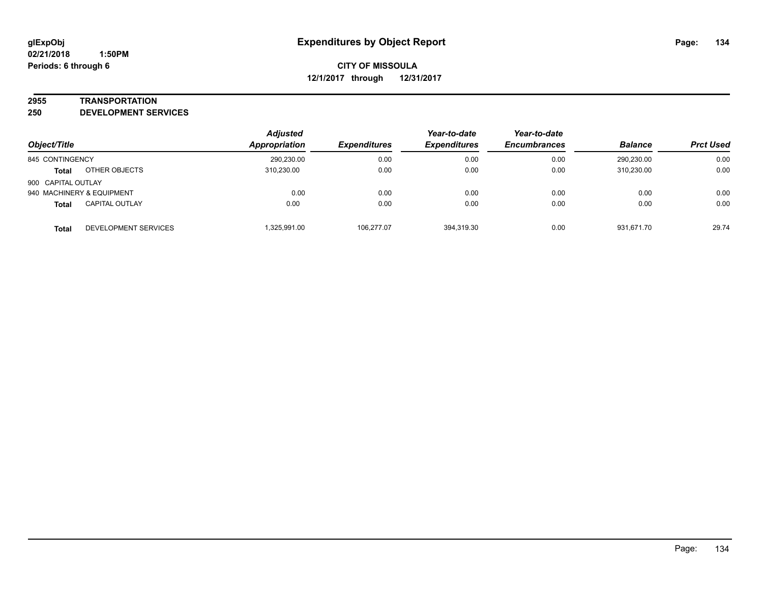#### **2955 TRANSPORTATION**

**250 DEVELOPMENT SERVICES**

|                    |                           | <b>Adjusted</b> |                     | Year-to-date        | Year-to-date        |                |                  |
|--------------------|---------------------------|-----------------|---------------------|---------------------|---------------------|----------------|------------------|
| Object/Title       |                           | Appropriation   | <b>Expenditures</b> | <b>Expenditures</b> | <b>Encumbrances</b> | <b>Balance</b> | <b>Prct Used</b> |
| 845 CONTINGENCY    |                           | 290,230.00      | 0.00                | 0.00                | 0.00                | 290.230.00     | 0.00             |
| <b>Total</b>       | OTHER OBJECTS             | 310.230.00      | 0.00                | 0.00                | 0.00                | 310.230.00     | 0.00             |
| 900 CAPITAL OUTLAY |                           |                 |                     |                     |                     |                |                  |
|                    | 940 MACHINERY & EQUIPMENT | 0.00            | 0.00                | 0.00                | 0.00                | 0.00           | 0.00             |
| <b>Total</b>       | <b>CAPITAL OUTLAY</b>     | 0.00            | 0.00                | 0.00                | 0.00                | 0.00           | 0.00             |
| Total              | DEVELOPMENT SERVICES      | .325.991.00     | 106.277.07          | 394,319.30          | 0.00                | 931.671.70     | 29.74            |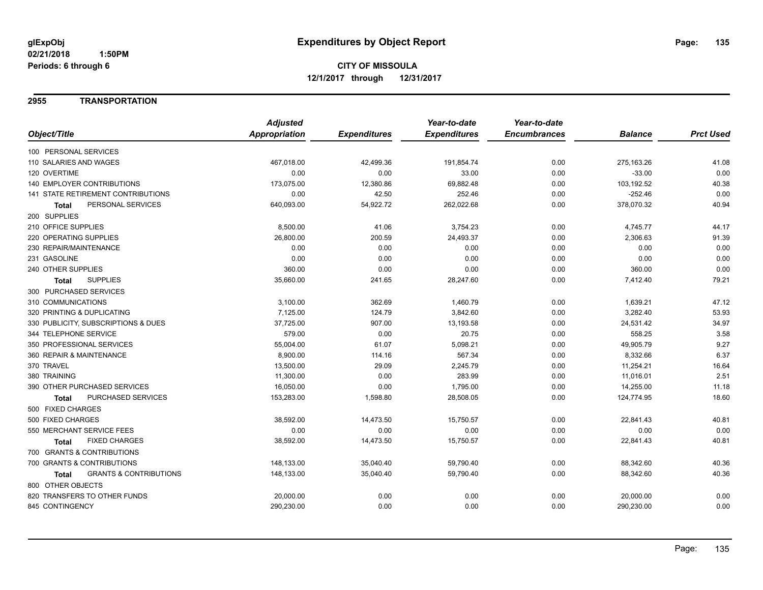#### **2955 TRANSPORTATION**

| <b>Prct Used</b><br>Object/Title<br><b>Appropriation</b><br><b>Expenditures</b><br><b>Expenditures</b><br><b>Encumbrances</b><br><b>Balance</b><br>100 PERSONAL SERVICES<br>110 SALARIES AND WAGES<br>467,018.00<br>42,499.36<br>191,854.74<br>0.00<br>275,163.26<br>41.08<br>$-33.00$<br>0.00<br>120 OVERTIME<br>0.00<br>0.00<br>33.00<br>0.00<br>40.38<br>140 EMPLOYER CONTRIBUTIONS<br>173,075.00<br>12,380.86<br>69,882.48<br>103,192.52<br>0.00<br>0.00<br>141 STATE RETIREMENT CONTRIBUTIONS<br>0.00<br>42.50<br>252.46<br>0.00<br>$-252.46$<br>40.94<br>PERSONAL SERVICES<br>640,093.00<br>54,922.72<br>262,022.68<br>0.00<br>378,070.32<br>Total<br>200 SUPPLIES<br>210 OFFICE SUPPLIES<br>44.17<br>8,500.00<br>41.06<br>3,754.23<br>0.00<br>4,745.77<br>220 OPERATING SUPPLIES<br>26,800.00<br>200.59<br>24,493.37<br>2,306.63<br>91.39<br>0.00<br>0.00<br>230 REPAIR/MAINTENANCE<br>0.00<br>0.00<br>0.00<br>0.00<br>0.00<br>0.00<br>231 GASOLINE<br>0.00<br>0.00<br>0.00<br>0.00<br>0.00<br>0.00<br>240 OTHER SUPPLIES<br>360.00<br>0.00<br>0.00<br>360.00<br>0.00<br>79.21<br><b>SUPPLIES</b><br>35,660.00<br>241.65<br>28,247.60<br>0.00<br>7,412.40<br><b>Total</b><br>300 PURCHASED SERVICES<br>310 COMMUNICATIONS<br>3,100.00<br>362.69<br>0.00<br>1,639.21<br>47.12<br>1,460.79<br>7,125.00<br>124.79<br>53.93<br>320 PRINTING & DUPLICATING<br>3,842.60<br>0.00<br>3,282.40<br>34.97<br>37,725.00<br>907.00<br>330 PUBLICITY, SUBSCRIPTIONS & DUES<br>13,193.58<br>0.00<br>24,531.42<br>579.00<br>558.25<br>3.58<br>344 TELEPHONE SERVICE<br>0.00<br>20.75<br>0.00<br>61.07<br>9.27<br>350 PROFESSIONAL SERVICES<br>55,004.00<br>5,098.21<br>0.00<br>49,905.79<br>8,332.66<br>6.37<br>360 REPAIR & MAINTENANCE<br>8,900.00<br>114.16<br>567.34<br>0.00<br>370 TRAVEL<br>13,500.00<br>29.09<br>0.00<br>11,254.21<br>16.64<br>2,245.79<br>2.51<br>380 TRAINING<br>11,300.00<br>0.00<br>283.99<br>0.00<br>11,016.01<br>390 OTHER PURCHASED SERVICES<br>16,050.00<br>0.00<br>1,795.00<br>0.00<br>14,255.00<br>11.18<br>PURCHASED SERVICES<br>0.00<br>18.60<br>153,283.00<br>1,598.80<br>28,508.05<br>124,774.95<br>Total<br>500 FIXED CHARGES<br>500 FIXED CHARGES<br>40.81<br>38,592.00<br>14,473.50<br>15,750.57<br>0.00<br>22,841.43<br>0.00<br>550 MERCHANT SERVICE FEES<br>0.00<br>0.00<br>0.00<br>0.00<br>0.00<br>40.81<br><b>FIXED CHARGES</b><br>38,592.00<br>14,473.50<br>15,750.57<br>0.00<br>22,841.43<br>Total<br>700 GRANTS & CONTRIBUTIONS<br>700 GRANTS & CONTRIBUTIONS<br>148,133.00<br>35,040.40<br>59,790.40<br>0.00<br>88,342.60<br>40.36<br>40.36<br><b>GRANTS &amp; CONTRIBUTIONS</b><br>148,133.00<br>59,790.40<br>0.00<br>35,040.40<br>88,342.60<br><b>Total</b><br>800 OTHER OBJECTS<br>820 TRANSFERS TO OTHER FUNDS<br>0.00<br>0.00<br>20,000.00<br>0.00<br>20,000.00<br>0.00<br>845 CONTINGENCY<br>290,230.00<br>0.00<br>0.00<br>0.00<br>290,230.00<br>0.00 | <b>Adjusted</b> | Year-to-date | Year-to-date |  |
|----------------------------------------------------------------------------------------------------------------------------------------------------------------------------------------------------------------------------------------------------------------------------------------------------------------------------------------------------------------------------------------------------------------------------------------------------------------------------------------------------------------------------------------------------------------------------------------------------------------------------------------------------------------------------------------------------------------------------------------------------------------------------------------------------------------------------------------------------------------------------------------------------------------------------------------------------------------------------------------------------------------------------------------------------------------------------------------------------------------------------------------------------------------------------------------------------------------------------------------------------------------------------------------------------------------------------------------------------------------------------------------------------------------------------------------------------------------------------------------------------------------------------------------------------------------------------------------------------------------------------------------------------------------------------------------------------------------------------------------------------------------------------------------------------------------------------------------------------------------------------------------------------------------------------------------------------------------------------------------------------------------------------------------------------------------------------------------------------------------------------------------------------------------------------------------------------------------------------------------------------------------------------------------------------------------------------------------------------------------------------------------------------------------------------------------------------------------------------------------------------------------------------------------------------------------------------------------------------------------------------------------------------------------------------------------------------------------------------------------------------------------------------------------------------------------------------------------------------------------------------------------------------|-----------------|--------------|--------------|--|
|                                                                                                                                                                                                                                                                                                                                                                                                                                                                                                                                                                                                                                                                                                                                                                                                                                                                                                                                                                                                                                                                                                                                                                                                                                                                                                                                                                                                                                                                                                                                                                                                                                                                                                                                                                                                                                                                                                                                                                                                                                                                                                                                                                                                                                                                                                                                                                                                                                                                                                                                                                                                                                                                                                                                                                                                                                                                                                    |                 |              |              |  |
|                                                                                                                                                                                                                                                                                                                                                                                                                                                                                                                                                                                                                                                                                                                                                                                                                                                                                                                                                                                                                                                                                                                                                                                                                                                                                                                                                                                                                                                                                                                                                                                                                                                                                                                                                                                                                                                                                                                                                                                                                                                                                                                                                                                                                                                                                                                                                                                                                                                                                                                                                                                                                                                                                                                                                                                                                                                                                                    |                 |              |              |  |
|                                                                                                                                                                                                                                                                                                                                                                                                                                                                                                                                                                                                                                                                                                                                                                                                                                                                                                                                                                                                                                                                                                                                                                                                                                                                                                                                                                                                                                                                                                                                                                                                                                                                                                                                                                                                                                                                                                                                                                                                                                                                                                                                                                                                                                                                                                                                                                                                                                                                                                                                                                                                                                                                                                                                                                                                                                                                                                    |                 |              |              |  |
|                                                                                                                                                                                                                                                                                                                                                                                                                                                                                                                                                                                                                                                                                                                                                                                                                                                                                                                                                                                                                                                                                                                                                                                                                                                                                                                                                                                                                                                                                                                                                                                                                                                                                                                                                                                                                                                                                                                                                                                                                                                                                                                                                                                                                                                                                                                                                                                                                                                                                                                                                                                                                                                                                                                                                                                                                                                                                                    |                 |              |              |  |
|                                                                                                                                                                                                                                                                                                                                                                                                                                                                                                                                                                                                                                                                                                                                                                                                                                                                                                                                                                                                                                                                                                                                                                                                                                                                                                                                                                                                                                                                                                                                                                                                                                                                                                                                                                                                                                                                                                                                                                                                                                                                                                                                                                                                                                                                                                                                                                                                                                                                                                                                                                                                                                                                                                                                                                                                                                                                                                    |                 |              |              |  |
|                                                                                                                                                                                                                                                                                                                                                                                                                                                                                                                                                                                                                                                                                                                                                                                                                                                                                                                                                                                                                                                                                                                                                                                                                                                                                                                                                                                                                                                                                                                                                                                                                                                                                                                                                                                                                                                                                                                                                                                                                                                                                                                                                                                                                                                                                                                                                                                                                                                                                                                                                                                                                                                                                                                                                                                                                                                                                                    |                 |              |              |  |
|                                                                                                                                                                                                                                                                                                                                                                                                                                                                                                                                                                                                                                                                                                                                                                                                                                                                                                                                                                                                                                                                                                                                                                                                                                                                                                                                                                                                                                                                                                                                                                                                                                                                                                                                                                                                                                                                                                                                                                                                                                                                                                                                                                                                                                                                                                                                                                                                                                                                                                                                                                                                                                                                                                                                                                                                                                                                                                    |                 |              |              |  |
|                                                                                                                                                                                                                                                                                                                                                                                                                                                                                                                                                                                                                                                                                                                                                                                                                                                                                                                                                                                                                                                                                                                                                                                                                                                                                                                                                                                                                                                                                                                                                                                                                                                                                                                                                                                                                                                                                                                                                                                                                                                                                                                                                                                                                                                                                                                                                                                                                                                                                                                                                                                                                                                                                                                                                                                                                                                                                                    |                 |              |              |  |
|                                                                                                                                                                                                                                                                                                                                                                                                                                                                                                                                                                                                                                                                                                                                                                                                                                                                                                                                                                                                                                                                                                                                                                                                                                                                                                                                                                                                                                                                                                                                                                                                                                                                                                                                                                                                                                                                                                                                                                                                                                                                                                                                                                                                                                                                                                                                                                                                                                                                                                                                                                                                                                                                                                                                                                                                                                                                                                    |                 |              |              |  |
|                                                                                                                                                                                                                                                                                                                                                                                                                                                                                                                                                                                                                                                                                                                                                                                                                                                                                                                                                                                                                                                                                                                                                                                                                                                                                                                                                                                                                                                                                                                                                                                                                                                                                                                                                                                                                                                                                                                                                                                                                                                                                                                                                                                                                                                                                                                                                                                                                                                                                                                                                                                                                                                                                                                                                                                                                                                                                                    |                 |              |              |  |
|                                                                                                                                                                                                                                                                                                                                                                                                                                                                                                                                                                                                                                                                                                                                                                                                                                                                                                                                                                                                                                                                                                                                                                                                                                                                                                                                                                                                                                                                                                                                                                                                                                                                                                                                                                                                                                                                                                                                                                                                                                                                                                                                                                                                                                                                                                                                                                                                                                                                                                                                                                                                                                                                                                                                                                                                                                                                                                    |                 |              |              |  |
|                                                                                                                                                                                                                                                                                                                                                                                                                                                                                                                                                                                                                                                                                                                                                                                                                                                                                                                                                                                                                                                                                                                                                                                                                                                                                                                                                                                                                                                                                                                                                                                                                                                                                                                                                                                                                                                                                                                                                                                                                                                                                                                                                                                                                                                                                                                                                                                                                                                                                                                                                                                                                                                                                                                                                                                                                                                                                                    |                 |              |              |  |
|                                                                                                                                                                                                                                                                                                                                                                                                                                                                                                                                                                                                                                                                                                                                                                                                                                                                                                                                                                                                                                                                                                                                                                                                                                                                                                                                                                                                                                                                                                                                                                                                                                                                                                                                                                                                                                                                                                                                                                                                                                                                                                                                                                                                                                                                                                                                                                                                                                                                                                                                                                                                                                                                                                                                                                                                                                                                                                    |                 |              |              |  |
|                                                                                                                                                                                                                                                                                                                                                                                                                                                                                                                                                                                                                                                                                                                                                                                                                                                                                                                                                                                                                                                                                                                                                                                                                                                                                                                                                                                                                                                                                                                                                                                                                                                                                                                                                                                                                                                                                                                                                                                                                                                                                                                                                                                                                                                                                                                                                                                                                                                                                                                                                                                                                                                                                                                                                                                                                                                                                                    |                 |              |              |  |
|                                                                                                                                                                                                                                                                                                                                                                                                                                                                                                                                                                                                                                                                                                                                                                                                                                                                                                                                                                                                                                                                                                                                                                                                                                                                                                                                                                                                                                                                                                                                                                                                                                                                                                                                                                                                                                                                                                                                                                                                                                                                                                                                                                                                                                                                                                                                                                                                                                                                                                                                                                                                                                                                                                                                                                                                                                                                                                    |                 |              |              |  |
|                                                                                                                                                                                                                                                                                                                                                                                                                                                                                                                                                                                                                                                                                                                                                                                                                                                                                                                                                                                                                                                                                                                                                                                                                                                                                                                                                                                                                                                                                                                                                                                                                                                                                                                                                                                                                                                                                                                                                                                                                                                                                                                                                                                                                                                                                                                                                                                                                                                                                                                                                                                                                                                                                                                                                                                                                                                                                                    |                 |              |              |  |
|                                                                                                                                                                                                                                                                                                                                                                                                                                                                                                                                                                                                                                                                                                                                                                                                                                                                                                                                                                                                                                                                                                                                                                                                                                                                                                                                                                                                                                                                                                                                                                                                                                                                                                                                                                                                                                                                                                                                                                                                                                                                                                                                                                                                                                                                                                                                                                                                                                                                                                                                                                                                                                                                                                                                                                                                                                                                                                    |                 |              |              |  |
|                                                                                                                                                                                                                                                                                                                                                                                                                                                                                                                                                                                                                                                                                                                                                                                                                                                                                                                                                                                                                                                                                                                                                                                                                                                                                                                                                                                                                                                                                                                                                                                                                                                                                                                                                                                                                                                                                                                                                                                                                                                                                                                                                                                                                                                                                                                                                                                                                                                                                                                                                                                                                                                                                                                                                                                                                                                                                                    |                 |              |              |  |
|                                                                                                                                                                                                                                                                                                                                                                                                                                                                                                                                                                                                                                                                                                                                                                                                                                                                                                                                                                                                                                                                                                                                                                                                                                                                                                                                                                                                                                                                                                                                                                                                                                                                                                                                                                                                                                                                                                                                                                                                                                                                                                                                                                                                                                                                                                                                                                                                                                                                                                                                                                                                                                                                                                                                                                                                                                                                                                    |                 |              |              |  |
|                                                                                                                                                                                                                                                                                                                                                                                                                                                                                                                                                                                                                                                                                                                                                                                                                                                                                                                                                                                                                                                                                                                                                                                                                                                                                                                                                                                                                                                                                                                                                                                                                                                                                                                                                                                                                                                                                                                                                                                                                                                                                                                                                                                                                                                                                                                                                                                                                                                                                                                                                                                                                                                                                                                                                                                                                                                                                                    |                 |              |              |  |
|                                                                                                                                                                                                                                                                                                                                                                                                                                                                                                                                                                                                                                                                                                                                                                                                                                                                                                                                                                                                                                                                                                                                                                                                                                                                                                                                                                                                                                                                                                                                                                                                                                                                                                                                                                                                                                                                                                                                                                                                                                                                                                                                                                                                                                                                                                                                                                                                                                                                                                                                                                                                                                                                                                                                                                                                                                                                                                    |                 |              |              |  |
|                                                                                                                                                                                                                                                                                                                                                                                                                                                                                                                                                                                                                                                                                                                                                                                                                                                                                                                                                                                                                                                                                                                                                                                                                                                                                                                                                                                                                                                                                                                                                                                                                                                                                                                                                                                                                                                                                                                                                                                                                                                                                                                                                                                                                                                                                                                                                                                                                                                                                                                                                                                                                                                                                                                                                                                                                                                                                                    |                 |              |              |  |
|                                                                                                                                                                                                                                                                                                                                                                                                                                                                                                                                                                                                                                                                                                                                                                                                                                                                                                                                                                                                                                                                                                                                                                                                                                                                                                                                                                                                                                                                                                                                                                                                                                                                                                                                                                                                                                                                                                                                                                                                                                                                                                                                                                                                                                                                                                                                                                                                                                                                                                                                                                                                                                                                                                                                                                                                                                                                                                    |                 |              |              |  |
|                                                                                                                                                                                                                                                                                                                                                                                                                                                                                                                                                                                                                                                                                                                                                                                                                                                                                                                                                                                                                                                                                                                                                                                                                                                                                                                                                                                                                                                                                                                                                                                                                                                                                                                                                                                                                                                                                                                                                                                                                                                                                                                                                                                                                                                                                                                                                                                                                                                                                                                                                                                                                                                                                                                                                                                                                                                                                                    |                 |              |              |  |
|                                                                                                                                                                                                                                                                                                                                                                                                                                                                                                                                                                                                                                                                                                                                                                                                                                                                                                                                                                                                                                                                                                                                                                                                                                                                                                                                                                                                                                                                                                                                                                                                                                                                                                                                                                                                                                                                                                                                                                                                                                                                                                                                                                                                                                                                                                                                                                                                                                                                                                                                                                                                                                                                                                                                                                                                                                                                                                    |                 |              |              |  |
|                                                                                                                                                                                                                                                                                                                                                                                                                                                                                                                                                                                                                                                                                                                                                                                                                                                                                                                                                                                                                                                                                                                                                                                                                                                                                                                                                                                                                                                                                                                                                                                                                                                                                                                                                                                                                                                                                                                                                                                                                                                                                                                                                                                                                                                                                                                                                                                                                                                                                                                                                                                                                                                                                                                                                                                                                                                                                                    |                 |              |              |  |
|                                                                                                                                                                                                                                                                                                                                                                                                                                                                                                                                                                                                                                                                                                                                                                                                                                                                                                                                                                                                                                                                                                                                                                                                                                                                                                                                                                                                                                                                                                                                                                                                                                                                                                                                                                                                                                                                                                                                                                                                                                                                                                                                                                                                                                                                                                                                                                                                                                                                                                                                                                                                                                                                                                                                                                                                                                                                                                    |                 |              |              |  |
|                                                                                                                                                                                                                                                                                                                                                                                                                                                                                                                                                                                                                                                                                                                                                                                                                                                                                                                                                                                                                                                                                                                                                                                                                                                                                                                                                                                                                                                                                                                                                                                                                                                                                                                                                                                                                                                                                                                                                                                                                                                                                                                                                                                                                                                                                                                                                                                                                                                                                                                                                                                                                                                                                                                                                                                                                                                                                                    |                 |              |              |  |
|                                                                                                                                                                                                                                                                                                                                                                                                                                                                                                                                                                                                                                                                                                                                                                                                                                                                                                                                                                                                                                                                                                                                                                                                                                                                                                                                                                                                                                                                                                                                                                                                                                                                                                                                                                                                                                                                                                                                                                                                                                                                                                                                                                                                                                                                                                                                                                                                                                                                                                                                                                                                                                                                                                                                                                                                                                                                                                    |                 |              |              |  |
|                                                                                                                                                                                                                                                                                                                                                                                                                                                                                                                                                                                                                                                                                                                                                                                                                                                                                                                                                                                                                                                                                                                                                                                                                                                                                                                                                                                                                                                                                                                                                                                                                                                                                                                                                                                                                                                                                                                                                                                                                                                                                                                                                                                                                                                                                                                                                                                                                                                                                                                                                                                                                                                                                                                                                                                                                                                                                                    |                 |              |              |  |
|                                                                                                                                                                                                                                                                                                                                                                                                                                                                                                                                                                                                                                                                                                                                                                                                                                                                                                                                                                                                                                                                                                                                                                                                                                                                                                                                                                                                                                                                                                                                                                                                                                                                                                                                                                                                                                                                                                                                                                                                                                                                                                                                                                                                                                                                                                                                                                                                                                                                                                                                                                                                                                                                                                                                                                                                                                                                                                    |                 |              |              |  |
|                                                                                                                                                                                                                                                                                                                                                                                                                                                                                                                                                                                                                                                                                                                                                                                                                                                                                                                                                                                                                                                                                                                                                                                                                                                                                                                                                                                                                                                                                                                                                                                                                                                                                                                                                                                                                                                                                                                                                                                                                                                                                                                                                                                                                                                                                                                                                                                                                                                                                                                                                                                                                                                                                                                                                                                                                                                                                                    |                 |              |              |  |
|                                                                                                                                                                                                                                                                                                                                                                                                                                                                                                                                                                                                                                                                                                                                                                                                                                                                                                                                                                                                                                                                                                                                                                                                                                                                                                                                                                                                                                                                                                                                                                                                                                                                                                                                                                                                                                                                                                                                                                                                                                                                                                                                                                                                                                                                                                                                                                                                                                                                                                                                                                                                                                                                                                                                                                                                                                                                                                    |                 |              |              |  |
|                                                                                                                                                                                                                                                                                                                                                                                                                                                                                                                                                                                                                                                                                                                                                                                                                                                                                                                                                                                                                                                                                                                                                                                                                                                                                                                                                                                                                                                                                                                                                                                                                                                                                                                                                                                                                                                                                                                                                                                                                                                                                                                                                                                                                                                                                                                                                                                                                                                                                                                                                                                                                                                                                                                                                                                                                                                                                                    |                 |              |              |  |
|                                                                                                                                                                                                                                                                                                                                                                                                                                                                                                                                                                                                                                                                                                                                                                                                                                                                                                                                                                                                                                                                                                                                                                                                                                                                                                                                                                                                                                                                                                                                                                                                                                                                                                                                                                                                                                                                                                                                                                                                                                                                                                                                                                                                                                                                                                                                                                                                                                                                                                                                                                                                                                                                                                                                                                                                                                                                                                    |                 |              |              |  |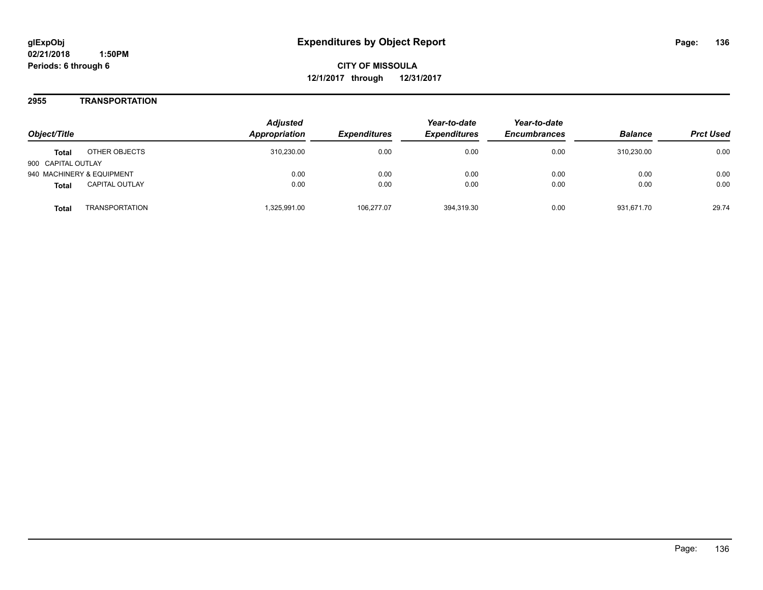**02/21/2018 1:50PM Periods: 6 through 6**

**CITY OF MISSOULA 12/1/2017 through 12/31/2017**

#### **2955 TRANSPORTATION**

| Object/Title              |                       | <b>Adjusted</b><br>Appropriation | <i><b>Expenditures</b></i> | Year-to-date<br><b>Expenditures</b> | Year-to-date<br><b>Encumbrances</b> | <b>Balance</b> | <b>Prct Used</b> |
|---------------------------|-----------------------|----------------------------------|----------------------------|-------------------------------------|-------------------------------------|----------------|------------------|
| <b>Total</b>              | OTHER OBJECTS         | 310.230.00                       | 0.00                       | 0.00                                | 0.00                                | 310.230.00     | 0.00             |
| 900 CAPITAL OUTLAY        |                       |                                  |                            |                                     |                                     |                |                  |
| 940 MACHINERY & EQUIPMENT |                       | 0.00                             | 0.00                       | 0.00                                | 0.00                                | 0.00           | 0.00             |
| <b>Total</b>              | <b>CAPITAL OUTLAY</b> | 0.00                             | 0.00                       | 0.00                                | 0.00                                | 0.00           | 0.00             |
| Total                     | <b>TRANSPORTATION</b> | ,325,991.00                      | 106.277.07                 | 394.319.30                          | 0.00                                | 931.671.70     | 29.74            |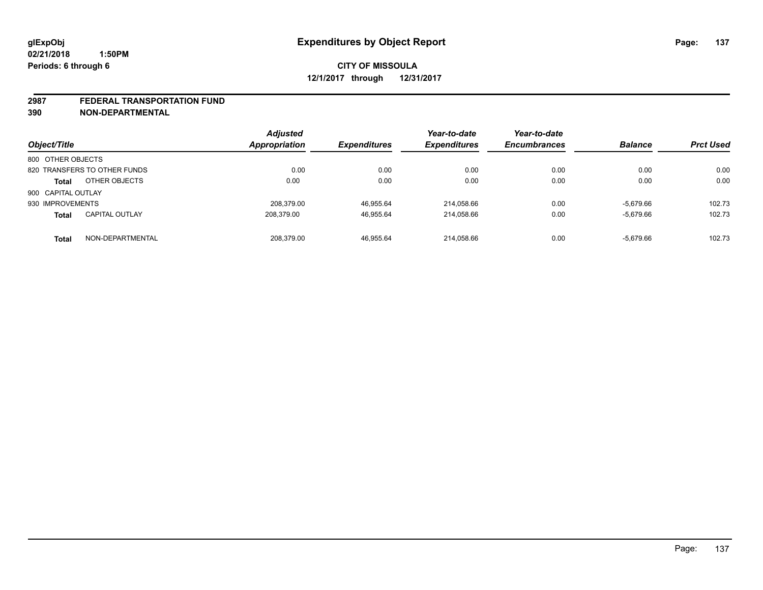#### **2987 FEDERAL TRANSPORTATION FUND**

**390 NON-DEPARTMENTAL**

| Object/Title                 |                       | <b>Adjusted</b><br>Appropriation | <b>Expenditures</b> | Year-to-date<br><b>Expenditures</b> | Year-to-date<br><b>Encumbrances</b> | <b>Balance</b> | <b>Prct Used</b> |
|------------------------------|-----------------------|----------------------------------|---------------------|-------------------------------------|-------------------------------------|----------------|------------------|
| 800 OTHER OBJECTS            |                       |                                  |                     |                                     |                                     |                |                  |
| 820 TRANSFERS TO OTHER FUNDS |                       | 0.00                             | 0.00                | 0.00                                | 0.00                                | 0.00           | 0.00             |
| <b>Total</b>                 | OTHER OBJECTS         | 0.00                             | 0.00                | 0.00                                | 0.00                                | 0.00           | 0.00             |
| 900 CAPITAL OUTLAY           |                       |                                  |                     |                                     |                                     |                |                  |
| 930 IMPROVEMENTS             |                       | 208.379.00                       | 46.955.64           | 214.058.66                          | 0.00                                | $-5,679.66$    | 102.73           |
| <b>Total</b>                 | <b>CAPITAL OUTLAY</b> | 208,379.00                       | 46,955.64           | 214,058.66                          | 0.00                                | $-5,679.66$    | 102.73           |
| <b>Total</b>                 | NON-DEPARTMENTAL      | 208.379.00                       | 46.955.64           | 214.058.66                          | 0.00                                | $-5,679.66$    | 102.73           |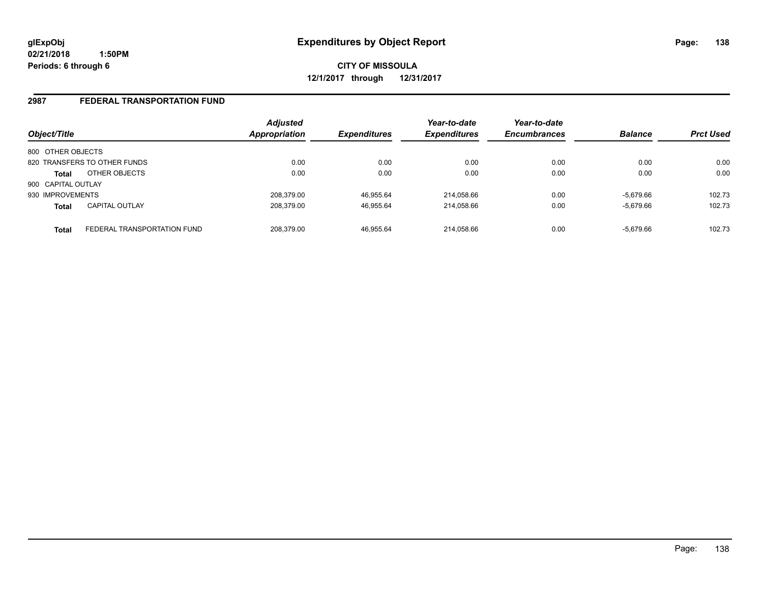#### **2987 FEDERAL TRANSPORTATION FUND**

| Object/Title       |                              | <b>Adjusted</b><br><b>Appropriation</b> | <b>Expenditures</b> | Year-to-date<br><b>Expenditures</b> | Year-to-date<br><b>Encumbrances</b> | <b>Balance</b> | <b>Prct Used</b> |
|--------------------|------------------------------|-----------------------------------------|---------------------|-------------------------------------|-------------------------------------|----------------|------------------|
| 800 OTHER OBJECTS  |                              |                                         |                     |                                     |                                     |                |                  |
|                    | 820 TRANSFERS TO OTHER FUNDS | 0.00                                    | 0.00                | 0.00                                | 0.00                                | 0.00           | 0.00             |
| <b>Total</b>       | OTHER OBJECTS                | 0.00                                    | 0.00                | 0.00                                | 0.00                                | 0.00           | 0.00             |
| 900 CAPITAL OUTLAY |                              |                                         |                     |                                     |                                     |                |                  |
| 930 IMPROVEMENTS   |                              | 208,379.00                              | 46,955.64           | 214.058.66                          | 0.00                                | $-5.679.66$    | 102.73           |
| <b>Total</b>       | <b>CAPITAL OUTLAY</b>        | 208,379.00                              | 46,955.64           | 214,058.66                          | 0.00                                | $-5,679.66$    | 102.73           |
| <b>Total</b>       | FEDERAL TRANSPORTATION FUND  | 208.379.00                              | 46.955.64           | 214.058.66                          | 0.00                                | $-5.679.66$    | 102.73           |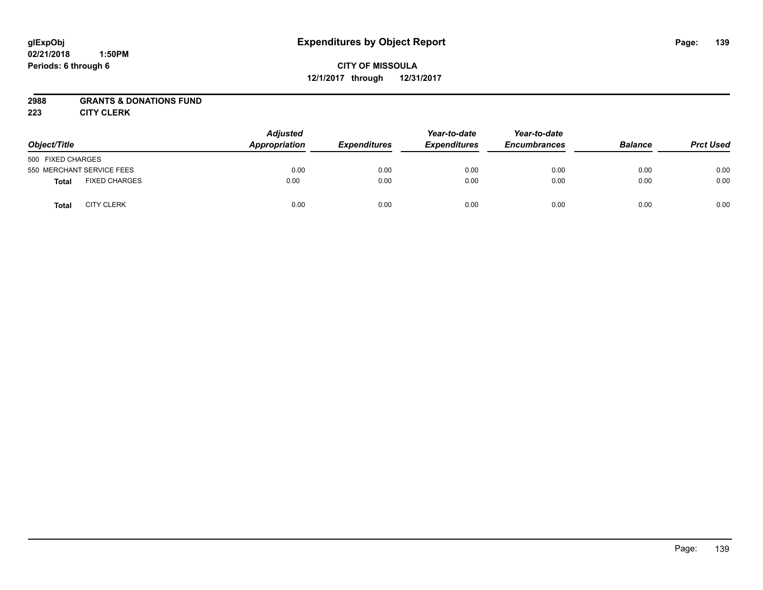#### **02/21/2018 1:50PM Periods: 6 through 6**

## **CITY OF MISSOULA 12/1/2017 through 12/31/2017**

#### **2988 GRANTS & DONATIONS FUND**

**223 CITY CLERK**

| Object/Title                         | <b>Adjusted</b><br>Appropriation | <b>Expenditures</b> | Year-to-date<br><b>Expenditures</b> | Year-to-date<br><b>Encumbrances</b> | <b>Balance</b> | <b>Prct Used</b> |
|--------------------------------------|----------------------------------|---------------------|-------------------------------------|-------------------------------------|----------------|------------------|
| 500 FIXED CHARGES                    |                                  |                     |                                     |                                     |                |                  |
| 550 MERCHANT SERVICE FEES            | 0.00                             | 0.00                | 0.00                                | 0.00                                | 0.00           | 0.00             |
| <b>FIXED CHARGES</b><br><b>Total</b> | 0.00                             | 0.00                | 0.00                                | 0.00                                | 0.00           | 0.00             |
| <b>CITY CLERK</b><br><b>Total</b>    | 0.00                             | 0.00                | 0.00                                | 0.00                                | 0.00           | 0.00             |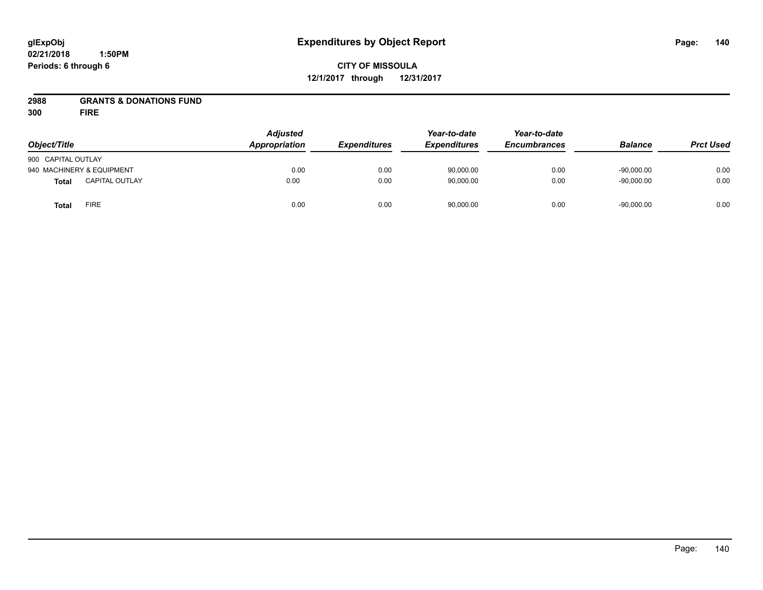#### **02/21/2018 1:50PM Periods: 6 through 6**

## **CITY OF MISSOULA 12/1/2017 through 12/31/2017**

#### **2988 GRANTS & DONATIONS FUND**

**300 FIRE**

| Object/Title       |                           | <b>Adjusted</b><br>Appropriation | <b>Expenditures</b> | Year-to-date<br><b>Expenditures</b> | Year-to-date<br><b>Encumbrances</b> | <b>Balance</b> | <b>Prct Used</b> |
|--------------------|---------------------------|----------------------------------|---------------------|-------------------------------------|-------------------------------------|----------------|------------------|
| 900 CAPITAL OUTLAY |                           |                                  |                     |                                     |                                     |                |                  |
|                    | 940 MACHINERY & EQUIPMENT | 0.00                             | 0.00                | 90,000.00                           | 0.00                                | $-90.000.00$   | 0.00             |
| <b>Total</b>       | <b>CAPITAL OUTLAY</b>     | 0.00                             | 0.00                | 90,000.00                           | 0.00                                | $-90,000.00$   | 0.00             |
| <b>Total</b>       | <b>FIRE</b>               | 0.00                             | 0.00                | 90,000.00                           | 0.00                                | $-90,000.00$   | 0.00             |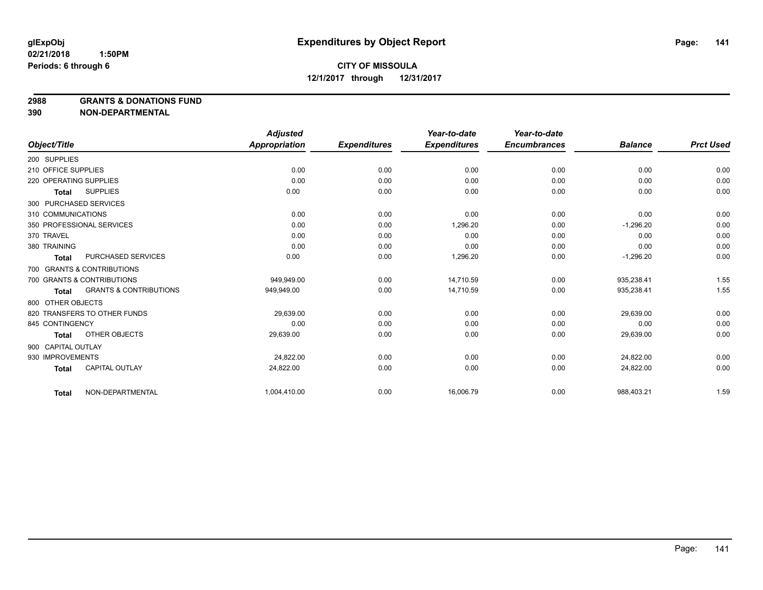**2988 GRANTS & DONATIONS FUND**

**390 NON-DEPARTMENTAL**

|                                                   | <b>Adjusted</b> |                     | Year-to-date        | Year-to-date        |                |                  |
|---------------------------------------------------|-----------------|---------------------|---------------------|---------------------|----------------|------------------|
| Object/Title                                      | Appropriation   | <b>Expenditures</b> | <b>Expenditures</b> | <b>Encumbrances</b> | <b>Balance</b> | <b>Prct Used</b> |
| 200 SUPPLIES                                      |                 |                     |                     |                     |                |                  |
| 210 OFFICE SUPPLIES                               | 0.00            | 0.00                | 0.00                | 0.00                | 0.00           | 0.00             |
| 220 OPERATING SUPPLIES                            | 0.00            | 0.00                | 0.00                | 0.00                | 0.00           | 0.00             |
| <b>SUPPLIES</b><br><b>Total</b>                   | 0.00            | 0.00                | 0.00                | 0.00                | 0.00           | 0.00             |
| 300 PURCHASED SERVICES                            |                 |                     |                     |                     |                |                  |
| 310 COMMUNICATIONS                                | 0.00            | 0.00                | 0.00                | 0.00                | 0.00           | 0.00             |
| 350 PROFESSIONAL SERVICES                         | 0.00            | 0.00                | 1,296.20            | 0.00                | $-1,296.20$    | 0.00             |
| 370 TRAVEL                                        | 0.00            | 0.00                | 0.00                | 0.00                | 0.00           | 0.00             |
| 380 TRAINING                                      | 0.00            | 0.00                | 0.00                | 0.00                | 0.00           | 0.00             |
| <b>PURCHASED SERVICES</b><br><b>Total</b>         | 0.00            | 0.00                | 1,296.20            | 0.00                | $-1,296.20$    | 0.00             |
| 700 GRANTS & CONTRIBUTIONS                        |                 |                     |                     |                     |                |                  |
| 700 GRANTS & CONTRIBUTIONS                        | 949.949.00      | 0.00                | 14,710.59           | 0.00                | 935,238.41     | 1.55             |
| <b>GRANTS &amp; CONTRIBUTIONS</b><br><b>Total</b> | 949,949.00      | 0.00                | 14,710.59           | 0.00                | 935,238.41     | 1.55             |
| 800 OTHER OBJECTS                                 |                 |                     |                     |                     |                |                  |
| 820 TRANSFERS TO OTHER FUNDS                      | 29,639.00       | 0.00                | 0.00                | 0.00                | 29,639.00      | 0.00             |
| 845 CONTINGENCY                                   | 0.00            | 0.00                | 0.00                | 0.00                | 0.00           | 0.00             |
| OTHER OBJECTS<br><b>Total</b>                     | 29,639.00       | 0.00                | 0.00                | 0.00                | 29,639.00      | 0.00             |
| 900 CAPITAL OUTLAY                                |                 |                     |                     |                     |                |                  |
| 930 IMPROVEMENTS                                  | 24,822.00       | 0.00                | 0.00                | 0.00                | 24,822.00      | 0.00             |
| <b>CAPITAL OUTLAY</b><br><b>Total</b>             | 24,822.00       | 0.00                | 0.00                | 0.00                | 24,822.00      | 0.00             |
| NON-DEPARTMENTAL<br><b>Total</b>                  | 1,004,410.00    | 0.00                | 16,006.79           | 0.00                | 988,403.21     | 1.59             |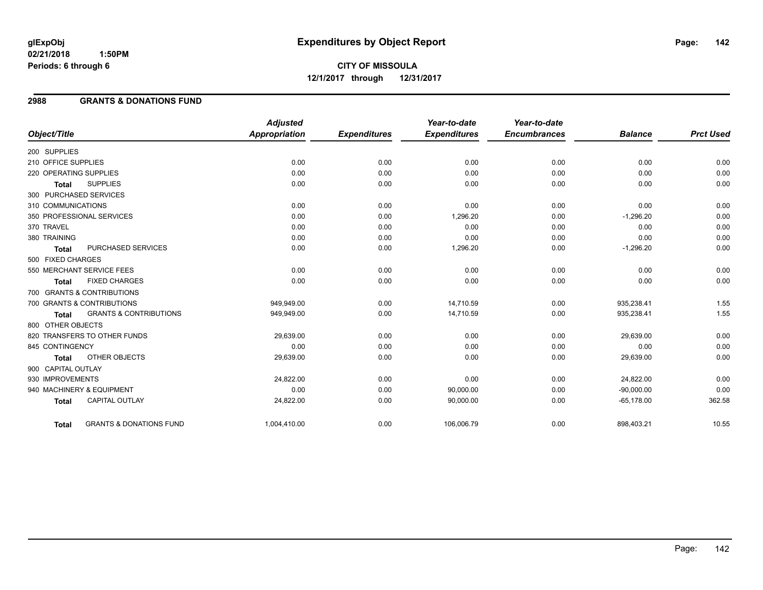#### **02/21/2018 1:50PM Periods: 6 through 6**

## **CITY OF MISSOULA 12/1/2017 through 12/31/2017**

#### **2988 GRANTS & DONATIONS FUND**

|                        |                                    | <b>Adjusted</b> |                     | Year-to-date        | Year-to-date        |                |                  |
|------------------------|------------------------------------|-----------------|---------------------|---------------------|---------------------|----------------|------------------|
| Object/Title           |                                    | Appropriation   | <b>Expenditures</b> | <b>Expenditures</b> | <b>Encumbrances</b> | <b>Balance</b> | <b>Prct Used</b> |
| 200 SUPPLIES           |                                    |                 |                     |                     |                     |                |                  |
| 210 OFFICE SUPPLIES    |                                    | 0.00            | 0.00                | 0.00                | 0.00                | 0.00           | 0.00             |
| 220 OPERATING SUPPLIES |                                    | 0.00            | 0.00                | 0.00                | 0.00                | 0.00           | 0.00             |
| <b>Total</b>           | <b>SUPPLIES</b>                    | 0.00            | 0.00                | 0.00                | 0.00                | 0.00           | 0.00             |
|                        | 300 PURCHASED SERVICES             |                 |                     |                     |                     |                |                  |
| 310 COMMUNICATIONS     |                                    | 0.00            | 0.00                | 0.00                | 0.00                | 0.00           | 0.00             |
|                        | 350 PROFESSIONAL SERVICES          | 0.00            | 0.00                | 1,296.20            | 0.00                | $-1,296.20$    | 0.00             |
| 370 TRAVEL             |                                    | 0.00            | 0.00                | 0.00                | 0.00                | 0.00           | 0.00             |
| 380 TRAINING           |                                    | 0.00            | 0.00                | 0.00                | 0.00                | 0.00           | 0.00             |
| <b>Total</b>           | PURCHASED SERVICES                 | 0.00            | 0.00                | 1,296.20            | 0.00                | $-1,296.20$    | 0.00             |
| 500 FIXED CHARGES      |                                    |                 |                     |                     |                     |                |                  |
|                        | 550 MERCHANT SERVICE FEES          | 0.00            | 0.00                | 0.00                | 0.00                | 0.00           | 0.00             |
| <b>Total</b>           | <b>FIXED CHARGES</b>               | 0.00            | 0.00                | 0.00                | 0.00                | 0.00           | 0.00             |
|                        | 700 GRANTS & CONTRIBUTIONS         |                 |                     |                     |                     |                |                  |
|                        | 700 GRANTS & CONTRIBUTIONS         | 949,949.00      | 0.00                | 14,710.59           | 0.00                | 935,238.41     | 1.55             |
| <b>Total</b>           | <b>GRANTS &amp; CONTRIBUTIONS</b>  | 949,949.00      | 0.00                | 14,710.59           | 0.00                | 935,238.41     | 1.55             |
| 800 OTHER OBJECTS      |                                    |                 |                     |                     |                     |                |                  |
|                        | 820 TRANSFERS TO OTHER FUNDS       | 29,639.00       | 0.00                | 0.00                | 0.00                | 29,639.00      | 0.00             |
| 845 CONTINGENCY        |                                    | 0.00            | 0.00                | 0.00                | 0.00                | 0.00           | 0.00             |
| <b>Total</b>           | OTHER OBJECTS                      | 29,639.00       | 0.00                | 0.00                | 0.00                | 29,639.00      | 0.00             |
| 900 CAPITAL OUTLAY     |                                    |                 |                     |                     |                     |                |                  |
| 930 IMPROVEMENTS       |                                    | 24,822.00       | 0.00                | 0.00                | 0.00                | 24,822.00      | 0.00             |
|                        | 940 MACHINERY & EQUIPMENT          | 0.00            | 0.00                | 90,000.00           | 0.00                | $-90,000.00$   | 0.00             |
| <b>Total</b>           | <b>CAPITAL OUTLAY</b>              | 24,822.00       | 0.00                | 90,000.00           | 0.00                | $-65,178.00$   | 362.58           |
| <b>Total</b>           | <b>GRANTS &amp; DONATIONS FUND</b> | 1,004,410.00    | 0.00                | 106,006.79          | 0.00                | 898,403.21     | 10.55            |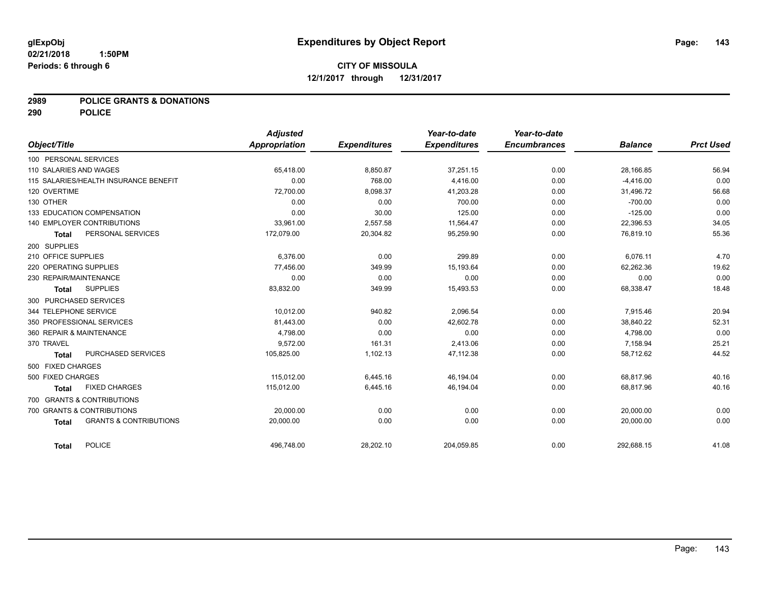#### **2989 POLICE GRANTS & DONATIONS**

**290 POLICE**

|                                                   | <b>Adjusted</b> |                     | Year-to-date        | Year-to-date        |                |                  |
|---------------------------------------------------|-----------------|---------------------|---------------------|---------------------|----------------|------------------|
| Object/Title                                      | Appropriation   | <b>Expenditures</b> | <b>Expenditures</b> | <b>Encumbrances</b> | <b>Balance</b> | <b>Prct Used</b> |
| 100 PERSONAL SERVICES                             |                 |                     |                     |                     |                |                  |
| 110 SALARIES AND WAGES                            | 65.418.00       | 8,850.87            | 37.251.15           | 0.00                | 28,166.85      | 56.94            |
| 115 SALARIES/HEALTH INSURANCE BENEFIT             | 0.00            | 768.00              | 4.416.00            | 0.00                | $-4,416.00$    | 0.00             |
| 120 OVERTIME                                      | 72,700.00       | 8,098.37            | 41,203.28           | 0.00                | 31,496.72      | 56.68            |
| 130 OTHER                                         | 0.00            | 0.00                | 700.00              | 0.00                | $-700.00$      | 0.00             |
| 133 EDUCATION COMPENSATION                        | 0.00            | 30.00               | 125.00              | 0.00                | $-125.00$      | 0.00             |
| 140 EMPLOYER CONTRIBUTIONS                        | 33,961.00       | 2,557.58            | 11,564.47           | 0.00                | 22,396.53      | 34.05            |
| PERSONAL SERVICES<br><b>Total</b>                 | 172,079.00      | 20,304.82           | 95,259.90           | 0.00                | 76,819.10      | 55.36            |
| 200 SUPPLIES                                      |                 |                     |                     |                     |                |                  |
| 210 OFFICE SUPPLIES                               | 6.376.00        | 0.00                | 299.89              | 0.00                | 6,076.11       | 4.70             |
| 220 OPERATING SUPPLIES                            | 77.456.00       | 349.99              | 15,193.64           | 0.00                | 62,262.36      | 19.62            |
| 230 REPAIR/MAINTENANCE                            | 0.00            | 0.00                | 0.00                | 0.00                | 0.00           | 0.00             |
| <b>SUPPLIES</b><br><b>Total</b>                   | 83,832.00       | 349.99              | 15,493.53           | 0.00                | 68,338.47      | 18.48            |
| 300 PURCHASED SERVICES                            |                 |                     |                     |                     |                |                  |
| 344 TELEPHONE SERVICE                             | 10,012.00       | 940.82              | 2,096.54            | 0.00                | 7,915.46       | 20.94            |
| 350 PROFESSIONAL SERVICES                         | 81,443.00       | 0.00                | 42,602.78           | 0.00                | 38,840.22      | 52.31            |
| 360 REPAIR & MAINTENANCE                          | 4,798.00        | 0.00                | 0.00                | 0.00                | 4,798.00       | 0.00             |
| 370 TRAVEL                                        | 9.572.00        | 161.31              | 2.413.06            | 0.00                | 7.158.94       | 25.21            |
| PURCHASED SERVICES<br><b>Total</b>                | 105,825.00      | 1,102.13            | 47.112.38           | 0.00                | 58,712.62      | 44.52            |
| 500 FIXED CHARGES                                 |                 |                     |                     |                     |                |                  |
| 500 FIXED CHARGES                                 | 115,012.00      | 6,445.16            | 46,194.04           | 0.00                | 68,817.96      | 40.16            |
| <b>FIXED CHARGES</b><br><b>Total</b>              | 115,012.00      | 6,445.16            | 46,194.04           | 0.00                | 68,817.96      | 40.16            |
| 700 GRANTS & CONTRIBUTIONS                        |                 |                     |                     |                     |                |                  |
| 700 GRANTS & CONTRIBUTIONS                        | 20,000.00       | 0.00                | 0.00                | 0.00                | 20,000.00      | 0.00             |
| <b>GRANTS &amp; CONTRIBUTIONS</b><br><b>Total</b> | 20,000.00       | 0.00                | 0.00                | 0.00                | 20,000.00      | 0.00             |
|                                                   |                 |                     |                     |                     |                |                  |
| <b>POLICE</b><br><b>Total</b>                     | 496,748.00      | 28,202.10           | 204,059.85          | 0.00                | 292,688.15     | 41.08            |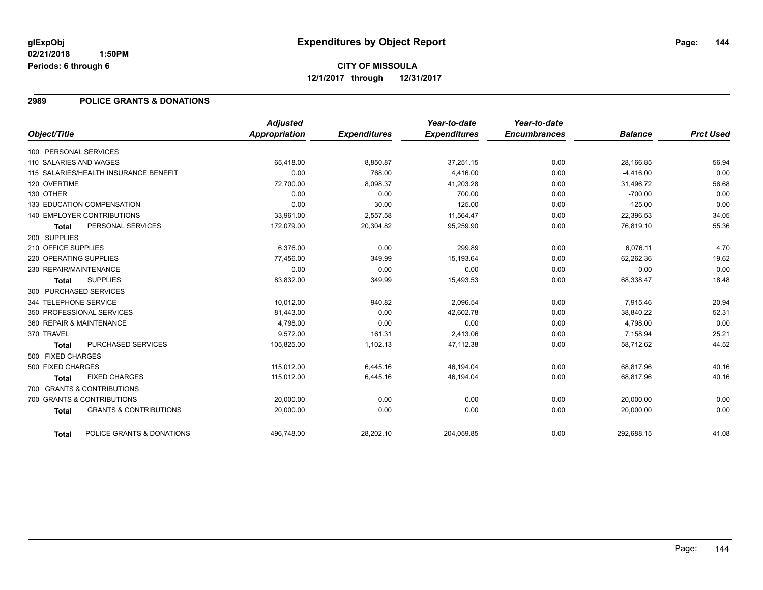#### **2989 POLICE GRANTS & DONATIONS**

|                                                   | <b>Adjusted</b>      |                     | Year-to-date        | Year-to-date        |                |                  |
|---------------------------------------------------|----------------------|---------------------|---------------------|---------------------|----------------|------------------|
| Object/Title                                      | <b>Appropriation</b> | <b>Expenditures</b> | <b>Expenditures</b> | <b>Encumbrances</b> | <b>Balance</b> | <b>Prct Used</b> |
| 100 PERSONAL SERVICES                             |                      |                     |                     |                     |                |                  |
| 110 SALARIES AND WAGES                            | 65.418.00            | 8,850.87            | 37,251.15           | 0.00                | 28,166.85      | 56.94            |
| 115 SALARIES/HEALTH INSURANCE BENEFIT             | 0.00                 | 768.00              | 4,416.00            | 0.00                | $-4,416.00$    | 0.00             |
| 120 OVERTIME                                      | 72,700.00            | 8.098.37            | 41,203.28           | 0.00                | 31,496.72      | 56.68            |
| 130 OTHER                                         | 0.00                 | 0.00                | 700.00              | 0.00                | $-700.00$      | 0.00             |
| 133 EDUCATION COMPENSATION                        | 0.00                 | 30.00               | 125.00              | 0.00                | $-125.00$      | 0.00             |
| <b>140 EMPLOYER CONTRIBUTIONS</b>                 | 33,961.00            | 2,557.58            | 11,564.47           | 0.00                | 22,396.53      | 34.05            |
| PERSONAL SERVICES<br><b>Total</b>                 | 172,079.00           | 20,304.82           | 95,259.90           | 0.00                | 76,819.10      | 55.36            |
| 200 SUPPLIES                                      |                      |                     |                     |                     |                |                  |
| 210 OFFICE SUPPLIES                               | 6,376.00             | 0.00                | 299.89              | 0.00                | 6,076.11       | 4.70             |
| 220 OPERATING SUPPLIES                            | 77,456.00            | 349.99              | 15,193.64           | 0.00                | 62,262.36      | 19.62            |
| 230 REPAIR/MAINTENANCE                            | 0.00                 | 0.00                | 0.00                | 0.00                | 0.00           | 0.00             |
| <b>SUPPLIES</b><br>Total                          | 83,832.00            | 349.99              | 15,493.53           | 0.00                | 68,338.47      | 18.48            |
| 300 PURCHASED SERVICES                            |                      |                     |                     |                     |                |                  |
| 344 TELEPHONE SERVICE                             | 10,012.00            | 940.82              | 2,096.54            | 0.00                | 7,915.46       | 20.94            |
| 350 PROFESSIONAL SERVICES                         | 81,443.00            | 0.00                | 42,602.78           | 0.00                | 38,840.22      | 52.31            |
| 360 REPAIR & MAINTENANCE                          | 4,798.00             | 0.00                | 0.00                | 0.00                | 4,798.00       | 0.00             |
| 370 TRAVEL                                        | 9,572.00             | 161.31              | 2,413.06            | 0.00                | 7,158.94       | 25.21            |
| PURCHASED SERVICES<br><b>Total</b>                | 105,825.00           | 1,102.13            | 47,112.38           | 0.00                | 58,712.62      | 44.52            |
| 500 FIXED CHARGES                                 |                      |                     |                     |                     |                |                  |
| 500 FIXED CHARGES                                 | 115,012.00           | 6,445.16            | 46,194.04           | 0.00                | 68,817.96      | 40.16            |
| <b>FIXED CHARGES</b><br><b>Total</b>              | 115,012.00           | 6,445.16            | 46,194.04           | 0.00                | 68,817.96      | 40.16            |
| 700 GRANTS & CONTRIBUTIONS                        |                      |                     |                     |                     |                |                  |
| 700 GRANTS & CONTRIBUTIONS                        | 20,000.00            | 0.00                | 0.00                | 0.00                | 20,000.00      | 0.00             |
| <b>GRANTS &amp; CONTRIBUTIONS</b><br><b>Total</b> | 20,000.00            | 0.00                | 0.00                | 0.00                | 20,000.00      | 0.00             |
| POLICE GRANTS & DONATIONS<br><b>Total</b>         | 496,748.00           | 28,202.10           | 204,059.85          | 0.00                | 292,688.15     | 41.08            |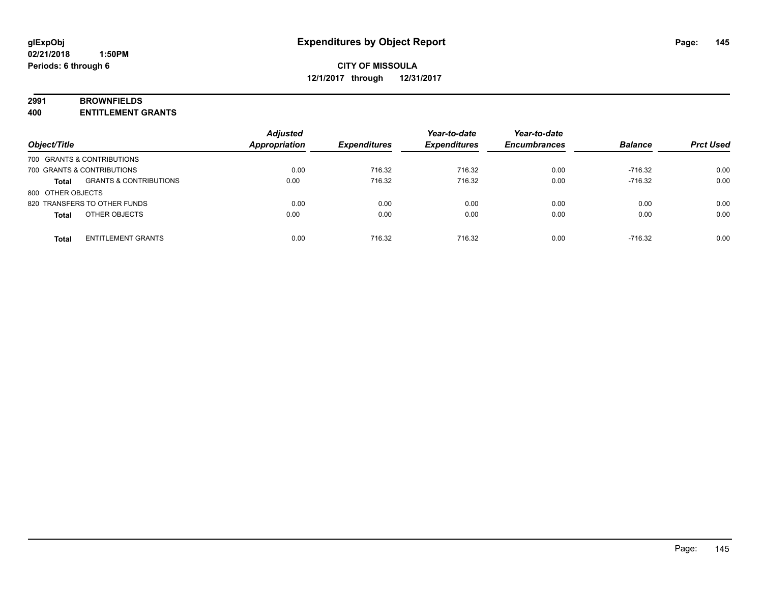#### **2991 BROWNFIELDS**

**400 ENTITLEMENT GRANTS**

| Object/Title                 |                                   | <b>Adjusted</b><br>Appropriation | <b>Expenditures</b> | Year-to-date<br><b>Expenditures</b> | Year-to-date<br><b>Encumbrances</b> | <b>Balance</b> | <b>Prct Used</b> |
|------------------------------|-----------------------------------|----------------------------------|---------------------|-------------------------------------|-------------------------------------|----------------|------------------|
| 700 GRANTS & CONTRIBUTIONS   |                                   |                                  |                     |                                     |                                     |                |                  |
| 700 GRANTS & CONTRIBUTIONS   |                                   | 0.00                             | 716.32              | 716.32                              | 0.00                                | $-716.32$      | 0.00             |
| <b>Total</b>                 | <b>GRANTS &amp; CONTRIBUTIONS</b> | 0.00                             | 716.32              | 716.32                              | 0.00                                | $-716.32$      | 0.00             |
| 800 OTHER OBJECTS            |                                   |                                  |                     |                                     |                                     |                |                  |
| 820 TRANSFERS TO OTHER FUNDS |                                   | 0.00                             | 0.00                | 0.00                                | 0.00                                | 0.00           | 0.00             |
| <b>Total</b>                 | OTHER OBJECTS                     | 0.00                             | 0.00                | 0.00                                | 0.00                                | 0.00           | 0.00             |
| <b>Total</b>                 | <b>ENTITLEMENT GRANTS</b>         | 0.00                             | 716.32              | 716.32                              | 0.00                                | $-716.32$      | 0.00             |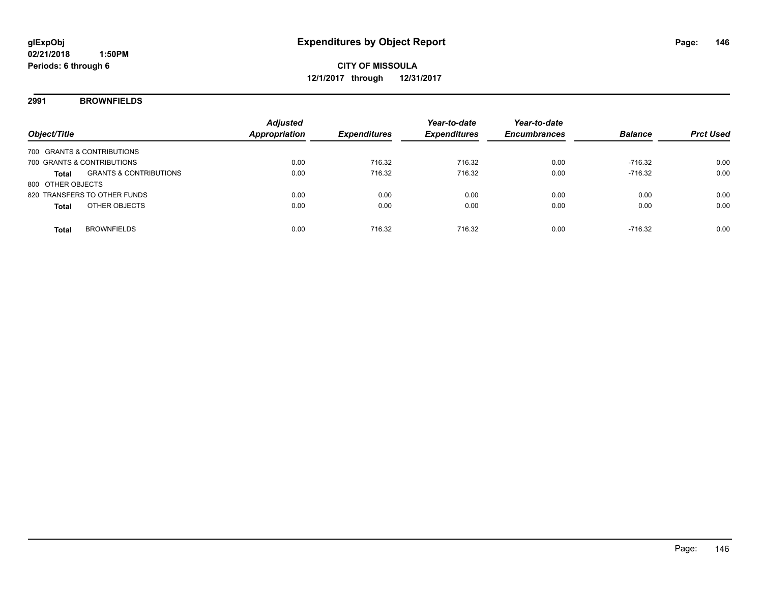## **2991 BROWNFIELDS**

| Object/Title      |                                   | <b>Adjusted</b><br><b>Appropriation</b> | <b>Expenditures</b> | Year-to-date<br><b>Expenditures</b> | Year-to-date<br><b>Encumbrances</b> | <b>Balance</b> | <b>Prct Used</b> |
|-------------------|-----------------------------------|-----------------------------------------|---------------------|-------------------------------------|-------------------------------------|----------------|------------------|
|                   | 700 GRANTS & CONTRIBUTIONS        |                                         |                     |                                     |                                     |                |                  |
|                   | 700 GRANTS & CONTRIBUTIONS        | 0.00                                    | 716.32              | 716.32                              | 0.00                                | $-716.32$      | 0.00             |
| Total             | <b>GRANTS &amp; CONTRIBUTIONS</b> | 0.00                                    | 716.32              | 716.32                              | 0.00                                | $-716.32$      | 0.00             |
| 800 OTHER OBJECTS |                                   |                                         |                     |                                     |                                     |                |                  |
|                   | 820 TRANSFERS TO OTHER FUNDS      | 0.00                                    | 0.00                | 0.00                                | 0.00                                | 0.00           | 0.00             |
| <b>Total</b>      | OTHER OBJECTS                     | 0.00                                    | 0.00                | 0.00                                | 0.00                                | 0.00           | 0.00             |
| <b>Total</b>      | <b>BROWNFIELDS</b>                | 0.00                                    | 716.32              | 716.32                              | 0.00                                | $-716.32$      | 0.00             |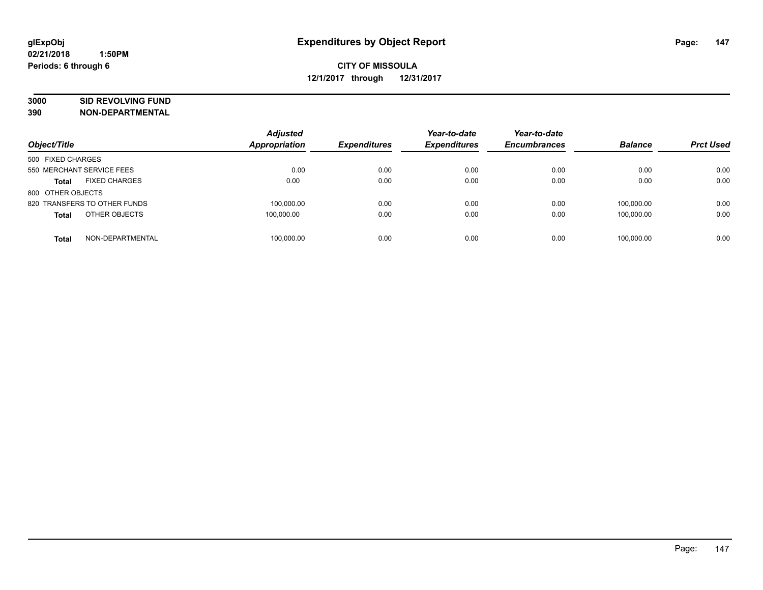# **3000 SID REVOLVING FUND**

| Object/Title                         | <b>Adjusted</b><br><b>Appropriation</b> | <b>Expenditures</b> | Year-to-date<br><b>Expenditures</b> | Year-to-date<br><b>Encumbrances</b> | <b>Balance</b> | <b>Prct Used</b> |
|--------------------------------------|-----------------------------------------|---------------------|-------------------------------------|-------------------------------------|----------------|------------------|
| 500 FIXED CHARGES                    |                                         |                     |                                     |                                     |                |                  |
| 550 MERCHANT SERVICE FEES            | 0.00                                    | 0.00                | 0.00                                | 0.00                                | 0.00           | 0.00             |
| <b>FIXED CHARGES</b><br><b>Total</b> | 0.00                                    | 0.00                | 0.00                                | 0.00                                | 0.00           | 0.00             |
| 800 OTHER OBJECTS                    |                                         |                     |                                     |                                     |                |                  |
| 820 TRANSFERS TO OTHER FUNDS         | 100,000.00                              | 0.00                | 0.00                                | 0.00                                | 100.000.00     | 0.00             |
| OTHER OBJECTS<br><b>Total</b>        | 100.000.00                              | 0.00                | 0.00                                | 0.00                                | 100.000.00     | 0.00             |
| NON-DEPARTMENTAL<br><b>Total</b>     | 100,000.00                              | 0.00                | 0.00                                | 0.00                                | 100.000.00     | 0.00             |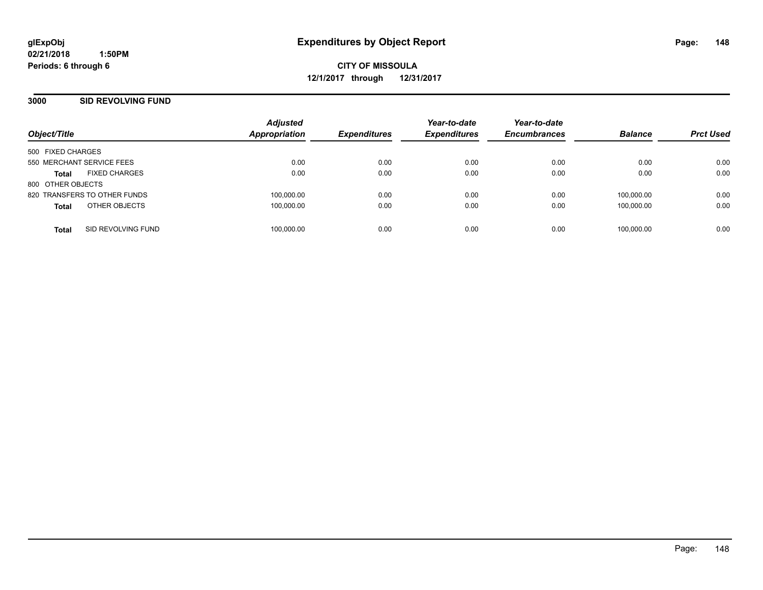#### **3000 SID REVOLVING FUND**

|                           |                              | <b>Adjusted</b>      |                     | Year-to-date        | Year-to-date        |                |                  |
|---------------------------|------------------------------|----------------------|---------------------|---------------------|---------------------|----------------|------------------|
| Object/Title              |                              | <b>Appropriation</b> | <b>Expenditures</b> | <b>Expenditures</b> | <b>Encumbrances</b> | <b>Balance</b> | <b>Prct Used</b> |
| 500 FIXED CHARGES         |                              |                      |                     |                     |                     |                |                  |
| 550 MERCHANT SERVICE FEES |                              | 0.00                 | 0.00                | 0.00                | 0.00                | 0.00           | 0.00             |
| Total                     | <b>FIXED CHARGES</b>         | 0.00                 | 0.00                | 0.00                | 0.00                | 0.00           | 0.00             |
| 800 OTHER OBJECTS         |                              |                      |                     |                     |                     |                |                  |
|                           | 820 TRANSFERS TO OTHER FUNDS | 100,000.00           | 0.00                | 0.00                | 0.00                | 100,000.00     | 0.00             |
| <b>Total</b>              | OTHER OBJECTS                | 100,000.00           | 0.00                | 0.00                | 0.00                | 100,000.00     | 0.00             |
|                           |                              |                      |                     |                     |                     |                |                  |
| <b>Total</b>              | SID REVOLVING FUND           | 100,000.00           | 0.00                | 0.00                | 0.00                | 100,000.00     | 0.00             |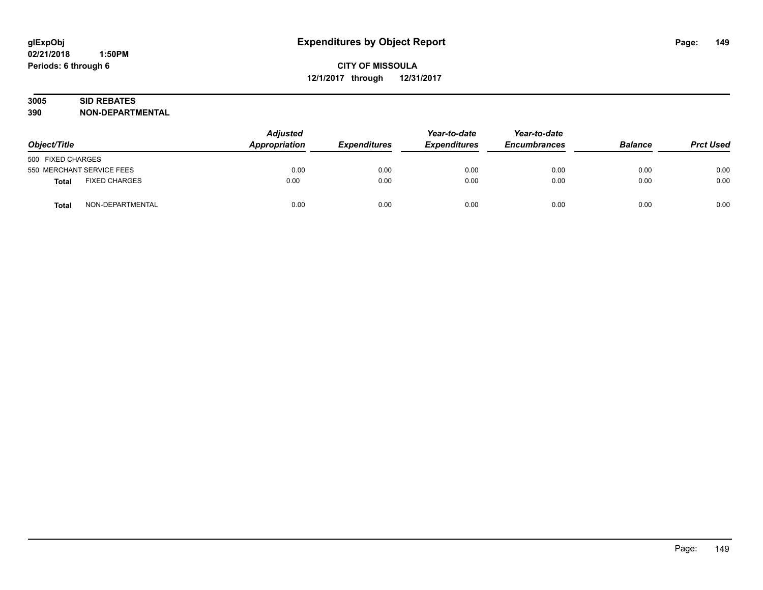# **3005 SID REBATES**

| Object/Title                     | <b>Adjusted</b><br>Appropriation | <b>Expenditures</b> | Year-to-date<br><b>Expenditures</b> | Year-to-date<br><b>Encumbrances</b> | <b>Balance</b> | <b>Prct Used</b> |
|----------------------------------|----------------------------------|---------------------|-------------------------------------|-------------------------------------|----------------|------------------|
| 500 FIXED CHARGES                |                                  |                     |                                     |                                     |                |                  |
| 550 MERCHANT SERVICE FEES        | 0.00                             | 0.00                | 0.00                                | 0.00                                | 0.00           | 0.00             |
| <b>FIXED CHARGES</b><br>Total    | 0.00                             | 0.00                | 0.00                                | 0.00                                | 0.00           | 0.00             |
| NON-DEPARTMENTAL<br><b>Total</b> | 0.00                             | 0.00                | 0.00                                | 0.00                                | 0.00           | 0.00             |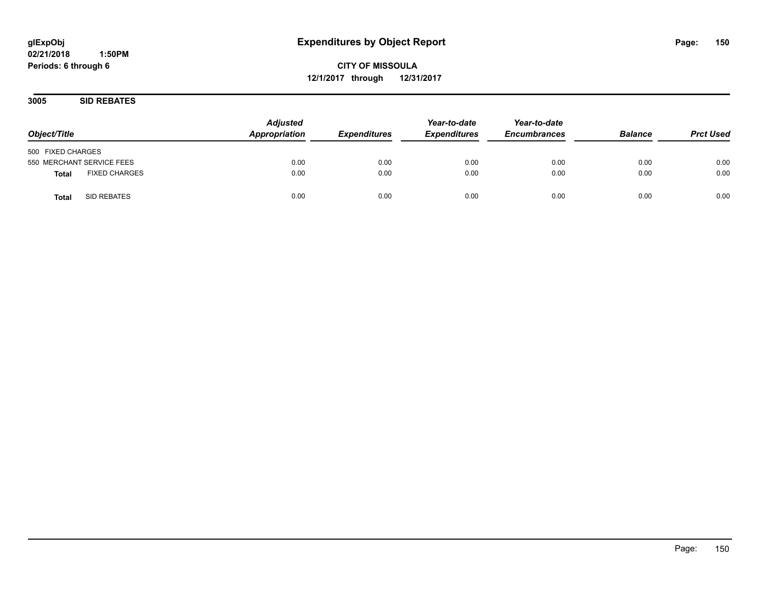**CITY OF MISSOULA 12/1/2017 through 12/31/2017**

**3005 SID REBATES**

| Object/Title                         | <b>Adjusted</b><br>Appropriation | <b>Expenditures</b> | Year-to-date<br><b>Expenditures</b> | Year-to-date<br><b>Encumbrances</b> | <b>Balance</b> | <b>Prct Used</b> |
|--------------------------------------|----------------------------------|---------------------|-------------------------------------|-------------------------------------|----------------|------------------|
| 500 FIXED CHARGES                    |                                  |                     |                                     |                                     |                |                  |
| 550 MERCHANT SERVICE FEES            | 0.00                             | 0.00                | 0.00                                | 0.00                                | 0.00           | 0.00             |
| <b>FIXED CHARGES</b><br><b>Total</b> | 0.00                             | 0.00                | 0.00                                | 0.00                                | 0.00           | 0.00             |
| SID REBATES<br><b>Total</b>          | 0.00                             | 0.00                | 0.00                                | 0.00                                | 0.00           | 0.00             |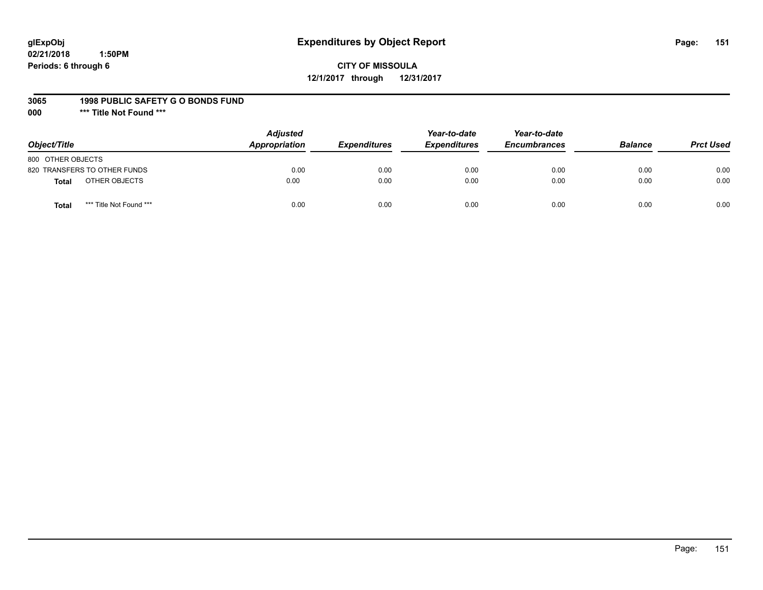# **glExpObj Expenditures by Object Report Page: 151**

# **CITY OF MISSOULA 12/1/2017 through 12/31/2017**

#### **3065 1998 PUBLIC SAFETY G O BONDS FUND**

**000 \*\*\* Title Not Found \*\*\***

| Object/Title                            | <b>Adjusted</b><br>Appropriation | <b>Expenditures</b> | Year-to-date<br><b>Expenditures</b> | Year-to-date<br><b>Encumbrances</b> | <b>Balance</b> | <b>Prct Used</b> |
|-----------------------------------------|----------------------------------|---------------------|-------------------------------------|-------------------------------------|----------------|------------------|
| 800 OTHER OBJECTS                       |                                  |                     |                                     |                                     |                |                  |
| 820 TRANSFERS TO OTHER FUNDS            | 0.00                             | 0.00                | 0.00                                | 0.00                                | 0.00           | 0.00             |
| OTHER OBJECTS<br>Total                  | 0.00                             | 0.00                | 0.00                                | 0.00                                | 0.00           | 0.00             |
| *** Title Not Found ***<br><b>Total</b> | 0.00                             | 0.00                | 0.00                                | 0.00                                | 0.00           | 0.00             |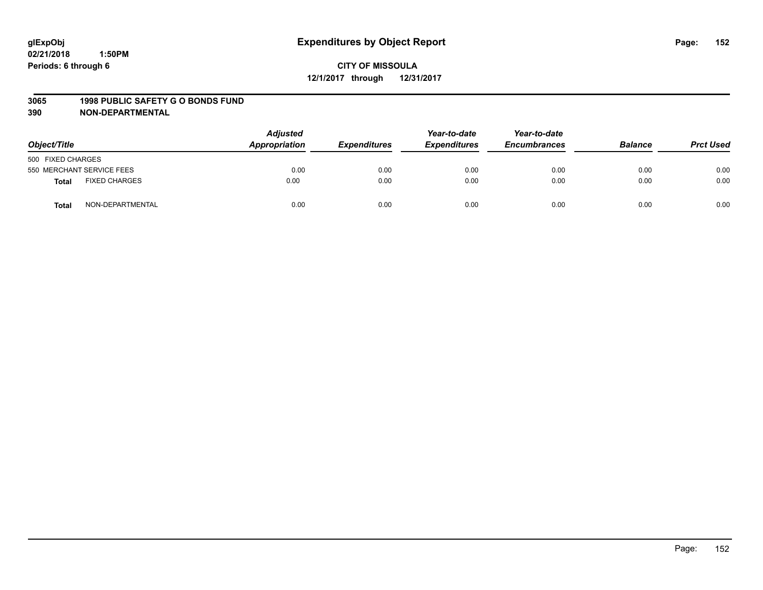#### **3065 1998 PUBLIC SAFETY G O BONDS FUND**

| Object/Title                  | <b>Adjusted</b><br>Appropriation | <b>Expenditures</b> | Year-to-date<br><b>Expenditures</b> | Year-to-date<br><b>Encumbrances</b> | <b>Balance</b> | <b>Prct Used</b> |
|-------------------------------|----------------------------------|---------------------|-------------------------------------|-------------------------------------|----------------|------------------|
| 500 FIXED CHARGES             |                                  |                     |                                     |                                     |                |                  |
| 550 MERCHANT SERVICE FEES     | 0.00                             | 0.00                | 0.00                                | 0.00                                | 0.00           | 0.00             |
| <b>FIXED CHARGES</b><br>Total | 0.00                             | 0.00                | 0.00                                | 0.00                                | 0.00           | 0.00             |
| NON-DEPARTMENTAL<br>Total     | 0.00                             | 0.00                | 0.00                                | 0.00                                | 0.00           | 0.00             |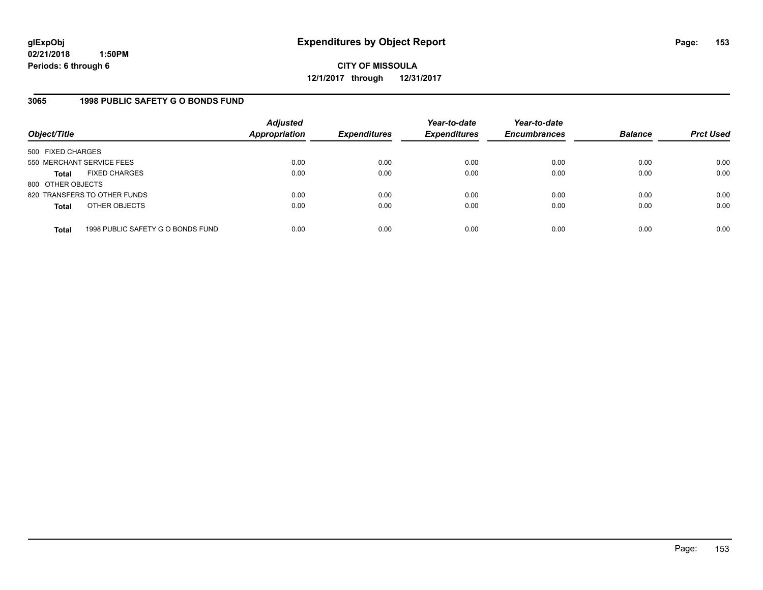**CITY OF MISSOULA 12/1/2017 through 12/31/2017**

## **3065 1998 PUBLIC SAFETY G O BONDS FUND**

| Object/Title              |                                   | <b>Adjusted</b><br><b>Appropriation</b> | <b>Expenditures</b> | Year-to-date<br><b>Expenditures</b> | Year-to-date<br><b>Encumbrances</b> | <b>Balance</b> | <b>Prct Used</b> |
|---------------------------|-----------------------------------|-----------------------------------------|---------------------|-------------------------------------|-------------------------------------|----------------|------------------|
| 500 FIXED CHARGES         |                                   |                                         |                     |                                     |                                     |                |                  |
| 550 MERCHANT SERVICE FEES |                                   | 0.00                                    | 0.00                | 0.00                                | 0.00                                | 0.00           | 0.00             |
| <b>Total</b>              | <b>FIXED CHARGES</b>              | 0.00                                    | 0.00                | 0.00                                | 0.00                                | 0.00           | 0.00             |
| 800 OTHER OBJECTS         |                                   |                                         |                     |                                     |                                     |                |                  |
|                           | 820 TRANSFERS TO OTHER FUNDS      | 0.00                                    | 0.00                | 0.00                                | 0.00                                | 0.00           | 0.00             |
| <b>Total</b>              | OTHER OBJECTS                     | 0.00                                    | 0.00                | 0.00                                | 0.00                                | 0.00           | 0.00             |
| <b>Total</b>              | 1998 PUBLIC SAFETY G O BONDS FUND | 0.00                                    | 0.00                | 0.00                                | 0.00                                | 0.00           | 0.00             |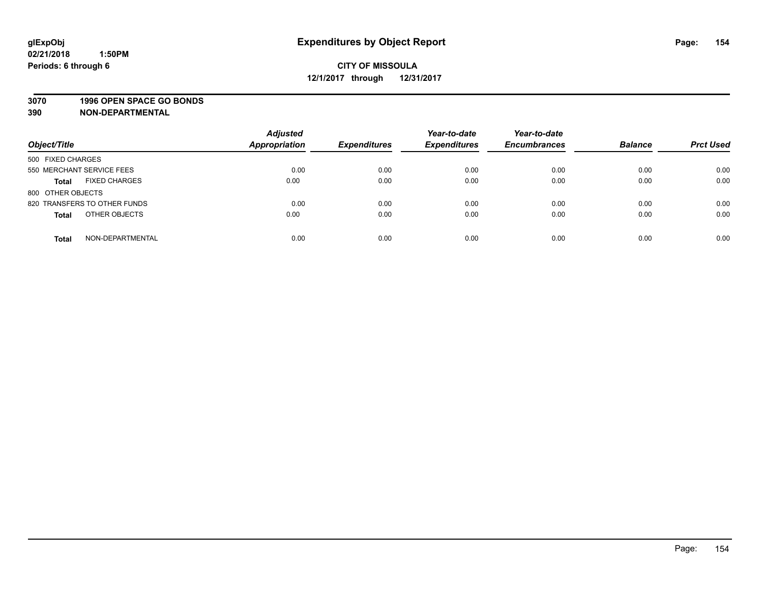## **3070 1996 OPEN SPACE GO BONDS**

| Object/Title                         | <b>Adjusted</b><br><b>Appropriation</b> | <b>Expenditures</b> | Year-to-date<br><b>Expenditures</b> | Year-to-date<br><b>Encumbrances</b> | <b>Balance</b> | <b>Prct Used</b> |
|--------------------------------------|-----------------------------------------|---------------------|-------------------------------------|-------------------------------------|----------------|------------------|
| 500 FIXED CHARGES                    |                                         |                     |                                     |                                     |                |                  |
| 550 MERCHANT SERVICE FEES            | 0.00                                    | 0.00                | 0.00                                | 0.00                                | 0.00           | 0.00             |
| <b>FIXED CHARGES</b><br><b>Total</b> | 0.00                                    | 0.00                | 0.00                                | 0.00                                | 0.00           | 0.00             |
| 800 OTHER OBJECTS                    |                                         |                     |                                     |                                     |                |                  |
| 820 TRANSFERS TO OTHER FUNDS         | 0.00                                    | 0.00                | 0.00                                | 0.00                                | 0.00           | 0.00             |
| OTHER OBJECTS<br><b>Total</b>        | 0.00                                    | 0.00                | 0.00                                | 0.00                                | 0.00           | 0.00             |
| NON-DEPARTMENTAL<br><b>Total</b>     | 0.00                                    | 0.00                | 0.00                                | 0.00                                | 0.00           | 0.00             |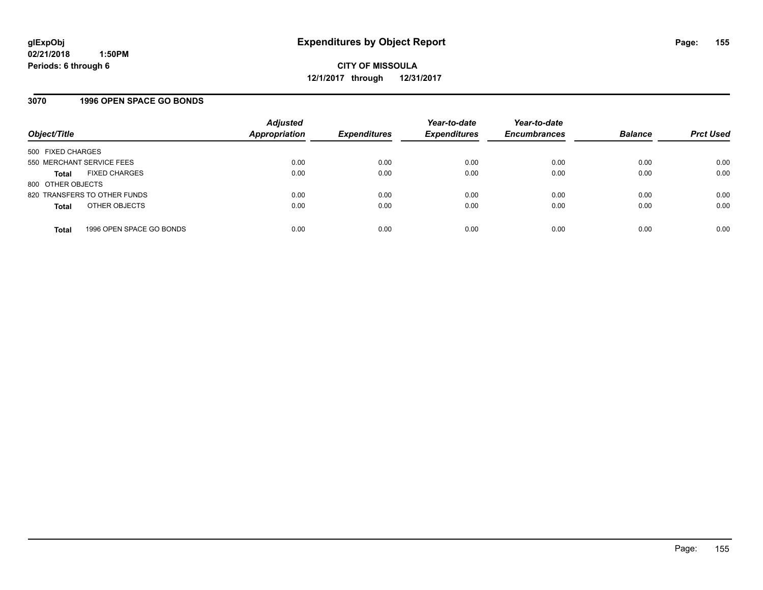## **3070 1996 OPEN SPACE GO BONDS**

| Object/Title              |                              | <b>Adjusted</b><br><b>Appropriation</b> | <b>Expenditures</b> | Year-to-date<br><b>Expenditures</b> | Year-to-date<br><b>Encumbrances</b> | <b>Balance</b> | <b>Prct Used</b> |
|---------------------------|------------------------------|-----------------------------------------|---------------------|-------------------------------------|-------------------------------------|----------------|------------------|
| 500 FIXED CHARGES         |                              |                                         |                     |                                     |                                     |                |                  |
| 550 MERCHANT SERVICE FEES |                              | 0.00                                    | 0.00                | 0.00                                | 0.00                                | 0.00           | 0.00             |
| <b>Total</b>              | <b>FIXED CHARGES</b>         | 0.00                                    | 0.00                | 0.00                                | 0.00                                | 0.00           | 0.00             |
| 800 OTHER OBJECTS         |                              |                                         |                     |                                     |                                     |                |                  |
|                           | 820 TRANSFERS TO OTHER FUNDS | 0.00                                    | 0.00                | 0.00                                | 0.00                                | 0.00           | 0.00             |
| <b>Total</b>              | OTHER OBJECTS                | 0.00                                    | 0.00                | 0.00                                | 0.00                                | 0.00           | 0.00             |
| <b>Total</b>              | 1996 OPEN SPACE GO BONDS     | 0.00                                    | 0.00                | 0.00                                | 0.00                                | 0.00           | 0.00             |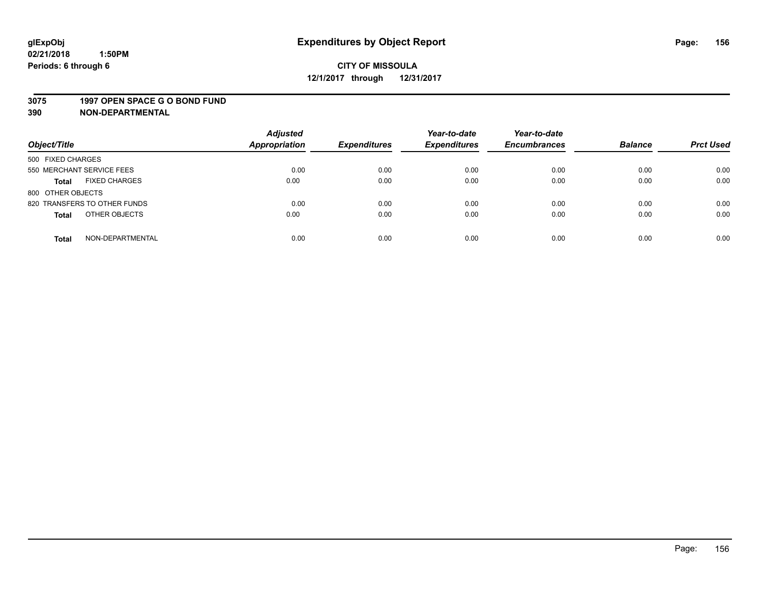#### **3075 1997 OPEN SPACE G O BOND FUND**

| Object/Title                         | <b>Adjusted</b><br>Appropriation | <b>Expenditures</b> | Year-to-date<br><b>Expenditures</b> | Year-to-date<br><b>Encumbrances</b> | <b>Balance</b> | <b>Prct Used</b> |
|--------------------------------------|----------------------------------|---------------------|-------------------------------------|-------------------------------------|----------------|------------------|
| 500 FIXED CHARGES                    |                                  |                     |                                     |                                     |                |                  |
| 550 MERCHANT SERVICE FEES            | 0.00                             | 0.00                | 0.00                                | 0.00                                | 0.00           | 0.00             |
| <b>FIXED CHARGES</b><br><b>Total</b> | 0.00                             | 0.00                | 0.00                                | 0.00                                | 0.00           | 0.00             |
| 800 OTHER OBJECTS                    |                                  |                     |                                     |                                     |                |                  |
| 820 TRANSFERS TO OTHER FUNDS         | 0.00                             | 0.00                | 0.00                                | 0.00                                | 0.00           | 0.00             |
| OTHER OBJECTS<br><b>Total</b>        | 0.00                             | 0.00                | 0.00                                | 0.00                                | 0.00           | 0.00             |
| NON-DEPARTMENTAL<br><b>Total</b>     | 0.00                             | 0.00                | 0.00                                | 0.00                                | 0.00           | 0.00             |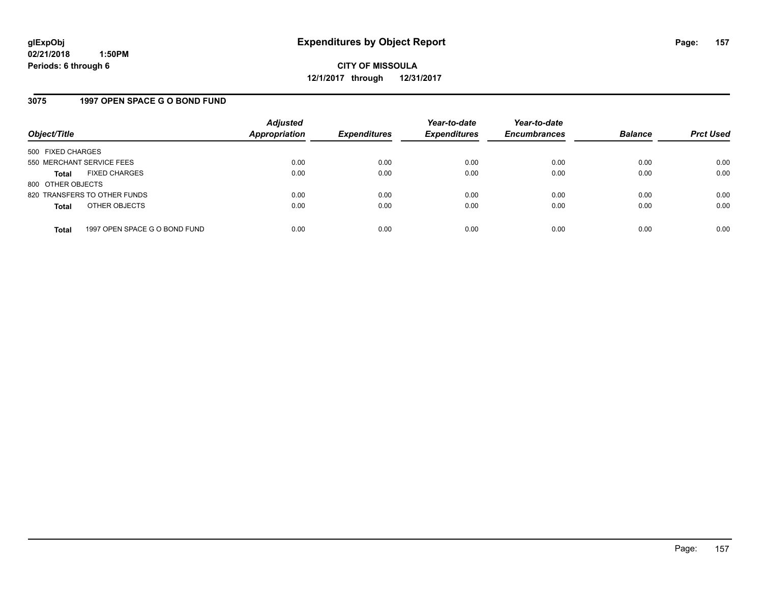## **3075 1997 OPEN SPACE G O BOND FUND**

| Object/Title              |                               | <b>Adjusted</b><br><b>Appropriation</b> | <b>Expenditures</b> | Year-to-date<br><b>Expenditures</b> | Year-to-date<br><b>Encumbrances</b> | <b>Balance</b> | <b>Prct Used</b> |
|---------------------------|-------------------------------|-----------------------------------------|---------------------|-------------------------------------|-------------------------------------|----------------|------------------|
| 500 FIXED CHARGES         |                               |                                         |                     |                                     |                                     |                |                  |
| 550 MERCHANT SERVICE FEES |                               | 0.00                                    | 0.00                | 0.00                                | 0.00                                | 0.00           | 0.00             |
| Total                     | <b>FIXED CHARGES</b>          | 0.00                                    | 0.00                | 0.00                                | 0.00                                | 0.00           | 0.00             |
| 800 OTHER OBJECTS         |                               |                                         |                     |                                     |                                     |                |                  |
|                           | 820 TRANSFERS TO OTHER FUNDS  | 0.00                                    | 0.00                | 0.00                                | 0.00                                | 0.00           | 0.00             |
| <b>Total</b>              | OTHER OBJECTS                 | 0.00                                    | 0.00                | 0.00                                | 0.00                                | 0.00           | 0.00             |
| <b>Total</b>              | 1997 OPEN SPACE G O BOND FUND | 0.00                                    | 0.00                | 0.00                                | 0.00                                | 0.00           | 0.00             |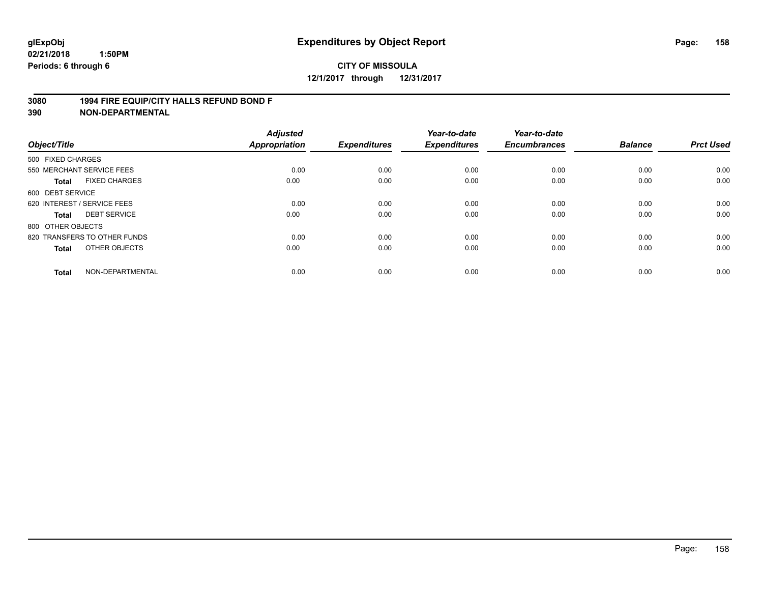## **3080 1994 FIRE EQUIP/CITY HALLS REFUND BOND F**

| Object/Title      |                              | <b>Adjusted</b><br>Appropriation | <b>Expenditures</b> | Year-to-date<br><b>Expenditures</b> | Year-to-date<br><b>Encumbrances</b> | <b>Balance</b> | <b>Prct Used</b> |
|-------------------|------------------------------|----------------------------------|---------------------|-------------------------------------|-------------------------------------|----------------|------------------|
| 500 FIXED CHARGES |                              |                                  |                     |                                     |                                     |                |                  |
|                   | 550 MERCHANT SERVICE FEES    | 0.00                             | 0.00                | 0.00                                | 0.00                                | 0.00           | 0.00             |
| <b>Total</b>      | <b>FIXED CHARGES</b>         | 0.00                             | 0.00                | 0.00                                | 0.00                                | 0.00           | 0.00             |
| 600 DEBT SERVICE  |                              |                                  |                     |                                     |                                     |                |                  |
|                   | 620 INTEREST / SERVICE FEES  | 0.00                             | 0.00                | 0.00                                | 0.00                                | 0.00           | 0.00             |
| Total             | <b>DEBT SERVICE</b>          | 0.00                             | 0.00                | 0.00                                | 0.00                                | 0.00           | 0.00             |
| 800 OTHER OBJECTS |                              |                                  |                     |                                     |                                     |                |                  |
|                   | 820 TRANSFERS TO OTHER FUNDS | 0.00                             | 0.00                | 0.00                                | 0.00                                | 0.00           | 0.00             |
| <b>Total</b>      | OTHER OBJECTS                | 0.00                             | 0.00                | 0.00                                | 0.00                                | 0.00           | 0.00             |
|                   |                              |                                  |                     |                                     |                                     |                |                  |
| <b>Total</b>      | NON-DEPARTMENTAL             | 0.00                             | 0.00                | 0.00                                | 0.00                                | 0.00           | 0.00             |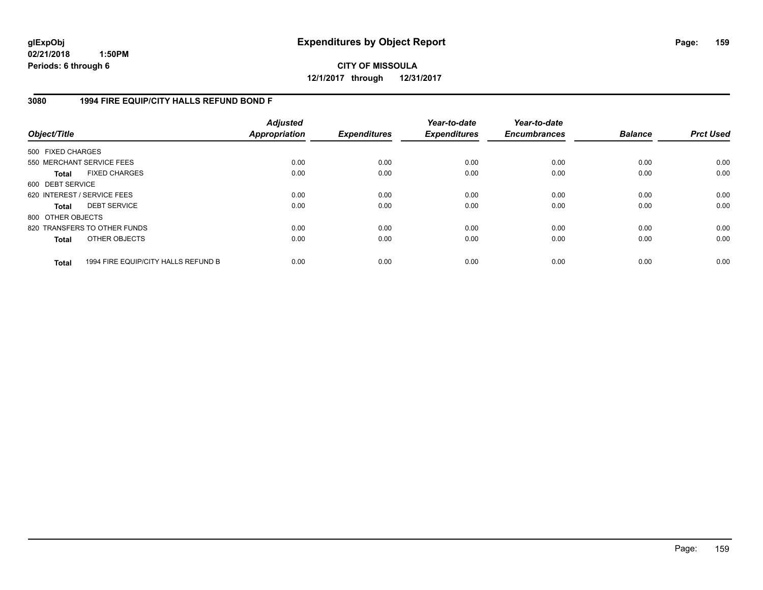**CITY OF MISSOULA 12/1/2017 through 12/31/2017**

## **3080 1994 FIRE EQUIP/CITY HALLS REFUND BOND F**

| Object/Title      |                                     | <b>Adjusted</b><br>Appropriation | <b>Expenditures</b> | Year-to-date<br><b>Expenditures</b> | Year-to-date<br><b>Encumbrances</b> | <b>Balance</b> | <b>Prct Used</b> |
|-------------------|-------------------------------------|----------------------------------|---------------------|-------------------------------------|-------------------------------------|----------------|------------------|
| 500 FIXED CHARGES |                                     |                                  |                     |                                     |                                     |                |                  |
|                   | 550 MERCHANT SERVICE FEES           | 0.00                             | 0.00                | 0.00                                | 0.00                                | 0.00           | 0.00             |
| <b>Total</b>      | <b>FIXED CHARGES</b>                | 0.00                             | 0.00                | 0.00                                | 0.00                                | 0.00           | 0.00             |
| 600 DEBT SERVICE  |                                     |                                  |                     |                                     |                                     |                |                  |
|                   | 620 INTEREST / SERVICE FEES         | 0.00                             | 0.00                | 0.00                                | 0.00                                | 0.00           | 0.00             |
| <b>Total</b>      | <b>DEBT SERVICE</b>                 | 0.00                             | 0.00                | 0.00                                | 0.00                                | 0.00           | 0.00             |
| 800 OTHER OBJECTS |                                     |                                  |                     |                                     |                                     |                |                  |
|                   | 820 TRANSFERS TO OTHER FUNDS        | 0.00                             | 0.00                | 0.00                                | 0.00                                | 0.00           | 0.00             |
| <b>Total</b>      | OTHER OBJECTS                       | 0.00                             | 0.00                | 0.00                                | 0.00                                | 0.00           | 0.00             |
| <b>Total</b>      | 1994 FIRE EQUIP/CITY HALLS REFUND B | 0.00                             | 0.00                | 0.00                                | 0.00                                | 0.00           | 0.00             |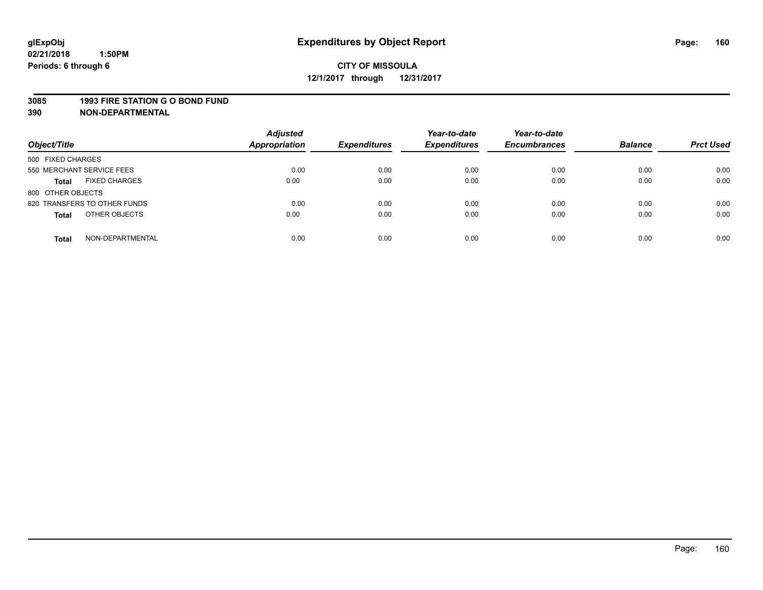#### **3085 1993 FIRE STATION G O BOND FUND**

| Object/Title                         | <b>Adjusted</b><br><b>Appropriation</b> | <b>Expenditures</b> | Year-to-date<br><b>Expenditures</b> | Year-to-date<br><b>Encumbrances</b> | <b>Balance</b> | <b>Prct Used</b> |
|--------------------------------------|-----------------------------------------|---------------------|-------------------------------------|-------------------------------------|----------------|------------------|
| 500 FIXED CHARGES                    |                                         |                     |                                     |                                     |                |                  |
| 550 MERCHANT SERVICE FEES            | 0.00                                    | 0.00                | 0.00                                | 0.00                                | 0.00           | 0.00             |
| <b>FIXED CHARGES</b><br><b>Total</b> | 0.00                                    | 0.00                | 0.00                                | 0.00                                | 0.00           | 0.00             |
| 800 OTHER OBJECTS                    |                                         |                     |                                     |                                     |                |                  |
| 820 TRANSFERS TO OTHER FUNDS         | 0.00                                    | 0.00                | 0.00                                | 0.00                                | 0.00           | 0.00             |
| OTHER OBJECTS<br><b>Total</b>        | 0.00                                    | 0.00                | 0.00                                | 0.00                                | 0.00           | 0.00             |
| NON-DEPARTMENTAL<br><b>Total</b>     | 0.00                                    | 0.00                | 0.00                                | 0.00                                | 0.00           | 0.00             |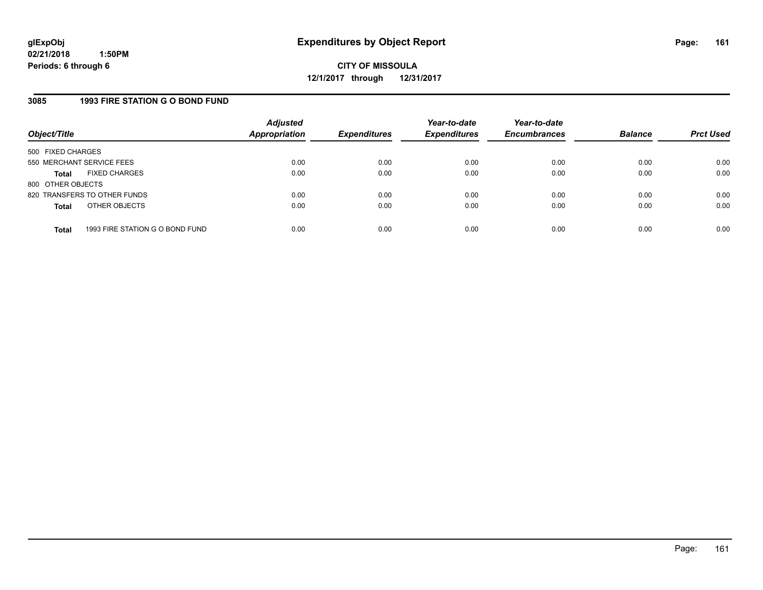## **3085 1993 FIRE STATION G O BOND FUND**

| Object/Title              |                                 | <b>Adjusted</b><br><b>Appropriation</b> | <b>Expenditures</b> | Year-to-date<br><b>Expenditures</b> | Year-to-date<br><b>Encumbrances</b> | <b>Balance</b> | <b>Prct Used</b> |
|---------------------------|---------------------------------|-----------------------------------------|---------------------|-------------------------------------|-------------------------------------|----------------|------------------|
| 500 FIXED CHARGES         |                                 |                                         |                     |                                     |                                     |                |                  |
| 550 MERCHANT SERVICE FEES |                                 | 0.00                                    | 0.00                | 0.00                                | 0.00                                | 0.00           | 0.00             |
| <b>Total</b>              | <b>FIXED CHARGES</b>            | 0.00                                    | 0.00                | 0.00                                | 0.00                                | 0.00           | 0.00             |
| 800 OTHER OBJECTS         |                                 |                                         |                     |                                     |                                     |                |                  |
|                           | 820 TRANSFERS TO OTHER FUNDS    | 0.00                                    | 0.00                | 0.00                                | 0.00                                | 0.00           | 0.00             |
| <b>Total</b>              | OTHER OBJECTS                   | 0.00                                    | 0.00                | 0.00                                | 0.00                                | 0.00           | 0.00             |
| <b>Total</b>              | 1993 FIRE STATION G O BOND FUND | 0.00                                    | 0.00                | 0.00                                | 0.00                                | 0.00           | 0.00             |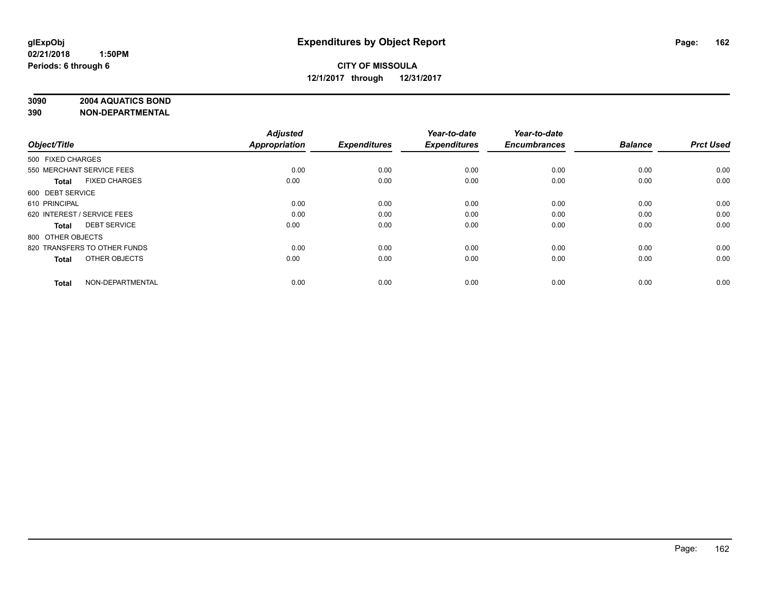# **3090 2004 AQUATICS BOND**

| Object/Title                         | <b>Adjusted</b><br><b>Appropriation</b> | <b>Expenditures</b> | Year-to-date<br><b>Expenditures</b> | Year-to-date<br><b>Encumbrances</b> | <b>Balance</b> | <b>Prct Used</b> |
|--------------------------------------|-----------------------------------------|---------------------|-------------------------------------|-------------------------------------|----------------|------------------|
| 500 FIXED CHARGES                    |                                         |                     |                                     |                                     |                |                  |
| 550 MERCHANT SERVICE FEES            | 0.00                                    | 0.00                | 0.00                                | 0.00                                | 0.00           | 0.00             |
| <b>FIXED CHARGES</b><br><b>Total</b> | 0.00                                    | 0.00                | 0.00                                | 0.00                                | 0.00           | 0.00             |
| 600 DEBT SERVICE                     |                                         |                     |                                     |                                     |                |                  |
| 610 PRINCIPAL                        | 0.00                                    | 0.00                | 0.00                                | 0.00                                | 0.00           | 0.00             |
| 620 INTEREST / SERVICE FEES          | 0.00                                    | 0.00                | 0.00                                | 0.00                                | 0.00           | 0.00             |
| <b>DEBT SERVICE</b><br><b>Total</b>  | 0.00                                    | 0.00                | 0.00                                | 0.00                                | 0.00           | 0.00             |
| 800 OTHER OBJECTS                    |                                         |                     |                                     |                                     |                |                  |
| 820 TRANSFERS TO OTHER FUNDS         | 0.00                                    | 0.00                | 0.00                                | 0.00                                | 0.00           | 0.00             |
| OTHER OBJECTS<br><b>Total</b>        | 0.00                                    | 0.00                | 0.00                                | 0.00                                | 0.00           | 0.00             |
|                                      |                                         |                     |                                     |                                     |                |                  |
| NON-DEPARTMENTAL<br><b>Total</b>     | 0.00                                    | 0.00                | 0.00                                | 0.00                                | 0.00           | 0.00             |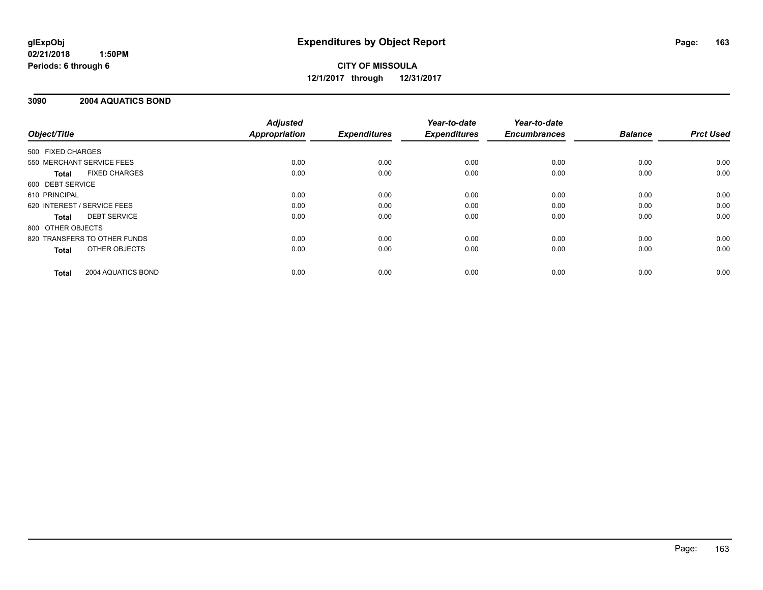# **CITY OF MISSOULA 12/1/2017 through 12/31/2017**

## **3090 2004 AQUATICS BOND**

|                              |                      | <b>Adjusted</b>      |                     | Year-to-date        | Year-to-date<br><b>Encumbrances</b> | <b>Balance</b> | <b>Prct Used</b> |
|------------------------------|----------------------|----------------------|---------------------|---------------------|-------------------------------------|----------------|------------------|
| Object/Title                 |                      | <b>Appropriation</b> | <b>Expenditures</b> | <b>Expenditures</b> |                                     |                |                  |
| 500 FIXED CHARGES            |                      |                      |                     |                     |                                     |                |                  |
| 550 MERCHANT SERVICE FEES    |                      | 0.00                 | 0.00                | 0.00                | 0.00                                | 0.00           | 0.00             |
| Total                        | <b>FIXED CHARGES</b> | 0.00                 | 0.00                | 0.00                | 0.00                                | 0.00           | 0.00             |
| 600 DEBT SERVICE             |                      |                      |                     |                     |                                     |                |                  |
| 610 PRINCIPAL                |                      | 0.00                 | 0.00                | 0.00                | 0.00                                | 0.00           | 0.00             |
| 620 INTEREST / SERVICE FEES  |                      | 0.00                 | 0.00                | 0.00                | 0.00                                | 0.00           | 0.00             |
| Total                        | <b>DEBT SERVICE</b>  | 0.00                 | 0.00                | 0.00                | 0.00                                | 0.00           | 0.00             |
| 800 OTHER OBJECTS            |                      |                      |                     |                     |                                     |                |                  |
| 820 TRANSFERS TO OTHER FUNDS |                      | 0.00                 | 0.00                | 0.00                | 0.00                                | 0.00           | 0.00             |
| <b>Total</b>                 | OTHER OBJECTS        | 0.00                 | 0.00                | 0.00                | 0.00                                | 0.00           | 0.00             |
| <b>Total</b>                 | 2004 AQUATICS BOND   | 0.00                 | 0.00                | 0.00                | 0.00                                | 0.00           | 0.00             |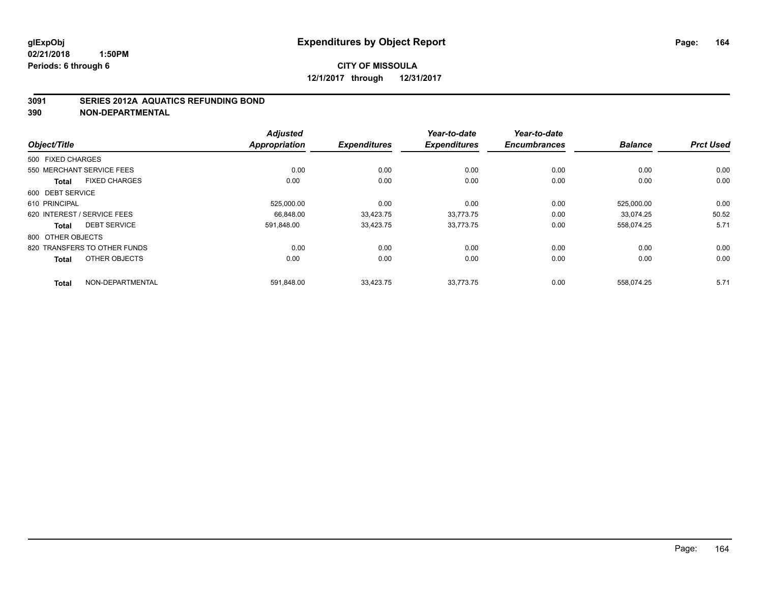## **3091 SERIES 2012A AQUATICS REFUNDING BOND**

|                                      |                  | <b>Adjusted</b> |                     | Year-to-date        | Year-to-date        |                |                  |
|--------------------------------------|------------------|-----------------|---------------------|---------------------|---------------------|----------------|------------------|
| Object/Title                         |                  | Appropriation   | <b>Expenditures</b> | <b>Expenditures</b> | <b>Encumbrances</b> | <b>Balance</b> | <b>Prct Used</b> |
| 500 FIXED CHARGES                    |                  |                 |                     |                     |                     |                |                  |
| 550 MERCHANT SERVICE FEES            |                  | 0.00            | 0.00                | 0.00                | 0.00                | 0.00           | 0.00             |
| <b>FIXED CHARGES</b><br><b>Total</b> |                  | 0.00            | 0.00                | 0.00                | 0.00                | 0.00           | 0.00             |
| 600 DEBT SERVICE                     |                  |                 |                     |                     |                     |                |                  |
| 610 PRINCIPAL                        |                  | 525,000.00      | 0.00                | 0.00                | 0.00                | 525,000.00     | 0.00             |
| 620 INTEREST / SERVICE FEES          |                  | 66.848.00       | 33.423.75           | 33.773.75           | 0.00                | 33.074.25      | 50.52            |
| <b>DEBT SERVICE</b><br><b>Total</b>  |                  | 591,848.00      | 33,423.75           | 33.773.75           | 0.00                | 558,074.25     | 5.71             |
| 800 OTHER OBJECTS                    |                  |                 |                     |                     |                     |                |                  |
| 820 TRANSFERS TO OTHER FUNDS         |                  | 0.00            | 0.00                | 0.00                | 0.00                | 0.00           | 0.00             |
| OTHER OBJECTS<br><b>Total</b>        |                  | 0.00            | 0.00                | 0.00                | 0.00                | 0.00           | 0.00             |
| <b>Total</b>                         | NON-DEPARTMENTAL | 591.848.00      | 33,423.75           | 33.773.75           | 0.00                | 558.074.25     | 5.71             |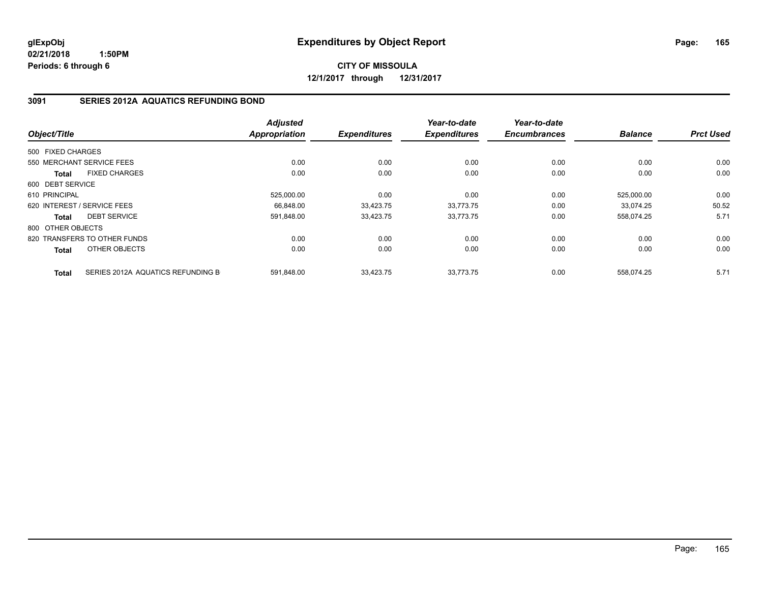**CITY OF MISSOULA 12/1/2017 through 12/31/2017**

## **3091 SERIES 2012A AQUATICS REFUNDING BOND**

|                   |                                   | <b>Adjusted</b> |                     | Year-to-date        | Year-to-date        |                |                  |
|-------------------|-----------------------------------|-----------------|---------------------|---------------------|---------------------|----------------|------------------|
| Object/Title      |                                   | Appropriation   | <b>Expenditures</b> | <b>Expenditures</b> | <b>Encumbrances</b> | <b>Balance</b> | <b>Prct Used</b> |
| 500 FIXED CHARGES |                                   |                 |                     |                     |                     |                |                  |
|                   | 550 MERCHANT SERVICE FEES         | 0.00            | 0.00                | 0.00                | 0.00                | 0.00           | 0.00             |
| <b>Total</b>      | <b>FIXED CHARGES</b>              | 0.00            | 0.00                | 0.00                | 0.00                | 0.00           | 0.00             |
| 600 DEBT SERVICE  |                                   |                 |                     |                     |                     |                |                  |
| 610 PRINCIPAL     |                                   | 525,000.00      | 0.00                | 0.00                | 0.00                | 525,000.00     | 0.00             |
|                   | 620 INTEREST / SERVICE FEES       | 66.848.00       | 33,423.75           | 33,773.75           | 0.00                | 33.074.25      | 50.52            |
| <b>Total</b>      | <b>DEBT SERVICE</b>               | 591,848.00      | 33,423.75           | 33.773.75           | 0.00                | 558.074.25     | 5.7 <sup>′</sup> |
| 800 OTHER OBJECTS |                                   |                 |                     |                     |                     |                |                  |
|                   | 820 TRANSFERS TO OTHER FUNDS      | 0.00            | 0.00                | 0.00                | 0.00                | 0.00           | 0.00             |
| Total             | OTHER OBJECTS                     | 0.00            | 0.00                | 0.00                | 0.00                | 0.00           | 0.00             |
| <b>Total</b>      | SERIES 2012A AQUATICS REFUNDING B | 591.848.00      | 33.423.75           | 33.773.75           | 0.00                | 558.074.25     | 5.71             |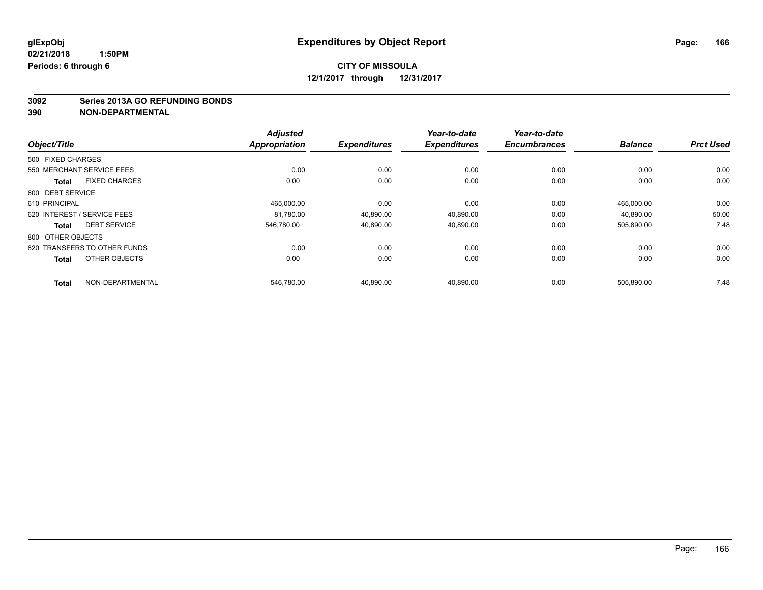#### **3092 Series 2013A GO REFUNDING BONDS**

|                                      | <b>Adjusted</b>      |                     | Year-to-date        | Year-to-date<br><b>Encumbrances</b> | <b>Balance</b> | <b>Prct Used</b> |
|--------------------------------------|----------------------|---------------------|---------------------|-------------------------------------|----------------|------------------|
| Object/Title                         | <b>Appropriation</b> | <b>Expenditures</b> | <b>Expenditures</b> |                                     |                |                  |
| 500 FIXED CHARGES                    |                      |                     |                     |                                     |                |                  |
| 550 MERCHANT SERVICE FEES            | 0.00                 | 0.00                | 0.00                | 0.00                                | 0.00           | 0.00             |
| <b>FIXED CHARGES</b><br><b>Total</b> | 0.00                 | 0.00                | 0.00                | 0.00                                | 0.00           | 0.00             |
| 600 DEBT SERVICE                     |                      |                     |                     |                                     |                |                  |
| 610 PRINCIPAL                        | 465,000.00           | 0.00                | 0.00                | 0.00                                | 465.000.00     | 0.00             |
| 620 INTEREST / SERVICE FEES          | 81.780.00            | 40.890.00           | 40,890.00           | 0.00                                | 40,890.00      | 50.00            |
| <b>DEBT SERVICE</b><br><b>Total</b>  | 546.780.00           | 40,890.00           | 40,890.00           | 0.00                                | 505,890.00     | 7.48             |
| 800 OTHER OBJECTS                    |                      |                     |                     |                                     |                |                  |
| 820 TRANSFERS TO OTHER FUNDS         | 0.00                 | 0.00                | 0.00                | 0.00                                | 0.00           | 0.00             |
| OTHER OBJECTS<br><b>Total</b>        | 0.00                 | 0.00                | 0.00                | 0.00                                | 0.00           | 0.00             |
| NON-DEPARTMENTAL<br><b>Total</b>     | 546,780.00           | 40,890.00           | 40,890.00           | 0.00                                | 505,890.00     | 7.48             |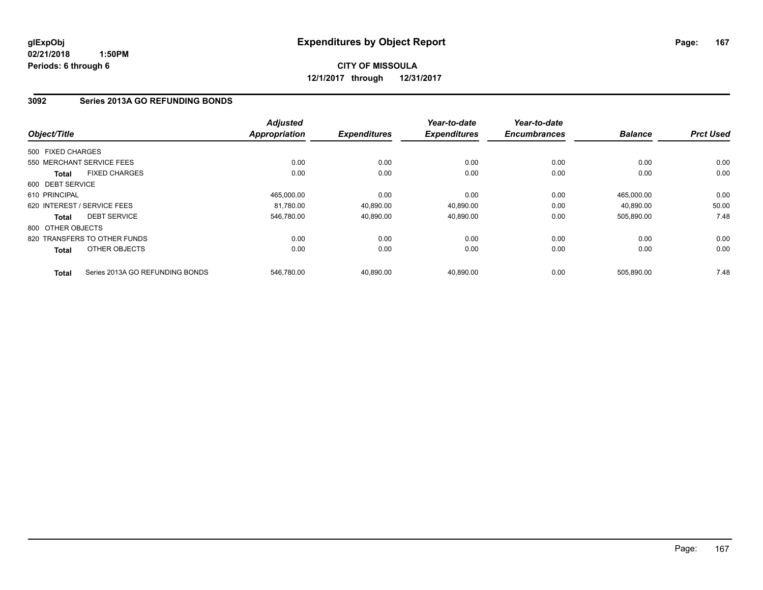**CITY OF MISSOULA 12/1/2017 through 12/31/2017**

## **3092 Series 2013A GO REFUNDING BONDS**

| Object/Title      |                                 | <b>Adjusted</b><br>Appropriation | <b>Expenditures</b> | Year-to-date<br><b>Expenditures</b> | Year-to-date<br><b>Encumbrances</b> | <b>Balance</b> | <b>Prct Used</b> |
|-------------------|---------------------------------|----------------------------------|---------------------|-------------------------------------|-------------------------------------|----------------|------------------|
| 500 FIXED CHARGES |                                 |                                  |                     |                                     |                                     |                |                  |
|                   | 550 MERCHANT SERVICE FEES       | 0.00                             | 0.00                | 0.00                                | 0.00                                | 0.00           | 0.00             |
|                   |                                 |                                  |                     |                                     |                                     |                |                  |
| <b>Total</b>      | <b>FIXED CHARGES</b>            | 0.00                             | 0.00                | 0.00                                | 0.00                                | 0.00           | 0.00             |
| 600 DEBT SERVICE  |                                 |                                  |                     |                                     |                                     |                |                  |
| 610 PRINCIPAL     |                                 | 465.000.00                       | 0.00                | 0.00                                | 0.00                                | 465,000.00     | 0.00             |
|                   | 620 INTEREST / SERVICE FEES     | 81,780.00                        | 40,890.00           | 40,890.00                           | 0.00                                | 40.890.00      | 50.00            |
| <b>Total</b>      | <b>DEBT SERVICE</b>             | 546.780.00                       | 40,890.00           | 40,890.00                           | 0.00                                | 505,890.00     | 7.48             |
| 800 OTHER OBJECTS |                                 |                                  |                     |                                     |                                     |                |                  |
|                   | 820 TRANSFERS TO OTHER FUNDS    | 0.00                             | 0.00                | 0.00                                | 0.00                                | 0.00           | 0.00             |
| <b>Total</b>      | OTHER OBJECTS                   | 0.00                             | 0.00                | 0.00                                | 0.00                                | 0.00           | 0.00             |
| <b>Total</b>      | Series 2013A GO REFUNDING BONDS | 546.780.00                       | 40.890.00           | 40.890.00                           | 0.00                                | 505.890.00     | 7.48             |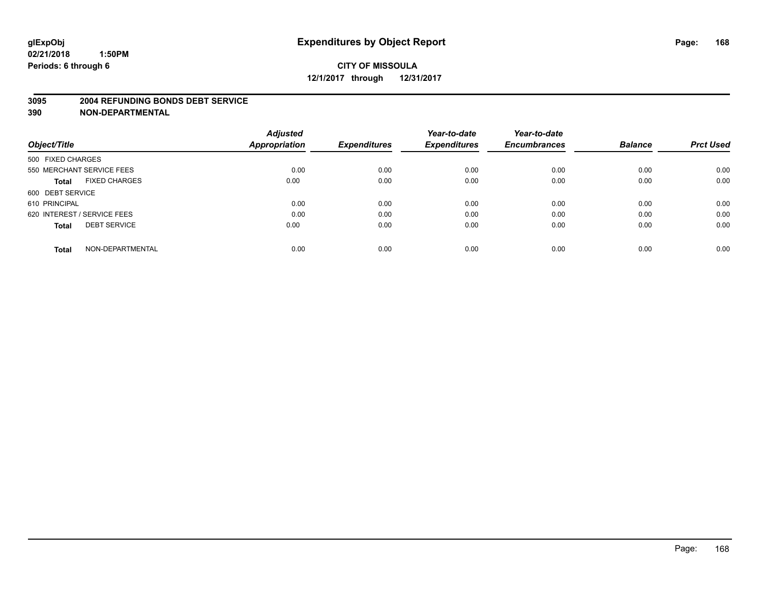#### **3095 2004 REFUNDING BONDS DEBT SERVICE**

|                                      | <b>Adjusted</b>      |                     | Year-to-date        | Year-to-date        |                |                  |
|--------------------------------------|----------------------|---------------------|---------------------|---------------------|----------------|------------------|
| Object/Title                         | <b>Appropriation</b> | <b>Expenditures</b> | <b>Expenditures</b> | <b>Encumbrances</b> | <b>Balance</b> | <b>Prct Used</b> |
| 500 FIXED CHARGES                    |                      |                     |                     |                     |                |                  |
| 550 MERCHANT SERVICE FEES            | 0.00                 | 0.00                | 0.00                | 0.00                | 0.00           | 0.00             |
| <b>FIXED CHARGES</b><br><b>Total</b> | 0.00                 | 0.00                | 0.00                | 0.00                | 0.00           | 0.00             |
| 600 DEBT SERVICE                     |                      |                     |                     |                     |                |                  |
| 610 PRINCIPAL                        | 0.00                 | 0.00                | 0.00                | 0.00                | 0.00           | 0.00             |
| 620 INTEREST / SERVICE FEES          | 0.00                 | 0.00                | 0.00                | 0.00                | 0.00           | 0.00             |
| <b>DEBT SERVICE</b><br><b>Total</b>  | 0.00                 | 0.00                | 0.00                | 0.00                | 0.00           | 0.00             |
| NON-DEPARTMENTAL<br><b>Total</b>     | 0.00                 | 0.00                | 0.00                | 0.00                | 0.00           | 0.00             |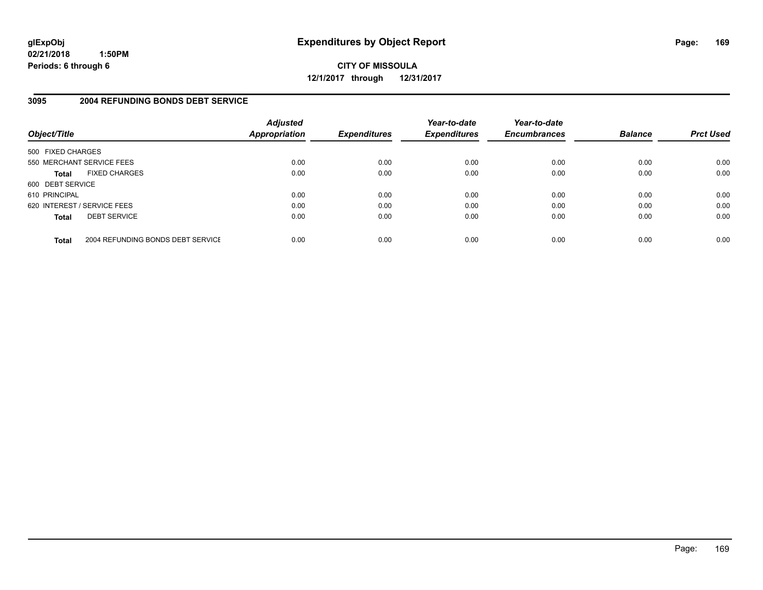**CITY OF MISSOULA 12/1/2017 through 12/31/2017**

## **3095 2004 REFUNDING BONDS DEBT SERVICE**

| Object/Title                |                                   | <b>Adjusted</b><br><b>Appropriation</b> | <b>Expenditures</b> | Year-to-date<br><b>Expenditures</b> | Year-to-date<br><b>Encumbrances</b> | <b>Balance</b> | <b>Prct Used</b> |
|-----------------------------|-----------------------------------|-----------------------------------------|---------------------|-------------------------------------|-------------------------------------|----------------|------------------|
| 500 FIXED CHARGES           |                                   |                                         |                     |                                     |                                     |                |                  |
| 550 MERCHANT SERVICE FEES   |                                   | 0.00                                    | 0.00                | 0.00                                | 0.00                                | 0.00           | 0.00             |
| <b>Total</b>                | <b>FIXED CHARGES</b>              | 0.00                                    | 0.00                | 0.00                                | 0.00                                | 0.00           | 0.00             |
| 600 DEBT SERVICE            |                                   |                                         |                     |                                     |                                     |                |                  |
| 610 PRINCIPAL               |                                   | 0.00                                    | 0.00                | 0.00                                | 0.00                                | 0.00           | 0.00             |
| 620 INTEREST / SERVICE FEES |                                   | 0.00                                    | 0.00                | 0.00                                | 0.00                                | 0.00           | 0.00             |
| <b>Total</b>                | <b>DEBT SERVICE</b>               | 0.00                                    | 0.00                | 0.00                                | 0.00                                | 0.00           | 0.00             |
| <b>Total</b>                | 2004 REFUNDING BONDS DEBT SERVICE | 0.00                                    | 0.00                | 0.00                                | 0.00                                | 0.00           | 0.00             |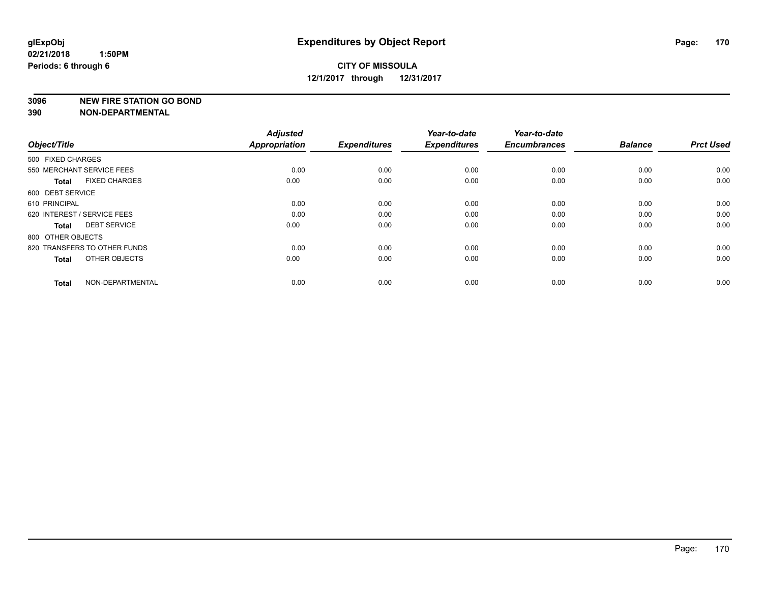#### **3096 NEW FIRE STATION GO BOND**

| Object/Title                         | <b>Adjusted</b><br><b>Appropriation</b> | <b>Expenditures</b> | Year-to-date<br><b>Expenditures</b> | Year-to-date<br><b>Encumbrances</b> | <b>Balance</b> | <b>Prct Used</b> |
|--------------------------------------|-----------------------------------------|---------------------|-------------------------------------|-------------------------------------|----------------|------------------|
| 500 FIXED CHARGES                    |                                         |                     |                                     |                                     |                |                  |
| 550 MERCHANT SERVICE FEES            | 0.00                                    | 0.00                | 0.00                                | 0.00                                | 0.00           | 0.00             |
| <b>FIXED CHARGES</b><br><b>Total</b> | 0.00                                    | 0.00                | 0.00                                | 0.00                                | 0.00           | 0.00             |
| 600 DEBT SERVICE                     |                                         |                     |                                     |                                     |                |                  |
| 610 PRINCIPAL                        | 0.00                                    | 0.00                | 0.00                                | 0.00                                | 0.00           | 0.00             |
| 620 INTEREST / SERVICE FEES          | 0.00                                    | 0.00                | 0.00                                | 0.00                                | 0.00           | 0.00             |
| <b>DEBT SERVICE</b><br><b>Total</b>  | 0.00                                    | 0.00                | 0.00                                | 0.00                                | 0.00           | 0.00             |
| 800 OTHER OBJECTS                    |                                         |                     |                                     |                                     |                |                  |
| 820 TRANSFERS TO OTHER FUNDS         | 0.00                                    | 0.00                | 0.00                                | 0.00                                | 0.00           | 0.00             |
| OTHER OBJECTS<br><b>Total</b>        | 0.00                                    | 0.00                | 0.00                                | 0.00                                | 0.00           | 0.00             |
|                                      |                                         |                     |                                     |                                     |                |                  |
| NON-DEPARTMENTAL<br><b>Total</b>     | 0.00                                    | 0.00                | 0.00                                | 0.00                                | 0.00           | 0.00             |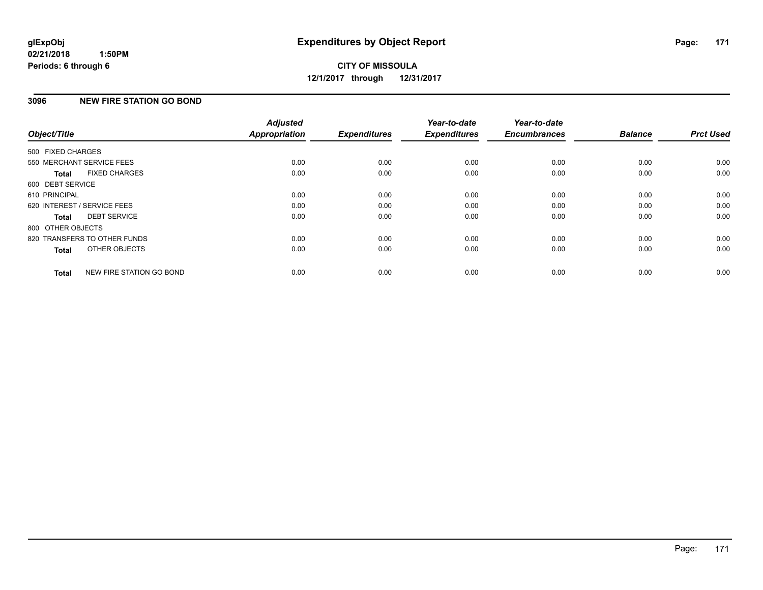# **3096 NEW FIRE STATION GO BOND**

| Object/Title      |                              | <b>Adjusted</b><br>Appropriation | <b>Expenditures</b> | Year-to-date<br><b>Expenditures</b> | Year-to-date<br><b>Encumbrances</b> | <b>Balance</b> | <b>Prct Used</b> |
|-------------------|------------------------------|----------------------------------|---------------------|-------------------------------------|-------------------------------------|----------------|------------------|
| 500 FIXED CHARGES |                              |                                  |                     |                                     |                                     |                |                  |
|                   | 550 MERCHANT SERVICE FEES    | 0.00                             | 0.00                | 0.00                                | 0.00                                | 0.00           | 0.00             |
| <b>Total</b>      | <b>FIXED CHARGES</b>         | 0.00                             | 0.00                | 0.00                                | 0.00                                | 0.00           | 0.00             |
| 600 DEBT SERVICE  |                              |                                  |                     |                                     |                                     |                |                  |
| 610 PRINCIPAL     |                              | 0.00                             | 0.00                | 0.00                                | 0.00                                | 0.00           | 0.00             |
|                   | 620 INTEREST / SERVICE FEES  | 0.00                             | 0.00                | 0.00                                | 0.00                                | 0.00           | 0.00             |
| Total             | <b>DEBT SERVICE</b>          | 0.00                             | 0.00                | 0.00                                | 0.00                                | 0.00           | 0.00             |
| 800 OTHER OBJECTS |                              |                                  |                     |                                     |                                     |                |                  |
|                   | 820 TRANSFERS TO OTHER FUNDS | 0.00                             | 0.00                | 0.00                                | 0.00                                | 0.00           | 0.00             |
| <b>Total</b>      | OTHER OBJECTS                | 0.00                             | 0.00                | 0.00                                | 0.00                                | 0.00           | 0.00             |
| <b>Total</b>      | NEW FIRE STATION GO BOND     | 0.00                             | 0.00                | 0.00                                | 0.00                                | 0.00           | 0.00             |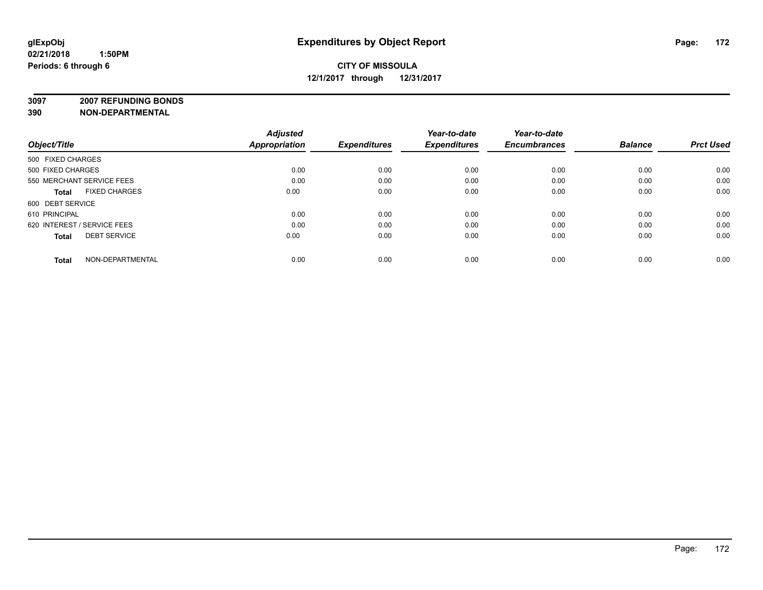**3097 2007 REFUNDING BONDS**

| Object/Title                         | <b>Adjusted</b><br>Appropriation | <b>Expenditures</b> | Year-to-date<br><b>Expenditures</b> | Year-to-date<br><b>Encumbrances</b> | <b>Balance</b> | <b>Prct Used</b> |
|--------------------------------------|----------------------------------|---------------------|-------------------------------------|-------------------------------------|----------------|------------------|
| 500 FIXED CHARGES                    |                                  |                     |                                     |                                     |                |                  |
| 500 FIXED CHARGES                    | 0.00                             | 0.00                | 0.00                                | 0.00                                | 0.00           | 0.00             |
| 550 MERCHANT SERVICE FEES            | 0.00                             | 0.00                | 0.00                                | 0.00                                | 0.00           | 0.00             |
| <b>FIXED CHARGES</b><br><b>Total</b> | 0.00                             | 0.00                | 0.00                                | 0.00                                | 0.00           | 0.00             |
| 600 DEBT SERVICE                     |                                  |                     |                                     |                                     |                |                  |
| 610 PRINCIPAL                        | 0.00                             | 0.00                | 0.00                                | 0.00                                | 0.00           | 0.00             |
| 620 INTEREST / SERVICE FEES          | 0.00                             | 0.00                | 0.00                                | 0.00                                | 0.00           | 0.00             |
| <b>DEBT SERVICE</b><br><b>Total</b>  | 0.00                             | 0.00                | 0.00                                | 0.00                                | 0.00           | 0.00             |
| NON-DEPARTMENTAL<br><b>Total</b>     | 0.00                             | 0.00                | 0.00                                | 0.00                                | 0.00           | 0.00             |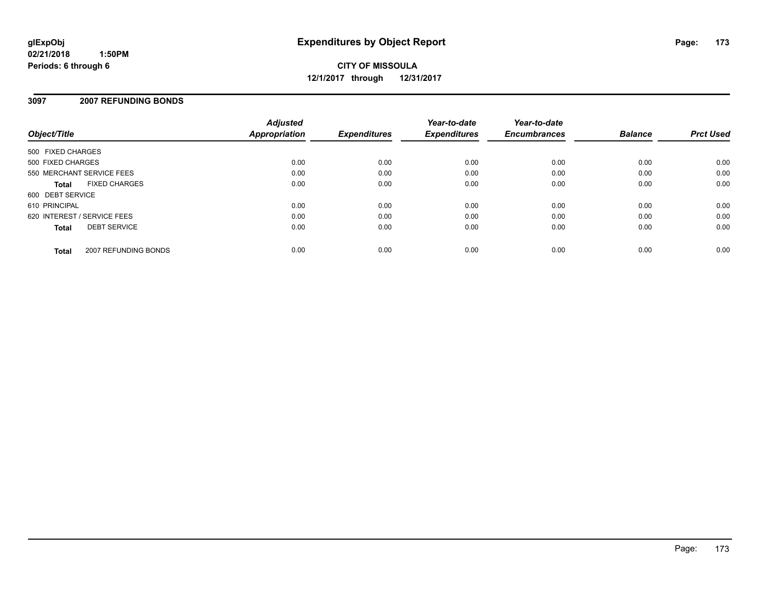#### **3097 2007 REFUNDING BONDS**

| Object/Title                |                      | <b>Adjusted</b><br><b>Appropriation</b> | <b>Expenditures</b> | Year-to-date<br><b>Expenditures</b> | Year-to-date<br><b>Encumbrances</b> | <b>Balance</b> | <b>Prct Used</b> |
|-----------------------------|----------------------|-----------------------------------------|---------------------|-------------------------------------|-------------------------------------|----------------|------------------|
| 500 FIXED CHARGES           |                      |                                         |                     |                                     |                                     |                |                  |
| 500 FIXED CHARGES           |                      | 0.00                                    | 0.00                | 0.00                                | 0.00                                | 0.00           | 0.00             |
| 550 MERCHANT SERVICE FEES   |                      | 0.00                                    | 0.00                | 0.00                                | 0.00                                | 0.00           | 0.00             |
| <b>Total</b>                | <b>FIXED CHARGES</b> | 0.00                                    | 0.00                | 0.00                                | 0.00                                | 0.00           | 0.00             |
| 600 DEBT SERVICE            |                      |                                         |                     |                                     |                                     |                |                  |
| 610 PRINCIPAL               |                      | 0.00                                    | 0.00                | 0.00                                | 0.00                                | 0.00           | 0.00             |
| 620 INTEREST / SERVICE FEES |                      | 0.00                                    | 0.00                | 0.00                                | 0.00                                | 0.00           | 0.00             |
| <b>Total</b>                | <b>DEBT SERVICE</b>  | 0.00                                    | 0.00                | 0.00                                | 0.00                                | 0.00           | 0.00             |
| <b>Total</b>                | 2007 REFUNDING BONDS | 0.00                                    | 0.00                | 0.00                                | 0.00                                | 0.00           | 0.00             |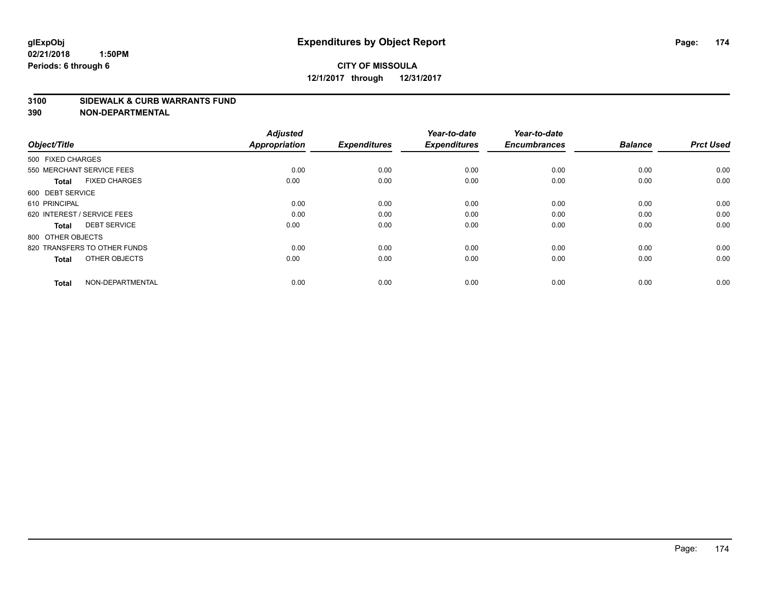# **CITY OF MISSOULA 12/1/2017 through 12/31/2017**

#### **3100 SIDEWALK & CURB WARRANTS FUND**

| Object/Title                         | <b>Adjusted</b><br><b>Appropriation</b> | <b>Expenditures</b> | Year-to-date<br><b>Expenditures</b> | Year-to-date<br><b>Encumbrances</b> | <b>Balance</b> | <b>Prct Used</b> |
|--------------------------------------|-----------------------------------------|---------------------|-------------------------------------|-------------------------------------|----------------|------------------|
| 500 FIXED CHARGES                    |                                         |                     |                                     |                                     |                |                  |
| 550 MERCHANT SERVICE FEES            | 0.00                                    | 0.00                | 0.00                                | 0.00                                | 0.00           | 0.00             |
| <b>FIXED CHARGES</b><br><b>Total</b> | 0.00                                    | 0.00                | 0.00                                | 0.00                                | 0.00           | 0.00             |
| 600 DEBT SERVICE                     |                                         |                     |                                     |                                     |                |                  |
| 610 PRINCIPAL                        | 0.00                                    | 0.00                | 0.00                                | 0.00                                | 0.00           | 0.00             |
| 620 INTEREST / SERVICE FEES          | 0.00                                    | 0.00                | 0.00                                | 0.00                                | 0.00           | 0.00             |
| <b>DEBT SERVICE</b><br><b>Total</b>  | 0.00                                    | 0.00                | 0.00                                | 0.00                                | 0.00           | 0.00             |
| 800 OTHER OBJECTS                    |                                         |                     |                                     |                                     |                |                  |
| 820 TRANSFERS TO OTHER FUNDS         | 0.00                                    | 0.00                | 0.00                                | 0.00                                | 0.00           | 0.00             |
| OTHER OBJECTS<br><b>Total</b>        | 0.00                                    | 0.00                | 0.00                                | 0.00                                | 0.00           | 0.00             |
|                                      |                                         |                     |                                     |                                     |                |                  |
| NON-DEPARTMENTAL<br><b>Total</b>     | 0.00                                    | 0.00                | 0.00                                | 0.00                                | 0.00           | 0.00             |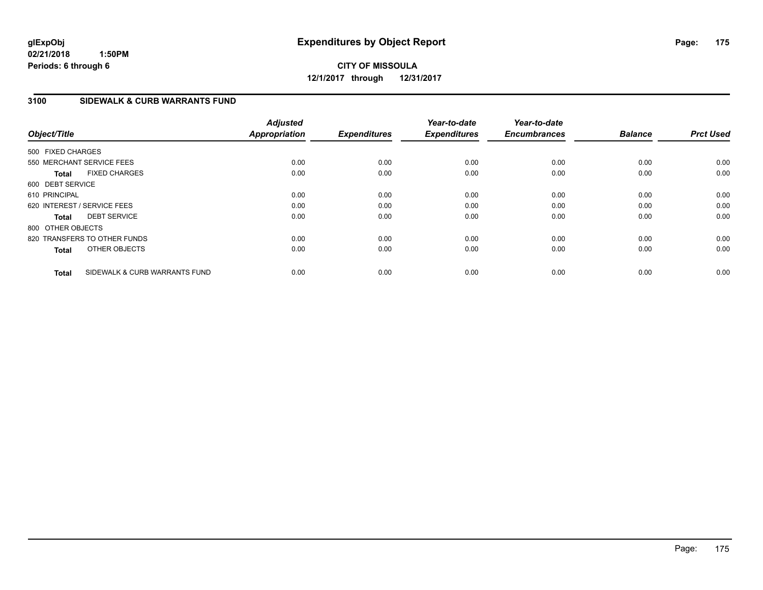**CITY OF MISSOULA 12/1/2017 through 12/31/2017**

## **3100 SIDEWALK & CURB WARRANTS FUND**

| Object/Title      |                               | <b>Adjusted</b><br><b>Appropriation</b> | <b>Expenditures</b> | Year-to-date<br><b>Expenditures</b> | Year-to-date<br><b>Encumbrances</b> | <b>Balance</b> | <b>Prct Used</b> |
|-------------------|-------------------------------|-----------------------------------------|---------------------|-------------------------------------|-------------------------------------|----------------|------------------|
| 500 FIXED CHARGES |                               |                                         |                     |                                     |                                     |                |                  |
|                   | 550 MERCHANT SERVICE FEES     | 0.00                                    | 0.00                | 0.00                                | 0.00                                | 0.00           | 0.00             |
| <b>Total</b>      | <b>FIXED CHARGES</b>          | 0.00                                    | 0.00                | 0.00                                | 0.00                                | 0.00           | 0.00             |
| 600 DEBT SERVICE  |                               |                                         |                     |                                     |                                     |                |                  |
| 610 PRINCIPAL     |                               | 0.00                                    | 0.00                | 0.00                                | 0.00                                | 0.00           | 0.00             |
|                   | 620 INTEREST / SERVICE FEES   | 0.00                                    | 0.00                | 0.00                                | 0.00                                | 0.00           | 0.00             |
| Total             | <b>DEBT SERVICE</b>           | 0.00                                    | 0.00                | 0.00                                | 0.00                                | 0.00           | 0.00             |
| 800 OTHER OBJECTS |                               |                                         |                     |                                     |                                     |                |                  |
|                   | 820 TRANSFERS TO OTHER FUNDS  | 0.00                                    | 0.00                | 0.00                                | 0.00                                | 0.00           | 0.00             |
| <b>Total</b>      | OTHER OBJECTS                 | 0.00                                    | 0.00                | 0.00                                | 0.00                                | 0.00           | 0.00             |
| <b>Total</b>      | SIDEWALK & CURB WARRANTS FUND | 0.00                                    | 0.00                | 0.00                                | 0.00                                | 0.00           | 0.00             |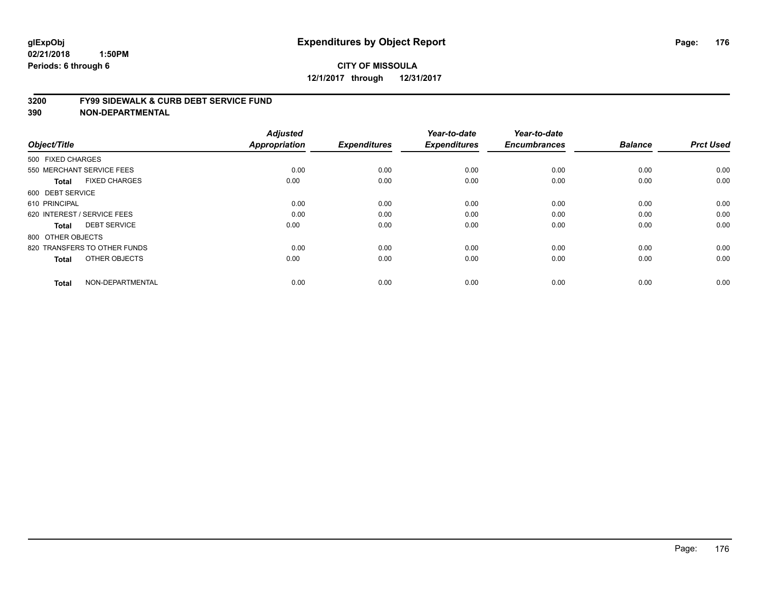#### **3200 FY99 SIDEWALK & CURB DEBT SERVICE FUND**

| Object/Title                         | <b>Adjusted</b><br>Appropriation | <b>Expenditures</b> | Year-to-date<br><b>Expenditures</b> | Year-to-date<br><b>Encumbrances</b> | <b>Balance</b> | <b>Prct Used</b> |
|--------------------------------------|----------------------------------|---------------------|-------------------------------------|-------------------------------------|----------------|------------------|
| 500 FIXED CHARGES                    |                                  |                     |                                     |                                     |                |                  |
|                                      |                                  |                     |                                     |                                     |                |                  |
| 550 MERCHANT SERVICE FEES            | 0.00                             | 0.00                | 0.00                                | 0.00                                | 0.00           | 0.00             |
| <b>FIXED CHARGES</b><br><b>Total</b> | 0.00                             | 0.00                | 0.00                                | 0.00                                | 0.00           | 0.00             |
| 600 DEBT SERVICE                     |                                  |                     |                                     |                                     |                |                  |
| 610 PRINCIPAL                        | 0.00                             | 0.00                | 0.00                                | 0.00                                | 0.00           | 0.00             |
| 620 INTEREST / SERVICE FEES          | 0.00                             | 0.00                | 0.00                                | 0.00                                | 0.00           | 0.00             |
| <b>DEBT SERVICE</b><br><b>Total</b>  | 0.00                             | 0.00                | 0.00                                | 0.00                                | 0.00           | 0.00             |
| 800 OTHER OBJECTS                    |                                  |                     |                                     |                                     |                |                  |
| 820 TRANSFERS TO OTHER FUNDS         | 0.00                             | 0.00                | 0.00                                | 0.00                                | 0.00           | 0.00             |
| OTHER OBJECTS<br><b>Total</b>        | 0.00                             | 0.00                | 0.00                                | 0.00                                | 0.00           | 0.00             |
|                                      |                                  |                     |                                     |                                     |                |                  |
| NON-DEPARTMENTAL<br><b>Total</b>     | 0.00                             | 0.00                | 0.00                                | 0.00                                | 0.00           | 0.00             |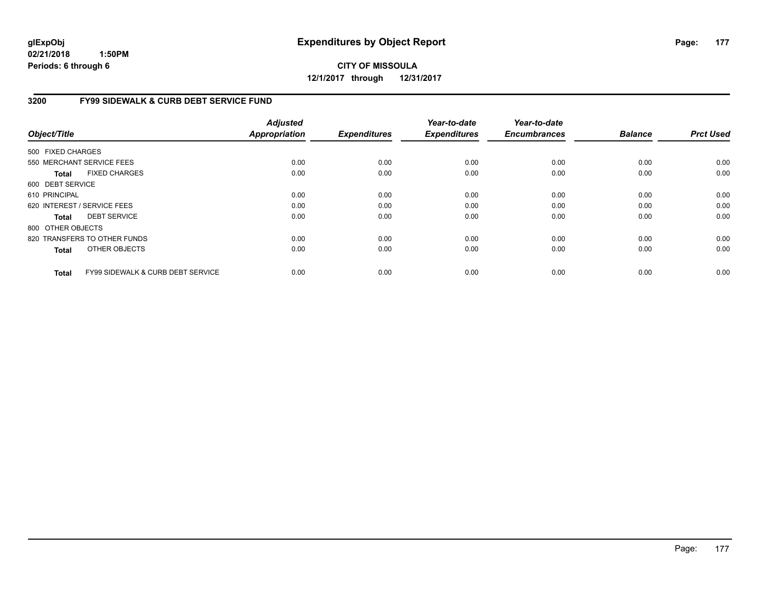**CITY OF MISSOULA 12/1/2017 through 12/31/2017**

## **3200 FY99 SIDEWALK & CURB DEBT SERVICE FUND**

| Object/Title      |                                              | <b>Adjusted</b><br><b>Appropriation</b> | <b>Expenditures</b> | Year-to-date<br><b>Expenditures</b> | Year-to-date<br><b>Encumbrances</b> | <b>Balance</b> | <b>Prct Used</b> |
|-------------------|----------------------------------------------|-----------------------------------------|---------------------|-------------------------------------|-------------------------------------|----------------|------------------|
| 500 FIXED CHARGES |                                              |                                         |                     |                                     |                                     |                |                  |
|                   | 550 MERCHANT SERVICE FEES                    | 0.00                                    | 0.00                | 0.00                                | 0.00                                | 0.00           | 0.00             |
| Total             | <b>FIXED CHARGES</b>                         | 0.00                                    | 0.00                | 0.00                                | 0.00                                | 0.00           | 0.00             |
| 600 DEBT SERVICE  |                                              |                                         |                     |                                     |                                     |                |                  |
| 610 PRINCIPAL     |                                              | 0.00                                    | 0.00                | 0.00                                | 0.00                                | 0.00           | 0.00             |
|                   | 620 INTEREST / SERVICE FEES                  | 0.00                                    | 0.00                | 0.00                                | 0.00                                | 0.00           | 0.00             |
| Total             | <b>DEBT SERVICE</b>                          | 0.00                                    | 0.00                | 0.00                                | 0.00                                | 0.00           | 0.00             |
| 800 OTHER OBJECTS |                                              |                                         |                     |                                     |                                     |                |                  |
|                   | 820 TRANSFERS TO OTHER FUNDS                 | 0.00                                    | 0.00                | 0.00                                | 0.00                                | 0.00           | 0.00             |
| <b>Total</b>      | OTHER OBJECTS                                | 0.00                                    | 0.00                | 0.00                                | 0.00                                | 0.00           | 0.00             |
| <b>Total</b>      | <b>FY99 SIDEWALK &amp; CURB DEBT SERVICE</b> | 0.00                                    | 0.00                | 0.00                                | 0.00                                | 0.00           | 0.00             |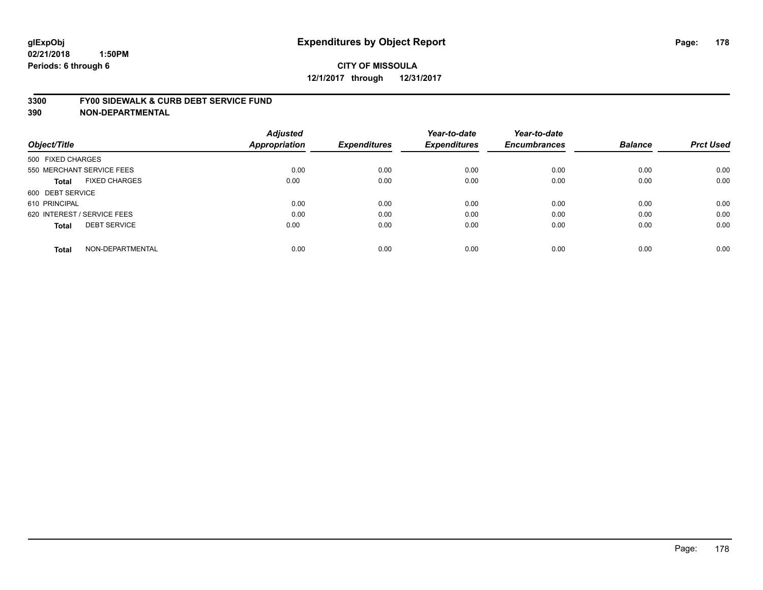#### **3300 FY00 SIDEWALK & CURB DEBT SERVICE FUND**

| Object/Title                         | <b>Adjusted</b><br>Appropriation | <b>Expenditures</b> | Year-to-date<br><b>Expenditures</b> | Year-to-date<br><b>Encumbrances</b> | <b>Balance</b> | <b>Prct Used</b> |
|--------------------------------------|----------------------------------|---------------------|-------------------------------------|-------------------------------------|----------------|------------------|
| 500 FIXED CHARGES                    |                                  |                     |                                     |                                     |                |                  |
| 550 MERCHANT SERVICE FEES            | 0.00                             | 0.00                | 0.00                                | 0.00                                | 0.00           | 0.00             |
| <b>FIXED CHARGES</b><br><b>Total</b> | 0.00                             | 0.00                | 0.00                                | 0.00                                | 0.00           | 0.00             |
| 600 DEBT SERVICE                     |                                  |                     |                                     |                                     |                |                  |
| 610 PRINCIPAL                        | 0.00                             | 0.00                | 0.00                                | 0.00                                | 0.00           | 0.00             |
| 620 INTEREST / SERVICE FEES          | 0.00                             | 0.00                | 0.00                                | 0.00                                | 0.00           | 0.00             |
| <b>DEBT SERVICE</b><br><b>Total</b>  | 0.00                             | 0.00                | 0.00                                | 0.00                                | 0.00           | 0.00             |
| NON-DEPARTMENTAL<br><b>Total</b>     | 0.00                             | 0.00                | 0.00                                | 0.00                                | 0.00           | 0.00             |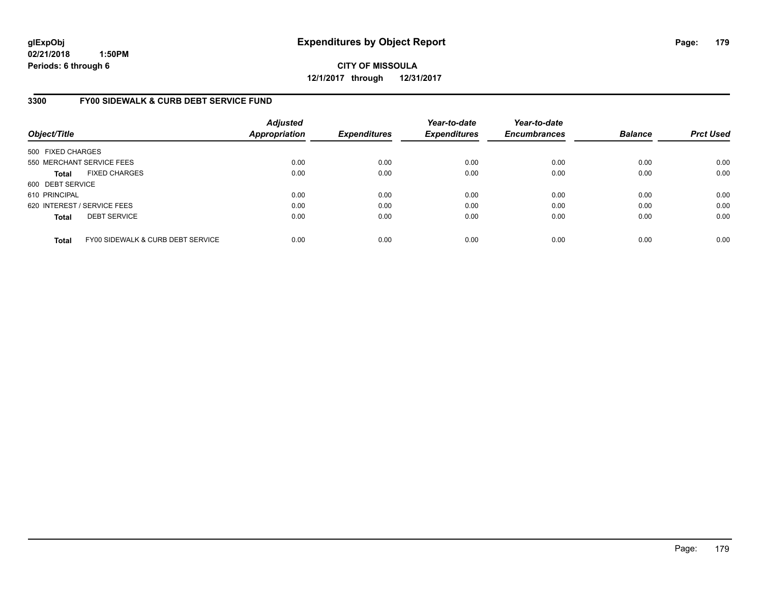**CITY OF MISSOULA 12/1/2017 through 12/31/2017**

## **3300 FY00 SIDEWALK & CURB DEBT SERVICE FUND**

| Object/Title      |                                   | <b>Adjusted</b><br><b>Appropriation</b> | <b>Expenditures</b> | Year-to-date<br><b>Expenditures</b> | Year-to-date<br><b>Encumbrances</b> | <b>Balance</b> | <b>Prct Used</b> |
|-------------------|-----------------------------------|-----------------------------------------|---------------------|-------------------------------------|-------------------------------------|----------------|------------------|
| 500 FIXED CHARGES |                                   |                                         |                     |                                     |                                     |                |                  |
|                   | 550 MERCHANT SERVICE FEES         | 0.00                                    | 0.00                | 0.00                                | 0.00                                | 0.00           | 0.00             |
| <b>Total</b>      | <b>FIXED CHARGES</b>              | 0.00                                    | 0.00                | 0.00                                | 0.00                                | 0.00           | 0.00             |
| 600 DEBT SERVICE  |                                   |                                         |                     |                                     |                                     |                |                  |
| 610 PRINCIPAL     |                                   | 0.00                                    | 0.00                | 0.00                                | 0.00                                | 0.00           | 0.00             |
|                   | 620 INTEREST / SERVICE FEES       | 0.00                                    | 0.00                | 0.00                                | 0.00                                | 0.00           | 0.00             |
| <b>Total</b>      | <b>DEBT SERVICE</b>               | 0.00                                    | 0.00                | 0.00                                | 0.00                                | 0.00           | 0.00             |
| <b>Total</b>      | FY00 SIDEWALK & CURB DEBT SERVICE | 0.00                                    | 0.00                | 0.00                                | 0.00                                | 0.00           | 0.00             |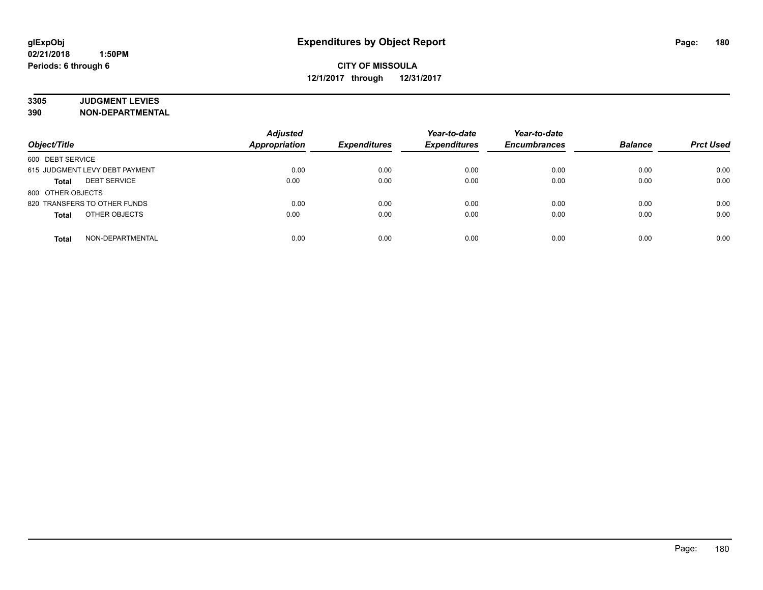# **3305 JUDGMENT LEVIES**

| Object/Title                        | <b>Adjusted</b><br><b>Appropriation</b> | <b>Expenditures</b> | Year-to-date<br><b>Expenditures</b> | Year-to-date<br><b>Encumbrances</b> | <b>Balance</b> | <b>Prct Used</b> |
|-------------------------------------|-----------------------------------------|---------------------|-------------------------------------|-------------------------------------|----------------|------------------|
| 600 DEBT SERVICE                    |                                         |                     |                                     |                                     |                |                  |
| 615 JUDGMENT LEVY DEBT PAYMENT      | 0.00                                    | 0.00                | 0.00                                | 0.00                                | 0.00           | 0.00             |
| <b>DEBT SERVICE</b><br><b>Total</b> | 0.00                                    | 0.00                | 0.00                                | 0.00                                | 0.00           | 0.00             |
| 800 OTHER OBJECTS                   |                                         |                     |                                     |                                     |                |                  |
| 820 TRANSFERS TO OTHER FUNDS        | 0.00                                    | 0.00                | 0.00                                | 0.00                                | 0.00           | 0.00             |
| OTHER OBJECTS<br><b>Total</b>       | 0.00                                    | 0.00                | 0.00                                | 0.00                                | 0.00           | 0.00             |
| NON-DEPARTMENTAL<br><b>Total</b>    | 0.00                                    | 0.00                | 0.00                                | 0.00                                | 0.00           | 0.00             |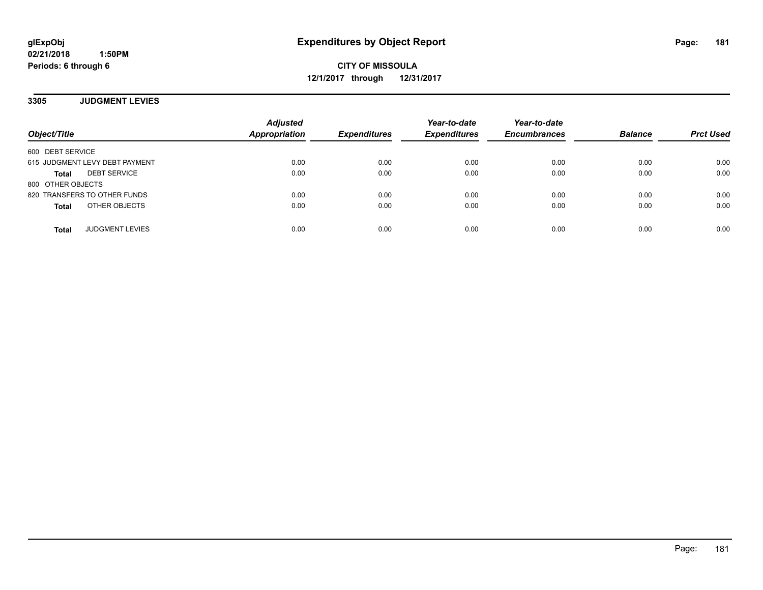**CITY OF MISSOULA 12/1/2017 through 12/31/2017**

**3305 JUDGMENT LEVIES**

| Object/Title                        | <b>Adjusted</b><br>Appropriation | <b>Expenditures</b> | Year-to-date<br><b>Expenditures</b> | Year-to-date<br><b>Encumbrances</b> | <b>Balance</b> | <b>Prct Used</b> |
|-------------------------------------|----------------------------------|---------------------|-------------------------------------|-------------------------------------|----------------|------------------|
| 600 DEBT SERVICE                    |                                  |                     |                                     |                                     |                |                  |
| 615 JUDGMENT LEVY DEBT PAYMENT      | 0.00                             | 0.00                | 0.00                                | 0.00                                | 0.00           | 0.00             |
| <b>DEBT SERVICE</b><br><b>Total</b> | 0.00                             | 0.00                | 0.00                                | 0.00                                | 0.00           | 0.00             |
| 800 OTHER OBJECTS                   |                                  |                     |                                     |                                     |                |                  |
| 820 TRANSFERS TO OTHER FUNDS        | 0.00                             | 0.00                | 0.00                                | 0.00                                | 0.00           | 0.00             |
| OTHER OBJECTS<br><b>Total</b>       | 0.00                             | 0.00                | 0.00                                | 0.00                                | 0.00           | 0.00             |
| <b>JUDGMENT LEVIES</b><br>Total     | 0.00                             | 0.00                | 0.00                                | 0.00                                | 0.00           | 0.00             |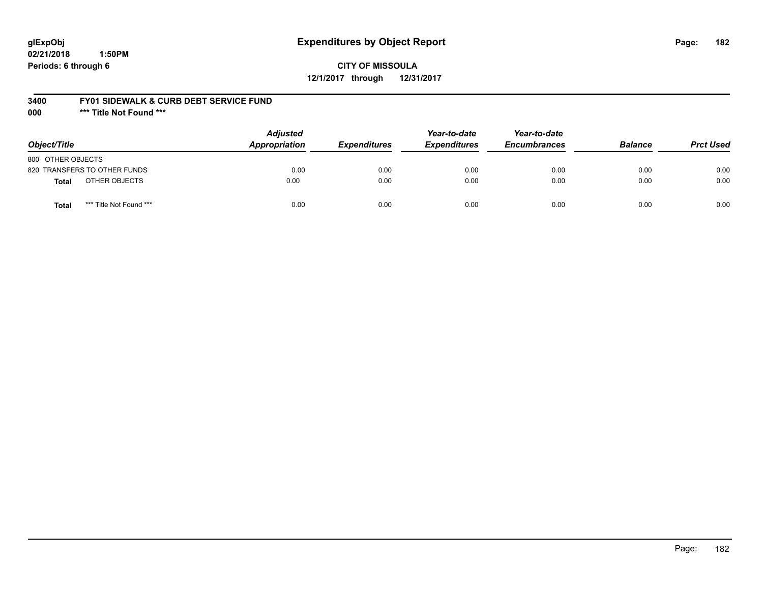# **glExpObj Expenditures by Object Report Page: 182**

**02/21/2018 1:50PM Periods: 6 through 6**

#### **3400 FY01 SIDEWALK & CURB DEBT SERVICE FUND**

**000 \*\*\* Title Not Found \*\*\***

| Object/Title                            | <b>Adjusted</b><br><b>Appropriation</b> | <b>Expenditures</b> | Year-to-date<br><b>Expenditures</b> | Year-to-date<br><b>Encumbrances</b> | <b>Balance</b> | <b>Prct Used</b> |
|-----------------------------------------|-----------------------------------------|---------------------|-------------------------------------|-------------------------------------|----------------|------------------|
| 800 OTHER OBJECTS                       |                                         |                     |                                     |                                     |                |                  |
| 820 TRANSFERS TO OTHER FUNDS            | 0.00                                    | 0.00                | 0.00                                | 0.00                                | 0.00           | 0.00             |
| OTHER OBJECTS<br><b>Total</b>           | 0.00                                    | 0.00                | 0.00                                | 0.00                                | 0.00           | 0.00             |
| *** Title Not Found ***<br><b>Total</b> | 0.00                                    | 0.00                | 0.00                                | 0.00                                | 0.00           | 0.00             |

Page: 182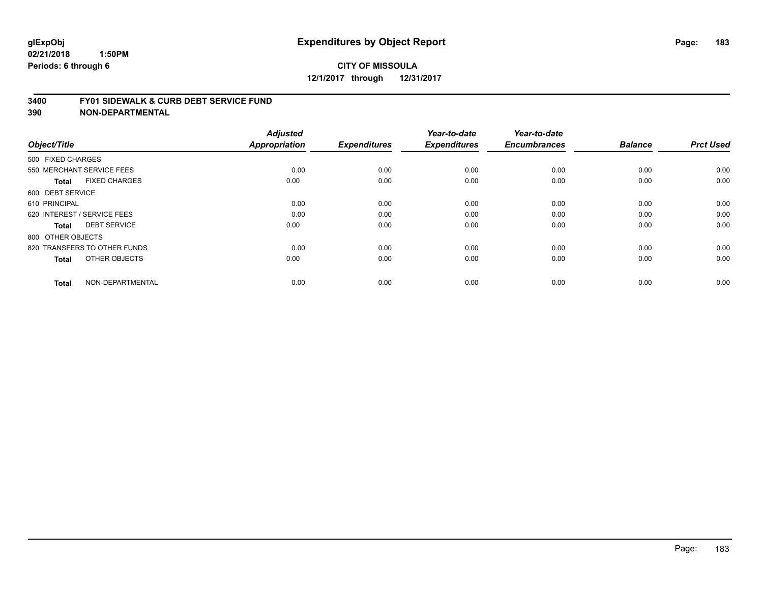#### **3400 FY01 SIDEWALK & CURB DEBT SERVICE FUND**

| Object/Title                         | <b>Adjusted</b><br>Appropriation | <b>Expenditures</b> | Year-to-date<br><b>Expenditures</b> | Year-to-date<br><b>Encumbrances</b> | <b>Balance</b> | <b>Prct Used</b> |
|--------------------------------------|----------------------------------|---------------------|-------------------------------------|-------------------------------------|----------------|------------------|
| 500 FIXED CHARGES                    |                                  |                     |                                     |                                     |                |                  |
|                                      |                                  |                     |                                     |                                     |                |                  |
| 550 MERCHANT SERVICE FEES            | 0.00                             | 0.00                | 0.00                                | 0.00                                | 0.00           | 0.00             |
| <b>FIXED CHARGES</b><br><b>Total</b> | 0.00                             | 0.00                | 0.00                                | 0.00                                | 0.00           | 0.00             |
| 600 DEBT SERVICE                     |                                  |                     |                                     |                                     |                |                  |
| 610 PRINCIPAL                        | 0.00                             | 0.00                | 0.00                                | 0.00                                | 0.00           | 0.00             |
| 620 INTEREST / SERVICE FEES          | 0.00                             | 0.00                | 0.00                                | 0.00                                | 0.00           | 0.00             |
| <b>DEBT SERVICE</b><br><b>Total</b>  | 0.00                             | 0.00                | 0.00                                | 0.00                                | 0.00           | 0.00             |
| 800 OTHER OBJECTS                    |                                  |                     |                                     |                                     |                |                  |
| 820 TRANSFERS TO OTHER FUNDS         | 0.00                             | 0.00                | 0.00                                | 0.00                                | 0.00           | 0.00             |
| OTHER OBJECTS<br><b>Total</b>        | 0.00                             | 0.00                | 0.00                                | 0.00                                | 0.00           | 0.00             |
|                                      |                                  |                     |                                     |                                     |                |                  |
| NON-DEPARTMENTAL<br><b>Total</b>     | 0.00                             | 0.00                | 0.00                                | 0.00                                | 0.00           | 0.00             |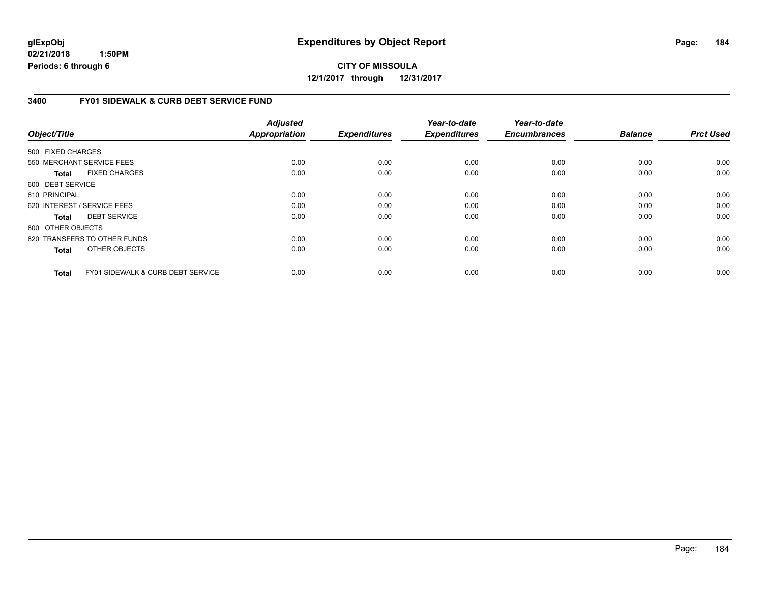**CITY OF MISSOULA 12/1/2017 through 12/31/2017**

### **3400 FY01 SIDEWALK & CURB DEBT SERVICE FUND**

| Object/Title      |                                              | <b>Adjusted</b><br><b>Appropriation</b> | <b>Expenditures</b> | Year-to-date<br><b>Expenditures</b> | Year-to-date<br><b>Encumbrances</b> | <b>Balance</b> | <b>Prct Used</b> |
|-------------------|----------------------------------------------|-----------------------------------------|---------------------|-------------------------------------|-------------------------------------|----------------|------------------|
| 500 FIXED CHARGES |                                              |                                         |                     |                                     |                                     |                |                  |
|                   | 550 MERCHANT SERVICE FEES                    | 0.00                                    | 0.00                | 0.00                                | 0.00                                | 0.00           | 0.00             |
|                   |                                              |                                         |                     |                                     |                                     |                |                  |
| <b>Total</b>      | <b>FIXED CHARGES</b>                         | 0.00                                    | 0.00                | 0.00                                | 0.00                                | 0.00           | 0.00             |
| 600 DEBT SERVICE  |                                              |                                         |                     |                                     |                                     |                |                  |
| 610 PRINCIPAL     |                                              | 0.00                                    | 0.00                | 0.00                                | 0.00                                | 0.00           | 0.00             |
|                   | 620 INTEREST / SERVICE FEES                  | 0.00                                    | 0.00                | 0.00                                | 0.00                                | 0.00           | 0.00             |
| <b>Total</b>      | <b>DEBT SERVICE</b>                          | 0.00                                    | 0.00                | 0.00                                | 0.00                                | 0.00           | 0.00             |
| 800 OTHER OBJECTS |                                              |                                         |                     |                                     |                                     |                |                  |
|                   | 820 TRANSFERS TO OTHER FUNDS                 | 0.00                                    | 0.00                | 0.00                                | 0.00                                | 0.00           | 0.00             |
| <b>Total</b>      | OTHER OBJECTS                                | 0.00                                    | 0.00                | 0.00                                | 0.00                                | 0.00           | 0.00             |
| <b>Total</b>      | <b>FY01 SIDEWALK &amp; CURB DEBT SERVICE</b> | 0.00                                    | 0.00                | 0.00                                | 0.00                                | 0.00           | 0.00             |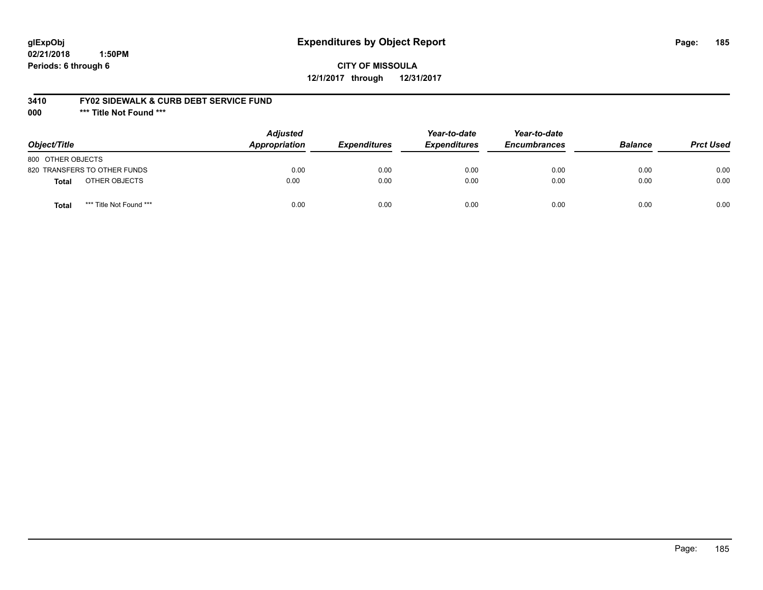# **glExpObj Expenditures by Object Report Page: 185**

**02/21/2018 1:50PM Periods: 6 through 6**

### **3410 FY02 SIDEWALK & CURB DEBT SERVICE FUND**

**000 \*\*\* Title Not Found \*\*\***

| Object/Title                            | <b>Adjusted</b><br>Appropriation | <b>Expenditures</b> | Year-to-date<br><b>Expenditures</b> | Year-to-date<br><b>Encumbrances</b> | <b>Balance</b> | <b>Prct Used</b> |
|-----------------------------------------|----------------------------------|---------------------|-------------------------------------|-------------------------------------|----------------|------------------|
| 800 OTHER OBJECTS                       |                                  |                     |                                     |                                     |                |                  |
| 820 TRANSFERS TO OTHER FUNDS            | 0.00                             | 0.00                | 0.00                                | 0.00                                | 0.00           | 0.00             |
| OTHER OBJECTS<br>Total                  | 0.00                             | 0.00                | 0.00                                | 0.00                                | 0.00           | 0.00             |
| *** Title Not Found ***<br><b>Total</b> | 0.00                             | 0.00                | 0.00                                | 0.00                                | 0.00           | 0.00             |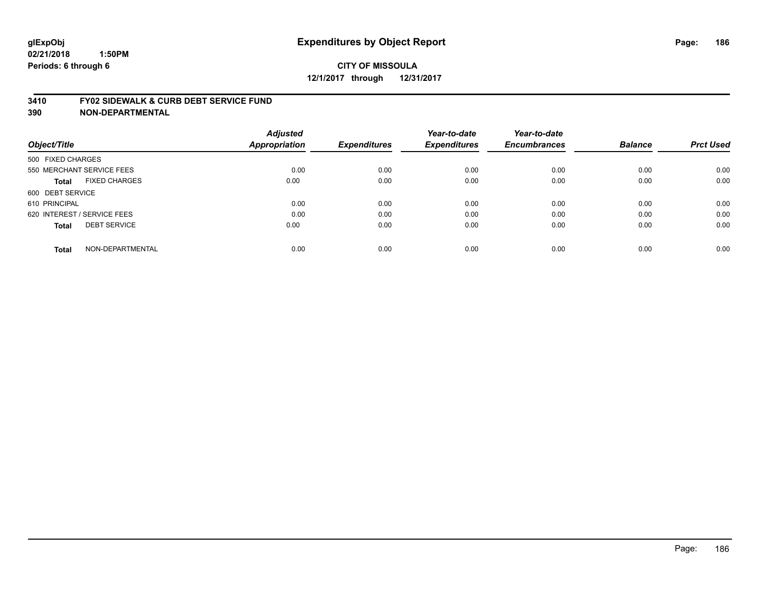#### **3410 FY02 SIDEWALK & CURB DEBT SERVICE FUND**

| Object/Title                         | <b>Adjusted</b><br><b>Appropriation</b> | <b>Expenditures</b> | Year-to-date<br><b>Expenditures</b> | Year-to-date<br><b>Encumbrances</b> | <b>Balance</b> | <b>Prct Used</b> |
|--------------------------------------|-----------------------------------------|---------------------|-------------------------------------|-------------------------------------|----------------|------------------|
| 500 FIXED CHARGES                    |                                         |                     |                                     |                                     |                |                  |
| 550 MERCHANT SERVICE FEES            | 0.00                                    | 0.00                | 0.00                                | 0.00                                | 0.00           | 0.00             |
| <b>FIXED CHARGES</b><br><b>Total</b> | 0.00                                    | 0.00                | 0.00                                | 0.00                                | 0.00           | 0.00             |
| 600 DEBT SERVICE                     |                                         |                     |                                     |                                     |                |                  |
| 610 PRINCIPAL                        | 0.00                                    | 0.00                | 0.00                                | 0.00                                | 0.00           | 0.00             |
| 620 INTEREST / SERVICE FEES          | 0.00                                    | 0.00                | 0.00                                | 0.00                                | 0.00           | 0.00             |
| <b>DEBT SERVICE</b><br><b>Total</b>  | 0.00                                    | 0.00                | 0.00                                | 0.00                                | 0.00           | 0.00             |
| NON-DEPARTMENTAL<br><b>Total</b>     | 0.00                                    | 0.00                | 0.00                                | 0.00                                | 0.00           | 0.00             |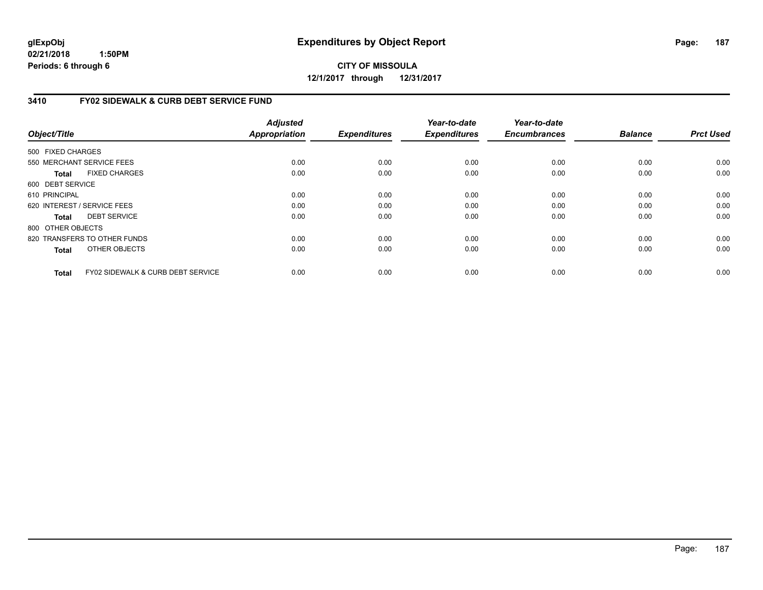**CITY OF MISSOULA 12/1/2017 through 12/31/2017**

### **3410 FY02 SIDEWALK & CURB DEBT SERVICE FUND**

| Object/Title                |                                              | <b>Adjusted</b><br>Appropriation | <b>Expenditures</b> | Year-to-date<br><b>Expenditures</b> | Year-to-date<br><b>Encumbrances</b> | <b>Balance</b> | <b>Prct Used</b> |
|-----------------------------|----------------------------------------------|----------------------------------|---------------------|-------------------------------------|-------------------------------------|----------------|------------------|
|                             |                                              |                                  |                     |                                     |                                     |                |                  |
| 500 FIXED CHARGES           |                                              |                                  |                     |                                     |                                     |                |                  |
| 550 MERCHANT SERVICE FEES   |                                              | 0.00                             | 0.00                | 0.00                                | 0.00                                | 0.00           | 0.00             |
| <b>Total</b>                | <b>FIXED CHARGES</b>                         | 0.00                             | 0.00                | 0.00                                | 0.00                                | 0.00           | 0.00             |
| 600 DEBT SERVICE            |                                              |                                  |                     |                                     |                                     |                |                  |
| 610 PRINCIPAL               |                                              | 0.00                             | 0.00                | 0.00                                | 0.00                                | 0.00           | 0.00             |
| 620 INTEREST / SERVICE FEES |                                              | 0.00                             | 0.00                | 0.00                                | 0.00                                | 0.00           | 0.00             |
| <b>Total</b>                | <b>DEBT SERVICE</b>                          | 0.00                             | 0.00                | 0.00                                | 0.00                                | 0.00           | 0.00             |
| 800 OTHER OBJECTS           |                                              |                                  |                     |                                     |                                     |                |                  |
|                             | 820 TRANSFERS TO OTHER FUNDS                 | 0.00                             | 0.00                | 0.00                                | 0.00                                | 0.00           | 0.00             |
| <b>Total</b>                | OTHER OBJECTS                                | 0.00                             | 0.00                | 0.00                                | 0.00                                | 0.00           | 0.00             |
| <b>Total</b>                | <b>FY02 SIDEWALK &amp; CURB DEBT SERVICE</b> | 0.00                             | 0.00                | 0.00                                | 0.00                                | 0.00           | 0.00             |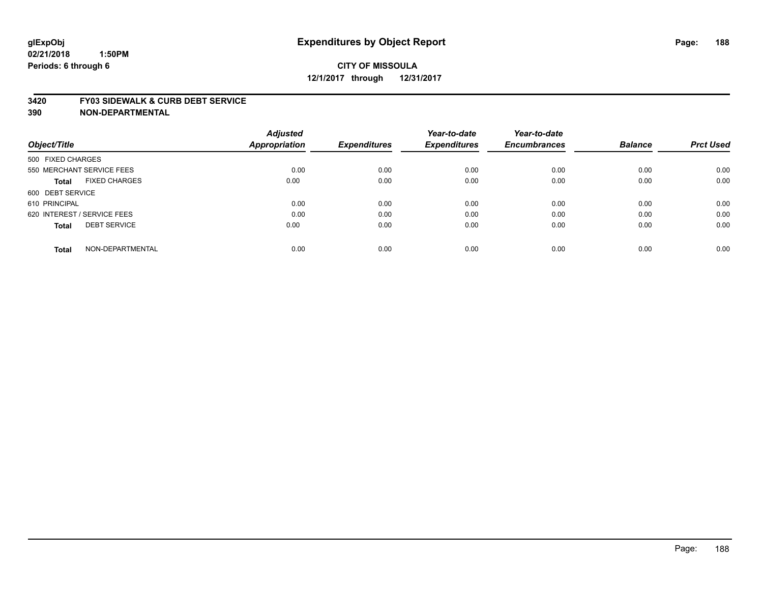#### **3420 FY03 SIDEWALK & CURB DEBT SERVICE**

|                                      | <b>Adjusted</b>      |                     | Year-to-date        | Year-to-date        |                |                  |
|--------------------------------------|----------------------|---------------------|---------------------|---------------------|----------------|------------------|
| Object/Title                         | <b>Appropriation</b> | <b>Expenditures</b> | <b>Expenditures</b> | <b>Encumbrances</b> | <b>Balance</b> | <b>Prct Used</b> |
| 500 FIXED CHARGES                    |                      |                     |                     |                     |                |                  |
| 550 MERCHANT SERVICE FEES            | 0.00                 | 0.00                | 0.00                | 0.00                | 0.00           | 0.00             |
| <b>FIXED CHARGES</b><br><b>Total</b> | 0.00                 | 0.00                | 0.00                | 0.00                | 0.00           | 0.00             |
| 600 DEBT SERVICE                     |                      |                     |                     |                     |                |                  |
| 610 PRINCIPAL                        | 0.00                 | 0.00                | 0.00                | 0.00                | 0.00           | 0.00             |
| 620 INTEREST / SERVICE FEES          | 0.00                 | 0.00                | 0.00                | 0.00                | 0.00           | 0.00             |
| <b>DEBT SERVICE</b><br><b>Total</b>  | 0.00                 | 0.00                | 0.00                | 0.00                | 0.00           | 0.00             |
| NON-DEPARTMENTAL<br><b>Total</b>     | 0.00                 | 0.00                | 0.00                | 0.00                | 0.00           | 0.00             |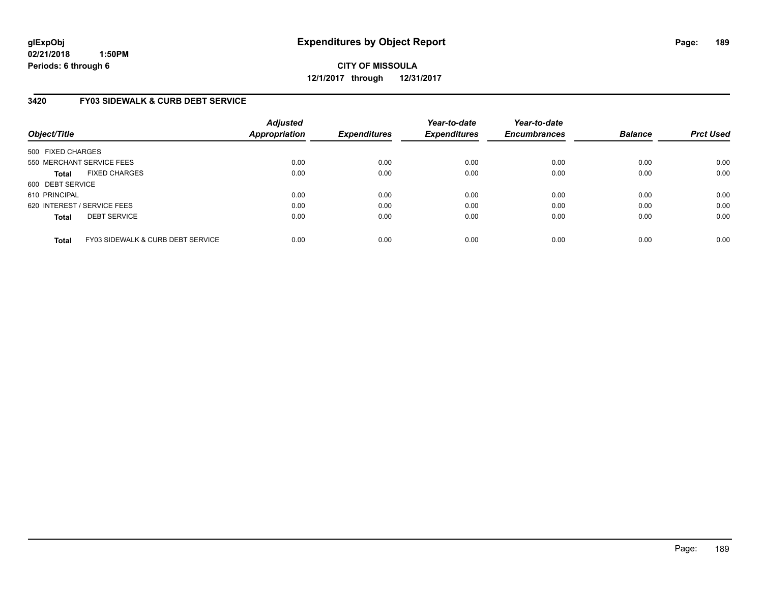**CITY OF MISSOULA 12/1/2017 through 12/31/2017**

### **3420 FY03 SIDEWALK & CURB DEBT SERVICE**

| Object/Title      |                                   | <b>Adjusted</b><br>Appropriation | <b>Expenditures</b> | Year-to-date<br><b>Expenditures</b> | Year-to-date<br><b>Encumbrances</b> | <b>Balance</b> | <b>Prct Used</b> |
|-------------------|-----------------------------------|----------------------------------|---------------------|-------------------------------------|-------------------------------------|----------------|------------------|
| 500 FIXED CHARGES |                                   |                                  |                     |                                     |                                     |                |                  |
|                   | 550 MERCHANT SERVICE FEES         | 0.00                             | 0.00                | 0.00                                | 0.00                                | 0.00           | 0.00             |
| <b>Total</b>      | <b>FIXED CHARGES</b>              | 0.00                             | 0.00                | 0.00                                | 0.00                                | 0.00           | 0.00             |
| 600 DEBT SERVICE  |                                   |                                  |                     |                                     |                                     |                |                  |
| 610 PRINCIPAL     |                                   | 0.00                             | 0.00                | 0.00                                | 0.00                                | 0.00           | 0.00             |
|                   | 620 INTEREST / SERVICE FEES       | 0.00                             | 0.00                | 0.00                                | 0.00                                | 0.00           | 0.00             |
| <b>Total</b>      | <b>DEBT SERVICE</b>               | 0.00                             | 0.00                | 0.00                                | 0.00                                | 0.00           | 0.00             |
| <b>Total</b>      | FY03 SIDEWALK & CURB DEBT SERVICE | 0.00                             | 0.00                | 0.00                                | 0.00                                | 0.00           | 0.00             |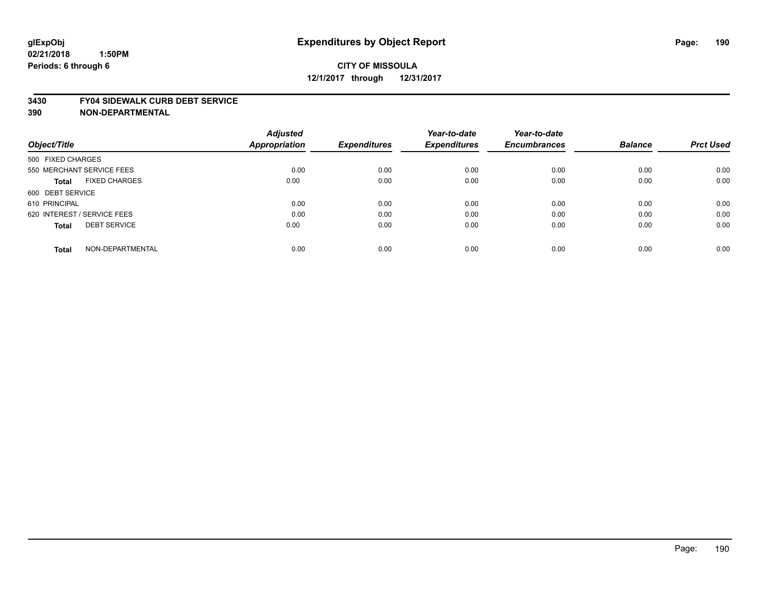#### **3430 FY04 SIDEWALK CURB DEBT SERVICE**

|                             |                      | <b>Adjusted</b> |                     | Year-to-date        | Year-to-date<br><b>Encumbrances</b> | <b>Balance</b> | <b>Prct Used</b> |
|-----------------------------|----------------------|-----------------|---------------------|---------------------|-------------------------------------|----------------|------------------|
| Object/Title                |                      | Appropriation   | <b>Expenditures</b> | <b>Expenditures</b> |                                     |                |                  |
| 500 FIXED CHARGES           |                      |                 |                     |                     |                                     |                |                  |
| 550 MERCHANT SERVICE FEES   |                      | 0.00            | 0.00                | 0.00                | 0.00                                | 0.00           | 0.00             |
| <b>Total</b>                | <b>FIXED CHARGES</b> | 0.00            | 0.00                | 0.00                | 0.00                                | 0.00           | 0.00             |
| 600 DEBT SERVICE            |                      |                 |                     |                     |                                     |                |                  |
| 610 PRINCIPAL               |                      | 0.00            | 0.00                | 0.00                | 0.00                                | 0.00           | 0.00             |
| 620 INTEREST / SERVICE FEES |                      | 0.00            | 0.00                | 0.00                | 0.00                                | 0.00           | 0.00             |
| <b>Total</b>                | <b>DEBT SERVICE</b>  | 0.00            | 0.00                | 0.00                | 0.00                                | 0.00           | 0.00             |
| <b>Total</b>                | NON-DEPARTMENTAL     | 0.00            | 0.00                | 0.00                | 0.00                                | 0.00           | 0.00             |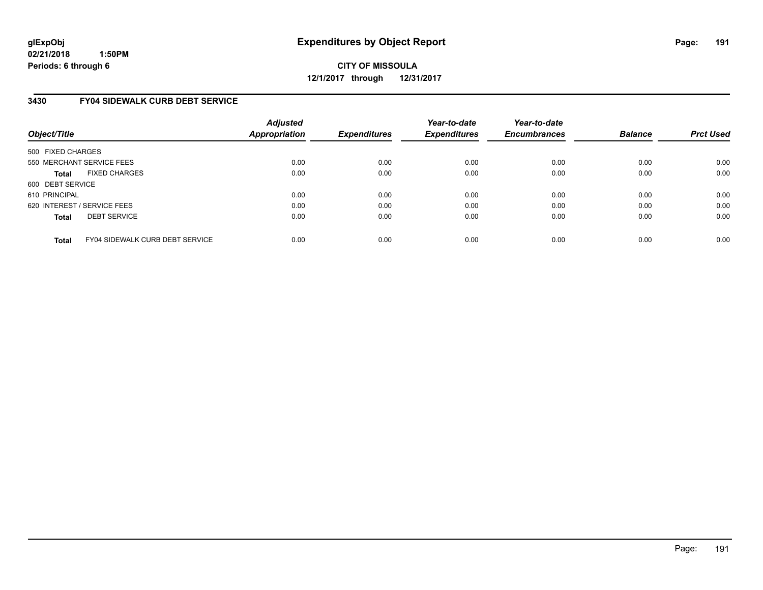## **CITY OF MISSOULA 12/1/2017 through 12/31/2017**

## **3430 FY04 SIDEWALK CURB DEBT SERVICE**

| Object/Title      |                                        | <b>Adjusted</b><br><b>Appropriation</b> | <b>Expenditures</b> | Year-to-date<br><b>Expenditures</b> | Year-to-date<br><b>Encumbrances</b> | <b>Balance</b> | <b>Prct Used</b> |
|-------------------|----------------------------------------|-----------------------------------------|---------------------|-------------------------------------|-------------------------------------|----------------|------------------|
| 500 FIXED CHARGES |                                        |                                         |                     |                                     |                                     |                |                  |
|                   | 550 MERCHANT SERVICE FEES              | 0.00                                    | 0.00                | 0.00                                | 0.00                                | 0.00           | 0.00             |
| <b>Total</b>      | <b>FIXED CHARGES</b>                   | 0.00                                    | 0.00                | 0.00                                | 0.00                                | 0.00           | 0.00             |
| 600 DEBT SERVICE  |                                        |                                         |                     |                                     |                                     |                |                  |
| 610 PRINCIPAL     |                                        | 0.00                                    | 0.00                | 0.00                                | 0.00                                | 0.00           | 0.00             |
|                   | 620 INTEREST / SERVICE FEES            | 0.00                                    | 0.00                | 0.00                                | 0.00                                | 0.00           | 0.00             |
| <b>Total</b>      | <b>DEBT SERVICE</b>                    | 0.00                                    | 0.00                | 0.00                                | 0.00                                | 0.00           | 0.00             |
| <b>Total</b>      | <b>FY04 SIDEWALK CURB DEBT SERVICE</b> | 0.00                                    | 0.00                | 0.00                                | 0.00                                | 0.00           | 0.00             |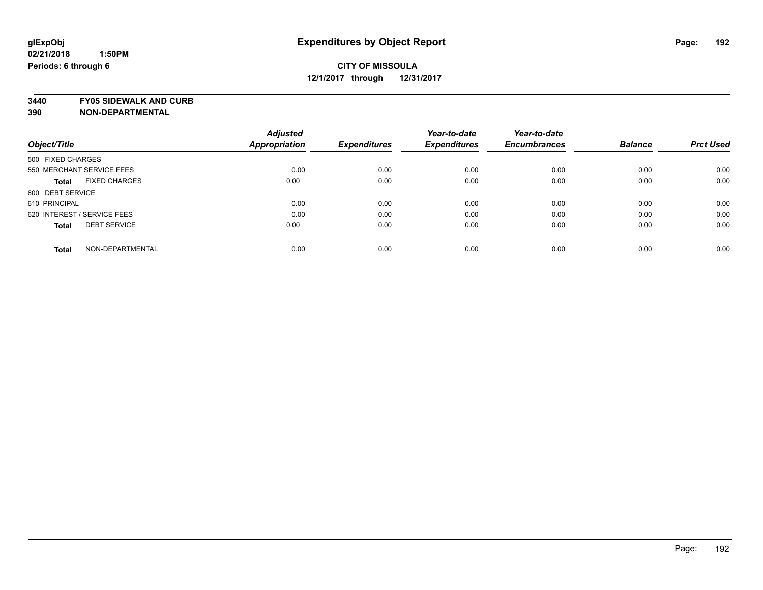**3440 FY05 SIDEWALK AND CURB 390 NON-DEPARTMENTAL**

|                                      | <b>Adjusted</b> |                     | Year-to-date        | Year-to-date        |                |                  |
|--------------------------------------|-----------------|---------------------|---------------------|---------------------|----------------|------------------|
| Object/Title                         | Appropriation   | <b>Expenditures</b> | <b>Expenditures</b> | <b>Encumbrances</b> | <b>Balance</b> | <b>Prct Used</b> |
| 500 FIXED CHARGES                    |                 |                     |                     |                     |                |                  |
| 550 MERCHANT SERVICE FEES            | 0.00            | 0.00                | 0.00                | 0.00                | 0.00           | 0.00             |
| <b>FIXED CHARGES</b><br><b>Total</b> | 0.00            | 0.00                | 0.00                | 0.00                | 0.00           | 0.00             |
| 600 DEBT SERVICE                     |                 |                     |                     |                     |                |                  |
| 610 PRINCIPAL                        | 0.00            | 0.00                | 0.00                | 0.00                | 0.00           | 0.00             |
| 620 INTEREST / SERVICE FEES          | 0.00            | 0.00                | 0.00                | 0.00                | 0.00           | 0.00             |
| <b>DEBT SERVICE</b><br><b>Total</b>  | 0.00            | 0.00                | 0.00                | 0.00                | 0.00           | 0.00             |
| NON-DEPARTMENTAL<br><b>Total</b>     | 0.00            | 0.00                | 0.00                | 0.00                | 0.00           | 0.00             |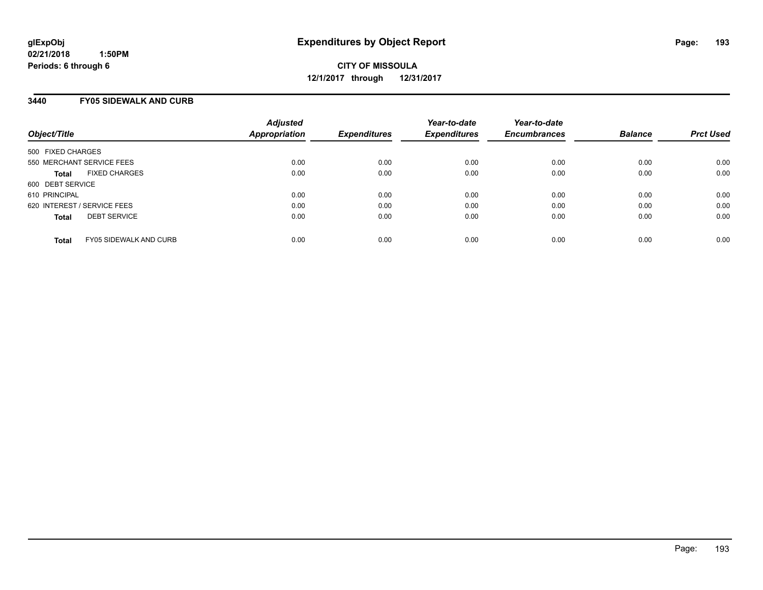### **3440 FY05 SIDEWALK AND CURB**

| Object/Title      |                               | <b>Adjusted</b><br>Appropriation | <b>Expenditures</b> | Year-to-date<br><b>Expenditures</b> | Year-to-date<br><b>Encumbrances</b> | <b>Balance</b> | <b>Prct Used</b> |
|-------------------|-------------------------------|----------------------------------|---------------------|-------------------------------------|-------------------------------------|----------------|------------------|
| 500 FIXED CHARGES |                               |                                  |                     |                                     |                                     |                |                  |
|                   | 550 MERCHANT SERVICE FEES     | 0.00                             | 0.00                | 0.00                                | 0.00                                | 0.00           | 0.00             |
| <b>Total</b>      | <b>FIXED CHARGES</b>          | 0.00                             | 0.00                | 0.00                                | 0.00                                | 0.00           | 0.00             |
| 600 DEBT SERVICE  |                               |                                  |                     |                                     |                                     |                |                  |
| 610 PRINCIPAL     |                               | 0.00                             | 0.00                | 0.00                                | 0.00                                | 0.00           | 0.00             |
|                   | 620 INTEREST / SERVICE FEES   | 0.00                             | 0.00                | 0.00                                | 0.00                                | 0.00           | 0.00             |
| <b>Total</b>      | <b>DEBT SERVICE</b>           | 0.00                             | 0.00                | 0.00                                | 0.00                                | 0.00           | 0.00             |
| <b>Total</b>      | <b>FY05 SIDEWALK AND CURB</b> | 0.00                             | 0.00                | 0.00                                | 0.00                                | 0.00           | 0.00             |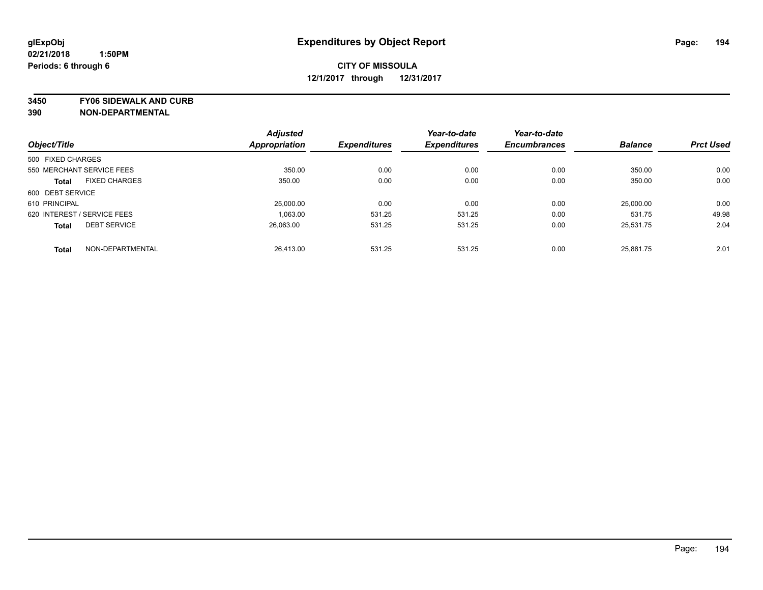**3450 FY06 SIDEWALK AND CURB**

|                             |                      | <b>Adjusted</b> |                     | Year-to-date        | Year-to-date        |                |                  |
|-----------------------------|----------------------|-----------------|---------------------|---------------------|---------------------|----------------|------------------|
| Object/Title                |                      | Appropriation   | <b>Expenditures</b> | <b>Expenditures</b> | <b>Encumbrances</b> | <b>Balance</b> | <b>Prct Used</b> |
| 500 FIXED CHARGES           |                      |                 |                     |                     |                     |                |                  |
| 550 MERCHANT SERVICE FEES   |                      | 350.00          | 0.00                | 0.00                | 0.00                | 350.00         | 0.00             |
| <b>Total</b>                | <b>FIXED CHARGES</b> | 350.00          | 0.00                | 0.00                | 0.00                | 350.00         | 0.00             |
| 600 DEBT SERVICE            |                      |                 |                     |                     |                     |                |                  |
| 610 PRINCIPAL               |                      | 25,000.00       | 0.00                | 0.00                | 0.00                | 25.000.00      | 0.00             |
| 620 INTEREST / SERVICE FEES |                      | 1,063.00        | 531.25              | 531.25              | 0.00                | 531.75         | 49.98            |
| <b>Total</b>                | <b>DEBT SERVICE</b>  | 26.063.00       | 531.25              | 531.25              | 0.00                | 25.531.75      | 2.04             |
| <b>Total</b>                | NON-DEPARTMENTAL     | 26.413.00       | 531.25              | 531.25              | 0.00                | 25.881.75      | 2.01             |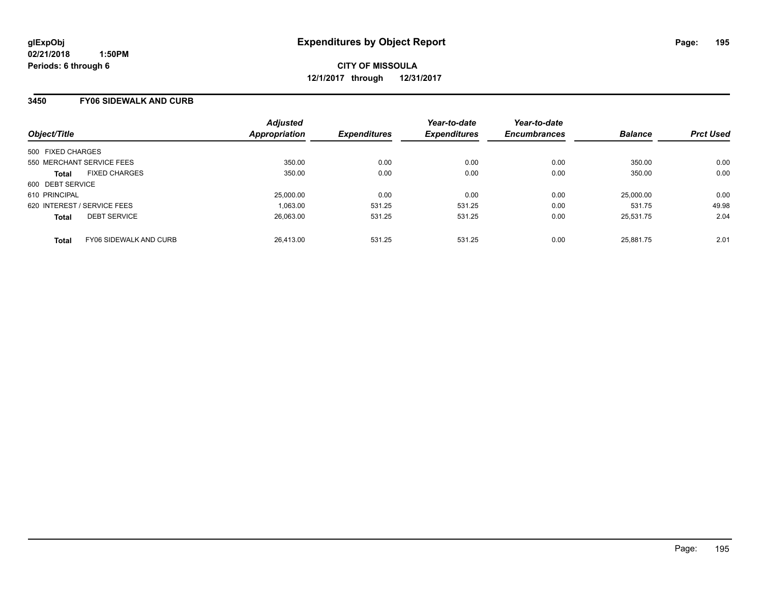### **3450 FY06 SIDEWALK AND CURB**

| Object/Title                |                               | <b>Adjusted</b><br>Appropriation | <b>Expenditures</b> | Year-to-date<br><b>Expenditures</b> | Year-to-date<br><b>Encumbrances</b> | <b>Balance</b> | <b>Prct Used</b> |
|-----------------------------|-------------------------------|----------------------------------|---------------------|-------------------------------------|-------------------------------------|----------------|------------------|
| 500 FIXED CHARGES           |                               |                                  |                     |                                     |                                     |                |                  |
| 550 MERCHANT SERVICE FEES   |                               | 350.00                           | 0.00                | 0.00                                | 0.00                                | 350.00         | 0.00             |
| <b>Total</b>                | <b>FIXED CHARGES</b>          | 350.00                           | 0.00                | 0.00                                | 0.00                                | 350.00         | 0.00             |
| 600 DEBT SERVICE            |                               |                                  |                     |                                     |                                     |                |                  |
| 610 PRINCIPAL               |                               | 25.000.00                        | 0.00                | 0.00                                | 0.00                                | 25,000.00      | 0.00             |
| 620 INTEREST / SERVICE FEES |                               | 1.063.00                         | 531.25              | 531.25                              | 0.00                                | 531.75         | 49.98            |
| <b>Total</b>                | <b>DEBT SERVICE</b>           | 26.063.00                        | 531.25              | 531.25                              | 0.00                                | 25.531.75      | 2.04             |
| <b>Total</b>                | <b>FY06 SIDEWALK AND CURB</b> | 26.413.00                        | 531.25              | 531.25                              | 0.00                                | 25.881.75      | 2.01             |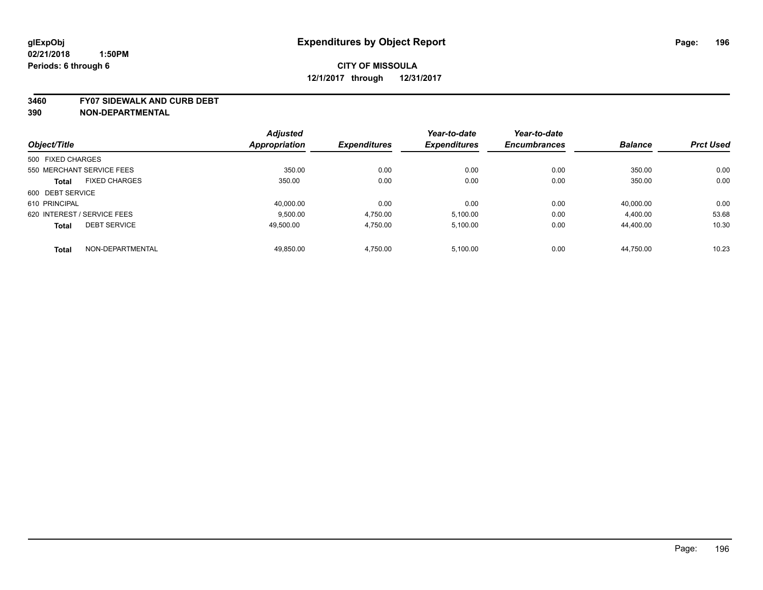#### **3460 FY07 SIDEWALK AND CURB DEBT**

|                             |                      | <b>Adjusted</b> |                     | Year-to-date        | Year-to-date        |                |                  |
|-----------------------------|----------------------|-----------------|---------------------|---------------------|---------------------|----------------|------------------|
| Object/Title                |                      | Appropriation   | <b>Expenditures</b> | <b>Expenditures</b> | <b>Encumbrances</b> | <b>Balance</b> | <b>Prct Used</b> |
| 500 FIXED CHARGES           |                      |                 |                     |                     |                     |                |                  |
| 550 MERCHANT SERVICE FEES   |                      | 350.00          | 0.00                | 0.00                | 0.00                | 350.00         | 0.00             |
| <b>Total</b>                | <b>FIXED CHARGES</b> | 350.00          | 0.00                | 0.00                | 0.00                | 350.00         | 0.00             |
| 600 DEBT SERVICE            |                      |                 |                     |                     |                     |                |                  |
| 610 PRINCIPAL               |                      | 40,000.00       | 0.00                | 0.00                | 0.00                | 40,000.00      | 0.00             |
| 620 INTEREST / SERVICE FEES |                      | 9.500.00        | 4,750.00            | 5.100.00            | 0.00                | 4,400.00       | 53.68            |
| <b>Total</b>                | <b>DEBT SERVICE</b>  | 49.500.00       | 4,750.00            | 5,100.00            | 0.00                | 44,400.00      | 10.30            |
| <b>Total</b>                | NON-DEPARTMENTAL     | 49,850.00       | 4,750.00            | 5,100.00            | 0.00                | 44,750.00      | 10.23            |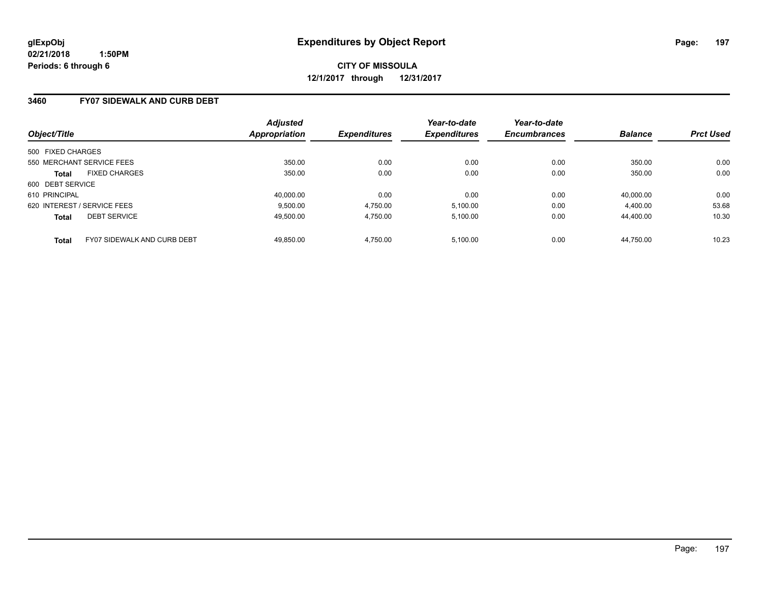#### **3460 FY07 SIDEWALK AND CURB DEBT**

| Object/Title      |                                    | <b>Adjusted</b><br>Appropriation | <b>Expenditures</b> | Year-to-date<br><b>Expenditures</b> | Year-to-date<br><b>Encumbrances</b> | <b>Balance</b> | <b>Prct Used</b> |
|-------------------|------------------------------------|----------------------------------|---------------------|-------------------------------------|-------------------------------------|----------------|------------------|
| 500 FIXED CHARGES |                                    |                                  |                     |                                     |                                     |                |                  |
|                   | 550 MERCHANT SERVICE FEES          | 350.00                           | 0.00                | 0.00                                | 0.00                                | 350.00         | 0.00             |
| <b>Total</b>      | <b>FIXED CHARGES</b>               | 350.00                           | 0.00                | 0.00                                | 0.00                                | 350.00         | 0.00             |
| 600 DEBT SERVICE  |                                    |                                  |                     |                                     |                                     |                |                  |
| 610 PRINCIPAL     |                                    | 40.000.00                        | 0.00                | 0.00                                | 0.00                                | 40.000.00      | 0.00             |
|                   | 620 INTEREST / SERVICE FEES        | 9.500.00                         | 4,750.00            | 5,100.00                            | 0.00                                | 4,400.00       | 53.68            |
| <b>Total</b>      | <b>DEBT SERVICE</b>                | 49.500.00                        | 4.750.00            | 5,100.00                            | 0.00                                | 44.400.00      | 10.30            |
| <b>Total</b>      | <b>FY07 SIDEWALK AND CURB DEBT</b> | 49.850.00                        | 4.750.00            | 5.100.00                            | 0.00                                | 44.750.00      | 10.23            |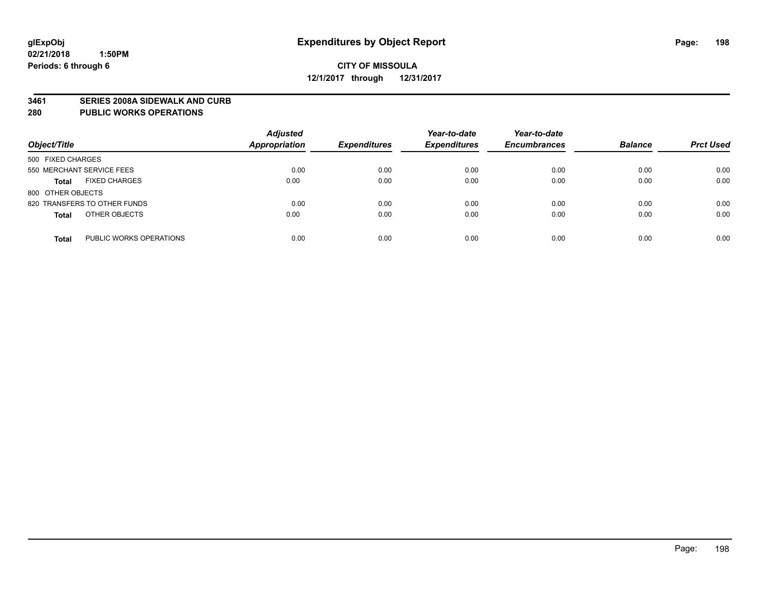#### **3461 SERIES 2008A SIDEWALK AND CURB**

#### **280 PUBLIC WORKS OPERATIONS**

| Object/Title                            | <b>Adjusted</b><br>Appropriation | <b>Expenditures</b> | Year-to-date<br><b>Expenditures</b> | Year-to-date<br><b>Encumbrances</b> | <b>Balance</b> | <b>Prct Used</b> |
|-----------------------------------------|----------------------------------|---------------------|-------------------------------------|-------------------------------------|----------------|------------------|
| 500 FIXED CHARGES                       |                                  |                     |                                     |                                     |                |                  |
| 550 MERCHANT SERVICE FEES               | 0.00                             | 0.00                | 0.00                                | 0.00                                | 0.00           | 0.00             |
| <b>FIXED CHARGES</b><br><b>Total</b>    | 0.00                             | 0.00                | 0.00                                | 0.00                                | 0.00           | 0.00             |
| 800 OTHER OBJECTS                       |                                  |                     |                                     |                                     |                |                  |
| 820 TRANSFERS TO OTHER FUNDS            | 0.00                             | 0.00                | 0.00                                | 0.00                                | 0.00           | 0.00             |
| OTHER OBJECTS<br><b>Total</b>           | 0.00                             | 0.00                | 0.00                                | 0.00                                | 0.00           | 0.00             |
| PUBLIC WORKS OPERATIONS<br><b>Total</b> | 0.00                             | 0.00                | 0.00                                | 0.00                                | 0.00           | 0.00             |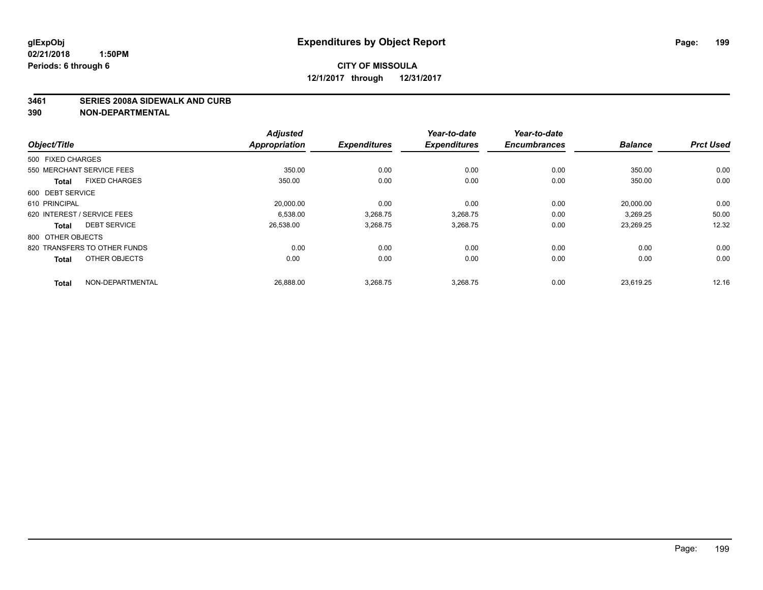#### **3461 SERIES 2008A SIDEWALK AND CURB**

| Object/Title                         | <b>Adjusted</b><br><b>Appropriation</b> | <b>Expenditures</b> | Year-to-date<br><b>Expenditures</b> | Year-to-date<br><b>Encumbrances</b> | <b>Balance</b> | <b>Prct Used</b> |
|--------------------------------------|-----------------------------------------|---------------------|-------------------------------------|-------------------------------------|----------------|------------------|
|                                      |                                         |                     |                                     |                                     |                |                  |
| 500 FIXED CHARGES                    |                                         |                     |                                     |                                     |                |                  |
| 550 MERCHANT SERVICE FEES            | 350.00                                  | 0.00                | 0.00                                | 0.00                                | 350.00         | 0.00             |
| <b>FIXED CHARGES</b><br><b>Total</b> | 350.00                                  | 0.00                | 0.00                                | 0.00                                | 350.00         | 0.00             |
| 600 DEBT SERVICE                     |                                         |                     |                                     |                                     |                |                  |
| 610 PRINCIPAL                        | 20,000.00                               | 0.00                | 0.00                                | 0.00                                | 20,000.00      | 0.00             |
| 620 INTEREST / SERVICE FEES          | 6.538.00                                | 3,268.75            | 3,268.75                            | 0.00                                | 3.269.25       | 50.00            |
| <b>DEBT SERVICE</b><br><b>Total</b>  | 26,538.00                               | 3,268.75            | 3,268.75                            | 0.00                                | 23,269.25      | 12.32            |
| 800 OTHER OBJECTS                    |                                         |                     |                                     |                                     |                |                  |
| 820 TRANSFERS TO OTHER FUNDS         | 0.00                                    | 0.00                | 0.00                                | 0.00                                | 0.00           | 0.00             |
| OTHER OBJECTS<br><b>Total</b>        | 0.00                                    | 0.00                | 0.00                                | 0.00                                | 0.00           | 0.00             |
| NON-DEPARTMENTAL<br><b>Total</b>     | 26,888.00                               | 3,268.75            | 3,268.75                            | 0.00                                | 23,619.25      | 12.16            |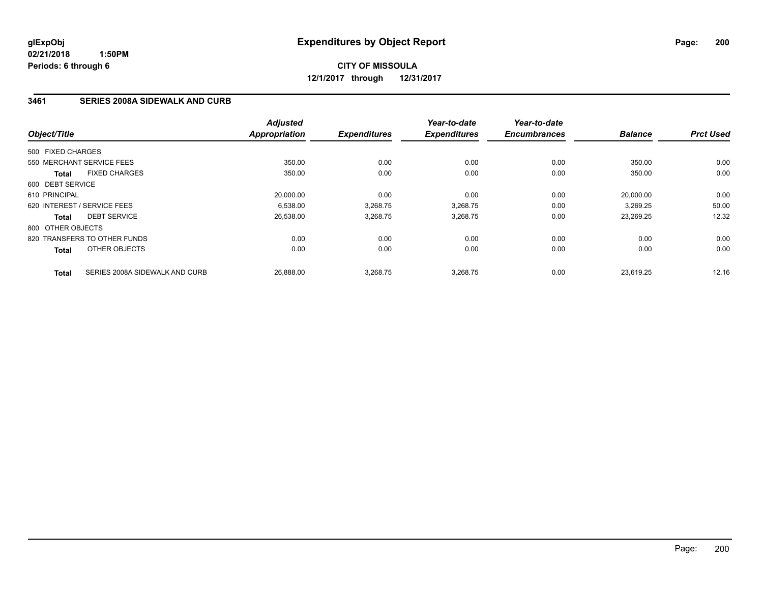## **CITY OF MISSOULA 12/1/2017 through 12/31/2017**

### **3461 SERIES 2008A SIDEWALK AND CURB**

| Object/Title      |                                | <b>Adjusted</b><br><b>Appropriation</b> | <b>Expenditures</b> | Year-to-date<br><b>Expenditures</b> | Year-to-date<br><b>Encumbrances</b> | <b>Balance</b> | <b>Prct Used</b> |
|-------------------|--------------------------------|-----------------------------------------|---------------------|-------------------------------------|-------------------------------------|----------------|------------------|
| 500 FIXED CHARGES |                                |                                         |                     |                                     |                                     |                |                  |
|                   | 550 MERCHANT SERVICE FEES      | 350.00                                  | 0.00                | 0.00                                | 0.00                                | 350.00         | 0.00             |
| <b>Total</b>      | <b>FIXED CHARGES</b>           | 350.00                                  | 0.00                | 0.00                                | 0.00                                | 350.00         | 0.00             |
| 600 DEBT SERVICE  |                                |                                         |                     |                                     |                                     |                |                  |
| 610 PRINCIPAL     |                                | 20,000.00                               | 0.00                | 0.00                                | 0.00                                | 20.000.00      | 0.00             |
|                   | 620 INTEREST / SERVICE FEES    | 6.538.00                                | 3,268.75            | 3,268.75                            | 0.00                                | 3,269.25       | 50.00            |
| <b>Total</b>      | <b>DEBT SERVICE</b>            | 26,538.00                               | 3,268.75            | 3,268.75                            | 0.00                                | 23,269.25      | 12.32            |
| 800 OTHER OBJECTS |                                |                                         |                     |                                     |                                     |                |                  |
|                   | 820 TRANSFERS TO OTHER FUNDS   | 0.00                                    | 0.00                | 0.00                                | 0.00                                | 0.00           | 0.00             |
| <b>Total</b>      | OTHER OBJECTS                  | 0.00                                    | 0.00                | 0.00                                | 0.00                                | 0.00           | 0.00             |
| <b>Total</b>      | SERIES 2008A SIDEWALK AND CURB | 26.888.00                               | 3.268.75            | 3,268.75                            | 0.00                                | 23.619.25      | 12.16            |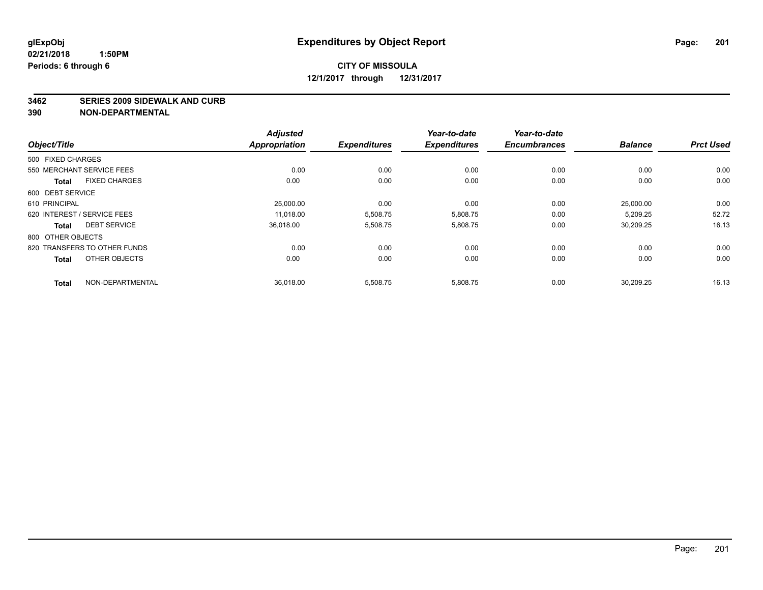#### **3462 SERIES 2009 SIDEWALK AND CURB**

|                                      | <b>Adjusted</b>      |                     | Year-to-date        | Year-to-date        |                |                  |
|--------------------------------------|----------------------|---------------------|---------------------|---------------------|----------------|------------------|
| Object/Title                         | <b>Appropriation</b> | <b>Expenditures</b> | <b>Expenditures</b> | <b>Encumbrances</b> | <b>Balance</b> | <b>Prct Used</b> |
| 500 FIXED CHARGES                    |                      |                     |                     |                     |                |                  |
| 550 MERCHANT SERVICE FEES            | 0.00                 | 0.00                | 0.00                | 0.00                | 0.00           | 0.00             |
| <b>FIXED CHARGES</b><br><b>Total</b> | 0.00                 | 0.00                | 0.00                | 0.00                | 0.00           | 0.00             |
| 600 DEBT SERVICE                     |                      |                     |                     |                     |                |                  |
| 610 PRINCIPAL                        | 25,000.00            | 0.00                | 0.00                | 0.00                | 25.000.00      | 0.00             |
| 620 INTEREST / SERVICE FEES          | 11.018.00            | 5,508.75            | 5,808.75            | 0.00                | 5.209.25       | 52.72            |
| <b>DEBT SERVICE</b><br><b>Total</b>  | 36,018.00            | 5,508.75            | 5,808.75            | 0.00                | 30,209.25      | 16.13            |
| 800 OTHER OBJECTS                    |                      |                     |                     |                     |                |                  |
| 820 TRANSFERS TO OTHER FUNDS         | 0.00                 | 0.00                | 0.00                | 0.00                | 0.00           | 0.00             |
| OTHER OBJECTS<br><b>Total</b>        | 0.00                 | 0.00                | 0.00                | 0.00                | 0.00           | 0.00             |
| NON-DEPARTMENTAL<br><b>Total</b>     | 36,018.00            | 5,508.75            | 5,808.75            | 0.00                | 30,209.25      | 16.13            |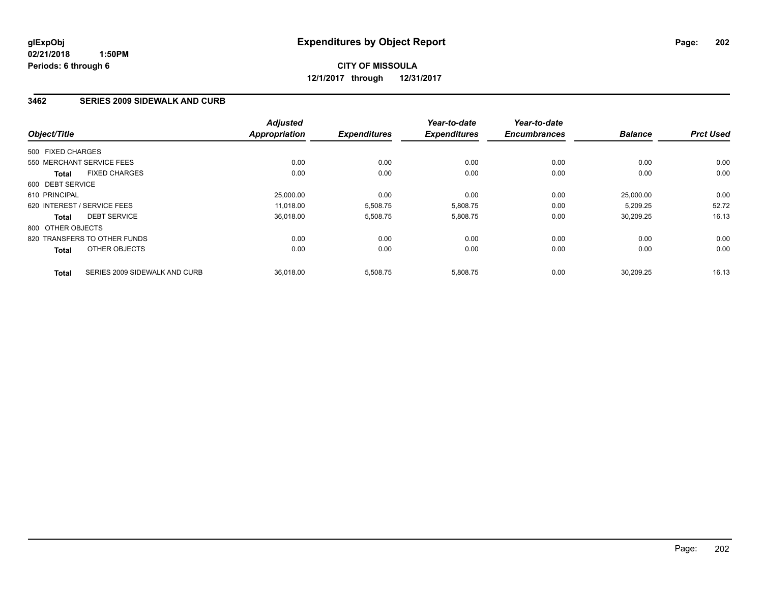### **3462 SERIES 2009 SIDEWALK AND CURB**

| Object/Title                |                               | <b>Adjusted</b><br>Appropriation | <b>Expenditures</b> | Year-to-date<br><b>Expenditures</b> | Year-to-date<br><b>Encumbrances</b> | <b>Balance</b> | <b>Prct Used</b> |
|-----------------------------|-------------------------------|----------------------------------|---------------------|-------------------------------------|-------------------------------------|----------------|------------------|
| 500 FIXED CHARGES           |                               |                                  |                     |                                     |                                     |                |                  |
| 550 MERCHANT SERVICE FEES   |                               | 0.00                             | 0.00                | 0.00                                | 0.00                                | 0.00           | 0.00             |
| <b>Total</b>                | <b>FIXED CHARGES</b>          | 0.00                             | 0.00                | 0.00                                | 0.00                                | 0.00           | 0.00             |
| 600 DEBT SERVICE            |                               |                                  |                     |                                     |                                     |                |                  |
| 610 PRINCIPAL               |                               | 25,000.00                        | 0.00                | 0.00                                | 0.00                                | 25.000.00      | 0.00             |
| 620 INTEREST / SERVICE FEES |                               | 11.018.00                        | 5,508.75            | 5,808.75                            | 0.00                                | 5,209.25       | 52.72            |
| <b>Total</b>                | <b>DEBT SERVICE</b>           | 36.018.00                        | 5,508.75            | 5,808.75                            | 0.00                                | 30,209.25      | 16.13            |
| 800 OTHER OBJECTS           |                               |                                  |                     |                                     |                                     |                |                  |
|                             | 820 TRANSFERS TO OTHER FUNDS  | 0.00                             | 0.00                | 0.00                                | 0.00                                | 0.00           | 0.00             |
| <b>Total</b>                | OTHER OBJECTS                 | 0.00                             | 0.00                | 0.00                                | 0.00                                | 0.00           | 0.00             |
| <b>Total</b>                | SERIES 2009 SIDEWALK AND CURB | 36.018.00                        | 5.508.75            | 5,808.75                            | 0.00                                | 30.209.25      | 16.13            |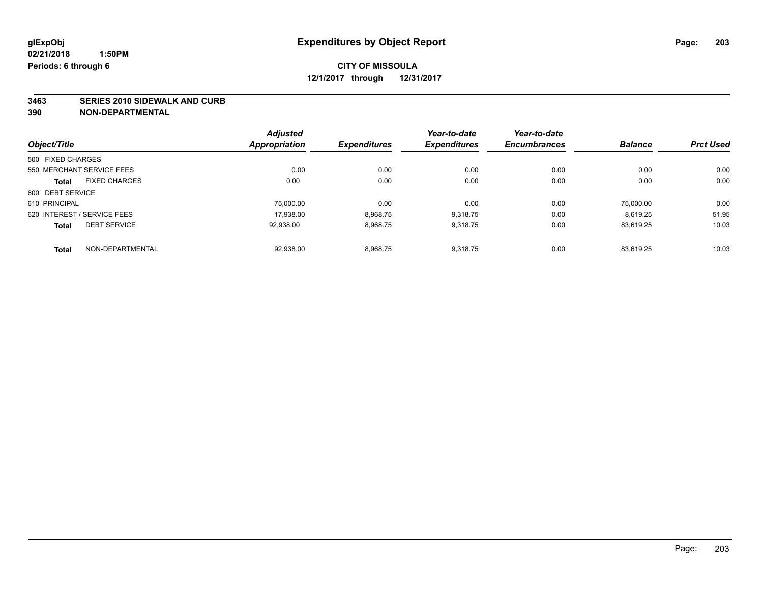#### **3463 SERIES 2010 SIDEWALK AND CURB**

|                   |                             | <b>Adjusted</b>      |                     | Year-to-date        | Year-to-date        |                |                  |
|-------------------|-----------------------------|----------------------|---------------------|---------------------|---------------------|----------------|------------------|
| Object/Title      |                             | <b>Appropriation</b> | <b>Expenditures</b> | <b>Expenditures</b> | <b>Encumbrances</b> | <b>Balance</b> | <b>Prct Used</b> |
| 500 FIXED CHARGES |                             |                      |                     |                     |                     |                |                  |
|                   | 550 MERCHANT SERVICE FEES   | 0.00                 | 0.00                | 0.00                | 0.00                | 0.00           | 0.00             |
| <b>Total</b>      | <b>FIXED CHARGES</b>        | 0.00                 | 0.00                | 0.00                | 0.00                | 0.00           | 0.00             |
| 600 DEBT SERVICE  |                             |                      |                     |                     |                     |                |                  |
| 610 PRINCIPAL     |                             | 75,000.00            | 0.00                | 0.00                | 0.00                | 75.000.00      | 0.00             |
|                   | 620 INTEREST / SERVICE FEES | 17.938.00            | 8,968.75            | 9.318.75            | 0.00                | 8.619.25       | 51.95            |
| <b>Total</b>      | <b>DEBT SERVICE</b>         | 92,938.00            | 8,968.75            | 9.318.75            | 0.00                | 83.619.25      | 10.03            |
| <b>Total</b>      | NON-DEPARTMENTAL            | 92,938.00            | 8,968.75            | 9.318.75            | 0.00                | 83.619.25      | 10.03            |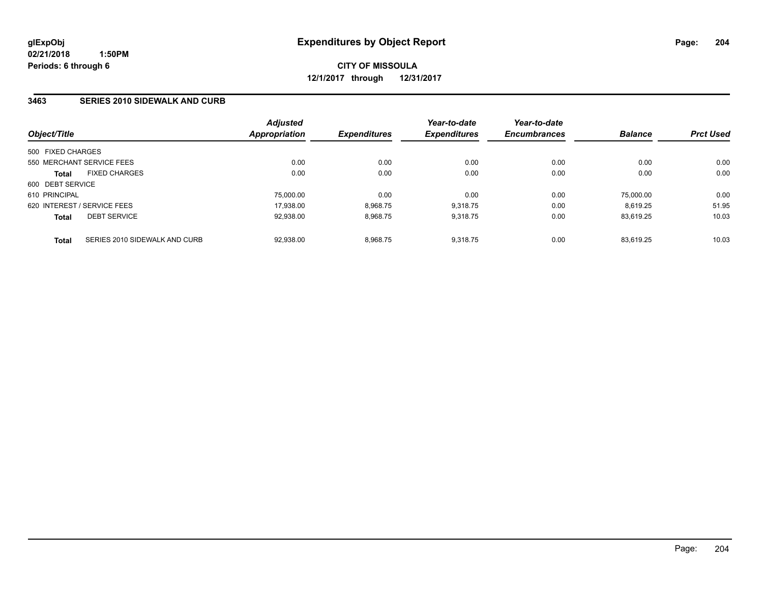### **3463 SERIES 2010 SIDEWALK AND CURB**

| Object/Title                |                               | <b>Adjusted</b><br>Appropriation | <b>Expenditures</b> | Year-to-date<br><b>Expenditures</b> | Year-to-date<br><b>Encumbrances</b> | <b>Balance</b> | <b>Prct Used</b> |
|-----------------------------|-------------------------------|----------------------------------|---------------------|-------------------------------------|-------------------------------------|----------------|------------------|
| 500 FIXED CHARGES           |                               |                                  |                     |                                     |                                     |                |                  |
| 550 MERCHANT SERVICE FEES   |                               | 0.00                             | 0.00                | 0.00                                | 0.00                                | 0.00           | 0.00             |
| <b>Total</b>                | <b>FIXED CHARGES</b>          | 0.00                             | 0.00                | 0.00                                | 0.00                                | 0.00           | 0.00             |
| 600 DEBT SERVICE            |                               |                                  |                     |                                     |                                     |                |                  |
| 610 PRINCIPAL               |                               | 75.000.00                        | 0.00                | 0.00                                | 0.00                                | 75.000.00      | 0.00             |
| 620 INTEREST / SERVICE FEES |                               | 17,938.00                        | 8,968.75            | 9.318.75                            | 0.00                                | 8.619.25       | 51.95            |
| <b>Total</b>                | <b>DEBT SERVICE</b>           | 92.938.00                        | 8.968.75            | 9.318.75                            | 0.00                                | 83.619.25      | 10.03            |
| <b>Total</b>                | SERIES 2010 SIDEWALK AND CURB | 92.938.00                        | 8.968.75            | 9.318.75                            | 0.00                                | 83.619.25      | 10.03            |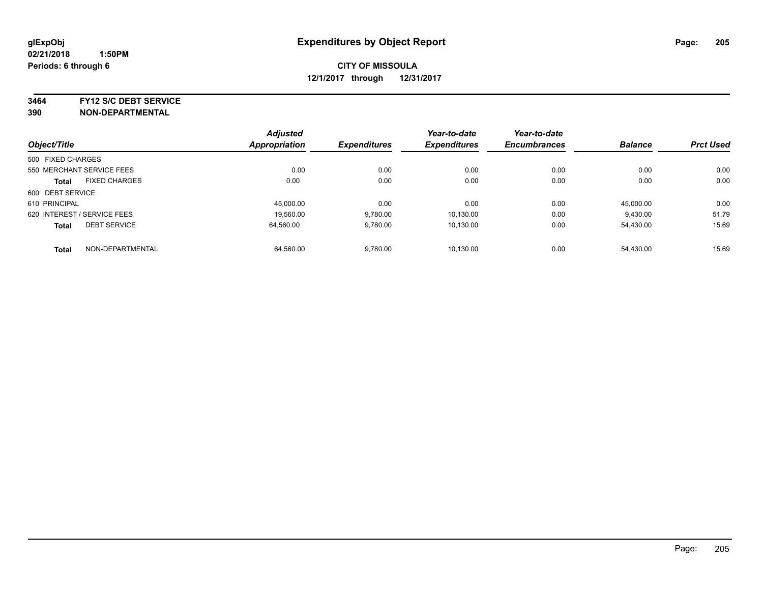**3464 FY12 S/C DEBT SERVICE**

|                   |                             | <b>Adjusted</b> |                     | Year-to-date        | Year-to-date        |                |                  |
|-------------------|-----------------------------|-----------------|---------------------|---------------------|---------------------|----------------|------------------|
| Object/Title      |                             | Appropriation   | <b>Expenditures</b> | <b>Expenditures</b> | <b>Encumbrances</b> | <b>Balance</b> | <b>Prct Used</b> |
| 500 FIXED CHARGES |                             |                 |                     |                     |                     |                |                  |
|                   | 550 MERCHANT SERVICE FEES   | 0.00            | 0.00                | 0.00                | 0.00                | 0.00           | 0.00             |
| <b>Total</b>      | <b>FIXED CHARGES</b>        | 0.00            | 0.00                | 0.00                | 0.00                | 0.00           | 0.00             |
| 600 DEBT SERVICE  |                             |                 |                     |                     |                     |                |                  |
| 610 PRINCIPAL     |                             | 45.000.00       | 0.00                | 0.00                | 0.00                | 45.000.00      | 0.00             |
|                   | 620 INTEREST / SERVICE FEES | 19.560.00       | 9,780.00            | 10.130.00           | 0.00                | 9,430.00       | 51.79            |
| <b>Total</b>      | <b>DEBT SERVICE</b>         | 64,560.00       | 9,780.00            | 10,130.00           | 0.00                | 54,430.00      | 15.69            |
| <b>Total</b>      | NON-DEPARTMENTAL            | 64,560.00       | 9.780.00            | 10.130.00           | 0.00                | 54,430.00      | 15.69            |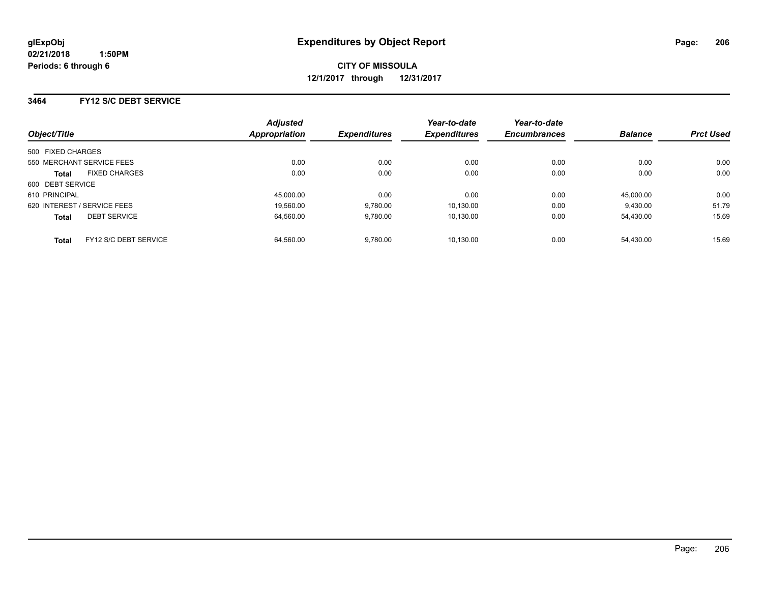### **3464 FY12 S/C DEBT SERVICE**

|                             |                       | <b>Adjusted</b> |                     | Year-to-date        | Year-to-date        |                |                  |
|-----------------------------|-----------------------|-----------------|---------------------|---------------------|---------------------|----------------|------------------|
| Object/Title                |                       | Appropriation   | <b>Expenditures</b> | <b>Expenditures</b> | <b>Encumbrances</b> | <b>Balance</b> | <b>Prct Used</b> |
| 500 FIXED CHARGES           |                       |                 |                     |                     |                     |                |                  |
| 550 MERCHANT SERVICE FEES   |                       | 0.00            | 0.00                | 0.00                | 0.00                | 0.00           | 0.00             |
| <b>Total</b>                | <b>FIXED CHARGES</b>  | 0.00            | 0.00                | 0.00                | 0.00                | 0.00           | 0.00             |
| 600 DEBT SERVICE            |                       |                 |                     |                     |                     |                |                  |
| 610 PRINCIPAL               |                       | 45.000.00       | 0.00                | 0.00                | 0.00                | 45.000.00      | 0.00             |
| 620 INTEREST / SERVICE FEES |                       | 19.560.00       | 9,780.00            | 10.130.00           | 0.00                | 9.430.00       | 51.79            |
| <b>Total</b>                | <b>DEBT SERVICE</b>   | 64.560.00       | 9.780.00            | 10.130.00           | 0.00                | 54.430.00      | 15.69            |
| <b>Total</b>                | FY12 S/C DEBT SERVICE | 64.560.00       | 9.780.00            | 10.130.00           | 0.00                | 54.430.00      | 15.69            |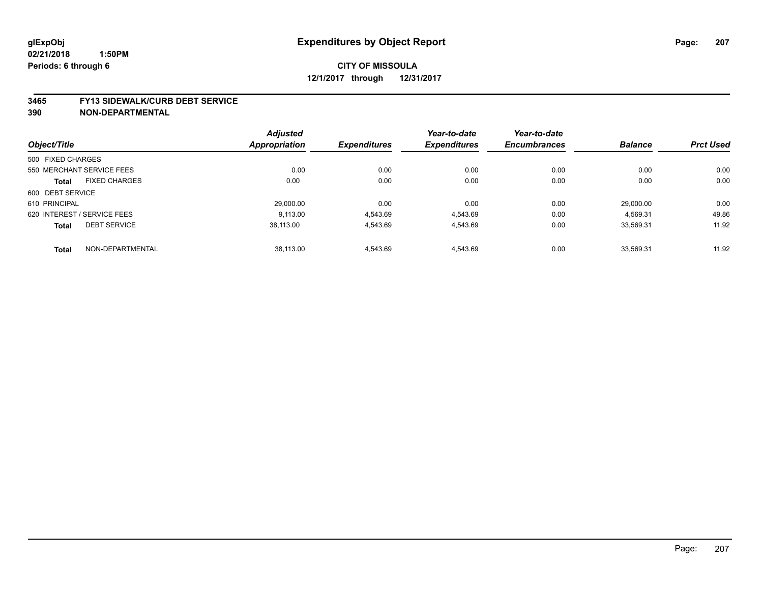#### **3465 FY13 SIDEWALK/CURB DEBT SERVICE**

|                   |                             | <b>Adjusted</b>      |                     | Year-to-date        | Year-to-date        |                |                  |
|-------------------|-----------------------------|----------------------|---------------------|---------------------|---------------------|----------------|------------------|
| Object/Title      |                             | <b>Appropriation</b> | <b>Expenditures</b> | <b>Expenditures</b> | <b>Encumbrances</b> | <b>Balance</b> | <b>Prct Used</b> |
| 500 FIXED CHARGES |                             |                      |                     |                     |                     |                |                  |
|                   | 550 MERCHANT SERVICE FEES   | 0.00                 | 0.00                | 0.00                | 0.00                | 0.00           | 0.00             |
| <b>Total</b>      | <b>FIXED CHARGES</b>        | 0.00                 | 0.00                | 0.00                | 0.00                | 0.00           | 0.00             |
| 600 DEBT SERVICE  |                             |                      |                     |                     |                     |                |                  |
| 610 PRINCIPAL     |                             | 29,000.00            | 0.00                | 0.00                | 0.00                | 29.000.00      | 0.00             |
|                   | 620 INTEREST / SERVICE FEES | 9.113.00             | 4,543.69            | 4,543.69            | 0.00                | 4,569.31       | 49.86            |
| <b>Total</b>      | <b>DEBT SERVICE</b>         | 38.113.00            | 4,543.69            | 4.543.69            | 0.00                | 33.569.31      | 11.92            |
| <b>Total</b>      | NON-DEPARTMENTAL            | 38,113.00            | 4,543.69            | 4,543.69            | 0.00                | 33,569.31      | 11.92            |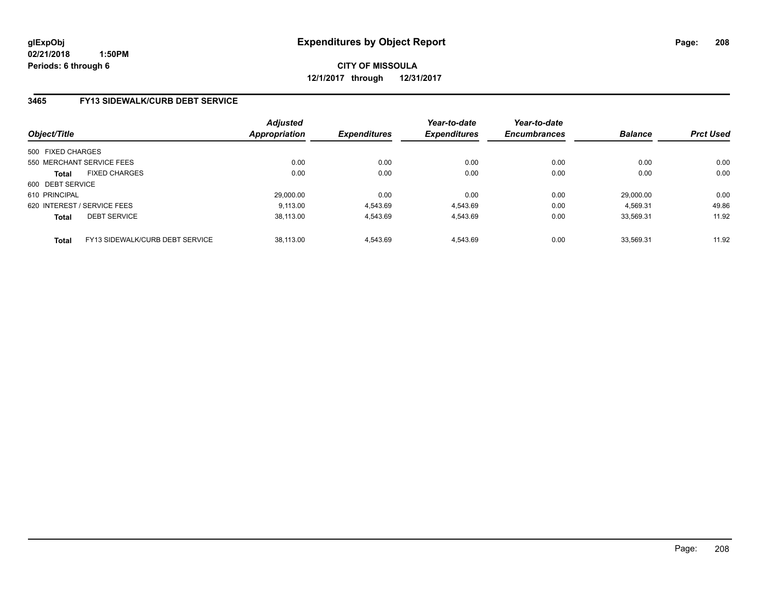**CITY OF MISSOULA 12/1/2017 through 12/31/2017**

### **3465 FY13 SIDEWALK/CURB DEBT SERVICE**

| Object/Title      |                                 | <b>Adjusted</b><br><b>Appropriation</b> | <b>Expenditures</b> | Year-to-date<br><b>Expenditures</b> | Year-to-date<br><b>Encumbrances</b> | <b>Balance</b> | <b>Prct Used</b> |
|-------------------|---------------------------------|-----------------------------------------|---------------------|-------------------------------------|-------------------------------------|----------------|------------------|
| 500 FIXED CHARGES |                                 |                                         |                     |                                     |                                     |                |                  |
|                   | 550 MERCHANT SERVICE FEES       | 0.00                                    | 0.00                | 0.00                                | 0.00                                | 0.00           | 0.00             |
| <b>Total</b>      | <b>FIXED CHARGES</b>            | 0.00                                    | 0.00                | 0.00                                | 0.00                                | 0.00           | 0.00             |
| 600 DEBT SERVICE  |                                 |                                         |                     |                                     |                                     |                |                  |
| 610 PRINCIPAL     |                                 | 29,000.00                               | 0.00                | 0.00                                | 0.00                                | 29.000.00      | 0.00             |
|                   | 620 INTEREST / SERVICE FEES     | 9.113.00                                | 4,543.69            | 4.543.69                            | 0.00                                | 4.569.31       | 49.86            |
| <b>Total</b>      | <b>DEBT SERVICE</b>             | 38.113.00                               | 4.543.69            | 4.543.69                            | 0.00                                | 33.569.31      | 11.92            |
| <b>Total</b>      | FY13 SIDEWALK/CURB DEBT SERVICE | 38.113.00                               | 4.543.69            | 4.543.69                            | 0.00                                | 33.569.31      | 11.92            |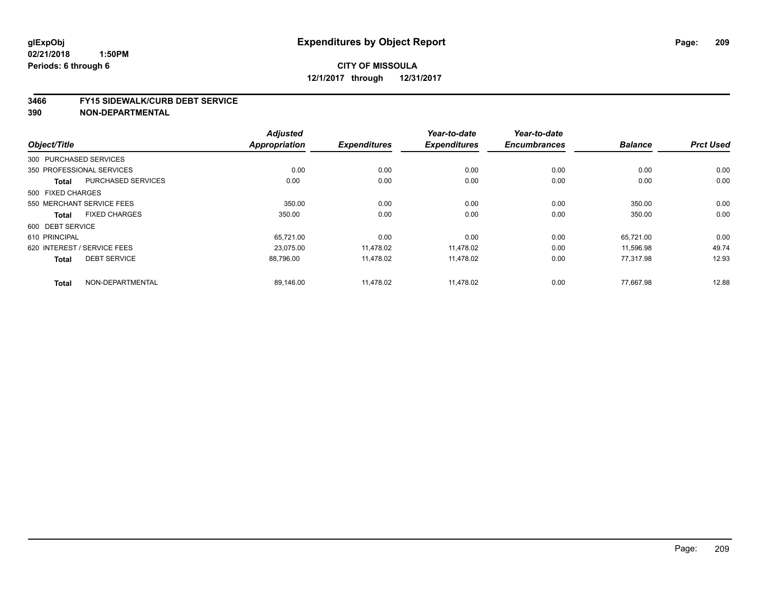## **CITY OF MISSOULA 12/1/2017 through 12/31/2017**

#### **3466 FY15 SIDEWALK/CURB DEBT SERVICE**

|                                      |                           | <b>Adjusted</b>      |                     | Year-to-date        | Year-to-date        |                |                  |
|--------------------------------------|---------------------------|----------------------|---------------------|---------------------|---------------------|----------------|------------------|
| Object/Title                         |                           | <b>Appropriation</b> | <b>Expenditures</b> | <b>Expenditures</b> | <b>Encumbrances</b> | <b>Balance</b> | <b>Prct Used</b> |
| 300 PURCHASED SERVICES               |                           |                      |                     |                     |                     |                |                  |
| 350 PROFESSIONAL SERVICES            |                           | 0.00                 | 0.00                | 0.00                | 0.00                | 0.00           | 0.00             |
| <b>Total</b>                         | <b>PURCHASED SERVICES</b> | 0.00                 | 0.00                | 0.00                | 0.00                | 0.00           | 0.00             |
| 500 FIXED CHARGES                    |                           |                      |                     |                     |                     |                |                  |
| 550 MERCHANT SERVICE FEES            |                           | 350.00               | 0.00                | 0.00                | 0.00                | 350.00         | 0.00             |
| <b>FIXED CHARGES</b><br><b>Total</b> |                           | 350.00               | 0.00                | 0.00                | 0.00                | 350.00         | 0.00             |
| 600 DEBT SERVICE                     |                           |                      |                     |                     |                     |                |                  |
| 610 PRINCIPAL                        |                           | 65,721.00            | 0.00                | 0.00                | 0.00                | 65.721.00      | 0.00             |
| 620 INTEREST / SERVICE FEES          |                           | 23.075.00            | 11,478.02           | 11.478.02           | 0.00                | 11,596.98      | 49.74            |
| <b>DEBT SERVICE</b><br><b>Total</b>  |                           | 88,796.00            | 11,478.02           | 11,478.02           | 0.00                | 77.317.98      | 12.93            |
| <b>Total</b>                         | NON-DEPARTMENTAL          | 89,146.00            | 11,478.02           | 11,478.02           | 0.00                | 77.667.98      | 12.88            |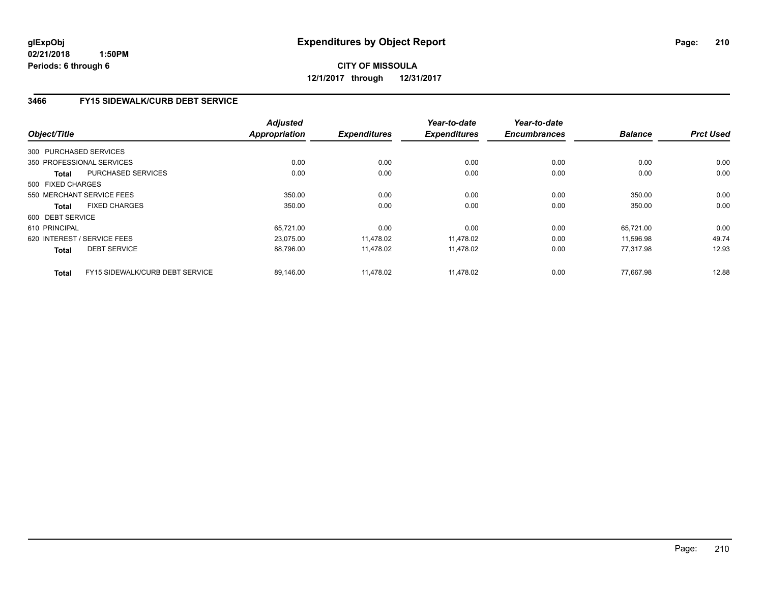## **CITY OF MISSOULA 12/1/2017 through 12/31/2017**

### **3466 FY15 SIDEWALK/CURB DEBT SERVICE**

| Object/Title      |                                 | <b>Adjusted</b><br>Appropriation | <b>Expenditures</b> | Year-to-date<br><b>Expenditures</b> | Year-to-date<br><b>Encumbrances</b> | <b>Balance</b> | <b>Prct Used</b> |
|-------------------|---------------------------------|----------------------------------|---------------------|-------------------------------------|-------------------------------------|----------------|------------------|
|                   |                                 |                                  |                     |                                     |                                     |                |                  |
|                   | 300 PURCHASED SERVICES          |                                  |                     |                                     |                                     |                |                  |
|                   | 350 PROFESSIONAL SERVICES       | 0.00                             | 0.00                | 0.00                                | 0.00                                | 0.00           | 0.00             |
| <b>Total</b>      | <b>PURCHASED SERVICES</b>       | 0.00                             | 0.00                | 0.00                                | 0.00                                | 0.00           | 0.00             |
| 500 FIXED CHARGES |                                 |                                  |                     |                                     |                                     |                |                  |
|                   | 550 MERCHANT SERVICE FEES       | 350.00                           | 0.00                | 0.00                                | 0.00                                | 350.00         | 0.00             |
| Total             | <b>FIXED CHARGES</b>            | 350.00                           | 0.00                | 0.00                                | 0.00                                | 350.00         | 0.00             |
| 600 DEBT SERVICE  |                                 |                                  |                     |                                     |                                     |                |                  |
| 610 PRINCIPAL     |                                 | 65,721.00                        | 0.00                | 0.00                                | 0.00                                | 65,721.00      | 0.00             |
|                   | 620 INTEREST / SERVICE FEES     | 23.075.00                        | 11.478.02           | 11.478.02                           | 0.00                                | 11.596.98      | 49.74            |
| <b>Total</b>      | <b>DEBT SERVICE</b>             | 88,796.00                        | 11,478.02           | 11,478.02                           | 0.00                                | 77.317.98      | 12.93            |
| <b>Total</b>      | FY15 SIDEWALK/CURB DEBT SERVICE | 89.146.00                        | 11.478.02           | 11.478.02                           | 0.00                                | 77.667.98      | 12.88            |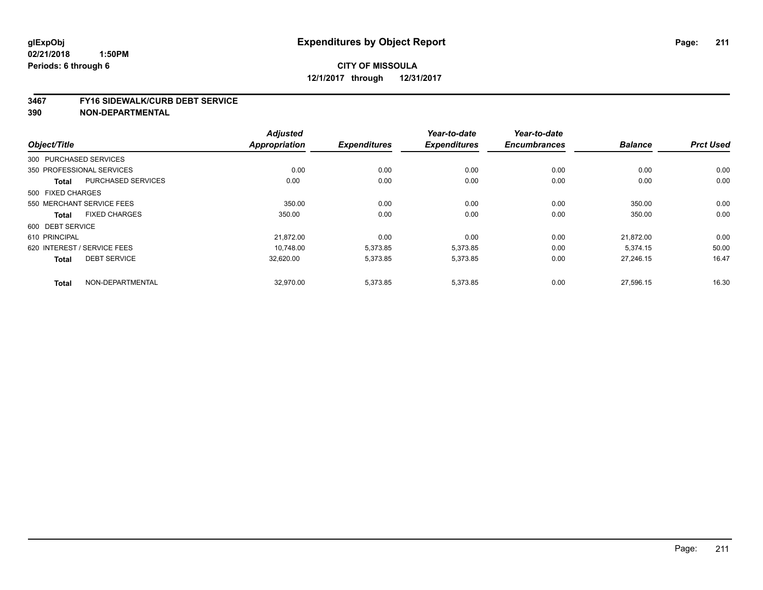## **CITY OF MISSOULA 12/1/2017 through 12/31/2017**

#### **3467 FY16 SIDEWALK/CURB DEBT SERVICE**

|                                           | <b>Adjusted</b>      |                     | Year-to-date        | Year-to-date        |                |                  |
|-------------------------------------------|----------------------|---------------------|---------------------|---------------------|----------------|------------------|
| Object/Title                              | <b>Appropriation</b> | <b>Expenditures</b> | <b>Expenditures</b> | <b>Encumbrances</b> | <b>Balance</b> | <b>Prct Used</b> |
| 300 PURCHASED SERVICES                    |                      |                     |                     |                     |                |                  |
| 350 PROFESSIONAL SERVICES                 | 0.00                 | 0.00                | 0.00                | 0.00                | 0.00           | 0.00             |
| <b>PURCHASED SERVICES</b><br><b>Total</b> | 0.00                 | 0.00                | 0.00                | 0.00                | 0.00           | 0.00             |
| 500 FIXED CHARGES                         |                      |                     |                     |                     |                |                  |
| 550 MERCHANT SERVICE FEES                 | 350.00               | 0.00                | 0.00                | 0.00                | 350.00         | 0.00             |
| <b>FIXED CHARGES</b><br><b>Total</b>      | 350.00               | 0.00                | 0.00                | 0.00                | 350.00         | 0.00             |
| 600 DEBT SERVICE                          |                      |                     |                     |                     |                |                  |
| 610 PRINCIPAL                             | 21.872.00            | 0.00                | 0.00                | 0.00                | 21.872.00      | 0.00             |
| 620 INTEREST / SERVICE FEES               | 10.748.00            | 5,373.85            | 5,373.85            | 0.00                | 5.374.15       | 50.00            |
| <b>DEBT SERVICE</b><br><b>Total</b>       | 32,620.00            | 5,373.85            | 5,373.85            | 0.00                | 27,246.15      | 16.47            |
| NON-DEPARTMENTAL<br><b>Total</b>          | 32,970.00            | 5,373.85            | 5,373.85            | 0.00                | 27,596.15      | 16.30            |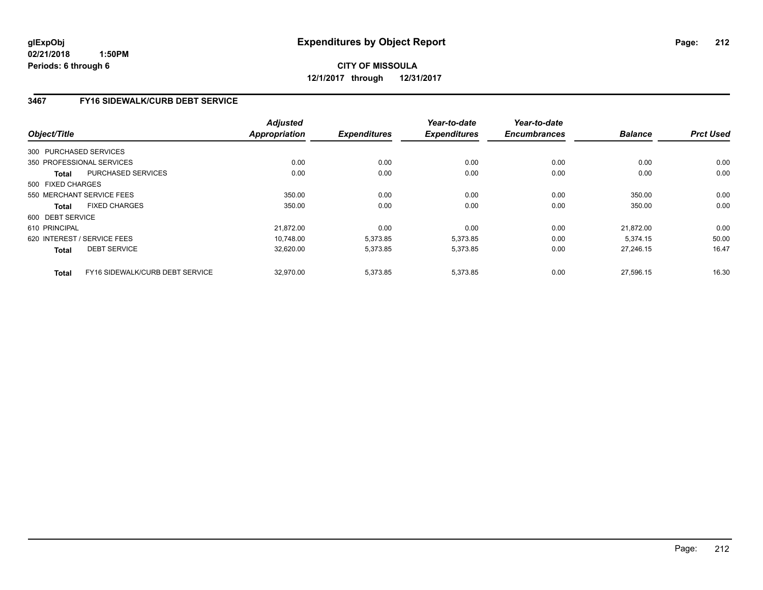## **CITY OF MISSOULA 12/1/2017 through 12/31/2017**

## **3467 FY16 SIDEWALK/CURB DEBT SERVICE**

| Object/Title      |                                 | <b>Adjusted</b><br>Appropriation | <b>Expenditures</b> | Year-to-date<br><b>Expenditures</b> | Year-to-date<br><b>Encumbrances</b> | <b>Balance</b> | <b>Prct Used</b> |
|-------------------|---------------------------------|----------------------------------|---------------------|-------------------------------------|-------------------------------------|----------------|------------------|
|                   |                                 |                                  |                     |                                     |                                     |                |                  |
|                   | 300 PURCHASED SERVICES          |                                  |                     |                                     |                                     |                |                  |
|                   | 350 PROFESSIONAL SERVICES       | 0.00                             | 0.00                | 0.00                                | 0.00                                | 0.00           | 0.00             |
| Total             | <b>PURCHASED SERVICES</b>       | 0.00                             | 0.00                | 0.00                                | 0.00                                | 0.00           | 0.00             |
| 500 FIXED CHARGES |                                 |                                  |                     |                                     |                                     |                |                  |
|                   | 550 MERCHANT SERVICE FEES       | 350.00                           | 0.00                | 0.00                                | 0.00                                | 350.00         | 0.00             |
| Total             | <b>FIXED CHARGES</b>            | 350.00                           | 0.00                | 0.00                                | 0.00                                | 350.00         | 0.00             |
| 600 DEBT SERVICE  |                                 |                                  |                     |                                     |                                     |                |                  |
| 610 PRINCIPAL     |                                 | 21,872.00                        | 0.00                | 0.00                                | 0.00                                | 21,872.00      | 0.00             |
|                   | 620 INTEREST / SERVICE FEES     | 10.748.00                        | 5,373.85            | 5.373.85                            | 0.00                                | 5.374.15       | 50.00            |
| <b>Total</b>      | <b>DEBT SERVICE</b>             | 32,620.00                        | 5,373.85            | 5,373.85                            | 0.00                                | 27,246.15      | 16.47            |
| <b>Total</b>      | FY16 SIDEWALK/CURB DEBT SERVICE | 32.970.00                        | 5,373.85            | 5.373.85                            | 0.00                                | 27.596.15      | 16.30            |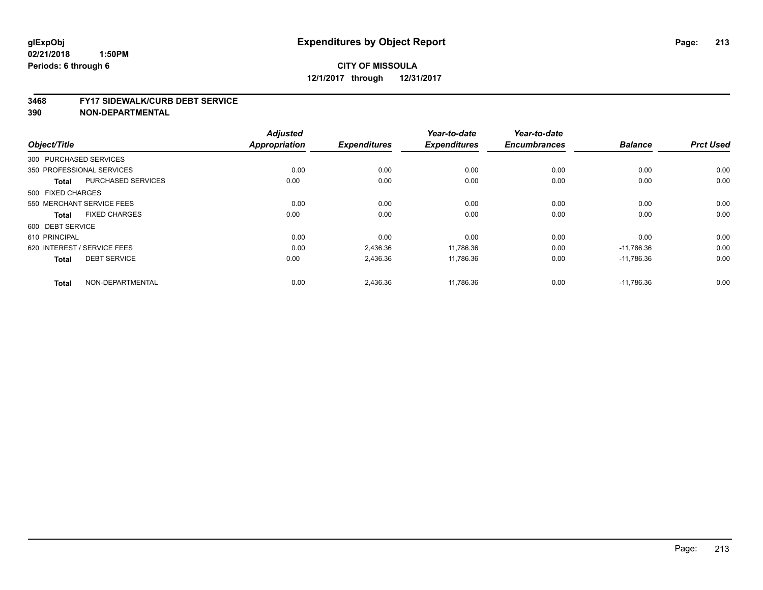#### **3468 FY17 SIDEWALK/CURB DEBT SERVICE**

|                                           | <b>Adjusted</b>      |                     | Year-to-date        | Year-to-date        |                |                  |
|-------------------------------------------|----------------------|---------------------|---------------------|---------------------|----------------|------------------|
| Object/Title                              | <b>Appropriation</b> | <b>Expenditures</b> | <b>Expenditures</b> | <b>Encumbrances</b> | <b>Balance</b> | <b>Prct Used</b> |
| 300 PURCHASED SERVICES                    |                      |                     |                     |                     |                |                  |
| 350 PROFESSIONAL SERVICES                 | 0.00                 | 0.00                | 0.00                | 0.00                | 0.00           | 0.00             |
| <b>PURCHASED SERVICES</b><br><b>Total</b> | 0.00                 | 0.00                | 0.00                | 0.00                | 0.00           | 0.00             |
| 500 FIXED CHARGES                         |                      |                     |                     |                     |                |                  |
| 550 MERCHANT SERVICE FEES                 | 0.00                 | 0.00                | 0.00                | 0.00                | 0.00           | 0.00             |
| <b>FIXED CHARGES</b><br><b>Total</b>      | 0.00                 | 0.00                | 0.00                | 0.00                | 0.00           | 0.00             |
| 600 DEBT SERVICE                          |                      |                     |                     |                     |                |                  |
| 610 PRINCIPAL                             | 0.00                 | 0.00                | 0.00                | 0.00                | 0.00           | 0.00             |
| 620 INTEREST / SERVICE FEES               | 0.00                 | 2,436.36            | 11,786.36           | 0.00                | $-11,786.36$   | 0.00             |
| <b>DEBT SERVICE</b><br><b>Total</b>       | 0.00                 | 2,436.36            | 11,786.36           | 0.00                | $-11,786.36$   | 0.00             |
| NON-DEPARTMENTAL<br><b>Total</b>          | 0.00                 | 2,436.36            | 11,786.36           | 0.00                | $-11,786.36$   | 0.00             |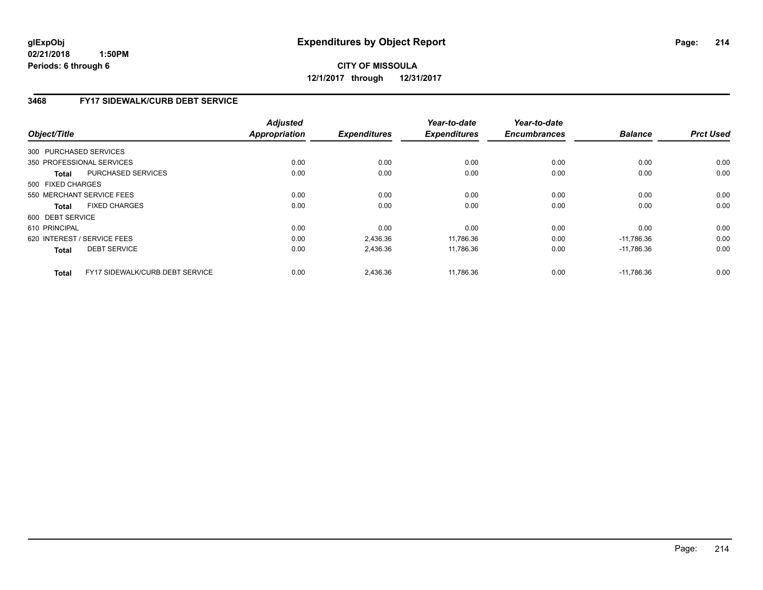**CITY OF MISSOULA 12/1/2017 through 12/31/2017**

### **3468 FY17 SIDEWALK/CURB DEBT SERVICE**

| Object/Title      |                                        | <b>Adjusted</b><br>Appropriation | <b>Expenditures</b> | Year-to-date<br><b>Expenditures</b> | Year-to-date<br><b>Encumbrances</b> | <b>Balance</b> | <b>Prct Used</b> |
|-------------------|----------------------------------------|----------------------------------|---------------------|-------------------------------------|-------------------------------------|----------------|------------------|
|                   |                                        |                                  |                     |                                     |                                     |                |                  |
|                   | 300 PURCHASED SERVICES                 |                                  |                     |                                     |                                     |                |                  |
|                   | 350 PROFESSIONAL SERVICES              | 0.00                             | 0.00                | 0.00                                | 0.00                                | 0.00           | 0.00             |
| <b>Total</b>      | <b>PURCHASED SERVICES</b>              | 0.00                             | 0.00                | 0.00                                | 0.00                                | 0.00           | 0.00             |
| 500 FIXED CHARGES |                                        |                                  |                     |                                     |                                     |                |                  |
|                   | 550 MERCHANT SERVICE FEES              | 0.00                             | 0.00                | 0.00                                | 0.00                                | 0.00           | 0.00             |
| Total             | <b>FIXED CHARGES</b>                   | 0.00                             | 0.00                | 0.00                                | 0.00                                | 0.00           | 0.00             |
| 600 DEBT SERVICE  |                                        |                                  |                     |                                     |                                     |                |                  |
| 610 PRINCIPAL     |                                        | 0.00                             | 0.00                | 0.00                                | 0.00                                | 0.00           | 0.00             |
|                   | 620 INTEREST / SERVICE FEES            | 0.00                             | 2,436.36            | 11.786.36                           | 0.00                                | $-11.786.36$   | 0.00             |
| <b>Total</b>      | <b>DEBT SERVICE</b>                    | 0.00                             | 2,436.36            | 11,786.36                           | 0.00                                | $-11,786.36$   | 0.00             |
| <b>Total</b>      | <b>FY17 SIDEWALK/CURB DEBT SERVICE</b> | 0.00                             | 2,436.36            | 11,786.36                           | 0.00                                | $-11,786.36$   | 0.00             |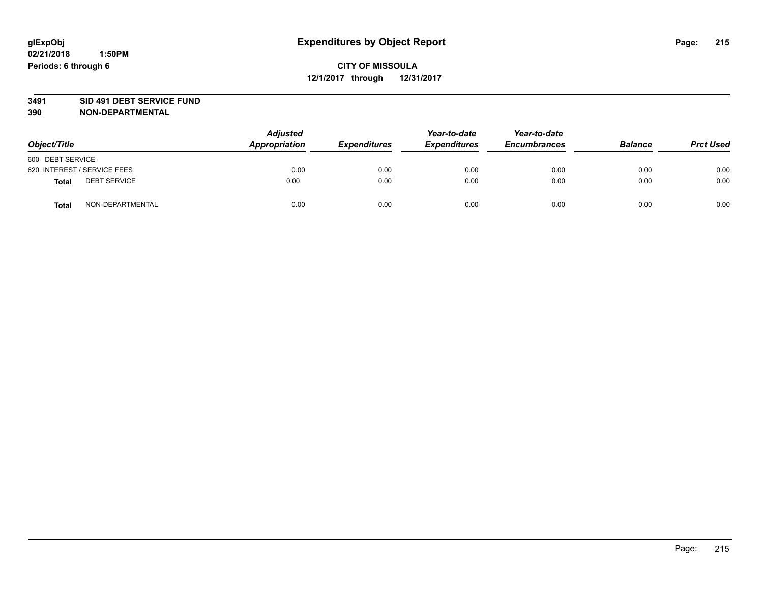#### **3491 SID 491 DEBT SERVICE FUND**

| Object/Title                 | <b>Adjusted</b><br>Appropriation | <b>Expenditures</b> | Year-to-date<br><b>Expenditures</b> | Year-to-date<br><b>Encumbrances</b> | <b>Balance</b> | <b>Prct Used</b> |
|------------------------------|----------------------------------|---------------------|-------------------------------------|-------------------------------------|----------------|------------------|
| 600 DEBT SERVICE             |                                  |                     |                                     |                                     |                |                  |
| 620 INTEREST / SERVICE FEES  | 0.00                             | 0.00                | 0.00                                | 0.00                                | 0.00           | 0.00             |
| <b>DEBT SERVICE</b><br>Total | 0.00                             | 0.00                | 0.00                                | 0.00                                | 0.00           | 0.00             |
| NON-DEPARTMENTAL<br>Total    | 0.00                             | 0.00                | 0.00                                | 0.00                                | 0.00           | 0.00             |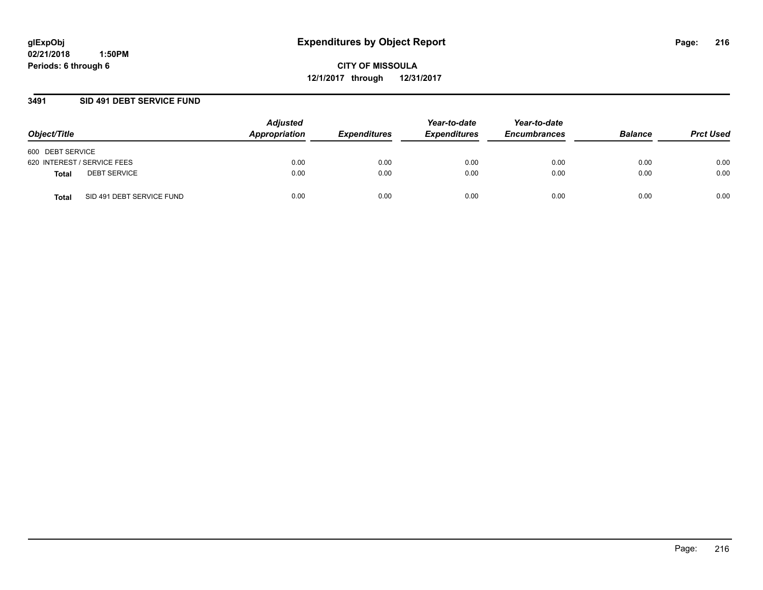### **3491 SID 491 DEBT SERVICE FUND**

| Object/Title                       | <b>Adjusted</b><br>Appropriation | <b>Expenditures</b> | Year-to-date<br><b>Expenditures</b> | Year-to-date<br><b>Encumbrances</b> | <b>Balance</b> | <b>Prct Used</b> |
|------------------------------------|----------------------------------|---------------------|-------------------------------------|-------------------------------------|----------------|------------------|
| 600 DEBT SERVICE                   |                                  |                     |                                     |                                     |                |                  |
| 620 INTEREST / SERVICE FEES        | 0.00                             | 0.00                | 0.00                                | 0.00                                | 0.00           | 0.00             |
| <b>DEBT SERVICE</b><br>Total       | 0.00                             | 0.00                | 0.00                                | 0.00                                | 0.00           | 0.00             |
| SID 491 DEBT SERVICE FUND<br>Total | 0.00                             | 0.00                | 0.00                                | 0.00                                | 0.00           | 0.00             |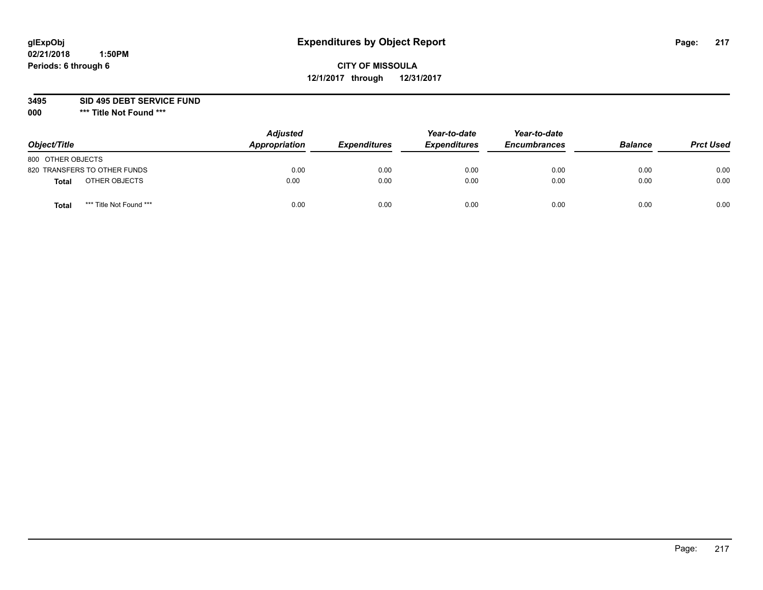## **CITY OF MISSOULA 12/1/2017 through 12/31/2017**

**3495 SID 495 DEBT SERVICE FUND**

| Object/Title                            | <b>Adjusted</b><br>Appropriation | <b>Expenditures</b> | Year-to-date<br><b>Expenditures</b> | Year-to-date<br><b>Encumbrances</b> | <b>Balance</b> | <b>Prct Used</b> |
|-----------------------------------------|----------------------------------|---------------------|-------------------------------------|-------------------------------------|----------------|------------------|
| 800 OTHER OBJECTS                       |                                  |                     |                                     |                                     |                |                  |
| 820 TRANSFERS TO OTHER FUNDS            | 0.00                             | 0.00                | 0.00                                | 0.00                                | 0.00           | 0.00             |
| OTHER OBJECTS<br><b>Total</b>           | 0.00                             | 0.00                | 0.00                                | 0.00                                | 0.00           | 0.00             |
| *** Title Not Found ***<br><b>Total</b> | 0.00                             | 0.00                | 0.00                                | 0.00                                | 0.00           | 0.00             |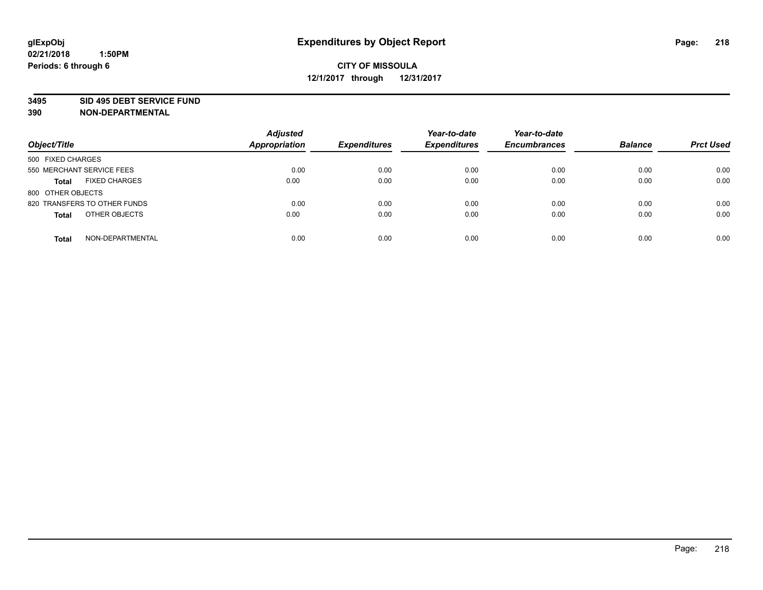#### **3495 SID 495 DEBT SERVICE FUND**

| Object/Title                         | <b>Adjusted</b><br><b>Appropriation</b> | <b>Expenditures</b> | Year-to-date<br><b>Expenditures</b> | Year-to-date<br><b>Encumbrances</b> | <b>Balance</b> | <b>Prct Used</b> |
|--------------------------------------|-----------------------------------------|---------------------|-------------------------------------|-------------------------------------|----------------|------------------|
| 500 FIXED CHARGES                    |                                         |                     |                                     |                                     |                |                  |
| 550 MERCHANT SERVICE FEES            | 0.00                                    | 0.00                | 0.00                                | 0.00                                | 0.00           | 0.00             |
| <b>FIXED CHARGES</b><br><b>Total</b> | 0.00                                    | 0.00                | 0.00                                | 0.00                                | 0.00           | 0.00             |
| 800 OTHER OBJECTS                    |                                         |                     |                                     |                                     |                |                  |
| 820 TRANSFERS TO OTHER FUNDS         | 0.00                                    | 0.00                | 0.00                                | 0.00                                | 0.00           | 0.00             |
| OTHER OBJECTS<br><b>Total</b>        | 0.00                                    | 0.00                | 0.00                                | 0.00                                | 0.00           | 0.00             |
| NON-DEPARTMENTAL<br><b>Total</b>     | 0.00                                    | 0.00                | 0.00                                | 0.00                                | 0.00           | 0.00             |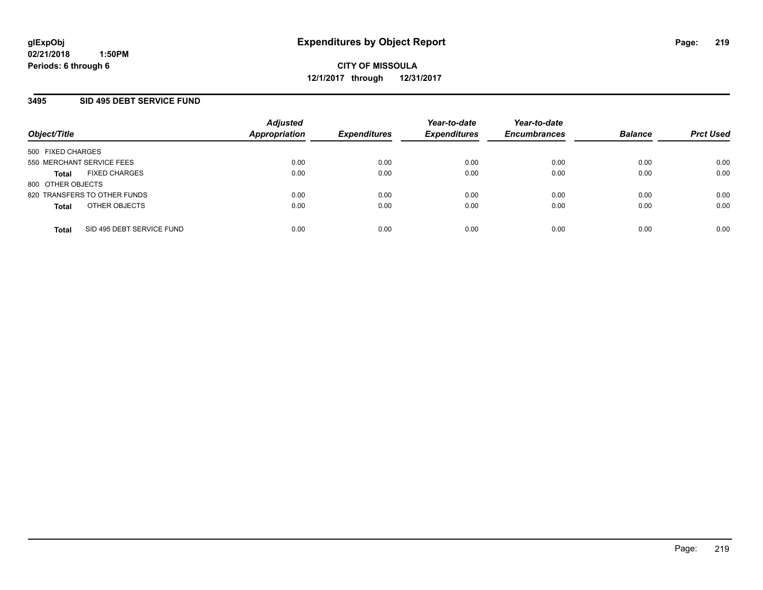#### **3495 SID 495 DEBT SERVICE FUND**

| Object/Title                              | <b>Adjusted</b><br>Appropriation | <b>Expenditures</b> | Year-to-date<br><b>Expenditures</b> | Year-to-date<br><b>Encumbrances</b> | <b>Balance</b> | <b>Prct Used</b> |
|-------------------------------------------|----------------------------------|---------------------|-------------------------------------|-------------------------------------|----------------|------------------|
| 500 FIXED CHARGES                         |                                  |                     |                                     |                                     |                |                  |
| 550 MERCHANT SERVICE FEES                 | 0.00                             | 0.00                | 0.00                                | 0.00                                | 0.00           | 0.00             |
| <b>FIXED CHARGES</b><br><b>Total</b>      | 0.00                             | 0.00                | 0.00                                | 0.00                                | 0.00           | 0.00             |
| 800 OTHER OBJECTS                         |                                  |                     |                                     |                                     |                |                  |
| 820 TRANSFERS TO OTHER FUNDS              | 0.00                             | 0.00                | 0.00                                | 0.00                                | 0.00           | 0.00             |
| OTHER OBJECTS<br><b>Total</b>             | 0.00                             | 0.00                | 0.00                                | 0.00                                | 0.00           | 0.00             |
| SID 495 DEBT SERVICE FUND<br><b>Total</b> | 0.00                             | 0.00                | 0.00                                | 0.00                                | 0.00           | 0.00             |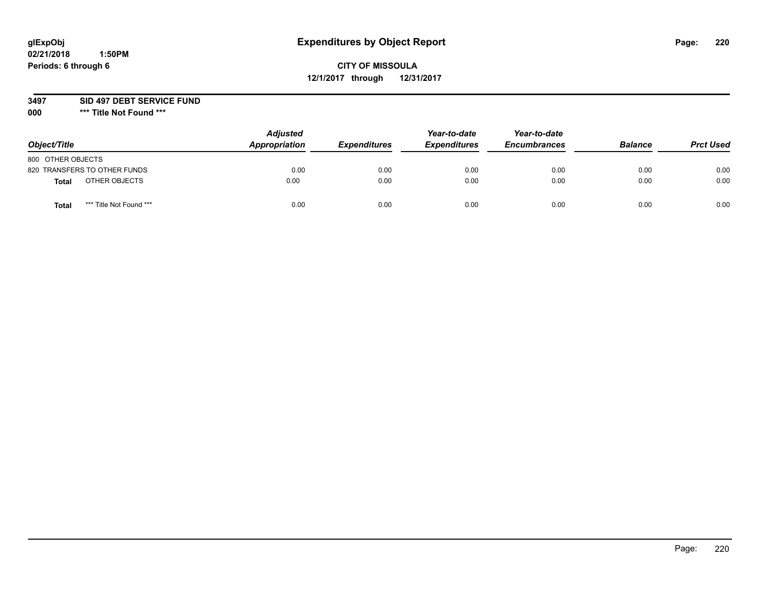## **CITY OF MISSOULA 12/1/2017 through 12/31/2017**

#### **3497 SID 497 DEBT SERVICE FUND**

| Object/Title                            | <b>Adjusted</b><br>Appropriation | <b>Expenditures</b> | Year-to-date<br><b>Expenditures</b> | Year-to-date<br><b>Encumbrances</b> | <b>Balance</b> | <b>Prct Used</b> |
|-----------------------------------------|----------------------------------|---------------------|-------------------------------------|-------------------------------------|----------------|------------------|
| 800 OTHER OBJECTS                       |                                  |                     |                                     |                                     |                |                  |
| 820 TRANSFERS TO OTHER FUNDS            | 0.00                             | 0.00                | 0.00                                | 0.00                                | 0.00           | 0.00             |
| OTHER OBJECTS<br><b>Total</b>           | 0.00                             | 0.00                | 0.00                                | 0.00                                | 0.00           | 0.00             |
| *** Title Not Found ***<br><b>Total</b> | 0.00                             | 0.00                | 0.00                                | 0.00                                | 0.00           | 0.00             |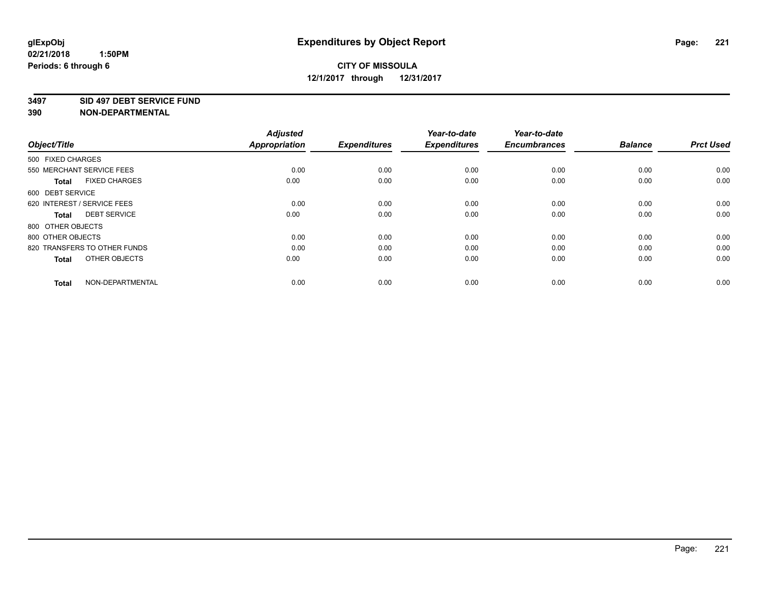#### **3497 SID 497 DEBT SERVICE FUND**

| Object/Title                         | <b>Adjusted</b><br>Appropriation | <b>Expenditures</b> | Year-to-date<br><b>Expenditures</b> | Year-to-date<br><b>Encumbrances</b> | <b>Balance</b> | <b>Prct Used</b> |
|--------------------------------------|----------------------------------|---------------------|-------------------------------------|-------------------------------------|----------------|------------------|
| 500 FIXED CHARGES                    |                                  |                     |                                     |                                     |                |                  |
| 550 MERCHANT SERVICE FEES            | 0.00                             | 0.00                | 0.00                                | 0.00                                | 0.00           | 0.00             |
| <b>FIXED CHARGES</b><br><b>Total</b> | 0.00                             | 0.00                | 0.00                                | 0.00                                | 0.00           | 0.00             |
| 600 DEBT SERVICE                     |                                  |                     |                                     |                                     |                |                  |
| 620 INTEREST / SERVICE FEES          | 0.00                             | 0.00                | 0.00                                | 0.00                                | 0.00           | 0.00             |
| <b>DEBT SERVICE</b><br><b>Total</b>  | 0.00                             | 0.00                | 0.00                                | 0.00                                | 0.00           | 0.00             |
| 800 OTHER OBJECTS                    |                                  |                     |                                     |                                     |                |                  |
| 800 OTHER OBJECTS                    | 0.00                             | 0.00                | 0.00                                | 0.00                                | 0.00           | 0.00             |
| 820 TRANSFERS TO OTHER FUNDS         | 0.00                             | 0.00                | 0.00                                | 0.00                                | 0.00           | 0.00             |
| OTHER OBJECTS<br><b>Total</b>        | 0.00                             | 0.00                | 0.00                                | 0.00                                | 0.00           | 0.00             |
|                                      |                                  |                     |                                     |                                     |                |                  |
| NON-DEPARTMENTAL<br><b>Total</b>     | 0.00                             | 0.00                | 0.00                                | 0.00                                | 0.00           | 0.00             |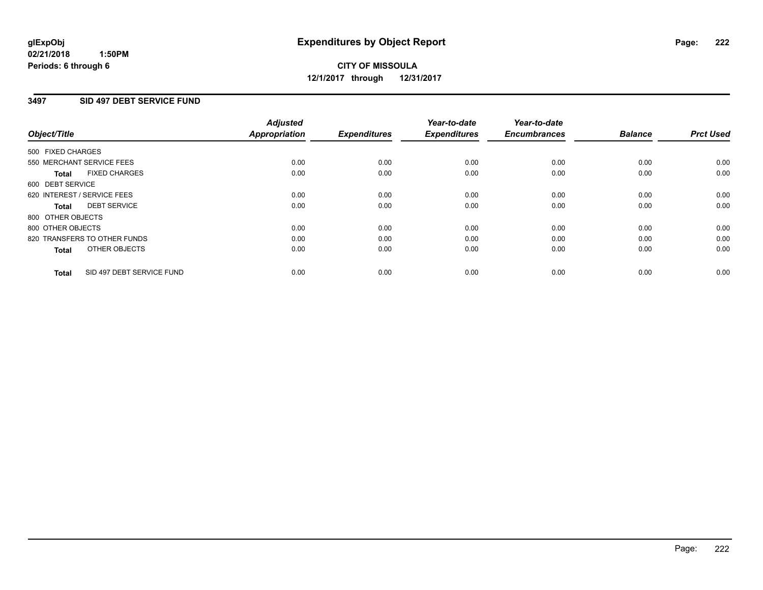#### **3497 SID 497 DEBT SERVICE FUND**

| Object/Title      |                              | <b>Adjusted</b><br>Appropriation | <b>Expenditures</b> | Year-to-date<br><b>Expenditures</b> | Year-to-date<br><b>Encumbrances</b> | <b>Balance</b> | <b>Prct Used</b> |
|-------------------|------------------------------|----------------------------------|---------------------|-------------------------------------|-------------------------------------|----------------|------------------|
| 500 FIXED CHARGES |                              |                                  |                     |                                     |                                     |                |                  |
|                   | 550 MERCHANT SERVICE FEES    | 0.00                             | 0.00                | 0.00                                | 0.00                                | 0.00           | 0.00             |
| <b>Total</b>      | <b>FIXED CHARGES</b>         | 0.00                             | 0.00                | 0.00                                | 0.00                                | 0.00           | 0.00             |
| 600 DEBT SERVICE  |                              |                                  |                     |                                     |                                     |                |                  |
|                   | 620 INTEREST / SERVICE FEES  | 0.00                             | 0.00                | 0.00                                | 0.00                                | 0.00           | 0.00             |
| Total             | <b>DEBT SERVICE</b>          | 0.00                             | 0.00                | 0.00                                | 0.00                                | 0.00           | 0.00             |
| 800 OTHER OBJECTS |                              |                                  |                     |                                     |                                     |                |                  |
| 800 OTHER OBJECTS |                              | 0.00                             | 0.00                | 0.00                                | 0.00                                | 0.00           | 0.00             |
|                   | 820 TRANSFERS TO OTHER FUNDS | 0.00                             | 0.00                | 0.00                                | 0.00                                | 0.00           | 0.00             |
| <b>Total</b>      | OTHER OBJECTS                | 0.00                             | 0.00                | 0.00                                | 0.00                                | 0.00           | 0.00             |
| <b>Total</b>      | SID 497 DEBT SERVICE FUND    | 0.00                             | 0.00                | 0.00                                | 0.00                                | 0.00           | 0.00             |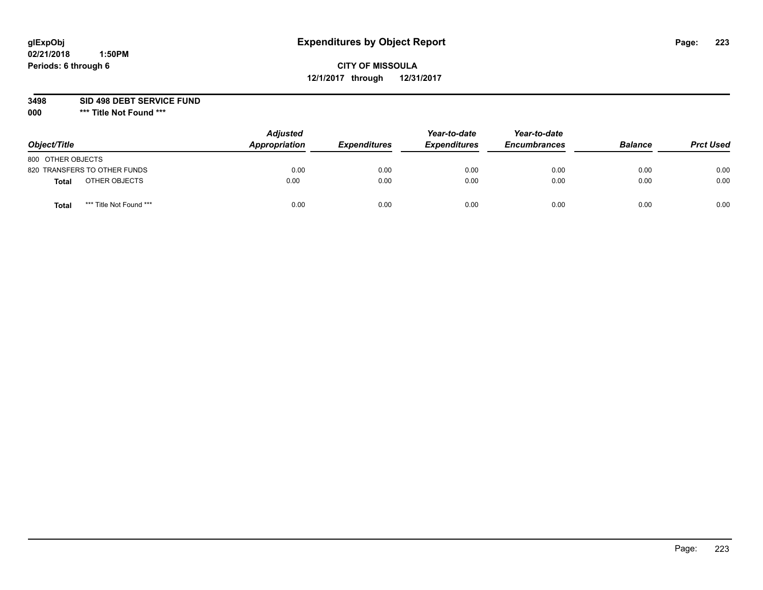## **CITY OF MISSOULA 12/1/2017 through 12/31/2017**

**3498 SID 498 DEBT SERVICE FUND**

| Object/Title                            | <b>Adjusted</b><br>Appropriation | <b>Expenditures</b> | Year-to-date<br><b>Expenditures</b> | Year-to-date<br><b>Encumbrances</b> | <b>Balance</b> | <b>Prct Used</b> |
|-----------------------------------------|----------------------------------|---------------------|-------------------------------------|-------------------------------------|----------------|------------------|
| 800 OTHER OBJECTS                       |                                  |                     |                                     |                                     |                |                  |
| 820 TRANSFERS TO OTHER FUNDS            | 0.00                             | 0.00                | 0.00                                | 0.00                                | 0.00           | 0.00             |
| OTHER OBJECTS<br><b>Total</b>           | 0.00                             | 0.00                | 0.00                                | 0.00                                | 0.00           | 0.00             |
| *** Title Not Found ***<br><b>Total</b> | 0.00                             | 0.00                | 0.00                                | 0.00                                | 0.00           | 0.00             |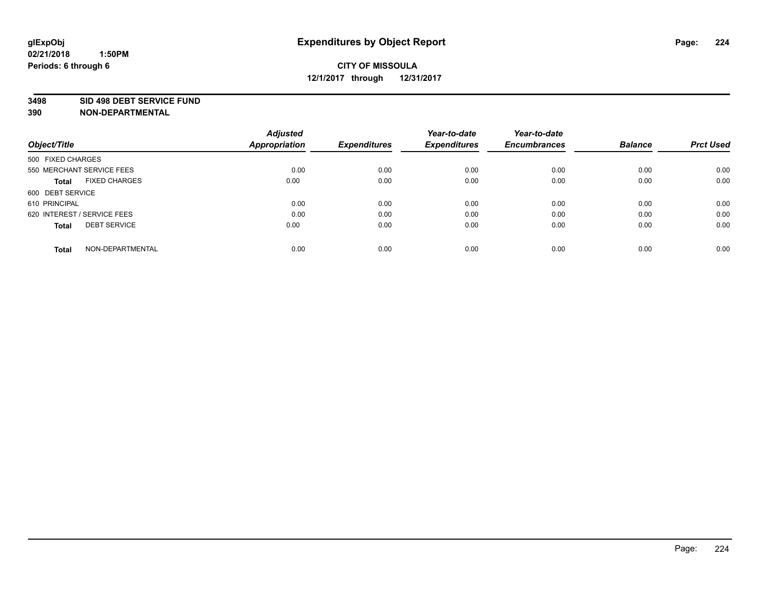#### **3498 SID 498 DEBT SERVICE FUND**

| Object/Title                         | <b>Adjusted</b><br><b>Appropriation</b> | <b>Expenditures</b> | Year-to-date<br><b>Expenditures</b> | Year-to-date<br><b>Encumbrances</b> | <b>Balance</b> | <b>Prct Used</b> |
|--------------------------------------|-----------------------------------------|---------------------|-------------------------------------|-------------------------------------|----------------|------------------|
|                                      |                                         |                     |                                     |                                     |                |                  |
| 500 FIXED CHARGES                    |                                         |                     |                                     |                                     |                |                  |
| 550 MERCHANT SERVICE FEES            | 0.00                                    | 0.00                | 0.00                                | 0.00                                | 0.00           | 0.00             |
| <b>FIXED CHARGES</b><br><b>Total</b> | 0.00                                    | 0.00                | 0.00                                | 0.00                                | 0.00           | 0.00             |
| 600 DEBT SERVICE                     |                                         |                     |                                     |                                     |                |                  |
| 610 PRINCIPAL                        | 0.00                                    | 0.00                | 0.00                                | 0.00                                | 0.00           | 0.00             |
| 620 INTEREST / SERVICE FEES          | 0.00                                    | 0.00                | 0.00                                | 0.00                                | 0.00           | 0.00             |
| <b>DEBT SERVICE</b><br><b>Total</b>  | 0.00                                    | 0.00                | 0.00                                | 0.00                                | 0.00           | 0.00             |
|                                      |                                         |                     |                                     |                                     |                |                  |
| NON-DEPARTMENTAL<br><b>Total</b>     | 0.00                                    | 0.00                | 0.00                                | 0.00                                | 0.00           | 0.00             |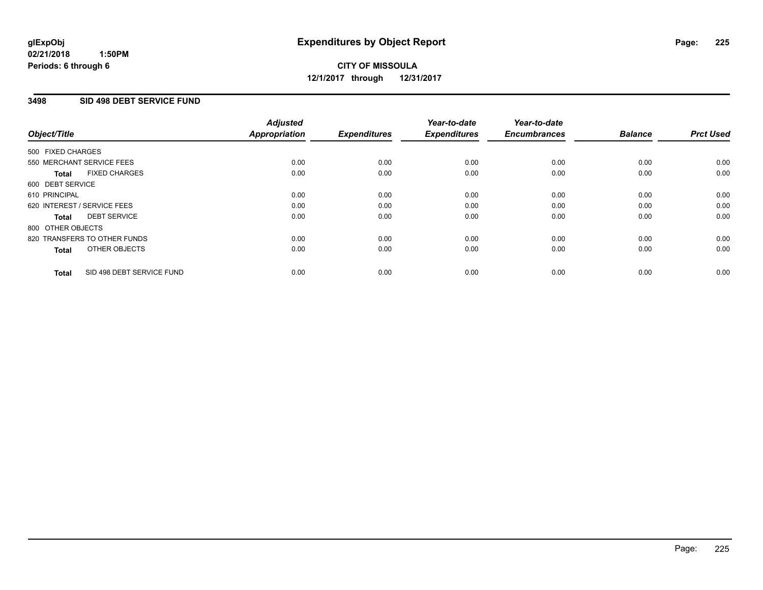#### **3498 SID 498 DEBT SERVICE FUND**

|                                           | <b>Adjusted</b>      | <b>Expenditures</b> | Year-to-date<br><b>Expenditures</b> | Year-to-date<br><b>Encumbrances</b> | <b>Balance</b> | <b>Prct Used</b> |
|-------------------------------------------|----------------------|---------------------|-------------------------------------|-------------------------------------|----------------|------------------|
| Object/Title                              | <b>Appropriation</b> |                     |                                     |                                     |                |                  |
| 500 FIXED CHARGES                         |                      |                     |                                     |                                     |                |                  |
| 550 MERCHANT SERVICE FEES                 | 0.00                 | 0.00                | 0.00                                | 0.00                                | 0.00           | 0.00             |
| <b>FIXED CHARGES</b><br><b>Total</b>      | 0.00                 | 0.00                | 0.00                                | 0.00                                | 0.00           | 0.00             |
| 600 DEBT SERVICE                          |                      |                     |                                     |                                     |                |                  |
| 610 PRINCIPAL                             | 0.00                 | 0.00                | 0.00                                | 0.00                                | 0.00           | 0.00             |
| 620 INTEREST / SERVICE FEES               | 0.00                 | 0.00                | 0.00                                | 0.00                                | 0.00           | 0.00             |
| <b>DEBT SERVICE</b><br><b>Total</b>       | 0.00                 | 0.00                | 0.00                                | 0.00                                | 0.00           | 0.00             |
| 800 OTHER OBJECTS                         |                      |                     |                                     |                                     |                |                  |
| 820 TRANSFERS TO OTHER FUNDS              | 0.00                 | 0.00                | 0.00                                | 0.00                                | 0.00           | 0.00             |
| OTHER OBJECTS<br><b>Total</b>             | 0.00                 | 0.00                | 0.00                                | 0.00                                | 0.00           | 0.00             |
| SID 498 DEBT SERVICE FUND<br><b>Total</b> | 0.00                 | 0.00                | 0.00                                | 0.00                                | 0.00           | 0.00             |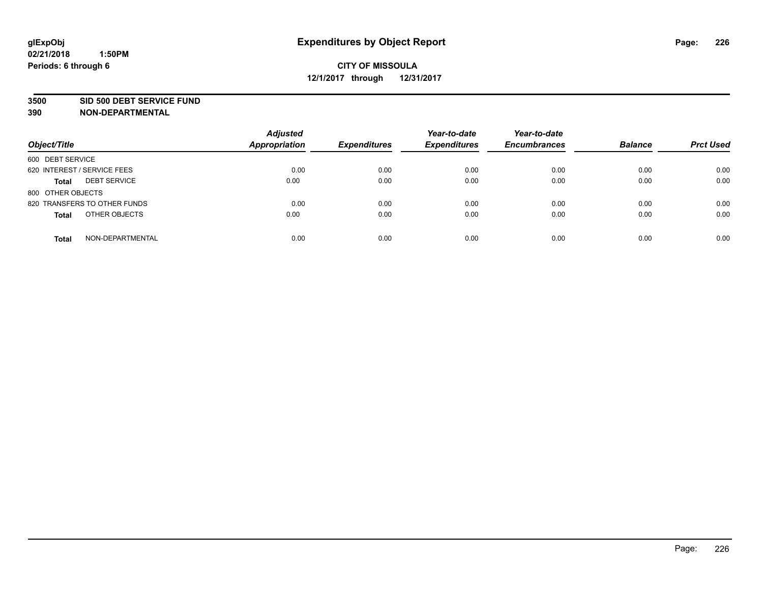#### **3500 SID 500 DEBT SERVICE FUND**

| Object/Title                        | <b>Adjusted</b><br><b>Appropriation</b> | <b>Expenditures</b> | Year-to-date<br><b>Expenditures</b> | Year-to-date<br><b>Encumbrances</b> | <b>Balance</b> | <b>Prct Used</b> |
|-------------------------------------|-----------------------------------------|---------------------|-------------------------------------|-------------------------------------|----------------|------------------|
| 600 DEBT SERVICE                    |                                         |                     |                                     |                                     |                |                  |
| 620 INTEREST / SERVICE FEES         | 0.00                                    | 0.00                | 0.00                                | 0.00                                | 0.00           | 0.00             |
| <b>DEBT SERVICE</b><br><b>Total</b> | 0.00                                    | 0.00                | 0.00                                | 0.00                                | 0.00           | 0.00             |
| 800 OTHER OBJECTS                   |                                         |                     |                                     |                                     |                |                  |
| 820 TRANSFERS TO OTHER FUNDS        | 0.00                                    | 0.00                | 0.00                                | 0.00                                | 0.00           | 0.00             |
| OTHER OBJECTS<br><b>Total</b>       | 0.00                                    | 0.00                | 0.00                                | 0.00                                | 0.00           | 0.00             |
| NON-DEPARTMENTAL<br><b>Total</b>    | 0.00                                    | 0.00                | 0.00                                | 0.00                                | 0.00           | 0.00             |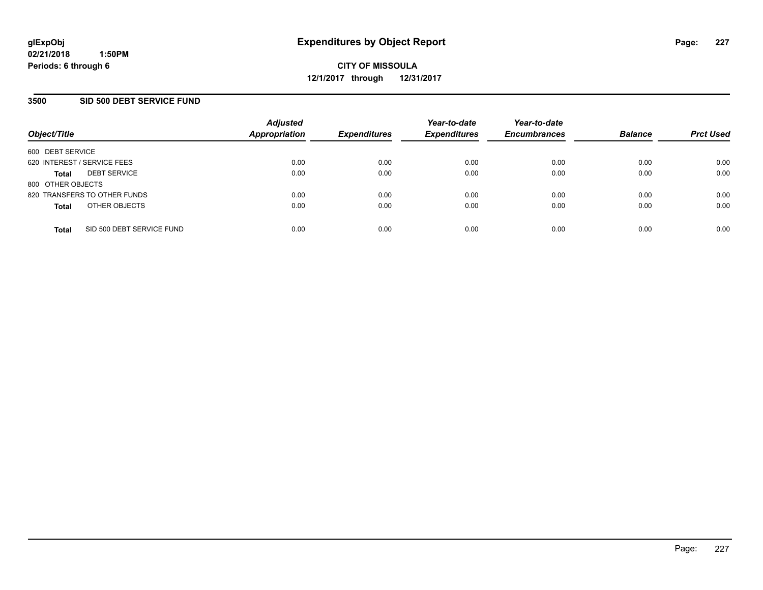#### **3500 SID 500 DEBT SERVICE FUND**

| Object/Title                              | <b>Adjusted</b><br>Appropriation | <b>Expenditures</b> | Year-to-date<br><b>Expenditures</b> | Year-to-date<br><b>Encumbrances</b> | <b>Balance</b> | <b>Prct Used</b> |
|-------------------------------------------|----------------------------------|---------------------|-------------------------------------|-------------------------------------|----------------|------------------|
| 600 DEBT SERVICE                          |                                  |                     |                                     |                                     |                |                  |
| 620 INTEREST / SERVICE FEES               | 0.00                             | 0.00                | 0.00                                | 0.00                                | 0.00           | 0.00             |
| <b>DEBT SERVICE</b><br><b>Total</b>       | 0.00                             | 0.00                | 0.00                                | 0.00                                | 0.00           | 0.00             |
| 800 OTHER OBJECTS                         |                                  |                     |                                     |                                     |                |                  |
| 820 TRANSFERS TO OTHER FUNDS              | 0.00                             | 0.00                | 0.00                                | 0.00                                | 0.00           | 0.00             |
| OTHER OBJECTS<br><b>Total</b>             | 0.00                             | 0.00                | 0.00                                | 0.00                                | 0.00           | 0.00             |
| SID 500 DEBT SERVICE FUND<br><b>Total</b> | 0.00                             | 0.00                | 0.00                                | 0.00                                | 0.00           | 0.00             |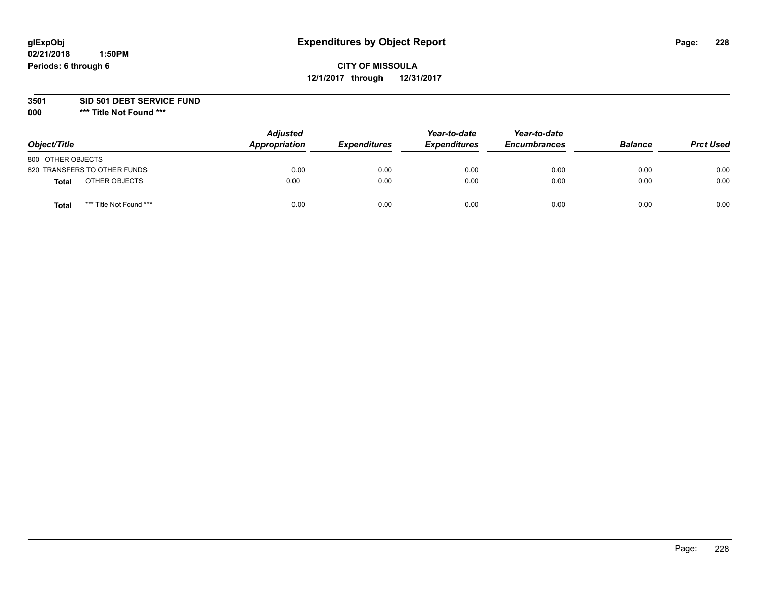## **CITY OF MISSOULA 12/1/2017 through 12/31/2017**

**3501 SID 501 DEBT SERVICE FUND**

| Object/Title                            | <b>Adjusted</b><br>Appropriation | <b>Expenditures</b> | Year-to-date<br><b>Expenditures</b> | Year-to-date<br><b>Encumbrances</b> | <b>Balance</b> | <b>Prct Used</b> |
|-----------------------------------------|----------------------------------|---------------------|-------------------------------------|-------------------------------------|----------------|------------------|
| 800 OTHER OBJECTS                       |                                  |                     |                                     |                                     |                |                  |
| 820 TRANSFERS TO OTHER FUNDS            | 0.00                             | 0.00                | 0.00                                | 0.00                                | 0.00           | 0.00             |
| OTHER OBJECTS<br><b>Total</b>           | 0.00                             | 0.00                | 0.00                                | 0.00                                | 0.00           | 0.00             |
| *** Title Not Found ***<br><b>Total</b> | 0.00                             | 0.00                | 0.00                                | 0.00                                | 0.00           | 0.00             |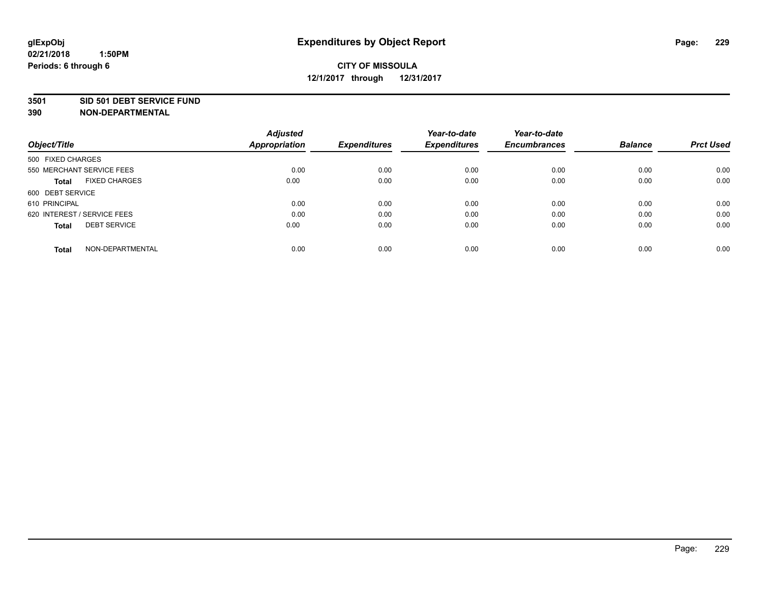#### **3501 SID 501 DEBT SERVICE FUND**

| Object/Title                         | <b>Adjusted</b><br><b>Appropriation</b> | <b>Expenditures</b> | Year-to-date<br><b>Expenditures</b> | Year-to-date<br><b>Encumbrances</b> | <b>Balance</b> | <b>Prct Used</b> |
|--------------------------------------|-----------------------------------------|---------------------|-------------------------------------|-------------------------------------|----------------|------------------|
|                                      |                                         |                     |                                     |                                     |                |                  |
| 500 FIXED CHARGES                    |                                         |                     |                                     |                                     |                |                  |
| 550 MERCHANT SERVICE FEES            | 0.00                                    | 0.00                | 0.00                                | 0.00                                | 0.00           | 0.00             |
| <b>FIXED CHARGES</b><br><b>Total</b> | 0.00                                    | 0.00                | 0.00                                | 0.00                                | 0.00           | 0.00             |
| 600 DEBT SERVICE                     |                                         |                     |                                     |                                     |                |                  |
| 610 PRINCIPAL                        | 0.00                                    | 0.00                | 0.00                                | 0.00                                | 0.00           | 0.00             |
| 620 INTEREST / SERVICE FEES          | 0.00                                    | 0.00                | 0.00                                | 0.00                                | 0.00           | 0.00             |
| <b>DEBT SERVICE</b><br><b>Total</b>  | 0.00                                    | 0.00                | 0.00                                | 0.00                                | 0.00           | 0.00             |
|                                      |                                         |                     |                                     |                                     |                |                  |
| NON-DEPARTMENTAL<br><b>Total</b>     | 0.00                                    | 0.00                | 0.00                                | 0.00                                | 0.00           | 0.00             |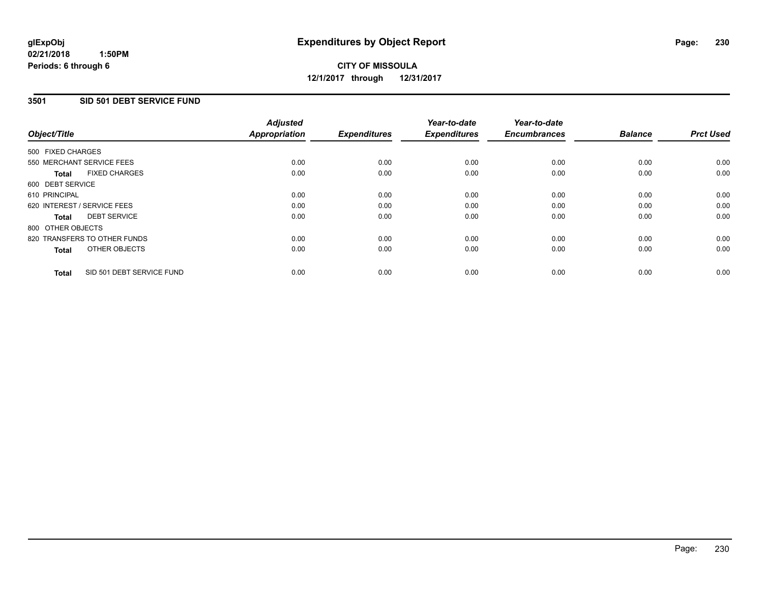#### **3501 SID 501 DEBT SERVICE FUND**

|                                           | <b>Adjusted</b>      | <b>Expenditures</b> | Year-to-date<br><b>Expenditures</b> | Year-to-date<br><b>Encumbrances</b> | <b>Balance</b> | <b>Prct Used</b> |
|-------------------------------------------|----------------------|---------------------|-------------------------------------|-------------------------------------|----------------|------------------|
| Object/Title                              | <b>Appropriation</b> |                     |                                     |                                     |                |                  |
| 500 FIXED CHARGES                         |                      |                     |                                     |                                     |                |                  |
| 550 MERCHANT SERVICE FEES                 | 0.00                 | 0.00                | 0.00                                | 0.00                                | 0.00           | 0.00             |
| <b>FIXED CHARGES</b><br><b>Total</b>      | 0.00                 | 0.00                | 0.00                                | 0.00                                | 0.00           | 0.00             |
| 600 DEBT SERVICE                          |                      |                     |                                     |                                     |                |                  |
| 610 PRINCIPAL                             | 0.00                 | 0.00                | 0.00                                | 0.00                                | 0.00           | 0.00             |
| 620 INTEREST / SERVICE FEES               | 0.00                 | 0.00                | 0.00                                | 0.00                                | 0.00           | 0.00             |
| <b>DEBT SERVICE</b><br><b>Total</b>       | 0.00                 | 0.00                | 0.00                                | 0.00                                | 0.00           | 0.00             |
| 800 OTHER OBJECTS                         |                      |                     |                                     |                                     |                |                  |
| 820 TRANSFERS TO OTHER FUNDS              | 0.00                 | 0.00                | 0.00                                | 0.00                                | 0.00           | 0.00             |
| OTHER OBJECTS<br><b>Total</b>             | 0.00                 | 0.00                | 0.00                                | 0.00                                | 0.00           | 0.00             |
| SID 501 DEBT SERVICE FUND<br><b>Total</b> | 0.00                 | 0.00                | 0.00                                | 0.00                                | 0.00           | 0.00             |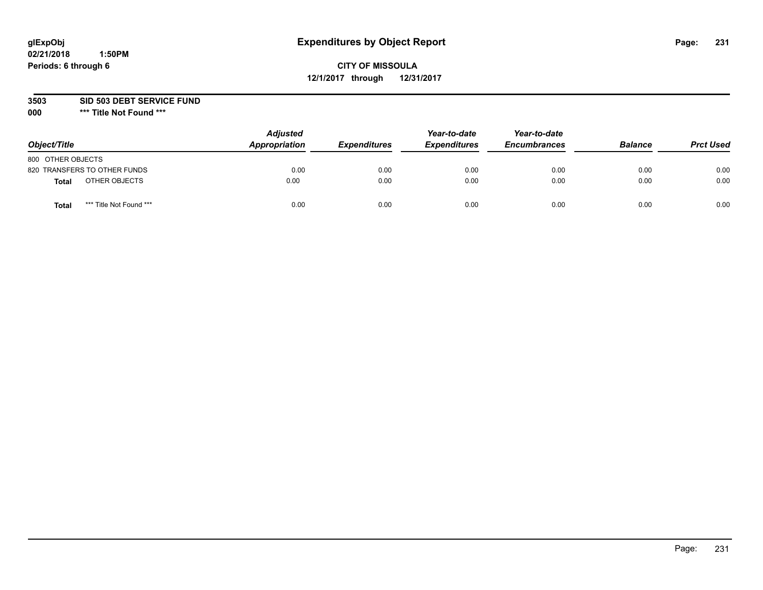## **CITY OF MISSOULA 12/1/2017 through 12/31/2017**

#### **3503 SID 503 DEBT SERVICE FUND**

| Object/Title                            | <b>Adjusted</b><br>Appropriation | <b>Expenditures</b> | Year-to-date<br><b>Expenditures</b> | Year-to-date<br><b>Encumbrances</b> | <b>Balance</b> | <b>Prct Used</b> |
|-----------------------------------------|----------------------------------|---------------------|-------------------------------------|-------------------------------------|----------------|------------------|
| 800 OTHER OBJECTS                       |                                  |                     |                                     |                                     |                |                  |
| 820 TRANSFERS TO OTHER FUNDS            | 0.00                             | 0.00                | 0.00                                | 0.00                                | 0.00           | 0.00             |
| OTHER OBJECTS<br><b>Total</b>           | 0.00                             | 0.00                | 0.00                                | 0.00                                | 0.00           | 0.00             |
| *** Title Not Found ***<br><b>Total</b> | 0.00                             | 0.00                | 0.00                                | 0.00                                | 0.00           | 0.00             |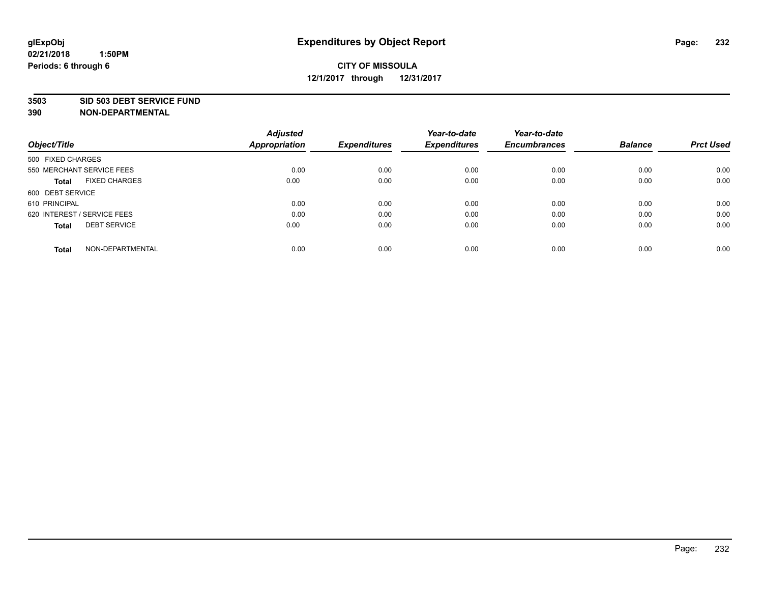#### **3503 SID 503 DEBT SERVICE FUND**

| Object/Title                         | <b>Adjusted</b><br><b>Appropriation</b> | <b>Expenditures</b> | Year-to-date<br><b>Expenditures</b> | Year-to-date<br><b>Encumbrances</b> | <b>Balance</b> | <b>Prct Used</b> |
|--------------------------------------|-----------------------------------------|---------------------|-------------------------------------|-------------------------------------|----------------|------------------|
|                                      |                                         |                     |                                     |                                     |                |                  |
| 500 FIXED CHARGES                    |                                         |                     |                                     |                                     |                |                  |
| 550 MERCHANT SERVICE FEES            | 0.00                                    | 0.00                | 0.00                                | 0.00                                | 0.00           | 0.00             |
| <b>FIXED CHARGES</b><br><b>Total</b> | 0.00                                    | 0.00                | 0.00                                | 0.00                                | 0.00           | 0.00             |
| 600 DEBT SERVICE                     |                                         |                     |                                     |                                     |                |                  |
| 610 PRINCIPAL                        | 0.00                                    | 0.00                | 0.00                                | 0.00                                | 0.00           | 0.00             |
| 620 INTEREST / SERVICE FEES          | 0.00                                    | 0.00                | 0.00                                | 0.00                                | 0.00           | 0.00             |
| <b>DEBT SERVICE</b><br><b>Total</b>  | 0.00                                    | 0.00                | 0.00                                | 0.00                                | 0.00           | 0.00             |
|                                      |                                         |                     |                                     |                                     |                |                  |
| NON-DEPARTMENTAL<br><b>Total</b>     | 0.00                                    | 0.00                | 0.00                                | 0.00                                | 0.00           | 0.00             |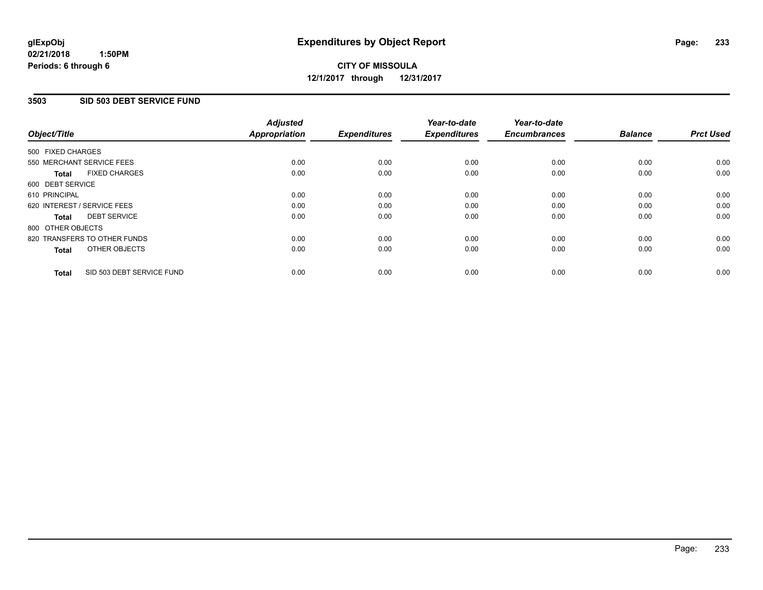#### **3503 SID 503 DEBT SERVICE FUND**

| Object/Title                              | <b>Adjusted</b><br><b>Appropriation</b> | <b>Expenditures</b> | Year-to-date<br><b>Expenditures</b> | Year-to-date<br><b>Encumbrances</b> | <b>Balance</b> | <b>Prct Used</b> |
|-------------------------------------------|-----------------------------------------|---------------------|-------------------------------------|-------------------------------------|----------------|------------------|
|                                           |                                         |                     |                                     |                                     |                |                  |
| 500 FIXED CHARGES                         |                                         |                     |                                     |                                     |                |                  |
| 550 MERCHANT SERVICE FEES                 | 0.00                                    | 0.00                | 0.00                                | 0.00                                | 0.00           | 0.00             |
| <b>FIXED CHARGES</b><br>Total             | 0.00                                    | 0.00                | 0.00                                | 0.00                                | 0.00           | 0.00             |
| 600 DEBT SERVICE                          |                                         |                     |                                     |                                     |                |                  |
| 610 PRINCIPAL                             | 0.00                                    | 0.00                | 0.00                                | 0.00                                | 0.00           | 0.00             |
| 620 INTEREST / SERVICE FEES               | 0.00                                    | 0.00                | 0.00                                | 0.00                                | 0.00           | 0.00             |
| <b>DEBT SERVICE</b><br><b>Total</b>       | 0.00                                    | 0.00                | 0.00                                | 0.00                                | 0.00           | 0.00             |
| 800 OTHER OBJECTS                         |                                         |                     |                                     |                                     |                |                  |
| 820 TRANSFERS TO OTHER FUNDS              | 0.00                                    | 0.00                | 0.00                                | 0.00                                | 0.00           | 0.00             |
| OTHER OBJECTS<br><b>Total</b>             | 0.00                                    | 0.00                | 0.00                                | 0.00                                | 0.00           | 0.00             |
|                                           |                                         |                     |                                     |                                     |                |                  |
| SID 503 DEBT SERVICE FUND<br><b>Total</b> | 0.00                                    | 0.00                | 0.00                                | 0.00                                | 0.00           | 0.00             |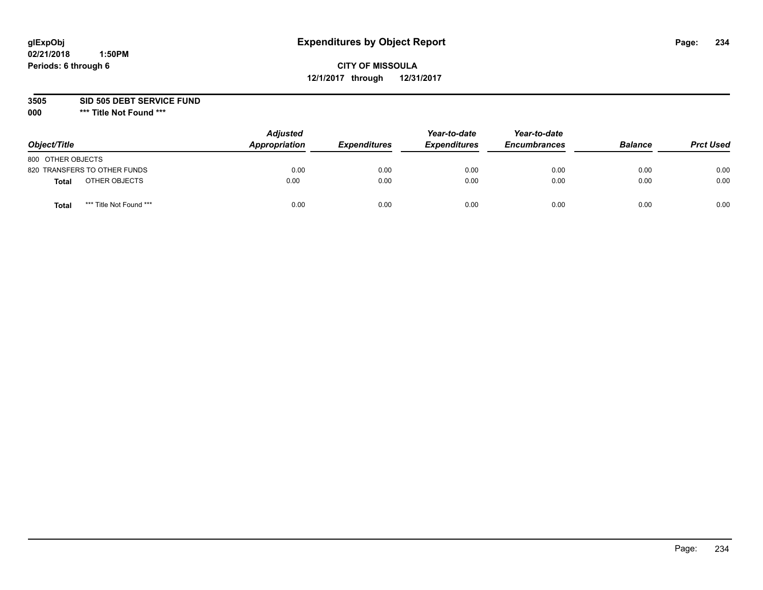## **CITY OF MISSOULA 12/1/2017 through 12/31/2017**

**3505 SID 505 DEBT SERVICE FUND**

| Object/Title                            | <b>Adjusted</b><br>Appropriation | <b>Expenditures</b> | Year-to-date<br><b>Expenditures</b> | Year-to-date<br><b>Encumbrances</b> | <b>Balance</b> | <b>Prct Used</b> |
|-----------------------------------------|----------------------------------|---------------------|-------------------------------------|-------------------------------------|----------------|------------------|
| 800 OTHER OBJECTS                       |                                  |                     |                                     |                                     |                |                  |
| 820 TRANSFERS TO OTHER FUNDS            | 0.00                             | 0.00                | 0.00                                | 0.00                                | 0.00           | 0.00             |
| OTHER OBJECTS<br><b>Total</b>           | 0.00                             | 0.00                | 0.00                                | 0.00                                | 0.00           | 0.00             |
| *** Title Not Found ***<br><b>Total</b> | 0.00                             | 0.00                | 0.00                                | 0.00                                | 0.00           | 0.00             |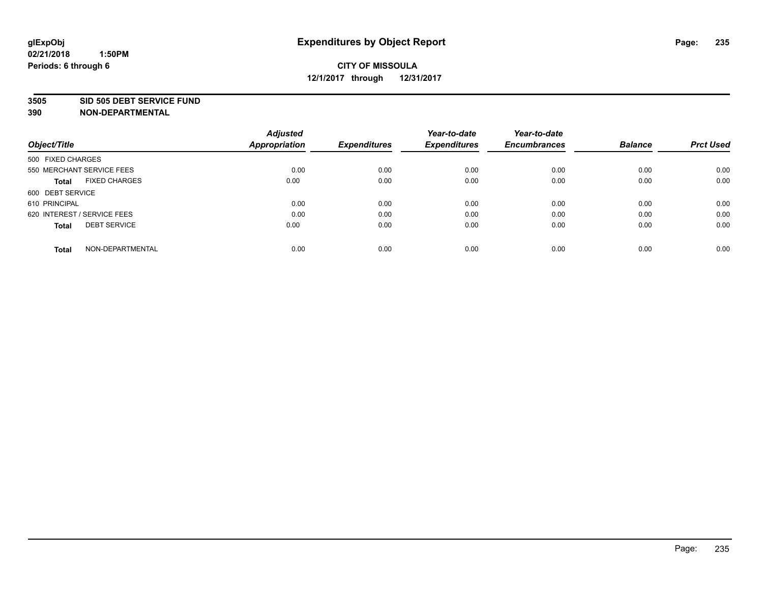#### **3505 SID 505 DEBT SERVICE FUND**

| Object/Title                         | <b>Adjusted</b><br><b>Appropriation</b> | <b>Expenditures</b> | Year-to-date<br><b>Expenditures</b> | Year-to-date<br><b>Encumbrances</b> | <b>Balance</b> | <b>Prct Used</b> |
|--------------------------------------|-----------------------------------------|---------------------|-------------------------------------|-------------------------------------|----------------|------------------|
|                                      |                                         |                     |                                     |                                     |                |                  |
| 500 FIXED CHARGES                    |                                         |                     |                                     |                                     |                |                  |
| 550 MERCHANT SERVICE FEES            | 0.00                                    | 0.00                | 0.00                                | 0.00                                | 0.00           | 0.00             |
| <b>FIXED CHARGES</b><br><b>Total</b> | 0.00                                    | 0.00                | 0.00                                | 0.00                                | 0.00           | 0.00             |
| 600 DEBT SERVICE                     |                                         |                     |                                     |                                     |                |                  |
| 610 PRINCIPAL                        | 0.00                                    | 0.00                | 0.00                                | 0.00                                | 0.00           | 0.00             |
| 620 INTEREST / SERVICE FEES          | 0.00                                    | 0.00                | 0.00                                | 0.00                                | 0.00           | 0.00             |
| <b>DEBT SERVICE</b><br><b>Total</b>  | 0.00                                    | 0.00                | 0.00                                | 0.00                                | 0.00           | 0.00             |
|                                      |                                         |                     |                                     |                                     |                |                  |
| NON-DEPARTMENTAL<br><b>Total</b>     | 0.00                                    | 0.00                | 0.00                                | 0.00                                | 0.00           | 0.00             |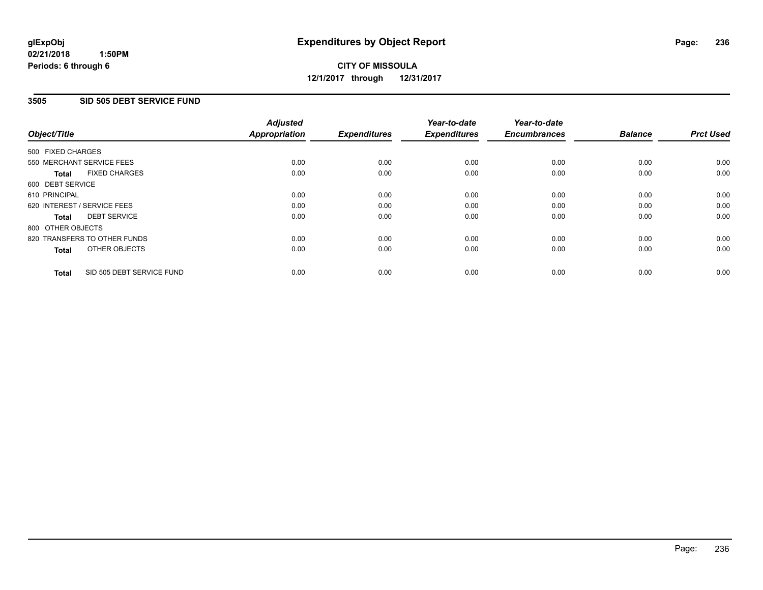#### **3505 SID 505 DEBT SERVICE FUND**

| Object/Title                              | <b>Adjusted</b><br><b>Appropriation</b> | <b>Expenditures</b> | Year-to-date<br><b>Expenditures</b> | Year-to-date<br><b>Encumbrances</b> | <b>Balance</b> | <b>Prct Used</b> |
|-------------------------------------------|-----------------------------------------|---------------------|-------------------------------------|-------------------------------------|----------------|------------------|
|                                           |                                         |                     |                                     |                                     |                |                  |
| 500 FIXED CHARGES                         |                                         |                     |                                     |                                     |                |                  |
| 550 MERCHANT SERVICE FEES                 | 0.00                                    | 0.00                | 0.00                                | 0.00                                | 0.00           | 0.00             |
| <b>FIXED CHARGES</b><br><b>Total</b>      | 0.00                                    | 0.00                | 0.00                                | 0.00                                | 0.00           | 0.00             |
| 600 DEBT SERVICE                          |                                         |                     |                                     |                                     |                |                  |
| 610 PRINCIPAL                             | 0.00                                    | 0.00                | 0.00                                | 0.00                                | 0.00           | 0.00             |
| 620 INTEREST / SERVICE FEES               | 0.00                                    | 0.00                | 0.00                                | 0.00                                | 0.00           | 0.00             |
| <b>DEBT SERVICE</b><br><b>Total</b>       | 0.00                                    | 0.00                | 0.00                                | 0.00                                | 0.00           | 0.00             |
| 800 OTHER OBJECTS                         |                                         |                     |                                     |                                     |                |                  |
| 820 TRANSFERS TO OTHER FUNDS              | 0.00                                    | 0.00                | 0.00                                | 0.00                                | 0.00           | 0.00             |
| OTHER OBJECTS<br><b>Total</b>             | 0.00                                    | 0.00                | 0.00                                | 0.00                                | 0.00           | 0.00             |
| SID 505 DEBT SERVICE FUND<br><b>Total</b> | 0.00                                    | 0.00                | 0.00                                | 0.00                                | 0.00           | 0.00             |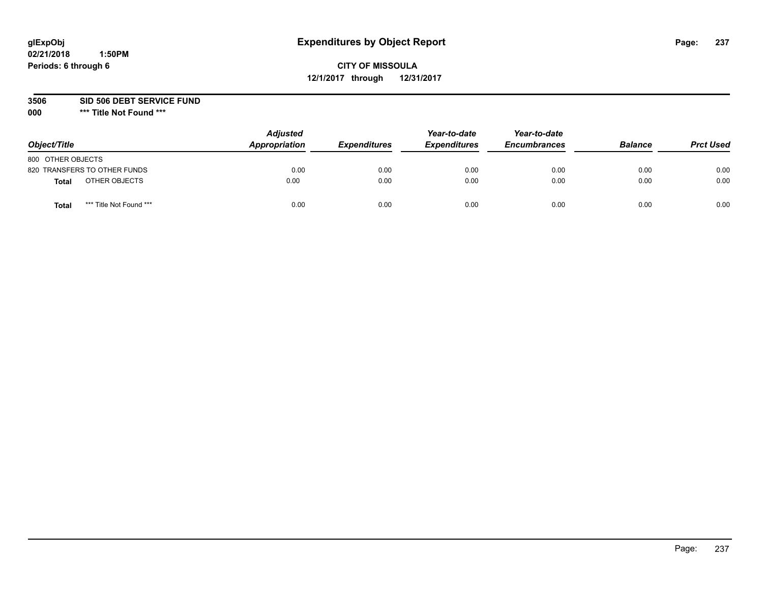## **CITY OF MISSOULA 12/1/2017 through 12/31/2017**

**3506 SID 506 DEBT SERVICE FUND**

| Object/Title                            | <b>Adjusted</b><br>Appropriation | <b>Expenditures</b> | Year-to-date<br><b>Expenditures</b> | Year-to-date<br><b>Encumbrances</b> | <b>Balance</b> | <b>Prct Used</b> |
|-----------------------------------------|----------------------------------|---------------------|-------------------------------------|-------------------------------------|----------------|------------------|
| 800 OTHER OBJECTS                       |                                  |                     |                                     |                                     |                |                  |
| 820 TRANSFERS TO OTHER FUNDS            | 0.00                             | 0.00                | 0.00                                | 0.00                                | 0.00           | 0.00             |
| OTHER OBJECTS<br><b>Total</b>           | 0.00                             | 0.00                | 0.00                                | 0.00                                | 0.00           | 0.00             |
| *** Title Not Found ***<br><b>Total</b> | 0.00                             | 0.00                | 0.00                                | 0.00                                | 0.00           | 0.00             |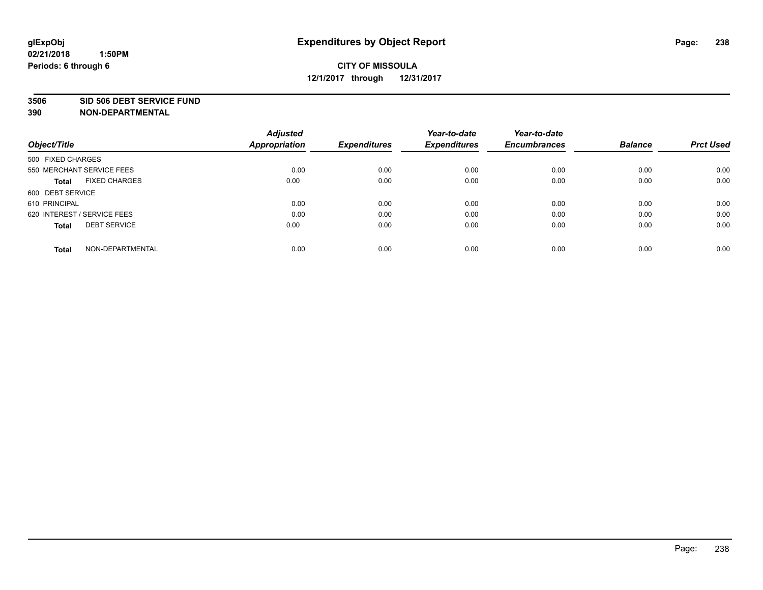#### **3506 SID 506 DEBT SERVICE FUND**

| Object/Title                         | <b>Adjusted</b><br><b>Appropriation</b> | <b>Expenditures</b> | Year-to-date<br><b>Expenditures</b> | Year-to-date<br><b>Encumbrances</b> | <b>Balance</b> | <b>Prct Used</b> |
|--------------------------------------|-----------------------------------------|---------------------|-------------------------------------|-------------------------------------|----------------|------------------|
|                                      |                                         |                     |                                     |                                     |                |                  |
| 500 FIXED CHARGES                    |                                         |                     |                                     |                                     |                |                  |
| 550 MERCHANT SERVICE FEES            | 0.00                                    | 0.00                | 0.00                                | 0.00                                | 0.00           | 0.00             |
| <b>FIXED CHARGES</b><br><b>Total</b> | 0.00                                    | 0.00                | 0.00                                | 0.00                                | 0.00           | 0.00             |
| 600 DEBT SERVICE                     |                                         |                     |                                     |                                     |                |                  |
| 610 PRINCIPAL                        | 0.00                                    | 0.00                | 0.00                                | 0.00                                | 0.00           | 0.00             |
| 620 INTEREST / SERVICE FEES          | 0.00                                    | 0.00                | 0.00                                | 0.00                                | 0.00           | 0.00             |
| <b>DEBT SERVICE</b><br><b>Total</b>  | 0.00                                    | 0.00                | 0.00                                | 0.00                                | 0.00           | 0.00             |
|                                      |                                         |                     |                                     |                                     |                |                  |
| NON-DEPARTMENTAL<br><b>Total</b>     | 0.00                                    | 0.00                | 0.00                                | 0.00                                | 0.00           | 0.00             |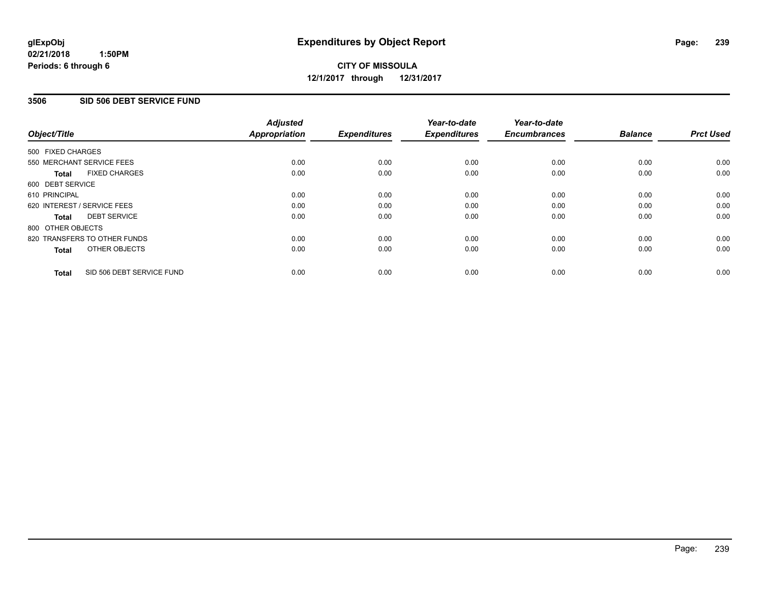#### **3506 SID 506 DEBT SERVICE FUND**

|                                           | <b>Adjusted</b>      | <b>Expenditures</b> | Year-to-date<br><b>Expenditures</b> | Year-to-date<br><b>Encumbrances</b> | <b>Balance</b> | <b>Prct Used</b> |
|-------------------------------------------|----------------------|---------------------|-------------------------------------|-------------------------------------|----------------|------------------|
| Object/Title                              | <b>Appropriation</b> |                     |                                     |                                     |                |                  |
| 500 FIXED CHARGES                         |                      |                     |                                     |                                     |                |                  |
| 550 MERCHANT SERVICE FEES                 | 0.00                 | 0.00                | 0.00                                | 0.00                                | 0.00           | 0.00             |
| <b>FIXED CHARGES</b><br><b>Total</b>      | 0.00                 | 0.00                | 0.00                                | 0.00                                | 0.00           | 0.00             |
| 600 DEBT SERVICE                          |                      |                     |                                     |                                     |                |                  |
| 610 PRINCIPAL                             | 0.00                 | 0.00                | 0.00                                | 0.00                                | 0.00           | 0.00             |
| 620 INTEREST / SERVICE FEES               | 0.00                 | 0.00                | 0.00                                | 0.00                                | 0.00           | 0.00             |
| <b>DEBT SERVICE</b><br><b>Total</b>       | 0.00                 | 0.00                | 0.00                                | 0.00                                | 0.00           | 0.00             |
| 800 OTHER OBJECTS                         |                      |                     |                                     |                                     |                |                  |
| 820 TRANSFERS TO OTHER FUNDS              | 0.00                 | 0.00                | 0.00                                | 0.00                                | 0.00           | 0.00             |
| OTHER OBJECTS<br><b>Total</b>             | 0.00                 | 0.00                | 0.00                                | 0.00                                | 0.00           | 0.00             |
| SID 506 DEBT SERVICE FUND<br><b>Total</b> | 0.00                 | 0.00                | 0.00                                | 0.00                                | 0.00           | 0.00             |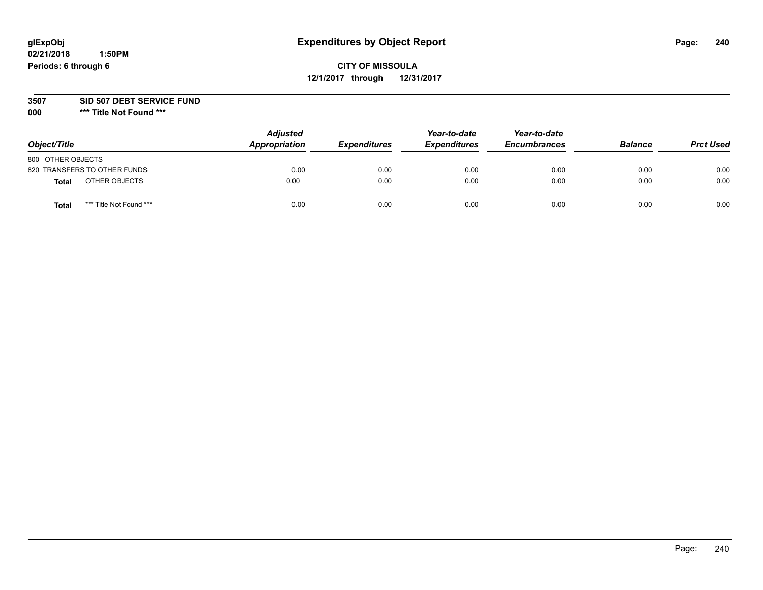## **CITY OF MISSOULA 12/1/2017 through 12/31/2017**

**3507 SID 507 DEBT SERVICE FUND**

| Object/Title                     | <b>Adjusted</b><br>Appropriation | <b>Expenditures</b> | Year-to-date<br><b>Expenditures</b> | Year-to-date<br><b>Encumbrances</b> | <b>Balance</b> | <b>Prct Used</b> |
|----------------------------------|----------------------------------|---------------------|-------------------------------------|-------------------------------------|----------------|------------------|
| 800 OTHER OBJECTS                |                                  |                     |                                     |                                     |                |                  |
| 820 TRANSFERS TO OTHER FUNDS     | 0.00                             | 0.00                | 0.00                                | 0.00                                | 0.00           | 0.00             |
| OTHER OBJECTS<br><b>Total</b>    | 0.00                             | 0.00                | 0.00                                | 0.00                                | 0.00           | 0.00             |
| *** Title Not Found ***<br>Total | 0.00                             | 0.00                | 0.00                                | 0.00                                | 0.00           | 0.00             |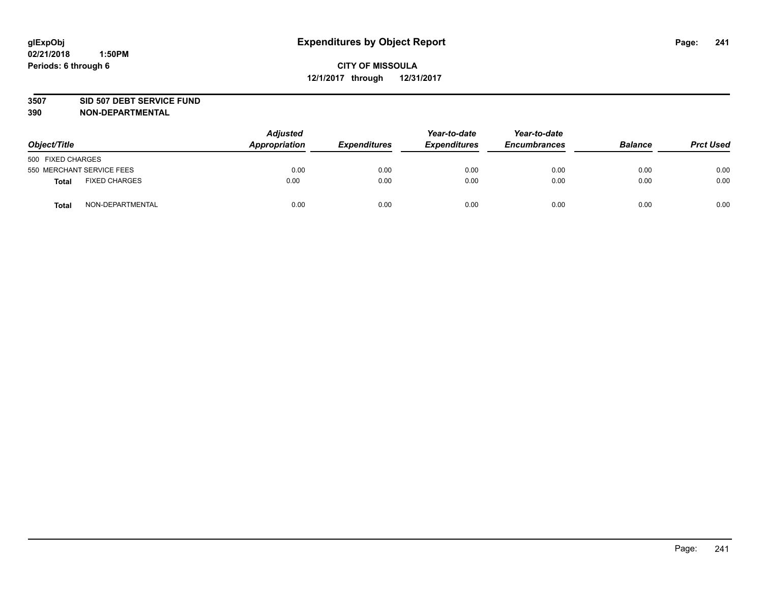#### **3507 SID 507 DEBT SERVICE FUND**

| Object/Title      |                           | <b>Adjusted</b><br>Appropriation | <b>Expenditures</b> | Year-to-date<br><b>Expenditures</b> | Year-to-date<br><b>Encumbrances</b> | <b>Balance</b> | <b>Prct Used</b> |
|-------------------|---------------------------|----------------------------------|---------------------|-------------------------------------|-------------------------------------|----------------|------------------|
| 500 FIXED CHARGES |                           |                                  |                     |                                     |                                     |                |                  |
|                   | 550 MERCHANT SERVICE FEES | 0.00                             | 0.00                | 0.00                                | 0.00                                | 0.00           | 0.00             |
| <b>Total</b>      | <b>FIXED CHARGES</b>      | 0.00                             | 0.00                | 0.00                                | 0.00                                | 0.00           | 0.00             |
| <b>Total</b>      | NON-DEPARTMENTAL          | 0.00                             | 0.00                | 0.00                                | 0.00                                | 0.00           | 0.00             |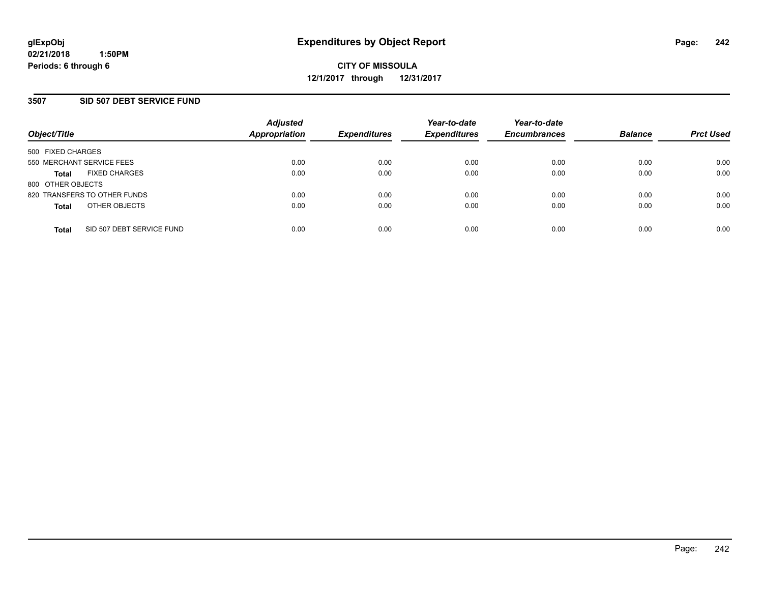#### **3507 SID 507 DEBT SERVICE FUND**

| Object/Title              |                              | <b>Adjusted</b><br><b>Appropriation</b> | <b>Expenditures</b> | Year-to-date<br><b>Expenditures</b> | Year-to-date<br><b>Encumbrances</b> | <b>Balance</b> | <b>Prct Used</b> |
|---------------------------|------------------------------|-----------------------------------------|---------------------|-------------------------------------|-------------------------------------|----------------|------------------|
| 500 FIXED CHARGES         |                              |                                         |                     |                                     |                                     |                |                  |
| 550 MERCHANT SERVICE FEES |                              | 0.00                                    | 0.00                | 0.00                                | 0.00                                | 0.00           | 0.00             |
| <b>Total</b>              | <b>FIXED CHARGES</b>         | 0.00                                    | 0.00                | 0.00                                | 0.00                                | 0.00           | 0.00             |
| 800 OTHER OBJECTS         |                              |                                         |                     |                                     |                                     |                |                  |
|                           | 820 TRANSFERS TO OTHER FUNDS | 0.00                                    | 0.00                | 0.00                                | 0.00                                | 0.00           | 0.00             |
| <b>Total</b>              | OTHER OBJECTS                | 0.00                                    | 0.00                | 0.00                                | 0.00                                | 0.00           | 0.00             |
| <b>Total</b>              | SID 507 DEBT SERVICE FUND    | 0.00                                    | 0.00                | 0.00                                | 0.00                                | 0.00           | 0.00             |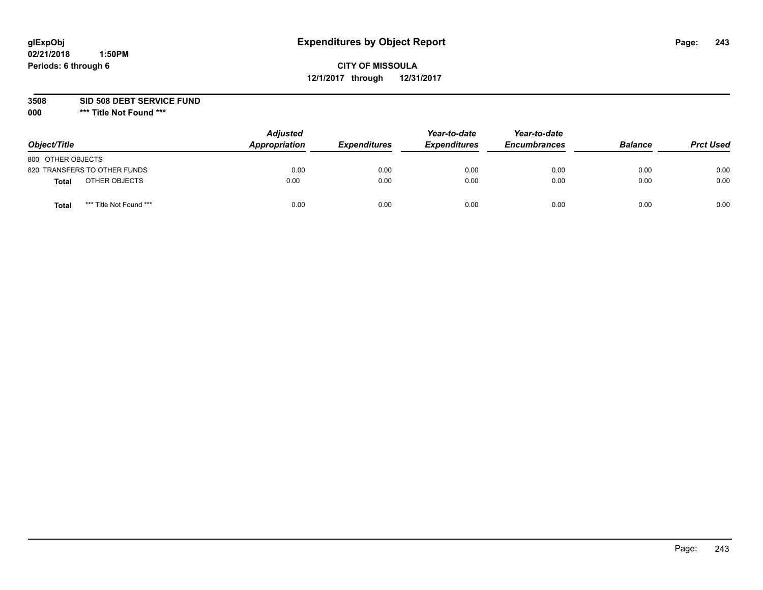## **CITY OF MISSOULA 12/1/2017 through 12/31/2017**

**3508 SID 508 DEBT SERVICE FUND**

| Object/Title                            | <b>Adjusted</b><br>Appropriation | <b>Expenditures</b> | Year-to-date<br><b>Expenditures</b> | Year-to-date<br><b>Encumbrances</b> | <b>Balance</b> | <b>Prct Used</b> |
|-----------------------------------------|----------------------------------|---------------------|-------------------------------------|-------------------------------------|----------------|------------------|
| 800 OTHER OBJECTS                       |                                  |                     |                                     |                                     |                |                  |
| 820 TRANSFERS TO OTHER FUNDS            | 0.00                             | 0.00                | 0.00                                | 0.00                                | 0.00           | 0.00             |
| OTHER OBJECTS<br><b>Total</b>           | 0.00                             | 0.00                | 0.00                                | 0.00                                | 0.00           | 0.00             |
| *** Title Not Found ***<br><b>Total</b> | 0.00                             | 0.00                | 0.00                                | 0.00                                | 0.00           | 0.00             |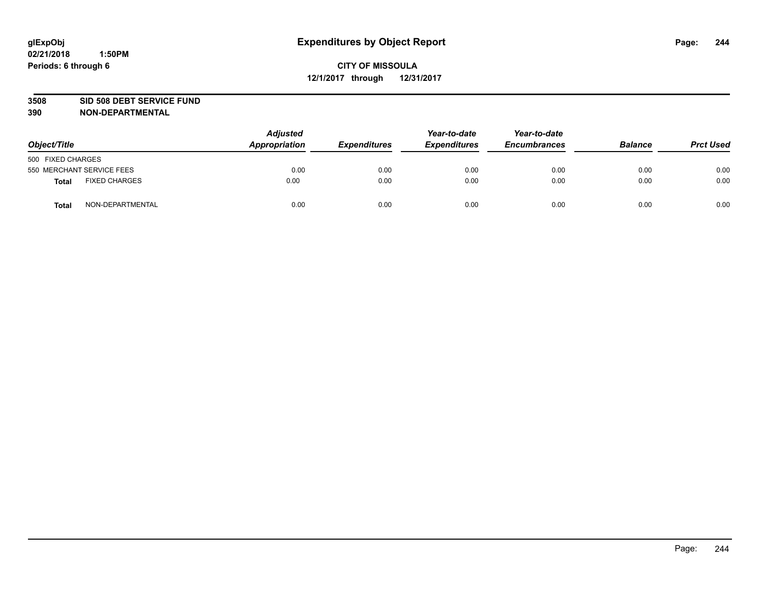#### **3508 SID 508 DEBT SERVICE FUND**

| Object/Title      |                           | <b>Adjusted</b><br>Appropriation | <b>Expenditures</b> | Year-to-date<br><b>Expenditures</b> | Year-to-date<br><b>Encumbrances</b> | <b>Balance</b> | <b>Prct Used</b> |
|-------------------|---------------------------|----------------------------------|---------------------|-------------------------------------|-------------------------------------|----------------|------------------|
| 500 FIXED CHARGES |                           |                                  |                     |                                     |                                     |                |                  |
|                   | 550 MERCHANT SERVICE FEES | 0.00                             | 0.00                | 0.00                                | 0.00                                | 0.00           | 0.00             |
| <b>Total</b>      | <b>FIXED CHARGES</b>      | 0.00                             | 0.00                | 0.00                                | 0.00                                | 0.00           | 0.00             |
| <b>Total</b>      | NON-DEPARTMENTAL          | 0.00                             | 0.00                | 0.00                                | 0.00                                | 0.00           | 0.00             |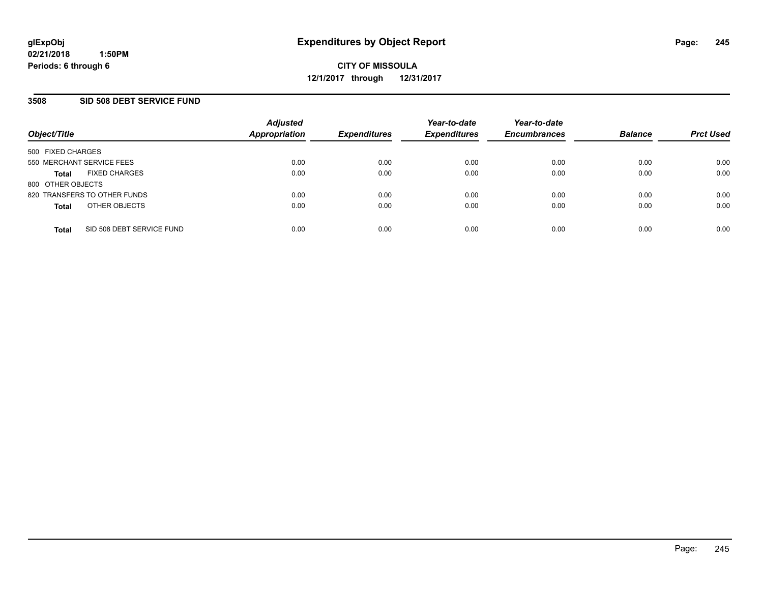#### **3508 SID 508 DEBT SERVICE FUND**

| Object/Title                 |                           | <b>Adjusted</b><br><b>Appropriation</b> | <b>Expenditures</b> | Year-to-date<br><b>Expenditures</b> | Year-to-date<br><b>Encumbrances</b> | <b>Balance</b> | <b>Prct Used</b> |
|------------------------------|---------------------------|-----------------------------------------|---------------------|-------------------------------------|-------------------------------------|----------------|------------------|
| 500 FIXED CHARGES            |                           |                                         |                     |                                     |                                     |                |                  |
| 550 MERCHANT SERVICE FEES    |                           | 0.00                                    | 0.00                | 0.00                                | 0.00                                | 0.00           | 0.00             |
| <b>Total</b>                 | <b>FIXED CHARGES</b>      | 0.00                                    | 0.00                | 0.00                                | 0.00                                | 0.00           | 0.00             |
| 800 OTHER OBJECTS            |                           |                                         |                     |                                     |                                     |                |                  |
| 820 TRANSFERS TO OTHER FUNDS |                           | 0.00                                    | 0.00                | 0.00                                | 0.00                                | 0.00           | 0.00             |
| <b>Total</b>                 | OTHER OBJECTS             | 0.00                                    | 0.00                | 0.00                                | 0.00                                | 0.00           | 0.00             |
|                              |                           |                                         |                     |                                     |                                     |                |                  |
| <b>Total</b>                 | SID 508 DEBT SERVICE FUND | 0.00                                    | 0.00                | 0.00                                | 0.00                                | 0.00           | 0.00             |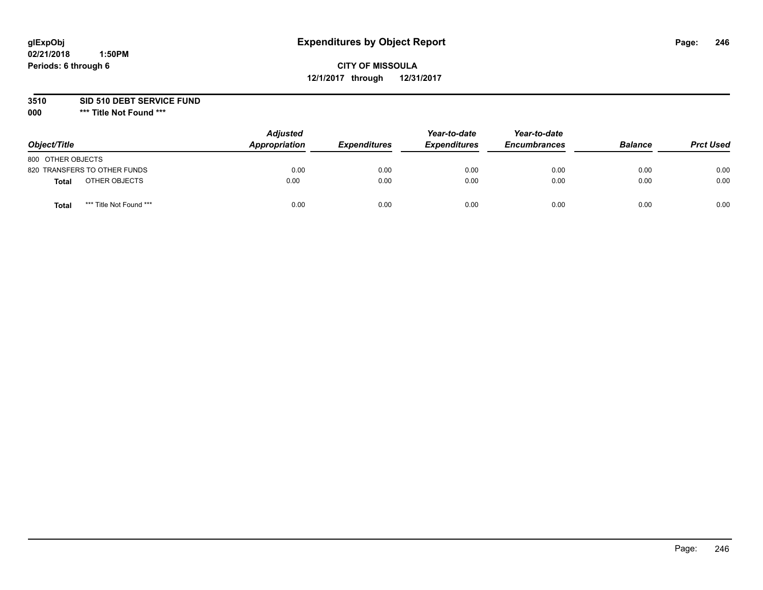## **CITY OF MISSOULA 12/1/2017 through 12/31/2017**

#### **3510 SID 510 DEBT SERVICE FUND**

| Object/Title                     | <b>Adjusted</b><br>Appropriation | <b>Expenditures</b> | Year-to-date<br><b>Expenditures</b> | Year-to-date<br><b>Encumbrances</b> | <b>Balance</b> | <b>Prct Used</b> |
|----------------------------------|----------------------------------|---------------------|-------------------------------------|-------------------------------------|----------------|------------------|
| 800 OTHER OBJECTS                |                                  |                     |                                     |                                     |                |                  |
| 820 TRANSFERS TO OTHER FUNDS     | 0.00                             | 0.00                | 0.00                                | 0.00                                | 0.00           | 0.00             |
| OTHER OBJECTS<br>Total           | 0.00                             | 0.00                | 0.00                                | 0.00                                | 0.00           | 0.00             |
| *** Title Not Found ***<br>Total | 0.00                             | 0.00                | 0.00                                | 0.00                                | 0.00           | 0.00             |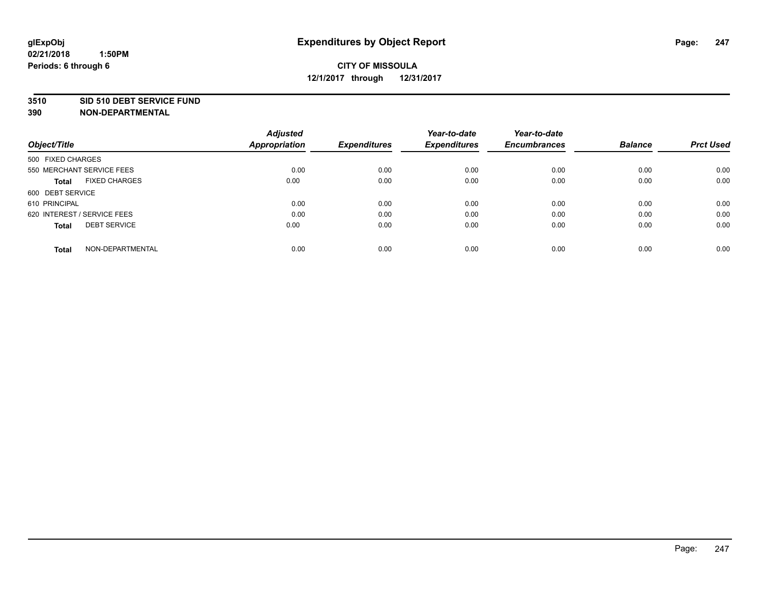#### **3510 SID 510 DEBT SERVICE FUND**

| Object/Title                         | <b>Adjusted</b><br><b>Appropriation</b> | <b>Expenditures</b> | Year-to-date<br><b>Expenditures</b> | Year-to-date<br><b>Encumbrances</b> | <b>Balance</b> | <b>Prct Used</b> |
|--------------------------------------|-----------------------------------------|---------------------|-------------------------------------|-------------------------------------|----------------|------------------|
|                                      |                                         |                     |                                     |                                     |                |                  |
| 500 FIXED CHARGES                    |                                         |                     |                                     |                                     |                |                  |
| 550 MERCHANT SERVICE FEES            | 0.00                                    | 0.00                | 0.00                                | 0.00                                | 0.00           | 0.00             |
| <b>FIXED CHARGES</b><br><b>Total</b> | 0.00                                    | 0.00                | 0.00                                | 0.00                                | 0.00           | 0.00             |
| 600 DEBT SERVICE                     |                                         |                     |                                     |                                     |                |                  |
| 610 PRINCIPAL                        | 0.00                                    | 0.00                | 0.00                                | 0.00                                | 0.00           | 0.00             |
| 620 INTEREST / SERVICE FEES          | 0.00                                    | 0.00                | 0.00                                | 0.00                                | 0.00           | 0.00             |
| <b>DEBT SERVICE</b><br><b>Total</b>  | 0.00                                    | 0.00                | 0.00                                | 0.00                                | 0.00           | 0.00             |
| NON-DEPARTMENTAL<br><b>Total</b>     | 0.00                                    | 0.00                | 0.00                                | 0.00                                | 0.00           | 0.00             |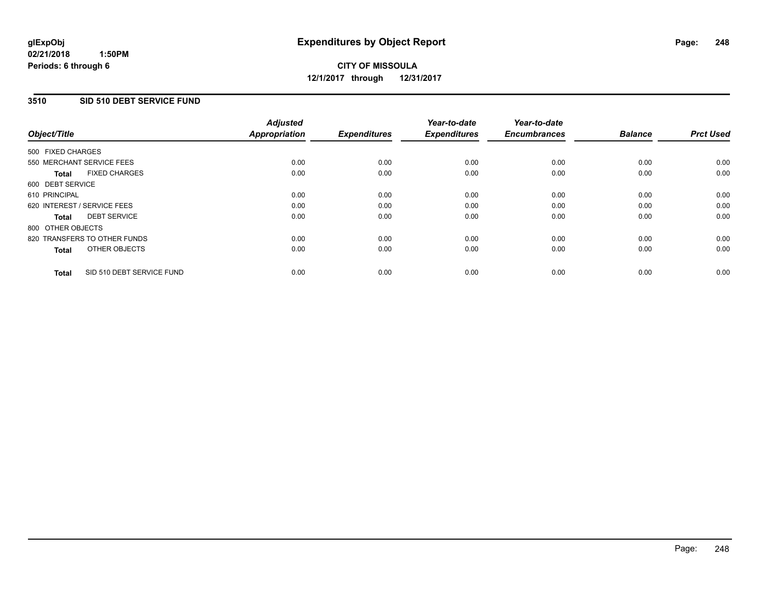#### **3510 SID 510 DEBT SERVICE FUND**

| Object/Title                              | <b>Adjusted</b><br><b>Appropriation</b> | <b>Expenditures</b> | Year-to-date<br><b>Expenditures</b> | Year-to-date<br><b>Encumbrances</b> | <b>Balance</b> | <b>Prct Used</b> |
|-------------------------------------------|-----------------------------------------|---------------------|-------------------------------------|-------------------------------------|----------------|------------------|
|                                           |                                         |                     |                                     |                                     |                |                  |
| 500 FIXED CHARGES                         |                                         |                     |                                     |                                     |                |                  |
| 550 MERCHANT SERVICE FEES                 | 0.00                                    | 0.00                | 0.00                                | 0.00                                | 0.00           | 0.00             |
| <b>FIXED CHARGES</b><br><b>Total</b>      | 0.00                                    | 0.00                | 0.00                                | 0.00                                | 0.00           | 0.00             |
| 600 DEBT SERVICE                          |                                         |                     |                                     |                                     |                |                  |
| 610 PRINCIPAL                             | 0.00                                    | 0.00                | 0.00                                | 0.00                                | 0.00           | 0.00             |
| 620 INTEREST / SERVICE FEES               | 0.00                                    | 0.00                | 0.00                                | 0.00                                | 0.00           | 0.00             |
| <b>DEBT SERVICE</b><br><b>Total</b>       | 0.00                                    | 0.00                | 0.00                                | 0.00                                | 0.00           | 0.00             |
| 800 OTHER OBJECTS                         |                                         |                     |                                     |                                     |                |                  |
| 820 TRANSFERS TO OTHER FUNDS              | 0.00                                    | 0.00                | 0.00                                | 0.00                                | 0.00           | 0.00             |
| OTHER OBJECTS<br><b>Total</b>             | 0.00                                    | 0.00                | 0.00                                | 0.00                                | 0.00           | 0.00             |
|                                           |                                         |                     |                                     |                                     |                |                  |
| SID 510 DEBT SERVICE FUND<br><b>Total</b> | 0.00                                    | 0.00                | 0.00                                | 0.00                                | 0.00           | 0.00             |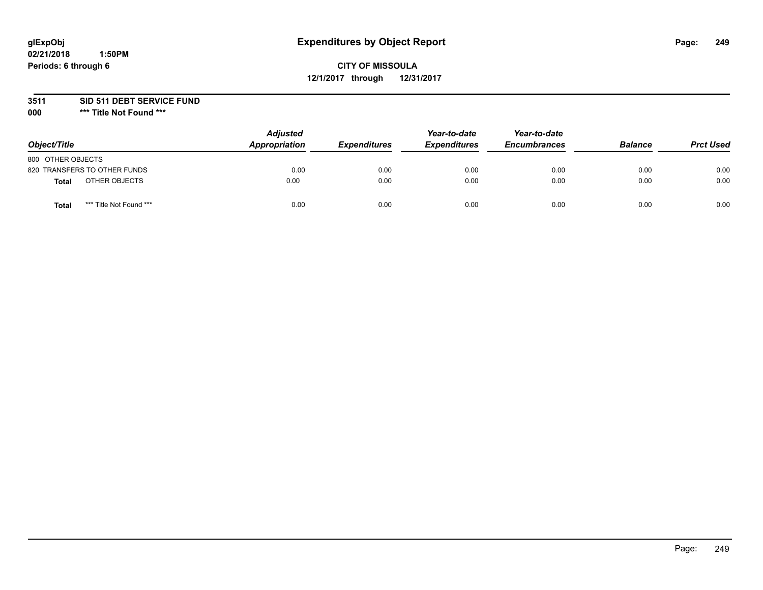## **CITY OF MISSOULA 12/1/2017 through 12/31/2017**

**3511 SID 511 DEBT SERVICE FUND**

| Object/Title                     | <b>Adjusted</b><br>Appropriation | <b>Expenditures</b> | Year-to-date<br><b>Expenditures</b> | Year-to-date<br><b>Encumbrances</b> | <b>Balance</b> | <b>Prct Used</b> |
|----------------------------------|----------------------------------|---------------------|-------------------------------------|-------------------------------------|----------------|------------------|
| 800 OTHER OBJECTS                |                                  |                     |                                     |                                     |                |                  |
| 820 TRANSFERS TO OTHER FUNDS     | 0.00                             | 0.00                | 0.00                                | 0.00                                | 0.00           | 0.00             |
| OTHER OBJECTS<br><b>Total</b>    | 0.00                             | 0.00                | 0.00                                | 0.00                                | 0.00           | 0.00             |
| *** Title Not Found ***<br>Total | 0.00                             | 0.00                | 0.00                                | 0.00                                | 0.00           | 0.00             |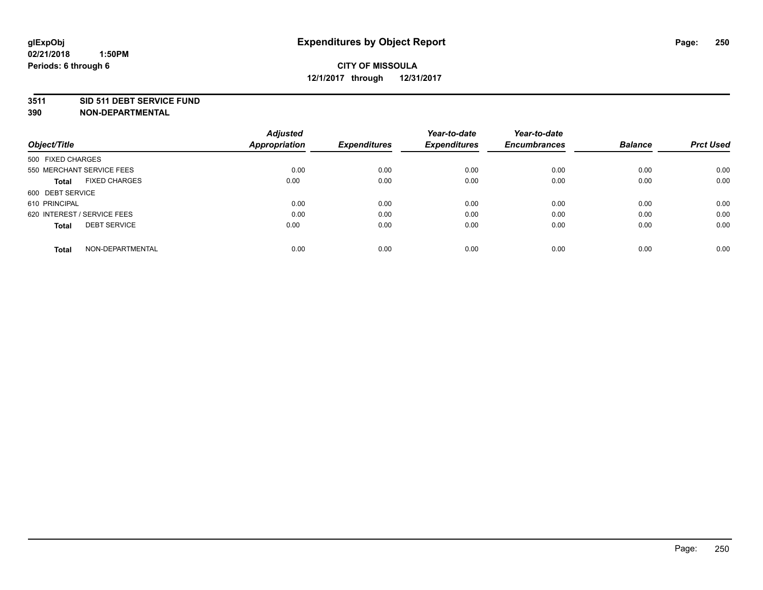#### **3511 SID 511 DEBT SERVICE FUND**

| Object/Title                         | <b>Adjusted</b><br><b>Appropriation</b> | <b>Expenditures</b> | Year-to-date<br><b>Expenditures</b> | Year-to-date<br><b>Encumbrances</b> | <b>Balance</b> | <b>Prct Used</b> |
|--------------------------------------|-----------------------------------------|---------------------|-------------------------------------|-------------------------------------|----------------|------------------|
|                                      |                                         |                     |                                     |                                     |                |                  |
| 500 FIXED CHARGES                    |                                         |                     |                                     |                                     |                |                  |
| 550 MERCHANT SERVICE FEES            | 0.00                                    | 0.00                | 0.00                                | 0.00                                | 0.00           | 0.00             |
| <b>FIXED CHARGES</b><br><b>Total</b> | 0.00                                    | 0.00                | 0.00                                | 0.00                                | 0.00           | 0.00             |
| 600 DEBT SERVICE                     |                                         |                     |                                     |                                     |                |                  |
| 610 PRINCIPAL                        | 0.00                                    | 0.00                | 0.00                                | 0.00                                | 0.00           | 0.00             |
| 620 INTEREST / SERVICE FEES          | 0.00                                    | 0.00                | 0.00                                | 0.00                                | 0.00           | 0.00             |
| <b>DEBT SERVICE</b><br><b>Total</b>  | 0.00                                    | 0.00                | 0.00                                | 0.00                                | 0.00           | 0.00             |
| NON-DEPARTMENTAL<br><b>Total</b>     | 0.00                                    | 0.00                | 0.00                                | 0.00                                | 0.00           | 0.00             |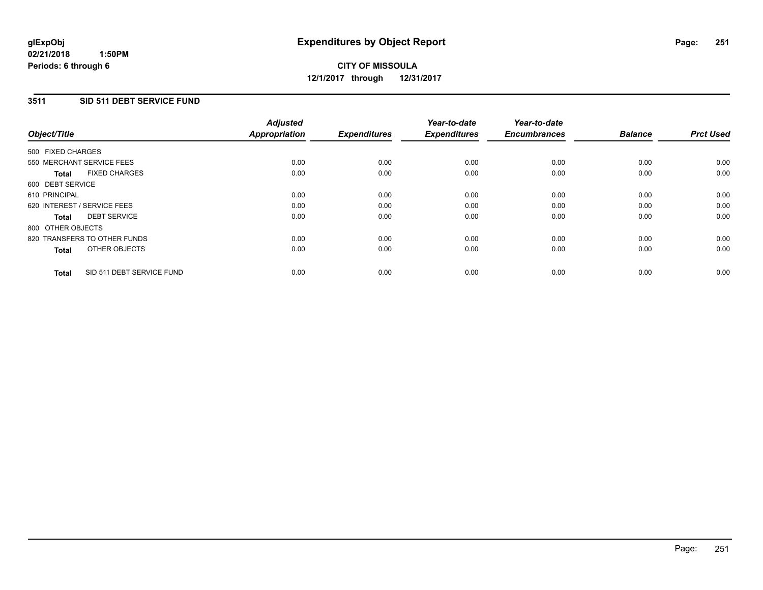#### **3511 SID 511 DEBT SERVICE FUND**

| Object/Title      |                              | <b>Adjusted</b><br>Appropriation | <b>Expenditures</b> | Year-to-date<br><b>Expenditures</b> | Year-to-date<br><b>Encumbrances</b> | <b>Balance</b> | <b>Prct Used</b> |
|-------------------|------------------------------|----------------------------------|---------------------|-------------------------------------|-------------------------------------|----------------|------------------|
| 500 FIXED CHARGES |                              |                                  |                     |                                     |                                     |                |                  |
|                   | 550 MERCHANT SERVICE FEES    | 0.00                             | 0.00                | 0.00                                | 0.00                                | 0.00           | 0.00             |
| <b>Total</b>      | <b>FIXED CHARGES</b>         | 0.00                             | 0.00                | 0.00                                | 0.00                                | 0.00           | 0.00             |
| 600 DEBT SERVICE  |                              |                                  |                     |                                     |                                     |                |                  |
| 610 PRINCIPAL     |                              | 0.00                             | 0.00                | 0.00                                | 0.00                                | 0.00           | 0.00             |
|                   | 620 INTEREST / SERVICE FEES  | 0.00                             | 0.00                | 0.00                                | 0.00                                | 0.00           | 0.00             |
| <b>Total</b>      | <b>DEBT SERVICE</b>          | 0.00                             | 0.00                | 0.00                                | 0.00                                | 0.00           | 0.00             |
| 800 OTHER OBJECTS |                              |                                  |                     |                                     |                                     |                |                  |
|                   | 820 TRANSFERS TO OTHER FUNDS | 0.00                             | 0.00                | 0.00                                | 0.00                                | 0.00           | 0.00             |
| <b>Total</b>      | OTHER OBJECTS                | 0.00                             | 0.00                | 0.00                                | 0.00                                | 0.00           | 0.00             |
| <b>Total</b>      | SID 511 DEBT SERVICE FUND    | 0.00                             | 0.00                | 0.00                                | 0.00                                | 0.00           | 0.00             |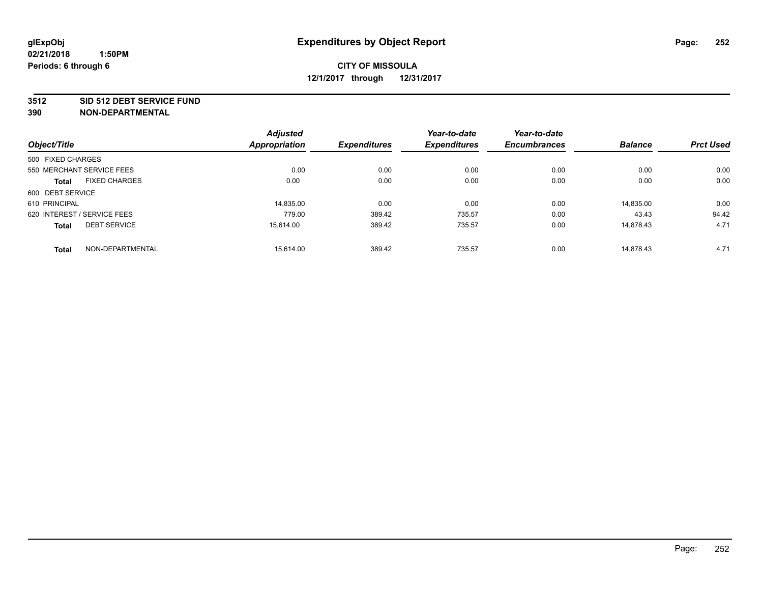#### **3512 SID 512 DEBT SERVICE FUND**

|                                      | <b>Adjusted</b>      |                     | Year-to-date        | Year-to-date        |                |                  |
|--------------------------------------|----------------------|---------------------|---------------------|---------------------|----------------|------------------|
| Object/Title                         | <b>Appropriation</b> | <b>Expenditures</b> | <b>Expenditures</b> | <b>Encumbrances</b> | <b>Balance</b> | <b>Prct Used</b> |
| 500 FIXED CHARGES                    |                      |                     |                     |                     |                |                  |
| 550 MERCHANT SERVICE FEES            | 0.00                 | 0.00                | 0.00                | 0.00                | 0.00           | 0.00             |
| <b>FIXED CHARGES</b><br><b>Total</b> | 0.00                 | 0.00                | 0.00                | 0.00                | 0.00           | 0.00             |
| 600 DEBT SERVICE                     |                      |                     |                     |                     |                |                  |
| 610 PRINCIPAL                        | 14.835.00            | 0.00                | 0.00                | 0.00                | 14,835.00      | 0.00             |
| 620 INTEREST / SERVICE FEES          | 779.00               | 389.42              | 735.57              | 0.00                | 43.43          | 94.42            |
| <b>DEBT SERVICE</b><br><b>Total</b>  | 15.614.00            | 389.42              | 735.57              | 0.00                | 14.878.43      | 4.71             |
| NON-DEPARTMENTAL<br><b>Total</b>     | 15.614.00            | 389.42              | 735.57              | 0.00                | 14,878.43      | 4.71             |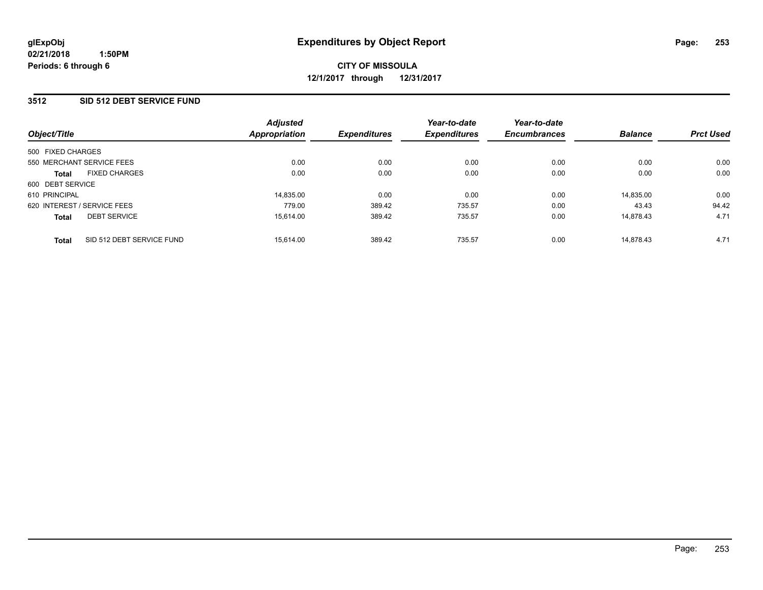### **3512 SID 512 DEBT SERVICE FUND**

| Object/Title                |                           | <b>Adjusted</b><br><b>Appropriation</b> | <b>Expenditures</b> | Year-to-date<br><b>Expenditures</b> | Year-to-date<br><b>Encumbrances</b> | <b>Balance</b> | <b>Prct Used</b> |
|-----------------------------|---------------------------|-----------------------------------------|---------------------|-------------------------------------|-------------------------------------|----------------|------------------|
| 500 FIXED CHARGES           |                           |                                         |                     |                                     |                                     |                |                  |
| 550 MERCHANT SERVICE FEES   |                           | 0.00                                    | 0.00                | 0.00                                | 0.00                                | 0.00           | 0.00             |
| <b>Total</b>                | <b>FIXED CHARGES</b>      | 0.00                                    | 0.00                | 0.00                                | 0.00                                | 0.00           | 0.00             |
| 600 DEBT SERVICE            |                           |                                         |                     |                                     |                                     |                |                  |
| 610 PRINCIPAL               |                           | 14,835.00                               | 0.00                | 0.00                                | 0.00                                | 14,835.00      | 0.00             |
| 620 INTEREST / SERVICE FEES |                           | 779.00                                  | 389.42              | 735.57                              | 0.00                                | 43.43          | 94.42            |
| <b>Total</b>                | <b>DEBT SERVICE</b>       | 15.614.00                               | 389.42              | 735.57                              | 0.00                                | 14.878.43      | $4.7^{\circ}$    |
| <b>Total</b>                | SID 512 DEBT SERVICE FUND | 15.614.00                               | 389.42              | 735.57                              | 0.00                                | 14.878.43      | 4.71             |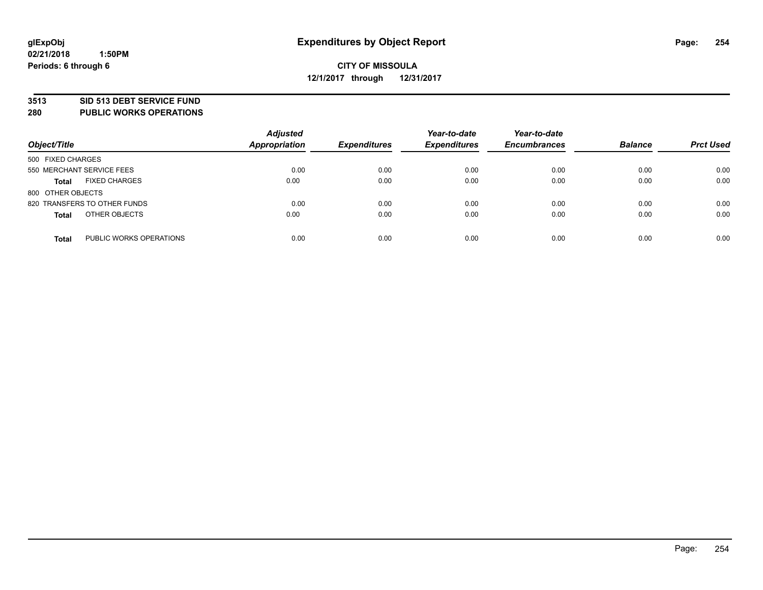#### **3513 SID 513 DEBT SERVICE FUND**

**280 PUBLIC WORKS OPERATIONS**

| Object/Title                 |                         | <b>Adjusted</b><br><b>Appropriation</b> | <b>Expenditures</b> | Year-to-date<br><b>Expenditures</b> | Year-to-date<br><b>Encumbrances</b> | <b>Balance</b> | <b>Prct Used</b> |
|------------------------------|-------------------------|-----------------------------------------|---------------------|-------------------------------------|-------------------------------------|----------------|------------------|
| 500 FIXED CHARGES            |                         |                                         |                     |                                     |                                     |                |                  |
| 550 MERCHANT SERVICE FEES    |                         | 0.00                                    | 0.00                | 0.00                                | 0.00                                | 0.00           | 0.00             |
| <b>Total</b>                 | <b>FIXED CHARGES</b>    | 0.00                                    | 0.00                | 0.00                                | 0.00                                | 0.00           | 0.00             |
| 800 OTHER OBJECTS            |                         |                                         |                     |                                     |                                     |                |                  |
| 820 TRANSFERS TO OTHER FUNDS |                         | 0.00                                    | 0.00                | 0.00                                | 0.00                                | 0.00           | 0.00             |
| <b>Total</b>                 | OTHER OBJECTS           | 0.00                                    | 0.00                | 0.00                                | 0.00                                | 0.00           | 0.00             |
| <b>Total</b>                 | PUBLIC WORKS OPERATIONS | 0.00                                    | 0.00                | 0.00                                | 0.00                                | 0.00           | 0.00             |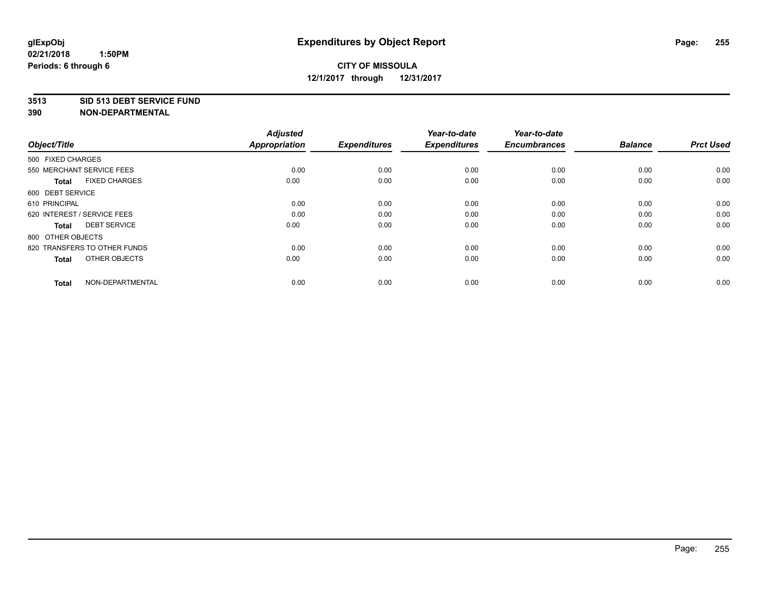#### **3513 SID 513 DEBT SERVICE FUND**

| Object/Title                         | <b>Adjusted</b><br>Appropriation | <b>Expenditures</b> | Year-to-date<br><b>Expenditures</b> | Year-to-date<br><b>Encumbrances</b> | <b>Balance</b> | <b>Prct Used</b> |
|--------------------------------------|----------------------------------|---------------------|-------------------------------------|-------------------------------------|----------------|------------------|
| 500 FIXED CHARGES                    |                                  |                     |                                     |                                     |                |                  |
| 550 MERCHANT SERVICE FEES            | 0.00                             | 0.00                | 0.00                                | 0.00                                | 0.00           | 0.00             |
| <b>FIXED CHARGES</b><br><b>Total</b> | 0.00                             | 0.00                | 0.00                                | 0.00                                | 0.00           | 0.00             |
| 600 DEBT SERVICE                     |                                  |                     |                                     |                                     |                |                  |
| 610 PRINCIPAL                        | 0.00                             | 0.00                | 0.00                                | 0.00                                | 0.00           | 0.00             |
| 620 INTEREST / SERVICE FEES          | 0.00                             | 0.00                | 0.00                                | 0.00                                | 0.00           | 0.00             |
| <b>DEBT SERVICE</b><br><b>Total</b>  | 0.00                             | 0.00                | 0.00                                | 0.00                                | 0.00           | 0.00             |
| 800 OTHER OBJECTS                    |                                  |                     |                                     |                                     |                |                  |
| 820 TRANSFERS TO OTHER FUNDS         | 0.00                             | 0.00                | 0.00                                | 0.00                                | 0.00           | 0.00             |
| OTHER OBJECTS<br><b>Total</b>        | 0.00                             | 0.00                | 0.00                                | 0.00                                | 0.00           | 0.00             |
|                                      |                                  |                     |                                     |                                     |                |                  |
| NON-DEPARTMENTAL<br><b>Total</b>     | 0.00                             | 0.00                | 0.00                                | 0.00                                | 0.00           | 0.00             |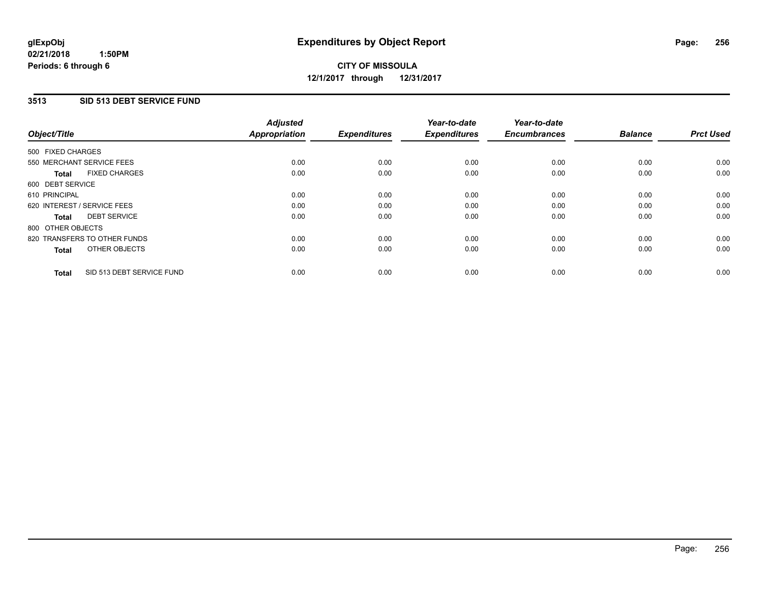### **3513 SID 513 DEBT SERVICE FUND**

| Object/Title                              | <b>Adjusted</b><br><b>Appropriation</b> | <b>Expenditures</b> | Year-to-date<br><b>Expenditures</b> | Year-to-date<br><b>Encumbrances</b> | <b>Balance</b> | <b>Prct Used</b> |
|-------------------------------------------|-----------------------------------------|---------------------|-------------------------------------|-------------------------------------|----------------|------------------|
|                                           |                                         |                     |                                     |                                     |                |                  |
| 500 FIXED CHARGES                         |                                         |                     |                                     |                                     |                |                  |
| 550 MERCHANT SERVICE FEES                 | 0.00                                    | 0.00                | 0.00                                | 0.00                                | 0.00           | 0.00             |
| <b>FIXED CHARGES</b><br>Total             | 0.00                                    | 0.00                | 0.00                                | 0.00                                | 0.00           | 0.00             |
| 600 DEBT SERVICE                          |                                         |                     |                                     |                                     |                |                  |
| 610 PRINCIPAL                             | 0.00                                    | 0.00                | 0.00                                | 0.00                                | 0.00           | 0.00             |
| 620 INTEREST / SERVICE FEES               | 0.00                                    | 0.00                | 0.00                                | 0.00                                | 0.00           | 0.00             |
| <b>DEBT SERVICE</b><br><b>Total</b>       | 0.00                                    | 0.00                | 0.00                                | 0.00                                | 0.00           | 0.00             |
| 800 OTHER OBJECTS                         |                                         |                     |                                     |                                     |                |                  |
| 820 TRANSFERS TO OTHER FUNDS              | 0.00                                    | 0.00                | 0.00                                | 0.00                                | 0.00           | 0.00             |
| OTHER OBJECTS<br><b>Total</b>             | 0.00                                    | 0.00                | 0.00                                | 0.00                                | 0.00           | 0.00             |
|                                           |                                         |                     |                                     |                                     |                |                  |
| SID 513 DEBT SERVICE FUND<br><b>Total</b> | 0.00                                    | 0.00                | 0.00                                | 0.00                                | 0.00           | 0.00             |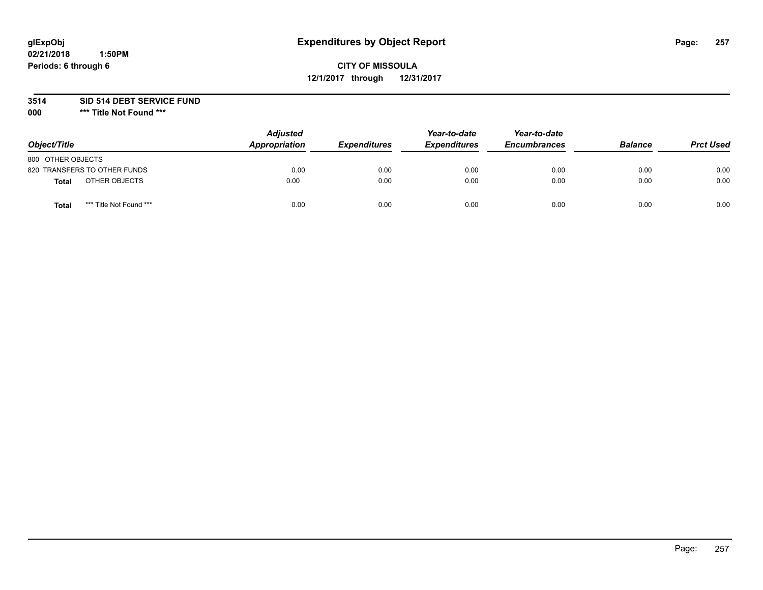# **glExpObj Expenditures by Object Report Page: 257**

### **CITY OF MISSOULA 12/1/2017 through 12/31/2017**

**3514 SID 514 DEBT SERVICE FUND**

**000 \*\*\* Title Not Found \*\*\***

| Object/Title                     | <b>Adjusted</b><br>Appropriation | <b>Expenditures</b> | Year-to-date<br><b>Expenditures</b> | Year-to-date<br><b>Encumbrances</b> | <b>Balance</b> | <b>Prct Used</b> |
|----------------------------------|----------------------------------|---------------------|-------------------------------------|-------------------------------------|----------------|------------------|
| 800 OTHER OBJECTS                |                                  |                     |                                     |                                     |                |                  |
| 820 TRANSFERS TO OTHER FUNDS     | 0.00                             | 0.00                | 0.00                                | 0.00                                | 0.00           | 0.00             |
| OTHER OBJECTS<br><b>Total</b>    | 0.00                             | 0.00                | 0.00                                | 0.00                                | 0.00           | 0.00             |
| *** Title Not Found ***<br>Total | 0.00                             | 0.00                | 0.00                                | 0.00                                | 0.00           | 0.00             |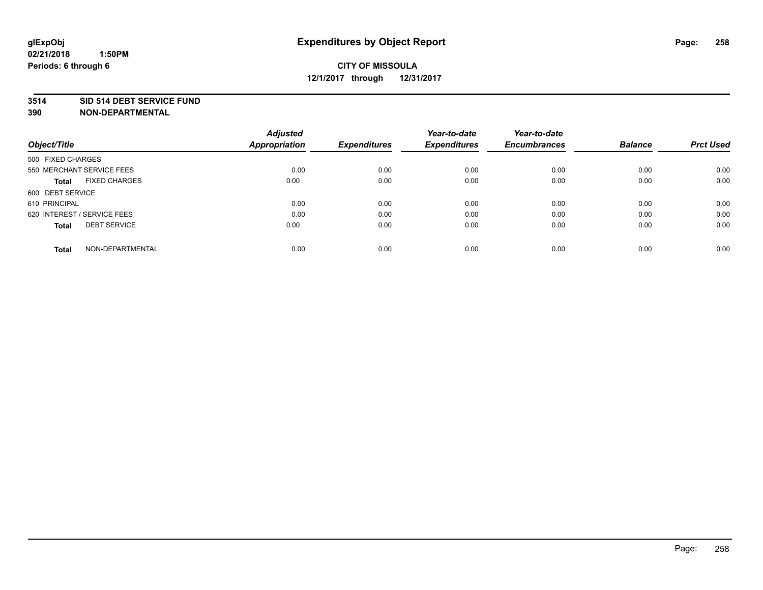#### **3514 SID 514 DEBT SERVICE FUND**

| Object/Title                         | <b>Adjusted</b><br><b>Appropriation</b> | <b>Expenditures</b> | Year-to-date<br><b>Expenditures</b> | Year-to-date<br><b>Encumbrances</b> | <b>Balance</b> | <b>Prct Used</b> |
|--------------------------------------|-----------------------------------------|---------------------|-------------------------------------|-------------------------------------|----------------|------------------|
|                                      |                                         |                     |                                     |                                     |                |                  |
| 500 FIXED CHARGES                    |                                         |                     |                                     |                                     |                |                  |
| 550 MERCHANT SERVICE FEES            | 0.00                                    | 0.00                | 0.00                                | 0.00                                | 0.00           | 0.00             |
| <b>FIXED CHARGES</b><br><b>Total</b> | 0.00                                    | 0.00                | 0.00                                | 0.00                                | 0.00           | 0.00             |
| 600 DEBT SERVICE                     |                                         |                     |                                     |                                     |                |                  |
| 610 PRINCIPAL                        | 0.00                                    | 0.00                | 0.00                                | 0.00                                | 0.00           | 0.00             |
| 620 INTEREST / SERVICE FEES          | 0.00                                    | 0.00                | 0.00                                | 0.00                                | 0.00           | 0.00             |
| <b>DEBT SERVICE</b><br><b>Total</b>  | 0.00                                    | 0.00                | 0.00                                | 0.00                                | 0.00           | 0.00             |
|                                      |                                         |                     |                                     |                                     |                |                  |
| NON-DEPARTMENTAL<br><b>Total</b>     | 0.00                                    | 0.00                | 0.00                                | 0.00                                | 0.00           | 0.00             |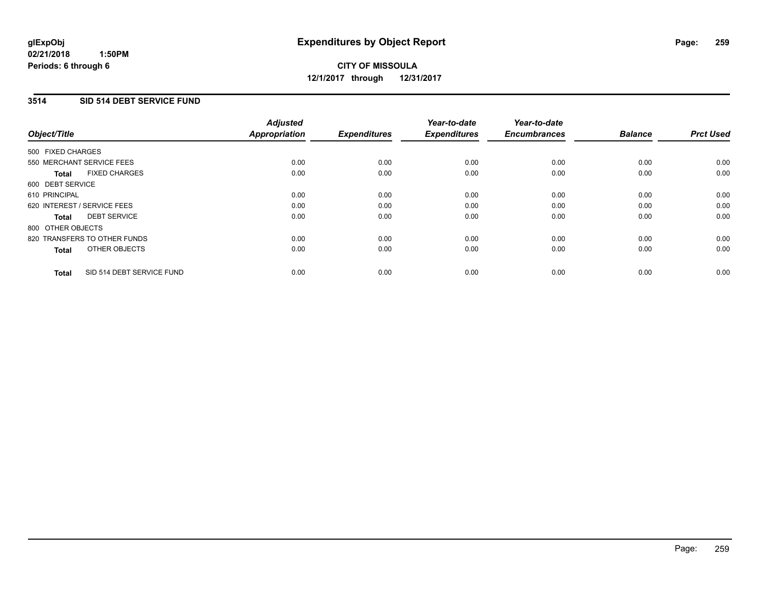### **3514 SID 514 DEBT SERVICE FUND**

| Object/Title      |                              | <b>Adjusted</b><br>Appropriation | <b>Expenditures</b> | Year-to-date<br><b>Expenditures</b> | Year-to-date<br><b>Encumbrances</b> | <b>Balance</b> | <b>Prct Used</b> |
|-------------------|------------------------------|----------------------------------|---------------------|-------------------------------------|-------------------------------------|----------------|------------------|
| 500 FIXED CHARGES |                              |                                  |                     |                                     |                                     |                |                  |
|                   | 550 MERCHANT SERVICE FEES    | 0.00                             | 0.00                | 0.00                                | 0.00                                | 0.00           | 0.00             |
| <b>Total</b>      | <b>FIXED CHARGES</b>         | 0.00                             | 0.00                | 0.00                                | 0.00                                | 0.00           | 0.00             |
| 600 DEBT SERVICE  |                              |                                  |                     |                                     |                                     |                |                  |
| 610 PRINCIPAL     |                              | 0.00                             | 0.00                | 0.00                                | 0.00                                | 0.00           | 0.00             |
|                   | 620 INTEREST / SERVICE FEES  | 0.00                             | 0.00                | 0.00                                | 0.00                                | 0.00           | 0.00             |
| Total             | <b>DEBT SERVICE</b>          | 0.00                             | 0.00                | 0.00                                | 0.00                                | 0.00           | 0.00             |
| 800 OTHER OBJECTS |                              |                                  |                     |                                     |                                     |                |                  |
|                   | 820 TRANSFERS TO OTHER FUNDS | 0.00                             | 0.00                | 0.00                                | 0.00                                | 0.00           | 0.00             |
| <b>Total</b>      | OTHER OBJECTS                | 0.00                             | 0.00                | 0.00                                | 0.00                                | 0.00           | 0.00             |
| <b>Total</b>      | SID 514 DEBT SERVICE FUND    | 0.00                             | 0.00                | 0.00                                | 0.00                                | 0.00           | 0.00             |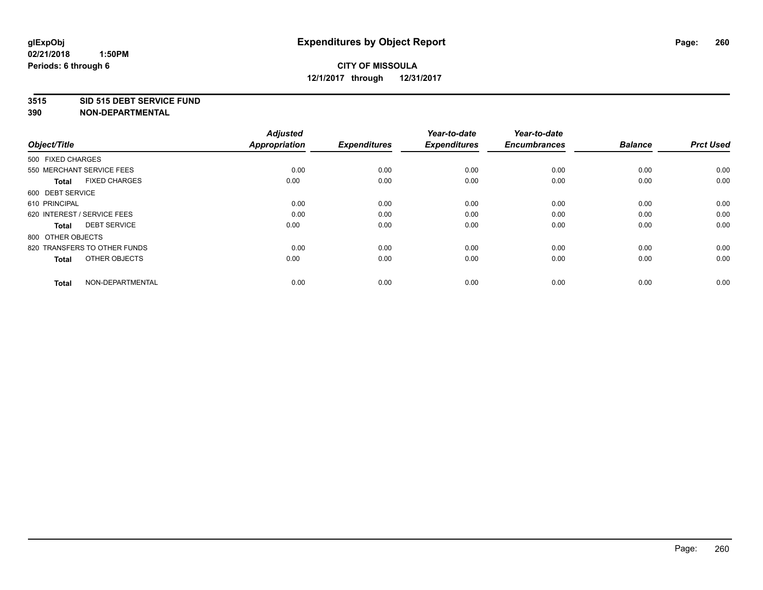#### **3515 SID 515 DEBT SERVICE FUND**

| Object/Title                         | <b>Adjusted</b><br>Appropriation | <b>Expenditures</b> | Year-to-date<br><b>Expenditures</b> | Year-to-date<br><b>Encumbrances</b> | <b>Balance</b> | <b>Prct Used</b> |
|--------------------------------------|----------------------------------|---------------------|-------------------------------------|-------------------------------------|----------------|------------------|
| 500 FIXED CHARGES                    |                                  |                     |                                     |                                     |                |                  |
| 550 MERCHANT SERVICE FEES            | 0.00                             | 0.00                | 0.00                                | 0.00                                | 0.00           | 0.00             |
| <b>FIXED CHARGES</b><br><b>Total</b> | 0.00                             | 0.00                | 0.00                                | 0.00                                | 0.00           | 0.00             |
| 600 DEBT SERVICE                     |                                  |                     |                                     |                                     |                |                  |
| 610 PRINCIPAL                        | 0.00                             | 0.00                | 0.00                                | 0.00                                | 0.00           | 0.00             |
| 620 INTEREST / SERVICE FEES          | 0.00                             | 0.00                | 0.00                                | 0.00                                | 0.00           | 0.00             |
| <b>DEBT SERVICE</b><br><b>Total</b>  | 0.00                             | 0.00                | 0.00                                | 0.00                                | 0.00           | 0.00             |
| 800 OTHER OBJECTS                    |                                  |                     |                                     |                                     |                |                  |
| 820 TRANSFERS TO OTHER FUNDS         | 0.00                             | 0.00                | 0.00                                | 0.00                                | 0.00           | 0.00             |
| OTHER OBJECTS<br><b>Total</b>        | 0.00                             | 0.00                | 0.00                                | 0.00                                | 0.00           | 0.00             |
|                                      |                                  |                     |                                     |                                     |                |                  |
| NON-DEPARTMENTAL<br><b>Total</b>     | 0.00                             | 0.00                | 0.00                                | 0.00                                | 0.00           | 0.00             |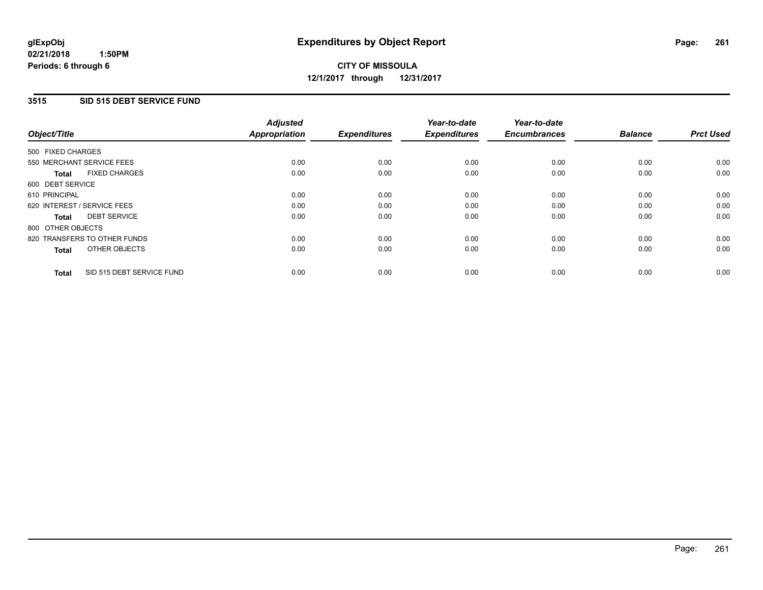### **3515 SID 515 DEBT SERVICE FUND**

| Object/Title                              | <b>Adjusted</b><br><b>Appropriation</b> | <b>Expenditures</b> | Year-to-date<br><b>Expenditures</b> | Year-to-date<br><b>Encumbrances</b> | <b>Balance</b> | <b>Prct Used</b> |
|-------------------------------------------|-----------------------------------------|---------------------|-------------------------------------|-------------------------------------|----------------|------------------|
|                                           |                                         |                     |                                     |                                     |                |                  |
| 500 FIXED CHARGES                         |                                         |                     |                                     |                                     |                |                  |
| 550 MERCHANT SERVICE FEES                 | 0.00                                    | 0.00                | 0.00                                | 0.00                                | 0.00           | 0.00             |
| <b>FIXED CHARGES</b><br>Total             | 0.00                                    | 0.00                | 0.00                                | 0.00                                | 0.00           | 0.00             |
| 600 DEBT SERVICE                          |                                         |                     |                                     |                                     |                |                  |
| 610 PRINCIPAL                             | 0.00                                    | 0.00                | 0.00                                | 0.00                                | 0.00           | 0.00             |
| 620 INTEREST / SERVICE FEES               | 0.00                                    | 0.00                | 0.00                                | 0.00                                | 0.00           | 0.00             |
| <b>DEBT SERVICE</b><br><b>Total</b>       | 0.00                                    | 0.00                | 0.00                                | 0.00                                | 0.00           | 0.00             |
| 800 OTHER OBJECTS                         |                                         |                     |                                     |                                     |                |                  |
| 820 TRANSFERS TO OTHER FUNDS              | 0.00                                    | 0.00                | 0.00                                | 0.00                                | 0.00           | 0.00             |
| OTHER OBJECTS<br><b>Total</b>             | 0.00                                    | 0.00                | 0.00                                | 0.00                                | 0.00           | 0.00             |
|                                           |                                         |                     |                                     |                                     |                |                  |
| SID 515 DEBT SERVICE FUND<br><b>Total</b> | 0.00                                    | 0.00                | 0.00                                | 0.00                                | 0.00           | 0.00             |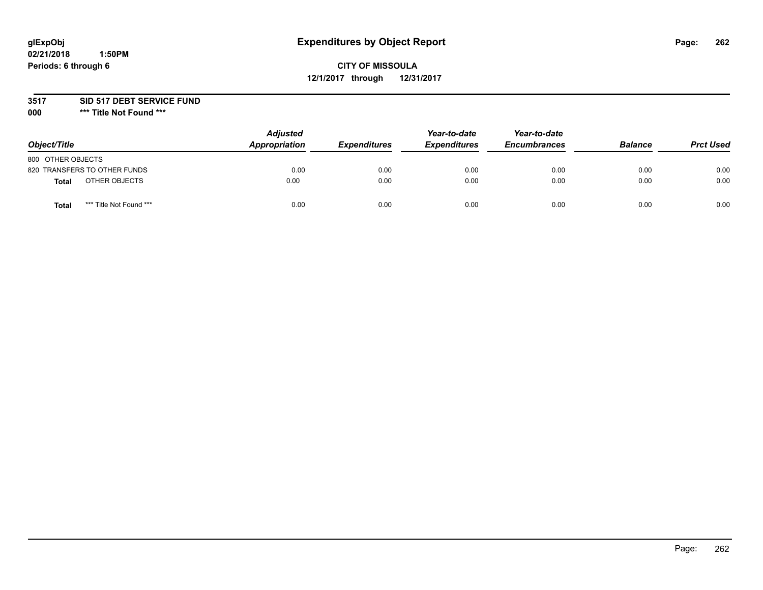# **glExpObj Expenditures by Object Report Page: 262**

### **CITY OF MISSOULA 12/1/2017 through 12/31/2017**

#### **3517 SID 517 DEBT SERVICE FUND**

**000 \*\*\* Title Not Found \*\*\***

| Object/Title                            | <b>Adjusted</b><br>Appropriation | <b>Expenditures</b> | Year-to-date<br><b>Expenditures</b> | Year-to-date<br><b>Encumbrances</b> | <b>Balance</b> | <b>Prct Used</b> |
|-----------------------------------------|----------------------------------|---------------------|-------------------------------------|-------------------------------------|----------------|------------------|
| 800 OTHER OBJECTS                       |                                  |                     |                                     |                                     |                |                  |
| 820 TRANSFERS TO OTHER FUNDS            | 0.00                             | 0.00                | 0.00                                | 0.00                                | 0.00           | 0.00             |
| OTHER OBJECTS<br>Total                  | 0.00                             | 0.00                | 0.00                                | 0.00                                | 0.00           | 0.00             |
| *** Title Not Found ***<br><b>Total</b> | 0.00                             | 0.00                | 0.00                                | 0.00                                | 0.00           | 0.00             |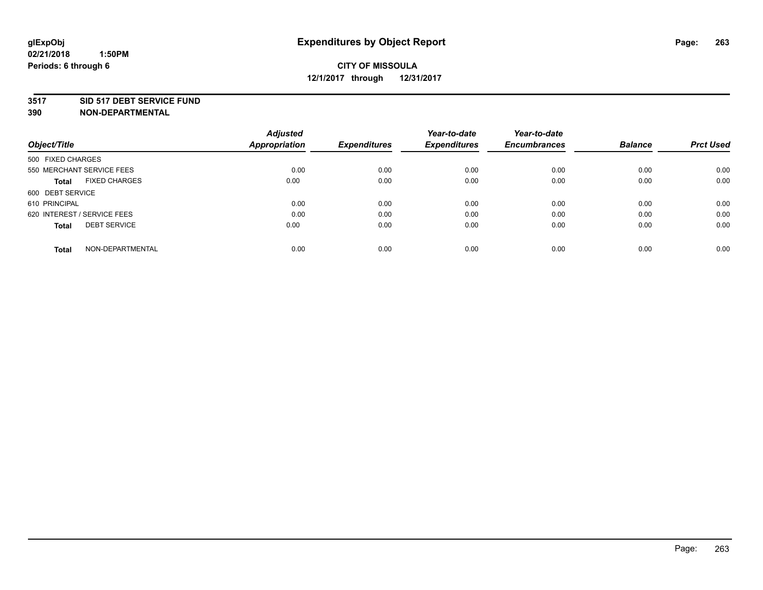#### **3517 SID 517 DEBT SERVICE FUND**

|                                      | <b>Adjusted</b>      |                     | Year-to-date        | Year-to-date        |                |                  |
|--------------------------------------|----------------------|---------------------|---------------------|---------------------|----------------|------------------|
| Object/Title                         | <b>Appropriation</b> | <b>Expenditures</b> | <b>Expenditures</b> | <b>Encumbrances</b> | <b>Balance</b> | <b>Prct Used</b> |
| 500 FIXED CHARGES                    |                      |                     |                     |                     |                |                  |
| 550 MERCHANT SERVICE FEES            | 0.00                 | 0.00                | 0.00                | 0.00                | 0.00           | 0.00             |
| <b>FIXED CHARGES</b><br><b>Total</b> | 0.00                 | 0.00                | 0.00                | 0.00                | 0.00           | 0.00             |
| 600 DEBT SERVICE                     |                      |                     |                     |                     |                |                  |
| 610 PRINCIPAL                        | 0.00                 | 0.00                | 0.00                | 0.00                | 0.00           | 0.00             |
| 620 INTEREST / SERVICE FEES          | 0.00                 | 0.00                | 0.00                | 0.00                | 0.00           | 0.00             |
| <b>DEBT SERVICE</b><br><b>Total</b>  | 0.00                 | 0.00                | 0.00                | 0.00                | 0.00           | 0.00             |
| NON-DEPARTMENTAL<br><b>Total</b>     | 0.00                 | 0.00                | 0.00                | 0.00                | 0.00           | 0.00             |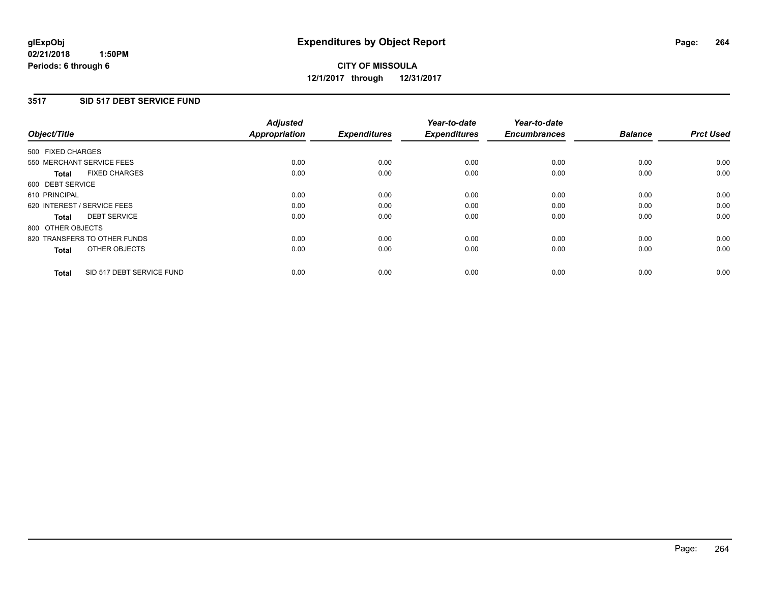### **3517 SID 517 DEBT SERVICE FUND**

| Object/Title                              | <b>Adjusted</b><br><b>Appropriation</b> | <b>Expenditures</b> | Year-to-date<br><b>Expenditures</b> | Year-to-date<br><b>Encumbrances</b> | <b>Balance</b> | <b>Prct Used</b> |
|-------------------------------------------|-----------------------------------------|---------------------|-------------------------------------|-------------------------------------|----------------|------------------|
| 500 FIXED CHARGES                         |                                         |                     |                                     |                                     |                |                  |
| 550 MERCHANT SERVICE FEES                 | 0.00                                    | 0.00                | 0.00                                | 0.00                                | 0.00           | 0.00             |
| <b>FIXED CHARGES</b><br><b>Total</b>      | 0.00                                    | 0.00                | 0.00                                | 0.00                                | 0.00           | 0.00             |
| 600 DEBT SERVICE                          |                                         |                     |                                     |                                     |                |                  |
| 610 PRINCIPAL                             | 0.00                                    | 0.00                | 0.00                                | 0.00                                | 0.00           | 0.00             |
| 620 INTEREST / SERVICE FEES               | 0.00                                    | 0.00                | 0.00                                | 0.00                                | 0.00           | 0.00             |
| <b>DEBT SERVICE</b><br><b>Total</b>       | 0.00                                    | 0.00                | 0.00                                | 0.00                                | 0.00           | 0.00             |
| 800 OTHER OBJECTS                         |                                         |                     |                                     |                                     |                |                  |
| 820 TRANSFERS TO OTHER FUNDS              | 0.00                                    | 0.00                | 0.00                                | 0.00                                | 0.00           | 0.00             |
| OTHER OBJECTS<br><b>Total</b>             | 0.00                                    | 0.00                | 0.00                                | 0.00                                | 0.00           | 0.00             |
| SID 517 DEBT SERVICE FUND<br><b>Total</b> | 0.00                                    | 0.00                | 0.00                                | 0.00                                | 0.00           | 0.00             |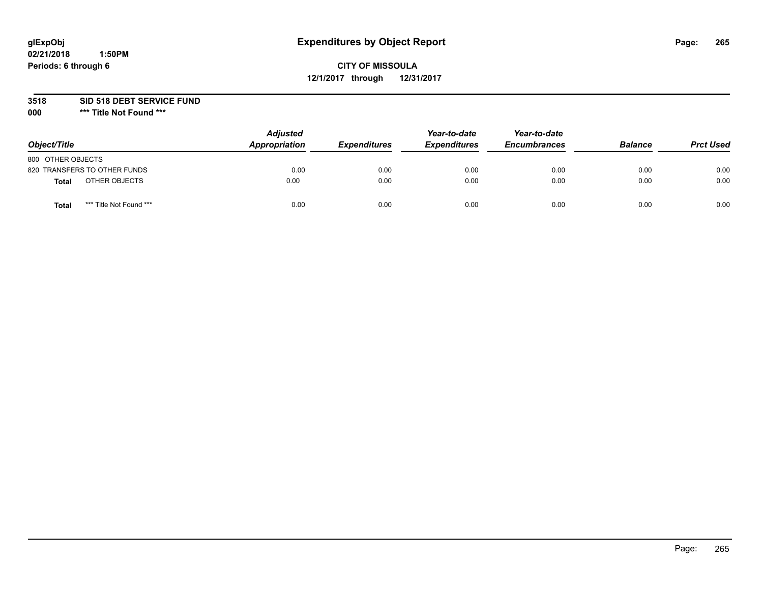# **glExpObj Expenditures by Object Report Page: 265**

### **CITY OF MISSOULA 12/1/2017 through 12/31/2017**

**3518 SID 518 DEBT SERVICE FUND**

**000 \*\*\* Title Not Found \*\*\***

| Object/Title                            | <b>Adjusted</b><br>Appropriation | <b>Expenditures</b> | Year-to-date<br><b>Expenditures</b> | Year-to-date<br><b>Encumbrances</b> | <b>Balance</b> | <b>Prct Used</b> |
|-----------------------------------------|----------------------------------|---------------------|-------------------------------------|-------------------------------------|----------------|------------------|
| 800 OTHER OBJECTS                       |                                  |                     |                                     |                                     |                |                  |
| 820 TRANSFERS TO OTHER FUNDS            | 0.00                             | 0.00                | 0.00                                | 0.00                                | 0.00           | 0.00             |
| OTHER OBJECTS<br><b>Total</b>           | 0.00                             | 0.00                | 0.00                                | 0.00                                | 0.00           | 0.00             |
| *** Title Not Found ***<br><b>Total</b> | 0.00                             | 0.00                | 0.00                                | 0.00                                | 0.00           | 0.00             |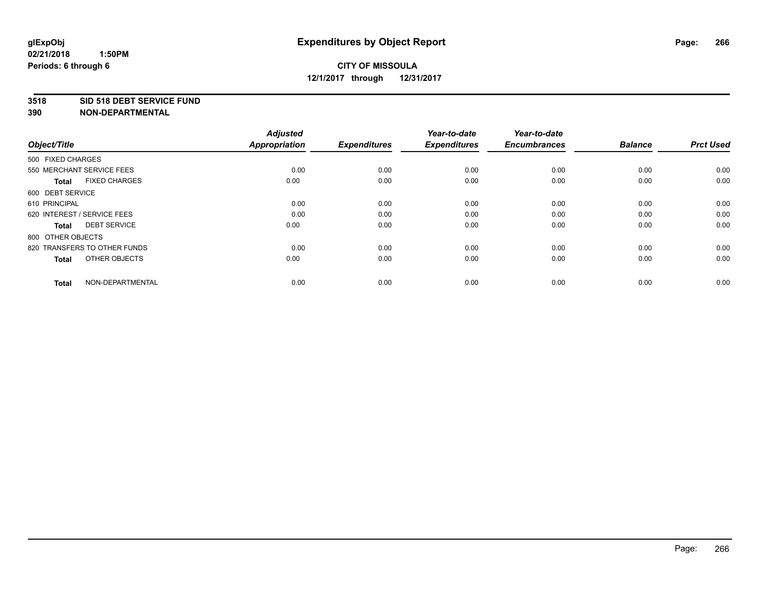#### **3518 SID 518 DEBT SERVICE FUND**

| Object/Title                         | <b>Adjusted</b><br>Appropriation | <b>Expenditures</b> | Year-to-date<br><b>Expenditures</b> | Year-to-date<br><b>Encumbrances</b> | <b>Balance</b> | <b>Prct Used</b> |
|--------------------------------------|----------------------------------|---------------------|-------------------------------------|-------------------------------------|----------------|------------------|
| 500 FIXED CHARGES                    |                                  |                     |                                     |                                     |                |                  |
| 550 MERCHANT SERVICE FEES            | 0.00                             | 0.00                | 0.00                                | 0.00                                | 0.00           | 0.00             |
| <b>FIXED CHARGES</b><br><b>Total</b> | 0.00                             | 0.00                | 0.00                                | 0.00                                | 0.00           | 0.00             |
| 600 DEBT SERVICE                     |                                  |                     |                                     |                                     |                |                  |
| 610 PRINCIPAL                        | 0.00                             | 0.00                | 0.00                                | 0.00                                | 0.00           | 0.00             |
| 620 INTEREST / SERVICE FEES          | 0.00                             | 0.00                | 0.00                                | 0.00                                | 0.00           | 0.00             |
| <b>DEBT SERVICE</b><br><b>Total</b>  | 0.00                             | 0.00                | 0.00                                | 0.00                                | 0.00           | 0.00             |
| 800 OTHER OBJECTS                    |                                  |                     |                                     |                                     |                |                  |
| 820 TRANSFERS TO OTHER FUNDS         | 0.00                             | 0.00                | 0.00                                | 0.00                                | 0.00           | 0.00             |
| OTHER OBJECTS<br><b>Total</b>        | 0.00                             | 0.00                | 0.00                                | 0.00                                | 0.00           | 0.00             |
|                                      |                                  |                     |                                     |                                     |                |                  |
| NON-DEPARTMENTAL<br><b>Total</b>     | 0.00                             | 0.00                | 0.00                                | 0.00                                | 0.00           | 0.00             |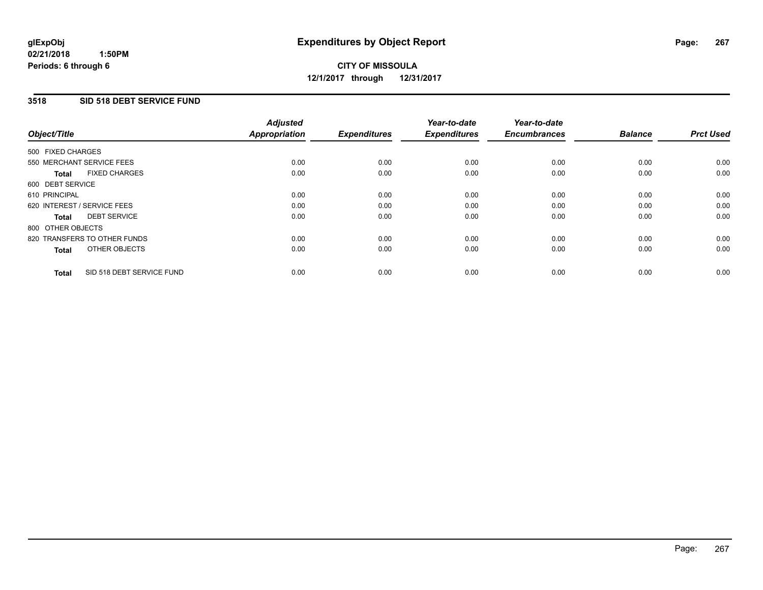### **3518 SID 518 DEBT SERVICE FUND**

| Object/Title                              | <b>Adjusted</b><br><b>Appropriation</b> | <b>Expenditures</b> | Year-to-date<br><b>Expenditures</b> | Year-to-date<br><b>Encumbrances</b> | <b>Balance</b> | <b>Prct Used</b> |
|-------------------------------------------|-----------------------------------------|---------------------|-------------------------------------|-------------------------------------|----------------|------------------|
|                                           |                                         |                     |                                     |                                     |                |                  |
| 500 FIXED CHARGES                         |                                         |                     |                                     |                                     |                |                  |
| 550 MERCHANT SERVICE FEES                 | 0.00                                    | 0.00                | 0.00                                | 0.00                                | 0.00           | 0.00             |
| <b>FIXED CHARGES</b><br>Total             | 0.00                                    | 0.00                | 0.00                                | 0.00                                | 0.00           | 0.00             |
| 600 DEBT SERVICE                          |                                         |                     |                                     |                                     |                |                  |
| 610 PRINCIPAL                             | 0.00                                    | 0.00                | 0.00                                | 0.00                                | 0.00           | 0.00             |
| 620 INTEREST / SERVICE FEES               | 0.00                                    | 0.00                | 0.00                                | 0.00                                | 0.00           | 0.00             |
| <b>DEBT SERVICE</b><br><b>Total</b>       | 0.00                                    | 0.00                | 0.00                                | 0.00                                | 0.00           | 0.00             |
| 800 OTHER OBJECTS                         |                                         |                     |                                     |                                     |                |                  |
| 820 TRANSFERS TO OTHER FUNDS              | 0.00                                    | 0.00                | 0.00                                | 0.00                                | 0.00           | 0.00             |
| OTHER OBJECTS<br><b>Total</b>             | 0.00                                    | 0.00                | 0.00                                | 0.00                                | 0.00           | 0.00             |
|                                           |                                         |                     |                                     |                                     |                |                  |
| SID 518 DEBT SERVICE FUND<br><b>Total</b> | 0.00                                    | 0.00                | 0.00                                | 0.00                                | 0.00           | 0.00             |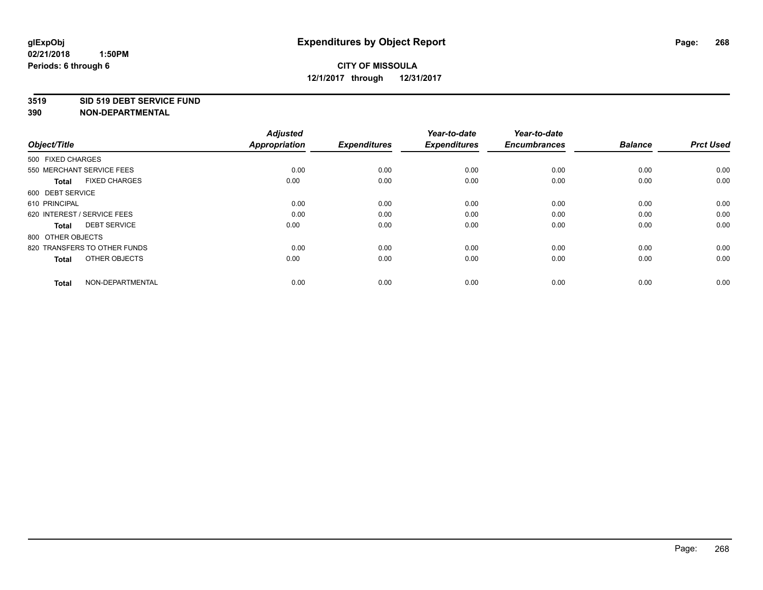#### **3519 SID 519 DEBT SERVICE FUND**

| Object/Title                         | <b>Adjusted</b><br>Appropriation | <b>Expenditures</b> | Year-to-date<br><b>Expenditures</b> | Year-to-date<br><b>Encumbrances</b> | <b>Balance</b> | <b>Prct Used</b> |
|--------------------------------------|----------------------------------|---------------------|-------------------------------------|-------------------------------------|----------------|------------------|
| 500 FIXED CHARGES                    |                                  |                     |                                     |                                     |                |                  |
| 550 MERCHANT SERVICE FEES            | 0.00                             | 0.00                | 0.00                                | 0.00                                | 0.00           | 0.00             |
| <b>FIXED CHARGES</b><br><b>Total</b> | 0.00                             | 0.00                | 0.00                                | 0.00                                | 0.00           | 0.00             |
| 600 DEBT SERVICE                     |                                  |                     |                                     |                                     |                |                  |
| 610 PRINCIPAL                        | 0.00                             | 0.00                | 0.00                                | 0.00                                | 0.00           | 0.00             |
| 620 INTEREST / SERVICE FEES          | 0.00                             | 0.00                | 0.00                                | 0.00                                | 0.00           | 0.00             |
| <b>DEBT SERVICE</b><br><b>Total</b>  | 0.00                             | 0.00                | 0.00                                | 0.00                                | 0.00           | 0.00             |
| 800 OTHER OBJECTS                    |                                  |                     |                                     |                                     |                |                  |
| 820 TRANSFERS TO OTHER FUNDS         | 0.00                             | 0.00                | 0.00                                | 0.00                                | 0.00           | 0.00             |
| OTHER OBJECTS<br><b>Total</b>        | 0.00                             | 0.00                | 0.00                                | 0.00                                | 0.00           | 0.00             |
|                                      |                                  |                     |                                     |                                     |                |                  |
| NON-DEPARTMENTAL<br><b>Total</b>     | 0.00                             | 0.00                | 0.00                                | 0.00                                | 0.00           | 0.00             |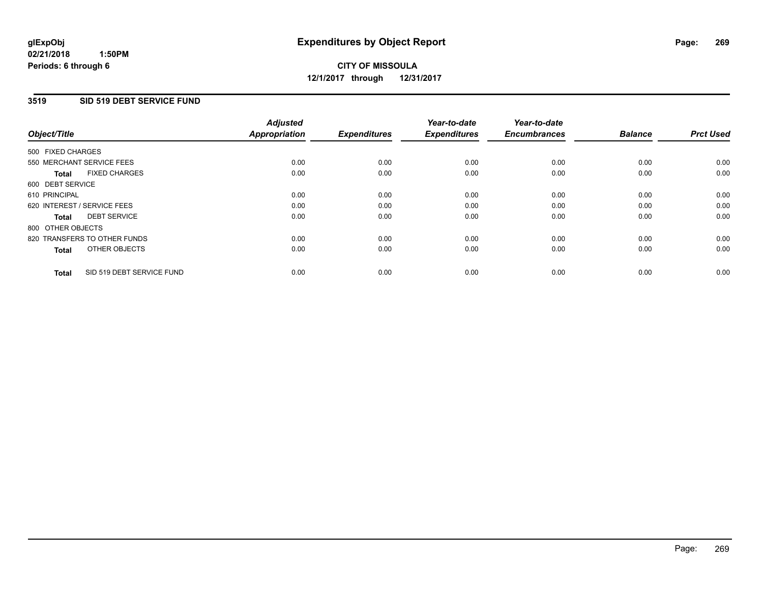### **3519 SID 519 DEBT SERVICE FUND**

| Object/Title      |                              | <b>Adjusted</b><br>Appropriation | <b>Expenditures</b> | Year-to-date<br><b>Expenditures</b> | Year-to-date<br><b>Encumbrances</b> | <b>Balance</b> | <b>Prct Used</b> |
|-------------------|------------------------------|----------------------------------|---------------------|-------------------------------------|-------------------------------------|----------------|------------------|
| 500 FIXED CHARGES |                              |                                  |                     |                                     |                                     |                |                  |
|                   | 550 MERCHANT SERVICE FEES    | 0.00                             | 0.00                | 0.00                                | 0.00                                | 0.00           | 0.00             |
| <b>Total</b>      | <b>FIXED CHARGES</b>         | 0.00                             | 0.00                | 0.00                                | 0.00                                | 0.00           | 0.00             |
| 600 DEBT SERVICE  |                              |                                  |                     |                                     |                                     |                |                  |
| 610 PRINCIPAL     |                              | 0.00                             | 0.00                | 0.00                                | 0.00                                | 0.00           | 0.00             |
|                   | 620 INTEREST / SERVICE FEES  | 0.00                             | 0.00                | 0.00                                | 0.00                                | 0.00           | 0.00             |
| Total             | <b>DEBT SERVICE</b>          | 0.00                             | 0.00                | 0.00                                | 0.00                                | 0.00           | 0.00             |
| 800 OTHER OBJECTS |                              |                                  |                     |                                     |                                     |                |                  |
|                   | 820 TRANSFERS TO OTHER FUNDS | 0.00                             | 0.00                | 0.00                                | 0.00                                | 0.00           | 0.00             |
| <b>Total</b>      | OTHER OBJECTS                | 0.00                             | 0.00                | 0.00                                | 0.00                                | 0.00           | 0.00             |
| <b>Total</b>      | SID 519 DEBT SERVICE FUND    | 0.00                             | 0.00                | 0.00                                | 0.00                                | 0.00           | 0.00             |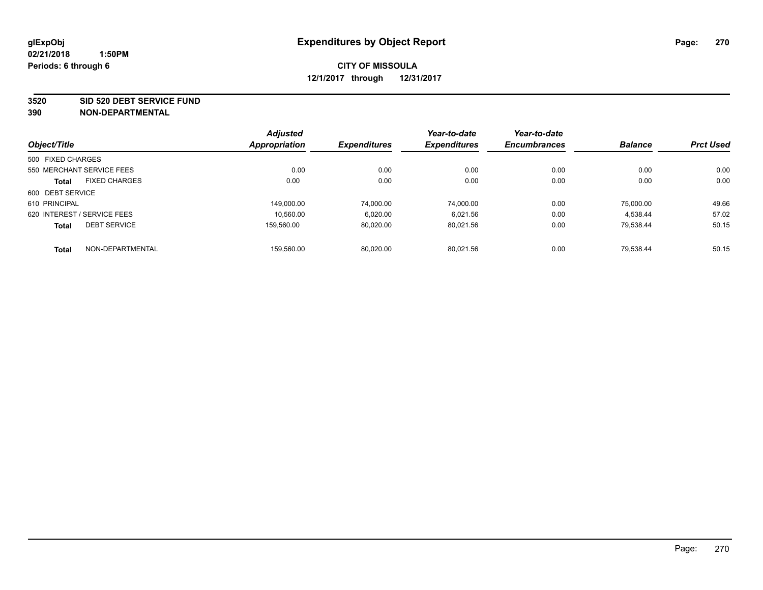**3520 SID 520 DEBT SERVICE FUND**

|                   |                             | <b>Adjusted</b> |                     | Year-to-date        | Year-to-date        |                |                  |
|-------------------|-----------------------------|-----------------|---------------------|---------------------|---------------------|----------------|------------------|
| Object/Title      |                             | Appropriation   | <b>Expenditures</b> | <b>Expenditures</b> | <b>Encumbrances</b> | <b>Balance</b> | <b>Prct Used</b> |
| 500 FIXED CHARGES |                             |                 |                     |                     |                     |                |                  |
|                   | 550 MERCHANT SERVICE FEES   | 0.00            | 0.00                | 0.00                | 0.00                | 0.00           | 0.00             |
| <b>Total</b>      | <b>FIXED CHARGES</b>        | 0.00            | 0.00                | 0.00                | 0.00                | 0.00           | 0.00             |
| 600 DEBT SERVICE  |                             |                 |                     |                     |                     |                |                  |
| 610 PRINCIPAL     |                             | 149.000.00      | 74.000.00           | 74,000.00           | 0.00                | 75.000.00      | 49.66            |
|                   | 620 INTEREST / SERVICE FEES | 10.560.00       | 6.020.00            | 6.021.56            | 0.00                | 4.538.44       | 57.02            |
| <b>Total</b>      | <b>DEBT SERVICE</b>         | 159.560.00      | 80,020.00           | 80.021.56           | 0.00                | 79.538.44      | 50.15            |
| <b>Total</b>      | NON-DEPARTMENTAL            | 159.560.00      | 80.020.00           | 80.021.56           | 0.00                | 79.538.44      | 50.15            |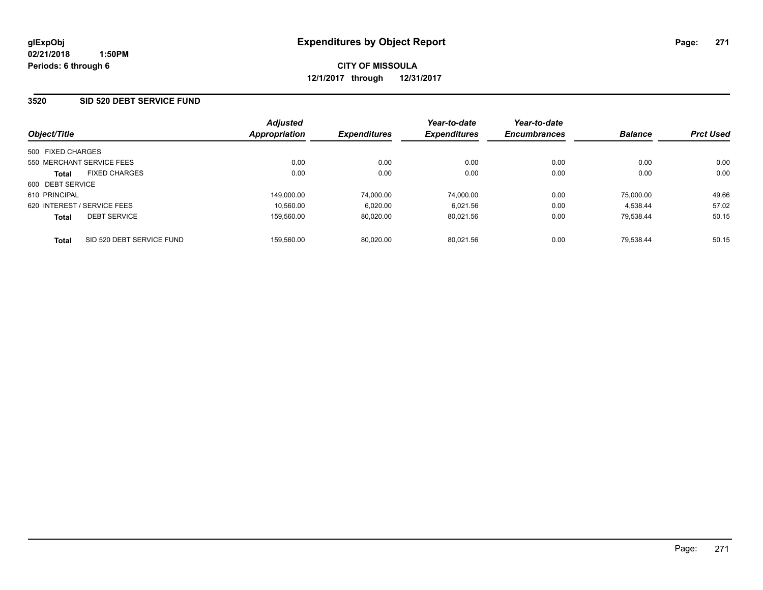### **3520 SID 520 DEBT SERVICE FUND**

| Object/Title      |                             | <b>Adjusted</b><br><b>Appropriation</b> | <b>Expenditures</b> | Year-to-date<br><b>Expenditures</b> | Year-to-date<br><b>Encumbrances</b> | <b>Balance</b> | <b>Prct Used</b> |
|-------------------|-----------------------------|-----------------------------------------|---------------------|-------------------------------------|-------------------------------------|----------------|------------------|
| 500 FIXED CHARGES |                             |                                         |                     |                                     |                                     |                |                  |
|                   | 550 MERCHANT SERVICE FEES   | 0.00                                    | 0.00                | 0.00                                | 0.00                                | 0.00           | 0.00             |
| <b>Total</b>      | <b>FIXED CHARGES</b>        | 0.00                                    | 0.00                | 0.00                                | 0.00                                | 0.00           | 0.00             |
| 600 DEBT SERVICE  |                             |                                         |                     |                                     |                                     |                |                  |
| 610 PRINCIPAL     |                             | 149,000.00                              | 74,000.00           | 74.000.00                           | 0.00                                | 75,000.00      | 49.66            |
|                   | 620 INTEREST / SERVICE FEES | 10.560.00                               | 6,020.00            | 6.021.56                            | 0.00                                | 4.538.44       | 57.02            |
| <b>Total</b>      | <b>DEBT SERVICE</b>         | 159.560.00                              | 80.020.00           | 80.021.56                           | 0.00                                | 79.538.44      | 50.15            |
| <b>Total</b>      | SID 520 DEBT SERVICE FUND   | 159.560.00                              | 80.020.00           | 80.021.56                           | 0.00                                | 79.538.44      | 50.15            |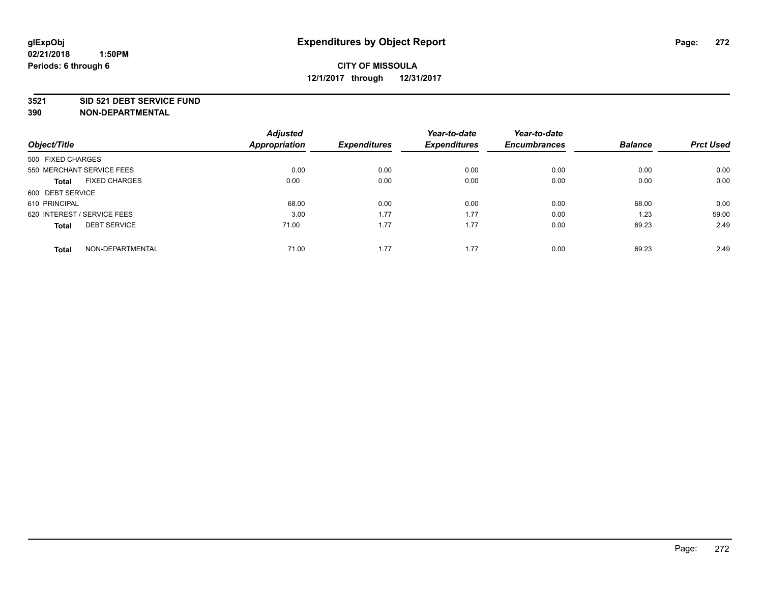#### **3521 SID 521 DEBT SERVICE FUND**

|                                      | <b>Adjusted</b>      |                     | Year-to-date        | Year-to-date        |                |                  |
|--------------------------------------|----------------------|---------------------|---------------------|---------------------|----------------|------------------|
| Object/Title                         | <b>Appropriation</b> | <b>Expenditures</b> | <b>Expenditures</b> | <b>Encumbrances</b> | <b>Balance</b> | <b>Prct Used</b> |
| 500 FIXED CHARGES                    |                      |                     |                     |                     |                |                  |
| 550 MERCHANT SERVICE FEES            | 0.00                 | 0.00                | 0.00                | 0.00                | 0.00           | 0.00             |
| <b>FIXED CHARGES</b><br><b>Total</b> | 0.00                 | 0.00                | 0.00                | 0.00                | 0.00           | 0.00             |
| 600 DEBT SERVICE                     |                      |                     |                     |                     |                |                  |
| 610 PRINCIPAL                        | 68.00                | 0.00                | 0.00                | 0.00                | 68.00          | 0.00             |
| 620 INTEREST / SERVICE FEES          | 3.00                 | 1.77                | 1.77                | 0.00                | 1.23           | 59.00            |
| <b>DEBT SERVICE</b><br><b>Total</b>  | 71.00                | 1.77                | 1.77                | 0.00                | 69.23          | 2.49             |
| NON-DEPARTMENTAL<br>Total            | 71.00                | 1.77                | 1.77                | 0.00                | 69.23          | 2.49             |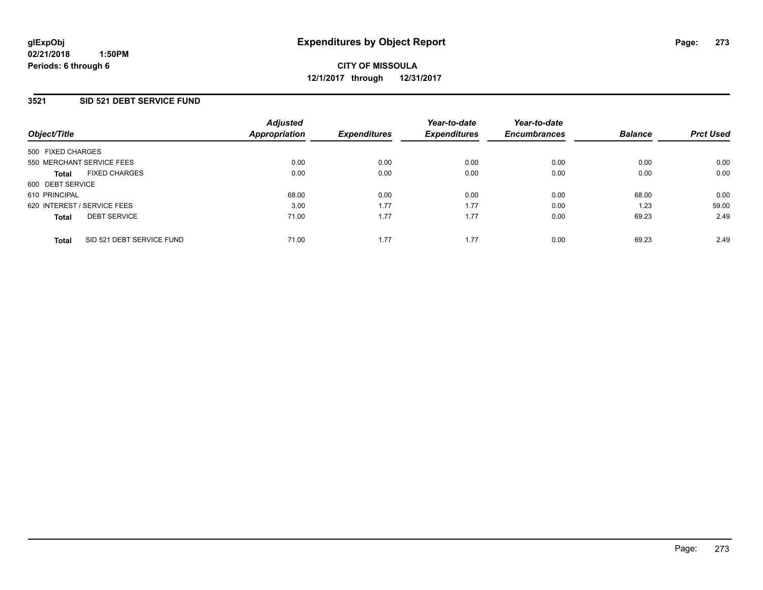### **3521 SID 521 DEBT SERVICE FUND**

| Object/Title                              | <b>Adjusted</b><br>Appropriation | <b>Expenditures</b> | Year-to-date<br><b>Expenditures</b> | Year-to-date<br><b>Encumbrances</b> | <b>Balance</b> | <b>Prct Used</b> |
|-------------------------------------------|----------------------------------|---------------------|-------------------------------------|-------------------------------------|----------------|------------------|
| 500 FIXED CHARGES                         |                                  |                     |                                     |                                     |                |                  |
| 550 MERCHANT SERVICE FEES                 | 0.00                             | 0.00                | 0.00                                | 0.00                                | 0.00           | 0.00             |
| <b>FIXED CHARGES</b><br><b>Total</b>      | 0.00                             | 0.00                | 0.00                                | 0.00                                | 0.00           | 0.00             |
| 600 DEBT SERVICE                          |                                  |                     |                                     |                                     |                |                  |
| 610 PRINCIPAL                             | 68.00                            | 0.00                | 0.00                                | 0.00                                | 68.00          | 0.00             |
| 620 INTEREST / SERVICE FEES               | 3.00                             | 1.77                | 1.77                                | 0.00                                | 1.23           | 59.00            |
| <b>DEBT SERVICE</b><br><b>Total</b>       | 71.00                            | 1.77                | 1.77                                | 0.00                                | 69.23          | 2.49             |
| SID 521 DEBT SERVICE FUND<br><b>Total</b> | 71.00                            | 1.77                | 1.77                                | 0.00                                | 69.23          | 2.49             |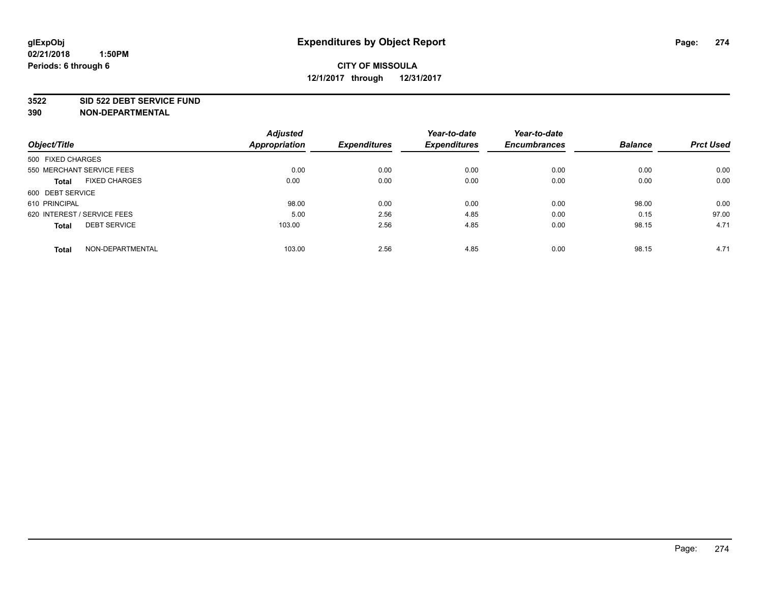#### **3522 SID 522 DEBT SERVICE FUND**

|                                      | <b>Adjusted</b>      |                     | Year-to-date        | Year-to-date        |                |                  |
|--------------------------------------|----------------------|---------------------|---------------------|---------------------|----------------|------------------|
| Object/Title                         | <b>Appropriation</b> | <b>Expenditures</b> | <b>Expenditures</b> | <b>Encumbrances</b> | <b>Balance</b> | <b>Prct Used</b> |
| 500 FIXED CHARGES                    |                      |                     |                     |                     |                |                  |
| 550 MERCHANT SERVICE FEES            | 0.00                 | 0.00                | 0.00                | 0.00                | 0.00           | 0.00             |
| <b>FIXED CHARGES</b><br><b>Total</b> | 0.00                 | 0.00                | 0.00                | 0.00                | 0.00           | 0.00             |
| 600 DEBT SERVICE                     |                      |                     |                     |                     |                |                  |
| 610 PRINCIPAL                        | 98.00                | 0.00                | 0.00                | 0.00                | 98.00          | 0.00             |
| 620 INTEREST / SERVICE FEES          | 5.00                 | 2.56                | 4.85                | 0.00                | 0.15           | 97.00            |
| <b>DEBT SERVICE</b><br><b>Total</b>  | 103.00               | 2.56                | 4.85                | 0.00                | 98.15          | 4.71             |
| NON-DEPARTMENTAL<br><b>Total</b>     | 103.00               | 2.56                | 4.85                | 0.00                | 98.15          | 4.71             |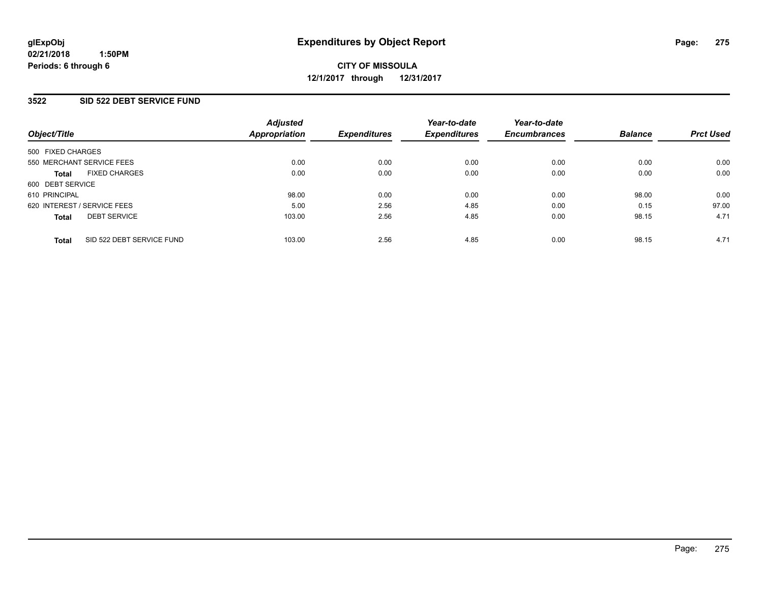### **3522 SID 522 DEBT SERVICE FUND**

| Object/Title                              | <b>Adjusted</b><br>Appropriation | <b>Expenditures</b> | Year-to-date<br><b>Expenditures</b> | Year-to-date<br><b>Encumbrances</b> | <b>Balance</b> | <b>Prct Used</b> |
|-------------------------------------------|----------------------------------|---------------------|-------------------------------------|-------------------------------------|----------------|------------------|
|                                           |                                  |                     |                                     |                                     |                |                  |
| 500 FIXED CHARGES                         |                                  |                     |                                     |                                     |                |                  |
| 550 MERCHANT SERVICE FEES                 | 0.00                             | 0.00                | 0.00                                | 0.00                                | 0.00           | 0.00             |
| <b>FIXED CHARGES</b><br><b>Total</b>      | 0.00                             | 0.00                | 0.00                                | 0.00                                | 0.00           | 0.00             |
| 600 DEBT SERVICE                          |                                  |                     |                                     |                                     |                |                  |
| 610 PRINCIPAL                             | 98.00                            | 0.00                | 0.00                                | 0.00                                | 98.00          | 0.00             |
| 620 INTEREST / SERVICE FEES               | 5.00                             | 2.56                | 4.85                                | 0.00                                | 0.15           | 97.00            |
| <b>DEBT SERVICE</b><br><b>Total</b>       | 103.00                           | 2.56                | 4.85                                | 0.00                                | 98.15          | 4.71             |
| SID 522 DEBT SERVICE FUND<br><b>Total</b> | 103.00                           | 2.56                | 4.85                                | 0.00                                | 98.15          | 4.71             |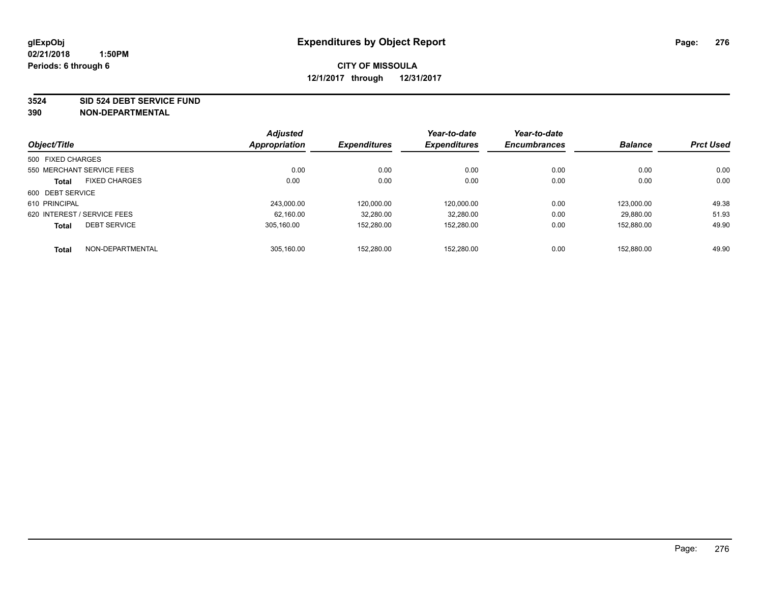**3524 SID 524 DEBT SERVICE FUND**

|                   |                             | <b>Adjusted</b> |                     | Year-to-date        | Year-to-date        |                |                  |
|-------------------|-----------------------------|-----------------|---------------------|---------------------|---------------------|----------------|------------------|
| Object/Title      |                             | Appropriation   | <b>Expenditures</b> | <b>Expenditures</b> | <b>Encumbrances</b> | <b>Balance</b> | <b>Prct Used</b> |
| 500 FIXED CHARGES |                             |                 |                     |                     |                     |                |                  |
|                   | 550 MERCHANT SERVICE FEES   | 0.00            | 0.00                | 0.00                | 0.00                | 0.00           | 0.00             |
| <b>Total</b>      | <b>FIXED CHARGES</b>        | 0.00            | 0.00                | 0.00                | 0.00                | 0.00           | 0.00             |
| 600 DEBT SERVICE  |                             |                 |                     |                     |                     |                |                  |
| 610 PRINCIPAL     |                             | 243.000.00      | 120.000.00          | 120.000.00          | 0.00                | 123.000.00     | 49.38            |
|                   | 620 INTEREST / SERVICE FEES | 62.160.00       | 32.280.00           | 32.280.00           | 0.00                | 29.880.00      | 51.93            |
| <b>Total</b>      | <b>DEBT SERVICE</b>         | 305.160.00      | 152.280.00          | 152.280.00          | 0.00                | 152.880.00     | 49.90            |
| <b>Total</b>      | NON-DEPARTMENTAL            | 305.160.00      | 152.280.00          | 152.280.00          | 0.00                | 152.880.00     | 49.90            |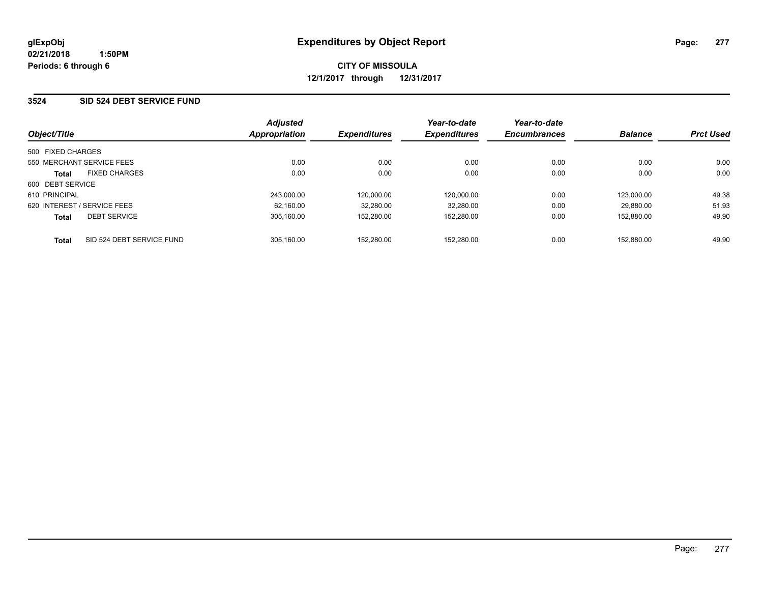### **3524 SID 524 DEBT SERVICE FUND**

| Object/Title                         |                           | <b>Adjusted</b><br><b>Appropriation</b> | <b>Expenditures</b> | Year-to-date<br><b>Expenditures</b> | Year-to-date<br><b>Encumbrances</b> | <b>Balance</b> | <b>Prct Used</b> |
|--------------------------------------|---------------------------|-----------------------------------------|---------------------|-------------------------------------|-------------------------------------|----------------|------------------|
| 500 FIXED CHARGES                    |                           |                                         |                     |                                     |                                     |                |                  |
| 550 MERCHANT SERVICE FEES            |                           | 0.00                                    | 0.00                | 0.00                                | 0.00                                | 0.00           | 0.00             |
| <b>FIXED CHARGES</b><br><b>Total</b> |                           | 0.00                                    | 0.00                | 0.00                                | 0.00                                | 0.00           | 0.00             |
| 600 DEBT SERVICE                     |                           |                                         |                     |                                     |                                     |                |                  |
| 610 PRINCIPAL                        |                           | 243.000.00                              | 120,000.00          | 120.000.00                          | 0.00                                | 123.000.00     | 49.38            |
| 620 INTEREST / SERVICE FEES          |                           | 62,160.00                               | 32.280.00           | 32,280.00                           | 0.00                                | 29.880.00      | 51.93            |
| <b>DEBT SERVICE</b><br><b>Total</b>  |                           | 305.160.00                              | 152.280.00          | 152,280.00                          | 0.00                                | 152.880.00     | 49.90            |
| <b>Total</b>                         | SID 524 DEBT SERVICE FUND | 305.160.00                              | 152.280.00          | 152.280.00                          | 0.00                                | 152.880.00     | 49.90            |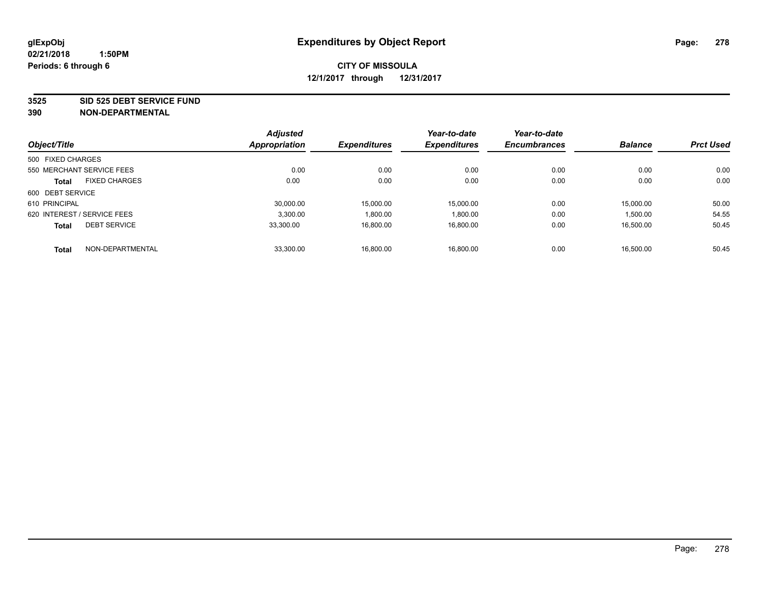**3525 SID 525 DEBT SERVICE FUND**

|                             |                      | <b>Adjusted</b> |                     | Year-to-date        | Year-to-date        |                |                  |
|-----------------------------|----------------------|-----------------|---------------------|---------------------|---------------------|----------------|------------------|
| Object/Title                |                      | Appropriation   | <b>Expenditures</b> | <b>Expenditures</b> | <b>Encumbrances</b> | <b>Balance</b> | <b>Prct Used</b> |
| 500 FIXED CHARGES           |                      |                 |                     |                     |                     |                |                  |
| 550 MERCHANT SERVICE FEES   |                      | 0.00            | 0.00                | 0.00                | 0.00                | 0.00           | 0.00             |
| <b>Total</b>                | <b>FIXED CHARGES</b> | 0.00            | 0.00                | 0.00                | 0.00                | 0.00           | 0.00             |
| 600 DEBT SERVICE            |                      |                 |                     |                     |                     |                |                  |
| 610 PRINCIPAL               |                      | 30,000.00       | 15.000.00           | 15.000.00           | 0.00                | 15.000.00      | 50.00            |
| 620 INTEREST / SERVICE FEES |                      | 3.300.00        | 1,800.00            | 1,800.00            | 0.00                | 1,500.00       | 54.55            |
| <b>Total</b>                | <b>DEBT SERVICE</b>  | 33.300.00       | 16,800.00           | 16.800.00           | 0.00                | 16.500.00      | 50.45            |
| <b>Total</b>                | NON-DEPARTMENTAL     | 33,300.00       | 16.800.00           | 16.800.00           | 0.00                | 16.500.00      | 50.45            |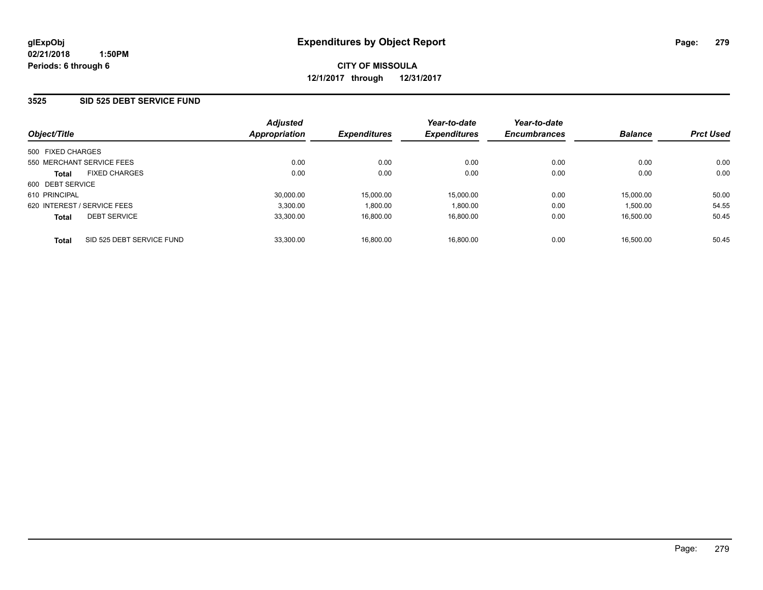### **3525 SID 525 DEBT SERVICE FUND**

| Object/Title                              | <b>Adjusted</b><br>Appropriation | <b>Expenditures</b> | Year-to-date<br><b>Expenditures</b> | Year-to-date<br><b>Encumbrances</b> | <b>Balance</b> | <b>Prct Used</b> |
|-------------------------------------------|----------------------------------|---------------------|-------------------------------------|-------------------------------------|----------------|------------------|
| 500 FIXED CHARGES                         |                                  |                     |                                     |                                     |                |                  |
| 550 MERCHANT SERVICE FEES                 | 0.00                             | 0.00                | 0.00                                | 0.00                                | 0.00           | 0.00             |
| <b>FIXED CHARGES</b><br><b>Total</b>      | 0.00                             | 0.00                | 0.00                                | 0.00                                | 0.00           | 0.00             |
| 600 DEBT SERVICE                          |                                  |                     |                                     |                                     |                |                  |
| 610 PRINCIPAL                             | 30,000.00                        | 15.000.00           | 15.000.00                           | 0.00                                | 15,000.00      | 50.00            |
| 620 INTEREST / SERVICE FEES               | 3.300.00                         | 1,800.00            | 1,800.00                            | 0.00                                | 1,500.00       | 54.55            |
| <b>DEBT SERVICE</b><br><b>Total</b>       | 33.300.00                        | 16.800.00           | 16.800.00                           | 0.00                                | 16.500.00      | 50.45            |
| SID 525 DEBT SERVICE FUND<br><b>Total</b> | 33.300.00                        | 16.800.00           | 16.800.00                           | 0.00                                | 16.500.00      | 50.45            |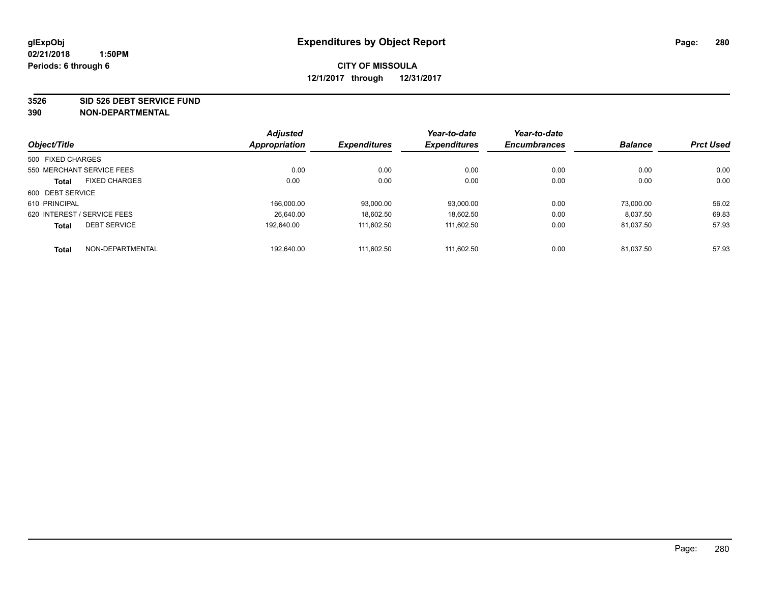**3526 SID 526 DEBT SERVICE FUND**

|                   |                             | <b>Adjusted</b> |                     | Year-to-date        | Year-to-date        |                |                  |
|-------------------|-----------------------------|-----------------|---------------------|---------------------|---------------------|----------------|------------------|
| Object/Title      |                             | Appropriation   | <b>Expenditures</b> | <b>Expenditures</b> | <b>Encumbrances</b> | <b>Balance</b> | <b>Prct Used</b> |
| 500 FIXED CHARGES |                             |                 |                     |                     |                     |                |                  |
|                   | 550 MERCHANT SERVICE FEES   | 0.00            | 0.00                | 0.00                | 0.00                | 0.00           | 0.00             |
| <b>Total</b>      | <b>FIXED CHARGES</b>        | 0.00            | 0.00                | 0.00                | 0.00                | 0.00           | 0.00             |
| 600 DEBT SERVICE  |                             |                 |                     |                     |                     |                |                  |
| 610 PRINCIPAL     |                             | 166.000.00      | 93,000.00           | 93,000.00           | 0.00                | 73.000.00      | 56.02            |
|                   | 620 INTEREST / SERVICE FEES | 26.640.00       | 18.602.50           | 18,602.50           | 0.00                | 8,037.50       | 69.83            |
| <b>Total</b>      | <b>DEBT SERVICE</b>         | 192.640.00      | 111.602.50          | 111.602.50          | 0.00                | 81.037.50      | 57.93            |
| <b>Total</b>      | NON-DEPARTMENTAL            | 192.640.00      | 111.602.50          | 111.602.50          | 0.00                | 81.037.50      | 57.93            |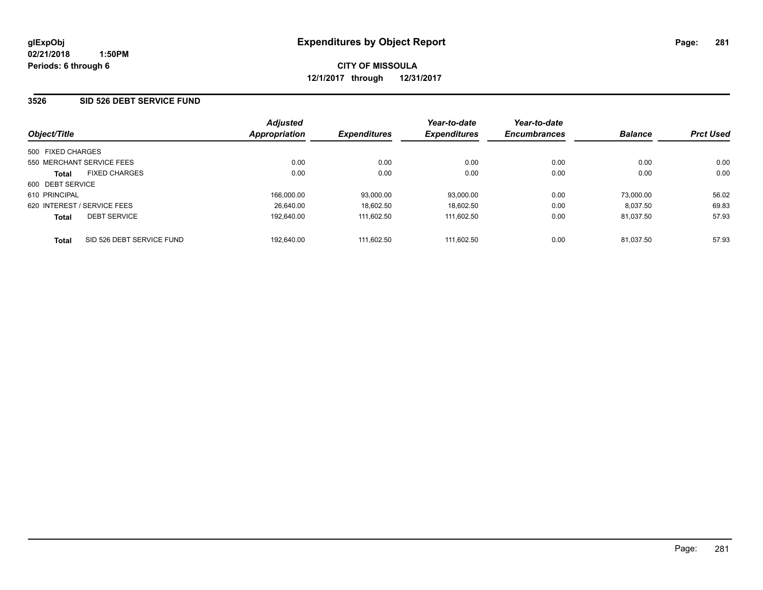### **3526 SID 526 DEBT SERVICE FUND**

|                             |                           | <b>Adjusted</b>      |                     | Year-to-date        | Year-to-date        |                |                  |
|-----------------------------|---------------------------|----------------------|---------------------|---------------------|---------------------|----------------|------------------|
| Object/Title                |                           | <b>Appropriation</b> | <b>Expenditures</b> | <b>Expenditures</b> | <b>Encumbrances</b> | <b>Balance</b> | <b>Prct Used</b> |
| 500 FIXED CHARGES           |                           |                      |                     |                     |                     |                |                  |
| 550 MERCHANT SERVICE FEES   |                           | 0.00                 | 0.00                | 0.00                | 0.00                | 0.00           | 0.00             |
| <b>Total</b>                | <b>FIXED CHARGES</b>      | 0.00                 | 0.00                | 0.00                | 0.00                | 0.00           | 0.00             |
| 600 DEBT SERVICE            |                           |                      |                     |                     |                     |                |                  |
| 610 PRINCIPAL               |                           | 166,000.00           | 93,000.00           | 93.000.00           | 0.00                | 73.000.00      | 56.02            |
| 620 INTEREST / SERVICE FEES |                           | 26.640.00            | 18.602.50           | 18.602.50           | 0.00                | 8.037.50       | 69.83            |
| <b>Total</b>                | <b>DEBT SERVICE</b>       | 192.640.00           | 111.602.50          | 111.602.50          | 0.00                | 81.037.50      | 57.93            |
| <b>Total</b>                | SID 526 DEBT SERVICE FUND | 192.640.00           | 111.602.50          | 111.602.50          | 0.00                | 81.037.50      | 57.93            |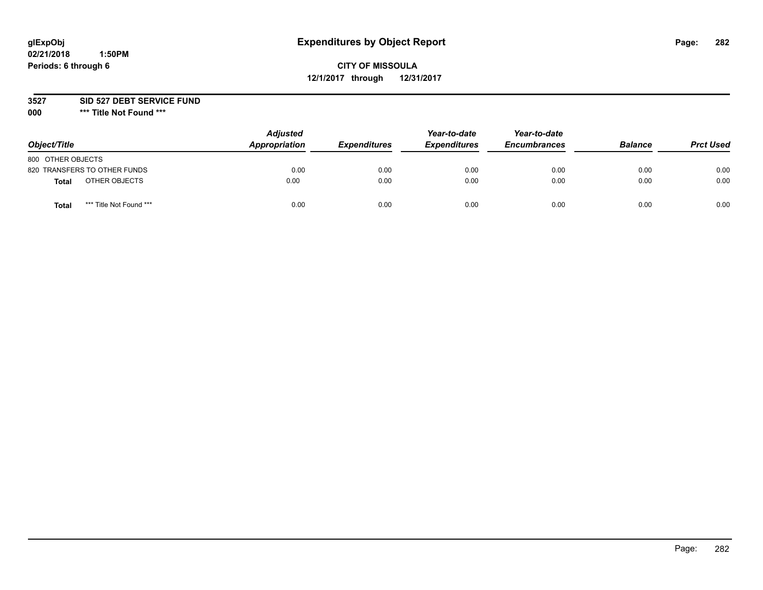# **glExpObj Expenditures by Object Report Page: 282**

### **CITY OF MISSOULA 12/1/2017 through 12/31/2017**

**3527 SID 527 DEBT SERVICE FUND**

**000 \*\*\* Title Not Found \*\*\***

| Object/Title                            | <b>Adjusted</b><br>Appropriation | <b>Expenditures</b> | Year-to-date<br><b>Expenditures</b> | Year-to-date<br><b>Encumbrances</b> | <b>Balance</b> | <b>Prct Used</b> |
|-----------------------------------------|----------------------------------|---------------------|-------------------------------------|-------------------------------------|----------------|------------------|
| 800 OTHER OBJECTS                       |                                  |                     |                                     |                                     |                |                  |
| 820 TRANSFERS TO OTHER FUNDS            | 0.00                             | 0.00                | 0.00                                | 0.00                                | 0.00           | 0.00             |
| OTHER OBJECTS<br><b>Total</b>           | 0.00                             | 0.00                | 0.00                                | 0.00                                | 0.00           | 0.00             |
| *** Title Not Found ***<br><b>Total</b> | 0.00                             | 0.00                | 0.00                                | 0.00                                | 0.00           | 0.00             |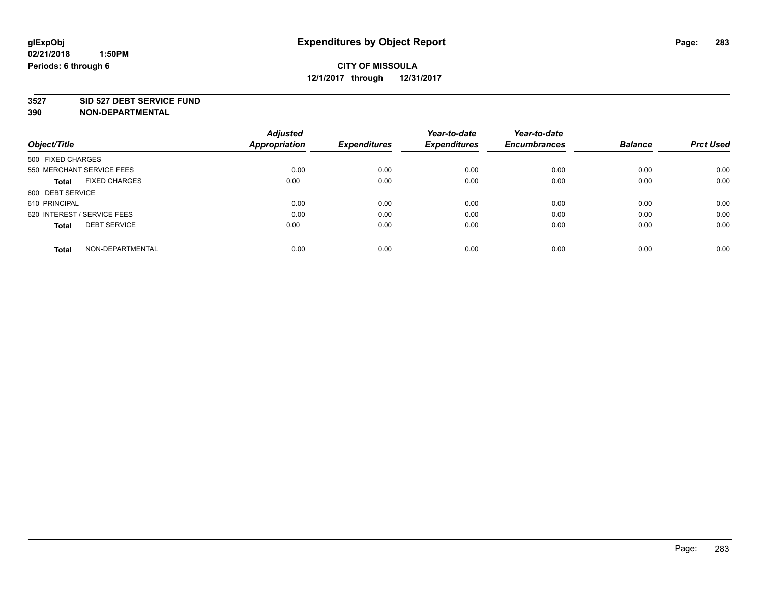#### **3527 SID 527 DEBT SERVICE FUND**

| Object/Title                         | <b>Adjusted</b><br><b>Appropriation</b> | <b>Expenditures</b> | Year-to-date<br><b>Expenditures</b> | Year-to-date<br><b>Encumbrances</b> | <b>Balance</b> | <b>Prct Used</b> |
|--------------------------------------|-----------------------------------------|---------------------|-------------------------------------|-------------------------------------|----------------|------------------|
|                                      |                                         |                     |                                     |                                     |                |                  |
| 500 FIXED CHARGES                    |                                         |                     |                                     |                                     |                |                  |
| 550 MERCHANT SERVICE FEES            | 0.00                                    | 0.00                | 0.00                                | 0.00                                | 0.00           | 0.00             |
| <b>FIXED CHARGES</b><br><b>Total</b> | 0.00                                    | 0.00                | 0.00                                | 0.00                                | 0.00           | 0.00             |
| 600 DEBT SERVICE                     |                                         |                     |                                     |                                     |                |                  |
| 610 PRINCIPAL                        | 0.00                                    | 0.00                | 0.00                                | 0.00                                | 0.00           | 0.00             |
| 620 INTEREST / SERVICE FEES          | 0.00                                    | 0.00                | 0.00                                | 0.00                                | 0.00           | 0.00             |
| <b>DEBT SERVICE</b><br>Total         | 0.00                                    | 0.00                | 0.00                                | 0.00                                | 0.00           | 0.00             |
|                                      |                                         |                     |                                     |                                     |                |                  |
| NON-DEPARTMENTAL<br><b>Total</b>     | 0.00                                    | 0.00                | 0.00                                | 0.00                                | 0.00           | 0.00             |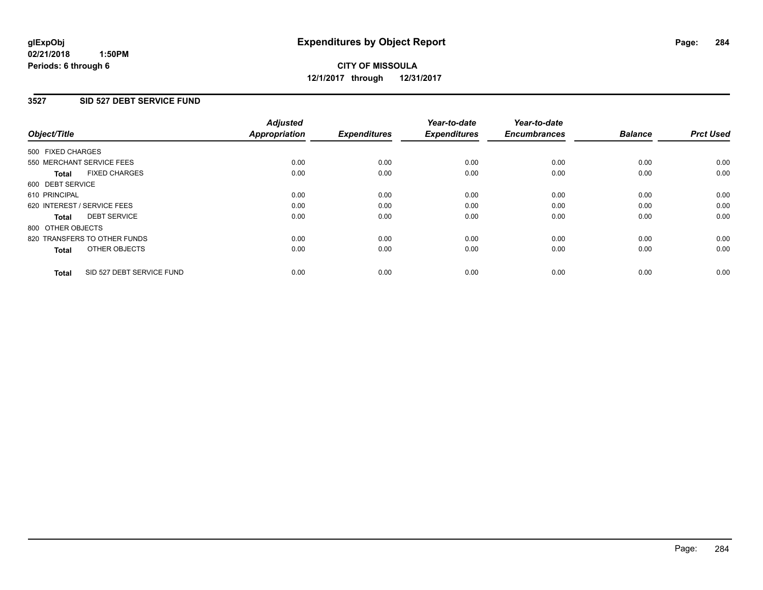### **3527 SID 527 DEBT SERVICE FUND**

| Object/Title                              | <b>Adjusted</b><br><b>Appropriation</b> | <b>Expenditures</b> | Year-to-date<br><b>Expenditures</b> | Year-to-date<br><b>Encumbrances</b> | <b>Balance</b> | <b>Prct Used</b> |
|-------------------------------------------|-----------------------------------------|---------------------|-------------------------------------|-------------------------------------|----------------|------------------|
| 500 FIXED CHARGES                         |                                         |                     |                                     |                                     |                |                  |
| 550 MERCHANT SERVICE FEES                 | 0.00                                    | 0.00                | 0.00                                | 0.00                                | 0.00           | 0.00             |
| <b>FIXED CHARGES</b><br>Total             | 0.00                                    | 0.00                | 0.00                                | 0.00                                | 0.00           | 0.00             |
| 600 DEBT SERVICE                          |                                         |                     |                                     |                                     |                |                  |
| 610 PRINCIPAL                             | 0.00                                    | 0.00                | 0.00                                | 0.00                                | 0.00           | 0.00             |
| 620 INTEREST / SERVICE FEES               | 0.00                                    | 0.00                | 0.00                                | 0.00                                | 0.00           | 0.00             |
| <b>DEBT SERVICE</b><br>Total              | 0.00                                    | 0.00                | 0.00                                | 0.00                                | 0.00           | 0.00             |
| 800 OTHER OBJECTS                         |                                         |                     |                                     |                                     |                |                  |
| 820 TRANSFERS TO OTHER FUNDS              | 0.00                                    | 0.00                | 0.00                                | 0.00                                | 0.00           | 0.00             |
| OTHER OBJECTS<br><b>Total</b>             | 0.00                                    | 0.00                | 0.00                                | 0.00                                | 0.00           | 0.00             |
| SID 527 DEBT SERVICE FUND<br><b>Total</b> | 0.00                                    | 0.00                | 0.00                                | 0.00                                | 0.00           | 0.00             |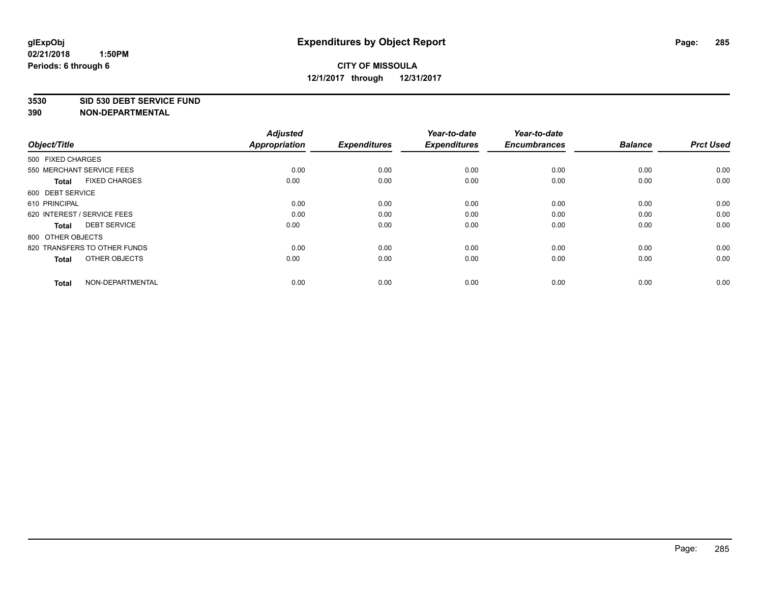#### **3530 SID 530 DEBT SERVICE FUND**

| Object/Title                         | <b>Adjusted</b><br><b>Appropriation</b> | <b>Expenditures</b> | Year-to-date<br><b>Expenditures</b> | Year-to-date<br><b>Encumbrances</b> | <b>Balance</b> | <b>Prct Used</b> |
|--------------------------------------|-----------------------------------------|---------------------|-------------------------------------|-------------------------------------|----------------|------------------|
|                                      |                                         |                     |                                     |                                     |                |                  |
| 500 FIXED CHARGES                    |                                         |                     |                                     |                                     |                |                  |
| 550 MERCHANT SERVICE FEES            | 0.00                                    | 0.00                | 0.00                                | 0.00                                | 0.00           | 0.00             |
| <b>FIXED CHARGES</b><br><b>Total</b> | 0.00                                    | 0.00                | 0.00                                | 0.00                                | 0.00           | 0.00             |
| 600 DEBT SERVICE                     |                                         |                     |                                     |                                     |                |                  |
| 610 PRINCIPAL                        | 0.00                                    | 0.00                | 0.00                                | 0.00                                | 0.00           | 0.00             |
| 620 INTEREST / SERVICE FEES          | 0.00                                    | 0.00                | 0.00                                | 0.00                                | 0.00           | 0.00             |
| <b>DEBT SERVICE</b><br><b>Total</b>  | 0.00                                    | 0.00                | 0.00                                | 0.00                                | 0.00           | 0.00             |
| 800 OTHER OBJECTS                    |                                         |                     |                                     |                                     |                |                  |
| 820 TRANSFERS TO OTHER FUNDS         | 0.00                                    | 0.00                | 0.00                                | 0.00                                | 0.00           | 0.00             |
| OTHER OBJECTS<br><b>Total</b>        | 0.00                                    | 0.00                | 0.00                                | 0.00                                | 0.00           | 0.00             |
|                                      |                                         |                     |                                     |                                     |                |                  |
| NON-DEPARTMENTAL<br><b>Total</b>     | 0.00                                    | 0.00                | 0.00                                | 0.00                                | 0.00           | 0.00             |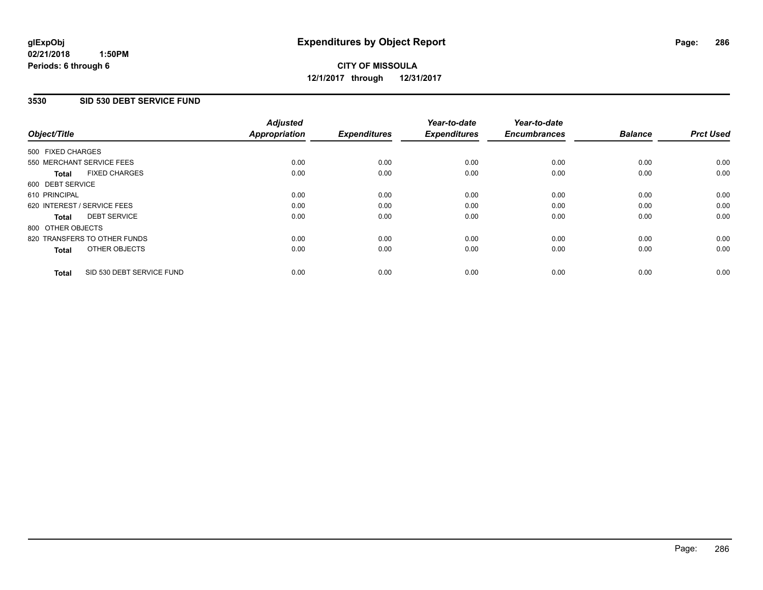### **3530 SID 530 DEBT SERVICE FUND**

| Object/Title                              | <b>Adjusted</b><br><b>Appropriation</b> | <b>Expenditures</b> | Year-to-date<br><b>Expenditures</b> | Year-to-date<br><b>Encumbrances</b> | <b>Balance</b> | <b>Prct Used</b> |
|-------------------------------------------|-----------------------------------------|---------------------|-------------------------------------|-------------------------------------|----------------|------------------|
|                                           |                                         |                     |                                     |                                     |                |                  |
| 500 FIXED CHARGES                         |                                         |                     |                                     |                                     |                |                  |
| 550 MERCHANT SERVICE FEES                 | 0.00                                    | 0.00                | 0.00                                | 0.00                                | 0.00           | 0.00             |
| <b>FIXED CHARGES</b><br>Total             | 0.00                                    | 0.00                | 0.00                                | 0.00                                | 0.00           | 0.00             |
| 600 DEBT SERVICE                          |                                         |                     |                                     |                                     |                |                  |
| 610 PRINCIPAL                             | 0.00                                    | 0.00                | 0.00                                | 0.00                                | 0.00           | 0.00             |
| 620 INTEREST / SERVICE FEES               | 0.00                                    | 0.00                | 0.00                                | 0.00                                | 0.00           | 0.00             |
| <b>DEBT SERVICE</b><br><b>Total</b>       | 0.00                                    | 0.00                | 0.00                                | 0.00                                | 0.00           | 0.00             |
| 800 OTHER OBJECTS                         |                                         |                     |                                     |                                     |                |                  |
| 820 TRANSFERS TO OTHER FUNDS              | 0.00                                    | 0.00                | 0.00                                | 0.00                                | 0.00           | 0.00             |
| OTHER OBJECTS<br><b>Total</b>             | 0.00                                    | 0.00                | 0.00                                | 0.00                                | 0.00           | 0.00             |
|                                           |                                         |                     |                                     |                                     |                |                  |
| SID 530 DEBT SERVICE FUND<br><b>Total</b> | 0.00                                    | 0.00                | 0.00                                | 0.00                                | 0.00           | 0.00             |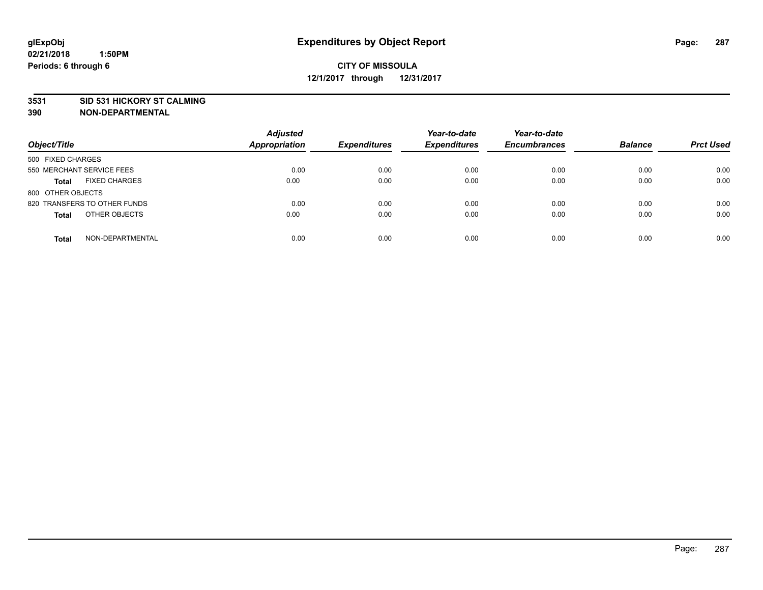#### **3531 SID 531 HICKORY ST CALMING**

| Object/Title                         | <b>Adjusted</b><br><b>Appropriation</b> | <b>Expenditures</b> | Year-to-date<br><b>Expenditures</b> | Year-to-date<br><b>Encumbrances</b> | <b>Balance</b> | <b>Prct Used</b> |
|--------------------------------------|-----------------------------------------|---------------------|-------------------------------------|-------------------------------------|----------------|------------------|
| 500 FIXED CHARGES                    |                                         |                     |                                     |                                     |                |                  |
| 550 MERCHANT SERVICE FEES            | 0.00                                    | 0.00                | 0.00                                | 0.00                                | 0.00           | 0.00             |
| <b>FIXED CHARGES</b><br><b>Total</b> | 0.00                                    | 0.00                | 0.00                                | 0.00                                | 0.00           | 0.00             |
| 800 OTHER OBJECTS                    |                                         |                     |                                     |                                     |                |                  |
| 820 TRANSFERS TO OTHER FUNDS         | 0.00                                    | 0.00                | 0.00                                | 0.00                                | 0.00           | 0.00             |
| OTHER OBJECTS<br><b>Total</b>        | 0.00                                    | 0.00                | 0.00                                | 0.00                                | 0.00           | 0.00             |
| NON-DEPARTMENTAL<br><b>Total</b>     | 0.00                                    | 0.00                | 0.00                                | 0.00                                | 0.00           | 0.00             |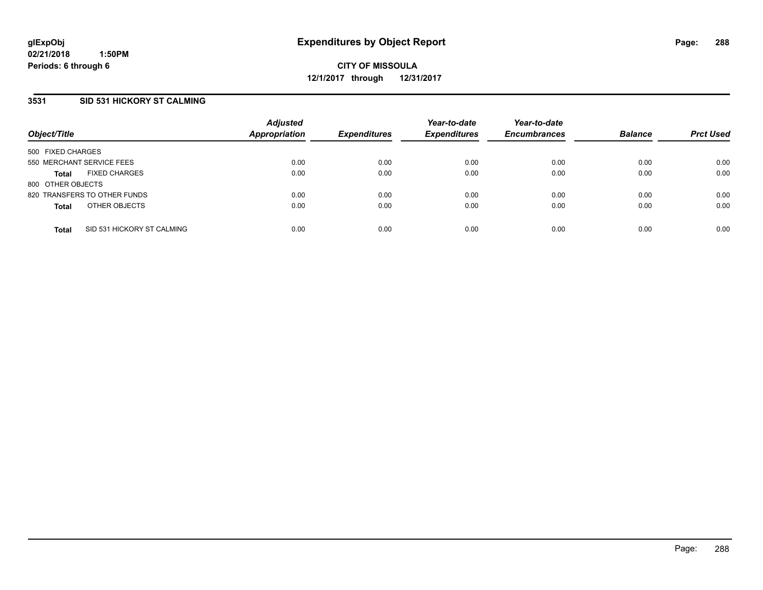### **3531 SID 531 HICKORY ST CALMING**

| Object/Title              |                              | <b>Adjusted</b><br><b>Appropriation</b> | <b>Expenditures</b> | Year-to-date<br><b>Expenditures</b> | Year-to-date<br><b>Encumbrances</b> | <b>Balance</b> | <b>Prct Used</b> |
|---------------------------|------------------------------|-----------------------------------------|---------------------|-------------------------------------|-------------------------------------|----------------|------------------|
| 500 FIXED CHARGES         |                              |                                         |                     |                                     |                                     |                |                  |
| 550 MERCHANT SERVICE FEES |                              | 0.00                                    | 0.00                | 0.00                                | 0.00                                | 0.00           | 0.00             |
| <b>Total</b>              | <b>FIXED CHARGES</b>         | 0.00                                    | 0.00                | 0.00                                | 0.00                                | 0.00           | 0.00             |
| 800 OTHER OBJECTS         |                              |                                         |                     |                                     |                                     |                |                  |
|                           | 820 TRANSFERS TO OTHER FUNDS | 0.00                                    | 0.00                | 0.00                                | 0.00                                | 0.00           | 0.00             |
| <b>Total</b>              | OTHER OBJECTS                | 0.00                                    | 0.00                | 0.00                                | 0.00                                | 0.00           | 0.00             |
| <b>Total</b>              | SID 531 HICKORY ST CALMING   | 0.00                                    | 0.00                | 0.00                                | 0.00                                | 0.00           | 0.00             |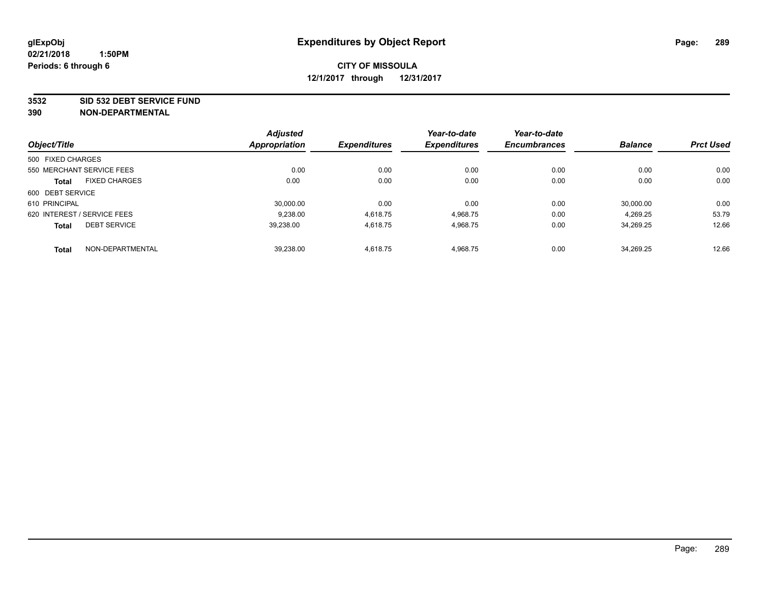#### **3532 SID 532 DEBT SERVICE FUND**

|                                      | <b>Adjusted</b> |                     | Year-to-date        | Year-to-date        |                |                  |
|--------------------------------------|-----------------|---------------------|---------------------|---------------------|----------------|------------------|
| Object/Title                         | Appropriation   | <b>Expenditures</b> | <b>Expenditures</b> | <b>Encumbrances</b> | <b>Balance</b> | <b>Prct Used</b> |
| 500 FIXED CHARGES                    |                 |                     |                     |                     |                |                  |
| 550 MERCHANT SERVICE FEES            | 0.00            | 0.00                | 0.00                | 0.00                | 0.00           | 0.00             |
| <b>FIXED CHARGES</b><br><b>Total</b> | 0.00            | 0.00                | 0.00                | 0.00                | 0.00           | 0.00             |
| 600 DEBT SERVICE                     |                 |                     |                     |                     |                |                  |
| 610 PRINCIPAL                        | 30.000.00       | 0.00                | 0.00                | 0.00                | 30.000.00      | 0.00             |
| 620 INTEREST / SERVICE FEES          | 9.238.00        | 4,618.75            | 4.968.75            | 0.00                | 4.269.25       | 53.79            |
| <b>DEBT SERVICE</b><br><b>Total</b>  | 39,238.00       | 4,618.75            | 4,968.75            | 0.00                | 34,269.25      | 12.66            |
| NON-DEPARTMENTAL<br><b>Total</b>     | 39,238.00       | 4,618.75            | 4,968.75            | 0.00                | 34.269.25      | 12.66            |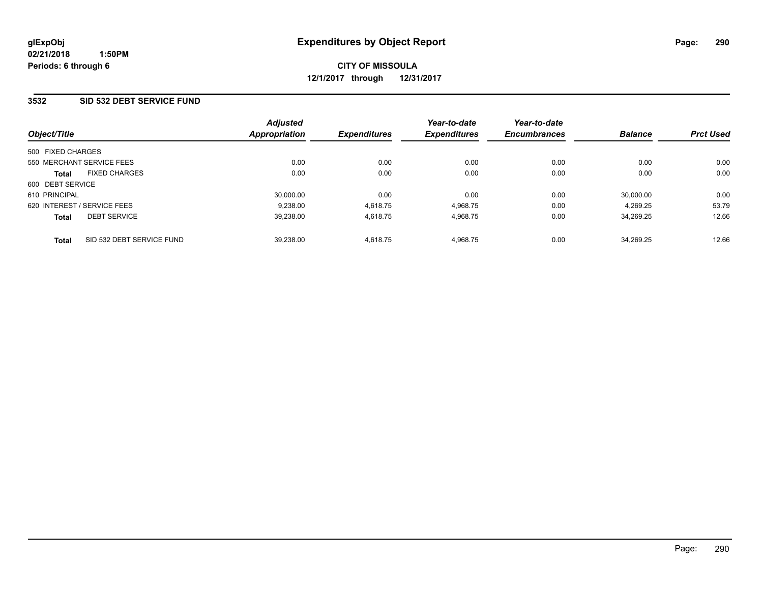### **3532 SID 532 DEBT SERVICE FUND**

| Object/Title                              | <b>Adjusted</b><br><b>Appropriation</b> | <b>Expenditures</b> | Year-to-date<br><b>Expenditures</b> | Year-to-date<br><b>Encumbrances</b> | <b>Balance</b> | <b>Prct Used</b> |
|-------------------------------------------|-----------------------------------------|---------------------|-------------------------------------|-------------------------------------|----------------|------------------|
|                                           |                                         |                     |                                     |                                     |                |                  |
| 500 FIXED CHARGES                         |                                         |                     |                                     |                                     |                |                  |
| 550 MERCHANT SERVICE FEES                 | 0.00                                    | 0.00                | 0.00                                | 0.00                                | 0.00           | 0.00             |
| <b>FIXED CHARGES</b><br><b>Total</b>      | 0.00                                    | 0.00                | 0.00                                | 0.00                                | 0.00           | 0.00             |
| 600 DEBT SERVICE                          |                                         |                     |                                     |                                     |                |                  |
| 610 PRINCIPAL                             | 30,000.00                               | 0.00                | 0.00                                | 0.00                                | 30,000.00      | 0.00             |
| 620 INTEREST / SERVICE FEES               | 9,238.00                                | 4,618.75            | 4,968.75                            | 0.00                                | 4.269.25       | 53.79            |
| <b>DEBT SERVICE</b><br><b>Total</b>       | 39.238.00                               | 4.618.75            | 4,968.75                            | 0.00                                | 34.269.25      | 12.66            |
| SID 532 DEBT SERVICE FUND<br><b>Total</b> | 39,238.00                               | 4.618.75            | 4.968.75                            | 0.00                                | 34.269.25      | 12.66            |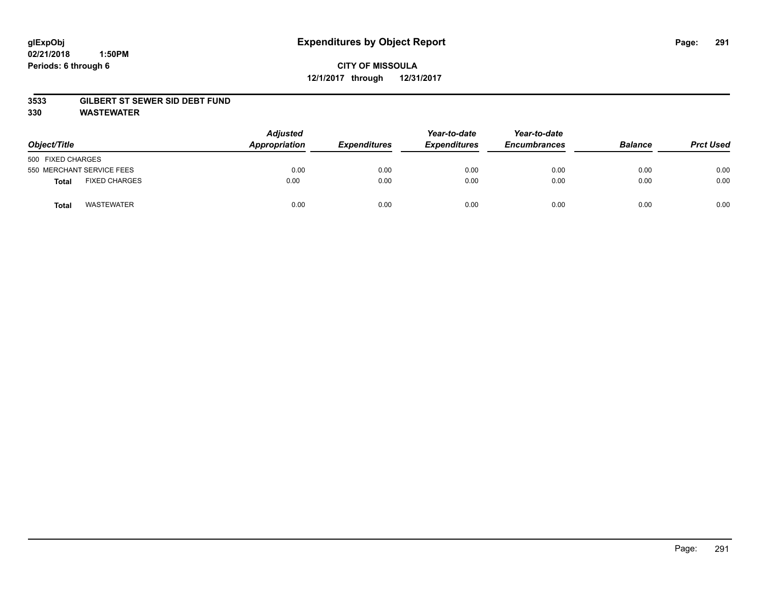## **CITY OF MISSOULA 12/1/2017 through 12/31/2017**

#### **3533 GILBERT ST SEWER SID DEBT FUND**

**330 WASTEWATER**

| Object/Title                  | <b>Adjusted</b><br>Appropriation | <b>Expenditures</b> | Year-to-date<br><b>Expenditures</b> | Year-to-date<br><b>Encumbrances</b> | <b>Balance</b> | <b>Prct Used</b> |
|-------------------------------|----------------------------------|---------------------|-------------------------------------|-------------------------------------|----------------|------------------|
| 500 FIXED CHARGES             |                                  |                     |                                     |                                     |                |                  |
| 550 MERCHANT SERVICE FEES     | 0.00                             | 0.00                | 0.00                                | 0.00                                | 0.00           | 0.00             |
| <b>FIXED CHARGES</b><br>Total | 0.00                             | 0.00                | 0.00                                | 0.00                                | 0.00           | 0.00             |
| <b>WASTEWATER</b><br>Tota     | 0.00                             | 0.00                | 0.00                                | 0.00                                | 0.00           | 0.00             |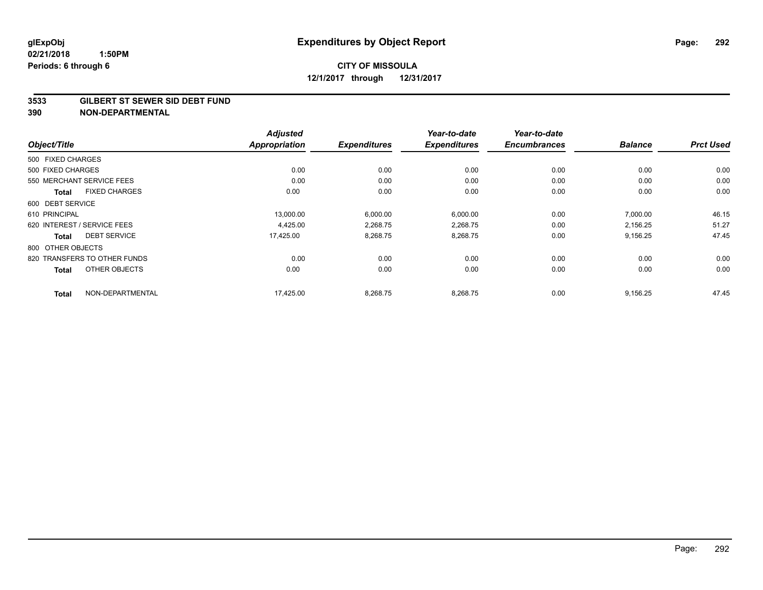#### **3533 GILBERT ST SEWER SID DEBT FUND**

|                                      | <b>Adjusted</b>      |                     | Year-to-date        | Year-to-date        |                |                  |
|--------------------------------------|----------------------|---------------------|---------------------|---------------------|----------------|------------------|
| Object/Title                         | <b>Appropriation</b> | <b>Expenditures</b> | <b>Expenditures</b> | <b>Encumbrances</b> | <b>Balance</b> | <b>Prct Used</b> |
| 500 FIXED CHARGES                    |                      |                     |                     |                     |                |                  |
| 500 FIXED CHARGES                    | 0.00                 | 0.00                | 0.00                | 0.00                | 0.00           | 0.00             |
| 550 MERCHANT SERVICE FEES            | 0.00                 | 0.00                | 0.00                | 0.00                | 0.00           | 0.00             |
| <b>FIXED CHARGES</b><br><b>Total</b> | 0.00                 | 0.00                | 0.00                | 0.00                | 0.00           | 0.00             |
| 600 DEBT SERVICE                     |                      |                     |                     |                     |                |                  |
| 610 PRINCIPAL                        | 13,000.00            | 6,000.00            | 6,000.00            | 0.00                | 7,000.00       | 46.15            |
| 620 INTEREST / SERVICE FEES          | 4,425.00             | 2,268.75            | 2,268.75            | 0.00                | 2,156.25       | 51.27            |
| <b>DEBT SERVICE</b><br>Total         | 17,425.00            | 8,268.75            | 8,268.75            | 0.00                | 9,156.25       | 47.45            |
| 800 OTHER OBJECTS                    |                      |                     |                     |                     |                |                  |
| 820 TRANSFERS TO OTHER FUNDS         | 0.00                 | 0.00                | 0.00                | 0.00                | 0.00           | 0.00             |
| OTHER OBJECTS<br><b>Total</b>        | 0.00                 | 0.00                | 0.00                | 0.00                | 0.00           | 0.00             |
| NON-DEPARTMENTAL<br><b>Total</b>     | 17,425.00            | 8,268.75            | 8,268.75            | 0.00                | 9,156.25       | 47.45            |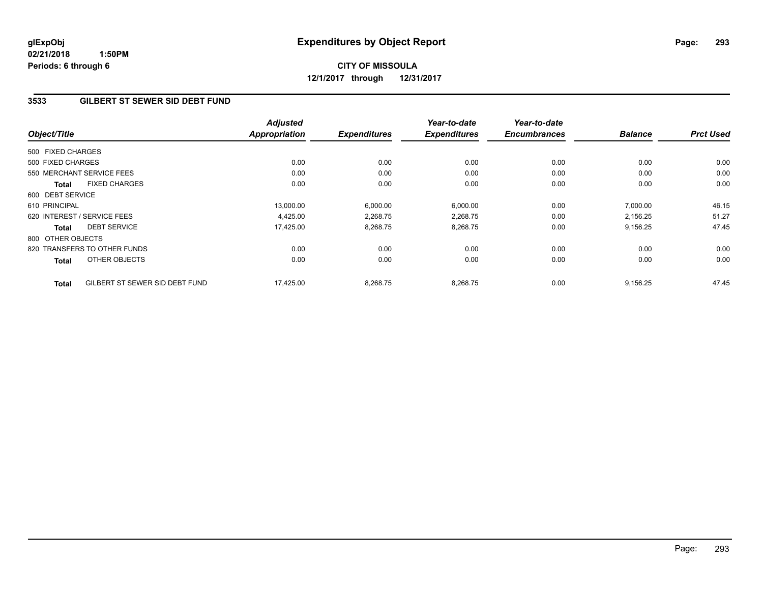### **3533 GILBERT ST SEWER SID DEBT FUND**

| Object/Title      |                                | <b>Adjusted</b><br><b>Appropriation</b> | <b>Expenditures</b> | Year-to-date<br><b>Expenditures</b> | Year-to-date<br><b>Encumbrances</b> | <b>Balance</b> | <b>Prct Used</b> |
|-------------------|--------------------------------|-----------------------------------------|---------------------|-------------------------------------|-------------------------------------|----------------|------------------|
|                   |                                |                                         |                     |                                     |                                     |                |                  |
| 500 FIXED CHARGES |                                |                                         |                     |                                     |                                     |                |                  |
| 500 FIXED CHARGES |                                | 0.00                                    | 0.00                | 0.00                                | 0.00                                | 0.00           | 0.00             |
|                   | 550 MERCHANT SERVICE FEES      | 0.00                                    | 0.00                | 0.00                                | 0.00                                | 0.00           | 0.00             |
| <b>Total</b>      | <b>FIXED CHARGES</b>           | 0.00                                    | 0.00                | 0.00                                | 0.00                                | 0.00           | 0.00             |
| 600 DEBT SERVICE  |                                |                                         |                     |                                     |                                     |                |                  |
| 610 PRINCIPAL     |                                | 13,000.00                               | 6,000.00            | 6,000.00                            | 0.00                                | 7,000.00       | 46.15            |
|                   | 620 INTEREST / SERVICE FEES    | 4,425.00                                | 2,268.75            | 2,268.75                            | 0.00                                | 2,156.25       | 51.27            |
| Total             | <b>DEBT SERVICE</b>            | 17,425.00                               | 8,268.75            | 8,268.75                            | 0.00                                | 9,156.25       | 47.45            |
| 800 OTHER OBJECTS |                                |                                         |                     |                                     |                                     |                |                  |
|                   | 820 TRANSFERS TO OTHER FUNDS   | 0.00                                    | 0.00                | 0.00                                | 0.00                                | 0.00           | 0.00             |
| <b>Total</b>      | OTHER OBJECTS                  | 0.00                                    | 0.00                | 0.00                                | 0.00                                | 0.00           | 0.00             |
| <b>Total</b>      | GILBERT ST SEWER SID DEBT FUND | 17.425.00                               | 8,268.75            | 8,268.75                            | 0.00                                | 9.156.25       | 47.45            |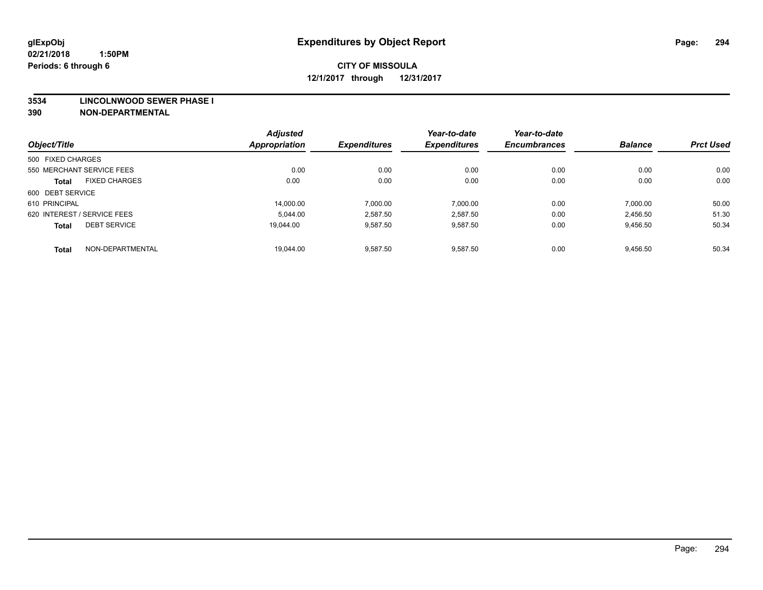#### **3534 LINCOLNWOOD SEWER PHASE I**

|                   |                             | <b>Adjusted</b>      |                     | Year-to-date        | Year-to-date        |                |                  |
|-------------------|-----------------------------|----------------------|---------------------|---------------------|---------------------|----------------|------------------|
| Object/Title      |                             | <b>Appropriation</b> | <b>Expenditures</b> | <b>Expenditures</b> | <b>Encumbrances</b> | <b>Balance</b> | <b>Prct Used</b> |
| 500 FIXED CHARGES |                             |                      |                     |                     |                     |                |                  |
|                   | 550 MERCHANT SERVICE FEES   | 0.00                 | 0.00                | 0.00                | 0.00                | 0.00           | 0.00             |
| <b>Total</b>      | <b>FIXED CHARGES</b>        | 0.00                 | 0.00                | 0.00                | 0.00                | 0.00           | 0.00             |
| 600 DEBT SERVICE  |                             |                      |                     |                     |                     |                |                  |
| 610 PRINCIPAL     |                             | 14.000.00            | 7.000.00            | 7.000.00            | 0.00                | 7.000.00       | 50.00            |
|                   | 620 INTEREST / SERVICE FEES | 5.044.00             | 2,587.50            | 2.587.50            | 0.00                | 2,456.50       | 51.30            |
| <b>Total</b>      | <b>DEBT SERVICE</b>         | 19.044.00            | 9,587.50            | 9,587.50            | 0.00                | 9,456.50       | 50.34            |
| <b>Total</b>      | NON-DEPARTMENTAL            | 19.044.00            | 9,587.50            | 9,587.50            | 0.00                | 9,456.50       | 50.34            |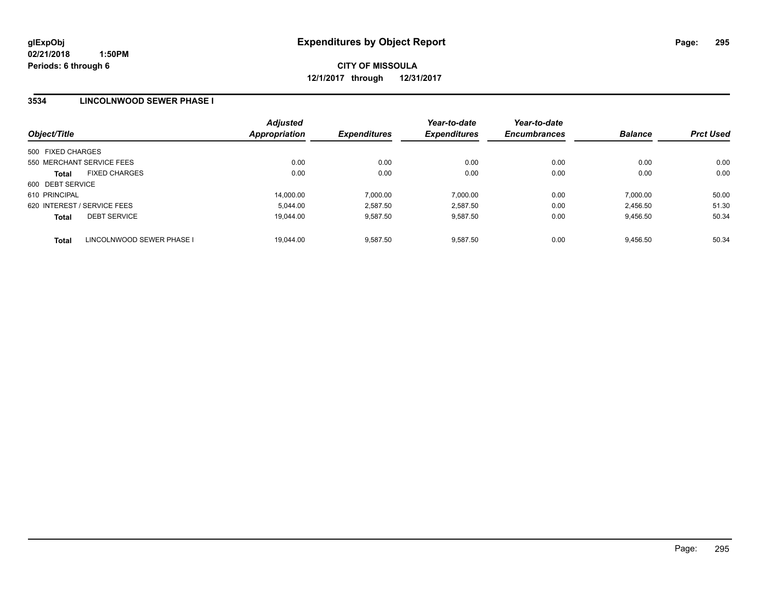### **3534 LINCOLNWOOD SEWER PHASE I**

| Object/Title                |                           | <b>Adjusted</b><br><b>Appropriation</b> | <b>Expenditures</b> | Year-to-date<br><b>Expenditures</b> | Year-to-date<br><b>Encumbrances</b> | <b>Balance</b> | <b>Prct Used</b> |
|-----------------------------|---------------------------|-----------------------------------------|---------------------|-------------------------------------|-------------------------------------|----------------|------------------|
| 500 FIXED CHARGES           |                           |                                         |                     |                                     |                                     |                |                  |
| 550 MERCHANT SERVICE FEES   |                           | 0.00                                    | 0.00                | 0.00                                | 0.00                                | 0.00           | 0.00             |
| <b>Total</b>                | <b>FIXED CHARGES</b>      | 0.00                                    | 0.00                | 0.00                                | 0.00                                | 0.00           | 0.00             |
| 600 DEBT SERVICE            |                           |                                         |                     |                                     |                                     |                |                  |
| 610 PRINCIPAL               |                           | 14.000.00                               | 7.000.00            | 7.000.00                            | 0.00                                | 7.000.00       | 50.00            |
| 620 INTEREST / SERVICE FEES |                           | 5.044.00                                | 2,587.50            | 2.587.50                            | 0.00                                | 2,456.50       | 51.30            |
| <b>Total</b>                | <b>DEBT SERVICE</b>       | 19.044.00                               | 9,587.50            | 9.587.50                            | 0.00                                | 9,456.50       | 50.34            |
| <b>Total</b>                | LINCOLNWOOD SEWER PHASE I | 19.044.00                               | 9.587.50            | 9.587.50                            | 0.00                                | 9.456.50       | 50.34            |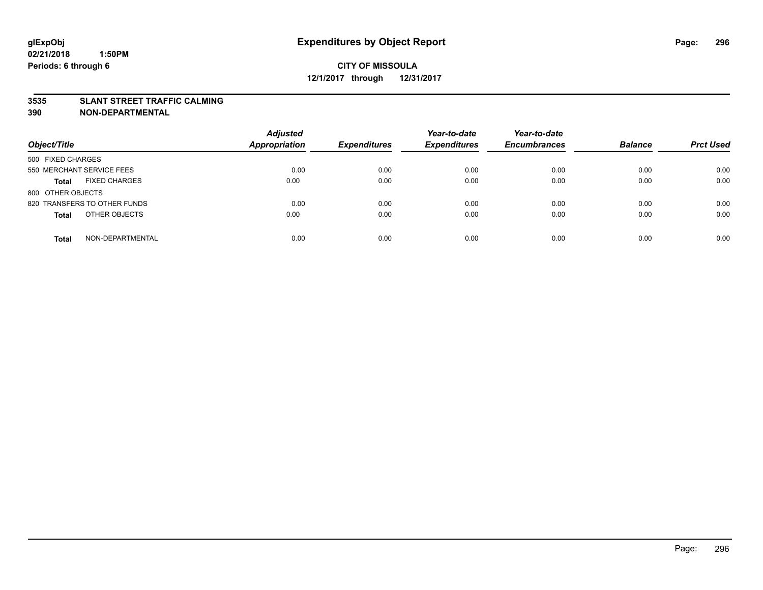#### **3535 SLANT STREET TRAFFIC CALMING**

| Object/Title                         | <b>Adjusted</b><br><b>Appropriation</b> | <b>Expenditures</b> | Year-to-date<br><b>Expenditures</b> | Year-to-date<br><b>Encumbrances</b> | <b>Balance</b> | <b>Prct Used</b> |
|--------------------------------------|-----------------------------------------|---------------------|-------------------------------------|-------------------------------------|----------------|------------------|
|                                      |                                         |                     |                                     |                                     |                |                  |
| 500 FIXED CHARGES                    |                                         |                     |                                     |                                     |                |                  |
| 550 MERCHANT SERVICE FEES            | 0.00                                    | 0.00                | 0.00                                | 0.00                                | 0.00           | 0.00             |
| <b>FIXED CHARGES</b><br><b>Total</b> | 0.00                                    | 0.00                | 0.00                                | 0.00                                | 0.00           | 0.00             |
| 800 OTHER OBJECTS                    |                                         |                     |                                     |                                     |                |                  |
| 820 TRANSFERS TO OTHER FUNDS         | 0.00                                    | 0.00                | 0.00                                | 0.00                                | 0.00           | 0.00             |
| OTHER OBJECTS<br><b>Total</b>        | 0.00                                    | 0.00                | 0.00                                | 0.00                                | 0.00           | 0.00             |
| NON-DEPARTMENTAL<br><b>Total</b>     | 0.00                                    | 0.00                | 0.00                                | 0.00                                | 0.00           | 0.00             |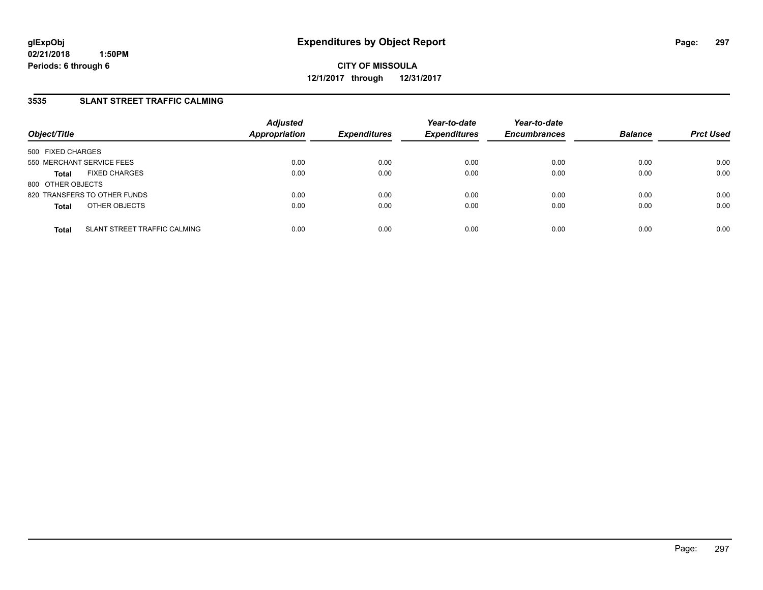### **3535 SLANT STREET TRAFFIC CALMING**

| Object/Title                                 | <b>Adjusted</b><br><b>Appropriation</b> | <b>Expenditures</b> | Year-to-date<br><b>Expenditures</b> | Year-to-date<br><b>Encumbrances</b> | <b>Balance</b> | <b>Prct Used</b> |
|----------------------------------------------|-----------------------------------------|---------------------|-------------------------------------|-------------------------------------|----------------|------------------|
| 500 FIXED CHARGES                            |                                         |                     |                                     |                                     |                |                  |
| 550 MERCHANT SERVICE FEES                    | 0.00                                    | 0.00                | 0.00                                | 0.00                                | 0.00           | 0.00             |
| <b>FIXED CHARGES</b><br><b>Total</b>         | 0.00                                    | 0.00                | 0.00                                | 0.00                                | 0.00           | 0.00             |
| 800 OTHER OBJECTS                            |                                         |                     |                                     |                                     |                |                  |
| 820 TRANSFERS TO OTHER FUNDS                 | 0.00                                    | 0.00                | 0.00                                | 0.00                                | 0.00           | 0.00             |
| OTHER OBJECTS<br><b>Total</b>                | 0.00                                    | 0.00                | 0.00                                | 0.00                                | 0.00           | 0.00             |
| SLANT STREET TRAFFIC CALMING<br><b>Total</b> | 0.00                                    | 0.00                | 0.00                                | 0.00                                | 0.00           | 0.00             |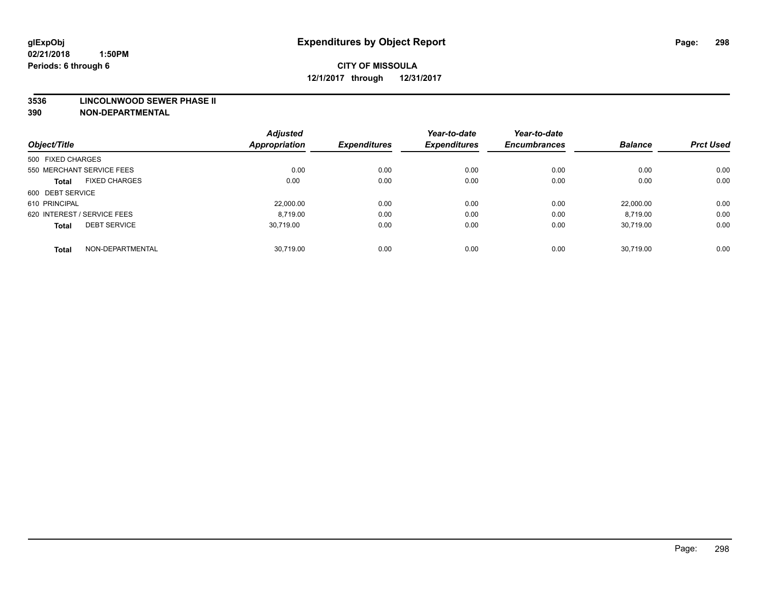#### **3536 LINCOLNWOOD SEWER PHASE II**

|                                      |  | <b>Adjusted</b> |                     | Year-to-date        | Year-to-date        |                |                  |
|--------------------------------------|--|-----------------|---------------------|---------------------|---------------------|----------------|------------------|
| Object/Title                         |  | Appropriation   | <b>Expenditures</b> | <b>Expenditures</b> | <b>Encumbrances</b> | <b>Balance</b> | <b>Prct Used</b> |
| 500 FIXED CHARGES                    |  |                 |                     |                     |                     |                |                  |
| 550 MERCHANT SERVICE FEES            |  | 0.00            | 0.00                | 0.00                | 0.00                | 0.00           | 0.00             |
| <b>FIXED CHARGES</b><br><b>Total</b> |  | 0.00            | 0.00                | 0.00                | 0.00                | 0.00           | 0.00             |
| 600 DEBT SERVICE                     |  |                 |                     |                     |                     |                |                  |
| 610 PRINCIPAL                        |  | 22,000.00       | 0.00                | 0.00                | 0.00                | 22.000.00      | 0.00             |
| 620 INTEREST / SERVICE FEES          |  | 8.719.00        | 0.00                | 0.00                | 0.00                | 8.719.00       | 0.00             |
| <b>DEBT SERVICE</b><br><b>Total</b>  |  | 30.719.00       | 0.00                | 0.00                | 0.00                | 30,719.00      | 0.00             |
| NON-DEPARTMENTAL<br><b>Total</b>     |  | 30.719.00       | 0.00                | 0.00                | 0.00                | 30.719.00      | 0.00             |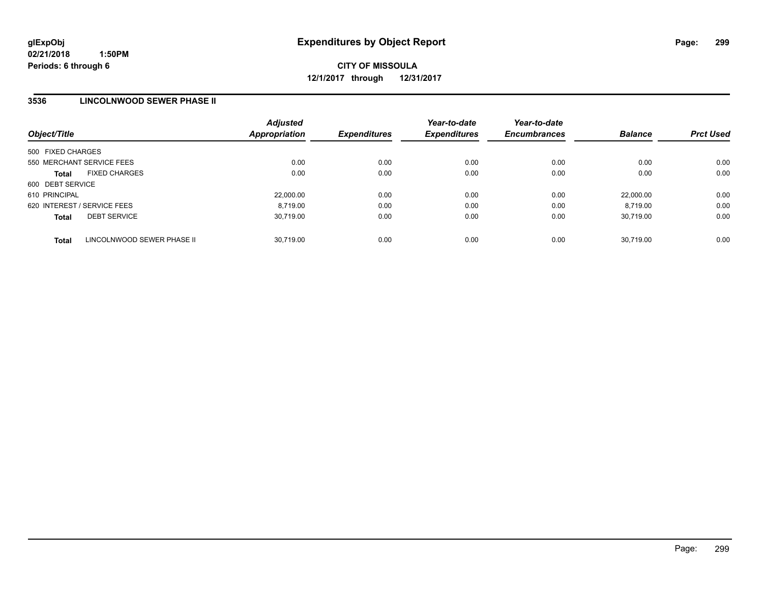### **3536 LINCOLNWOOD SEWER PHASE II**

| Object/Title                |                            | <b>Adjusted</b><br><b>Appropriation</b> | <b>Expenditures</b> | Year-to-date<br><b>Expenditures</b> | Year-to-date<br><b>Encumbrances</b> | <b>Balance</b> | <b>Prct Used</b> |
|-----------------------------|----------------------------|-----------------------------------------|---------------------|-------------------------------------|-------------------------------------|----------------|------------------|
| 500 FIXED CHARGES           |                            |                                         |                     |                                     |                                     |                |                  |
| 550 MERCHANT SERVICE FEES   |                            | 0.00                                    | 0.00                | 0.00                                | 0.00                                | 0.00           | 0.00             |
| <b>Total</b>                | <b>FIXED CHARGES</b>       | 0.00                                    | 0.00                | 0.00                                | 0.00                                | 0.00           | 0.00             |
| 600 DEBT SERVICE            |                            |                                         |                     |                                     |                                     |                |                  |
| 610 PRINCIPAL               |                            | 22,000.00                               | 0.00                | 0.00                                | 0.00                                | 22,000.00      | 0.00             |
| 620 INTEREST / SERVICE FEES |                            | 8.719.00                                | 0.00                | 0.00                                | 0.00                                | 8.719.00       | 0.00             |
| <b>Total</b>                | <b>DEBT SERVICE</b>        | 30.719.00                               | 0.00                | 0.00                                | 0.00                                | 30.719.00      | 0.00             |
| <b>Total</b>                | LINCOLNWOOD SEWER PHASE II | 30.719.00                               | 0.00                | 0.00                                | 0.00                                | 30.719.00      | 0.00             |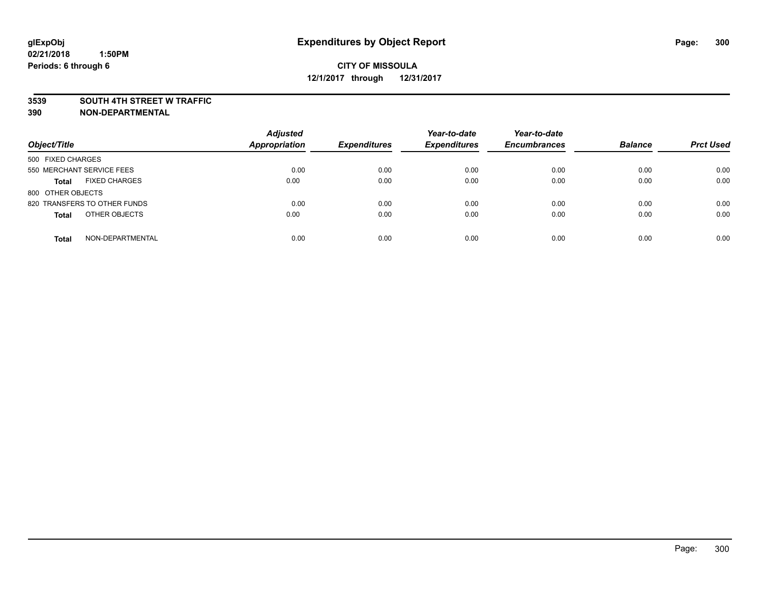#### **3539 SOUTH 4TH STREET W TRAFFIC**

| Object/Title                         | <b>Adjusted</b><br><b>Appropriation</b> | <b>Expenditures</b> | Year-to-date<br><b>Expenditures</b> | Year-to-date<br><b>Encumbrances</b> | <b>Balance</b> | <b>Prct Used</b> |
|--------------------------------------|-----------------------------------------|---------------------|-------------------------------------|-------------------------------------|----------------|------------------|
| 500 FIXED CHARGES                    |                                         |                     |                                     |                                     |                |                  |
| 550 MERCHANT SERVICE FEES            | 0.00                                    | 0.00                | 0.00                                | 0.00                                | 0.00           | 0.00             |
| <b>FIXED CHARGES</b><br><b>Total</b> | 0.00                                    | 0.00                | 0.00                                | 0.00                                | 0.00           | 0.00             |
| 800 OTHER OBJECTS                    |                                         |                     |                                     |                                     |                |                  |
| 820 TRANSFERS TO OTHER FUNDS         | 0.00                                    | 0.00                | 0.00                                | 0.00                                | 0.00           | 0.00             |
| OTHER OBJECTS<br><b>Total</b>        | 0.00                                    | 0.00                | 0.00                                | 0.00                                | 0.00           | 0.00             |
| NON-DEPARTMENTAL<br><b>Total</b>     | 0.00                                    | 0.00                | 0.00                                | 0.00                                | 0.00           | 0.00             |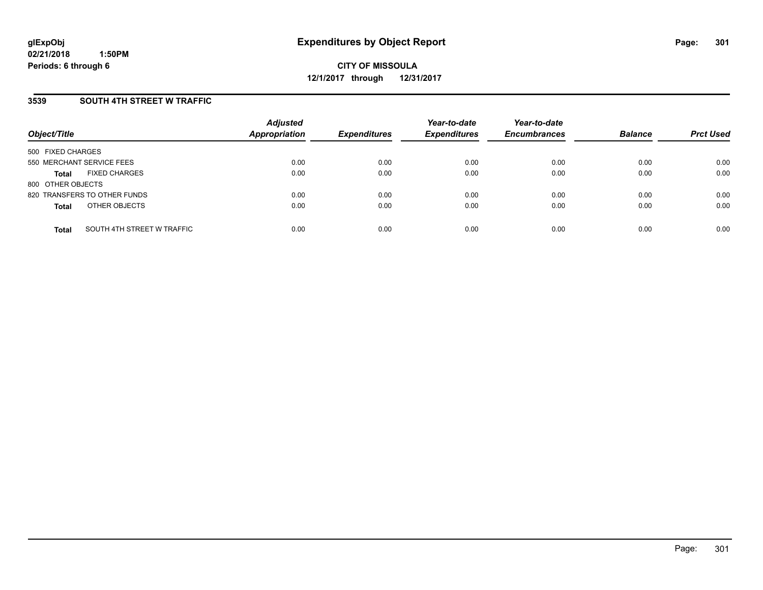### **3539 SOUTH 4TH STREET W TRAFFIC**

| Object/Title              |                              | <b>Adjusted</b><br><b>Appropriation</b> | <b>Expenditures</b> | Year-to-date<br><b>Expenditures</b> | Year-to-date<br><b>Encumbrances</b> | <b>Balance</b> | <b>Prct Used</b> |
|---------------------------|------------------------------|-----------------------------------------|---------------------|-------------------------------------|-------------------------------------|----------------|------------------|
| 500 FIXED CHARGES         |                              |                                         |                     |                                     |                                     |                |                  |
| 550 MERCHANT SERVICE FEES |                              | 0.00                                    | 0.00                | 0.00                                | 0.00                                | 0.00           | 0.00             |
| <b>Total</b>              | <b>FIXED CHARGES</b>         | 0.00                                    | 0.00                | 0.00                                | 0.00                                | 0.00           | 0.00             |
| 800 OTHER OBJECTS         |                              |                                         |                     |                                     |                                     |                |                  |
|                           | 820 TRANSFERS TO OTHER FUNDS | 0.00                                    | 0.00                | 0.00                                | 0.00                                | 0.00           | 0.00             |
| <b>Total</b>              | OTHER OBJECTS                | 0.00                                    | 0.00                | 0.00                                | 0.00                                | 0.00           | 0.00             |
| <b>Total</b>              | SOUTH 4TH STREET W TRAFFIC   | 0.00                                    | 0.00                | 0.00                                | 0.00                                | 0.00           | 0.00             |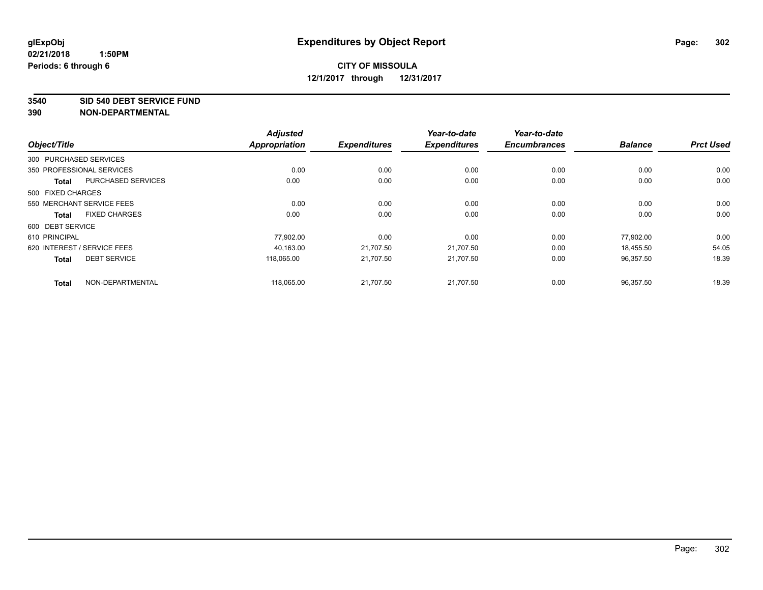**3540 SID 540 DEBT SERVICE FUND**

|                        |                             | <b>Adjusted</b>      |                     | Year-to-date        | Year-to-date        |                |                  |
|------------------------|-----------------------------|----------------------|---------------------|---------------------|---------------------|----------------|------------------|
| Object/Title           |                             | <b>Appropriation</b> | <b>Expenditures</b> | <b>Expenditures</b> | <b>Encumbrances</b> | <b>Balance</b> | <b>Prct Used</b> |
| 300 PURCHASED SERVICES |                             |                      |                     |                     |                     |                |                  |
|                        | 350 PROFESSIONAL SERVICES   | 0.00                 | 0.00                | 0.00                | 0.00                | 0.00           | 0.00             |
| <b>Total</b>           | <b>PURCHASED SERVICES</b>   | 0.00                 | 0.00                | 0.00                | 0.00                | 0.00           | 0.00             |
| 500 FIXED CHARGES      |                             |                      |                     |                     |                     |                |                  |
|                        | 550 MERCHANT SERVICE FEES   | 0.00                 | 0.00                | 0.00                | 0.00                | 0.00           | 0.00             |
| <b>Total</b>           | <b>FIXED CHARGES</b>        | 0.00                 | 0.00                | 0.00                | 0.00                | 0.00           | 0.00             |
| 600 DEBT SERVICE       |                             |                      |                     |                     |                     |                |                  |
| 610 PRINCIPAL          |                             | 77.902.00            | 0.00                | 0.00                | 0.00                | 77.902.00      | 0.00             |
|                        | 620 INTEREST / SERVICE FEES | 40.163.00            | 21.707.50           | 21.707.50           | 0.00                | 18.455.50      | 54.05            |
| <b>Total</b>           | <b>DEBT SERVICE</b>         | 118.065.00           | 21,707.50           | 21.707.50           | 0.00                | 96,357.50      | 18.39            |
| <b>Total</b>           | NON-DEPARTMENTAL            | 118,065.00           | 21,707.50           | 21,707.50           | 0.00                | 96,357.50      | 18.39            |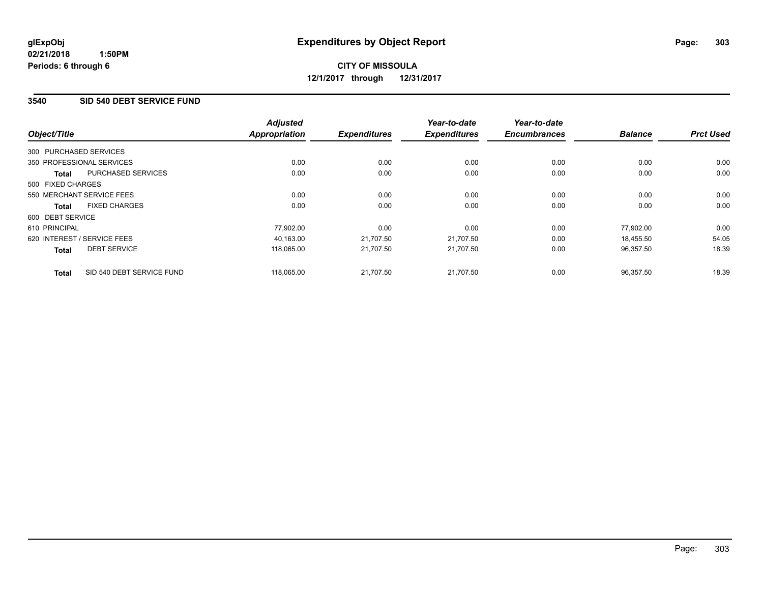## **CITY OF MISSOULA 12/1/2017 through 12/31/2017**

### **3540 SID 540 DEBT SERVICE FUND**

|                   |                             | <b>Adjusted</b>      |                     | Year-to-date        | Year-to-date        |                |                  |
|-------------------|-----------------------------|----------------------|---------------------|---------------------|---------------------|----------------|------------------|
| Object/Title      |                             | <b>Appropriation</b> | <b>Expenditures</b> | <b>Expenditures</b> | <b>Encumbrances</b> | <b>Balance</b> | <b>Prct Used</b> |
|                   | 300 PURCHASED SERVICES      |                      |                     |                     |                     |                |                  |
|                   | 350 PROFESSIONAL SERVICES   | 0.00                 | 0.00                | 0.00                | 0.00                | 0.00           | 0.00             |
| Total             | PURCHASED SERVICES          | 0.00                 | 0.00                | 0.00                | 0.00                | 0.00           | 0.00             |
| 500 FIXED CHARGES |                             |                      |                     |                     |                     |                |                  |
|                   | 550 MERCHANT SERVICE FEES   | 0.00                 | 0.00                | 0.00                | 0.00                | 0.00           | 0.00             |
| Total             | <b>FIXED CHARGES</b>        | 0.00                 | 0.00                | 0.00                | 0.00                | 0.00           | 0.00             |
| 600 DEBT SERVICE  |                             |                      |                     |                     |                     |                |                  |
| 610 PRINCIPAL     |                             | 77.902.00            | 0.00                | 0.00                | 0.00                | 77.902.00      | 0.00             |
|                   | 620 INTEREST / SERVICE FEES | 40,163.00            | 21.707.50           | 21,707.50           | 0.00                | 18.455.50      | 54.05            |
| <b>Total</b>      | <b>DEBT SERVICE</b>         | 118.065.00           | 21.707.50           | 21.707.50           | 0.00                | 96.357.50      | 18.39            |
| <b>Total</b>      | SID 540 DEBT SERVICE FUND   | 118.065.00           | 21.707.50           | 21.707.50           | 0.00                | 96.357.50      | 18.39            |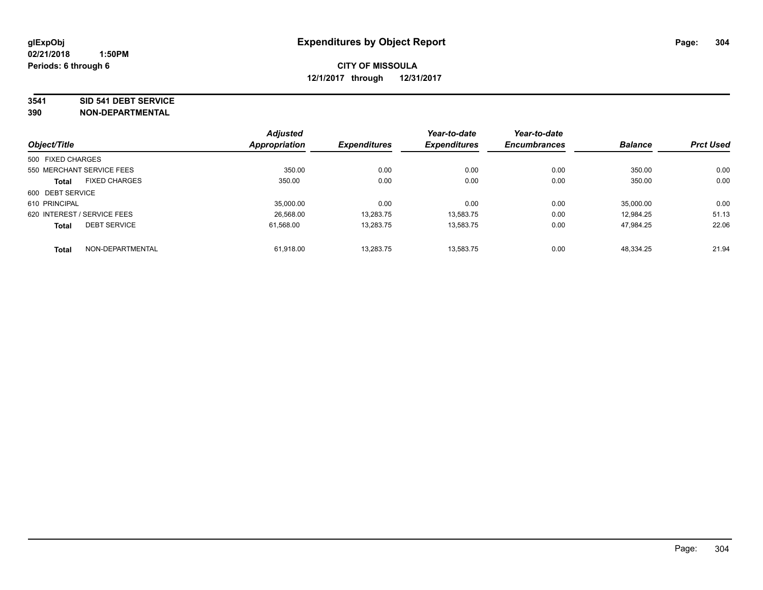#### **3541 SID 541 DEBT SERVICE**

|                                      |                  | <b>Adjusted</b>      |                     | Year-to-date        | Year-to-date        |                |                  |
|--------------------------------------|------------------|----------------------|---------------------|---------------------|---------------------|----------------|------------------|
| Object/Title                         |                  | <b>Appropriation</b> | <b>Expenditures</b> | <b>Expenditures</b> | <b>Encumbrances</b> | <b>Balance</b> | <b>Prct Used</b> |
| 500 FIXED CHARGES                    |                  |                      |                     |                     |                     |                |                  |
| 550 MERCHANT SERVICE FEES            |                  | 350.00               | 0.00                | 0.00                | 0.00                | 350.00         | 0.00             |
| <b>FIXED CHARGES</b><br><b>Total</b> |                  | 350.00               | 0.00                | 0.00                | 0.00                | 350.00         | 0.00             |
| 600 DEBT SERVICE                     |                  |                      |                     |                     |                     |                |                  |
| 610 PRINCIPAL                        |                  | 35.000.00            | 0.00                | 0.00                | 0.00                | 35,000.00      | 0.00             |
| 620 INTEREST / SERVICE FEES          |                  | 26.568.00            | 13.283.75           | 13.583.75           | 0.00                | 12.984.25      | 51.13            |
| <b>DEBT SERVICE</b><br><b>Total</b>  |                  | 61,568.00            | 13,283.75           | 13,583.75           | 0.00                | 47.984.25      | 22.06            |
| <b>Total</b>                         | NON-DEPARTMENTAL | 61,918.00            | 13.283.75           | 13.583.75           | 0.00                | 48.334.25      | 21.94            |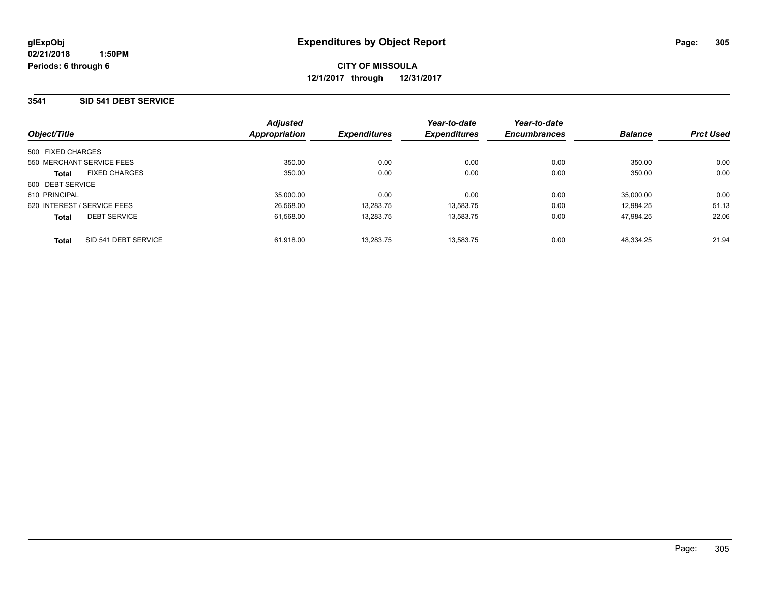#### **3541 SID 541 DEBT SERVICE**

|                                      | <b>Adjusted</b> |                     | Year-to-date        | Year-to-date        |                |                  |
|--------------------------------------|-----------------|---------------------|---------------------|---------------------|----------------|------------------|
| Object/Title                         | Appropriation   | <b>Expenditures</b> | <b>Expenditures</b> | <b>Encumbrances</b> | <b>Balance</b> | <b>Prct Used</b> |
| 500 FIXED CHARGES                    |                 |                     |                     |                     |                |                  |
| 550 MERCHANT SERVICE FEES            | 350.00          | 0.00                | 0.00                | 0.00                | 350.00         | 0.00             |
| <b>FIXED CHARGES</b><br><b>Total</b> | 350.00          | 0.00                | 0.00                | 0.00                | 350.00         | 0.00             |
| 600 DEBT SERVICE                     |                 |                     |                     |                     |                |                  |
| 610 PRINCIPAL                        | 35,000.00       | 0.00                | 0.00                | 0.00                | 35,000.00      | 0.00             |
| 620 INTEREST / SERVICE FEES          | 26,568.00       | 13.283.75           | 13.583.75           | 0.00                | 12.984.25      | 51.13            |
| <b>DEBT SERVICE</b><br><b>Total</b>  | 61,568.00       | 13,283.75           | 13,583.75           | 0.00                | 47.984.25      | 22.06            |
| SID 541 DEBT SERVICE<br><b>Total</b> | 61.918.00       | 13.283.75           | 13.583.75           | 0.00                | 48.334.25      | 21.94            |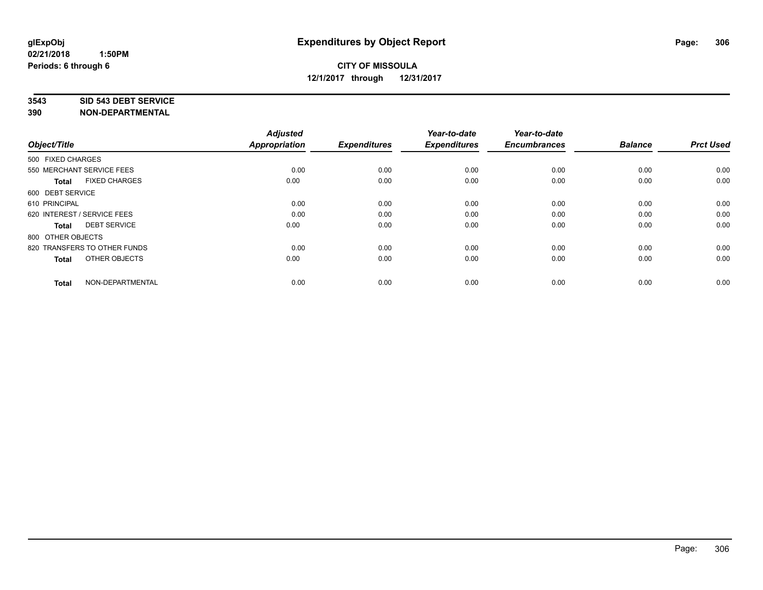#### **3543 SID 543 DEBT SERVICE**

| Object/Title                         | <b>Adjusted</b><br><b>Appropriation</b> | <b>Expenditures</b> | Year-to-date<br><b>Expenditures</b> | Year-to-date<br><b>Encumbrances</b> | <b>Balance</b> | <b>Prct Used</b> |
|--------------------------------------|-----------------------------------------|---------------------|-------------------------------------|-------------------------------------|----------------|------------------|
| 500 FIXED CHARGES                    |                                         |                     |                                     |                                     |                |                  |
| 550 MERCHANT SERVICE FEES            | 0.00                                    | 0.00                | 0.00                                | 0.00                                | 0.00           | 0.00             |
| <b>FIXED CHARGES</b><br><b>Total</b> | 0.00                                    | 0.00                | 0.00                                | 0.00                                | 0.00           | 0.00             |
| 600 DEBT SERVICE                     |                                         |                     |                                     |                                     |                |                  |
| 610 PRINCIPAL                        | 0.00                                    | 0.00                | 0.00                                | 0.00                                | 0.00           | 0.00             |
| 620 INTEREST / SERVICE FEES          | 0.00                                    | 0.00                | 0.00                                | 0.00                                | 0.00           | 0.00             |
| <b>DEBT SERVICE</b><br><b>Total</b>  | 0.00                                    | 0.00                | 0.00                                | 0.00                                | 0.00           | 0.00             |
| 800 OTHER OBJECTS                    |                                         |                     |                                     |                                     |                |                  |
| 820 TRANSFERS TO OTHER FUNDS         | 0.00                                    | 0.00                | 0.00                                | 0.00                                | 0.00           | 0.00             |
| OTHER OBJECTS<br><b>Total</b>        | 0.00                                    | 0.00                | 0.00                                | 0.00                                | 0.00           | 0.00             |
|                                      |                                         |                     |                                     |                                     |                |                  |
| NON-DEPARTMENTAL<br><b>Total</b>     | 0.00                                    | 0.00                | 0.00                                | 0.00                                | 0.00           | 0.00             |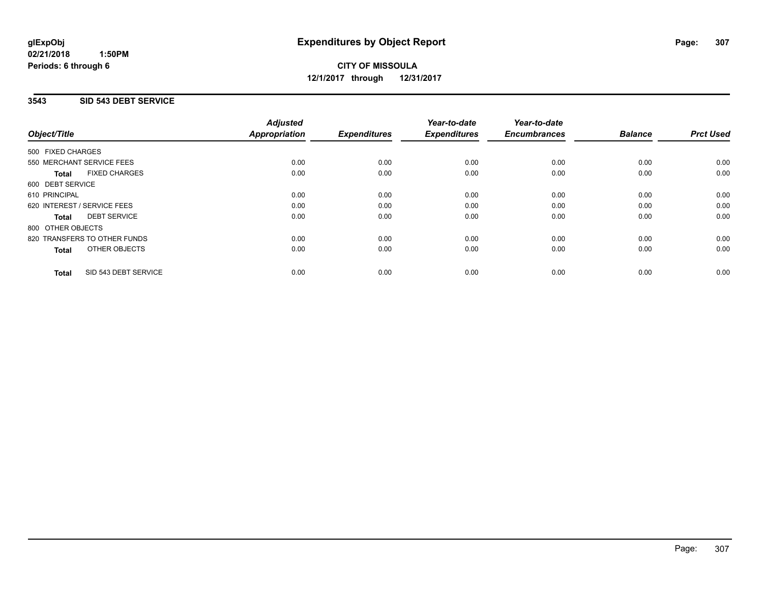### **3543 SID 543 DEBT SERVICE**

|                                      | <b>Adjusted</b>      |                     | Year-to-date        | Year-to-date<br><b>Encumbrances</b> | <b>Balance</b> | <b>Prct Used</b> |
|--------------------------------------|----------------------|---------------------|---------------------|-------------------------------------|----------------|------------------|
| Object/Title                         | <b>Appropriation</b> | <b>Expenditures</b> | <b>Expenditures</b> |                                     |                |                  |
| 500 FIXED CHARGES                    |                      |                     |                     |                                     |                |                  |
| 550 MERCHANT SERVICE FEES            | 0.00                 | 0.00                | 0.00                | 0.00                                | 0.00           | 0.00             |
| <b>FIXED CHARGES</b><br>Total        | 0.00                 | 0.00                | 0.00                | 0.00                                | 0.00           | 0.00             |
| 600 DEBT SERVICE                     |                      |                     |                     |                                     |                |                  |
| 610 PRINCIPAL                        | 0.00                 | 0.00                | 0.00                | 0.00                                | 0.00           | 0.00             |
| 620 INTEREST / SERVICE FEES          | 0.00                 | 0.00                | 0.00                | 0.00                                | 0.00           | 0.00             |
| <b>DEBT SERVICE</b><br>Total         | 0.00                 | 0.00                | 0.00                | 0.00                                | 0.00           | 0.00             |
| 800 OTHER OBJECTS                    |                      |                     |                     |                                     |                |                  |
| 820 TRANSFERS TO OTHER FUNDS         | 0.00                 | 0.00                | 0.00                | 0.00                                | 0.00           | 0.00             |
| OTHER OBJECTS<br><b>Total</b>        | 0.00                 | 0.00                | 0.00                | 0.00                                | 0.00           | 0.00             |
| SID 543 DEBT SERVICE<br><b>Total</b> | 0.00                 | 0.00                | 0.00                | 0.00                                | 0.00           | 0.00             |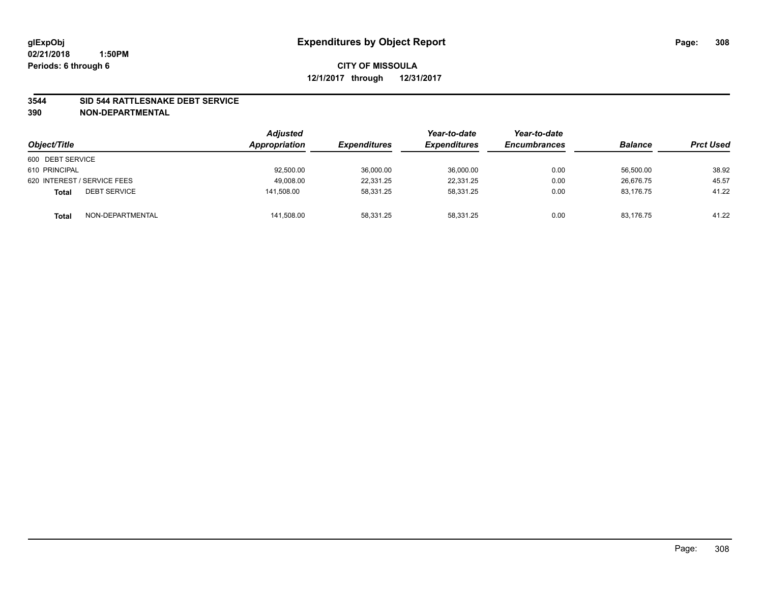#### **3544 SID 544 RATTLESNAKE DEBT SERVICE**

| Object/Title                        | <b>Adjusted</b><br>Appropriation | <i><b>Expenditures</b></i> | Year-to-date<br><b>Expenditures</b> | Year-to-date<br><b>Encumbrances</b> | <b>Balance</b> | <b>Prct Used</b> |
|-------------------------------------|----------------------------------|----------------------------|-------------------------------------|-------------------------------------|----------------|------------------|
| 600 DEBT SERVICE                    |                                  |                            |                                     |                                     |                |                  |
| 610 PRINCIPAL                       | 92,500.00                        | 36,000.00                  | 36,000.00                           | 0.00                                | 56,500.00      | 38.92            |
| 620 INTEREST / SERVICE FEES         | 49.008.00                        | 22,331.25                  | 22,331.25                           | 0.00                                | 26.676.75      | 45.57            |
| <b>DEBT SERVICE</b><br><b>Total</b> | 141.508.00                       | 58.331.25                  | 58.331.25                           | 0.00                                | 83.176.75      | 41.22            |
| NON-DEPARTMENTAL<br><b>Total</b>    | 141,508.00                       | 58,331.25                  | 58,331.25                           | 0.00                                | 83.176.75      | 41.22            |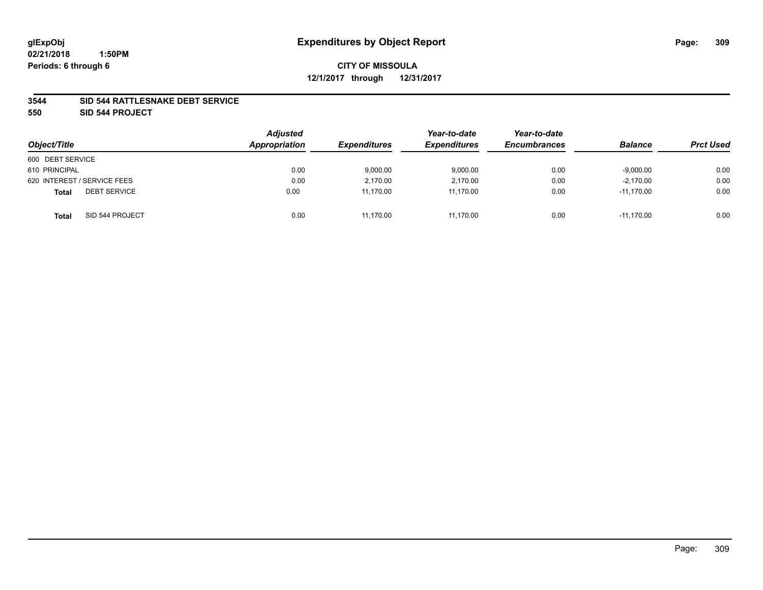#### **3544 SID 544 RATTLESNAKE DEBT SERVICE**

**550 SID 544 PROJECT**

| Object/Title                        | <b>Adjusted</b><br>Appropriation | <b>Expenditures</b> | Year-to-date<br><b>Expenditures</b> | Year-to-date<br><b>Encumbrances</b> | <b>Balance</b> | <b>Prct Used</b> |
|-------------------------------------|----------------------------------|---------------------|-------------------------------------|-------------------------------------|----------------|------------------|
| 600 DEBT SERVICE                    |                                  |                     |                                     |                                     |                |                  |
| 610 PRINCIPAL                       | 0.00                             | 9,000.00            | 9,000.00                            | 0.00                                | $-9,000.00$    | 0.00             |
| 620 INTEREST / SERVICE FEES         | 0.00                             | 2.170.00            | 2.170.00                            | 0.00                                | $-2.170.00$    | 0.00             |
| <b>DEBT SERVICE</b><br><b>Total</b> | 0.00                             | 11.170.00           | 11.170.00                           | 0.00                                | $-11.170.00$   | 0.00             |
| SID 544 PROJECT<br><b>Total</b>     | 0.00                             | 11,170.00           | 11,170.00                           | 0.00                                | $-11,170.00$   | 0.00             |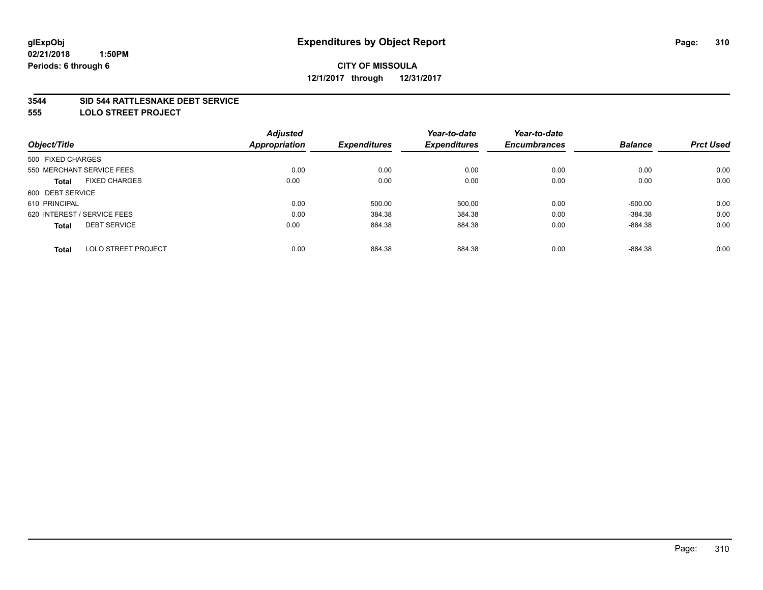#### **3544 SID 544 RATTLESNAKE DEBT SERVICE**

**555 LOLO STREET PROJECT**

|                                            | <b>Adjusted</b> |                     | Year-to-date        | Year-to-date        |                |                  |
|--------------------------------------------|-----------------|---------------------|---------------------|---------------------|----------------|------------------|
| Object/Title                               | Appropriation   | <b>Expenditures</b> | <b>Expenditures</b> | <b>Encumbrances</b> | <b>Balance</b> | <b>Prct Used</b> |
| 500 FIXED CHARGES                          |                 |                     |                     |                     |                |                  |
| 550 MERCHANT SERVICE FEES                  | 0.00            | 0.00                | 0.00                | 0.00                | 0.00           | 0.00             |
| <b>FIXED CHARGES</b><br><b>Total</b>       | 0.00            | 0.00                | 0.00                | 0.00                | 0.00           | 0.00             |
| 600 DEBT SERVICE                           |                 |                     |                     |                     |                |                  |
| 610 PRINCIPAL                              | 0.00            | 500.00              | 500.00              | 0.00                | $-500.00$      | 0.00             |
| 620 INTEREST / SERVICE FEES                | 0.00            | 384.38              | 384.38              | 0.00                | $-384.38$      | 0.00             |
| <b>DEBT SERVICE</b><br><b>Total</b>        | 0.00            | 884.38              | 884.38              | 0.00                | $-884.38$      | 0.00             |
| <b>LOLO STREET PROJECT</b><br><b>Total</b> | 0.00            | 884.38              | 884.38              | 0.00                | $-884.38$      | 0.00             |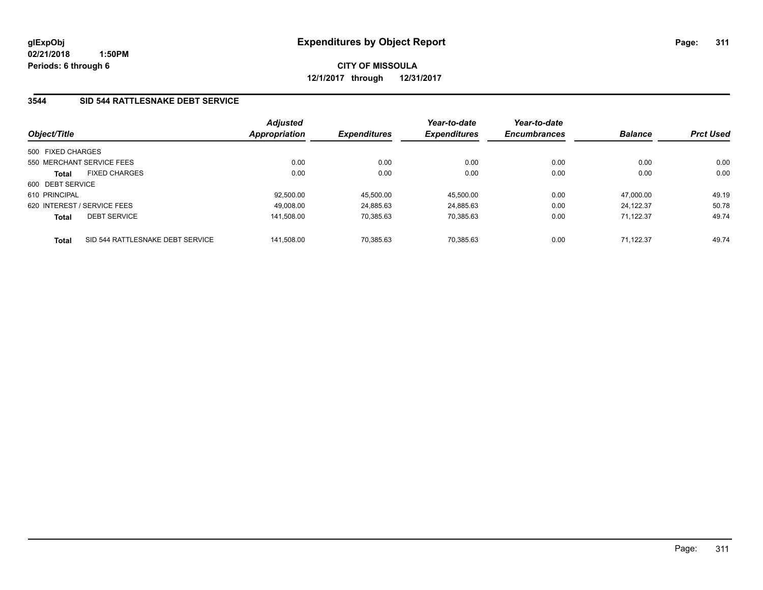## **CITY OF MISSOULA 12/1/2017 through 12/31/2017**

## **3544 SID 544 RATTLESNAKE DEBT SERVICE**

| Object/Title      |                                  | <b>Adjusted</b><br>Appropriation | <b>Expenditures</b> | Year-to-date<br><b>Expenditures</b> | Year-to-date<br><b>Encumbrances</b> | <b>Balance</b> | <b>Prct Used</b> |
|-------------------|----------------------------------|----------------------------------|---------------------|-------------------------------------|-------------------------------------|----------------|------------------|
| 500 FIXED CHARGES |                                  |                                  |                     |                                     |                                     |                |                  |
|                   | 550 MERCHANT SERVICE FEES        | 0.00                             | 0.00                | 0.00                                | 0.00                                | 0.00           | 0.00             |
| <b>Total</b>      | <b>FIXED CHARGES</b>             | 0.00                             | 0.00                | 0.00                                | 0.00                                | 0.00           | 0.00             |
| 600 DEBT SERVICE  |                                  |                                  |                     |                                     |                                     |                |                  |
| 610 PRINCIPAL     |                                  | 92.500.00                        | 45,500.00           | 45.500.00                           | 0.00                                | 47.000.00      | 49.19            |
|                   | 620 INTEREST / SERVICE FEES      | 49.008.00                        | 24.885.63           | 24.885.63                           | 0.00                                | 24.122.37      | 50.78            |
| <b>Total</b>      | <b>DEBT SERVICE</b>              | 141.508.00                       | 70.385.63           | 70.385.63                           | 0.00                                | 71.122.37      | 49.74            |
| <b>Total</b>      | SID 544 RATTLESNAKE DEBT SERVICE | 141.508.00                       | 70.385.63           | 70.385.63                           | 0.00                                | 71.122.37      | 49.74            |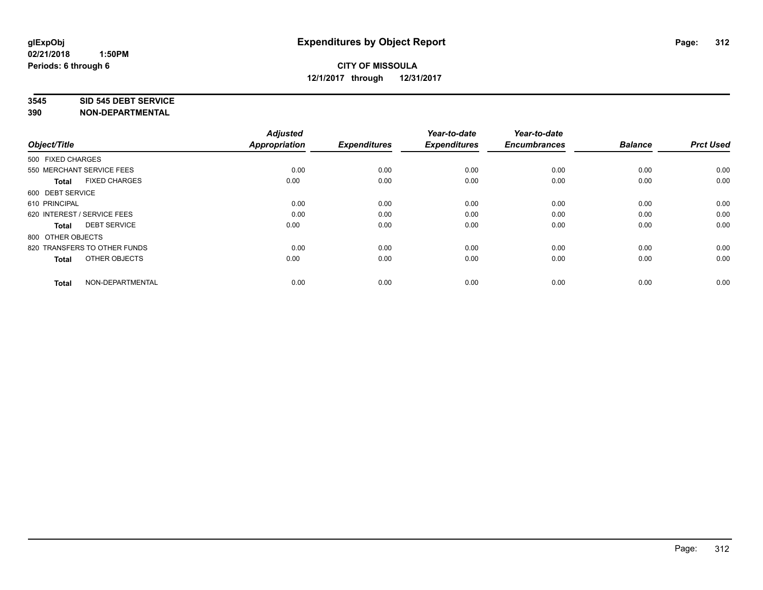#### **3545 SID 545 DEBT SERVICE**

| Object/Title                         | <b>Adjusted</b><br><b>Appropriation</b> | <b>Expenditures</b> | Year-to-date<br><b>Expenditures</b> | Year-to-date<br><b>Encumbrances</b> | <b>Balance</b> | <b>Prct Used</b> |
|--------------------------------------|-----------------------------------------|---------------------|-------------------------------------|-------------------------------------|----------------|------------------|
| 500 FIXED CHARGES                    |                                         |                     |                                     |                                     |                |                  |
| 550 MERCHANT SERVICE FEES            | 0.00                                    | 0.00                | 0.00                                | 0.00                                | 0.00           | 0.00             |
| <b>FIXED CHARGES</b><br><b>Total</b> | 0.00                                    | 0.00                | 0.00                                | 0.00                                | 0.00           | 0.00             |
| 600 DEBT SERVICE                     |                                         |                     |                                     |                                     |                |                  |
| 610 PRINCIPAL                        | 0.00                                    | 0.00                | 0.00                                | 0.00                                | 0.00           | 0.00             |
| 620 INTEREST / SERVICE FEES          | 0.00                                    | 0.00                | 0.00                                | 0.00                                | 0.00           | 0.00             |
| <b>DEBT SERVICE</b><br><b>Total</b>  | 0.00                                    | 0.00                | 0.00                                | 0.00                                | 0.00           | 0.00             |
| 800 OTHER OBJECTS                    |                                         |                     |                                     |                                     |                |                  |
| 820 TRANSFERS TO OTHER FUNDS         | 0.00                                    | 0.00                | 0.00                                | 0.00                                | 0.00           | 0.00             |
| OTHER OBJECTS<br><b>Total</b>        | 0.00                                    | 0.00                | 0.00                                | 0.00                                | 0.00           | 0.00             |
|                                      |                                         |                     |                                     |                                     |                |                  |
| NON-DEPARTMENTAL<br><b>Total</b>     | 0.00                                    | 0.00                | 0.00                                | 0.00                                | 0.00           | 0.00             |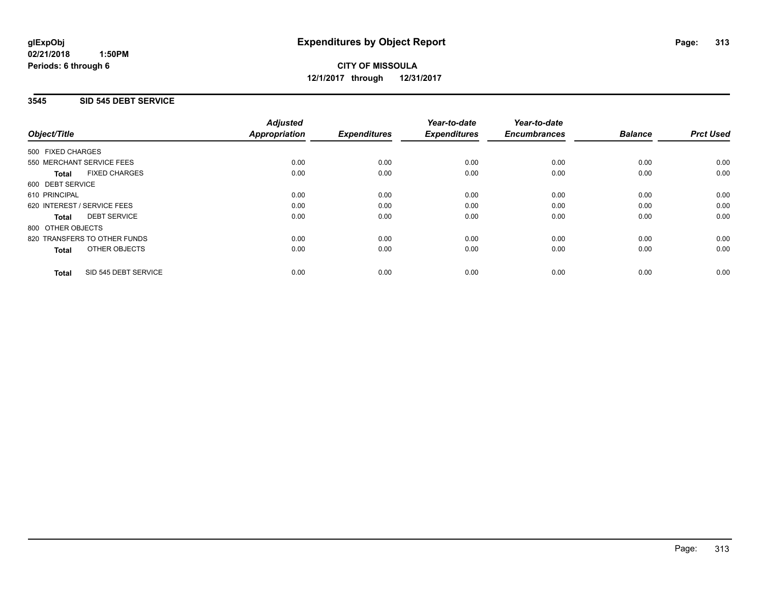## **CITY OF MISSOULA 12/1/2017 through 12/31/2017**

### **3545 SID 545 DEBT SERVICE**

|                                      | <b>Adjusted</b>      |                     | Year-to-date        | Year-to-date        |                |                  |
|--------------------------------------|----------------------|---------------------|---------------------|---------------------|----------------|------------------|
| Object/Title                         | <b>Appropriation</b> | <b>Expenditures</b> | <b>Expenditures</b> | <b>Encumbrances</b> | <b>Balance</b> | <b>Prct Used</b> |
| 500 FIXED CHARGES                    |                      |                     |                     |                     |                |                  |
| 550 MERCHANT SERVICE FEES            | 0.00                 | 0.00                | 0.00                | 0.00                | 0.00           | 0.00             |
| <b>FIXED CHARGES</b><br>Total        | 0.00                 | 0.00                | 0.00                | 0.00                | 0.00           | 0.00             |
| 600 DEBT SERVICE                     |                      |                     |                     |                     |                |                  |
| 610 PRINCIPAL                        | 0.00                 | 0.00                | 0.00                | 0.00                | 0.00           | 0.00             |
| 620 INTEREST / SERVICE FEES          | 0.00                 | 0.00                | 0.00                | 0.00                | 0.00           | 0.00             |
| <b>DEBT SERVICE</b><br>Total         | 0.00                 | 0.00                | 0.00                | 0.00                | 0.00           | 0.00             |
| 800 OTHER OBJECTS                    |                      |                     |                     |                     |                |                  |
| 820 TRANSFERS TO OTHER FUNDS         | 0.00                 | 0.00                | 0.00                | 0.00                | 0.00           | 0.00             |
| OTHER OBJECTS<br><b>Total</b>        | 0.00                 | 0.00                | 0.00                | 0.00                | 0.00           | 0.00             |
| SID 545 DEBT SERVICE<br><b>Total</b> | 0.00                 | 0.00                | 0.00                | 0.00                | 0.00           | 0.00             |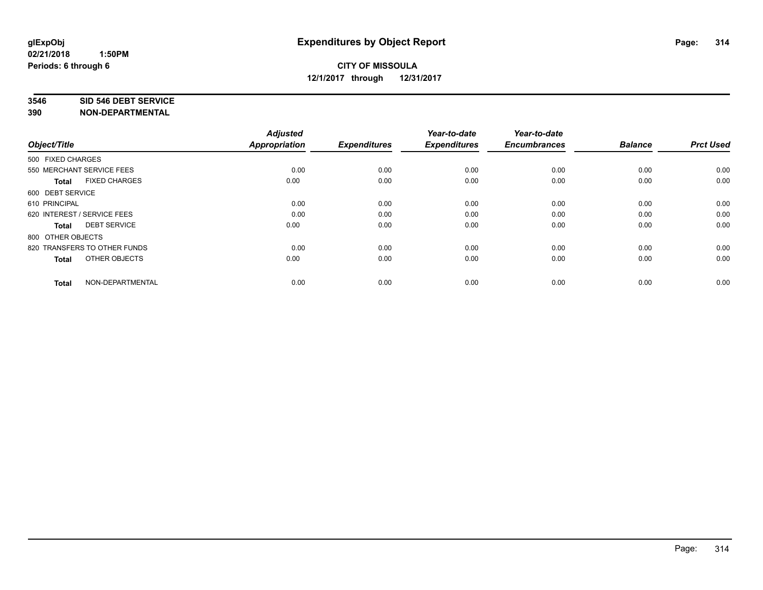#### **3546 SID 546 DEBT SERVICE**

| Object/Title                         | <b>Adjusted</b><br>Appropriation | <b>Expenditures</b> | Year-to-date<br><b>Expenditures</b> | Year-to-date<br><b>Encumbrances</b> | <b>Balance</b> | <b>Prct Used</b> |
|--------------------------------------|----------------------------------|---------------------|-------------------------------------|-------------------------------------|----------------|------------------|
| 500 FIXED CHARGES                    |                                  |                     |                                     |                                     |                |                  |
| 550 MERCHANT SERVICE FEES            | 0.00                             | 0.00                | 0.00                                | 0.00                                | 0.00           | 0.00             |
| <b>FIXED CHARGES</b><br><b>Total</b> | 0.00                             | 0.00                | 0.00                                | 0.00                                | 0.00           | 0.00             |
| 600 DEBT SERVICE                     |                                  |                     |                                     |                                     |                |                  |
| 610 PRINCIPAL                        | 0.00                             | 0.00                | 0.00                                | 0.00                                | 0.00           | 0.00             |
| 620 INTEREST / SERVICE FEES          | 0.00                             | 0.00                | 0.00                                | 0.00                                | 0.00           | 0.00             |
| <b>DEBT SERVICE</b><br><b>Total</b>  | 0.00                             | 0.00                | 0.00                                | 0.00                                | 0.00           | 0.00             |
| 800 OTHER OBJECTS                    |                                  |                     |                                     |                                     |                |                  |
| 820 TRANSFERS TO OTHER FUNDS         | 0.00                             | 0.00                | 0.00                                | 0.00                                | 0.00           | 0.00             |
| OTHER OBJECTS<br><b>Total</b>        | 0.00                             | 0.00                | 0.00                                | 0.00                                | 0.00           | 0.00             |
|                                      |                                  |                     |                                     |                                     |                |                  |
| NON-DEPARTMENTAL<br><b>Total</b>     | 0.00                             | 0.00                | 0.00                                | 0.00                                | 0.00           | 0.00             |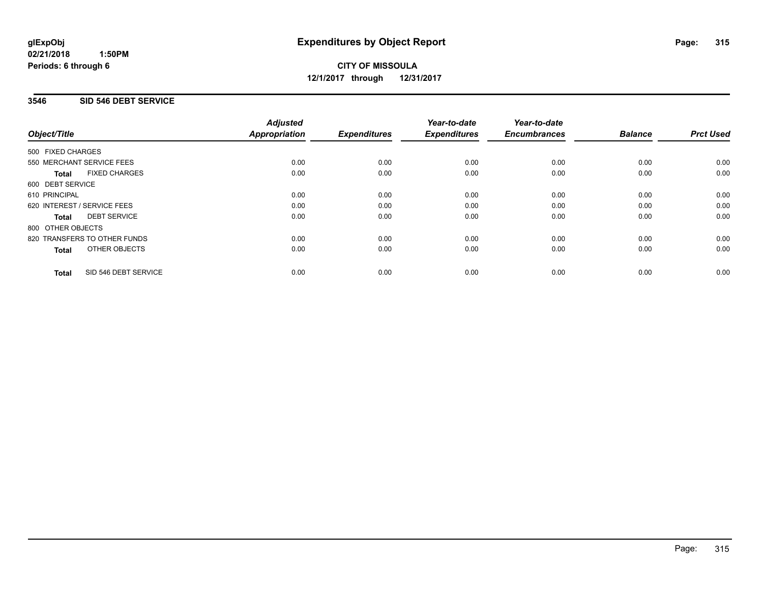## **CITY OF MISSOULA 12/1/2017 through 12/31/2017**

### **3546 SID 546 DEBT SERVICE**

|                                      | <b>Adjusted</b>      |                     | Year-to-date        | Year-to-date        |                |                  |
|--------------------------------------|----------------------|---------------------|---------------------|---------------------|----------------|------------------|
| Object/Title                         | <b>Appropriation</b> | <b>Expenditures</b> | <b>Expenditures</b> | <b>Encumbrances</b> | <b>Balance</b> | <b>Prct Used</b> |
| 500 FIXED CHARGES                    |                      |                     |                     |                     |                |                  |
| 550 MERCHANT SERVICE FEES            | 0.00                 | 0.00                | 0.00                | 0.00                | 0.00           | 0.00             |
| <b>FIXED CHARGES</b><br>Total        | 0.00                 | 0.00                | 0.00                | 0.00                | 0.00           | 0.00             |
| 600 DEBT SERVICE                     |                      |                     |                     |                     |                |                  |
| 610 PRINCIPAL                        | 0.00                 | 0.00                | 0.00                | 0.00                | 0.00           | 0.00             |
| 620 INTEREST / SERVICE FEES          | 0.00                 | 0.00                | 0.00                | 0.00                | 0.00           | 0.00             |
| <b>DEBT SERVICE</b><br>Total         | 0.00                 | 0.00                | 0.00                | 0.00                | 0.00           | 0.00             |
| 800 OTHER OBJECTS                    |                      |                     |                     |                     |                |                  |
| 820 TRANSFERS TO OTHER FUNDS         | 0.00                 | 0.00                | 0.00                | 0.00                | 0.00           | 0.00             |
| OTHER OBJECTS<br><b>Total</b>        | 0.00                 | 0.00                | 0.00                | 0.00                | 0.00           | 0.00             |
| SID 546 DEBT SERVICE<br><b>Total</b> | 0.00                 | 0.00                | 0.00                | 0.00                | 0.00           | 0.00             |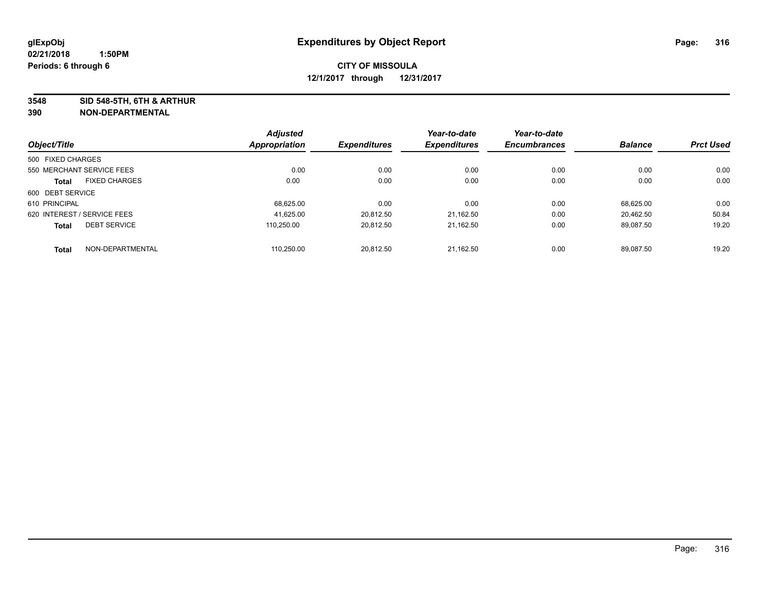**3548 SID 548-5TH, 6TH & ARTHUR**

|                                      | <b>Adjusted</b> |                     | Year-to-date        | Year-to-date        |                |                  |
|--------------------------------------|-----------------|---------------------|---------------------|---------------------|----------------|------------------|
| Object/Title                         | Appropriation   | <b>Expenditures</b> | <b>Expenditures</b> | <b>Encumbrances</b> | <b>Balance</b> | <b>Prct Used</b> |
| 500 FIXED CHARGES                    |                 |                     |                     |                     |                |                  |
| 550 MERCHANT SERVICE FEES            | 0.00            | 0.00                | 0.00                | 0.00                | 0.00           | 0.00             |
| <b>FIXED CHARGES</b><br><b>Total</b> | 0.00            | 0.00                | 0.00                | 0.00                | 0.00           | 0.00             |
| 600 DEBT SERVICE                     |                 |                     |                     |                     |                |                  |
| 610 PRINCIPAL                        | 68.625.00       | 0.00                | 0.00                | 0.00                | 68.625.00      | 0.00             |
| 620 INTEREST / SERVICE FEES          | 41.625.00       | 20,812.50           | 21.162.50           | 0.00                | 20.462.50      | 50.84            |
| <b>DEBT SERVICE</b><br><b>Total</b>  | 110.250.00      | 20,812.50           | 21.162.50           | 0.00                | 89.087.50      | 19.20            |
| NON-DEPARTMENTAL<br><b>Total</b>     | 110.250.00      | 20.812.50           | 21.162.50           | 0.00                | 89.087.50      | 19.20            |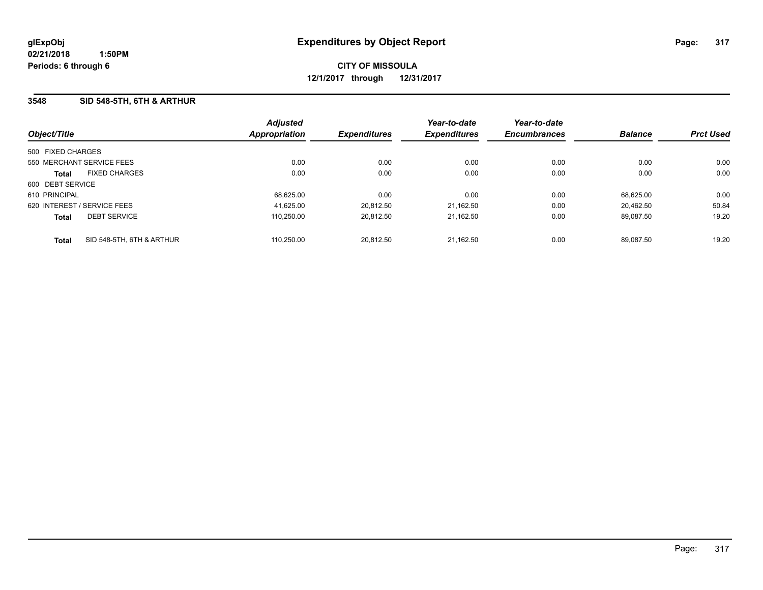### **3548 SID 548-5TH, 6TH & ARTHUR**

| Object/Title                |                           | <b>Adjusted</b><br><b>Appropriation</b> | <b>Expenditures</b> | Year-to-date<br><b>Expenditures</b> | Year-to-date<br><b>Encumbrances</b> | <b>Balance</b> | <b>Prct Used</b> |
|-----------------------------|---------------------------|-----------------------------------------|---------------------|-------------------------------------|-------------------------------------|----------------|------------------|
| 500 FIXED CHARGES           |                           |                                         |                     |                                     |                                     |                |                  |
| 550 MERCHANT SERVICE FEES   |                           | 0.00                                    | 0.00                | 0.00                                | 0.00                                | 0.00           | 0.00             |
| <b>Total</b>                | <b>FIXED CHARGES</b>      | 0.00                                    | 0.00                | 0.00                                | 0.00                                | 0.00           | 0.00             |
| 600 DEBT SERVICE            |                           |                                         |                     |                                     |                                     |                |                  |
| 610 PRINCIPAL               |                           | 68.625.00                               | 0.00                | 0.00                                | 0.00                                | 68.625.00      | 0.00             |
| 620 INTEREST / SERVICE FEES |                           | 41.625.00                               | 20.812.50           | 21,162.50                           | 0.00                                | 20.462.50      | 50.84            |
| <b>Total</b>                | <b>DEBT SERVICE</b>       | 110.250.00                              | 20.812.50           | 21.162.50                           | 0.00                                | 89.087.50      | 19.20            |
| <b>Total</b>                | SID 548-5TH, 6TH & ARTHUR | 110.250.00                              | 20.812.50           | 21.162.50                           | 0.00                                | 89.087.50      | 19.20            |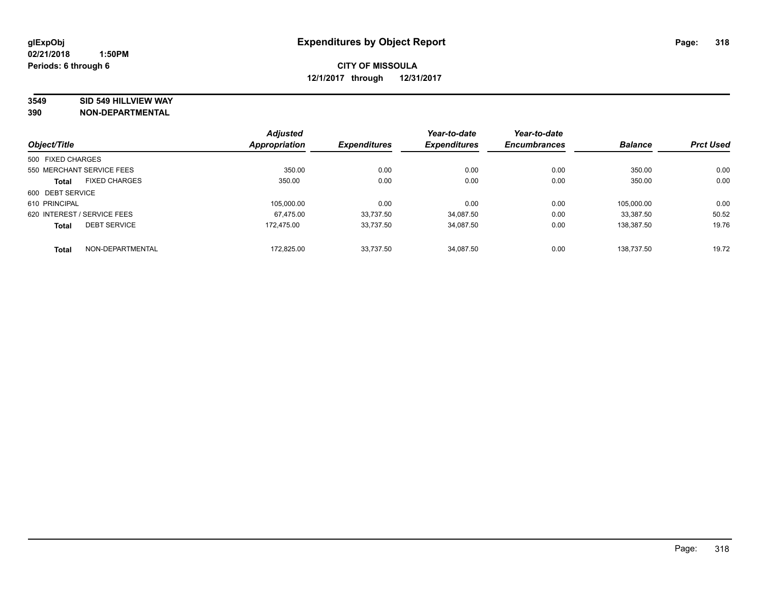#### **3549 SID 549 HILLVIEW WAY**

|                   |                             | <b>Adjusted</b>      |                     | Year-to-date        | Year-to-date        |                |                  |
|-------------------|-----------------------------|----------------------|---------------------|---------------------|---------------------|----------------|------------------|
| Object/Title      |                             | <b>Appropriation</b> | <b>Expenditures</b> | <b>Expenditures</b> | <b>Encumbrances</b> | <b>Balance</b> | <b>Prct Used</b> |
| 500 FIXED CHARGES |                             |                      |                     |                     |                     |                |                  |
|                   | 550 MERCHANT SERVICE FEES   | 350.00               | 0.00                | 0.00                | 0.00                | 350.00         | 0.00             |
| <b>Total</b>      | <b>FIXED CHARGES</b>        | 350.00               | 0.00                | 0.00                | 0.00                | 350.00         | 0.00             |
| 600 DEBT SERVICE  |                             |                      |                     |                     |                     |                |                  |
| 610 PRINCIPAL     |                             | 105,000.00           | 0.00                | 0.00                | 0.00                | 105.000.00     | 0.00             |
|                   | 620 INTEREST / SERVICE FEES | 67.475.00            | 33,737.50           | 34.087.50           | 0.00                | 33.387.50      | 50.52            |
| <b>Total</b>      | <b>DEBT SERVICE</b>         | 172.475.00           | 33.737.50           | 34,087.50           | 0.00                | 138.387.50     | 19.76            |
| <b>Total</b>      | NON-DEPARTMENTAL            | 172.825.00           | 33.737.50           | 34.087.50           | 0.00                | 138.737.50     | 19.72            |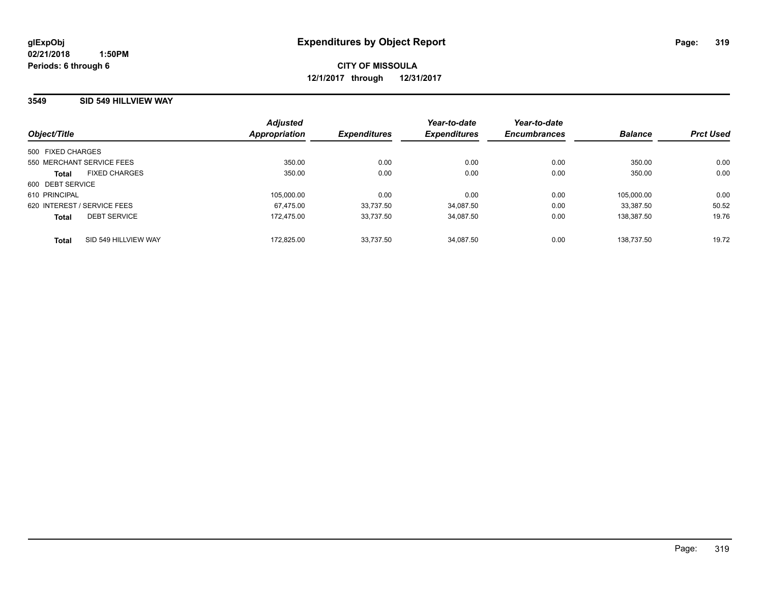### **3549 SID 549 HILLVIEW WAY**

|                                      | <b>Adjusted</b>      |                     | Year-to-date        | Year-to-date        |                |                  |
|--------------------------------------|----------------------|---------------------|---------------------|---------------------|----------------|------------------|
| Object/Title                         | <b>Appropriation</b> | <b>Expenditures</b> | <b>Expenditures</b> | <b>Encumbrances</b> | <b>Balance</b> | <b>Prct Used</b> |
| 500 FIXED CHARGES                    |                      |                     |                     |                     |                |                  |
| 550 MERCHANT SERVICE FEES            | 350.00               | 0.00                | 0.00                | 0.00                | 350.00         | 0.00             |
| <b>FIXED CHARGES</b><br><b>Total</b> | 350.00               | 0.00                | 0.00                | 0.00                | 350.00         | 0.00             |
| 600 DEBT SERVICE                     |                      |                     |                     |                     |                |                  |
| 610 PRINCIPAL                        | 105.000.00           | 0.00                | 0.00                | 0.00                | 105.000.00     | 0.00             |
| 620 INTEREST / SERVICE FEES          | 67.475.00            | 33.737.50           | 34.087.50           | 0.00                | 33.387.50      | 50.52            |
| <b>DEBT SERVICE</b><br><b>Total</b>  | 172.475.00           | 33.737.50           | 34.087.50           | 0.00                | 138.387.50     | 19.76            |
| SID 549 HILLVIEW WAY<br><b>Total</b> | 172.825.00           | 33.737.50           | 34.087.50           | 0.00                | 138.737.50     | 19.72            |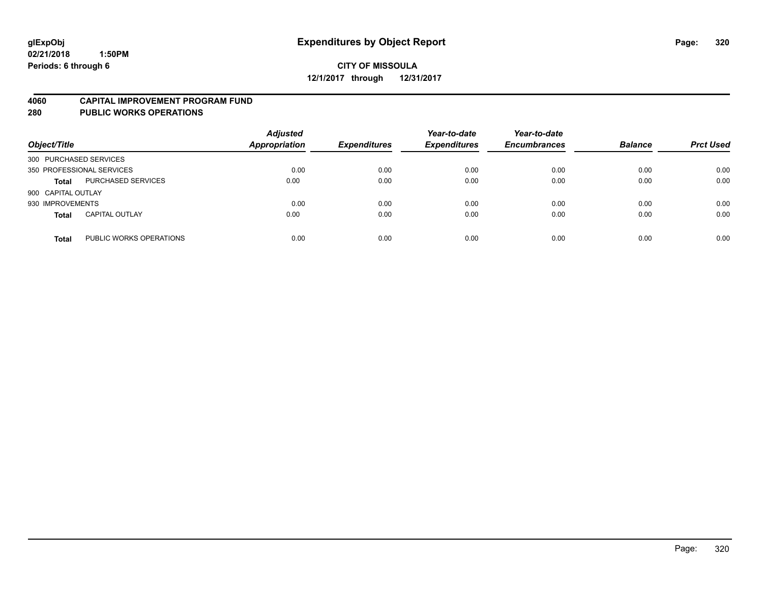#### **4060 CAPITAL IMPROVEMENT PROGRAM FUND**

**280 PUBLIC WORKS OPERATIONS**

| Object/Title           |                           | <b>Adjusted</b><br><b>Appropriation</b> | <b>Expenditures</b> | Year-to-date<br><b>Expenditures</b> | Year-to-date<br><b>Encumbrances</b> | <b>Balance</b> | <b>Prct Used</b> |
|------------------------|---------------------------|-----------------------------------------|---------------------|-------------------------------------|-------------------------------------|----------------|------------------|
| 300 PURCHASED SERVICES |                           |                                         |                     |                                     |                                     |                |                  |
|                        | 350 PROFESSIONAL SERVICES | 0.00                                    | 0.00                | 0.00                                | 0.00                                | 0.00           | 0.00             |
| <b>Total</b>           | <b>PURCHASED SERVICES</b> | 0.00                                    | 0.00                | 0.00                                | 0.00                                | 0.00           | 0.00             |
| 900 CAPITAL OUTLAY     |                           |                                         |                     |                                     |                                     |                |                  |
| 930 IMPROVEMENTS       |                           | 0.00                                    | 0.00                | 0.00                                | 0.00                                | 0.00           | 0.00             |
| <b>Total</b>           | <b>CAPITAL OUTLAY</b>     | 0.00                                    | 0.00                | 0.00                                | 0.00                                | 0.00           | 0.00             |
| <b>Total</b>           | PUBLIC WORKS OPERATIONS   | 0.00                                    | 0.00                | 0.00                                | 0.00                                | 0.00           | 0.00             |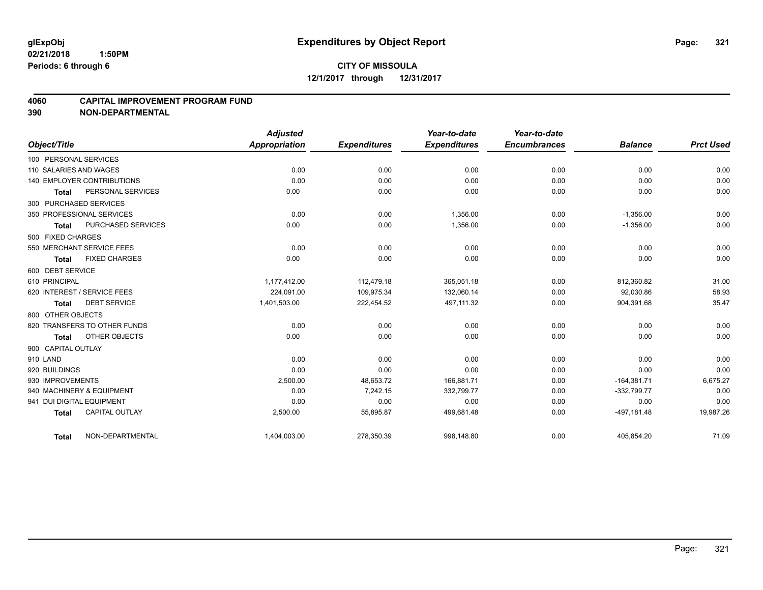### **4060 CAPITAL IMPROVEMENT PROGRAM FUND**

|                                       | <b>Adjusted</b> |                     | Year-to-date        | Year-to-date        |                |                  |
|---------------------------------------|-----------------|---------------------|---------------------|---------------------|----------------|------------------|
| Object/Title                          | Appropriation   | <b>Expenditures</b> | <b>Expenditures</b> | <b>Encumbrances</b> | <b>Balance</b> | <b>Prct Used</b> |
| 100 PERSONAL SERVICES                 |                 |                     |                     |                     |                |                  |
| 110 SALARIES AND WAGES                | 0.00            | 0.00                | 0.00                | 0.00                | 0.00           | 0.00             |
| 140 EMPLOYER CONTRIBUTIONS            | 0.00            | 0.00                | 0.00                | 0.00                | 0.00           | 0.00             |
| PERSONAL SERVICES<br><b>Total</b>     | 0.00            | 0.00                | 0.00                | 0.00                | 0.00           | 0.00             |
| 300 PURCHASED SERVICES                |                 |                     |                     |                     |                |                  |
| 350 PROFESSIONAL SERVICES             | 0.00            | 0.00                | 1,356.00            | 0.00                | $-1,356.00$    | 0.00             |
| PURCHASED SERVICES<br><b>Total</b>    | 0.00            | 0.00                | 1,356.00            | 0.00                | $-1,356.00$    | 0.00             |
| 500 FIXED CHARGES                     |                 |                     |                     |                     |                |                  |
| 550 MERCHANT SERVICE FEES             | 0.00            | 0.00                | 0.00                | 0.00                | 0.00           | 0.00             |
| <b>FIXED CHARGES</b><br><b>Total</b>  | 0.00            | 0.00                | 0.00                | 0.00                | 0.00           | 0.00             |
| 600 DEBT SERVICE                      |                 |                     |                     |                     |                |                  |
| 610 PRINCIPAL                         | 1,177,412.00    | 112,479.18          | 365,051.18          | 0.00                | 812,360.82     | 31.00            |
| 620 INTEREST / SERVICE FEES           | 224,091.00      | 109,975.34          | 132,060.14          | 0.00                | 92,030.86      | 58.93            |
| <b>DEBT SERVICE</b><br><b>Total</b>   | 1,401,503.00    | 222,454.52          | 497,111.32          | 0.00                | 904,391.68     | 35.47            |
| 800 OTHER OBJECTS                     |                 |                     |                     |                     |                |                  |
| 820 TRANSFERS TO OTHER FUNDS          | 0.00            | 0.00                | 0.00                | 0.00                | 0.00           | 0.00             |
| OTHER OBJECTS<br><b>Total</b>         | 0.00            | 0.00                | 0.00                | 0.00                | 0.00           | 0.00             |
| 900 CAPITAL OUTLAY                    |                 |                     |                     |                     |                |                  |
| 910 LAND                              | 0.00            | 0.00                | 0.00                | 0.00                | 0.00           | 0.00             |
| 920 BUILDINGS                         | 0.00            | 0.00                | 0.00                | 0.00                | 0.00           | 0.00             |
| 930 IMPROVEMENTS                      | 2,500.00        | 48,653.72           | 166,881.71          | 0.00                | $-164,381.71$  | 6,675.27         |
| 940 MACHINERY & EQUIPMENT             | 0.00            | 7,242.15            | 332,799.77          | 0.00                | $-332,799.77$  | 0.00             |
| 941 DUI DIGITAL EQUIPMENT             | 0.00            | 0.00                | 0.00                | 0.00                | 0.00           | 0.00             |
| <b>CAPITAL OUTLAY</b><br><b>Total</b> | 2,500.00        | 55,895.87           | 499,681.48          | 0.00                | $-497, 181.48$ | 19,987.26        |
| NON-DEPARTMENTAL<br>Total             | 1,404,003.00    | 278,350.39          | 998,148.80          | 0.00                | 405,854.20     | 71.09            |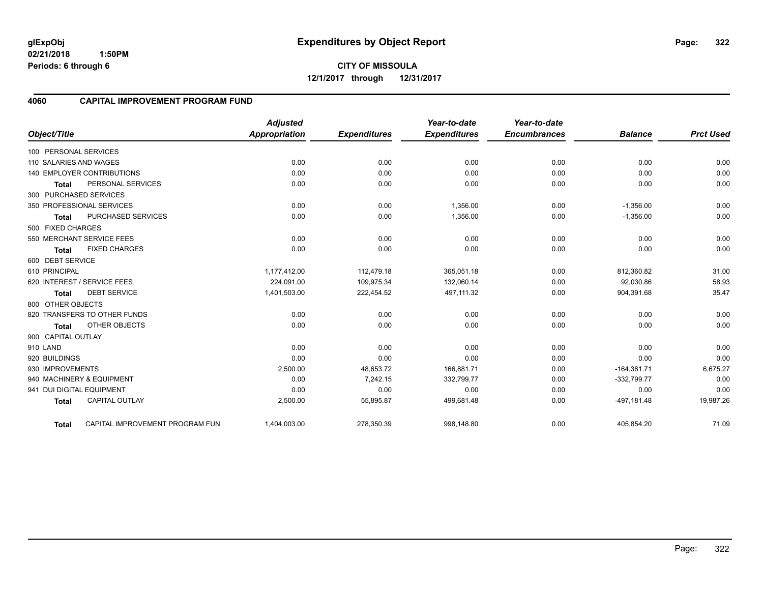### **4060 CAPITAL IMPROVEMENT PROGRAM FUND**

|                        |                                   | <b>Adjusted</b> |                     | Year-to-date        | Year-to-date        |                |                  |
|------------------------|-----------------------------------|-----------------|---------------------|---------------------|---------------------|----------------|------------------|
| Object/Title           |                                   | Appropriation   | <b>Expenditures</b> | <b>Expenditures</b> | <b>Encumbrances</b> | <b>Balance</b> | <b>Prct Used</b> |
| 100 PERSONAL SERVICES  |                                   |                 |                     |                     |                     |                |                  |
| 110 SALARIES AND WAGES |                                   | 0.00            | 0.00                | 0.00                | 0.00                | 0.00           | 0.00             |
|                        | <b>140 EMPLOYER CONTRIBUTIONS</b> | 0.00            | 0.00                | 0.00                | 0.00                | 0.00           | 0.00             |
| <b>Total</b>           | PERSONAL SERVICES                 | 0.00            | 0.00                | 0.00                | 0.00                | 0.00           | 0.00             |
|                        | 300 PURCHASED SERVICES            |                 |                     |                     |                     |                |                  |
|                        | 350 PROFESSIONAL SERVICES         | 0.00            | 0.00                | 1,356.00            | 0.00                | $-1,356.00$    | 0.00             |
| <b>Total</b>           | PURCHASED SERVICES                | 0.00            | 0.00                | 1,356.00            | 0.00                | $-1,356.00$    | 0.00             |
| 500 FIXED CHARGES      |                                   |                 |                     |                     |                     |                |                  |
|                        | 550 MERCHANT SERVICE FEES         | 0.00            | 0.00                | 0.00                | 0.00                | 0.00           | 0.00             |
| <b>Total</b>           | <b>FIXED CHARGES</b>              | 0.00            | 0.00                | 0.00                | 0.00                | 0.00           | 0.00             |
| 600 DEBT SERVICE       |                                   |                 |                     |                     |                     |                |                  |
| 610 PRINCIPAL          |                                   | 1,177,412.00    | 112,479.18          | 365,051.18          | 0.00                | 812,360.82     | 31.00            |
|                        | 620 INTEREST / SERVICE FEES       | 224,091.00      | 109,975.34          | 132,060.14          | 0.00                | 92,030.86      | 58.93            |
| <b>Total</b>           | <b>DEBT SERVICE</b>               | 1,401,503.00    | 222,454.52          | 497,111.32          | 0.00                | 904,391.68     | 35.47            |
| 800 OTHER OBJECTS      |                                   |                 |                     |                     |                     |                |                  |
|                        | 820 TRANSFERS TO OTHER FUNDS      | 0.00            | 0.00                | 0.00                | 0.00                | 0.00           | 0.00             |
| <b>Total</b>           | OTHER OBJECTS                     | 0.00            | 0.00                | 0.00                | 0.00                | 0.00           | 0.00             |
| 900 CAPITAL OUTLAY     |                                   |                 |                     |                     |                     |                |                  |
| 910 LAND               |                                   | 0.00            | 0.00                | 0.00                | 0.00                | 0.00           | 0.00             |
| 920 BUILDINGS          |                                   | 0.00            | 0.00                | 0.00                | 0.00                | 0.00           | 0.00             |
| 930 IMPROVEMENTS       |                                   | 2,500.00        | 48,653.72           | 166,881.71          | 0.00                | $-164,381.71$  | 6,675.27         |
|                        | 940 MACHINERY & EQUIPMENT         | 0.00            | 7,242.15            | 332,799.77          | 0.00                | $-332,799.77$  | 0.00             |
|                        | 941 DUI DIGITAL EQUIPMENT         | 0.00            | 0.00                | 0.00                | 0.00                | 0.00           | 0.00             |
| <b>Total</b>           | CAPITAL OUTLAY                    | 2,500.00        | 55,895.87           | 499,681.48          | 0.00                | $-497,181.48$  | 19,987.26        |
| <b>Total</b>           | CAPITAL IMPROVEMENT PROGRAM FUN   | 1,404,003.00    | 278,350.39          | 998,148.80          | 0.00                | 405,854.20     | 71.09            |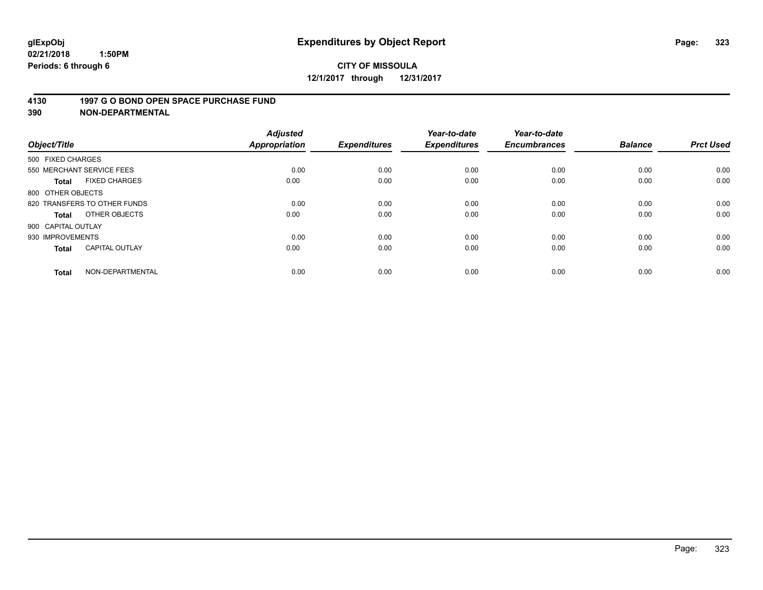#### **4130 1997 G O BOND OPEN SPACE PURCHASE FUND**

|                              | <b>Adjusted</b>                                                    |                                      | Year-to-date                        | Year-to-date                |                             | <b>Prct Used</b>               |
|------------------------------|--------------------------------------------------------------------|--------------------------------------|-------------------------------------|-----------------------------|-----------------------------|--------------------------------|
|                              |                                                                    |                                      |                                     |                             |                             |                                |
|                              |                                                                    |                                      |                                     |                             |                             |                                |
|                              |                                                                    |                                      | 0.00                                | 0.00                        |                             | 0.00                           |
| <b>FIXED CHARGES</b>         | 0.00                                                               | 0.00                                 | 0.00                                | 0.00                        | 0.00                        | 0.00                           |
| 800 OTHER OBJECTS            |                                                                    |                                      |                                     |                             |                             |                                |
| 820 TRANSFERS TO OTHER FUNDS | 0.00                                                               | 0.00                                 | 0.00                                | 0.00                        | 0.00                        | 0.00                           |
| OTHER OBJECTS                | 0.00                                                               | 0.00                                 | 0.00                                | 0.00                        | 0.00                        | 0.00                           |
| 900 CAPITAL OUTLAY           |                                                                    |                                      |                                     |                             |                             |                                |
| 930 IMPROVEMENTS             | 0.00                                                               | 0.00                                 | 0.00                                | 0.00                        | 0.00                        | 0.00                           |
| <b>CAPITAL OUTLAY</b>        | 0.00                                                               | 0.00                                 | 0.00                                | 0.00                        | 0.00                        | 0.00                           |
|                              |                                                                    |                                      |                                     |                             |                             | 0.00                           |
|                              | 500 FIXED CHARGES<br>550 MERCHANT SERVICE FEES<br>NON-DEPARTMENTAL | <b>Appropriation</b><br>0.00<br>0.00 | <b>Expenditures</b><br>0.00<br>0.00 | <b>Expenditures</b><br>0.00 | <b>Encumbrances</b><br>0.00 | <b>Balance</b><br>0.00<br>0.00 |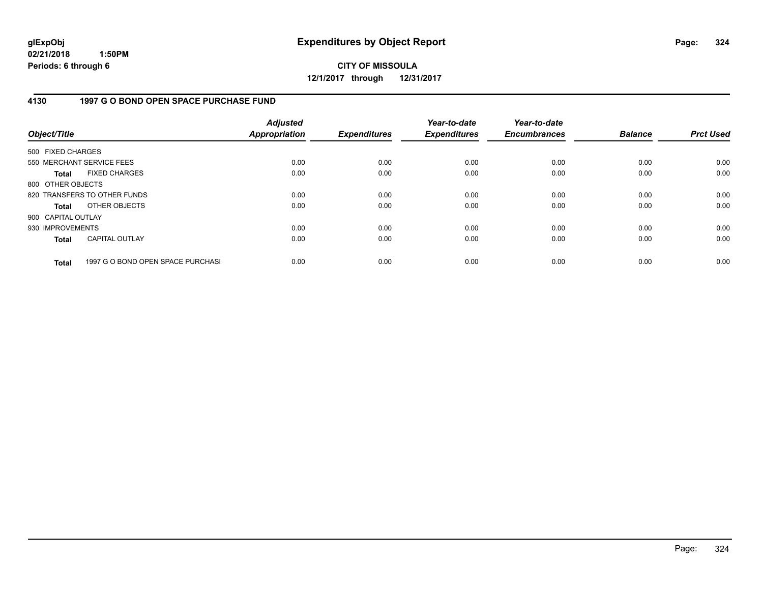**CITY OF MISSOULA 12/1/2017 through 12/31/2017**

### **4130 1997 G O BOND OPEN SPACE PURCHASE FUND**

| Object/Title       |                                   | <b>Adjusted</b><br><b>Appropriation</b> | <b>Expenditures</b> | Year-to-date<br><b>Expenditures</b> | Year-to-date<br><b>Encumbrances</b> | <b>Balance</b> | <b>Prct Used</b> |
|--------------------|-----------------------------------|-----------------------------------------|---------------------|-------------------------------------|-------------------------------------|----------------|------------------|
| 500 FIXED CHARGES  |                                   |                                         |                     |                                     |                                     |                |                  |
|                    | 550 MERCHANT SERVICE FEES         | 0.00                                    | 0.00                | 0.00                                | 0.00                                | 0.00           | 0.00             |
| Total              | <b>FIXED CHARGES</b>              | 0.00                                    | 0.00                | 0.00                                | 0.00                                | 0.00           | 0.00             |
| 800 OTHER OBJECTS  |                                   |                                         |                     |                                     |                                     |                |                  |
|                    | 820 TRANSFERS TO OTHER FUNDS      | 0.00                                    | 0.00                | 0.00                                | 0.00                                | 0.00           | 0.00             |
| Total              | OTHER OBJECTS                     | 0.00                                    | 0.00                | 0.00                                | 0.00                                | 0.00           | 0.00             |
| 900 CAPITAL OUTLAY |                                   |                                         |                     |                                     |                                     |                |                  |
| 930 IMPROVEMENTS   |                                   | 0.00                                    | 0.00                | 0.00                                | 0.00                                | 0.00           | 0.00             |
| <b>Total</b>       | <b>CAPITAL OUTLAY</b>             | 0.00                                    | 0.00                | 0.00                                | 0.00                                | 0.00           | 0.00             |
| <b>Total</b>       | 1997 G O BOND OPEN SPACE PURCHASI | 0.00                                    | 0.00                | 0.00                                | 0.00                                | 0.00           | 0.00             |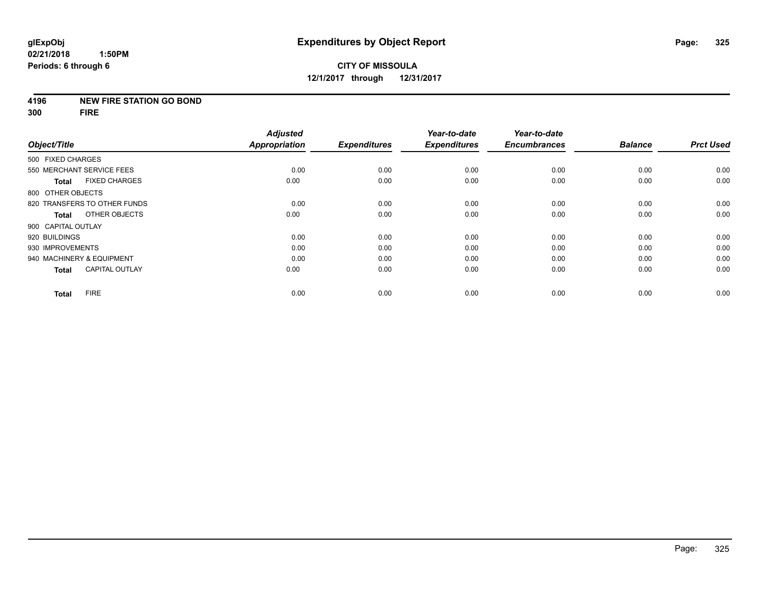### **4196 NEW FIRE STATION GO BOND**

**300 FIRE**

|                                       | <b>Adjusted</b>      |                     | Year-to-date        | Year-to-date        |                |                  |
|---------------------------------------|----------------------|---------------------|---------------------|---------------------|----------------|------------------|
| Object/Title                          | <b>Appropriation</b> | <b>Expenditures</b> | <b>Expenditures</b> | <b>Encumbrances</b> | <b>Balance</b> | <b>Prct Used</b> |
| 500 FIXED CHARGES                     |                      |                     |                     |                     |                |                  |
| 550 MERCHANT SERVICE FEES             | 0.00                 | 0.00                | 0.00                | 0.00                | 0.00           | 0.00             |
| <b>FIXED CHARGES</b><br><b>Total</b>  | 0.00                 | 0.00                | 0.00                | 0.00                | 0.00           | 0.00             |
| 800 OTHER OBJECTS                     |                      |                     |                     |                     |                |                  |
| 820 TRANSFERS TO OTHER FUNDS          | 0.00                 | 0.00                | 0.00                | 0.00                | 0.00           | 0.00             |
| OTHER OBJECTS<br><b>Total</b>         | 0.00                 | 0.00                | 0.00                | 0.00                | 0.00           | 0.00             |
| 900 CAPITAL OUTLAY                    |                      |                     |                     |                     |                |                  |
| 920 BUILDINGS                         | 0.00                 | 0.00                | 0.00                | 0.00                | 0.00           | 0.00             |
| 930 IMPROVEMENTS                      | 0.00                 | 0.00                | 0.00                | 0.00                | 0.00           | 0.00             |
| 940 MACHINERY & EQUIPMENT             | 0.00                 | 0.00                | 0.00                | 0.00                | 0.00           | 0.00             |
| <b>CAPITAL OUTLAY</b><br><b>Total</b> | 0.00                 | 0.00                | 0.00                | 0.00                | 0.00           | 0.00             |
| <b>FIRE</b><br><b>Total</b>           | 0.00                 | 0.00                | 0.00                | 0.00                | 0.00           | 0.00             |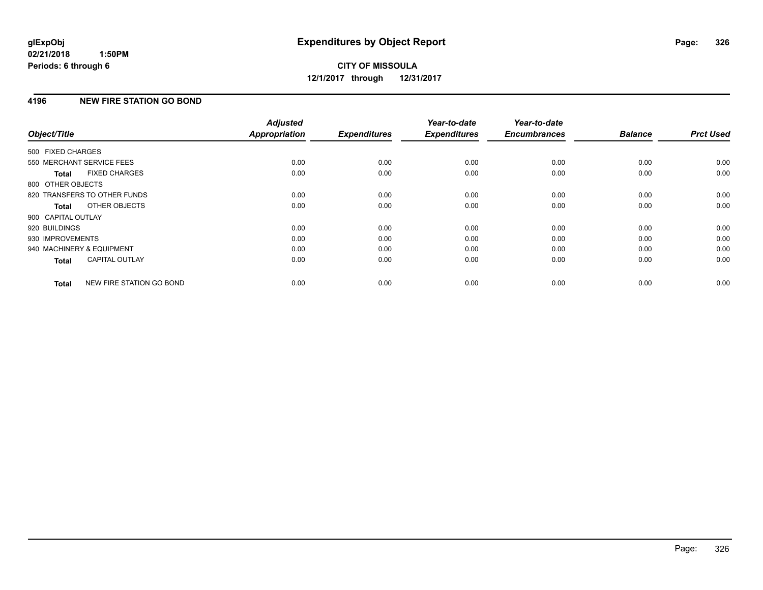## **4196 NEW FIRE STATION GO BOND**

| Object/Title              |                              | <b>Adjusted</b><br><b>Appropriation</b> | <b>Expenditures</b> | Year-to-date<br><b>Expenditures</b> | Year-to-date<br><b>Encumbrances</b> | <b>Balance</b> | <b>Prct Used</b> |
|---------------------------|------------------------------|-----------------------------------------|---------------------|-------------------------------------|-------------------------------------|----------------|------------------|
|                           |                              |                                         |                     |                                     |                                     |                |                  |
| 500 FIXED CHARGES         |                              |                                         |                     |                                     |                                     |                |                  |
| 550 MERCHANT SERVICE FEES |                              | 0.00                                    | 0.00                | 0.00                                | 0.00                                | 0.00           | 0.00             |
| Total                     | <b>FIXED CHARGES</b>         | 0.00                                    | 0.00                | 0.00                                | 0.00                                | 0.00           | 0.00             |
| 800 OTHER OBJECTS         |                              |                                         |                     |                                     |                                     |                |                  |
|                           | 820 TRANSFERS TO OTHER FUNDS | 0.00                                    | 0.00                | 0.00                                | 0.00                                | 0.00           | 0.00             |
| Total                     | OTHER OBJECTS                | 0.00                                    | 0.00                | 0.00                                | 0.00                                | 0.00           | 0.00             |
| 900 CAPITAL OUTLAY        |                              |                                         |                     |                                     |                                     |                |                  |
| 920 BUILDINGS             |                              | 0.00                                    | 0.00                | 0.00                                | 0.00                                | 0.00           | 0.00             |
| 930 IMPROVEMENTS          |                              | 0.00                                    | 0.00                | 0.00                                | 0.00                                | 0.00           | 0.00             |
| 940 MACHINERY & EQUIPMENT |                              | 0.00                                    | 0.00                | 0.00                                | 0.00                                | 0.00           | 0.00             |
| <b>Total</b>              | <b>CAPITAL OUTLAY</b>        | 0.00                                    | 0.00                | 0.00                                | 0.00                                | 0.00           | 0.00             |
| <b>Total</b>              | NEW FIRE STATION GO BOND     | 0.00                                    | 0.00                | 0.00                                | 0.00                                | 0.00           | 0.00             |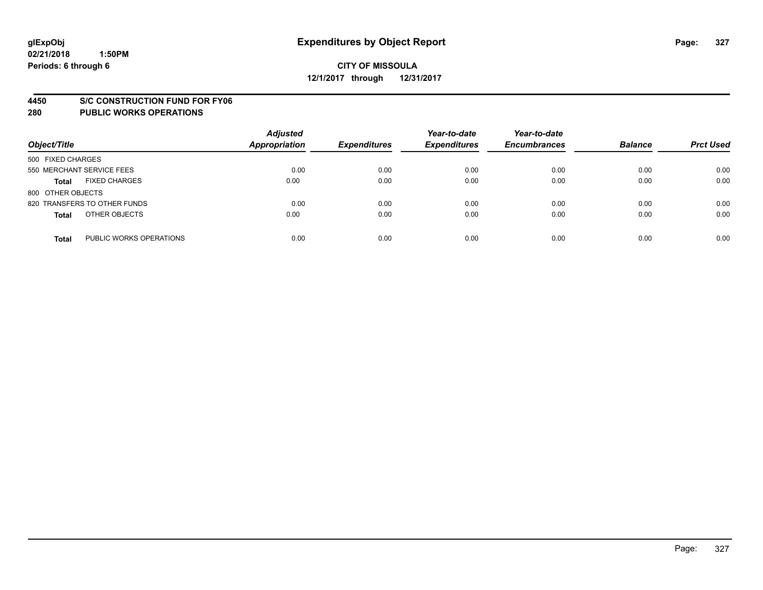#### **4450 S/C CONSTRUCTION FUND FOR FY06**

| Object/Title              |                              | <b>Adjusted</b><br><b>Appropriation</b> | <b>Expenditures</b> | Year-to-date<br><b>Expenditures</b> | Year-to-date<br><b>Encumbrances</b> | <b>Balance</b> | <b>Prct Used</b> |
|---------------------------|------------------------------|-----------------------------------------|---------------------|-------------------------------------|-------------------------------------|----------------|------------------|
| 500 FIXED CHARGES         |                              |                                         |                     |                                     |                                     |                |                  |
| 550 MERCHANT SERVICE FEES |                              | 0.00                                    | 0.00                | 0.00                                | 0.00                                | 0.00           | 0.00             |
| <b>Total</b>              | <b>FIXED CHARGES</b>         | 0.00                                    | 0.00                | 0.00                                | 0.00                                | 0.00           | 0.00             |
| 800 OTHER OBJECTS         |                              |                                         |                     |                                     |                                     |                |                  |
|                           | 820 TRANSFERS TO OTHER FUNDS | 0.00                                    | 0.00                | 0.00                                | 0.00                                | 0.00           | 0.00             |
| <b>Total</b>              | OTHER OBJECTS                | 0.00                                    | 0.00                | 0.00                                | 0.00                                | 0.00           | 0.00             |
| <b>Total</b>              | PUBLIC WORKS OPERATIONS      | 0.00                                    | 0.00                | 0.00                                | 0.00                                | 0.00           | 0.00             |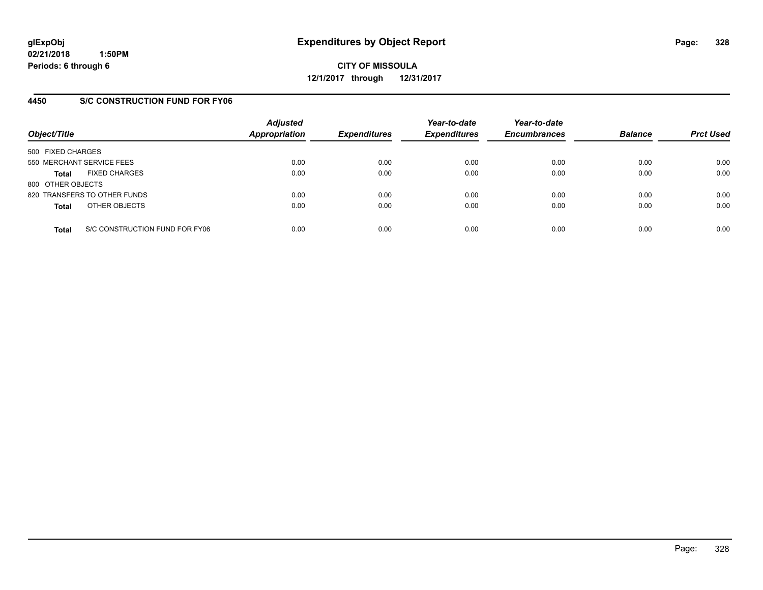**CITY OF MISSOULA 12/1/2017 through 12/31/2017**

## **4450 S/C CONSTRUCTION FUND FOR FY06**

| Object/Title                         |                                | <b>Adjusted</b><br><b>Appropriation</b> | <b>Expenditures</b> | Year-to-date<br><b>Expenditures</b> | Year-to-date<br><b>Encumbrances</b> | <b>Balance</b> | <b>Prct Used</b> |
|--------------------------------------|--------------------------------|-----------------------------------------|---------------------|-------------------------------------|-------------------------------------|----------------|------------------|
| 500 FIXED CHARGES                    |                                |                                         |                     |                                     |                                     |                |                  |
| 550 MERCHANT SERVICE FEES            |                                | 0.00                                    | 0.00                | 0.00                                | 0.00                                | 0.00           | 0.00             |
| <b>FIXED CHARGES</b><br><b>Total</b> |                                | 0.00                                    | 0.00                | 0.00                                | 0.00                                | 0.00           | 0.00             |
| 800 OTHER OBJECTS                    |                                |                                         |                     |                                     |                                     |                |                  |
| 820 TRANSFERS TO OTHER FUNDS         |                                | 0.00                                    | 0.00                | 0.00                                | 0.00                                | 0.00           | 0.00             |
| OTHER OBJECTS<br><b>Total</b>        |                                | 0.00                                    | 0.00                | 0.00                                | 0.00                                | 0.00           | 0.00             |
| <b>Total</b>                         | S/C CONSTRUCTION FUND FOR FY06 | 0.00                                    | 0.00                | 0.00                                | 0.00                                | 0.00           | 0.00             |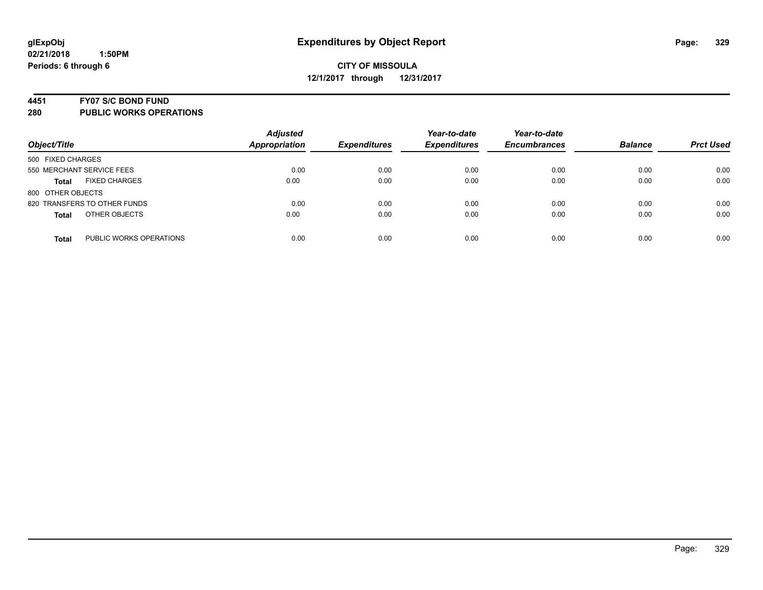#### **4451 FY07 S/C BOND FUND**

| Object/Title                            | <b>Adjusted</b><br><b>Appropriation</b> | <b>Expenditures</b> | Year-to-date<br><b>Expenditures</b> | Year-to-date<br><b>Encumbrances</b> | <b>Balance</b> | <b>Prct Used</b> |
|-----------------------------------------|-----------------------------------------|---------------------|-------------------------------------|-------------------------------------|----------------|------------------|
| 500 FIXED CHARGES                       |                                         |                     |                                     |                                     |                |                  |
| 550 MERCHANT SERVICE FEES               | 0.00                                    | 0.00                | 0.00                                | 0.00                                | 0.00           | 0.00             |
| <b>FIXED CHARGES</b><br><b>Total</b>    | 0.00                                    | 0.00                | 0.00                                | 0.00                                | 0.00           | 0.00             |
| 800 OTHER OBJECTS                       |                                         |                     |                                     |                                     |                |                  |
| 820 TRANSFERS TO OTHER FUNDS            | 0.00                                    | 0.00                | 0.00                                | 0.00                                | 0.00           | 0.00             |
| OTHER OBJECTS<br><b>Total</b>           | 0.00                                    | 0.00                | 0.00                                | 0.00                                | 0.00           | 0.00             |
| PUBLIC WORKS OPERATIONS<br><b>Total</b> | 0.00                                    | 0.00                | 0.00                                | 0.00                                | 0.00           | 0.00             |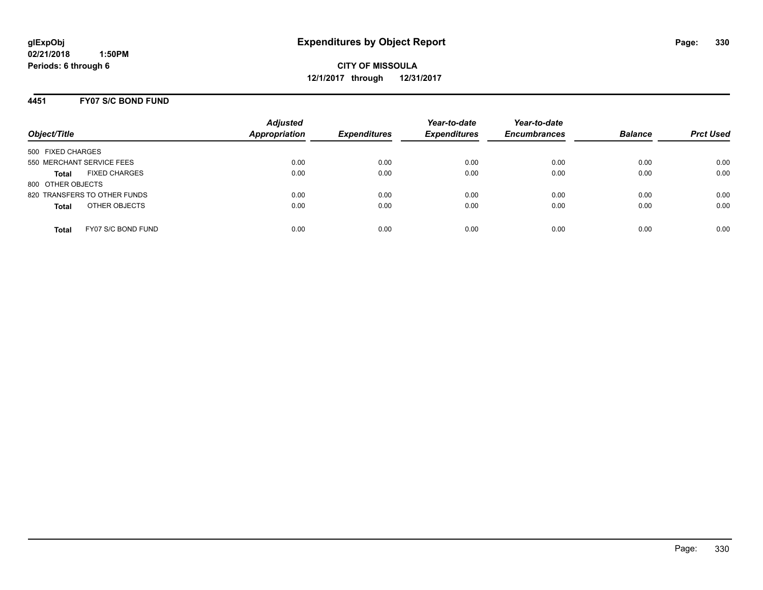### **4451 FY07 S/C BOND FUND**

| Object/Title                         | <b>Adjusted</b><br><b>Appropriation</b> | <b>Expenditures</b> | Year-to-date<br><b>Expenditures</b> | Year-to-date<br><b>Encumbrances</b> | <b>Balance</b> | <b>Prct Used</b> |
|--------------------------------------|-----------------------------------------|---------------------|-------------------------------------|-------------------------------------|----------------|------------------|
| 500 FIXED CHARGES                    |                                         |                     |                                     |                                     |                |                  |
| 550 MERCHANT SERVICE FEES            | 0.00                                    | 0.00                | 0.00                                | 0.00                                | 0.00           | 0.00             |
| <b>FIXED CHARGES</b><br><b>Total</b> | 0.00                                    | 0.00                | 0.00                                | 0.00                                | 0.00           | 0.00             |
| 800 OTHER OBJECTS                    |                                         |                     |                                     |                                     |                |                  |
| 820 TRANSFERS TO OTHER FUNDS         | 0.00                                    | 0.00                | 0.00                                | 0.00                                | 0.00           | 0.00             |
| OTHER OBJECTS<br><b>Total</b>        | 0.00                                    | 0.00                | 0.00                                | 0.00                                | 0.00           | 0.00             |
|                                      |                                         |                     |                                     |                                     |                |                  |
| FY07 S/C BOND FUND<br><b>Total</b>   | 0.00                                    | 0.00                | 0.00                                | 0.00                                | 0.00           | 0.00             |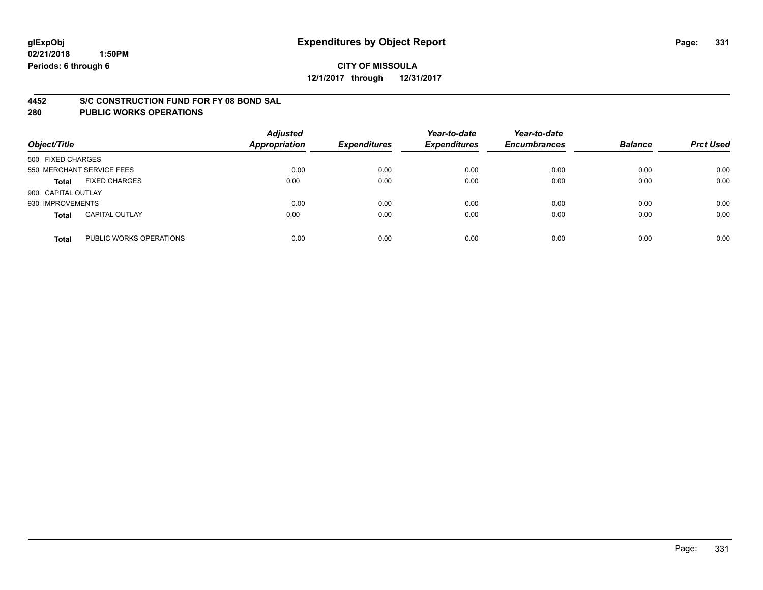### **4452 S/C CONSTRUCTION FUND FOR FY 08 BOND SAL**

| Object/Title       |                           | <b>Adjusted</b><br><b>Appropriation</b> | <b>Expenditures</b> | Year-to-date<br><b>Expenditures</b> | Year-to-date<br><b>Encumbrances</b> | <b>Balance</b> | <b>Prct Used</b> |
|--------------------|---------------------------|-----------------------------------------|---------------------|-------------------------------------|-------------------------------------|----------------|------------------|
| 500 FIXED CHARGES  |                           |                                         |                     |                                     |                                     |                |                  |
|                    | 550 MERCHANT SERVICE FEES | 0.00                                    | 0.00                | 0.00                                | 0.00                                | 0.00           | 0.00             |
| <b>Total</b>       | <b>FIXED CHARGES</b>      | 0.00                                    | 0.00                | 0.00                                | 0.00                                | 0.00           | 0.00             |
| 900 CAPITAL OUTLAY |                           |                                         |                     |                                     |                                     |                |                  |
| 930 IMPROVEMENTS   |                           | 0.00                                    | 0.00                | 0.00                                | 0.00                                | 0.00           | 0.00             |
| <b>Total</b>       | <b>CAPITAL OUTLAY</b>     | 0.00                                    | 0.00                | 0.00                                | 0.00                                | 0.00           | 0.00             |
| <b>Total</b>       | PUBLIC WORKS OPERATIONS   | 0.00                                    | 0.00                | 0.00                                | 0.00                                | 0.00           | 0.00             |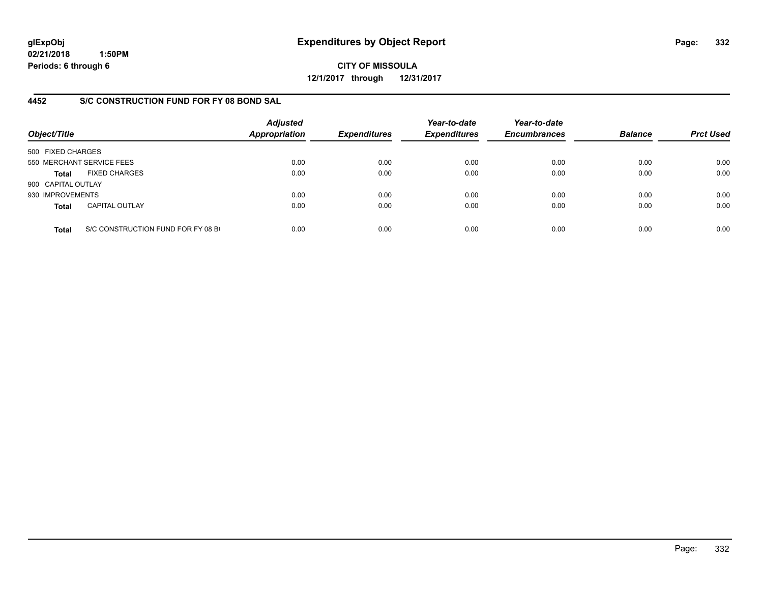**CITY OF MISSOULA 12/1/2017 through 12/31/2017**

## **4452 S/C CONSTRUCTION FUND FOR FY 08 BOND SAL**

| Object/Title       |                                    | <b>Adjusted</b><br><b>Appropriation</b> | <b>Expenditures</b> | Year-to-date<br><b>Expenditures</b> | Year-to-date<br><b>Encumbrances</b> | <b>Balance</b> | <b>Prct Used</b> |
|--------------------|------------------------------------|-----------------------------------------|---------------------|-------------------------------------|-------------------------------------|----------------|------------------|
| 500 FIXED CHARGES  |                                    |                                         |                     |                                     |                                     |                |                  |
|                    | 550 MERCHANT SERVICE FEES          | 0.00                                    | 0.00                | 0.00                                | 0.00                                | 0.00           | 0.00             |
| Total              | <b>FIXED CHARGES</b>               | 0.00                                    | 0.00                | 0.00                                | 0.00                                | 0.00           | 0.00             |
| 900 CAPITAL OUTLAY |                                    |                                         |                     |                                     |                                     |                |                  |
| 930 IMPROVEMENTS   |                                    | 0.00                                    | 0.00                | 0.00                                | 0.00                                | 0.00           | 0.00             |
| <b>Total</b>       | <b>CAPITAL OUTLAY</b>              | 0.00                                    | 0.00                | 0.00                                | 0.00                                | 0.00           | 0.00             |
| <b>Total</b>       | S/C CONSTRUCTION FUND FOR FY 08 BO | 0.00                                    | 0.00                | 0.00                                | 0.00                                | 0.00           | 0.00             |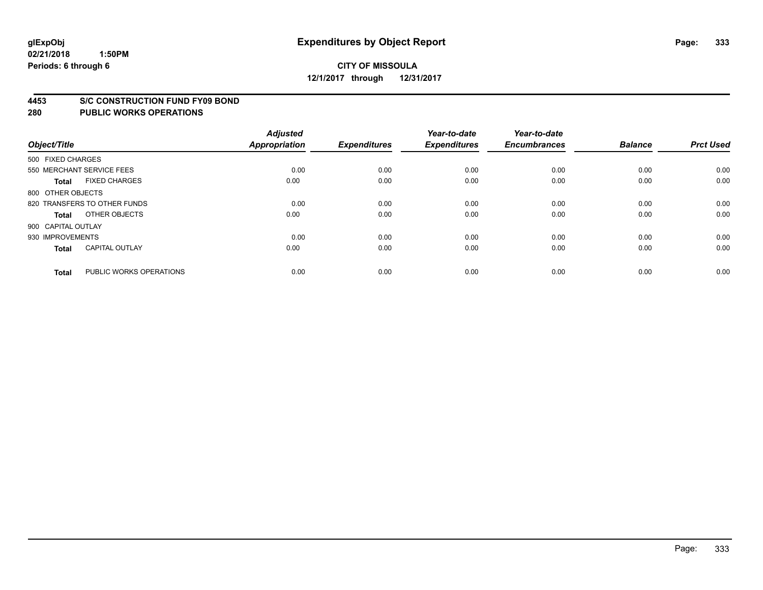#### **4453 S/C CONSTRUCTION FUND FY09 BOND**

| Object/Title       |                              | <b>Adjusted</b><br>Appropriation | <b>Expenditures</b> | Year-to-date<br><b>Expenditures</b> | Year-to-date<br><b>Encumbrances</b> | <b>Balance</b> | <b>Prct Used</b> |
|--------------------|------------------------------|----------------------------------|---------------------|-------------------------------------|-------------------------------------|----------------|------------------|
| 500 FIXED CHARGES  |                              |                                  |                     |                                     |                                     |                |                  |
|                    | 550 MERCHANT SERVICE FEES    | 0.00                             | 0.00                | 0.00                                | 0.00                                | 0.00           | 0.00             |
| <b>Total</b>       | <b>FIXED CHARGES</b>         | 0.00                             | 0.00                | 0.00                                | 0.00                                | 0.00           | 0.00             |
| 800 OTHER OBJECTS  |                              |                                  |                     |                                     |                                     |                |                  |
|                    | 820 TRANSFERS TO OTHER FUNDS | 0.00                             | 0.00                | 0.00                                | 0.00                                | 0.00           | 0.00             |
| Total              | OTHER OBJECTS                | 0.00                             | 0.00                | 0.00                                | 0.00                                | 0.00           | 0.00             |
| 900 CAPITAL OUTLAY |                              |                                  |                     |                                     |                                     |                |                  |
| 930 IMPROVEMENTS   |                              | 0.00                             | 0.00                | 0.00                                | 0.00                                | 0.00           | 0.00             |
| Total              | <b>CAPITAL OUTLAY</b>        | 0.00                             | 0.00                | 0.00                                | 0.00                                | 0.00           | 0.00             |
|                    |                              |                                  |                     |                                     |                                     |                |                  |
| <b>Total</b>       | PUBLIC WORKS OPERATIONS      | 0.00                             | 0.00                | 0.00                                | 0.00                                | 0.00           | 0.00             |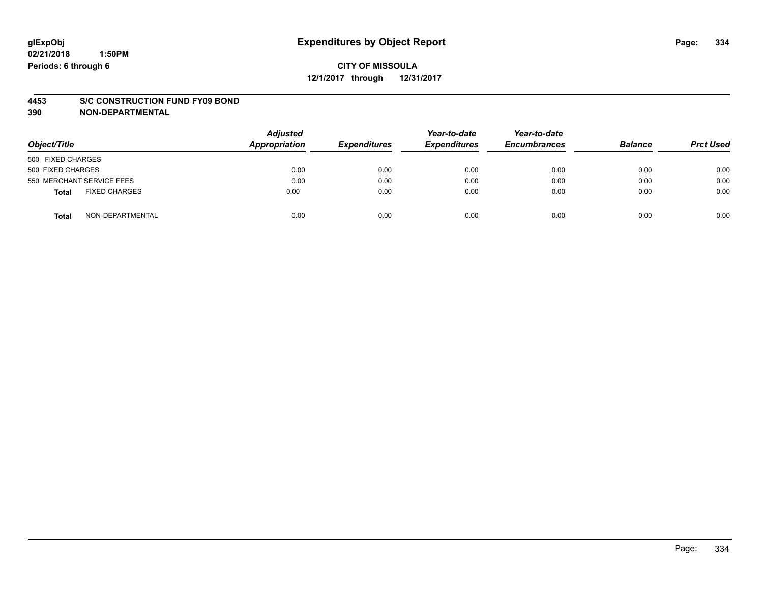#### **4453 S/C CONSTRUCTION FUND FY09 BOND**

**390 NON-DEPARTMENTAL**

| Object/Title                  | <b>Adjusted</b><br>Appropriation | <b>Expenditures</b> | Year-to-date<br><b>Expenditures</b> | Year-to-date<br><b>Encumbrances</b> | <b>Balance</b> | <b>Prct Used</b> |
|-------------------------------|----------------------------------|---------------------|-------------------------------------|-------------------------------------|----------------|------------------|
| 500 FIXED CHARGES             |                                  |                     |                                     |                                     |                |                  |
| 500 FIXED CHARGES             | 0.00                             | 0.00                | 0.00                                | 0.00                                | 0.00           | 0.00             |
| 550 MERCHANT SERVICE FEES     | 0.00                             | 0.00                | 0.00                                | 0.00                                | 0.00           | 0.00             |
| <b>FIXED CHARGES</b><br>Total | 0.00                             | 0.00                | 0.00                                | 0.00                                | 0.00           | 0.00             |
| NON-DEPARTMENTAL<br>Total     | 0.00                             | 0.00                | 0.00                                | 0.00                                | 0.00           | 0.00             |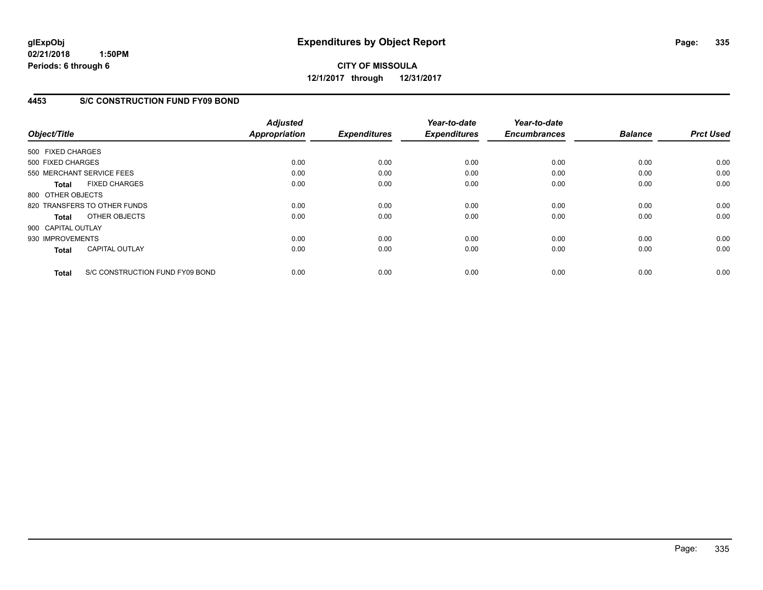# **CITY OF MISSOULA 12/1/2017 through 12/31/2017**

## **4453 S/C CONSTRUCTION FUND FY09 BOND**

| Object/Title       |                                 | <b>Adjusted</b><br><b>Appropriation</b> | <b>Expenditures</b> | Year-to-date<br><b>Expenditures</b> | Year-to-date<br><b>Encumbrances</b> | <b>Balance</b> | <b>Prct Used</b> |
|--------------------|---------------------------------|-----------------------------------------|---------------------|-------------------------------------|-------------------------------------|----------------|------------------|
| 500 FIXED CHARGES  |                                 |                                         |                     |                                     |                                     |                |                  |
| 500 FIXED CHARGES  |                                 | 0.00                                    | 0.00                | 0.00                                | 0.00                                | 0.00           | 0.00             |
|                    | 550 MERCHANT SERVICE FEES       | 0.00                                    | 0.00                | 0.00                                | 0.00                                | 0.00           | 0.00             |
| <b>Total</b>       | <b>FIXED CHARGES</b>            | 0.00                                    | 0.00                | 0.00                                | 0.00                                | 0.00           | 0.00             |
| 800 OTHER OBJECTS  |                                 |                                         |                     |                                     |                                     |                |                  |
|                    | 820 TRANSFERS TO OTHER FUNDS    | 0.00                                    | 0.00                | 0.00                                | 0.00                                | 0.00           | 0.00             |
| Total              | OTHER OBJECTS                   | 0.00                                    | 0.00                | 0.00                                | 0.00                                | 0.00           | 0.00             |
| 900 CAPITAL OUTLAY |                                 |                                         |                     |                                     |                                     |                |                  |
| 930 IMPROVEMENTS   |                                 | 0.00                                    | 0.00                | 0.00                                | 0.00                                | 0.00           | 0.00             |
| <b>Total</b>       | <b>CAPITAL OUTLAY</b>           | 0.00                                    | 0.00                | 0.00                                | 0.00                                | 0.00           | 0.00             |
| <b>Total</b>       | S/C CONSTRUCTION FUND FY09 BOND | 0.00                                    | 0.00                | 0.00                                | 0.00                                | 0.00           | 0.00             |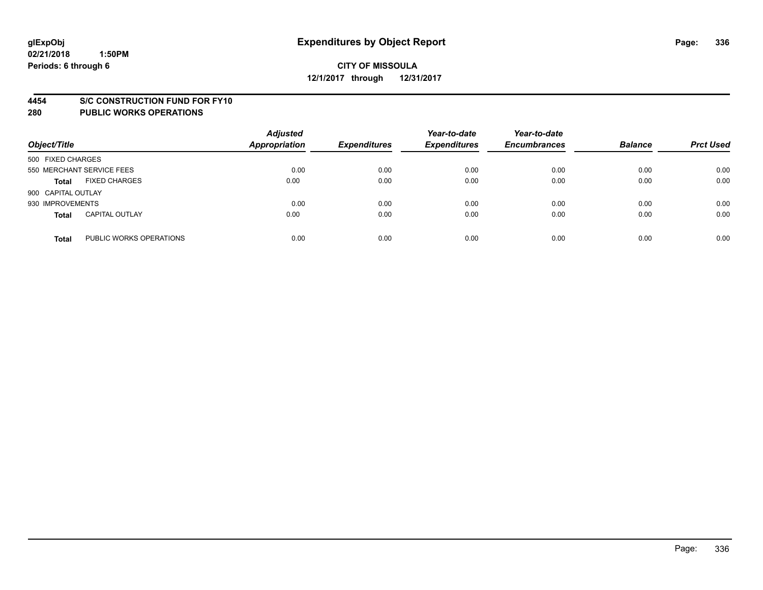### **4454 S/C CONSTRUCTION FUND FOR FY10**

| Object/Title       |                           | <b>Adjusted</b><br><b>Appropriation</b> | <b>Expenditures</b> | Year-to-date<br><b>Expenditures</b> | Year-to-date<br><b>Encumbrances</b> | <b>Balance</b> | <b>Prct Used</b> |
|--------------------|---------------------------|-----------------------------------------|---------------------|-------------------------------------|-------------------------------------|----------------|------------------|
| 500 FIXED CHARGES  |                           |                                         |                     |                                     |                                     |                |                  |
|                    | 550 MERCHANT SERVICE FEES | 0.00                                    | 0.00                | 0.00                                | 0.00                                | 0.00           | 0.00             |
| <b>Total</b>       | <b>FIXED CHARGES</b>      | 0.00                                    | 0.00                | 0.00                                | 0.00                                | 0.00           | 0.00             |
| 900 CAPITAL OUTLAY |                           |                                         |                     |                                     |                                     |                |                  |
| 930 IMPROVEMENTS   |                           | 0.00                                    | 0.00                | 0.00                                | 0.00                                | 0.00           | 0.00             |
| <b>Total</b>       | <b>CAPITAL OUTLAY</b>     | 0.00                                    | 0.00                | 0.00                                | 0.00                                | 0.00           | 0.00             |
| <b>Total</b>       | PUBLIC WORKS OPERATIONS   | 0.00                                    | 0.00                | 0.00                                | 0.00                                | 0.00           | 0.00             |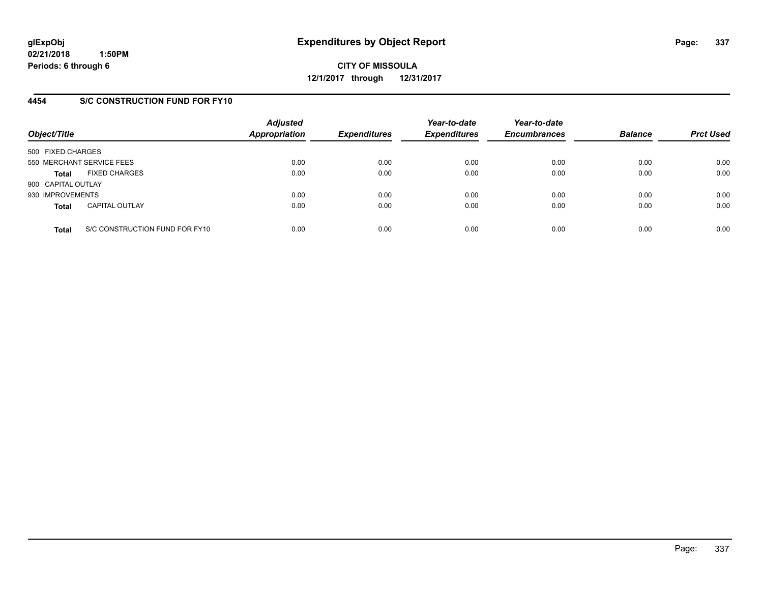## **4454 S/C CONSTRUCTION FUND FOR FY10**

| Object/Title       |                                | <b>Adjusted</b><br><b>Appropriation</b> | <b>Expenditures</b> | Year-to-date<br><b>Expenditures</b> | Year-to-date<br><b>Encumbrances</b> | <b>Balance</b> | <b>Prct Used</b> |
|--------------------|--------------------------------|-----------------------------------------|---------------------|-------------------------------------|-------------------------------------|----------------|------------------|
| 500 FIXED CHARGES  |                                |                                         |                     |                                     |                                     |                |                  |
|                    | 550 MERCHANT SERVICE FEES      | 0.00                                    | 0.00                | 0.00                                | 0.00                                | 0.00           | 0.00             |
| <b>Total</b>       | <b>FIXED CHARGES</b>           | 0.00                                    | 0.00                | 0.00                                | 0.00                                | 0.00           | 0.00             |
| 900 CAPITAL OUTLAY |                                |                                         |                     |                                     |                                     |                |                  |
| 930 IMPROVEMENTS   |                                | 0.00                                    | 0.00                | 0.00                                | 0.00                                | 0.00           | 0.00             |
| <b>Total</b>       | <b>CAPITAL OUTLAY</b>          | 0.00                                    | 0.00                | 0.00                                | 0.00                                | 0.00           | 0.00             |
| <b>Total</b>       | S/C CONSTRUCTION FUND FOR FY10 | 0.00                                    | 0.00                | 0.00                                | 0.00                                | 0.00           | 0.00             |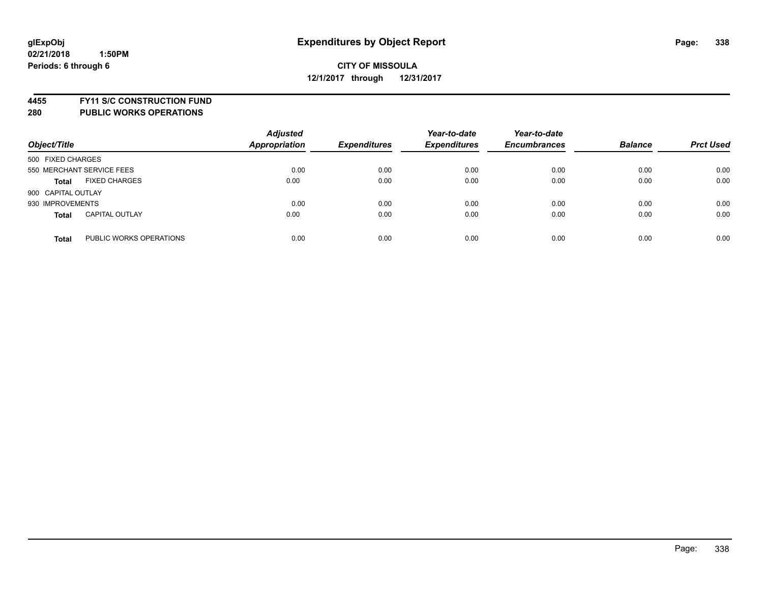**4455 FY11 S/C CONSTRUCTION FUND**

| Object/Title                            | <b>Adjusted</b><br><b>Appropriation</b> | <b>Expenditures</b> | Year-to-date<br><b>Expenditures</b> | Year-to-date<br><b>Encumbrances</b> | <b>Balance</b> | <b>Prct Used</b> |
|-----------------------------------------|-----------------------------------------|---------------------|-------------------------------------|-------------------------------------|----------------|------------------|
| 500 FIXED CHARGES                       |                                         |                     |                                     |                                     |                |                  |
| 550 MERCHANT SERVICE FEES               | 0.00                                    | 0.00                | 0.00                                | 0.00                                | 0.00           | 0.00             |
| <b>FIXED CHARGES</b><br><b>Total</b>    | 0.00                                    | 0.00                | 0.00                                | 0.00                                | 0.00           | 0.00             |
| 900 CAPITAL OUTLAY                      |                                         |                     |                                     |                                     |                |                  |
| 930 IMPROVEMENTS                        | 0.00                                    | 0.00                | 0.00                                | 0.00                                | 0.00           | 0.00             |
| <b>CAPITAL OUTLAY</b><br><b>Total</b>   | 0.00                                    | 0.00                | 0.00                                | 0.00                                | 0.00           | 0.00             |
| PUBLIC WORKS OPERATIONS<br><b>Total</b> | 0.00                                    | 0.00                | 0.00                                | 0.00                                | 0.00           | 0.00             |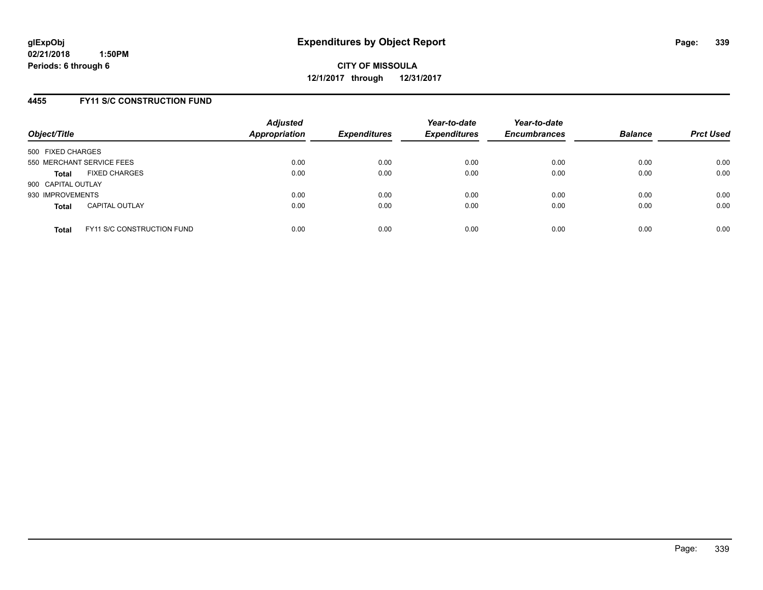### **4455 FY11 S/C CONSTRUCTION FUND**

| Object/Title              |                                   | <b>Adjusted</b><br><b>Appropriation</b> | <b>Expenditures</b> | Year-to-date<br><b>Expenditures</b> | Year-to-date<br><b>Encumbrances</b> | <b>Balance</b> | <b>Prct Used</b> |
|---------------------------|-----------------------------------|-----------------------------------------|---------------------|-------------------------------------|-------------------------------------|----------------|------------------|
| 500 FIXED CHARGES         |                                   |                                         |                     |                                     |                                     |                |                  |
| 550 MERCHANT SERVICE FEES |                                   | 0.00                                    | 0.00                | 0.00                                | 0.00                                | 0.00           | 0.00             |
| <b>Total</b>              | <b>FIXED CHARGES</b>              | 0.00                                    | 0.00                | 0.00                                | 0.00                                | 0.00           | 0.00             |
| 900 CAPITAL OUTLAY        |                                   |                                         |                     |                                     |                                     |                |                  |
| 930 IMPROVEMENTS          |                                   | 0.00                                    | 0.00                | 0.00                                | 0.00                                | 0.00           | 0.00             |
| <b>Total</b>              | <b>CAPITAL OUTLAY</b>             | 0.00                                    | 0.00                | 0.00                                | 0.00                                | 0.00           | 0.00             |
| <b>Total</b>              | <b>FY11 S/C CONSTRUCTION FUND</b> | 0.00                                    | 0.00                | 0.00                                | 0.00                                | 0.00           | 0.00             |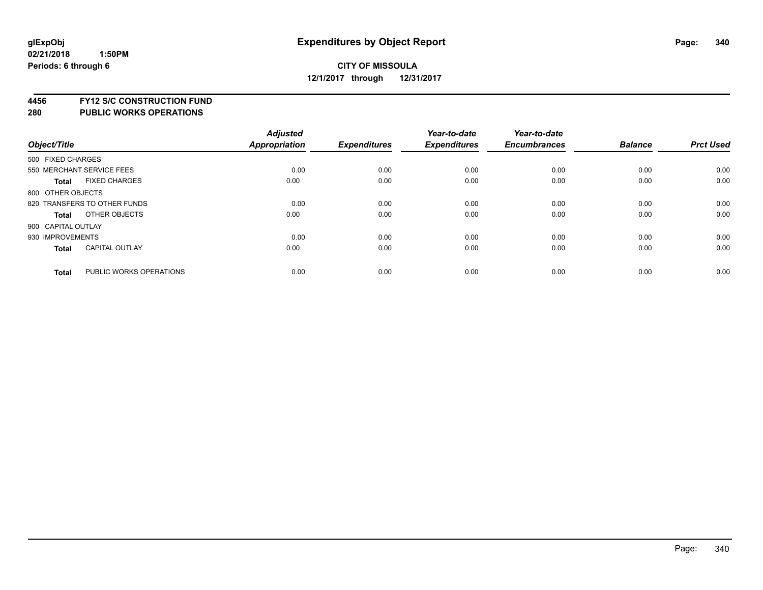**4456 FY12 S/C CONSTRUCTION FUND**

|                    |                              | <b>Adjusted</b> |                     | Year-to-date        | Year-to-date        |                |                  |
|--------------------|------------------------------|-----------------|---------------------|---------------------|---------------------|----------------|------------------|
| Object/Title       |                              | Appropriation   | <b>Expenditures</b> | <b>Expenditures</b> | <b>Encumbrances</b> | <b>Balance</b> | <b>Prct Used</b> |
| 500 FIXED CHARGES  |                              |                 |                     |                     |                     |                |                  |
|                    | 550 MERCHANT SERVICE FEES    | 0.00            | 0.00                | 0.00                | 0.00                | 0.00           | 0.00             |
| <b>Total</b>       | <b>FIXED CHARGES</b>         | 0.00            | 0.00                | 0.00                | 0.00                | 0.00           | 0.00             |
| 800 OTHER OBJECTS  |                              |                 |                     |                     |                     |                |                  |
|                    | 820 TRANSFERS TO OTHER FUNDS | 0.00            | 0.00                | 0.00                | 0.00                | 0.00           | 0.00             |
| Total              | OTHER OBJECTS                | 0.00            | 0.00                | 0.00                | 0.00                | 0.00           | 0.00             |
| 900 CAPITAL OUTLAY |                              |                 |                     |                     |                     |                |                  |
| 930 IMPROVEMENTS   |                              | 0.00            | 0.00                | 0.00                | 0.00                | 0.00           | 0.00             |
| Total              | <b>CAPITAL OUTLAY</b>        | 0.00            | 0.00                | 0.00                | 0.00                | 0.00           | 0.00             |
| <b>Total</b>       | PUBLIC WORKS OPERATIONS      | 0.00            | 0.00                | 0.00                | 0.00                | 0.00           | 0.00             |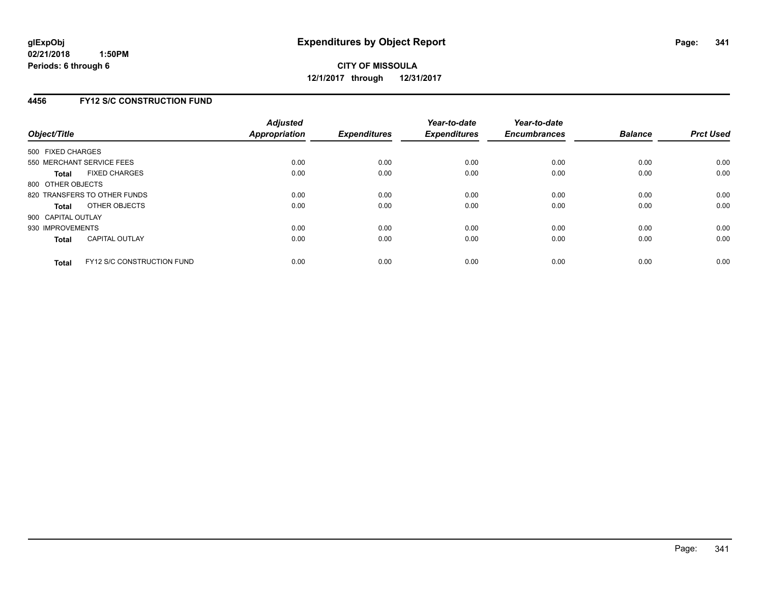## **4456 FY12 S/C CONSTRUCTION FUND**

| Object/Title       |                                   | <b>Adjusted</b><br><b>Appropriation</b> | <b>Expenditures</b> | Year-to-date<br><b>Expenditures</b> | Year-to-date<br><b>Encumbrances</b> | <b>Balance</b> | <b>Prct Used</b> |
|--------------------|-----------------------------------|-----------------------------------------|---------------------|-------------------------------------|-------------------------------------|----------------|------------------|
| 500 FIXED CHARGES  |                                   |                                         |                     |                                     |                                     |                |                  |
|                    | 550 MERCHANT SERVICE FEES         | 0.00                                    | 0.00                | 0.00                                | 0.00                                | 0.00           | 0.00             |
| <b>Total</b>       | <b>FIXED CHARGES</b>              | 0.00                                    | 0.00                | 0.00                                | 0.00                                | 0.00           | 0.00             |
| 800 OTHER OBJECTS  |                                   |                                         |                     |                                     |                                     |                |                  |
|                    | 820 TRANSFERS TO OTHER FUNDS      | 0.00                                    | 0.00                | 0.00                                | 0.00                                | 0.00           | 0.00             |
| <b>Total</b>       | OTHER OBJECTS                     | 0.00                                    | 0.00                | 0.00                                | 0.00                                | 0.00           | 0.00             |
| 900 CAPITAL OUTLAY |                                   |                                         |                     |                                     |                                     |                |                  |
| 930 IMPROVEMENTS   |                                   | 0.00                                    | 0.00                | 0.00                                | 0.00                                | 0.00           | 0.00             |
| Total              | <b>CAPITAL OUTLAY</b>             | 0.00                                    | 0.00                | 0.00                                | 0.00                                | 0.00           | 0.00             |
| <b>Total</b>       | <b>FY12 S/C CONSTRUCTION FUND</b> | 0.00                                    | 0.00                | 0.00                                | 0.00                                | 0.00           | 0.00             |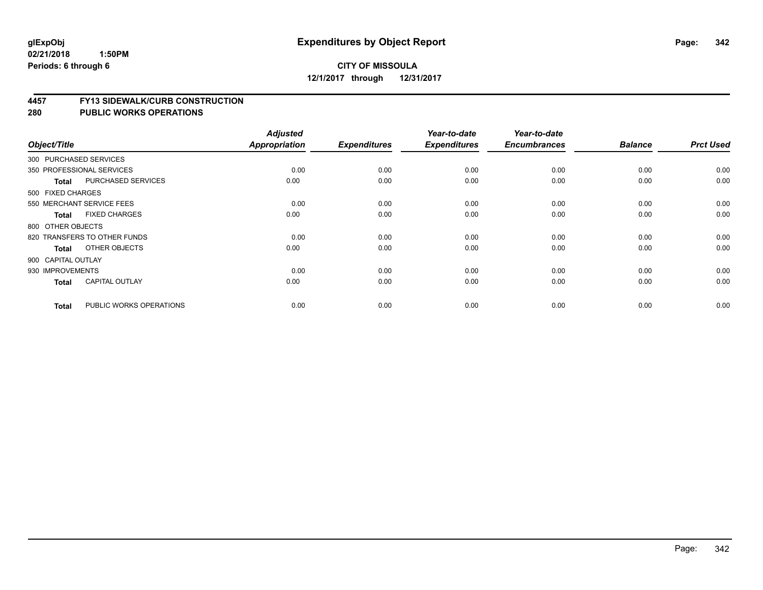#### **4457 FY13 SIDEWALK/CURB CONSTRUCTION**

|                    |                              | <b>Adjusted</b> |                     | Year-to-date        | Year-to-date        |                |                  |
|--------------------|------------------------------|-----------------|---------------------|---------------------|---------------------|----------------|------------------|
| Object/Title       |                              | Appropriation   | <b>Expenditures</b> | <b>Expenditures</b> | <b>Encumbrances</b> | <b>Balance</b> | <b>Prct Used</b> |
|                    | 300 PURCHASED SERVICES       |                 |                     |                     |                     |                |                  |
|                    | 350 PROFESSIONAL SERVICES    | 0.00            | 0.00                | 0.00                | 0.00                | 0.00           | 0.00             |
| Total              | PURCHASED SERVICES           | 0.00            | 0.00                | 0.00                | 0.00                | 0.00           | 0.00             |
| 500 FIXED CHARGES  |                              |                 |                     |                     |                     |                |                  |
|                    | 550 MERCHANT SERVICE FEES    | 0.00            | 0.00                | 0.00                | 0.00                | 0.00           | 0.00             |
| <b>Total</b>       | <b>FIXED CHARGES</b>         | 0.00            | 0.00                | 0.00                | 0.00                | 0.00           | 0.00             |
| 800 OTHER OBJECTS  |                              |                 |                     |                     |                     |                |                  |
|                    | 820 TRANSFERS TO OTHER FUNDS | 0.00            | 0.00                | 0.00                | 0.00                | 0.00           | 0.00             |
| Total              | OTHER OBJECTS                | 0.00            | 0.00                | 0.00                | 0.00                | 0.00           | 0.00             |
| 900 CAPITAL OUTLAY |                              |                 |                     |                     |                     |                |                  |
| 930 IMPROVEMENTS   |                              | 0.00            | 0.00                | 0.00                | 0.00                | 0.00           | 0.00             |
| <b>Total</b>       | <b>CAPITAL OUTLAY</b>        | 0.00            | 0.00                | 0.00                | 0.00                | 0.00           | 0.00             |
| <b>Total</b>       | PUBLIC WORKS OPERATIONS      | 0.00            | 0.00                | 0.00                | 0.00                | 0.00           | 0.00             |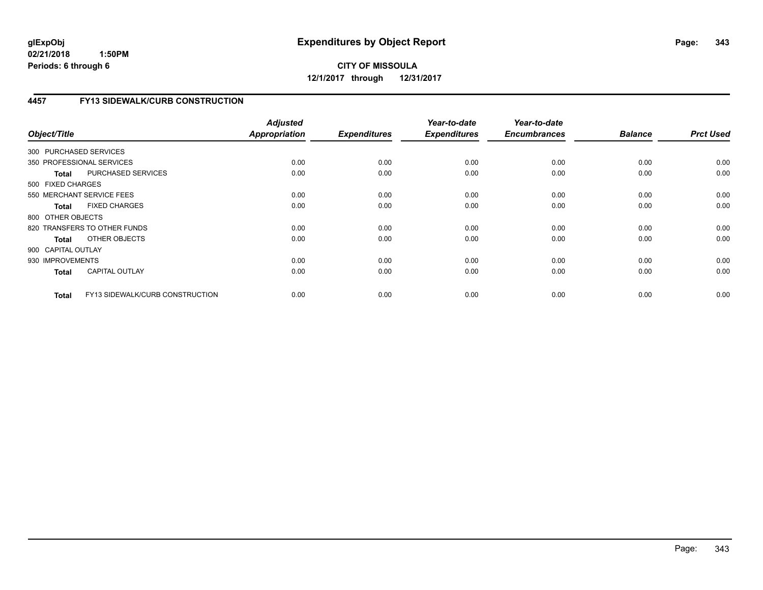**CITY OF MISSOULA 12/1/2017 through 12/31/2017**

## **4457 FY13 SIDEWALK/CURB CONSTRUCTION**

| Object/Title           |                                 | <b>Adjusted</b><br>Appropriation | <b>Expenditures</b> | Year-to-date<br><b>Expenditures</b> | Year-to-date<br><b>Encumbrances</b> | <b>Balance</b> | <b>Prct Used</b> |
|------------------------|---------------------------------|----------------------------------|---------------------|-------------------------------------|-------------------------------------|----------------|------------------|
| 300 PURCHASED SERVICES |                                 |                                  |                     |                                     |                                     |                |                  |
|                        | 350 PROFESSIONAL SERVICES       | 0.00                             | 0.00                | 0.00                                | 0.00                                | 0.00           | 0.00             |
| <b>Total</b>           | PURCHASED SERVICES              | 0.00                             | 0.00                | 0.00                                | 0.00                                | 0.00           | 0.00             |
| 500 FIXED CHARGES      |                                 |                                  |                     |                                     |                                     |                |                  |
|                        | 550 MERCHANT SERVICE FEES       | 0.00                             | 0.00                | 0.00                                | 0.00                                | 0.00           | 0.00             |
| <b>Total</b>           | <b>FIXED CHARGES</b>            | 0.00                             | 0.00                | 0.00                                | 0.00                                | 0.00           | 0.00             |
| 800 OTHER OBJECTS      |                                 |                                  |                     |                                     |                                     |                |                  |
|                        | 820 TRANSFERS TO OTHER FUNDS    | 0.00                             | 0.00                | 0.00                                | 0.00                                | 0.00           | 0.00             |
| Total                  | OTHER OBJECTS                   | 0.00                             | 0.00                | 0.00                                | 0.00                                | 0.00           | 0.00             |
| 900 CAPITAL OUTLAY     |                                 |                                  |                     |                                     |                                     |                |                  |
| 930 IMPROVEMENTS       |                                 | 0.00                             | 0.00                | 0.00                                | 0.00                                | 0.00           | 0.00             |
| <b>Total</b>           | <b>CAPITAL OUTLAY</b>           | 0.00                             | 0.00                | 0.00                                | 0.00                                | 0.00           | 0.00             |
| <b>Total</b>           | FY13 SIDEWALK/CURB CONSTRUCTION | 0.00                             | 0.00                | 0.00                                | 0.00                                | 0.00           | 0.00             |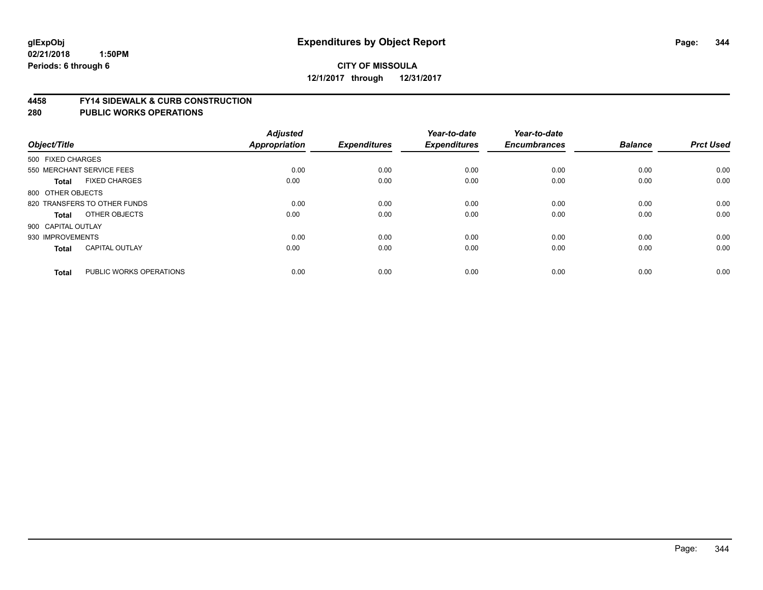#### **4458 FY14 SIDEWALK & CURB CONSTRUCTION**

|                    |                              | <b>Adjusted</b>      |                     | Year-to-date        | Year-to-date        |                |                  |
|--------------------|------------------------------|----------------------|---------------------|---------------------|---------------------|----------------|------------------|
| Object/Title       |                              | <b>Appropriation</b> | <b>Expenditures</b> | <b>Expenditures</b> | <b>Encumbrances</b> | <b>Balance</b> | <b>Prct Used</b> |
| 500 FIXED CHARGES  |                              |                      |                     |                     |                     |                |                  |
|                    | 550 MERCHANT SERVICE FEES    | 0.00                 | 0.00                | 0.00                | 0.00                | 0.00           | 0.00             |
| <b>Total</b>       | <b>FIXED CHARGES</b>         | 0.00                 | 0.00                | 0.00                | 0.00                | 0.00           | 0.00             |
| 800 OTHER OBJECTS  |                              |                      |                     |                     |                     |                |                  |
|                    | 820 TRANSFERS TO OTHER FUNDS | 0.00                 | 0.00                | 0.00                | 0.00                | 0.00           | 0.00             |
| Total              | OTHER OBJECTS                | 0.00                 | 0.00                | 0.00                | 0.00                | 0.00           | 0.00             |
| 900 CAPITAL OUTLAY |                              |                      |                     |                     |                     |                |                  |
| 930 IMPROVEMENTS   |                              | 0.00                 | 0.00                | 0.00                | 0.00                | 0.00           | 0.00             |
| Total              | <b>CAPITAL OUTLAY</b>        | 0.00                 | 0.00                | 0.00                | 0.00                | 0.00           | 0.00             |
| <b>Total</b>       | PUBLIC WORKS OPERATIONS      | 0.00                 | 0.00                | 0.00                | 0.00                | 0.00           | 0.00             |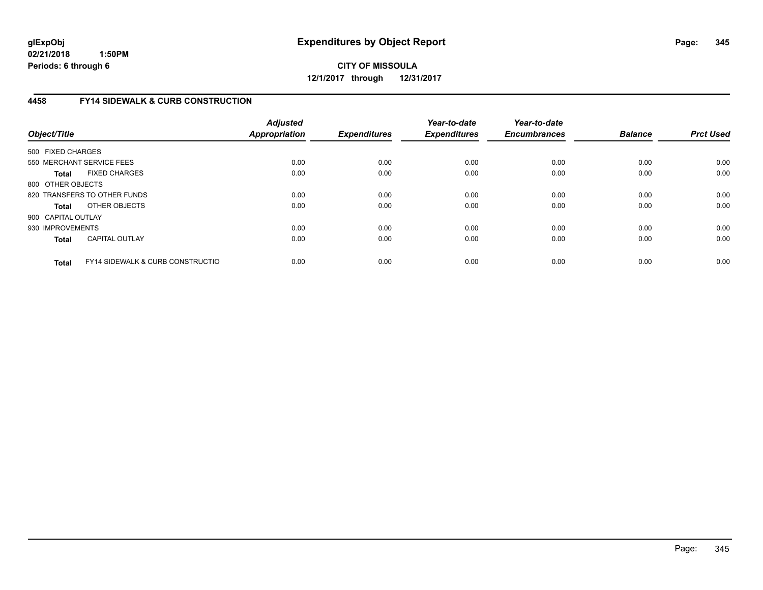**CITY OF MISSOULA 12/1/2017 through 12/31/2017**

## **4458 FY14 SIDEWALK & CURB CONSTRUCTION**

| Object/Title       |                                              | <b>Adjusted</b><br><b>Appropriation</b> | <b>Expenditures</b> | Year-to-date<br><b>Expenditures</b> | Year-to-date<br><b>Encumbrances</b> | <b>Balance</b> | <b>Prct Used</b> |
|--------------------|----------------------------------------------|-----------------------------------------|---------------------|-------------------------------------|-------------------------------------|----------------|------------------|
| 500 FIXED CHARGES  |                                              |                                         |                     |                                     |                                     |                |                  |
|                    | 550 MERCHANT SERVICE FEES                    | 0.00                                    | 0.00                | 0.00                                | 0.00                                | 0.00           | 0.00             |
| <b>Total</b>       | <b>FIXED CHARGES</b>                         | 0.00                                    | 0.00                | 0.00                                | 0.00                                | 0.00           | 0.00             |
| 800 OTHER OBJECTS  |                                              |                                         |                     |                                     |                                     |                |                  |
|                    | 820 TRANSFERS TO OTHER FUNDS                 | 0.00                                    | 0.00                | 0.00                                | 0.00                                | 0.00           | 0.00             |
| <b>Total</b>       | OTHER OBJECTS                                | 0.00                                    | 0.00                | 0.00                                | 0.00                                | 0.00           | 0.00             |
| 900 CAPITAL OUTLAY |                                              |                                         |                     |                                     |                                     |                |                  |
| 930 IMPROVEMENTS   |                                              | 0.00                                    | 0.00                | 0.00                                | 0.00                                | 0.00           | 0.00             |
| <b>Total</b>       | <b>CAPITAL OUTLAY</b>                        | 0.00                                    | 0.00                | 0.00                                | 0.00                                | 0.00           | 0.00             |
| <b>Total</b>       | <b>FY14 SIDEWALK &amp; CURB CONSTRUCTIOL</b> | 0.00                                    | 0.00                | 0.00                                | 0.00                                | 0.00           | 0.00             |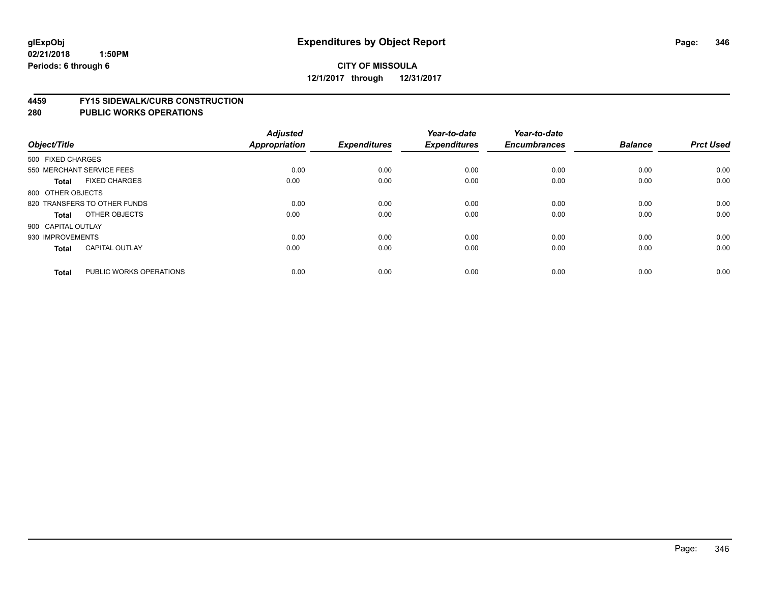#### **4459 FY15 SIDEWALK/CURB CONSTRUCTION**

| Object/Title       |                              | <b>Adjusted</b><br><b>Appropriation</b> | <b>Expenditures</b> | Year-to-date<br><b>Expenditures</b> | Year-to-date<br><b>Encumbrances</b> | <b>Balance</b> | <b>Prct Used</b> |
|--------------------|------------------------------|-----------------------------------------|---------------------|-------------------------------------|-------------------------------------|----------------|------------------|
| 500 FIXED CHARGES  |                              |                                         |                     |                                     |                                     |                |                  |
|                    | 550 MERCHANT SERVICE FEES    | 0.00                                    | 0.00                | 0.00                                | 0.00                                | 0.00           | 0.00             |
| <b>Total</b>       | <b>FIXED CHARGES</b>         | 0.00                                    | 0.00                | 0.00                                | 0.00                                | 0.00           | 0.00             |
| 800 OTHER OBJECTS  |                              |                                         |                     |                                     |                                     |                |                  |
|                    | 820 TRANSFERS TO OTHER FUNDS | 0.00                                    | 0.00                | 0.00                                | 0.00                                | 0.00           | 0.00             |
| <b>Total</b>       | OTHER OBJECTS                | 0.00                                    | 0.00                | 0.00                                | 0.00                                | 0.00           | 0.00             |
| 900 CAPITAL OUTLAY |                              |                                         |                     |                                     |                                     |                |                  |
| 930 IMPROVEMENTS   |                              | 0.00                                    | 0.00                | 0.00                                | 0.00                                | 0.00           | 0.00             |
| <b>Total</b>       | <b>CAPITAL OUTLAY</b>        | 0.00                                    | 0.00                | 0.00                                | 0.00                                | 0.00           | 0.00             |
| <b>Total</b>       | PUBLIC WORKS OPERATIONS      | 0.00                                    | 0.00                | 0.00                                | 0.00                                | 0.00           | 0.00             |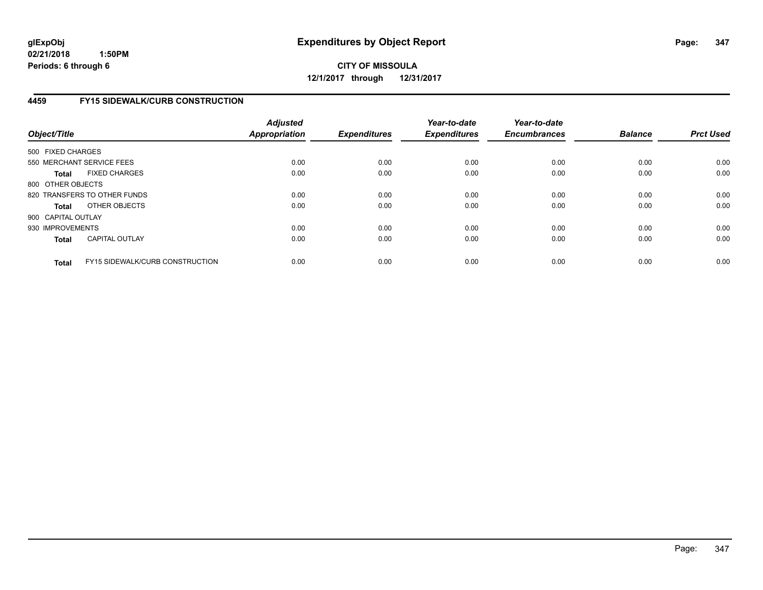# **CITY OF MISSOULA 12/1/2017 through 12/31/2017**

## **4459 FY15 SIDEWALK/CURB CONSTRUCTION**

| Object/Title       |                                        | <b>Adjusted</b><br><b>Appropriation</b> | <b>Expenditures</b> | Year-to-date<br><b>Expenditures</b> | Year-to-date<br><b>Encumbrances</b> | <b>Balance</b> | <b>Prct Used</b> |
|--------------------|----------------------------------------|-----------------------------------------|---------------------|-------------------------------------|-------------------------------------|----------------|------------------|
| 500 FIXED CHARGES  |                                        |                                         |                     |                                     |                                     |                |                  |
|                    | 550 MERCHANT SERVICE FEES              | 0.00                                    | 0.00                | 0.00                                | 0.00                                | 0.00           | 0.00             |
| <b>Total</b>       | <b>FIXED CHARGES</b>                   | 0.00                                    | 0.00                | 0.00                                | 0.00                                | 0.00           | 0.00             |
| 800 OTHER OBJECTS  |                                        |                                         |                     |                                     |                                     |                |                  |
|                    | 820 TRANSFERS TO OTHER FUNDS           | 0.00                                    | 0.00                | 0.00                                | 0.00                                | 0.00           | 0.00             |
| <b>Total</b>       | OTHER OBJECTS                          | 0.00                                    | 0.00                | 0.00                                | 0.00                                | 0.00           | 0.00             |
| 900 CAPITAL OUTLAY |                                        |                                         |                     |                                     |                                     |                |                  |
| 930 IMPROVEMENTS   |                                        | 0.00                                    | 0.00                | 0.00                                | 0.00                                | 0.00           | 0.00             |
| Total              | <b>CAPITAL OUTLAY</b>                  | 0.00                                    | 0.00                | 0.00                                | 0.00                                | 0.00           | 0.00             |
| <b>Total</b>       | <b>FY15 SIDEWALK/CURB CONSTRUCTION</b> | 0.00                                    | 0.00                | 0.00                                | 0.00                                | 0.00           | 0.00             |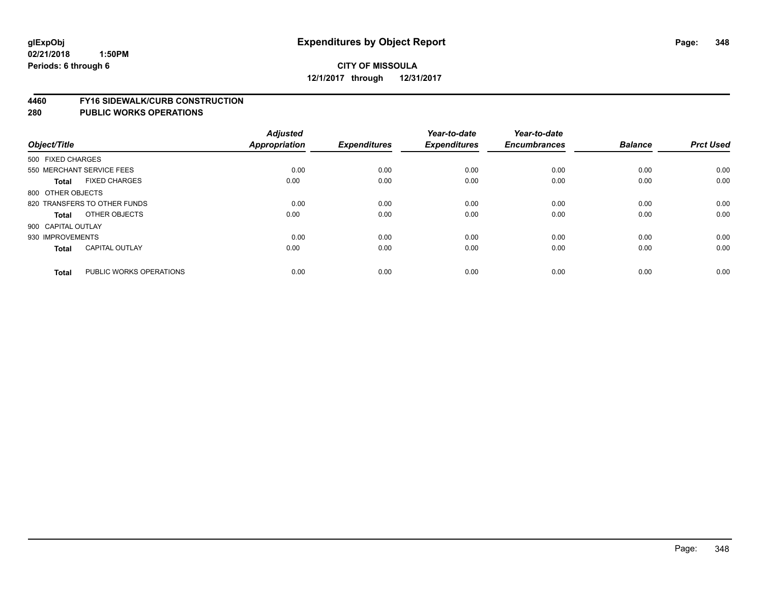#### **4460 FY16 SIDEWALK/CURB CONSTRUCTION**

| Object/Title              |                              | <b>Adjusted</b><br>Appropriation | <b>Expenditures</b> | Year-to-date<br><b>Expenditures</b> | Year-to-date<br><b>Encumbrances</b> | <b>Balance</b> | <b>Prct Used</b> |
|---------------------------|------------------------------|----------------------------------|---------------------|-------------------------------------|-------------------------------------|----------------|------------------|
| 500 FIXED CHARGES         |                              |                                  |                     |                                     |                                     |                |                  |
| 550 MERCHANT SERVICE FEES |                              | 0.00                             | 0.00                | 0.00                                | 0.00                                | 0.00           | 0.00             |
| <b>Total</b>              | <b>FIXED CHARGES</b>         | 0.00                             | 0.00                | 0.00                                | 0.00                                | 0.00           | 0.00             |
| 800 OTHER OBJECTS         |                              |                                  |                     |                                     |                                     |                |                  |
|                           | 820 TRANSFERS TO OTHER FUNDS | 0.00                             | 0.00                | 0.00                                | 0.00                                | 0.00           | 0.00             |
| Total                     | OTHER OBJECTS                | 0.00                             | 0.00                | 0.00                                | 0.00                                | 0.00           | 0.00             |
| 900 CAPITAL OUTLAY        |                              |                                  |                     |                                     |                                     |                |                  |
| 930 IMPROVEMENTS          |                              | 0.00                             | 0.00                | 0.00                                | 0.00                                | 0.00           | 0.00             |
| Total                     | <b>CAPITAL OUTLAY</b>        | 0.00                             | 0.00                | 0.00                                | 0.00                                | 0.00           | 0.00             |
|                           |                              |                                  |                     |                                     |                                     |                |                  |
| <b>Total</b>              | PUBLIC WORKS OPERATIONS      | 0.00                             | 0.00                | 0.00                                | 0.00                                | 0.00           | 0.00             |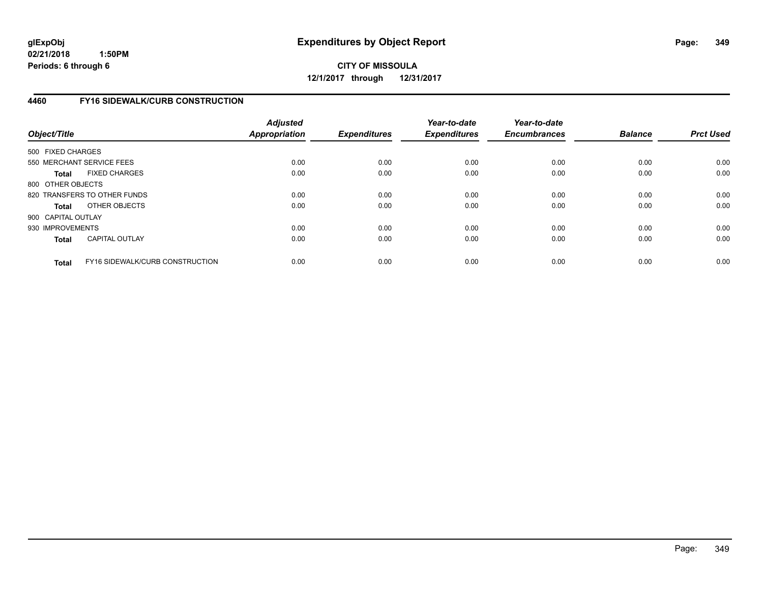# **CITY OF MISSOULA 12/1/2017 through 12/31/2017**

# **4460 FY16 SIDEWALK/CURB CONSTRUCTION**

| Object/Title       |                                 | <b>Adjusted</b><br><b>Appropriation</b> | <b>Expenditures</b> | Year-to-date<br><b>Expenditures</b> | Year-to-date<br><b>Encumbrances</b> | <b>Balance</b> | <b>Prct Used</b> |
|--------------------|---------------------------------|-----------------------------------------|---------------------|-------------------------------------|-------------------------------------|----------------|------------------|
| 500 FIXED CHARGES  |                                 |                                         |                     |                                     |                                     |                |                  |
|                    | 550 MERCHANT SERVICE FEES       | 0.00                                    | 0.00                | 0.00                                | 0.00                                | 0.00           | 0.00             |
| <b>Total</b>       | <b>FIXED CHARGES</b>            | 0.00                                    | 0.00                | 0.00                                | 0.00                                | 0.00           | 0.00             |
| 800 OTHER OBJECTS  |                                 |                                         |                     |                                     |                                     |                |                  |
|                    | 820 TRANSFERS TO OTHER FUNDS    | 0.00                                    | 0.00                | 0.00                                | 0.00                                | 0.00           | 0.00             |
| <b>Total</b>       | OTHER OBJECTS                   | 0.00                                    | 0.00                | 0.00                                | 0.00                                | 0.00           | 0.00             |
| 900 CAPITAL OUTLAY |                                 |                                         |                     |                                     |                                     |                |                  |
| 930 IMPROVEMENTS   |                                 | 0.00                                    | 0.00                | 0.00                                | 0.00                                | 0.00           | 0.00             |
| Total              | <b>CAPITAL OUTLAY</b>           | 0.00                                    | 0.00                | 0.00                                | 0.00                                | 0.00           | 0.00             |
| <b>Total</b>       | FY16 SIDEWALK/CURB CONSTRUCTION | 0.00                                    | 0.00                | 0.00                                | 0.00                                | 0.00           | 0.00             |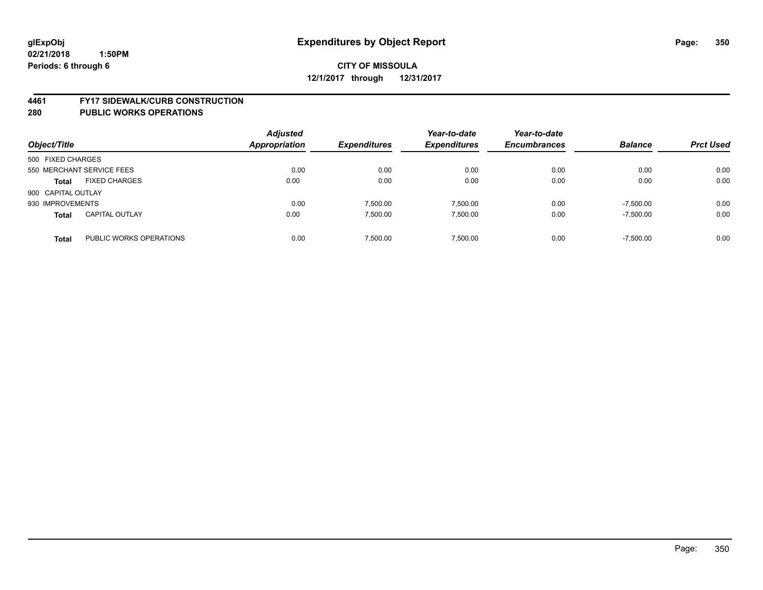#### **4461 FY17 SIDEWALK/CURB CONSTRUCTION**

| Object/Title                            | <b>Adjusted</b><br><b>Appropriation</b> | <b>Expenditures</b> | Year-to-date<br><b>Expenditures</b> | Year-to-date<br><b>Encumbrances</b> | <b>Balance</b> | <b>Prct Used</b> |
|-----------------------------------------|-----------------------------------------|---------------------|-------------------------------------|-------------------------------------|----------------|------------------|
| 500 FIXED CHARGES                       |                                         |                     |                                     |                                     |                |                  |
| 550 MERCHANT SERVICE FEES               | 0.00                                    | 0.00                | 0.00                                | 0.00                                | 0.00           | 0.00             |
| <b>FIXED CHARGES</b><br><b>Total</b>    | 0.00                                    | 0.00                | 0.00                                | 0.00                                | 0.00           | 0.00             |
| 900 CAPITAL OUTLAY                      |                                         |                     |                                     |                                     |                |                  |
| 930 IMPROVEMENTS                        | 0.00                                    | 7.500.00            | 7.500.00                            | 0.00                                | $-7.500.00$    | 0.00             |
| <b>CAPITAL OUTLAY</b><br><b>Total</b>   | 0.00                                    | 7,500.00            | 7.500.00                            | 0.00                                | $-7,500.00$    | 0.00             |
| PUBLIC WORKS OPERATIONS<br><b>Total</b> | 0.00                                    | 7.500.00            | 7.500.00                            | 0.00                                | $-7.500.00$    | 0.00             |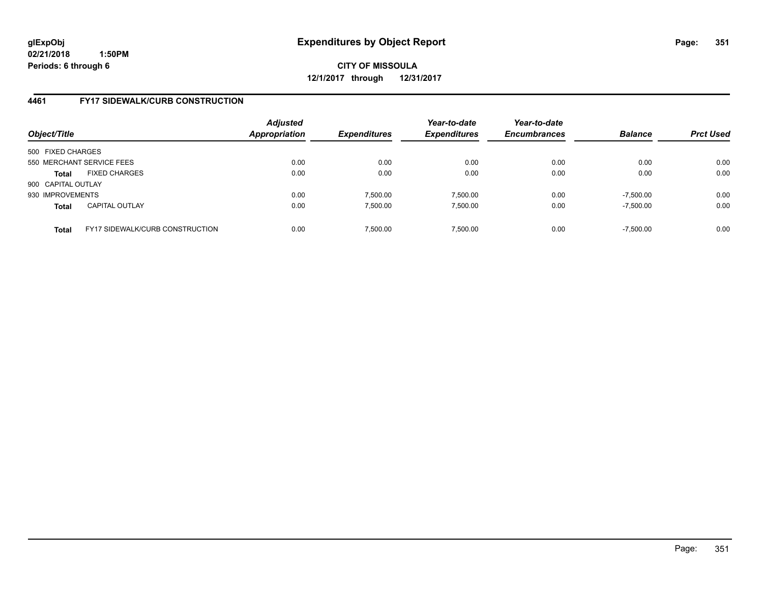**CITY OF MISSOULA 12/1/2017 through 12/31/2017**

## **4461 FY17 SIDEWALK/CURB CONSTRUCTION**

| Object/Title       |                                        | <b>Adjusted</b><br>Appropriation | <b>Expenditures</b> | Year-to-date<br><b>Expenditures</b> | Year-to-date<br><b>Encumbrances</b> | <b>Balance</b> | <b>Prct Used</b> |
|--------------------|----------------------------------------|----------------------------------|---------------------|-------------------------------------|-------------------------------------|----------------|------------------|
| 500 FIXED CHARGES  |                                        |                                  |                     |                                     |                                     |                |                  |
|                    | 550 MERCHANT SERVICE FEES              | 0.00                             | 0.00                | 0.00                                | 0.00                                | 0.00           | 0.00             |
| Total              | <b>FIXED CHARGES</b>                   | 0.00                             | 0.00                | 0.00                                | 0.00                                | 0.00           | 0.00             |
| 900 CAPITAL OUTLAY |                                        |                                  |                     |                                     |                                     |                |                  |
| 930 IMPROVEMENTS   |                                        | 0.00                             | 7.500.00            | 7.500.00                            | 0.00                                | $-7.500.00$    | 0.00             |
| <b>Total</b>       | <b>CAPITAL OUTLAY</b>                  | 0.00                             | 7,500.00            | 7,500.00                            | 0.00                                | $-7,500.00$    | 0.00             |
| <b>Total</b>       | <b>FY17 SIDEWALK/CURB CONSTRUCTION</b> | 0.00                             | 7,500.00            | 7.500.00                            | 0.00                                | $-7,500.00$    | 0.00             |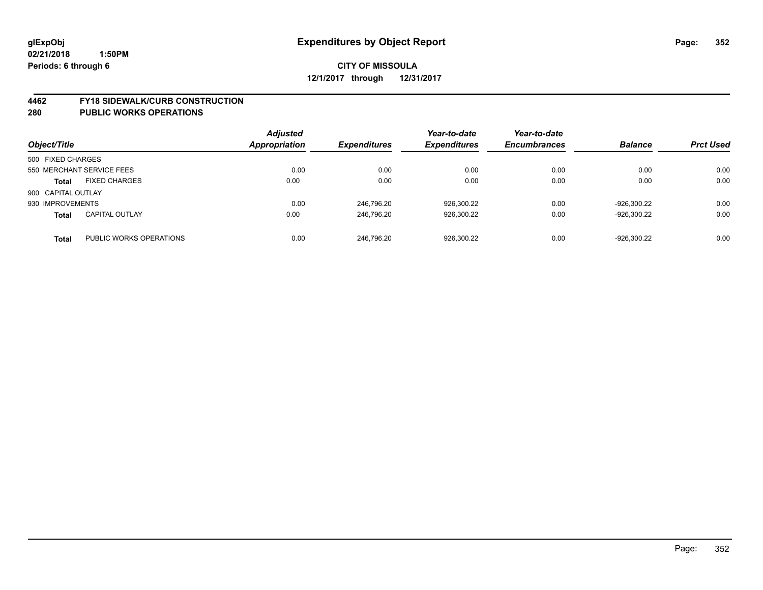#### **4462 FY18 SIDEWALK/CURB CONSTRUCTION**

| Object/Title       |                           | <b>Adjusted</b><br><b>Appropriation</b> | <b>Expenditures</b> | Year-to-date<br><b>Expenditures</b> | Year-to-date<br><b>Encumbrances</b> | <b>Balance</b> | <b>Prct Used</b> |
|--------------------|---------------------------|-----------------------------------------|---------------------|-------------------------------------|-------------------------------------|----------------|------------------|
| 500 FIXED CHARGES  |                           |                                         |                     |                                     |                                     |                |                  |
|                    | 550 MERCHANT SERVICE FEES | 0.00                                    | 0.00                | 0.00                                | 0.00                                | 0.00           | 0.00             |
| <b>Total</b>       | <b>FIXED CHARGES</b>      | 0.00                                    | 0.00                | 0.00                                | 0.00                                | 0.00           | 0.00             |
| 900 CAPITAL OUTLAY |                           |                                         |                     |                                     |                                     |                |                  |
| 930 IMPROVEMENTS   |                           | 0.00                                    | 246.796.20          | 926,300.22                          | 0.00                                | $-926.300.22$  | 0.00             |
| <b>Total</b>       | <b>CAPITAL OUTLAY</b>     | 0.00                                    | 246.796.20          | 926,300.22                          | 0.00                                | $-926,300.22$  | 0.00             |
| <b>Total</b>       | PUBLIC WORKS OPERATIONS   | 0.00                                    | 246.796.20          | 926.300.22                          | 0.00                                | $-926.300.22$  | 0.00             |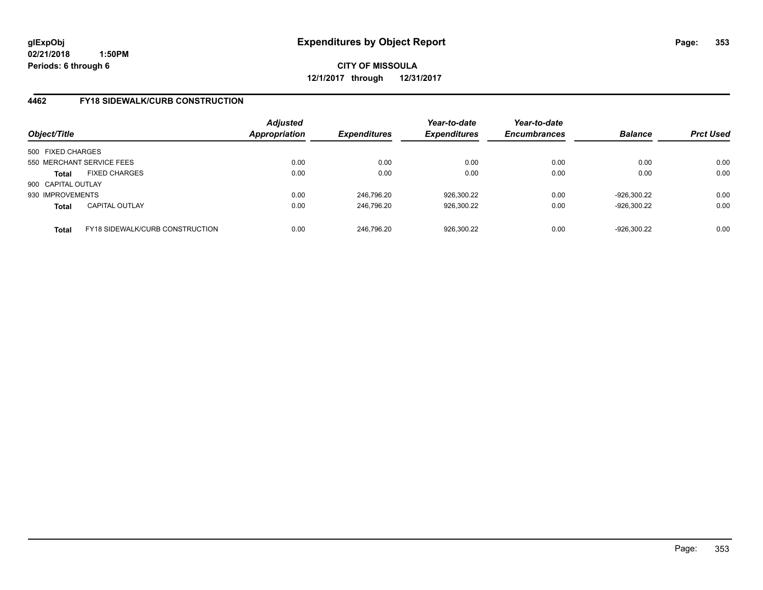**CITY OF MISSOULA 12/1/2017 through 12/31/2017**

## **4462 FY18 SIDEWALK/CURB CONSTRUCTION**

| Object/Title       |                                        | <b>Adjusted</b><br><b>Appropriation</b> | <b>Expenditures</b> | Year-to-date<br><b>Expenditures</b> | Year-to-date<br><b>Encumbrances</b> | <b>Balance</b> | <b>Prct Used</b> |
|--------------------|----------------------------------------|-----------------------------------------|---------------------|-------------------------------------|-------------------------------------|----------------|------------------|
| 500 FIXED CHARGES  |                                        |                                         |                     |                                     |                                     |                |                  |
|                    | 550 MERCHANT SERVICE FEES              | 0.00                                    | 0.00                | 0.00                                | 0.00                                | 0.00           | 0.00             |
| <b>Total</b>       | <b>FIXED CHARGES</b>                   | 0.00                                    | 0.00                | 0.00                                | 0.00                                | 0.00           | 0.00             |
| 900 CAPITAL OUTLAY |                                        |                                         |                     |                                     |                                     |                |                  |
| 930 IMPROVEMENTS   |                                        | 0.00                                    | 246.796.20          | 926,300.22                          | 0.00                                | -926.300.22    | 0.00             |
| <b>Total</b>       | <b>CAPITAL OUTLAY</b>                  | 0.00                                    | 246.796.20          | 926,300.22                          | 0.00                                | -926,300.22    | 0.00             |
| <b>Total</b>       | <b>FY18 SIDEWALK/CURB CONSTRUCTION</b> | 0.00                                    | 246.796.20          | 926.300.22                          | 0.00                                | -926.300.22    | 0.00             |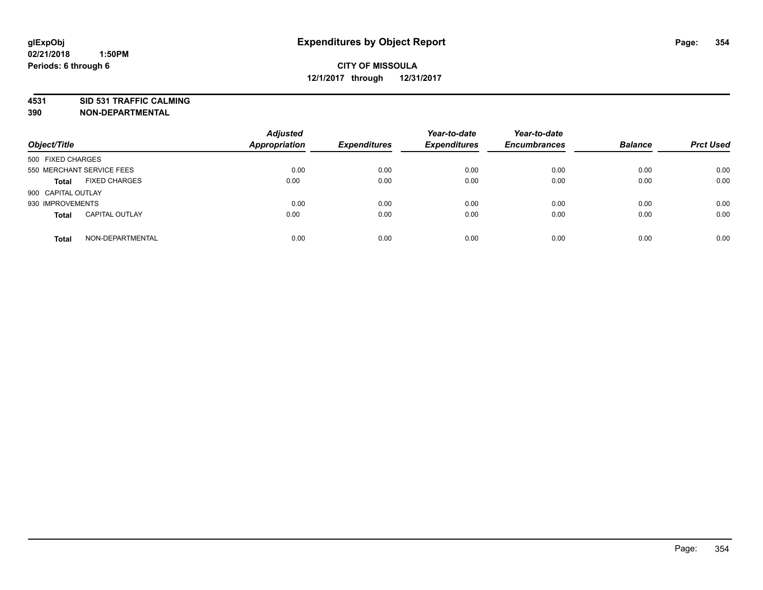**4531 SID 531 TRAFFIC CALMING**

**390 NON-DEPARTMENTAL**

| Object/Title                          | <b>Adjusted</b><br><b>Appropriation</b> | <b>Expenditures</b> | Year-to-date<br><b>Expenditures</b> | Year-to-date<br><b>Encumbrances</b> | <b>Balance</b> | <b>Prct Used</b> |
|---------------------------------------|-----------------------------------------|---------------------|-------------------------------------|-------------------------------------|----------------|------------------|
| 500 FIXED CHARGES                     |                                         |                     |                                     |                                     |                |                  |
| 550 MERCHANT SERVICE FEES             | 0.00                                    | 0.00                | 0.00                                | 0.00                                | 0.00           | 0.00             |
| <b>FIXED CHARGES</b><br><b>Total</b>  | 0.00                                    | 0.00                | 0.00                                | 0.00                                | 0.00           | 0.00             |
| 900 CAPITAL OUTLAY                    |                                         |                     |                                     |                                     |                |                  |
| 930 IMPROVEMENTS                      | 0.00                                    | 0.00                | 0.00                                | 0.00                                | 0.00           | 0.00             |
| <b>CAPITAL OUTLAY</b><br><b>Total</b> | 0.00                                    | 0.00                | 0.00                                | 0.00                                | 0.00           | 0.00             |
| NON-DEPARTMENTAL<br><b>Total</b>      | 0.00                                    | 0.00                | 0.00                                | 0.00                                | 0.00           | 0.00             |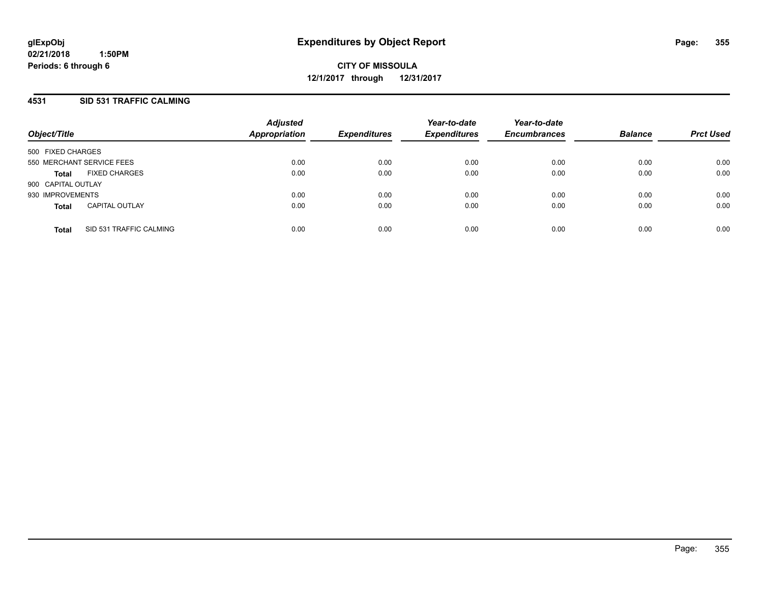### **4531 SID 531 TRAFFIC CALMING**

| Object/Title              |                         | <b>Adjusted</b><br><b>Appropriation</b> | <b>Expenditures</b> | Year-to-date<br><b>Expenditures</b> | Year-to-date<br><b>Encumbrances</b> | <b>Balance</b> | <b>Prct Used</b> |
|---------------------------|-------------------------|-----------------------------------------|---------------------|-------------------------------------|-------------------------------------|----------------|------------------|
| 500 FIXED CHARGES         |                         |                                         |                     |                                     |                                     |                |                  |
| 550 MERCHANT SERVICE FEES |                         | 0.00                                    | 0.00                | 0.00                                | 0.00                                | 0.00           | 0.00             |
| <b>Total</b>              | <b>FIXED CHARGES</b>    | 0.00                                    | 0.00                | 0.00                                | 0.00                                | 0.00           | 0.00             |
| 900 CAPITAL OUTLAY        |                         |                                         |                     |                                     |                                     |                |                  |
| 930 IMPROVEMENTS          |                         | 0.00                                    | 0.00                | 0.00                                | 0.00                                | 0.00           | 0.00             |
| <b>Total</b>              | <b>CAPITAL OUTLAY</b>   | 0.00                                    | 0.00                | 0.00                                | 0.00                                | 0.00           | 0.00             |
| <b>Total</b>              | SID 531 TRAFFIC CALMING | 0.00                                    | 0.00                | 0.00                                | 0.00                                | 0.00           | 0.00             |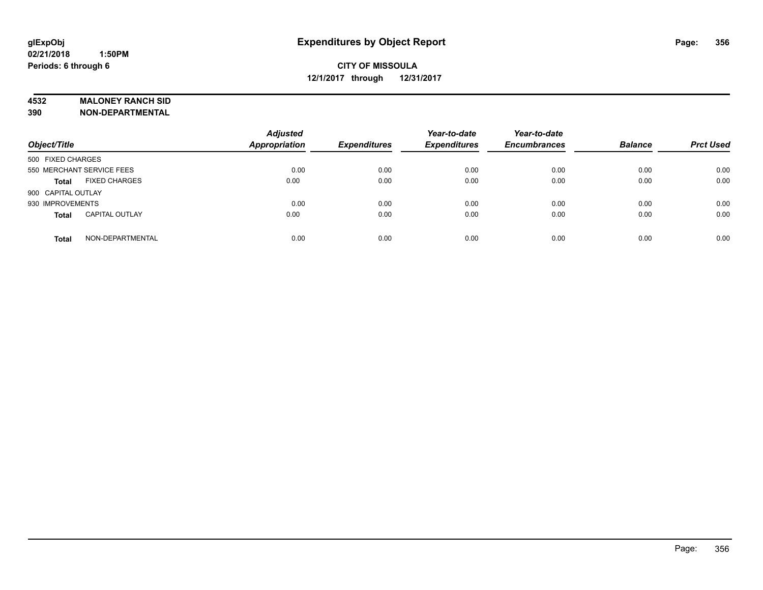### **4532 MALONEY RANCH SID**

**390 NON-DEPARTMENTAL**

| Object/Title                          | <b>Adjusted</b><br><b>Appropriation</b> | <b>Expenditures</b> | Year-to-date<br><b>Expenditures</b> | Year-to-date<br><b>Encumbrances</b> | <b>Balance</b> | <b>Prct Used</b> |
|---------------------------------------|-----------------------------------------|---------------------|-------------------------------------|-------------------------------------|----------------|------------------|
| 500 FIXED CHARGES                     |                                         |                     |                                     |                                     |                |                  |
| 550 MERCHANT SERVICE FEES             | 0.00                                    | 0.00                | 0.00                                | 0.00                                | 0.00           | 0.00             |
| <b>FIXED CHARGES</b><br><b>Total</b>  | 0.00                                    | 0.00                | 0.00                                | 0.00                                | 0.00           | 0.00             |
| 900 CAPITAL OUTLAY                    |                                         |                     |                                     |                                     |                |                  |
| 930 IMPROVEMENTS                      | 0.00                                    | 0.00                | 0.00                                | 0.00                                | 0.00           | 0.00             |
| <b>CAPITAL OUTLAY</b><br><b>Total</b> | 0.00                                    | 0.00                | 0.00                                | 0.00                                | 0.00           | 0.00             |
| NON-DEPARTMENTAL<br><b>Total</b>      | 0.00                                    | 0.00                | 0.00                                | 0.00                                | 0.00           | 0.00             |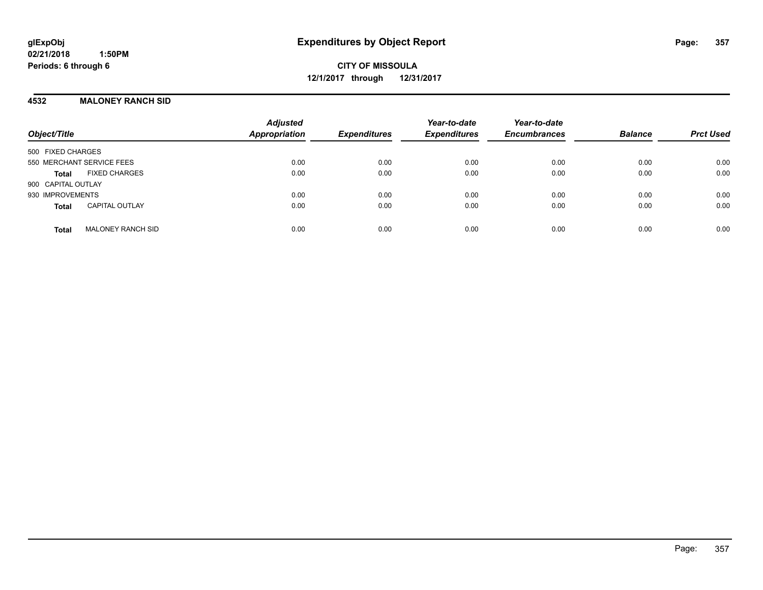**CITY OF MISSOULA 12/1/2017 through 12/31/2017**

### **4532 MALONEY RANCH SID**

| Object/Title                             | <b>Adjusted</b><br>Appropriation | <b>Expenditures</b> | Year-to-date<br><b>Expenditures</b> | Year-to-date<br><b>Encumbrances</b> | <b>Balance</b> | <b>Prct Used</b> |
|------------------------------------------|----------------------------------|---------------------|-------------------------------------|-------------------------------------|----------------|------------------|
| 500 FIXED CHARGES                        |                                  |                     |                                     |                                     |                |                  |
| 550 MERCHANT SERVICE FEES                | 0.00                             | 0.00                | 0.00                                | 0.00                                | 0.00           | 0.00             |
| <b>FIXED CHARGES</b><br>Total            | 0.00                             | 0.00                | 0.00                                | 0.00                                | 0.00           | 0.00             |
| 900 CAPITAL OUTLAY                       |                                  |                     |                                     |                                     |                |                  |
| 930 IMPROVEMENTS                         | 0.00                             | 0.00                | 0.00                                | 0.00                                | 0.00           | 0.00             |
| <b>CAPITAL OUTLAY</b><br><b>Total</b>    | 0.00                             | 0.00                | 0.00                                | 0.00                                | 0.00           | 0.00             |
| <b>MALONEY RANCH SID</b><br><b>Total</b> | 0.00                             | 0.00                | 0.00                                | 0.00                                | 0.00           | 0.00             |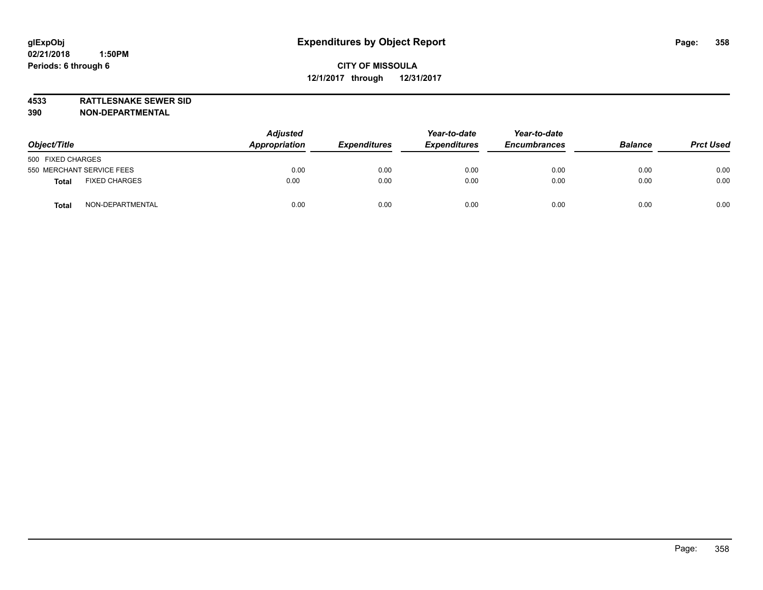**4533 RATTLESNAKE SEWER SID 390 NON-DEPARTMENTAL**

| Object/Title                         | <b>Adjusted</b><br>Appropriation | <b>Expenditures</b> | Year-to-date<br><b>Expenditures</b> | Year-to-date<br><b>Encumbrances</b> | <b>Balance</b> | <b>Prct Used</b> |
|--------------------------------------|----------------------------------|---------------------|-------------------------------------|-------------------------------------|----------------|------------------|
| 500 FIXED CHARGES                    |                                  |                     |                                     |                                     |                |                  |
| 550 MERCHANT SERVICE FEES            | 0.00                             | 0.00                | 0.00                                | 0.00                                | 0.00           | 0.00             |
| <b>FIXED CHARGES</b><br><b>Total</b> | 0.00                             | 0.00                | 0.00                                | 0.00                                | 0.00           | 0.00             |
| NON-DEPARTMENTAL<br>Tota             | 0.00                             | 0.00                | 0.00                                | 0.00                                | 0.00           | 0.00             |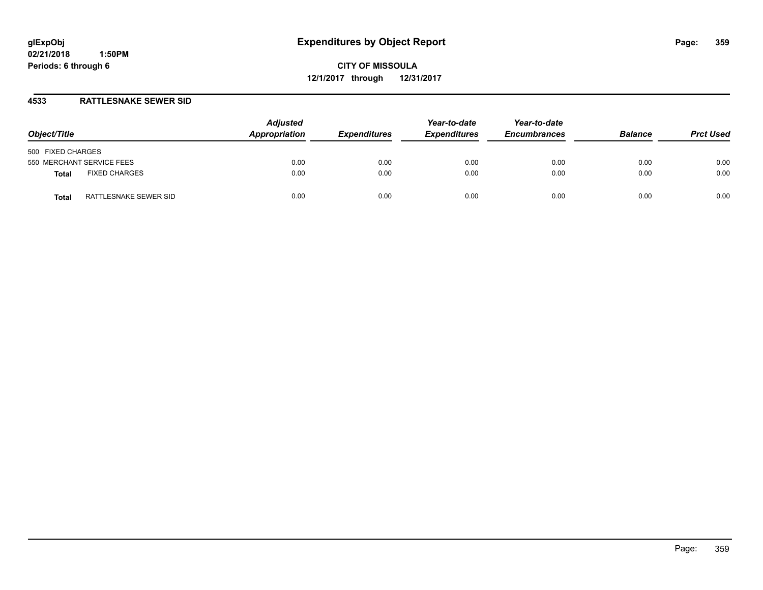**CITY OF MISSOULA 12/1/2017 through 12/31/2017**

### **4533 RATTLESNAKE SEWER SID**

| Object/Title                         | <b>Adjusted</b><br>Appropriation | <b>Expenditures</b> | Year-to-date<br><b>Expenditures</b> | Year-to-date<br><b>Encumbrances</b> | <b>Balance</b> | <b>Prct Used</b> |
|--------------------------------------|----------------------------------|---------------------|-------------------------------------|-------------------------------------|----------------|------------------|
| 500 FIXED CHARGES                    |                                  |                     |                                     |                                     |                |                  |
| 550 MERCHANT SERVICE FEES            | 0.00                             | 0.00                | 0.00                                | 0.00                                | 0.00           | 0.00             |
| <b>FIXED CHARGES</b><br><b>Total</b> | 0.00                             | 0.00                | 0.00                                | 0.00                                | 0.00           | 0.00             |
| RATTLESNAKE SEWER SID<br>Total       | 0.00                             | 0.00                | 0.00                                | 0.00                                | 0.00           | 0.00             |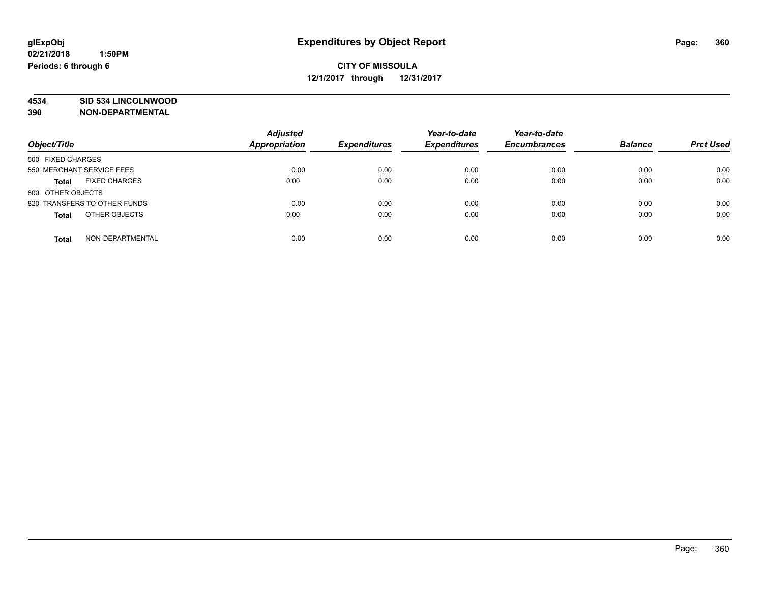### **4534 SID 534 LINCOLNWOOD**

**390 NON-DEPARTMENTAL**

| Object/Title                         | <b>Adjusted</b><br><b>Appropriation</b> | <b>Expenditures</b> | Year-to-date<br><b>Expenditures</b> | Year-to-date<br><b>Encumbrances</b> | <b>Balance</b> | <b>Prct Used</b> |
|--------------------------------------|-----------------------------------------|---------------------|-------------------------------------|-------------------------------------|----------------|------------------|
| 500 FIXED CHARGES                    |                                         |                     |                                     |                                     |                |                  |
| 550 MERCHANT SERVICE FEES            | 0.00                                    | 0.00                | 0.00                                | 0.00                                | 0.00           | 0.00             |
| <b>FIXED CHARGES</b><br><b>Total</b> | 0.00                                    | 0.00                | 0.00                                | 0.00                                | 0.00           | 0.00             |
| 800 OTHER OBJECTS                    |                                         |                     |                                     |                                     |                |                  |
| 820 TRANSFERS TO OTHER FUNDS         | 0.00                                    | 0.00                | 0.00                                | 0.00                                | 0.00           | 0.00             |
| OTHER OBJECTS<br><b>Total</b>        | 0.00                                    | 0.00                | 0.00                                | 0.00                                | 0.00           | 0.00             |
| NON-DEPARTMENTAL<br><b>Total</b>     | 0.00                                    | 0.00                | 0.00                                | 0.00                                | 0.00           | 0.00             |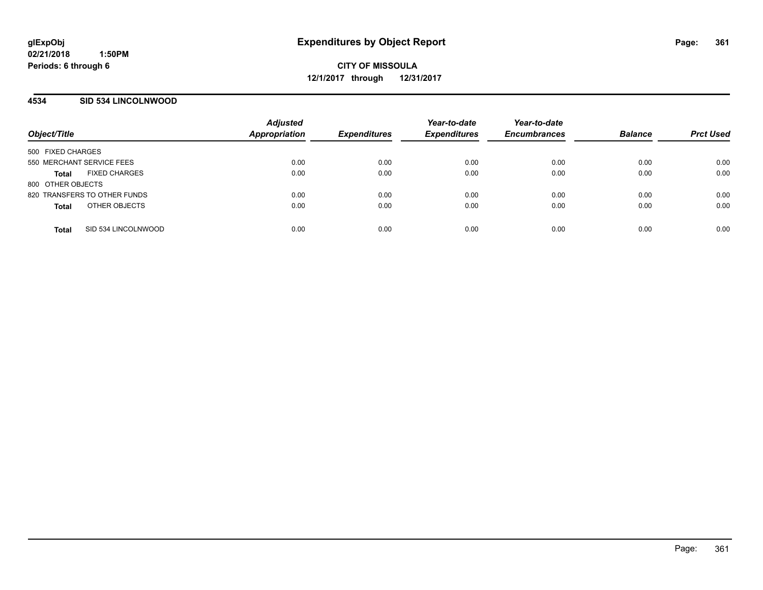### **4534 SID 534 LINCOLNWOOD**

| Object/Title                         | <b>Adjusted</b><br><b>Appropriation</b> | <b>Expenditures</b> | Year-to-date<br><b>Expenditures</b> | Year-to-date<br><b>Encumbrances</b> | <b>Balance</b> | <b>Prct Used</b> |
|--------------------------------------|-----------------------------------------|---------------------|-------------------------------------|-------------------------------------|----------------|------------------|
| 500 FIXED CHARGES                    |                                         |                     |                                     |                                     |                |                  |
| 550 MERCHANT SERVICE FEES            | 0.00                                    | 0.00                | 0.00                                | 0.00                                | 0.00           | 0.00             |
| <b>FIXED CHARGES</b><br><b>Total</b> | 0.00                                    | 0.00                | 0.00                                | 0.00                                | 0.00           | 0.00             |
| 800 OTHER OBJECTS                    |                                         |                     |                                     |                                     |                |                  |
| 820 TRANSFERS TO OTHER FUNDS         | 0.00                                    | 0.00                | 0.00                                | 0.00                                | 0.00           | 0.00             |
| OTHER OBJECTS<br><b>Total</b>        | 0.00                                    | 0.00                | 0.00                                | 0.00                                | 0.00           | 0.00             |
|                                      |                                         |                     |                                     |                                     |                |                  |
| SID 534 LINCOLNWOOD<br><b>Total</b>  | 0.00                                    | 0.00                | 0.00                                | 0.00                                | 0.00           | 0.00             |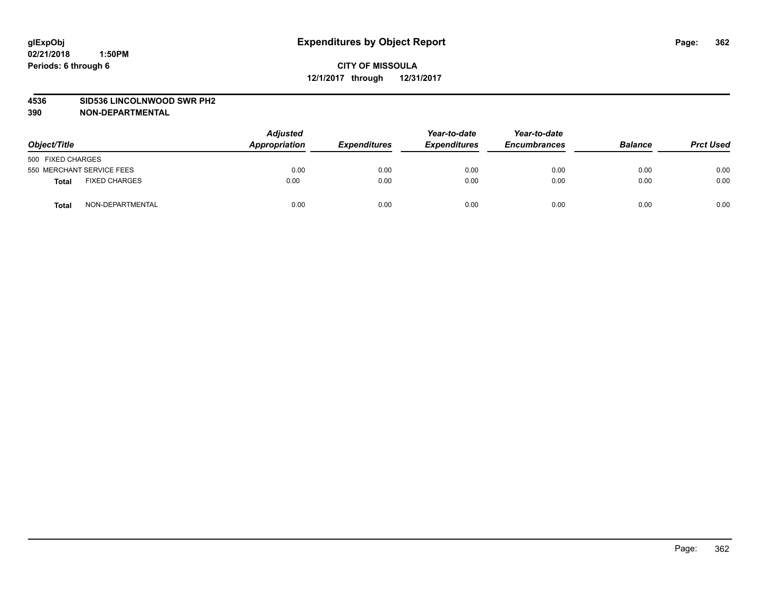#### **4536 SID536 LINCOLNWOOD SWR PH2**

| Object/Title                         |                  | <b>Adjusted</b><br>Appropriation | <b>Expenditures</b> | Year-to-date<br><b>Expenditures</b> | Year-to-date<br><b>Encumbrances</b> | <b>Balance</b> | <b>Prct Used</b> |
|--------------------------------------|------------------|----------------------------------|---------------------|-------------------------------------|-------------------------------------|----------------|------------------|
| 500 FIXED CHARGES                    |                  |                                  |                     |                                     |                                     |                |                  |
| 550 MERCHANT SERVICE FEES            |                  | 0.00                             | 0.00                | 0.00                                | 0.00                                | 0.00           | 0.00             |
| <b>FIXED CHARGES</b><br><b>Total</b> |                  | 0.00                             | 0.00                | 0.00                                | 0.00                                | 0.00           | 0.00             |
| Total                                | NON-DEPARTMENTAL | 0.00                             | 0.00                | 0.00                                | 0.00                                | 0.00           | 0.00             |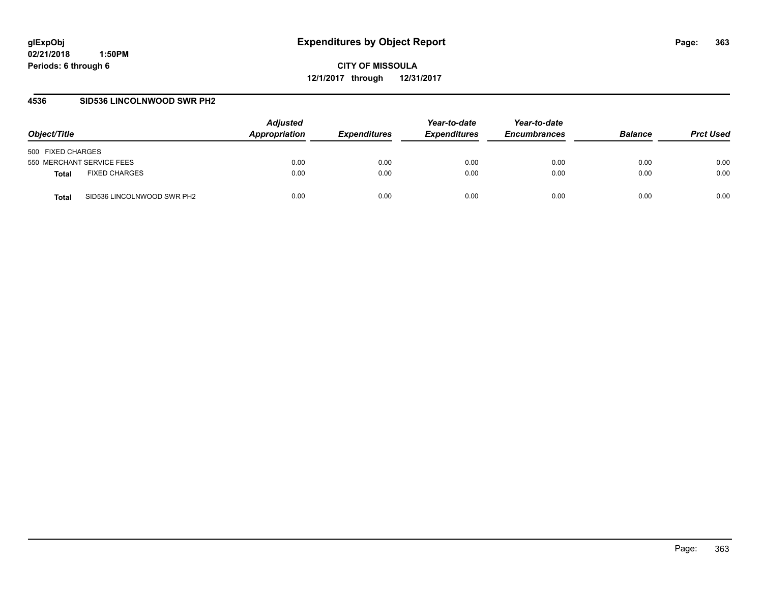#### **4536 SID536 LINCOLNWOOD SWR PH2**

| Object/Title                               | <b>Adjusted</b><br>Appropriation | <i><b>Expenditures</b></i> | Year-to-date<br><b>Expenditures</b> | Year-to-date<br><b>Encumbrances</b> | <b>Balance</b> | <b>Prct Used</b> |
|--------------------------------------------|----------------------------------|----------------------------|-------------------------------------|-------------------------------------|----------------|------------------|
| 500 FIXED CHARGES                          |                                  |                            |                                     |                                     |                |                  |
| 550 MERCHANT SERVICE FEES                  | 0.00                             | 0.00                       | 0.00                                | 0.00                                | 0.00           | 0.00             |
| <b>FIXED CHARGES</b><br>Total              | 0.00                             | 0.00                       | 0.00                                | 0.00                                | 0.00           | 0.00             |
| SID536 LINCOLNWOOD SWR PH2<br><b>Total</b> | 0.00                             | 0.00                       | 0.00                                | 0.00                                | 0.00           | 0.00             |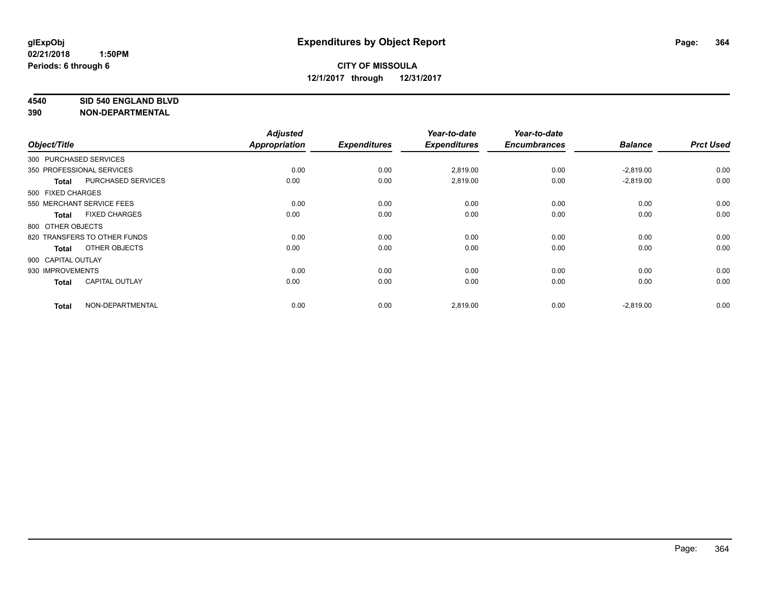#### **4540 SID 540 ENGLAND BLVD**

| Object/Title           |                              | <b>Adjusted</b><br><b>Appropriation</b> | <b>Expenditures</b> | Year-to-date<br><b>Expenditures</b> | Year-to-date<br><b>Encumbrances</b> | <b>Balance</b> | <b>Prct Used</b> |
|------------------------|------------------------------|-----------------------------------------|---------------------|-------------------------------------|-------------------------------------|----------------|------------------|
| 300 PURCHASED SERVICES |                              |                                         |                     |                                     |                                     |                |                  |
|                        | 350 PROFESSIONAL SERVICES    | 0.00                                    | 0.00                | 2,819.00                            | 0.00                                | $-2,819.00$    | 0.00             |
| <b>Total</b>           | <b>PURCHASED SERVICES</b>    | 0.00                                    | 0.00                | 2,819.00                            | 0.00                                | $-2,819.00$    | 0.00             |
| 500 FIXED CHARGES      |                              |                                         |                     |                                     |                                     |                |                  |
|                        | 550 MERCHANT SERVICE FEES    | 0.00                                    | 0.00                | 0.00                                | 0.00                                | 0.00           | 0.00             |
| <b>Total</b>           | <b>FIXED CHARGES</b>         | 0.00                                    | 0.00                | 0.00                                | 0.00                                | 0.00           | 0.00             |
| 800 OTHER OBJECTS      |                              |                                         |                     |                                     |                                     |                |                  |
|                        | 820 TRANSFERS TO OTHER FUNDS | 0.00                                    | 0.00                | 0.00                                | 0.00                                | 0.00           | 0.00             |
| <b>Total</b>           | OTHER OBJECTS                | 0.00                                    | 0.00                | 0.00                                | 0.00                                | 0.00           | 0.00             |
| 900 CAPITAL OUTLAY     |                              |                                         |                     |                                     |                                     |                |                  |
| 930 IMPROVEMENTS       |                              | 0.00                                    | 0.00                | 0.00                                | 0.00                                | 0.00           | 0.00             |
| <b>Total</b>           | <b>CAPITAL OUTLAY</b>        | 0.00                                    | 0.00                | 0.00                                | 0.00                                | 0.00           | 0.00             |
| <b>Total</b>           | NON-DEPARTMENTAL             | 0.00                                    | 0.00                | 2,819.00                            | 0.00                                | $-2,819.00$    | 0.00             |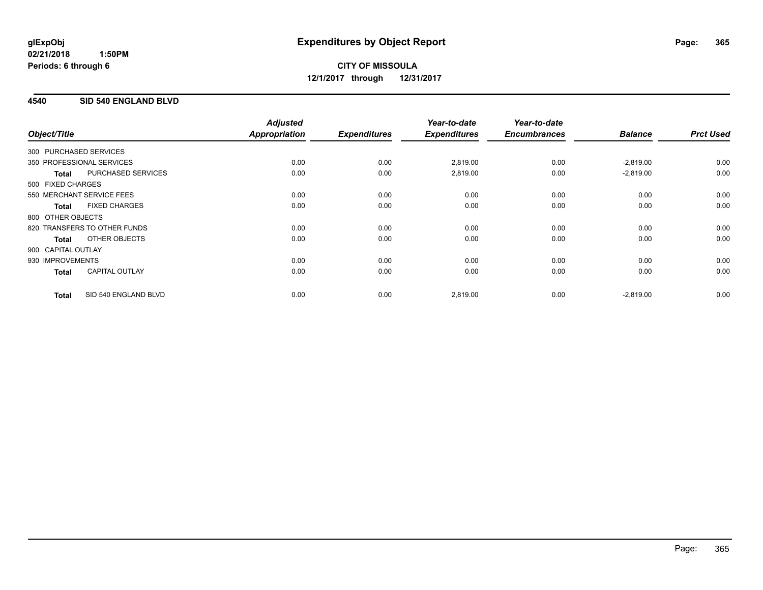### **4540 SID 540 ENGLAND BLVD**

|                        |                              | <b>Adjusted</b> |                     | Year-to-date        | Year-to-date        |                |                  |
|------------------------|------------------------------|-----------------|---------------------|---------------------|---------------------|----------------|------------------|
| Object/Title           |                              | Appropriation   | <b>Expenditures</b> | <b>Expenditures</b> | <b>Encumbrances</b> | <b>Balance</b> | <b>Prct Used</b> |
| 300 PURCHASED SERVICES |                              |                 |                     |                     |                     |                |                  |
|                        | 350 PROFESSIONAL SERVICES    | 0.00            | 0.00                | 2,819.00            | 0.00                | $-2,819.00$    | 0.00             |
| <b>Total</b>           | PURCHASED SERVICES           | 0.00            | 0.00                | 2,819.00            | 0.00                | $-2,819.00$    | 0.00             |
| 500 FIXED CHARGES      |                              |                 |                     |                     |                     |                |                  |
|                        | 550 MERCHANT SERVICE FEES    | 0.00            | 0.00                | 0.00                | 0.00                | 0.00           | 0.00             |
| <b>Total</b>           | <b>FIXED CHARGES</b>         | 0.00            | 0.00                | 0.00                | 0.00                | 0.00           | 0.00             |
| 800 OTHER OBJECTS      |                              |                 |                     |                     |                     |                |                  |
|                        | 820 TRANSFERS TO OTHER FUNDS | 0.00            | 0.00                | 0.00                | 0.00                | 0.00           | 0.00             |
| Total                  | OTHER OBJECTS                | 0.00            | 0.00                | 0.00                | 0.00                | 0.00           | 0.00             |
| 900 CAPITAL OUTLAY     |                              |                 |                     |                     |                     |                |                  |
| 930 IMPROVEMENTS       |                              | 0.00            | 0.00                | 0.00                | 0.00                | 0.00           | 0.00             |
| <b>Total</b>           | <b>CAPITAL OUTLAY</b>        | 0.00            | 0.00                | 0.00                | 0.00                | 0.00           | 0.00             |
| <b>Total</b>           | SID 540 ENGLAND BLVD         | 0.00            | 0.00                | 2,819.00            | 0.00                | $-2,819.00$    | 0.00             |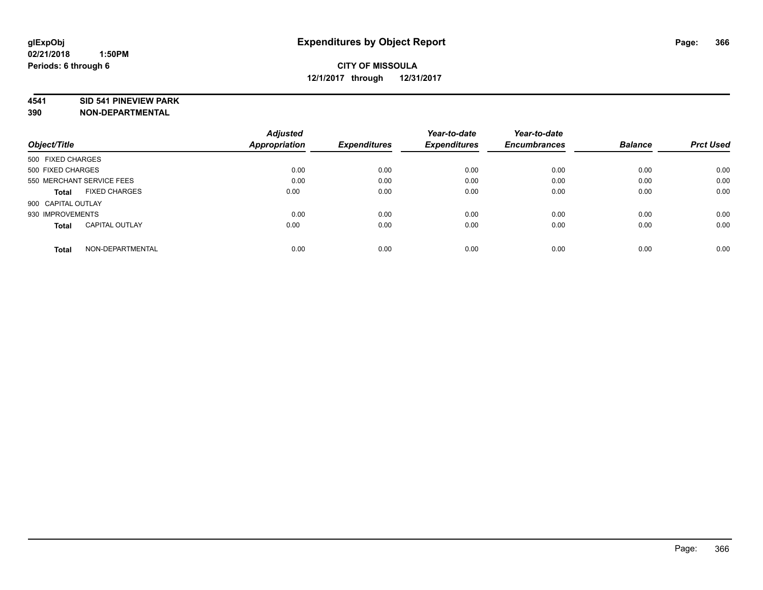#### **4541 SID 541 PINEVIEW PARK**

|                                       | <b>Adjusted</b>      |                     | Year-to-date        | Year-to-date        |                |                  |
|---------------------------------------|----------------------|---------------------|---------------------|---------------------|----------------|------------------|
| Object/Title                          | <b>Appropriation</b> | <b>Expenditures</b> | <b>Expenditures</b> | <b>Encumbrances</b> | <b>Balance</b> | <b>Prct Used</b> |
| 500 FIXED CHARGES                     |                      |                     |                     |                     |                |                  |
| 500 FIXED CHARGES                     | 0.00                 | 0.00                | 0.00                | 0.00                | 0.00           | 0.00             |
| 550 MERCHANT SERVICE FEES             | 0.00                 | 0.00                | 0.00                | 0.00                | 0.00           | 0.00             |
| <b>FIXED CHARGES</b><br>Total         | 0.00                 | 0.00                | 0.00                | 0.00                | 0.00           | 0.00             |
| 900 CAPITAL OUTLAY                    |                      |                     |                     |                     |                |                  |
| 930 IMPROVEMENTS                      | 0.00                 | 0.00                | 0.00                | 0.00                | 0.00           | 0.00             |
| <b>CAPITAL OUTLAY</b><br><b>Total</b> | 0.00                 | 0.00                | 0.00                | 0.00                | 0.00           | 0.00             |
| NON-DEPARTMENTAL<br><b>Total</b>      | 0.00                 | 0.00                | 0.00                | 0.00                | 0.00           | 0.00             |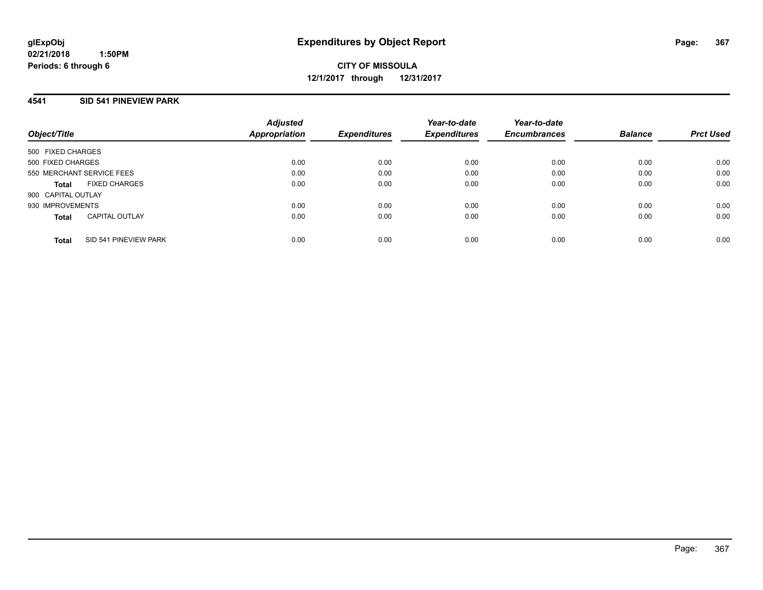## **4541 SID 541 PINEVIEW PARK**

| Object/Title              |                       | <b>Adjusted</b><br>Appropriation | <b>Expenditures</b> | Year-to-date<br><b>Expenditures</b> | Year-to-date<br><b>Encumbrances</b> | <b>Balance</b> | <b>Prct Used</b> |
|---------------------------|-----------------------|----------------------------------|---------------------|-------------------------------------|-------------------------------------|----------------|------------------|
| 500 FIXED CHARGES         |                       |                                  |                     |                                     |                                     |                |                  |
| 500 FIXED CHARGES         |                       | 0.00                             | 0.00                | 0.00                                | 0.00                                | 0.00           | 0.00             |
| 550 MERCHANT SERVICE FEES |                       | 0.00                             | 0.00                | 0.00                                | 0.00                                | 0.00           | 0.00             |
| <b>Total</b>              | <b>FIXED CHARGES</b>  | 0.00                             | 0.00                | 0.00                                | 0.00                                | 0.00           | 0.00             |
| 900 CAPITAL OUTLAY        |                       |                                  |                     |                                     |                                     |                |                  |
| 930 IMPROVEMENTS          |                       | 0.00                             | 0.00                | 0.00                                | 0.00                                | 0.00           | 0.00             |
| <b>Total</b>              | <b>CAPITAL OUTLAY</b> | 0.00                             | 0.00                | 0.00                                | 0.00                                | 0.00           | 0.00             |
| <b>Total</b>              | SID 541 PINEVIEW PARK | 0.00                             | 0.00                | 0.00                                | 0.00                                | 0.00           | 0.00             |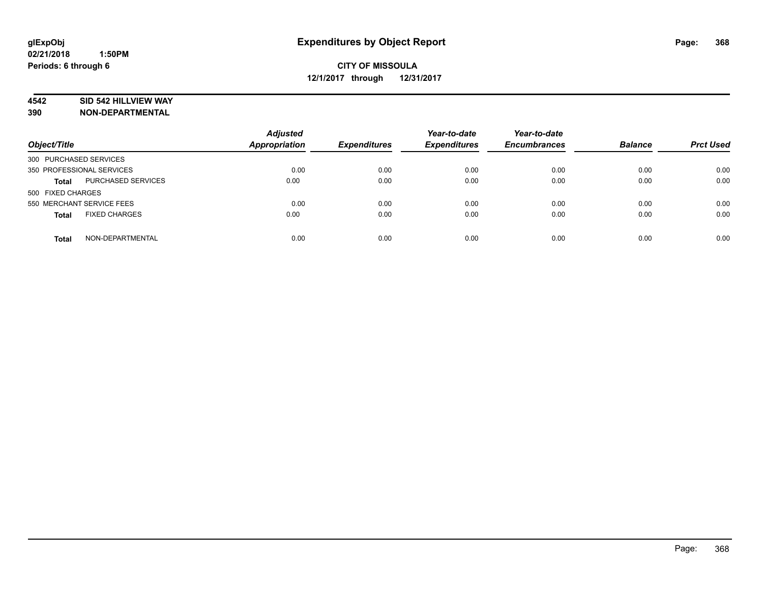## **4542 SID 542 HILLVIEW WAY**

| Object/Title                         | <b>Adjusted</b><br>Appropriation | <b>Expenditures</b> | Year-to-date<br><b>Expenditures</b> | Year-to-date<br><b>Encumbrances</b> | <b>Balance</b> | <b>Prct Used</b> |
|--------------------------------------|----------------------------------|---------------------|-------------------------------------|-------------------------------------|----------------|------------------|
| 300 PURCHASED SERVICES               |                                  |                     |                                     |                                     |                |                  |
| 350 PROFESSIONAL SERVICES            | 0.00                             | 0.00                | 0.00                                | 0.00                                | 0.00           | 0.00             |
| PURCHASED SERVICES<br><b>Total</b>   | 0.00                             | 0.00                | 0.00                                | 0.00                                | 0.00           | 0.00             |
| 500 FIXED CHARGES                    |                                  |                     |                                     |                                     |                |                  |
| 550 MERCHANT SERVICE FEES            | 0.00                             | 0.00                | 0.00                                | 0.00                                | 0.00           | 0.00             |
| <b>FIXED CHARGES</b><br><b>Total</b> | 0.00                             | 0.00                | 0.00                                | 0.00                                | 0.00           | 0.00             |
| NON-DEPARTMENTAL<br><b>Total</b>     | 0.00                             | 0.00                | 0.00                                | 0.00                                | 0.00           | 0.00             |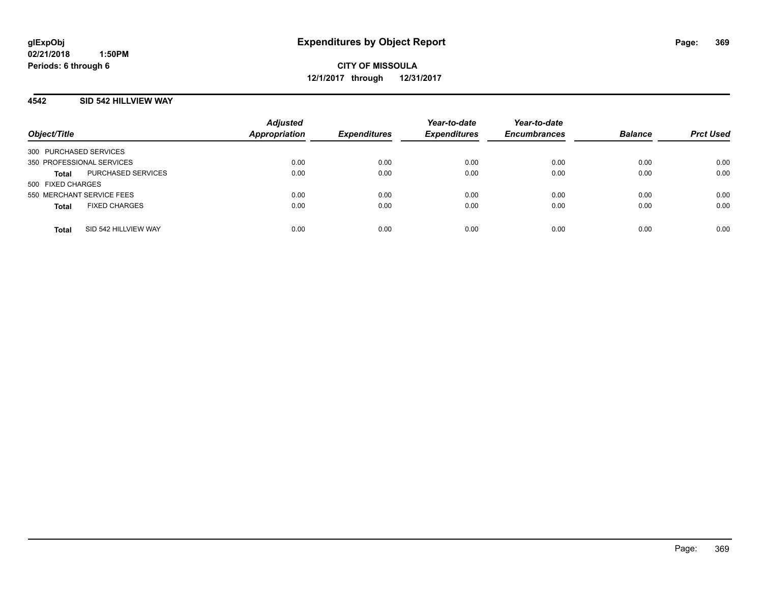#### **4542 SID 542 HILLVIEW WAY**

| Object/Title              |                      | <b>Adjusted</b><br><b>Appropriation</b> | <b>Expenditures</b> | Year-to-date<br><b>Expenditures</b> | Year-to-date<br><b>Encumbrances</b> | <b>Balance</b> | <b>Prct Used</b> |
|---------------------------|----------------------|-----------------------------------------|---------------------|-------------------------------------|-------------------------------------|----------------|------------------|
| 300 PURCHASED SERVICES    |                      |                                         |                     |                                     |                                     |                |                  |
| 350 PROFESSIONAL SERVICES |                      | 0.00                                    | 0.00                | 0.00                                | 0.00                                | 0.00           | 0.00             |
| <b>Total</b>              | PURCHASED SERVICES   | 0.00                                    | 0.00                | 0.00                                | 0.00                                | 0.00           | 0.00             |
| 500 FIXED CHARGES         |                      |                                         |                     |                                     |                                     |                |                  |
| 550 MERCHANT SERVICE FEES |                      | 0.00                                    | 0.00                | 0.00                                | 0.00                                | 0.00           | 0.00             |
| <b>Total</b>              | <b>FIXED CHARGES</b> | 0.00                                    | 0.00                | 0.00                                | 0.00                                | 0.00           | 0.00             |
| <b>Total</b>              | SID 542 HILLVIEW WAY | 0.00                                    | 0.00                | 0.00                                | 0.00                                | 0.00           | 0.00             |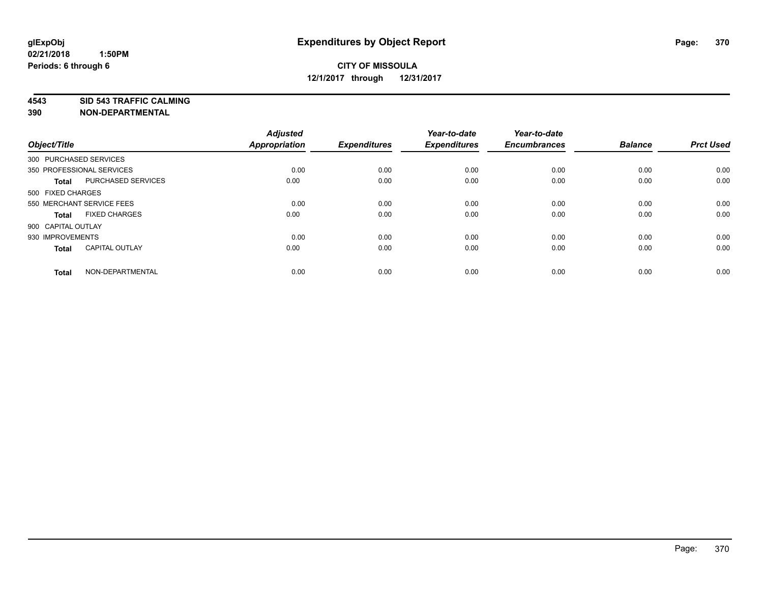**4543 SID 543 TRAFFIC CALMING**

| Object/Title           |                           | <b>Adjusted</b><br>Appropriation | <b>Expenditures</b> | Year-to-date<br><b>Expenditures</b> | Year-to-date<br><b>Encumbrances</b> | <b>Balance</b> | <b>Prct Used</b> |
|------------------------|---------------------------|----------------------------------|---------------------|-------------------------------------|-------------------------------------|----------------|------------------|
| 300 PURCHASED SERVICES |                           |                                  |                     |                                     |                                     |                |                  |
|                        | 350 PROFESSIONAL SERVICES | 0.00                             | 0.00                | 0.00                                | 0.00                                | 0.00           | 0.00             |
| <b>Total</b>           | PURCHASED SERVICES        | 0.00                             | 0.00                | 0.00                                | 0.00                                | 0.00           | 0.00             |
| 500 FIXED CHARGES      |                           |                                  |                     |                                     |                                     |                |                  |
|                        | 550 MERCHANT SERVICE FEES | 0.00                             | 0.00                | 0.00                                | 0.00                                | 0.00           | 0.00             |
| Total                  | <b>FIXED CHARGES</b>      | 0.00                             | 0.00                | 0.00                                | 0.00                                | 0.00           | 0.00             |
| 900 CAPITAL OUTLAY     |                           |                                  |                     |                                     |                                     |                |                  |
| 930 IMPROVEMENTS       |                           | 0.00                             | 0.00                | 0.00                                | 0.00                                | 0.00           | 0.00             |
| Total                  | <b>CAPITAL OUTLAY</b>     | 0.00                             | 0.00                | 0.00                                | 0.00                                | 0.00           | 0.00             |
| <b>Total</b>           | NON-DEPARTMENTAL          | 0.00                             | 0.00                | 0.00                                | 0.00                                | 0.00           | 0.00             |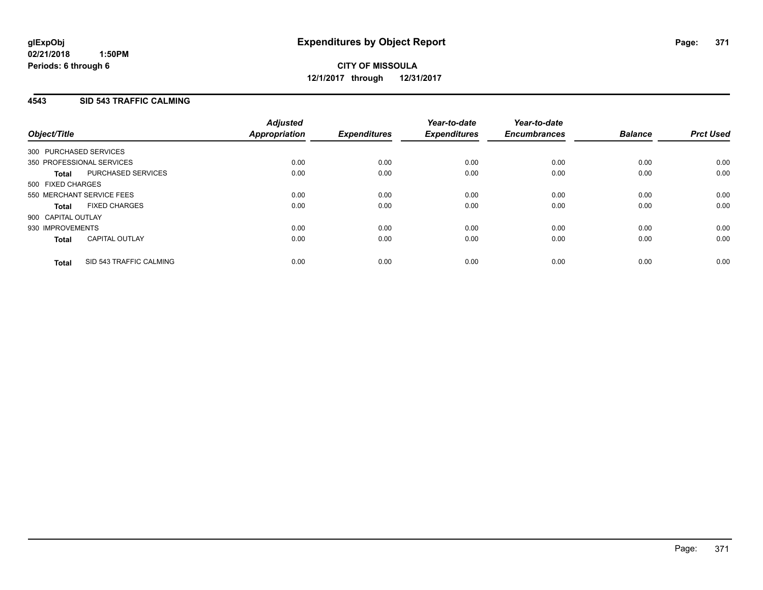## **4543 SID 543 TRAFFIC CALMING**

| Object/Title                            | <b>Adjusted</b><br>Appropriation | <b>Expenditures</b> | Year-to-date<br><b>Expenditures</b> | Year-to-date<br><b>Encumbrances</b> | <b>Balance</b> | <b>Prct Used</b> |
|-----------------------------------------|----------------------------------|---------------------|-------------------------------------|-------------------------------------|----------------|------------------|
| 300 PURCHASED SERVICES                  |                                  |                     |                                     |                                     |                |                  |
| 350 PROFESSIONAL SERVICES               | 0.00                             | 0.00                | 0.00                                | 0.00                                | 0.00           | 0.00             |
| PURCHASED SERVICES<br><b>Total</b>      | 0.00                             | 0.00                | 0.00                                | 0.00                                | 0.00           | 0.00             |
| 500 FIXED CHARGES                       |                                  |                     |                                     |                                     |                |                  |
| 550 MERCHANT SERVICE FEES               | 0.00                             | 0.00                | 0.00                                | 0.00                                | 0.00           | 0.00             |
| <b>FIXED CHARGES</b><br><b>Total</b>    | 0.00                             | 0.00                | 0.00                                | 0.00                                | 0.00           | 0.00             |
| 900 CAPITAL OUTLAY                      |                                  |                     |                                     |                                     |                |                  |
| 930 IMPROVEMENTS                        | 0.00                             | 0.00                | 0.00                                | 0.00                                | 0.00           | 0.00             |
| <b>CAPITAL OUTLAY</b><br><b>Total</b>   | 0.00                             | 0.00                | 0.00                                | 0.00                                | 0.00           | 0.00             |
| SID 543 TRAFFIC CALMING<br><b>Total</b> | 0.00                             | 0.00                | 0.00                                | 0.00                                | 0.00           | 0.00             |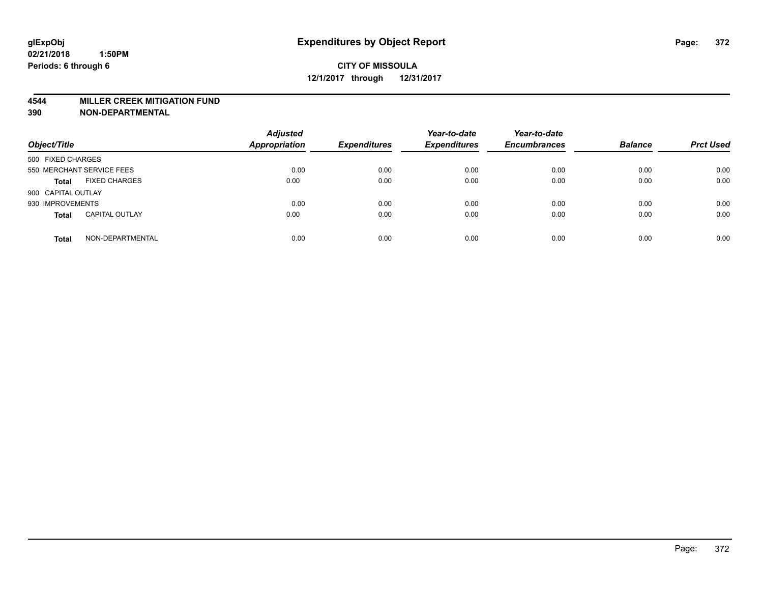#### **4544 MILLER CREEK MITIGATION FUND**

| Object/Title                          | <b>Adjusted</b><br><b>Appropriation</b> | <b>Expenditures</b> | Year-to-date<br><b>Expenditures</b> | Year-to-date<br><b>Encumbrances</b> | <b>Balance</b> | <b>Prct Used</b> |
|---------------------------------------|-----------------------------------------|---------------------|-------------------------------------|-------------------------------------|----------------|------------------|
| 500 FIXED CHARGES                     |                                         |                     |                                     |                                     |                |                  |
| 550 MERCHANT SERVICE FEES             | 0.00                                    | 0.00                | 0.00                                | 0.00                                | 0.00           | 0.00             |
| <b>FIXED CHARGES</b><br><b>Total</b>  | 0.00                                    | 0.00                | 0.00                                | 0.00                                | 0.00           | 0.00             |
| 900 CAPITAL OUTLAY                    |                                         |                     |                                     |                                     |                |                  |
| 930 IMPROVEMENTS                      | 0.00                                    | 0.00                | 0.00                                | 0.00                                | 0.00           | 0.00             |
| <b>CAPITAL OUTLAY</b><br><b>Total</b> | 0.00                                    | 0.00                | 0.00                                | 0.00                                | 0.00           | 0.00             |
| NON-DEPARTMENTAL<br><b>Total</b>      | 0.00                                    | 0.00                | 0.00                                | 0.00                                | 0.00           | 0.00             |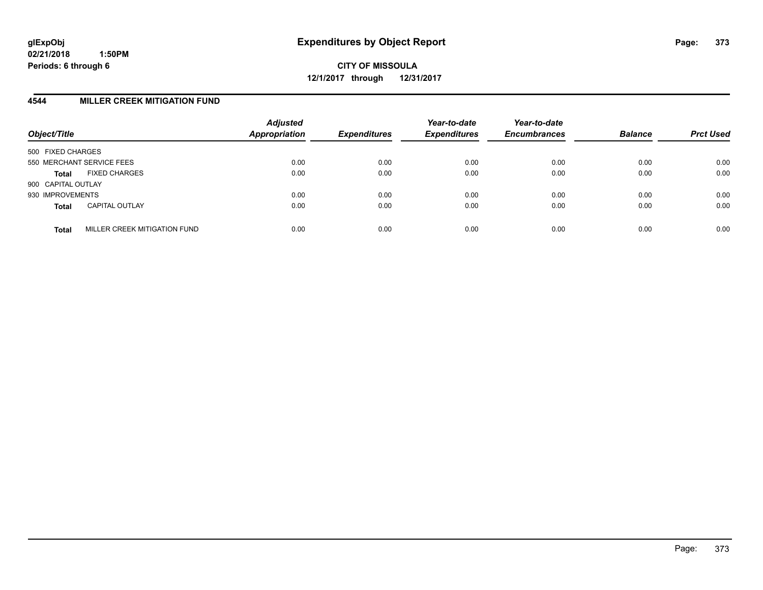### **4544 MILLER CREEK MITIGATION FUND**

| Object/Title       |                              | <b>Adjusted</b><br><b>Appropriation</b> | <b>Expenditures</b> | Year-to-date<br><b>Expenditures</b> | Year-to-date<br><b>Encumbrances</b> | <b>Balance</b> | <b>Prct Used</b> |
|--------------------|------------------------------|-----------------------------------------|---------------------|-------------------------------------|-------------------------------------|----------------|------------------|
| 500 FIXED CHARGES  |                              |                                         |                     |                                     |                                     |                |                  |
|                    | 550 MERCHANT SERVICE FEES    | 0.00                                    | 0.00                | 0.00                                | 0.00                                | 0.00           | 0.00             |
| <b>Total</b>       | <b>FIXED CHARGES</b>         | 0.00                                    | 0.00                | 0.00                                | 0.00                                | 0.00           | 0.00             |
| 900 CAPITAL OUTLAY |                              |                                         |                     |                                     |                                     |                |                  |
| 930 IMPROVEMENTS   |                              | 0.00                                    | 0.00                | 0.00                                | 0.00                                | 0.00           | 0.00             |
| <b>Total</b>       | <b>CAPITAL OUTLAY</b>        | 0.00                                    | 0.00                | 0.00                                | 0.00                                | 0.00           | 0.00             |
| <b>Total</b>       | MILLER CREEK MITIGATION FUND | 0.00                                    | 0.00                | 0.00                                | 0.00                                | 0.00           | 0.00             |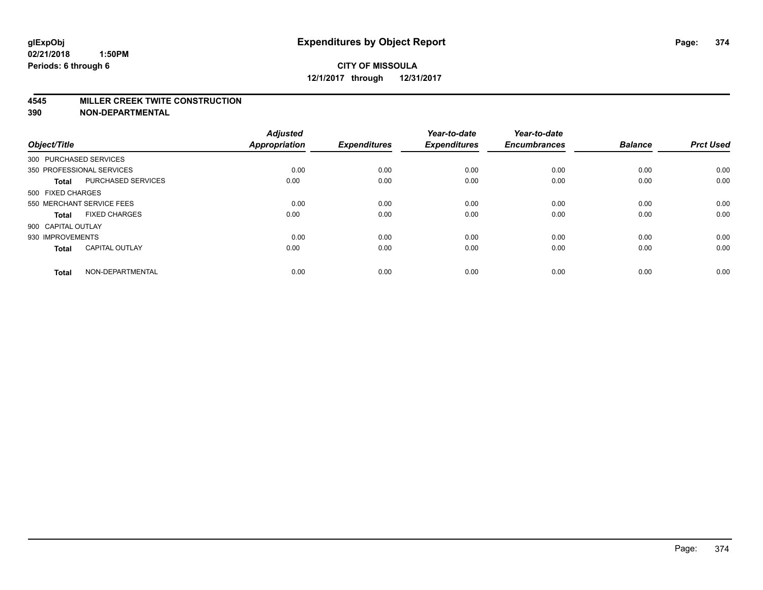#### **4545 MILLER CREEK TWITE CONSTRUCTION**

| Object/Title       |                           | <b>Adjusted</b><br>Appropriation | <b>Expenditures</b> | Year-to-date<br><b>Expenditures</b> | Year-to-date<br><b>Encumbrances</b> | <b>Balance</b> | <b>Prct Used</b> |
|--------------------|---------------------------|----------------------------------|---------------------|-------------------------------------|-------------------------------------|----------------|------------------|
|                    | 300 PURCHASED SERVICES    |                                  |                     |                                     |                                     |                |                  |
|                    | 350 PROFESSIONAL SERVICES | 0.00                             | 0.00                | 0.00                                | 0.00                                | 0.00           | 0.00             |
| <b>Total</b>       | PURCHASED SERVICES        | 0.00                             | 0.00                | 0.00                                | 0.00                                | 0.00           | 0.00             |
| 500 FIXED CHARGES  |                           |                                  |                     |                                     |                                     |                |                  |
|                    | 550 MERCHANT SERVICE FEES | 0.00                             | 0.00                | 0.00                                | 0.00                                | 0.00           | 0.00             |
| <b>Total</b>       | <b>FIXED CHARGES</b>      | 0.00                             | 0.00                | 0.00                                | 0.00                                | 0.00           | 0.00             |
| 900 CAPITAL OUTLAY |                           |                                  |                     |                                     |                                     |                |                  |
| 930 IMPROVEMENTS   |                           | 0.00                             | 0.00                | 0.00                                | 0.00                                | 0.00           | 0.00             |
| <b>Total</b>       | <b>CAPITAL OUTLAY</b>     | 0.00                             | 0.00                | 0.00                                | 0.00                                | 0.00           | 0.00             |
| <b>Total</b>       | NON-DEPARTMENTAL          | 0.00                             | 0.00                | 0.00                                | 0.00                                | 0.00           | 0.00             |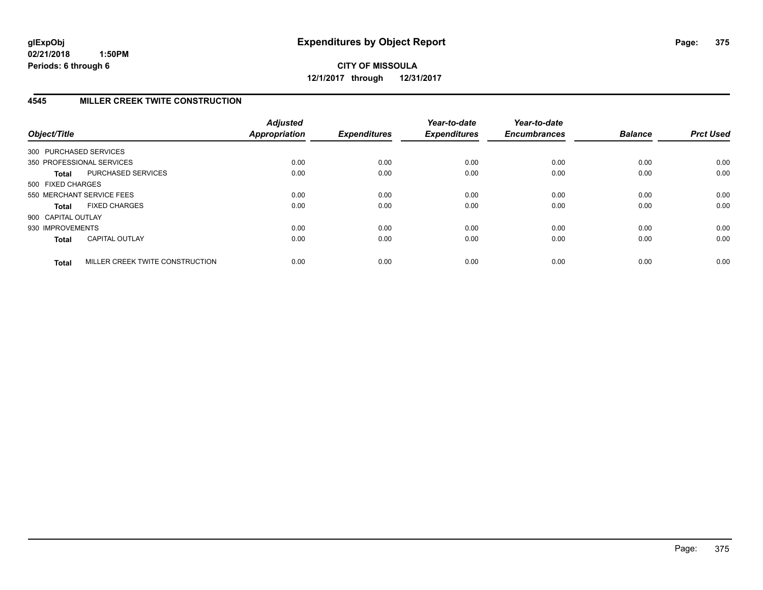# **4545 MILLER CREEK TWITE CONSTRUCTION**

| Object/Title       |                                 | <b>Adjusted</b><br>Appropriation | <b>Expenditures</b> | Year-to-date<br><b>Expenditures</b> | Year-to-date<br><b>Encumbrances</b> | <b>Balance</b> | <b>Prct Used</b> |
|--------------------|---------------------------------|----------------------------------|---------------------|-------------------------------------|-------------------------------------|----------------|------------------|
|                    | 300 PURCHASED SERVICES          |                                  |                     |                                     |                                     |                |                  |
|                    | 350 PROFESSIONAL SERVICES       | 0.00                             | 0.00                | 0.00                                | 0.00                                | 0.00           | 0.00             |
| <b>Total</b>       | PURCHASED SERVICES              | 0.00                             | 0.00                | 0.00                                | 0.00                                | 0.00           | 0.00             |
| 500 FIXED CHARGES  |                                 |                                  |                     |                                     |                                     |                |                  |
|                    | 550 MERCHANT SERVICE FEES       | 0.00                             | 0.00                | 0.00                                | 0.00                                | 0.00           | 0.00             |
| <b>Total</b>       | <b>FIXED CHARGES</b>            | 0.00                             | 0.00                | 0.00                                | 0.00                                | 0.00           | 0.00             |
| 900 CAPITAL OUTLAY |                                 |                                  |                     |                                     |                                     |                |                  |
| 930 IMPROVEMENTS   |                                 | 0.00                             | 0.00                | 0.00                                | 0.00                                | 0.00           | 0.00             |
| <b>Total</b>       | <b>CAPITAL OUTLAY</b>           | 0.00                             | 0.00                | 0.00                                | 0.00                                | 0.00           | 0.00             |
| <b>Total</b>       | MILLER CREEK TWITE CONSTRUCTION | 0.00                             | 0.00                | 0.00                                | 0.00                                | 0.00           | 0.00             |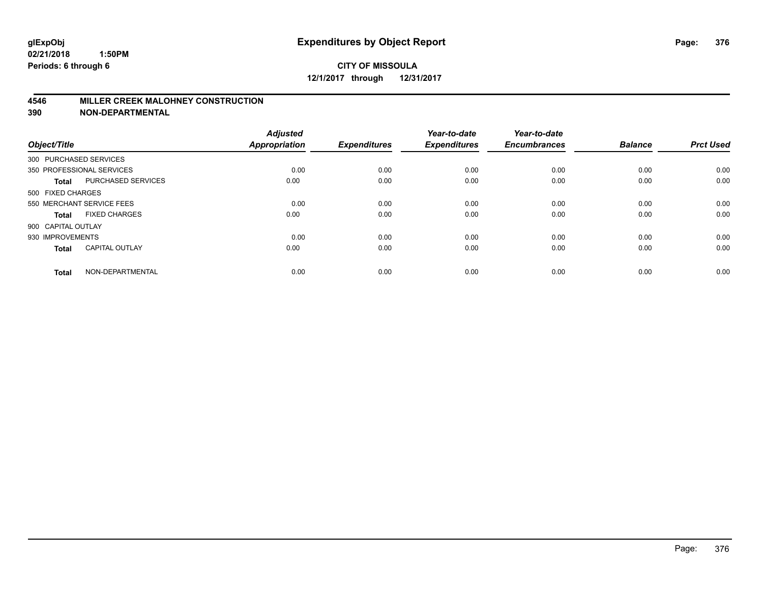### **4546 MILLER CREEK MALOHNEY CONSTRUCTION**

| Object/Title           |                           | <b>Adjusted</b><br><b>Appropriation</b> | <b>Expenditures</b> | Year-to-date<br><b>Expenditures</b> | Year-to-date<br><b>Encumbrances</b> | <b>Balance</b> | <b>Prct Used</b> |
|------------------------|---------------------------|-----------------------------------------|---------------------|-------------------------------------|-------------------------------------|----------------|------------------|
| 300 PURCHASED SERVICES |                           |                                         |                     |                                     |                                     |                |                  |
|                        | 350 PROFESSIONAL SERVICES | 0.00                                    | 0.00                | 0.00                                | 0.00                                | 0.00           | 0.00             |
| <b>Total</b>           | <b>PURCHASED SERVICES</b> | 0.00                                    | 0.00                | 0.00                                | 0.00                                | 0.00           | 0.00             |
| 500 FIXED CHARGES      |                           |                                         |                     |                                     |                                     |                |                  |
|                        | 550 MERCHANT SERVICE FEES | 0.00                                    | 0.00                | 0.00                                | 0.00                                | 0.00           | 0.00             |
| Total                  | <b>FIXED CHARGES</b>      | 0.00                                    | 0.00                | 0.00                                | 0.00                                | 0.00           | 0.00             |
| 900 CAPITAL OUTLAY     |                           |                                         |                     |                                     |                                     |                |                  |
| 930 IMPROVEMENTS       |                           | 0.00                                    | 0.00                | 0.00                                | 0.00                                | 0.00           | 0.00             |
| Total                  | <b>CAPITAL OUTLAY</b>     | 0.00                                    | 0.00                | 0.00                                | 0.00                                | 0.00           | 0.00             |
| <b>Total</b>           | NON-DEPARTMENTAL          | 0.00                                    | 0.00                | 0.00                                | 0.00                                | 0.00           | 0.00             |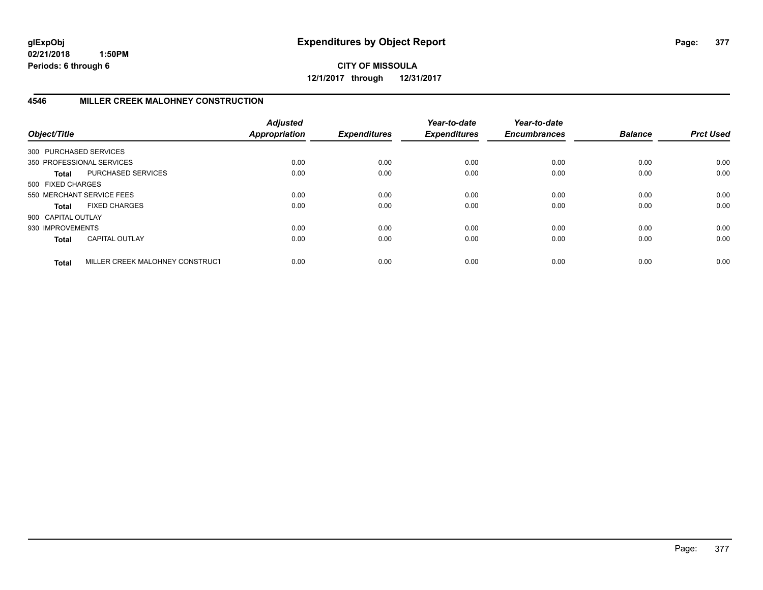**CITY OF MISSOULA 12/1/2017 through 12/31/2017**

# **4546 MILLER CREEK MALOHNEY CONSTRUCTION**

| Object/Title           |                                 | <b>Adjusted</b><br><b>Appropriation</b> | <b>Expenditures</b> | Year-to-date<br><b>Expenditures</b> | Year-to-date<br><b>Encumbrances</b> | <b>Balance</b> | <b>Prct Used</b> |
|------------------------|---------------------------------|-----------------------------------------|---------------------|-------------------------------------|-------------------------------------|----------------|------------------|
| 300 PURCHASED SERVICES |                                 |                                         |                     |                                     |                                     |                |                  |
|                        | 350 PROFESSIONAL SERVICES       | 0.00                                    | 0.00                | 0.00                                | 0.00                                | 0.00           | 0.00             |
| <b>Total</b>           | PURCHASED SERVICES              | 0.00                                    | 0.00                | 0.00                                | 0.00                                | 0.00           | 0.00             |
| 500 FIXED CHARGES      |                                 |                                         |                     |                                     |                                     |                |                  |
|                        | 550 MERCHANT SERVICE FEES       | 0.00                                    | 0.00                | 0.00                                | 0.00                                | 0.00           | 0.00             |
| <b>Total</b>           | <b>FIXED CHARGES</b>            | 0.00                                    | 0.00                | 0.00                                | 0.00                                | 0.00           | 0.00             |
| 900 CAPITAL OUTLAY     |                                 |                                         |                     |                                     |                                     |                |                  |
| 930 IMPROVEMENTS       |                                 | 0.00                                    | 0.00                | 0.00                                | 0.00                                | 0.00           | 0.00             |
| <b>Total</b>           | <b>CAPITAL OUTLAY</b>           | 0.00                                    | 0.00                | 0.00                                | 0.00                                | 0.00           | 0.00             |
| <b>Total</b>           | MILLER CREEK MALOHNEY CONSTRUCT | 0.00                                    | 0.00                | 0.00                                | 0.00                                | 0.00           | 0.00             |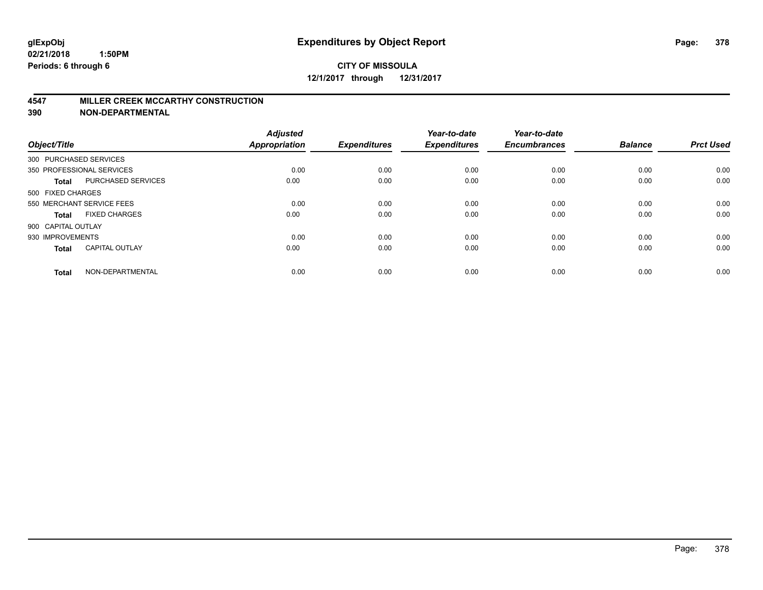#### **4547 MILLER CREEK MCCARTHY CONSTRUCTION**

| Object/Title       |                           | <b>Adjusted</b><br><b>Appropriation</b> | <b>Expenditures</b> | Year-to-date<br><b>Expenditures</b> | Year-to-date<br><b>Encumbrances</b> | <b>Balance</b> | <b>Prct Used</b> |
|--------------------|---------------------------|-----------------------------------------|---------------------|-------------------------------------|-------------------------------------|----------------|------------------|
|                    | 300 PURCHASED SERVICES    |                                         |                     |                                     |                                     |                |                  |
|                    | 350 PROFESSIONAL SERVICES | 0.00                                    | 0.00                | 0.00                                | 0.00                                | 0.00           | 0.00             |
| <b>Total</b>       | <b>PURCHASED SERVICES</b> | 0.00                                    | 0.00                | 0.00                                | 0.00                                | 0.00           | 0.00             |
| 500 FIXED CHARGES  |                           |                                         |                     |                                     |                                     |                |                  |
|                    | 550 MERCHANT SERVICE FEES | 0.00                                    | 0.00                | 0.00                                | 0.00                                | 0.00           | 0.00             |
| Total              | <b>FIXED CHARGES</b>      | 0.00                                    | 0.00                | 0.00                                | 0.00                                | 0.00           | 0.00             |
| 900 CAPITAL OUTLAY |                           |                                         |                     |                                     |                                     |                |                  |
| 930 IMPROVEMENTS   |                           | 0.00                                    | 0.00                | 0.00                                | 0.00                                | 0.00           | 0.00             |
| Total              | <b>CAPITAL OUTLAY</b>     | 0.00                                    | 0.00                | 0.00                                | 0.00                                | 0.00           | 0.00             |
| <b>Total</b>       | NON-DEPARTMENTAL          | 0.00                                    | 0.00                | 0.00                                | 0.00                                | 0.00           | 0.00             |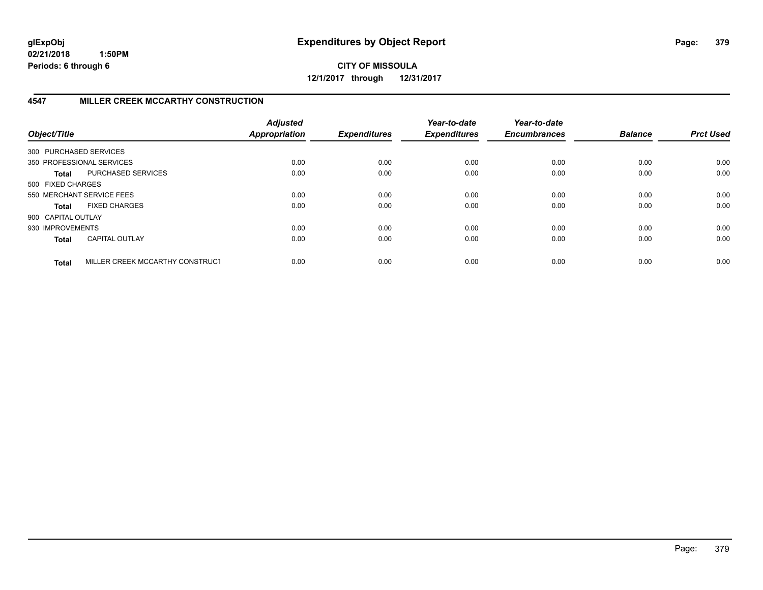**CITY OF MISSOULA 12/1/2017 through 12/31/2017**

## **4547 MILLER CREEK MCCARTHY CONSTRUCTION**

| Object/Title           |                                 | <b>Adjusted</b><br><b>Appropriation</b> | <b>Expenditures</b> | Year-to-date<br><b>Expenditures</b> | Year-to-date<br><b>Encumbrances</b> | <b>Balance</b> | <b>Prct Used</b> |
|------------------------|---------------------------------|-----------------------------------------|---------------------|-------------------------------------|-------------------------------------|----------------|------------------|
| 300 PURCHASED SERVICES |                                 |                                         |                     |                                     |                                     |                |                  |
|                        | 350 PROFESSIONAL SERVICES       | 0.00                                    | 0.00                | 0.00                                | 0.00                                | 0.00           | 0.00             |
| <b>Total</b>           | PURCHASED SERVICES              | 0.00                                    | 0.00                | 0.00                                | 0.00                                | 0.00           | 0.00             |
| 500 FIXED CHARGES      |                                 |                                         |                     |                                     |                                     |                |                  |
|                        | 550 MERCHANT SERVICE FEES       | 0.00                                    | 0.00                | 0.00                                | 0.00                                | 0.00           | 0.00             |
| <b>Total</b>           | <b>FIXED CHARGES</b>            | 0.00                                    | 0.00                | 0.00                                | 0.00                                | 0.00           | 0.00             |
| 900 CAPITAL OUTLAY     |                                 |                                         |                     |                                     |                                     |                |                  |
| 930 IMPROVEMENTS       |                                 | 0.00                                    | 0.00                | 0.00                                | 0.00                                | 0.00           | 0.00             |
| <b>Total</b>           | <b>CAPITAL OUTLAY</b>           | 0.00                                    | 0.00                | 0.00                                | 0.00                                | 0.00           | 0.00             |
| <b>Total</b>           | MILLER CREEK MCCARTHY CONSTRUCT | 0.00                                    | 0.00                | 0.00                                | 0.00                                | 0.00           | 0.00             |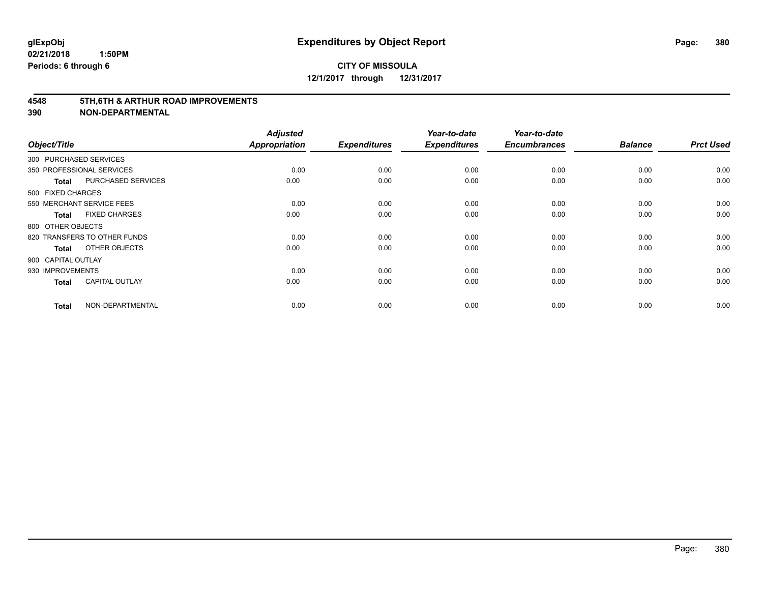#### **4548 5TH,6TH & ARTHUR ROAD IMPROVEMENTS**

| Object/Title           |                              | <b>Adjusted</b><br><b>Appropriation</b> | <b>Expenditures</b> | Year-to-date<br><b>Expenditures</b> | Year-to-date<br><b>Encumbrances</b> | <b>Balance</b> | <b>Prct Used</b> |
|------------------------|------------------------------|-----------------------------------------|---------------------|-------------------------------------|-------------------------------------|----------------|------------------|
| 300 PURCHASED SERVICES |                              |                                         |                     |                                     |                                     |                |                  |
|                        | 350 PROFESSIONAL SERVICES    | 0.00                                    | 0.00                | 0.00                                | 0.00                                | 0.00           | 0.00             |
| <b>Total</b>           | PURCHASED SERVICES           | 0.00                                    | 0.00                | 0.00                                | 0.00                                | 0.00           | 0.00             |
| 500 FIXED CHARGES      |                              |                                         |                     |                                     |                                     |                |                  |
|                        | 550 MERCHANT SERVICE FEES    | 0.00                                    | 0.00                | 0.00                                | 0.00                                | 0.00           | 0.00             |
| Total                  | <b>FIXED CHARGES</b>         | 0.00                                    | 0.00                | 0.00                                | 0.00                                | 0.00           | 0.00             |
| 800 OTHER OBJECTS      |                              |                                         |                     |                                     |                                     |                |                  |
|                        | 820 TRANSFERS TO OTHER FUNDS | 0.00                                    | 0.00                | 0.00                                | 0.00                                | 0.00           | 0.00             |
| <b>Total</b>           | OTHER OBJECTS                | 0.00                                    | 0.00                | 0.00                                | 0.00                                | 0.00           | 0.00             |
| 900 CAPITAL OUTLAY     |                              |                                         |                     |                                     |                                     |                |                  |
| 930 IMPROVEMENTS       |                              | 0.00                                    | 0.00                | 0.00                                | 0.00                                | 0.00           | 0.00             |
| <b>Total</b>           | <b>CAPITAL OUTLAY</b>        | 0.00                                    | 0.00                | 0.00                                | 0.00                                | 0.00           | 0.00             |
| <b>Total</b>           | NON-DEPARTMENTAL             | 0.00                                    | 0.00                | 0.00                                | 0.00                                | 0.00           | 0.00             |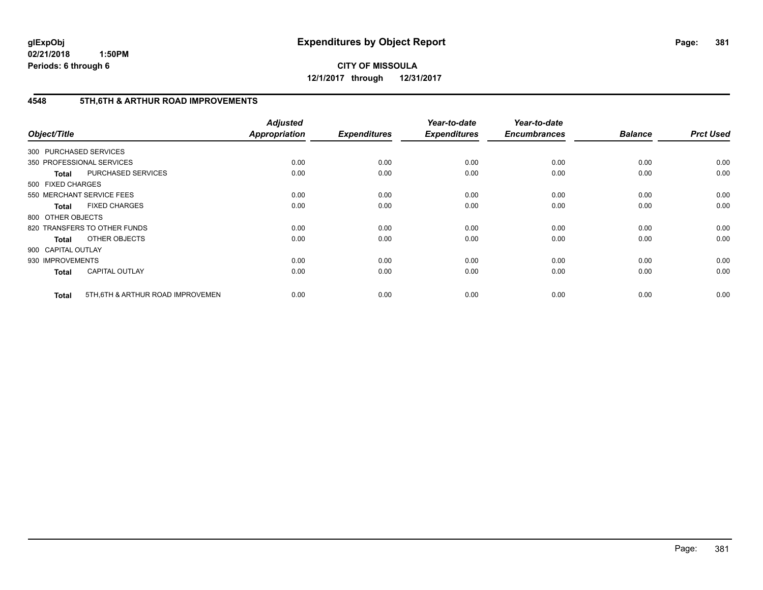**CITY OF MISSOULA 12/1/2017 through 12/31/2017**

## **4548 5TH,6TH & ARTHUR ROAD IMPROVEMENTS**

| Object/Title           |                                   | <b>Adjusted</b><br><b>Appropriation</b> | <b>Expenditures</b> | Year-to-date<br><b>Expenditures</b> | Year-to-date<br><b>Encumbrances</b> | <b>Balance</b> | <b>Prct Used</b> |
|------------------------|-----------------------------------|-----------------------------------------|---------------------|-------------------------------------|-------------------------------------|----------------|------------------|
| 300 PURCHASED SERVICES |                                   |                                         |                     |                                     |                                     |                |                  |
|                        | 350 PROFESSIONAL SERVICES         | 0.00                                    | 0.00                | 0.00                                | 0.00                                | 0.00           | 0.00             |
| <b>Total</b>           | PURCHASED SERVICES                | 0.00                                    | 0.00                | 0.00                                | 0.00                                | 0.00           | 0.00             |
| 500 FIXED CHARGES      |                                   |                                         |                     |                                     |                                     |                |                  |
|                        | 550 MERCHANT SERVICE FEES         | 0.00                                    | 0.00                | 0.00                                | 0.00                                | 0.00           | 0.00             |
| <b>Total</b>           | <b>FIXED CHARGES</b>              | 0.00                                    | 0.00                | 0.00                                | 0.00                                | 0.00           | 0.00             |
| 800 OTHER OBJECTS      |                                   |                                         |                     |                                     |                                     |                |                  |
|                        | 820 TRANSFERS TO OTHER FUNDS      | 0.00                                    | 0.00                | 0.00                                | 0.00                                | 0.00           | 0.00             |
| <b>Total</b>           | OTHER OBJECTS                     | 0.00                                    | 0.00                | 0.00                                | 0.00                                | 0.00           | 0.00             |
| 900 CAPITAL OUTLAY     |                                   |                                         |                     |                                     |                                     |                |                  |
| 930 IMPROVEMENTS       |                                   | 0.00                                    | 0.00                | 0.00                                | 0.00                                | 0.00           | 0.00             |
| <b>Total</b>           | <b>CAPITAL OUTLAY</b>             | 0.00                                    | 0.00                | 0.00                                | 0.00                                | 0.00           | 0.00             |
| <b>Total</b>           | 5TH, 6TH & ARTHUR ROAD IMPROVEMEN | 0.00                                    | 0.00                | 0.00                                | 0.00                                | 0.00           | 0.00             |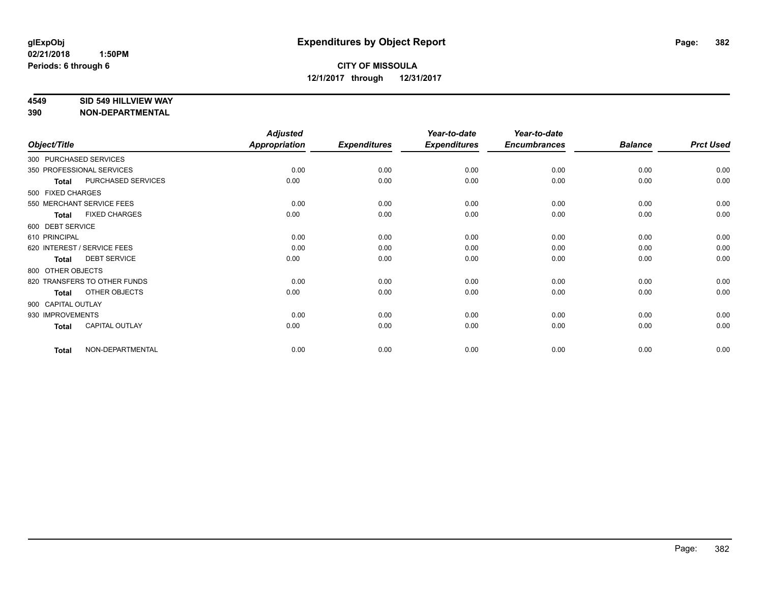#### **4549 SID 549 HILLVIEW WAY**

|                    |                              | <b>Adjusted</b>      |                     | Year-to-date        | Year-to-date        |                |                  |
|--------------------|------------------------------|----------------------|---------------------|---------------------|---------------------|----------------|------------------|
| Object/Title       |                              | <b>Appropriation</b> | <b>Expenditures</b> | <b>Expenditures</b> | <b>Encumbrances</b> | <b>Balance</b> | <b>Prct Used</b> |
|                    | 300 PURCHASED SERVICES       |                      |                     |                     |                     |                |                  |
|                    | 350 PROFESSIONAL SERVICES    | 0.00                 | 0.00                | 0.00                | 0.00                | 0.00           | 0.00             |
| <b>Total</b>       | PURCHASED SERVICES           | 0.00                 | 0.00                | 0.00                | 0.00                | 0.00           | 0.00             |
| 500 FIXED CHARGES  |                              |                      |                     |                     |                     |                |                  |
|                    | 550 MERCHANT SERVICE FEES    | 0.00                 | 0.00                | 0.00                | 0.00                | 0.00           | 0.00             |
| <b>Total</b>       | <b>FIXED CHARGES</b>         | 0.00                 | 0.00                | 0.00                | 0.00                | 0.00           | 0.00             |
| 600 DEBT SERVICE   |                              |                      |                     |                     |                     |                |                  |
| 610 PRINCIPAL      |                              | 0.00                 | 0.00                | 0.00                | 0.00                | 0.00           | 0.00             |
|                    | 620 INTEREST / SERVICE FEES  | 0.00                 | 0.00                | 0.00                | 0.00                | 0.00           | 0.00             |
| <b>Total</b>       | <b>DEBT SERVICE</b>          | 0.00                 | 0.00                | 0.00                | 0.00                | 0.00           | 0.00             |
| 800 OTHER OBJECTS  |                              |                      |                     |                     |                     |                |                  |
|                    | 820 TRANSFERS TO OTHER FUNDS | 0.00                 | 0.00                | 0.00                | 0.00                | 0.00           | 0.00             |
| <b>Total</b>       | OTHER OBJECTS                | 0.00                 | 0.00                | 0.00                | 0.00                | 0.00           | 0.00             |
| 900 CAPITAL OUTLAY |                              |                      |                     |                     |                     |                |                  |
| 930 IMPROVEMENTS   |                              | 0.00                 | 0.00                | 0.00                | 0.00                | 0.00           | 0.00             |
| Total              | <b>CAPITAL OUTLAY</b>        | 0.00                 | 0.00                | 0.00                | 0.00                | 0.00           | 0.00             |
| <b>Total</b>       | NON-DEPARTMENTAL             | 0.00                 | 0.00                | 0.00                | 0.00                | 0.00           | 0.00             |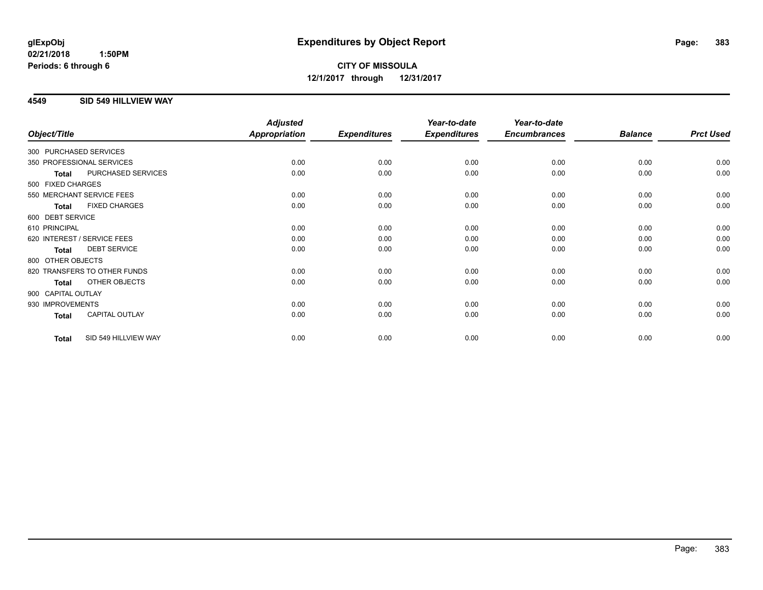## **4549 SID 549 HILLVIEW WAY**

|                        |                              | <b>Adjusted</b>      |                     | Year-to-date        | Year-to-date        |                |                  |
|------------------------|------------------------------|----------------------|---------------------|---------------------|---------------------|----------------|------------------|
| Object/Title           |                              | <b>Appropriation</b> | <b>Expenditures</b> | <b>Expenditures</b> | <b>Encumbrances</b> | <b>Balance</b> | <b>Prct Used</b> |
| 300 PURCHASED SERVICES |                              |                      |                     |                     |                     |                |                  |
|                        | 350 PROFESSIONAL SERVICES    | 0.00                 | 0.00                | 0.00                | 0.00                | 0.00           | 0.00             |
| <b>Total</b>           | PURCHASED SERVICES           | 0.00                 | 0.00                | 0.00                | 0.00                | 0.00           | 0.00             |
| 500 FIXED CHARGES      |                              |                      |                     |                     |                     |                |                  |
|                        | 550 MERCHANT SERVICE FEES    | 0.00                 | 0.00                | 0.00                | 0.00                | 0.00           | 0.00             |
| <b>Total</b>           | <b>FIXED CHARGES</b>         | 0.00                 | 0.00                | 0.00                | 0.00                | 0.00           | 0.00             |
| 600 DEBT SERVICE       |                              |                      |                     |                     |                     |                |                  |
| 610 PRINCIPAL          |                              | 0.00                 | 0.00                | 0.00                | 0.00                | 0.00           | 0.00             |
|                        | 620 INTEREST / SERVICE FEES  | 0.00                 | 0.00                | 0.00                | 0.00                | 0.00           | 0.00             |
| <b>Total</b>           | <b>DEBT SERVICE</b>          | 0.00                 | 0.00                | 0.00                | 0.00                | 0.00           | 0.00             |
| 800 OTHER OBJECTS      |                              |                      |                     |                     |                     |                |                  |
|                        | 820 TRANSFERS TO OTHER FUNDS | 0.00                 | 0.00                | 0.00                | 0.00                | 0.00           | 0.00             |
| <b>Total</b>           | OTHER OBJECTS                | 0.00                 | 0.00                | 0.00                | 0.00                | 0.00           | 0.00             |
| 900 CAPITAL OUTLAY     |                              |                      |                     |                     |                     |                |                  |
| 930 IMPROVEMENTS       |                              | 0.00                 | 0.00                | 0.00                | 0.00                | 0.00           | 0.00             |
| <b>Total</b>           | <b>CAPITAL OUTLAY</b>        | 0.00                 | 0.00                | 0.00                | 0.00                | 0.00           | 0.00             |
| Total                  | SID 549 HILLVIEW WAY         | 0.00                 | 0.00                | 0.00                | 0.00                | 0.00           | 0.00             |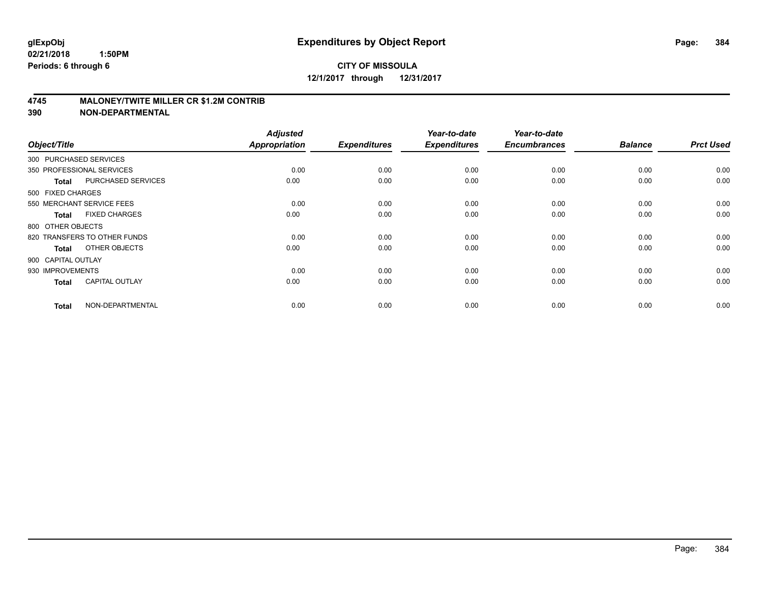### **4745 MALONEY/TWITE MILLER CR \$1.2M CONTRIB**

| Object/Title       |                              | <b>Adjusted</b><br><b>Appropriation</b> | <b>Expenditures</b> | Year-to-date<br><b>Expenditures</b> | Year-to-date<br><b>Encumbrances</b> | <b>Balance</b> | <b>Prct Used</b> |
|--------------------|------------------------------|-----------------------------------------|---------------------|-------------------------------------|-------------------------------------|----------------|------------------|
|                    | 300 PURCHASED SERVICES       |                                         |                     |                                     |                                     |                |                  |
|                    | 350 PROFESSIONAL SERVICES    | 0.00                                    | 0.00                | 0.00                                | 0.00                                | 0.00           | 0.00             |
| <b>Total</b>       | PURCHASED SERVICES           | 0.00                                    | 0.00                | 0.00                                | 0.00                                | 0.00           | 0.00             |
| 500 FIXED CHARGES  |                              |                                         |                     |                                     |                                     |                |                  |
|                    | 550 MERCHANT SERVICE FEES    | 0.00                                    | 0.00                | 0.00                                | 0.00                                | 0.00           | 0.00             |
| <b>Total</b>       | <b>FIXED CHARGES</b>         | 0.00                                    | 0.00                | 0.00                                | 0.00                                | 0.00           | 0.00             |
| 800 OTHER OBJECTS  |                              |                                         |                     |                                     |                                     |                |                  |
|                    | 820 TRANSFERS TO OTHER FUNDS | 0.00                                    | 0.00                | 0.00                                | 0.00                                | 0.00           | 0.00             |
| <b>Total</b>       | OTHER OBJECTS                | 0.00                                    | 0.00                | 0.00                                | 0.00                                | 0.00           | 0.00             |
| 900 CAPITAL OUTLAY |                              |                                         |                     |                                     |                                     |                |                  |
| 930 IMPROVEMENTS   |                              | 0.00                                    | 0.00                | 0.00                                | 0.00                                | 0.00           | 0.00             |
| <b>Total</b>       | <b>CAPITAL OUTLAY</b>        | 0.00                                    | 0.00                | 0.00                                | 0.00                                | 0.00           | 0.00             |
| <b>Total</b>       | NON-DEPARTMENTAL             | 0.00                                    | 0.00                | 0.00                                | 0.00                                | 0.00           | 0.00             |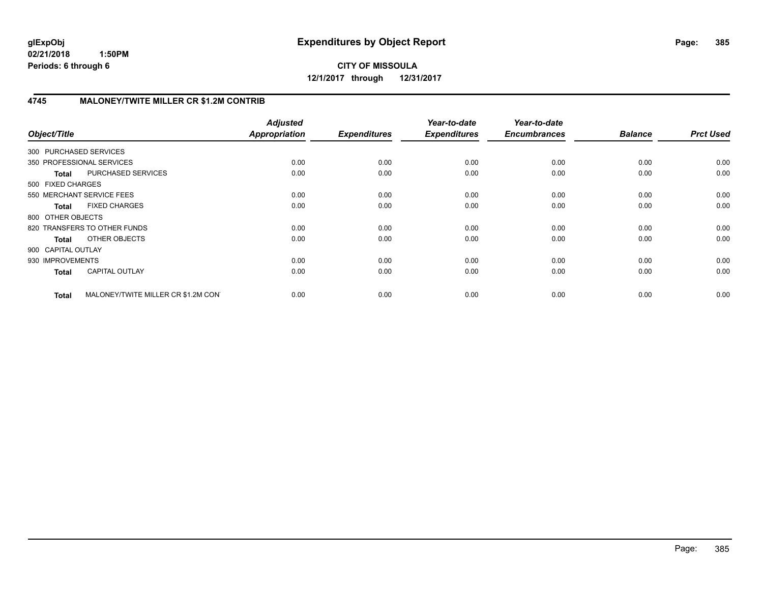**CITY OF MISSOULA 12/1/2017 through 12/31/2017**

# **4745 MALONEY/TWITE MILLER CR \$1.2M CONTRIB**

| Object/Title           |                                     | <b>Adjusted</b><br>Appropriation | <b>Expenditures</b> | Year-to-date<br><b>Expenditures</b> | Year-to-date<br><b>Encumbrances</b> | <b>Balance</b> | <b>Prct Used</b> |
|------------------------|-------------------------------------|----------------------------------|---------------------|-------------------------------------|-------------------------------------|----------------|------------------|
| 300 PURCHASED SERVICES |                                     |                                  |                     |                                     |                                     |                |                  |
|                        | 350 PROFESSIONAL SERVICES           | 0.00                             | 0.00                | 0.00                                | 0.00                                | 0.00           | 0.00             |
| <b>Total</b>           | PURCHASED SERVICES                  | 0.00                             | 0.00                | 0.00                                | 0.00                                | 0.00           | 0.00             |
| 500 FIXED CHARGES      |                                     |                                  |                     |                                     |                                     |                |                  |
|                        | 550 MERCHANT SERVICE FEES           | 0.00                             | 0.00                | 0.00                                | 0.00                                | 0.00           | 0.00             |
| <b>Total</b>           | <b>FIXED CHARGES</b>                | 0.00                             | 0.00                | 0.00                                | 0.00                                | 0.00           | 0.00             |
| 800 OTHER OBJECTS      |                                     |                                  |                     |                                     |                                     |                |                  |
|                        | 820 TRANSFERS TO OTHER FUNDS        | 0.00                             | 0.00                | 0.00                                | 0.00                                | 0.00           | 0.00             |
| Total                  | OTHER OBJECTS                       | 0.00                             | 0.00                | 0.00                                | 0.00                                | 0.00           | 0.00             |
| 900 CAPITAL OUTLAY     |                                     |                                  |                     |                                     |                                     |                |                  |
| 930 IMPROVEMENTS       |                                     | 0.00                             | 0.00                | 0.00                                | 0.00                                | 0.00           | 0.00             |
| <b>Total</b>           | <b>CAPITAL OUTLAY</b>               | 0.00                             | 0.00                | 0.00                                | 0.00                                | 0.00           | 0.00             |
| <b>Total</b>           | MALONEY/TWITE MILLER CR \$1.2M CON' | 0.00                             | 0.00                | 0.00                                | 0.00                                | 0.00           | 0.00             |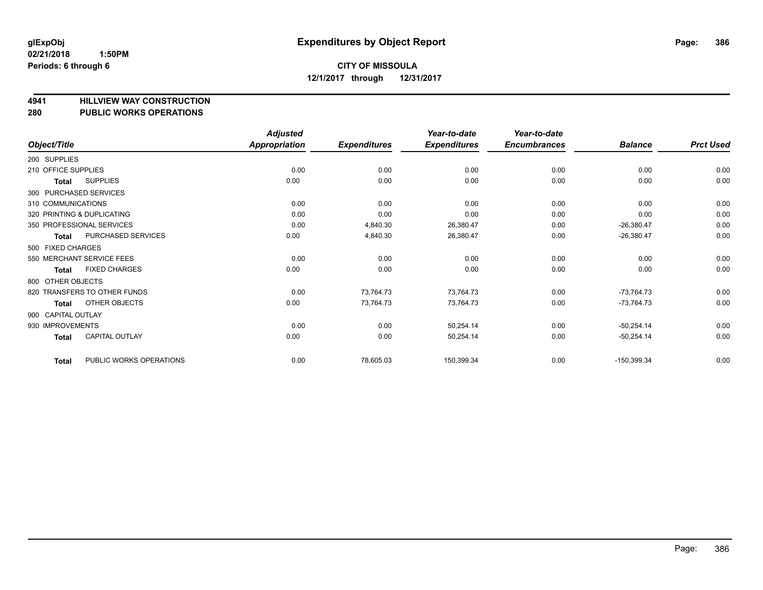# **4941 HILLVIEW WAY CONSTRUCTION**

#### **280 PUBLIC WORKS OPERATIONS**

| Object/Title               |                              | <b>Adjusted</b><br>Appropriation | <b>Expenditures</b> | Year-to-date<br><b>Expenditures</b> | Year-to-date<br><b>Encumbrances</b> | <b>Balance</b> | <b>Prct Used</b> |
|----------------------------|------------------------------|----------------------------------|---------------------|-------------------------------------|-------------------------------------|----------------|------------------|
|                            |                              |                                  |                     |                                     |                                     |                |                  |
| 200 SUPPLIES               |                              |                                  |                     |                                     |                                     |                |                  |
| 210 OFFICE SUPPLIES        |                              | 0.00                             | 0.00                | 0.00                                | 0.00                                | 0.00           | 0.00             |
| Total                      | <b>SUPPLIES</b>              | 0.00                             | 0.00                | 0.00                                | 0.00                                | 0.00           | 0.00             |
| 300 PURCHASED SERVICES     |                              |                                  |                     |                                     |                                     |                |                  |
| 310 COMMUNICATIONS         |                              | 0.00                             | 0.00                | 0.00                                | 0.00                                | 0.00           | 0.00             |
| 320 PRINTING & DUPLICATING |                              | 0.00                             | 0.00                | 0.00                                | 0.00                                | 0.00           | 0.00             |
|                            | 350 PROFESSIONAL SERVICES    | 0.00                             | 4,840.30            | 26,380.47                           | 0.00                                | $-26,380.47$   | 0.00             |
| <b>Total</b>               | PURCHASED SERVICES           | 0.00                             | 4,840.30            | 26,380.47                           | 0.00                                | $-26,380.47$   | 0.00             |
| 500 FIXED CHARGES          |                              |                                  |                     |                                     |                                     |                |                  |
|                            | 550 MERCHANT SERVICE FEES    | 0.00                             | 0.00                | 0.00                                | 0.00                                | 0.00           | 0.00             |
| <b>Total</b>               | <b>FIXED CHARGES</b>         | 0.00                             | 0.00                | 0.00                                | 0.00                                | 0.00           | 0.00             |
| 800 OTHER OBJECTS          |                              |                                  |                     |                                     |                                     |                |                  |
|                            | 820 TRANSFERS TO OTHER FUNDS | 0.00                             | 73,764.73           | 73,764.73                           | 0.00                                | $-73,764.73$   | 0.00             |
| Total                      | OTHER OBJECTS                | 0.00                             | 73,764.73           | 73,764.73                           | 0.00                                | $-73,764.73$   | 0.00             |
| 900 CAPITAL OUTLAY         |                              |                                  |                     |                                     |                                     |                |                  |
| 930 IMPROVEMENTS           |                              | 0.00                             | 0.00                | 50,254.14                           | 0.00                                | $-50,254.14$   | 0.00             |
| <b>Total</b>               | CAPITAL OUTLAY               | 0.00                             | 0.00                | 50,254.14                           | 0.00                                | $-50,254.14$   | 0.00             |
| <b>Total</b>               | PUBLIC WORKS OPERATIONS      | 0.00                             | 78,605.03           | 150,399.34                          | 0.00                                | $-150,399.34$  | 0.00             |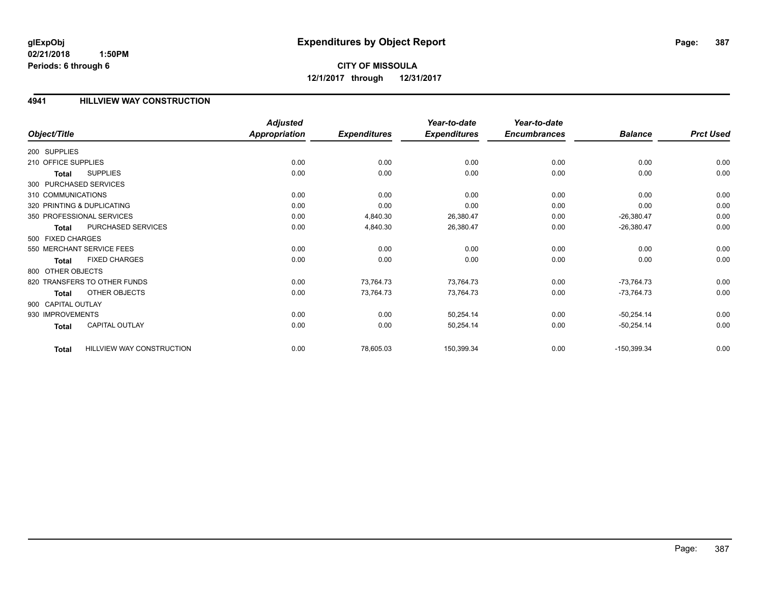# **CITY OF MISSOULA 12/1/2017 through 12/31/2017**

### **4941 HILLVIEW WAY CONSTRUCTION**

|                        |                              | <b>Adjusted</b>      |                     | Year-to-date        | Year-to-date        |                |                  |
|------------------------|------------------------------|----------------------|---------------------|---------------------|---------------------|----------------|------------------|
| Object/Title           |                              | <b>Appropriation</b> | <b>Expenditures</b> | <b>Expenditures</b> | <b>Encumbrances</b> | <b>Balance</b> | <b>Prct Used</b> |
| 200 SUPPLIES           |                              |                      |                     |                     |                     |                |                  |
| 210 OFFICE SUPPLIES    |                              | 0.00                 | 0.00                | 0.00                | 0.00                | 0.00           | 0.00             |
| Total                  | <b>SUPPLIES</b>              | 0.00                 | 0.00                | 0.00                | 0.00                | 0.00           | 0.00             |
| 300 PURCHASED SERVICES |                              |                      |                     |                     |                     |                |                  |
| 310 COMMUNICATIONS     |                              | 0.00                 | 0.00                | 0.00                | 0.00                | 0.00           | 0.00             |
|                        | 320 PRINTING & DUPLICATING   | 0.00                 | 0.00                | 0.00                | 0.00                | 0.00           | 0.00             |
|                        | 350 PROFESSIONAL SERVICES    | 0.00                 | 4,840.30            | 26,380.47           | 0.00                | $-26,380.47$   | 0.00             |
| <b>Total</b>           | PURCHASED SERVICES           | 0.00                 | 4,840.30            | 26,380.47           | 0.00                | $-26,380.47$   | 0.00             |
| 500 FIXED CHARGES      |                              |                      |                     |                     |                     |                |                  |
|                        | 550 MERCHANT SERVICE FEES    | 0.00                 | 0.00                | 0.00                | 0.00                | 0.00           | 0.00             |
| Total                  | <b>FIXED CHARGES</b>         | 0.00                 | 0.00                | 0.00                | 0.00                | 0.00           | 0.00             |
| 800 OTHER OBJECTS      |                              |                      |                     |                     |                     |                |                  |
|                        | 820 TRANSFERS TO OTHER FUNDS | 0.00                 | 73,764.73           | 73,764.73           | 0.00                | $-73,764.73$   | 0.00             |
| Total                  | <b>OTHER OBJECTS</b>         | 0.00                 | 73,764.73           | 73,764.73           | 0.00                | $-73,764.73$   | 0.00             |
| 900 CAPITAL OUTLAY     |                              |                      |                     |                     |                     |                |                  |
| 930 IMPROVEMENTS       |                              | 0.00                 | 0.00                | 50,254.14           | 0.00                | $-50,254.14$   | 0.00             |
| <b>Total</b>           | <b>CAPITAL OUTLAY</b>        | 0.00                 | 0.00                | 50,254.14           | 0.00                | $-50,254.14$   | 0.00             |
| <b>Total</b>           | HILLVIEW WAY CONSTRUCTION    | 0.00                 | 78,605.03           | 150,399.34          | 0.00                | $-150,399.34$  | 0.00             |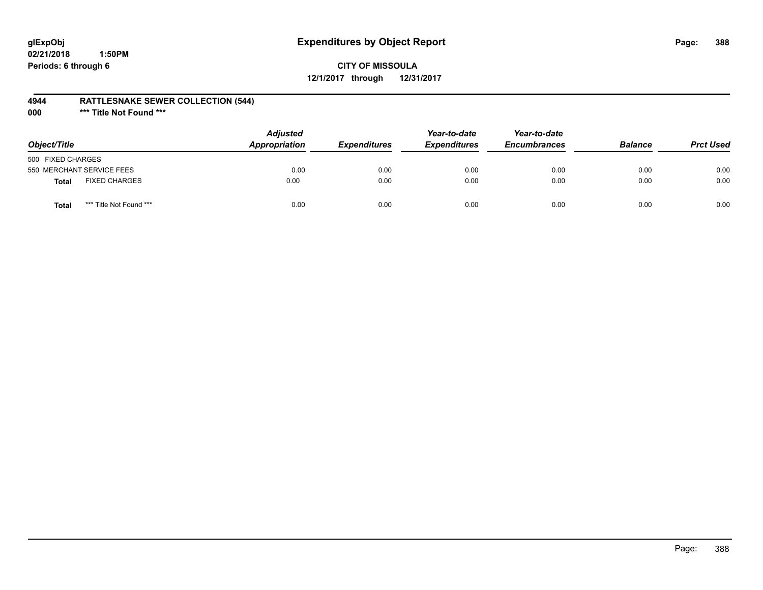# **glExpObj Expenditures by Object Report Page: 388**

## **CITY OF MISSOULA 12/1/2017 through 12/31/2017**

### **4944 RATTLESNAKE SEWER COLLECTION (544)**

**000 \*\*\* Title Not Found \*\*\***

| Object/Title              |                         | <b>Adjusted</b><br><b>Appropriation</b> | <i><b>Expenditures</b></i> | Year-to-date<br><b>Expenditures</b> | Year-to-date<br><b>Encumbrances</b> | <b>Balance</b> | <b>Prct Used</b> |
|---------------------------|-------------------------|-----------------------------------------|----------------------------|-------------------------------------|-------------------------------------|----------------|------------------|
| 500 FIXED CHARGES         |                         |                                         |                            |                                     |                                     |                |                  |
| 550 MERCHANT SERVICE FEES |                         | 0.00                                    | 0.00                       | 0.00                                | 0.00                                | 0.00           | 0.00             |
| <b>Total</b>              | <b>FIXED CHARGES</b>    | 0.00                                    | 0.00                       | 0.00                                | 0.00                                | 0.00           | 0.00             |
| Total                     | *** Title Not Found *** | 0.00                                    | 0.00                       | 0.00                                | 0.00                                | 0.00           | 0.00             |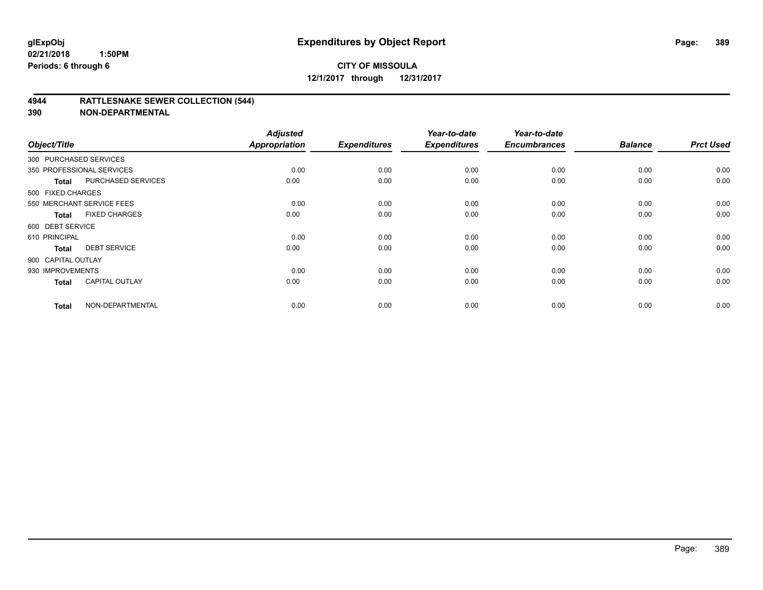### **4944 RATTLESNAKE SEWER COLLECTION (544)**

| Object/Title           |                           | <b>Adjusted</b><br><b>Appropriation</b> | <b>Expenditures</b> | Year-to-date<br><b>Expenditures</b> | Year-to-date<br><b>Encumbrances</b> | <b>Balance</b> | <b>Prct Used</b> |
|------------------------|---------------------------|-----------------------------------------|---------------------|-------------------------------------|-------------------------------------|----------------|------------------|
| 300 PURCHASED SERVICES |                           |                                         |                     |                                     |                                     |                |                  |
|                        | 350 PROFESSIONAL SERVICES | 0.00                                    | 0.00                | 0.00                                | 0.00                                | 0.00           | 0.00             |
| Total                  | PURCHASED SERVICES        | 0.00                                    | 0.00                | 0.00                                | 0.00                                | 0.00           | 0.00             |
| 500 FIXED CHARGES      |                           |                                         |                     |                                     |                                     |                |                  |
|                        | 550 MERCHANT SERVICE FEES | 0.00                                    | 0.00                | 0.00                                | 0.00                                | 0.00           | 0.00             |
| <b>Total</b>           | <b>FIXED CHARGES</b>      | 0.00                                    | 0.00                | 0.00                                | 0.00                                | 0.00           | 0.00             |
| 600 DEBT SERVICE       |                           |                                         |                     |                                     |                                     |                |                  |
| 610 PRINCIPAL          |                           | 0.00                                    | 0.00                | 0.00                                | 0.00                                | 0.00           | 0.00             |
| <b>Total</b>           | <b>DEBT SERVICE</b>       | 0.00                                    | 0.00                | 0.00                                | 0.00                                | 0.00           | 0.00             |
| 900 CAPITAL OUTLAY     |                           |                                         |                     |                                     |                                     |                |                  |
| 930 IMPROVEMENTS       |                           | 0.00                                    | 0.00                | 0.00                                | 0.00                                | 0.00           | 0.00             |
| <b>Total</b>           | <b>CAPITAL OUTLAY</b>     | 0.00                                    | 0.00                | 0.00                                | 0.00                                | 0.00           | 0.00             |
| <b>Total</b>           | NON-DEPARTMENTAL          | 0.00                                    | 0.00                | 0.00                                | 0.00                                | 0.00           | 0.00             |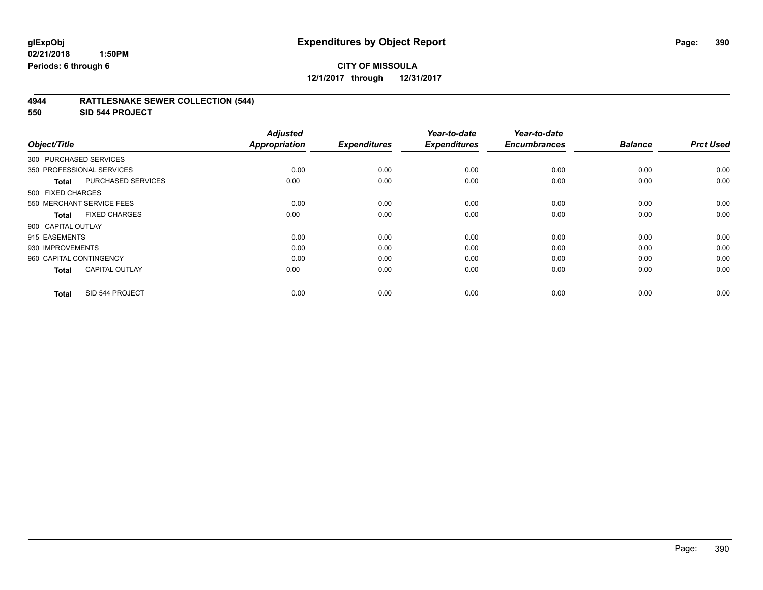# **CITY OF MISSOULA 12/1/2017 through 12/31/2017**

### **4944 RATTLESNAKE SEWER COLLECTION (544)**

**550 SID 544 PROJECT**

| Object/Title              |                           | <b>Adjusted</b><br><b>Appropriation</b> | <b>Expenditures</b> | Year-to-date<br><b>Expenditures</b> | Year-to-date<br><b>Encumbrances</b> | <b>Balance</b> | <b>Prct Used</b> |
|---------------------------|---------------------------|-----------------------------------------|---------------------|-------------------------------------|-------------------------------------|----------------|------------------|
| 300 PURCHASED SERVICES    |                           |                                         |                     |                                     |                                     |                |                  |
| 350 PROFESSIONAL SERVICES |                           | 0.00                                    | 0.00                | 0.00                                | 0.00                                | 0.00           | 0.00             |
| <b>Total</b>              | PURCHASED SERVICES        | 0.00                                    | 0.00                | 0.00                                | 0.00                                | 0.00           | 0.00             |
| 500 FIXED CHARGES         |                           |                                         |                     |                                     |                                     |                |                  |
|                           | 550 MERCHANT SERVICE FEES | 0.00                                    | 0.00                | 0.00                                | 0.00                                | 0.00           | 0.00             |
| <b>Total</b>              | <b>FIXED CHARGES</b>      | 0.00                                    | 0.00                | 0.00                                | 0.00                                | 0.00           | 0.00             |
| 900 CAPITAL OUTLAY        |                           |                                         |                     |                                     |                                     |                |                  |
| 915 EASEMENTS             |                           | 0.00                                    | 0.00                | 0.00                                | 0.00                                | 0.00           | 0.00             |
| 930 IMPROVEMENTS          |                           | 0.00                                    | 0.00                | 0.00                                | 0.00                                | 0.00           | 0.00             |
| 960 CAPITAL CONTINGENCY   |                           | 0.00                                    | 0.00                | 0.00                                | 0.00                                | 0.00           | 0.00             |
| <b>Total</b>              | <b>CAPITAL OUTLAY</b>     | 0.00                                    | 0.00                | 0.00                                | 0.00                                | 0.00           | 0.00             |
| <b>Total</b>              | SID 544 PROJECT           | 0.00                                    | 0.00                | 0.00                                | 0.00                                | 0.00           | 0.00             |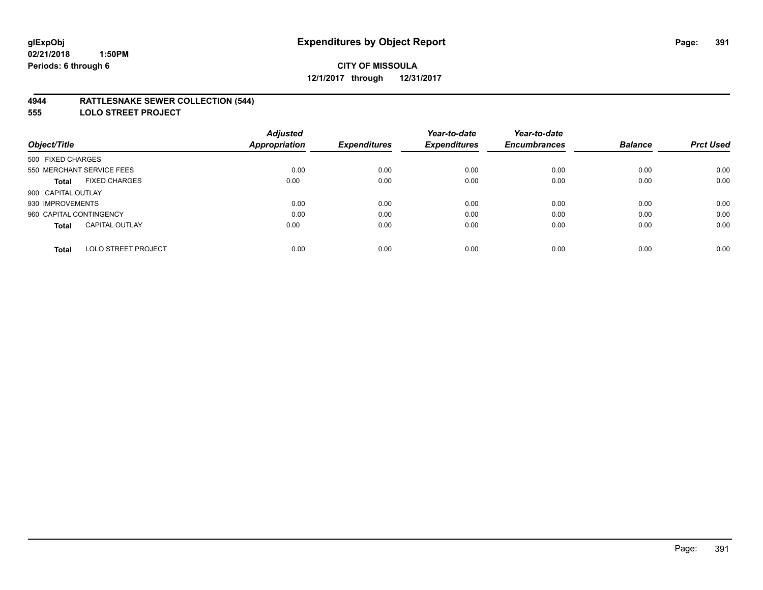### **4944 RATTLESNAKE SEWER COLLECTION (544)**

**555 LOLO STREET PROJECT**

|                                            | <b>Adjusted</b> |                     | Year-to-date        | Year-to-date        |                |                  |
|--------------------------------------------|-----------------|---------------------|---------------------|---------------------|----------------|------------------|
| Object/Title                               | Appropriation   | <b>Expenditures</b> | <b>Expenditures</b> | <b>Encumbrances</b> | <b>Balance</b> | <b>Prct Used</b> |
| 500 FIXED CHARGES                          |                 |                     |                     |                     |                |                  |
| 550 MERCHANT SERVICE FEES                  | 0.00            | 0.00                | 0.00                | 0.00                | 0.00           | 0.00             |
| <b>FIXED CHARGES</b><br><b>Total</b>       | 0.00            | 0.00                | 0.00                | 0.00                | 0.00           | 0.00             |
| 900 CAPITAL OUTLAY                         |                 |                     |                     |                     |                |                  |
| 930 IMPROVEMENTS                           | 0.00            | 0.00                | 0.00                | 0.00                | 0.00           | 0.00             |
| 960 CAPITAL CONTINGENCY                    | 0.00            | 0.00                | 0.00                | 0.00                | 0.00           | 0.00             |
| <b>CAPITAL OUTLAY</b><br><b>Total</b>      | 0.00            | 0.00                | 0.00                | 0.00                | 0.00           | 0.00             |
| <b>LOLO STREET PROJECT</b><br><b>Total</b> | 0.00            | 0.00                | 0.00                | 0.00                | 0.00           | 0.00             |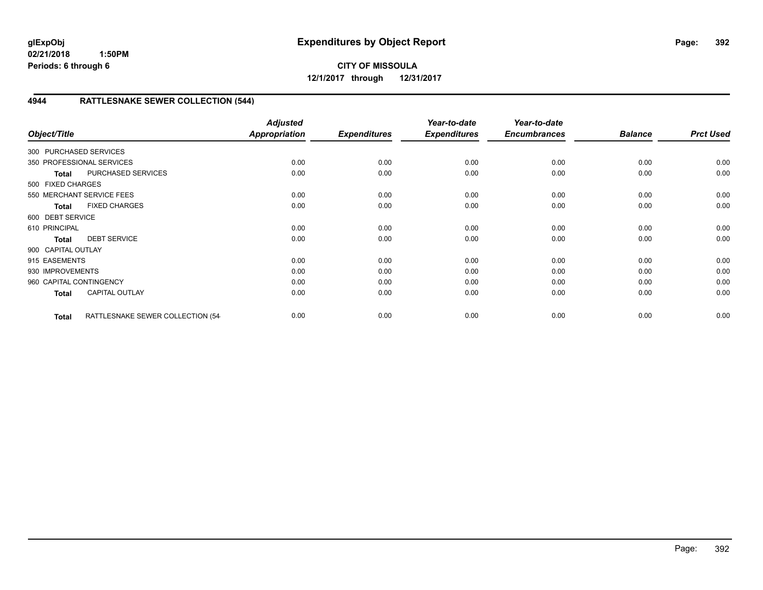**CITY OF MISSOULA 12/1/2017 through 12/31/2017**

# **4944 RATTLESNAKE SEWER COLLECTION (544)**

| Object/Title            |                                  | <b>Adjusted</b><br><b>Appropriation</b> | <b>Expenditures</b> | Year-to-date<br><b>Expenditures</b> | Year-to-date<br><b>Encumbrances</b> | <b>Balance</b> | <b>Prct Used</b> |
|-------------------------|----------------------------------|-----------------------------------------|---------------------|-------------------------------------|-------------------------------------|----------------|------------------|
| 300 PURCHASED SERVICES  |                                  |                                         |                     |                                     |                                     |                |                  |
|                         | 350 PROFESSIONAL SERVICES        | 0.00                                    | 0.00                | 0.00                                | 0.00                                | 0.00           | 0.00             |
| <b>Total</b>            | PURCHASED SERVICES               | 0.00                                    | 0.00                | 0.00                                | 0.00                                | 0.00           | 0.00             |
| 500 FIXED CHARGES       |                                  |                                         |                     |                                     |                                     |                |                  |
|                         | 550 MERCHANT SERVICE FEES        | 0.00                                    | 0.00                | 0.00                                | 0.00                                | 0.00           | 0.00             |
| <b>Total</b>            | <b>FIXED CHARGES</b>             | 0.00                                    | 0.00                | 0.00                                | 0.00                                | 0.00           | 0.00             |
| 600 DEBT SERVICE        |                                  |                                         |                     |                                     |                                     |                |                  |
| 610 PRINCIPAL           |                                  | 0.00                                    | 0.00                | 0.00                                | 0.00                                | 0.00           | 0.00             |
| <b>Total</b>            | <b>DEBT SERVICE</b>              | 0.00                                    | 0.00                | 0.00                                | 0.00                                | 0.00           | 0.00             |
| 900 CAPITAL OUTLAY      |                                  |                                         |                     |                                     |                                     |                |                  |
| 915 EASEMENTS           |                                  | 0.00                                    | 0.00                | 0.00                                | 0.00                                | 0.00           | 0.00             |
| 930 IMPROVEMENTS        |                                  | 0.00                                    | 0.00                | 0.00                                | 0.00                                | 0.00           | 0.00             |
| 960 CAPITAL CONTINGENCY |                                  | 0.00                                    | 0.00                | 0.00                                | 0.00                                | 0.00           | 0.00             |
| <b>Total</b>            | <b>CAPITAL OUTLAY</b>            | 0.00                                    | 0.00                | 0.00                                | 0.00                                | 0.00           | 0.00             |
| <b>Total</b>            | RATTLESNAKE SEWER COLLECTION (54 | 0.00                                    | 0.00                | 0.00                                | 0.00                                | 0.00           | 0.00             |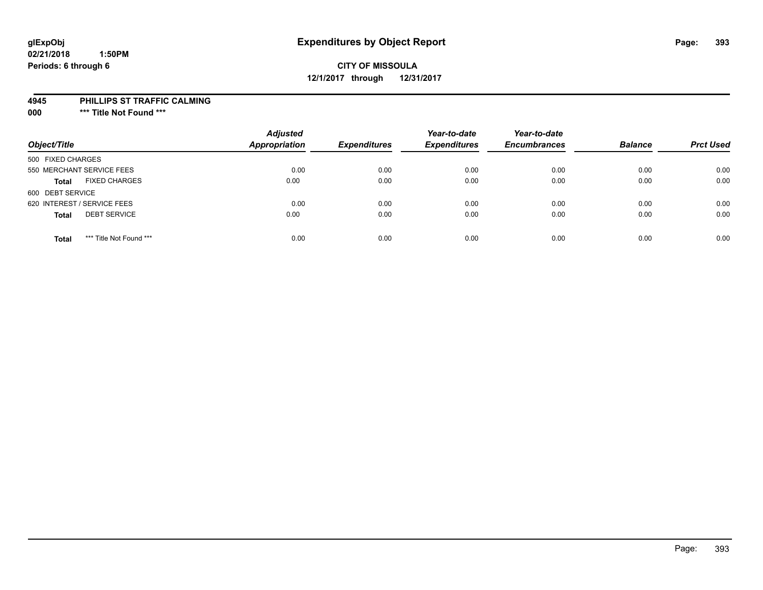# **CITY OF MISSOULA 12/1/2017 through 12/31/2017**

#### **4945 PHILLIPS ST TRAFFIC CALMING**

**000 \*\*\* Title Not Found \*\*\***

| Object/Title                            | <b>Adjusted</b><br>Appropriation | <b>Expenditures</b> | Year-to-date<br><b>Expenditures</b> | Year-to-date<br><b>Encumbrances</b> | <b>Balance</b> | <b>Prct Used</b> |
|-----------------------------------------|----------------------------------|---------------------|-------------------------------------|-------------------------------------|----------------|------------------|
| 500 FIXED CHARGES                       |                                  |                     |                                     |                                     |                |                  |
| 550 MERCHANT SERVICE FEES               | 0.00                             | 0.00                | 0.00                                | 0.00                                | 0.00           | 0.00             |
| <b>FIXED CHARGES</b><br><b>Total</b>    | 0.00                             | 0.00                | 0.00                                | 0.00                                | 0.00           | 0.00             |
| 600 DEBT SERVICE                        |                                  |                     |                                     |                                     |                |                  |
| 620 INTEREST / SERVICE FEES             | 0.00                             | 0.00                | 0.00                                | 0.00                                | 0.00           | 0.00             |
| <b>DEBT SERVICE</b><br><b>Total</b>     | 0.00                             | 0.00                | 0.00                                | 0.00                                | 0.00           | 0.00             |
| *** Title Not Found ***<br><b>Total</b> | 0.00                             | 0.00                | 0.00                                | 0.00                                | 0.00           | 0.00             |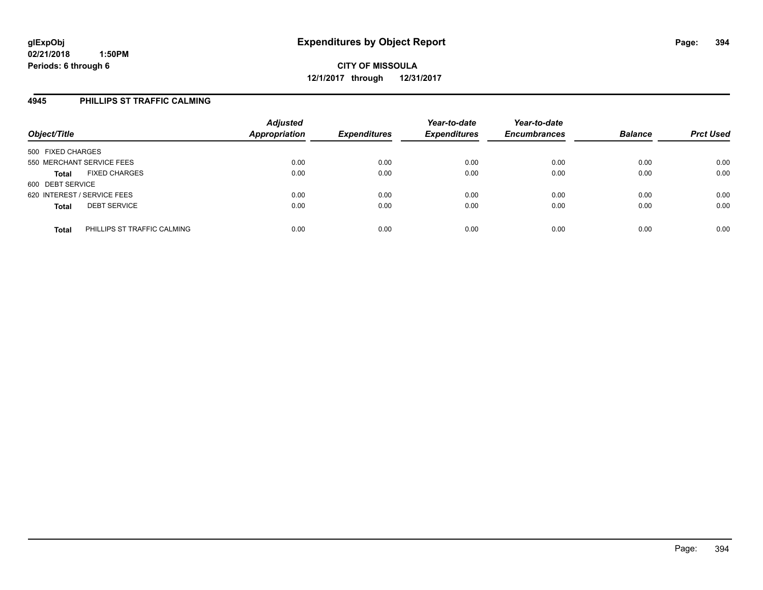### **4945 PHILLIPS ST TRAFFIC CALMING**

| Object/Title                                | <b>Adjusted</b><br><b>Appropriation</b> | <b>Expenditures</b> | Year-to-date<br><b>Expenditures</b> | Year-to-date<br><b>Encumbrances</b> | <b>Balance</b> | <b>Prct Used</b> |
|---------------------------------------------|-----------------------------------------|---------------------|-------------------------------------|-------------------------------------|----------------|------------------|
| 500 FIXED CHARGES                           |                                         |                     |                                     |                                     |                |                  |
| 550 MERCHANT SERVICE FEES                   | 0.00                                    | 0.00                | 0.00                                | 0.00                                | 0.00           | 0.00             |
| <b>FIXED CHARGES</b><br><b>Total</b>        | 0.00                                    | 0.00                | 0.00                                | 0.00                                | 0.00           | 0.00             |
| 600 DEBT SERVICE                            |                                         |                     |                                     |                                     |                |                  |
| 620 INTEREST / SERVICE FEES                 | 0.00                                    | 0.00                | 0.00                                | 0.00                                | 0.00           | 0.00             |
| <b>DEBT SERVICE</b><br><b>Total</b>         | 0.00                                    | 0.00                | 0.00                                | 0.00                                | 0.00           | 0.00             |
| PHILLIPS ST TRAFFIC CALMING<br><b>Total</b> | 0.00                                    | 0.00                | 0.00                                | 0.00                                | 0.00           | 0.00             |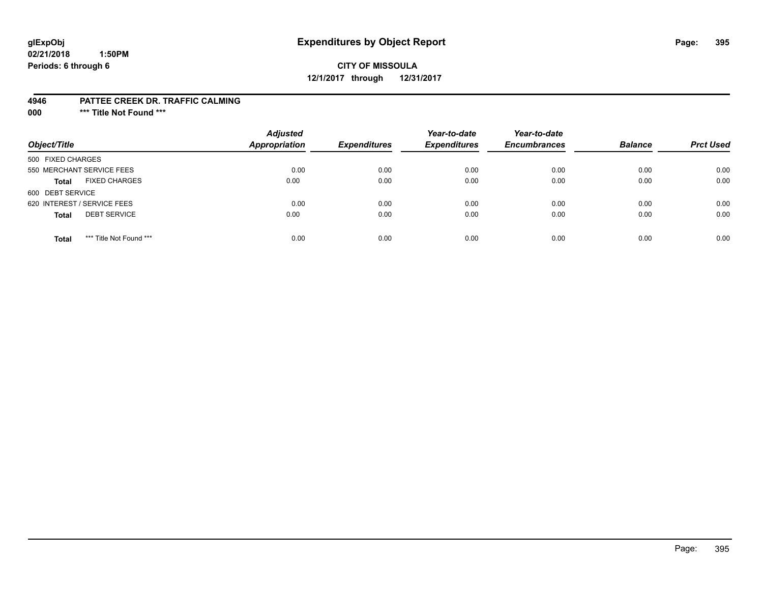# **glExpObj Expenditures by Object Report Page: 395**

# **CITY OF MISSOULA 12/1/2017 through 12/31/2017**

#### **4946 PATTEE CREEK DR. TRAFFIC CALMING**

**000 \*\*\* Title Not Found \*\*\***

| Object/Title                            | <b>Adjusted</b><br><b>Appropriation</b> | <b>Expenditures</b> | Year-to-date<br><b>Expenditures</b> | Year-to-date<br><b>Encumbrances</b> | <b>Balance</b> | <b>Prct Used</b> |
|-----------------------------------------|-----------------------------------------|---------------------|-------------------------------------|-------------------------------------|----------------|------------------|
| 500 FIXED CHARGES                       |                                         |                     |                                     |                                     |                |                  |
| 550 MERCHANT SERVICE FEES               | 0.00                                    | 0.00                | 0.00                                | 0.00                                | 0.00           | 0.00             |
| <b>FIXED CHARGES</b><br><b>Total</b>    | 0.00                                    | 0.00                | 0.00                                | 0.00                                | 0.00           | 0.00             |
| 600 DEBT SERVICE                        |                                         |                     |                                     |                                     |                |                  |
| 620 INTEREST / SERVICE FEES             | 0.00                                    | 0.00                | 0.00                                | 0.00                                | 0.00           | 0.00             |
| <b>DEBT SERVICE</b><br><b>Total</b>     | 0.00                                    | 0.00                | 0.00                                | 0.00                                | 0.00           | 0.00             |
| *** Title Not Found ***<br><b>Total</b> | 0.00                                    | 0.00                | 0.00                                | 0.00                                | 0.00           | 0.00             |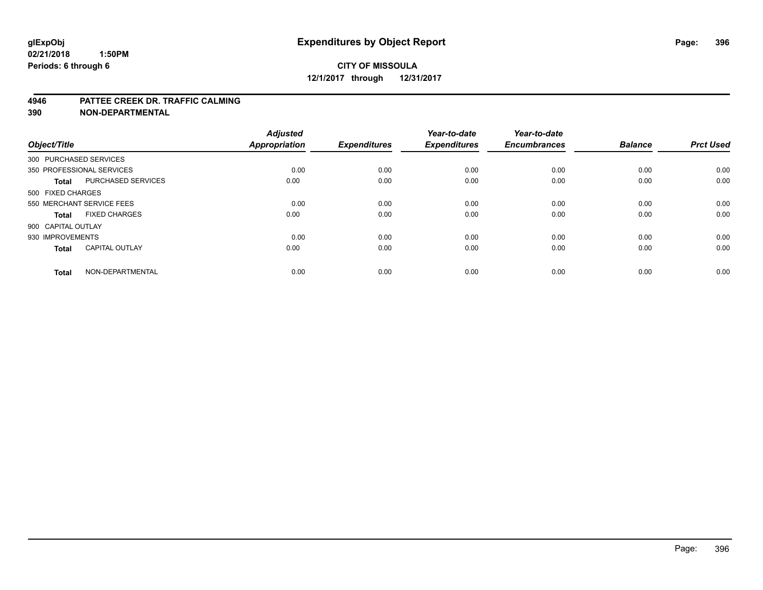#### **4946 PATTEE CREEK DR. TRAFFIC CALMING**

| Object/Title           |                           | <b>Adjusted</b><br><b>Appropriation</b> | <b>Expenditures</b> | Year-to-date<br><b>Expenditures</b> | Year-to-date<br><b>Encumbrances</b> | <b>Balance</b> | <b>Prct Used</b> |
|------------------------|---------------------------|-----------------------------------------|---------------------|-------------------------------------|-------------------------------------|----------------|------------------|
| 300 PURCHASED SERVICES |                           |                                         |                     |                                     |                                     |                |                  |
|                        | 350 PROFESSIONAL SERVICES | 0.00                                    | 0.00                | 0.00                                | 0.00                                | 0.00           | 0.00             |
| <b>Total</b>           | <b>PURCHASED SERVICES</b> | 0.00                                    | 0.00                | 0.00                                | 0.00                                | 0.00           | 0.00             |
| 500 FIXED CHARGES      |                           |                                         |                     |                                     |                                     |                |                  |
|                        | 550 MERCHANT SERVICE FEES | 0.00                                    | 0.00                | 0.00                                | 0.00                                | 0.00           | 0.00             |
| Total                  | <b>FIXED CHARGES</b>      | 0.00                                    | 0.00                | 0.00                                | 0.00                                | 0.00           | 0.00             |
| 900 CAPITAL OUTLAY     |                           |                                         |                     |                                     |                                     |                |                  |
| 930 IMPROVEMENTS       |                           | 0.00                                    | 0.00                | 0.00                                | 0.00                                | 0.00           | 0.00             |
| Total                  | <b>CAPITAL OUTLAY</b>     | 0.00                                    | 0.00                | 0.00                                | 0.00                                | 0.00           | 0.00             |
| <b>Total</b>           | NON-DEPARTMENTAL          | 0.00                                    | 0.00                | 0.00                                | 0.00                                | 0.00           | 0.00             |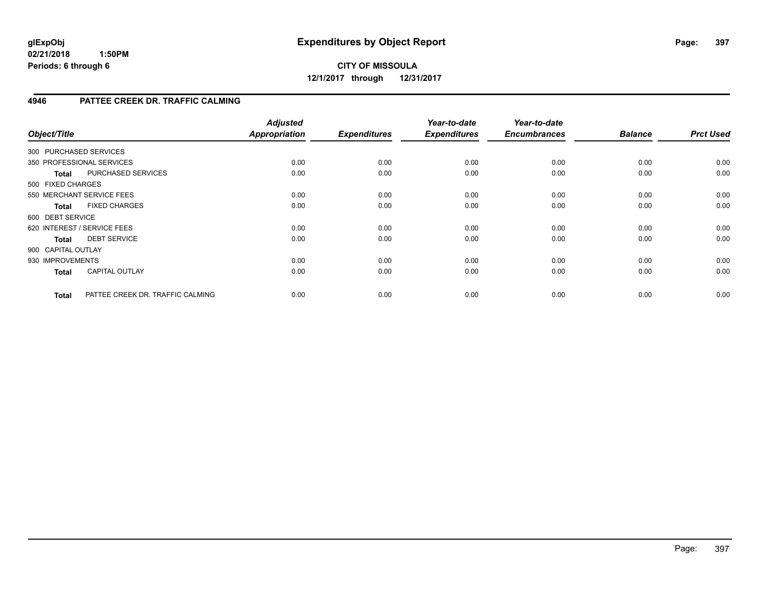**02/21/2018 1:50PM Periods: 6 through 6**

**CITY OF MISSOULA 12/1/2017 through 12/31/2017**

# **4946 PATTEE CREEK DR. TRAFFIC CALMING**

| Object/Title       |                                  | <b>Adjusted</b><br><b>Appropriation</b> | <b>Expenditures</b> | Year-to-date<br><b>Expenditures</b> | Year-to-date<br><b>Encumbrances</b> | <b>Balance</b> | <b>Prct Used</b> |
|--------------------|----------------------------------|-----------------------------------------|---------------------|-------------------------------------|-------------------------------------|----------------|------------------|
|                    | 300 PURCHASED SERVICES           |                                         |                     |                                     |                                     |                |                  |
|                    | 350 PROFESSIONAL SERVICES        | 0.00                                    | 0.00                | 0.00                                | 0.00                                | 0.00           | 0.00             |
| <b>Total</b>       | PURCHASED SERVICES               | 0.00                                    | 0.00                | 0.00                                | 0.00                                | 0.00           | 0.00             |
| 500 FIXED CHARGES  |                                  |                                         |                     |                                     |                                     |                |                  |
|                    | 550 MERCHANT SERVICE FEES        | 0.00                                    | 0.00                | 0.00                                | 0.00                                | 0.00           | 0.00             |
| <b>Total</b>       | <b>FIXED CHARGES</b>             | 0.00                                    | 0.00                | 0.00                                | 0.00                                | 0.00           | 0.00             |
| 600 DEBT SERVICE   |                                  |                                         |                     |                                     |                                     |                |                  |
|                    | 620 INTEREST / SERVICE FEES      | 0.00                                    | 0.00                | 0.00                                | 0.00                                | 0.00           | 0.00             |
| Total              | <b>DEBT SERVICE</b>              | 0.00                                    | 0.00                | 0.00                                | 0.00                                | 0.00           | 0.00             |
| 900 CAPITAL OUTLAY |                                  |                                         |                     |                                     |                                     |                |                  |
| 930 IMPROVEMENTS   |                                  | 0.00                                    | 0.00                | 0.00                                | 0.00                                | 0.00           | 0.00             |
| <b>Total</b>       | <b>CAPITAL OUTLAY</b>            | 0.00                                    | 0.00                | 0.00                                | 0.00                                | 0.00           | 0.00             |
| <b>Total</b>       | PATTEE CREEK DR. TRAFFIC CALMING | 0.00                                    | 0.00                | 0.00                                | 0.00                                | 0.00           | 0.00             |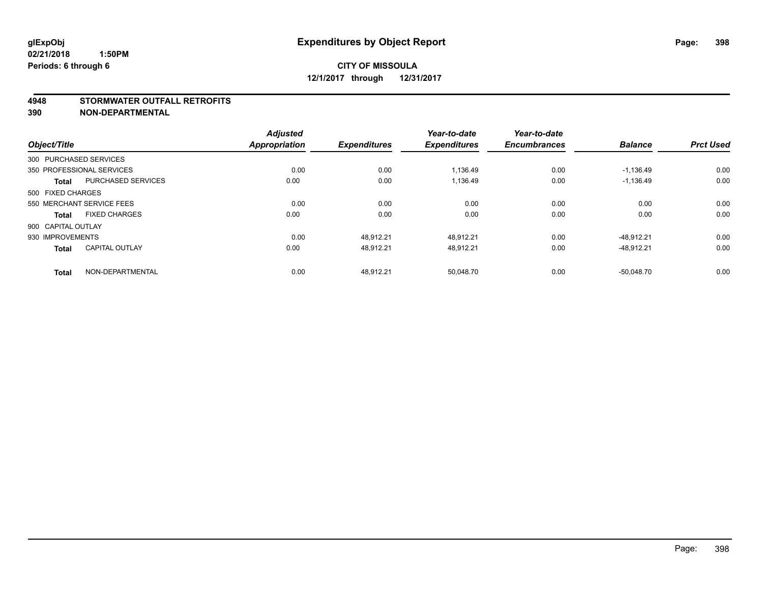### **4948 STORMWATER OUTFALL RETROFITS**

**390 NON-DEPARTMENTAL**

| Object/Title              |                           | <b>Adjusted</b><br><b>Appropriation</b> | <b>Expenditures</b> | Year-to-date<br><b>Expenditures</b> | Year-to-date<br><b>Encumbrances</b> | <b>Balance</b> | <b>Prct Used</b> |
|---------------------------|---------------------------|-----------------------------------------|---------------------|-------------------------------------|-------------------------------------|----------------|------------------|
|                           | 300 PURCHASED SERVICES    |                                         |                     |                                     |                                     |                |                  |
| 350 PROFESSIONAL SERVICES |                           | 0.00                                    | 0.00                | 1,136.49                            | 0.00                                | $-1,136.49$    | 0.00             |
| <b>Total</b>              | <b>PURCHASED SERVICES</b> | 0.00                                    | 0.00                | 1,136.49                            | 0.00                                | $-1,136.49$    | 0.00             |
| 500 FIXED CHARGES         |                           |                                         |                     |                                     |                                     |                |                  |
|                           | 550 MERCHANT SERVICE FEES | 0.00                                    | 0.00                | 0.00                                | 0.00                                | 0.00           | 0.00             |
| <b>Total</b>              | <b>FIXED CHARGES</b>      | 0.00                                    | 0.00                | 0.00                                | 0.00                                | 0.00           | 0.00             |
| 900 CAPITAL OUTLAY        |                           |                                         |                     |                                     |                                     |                |                  |
| 930 IMPROVEMENTS          |                           | 0.00                                    | 48.912.21           | 48.912.21                           | 0.00                                | $-48.912.21$   | 0.00             |
| <b>Total</b>              | <b>CAPITAL OUTLAY</b>     | 0.00                                    | 48.912.21           | 48.912.21                           | 0.00                                | $-48.912.21$   | 0.00             |
| <b>Total</b>              | NON-DEPARTMENTAL          | 0.00                                    | 48.912.21           | 50.048.70                           | 0.00                                | $-50.048.70$   | 0.00             |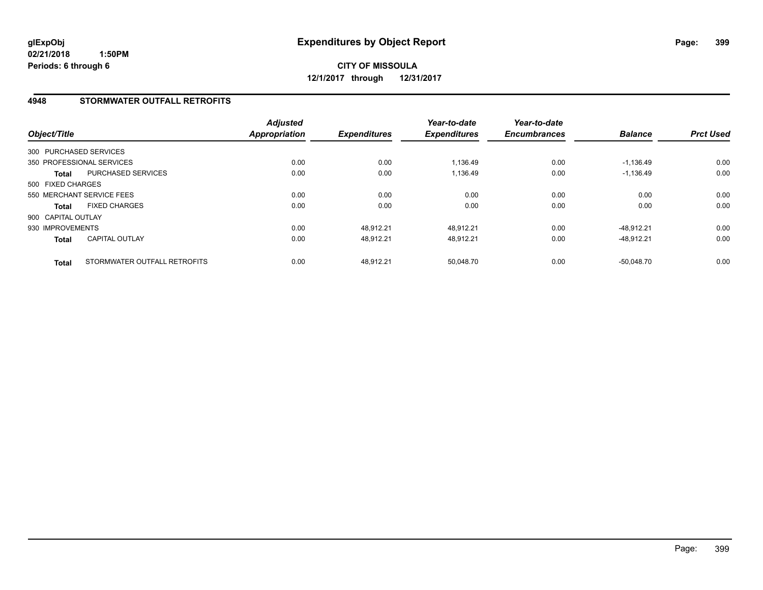## **4948 STORMWATER OUTFALL RETROFITS**

| Object/Title       |                              | <b>Adjusted</b><br><b>Appropriation</b> | <b>Expenditures</b> | Year-to-date<br><b>Expenditures</b> | Year-to-date<br><b>Encumbrances</b> | <b>Balance</b> | <b>Prct Used</b> |
|--------------------|------------------------------|-----------------------------------------|---------------------|-------------------------------------|-------------------------------------|----------------|------------------|
|                    | 300 PURCHASED SERVICES       |                                         |                     |                                     |                                     |                |                  |
|                    | 350 PROFESSIONAL SERVICES    | 0.00                                    | 0.00                | 1,136.49                            | 0.00                                | $-1,136.49$    | 0.00             |
| <b>Total</b>       | PURCHASED SERVICES           | 0.00                                    | 0.00                | 1.136.49                            | 0.00                                | $-1.136.49$    | 0.00             |
| 500 FIXED CHARGES  |                              |                                         |                     |                                     |                                     |                |                  |
|                    | 550 MERCHANT SERVICE FEES    | 0.00                                    | 0.00                | 0.00                                | 0.00                                | 0.00           | 0.00             |
| <b>Total</b>       | <b>FIXED CHARGES</b>         | 0.00                                    | 0.00                | 0.00                                | 0.00                                | 0.00           | 0.00             |
| 900 CAPITAL OUTLAY |                              |                                         |                     |                                     |                                     |                |                  |
| 930 IMPROVEMENTS   |                              | 0.00                                    | 48.912.21           | 48.912.21                           | 0.00                                | $-48.912.21$   | 0.00             |
| <b>Total</b>       | <b>CAPITAL OUTLAY</b>        | 0.00                                    | 48,912.21           | 48,912.21                           | 0.00                                | $-48,912.21$   | 0.00             |
| <b>Total</b>       | STORMWATER OUTFALL RETROFITS | 0.00                                    | 48.912.21           | 50.048.70                           | 0.00                                | $-50.048.70$   | 0.00             |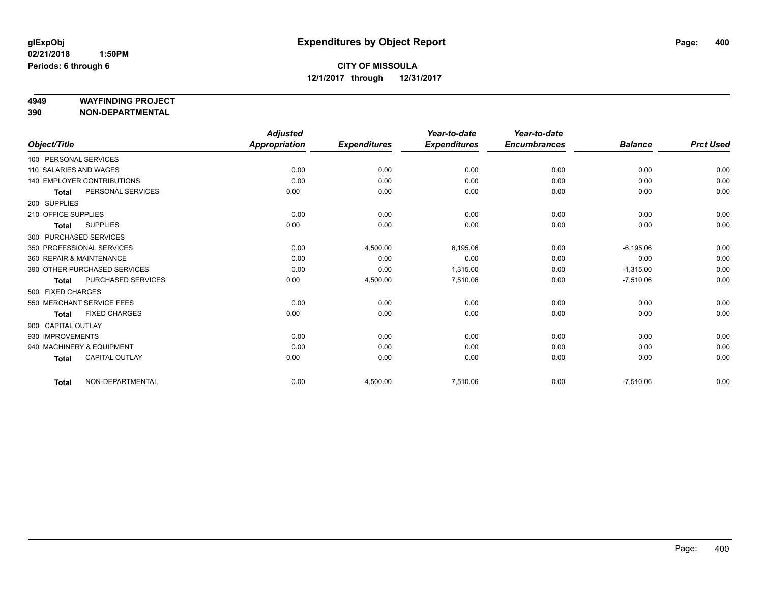#### **4949 WAYFINDING PROJECT**

**390 NON-DEPARTMENTAL**

|                          |                              | <b>Adjusted</b>      |                     | Year-to-date        | Year-to-date        |                |                  |
|--------------------------|------------------------------|----------------------|---------------------|---------------------|---------------------|----------------|------------------|
| Object/Title             |                              | <b>Appropriation</b> | <b>Expenditures</b> | <b>Expenditures</b> | <b>Encumbrances</b> | <b>Balance</b> | <b>Prct Used</b> |
| 100 PERSONAL SERVICES    |                              |                      |                     |                     |                     |                |                  |
| 110 SALARIES AND WAGES   |                              | 0.00                 | 0.00                | 0.00                | 0.00                | 0.00           | 0.00             |
|                          | 140 EMPLOYER CONTRIBUTIONS   | 0.00                 | 0.00                | 0.00                | 0.00                | 0.00           | 0.00             |
| <b>Total</b>             | PERSONAL SERVICES            | 0.00                 | 0.00                | 0.00                | 0.00                | 0.00           | 0.00             |
| 200 SUPPLIES             |                              |                      |                     |                     |                     |                |                  |
| 210 OFFICE SUPPLIES      |                              | 0.00                 | 0.00                | 0.00                | 0.00                | 0.00           | 0.00             |
| Total                    | <b>SUPPLIES</b>              | 0.00                 | 0.00                | 0.00                | 0.00                | 0.00           | 0.00             |
| 300 PURCHASED SERVICES   |                              |                      |                     |                     |                     |                |                  |
|                          | 350 PROFESSIONAL SERVICES    | 0.00                 | 4,500.00            | 6,195.06            | 0.00                | $-6,195.06$    | 0.00             |
| 360 REPAIR & MAINTENANCE |                              | 0.00                 | 0.00                | 0.00                | 0.00                | 0.00           | 0.00             |
|                          | 390 OTHER PURCHASED SERVICES | 0.00                 | 0.00                | 1,315.00            | 0.00                | $-1,315.00$    | 0.00             |
| <b>Total</b>             | <b>PURCHASED SERVICES</b>    | 0.00                 | 4,500.00            | 7,510.06            | 0.00                | $-7,510.06$    | 0.00             |
| 500 FIXED CHARGES        |                              |                      |                     |                     |                     |                |                  |
|                          | 550 MERCHANT SERVICE FEES    | 0.00                 | 0.00                | 0.00                | 0.00                | 0.00           | 0.00             |
| <b>Total</b>             | <b>FIXED CHARGES</b>         | 0.00                 | 0.00                | 0.00                | 0.00                | 0.00           | 0.00             |
| 900 CAPITAL OUTLAY       |                              |                      |                     |                     |                     |                |                  |
| 930 IMPROVEMENTS         |                              | 0.00                 | 0.00                | 0.00                | 0.00                | 0.00           | 0.00             |
|                          | 940 MACHINERY & EQUIPMENT    | 0.00                 | 0.00                | 0.00                | 0.00                | 0.00           | 0.00             |
| <b>Total</b>             | <b>CAPITAL OUTLAY</b>        | 0.00                 | 0.00                | 0.00                | 0.00                | 0.00           | 0.00             |
| <b>Total</b>             | NON-DEPARTMENTAL             | 0.00                 | 4,500.00            | 7,510.06            | 0.00                | $-7,510.06$    | 0.00             |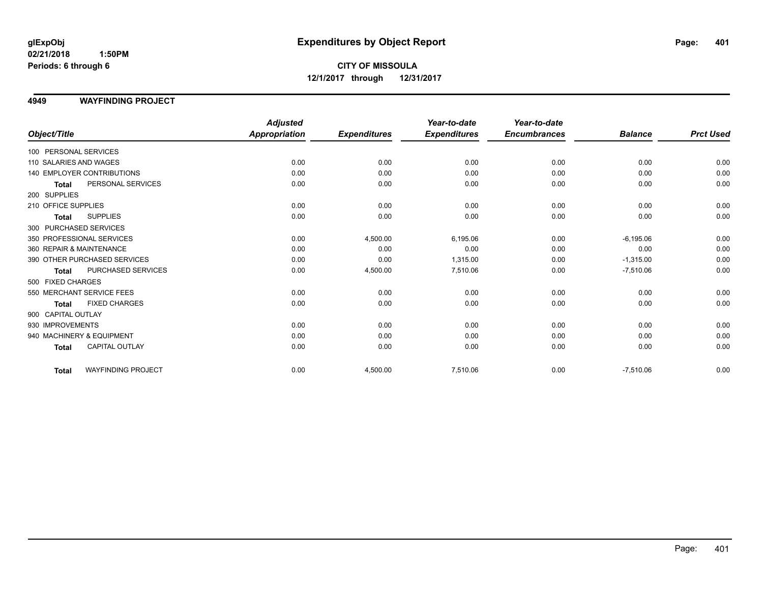### **02/21/2018 1:50PM Periods: 6 through 6**

# **CITY OF MISSOULA 12/1/2017 through 12/31/2017**

## **4949 WAYFINDING PROJECT**

|                           |                                   | <b>Adjusted</b>      |                     | Year-to-date        | Year-to-date        |                |                  |
|---------------------------|-----------------------------------|----------------------|---------------------|---------------------|---------------------|----------------|------------------|
| Object/Title              |                                   | <b>Appropriation</b> | <b>Expenditures</b> | <b>Expenditures</b> | <b>Encumbrances</b> | <b>Balance</b> | <b>Prct Used</b> |
| 100 PERSONAL SERVICES     |                                   |                      |                     |                     |                     |                |                  |
| 110 SALARIES AND WAGES    |                                   | 0.00                 | 0.00                | 0.00                | 0.00                | 0.00           | 0.00             |
|                           | <b>140 EMPLOYER CONTRIBUTIONS</b> | 0.00                 | 0.00                | 0.00                | 0.00                | 0.00           | 0.00             |
| Total                     | PERSONAL SERVICES                 | 0.00                 | 0.00                | 0.00                | 0.00                | 0.00           | 0.00             |
| 200 SUPPLIES              |                                   |                      |                     |                     |                     |                |                  |
| 210 OFFICE SUPPLIES       |                                   | 0.00                 | 0.00                | 0.00                | 0.00                | 0.00           | 0.00             |
| <b>Total</b>              | <b>SUPPLIES</b>                   | 0.00                 | 0.00                | 0.00                | 0.00                | 0.00           | 0.00             |
| 300 PURCHASED SERVICES    |                                   |                      |                     |                     |                     |                |                  |
| 350 PROFESSIONAL SERVICES |                                   | 0.00                 | 4,500.00            | 6,195.06            | 0.00                | $-6,195.06$    | 0.00             |
| 360 REPAIR & MAINTENANCE  |                                   | 0.00                 | 0.00                | 0.00                | 0.00                | 0.00           | 0.00             |
|                           | 390 OTHER PURCHASED SERVICES      | 0.00                 | 0.00                | 1,315.00            | 0.00                | $-1,315.00$    | 0.00             |
| <b>Total</b>              | <b>PURCHASED SERVICES</b>         | 0.00                 | 4,500.00            | 7,510.06            | 0.00                | $-7,510.06$    | 0.00             |
| 500 FIXED CHARGES         |                                   |                      |                     |                     |                     |                |                  |
|                           | 550 MERCHANT SERVICE FEES         | 0.00                 | 0.00                | 0.00                | 0.00                | 0.00           | 0.00             |
| <b>Total</b>              | <b>FIXED CHARGES</b>              | 0.00                 | 0.00                | 0.00                | 0.00                | 0.00           | 0.00             |
| 900 CAPITAL OUTLAY        |                                   |                      |                     |                     |                     |                |                  |
| 930 IMPROVEMENTS          |                                   | 0.00                 | 0.00                | 0.00                | 0.00                | 0.00           | 0.00             |
| 940 MACHINERY & EQUIPMENT |                                   | 0.00                 | 0.00                | 0.00                | 0.00                | 0.00           | 0.00             |
| <b>Total</b>              | <b>CAPITAL OUTLAY</b>             | 0.00                 | 0.00                | 0.00                | 0.00                | 0.00           | 0.00             |
| Total                     | <b>WAYFINDING PROJECT</b>         | 0.00                 | 4,500.00            | 7,510.06            | 0.00                | $-7,510.06$    | 0.00             |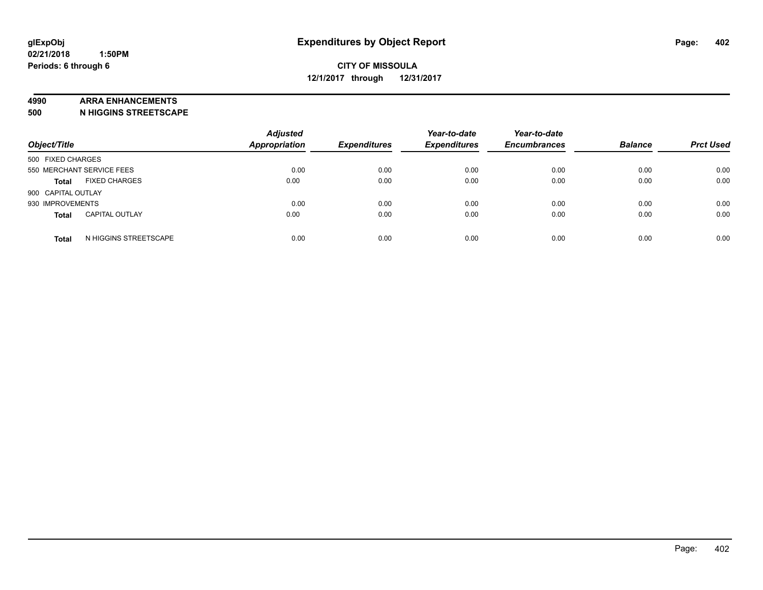### **4990 ARRA ENHANCEMENTS**

**500 N HIGGINS STREETSCAPE**

| Object/Title              |                       | <b>Adjusted</b><br><b>Appropriation</b> | <b>Expenditures</b> | Year-to-date<br><b>Expenditures</b> | Year-to-date<br><b>Encumbrances</b> | <b>Balance</b> | <b>Prct Used</b> |
|---------------------------|-----------------------|-----------------------------------------|---------------------|-------------------------------------|-------------------------------------|----------------|------------------|
| 500 FIXED CHARGES         |                       |                                         |                     |                                     |                                     |                |                  |
| 550 MERCHANT SERVICE FEES |                       | 0.00                                    | 0.00                | 0.00                                | 0.00                                | 0.00           | 0.00             |
| <b>Total</b>              | <b>FIXED CHARGES</b>  | 0.00                                    | 0.00                | 0.00                                | 0.00                                | 0.00           | 0.00             |
| 900 CAPITAL OUTLAY        |                       |                                         |                     |                                     |                                     |                |                  |
| 930 IMPROVEMENTS          |                       | 0.00                                    | 0.00                | 0.00                                | 0.00                                | 0.00           | 0.00             |
| <b>Total</b>              | <b>CAPITAL OUTLAY</b> | 0.00                                    | 0.00                | 0.00                                | 0.00                                | 0.00           | 0.00             |
| <b>Total</b>              | N HIGGINS STREETSCAPE | 0.00                                    | 0.00                | 0.00                                | 0.00                                | 0.00           | 0.00             |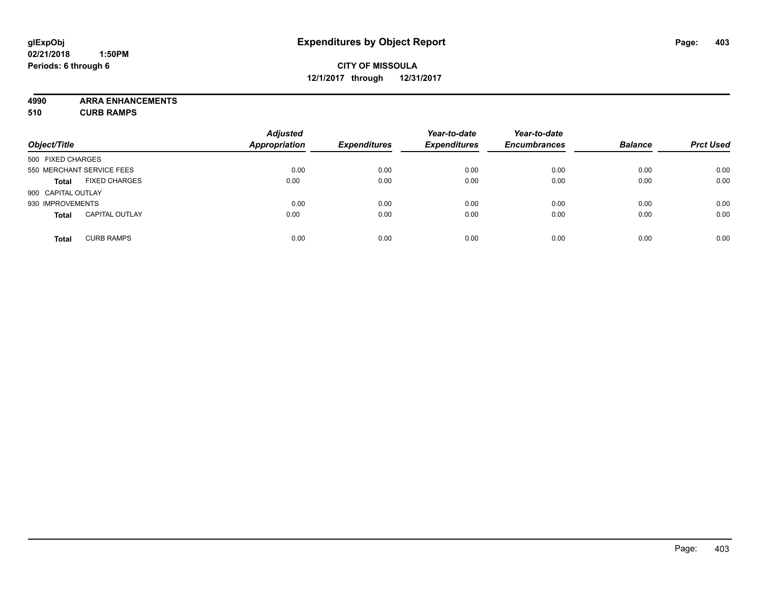### **02/21/2018 1:50PM Periods: 6 through 6**

# **CITY OF MISSOULA 12/1/2017 through 12/31/2017**

**4990 ARRA ENHANCEMENTS 510 CURB RAMPS**

| Object/Title       |                           | <b>Adjusted</b><br><b>Appropriation</b> | <b>Expenditures</b> | Year-to-date<br><b>Expenditures</b> | Year-to-date<br><b>Encumbrances</b> | <b>Balance</b> | <b>Prct Used</b> |
|--------------------|---------------------------|-----------------------------------------|---------------------|-------------------------------------|-------------------------------------|----------------|------------------|
| 500 FIXED CHARGES  |                           |                                         |                     |                                     |                                     |                |                  |
|                    | 550 MERCHANT SERVICE FEES | 0.00                                    | 0.00                | 0.00                                | 0.00                                | 0.00           | 0.00             |
| <b>Total</b>       | <b>FIXED CHARGES</b>      | 0.00                                    | 0.00                | 0.00                                | 0.00                                | 0.00           | 0.00             |
| 900 CAPITAL OUTLAY |                           |                                         |                     |                                     |                                     |                |                  |
| 930 IMPROVEMENTS   |                           | 0.00                                    | 0.00                | 0.00                                | 0.00                                | 0.00           | 0.00             |
| <b>Total</b>       | <b>CAPITAL OUTLAY</b>     | 0.00                                    | 0.00                | 0.00                                | 0.00                                | 0.00           | 0.00             |
| <b>Total</b>       | <b>CURB RAMPS</b>         | 0.00                                    | 0.00                | 0.00                                | 0.00                                | 0.00           | 0.00             |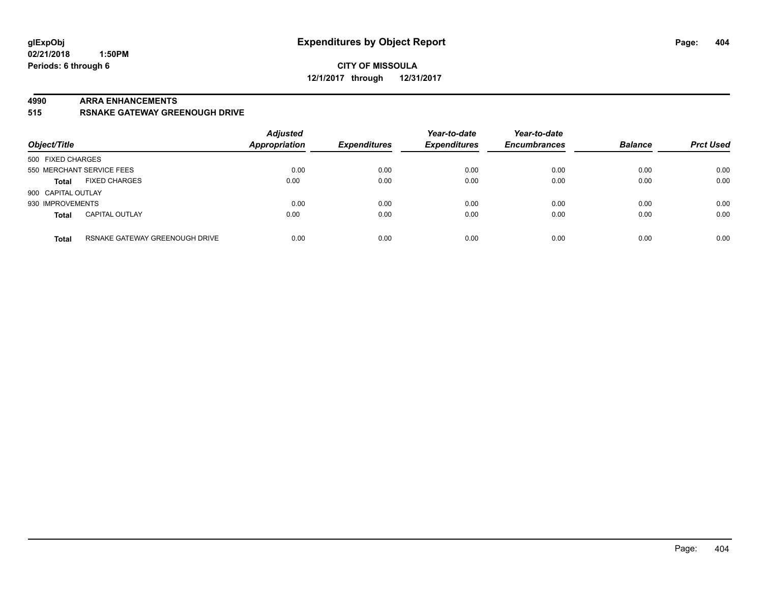#### **4990 ARRA ENHANCEMENTS**

#### **515 RSNAKE GATEWAY GREENOUGH DRIVE**

| Object/Title       |                                | <b>Adjusted</b><br><b>Appropriation</b> | <b>Expenditures</b> | Year-to-date<br><b>Expenditures</b> | Year-to-date<br><b>Encumbrances</b> | <b>Balance</b> | <b>Prct Used</b> |
|--------------------|--------------------------------|-----------------------------------------|---------------------|-------------------------------------|-------------------------------------|----------------|------------------|
| 500 FIXED CHARGES  |                                |                                         |                     |                                     |                                     |                |                  |
|                    | 550 MERCHANT SERVICE FEES      | 0.00                                    | 0.00                | 0.00                                | 0.00                                | 0.00           | 0.00             |
| <b>Total</b>       | <b>FIXED CHARGES</b>           | 0.00                                    | 0.00                | 0.00                                | 0.00                                | 0.00           | 0.00             |
| 900 CAPITAL OUTLAY |                                |                                         |                     |                                     |                                     |                |                  |
| 930 IMPROVEMENTS   |                                | 0.00                                    | 0.00                | 0.00                                | 0.00                                | 0.00           | 0.00             |
| <b>Total</b>       | <b>CAPITAL OUTLAY</b>          | 0.00                                    | 0.00                | 0.00                                | 0.00                                | 0.00           | 0.00             |
| <b>Total</b>       | RSNAKE GATEWAY GREENOUGH DRIVE | 0.00                                    | 0.00                | 0.00                                | 0.00                                | 0.00           | 0.00             |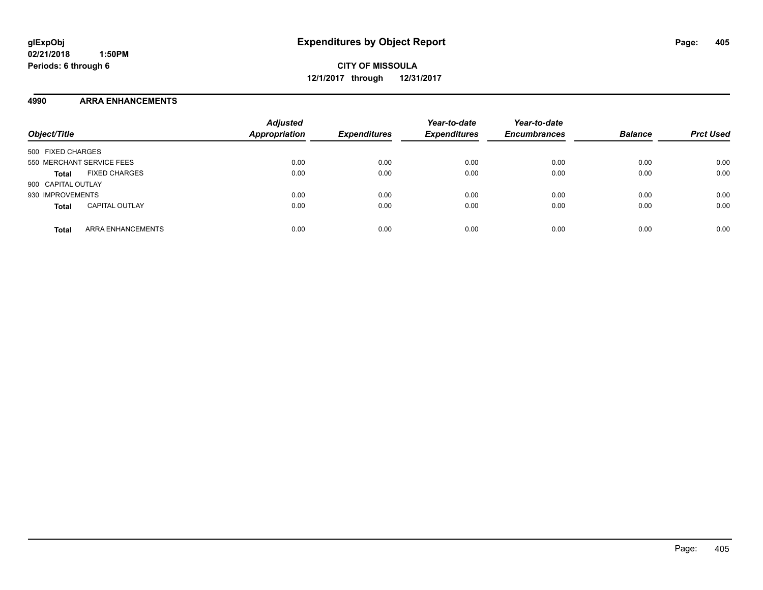## **4990 ARRA ENHANCEMENTS**

| Object/Title                          | <b>Adjusted</b><br><b>Appropriation</b> | <b>Expenditures</b> | Year-to-date<br><b>Expenditures</b> | Year-to-date<br><b>Encumbrances</b> | <b>Balance</b> | <b>Prct Used</b> |
|---------------------------------------|-----------------------------------------|---------------------|-------------------------------------|-------------------------------------|----------------|------------------|
| 500 FIXED CHARGES                     |                                         |                     |                                     |                                     |                |                  |
| 550 MERCHANT SERVICE FEES             | 0.00                                    | 0.00                | 0.00                                | 0.00                                | 0.00           | 0.00             |
| <b>FIXED CHARGES</b><br><b>Total</b>  | 0.00                                    | 0.00                | 0.00                                | 0.00                                | 0.00           | 0.00             |
| 900 CAPITAL OUTLAY                    |                                         |                     |                                     |                                     |                |                  |
| 930 IMPROVEMENTS                      | 0.00                                    | 0.00                | 0.00                                | 0.00                                | 0.00           | 0.00             |
| <b>CAPITAL OUTLAY</b><br><b>Total</b> | 0.00                                    | 0.00                | 0.00                                | 0.00                                | 0.00           | 0.00             |
| ARRA ENHANCEMENTS<br><b>Total</b>     | 0.00                                    | 0.00                | 0.00                                | 0.00                                | 0.00           | 0.00             |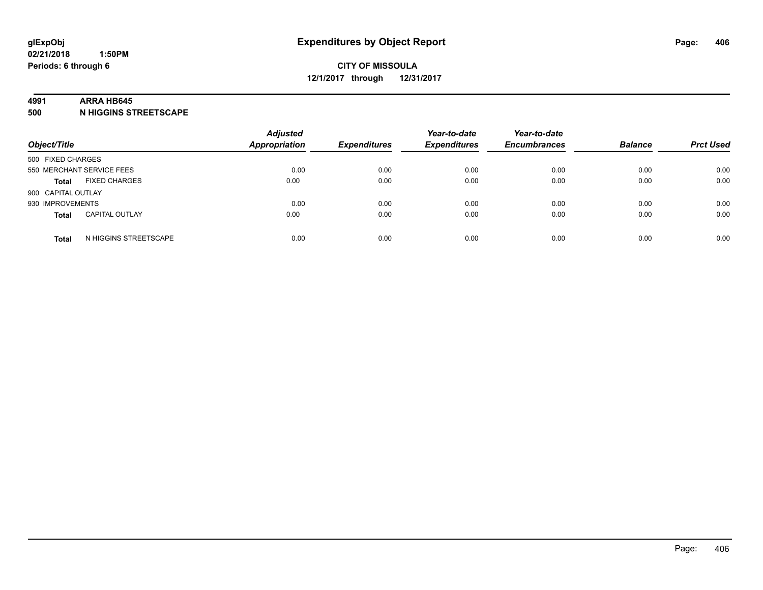#### **4991 ARRA HB645**

**500 N HIGGINS STREETSCAPE**

| Object/Title       |                           | <b>Adjusted</b><br><b>Appropriation</b><br><b>Expenditures</b> | Year-to-date<br><b>Expenditures</b> | Year-to-date<br><b>Encumbrances</b> | <b>Balance</b> | <b>Prct Used</b> |      |
|--------------------|---------------------------|----------------------------------------------------------------|-------------------------------------|-------------------------------------|----------------|------------------|------|
| 500 FIXED CHARGES  |                           |                                                                |                                     |                                     |                |                  |      |
|                    | 550 MERCHANT SERVICE FEES | 0.00                                                           | 0.00                                | 0.00                                | 0.00           | 0.00             | 0.00 |
| <b>Total</b>       | <b>FIXED CHARGES</b>      | 0.00                                                           | 0.00                                | 0.00                                | 0.00           | 0.00             | 0.00 |
| 900 CAPITAL OUTLAY |                           |                                                                |                                     |                                     |                |                  |      |
| 930 IMPROVEMENTS   |                           | 0.00                                                           | 0.00                                | 0.00                                | 0.00           | 0.00             | 0.00 |
| <b>Total</b>       | <b>CAPITAL OUTLAY</b>     | 0.00                                                           | 0.00                                | 0.00                                | 0.00           | 0.00             | 0.00 |
| <b>Total</b>       | N HIGGINS STREETSCAPE     | 0.00                                                           | 0.00                                | 0.00                                | 0.00           | 0.00             | 0.00 |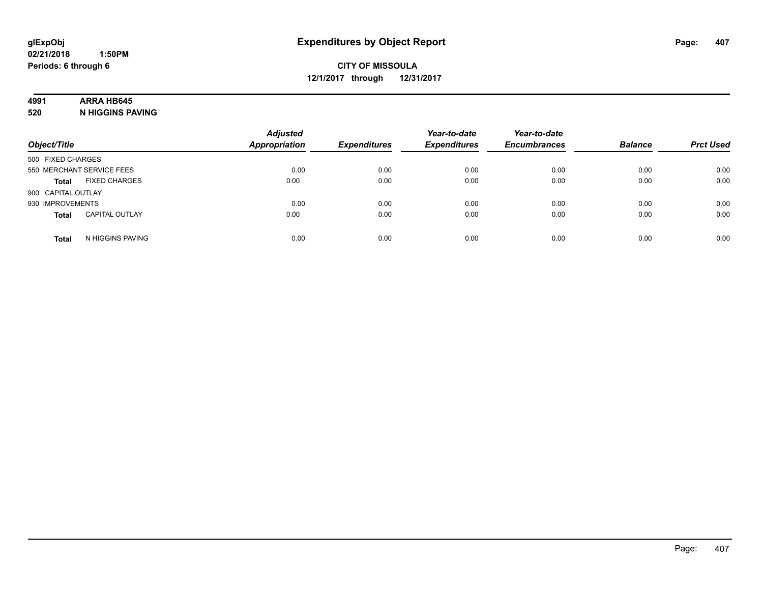# **4991 ARRA HB645**

**520 N HIGGINS PAVING**

| Object/Title                          | <b>Adjusted</b><br><b>Appropriation</b> | <b>Expenditures</b> | Year-to-date<br><b>Expenditures</b> | Year-to-date<br><b>Encumbrances</b> | <b>Balance</b> | <b>Prct Used</b> |
|---------------------------------------|-----------------------------------------|---------------------|-------------------------------------|-------------------------------------|----------------|------------------|
| 500 FIXED CHARGES                     |                                         |                     |                                     |                                     |                |                  |
| 550 MERCHANT SERVICE FEES             | 0.00                                    | 0.00                | 0.00                                | 0.00                                | 0.00           | 0.00             |
| <b>FIXED CHARGES</b><br><b>Total</b>  | 0.00                                    | 0.00                | 0.00                                | 0.00                                | 0.00           | 0.00             |
| 900 CAPITAL OUTLAY                    |                                         |                     |                                     |                                     |                |                  |
| 930 IMPROVEMENTS                      | 0.00                                    | 0.00                | 0.00                                | 0.00                                | 0.00           | 0.00             |
| <b>CAPITAL OUTLAY</b><br><b>Total</b> | 0.00                                    | 0.00                | 0.00                                | 0.00                                | 0.00           | 0.00             |
| N HIGGINS PAVING<br><b>Total</b>      | 0.00                                    | 0.00                | 0.00                                | 0.00                                | 0.00           | 0.00             |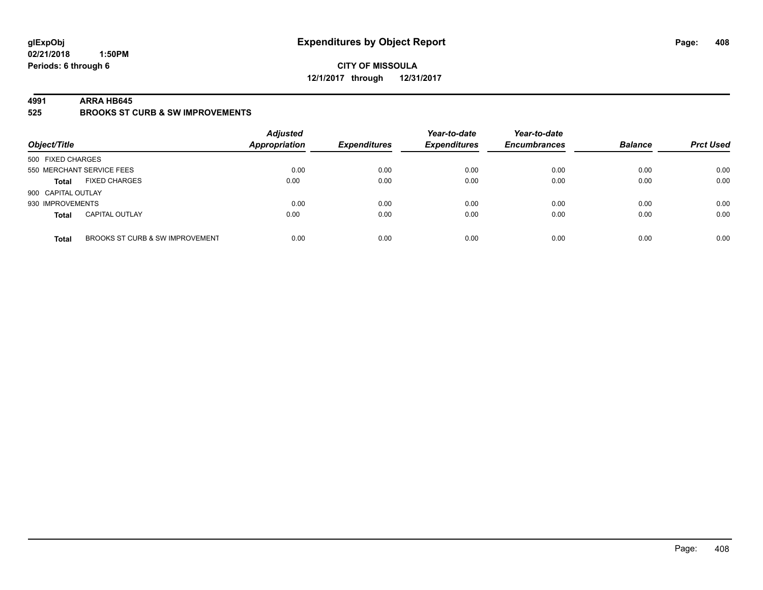**02/21/2018 1:50PM Periods: 6 through 6**

## **CITY OF MISSOULA 12/1/2017 through 12/31/2017**

#### **4991 ARRA HB645**

**525 BROOKS ST CURB & SW IMPROVEMENTS**

| Object/Title       |                                 | <b>Adjusted</b><br><b>Appropriation</b> | <b>Expenditures</b> | Year-to-date<br><b>Expenditures</b> | Year-to-date<br><b>Encumbrances</b> | <b>Balance</b> | <b>Prct Used</b> |
|--------------------|---------------------------------|-----------------------------------------|---------------------|-------------------------------------|-------------------------------------|----------------|------------------|
| 500 FIXED CHARGES  |                                 |                                         |                     |                                     |                                     |                |                  |
|                    | 550 MERCHANT SERVICE FEES       | 0.00                                    | 0.00                | 0.00                                | 0.00                                | 0.00           | 0.00             |
| <b>Total</b>       | <b>FIXED CHARGES</b>            | 0.00                                    | 0.00                | 0.00                                | 0.00                                | 0.00           | 0.00             |
| 900 CAPITAL OUTLAY |                                 |                                         |                     |                                     |                                     |                |                  |
| 930 IMPROVEMENTS   |                                 | 0.00                                    | 0.00                | 0.00                                | 0.00                                | 0.00           | 0.00             |
| <b>Total</b>       | <b>CAPITAL OUTLAY</b>           | 0.00                                    | 0.00                | 0.00                                | 0.00                                | 0.00           | 0.00             |
| <b>Total</b>       | BROOKS ST CURB & SW IMPROVEMENT | 0.00                                    | 0.00                | 0.00                                | 0.00                                | 0.00           | 0.00             |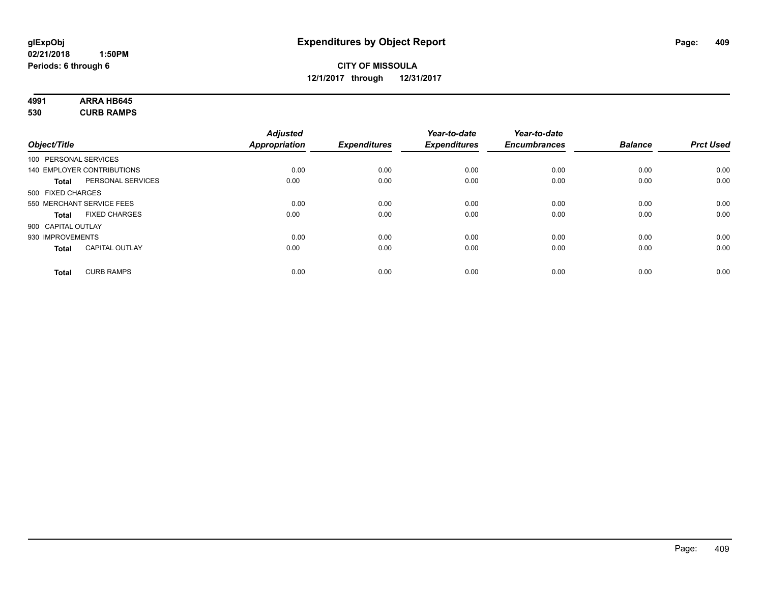### **4991 ARRA HB645 530 CURB RAMPS**

| 530 |  | <b>CURB RAMPS</b> |  |
|-----|--|-------------------|--|
|     |  |                   |  |

|              |                                       | <b>Adjusted</b> |                     | Year-to-date        | Year-to-date        |                |                  |
|--------------|---------------------------------------|-----------------|---------------------|---------------------|---------------------|----------------|------------------|
| Object/Title |                                       | Appropriation   | <b>Expenditures</b> | <b>Expenditures</b> | <b>Encumbrances</b> | <b>Balance</b> | <b>Prct Used</b> |
|              | 100 PERSONAL SERVICES                 |                 |                     |                     |                     |                |                  |
|              | 140 EMPLOYER CONTRIBUTIONS            | 0.00            | 0.00                | 0.00                | 0.00                | 0.00           | 0.00             |
|              | PERSONAL SERVICES<br><b>Total</b>     | 0.00            | 0.00                | 0.00                | 0.00                | 0.00           | 0.00             |
|              | 500 FIXED CHARGES                     |                 |                     |                     |                     |                |                  |
|              | 550 MERCHANT SERVICE FEES             | 0.00            | 0.00                | 0.00                | 0.00                | 0.00           | 0.00             |
|              | <b>FIXED CHARGES</b><br><b>Total</b>  | 0.00            | 0.00                | 0.00                | 0.00                | 0.00           | 0.00             |
|              | 900 CAPITAL OUTLAY                    |                 |                     |                     |                     |                |                  |
|              | 930 IMPROVEMENTS                      | 0.00            | 0.00                | 0.00                | 0.00                | 0.00           | 0.00             |
|              | <b>CAPITAL OUTLAY</b><br><b>Total</b> | 0.00            | 0.00                | 0.00                | 0.00                | 0.00           | 0.00             |
|              | <b>CURB RAMPS</b><br><b>Total</b>     | 0.00            | 0.00                | 0.00                | 0.00                | 0.00           | 0.00             |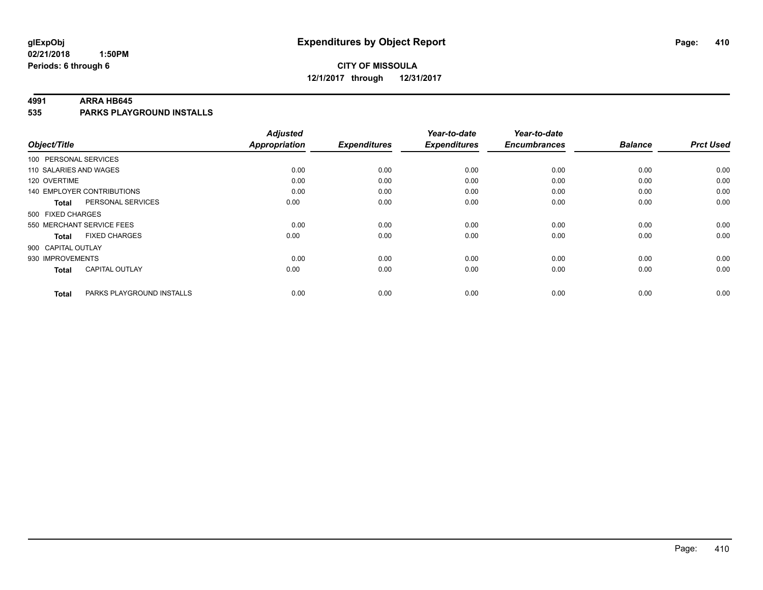#### **4991 ARRA HB645**

**535 PARKS PLAYGROUND INSTALLS**

|                        |                            | <b>Adjusted</b>      |                     | Year-to-date        | Year-to-date        |                |                  |
|------------------------|----------------------------|----------------------|---------------------|---------------------|---------------------|----------------|------------------|
| Object/Title           |                            | <b>Appropriation</b> | <b>Expenditures</b> | <b>Expenditures</b> | <b>Encumbrances</b> | <b>Balance</b> | <b>Prct Used</b> |
| 100 PERSONAL SERVICES  |                            |                      |                     |                     |                     |                |                  |
| 110 SALARIES AND WAGES |                            | 0.00                 | 0.00                | 0.00                | 0.00                | 0.00           | 0.00             |
| 120 OVERTIME           |                            | 0.00                 | 0.00                | 0.00                | 0.00                | 0.00           | 0.00             |
|                        | 140 EMPLOYER CONTRIBUTIONS | 0.00                 | 0.00                | 0.00                | 0.00                | 0.00           | 0.00             |
| <b>Total</b>           | PERSONAL SERVICES          | 0.00                 | 0.00                | 0.00                | 0.00                | 0.00           | 0.00             |
| 500 FIXED CHARGES      |                            |                      |                     |                     |                     |                |                  |
|                        | 550 MERCHANT SERVICE FEES  | 0.00                 | 0.00                | 0.00                | 0.00                | 0.00           | 0.00             |
| <b>Total</b>           | <b>FIXED CHARGES</b>       | 0.00                 | 0.00                | 0.00                | 0.00                | 0.00           | 0.00             |
| 900 CAPITAL OUTLAY     |                            |                      |                     |                     |                     |                |                  |
| 930 IMPROVEMENTS       |                            | 0.00                 | 0.00                | 0.00                | 0.00                | 0.00           | 0.00             |
| <b>Total</b>           | <b>CAPITAL OUTLAY</b>      | 0.00                 | 0.00                | 0.00                | 0.00                | 0.00           | 0.00             |
| <b>Total</b>           | PARKS PLAYGROUND INSTALLS  | 0.00                 | 0.00                | 0.00                | 0.00                | 0.00           | 0.00             |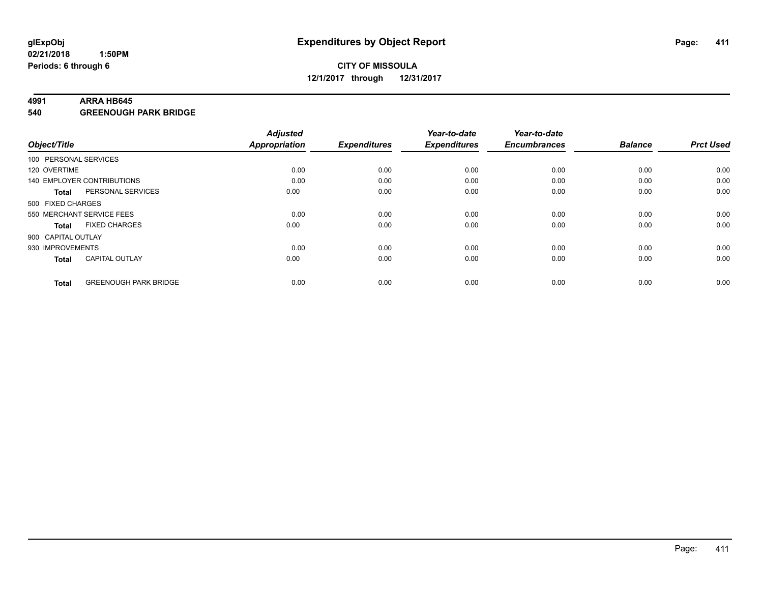#### **4991 ARRA HB645**

**540 GREENOUGH PARK BRIDGE**

| Object/Title          |                              | <b>Adjusted</b><br><b>Appropriation</b> | <b>Expenditures</b> | Year-to-date<br><b>Expenditures</b> | Year-to-date<br><b>Encumbrances</b> | <b>Balance</b> | <b>Prct Used</b> |
|-----------------------|------------------------------|-----------------------------------------|---------------------|-------------------------------------|-------------------------------------|----------------|------------------|
| 100 PERSONAL SERVICES |                              |                                         |                     |                                     |                                     |                |                  |
| 120 OVERTIME          |                              | 0.00                                    | 0.00                | 0.00                                | 0.00                                | 0.00           | 0.00             |
|                       | 140 EMPLOYER CONTRIBUTIONS   | 0.00                                    | 0.00                | 0.00                                | 0.00                                | 0.00           | 0.00             |
| Total                 | PERSONAL SERVICES            | 0.00                                    | 0.00                | 0.00                                | 0.00                                | 0.00           | 0.00             |
| 500 FIXED CHARGES     |                              |                                         |                     |                                     |                                     |                |                  |
|                       | 550 MERCHANT SERVICE FEES    | 0.00                                    | 0.00                | 0.00                                | 0.00                                | 0.00           | 0.00             |
| <b>Total</b>          | <b>FIXED CHARGES</b>         | 0.00                                    | 0.00                | 0.00                                | 0.00                                | 0.00           | 0.00             |
| 900 CAPITAL OUTLAY    |                              |                                         |                     |                                     |                                     |                |                  |
| 930 IMPROVEMENTS      |                              | 0.00                                    | 0.00                | 0.00                                | 0.00                                | 0.00           | 0.00             |
| <b>Total</b>          | <b>CAPITAL OUTLAY</b>        | 0.00                                    | 0.00                | 0.00                                | 0.00                                | 0.00           | 0.00             |
|                       |                              |                                         |                     |                                     |                                     |                |                  |
| <b>Total</b>          | <b>GREENOUGH PARK BRIDGE</b> | 0.00                                    | 0.00                | 0.00                                | 0.00                                | 0.00           | 0.00             |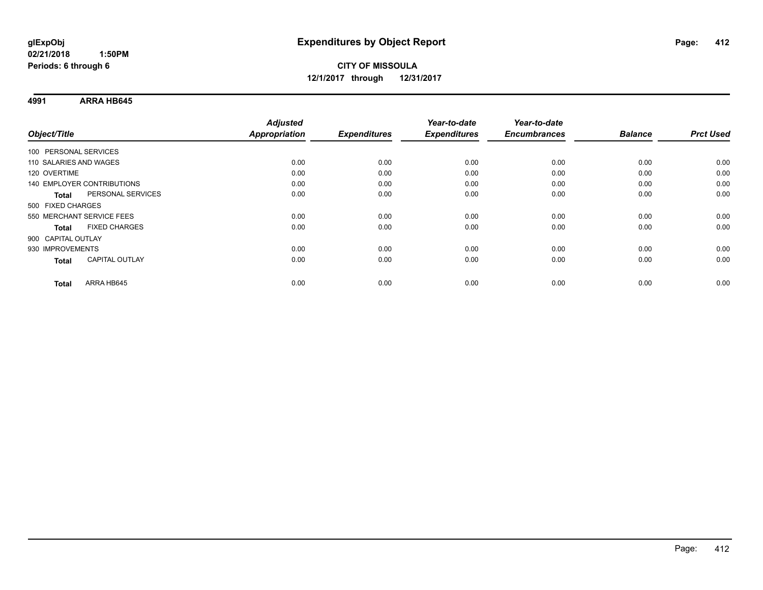**4991 ARRA HB645**

|                                   |                       | <b>Adjusted</b>      |                     | Year-to-date        | Year-to-date<br><b>Encumbrances</b> | <b>Balance</b> | <b>Prct Used</b> |
|-----------------------------------|-----------------------|----------------------|---------------------|---------------------|-------------------------------------|----------------|------------------|
| Object/Title                      |                       | <b>Appropriation</b> | <b>Expenditures</b> | <b>Expenditures</b> |                                     |                |                  |
| 100 PERSONAL SERVICES             |                       |                      |                     |                     |                                     |                |                  |
| 110 SALARIES AND WAGES            |                       | 0.00                 | 0.00                | 0.00                | 0.00                                | 0.00           | 0.00             |
| 120 OVERTIME                      |                       | 0.00                 | 0.00                | 0.00                | 0.00                                | 0.00           | 0.00             |
| <b>140 EMPLOYER CONTRIBUTIONS</b> |                       | 0.00                 | 0.00                | 0.00                | 0.00                                | 0.00           | 0.00             |
| Total                             | PERSONAL SERVICES     | 0.00                 | 0.00                | 0.00                | 0.00                                | 0.00           | 0.00             |
| 500 FIXED CHARGES                 |                       |                      |                     |                     |                                     |                |                  |
| 550 MERCHANT SERVICE FEES         |                       | 0.00                 | 0.00                | 0.00                | 0.00                                | 0.00           | 0.00             |
| Total                             | <b>FIXED CHARGES</b>  | 0.00                 | 0.00                | 0.00                | 0.00                                | 0.00           | 0.00             |
| 900 CAPITAL OUTLAY                |                       |                      |                     |                     |                                     |                |                  |
| 930 IMPROVEMENTS                  |                       | 0.00                 | 0.00                | 0.00                | 0.00                                | 0.00           | 0.00             |
| Total                             | <b>CAPITAL OUTLAY</b> | 0.00                 | 0.00                | 0.00                | 0.00                                | 0.00           | 0.00             |
| ARRA HB645<br><b>Total</b>        |                       | 0.00                 | 0.00                | 0.00                | 0.00                                | 0.00           | 0.00             |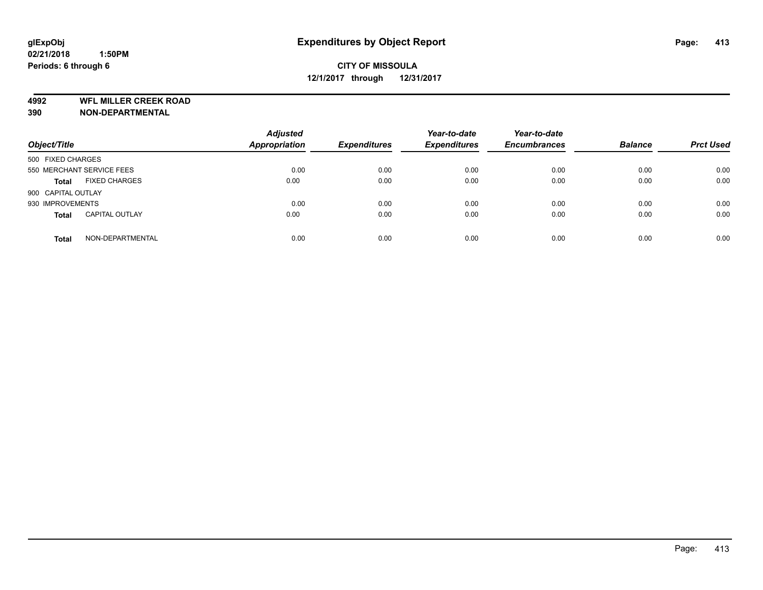**4992 WFL MILLER CREEK ROAD**

**390 NON-DEPARTMENTAL**

| Object/Title              |                       | <b>Adjusted</b><br><b>Appropriation</b> | <b>Expenditures</b> | Year-to-date<br><b>Expenditures</b> | Year-to-date<br><b>Encumbrances</b> | <b>Balance</b> | <b>Prct Used</b> |
|---------------------------|-----------------------|-----------------------------------------|---------------------|-------------------------------------|-------------------------------------|----------------|------------------|
| 500 FIXED CHARGES         |                       |                                         |                     |                                     |                                     |                |                  |
| 550 MERCHANT SERVICE FEES |                       | 0.00                                    | 0.00                | 0.00                                | 0.00                                | 0.00           | 0.00             |
| <b>Total</b>              | <b>FIXED CHARGES</b>  | 0.00                                    | 0.00                | 0.00                                | 0.00                                | 0.00           | 0.00             |
| 900 CAPITAL OUTLAY        |                       |                                         |                     |                                     |                                     |                |                  |
| 930 IMPROVEMENTS          |                       | 0.00                                    | 0.00                | 0.00                                | 0.00                                | 0.00           | 0.00             |
| <b>Total</b>              | <b>CAPITAL OUTLAY</b> | 0.00                                    | 0.00                | 0.00                                | 0.00                                | 0.00           | 0.00             |
| <b>Total</b>              | NON-DEPARTMENTAL      | 0.00                                    | 0.00                | 0.00                                | 0.00                                | 0.00           | 0.00             |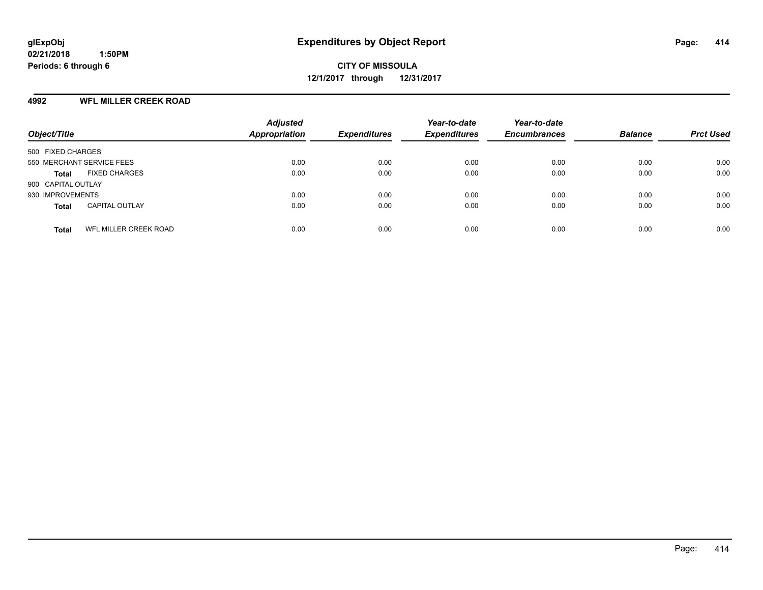## **4992 WFL MILLER CREEK ROAD**

| Object/Title                          | <b>Adjusted</b><br><b>Appropriation</b> | <b>Expenditures</b> | Year-to-date<br><b>Expenditures</b> | Year-to-date<br><b>Encumbrances</b> | <b>Balance</b> | <b>Prct Used</b> |
|---------------------------------------|-----------------------------------------|---------------------|-------------------------------------|-------------------------------------|----------------|------------------|
| 500 FIXED CHARGES                     |                                         |                     |                                     |                                     |                |                  |
| 550 MERCHANT SERVICE FEES             | 0.00                                    | 0.00                | 0.00                                | 0.00                                | 0.00           | 0.00             |
| <b>FIXED CHARGES</b><br><b>Total</b>  | 0.00                                    | 0.00                | 0.00                                | 0.00                                | 0.00           | 0.00             |
| 900 CAPITAL OUTLAY                    |                                         |                     |                                     |                                     |                |                  |
| 930 IMPROVEMENTS                      | 0.00                                    | 0.00                | 0.00                                | 0.00                                | 0.00           | 0.00             |
| <b>CAPITAL OUTLAY</b><br><b>Total</b> | 0.00                                    | 0.00                | 0.00                                | 0.00                                | 0.00           | 0.00             |
| WFL MILLER CREEK ROAD<br><b>Total</b> | 0.00                                    | 0.00                | 0.00                                | 0.00                                | 0.00           | 0.00             |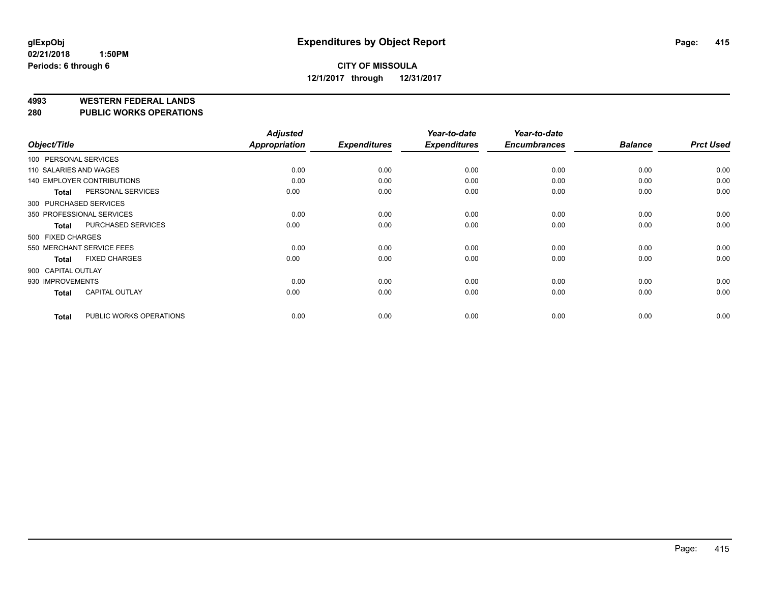#### **4993 WESTERN FEDERAL LANDS**

#### **280 PUBLIC WORKS OPERATIONS**

| Object/Title           |                                   | <b>Adjusted</b><br><b>Appropriation</b> | <b>Expenditures</b> | Year-to-date<br><b>Expenditures</b> | Year-to-date<br><b>Encumbrances</b> | <b>Balance</b> | <b>Prct Used</b> |
|------------------------|-----------------------------------|-----------------------------------------|---------------------|-------------------------------------|-------------------------------------|----------------|------------------|
| 100 PERSONAL SERVICES  |                                   |                                         |                     |                                     |                                     |                |                  |
| 110 SALARIES AND WAGES |                                   | 0.00                                    | 0.00                | 0.00                                | 0.00                                | 0.00           | 0.00             |
|                        | <b>140 EMPLOYER CONTRIBUTIONS</b> | 0.00                                    | 0.00                | 0.00                                | 0.00                                | 0.00           | 0.00             |
| <b>Total</b>           | PERSONAL SERVICES                 | 0.00                                    | 0.00                | 0.00                                | 0.00                                | 0.00           | 0.00             |
| 300 PURCHASED SERVICES |                                   |                                         |                     |                                     |                                     |                |                  |
|                        | 350 PROFESSIONAL SERVICES         | 0.00                                    | 0.00                | 0.00                                | 0.00                                | 0.00           | 0.00             |
| <b>Total</b>           | PURCHASED SERVICES                | 0.00                                    | 0.00                | 0.00                                | 0.00                                | 0.00           | 0.00             |
| 500 FIXED CHARGES      |                                   |                                         |                     |                                     |                                     |                |                  |
|                        | 550 MERCHANT SERVICE FEES         | 0.00                                    | 0.00                | 0.00                                | 0.00                                | 0.00           | 0.00             |
| <b>Total</b>           | <b>FIXED CHARGES</b>              | 0.00                                    | 0.00                | 0.00                                | 0.00                                | 0.00           | 0.00             |
| 900 CAPITAL OUTLAY     |                                   |                                         |                     |                                     |                                     |                |                  |
| 930 IMPROVEMENTS       |                                   | 0.00                                    | 0.00                | 0.00                                | 0.00                                | 0.00           | 0.00             |
| <b>Total</b>           | <b>CAPITAL OUTLAY</b>             | 0.00                                    | 0.00                | 0.00                                | 0.00                                | 0.00           | 0.00             |
| <b>Total</b>           | PUBLIC WORKS OPERATIONS           | 0.00                                    | 0.00                | 0.00                                | 0.00                                | 0.00           | 0.00             |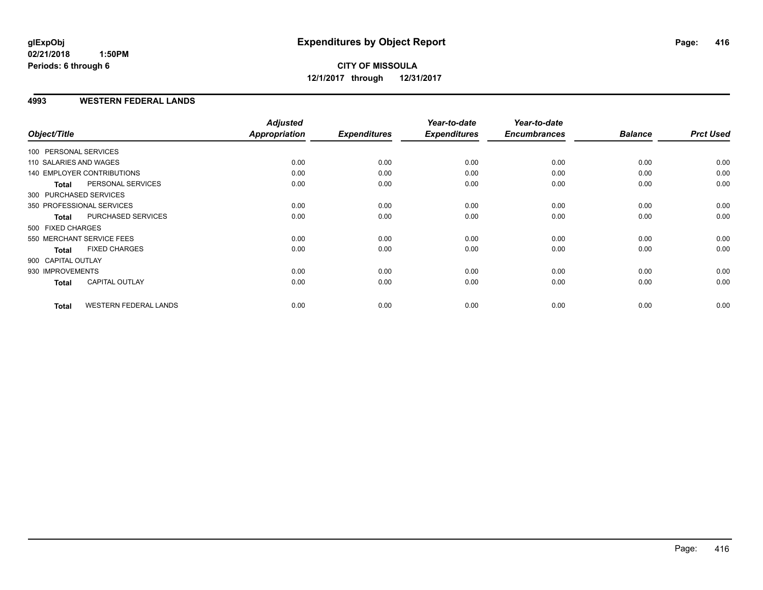## **4993 WESTERN FEDERAL LANDS**

| Object/Title           |                              | <b>Adjusted</b><br>Appropriation | <b>Expenditures</b> | Year-to-date<br><b>Expenditures</b> | Year-to-date<br><b>Encumbrances</b> | <b>Balance</b> | <b>Prct Used</b> |
|------------------------|------------------------------|----------------------------------|---------------------|-------------------------------------|-------------------------------------|----------------|------------------|
|                        |                              |                                  |                     |                                     |                                     |                |                  |
| 100 PERSONAL SERVICES  |                              |                                  |                     |                                     |                                     |                |                  |
| 110 SALARIES AND WAGES |                              | 0.00                             | 0.00                | 0.00                                | 0.00                                | 0.00           | 0.00             |
|                        | 140 EMPLOYER CONTRIBUTIONS   | 0.00                             | 0.00                | 0.00                                | 0.00                                | 0.00           | 0.00             |
| <b>Total</b>           | PERSONAL SERVICES            | 0.00                             | 0.00                | 0.00                                | 0.00                                | 0.00           | 0.00             |
|                        | 300 PURCHASED SERVICES       |                                  |                     |                                     |                                     |                |                  |
|                        | 350 PROFESSIONAL SERVICES    | 0.00                             | 0.00                | 0.00                                | 0.00                                | 0.00           | 0.00             |
| <b>Total</b>           | PURCHASED SERVICES           | 0.00                             | 0.00                | 0.00                                | 0.00                                | 0.00           | 0.00             |
| 500 FIXED CHARGES      |                              |                                  |                     |                                     |                                     |                |                  |
|                        | 550 MERCHANT SERVICE FEES    | 0.00                             | 0.00                | 0.00                                | 0.00                                | 0.00           | 0.00             |
| <b>Total</b>           | <b>FIXED CHARGES</b>         | 0.00                             | 0.00                | 0.00                                | 0.00                                | 0.00           | 0.00             |
| 900 CAPITAL OUTLAY     |                              |                                  |                     |                                     |                                     |                |                  |
| 930 IMPROVEMENTS       |                              | 0.00                             | 0.00                | 0.00                                | 0.00                                | 0.00           | 0.00             |
| Total                  | <b>CAPITAL OUTLAY</b>        | 0.00                             | 0.00                | 0.00                                | 0.00                                | 0.00           | 0.00             |
|                        |                              |                                  |                     |                                     |                                     |                |                  |
| <b>Total</b>           | <b>WESTERN FEDERAL LANDS</b> | 0.00                             | 0.00                | 0.00                                | 0.00                                | 0.00           | 0.00             |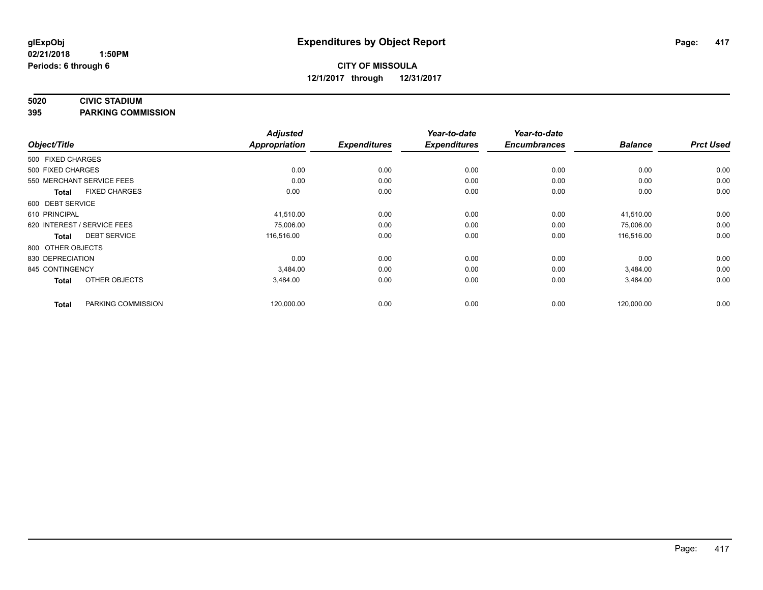#### **5020 CIVIC STADIUM**

**395 PARKING COMMISSION**

|                   |                             | <b>Adjusted</b>      |                     | Year-to-date        | Year-to-date        |                |                  |
|-------------------|-----------------------------|----------------------|---------------------|---------------------|---------------------|----------------|------------------|
| Object/Title      |                             | <b>Appropriation</b> | <b>Expenditures</b> | <b>Expenditures</b> | <b>Encumbrances</b> | <b>Balance</b> | <b>Prct Used</b> |
| 500 FIXED CHARGES |                             |                      |                     |                     |                     |                |                  |
| 500 FIXED CHARGES |                             | 0.00                 | 0.00                | 0.00                | 0.00                | 0.00           | 0.00             |
|                   | 550 MERCHANT SERVICE FEES   | 0.00                 | 0.00                | 0.00                | 0.00                | 0.00           | 0.00             |
| <b>Total</b>      | <b>FIXED CHARGES</b>        | 0.00                 | 0.00                | 0.00                | 0.00                | 0.00           | 0.00             |
| 600 DEBT SERVICE  |                             |                      |                     |                     |                     |                |                  |
| 610 PRINCIPAL     |                             | 41,510.00            | 0.00                | 0.00                | 0.00                | 41,510.00      | 0.00             |
|                   | 620 INTEREST / SERVICE FEES | 75,006.00            | 0.00                | 0.00                | 0.00                | 75,006.00      | 0.00             |
| <b>Total</b>      | <b>DEBT SERVICE</b>         | 116,516.00           | 0.00                | 0.00                | 0.00                | 116,516.00     | 0.00             |
| 800 OTHER OBJECTS |                             |                      |                     |                     |                     |                |                  |
| 830 DEPRECIATION  |                             | 0.00                 | 0.00                | 0.00                | 0.00                | 0.00           | 0.00             |
| 845 CONTINGENCY   |                             | 3.484.00             | 0.00                | 0.00                | 0.00                | 3,484.00       | 0.00             |
| <b>Total</b>      | OTHER OBJECTS               | 3,484.00             | 0.00                | 0.00                | 0.00                | 3,484.00       | 0.00             |
| <b>Total</b>      | PARKING COMMISSION          | 120,000.00           | 0.00                | 0.00                | 0.00                | 120,000.00     | 0.00             |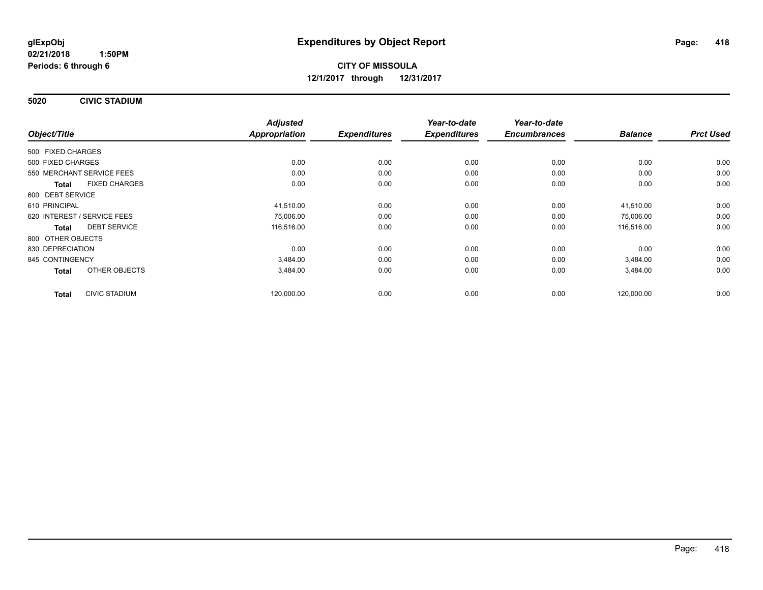**5020 CIVIC STADIUM**

|                             |                           | <b>Adjusted</b> |                     | Year-to-date        | Year-to-date        |                |                  |
|-----------------------------|---------------------------|-----------------|---------------------|---------------------|---------------------|----------------|------------------|
| Object/Title                |                           | Appropriation   | <b>Expenditures</b> | <b>Expenditures</b> | <b>Encumbrances</b> | <b>Balance</b> | <b>Prct Used</b> |
| 500 FIXED CHARGES           |                           |                 |                     |                     |                     |                |                  |
| 500 FIXED CHARGES           |                           | 0.00            | 0.00                | 0.00                | 0.00                | 0.00           | 0.00             |
|                             | 550 MERCHANT SERVICE FEES | 0.00            | 0.00                | 0.00                | 0.00                | 0.00           | 0.00             |
| <b>Total</b>                | <b>FIXED CHARGES</b>      | 0.00            | 0.00                | 0.00                | 0.00                | 0.00           | 0.00             |
| 600 DEBT SERVICE            |                           |                 |                     |                     |                     |                |                  |
| 610 PRINCIPAL               |                           | 41,510.00       | 0.00                | 0.00                | 0.00                | 41,510.00      | 0.00             |
| 620 INTEREST / SERVICE FEES |                           | 75,006.00       | 0.00                | 0.00                | 0.00                | 75,006.00      | 0.00             |
| Total                       | <b>DEBT SERVICE</b>       | 116,516.00      | 0.00                | 0.00                | 0.00                | 116,516.00     | 0.00             |
| 800 OTHER OBJECTS           |                           |                 |                     |                     |                     |                |                  |
| 830 DEPRECIATION            |                           | 0.00            | 0.00                | 0.00                | 0.00                | 0.00           | 0.00             |
| 845 CONTINGENCY             |                           | 3,484.00        | 0.00                | 0.00                | 0.00                | 3,484.00       | 0.00             |
| <b>Total</b>                | <b>OTHER OBJECTS</b>      | 3,484.00        | 0.00                | 0.00                | 0.00                | 3,484.00       | 0.00             |
| <b>Total</b>                | <b>CIVIC STADIUM</b>      | 120,000.00      | 0.00                | 0.00                | 0.00                | 120,000.00     | 0.00             |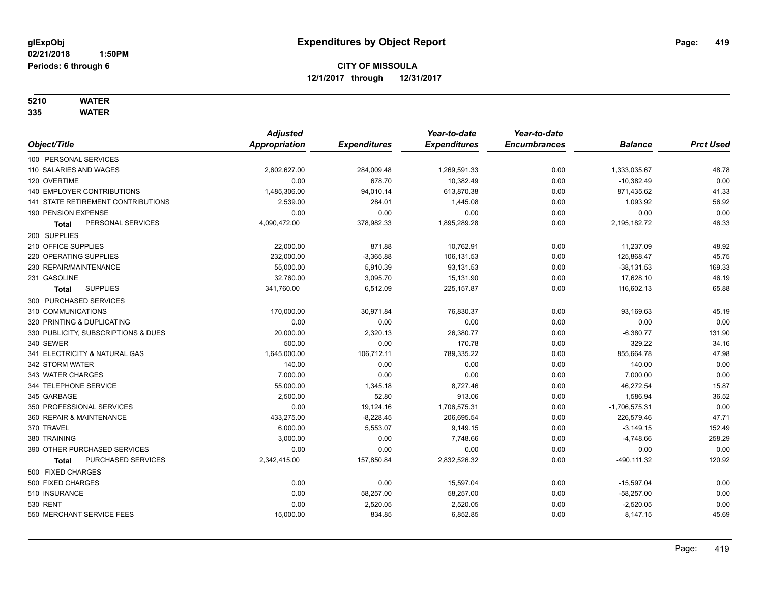# **5210 WATER**

|                                     | <b>Adjusted</b> |                     | Year-to-date        | Year-to-date        |                 |                  |
|-------------------------------------|-----------------|---------------------|---------------------|---------------------|-----------------|------------------|
| Object/Title                        | Appropriation   | <b>Expenditures</b> | <b>Expenditures</b> | <b>Encumbrances</b> | <b>Balance</b>  | <b>Prct Used</b> |
| 100 PERSONAL SERVICES               |                 |                     |                     |                     |                 |                  |
| 110 SALARIES AND WAGES              | 2,602,627.00    | 284,009.48          | 1,269,591.33        | 0.00                | 1,333,035.67    | 48.78            |
| 120 OVERTIME                        | 0.00            | 678.70              | 10,382.49           | 0.00                | $-10,382.49$    | 0.00             |
| 140 EMPLOYER CONTRIBUTIONS          | 1,485,306.00    | 94,010.14           | 613,870.38          | 0.00                | 871,435.62      | 41.33            |
| 141 STATE RETIREMENT CONTRIBUTIONS  | 2,539.00        | 284.01              | 1,445.08            | 0.00                | 1,093.92        | 56.92            |
| 190 PENSION EXPENSE                 | 0.00            | 0.00                | 0.00                | 0.00                | 0.00            | 0.00             |
| PERSONAL SERVICES<br>Total          | 4,090,472.00    | 378,982.33          | 1,895,289.28        | 0.00                | 2,195,182.72    | 46.33            |
| 200 SUPPLIES                        |                 |                     |                     |                     |                 |                  |
| 210 OFFICE SUPPLIES                 | 22,000.00       | 871.88              | 10,762.91           | 0.00                | 11,237.09       | 48.92            |
| 220 OPERATING SUPPLIES              | 232,000.00      | $-3,365.88$         | 106,131.53          | 0.00                | 125,868.47      | 45.75            |
| 230 REPAIR/MAINTENANCE              | 55,000.00       | 5,910.39            | 93,131.53           | 0.00                | $-38,131.53$    | 169.33           |
| 231 GASOLINE                        | 32,760.00       | 3,095.70            | 15,131.90           | 0.00                | 17,628.10       | 46.19            |
| <b>SUPPLIES</b><br>Total            | 341,760.00      | 6,512.09            | 225, 157.87         | 0.00                | 116,602.13      | 65.88            |
| 300 PURCHASED SERVICES              |                 |                     |                     |                     |                 |                  |
| 310 COMMUNICATIONS                  | 170,000.00      | 30,971.84           | 76,830.37           | 0.00                | 93,169.63       | 45.19            |
| 320 PRINTING & DUPLICATING          | 0.00            | 0.00                | 0.00                | 0.00                | 0.00            | 0.00             |
| 330 PUBLICITY, SUBSCRIPTIONS & DUES | 20,000.00       | 2,320.13            | 26,380.77           | 0.00                | $-6,380.77$     | 131.90           |
| 340 SEWER                           | 500.00          | 0.00                | 170.78              | 0.00                | 329.22          | 34.16            |
| 341 ELECTRICITY & NATURAL GAS       | 1,645,000.00    | 106,712.11          | 789,335.22          | 0.00                | 855,664.78      | 47.98            |
| 342 STORM WATER                     | 140.00          | 0.00                | 0.00                | 0.00                | 140.00          | 0.00             |
| 343 WATER CHARGES                   | 7,000.00        | 0.00                | 0.00                | 0.00                | 7,000.00        | 0.00             |
| 344 TELEPHONE SERVICE               | 55,000.00       | 1,345.18            | 8,727.46            | 0.00                | 46,272.54       | 15.87            |
| 345 GARBAGE                         | 2,500.00        | 52.80               | 913.06              | 0.00                | 1,586.94        | 36.52            |
| 350 PROFESSIONAL SERVICES           | 0.00            | 19,124.16           | 1,706,575.31        | 0.00                | $-1,706,575.31$ | 0.00             |
| 360 REPAIR & MAINTENANCE            | 433,275.00      | $-8,228.45$         | 206,695.54          | 0.00                | 226,579.46      | 47.71            |
| 370 TRAVEL                          | 6,000.00        | 5,553.07            | 9,149.15            | 0.00                | $-3,149.15$     | 152.49           |
| 380 TRAINING                        | 3,000.00        | 0.00                | 7,748.66            | 0.00                | $-4,748.66$     | 258.29           |
| 390 OTHER PURCHASED SERVICES        | 0.00            | 0.00                | 0.00                | 0.00                | 0.00            | 0.00             |
| PURCHASED SERVICES<br><b>Total</b>  | 2,342,415.00    | 157,850.84          | 2,832,526.32        | 0.00                | -490,111.32     | 120.92           |
| 500 FIXED CHARGES                   |                 |                     |                     |                     |                 |                  |
| 500 FIXED CHARGES                   | 0.00            | 0.00                | 15,597.04           | 0.00                | $-15,597.04$    | 0.00             |
| 510 INSURANCE                       | 0.00            | 58,257.00           | 58,257.00           | 0.00                | $-58,257.00$    | 0.00             |
| 530 RENT                            | 0.00            | 2,520.05            | 2,520.05            | 0.00                | $-2,520.05$     | 0.00             |
| 550 MERCHANT SERVICE FEES           | 15,000.00       | 834.85              | 6,852.85            | 0.00                | 8,147.15        | 45.69            |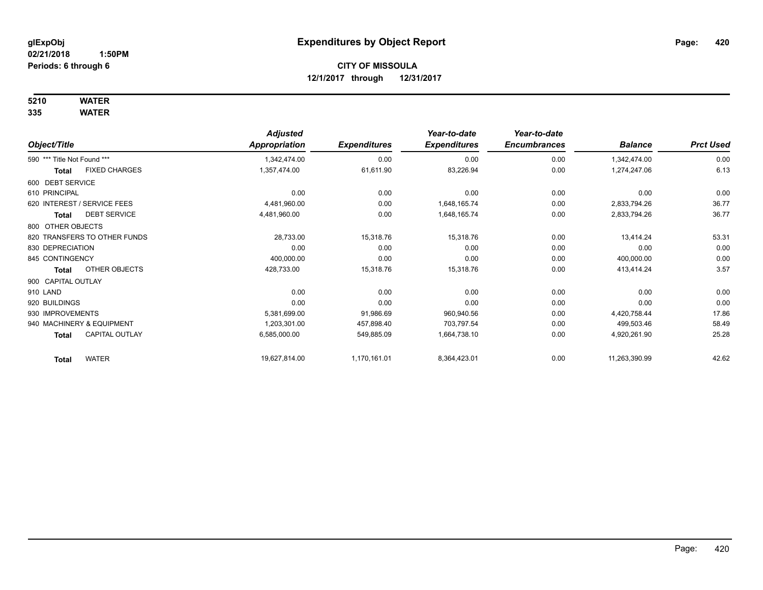# **5210 WATER**

|                                | <b>Adjusted</b> |                     | Year-to-date        | Year-to-date        |                |                  |
|--------------------------------|-----------------|---------------------|---------------------|---------------------|----------------|------------------|
| Object/Title                   | Appropriation   | <b>Expenditures</b> | <b>Expenditures</b> | <b>Encumbrances</b> | <b>Balance</b> | <b>Prct Used</b> |
| 590 *** Title Not Found ***    | 1,342,474.00    | 0.00                | 0.00                | 0.00                | 1,342,474.00   | 0.00             |
| <b>FIXED CHARGES</b><br>Total  | 1,357,474.00    | 61,611.90           | 83,226.94           | 0.00                | 1,274,247.06   | 6.13             |
| 600 DEBT SERVICE               |                 |                     |                     |                     |                |                  |
| 610 PRINCIPAL                  | 0.00            | 0.00                | 0.00                | 0.00                | 0.00           | 0.00             |
| 620 INTEREST / SERVICE FEES    | 4,481,960.00    | 0.00                | 1,648,165.74        | 0.00                | 2,833,794.26   | 36.77            |
| <b>DEBT SERVICE</b><br>Total   | 4,481,960.00    | 0.00                | 1,648,165.74        | 0.00                | 2,833,794.26   | 36.77            |
| 800 OTHER OBJECTS              |                 |                     |                     |                     |                |                  |
| 820 TRANSFERS TO OTHER FUNDS   | 28,733.00       | 15,318.76           | 15,318.76           | 0.00                | 13,414.24      | 53.31            |
| 830 DEPRECIATION               | 0.00            | 0.00                | 0.00                | 0.00                | 0.00           | 0.00             |
| 845 CONTINGENCY                | 400,000.00      | 0.00                | 0.00                | 0.00                | 400,000.00     | 0.00             |
| OTHER OBJECTS<br><b>Total</b>  | 428,733.00      | 15,318.76           | 15,318.76           | 0.00                | 413,414.24     | 3.57             |
| 900 CAPITAL OUTLAY             |                 |                     |                     |                     |                |                  |
| 910 LAND                       | 0.00            | 0.00                | 0.00                | 0.00                | 0.00           | 0.00             |
| 920 BUILDINGS                  | 0.00            | 0.00                | 0.00                | 0.00                | 0.00           | 0.00             |
| 930 IMPROVEMENTS               | 5,381,699.00    | 91,986.69           | 960,940.56          | 0.00                | 4,420,758.44   | 17.86            |
| 940 MACHINERY & EQUIPMENT      | 1,203,301.00    | 457,898.40          | 703,797.54          | 0.00                | 499,503.46     | 58.49            |
| <b>CAPITAL OUTLAY</b><br>Total | 6,585,000.00    | 549,885.09          | 1,664,738.10        | 0.00                | 4,920,261.90   | 25.28            |
| <b>WATER</b><br><b>Total</b>   | 19,627,814.00   | 1,170,161.01        | 8,364,423.01        | 0.00                | 11,263,390.99  | 42.62            |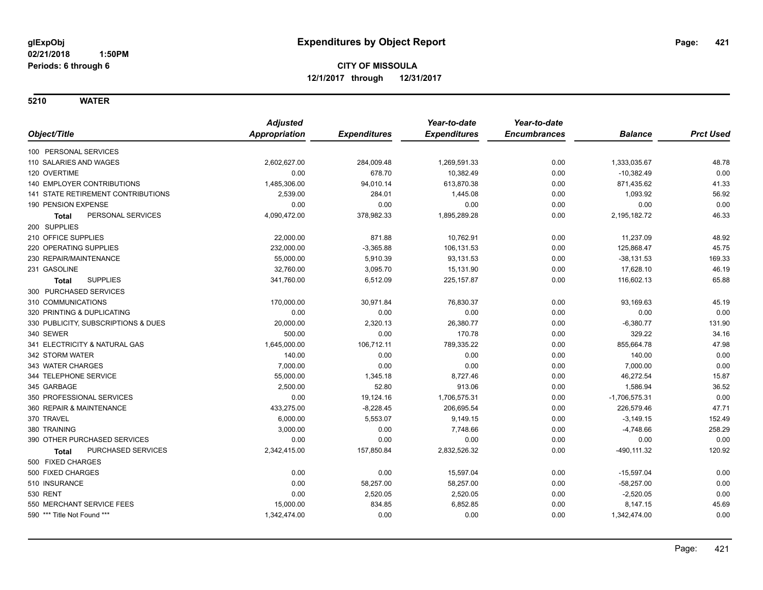|                                     | <b>Adjusted</b>      |                     | Year-to-date        | Year-to-date        |                 |                  |
|-------------------------------------|----------------------|---------------------|---------------------|---------------------|-----------------|------------------|
| Object/Title                        | <b>Appropriation</b> | <b>Expenditures</b> | <b>Expenditures</b> | <b>Encumbrances</b> | <b>Balance</b>  | <b>Prct Used</b> |
| 100 PERSONAL SERVICES               |                      |                     |                     |                     |                 |                  |
| 110 SALARIES AND WAGES              | 2,602,627.00         | 284,009.48          | 1,269,591.33        | 0.00                | 1,333,035.67    | 48.78            |
| 120 OVERTIME                        | 0.00                 | 678.70              | 10,382.49           | 0.00                | $-10,382.49$    | 0.00             |
| 140 EMPLOYER CONTRIBUTIONS          | 1,485,306.00         | 94,010.14           | 613,870.38          | 0.00                | 871,435.62      | 41.33            |
| 141 STATE RETIREMENT CONTRIBUTIONS  | 2,539.00             | 284.01              | 1,445.08            | 0.00                | 1,093.92        | 56.92            |
| 190 PENSION EXPENSE                 | 0.00                 | 0.00                | 0.00                | 0.00                | 0.00            | 0.00             |
| PERSONAL SERVICES<br><b>Total</b>   | 4,090,472.00         | 378,982.33          | 1,895,289.28        | 0.00                | 2,195,182.72    | 46.33            |
| 200 SUPPLIES                        |                      |                     |                     |                     |                 |                  |
| 210 OFFICE SUPPLIES                 | 22,000.00            | 871.88              | 10,762.91           | 0.00                | 11,237.09       | 48.92            |
| 220 OPERATING SUPPLIES              | 232,000.00           | $-3,365.88$         | 106,131.53          | 0.00                | 125,868.47      | 45.75            |
| 230 REPAIR/MAINTENANCE              | 55,000.00            | 5,910.39            | 93,131.53           | 0.00                | $-38,131.53$    | 169.33           |
| 231 GASOLINE                        | 32,760.00            | 3,095.70            | 15,131.90           | 0.00                | 17,628.10       | 46.19            |
| <b>SUPPLIES</b><br>Total            | 341,760.00           | 6,512.09            | 225, 157.87         | 0.00                | 116,602.13      | 65.88            |
| 300 PURCHASED SERVICES              |                      |                     |                     |                     |                 |                  |
| 310 COMMUNICATIONS                  | 170,000.00           | 30,971.84           | 76,830.37           | 0.00                | 93,169.63       | 45.19            |
| 320 PRINTING & DUPLICATING          | 0.00                 | 0.00                | 0.00                | 0.00                | 0.00            | 0.00             |
| 330 PUBLICITY, SUBSCRIPTIONS & DUES | 20,000.00            | 2,320.13            | 26,380.77           | 0.00                | $-6,380.77$     | 131.90           |
| 340 SEWER                           | 500.00               | 0.00                | 170.78              | 0.00                | 329.22          | 34.16            |
| 341 ELECTRICITY & NATURAL GAS       | 1,645,000.00         | 106,712.11          | 789,335.22          | 0.00                | 855,664.78      | 47.98            |
| 342 STORM WATER                     | 140.00               | 0.00                | 0.00                | 0.00                | 140.00          | 0.00             |
| 343 WATER CHARGES                   | 7,000.00             | 0.00                | 0.00                | 0.00                | 7,000.00        | 0.00             |
| 344 TELEPHONE SERVICE               | 55,000.00            | 1,345.18            | 8,727.46            | 0.00                | 46,272.54       | 15.87            |
| 345 GARBAGE                         | 2,500.00             | 52.80               | 913.06              | 0.00                | 1,586.94        | 36.52            |
| 350 PROFESSIONAL SERVICES           | 0.00                 | 19,124.16           | 1,706,575.31        | 0.00                | $-1,706,575.31$ | 0.00             |
| 360 REPAIR & MAINTENANCE            | 433,275.00           | $-8,228.45$         | 206,695.54          | 0.00                | 226.579.46      | 47.71            |
| 370 TRAVEL                          | 6,000.00             | 5,553.07            | 9,149.15            | 0.00                | $-3,149.15$     | 152.49           |
| 380 TRAINING                        | 3,000.00             | 0.00                | 7,748.66            | 0.00                | $-4,748.66$     | 258.29           |
| 390 OTHER PURCHASED SERVICES        | 0.00                 | 0.00                | 0.00                | 0.00                | 0.00            | 0.00             |
| PURCHASED SERVICES<br><b>Total</b>  | 2,342,415.00         | 157,850.84          | 2,832,526.32        | 0.00                | -490,111.32     | 120.92           |
| 500 FIXED CHARGES                   |                      |                     |                     |                     |                 |                  |
| 500 FIXED CHARGES                   | 0.00                 | 0.00                | 15,597.04           | 0.00                | $-15,597.04$    | 0.00             |
| 510 INSURANCE                       | 0.00                 | 58,257.00           | 58,257.00           | 0.00                | $-58,257.00$    | 0.00             |
| <b>530 RENT</b>                     | 0.00                 | 2,520.05            | 2,520.05            | 0.00                | $-2,520.05$     | 0.00             |
| 550 MERCHANT SERVICE FEES           | 15,000.00            | 834.85              | 6,852.85            | 0.00                | 8,147.15        | 45.69            |
| 590 *** Title Not Found ***         | 1,342,474.00         | 0.00                | 0.00                | 0.00                | 1,342,474.00    | 0.00             |
|                                     |                      |                     |                     |                     |                 |                  |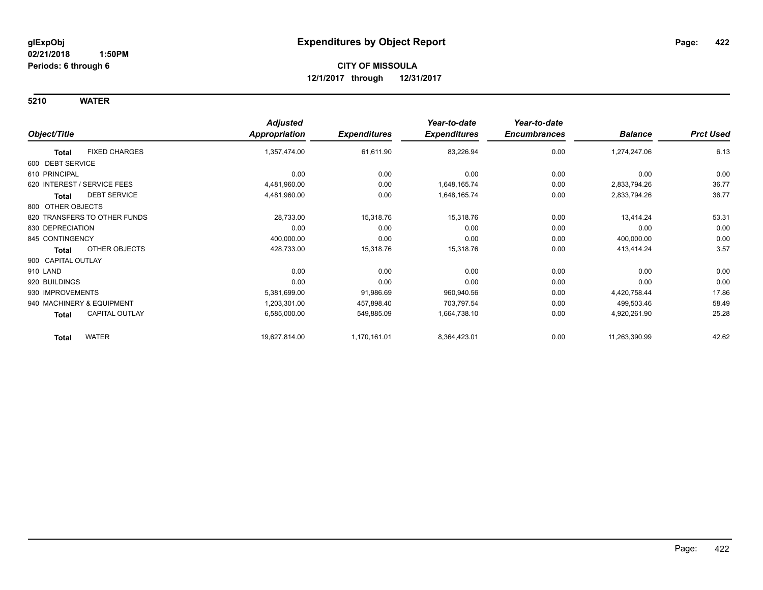|                                      | <b>Adjusted</b>      |                     | Year-to-date<br><b>Expenditures</b> | Year-to-date        | <b>Balance</b> |                  |
|--------------------------------------|----------------------|---------------------|-------------------------------------|---------------------|----------------|------------------|
| Object/Title                         | <b>Appropriation</b> | <b>Expenditures</b> |                                     | <b>Encumbrances</b> |                | <b>Prct Used</b> |
| <b>FIXED CHARGES</b><br><b>Total</b> | 1,357,474.00         | 61,611.90           | 83,226.94                           | 0.00                | 1,274,247.06   | 6.13             |
| 600 DEBT SERVICE                     |                      |                     |                                     |                     |                |                  |
| 610 PRINCIPAL                        | 0.00                 | 0.00                | 0.00                                | 0.00                | 0.00           | 0.00             |
| 620 INTEREST / SERVICE FEES          | 4,481,960.00         | 0.00                | 1,648,165.74                        | 0.00                | 2,833,794.26   | 36.77            |
| <b>DEBT SERVICE</b><br><b>Total</b>  | 4,481,960.00         | 0.00                | 1,648,165.74                        | 0.00                | 2,833,794.26   | 36.77            |
| 800 OTHER OBJECTS                    |                      |                     |                                     |                     |                |                  |
| 820 TRANSFERS TO OTHER FUNDS         | 28,733.00            | 15,318.76           | 15,318.76                           | 0.00                | 13,414.24      | 53.31            |
| 830 DEPRECIATION                     | 0.00                 | 0.00                | 0.00                                | 0.00                | 0.00           | 0.00             |
| 845 CONTINGENCY                      | 400,000.00           | 0.00                | 0.00                                | 0.00                | 400,000.00     | 0.00             |
| OTHER OBJECTS<br><b>Total</b>        | 428,733.00           | 15,318.76           | 15,318.76                           | 0.00                | 413,414.24     | 3.57             |
| 900 CAPITAL OUTLAY                   |                      |                     |                                     |                     |                |                  |
| 910 LAND                             | 0.00                 | 0.00                | 0.00                                | 0.00                | 0.00           | 0.00             |
| 920 BUILDINGS                        | 0.00                 | 0.00                | 0.00                                | 0.00                | 0.00           | 0.00             |
| 930 IMPROVEMENTS                     | 5,381,699.00         | 91,986.69           | 960,940.56                          | 0.00                | 4,420,758.44   | 17.86            |
| 940 MACHINERY & EQUIPMENT            | 1,203,301.00         | 457,898.40          | 703,797.54                          | 0.00                | 499,503.46     | 58.49            |
| <b>CAPITAL OUTLAY</b><br>Total       | 6,585,000.00         | 549,885.09          | 1,664,738.10                        | 0.00                | 4,920,261.90   | 25.28            |
| <b>WATER</b><br><b>Total</b>         | 19,627,814.00        | 1,170,161.01        | 8,364,423.01                        | 0.00                | 11,263,390.99  | 42.62            |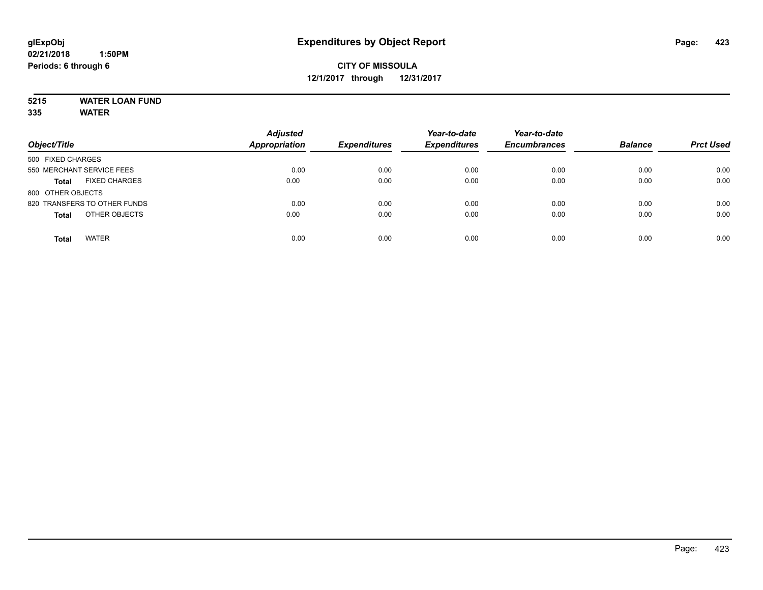# **5215 WATER LOAN FUND**

| Object/Title                         | <b>Adjusted</b><br><b>Appropriation</b> | <b>Expenditures</b> | Year-to-date<br><b>Expenditures</b> | Year-to-date<br><b>Encumbrances</b> | <b>Balance</b> | <b>Prct Used</b> |
|--------------------------------------|-----------------------------------------|---------------------|-------------------------------------|-------------------------------------|----------------|------------------|
| 500 FIXED CHARGES                    |                                         |                     |                                     |                                     |                |                  |
| 550 MERCHANT SERVICE FEES            | 0.00                                    | 0.00                | 0.00                                | 0.00                                | 0.00           | 0.00             |
| <b>FIXED CHARGES</b><br><b>Total</b> | 0.00                                    | 0.00                | 0.00                                | 0.00                                | 0.00           | 0.00             |
| 800 OTHER OBJECTS                    |                                         |                     |                                     |                                     |                |                  |
| 820 TRANSFERS TO OTHER FUNDS         | 0.00                                    | 0.00                | 0.00                                | 0.00                                | 0.00           | 0.00             |
| OTHER OBJECTS<br><b>Total</b>        | 0.00                                    | 0.00                | 0.00                                | 0.00                                | 0.00           | 0.00             |
| <b>WATER</b><br><b>Total</b>         | 0.00                                    | 0.00                | 0.00                                | 0.00                                | 0.00           | 0.00             |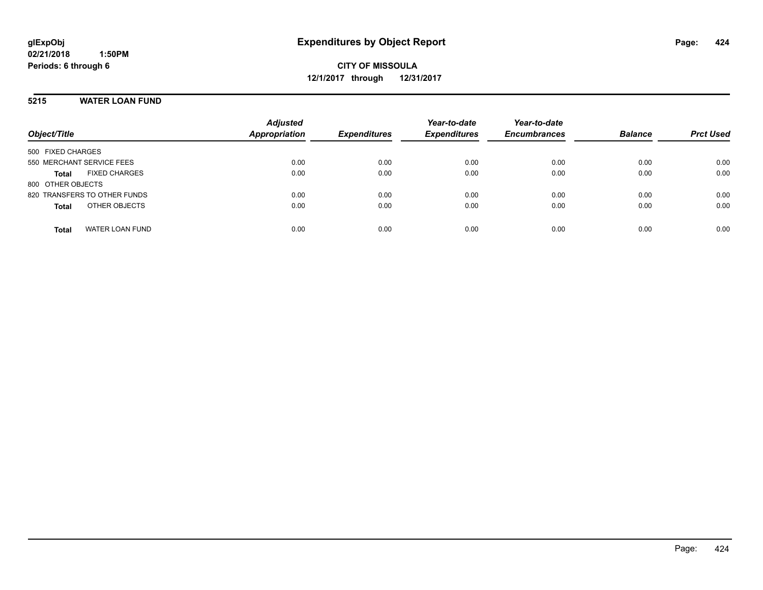**02/21/2018 1:50PM Periods: 6 through 6**

**CITY OF MISSOULA 12/1/2017 through 12/31/2017**

## **5215 WATER LOAN FUND**

| Object/Title                           | <b>Adjusted</b><br><b>Appropriation</b> | <b>Expenditures</b> | Year-to-date<br><b>Expenditures</b> | Year-to-date<br><b>Encumbrances</b> | <b>Balance</b> | <b>Prct Used</b> |
|----------------------------------------|-----------------------------------------|---------------------|-------------------------------------|-------------------------------------|----------------|------------------|
| 500 FIXED CHARGES                      |                                         |                     |                                     |                                     |                |                  |
| 550 MERCHANT SERVICE FEES              | 0.00                                    | 0.00                | 0.00                                | 0.00                                | 0.00           | 0.00             |
| <b>FIXED CHARGES</b><br><b>Total</b>   | 0.00                                    | 0.00                | 0.00                                | 0.00                                | 0.00           | 0.00             |
| 800 OTHER OBJECTS                      |                                         |                     |                                     |                                     |                |                  |
| 820 TRANSFERS TO OTHER FUNDS           | 0.00                                    | 0.00                | 0.00                                | 0.00                                | 0.00           | 0.00             |
| OTHER OBJECTS<br><b>Total</b>          | 0.00                                    | 0.00                | 0.00                                | 0.00                                | 0.00           | 0.00             |
|                                        |                                         |                     |                                     |                                     |                |                  |
| <b>WATER LOAN FUND</b><br><b>Total</b> | 0.00                                    | 0.00                | 0.00                                | 0.00                                | 0.00           | 0.00             |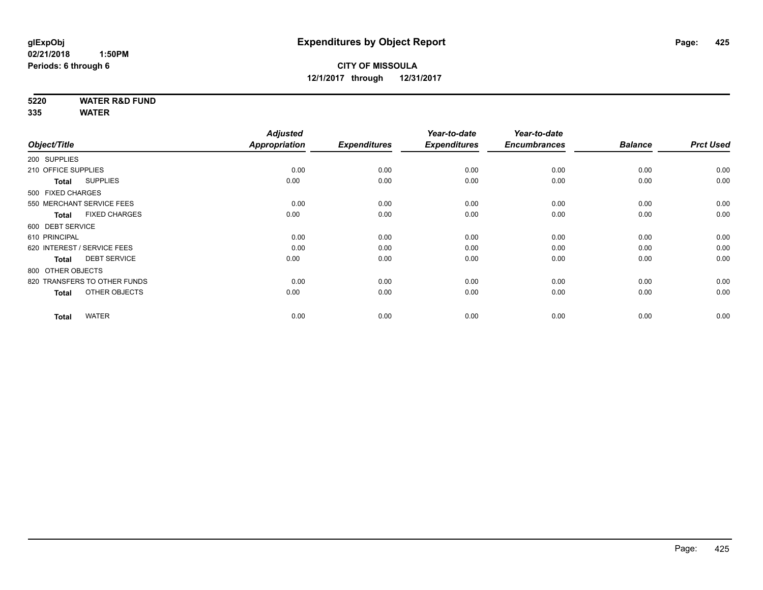**5220 WATER R&D FUND**

|                                      |  | <b>Adjusted</b><br>Appropriation<br><b>Expenditures</b> | Year-to-date | Year-to-date        |                     |                |                  |
|--------------------------------------|--|---------------------------------------------------------|--------------|---------------------|---------------------|----------------|------------------|
| Object/Title                         |  |                                                         |              | <b>Expenditures</b> | <b>Encumbrances</b> | <b>Balance</b> | <b>Prct Used</b> |
| 200 SUPPLIES                         |  |                                                         |              |                     |                     |                |                  |
| 210 OFFICE SUPPLIES                  |  | 0.00                                                    | 0.00         | 0.00                | 0.00                | 0.00           | 0.00             |
| <b>SUPPLIES</b><br><b>Total</b>      |  | 0.00                                                    | 0.00         | 0.00                | 0.00                | 0.00           | 0.00             |
| 500 FIXED CHARGES                    |  |                                                         |              |                     |                     |                |                  |
| 550 MERCHANT SERVICE FEES            |  | 0.00                                                    | 0.00         | 0.00                | 0.00                | 0.00           | 0.00             |
| <b>FIXED CHARGES</b><br><b>Total</b> |  | 0.00                                                    | 0.00         | 0.00                | 0.00                | 0.00           | 0.00             |
| 600 DEBT SERVICE                     |  |                                                         |              |                     |                     |                |                  |
| 610 PRINCIPAL                        |  | 0.00                                                    | 0.00         | 0.00                | 0.00                | 0.00           | 0.00             |
| 620 INTEREST / SERVICE FEES          |  | 0.00                                                    | 0.00         | 0.00                | 0.00                | 0.00           | 0.00             |
| <b>DEBT SERVICE</b><br><b>Total</b>  |  | 0.00                                                    | 0.00         | 0.00                | 0.00                | 0.00           | 0.00             |
| 800 OTHER OBJECTS                    |  |                                                         |              |                     |                     |                |                  |
| 820 TRANSFERS TO OTHER FUNDS         |  | 0.00                                                    | 0.00         | 0.00                | 0.00                | 0.00           | 0.00             |
| OTHER OBJECTS<br><b>Total</b>        |  | 0.00                                                    | 0.00         | 0.00                | 0.00                | 0.00           | 0.00             |
|                                      |  |                                                         |              |                     |                     |                |                  |
| <b>WATER</b><br><b>Total</b>         |  | 0.00                                                    | 0.00         | 0.00                | 0.00                | 0.00           | 0.00             |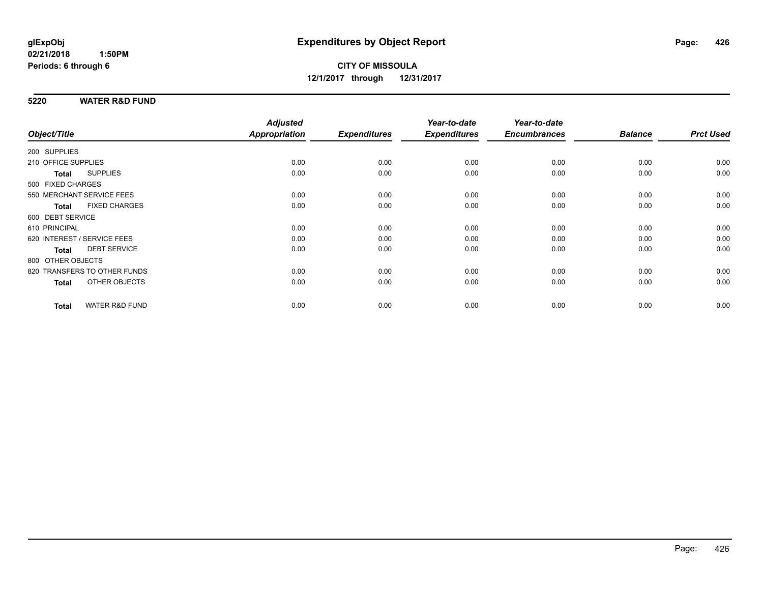## **5220 WATER R&D FUND**

| Object/Title                              | <b>Adjusted</b><br><b>Appropriation</b> | <b>Expenditures</b> | Year-to-date<br><b>Expenditures</b> | Year-to-date<br><b>Encumbrances</b> | <b>Balance</b> | <b>Prct Used</b> |
|-------------------------------------------|-----------------------------------------|---------------------|-------------------------------------|-------------------------------------|----------------|------------------|
|                                           |                                         |                     |                                     |                                     |                |                  |
| 200 SUPPLIES                              |                                         |                     |                                     |                                     |                |                  |
| 210 OFFICE SUPPLIES                       | 0.00                                    | 0.00                | 0.00                                | 0.00                                | 0.00           | 0.00             |
| <b>SUPPLIES</b><br>Total                  | 0.00                                    | 0.00                | 0.00                                | 0.00                                | 0.00           | 0.00             |
| 500 FIXED CHARGES                         |                                         |                     |                                     |                                     |                |                  |
| 550 MERCHANT SERVICE FEES                 | 0.00                                    | 0.00                | 0.00                                | 0.00                                | 0.00           | 0.00             |
| <b>FIXED CHARGES</b><br>Total             | 0.00                                    | 0.00                | 0.00                                | 0.00                                | 0.00           | 0.00             |
| 600 DEBT SERVICE                          |                                         |                     |                                     |                                     |                |                  |
| 610 PRINCIPAL                             | 0.00                                    | 0.00                | 0.00                                | 0.00                                | 0.00           | 0.00             |
| 620 INTEREST / SERVICE FEES               | 0.00                                    | 0.00                | 0.00                                | 0.00                                | 0.00           | 0.00             |
| <b>DEBT SERVICE</b><br><b>Total</b>       | 0.00                                    | 0.00                | 0.00                                | 0.00                                | 0.00           | 0.00             |
| 800 OTHER OBJECTS                         |                                         |                     |                                     |                                     |                |                  |
| 820 TRANSFERS TO OTHER FUNDS              | 0.00                                    | 0.00                | 0.00                                | 0.00                                | 0.00           | 0.00             |
| <b>OTHER OBJECTS</b><br>Total             | 0.00                                    | 0.00                | 0.00                                | 0.00                                | 0.00           | 0.00             |
|                                           |                                         |                     |                                     |                                     |                |                  |
| <b>WATER R&amp;D FUND</b><br><b>Total</b> | 0.00                                    | 0.00                | 0.00                                | 0.00                                | 0.00           | 0.00             |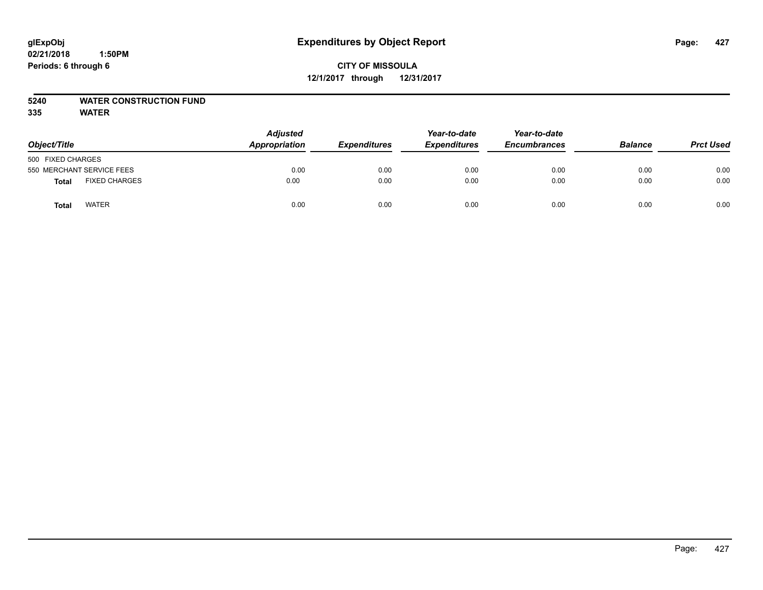# **glExpObj Expenditures by Object Report Page: 427**

### **02/21/2018 1:50PM Periods: 6 through 6**

# **CITY OF MISSOULA 12/1/2017 through 12/31/2017**

# **5240 WATER CONSTRUCTION FUND**

| Object/Title                  | <b>Adjusted</b><br>Appropriation | <b>Expenditures</b> | Year-to-date<br><b>Expenditures</b> | Year-to-date<br><b>Encumbrances</b> | <b>Balance</b> | <b>Prct Used</b> |
|-------------------------------|----------------------------------|---------------------|-------------------------------------|-------------------------------------|----------------|------------------|
| 500 FIXED CHARGES             |                                  |                     |                                     |                                     |                |                  |
| 550 MERCHANT SERVICE FEES     | 0.00                             | 0.00                | 0.00                                | 0.00                                | 0.00           | 0.00             |
| <b>FIXED CHARGES</b><br>Total | 0.00                             | 0.00                | 0.00                                | 0.00                                | 0.00           | 0.00             |
| <b>WATER</b><br><b>Total</b>  | 0.00                             | 0.00                | 0.00                                | 0.00                                | 0.00           | 0.00             |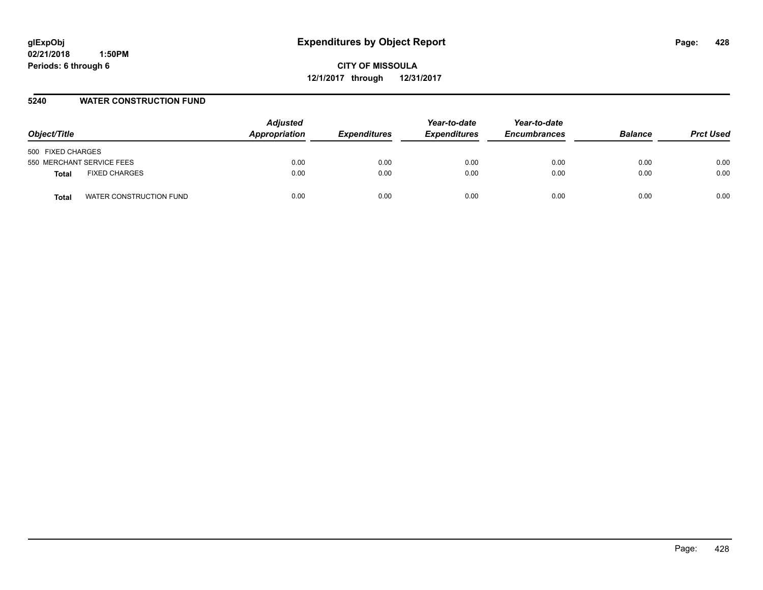## **5240 WATER CONSTRUCTION FUND**

| Object/Title                     | <b>Adjusted</b><br>Appropriation | <b>Expenditures</b> | Year-to-date<br><b>Expenditures</b> | Year-to-date<br><b>Encumbrances</b> | <b>Balance</b> | <b>Prct Used</b> |
|----------------------------------|----------------------------------|---------------------|-------------------------------------|-------------------------------------|----------------|------------------|
| 500 FIXED CHARGES                |                                  |                     |                                     |                                     |                |                  |
| 550 MERCHANT SERVICE FEES        | 0.00                             | 0.00                | 0.00                                | 0.00                                | 0.00           | 0.00             |
| <b>FIXED CHARGES</b><br>Total    | 0.00                             | 0.00                | 0.00                                | 0.00                                | 0.00           | 0.00             |
| WATER CONSTRUCTION FUND<br>Total | 0.00                             | 0.00                | 0.00                                | 0.00                                | 0.00           | 0.00             |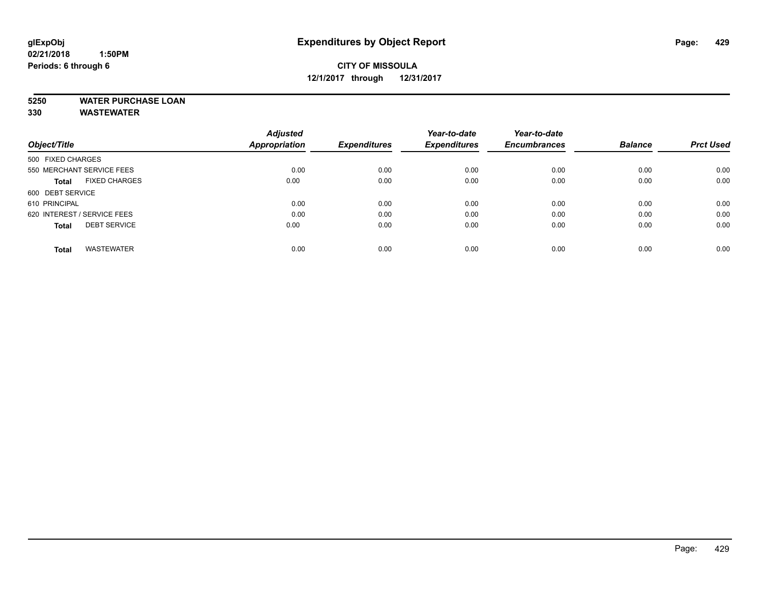### **02/21/2018 1:50PM Periods: 6 through 6**

# **CITY OF MISSOULA 12/1/2017 through 12/31/2017**

# **5250 WATER PURCHASE LOAN**

**330 WASTEWATER**

|                                      | <b>Adjusted</b>      |                     | Year-to-date        | Year-to-date        |                |                  |
|--------------------------------------|----------------------|---------------------|---------------------|---------------------|----------------|------------------|
| Object/Title                         | <b>Appropriation</b> | <b>Expenditures</b> | <b>Expenditures</b> | <b>Encumbrances</b> | <b>Balance</b> | <b>Prct Used</b> |
| 500 FIXED CHARGES                    |                      |                     |                     |                     |                |                  |
| 550 MERCHANT SERVICE FEES            | 0.00                 | 0.00                | 0.00                | 0.00                | 0.00           | 0.00             |
| <b>FIXED CHARGES</b><br><b>Total</b> | 0.00                 | 0.00                | 0.00                | 0.00                | 0.00           | 0.00             |
| 600 DEBT SERVICE                     |                      |                     |                     |                     |                |                  |
| 610 PRINCIPAL                        | 0.00                 | 0.00                | 0.00                | 0.00                | 0.00           | 0.00             |
| 620 INTEREST / SERVICE FEES          | 0.00                 | 0.00                | 0.00                | 0.00                | 0.00           | 0.00             |
| <b>DEBT SERVICE</b><br><b>Total</b>  | 0.00                 | 0.00                | 0.00                | 0.00                | 0.00           | 0.00             |
|                                      |                      |                     |                     |                     |                |                  |
| <b>WASTEWATER</b><br>Total           | 0.00                 | 0.00                | 0.00                | 0.00                | 0.00           | 0.00             |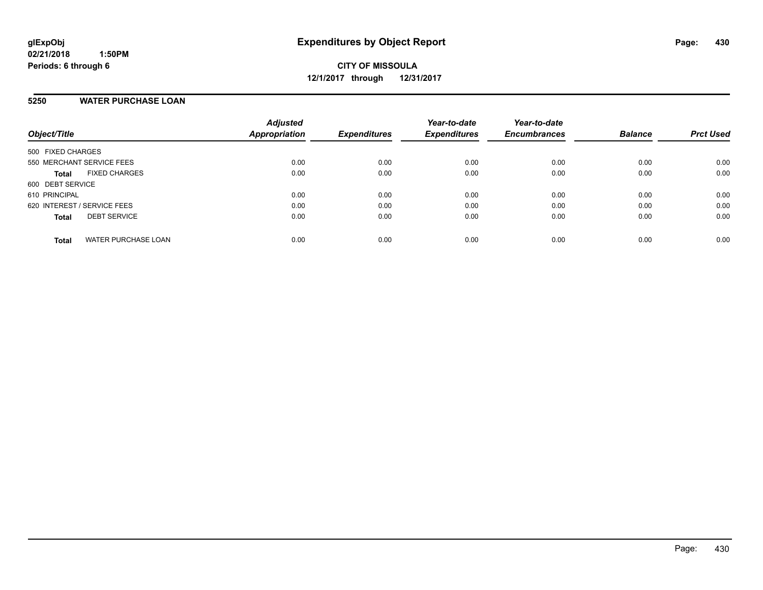## **5250 WATER PURCHASE LOAN**

| Object/Title                               | <b>Adjusted</b><br>Appropriation | <b>Expenditures</b> | Year-to-date<br><b>Expenditures</b> | Year-to-date<br><b>Encumbrances</b> | <b>Balance</b> | <b>Prct Used</b> |
|--------------------------------------------|----------------------------------|---------------------|-------------------------------------|-------------------------------------|----------------|------------------|
| 500 FIXED CHARGES                          |                                  |                     |                                     |                                     |                |                  |
| 550 MERCHANT SERVICE FEES                  | 0.00                             | 0.00                | 0.00                                | 0.00                                | 0.00           | 0.00             |
| <b>FIXED CHARGES</b><br><b>Total</b>       | 0.00                             | 0.00                | 0.00                                | 0.00                                | 0.00           | 0.00             |
| 600 DEBT SERVICE                           |                                  |                     |                                     |                                     |                |                  |
| 610 PRINCIPAL                              | 0.00                             | 0.00                | 0.00                                | 0.00                                | 0.00           | 0.00             |
| 620 INTEREST / SERVICE FEES                | 0.00                             | 0.00                | 0.00                                | 0.00                                | 0.00           | 0.00             |
| <b>DEBT SERVICE</b><br><b>Total</b>        | 0.00                             | 0.00                | 0.00                                | 0.00                                | 0.00           | 0.00             |
|                                            |                                  |                     |                                     |                                     |                |                  |
| <b>WATER PURCHASE LOAN</b><br><b>Total</b> | 0.00                             | 0.00                | 0.00                                | 0.00                                | 0.00           | 0.00             |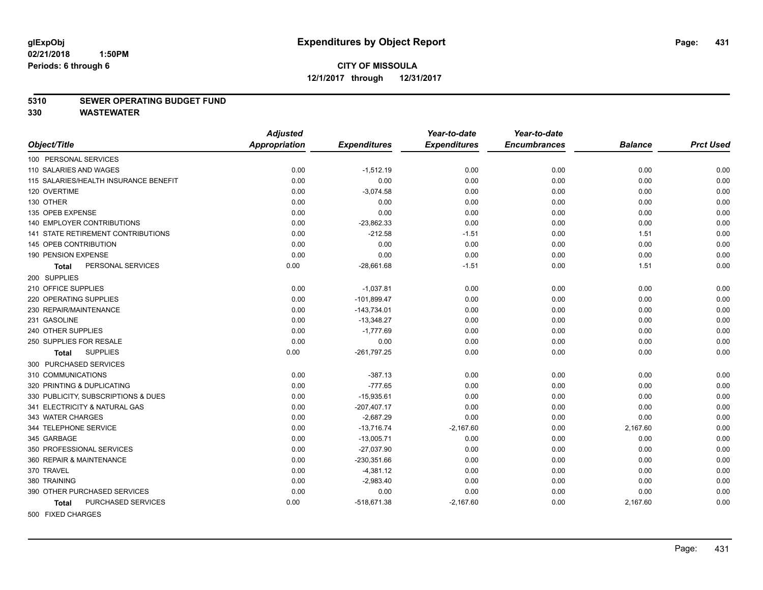#### **5310 SEWER OPERATING BUDGET FUND**

**330 WASTEWATER**

|                                           | <b>Adjusted</b>      |                     | Year-to-date        | Year-to-date        |                |                  |
|-------------------------------------------|----------------------|---------------------|---------------------|---------------------|----------------|------------------|
| Object/Title                              | <b>Appropriation</b> | <b>Expenditures</b> | <b>Expenditures</b> | <b>Encumbrances</b> | <b>Balance</b> | <b>Prct Used</b> |
| 100 PERSONAL SERVICES                     |                      |                     |                     |                     |                |                  |
| 110 SALARIES AND WAGES                    | 0.00                 | $-1,512.19$         | 0.00                | 0.00                | 0.00           | 0.00             |
| 115 SALARIES/HEALTH INSURANCE BENEFIT     | 0.00                 | 0.00                | 0.00                | 0.00                | 0.00           | 0.00             |
| 120 OVERTIME                              | 0.00                 | $-3,074.58$         | 0.00                | 0.00                | 0.00           | 0.00             |
| 130 OTHER                                 | 0.00                 | 0.00                | 0.00                | 0.00                | 0.00           | 0.00             |
| 135 OPEB EXPENSE                          | 0.00                 | 0.00                | 0.00                | 0.00                | 0.00           | 0.00             |
| 140 EMPLOYER CONTRIBUTIONS                | 0.00                 | $-23,862.33$        | 0.00                | 0.00                | 0.00           | 0.00             |
| <b>141 STATE RETIREMENT CONTRIBUTIONS</b> | 0.00                 | $-212.58$           | $-1.51$             | 0.00                | 1.51           | 0.00             |
| 145 OPEB CONTRIBUTION                     | 0.00                 | 0.00                | 0.00                | 0.00                | 0.00           | 0.00             |
| 190 PENSION EXPENSE                       | 0.00                 | 0.00                | 0.00                | 0.00                | 0.00           | 0.00             |
| PERSONAL SERVICES<br><b>Total</b>         | 0.00                 | $-28,661.68$        | $-1.51$             | 0.00                | 1.51           | 0.00             |
| 200 SUPPLIES                              |                      |                     |                     |                     |                |                  |
| 210 OFFICE SUPPLIES                       | 0.00                 | $-1,037.81$         | 0.00                | 0.00                | 0.00           | 0.00             |
| 220 OPERATING SUPPLIES                    | 0.00                 | $-101,899.47$       | 0.00                | 0.00                | 0.00           | 0.00             |
| 230 REPAIR/MAINTENANCE                    | 0.00                 | $-143,734.01$       | 0.00                | 0.00                | 0.00           | 0.00             |
| 231 GASOLINE                              | 0.00                 | $-13,348.27$        | 0.00                | 0.00                | 0.00           | 0.00             |
| 240 OTHER SUPPLIES                        | 0.00                 | $-1,777.69$         | 0.00                | 0.00                | 0.00           | 0.00             |
| 250 SUPPLIES FOR RESALE                   | 0.00                 | 0.00                | 0.00                | 0.00                | 0.00           | 0.00             |
| <b>SUPPLIES</b><br><b>Total</b>           | 0.00                 | $-261,797.25$       | 0.00                | 0.00                | 0.00           | 0.00             |
| 300 PURCHASED SERVICES                    |                      |                     |                     |                     |                |                  |
| 310 COMMUNICATIONS                        | 0.00                 | $-387.13$           | 0.00                | 0.00                | 0.00           | 0.00             |
| 320 PRINTING & DUPLICATING                | 0.00                 | $-777.65$           | 0.00                | 0.00                | 0.00           | 0.00             |
| 330 PUBLICITY, SUBSCRIPTIONS & DUES       | 0.00                 | $-15,935.61$        | 0.00                | 0.00                | 0.00           | 0.00             |
| 341 ELECTRICITY & NATURAL GAS             | 0.00                 | $-207,407.17$       | 0.00                | 0.00                | 0.00           | 0.00             |
| 343 WATER CHARGES                         | 0.00                 | $-2,687.29$         | 0.00                | 0.00                | 0.00           | 0.00             |
| 344 TELEPHONE SERVICE                     | 0.00                 | $-13,716.74$        | $-2,167.60$         | 0.00                | 2,167.60       | 0.00             |
| 345 GARBAGE                               | 0.00                 | $-13,005.71$        | 0.00                | 0.00                | 0.00           | 0.00             |
| 350 PROFESSIONAL SERVICES                 | 0.00                 | $-27,037.90$        | 0.00                | 0.00                | 0.00           | 0.00             |
| 360 REPAIR & MAINTENANCE                  | 0.00                 | $-230,351.66$       | 0.00                | 0.00                | 0.00           | 0.00             |
| 370 TRAVEL                                | 0.00                 | $-4,381.12$         | 0.00                | 0.00                | 0.00           | 0.00             |
| 380 TRAINING                              | 0.00                 | $-2,983.40$         | 0.00                | 0.00                | 0.00           | 0.00             |
| 390 OTHER PURCHASED SERVICES              | 0.00                 | 0.00                | 0.00                | 0.00                | 0.00           | 0.00             |
| PURCHASED SERVICES<br>Total               | 0.00                 | $-518,671.38$       | $-2,167.60$         | 0.00                | 2,167.60       | 0.00             |
| 500 FIXED CHARGES                         |                      |                     |                     |                     |                |                  |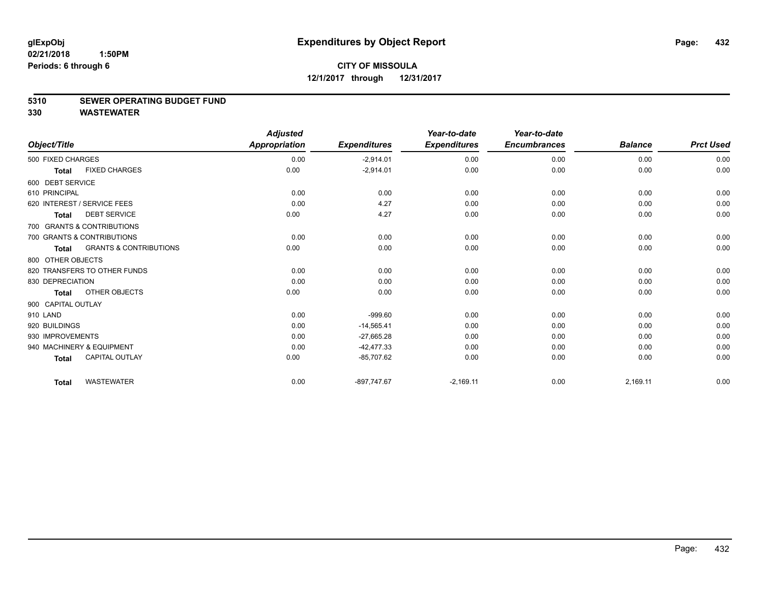## **5310 SEWER OPERATING BUDGET FUND**

**330 WASTEWATER**

| Object/Title<br>500 FIXED CHARGES |                                   | <b>Adjusted</b><br><b>Appropriation</b><br>0.00 | <b>Expenditures</b><br>$-2,914.01$ | Year-to-date<br><b>Expenditures</b><br>0.00 | Year-to-date<br><b>Encumbrances</b><br>0.00 | <b>Balance</b><br>0.00 | <b>Prct Used</b><br>0.00 |                  |                      |      |             |      |      |      |      |
|-----------------------------------|-----------------------------------|-------------------------------------------------|------------------------------------|---------------------------------------------|---------------------------------------------|------------------------|--------------------------|------------------|----------------------|------|-------------|------|------|------|------|
|                                   |                                   |                                                 |                                    |                                             |                                             |                        |                          | <b>Total</b>     | <b>FIXED CHARGES</b> | 0.00 | $-2,914.01$ | 0.00 | 0.00 | 0.00 | 0.00 |
|                                   |                                   |                                                 |                                    |                                             |                                             |                        |                          | 600 DEBT SERVICE |                      |      |             |      |      |      |      |
| 610 PRINCIPAL                     |                                   | 0.00                                            | 0.00                               | 0.00                                        | 0.00                                        | 0.00                   | 0.00                     |                  |                      |      |             |      |      |      |      |
| 620 INTEREST / SERVICE FEES       |                                   | 0.00                                            | 4.27                               | 0.00                                        | 0.00                                        | 0.00                   | 0.00                     |                  |                      |      |             |      |      |      |      |
| <b>Total</b>                      | <b>DEBT SERVICE</b>               | 0.00                                            | 4.27                               | 0.00                                        | 0.00                                        | 0.00                   | 0.00                     |                  |                      |      |             |      |      |      |      |
|                                   | 700 GRANTS & CONTRIBUTIONS        |                                                 |                                    |                                             |                                             |                        |                          |                  |                      |      |             |      |      |      |      |
|                                   | 700 GRANTS & CONTRIBUTIONS        | 0.00                                            | 0.00                               | 0.00                                        | 0.00                                        | 0.00                   | 0.00                     |                  |                      |      |             |      |      |      |      |
| <b>Total</b>                      | <b>GRANTS &amp; CONTRIBUTIONS</b> | 0.00                                            | 0.00                               | 0.00                                        | 0.00                                        | 0.00                   | 0.00                     |                  |                      |      |             |      |      |      |      |
| 800 OTHER OBJECTS                 |                                   |                                                 |                                    |                                             |                                             |                        |                          |                  |                      |      |             |      |      |      |      |
| 820 TRANSFERS TO OTHER FUNDS      |                                   | 0.00                                            | 0.00                               | 0.00                                        | 0.00                                        | 0.00                   | 0.00                     |                  |                      |      |             |      |      |      |      |
| 830 DEPRECIATION                  |                                   | 0.00                                            | 0.00                               | 0.00                                        | 0.00                                        | 0.00                   | 0.00                     |                  |                      |      |             |      |      |      |      |
| <b>Total</b>                      | OTHER OBJECTS                     | 0.00                                            | 0.00                               | 0.00                                        | 0.00                                        | 0.00                   | 0.00                     |                  |                      |      |             |      |      |      |      |
| 900 CAPITAL OUTLAY                |                                   |                                                 |                                    |                                             |                                             |                        |                          |                  |                      |      |             |      |      |      |      |
| 910 LAND                          |                                   | 0.00                                            | $-999.60$                          | 0.00                                        | 0.00                                        | 0.00                   | 0.00                     |                  |                      |      |             |      |      |      |      |
| 920 BUILDINGS                     |                                   | 0.00                                            | $-14,565.41$                       | 0.00                                        | 0.00                                        | 0.00                   | 0.00                     |                  |                      |      |             |      |      |      |      |
| 930 IMPROVEMENTS                  |                                   | 0.00                                            | $-27,665.28$                       | 0.00                                        | 0.00                                        | 0.00                   | 0.00                     |                  |                      |      |             |      |      |      |      |
| 940 MACHINERY & EQUIPMENT         |                                   | 0.00                                            | $-42,477.33$                       | 0.00                                        | 0.00                                        | 0.00                   | 0.00                     |                  |                      |      |             |      |      |      |      |
| <b>Total</b>                      | <b>CAPITAL OUTLAY</b>             | 0.00                                            | $-85,707.62$                       | 0.00                                        | 0.00                                        | 0.00                   | 0.00                     |                  |                      |      |             |      |      |      |      |
| <b>Total</b>                      | <b>WASTEWATER</b>                 | 0.00                                            | $-897,747.67$                      | $-2,169.11$                                 | 0.00                                        | 2,169.11               | 0.00                     |                  |                      |      |             |      |      |      |      |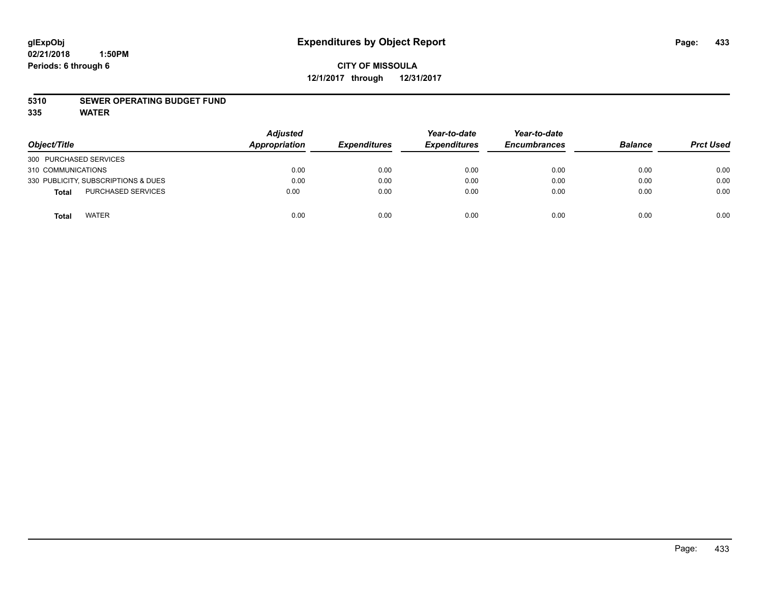# **CITY OF MISSOULA 12/1/2017 through 12/31/2017**

### **5310 SEWER OPERATING BUDGET FUND**

**335 WATER**

|                                     | <b>Adjusted</b> |                     | Year-to-date        | Year-to-date        |                |                  |
|-------------------------------------|-----------------|---------------------|---------------------|---------------------|----------------|------------------|
| Object/Title                        | Appropriation   | <b>Expenditures</b> | <b>Expenditures</b> | <b>Encumbrances</b> | <b>Balance</b> | <b>Prct Used</b> |
| 300 PURCHASED SERVICES              |                 |                     |                     |                     |                |                  |
| 310 COMMUNICATIONS                  | 0.00            | 0.00                | 0.00                | 0.00                | 0.00           | 0.00             |
| 330 PUBLICITY, SUBSCRIPTIONS & DUES | 0.00            | 0.00                | 0.00                | 0.00                | 0.00           | 0.00             |
| PURCHASED SERVICES<br><b>Total</b>  | 0.00            | 0.00                | 0.00                | 0.00                | 0.00           | 0.00             |
| <b>WATER</b><br><b>Total</b>        | 0.00            | 0.00                | 0.00                | 0.00                | 0.00           | 0.00             |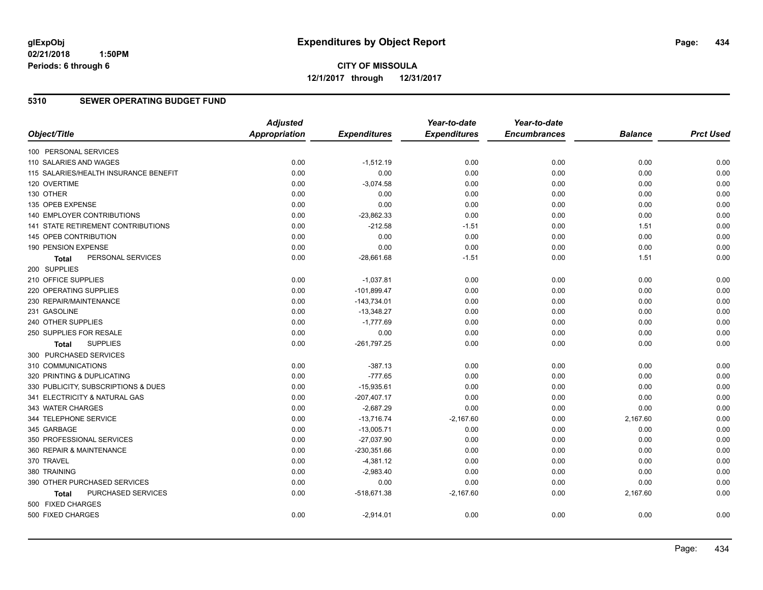**CITY OF MISSOULA 12/1/2017 through 12/31/2017**

### **5310 SEWER OPERATING BUDGET FUND**

|                                       | <b>Adjusted</b> |                     | Year-to-date        | Year-to-date        |                |                  |
|---------------------------------------|-----------------|---------------------|---------------------|---------------------|----------------|------------------|
| Object/Title                          | Appropriation   | <b>Expenditures</b> | <b>Expenditures</b> | <b>Encumbrances</b> | <b>Balance</b> | <b>Prct Used</b> |
| 100 PERSONAL SERVICES                 |                 |                     |                     |                     |                |                  |
| 110 SALARIES AND WAGES                | 0.00            | $-1,512.19$         | 0.00                | 0.00                | 0.00           | 0.00             |
| 115 SALARIES/HEALTH INSURANCE BENEFIT | 0.00            | 0.00                | 0.00                | 0.00                | 0.00           | 0.00             |
| 120 OVERTIME                          | 0.00            | $-3,074.58$         | 0.00                | 0.00                | 0.00           | 0.00             |
| 130 OTHER                             | 0.00            | 0.00                | 0.00                | 0.00                | 0.00           | 0.00             |
| 135 OPEB EXPENSE                      | 0.00            | 0.00                | 0.00                | 0.00                | 0.00           | 0.00             |
| 140 EMPLOYER CONTRIBUTIONS            | 0.00            | $-23,862.33$        | 0.00                | 0.00                | 0.00           | 0.00             |
| 141 STATE RETIREMENT CONTRIBUTIONS    | 0.00            | $-212.58$           | $-1.51$             | 0.00                | 1.51           | 0.00             |
| 145 OPEB CONTRIBUTION                 | 0.00            | 0.00                | 0.00                | 0.00                | 0.00           | 0.00             |
| 190 PENSION EXPENSE                   | 0.00            | 0.00                | 0.00                | 0.00                | 0.00           | 0.00             |
| PERSONAL SERVICES<br>Total            | 0.00            | $-28,661.68$        | $-1.51$             | 0.00                | 1.51           | 0.00             |
| 200 SUPPLIES                          |                 |                     |                     |                     |                |                  |
| 210 OFFICE SUPPLIES                   | 0.00            | $-1,037.81$         | 0.00                | 0.00                | 0.00           | 0.00             |
| 220 OPERATING SUPPLIES                | 0.00            | $-101,899.47$       | 0.00                | 0.00                | 0.00           | 0.00             |
| 230 REPAIR/MAINTENANCE                | 0.00            | $-143,734.01$       | 0.00                | 0.00                | 0.00           | 0.00             |
| 231 GASOLINE                          | 0.00            | $-13,348.27$        | 0.00                | 0.00                | 0.00           | 0.00             |
| 240 OTHER SUPPLIES                    | 0.00            | $-1,777.69$         | 0.00                | 0.00                | 0.00           | 0.00             |
| 250 SUPPLIES FOR RESALE               | 0.00            | 0.00                | 0.00                | 0.00                | 0.00           | 0.00             |
| <b>SUPPLIES</b><br>Total              | 0.00            | $-261,797.25$       | 0.00                | 0.00                | 0.00           | 0.00             |
| 300 PURCHASED SERVICES                |                 |                     |                     |                     |                |                  |
| 310 COMMUNICATIONS                    | 0.00            | $-387.13$           | 0.00                | 0.00                | 0.00           | 0.00             |
| 320 PRINTING & DUPLICATING            | 0.00            | $-777.65$           | 0.00                | 0.00                | 0.00           | 0.00             |
| 330 PUBLICITY, SUBSCRIPTIONS & DUES   | 0.00            | $-15,935.61$        | 0.00                | 0.00                | 0.00           | 0.00             |
| 341 ELECTRICITY & NATURAL GAS         | 0.00            | $-207,407.17$       | 0.00                | 0.00                | 0.00           | 0.00             |
| 343 WATER CHARGES                     | 0.00            | $-2,687.29$         | 0.00                | 0.00                | 0.00           | 0.00             |
| 344 TELEPHONE SERVICE                 | 0.00            | $-13,716.74$        | $-2,167.60$         | 0.00                | 2,167.60       | 0.00             |
| 345 GARBAGE                           | 0.00            | $-13,005.71$        | 0.00                | 0.00                | 0.00           | 0.00             |
| 350 PROFESSIONAL SERVICES             | 0.00            | $-27,037.90$        | 0.00                | 0.00                | 0.00           | 0.00             |
| 360 REPAIR & MAINTENANCE              | 0.00            | $-230,351.66$       | 0.00                | 0.00                | 0.00           | 0.00             |
| 370 TRAVEL                            | 0.00            | $-4,381.12$         | 0.00                | 0.00                | 0.00           | 0.00             |
| 380 TRAINING                          | 0.00            | $-2,983.40$         | 0.00                | 0.00                | 0.00           | 0.00             |
| 390 OTHER PURCHASED SERVICES          | 0.00            | 0.00                | 0.00                | 0.00                | 0.00           | 0.00             |
| PURCHASED SERVICES<br><b>Total</b>    | 0.00            | $-518,671.38$       | $-2,167.60$         | 0.00                | 2,167.60       | 0.00             |
| 500 FIXED CHARGES                     |                 |                     |                     |                     |                |                  |
| 500 FIXED CHARGES                     | 0.00            | $-2,914.01$         | 0.00                | 0.00                | 0.00           | 0.00             |
|                                       |                 |                     |                     |                     |                |                  |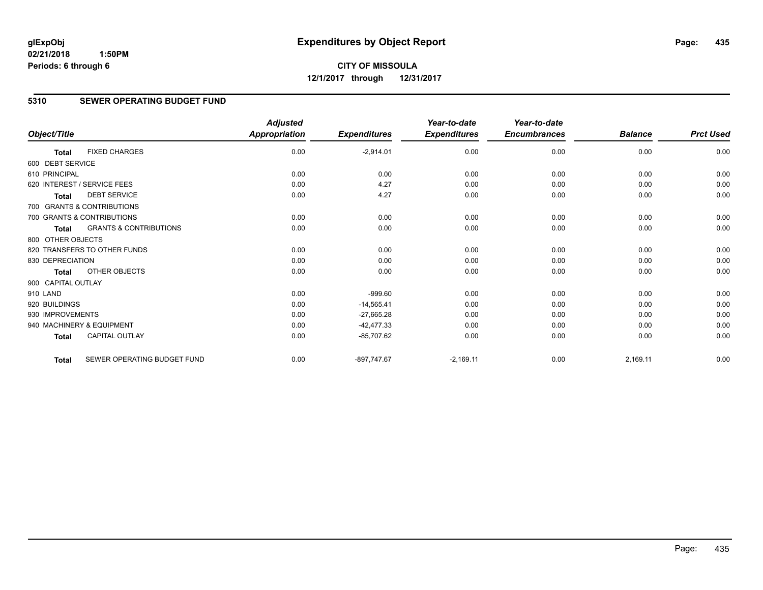**CITY OF MISSOULA 12/1/2017 through 12/31/2017**

# **5310 SEWER OPERATING BUDGET FUND**

|                    |                                   | <b>Adjusted</b>      |                     | Year-to-date        | Year-to-date        |                |                  |
|--------------------|-----------------------------------|----------------------|---------------------|---------------------|---------------------|----------------|------------------|
| Object/Title       |                                   | <b>Appropriation</b> | <b>Expenditures</b> | <b>Expenditures</b> | <b>Encumbrances</b> | <b>Balance</b> | <b>Prct Used</b> |
| <b>Total</b>       | <b>FIXED CHARGES</b>              | 0.00                 | $-2,914.01$         | 0.00                | 0.00                | 0.00           | 0.00             |
| 600 DEBT SERVICE   |                                   |                      |                     |                     |                     |                |                  |
| 610 PRINCIPAL      |                                   | 0.00                 | 0.00                | 0.00                | 0.00                | 0.00           | 0.00             |
|                    | 620 INTEREST / SERVICE FEES       | 0.00                 | 4.27                | 0.00                | 0.00                | 0.00           | 0.00             |
| <b>Total</b>       | <b>DEBT SERVICE</b>               | 0.00                 | 4.27                | 0.00                | 0.00                | 0.00           | 0.00             |
|                    | 700 GRANTS & CONTRIBUTIONS        |                      |                     |                     |                     |                |                  |
|                    | 700 GRANTS & CONTRIBUTIONS        | 0.00                 | 0.00                | 0.00                | 0.00                | 0.00           | 0.00             |
| <b>Total</b>       | <b>GRANTS &amp; CONTRIBUTIONS</b> | 0.00                 | 0.00                | 0.00                | 0.00                | 0.00           | 0.00             |
| 800 OTHER OBJECTS  |                                   |                      |                     |                     |                     |                |                  |
|                    | 820 TRANSFERS TO OTHER FUNDS      | 0.00                 | 0.00                | 0.00                | 0.00                | 0.00           | 0.00             |
| 830 DEPRECIATION   |                                   | 0.00                 | 0.00                | 0.00                | 0.00                | 0.00           | 0.00             |
| <b>Total</b>       | <b>OTHER OBJECTS</b>              | 0.00                 | 0.00                | 0.00                | 0.00                | 0.00           | 0.00             |
| 900 CAPITAL OUTLAY |                                   |                      |                     |                     |                     |                |                  |
| 910 LAND           |                                   | 0.00                 | $-999.60$           | 0.00                | 0.00                | 0.00           | 0.00             |
| 920 BUILDINGS      |                                   | 0.00                 | $-14,565.41$        | 0.00                | 0.00                | 0.00           | 0.00             |
| 930 IMPROVEMENTS   |                                   | 0.00                 | $-27,665.28$        | 0.00                | 0.00                | 0.00           | 0.00             |
|                    | 940 MACHINERY & EQUIPMENT         | 0.00                 | $-42,477.33$        | 0.00                | 0.00                | 0.00           | 0.00             |
| <b>Total</b>       | <b>CAPITAL OUTLAY</b>             | 0.00                 | $-85,707.62$        | 0.00                | 0.00                | 0.00           | 0.00             |
| <b>Total</b>       | SEWER OPERATING BUDGET FUND       | 0.00                 | $-897,747.67$       | $-2,169.11$         | 0.00                | 2,169.11       | 0.00             |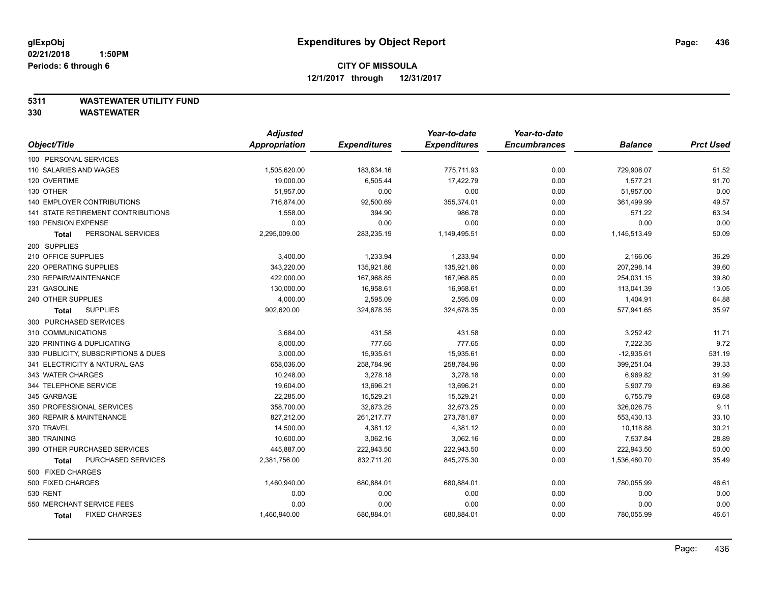#### **5311 WASTEWATER UTILITY FUND**

|                                      | <b>Adjusted</b>      |                     | Year-to-date        | Year-to-date        |                |                  |
|--------------------------------------|----------------------|---------------------|---------------------|---------------------|----------------|------------------|
| Object/Title                         | <b>Appropriation</b> | <b>Expenditures</b> | <b>Expenditures</b> | <b>Encumbrances</b> | <b>Balance</b> | <b>Prct Used</b> |
| 100 PERSONAL SERVICES                |                      |                     |                     |                     |                |                  |
| 110 SALARIES AND WAGES               | 1,505,620.00         | 183,834.16          | 775,711.93          | 0.00                | 729,908.07     | 51.52            |
| 120 OVERTIME                         | 19,000.00            | 6,505.44            | 17,422.79           | 0.00                | 1,577.21       | 91.70            |
| 130 OTHER                            | 51,957.00            | 0.00                | 0.00                | 0.00                | 51,957.00      | 0.00             |
| 140 EMPLOYER CONTRIBUTIONS           | 716,874.00           | 92,500.69           | 355,374.01          | 0.00                | 361,499.99     | 49.57            |
| 141 STATE RETIREMENT CONTRIBUTIONS   | 1,558.00             | 394.90              | 986.78              | 0.00                | 571.22         | 63.34            |
| 190 PENSION EXPENSE                  | 0.00                 | 0.00                | 0.00                | 0.00                | 0.00           | 0.00             |
| PERSONAL SERVICES<br><b>Total</b>    | 2,295,009.00         | 283,235.19          | 1,149,495.51        | 0.00                | 1,145,513.49   | 50.09            |
| 200 SUPPLIES                         |                      |                     |                     |                     |                |                  |
| 210 OFFICE SUPPLIES                  | 3,400.00             | 1,233.94            | 1,233.94            | 0.00                | 2,166.06       | 36.29            |
| 220 OPERATING SUPPLIES               | 343,220.00           | 135,921.86          | 135,921.86          | 0.00                | 207,298.14     | 39.60            |
| 230 REPAIR/MAINTENANCE               | 422,000.00           | 167,968.85          | 167,968.85          | 0.00                | 254,031.15     | 39.80            |
| 231 GASOLINE                         | 130,000.00           | 16,958.61           | 16,958.61           | 0.00                | 113,041.39     | 13.05            |
| 240 OTHER SUPPLIES                   | 4,000.00             | 2,595.09            | 2,595.09            | 0.00                | 1,404.91       | 64.88            |
| <b>SUPPLIES</b><br>Total             | 902,620.00           | 324,678.35          | 324,678.35          | 0.00                | 577,941.65     | 35.97            |
| 300 PURCHASED SERVICES               |                      |                     |                     |                     |                |                  |
| 310 COMMUNICATIONS                   | 3,684.00             | 431.58              | 431.58              | 0.00                | 3,252.42       | 11.71            |
| 320 PRINTING & DUPLICATING           | 8,000.00             | 777.65              | 777.65              | 0.00                | 7,222.35       | 9.72             |
| 330 PUBLICITY, SUBSCRIPTIONS & DUES  | 3,000.00             | 15,935.61           | 15,935.61           | 0.00                | $-12,935.61$   | 531.19           |
| 341 ELECTRICITY & NATURAL GAS        | 658,036.00           | 258,784.96          | 258,784.96          | 0.00                | 399,251.04     | 39.33            |
| 343 WATER CHARGES                    | 10,248.00            | 3,278.18            | 3,278.18            | 0.00                | 6,969.82       | 31.99            |
| 344 TELEPHONE SERVICE                | 19,604.00            | 13,696.21           | 13,696.21           | 0.00                | 5,907.79       | 69.86            |
| 345 GARBAGE                          | 22,285.00            | 15,529.21           | 15,529.21           | 0.00                | 6,755.79       | 69.68            |
| 350 PROFESSIONAL SERVICES            | 358,700.00           | 32,673.25           | 32,673.25           | 0.00                | 326,026.75     | 9.11             |
| 360 REPAIR & MAINTENANCE             | 827,212.00           | 261,217.77          | 273,781.87          | 0.00                | 553,430.13     | 33.10            |
| 370 TRAVEL                           | 14,500.00            | 4,381.12            | 4,381.12            | 0.00                | 10,118.88      | 30.21            |
| 380 TRAINING                         | 10,600.00            | 3,062.16            | 3,062.16            | 0.00                | 7,537.84       | 28.89            |
| 390 OTHER PURCHASED SERVICES         | 445,887.00           | 222,943.50          | 222,943.50          | 0.00                | 222,943.50     | 50.00            |
| PURCHASED SERVICES<br><b>Total</b>   | 2,381,756.00         | 832,711.20          | 845,275.30          | 0.00                | 1,536,480.70   | 35.49            |
| 500 FIXED CHARGES                    |                      |                     |                     |                     |                |                  |
| 500 FIXED CHARGES                    | 1,460,940.00         | 680,884.01          | 680,884.01          | 0.00                | 780,055.99     | 46.61            |
| <b>530 RENT</b>                      | 0.00                 | 0.00                | 0.00                | 0.00                | 0.00           | 0.00             |
| 550 MERCHANT SERVICE FEES            | 0.00                 | 0.00                | 0.00                | 0.00                | 0.00           | 0.00             |
| <b>FIXED CHARGES</b><br><b>Total</b> | 1,460,940.00         | 680,884.01          | 680,884.01          | 0.00                | 780,055.99     | 46.61            |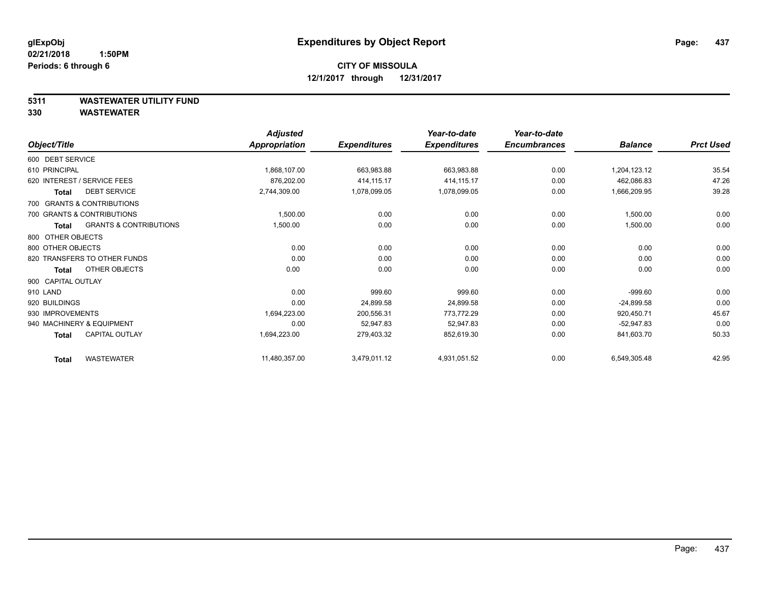**5311 WASTEWATER UTILITY FUND**

|                    |                                   | <b>Adjusted</b> |                     | Year-to-date        | Year-to-date        |                |                  |
|--------------------|-----------------------------------|-----------------|---------------------|---------------------|---------------------|----------------|------------------|
| Object/Title       |                                   | Appropriation   | <b>Expenditures</b> | <b>Expenditures</b> | <b>Encumbrances</b> | <b>Balance</b> | <b>Prct Used</b> |
| 600 DEBT SERVICE   |                                   |                 |                     |                     |                     |                |                  |
| 610 PRINCIPAL      |                                   | 1,868,107.00    | 663,983.88          | 663,983.88          | 0.00                | 1,204,123.12   | 35.54            |
|                    | 620 INTEREST / SERVICE FEES       | 876,202.00      | 414, 115.17         | 414,115.17          | 0.00                | 462,086.83     | 47.26            |
| <b>Total</b>       | <b>DEBT SERVICE</b>               | 2,744,309.00    | 1,078,099.05        | 1,078,099.05        | 0.00                | 1,666,209.95   | 39.28            |
|                    | 700 GRANTS & CONTRIBUTIONS        |                 |                     |                     |                     |                |                  |
|                    | 700 GRANTS & CONTRIBUTIONS        | 1,500.00        | 0.00                | 0.00                | 0.00                | 1,500.00       | 0.00             |
| <b>Total</b>       | <b>GRANTS &amp; CONTRIBUTIONS</b> | 1,500.00        | 0.00                | 0.00                | 0.00                | 1,500.00       | 0.00             |
| 800 OTHER OBJECTS  |                                   |                 |                     |                     |                     |                |                  |
| 800 OTHER OBJECTS  |                                   | 0.00            | 0.00                | 0.00                | 0.00                | 0.00           | 0.00             |
|                    | 820 TRANSFERS TO OTHER FUNDS      | 0.00            | 0.00                | 0.00                | 0.00                | 0.00           | 0.00             |
| <b>Total</b>       | OTHER OBJECTS                     | 0.00            | 0.00                | 0.00                | 0.00                | 0.00           | 0.00             |
| 900 CAPITAL OUTLAY |                                   |                 |                     |                     |                     |                |                  |
| 910 LAND           |                                   | 0.00            | 999.60              | 999.60              | 0.00                | $-999.60$      | 0.00             |
| 920 BUILDINGS      |                                   | 0.00            | 24,899.58           | 24,899.58           | 0.00                | $-24,899.58$   | 0.00             |
| 930 IMPROVEMENTS   |                                   | 1,694,223.00    | 200,556.31          | 773,772.29          | 0.00                | 920,450.71     | 45.67            |
|                    | 940 MACHINERY & EQUIPMENT         | 0.00            | 52,947.83           | 52,947.83           | 0.00                | $-52,947.83$   | 0.00             |
| <b>Total</b>       | <b>CAPITAL OUTLAY</b>             | 1,694,223.00    | 279,403.32          | 852,619.30          | 0.00                | 841,603.70     | 50.33            |
| <b>Total</b>       | <b>WASTEWATER</b>                 | 11,480,357.00   | 3,479,011.12        | 4,931,051.52        | 0.00                | 6,549,305.48   | 42.95            |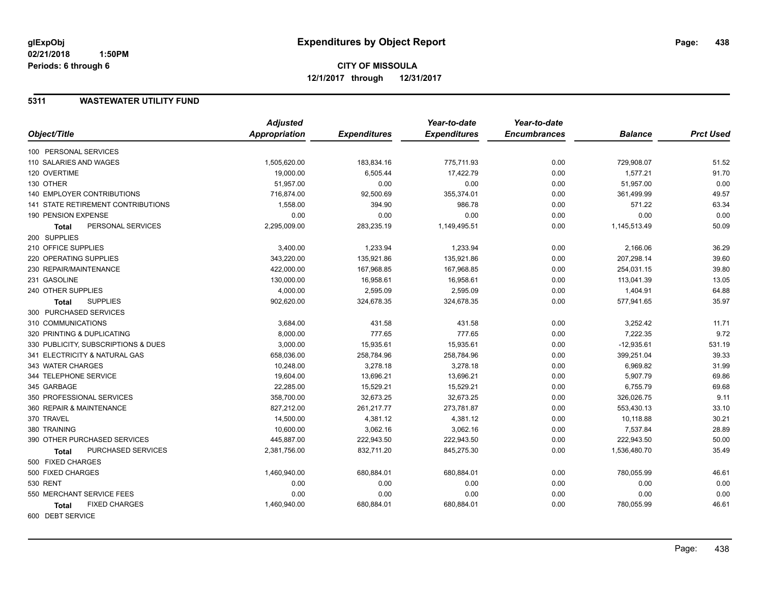### **5311 WASTEWATER UTILITY FUND**

|                                           | <b>Adjusted</b> |                     | Year-to-date        | Year-to-date        |                |                  |
|-------------------------------------------|-----------------|---------------------|---------------------|---------------------|----------------|------------------|
| Object/Title                              | Appropriation   | <b>Expenditures</b> | <b>Expenditures</b> | <b>Encumbrances</b> | <b>Balance</b> | <b>Prct Used</b> |
| 100 PERSONAL SERVICES                     |                 |                     |                     |                     |                |                  |
| 110 SALARIES AND WAGES                    | 1,505,620.00    | 183,834.16          | 775,711.93          | 0.00                | 729,908.07     | 51.52            |
| 120 OVERTIME                              | 19,000.00       | 6,505.44            | 17,422.79           | 0.00                | 1,577.21       | 91.70            |
| 130 OTHER                                 | 51,957.00       | 0.00                | 0.00                | 0.00                | 51,957.00      | 0.00             |
| <b>140 EMPLOYER CONTRIBUTIONS</b>         | 716,874.00      | 92,500.69           | 355,374.01          | 0.00                | 361,499.99     | 49.57            |
| <b>141 STATE RETIREMENT CONTRIBUTIONS</b> | 1,558.00        | 394.90              | 986.78              | 0.00                | 571.22         | 63.34            |
| 190 PENSION EXPENSE                       | 0.00            | 0.00                | 0.00                | 0.00                | 0.00           | 0.00             |
| PERSONAL SERVICES<br><b>Total</b>         | 2,295,009.00    | 283,235.19          | 1,149,495.51        | 0.00                | 1,145,513.49   | 50.09            |
| 200 SUPPLIES                              |                 |                     |                     |                     |                |                  |
| 210 OFFICE SUPPLIES                       | 3,400.00        | 1,233.94            | 1,233.94            | 0.00                | 2,166.06       | 36.29            |
| 220 OPERATING SUPPLIES                    | 343,220.00      | 135,921.86          | 135,921.86          | 0.00                | 207,298.14     | 39.60            |
| 230 REPAIR/MAINTENANCE                    | 422,000.00      | 167,968.85          | 167,968.85          | 0.00                | 254,031.15     | 39.80            |
| 231 GASOLINE                              | 130,000.00      | 16,958.61           | 16,958.61           | 0.00                | 113,041.39     | 13.05            |
| 240 OTHER SUPPLIES                        | 4,000.00        | 2,595.09            | 2,595.09            | 0.00                | 1,404.91       | 64.88            |
| <b>SUPPLIES</b><br>Total                  | 902,620.00      | 324,678.35          | 324,678.35          | 0.00                | 577,941.65     | 35.97            |
| 300 PURCHASED SERVICES                    |                 |                     |                     |                     |                |                  |
| 310 COMMUNICATIONS                        | 3,684.00        | 431.58              | 431.58              | 0.00                | 3,252.42       | 11.71            |
| 320 PRINTING & DUPLICATING                | 8,000.00        | 777.65              | 777.65              | 0.00                | 7,222.35       | 9.72             |
| 330 PUBLICITY, SUBSCRIPTIONS & DUES       | 3,000.00        | 15,935.61           | 15,935.61           | 0.00                | $-12,935.61$   | 531.19           |
| 341 ELECTRICITY & NATURAL GAS             | 658,036.00      | 258,784.96          | 258,784.96          | 0.00                | 399,251.04     | 39.33            |
| 343 WATER CHARGES                         | 10,248.00       | 3,278.18            | 3,278.18            | 0.00                | 6,969.82       | 31.99            |
| 344 TELEPHONE SERVICE                     | 19,604.00       | 13,696.21           | 13,696.21           | 0.00                | 5,907.79       | 69.86            |
| 345 GARBAGE                               | 22,285.00       | 15,529.21           | 15,529.21           | 0.00                | 6,755.79       | 69.68            |
| 350 PROFESSIONAL SERVICES                 | 358,700.00      | 32,673.25           | 32,673.25           | 0.00                | 326,026.75     | 9.11             |
| 360 REPAIR & MAINTENANCE                  | 827,212.00      | 261,217.77          | 273,781.87          | 0.00                | 553,430.13     | 33.10            |
| 370 TRAVEL                                | 14,500.00       | 4,381.12            | 4,381.12            | 0.00                | 10,118.88      | 30.21            |
| 380 TRAINING                              | 10,600.00       | 3,062.16            | 3,062.16            | 0.00                | 7,537.84       | 28.89            |
| 390 OTHER PURCHASED SERVICES              | 445,887.00      | 222,943.50          | 222,943.50          | 0.00                | 222,943.50     | 50.00            |
| PURCHASED SERVICES<br><b>Total</b>        | 2,381,756.00    | 832,711.20          | 845,275.30          | 0.00                | 1,536,480.70   | 35.49            |
| 500 FIXED CHARGES                         |                 |                     |                     |                     |                |                  |
| 500 FIXED CHARGES                         | 1,460,940.00    | 680,884.01          | 680,884.01          | 0.00                | 780,055.99     | 46.61            |
| <b>530 RENT</b>                           | 0.00            | 0.00                | 0.00                | 0.00                | 0.00           | 0.00             |
| 550 MERCHANT SERVICE FEES                 | 0.00            | 0.00                | 0.00                | 0.00                | 0.00           | 0.00             |
| <b>FIXED CHARGES</b><br>Total             | 1,460,940.00    | 680,884.01          | 680,884.01          | 0.00                | 780,055.99     | 46.61            |
| 600 DEBT SERVICE                          |                 |                     |                     |                     |                |                  |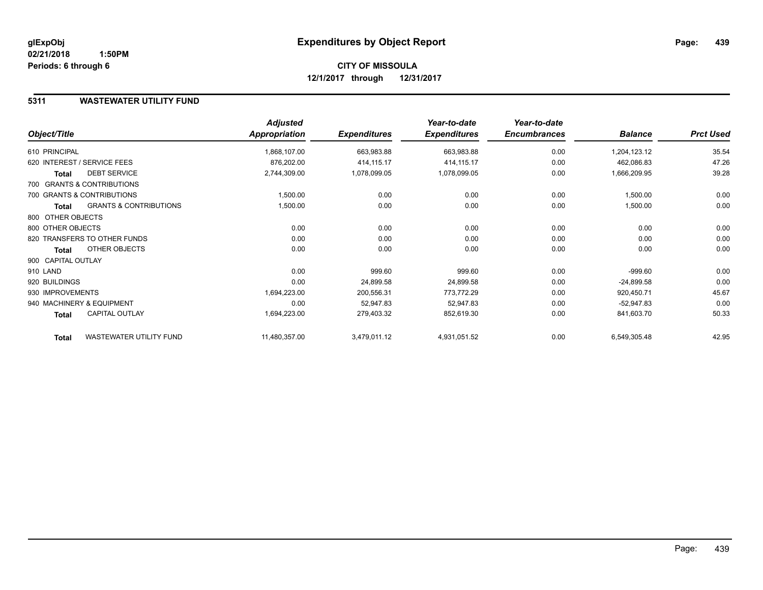# **5311 WASTEWATER UTILITY FUND**

|                    |                                   | <b>Adjusted</b> |                     | Year-to-date | Year-to-date        |                |                  |
|--------------------|-----------------------------------|-----------------|---------------------|--------------|---------------------|----------------|------------------|
| Object/Title       |                                   | Appropriation   | <b>Expenditures</b> | Expenditures | <b>Encumbrances</b> | <b>Balance</b> | <b>Prct Used</b> |
| 610 PRINCIPAL      |                                   | 1,868,107.00    | 663,983.88          | 663,983.88   | 0.00                | 1,204,123.12   | 35.54            |
|                    | 620 INTEREST / SERVICE FEES       | 876,202.00      | 414,115.17          | 414, 115.17  | 0.00                | 462,086.83     | 47.26            |
| <b>Total</b>       | <b>DEBT SERVICE</b>               | 2,744,309.00    | 1,078,099.05        | 1,078,099.05 | 0.00                | 1,666,209.95   | 39.28            |
|                    | 700 GRANTS & CONTRIBUTIONS        |                 |                     |              |                     |                |                  |
|                    | 700 GRANTS & CONTRIBUTIONS        | 1,500.00        | 0.00                | 0.00         | 0.00                | 1,500.00       | 0.00             |
| Total              | <b>GRANTS &amp; CONTRIBUTIONS</b> | 1,500.00        | 0.00                | 0.00         | 0.00                | 1,500.00       | 0.00             |
| 800 OTHER OBJECTS  |                                   |                 |                     |              |                     |                |                  |
| 800 OTHER OBJECTS  |                                   | 0.00            | 0.00                | 0.00         | 0.00                | 0.00           | 0.00             |
|                    | 820 TRANSFERS TO OTHER FUNDS      | 0.00            | 0.00                | 0.00         | 0.00                | 0.00           | 0.00             |
| <b>Total</b>       | OTHER OBJECTS                     | 0.00            | 0.00                | 0.00         | 0.00                | 0.00           | 0.00             |
| 900 CAPITAL OUTLAY |                                   |                 |                     |              |                     |                |                  |
| 910 LAND           |                                   | 0.00            | 999.60              | 999.60       | 0.00                | $-999.60$      | 0.00             |
| 920 BUILDINGS      |                                   | 0.00            | 24,899.58           | 24,899.58    | 0.00                | $-24,899.58$   | 0.00             |
| 930 IMPROVEMENTS   |                                   | 1,694,223.00    | 200,556.31          | 773,772.29   | 0.00                | 920,450.71     | 45.67            |
|                    | 940 MACHINERY & EQUIPMENT         | 0.00            | 52,947.83           | 52,947.83    | 0.00                | $-52,947.83$   | 0.00             |
| Total              | <b>CAPITAL OUTLAY</b>             | 1,694,223.00    | 279,403.32          | 852,619.30   | 0.00                | 841,603.70     | 50.33            |
| <b>Total</b>       | WASTEWATER UTILITY FUND           | 11,480,357.00   | 3,479,011.12        | 4,931,051.52 | 0.00                | 6,549,305.48   | 42.95            |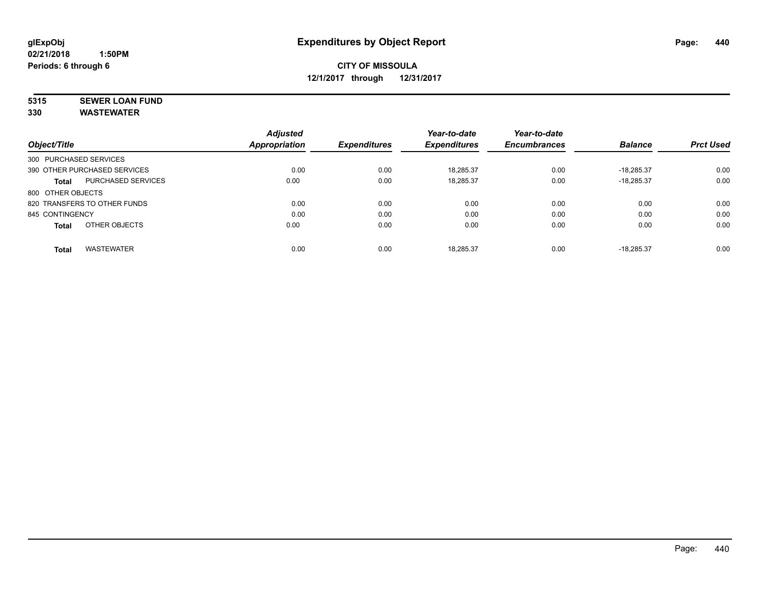# **5315 SEWER LOAN FUND**

|                        |                              | <b>Adjusted</b>      |                     | Year-to-date        | Year-to-date        |                |                  |
|------------------------|------------------------------|----------------------|---------------------|---------------------|---------------------|----------------|------------------|
| Object/Title           |                              | <b>Appropriation</b> | <b>Expenditures</b> | <b>Expenditures</b> | <b>Encumbrances</b> | <b>Balance</b> | <b>Prct Used</b> |
| 300 PURCHASED SERVICES |                              |                      |                     |                     |                     |                |                  |
|                        | 390 OTHER PURCHASED SERVICES | 0.00                 | 0.00                | 18.285.37           | 0.00                | $-18.285.37$   | 0.00             |
| <b>Total</b>           | <b>PURCHASED SERVICES</b>    | 0.00                 | 0.00                | 18,285.37           | 0.00                | $-18.285.37$   | 0.00             |
| 800 OTHER OBJECTS      |                              |                      |                     |                     |                     |                |                  |
|                        | 820 TRANSFERS TO OTHER FUNDS | 0.00                 | 0.00                | 0.00                | 0.00                | 0.00           | 0.00             |
| 845 CONTINGENCY        |                              | 0.00                 | 0.00                | 0.00                | 0.00                | 0.00           | 0.00             |
| <b>Total</b>           | OTHER OBJECTS                | 0.00                 | 0.00                | 0.00                | 0.00                | 0.00           | 0.00             |
| <b>Total</b>           | <b>WASTEWATER</b>            | 0.00                 | 0.00                | 18.285.37           | 0.00                | $-18.285.37$   | 0.00             |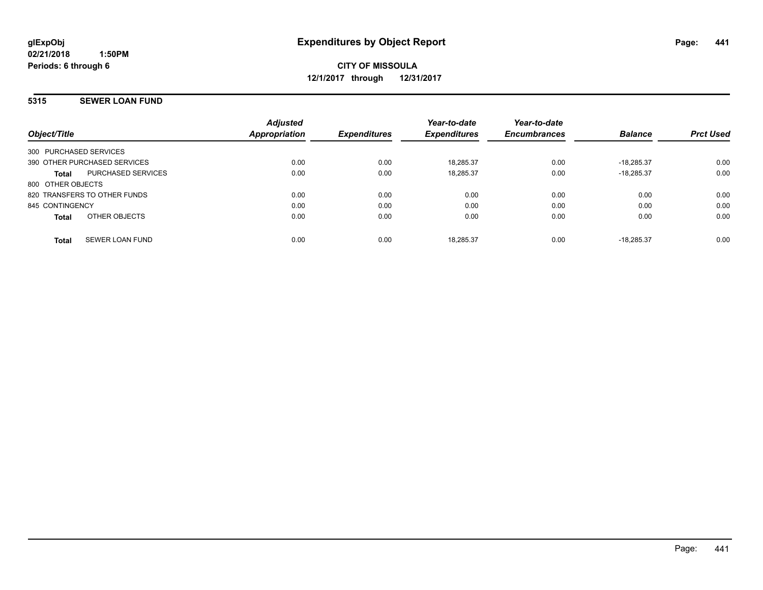### **5315 SEWER LOAN FUND**

| Object/Title                           | <b>Adjusted</b><br><b>Appropriation</b> | <b>Expenditures</b> | Year-to-date<br><b>Expenditures</b> | Year-to-date<br><b>Encumbrances</b> | <b>Balance</b> | <b>Prct Used</b> |
|----------------------------------------|-----------------------------------------|---------------------|-------------------------------------|-------------------------------------|----------------|------------------|
| 300 PURCHASED SERVICES                 |                                         |                     |                                     |                                     |                |                  |
| 390 OTHER PURCHASED SERVICES           | 0.00                                    | 0.00                | 18.285.37                           | 0.00                                | $-18.285.37$   | 0.00             |
| <b>PURCHASED SERVICES</b><br>Total     | 0.00                                    | 0.00                | 18.285.37                           | 0.00                                | $-18.285.37$   | 0.00             |
| 800 OTHER OBJECTS                      |                                         |                     |                                     |                                     |                |                  |
| 820 TRANSFERS TO OTHER FUNDS           | 0.00                                    | 0.00                | 0.00                                | 0.00                                | 0.00           | 0.00             |
| 845 CONTINGENCY                        | 0.00                                    | 0.00                | 0.00                                | 0.00                                | 0.00           | 0.00             |
| OTHER OBJECTS<br><b>Total</b>          | 0.00                                    | 0.00                | 0.00                                | 0.00                                | 0.00           | 0.00             |
| <b>SEWER LOAN FUND</b><br><b>Total</b> | 0.00                                    | 0.00                | 18.285.37                           | 0.00                                | $-18.285.37$   | 0.00             |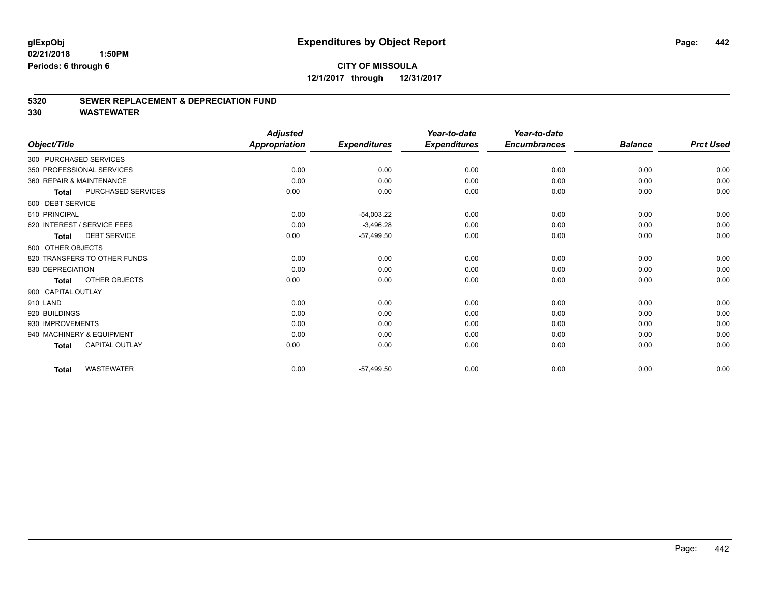### **5320 SEWER REPLACEMENT & DEPRECIATION FUND**

| Object/Title                |                              | <b>Adjusted</b><br><b>Appropriation</b> | <b>Expenditures</b> | Year-to-date<br><b>Expenditures</b> | Year-to-date<br><b>Encumbrances</b> | <b>Balance</b> | <b>Prct Used</b> |
|-----------------------------|------------------------------|-----------------------------------------|---------------------|-------------------------------------|-------------------------------------|----------------|------------------|
| 300 PURCHASED SERVICES      |                              |                                         |                     |                                     |                                     |                |                  |
| 350 PROFESSIONAL SERVICES   |                              | 0.00                                    | 0.00                | 0.00                                | 0.00                                | 0.00           | 0.00             |
| 360 REPAIR & MAINTENANCE    |                              | 0.00                                    | 0.00                | 0.00                                | 0.00                                | 0.00           | 0.00             |
| <b>Total</b>                | PURCHASED SERVICES           | 0.00                                    | 0.00                | 0.00                                | 0.00                                | 0.00           | 0.00             |
| 600 DEBT SERVICE            |                              |                                         |                     |                                     |                                     |                |                  |
| 610 PRINCIPAL               |                              | 0.00                                    | $-54,003.22$        | 0.00                                | 0.00                                | 0.00           | 0.00             |
| 620 INTEREST / SERVICE FEES |                              | 0.00                                    | $-3,496.28$         | 0.00                                | 0.00                                | 0.00           | 0.00             |
| <b>Total</b>                | <b>DEBT SERVICE</b>          | 0.00                                    | $-57,499.50$        | 0.00                                | 0.00                                | 0.00           | 0.00             |
| 800 OTHER OBJECTS           |                              |                                         |                     |                                     |                                     |                |                  |
|                             | 820 TRANSFERS TO OTHER FUNDS | 0.00                                    | 0.00                | 0.00                                | 0.00                                | 0.00           | 0.00             |
| 830 DEPRECIATION            |                              | 0.00                                    | 0.00                | 0.00                                | 0.00                                | 0.00           | 0.00             |
| <b>Total</b>                | OTHER OBJECTS                | 0.00                                    | 0.00                | 0.00                                | 0.00                                | 0.00           | 0.00             |
| 900 CAPITAL OUTLAY          |                              |                                         |                     |                                     |                                     |                |                  |
| 910 LAND                    |                              | 0.00                                    | 0.00                | 0.00                                | 0.00                                | 0.00           | 0.00             |
| 920 BUILDINGS               |                              | 0.00                                    | 0.00                | 0.00                                | 0.00                                | 0.00           | 0.00             |
| 930 IMPROVEMENTS            |                              | 0.00                                    | 0.00                | 0.00                                | 0.00                                | 0.00           | 0.00             |
| 940 MACHINERY & EQUIPMENT   |                              | 0.00                                    | 0.00                | 0.00                                | 0.00                                | 0.00           | 0.00             |
| <b>Total</b>                | CAPITAL OUTLAY               | 0.00                                    | 0.00                | 0.00                                | 0.00                                | 0.00           | 0.00             |
| <b>Total</b>                | <b>WASTEWATER</b>            | 0.00                                    | $-57,499.50$        | 0.00                                | 0.00                                | 0.00           | 0.00             |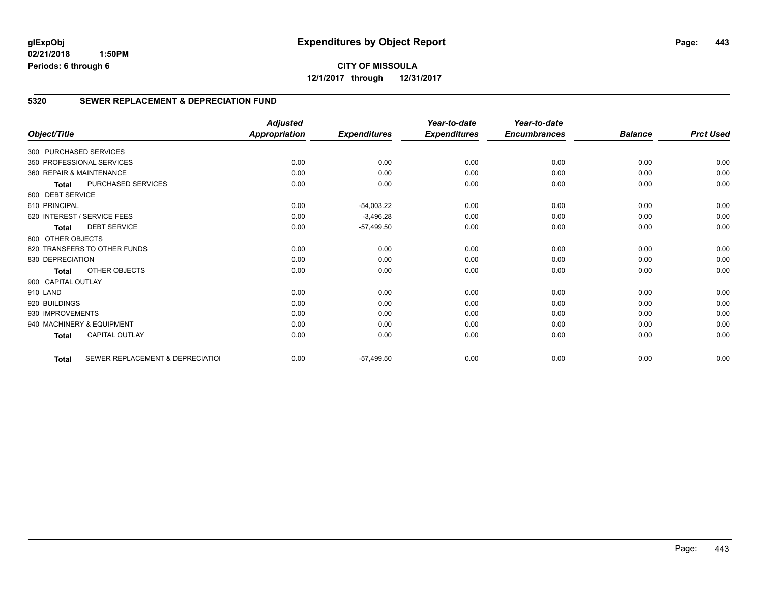# **5320 SEWER REPLACEMENT & DEPRECIATION FUND**

| Object/Title           |                                  | <b>Adjusted</b><br><b>Appropriation</b> | <b>Expenditures</b> | Year-to-date<br><b>Expenditures</b> | Year-to-date<br><b>Encumbrances</b> | <b>Balance</b> | <b>Prct Used</b> |
|------------------------|----------------------------------|-----------------------------------------|---------------------|-------------------------------------|-------------------------------------|----------------|------------------|
|                        |                                  |                                         |                     |                                     |                                     |                |                  |
| 300 PURCHASED SERVICES |                                  |                                         |                     |                                     |                                     |                |                  |
|                        | 350 PROFESSIONAL SERVICES        | 0.00                                    | 0.00                | 0.00                                | 0.00                                | 0.00           | 0.00             |
|                        | 360 REPAIR & MAINTENANCE         | 0.00                                    | 0.00                | 0.00                                | 0.00                                | 0.00           | 0.00             |
| <b>Total</b>           | PURCHASED SERVICES               | 0.00                                    | 0.00                | 0.00                                | 0.00                                | 0.00           | 0.00             |
| 600 DEBT SERVICE       |                                  |                                         |                     |                                     |                                     |                |                  |
| 610 PRINCIPAL          |                                  | 0.00                                    | $-54,003.22$        | 0.00                                | 0.00                                | 0.00           | 0.00             |
|                        | 620 INTEREST / SERVICE FEES      | 0.00                                    | $-3,496.28$         | 0.00                                | 0.00                                | 0.00           | 0.00             |
| <b>Total</b>           | <b>DEBT SERVICE</b>              | 0.00                                    | $-57,499.50$        | 0.00                                | 0.00                                | 0.00           | 0.00             |
| 800 OTHER OBJECTS      |                                  |                                         |                     |                                     |                                     |                |                  |
|                        | 820 TRANSFERS TO OTHER FUNDS     | 0.00                                    | 0.00                | 0.00                                | 0.00                                | 0.00           | 0.00             |
| 830 DEPRECIATION       |                                  | 0.00                                    | 0.00                | 0.00                                | 0.00                                | 0.00           | 0.00             |
| <b>Total</b>           | OTHER OBJECTS                    | 0.00                                    | 0.00                | 0.00                                | 0.00                                | 0.00           | 0.00             |
| 900 CAPITAL OUTLAY     |                                  |                                         |                     |                                     |                                     |                |                  |
| 910 LAND               |                                  | 0.00                                    | 0.00                | 0.00                                | 0.00                                | 0.00           | 0.00             |
| 920 BUILDINGS          |                                  | 0.00                                    | 0.00                | 0.00                                | 0.00                                | 0.00           | 0.00             |
| 930 IMPROVEMENTS       |                                  | 0.00                                    | 0.00                | 0.00                                | 0.00                                | 0.00           | 0.00             |
|                        | 940 MACHINERY & EQUIPMENT        | 0.00                                    | 0.00                | 0.00                                | 0.00                                | 0.00           | 0.00             |
| <b>Total</b>           | <b>CAPITAL OUTLAY</b>            | 0.00                                    | 0.00                | 0.00                                | 0.00                                | 0.00           | 0.00             |
| <b>Total</b>           | SEWER REPLACEMENT & DEPRECIATIOI | 0.00                                    | $-57,499.50$        | 0.00                                | 0.00                                | 0.00           | 0.00             |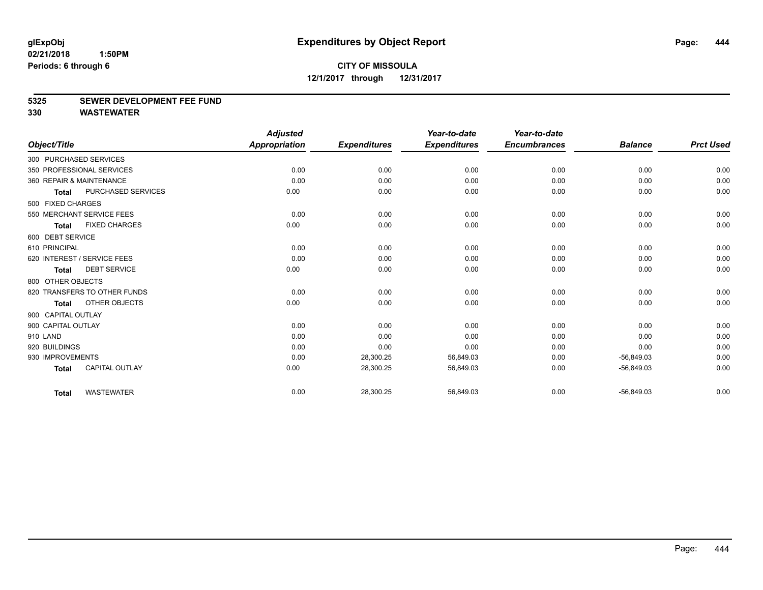#### **5325 SEWER DEVELOPMENT FEE FUND**

|                          |                              | <b>Adjusted</b>      |                     | Year-to-date        | Year-to-date        |                |                  |
|--------------------------|------------------------------|----------------------|---------------------|---------------------|---------------------|----------------|------------------|
| Object/Title             |                              | <b>Appropriation</b> | <b>Expenditures</b> | <b>Expenditures</b> | <b>Encumbrances</b> | <b>Balance</b> | <b>Prct Used</b> |
| 300 PURCHASED SERVICES   |                              |                      |                     |                     |                     |                |                  |
|                          | 350 PROFESSIONAL SERVICES    | 0.00                 | 0.00                | 0.00                | 0.00                | 0.00           | 0.00             |
| 360 REPAIR & MAINTENANCE |                              | 0.00                 | 0.00                | 0.00                | 0.00                | 0.00           | 0.00             |
| <b>Total</b>             | PURCHASED SERVICES           | 0.00                 | 0.00                | 0.00                | 0.00                | 0.00           | 0.00             |
| 500 FIXED CHARGES        |                              |                      |                     |                     |                     |                |                  |
|                          | 550 MERCHANT SERVICE FEES    | 0.00                 | 0.00                | 0.00                | 0.00                | 0.00           | 0.00             |
| <b>Total</b>             | <b>FIXED CHARGES</b>         | 0.00                 | 0.00                | 0.00                | 0.00                | 0.00           | 0.00             |
| 600 DEBT SERVICE         |                              |                      |                     |                     |                     |                |                  |
| 610 PRINCIPAL            |                              | 0.00                 | 0.00                | 0.00                | 0.00                | 0.00           | 0.00             |
|                          | 620 INTEREST / SERVICE FEES  | 0.00                 | 0.00                | 0.00                | 0.00                | 0.00           | 0.00             |
| <b>Total</b>             | <b>DEBT SERVICE</b>          | 0.00                 | 0.00                | 0.00                | 0.00                | 0.00           | 0.00             |
| 800 OTHER OBJECTS        |                              |                      |                     |                     |                     |                |                  |
|                          | 820 TRANSFERS TO OTHER FUNDS | 0.00                 | 0.00                | 0.00                | 0.00                | 0.00           | 0.00             |
| <b>Total</b>             | OTHER OBJECTS                | 0.00                 | 0.00                | 0.00                | 0.00                | 0.00           | 0.00             |
| 900 CAPITAL OUTLAY       |                              |                      |                     |                     |                     |                |                  |
| 900 CAPITAL OUTLAY       |                              | 0.00                 | 0.00                | 0.00                | 0.00                | 0.00           | 0.00             |
| 910 LAND                 |                              | 0.00                 | 0.00                | 0.00                | 0.00                | 0.00           | 0.00             |
| 920 BUILDINGS            |                              | 0.00                 | 0.00                | 0.00                | 0.00                | 0.00           | 0.00             |
| 930 IMPROVEMENTS         |                              | 0.00                 | 28,300.25           | 56,849.03           | 0.00                | $-56,849.03$   | 0.00             |
| <b>Total</b>             | <b>CAPITAL OUTLAY</b>        | 0.00                 | 28,300.25           | 56,849.03           | 0.00                | $-56,849.03$   | 0.00             |
| <b>Total</b>             | <b>WASTEWATER</b>            | 0.00                 | 28,300.25           | 56,849.03           | 0.00                | $-56,849.03$   | 0.00             |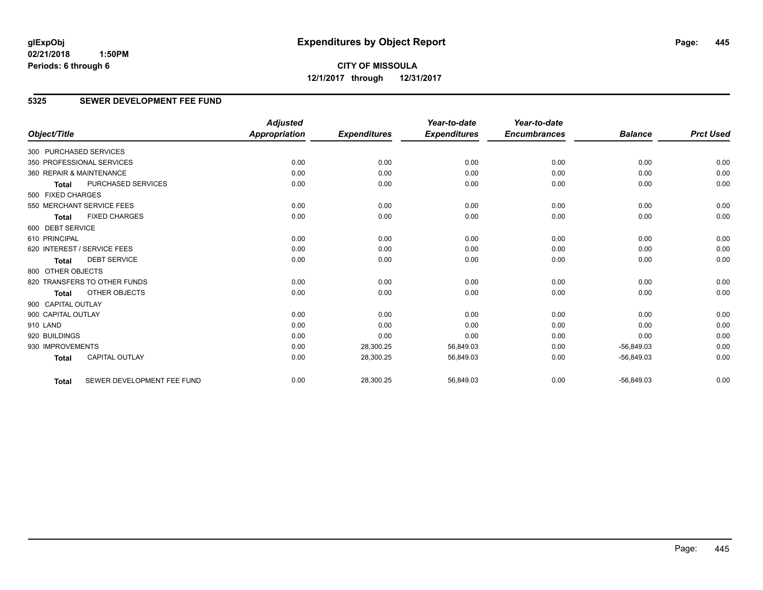# **CITY OF MISSOULA 12/1/2017 through 12/31/2017**

# **5325 SEWER DEVELOPMENT FEE FUND**

|                        |                              | <b>Adjusted</b>      |                     | Year-to-date        | Year-to-date        |                |                  |
|------------------------|------------------------------|----------------------|---------------------|---------------------|---------------------|----------------|------------------|
| Object/Title           |                              | <b>Appropriation</b> | <b>Expenditures</b> | <b>Expenditures</b> | <b>Encumbrances</b> | <b>Balance</b> | <b>Prct Used</b> |
| 300 PURCHASED SERVICES |                              |                      |                     |                     |                     |                |                  |
|                        | 350 PROFESSIONAL SERVICES    | 0.00                 | 0.00                | 0.00                | 0.00                | 0.00           | 0.00             |
|                        | 360 REPAIR & MAINTENANCE     | 0.00                 | 0.00                | 0.00                | 0.00                | 0.00           | 0.00             |
| <b>Total</b>           | PURCHASED SERVICES           | 0.00                 | 0.00                | 0.00                | 0.00                | 0.00           | 0.00             |
| 500 FIXED CHARGES      |                              |                      |                     |                     |                     |                |                  |
|                        | 550 MERCHANT SERVICE FEES    | 0.00                 | 0.00                | 0.00                | 0.00                | 0.00           | 0.00             |
| <b>Total</b>           | <b>FIXED CHARGES</b>         | 0.00                 | 0.00                | 0.00                | 0.00                | 0.00           | 0.00             |
| 600 DEBT SERVICE       |                              |                      |                     |                     |                     |                |                  |
| 610 PRINCIPAL          |                              | 0.00                 | 0.00                | 0.00                | 0.00                | 0.00           | 0.00             |
|                        | 620 INTEREST / SERVICE FEES  | 0.00                 | 0.00                | 0.00                | 0.00                | 0.00           | 0.00             |
| <b>Total</b>           | <b>DEBT SERVICE</b>          | 0.00                 | 0.00                | 0.00                | 0.00                | 0.00           | 0.00             |
| 800 OTHER OBJECTS      |                              |                      |                     |                     |                     |                |                  |
|                        | 820 TRANSFERS TO OTHER FUNDS | 0.00                 | 0.00                | 0.00                | 0.00                | 0.00           | 0.00             |
| <b>Total</b>           | <b>OTHER OBJECTS</b>         | 0.00                 | 0.00                | 0.00                | 0.00                | 0.00           | 0.00             |
| 900 CAPITAL OUTLAY     |                              |                      |                     |                     |                     |                |                  |
| 900 CAPITAL OUTLAY     |                              | 0.00                 | 0.00                | 0.00                | 0.00                | 0.00           | 0.00             |
| 910 LAND               |                              | 0.00                 | 0.00                | 0.00                | 0.00                | 0.00           | 0.00             |
| 920 BUILDINGS          |                              | 0.00                 | 0.00                | 0.00                | 0.00                | 0.00           | 0.00             |
| 930 IMPROVEMENTS       |                              | 0.00                 | 28,300.25           | 56,849.03           | 0.00                | $-56,849.03$   | 0.00             |
| <b>Total</b>           | <b>CAPITAL OUTLAY</b>        | 0.00                 | 28,300.25           | 56,849.03           | 0.00                | $-56,849.03$   | 0.00             |
| <b>Total</b>           | SEWER DEVELOPMENT FEE FUND   | 0.00                 | 28,300.25           | 56,849.03           | 0.00                | $-56,849.03$   | 0.00             |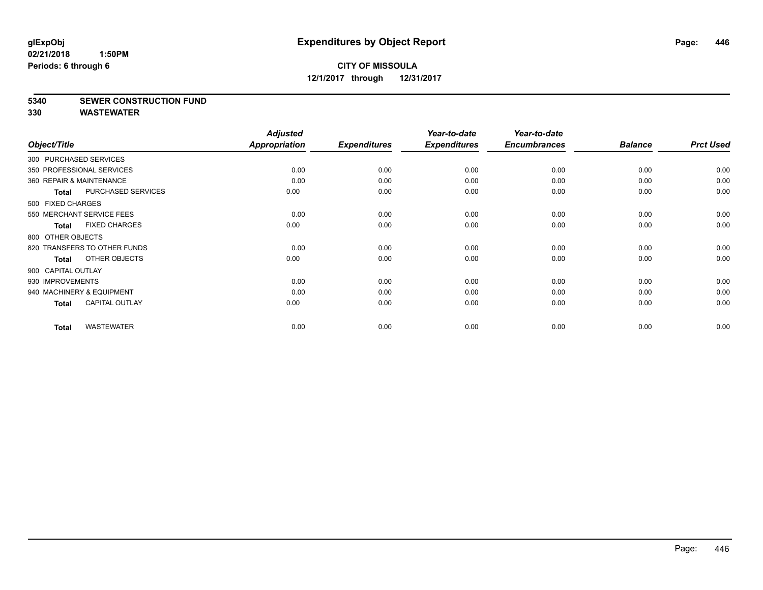### **5340 SEWER CONSTRUCTION FUND**

|                          |                              | <b>Adjusted</b> |                     | Year-to-date        | Year-to-date        |                |                  |
|--------------------------|------------------------------|-----------------|---------------------|---------------------|---------------------|----------------|------------------|
| Object/Title             |                              | Appropriation   | <b>Expenditures</b> | <b>Expenditures</b> | <b>Encumbrances</b> | <b>Balance</b> | <b>Prct Used</b> |
| 300 PURCHASED SERVICES   |                              |                 |                     |                     |                     |                |                  |
|                          | 350 PROFESSIONAL SERVICES    | 0.00            | 0.00                | 0.00                | 0.00                | 0.00           | 0.00             |
| 360 REPAIR & MAINTENANCE |                              | 0.00            | 0.00                | 0.00                | 0.00                | 0.00           | 0.00             |
| <b>Total</b>             | <b>PURCHASED SERVICES</b>    | 0.00            | 0.00                | 0.00                | 0.00                | 0.00           | 0.00             |
| 500 FIXED CHARGES        |                              |                 |                     |                     |                     |                |                  |
|                          | 550 MERCHANT SERVICE FEES    | 0.00            | 0.00                | 0.00                | 0.00                | 0.00           | 0.00             |
| <b>Total</b>             | <b>FIXED CHARGES</b>         | 0.00            | 0.00                | 0.00                | 0.00                | 0.00           | 0.00             |
| 800 OTHER OBJECTS        |                              |                 |                     |                     |                     |                |                  |
|                          | 820 TRANSFERS TO OTHER FUNDS | 0.00            | 0.00                | 0.00                | 0.00                | 0.00           | 0.00             |
| <b>Total</b>             | OTHER OBJECTS                | 0.00            | 0.00                | 0.00                | 0.00                | 0.00           | 0.00             |
| 900 CAPITAL OUTLAY       |                              |                 |                     |                     |                     |                |                  |
| 930 IMPROVEMENTS         |                              | 0.00            | 0.00                | 0.00                | 0.00                | 0.00           | 0.00             |
|                          | 940 MACHINERY & EQUIPMENT    | 0.00            | 0.00                | 0.00                | 0.00                | 0.00           | 0.00             |
| <b>Total</b>             | <b>CAPITAL OUTLAY</b>        | 0.00            | 0.00                | 0.00                | 0.00                | 0.00           | 0.00             |
| <b>Total</b>             | <b>WASTEWATER</b>            | 0.00            | 0.00                | 0.00                | 0.00                | 0.00           | 0.00             |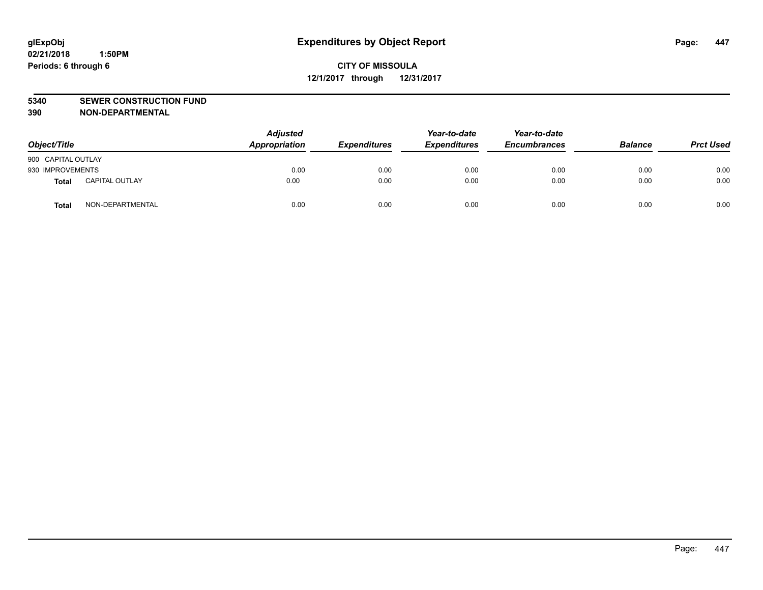#### **5340 SEWER CONSTRUCTION FUND**

**390 NON-DEPARTMENTAL**

| Object/Title       |                       | <b>Adjusted</b><br>Appropriation | <b>Expenditures</b> | Year-to-date<br><b>Expenditures</b> | Year-to-date<br><b>Encumbrances</b> | <b>Balance</b> | <b>Prct Used</b> |
|--------------------|-----------------------|----------------------------------|---------------------|-------------------------------------|-------------------------------------|----------------|------------------|
| 900 CAPITAL OUTLAY |                       |                                  |                     |                                     |                                     |                |                  |
| 930 IMPROVEMENTS   |                       | 0.00                             | 0.00                | 0.00                                | 0.00                                | 0.00           | 0.00             |
| <b>Total</b>       | <b>CAPITAL OUTLAY</b> | 0.00                             | 0.00                | 0.00                                | 0.00                                | 0.00           | 0.00             |
| <b>Total</b>       | NON-DEPARTMENTAL      | 0.00                             | 0.00                | 0.00                                | 0.00                                | 0.00           | 0.00             |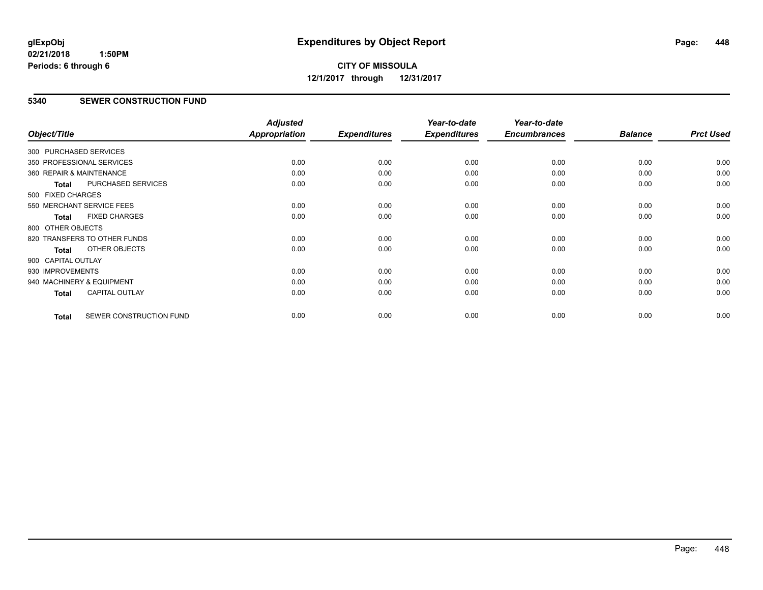# **CITY OF MISSOULA 12/1/2017 through 12/31/2017**

### **5340 SEWER CONSTRUCTION FUND**

| Object/Title             |                              | <b>Adjusted</b><br>Appropriation | <b>Expenditures</b> | Year-to-date<br><b>Expenditures</b> | Year-to-date<br><b>Encumbrances</b> | <b>Balance</b> | <b>Prct Used</b> |
|--------------------------|------------------------------|----------------------------------|---------------------|-------------------------------------|-------------------------------------|----------------|------------------|
| 300 PURCHASED SERVICES   |                              |                                  |                     |                                     |                                     |                |                  |
|                          | 350 PROFESSIONAL SERVICES    | 0.00                             | 0.00                | 0.00                                | 0.00                                | 0.00           | 0.00             |
| 360 REPAIR & MAINTENANCE |                              | 0.00                             | 0.00                | 0.00                                | 0.00                                | 0.00           | 0.00             |
| <b>Total</b>             | PURCHASED SERVICES           | 0.00                             | 0.00                | 0.00                                | 0.00                                | 0.00           | 0.00             |
| 500 FIXED CHARGES        |                              |                                  |                     |                                     |                                     |                |                  |
|                          | 550 MERCHANT SERVICE FEES    | 0.00                             | 0.00                | 0.00                                | 0.00                                | 0.00           | 0.00             |
| <b>Total</b>             | <b>FIXED CHARGES</b>         | 0.00                             | 0.00                | 0.00                                | 0.00                                | 0.00           | 0.00             |
| 800 OTHER OBJECTS        |                              |                                  |                     |                                     |                                     |                |                  |
|                          | 820 TRANSFERS TO OTHER FUNDS | 0.00                             | 0.00                | 0.00                                | 0.00                                | 0.00           | 0.00             |
| <b>Total</b>             | OTHER OBJECTS                | 0.00                             | 0.00                | 0.00                                | 0.00                                | 0.00           | 0.00             |
| 900 CAPITAL OUTLAY       |                              |                                  |                     |                                     |                                     |                |                  |
| 930 IMPROVEMENTS         |                              | 0.00                             | 0.00                | 0.00                                | 0.00                                | 0.00           | 0.00             |
|                          | 940 MACHINERY & EQUIPMENT    | 0.00                             | 0.00                | 0.00                                | 0.00                                | 0.00           | 0.00             |
| <b>Total</b>             | <b>CAPITAL OUTLAY</b>        | 0.00                             | 0.00                | 0.00                                | 0.00                                | 0.00           | 0.00             |
| <b>Total</b>             | SEWER CONSTRUCTION FUND      | 0.00                             | 0.00                | 0.00                                | 0.00                                | 0.00           | 0.00             |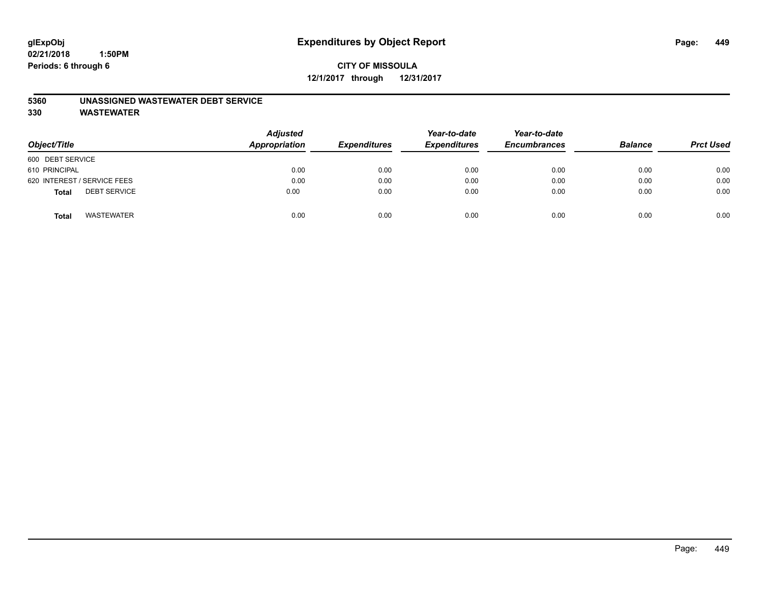# **CITY OF MISSOULA 12/1/2017 through 12/31/2017**

#### **5360 UNASSIGNED WASTEWATER DEBT SERVICE**

| Object/Title                        | <b>Adjusted</b><br><b>Appropriation</b> | <b>Expenditures</b> | Year-to-date<br><b>Expenditures</b> | Year-to-date<br><b>Encumbrances</b> | <b>Balance</b> | <b>Prct Used</b> |
|-------------------------------------|-----------------------------------------|---------------------|-------------------------------------|-------------------------------------|----------------|------------------|
| 600 DEBT SERVICE                    |                                         |                     |                                     |                                     |                |                  |
| 610 PRINCIPAL                       | 0.00                                    | 0.00                | 0.00                                | 0.00                                | 0.00           | 0.00             |
| 620 INTEREST / SERVICE FEES         | 0.00                                    | 0.00                | 0.00                                | 0.00                                | 0.00           | 0.00             |
| <b>DEBT SERVICE</b><br><b>Total</b> | 0.00                                    | 0.00                | 0.00                                | 0.00                                | 0.00           | 0.00             |
| <b>WASTEWATER</b><br><b>Total</b>   | 0.00                                    | 0.00                | 0.00                                | 0.00                                | 0.00           | 0.00             |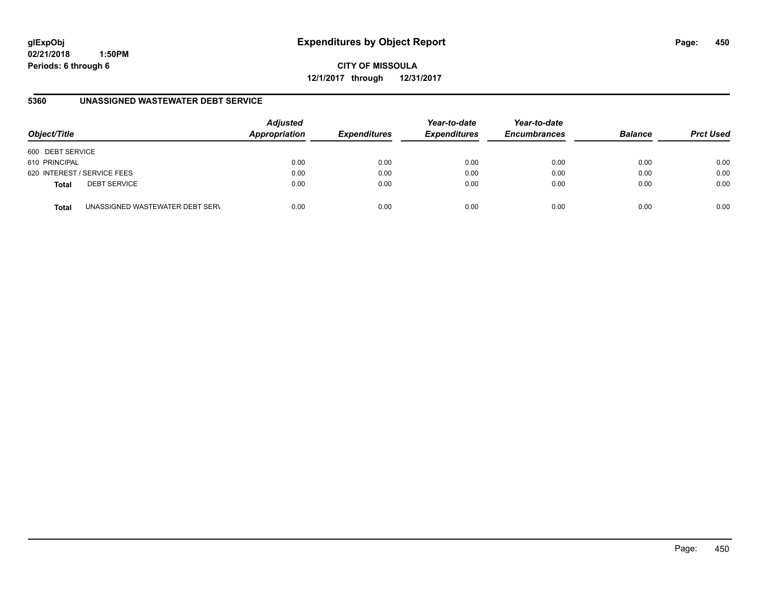# **glExpObj Expenditures by Object Report Page: 450**

**02/21/2018 1:50PM Periods: 6 through 6**

**12/1/2017 through 12/31/2017**

# **5360 UNASSIGNED WASTEWATER DEBT SERVICE**

| Object/Title     |                                 | <b>Adjusted</b><br>Appropriation | <b>Expenditures</b> | Year-to-date<br><b>Expenditures</b> | Year-to-date<br><b>Encumbrances</b> | <b>Balance</b> | <b>Prct Used</b> |
|------------------|---------------------------------|----------------------------------|---------------------|-------------------------------------|-------------------------------------|----------------|------------------|
| 600 DEBT SERVICE |                                 |                                  |                     |                                     |                                     |                |                  |
| 610 PRINCIPAL    |                                 | 0.00                             | 0.00                | 0.00                                | 0.00                                | 0.00           | 0.00             |
|                  | 620 INTEREST / SERVICE FEES     | 0.00                             | 0.00                | 0.00                                | 0.00                                | 0.00           | 0.00             |
| <b>Total</b>     | <b>DEBT SERVICE</b>             | 0.00                             | 0.00                | 0.00                                | 0.00                                | 0.00           | 0.00             |
| Total            | UNASSIGNED WASTEWATER DEBT SERV | 0.00                             | 0.00                | 0.00                                | 0.00                                | 0.00           | 0.00             |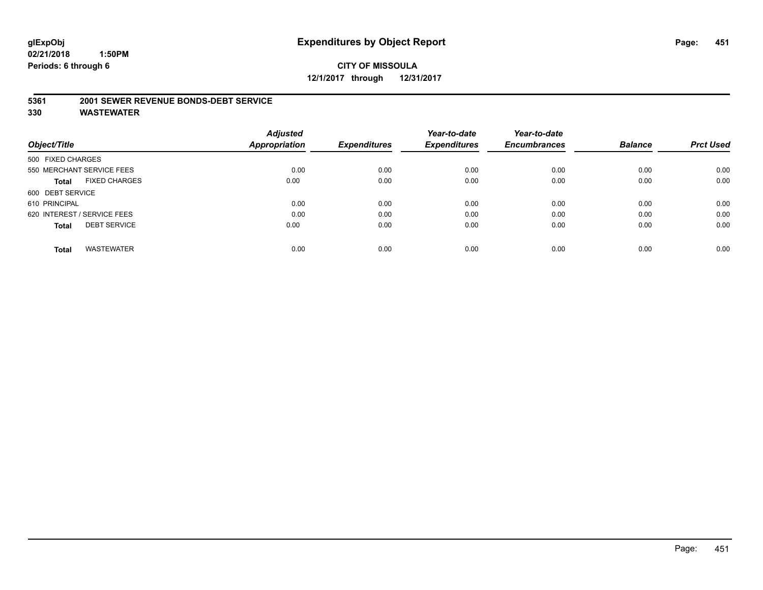#### **5361 2001 SEWER REVENUE BONDS-DEBT SERVICE**

|                             |                           | <b>Adjusted</b>      |                     | Year-to-date        | Year-to-date        |                |                  |
|-----------------------------|---------------------------|----------------------|---------------------|---------------------|---------------------|----------------|------------------|
| Object/Title                |                           | <b>Appropriation</b> | <b>Expenditures</b> | <b>Expenditures</b> | <b>Encumbrances</b> | <b>Balance</b> | <b>Prct Used</b> |
| 500 FIXED CHARGES           |                           |                      |                     |                     |                     |                |                  |
|                             | 550 MERCHANT SERVICE FEES | 0.00                 | 0.00                | 0.00                | 0.00                | 0.00           | 0.00             |
| Total                       | <b>FIXED CHARGES</b>      | 0.00                 | 0.00                | 0.00                | 0.00                | 0.00           | 0.00             |
| 600 DEBT SERVICE            |                           |                      |                     |                     |                     |                |                  |
| 610 PRINCIPAL               |                           | 0.00                 | 0.00                | 0.00                | 0.00                | 0.00           | 0.00             |
| 620 INTEREST / SERVICE FEES |                           | 0.00                 | 0.00                | 0.00                | 0.00                | 0.00           | 0.00             |
| <b>Total</b>                | <b>DEBT SERVICE</b>       | 0.00                 | 0.00                | 0.00                | 0.00                | 0.00           | 0.00             |
| <b>Total</b>                | <b>WASTEWATER</b>         | 0.00                 | 0.00                | 0.00                | 0.00                | 0.00           | 0.00             |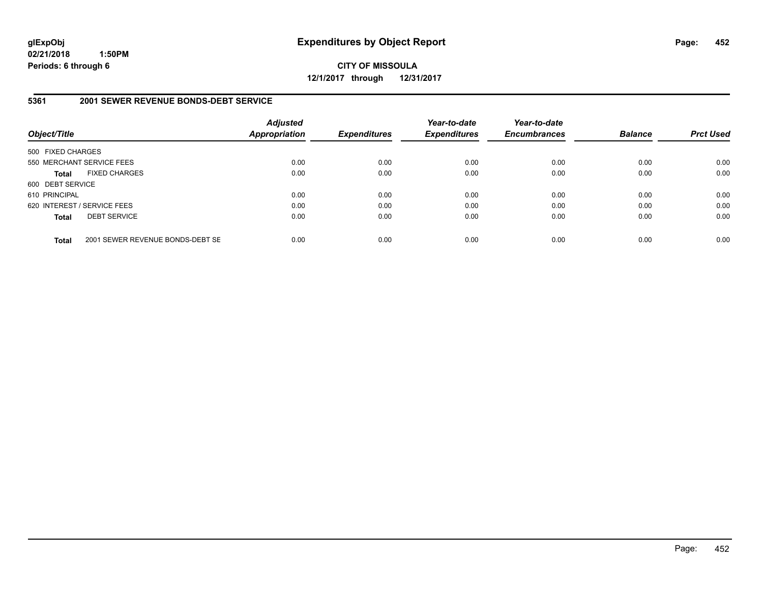**CITY OF MISSOULA 12/1/2017 through 12/31/2017**

#### **5361 2001 SEWER REVENUE BONDS-DEBT SERVICE**

| Object/Title      |                                  | <b>Adjusted</b><br><b>Appropriation</b> | <b>Expenditures</b> | Year-to-date<br><b>Expenditures</b> | Year-to-date<br><b>Encumbrances</b> | <b>Balance</b> | <b>Prct Used</b> |
|-------------------|----------------------------------|-----------------------------------------|---------------------|-------------------------------------|-------------------------------------|----------------|------------------|
| 500 FIXED CHARGES |                                  |                                         |                     |                                     |                                     |                |                  |
|                   | 550 MERCHANT SERVICE FEES        | 0.00                                    | 0.00                | 0.00                                | 0.00                                | 0.00           | 0.00             |
| <b>Total</b>      | <b>FIXED CHARGES</b>             | 0.00                                    | 0.00                | 0.00                                | 0.00                                | 0.00           | 0.00             |
| 600 DEBT SERVICE  |                                  |                                         |                     |                                     |                                     |                |                  |
| 610 PRINCIPAL     |                                  | 0.00                                    | 0.00                | 0.00                                | 0.00                                | 0.00           | 0.00             |
|                   | 620 INTEREST / SERVICE FEES      | 0.00                                    | 0.00                | 0.00                                | 0.00                                | 0.00           | 0.00             |
| <b>Total</b>      | <b>DEBT SERVICE</b>              | 0.00                                    | 0.00                | 0.00                                | 0.00                                | 0.00           | 0.00             |
| <b>Total</b>      | 2001 SEWER REVENUE BONDS-DEBT SE | 0.00                                    | 0.00                | 0.00                                | 0.00                                | 0.00           | 0.00             |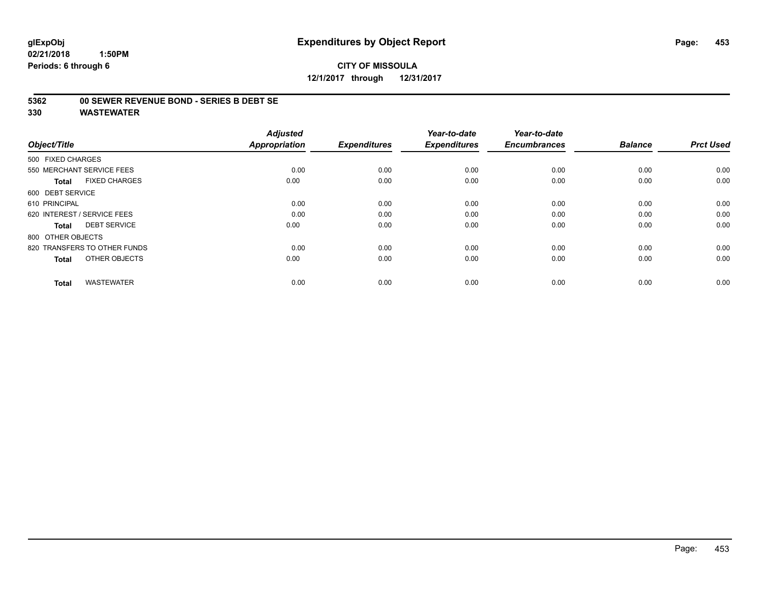#### **5362 00 SEWER REVENUE BOND - SERIES B DEBT SE**

| Object/Title                         | <b>Adjusted</b><br>Appropriation | <b>Expenditures</b> | Year-to-date<br><b>Expenditures</b> | Year-to-date<br><b>Encumbrances</b> | <b>Balance</b> | <b>Prct Used</b> |
|--------------------------------------|----------------------------------|---------------------|-------------------------------------|-------------------------------------|----------------|------------------|
| 500 FIXED CHARGES                    |                                  |                     |                                     |                                     |                |                  |
| 550 MERCHANT SERVICE FEES            | 0.00                             | 0.00                | 0.00                                | 0.00                                | 0.00           | 0.00             |
| <b>FIXED CHARGES</b><br><b>Total</b> | 0.00                             | 0.00                | 0.00                                | 0.00                                | 0.00           | 0.00             |
| 600 DEBT SERVICE                     |                                  |                     |                                     |                                     |                |                  |
| 610 PRINCIPAL                        | 0.00                             | 0.00                | 0.00                                | 0.00                                | 0.00           | 0.00             |
| 620 INTEREST / SERVICE FEES          | 0.00                             | 0.00                | 0.00                                | 0.00                                | 0.00           | 0.00             |
| <b>DEBT SERVICE</b><br><b>Total</b>  | 0.00                             | 0.00                | 0.00                                | 0.00                                | 0.00           | 0.00             |
| 800 OTHER OBJECTS                    |                                  |                     |                                     |                                     |                |                  |
| 820 TRANSFERS TO OTHER FUNDS         | 0.00                             | 0.00                | 0.00                                | 0.00                                | 0.00           | 0.00             |
| OTHER OBJECTS<br><b>Total</b>        | 0.00                             | 0.00                | 0.00                                | 0.00                                | 0.00           | 0.00             |
| <b>WASTEWATER</b><br><b>Total</b>    | 0.00                             | 0.00                | 0.00                                | 0.00                                | 0.00           | 0.00             |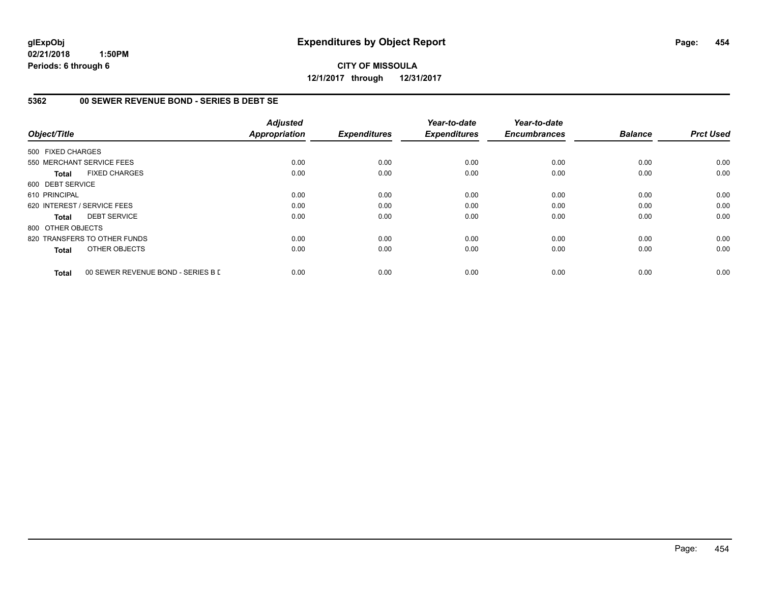# **CITY OF MISSOULA 12/1/2017 through 12/31/2017**

# **5362 00 SEWER REVENUE BOND - SERIES B DEBT SE**

| Object/Title      |                                    | <b>Adjusted</b><br><b>Appropriation</b> | <b>Expenditures</b> | Year-to-date<br><b>Expenditures</b> | Year-to-date<br><b>Encumbrances</b> | <b>Balance</b> | <b>Prct Used</b> |
|-------------------|------------------------------------|-----------------------------------------|---------------------|-------------------------------------|-------------------------------------|----------------|------------------|
|                   |                                    |                                         |                     |                                     |                                     |                |                  |
| 500 FIXED CHARGES |                                    |                                         |                     |                                     |                                     |                |                  |
|                   | 550 MERCHANT SERVICE FEES          | 0.00                                    | 0.00                | 0.00                                | 0.00                                | 0.00           | 0.00             |
| Total             | <b>FIXED CHARGES</b>               | 0.00                                    | 0.00                | 0.00                                | 0.00                                | 0.00           | 0.00             |
| 600 DEBT SERVICE  |                                    |                                         |                     |                                     |                                     |                |                  |
| 610 PRINCIPAL     |                                    | 0.00                                    | 0.00                | 0.00                                | 0.00                                | 0.00           | 0.00             |
|                   | 620 INTEREST / SERVICE FEES        | 0.00                                    | 0.00                | 0.00                                | 0.00                                | 0.00           | 0.00             |
| Total             | <b>DEBT SERVICE</b>                | 0.00                                    | 0.00                | 0.00                                | 0.00                                | 0.00           | 0.00             |
| 800 OTHER OBJECTS |                                    |                                         |                     |                                     |                                     |                |                  |
|                   | 820 TRANSFERS TO OTHER FUNDS       | 0.00                                    | 0.00                | 0.00                                | 0.00                                | 0.00           | 0.00             |
| <b>Total</b>      | OTHER OBJECTS                      | 0.00                                    | 0.00                | 0.00                                | 0.00                                | 0.00           | 0.00             |
| <b>Total</b>      | 00 SEWER REVENUE BOND - SERIES B D | 0.00                                    | 0.00                | 0.00                                | 0.00                                | 0.00           | 0.00             |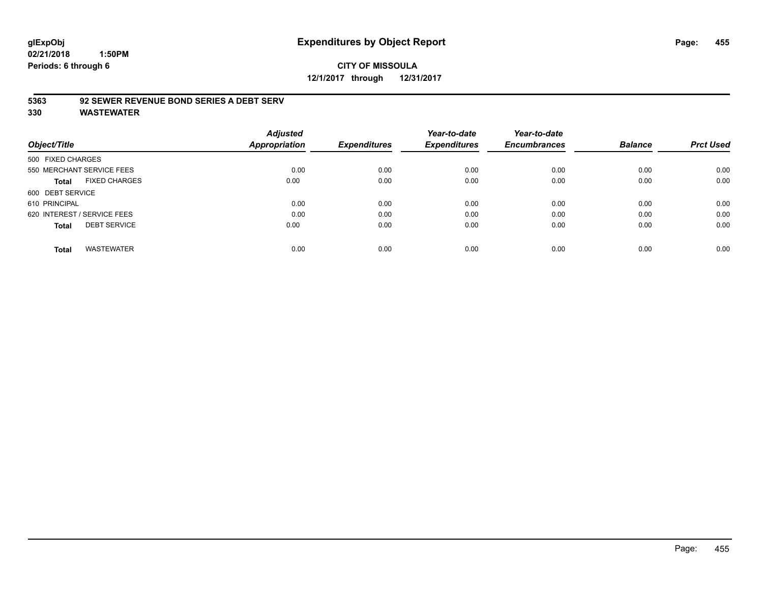# **CITY OF MISSOULA 12/1/2017 through 12/31/2017**

### **5363 92 SEWER REVENUE BOND SERIES A DEBT SERV**

| Object/Title                |                           | <b>Adjusted</b><br>Appropriation | <b>Expenditures</b> | Year-to-date<br><b>Expenditures</b> | Year-to-date<br><b>Encumbrances</b> | <b>Balance</b> | <b>Prct Used</b> |
|-----------------------------|---------------------------|----------------------------------|---------------------|-------------------------------------|-------------------------------------|----------------|------------------|
| 500 FIXED CHARGES           |                           |                                  |                     |                                     |                                     |                |                  |
|                             | 550 MERCHANT SERVICE FEES | 0.00                             | 0.00                | 0.00                                | 0.00                                | 0.00           | 0.00             |
| Total                       | <b>FIXED CHARGES</b>      | 0.00                             | 0.00                | 0.00                                | 0.00                                | 0.00           | 0.00             |
| 600 DEBT SERVICE            |                           |                                  |                     |                                     |                                     |                |                  |
| 610 PRINCIPAL               |                           | 0.00                             | 0.00                | 0.00                                | 0.00                                | 0.00           | 0.00             |
| 620 INTEREST / SERVICE FEES |                           | 0.00                             | 0.00                | 0.00                                | 0.00                                | 0.00           | 0.00             |
| <b>Total</b>                | <b>DEBT SERVICE</b>       | 0.00                             | 0.00                | 0.00                                | 0.00                                | 0.00           | 0.00             |
| <b>Total</b>                | <b>WASTEWATER</b>         | 0.00                             | 0.00                | 0.00                                | 0.00                                | 0.00           | 0.00             |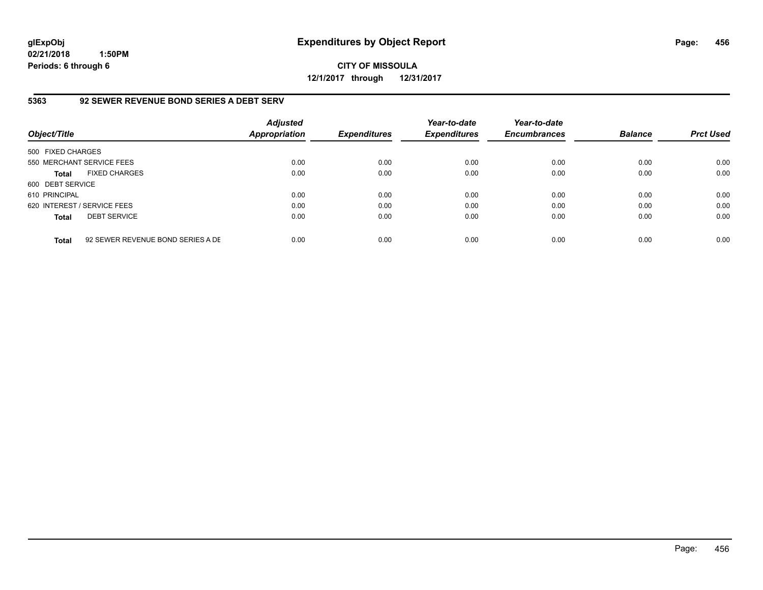**CITY OF MISSOULA 12/1/2017 through 12/31/2017**

### **5363 92 SEWER REVENUE BOND SERIES A DEBT SERV**

| Object/Title                |                                   | <b>Adjusted</b><br><b>Appropriation</b> | <b>Expenditures</b> | Year-to-date<br><b>Expenditures</b> | Year-to-date<br><b>Encumbrances</b> | <b>Balance</b> | <b>Prct Used</b> |
|-----------------------------|-----------------------------------|-----------------------------------------|---------------------|-------------------------------------|-------------------------------------|----------------|------------------|
| 500 FIXED CHARGES           |                                   |                                         |                     |                                     |                                     |                |                  |
| 550 MERCHANT SERVICE FEES   |                                   | 0.00                                    | 0.00                | 0.00                                | 0.00                                | 0.00           | 0.00             |
| <b>Total</b>                | <b>FIXED CHARGES</b>              | 0.00                                    | 0.00                | 0.00                                | 0.00                                | 0.00           | 0.00             |
| 600 DEBT SERVICE            |                                   |                                         |                     |                                     |                                     |                |                  |
| 610 PRINCIPAL               |                                   | 0.00                                    | 0.00                | 0.00                                | 0.00                                | 0.00           | 0.00             |
| 620 INTEREST / SERVICE FEES |                                   | 0.00                                    | 0.00                | 0.00                                | 0.00                                | 0.00           | 0.00             |
| <b>Total</b>                | <b>DEBT SERVICE</b>               | 0.00                                    | 0.00                | 0.00                                | 0.00                                | 0.00           | 0.00             |
| <b>Total</b>                | 92 SEWER REVENUE BOND SERIES A DE | 0.00                                    | 0.00                | 0.00                                | 0.00                                | 0.00           | 0.00             |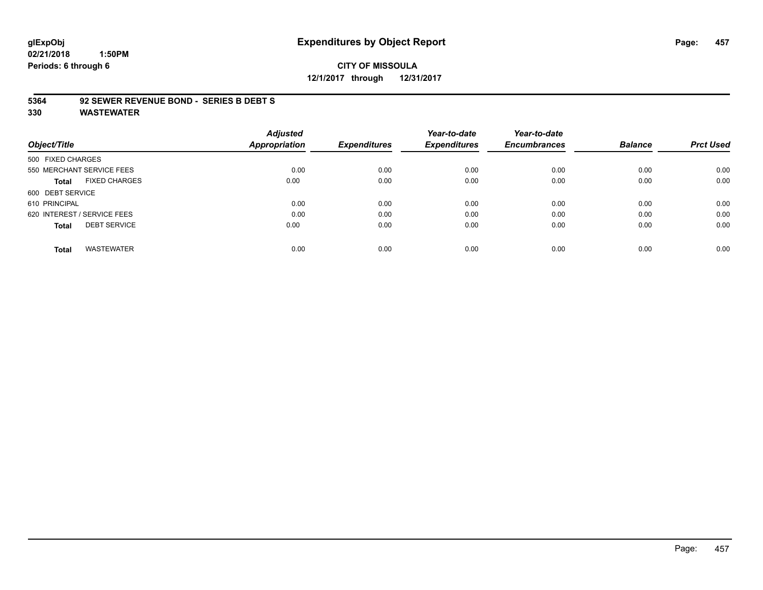# **glExpObj Expenditures by Object Report Page: 457**

**02/21/2018 1:50PM Periods: 6 through 6**

# **CITY OF MISSOULA 12/1/2017 through 12/31/2017**

#### **5364 92 SEWER REVENUE BOND - SERIES B DEBT S**

|                                     | <b>Adjusted</b>      |                     | Year-to-date        | Year-to-date        |                |                  |
|-------------------------------------|----------------------|---------------------|---------------------|---------------------|----------------|------------------|
| Object/Title                        | <b>Appropriation</b> | <b>Expenditures</b> | <b>Expenditures</b> | <b>Encumbrances</b> | <b>Balance</b> | <b>Prct Used</b> |
| 500 FIXED CHARGES                   |                      |                     |                     |                     |                |                  |
| 550 MERCHANT SERVICE FEES           | 0.00                 | 0.00                | 0.00                | 0.00                | 0.00           | 0.00             |
| <b>FIXED CHARGES</b><br>Total       | 0.00                 | 0.00                | 0.00                | 0.00                | 0.00           | 0.00             |
| 600 DEBT SERVICE                    |                      |                     |                     |                     |                |                  |
| 610 PRINCIPAL                       | 0.00                 | 0.00                | 0.00                | 0.00                | 0.00           | 0.00             |
| 620 INTEREST / SERVICE FEES         | 0.00                 | 0.00                | 0.00                | 0.00                | 0.00           | 0.00             |
| <b>DEBT SERVICE</b><br><b>Total</b> | 0.00                 | 0.00                | 0.00                | 0.00                | 0.00           | 0.00             |
| <b>WASTEWATER</b><br><b>Total</b>   | 0.00                 | 0.00                | 0.00                | 0.00                | 0.00           | 0.00             |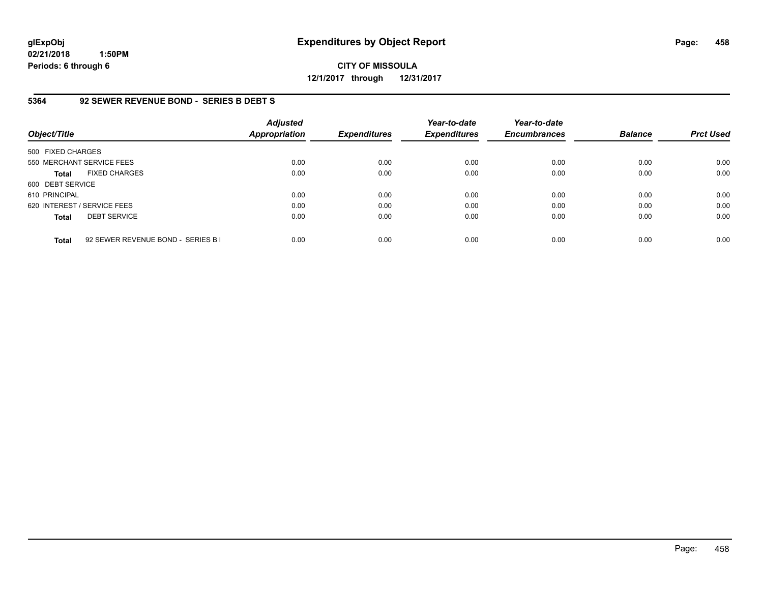# **CITY OF MISSOULA 12/1/2017 through 12/31/2017**

### **5364 92 SEWER REVENUE BOND - SERIES B DEBT S**

| Object/Title                |                                    | <b>Adjusted</b><br><b>Appropriation</b> | <b>Expenditures</b> | Year-to-date<br><b>Expenditures</b> | Year-to-date<br><b>Encumbrances</b> | <b>Balance</b> | <b>Prct Used</b> |
|-----------------------------|------------------------------------|-----------------------------------------|---------------------|-------------------------------------|-------------------------------------|----------------|------------------|
| 500 FIXED CHARGES           |                                    |                                         |                     |                                     |                                     |                |                  |
|                             | 550 MERCHANT SERVICE FEES          | 0.00                                    | 0.00                | 0.00                                | 0.00                                | 0.00           | 0.00             |
| <b>Total</b>                | <b>FIXED CHARGES</b>               | 0.00                                    | 0.00                | 0.00                                | 0.00                                | 0.00           | 0.00             |
| 600 DEBT SERVICE            |                                    |                                         |                     |                                     |                                     |                |                  |
| 610 PRINCIPAL               |                                    | 0.00                                    | 0.00                | 0.00                                | 0.00                                | 0.00           | 0.00             |
| 620 INTEREST / SERVICE FEES |                                    | 0.00                                    | 0.00                | 0.00                                | 0.00                                | 0.00           | 0.00             |
| <b>Total</b>                | <b>DEBT SERVICE</b>                | 0.00                                    | 0.00                | 0.00                                | 0.00                                | 0.00           | 0.00             |
| <b>Total</b>                | 92 SEWER REVENUE BOND - SERIES B I | 0.00                                    | 0.00                | 0.00                                | 0.00                                | 0.00           | 0.00             |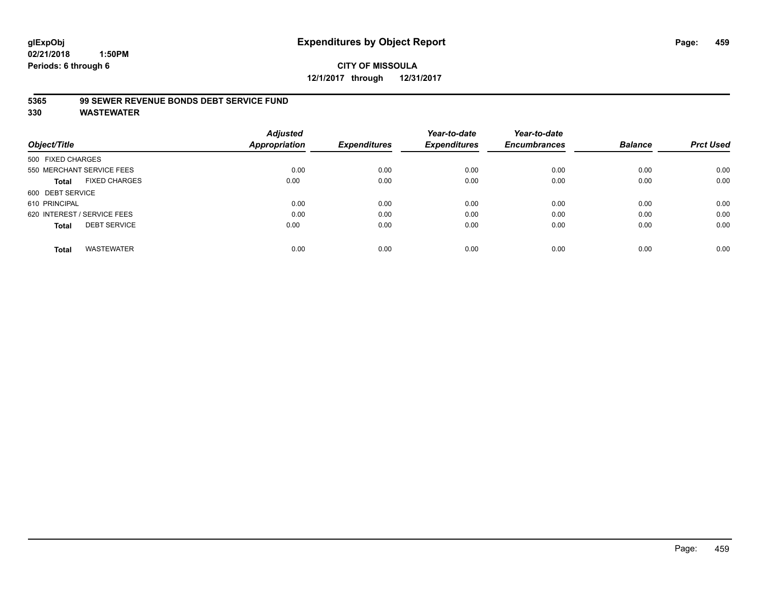# **CITY OF MISSOULA 12/1/2017 through 12/31/2017**

### **5365 99 SEWER REVENUE BONDS DEBT SERVICE FUND**

| Object/Title                        | <b>Adjusted</b><br><b>Appropriation</b> | <b>Expenditures</b> | Year-to-date<br><b>Expenditures</b> | Year-to-date<br><b>Encumbrances</b> | <b>Balance</b> | <b>Prct Used</b> |
|-------------------------------------|-----------------------------------------|---------------------|-------------------------------------|-------------------------------------|----------------|------------------|
| 500 FIXED CHARGES                   |                                         |                     |                                     |                                     |                |                  |
| 550 MERCHANT SERVICE FEES           | 0.00                                    | 0.00                | 0.00                                | 0.00                                | 0.00           | 0.00             |
| <b>FIXED CHARGES</b><br>Total       | 0.00                                    | 0.00                | 0.00                                | 0.00                                | 0.00           | 0.00             |
| 600 DEBT SERVICE                    |                                         |                     |                                     |                                     |                |                  |
| 610 PRINCIPAL                       | 0.00                                    | 0.00                | 0.00                                | 0.00                                | 0.00           | 0.00             |
| 620 INTEREST / SERVICE FEES         | 0.00                                    | 0.00                | 0.00                                | 0.00                                | 0.00           | 0.00             |
| <b>DEBT SERVICE</b><br><b>Total</b> | 0.00                                    | 0.00                | 0.00                                | 0.00                                | 0.00           | 0.00             |
| <b>WASTEWATER</b><br><b>Total</b>   | 0.00                                    | 0.00                | 0.00                                | 0.00                                | 0.00           | 0.00             |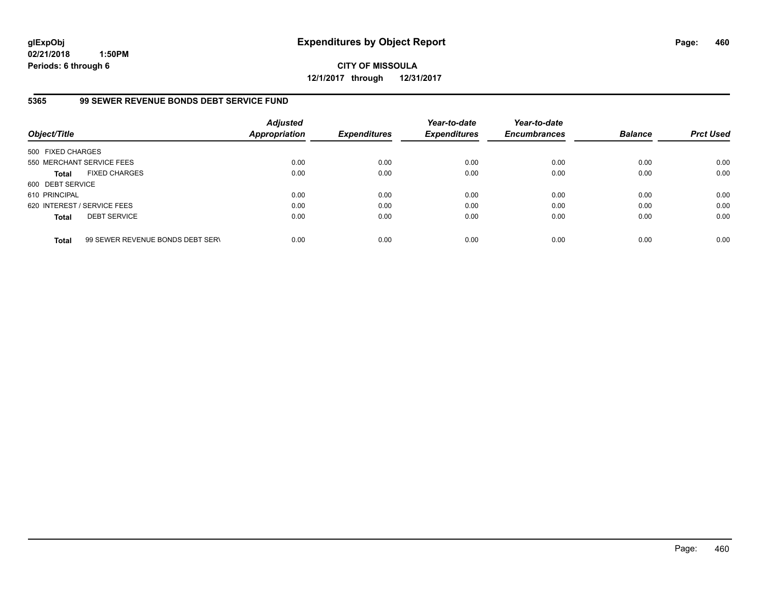**CITY OF MISSOULA 12/1/2017 through 12/31/2017**

### **5365 99 SEWER REVENUE BONDS DEBT SERVICE FUND**

| Object/Title                |                                  | <b>Adjusted</b><br><b>Appropriation</b> | <b>Expenditures</b> | Year-to-date<br><b>Expenditures</b> | Year-to-date<br><b>Encumbrances</b> | <b>Balance</b> | <b>Prct Used</b> |
|-----------------------------|----------------------------------|-----------------------------------------|---------------------|-------------------------------------|-------------------------------------|----------------|------------------|
| 500 FIXED CHARGES           |                                  |                                         |                     |                                     |                                     |                |                  |
|                             | 550 MERCHANT SERVICE FEES        | 0.00                                    | 0.00                | 0.00                                | 0.00                                | 0.00           | 0.00             |
| <b>Total</b>                | <b>FIXED CHARGES</b>             | 0.00                                    | 0.00                | 0.00                                | 0.00                                | 0.00           | 0.00             |
| 600 DEBT SERVICE            |                                  |                                         |                     |                                     |                                     |                |                  |
| 610 PRINCIPAL               |                                  | 0.00                                    | 0.00                | 0.00                                | 0.00                                | 0.00           | 0.00             |
| 620 INTEREST / SERVICE FEES |                                  | 0.00                                    | 0.00                | 0.00                                | 0.00                                | 0.00           | 0.00             |
| <b>Total</b>                | <b>DEBT SERVICE</b>              | 0.00                                    | 0.00                | 0.00                                | 0.00                                | 0.00           | 0.00             |
| <b>Total</b>                | 99 SEWER REVENUE BONDS DEBT SERV | 0.00                                    | 0.00                | 0.00                                | 0.00                                | 0.00           | 0.00             |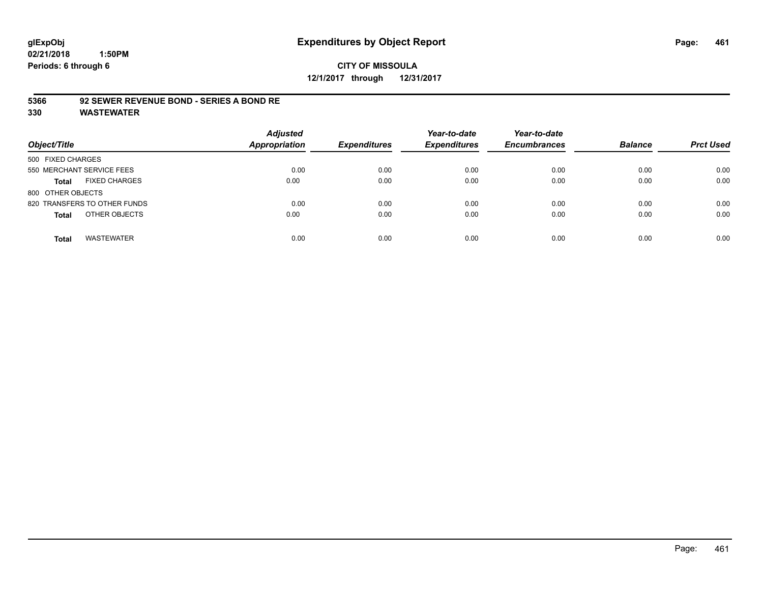# **CITY OF MISSOULA 12/1/2017 through 12/31/2017**

### **5366 92 SEWER REVENUE BOND - SERIES A BOND RE**

| Object/Title                         | <b>Adjusted</b><br>Appropriation | <b>Expenditures</b> | Year-to-date<br><b>Expenditures</b> | Year-to-date<br><b>Encumbrances</b> | <b>Balance</b> | <b>Prct Used</b> |
|--------------------------------------|----------------------------------|---------------------|-------------------------------------|-------------------------------------|----------------|------------------|
| 500 FIXED CHARGES                    |                                  |                     |                                     |                                     |                |                  |
| 550 MERCHANT SERVICE FEES            | 0.00                             | 0.00                | 0.00                                | 0.00                                | 0.00           | 0.00             |
| <b>FIXED CHARGES</b><br><b>Total</b> | 0.00                             | 0.00                | 0.00                                | 0.00                                | 0.00           | 0.00             |
| 800 OTHER OBJECTS                    |                                  |                     |                                     |                                     |                |                  |
| 820 TRANSFERS TO OTHER FUNDS         | 0.00                             | 0.00                | 0.00                                | 0.00                                | 0.00           | 0.00             |
| OTHER OBJECTS<br><b>Total</b>        | 0.00                             | 0.00                | 0.00                                | 0.00                                | 0.00           | 0.00             |
| <b>WASTEWATER</b><br><b>Total</b>    | 0.00                             | 0.00                | 0.00                                | 0.00                                | 0.00           | 0.00             |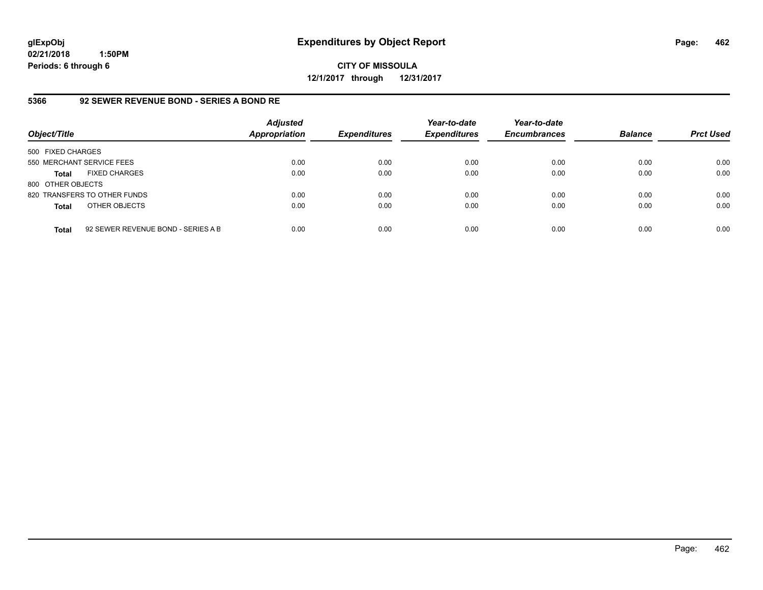**CITY OF MISSOULA 12/1/2017 through 12/31/2017**

### **5366 92 SEWER REVENUE BOND - SERIES A BOND RE**

| Object/Title              |                                    | <b>Adjusted</b><br><b>Appropriation</b> | <b>Expenditures</b> | Year-to-date<br><b>Expenditures</b> | Year-to-date<br><b>Encumbrances</b> | <b>Balance</b> | <b>Prct Used</b> |
|---------------------------|------------------------------------|-----------------------------------------|---------------------|-------------------------------------|-------------------------------------|----------------|------------------|
| 500 FIXED CHARGES         |                                    |                                         |                     |                                     |                                     |                |                  |
| 550 MERCHANT SERVICE FEES |                                    | 0.00                                    | 0.00                | 0.00                                | 0.00                                | 0.00           | 0.00             |
| <b>Total</b>              | <b>FIXED CHARGES</b>               | 0.00                                    | 0.00                | 0.00                                | 0.00                                | 0.00           | 0.00             |
| 800 OTHER OBJECTS         |                                    |                                         |                     |                                     |                                     |                |                  |
|                           | 820 TRANSFERS TO OTHER FUNDS       | 0.00                                    | 0.00                | 0.00                                | 0.00                                | 0.00           | 0.00             |
| <b>Total</b>              | OTHER OBJECTS                      | 0.00                                    | 0.00                | 0.00                                | 0.00                                | 0.00           | 0.00             |
| <b>Total</b>              | 92 SEWER REVENUE BOND - SERIES A B | 0.00                                    | 0.00                | 0.00                                | 0.00                                | 0.00           | 0.00             |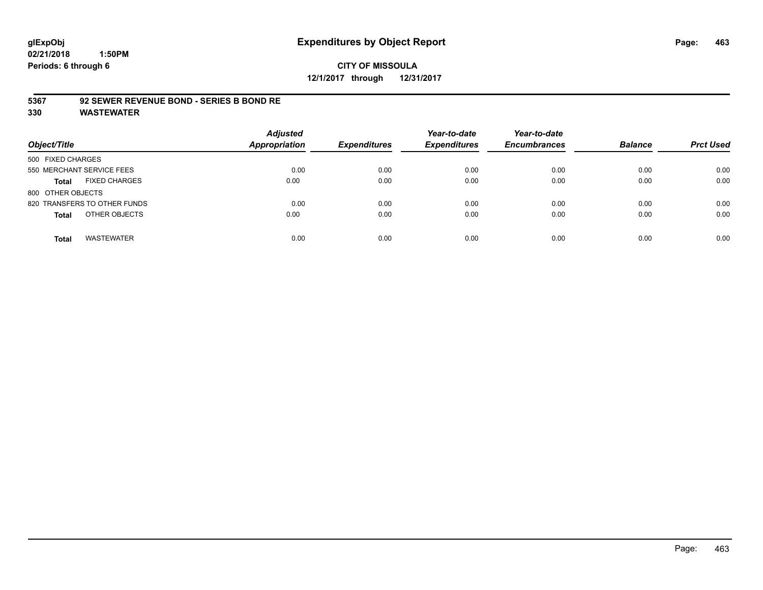# **CITY OF MISSOULA 12/1/2017 through 12/31/2017**

### **5367 92 SEWER REVENUE BOND - SERIES B BOND RE**

| Object/Title                         | <b>Adjusted</b><br><b>Appropriation</b> | <b>Expenditures</b> | Year-to-date<br><b>Expenditures</b> | Year-to-date<br><b>Encumbrances</b> | <b>Balance</b> | <b>Prct Used</b> |
|--------------------------------------|-----------------------------------------|---------------------|-------------------------------------|-------------------------------------|----------------|------------------|
| 500 FIXED CHARGES                    |                                         |                     |                                     |                                     |                |                  |
| 550 MERCHANT SERVICE FEES            | 0.00                                    | 0.00                | 0.00                                | 0.00                                | 0.00           | 0.00             |
| <b>FIXED CHARGES</b><br><b>Total</b> | 0.00                                    | 0.00                | 0.00                                | 0.00                                | 0.00           | 0.00             |
| 800 OTHER OBJECTS                    |                                         |                     |                                     |                                     |                |                  |
| 820 TRANSFERS TO OTHER FUNDS         | 0.00                                    | 0.00                | 0.00                                | 0.00                                | 0.00           | 0.00             |
| OTHER OBJECTS<br><b>Total</b>        | 0.00                                    | 0.00                | 0.00                                | 0.00                                | 0.00           | 0.00             |
| <b>WASTEWATER</b><br><b>Total</b>    | 0.00                                    | 0.00                | 0.00                                | 0.00                                | 0.00           | 0.00             |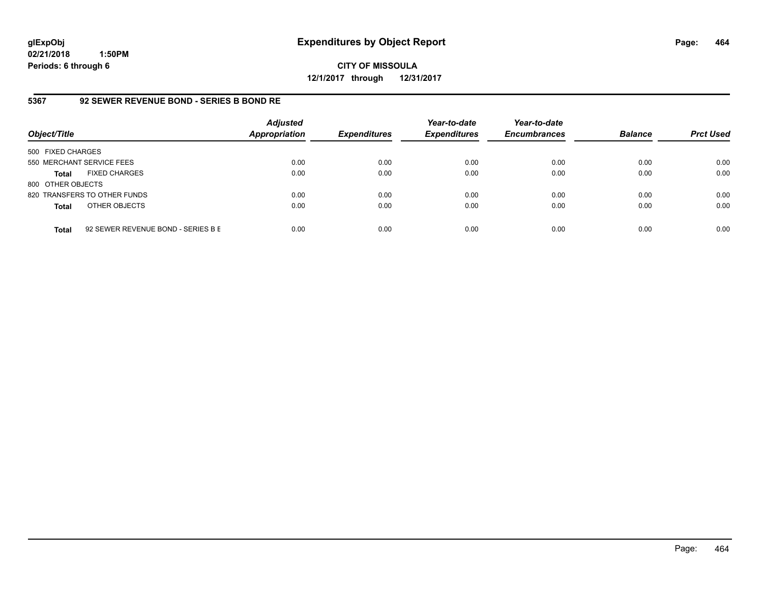**CITY OF MISSOULA 12/1/2017 through 12/31/2017**

### **5367 92 SEWER REVENUE BOND - SERIES B BOND RE**

| Object/Title              |                                    | <b>Adjusted</b><br><b>Appropriation</b> | <b>Expenditures</b> | Year-to-date<br><b>Expenditures</b> | Year-to-date<br><b>Encumbrances</b> | <b>Balance</b> | <b>Prct Used</b> |
|---------------------------|------------------------------------|-----------------------------------------|---------------------|-------------------------------------|-------------------------------------|----------------|------------------|
| 500 FIXED CHARGES         |                                    |                                         |                     |                                     |                                     |                |                  |
| 550 MERCHANT SERVICE FEES |                                    | 0.00                                    | 0.00                | 0.00                                | 0.00                                | 0.00           | 0.00             |
| Total                     | <b>FIXED CHARGES</b>               | 0.00                                    | 0.00                | 0.00                                | 0.00                                | 0.00           | 0.00             |
| 800 OTHER OBJECTS         |                                    |                                         |                     |                                     |                                     |                |                  |
|                           | 820 TRANSFERS TO OTHER FUNDS       | 0.00                                    | 0.00                | 0.00                                | 0.00                                | 0.00           | 0.00             |
| <b>Total</b>              | OTHER OBJECTS                      | 0.00                                    | 0.00                | 0.00                                | 0.00                                | 0.00           | 0.00             |
| <b>Total</b>              | 92 SEWER REVENUE BOND - SERIES B E | 0.00                                    | 0.00                | 0.00                                | 0.00                                | 0.00           | 0.00             |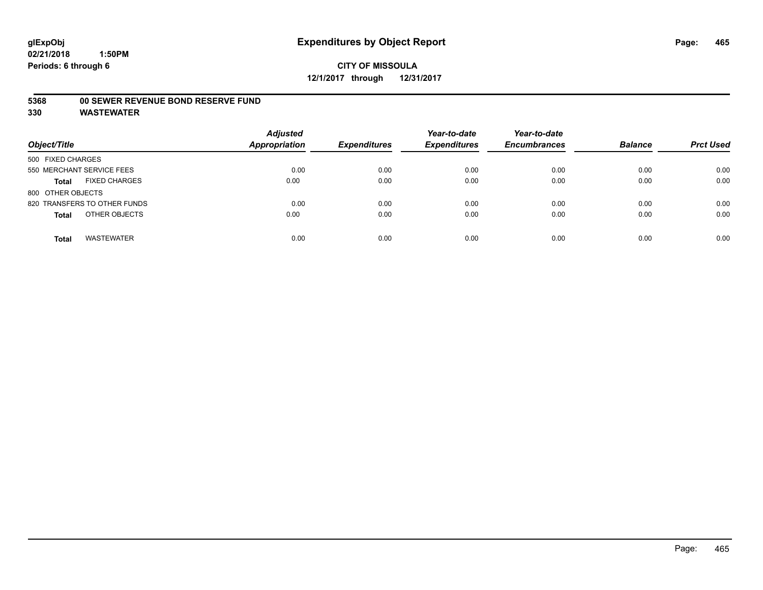#### **5368 00 SEWER REVENUE BOND RESERVE FUND**

| Object/Title                         | <b>Adjusted</b><br><b>Appropriation</b> | <b>Expenditures</b> | Year-to-date<br><b>Expenditures</b> | Year-to-date<br><b>Encumbrances</b> | <b>Balance</b> | <b>Prct Used</b> |
|--------------------------------------|-----------------------------------------|---------------------|-------------------------------------|-------------------------------------|----------------|------------------|
| 500 FIXED CHARGES                    |                                         |                     |                                     |                                     |                |                  |
| 550 MERCHANT SERVICE FEES            | 0.00                                    | 0.00                | 0.00                                | 0.00                                | 0.00           | 0.00             |
| <b>FIXED CHARGES</b><br><b>Total</b> | 0.00                                    | 0.00                | 0.00                                | 0.00                                | 0.00           | 0.00             |
| 800 OTHER OBJECTS                    |                                         |                     |                                     |                                     |                |                  |
| 820 TRANSFERS TO OTHER FUNDS         | 0.00                                    | 0.00                | 0.00                                | 0.00                                | 0.00           | 0.00             |
| OTHER OBJECTS<br><b>Total</b>        | 0.00                                    | 0.00                | 0.00                                | 0.00                                | 0.00           | 0.00             |
| <b>WASTEWATER</b><br><b>Total</b>    | 0.00                                    | 0.00                | 0.00                                | 0.00                                | 0.00           | 0.00             |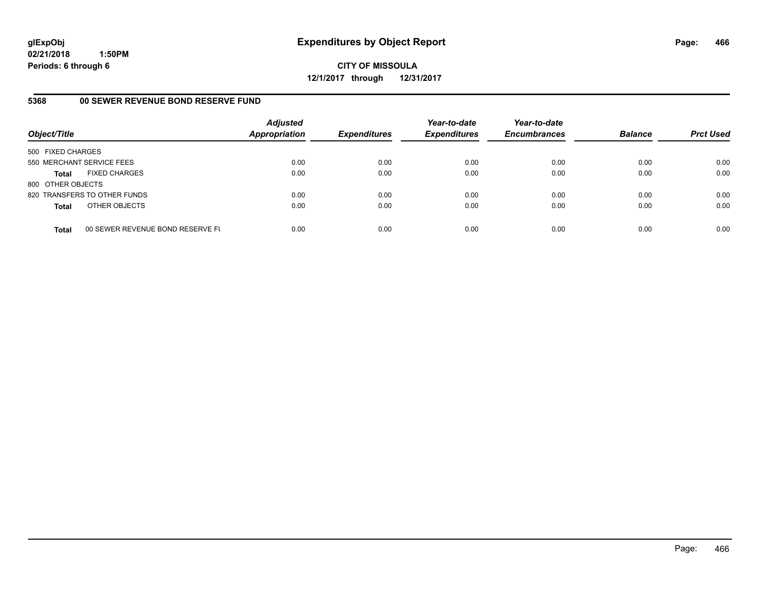**CITY OF MISSOULA 12/1/2017 through 12/31/2017**

### **5368 00 SEWER REVENUE BOND RESERVE FUND**

| Object/Title              |                                  | <b>Adjusted</b><br><b>Appropriation</b> | <b>Expenditures</b> | Year-to-date<br><b>Expenditures</b> | Year-to-date<br><b>Encumbrances</b> | <b>Balance</b> | <b>Prct Used</b> |
|---------------------------|----------------------------------|-----------------------------------------|---------------------|-------------------------------------|-------------------------------------|----------------|------------------|
| 500 FIXED CHARGES         |                                  |                                         |                     |                                     |                                     |                |                  |
| 550 MERCHANT SERVICE FEES |                                  | 0.00                                    | 0.00                | 0.00                                | 0.00                                | 0.00           | 0.00             |
| <b>Total</b>              | <b>FIXED CHARGES</b>             | 0.00                                    | 0.00                | 0.00                                | 0.00                                | 0.00           | 0.00             |
| 800 OTHER OBJECTS         |                                  |                                         |                     |                                     |                                     |                |                  |
|                           | 820 TRANSFERS TO OTHER FUNDS     | 0.00                                    | 0.00                | 0.00                                | 0.00                                | 0.00           | 0.00             |
| <b>Total</b>              | OTHER OBJECTS                    | 0.00                                    | 0.00                | 0.00                                | 0.00                                | 0.00           | 0.00             |
| <b>Total</b>              | 00 SEWER REVENUE BOND RESERVE FL | 0.00                                    | 0.00                | 0.00                                | 0.00                                | 0.00           | 0.00             |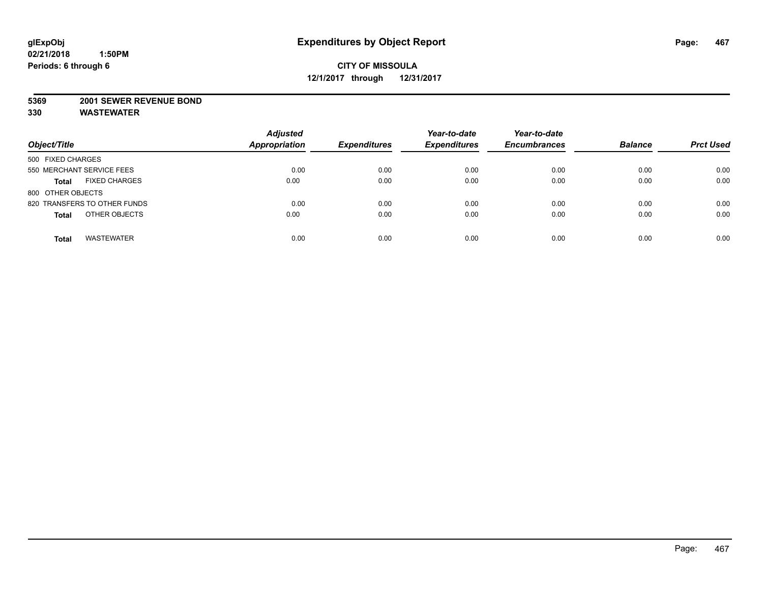#### **5369 2001 SEWER REVENUE BOND**

| Object/Title                         | <b>Adjusted</b><br><b>Appropriation</b> | <b>Expenditures</b> | Year-to-date<br><b>Expenditures</b> | Year-to-date<br><b>Encumbrances</b> | <b>Balance</b> | <b>Prct Used</b> |
|--------------------------------------|-----------------------------------------|---------------------|-------------------------------------|-------------------------------------|----------------|------------------|
| 500 FIXED CHARGES                    |                                         |                     |                                     |                                     |                |                  |
| 550 MERCHANT SERVICE FEES            | 0.00                                    | 0.00                | 0.00                                | 0.00                                | 0.00           | 0.00             |
| <b>FIXED CHARGES</b><br><b>Total</b> | 0.00                                    | 0.00                | 0.00                                | 0.00                                | 0.00           | 0.00             |
| 800 OTHER OBJECTS                    |                                         |                     |                                     |                                     |                |                  |
| 820 TRANSFERS TO OTHER FUNDS         | 0.00                                    | 0.00                | 0.00                                | 0.00                                | 0.00           | 0.00             |
| OTHER OBJECTS<br><b>Total</b>        | 0.00                                    | 0.00                | 0.00                                | 0.00                                | 0.00           | 0.00             |
| <b>WASTEWATER</b><br><b>Total</b>    | 0.00                                    | 0.00                | 0.00                                | 0.00                                | 0.00           | 0.00             |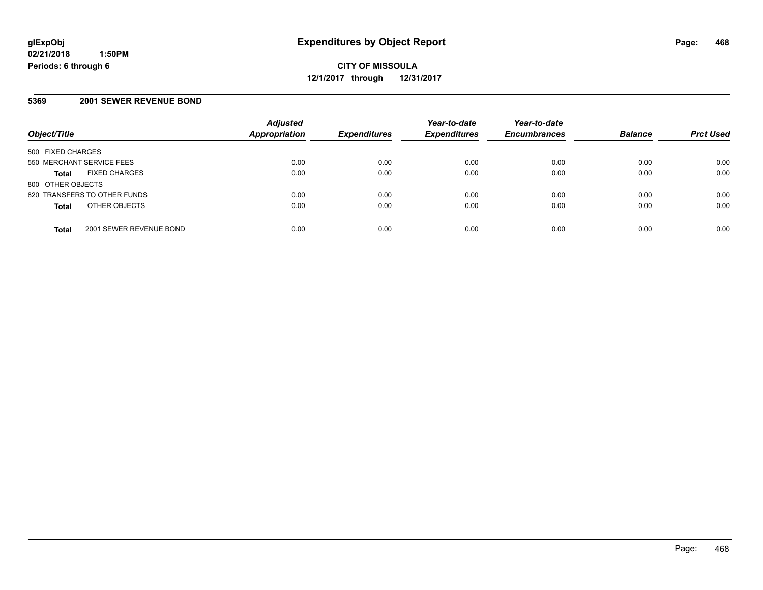#### **5369 2001 SEWER REVENUE BOND**

| Object/Title                            | <b>Adjusted</b><br>Appropriation | <b>Expenditures</b> | Year-to-date<br><b>Expenditures</b> | Year-to-date<br><b>Encumbrances</b> | <b>Balance</b> | <b>Prct Used</b> |
|-----------------------------------------|----------------------------------|---------------------|-------------------------------------|-------------------------------------|----------------|------------------|
| 500 FIXED CHARGES                       |                                  |                     |                                     |                                     |                |                  |
| 550 MERCHANT SERVICE FEES               | 0.00                             | 0.00                | 0.00                                | 0.00                                | 0.00           | 0.00             |
| <b>FIXED CHARGES</b><br><b>Total</b>    | 0.00                             | 0.00                | 0.00                                | 0.00                                | 0.00           | 0.00             |
| 800 OTHER OBJECTS                       |                                  |                     |                                     |                                     |                |                  |
| 820 TRANSFERS TO OTHER FUNDS            | 0.00                             | 0.00                | 0.00                                | 0.00                                | 0.00           | 0.00             |
| OTHER OBJECTS<br><b>Total</b>           | 0.00                             | 0.00                | 0.00                                | 0.00                                | 0.00           | 0.00             |
| 2001 SEWER REVENUE BOND<br><b>Total</b> | 0.00                             | 0.00                | 0.00                                | 0.00                                | 0.00           | 0.00             |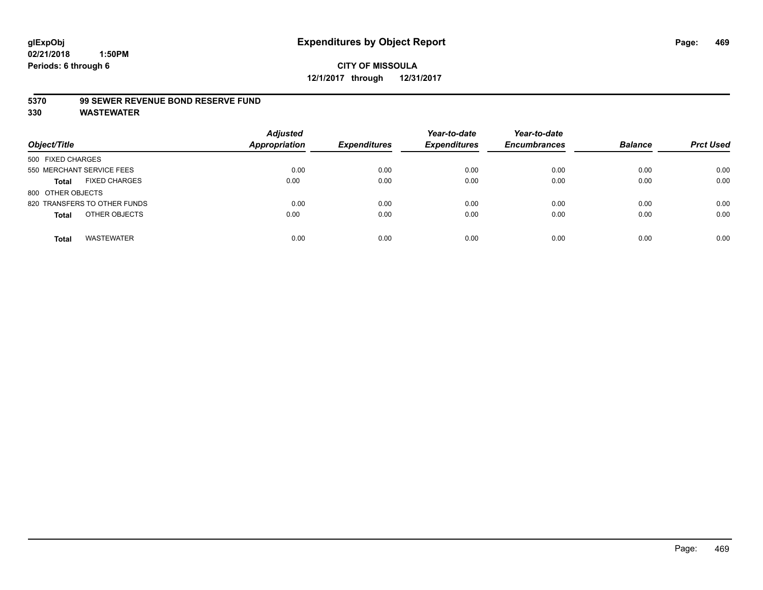#### **5370 99 SEWER REVENUE BOND RESERVE FUND**

| Object/Title                         | <b>Adjusted</b><br>Appropriation | <b>Expenditures</b> | Year-to-date<br><b>Expenditures</b> | Year-to-date<br><b>Encumbrances</b> | <b>Balance</b> | <b>Prct Used</b> |
|--------------------------------------|----------------------------------|---------------------|-------------------------------------|-------------------------------------|----------------|------------------|
| 500 FIXED CHARGES                    |                                  |                     |                                     |                                     |                |                  |
| 550 MERCHANT SERVICE FEES            | 0.00                             | 0.00                | 0.00                                | 0.00                                | 0.00           | 0.00             |
| <b>FIXED CHARGES</b><br><b>Total</b> | 0.00                             | 0.00                | 0.00                                | 0.00                                | 0.00           | 0.00             |
| 800 OTHER OBJECTS                    |                                  |                     |                                     |                                     |                |                  |
| 820 TRANSFERS TO OTHER FUNDS         | 0.00                             | 0.00                | 0.00                                | 0.00                                | 0.00           | 0.00             |
| OTHER OBJECTS<br><b>Total</b>        | 0.00                             | 0.00                | 0.00                                | 0.00                                | 0.00           | 0.00             |
| <b>WASTEWATER</b><br><b>Total</b>    | 0.00                             | 0.00                | 0.00                                | 0.00                                | 0.00           | 0.00             |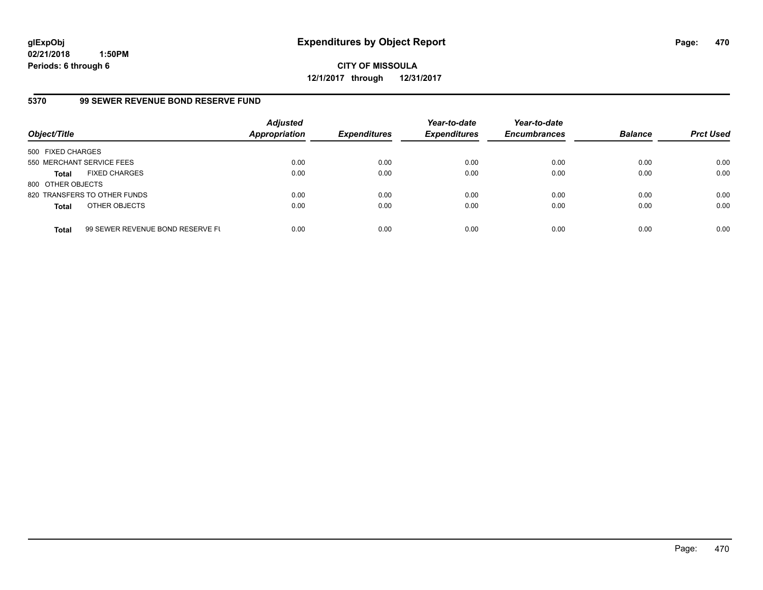**CITY OF MISSOULA 12/1/2017 through 12/31/2017**

## **5370 99 SEWER REVENUE BOND RESERVE FUND**

| Object/Title              |                                  | <b>Adjusted</b><br><b>Appropriation</b> | <b>Expenditures</b> | Year-to-date<br><b>Expenditures</b> | Year-to-date<br><b>Encumbrances</b> | <b>Balance</b> | <b>Prct Used</b> |
|---------------------------|----------------------------------|-----------------------------------------|---------------------|-------------------------------------|-------------------------------------|----------------|------------------|
| 500 FIXED CHARGES         |                                  |                                         |                     |                                     |                                     |                |                  |
| 550 MERCHANT SERVICE FEES |                                  | 0.00                                    | 0.00                | 0.00                                | 0.00                                | 0.00           | 0.00             |
| <b>Total</b>              | <b>FIXED CHARGES</b>             | 0.00                                    | 0.00                | 0.00                                | 0.00                                | 0.00           | 0.00             |
| 800 OTHER OBJECTS         |                                  |                                         |                     |                                     |                                     |                |                  |
|                           | 820 TRANSFERS TO OTHER FUNDS     | 0.00                                    | 0.00                | 0.00                                | 0.00                                | 0.00           | 0.00             |
| <b>Total</b>              | OTHER OBJECTS                    | 0.00                                    | 0.00                | 0.00                                | 0.00                                | 0.00           | 0.00             |
| <b>Total</b>              | 99 SEWER REVENUE BOND RESERVE FL | 0.00                                    | 0.00                | 0.00                                | 0.00                                | 0.00           | 0.00             |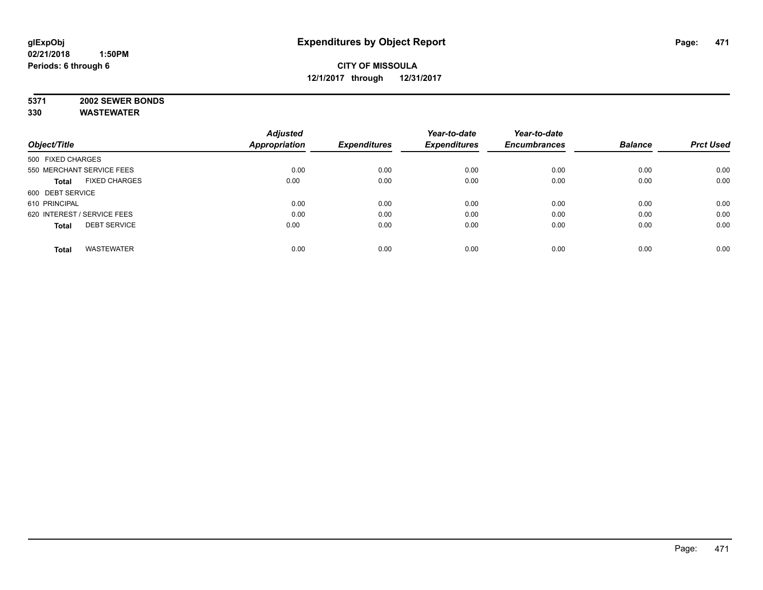# **5371 2002 SEWER BONDS**

|                                      | <b>Adjusted</b>      |                     | Year-to-date        | Year-to-date        |                |                  |
|--------------------------------------|----------------------|---------------------|---------------------|---------------------|----------------|------------------|
| Object/Title                         | <b>Appropriation</b> | <b>Expenditures</b> | <b>Expenditures</b> | <b>Encumbrances</b> | <b>Balance</b> | <b>Prct Used</b> |
| 500 FIXED CHARGES                    |                      |                     |                     |                     |                |                  |
| 550 MERCHANT SERVICE FEES            | 0.00                 | 0.00                | 0.00                | 0.00                | 0.00           | 0.00             |
| <b>FIXED CHARGES</b><br><b>Total</b> | 0.00                 | 0.00                | 0.00                | 0.00                | 0.00           | 0.00             |
| 600 DEBT SERVICE                     |                      |                     |                     |                     |                |                  |
| 610 PRINCIPAL                        | 0.00                 | 0.00                | 0.00                | 0.00                | 0.00           | 0.00             |
| 620 INTEREST / SERVICE FEES          | 0.00                 | 0.00                | 0.00                | 0.00                | 0.00           | 0.00             |
| <b>DEBT SERVICE</b><br><b>Total</b>  | 0.00                 | 0.00                | 0.00                | 0.00                | 0.00           | 0.00             |
| <b>WASTEWATER</b><br><b>Total</b>    | 0.00                 | 0.00                | 0.00                | 0.00                | 0.00           | 0.00             |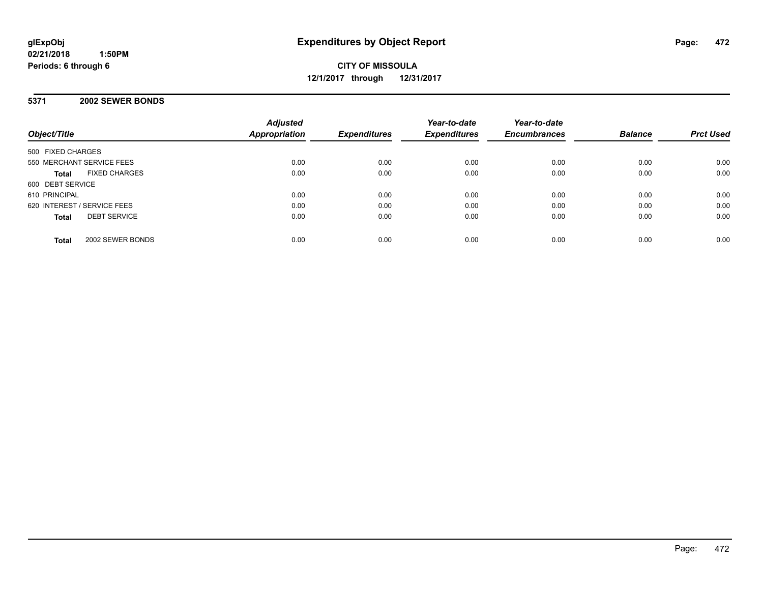**CITY OF MISSOULA 12/1/2017 through 12/31/2017**

### **5371 2002 SEWER BONDS**

| Object/Title                         | <b>Adjusted</b><br><b>Appropriation</b> | <b>Expenditures</b> | Year-to-date<br><b>Expenditures</b> | Year-to-date<br><b>Encumbrances</b> | <b>Balance</b> | <b>Prct Used</b> |
|--------------------------------------|-----------------------------------------|---------------------|-------------------------------------|-------------------------------------|----------------|------------------|
| 500 FIXED CHARGES                    |                                         |                     |                                     |                                     |                |                  |
| 550 MERCHANT SERVICE FEES            | 0.00                                    | 0.00                | 0.00                                | 0.00                                | 0.00           | 0.00             |
| <b>FIXED CHARGES</b><br><b>Total</b> | 0.00                                    | 0.00                | 0.00                                | 0.00                                | 0.00           | 0.00             |
| 600 DEBT SERVICE                     |                                         |                     |                                     |                                     |                |                  |
| 610 PRINCIPAL                        | 0.00                                    | 0.00                | 0.00                                | 0.00                                | 0.00           | 0.00             |
| 620 INTEREST / SERVICE FEES          | 0.00                                    | 0.00                | 0.00                                | 0.00                                | 0.00           | 0.00             |
| <b>DEBT SERVICE</b><br><b>Total</b>  | 0.00                                    | 0.00                | 0.00                                | 0.00                                | 0.00           | 0.00             |
| 2002 SEWER BONDS<br><b>Total</b>     | 0.00                                    | 0.00                | 0.00                                | 0.00                                | 0.00           | 0.00             |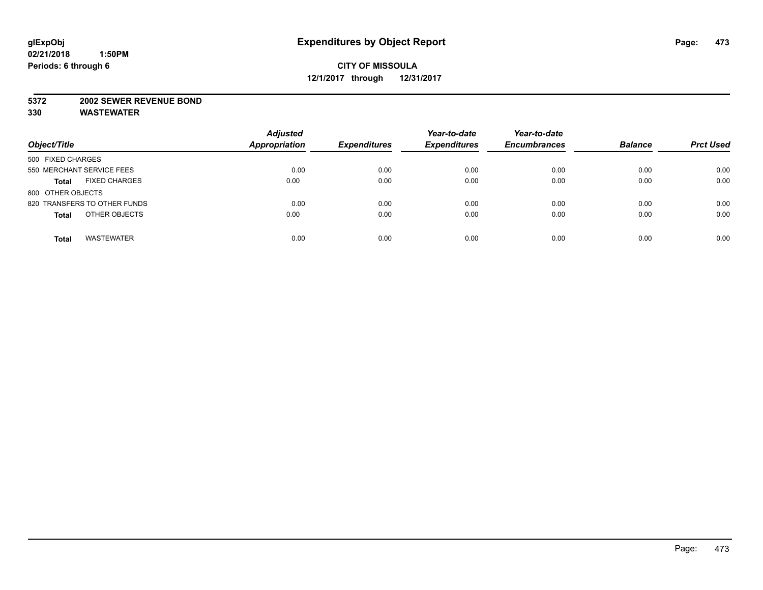#### **5372 2002 SEWER REVENUE BOND**

| Object/Title                         | <b>Adjusted</b><br><b>Appropriation</b> | <b>Expenditures</b> | Year-to-date<br><b>Expenditures</b> | Year-to-date<br><b>Encumbrances</b> | <b>Balance</b> | <b>Prct Used</b> |
|--------------------------------------|-----------------------------------------|---------------------|-------------------------------------|-------------------------------------|----------------|------------------|
| 500 FIXED CHARGES                    |                                         |                     |                                     |                                     |                |                  |
| 550 MERCHANT SERVICE FEES            | 0.00                                    | 0.00                | 0.00                                | 0.00                                | 0.00           | 0.00             |
| <b>FIXED CHARGES</b><br><b>Total</b> | 0.00                                    | 0.00                | 0.00                                | 0.00                                | 0.00           | 0.00             |
| 800 OTHER OBJECTS                    |                                         |                     |                                     |                                     |                |                  |
| 820 TRANSFERS TO OTHER FUNDS         | 0.00                                    | 0.00                | 0.00                                | 0.00                                | 0.00           | 0.00             |
| OTHER OBJECTS<br><b>Total</b>        | 0.00                                    | 0.00                | 0.00                                | 0.00                                | 0.00           | 0.00             |
| <b>WASTEWATER</b><br><b>Total</b>    | 0.00                                    | 0.00                | 0.00                                | 0.00                                | 0.00           | 0.00             |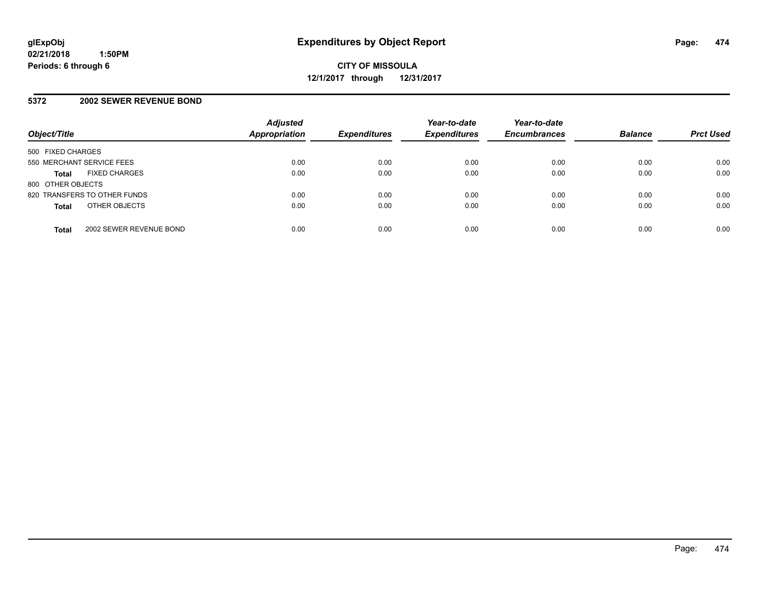#### **5372 2002 SEWER REVENUE BOND**

| Object/Title              |                              | <b>Adjusted</b><br><b>Appropriation</b> | <b>Expenditures</b> | Year-to-date<br><b>Expenditures</b> | Year-to-date<br><b>Encumbrances</b> | <b>Balance</b> | <b>Prct Used</b> |
|---------------------------|------------------------------|-----------------------------------------|---------------------|-------------------------------------|-------------------------------------|----------------|------------------|
| 500 FIXED CHARGES         |                              |                                         |                     |                                     |                                     |                |                  |
| 550 MERCHANT SERVICE FEES |                              | 0.00                                    | 0.00                | 0.00                                | 0.00                                | 0.00           | 0.00             |
| <b>Total</b>              | <b>FIXED CHARGES</b>         | 0.00                                    | 0.00                | 0.00                                | 0.00                                | 0.00           | 0.00             |
| 800 OTHER OBJECTS         |                              |                                         |                     |                                     |                                     |                |                  |
|                           | 820 TRANSFERS TO OTHER FUNDS | 0.00                                    | 0.00                | 0.00                                | 0.00                                | 0.00           | 0.00             |
| <b>Total</b>              | OTHER OBJECTS                | 0.00                                    | 0.00                | 0.00                                | 0.00                                | 0.00           | 0.00             |
| <b>Total</b>              | 2002 SEWER REVENUE BOND      | 0.00                                    | 0.00                | 0.00                                | 0.00                                | 0.00           | 0.00             |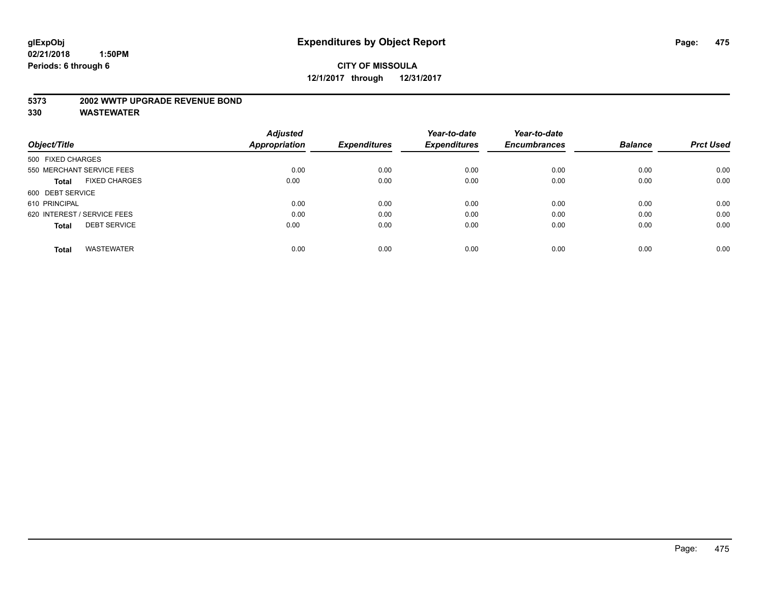#### **5373 2002 WWTP UPGRADE REVENUE BOND**

|                                      | <b>Adjusted</b>      |                     | Year-to-date        | Year-to-date        |                |                  |
|--------------------------------------|----------------------|---------------------|---------------------|---------------------|----------------|------------------|
| Object/Title                         | <b>Appropriation</b> | <b>Expenditures</b> | <b>Expenditures</b> | <b>Encumbrances</b> | <b>Balance</b> | <b>Prct Used</b> |
| 500 FIXED CHARGES                    |                      |                     |                     |                     |                |                  |
| 550 MERCHANT SERVICE FEES            | 0.00                 | 0.00                | 0.00                | 0.00                | 0.00           | 0.00             |
| <b>FIXED CHARGES</b><br><b>Total</b> | 0.00                 | 0.00                | 0.00                | 0.00                | 0.00           | 0.00             |
| 600 DEBT SERVICE                     |                      |                     |                     |                     |                |                  |
| 610 PRINCIPAL                        | 0.00                 | 0.00                | 0.00                | 0.00                | 0.00           | 0.00             |
| 620 INTEREST / SERVICE FEES          | 0.00                 | 0.00                | 0.00                | 0.00                | 0.00           | 0.00             |
| <b>DEBT SERVICE</b><br><b>Total</b>  | 0.00                 | 0.00                | 0.00                | 0.00                | 0.00           | 0.00             |
| <b>WASTEWATER</b><br><b>Total</b>    | 0.00                 | 0.00                | 0.00                | 0.00                | 0.00           | 0.00             |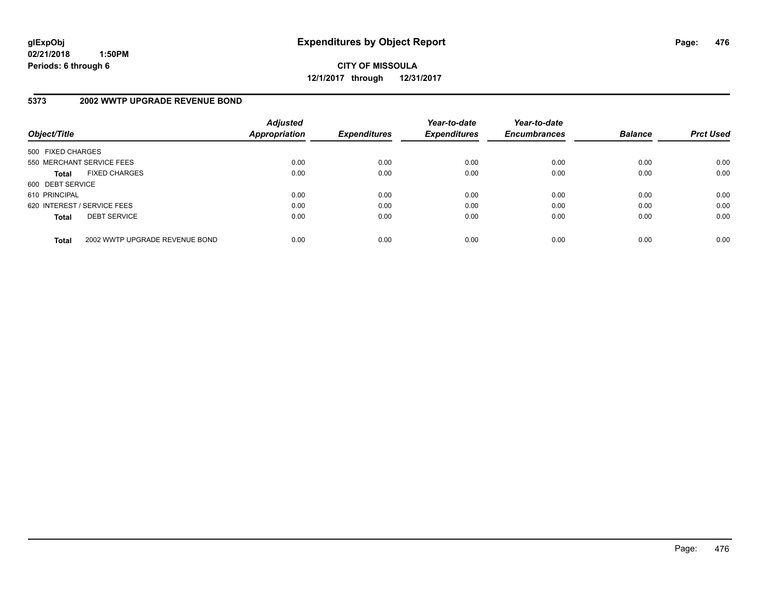**CITY OF MISSOULA 12/1/2017 through 12/31/2017**

## **5373 2002 WWTP UPGRADE REVENUE BOND**

| Object/Title                |                                | <b>Adjusted</b><br>Appropriation | <b>Expenditures</b> | Year-to-date<br><b>Expenditures</b> | Year-to-date<br><b>Encumbrances</b> | <b>Balance</b> | <b>Prct Used</b> |
|-----------------------------|--------------------------------|----------------------------------|---------------------|-------------------------------------|-------------------------------------|----------------|------------------|
| 500 FIXED CHARGES           |                                |                                  |                     |                                     |                                     |                |                  |
|                             | 550 MERCHANT SERVICE FEES      | 0.00                             | 0.00                | 0.00                                | 0.00                                | 0.00           | 0.00             |
| <b>Total</b>                | <b>FIXED CHARGES</b>           | 0.00                             | 0.00                | 0.00                                | 0.00                                | 0.00           | 0.00             |
| 600 DEBT SERVICE            |                                |                                  |                     |                                     |                                     |                |                  |
| 610 PRINCIPAL               |                                | 0.00                             | 0.00                | 0.00                                | 0.00                                | 0.00           | 0.00             |
| 620 INTEREST / SERVICE FEES |                                | 0.00                             | 0.00                | 0.00                                | 0.00                                | 0.00           | 0.00             |
| <b>Total</b>                | <b>DEBT SERVICE</b>            | 0.00                             | 0.00                | 0.00                                | 0.00                                | 0.00           | 0.00             |
| <b>Total</b>                | 2002 WWTP UPGRADE REVENUE BOND | 0.00                             | 0.00                | 0.00                                | 0.00                                | 0.00           | 0.00             |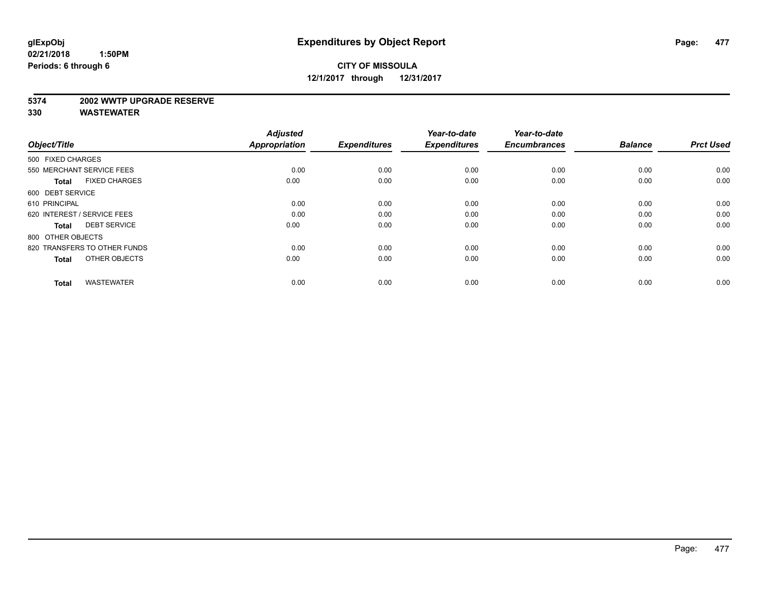#### **5374 2002 WWTP UPGRADE RESERVE**

| Object/Title                         | <b>Adjusted</b><br><b>Appropriation</b> | <b>Expenditures</b> | Year-to-date<br><b>Expenditures</b> | Year-to-date<br><b>Encumbrances</b> | <b>Balance</b> | <b>Prct Used</b> |
|--------------------------------------|-----------------------------------------|---------------------|-------------------------------------|-------------------------------------|----------------|------------------|
| 500 FIXED CHARGES                    |                                         |                     |                                     |                                     |                |                  |
| 550 MERCHANT SERVICE FEES            | 0.00                                    | 0.00                | 0.00                                | 0.00                                | 0.00           | 0.00             |
| <b>FIXED CHARGES</b><br><b>Total</b> | 0.00                                    | 0.00                | 0.00                                | 0.00                                | 0.00           | 0.00             |
| 600 DEBT SERVICE                     |                                         |                     |                                     |                                     |                |                  |
| 610 PRINCIPAL                        | 0.00                                    | 0.00                | 0.00                                | 0.00                                | 0.00           | 0.00             |
| 620 INTEREST / SERVICE FEES          | 0.00                                    | 0.00                | 0.00                                | 0.00                                | 0.00           | 0.00             |
| <b>DEBT SERVICE</b><br><b>Total</b>  | 0.00                                    | 0.00                | 0.00                                | 0.00                                | 0.00           | 0.00             |
| 800 OTHER OBJECTS                    |                                         |                     |                                     |                                     |                |                  |
| 820 TRANSFERS TO OTHER FUNDS         | 0.00                                    | 0.00                | 0.00                                | 0.00                                | 0.00           | 0.00             |
| OTHER OBJECTS<br><b>Total</b>        | 0.00                                    | 0.00                | 0.00                                | 0.00                                | 0.00           | 0.00             |
|                                      |                                         |                     |                                     |                                     |                |                  |
| <b>WASTEWATER</b><br><b>Total</b>    | 0.00                                    | 0.00                | 0.00                                | 0.00                                | 0.00           | 0.00             |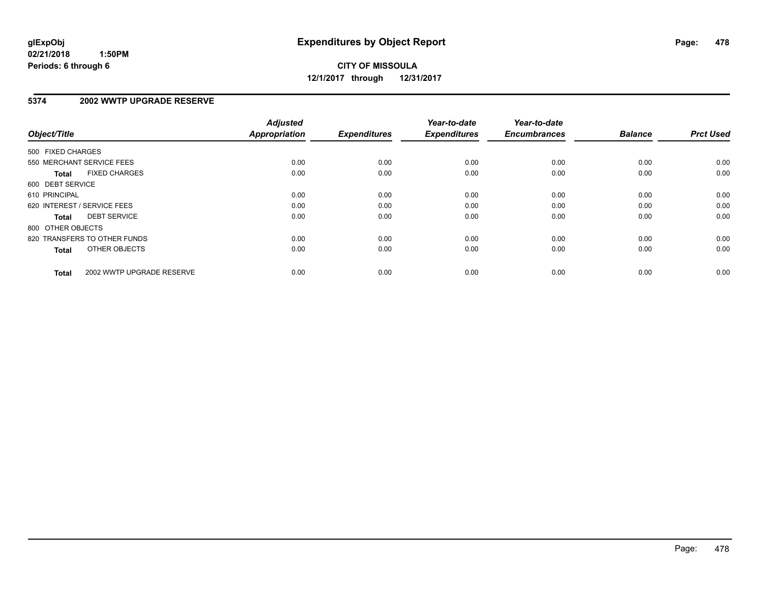### **5374 2002 WWTP UPGRADE RESERVE**

| Object/Title      |                              | <b>Adjusted</b><br>Appropriation | <b>Expenditures</b> | Year-to-date<br><b>Expenditures</b> | Year-to-date<br><b>Encumbrances</b> | <b>Balance</b> | <b>Prct Used</b> |
|-------------------|------------------------------|----------------------------------|---------------------|-------------------------------------|-------------------------------------|----------------|------------------|
| 500 FIXED CHARGES |                              |                                  |                     |                                     |                                     |                |                  |
|                   | 550 MERCHANT SERVICE FEES    | 0.00                             | 0.00                | 0.00                                | 0.00                                | 0.00           | 0.00             |
| <b>Total</b>      | <b>FIXED CHARGES</b>         | 0.00                             | 0.00                | 0.00                                | 0.00                                | 0.00           | 0.00             |
| 600 DEBT SERVICE  |                              |                                  |                     |                                     |                                     |                |                  |
| 610 PRINCIPAL     |                              | 0.00                             | 0.00                | 0.00                                | 0.00                                | 0.00           | 0.00             |
|                   | 620 INTEREST / SERVICE FEES  | 0.00                             | 0.00                | 0.00                                | 0.00                                | 0.00           | 0.00             |
| Total             | <b>DEBT SERVICE</b>          | 0.00                             | 0.00                | 0.00                                | 0.00                                | 0.00           | 0.00             |
| 800 OTHER OBJECTS |                              |                                  |                     |                                     |                                     |                |                  |
|                   | 820 TRANSFERS TO OTHER FUNDS | 0.00                             | 0.00                | 0.00                                | 0.00                                | 0.00           | 0.00             |
| <b>Total</b>      | OTHER OBJECTS                | 0.00                             | 0.00                | 0.00                                | 0.00                                | 0.00           | 0.00             |
| <b>Total</b>      | 2002 WWTP UPGRADE RESERVE    | 0.00                             | 0.00                | 0.00                                | 0.00                                | 0.00           | 0.00             |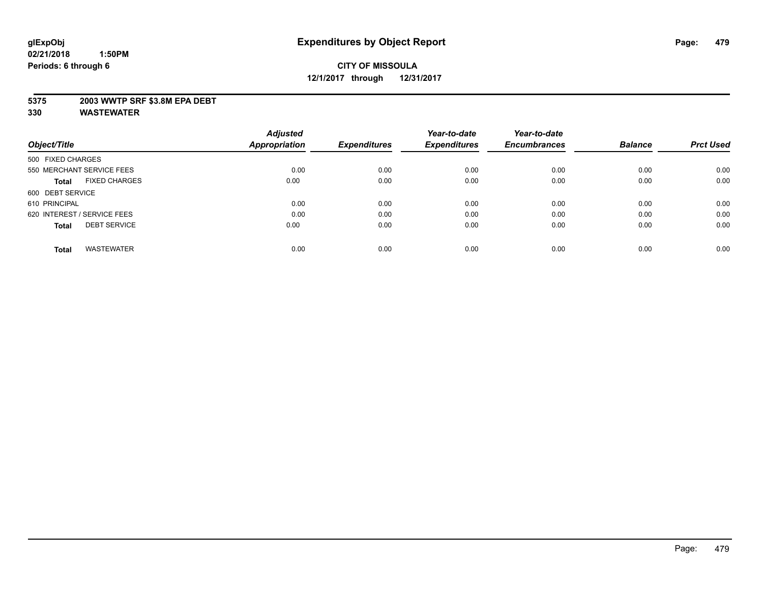### **5375 2003 WWTP SRF \$3.8M EPA DEBT**

|                                      | <b>Adjusted</b>      |                     | Year-to-date        | Year-to-date        |                |                  |
|--------------------------------------|----------------------|---------------------|---------------------|---------------------|----------------|------------------|
| Object/Title                         | <b>Appropriation</b> | <b>Expenditures</b> | <b>Expenditures</b> | <b>Encumbrances</b> | <b>Balance</b> | <b>Prct Used</b> |
| 500 FIXED CHARGES                    |                      |                     |                     |                     |                |                  |
| 550 MERCHANT SERVICE FEES            | 0.00                 | 0.00                | 0.00                | 0.00                | 0.00           | 0.00             |
| <b>FIXED CHARGES</b><br><b>Total</b> | 0.00                 | 0.00                | 0.00                | 0.00                | 0.00           | 0.00             |
| 600 DEBT SERVICE                     |                      |                     |                     |                     |                |                  |
| 610 PRINCIPAL                        | 0.00                 | 0.00                | 0.00                | 0.00                | 0.00           | 0.00             |
| 620 INTEREST / SERVICE FEES          | 0.00                 | 0.00                | 0.00                | 0.00                | 0.00           | 0.00             |
| <b>DEBT SERVICE</b><br><b>Total</b>  | 0.00                 | 0.00                | 0.00                | 0.00                | 0.00           | 0.00             |
| <b>WASTEWATER</b><br>Total           | 0.00                 | 0.00                | 0.00                | 0.00                | 0.00           | 0.00             |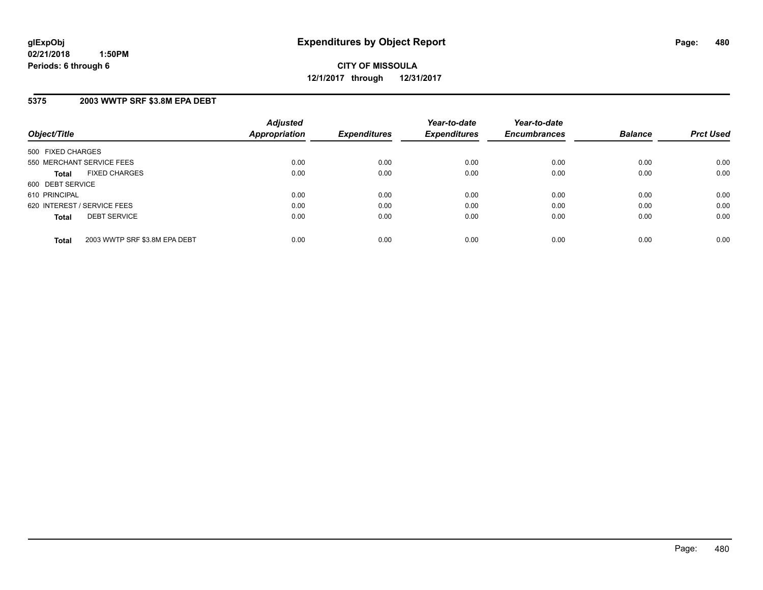### **5375 2003 WWTP SRF \$3.8M EPA DEBT**

| Object/Title                                  | <b>Adjusted</b><br>Appropriation | <b>Expenditures</b> | Year-to-date<br><b>Expenditures</b> | Year-to-date<br><b>Encumbrances</b> | <b>Balance</b> | <b>Prct Used</b> |
|-----------------------------------------------|----------------------------------|---------------------|-------------------------------------|-------------------------------------|----------------|------------------|
| 500 FIXED CHARGES                             |                                  |                     |                                     |                                     |                |                  |
| 550 MERCHANT SERVICE FEES                     | 0.00                             | 0.00                | 0.00                                | 0.00                                | 0.00           | 0.00             |
| <b>FIXED CHARGES</b><br><b>Total</b>          | 0.00                             | 0.00                | 0.00                                | 0.00                                | 0.00           | 0.00             |
| 600 DEBT SERVICE                              |                                  |                     |                                     |                                     |                |                  |
| 610 PRINCIPAL                                 | 0.00                             | 0.00                | 0.00                                | 0.00                                | 0.00           | 0.00             |
| 620 INTEREST / SERVICE FEES                   | 0.00                             | 0.00                | 0.00                                | 0.00                                | 0.00           | 0.00             |
| <b>DEBT SERVICE</b><br><b>Total</b>           | 0.00                             | 0.00                | 0.00                                | 0.00                                | 0.00           | 0.00             |
| 2003 WWTP SRF \$3.8M EPA DEBT<br><b>Total</b> | 0.00                             | 0.00                | 0.00                                | 0.00                                | 0.00           | 0.00             |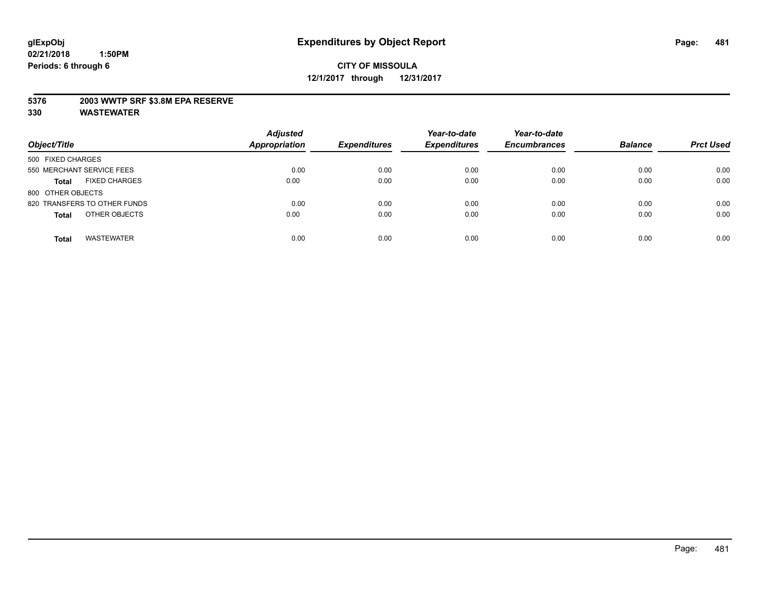### **5376 2003 WWTP SRF \$3.8M EPA RESERVE**

| Object/Title                         | <b>Adjusted</b><br><b>Appropriation</b> | <b>Expenditures</b> | Year-to-date<br><b>Expenditures</b> | Year-to-date<br><b>Encumbrances</b> | <b>Balance</b> | <b>Prct Used</b> |
|--------------------------------------|-----------------------------------------|---------------------|-------------------------------------|-------------------------------------|----------------|------------------|
| 500 FIXED CHARGES                    |                                         |                     |                                     |                                     |                |                  |
| 550 MERCHANT SERVICE FEES            | 0.00                                    | 0.00                | 0.00                                | 0.00                                | 0.00           | 0.00             |
| <b>FIXED CHARGES</b><br><b>Total</b> | 0.00                                    | 0.00                | 0.00                                | 0.00                                | 0.00           | 0.00             |
| 800 OTHER OBJECTS                    |                                         |                     |                                     |                                     |                |                  |
| 820 TRANSFERS TO OTHER FUNDS         | 0.00                                    | 0.00                | 0.00                                | 0.00                                | 0.00           | 0.00             |
| OTHER OBJECTS<br><b>Total</b>        | 0.00                                    | 0.00                | 0.00                                | 0.00                                | 0.00           | 0.00             |
| <b>WASTEWATER</b><br><b>Total</b>    | 0.00                                    | 0.00                | 0.00                                | 0.00                                | 0.00           | 0.00             |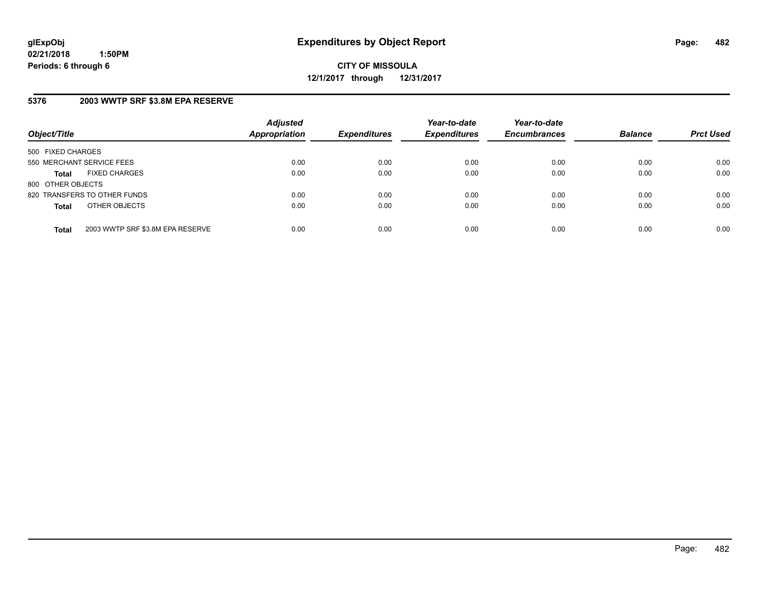**CITY OF MISSOULA 12/1/2017 through 12/31/2017**

### **5376 2003 WWTP SRF \$3.8M EPA RESERVE**

| Object/Title              |                                  | <b>Adjusted</b><br><b>Appropriation</b> | <b>Expenditures</b> | Year-to-date<br><b>Expenditures</b> | Year-to-date<br><b>Encumbrances</b> | <b>Balance</b> | <b>Prct Used</b> |
|---------------------------|----------------------------------|-----------------------------------------|---------------------|-------------------------------------|-------------------------------------|----------------|------------------|
| 500 FIXED CHARGES         |                                  |                                         |                     |                                     |                                     |                |                  |
| 550 MERCHANT SERVICE FEES |                                  | 0.00                                    | 0.00                | 0.00                                | 0.00                                | 0.00           | 0.00             |
| <b>Total</b>              | <b>FIXED CHARGES</b>             | 0.00                                    | 0.00                | 0.00                                | 0.00                                | 0.00           | 0.00             |
| 800 OTHER OBJECTS         |                                  |                                         |                     |                                     |                                     |                |                  |
|                           | 820 TRANSFERS TO OTHER FUNDS     | 0.00                                    | 0.00                | 0.00                                | 0.00                                | 0.00           | 0.00             |
| <b>Total</b>              | OTHER OBJECTS                    | 0.00                                    | 0.00                | 0.00                                | 0.00                                | 0.00           | 0.00             |
| <b>Total</b>              | 2003 WWTP SRF \$3.8M EPA RESERVE | 0.00                                    | 0.00                | 0.00                                | 0.00                                | 0.00           | 0.00             |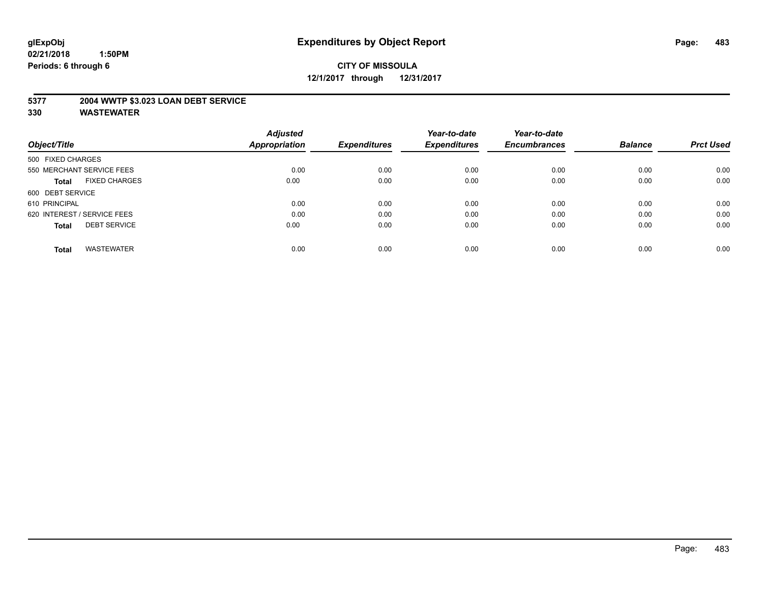# **CITY OF MISSOULA 12/1/2017 through 12/31/2017**

### **5377 2004 WWTP \$3.023 LOAN DEBT SERVICE**

|                                      | <b>Adjusted</b> |                     | Year-to-date        | Year-to-date        |                |                  |
|--------------------------------------|-----------------|---------------------|---------------------|---------------------|----------------|------------------|
| Object/Title                         | Appropriation   | <b>Expenditures</b> | <b>Expenditures</b> | <b>Encumbrances</b> | <b>Balance</b> | <b>Prct Used</b> |
| 500 FIXED CHARGES                    |                 |                     |                     |                     |                |                  |
| 550 MERCHANT SERVICE FEES            | 0.00            | 0.00                | 0.00                | 0.00                | 0.00           | 0.00             |
| <b>FIXED CHARGES</b><br><b>Total</b> | 0.00            | 0.00                | 0.00                | 0.00                | 0.00           | 0.00             |
| 600 DEBT SERVICE                     |                 |                     |                     |                     |                |                  |
| 610 PRINCIPAL                        | 0.00            | 0.00                | 0.00                | 0.00                | 0.00           | 0.00             |
| 620 INTEREST / SERVICE FEES          | 0.00            | 0.00                | 0.00                | 0.00                | 0.00           | 0.00             |
| <b>DEBT SERVICE</b><br><b>Total</b>  | 0.00            | 0.00                | 0.00                | 0.00                | 0.00           | 0.00             |
| <b>WASTEWATER</b><br><b>Total</b>    | 0.00            | 0.00                | 0.00                | 0.00                | 0.00           | 0.00             |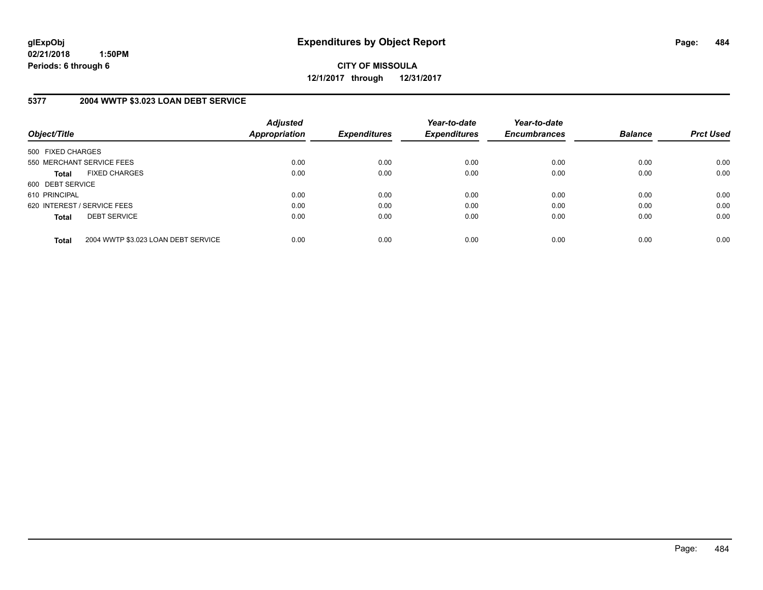**CITY OF MISSOULA 12/1/2017 through 12/31/2017**

### **5377 2004 WWTP \$3.023 LOAN DEBT SERVICE**

| Object/Title      |                                     | <b>Adjusted</b><br>Appropriation | <b>Expenditures</b> | Year-to-date<br><b>Expenditures</b> | Year-to-date<br><b>Encumbrances</b> | <b>Balance</b> | <b>Prct Used</b> |
|-------------------|-------------------------------------|----------------------------------|---------------------|-------------------------------------|-------------------------------------|----------------|------------------|
| 500 FIXED CHARGES |                                     |                                  |                     |                                     |                                     |                |                  |
|                   | 550 MERCHANT SERVICE FEES           | 0.00                             | 0.00                | 0.00                                | 0.00                                | 0.00           | 0.00             |
| <b>Total</b>      | <b>FIXED CHARGES</b>                | 0.00                             | 0.00                | 0.00                                | 0.00                                | 0.00           | 0.00             |
| 600 DEBT SERVICE  |                                     |                                  |                     |                                     |                                     |                |                  |
| 610 PRINCIPAL     |                                     | 0.00                             | 0.00                | 0.00                                | 0.00                                | 0.00           | 0.00             |
|                   | 620 INTEREST / SERVICE FEES         | 0.00                             | 0.00                | 0.00                                | 0.00                                | 0.00           | 0.00             |
| <b>Total</b>      | <b>DEBT SERVICE</b>                 | 0.00                             | 0.00                | 0.00                                | 0.00                                | 0.00           | 0.00             |
| <b>Total</b>      | 2004 WWTP \$3.023 LOAN DEBT SERVICE | 0.00                             | 0.00                | 0.00                                | 0.00                                | 0.00           | 0.00             |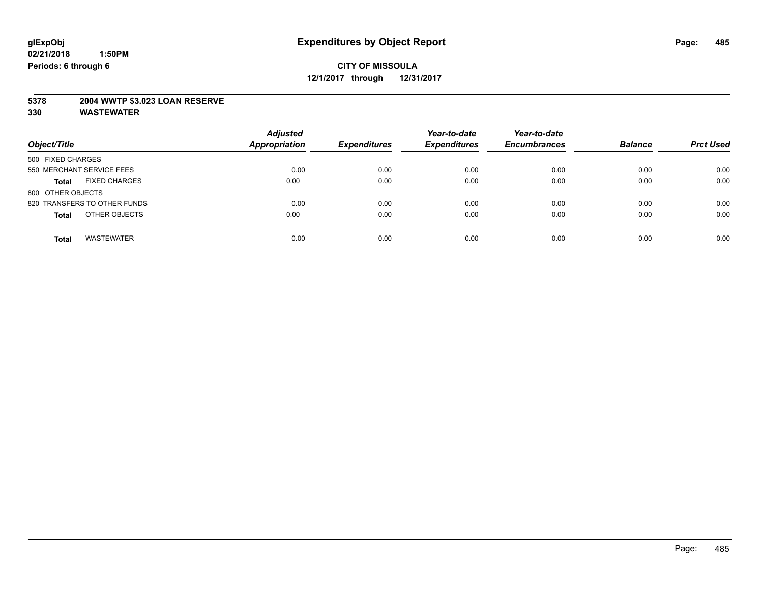### **5378 2004 WWTP \$3.023 LOAN RESERVE**

| Object/Title                         | <b>Adjusted</b><br><b>Appropriation</b> | <b>Expenditures</b> | Year-to-date<br><b>Expenditures</b> | Year-to-date<br><b>Encumbrances</b> | <b>Balance</b> | <b>Prct Used</b> |
|--------------------------------------|-----------------------------------------|---------------------|-------------------------------------|-------------------------------------|----------------|------------------|
| 500 FIXED CHARGES                    |                                         |                     |                                     |                                     |                |                  |
| 550 MERCHANT SERVICE FEES            | 0.00                                    | 0.00                | 0.00                                | 0.00                                | 0.00           | 0.00             |
| <b>FIXED CHARGES</b><br><b>Total</b> | 0.00                                    | 0.00                | 0.00                                | 0.00                                | 0.00           | 0.00             |
| 800 OTHER OBJECTS                    |                                         |                     |                                     |                                     |                |                  |
| 820 TRANSFERS TO OTHER FUNDS         | 0.00                                    | 0.00                | 0.00                                | 0.00                                | 0.00           | 0.00             |
| OTHER OBJECTS<br><b>Total</b>        | 0.00                                    | 0.00                | 0.00                                | 0.00                                | 0.00           | 0.00             |
| <b>WASTEWATER</b><br><b>Total</b>    | 0.00                                    | 0.00                | 0.00                                | 0.00                                | 0.00           | 0.00             |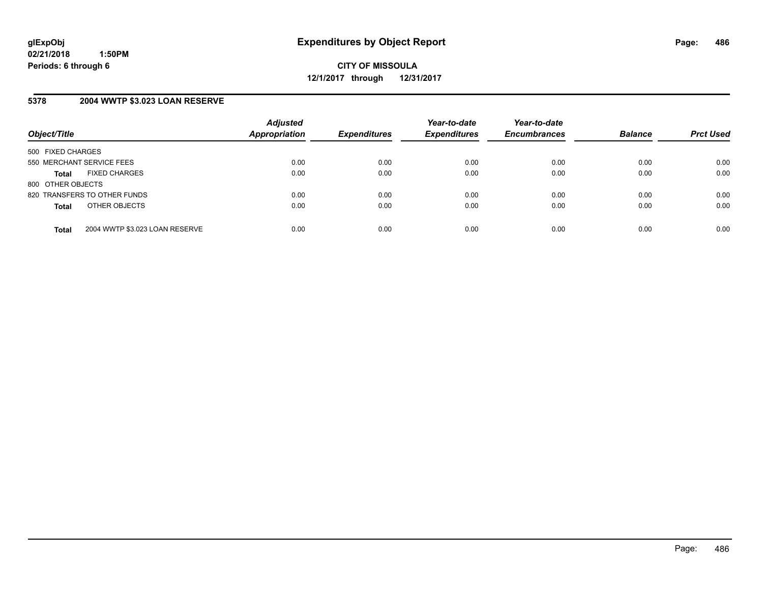### **5378 2004 WWTP \$3.023 LOAN RESERVE**

| Object/Title              |                                | <b>Adjusted</b><br>Appropriation | <b>Expenditures</b> | Year-to-date<br><b>Expenditures</b> | Year-to-date<br><b>Encumbrances</b> | <b>Balance</b> | <b>Prct Used</b> |
|---------------------------|--------------------------------|----------------------------------|---------------------|-------------------------------------|-------------------------------------|----------------|------------------|
| 500 FIXED CHARGES         |                                |                                  |                     |                                     |                                     |                |                  |
| 550 MERCHANT SERVICE FEES |                                | 0.00                             | 0.00                | 0.00                                | 0.00                                | 0.00           | 0.00             |
| <b>Total</b>              | <b>FIXED CHARGES</b>           | 0.00                             | 0.00                | 0.00                                | 0.00                                | 0.00           | 0.00             |
| 800 OTHER OBJECTS         |                                |                                  |                     |                                     |                                     |                |                  |
|                           | 820 TRANSFERS TO OTHER FUNDS   | 0.00                             | 0.00                | 0.00                                | 0.00                                | 0.00           | 0.00             |
| <b>Total</b>              | OTHER OBJECTS                  | 0.00                             | 0.00                | 0.00                                | 0.00                                | 0.00           | 0.00             |
| <b>Total</b>              | 2004 WWTP \$3.023 LOAN RESERVE | 0.00                             | 0.00                | 0.00                                | 0.00                                | 0.00           | 0.00             |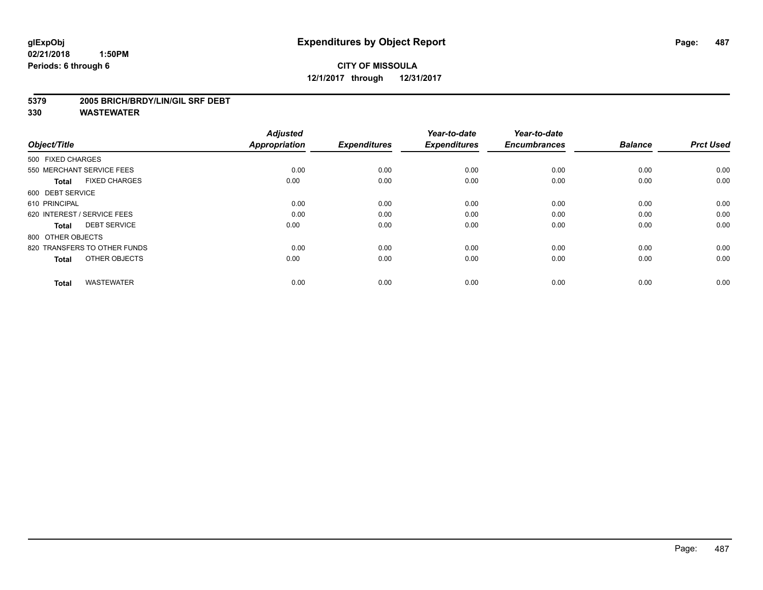# **CITY OF MISSOULA 12/1/2017 through 12/31/2017**

#### **5379 2005 BRICH/BRDY/LIN/GIL SRF DEBT**

| Object/Title                         | <b>Adjusted</b><br><b>Appropriation</b> | <b>Expenditures</b> | Year-to-date<br><b>Expenditures</b> | Year-to-date<br><b>Encumbrances</b> | <b>Balance</b> | <b>Prct Used</b> |
|--------------------------------------|-----------------------------------------|---------------------|-------------------------------------|-------------------------------------|----------------|------------------|
| 500 FIXED CHARGES                    |                                         |                     |                                     |                                     |                |                  |
| 550 MERCHANT SERVICE FEES            | 0.00                                    | 0.00                | 0.00                                | 0.00                                | 0.00           | 0.00             |
| <b>FIXED CHARGES</b><br><b>Total</b> | 0.00                                    | 0.00                | 0.00                                | 0.00                                | 0.00           | 0.00             |
| 600 DEBT SERVICE                     |                                         |                     |                                     |                                     |                |                  |
| 610 PRINCIPAL                        | 0.00                                    | 0.00                | 0.00                                | 0.00                                | 0.00           | 0.00             |
| 620 INTEREST / SERVICE FEES          | 0.00                                    | 0.00                | 0.00                                | 0.00                                | 0.00           | 0.00             |
| <b>DEBT SERVICE</b><br><b>Total</b>  | 0.00                                    | 0.00                | 0.00                                | 0.00                                | 0.00           | 0.00             |
| 800 OTHER OBJECTS                    |                                         |                     |                                     |                                     |                |                  |
| 820 TRANSFERS TO OTHER FUNDS         | 0.00                                    | 0.00                | 0.00                                | 0.00                                | 0.00           | 0.00             |
| OTHER OBJECTS<br><b>Total</b>        | 0.00                                    | 0.00                | 0.00                                | 0.00                                | 0.00           | 0.00             |
|                                      |                                         |                     |                                     |                                     |                |                  |
| <b>WASTEWATER</b><br><b>Total</b>    | 0.00                                    | 0.00                | 0.00                                | 0.00                                | 0.00           | 0.00             |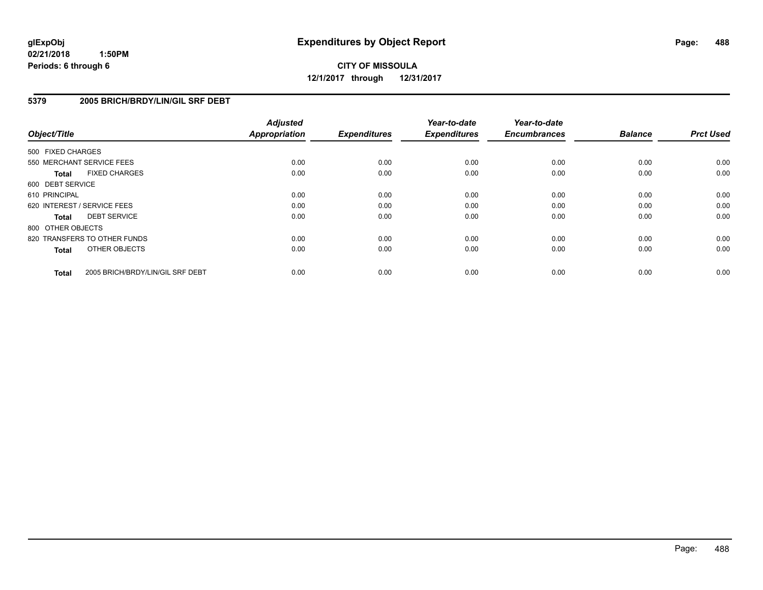### **5379 2005 BRICH/BRDY/LIN/GIL SRF DEBT**

| Object/Title      |                                  | <b>Adjusted</b><br>Appropriation | <b>Expenditures</b> | Year-to-date<br><b>Expenditures</b> | Year-to-date<br><b>Encumbrances</b> | <b>Balance</b> | <b>Prct Used</b> |
|-------------------|----------------------------------|----------------------------------|---------------------|-------------------------------------|-------------------------------------|----------------|------------------|
| 500 FIXED CHARGES |                                  |                                  |                     |                                     |                                     |                |                  |
|                   | 550 MERCHANT SERVICE FEES        | 0.00                             | 0.00                | 0.00                                | 0.00                                | 0.00           | 0.00             |
| <b>Total</b>      | <b>FIXED CHARGES</b>             | 0.00                             | 0.00                | 0.00                                | 0.00                                | 0.00           | 0.00             |
| 600 DEBT SERVICE  |                                  |                                  |                     |                                     |                                     |                |                  |
| 610 PRINCIPAL     |                                  | 0.00                             | 0.00                | 0.00                                | 0.00                                | 0.00           | 0.00             |
|                   | 620 INTEREST / SERVICE FEES      | 0.00                             | 0.00                | 0.00                                | 0.00                                | 0.00           | 0.00             |
| Total             | <b>DEBT SERVICE</b>              | 0.00                             | 0.00                | 0.00                                | 0.00                                | 0.00           | 0.00             |
| 800 OTHER OBJECTS |                                  |                                  |                     |                                     |                                     |                |                  |
|                   | 820 TRANSFERS TO OTHER FUNDS     | 0.00                             | 0.00                | 0.00                                | 0.00                                | 0.00           | 0.00             |
| <b>Total</b>      | OTHER OBJECTS                    | 0.00                             | 0.00                | 0.00                                | 0.00                                | 0.00           | 0.00             |
| <b>Total</b>      | 2005 BRICH/BRDY/LIN/GIL SRF DEBT | 0.00                             | 0.00                | 0.00                                | 0.00                                | 0.00           | 0.00             |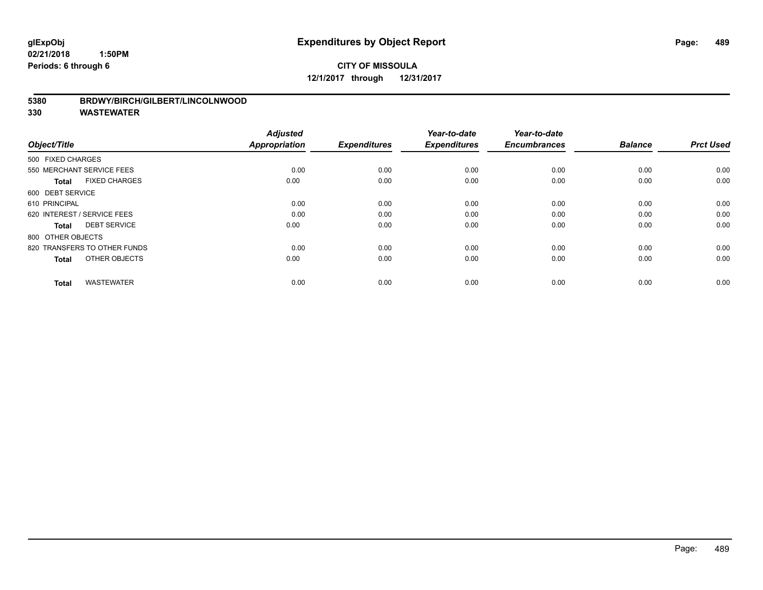### **CITY OF MISSOULA 12/1/2017 through 12/31/2017**

### **5380 BRDWY/BIRCH/GILBERT/LINCOLNWOOD**

| Object/Title                         | <b>Adjusted</b><br>Appropriation | <b>Expenditures</b> | Year-to-date<br><b>Expenditures</b> | Year-to-date<br><b>Encumbrances</b> | <b>Balance</b> | <b>Prct Used</b> |
|--------------------------------------|----------------------------------|---------------------|-------------------------------------|-------------------------------------|----------------|------------------|
| 500 FIXED CHARGES                    |                                  |                     |                                     |                                     |                |                  |
|                                      |                                  |                     |                                     |                                     |                |                  |
| 550 MERCHANT SERVICE FEES            | 0.00                             | 0.00                | 0.00                                | 0.00                                | 0.00           | 0.00             |
| <b>FIXED CHARGES</b><br><b>Total</b> | 0.00                             | 0.00                | 0.00                                | 0.00                                | 0.00           | 0.00             |
| 600 DEBT SERVICE                     |                                  |                     |                                     |                                     |                |                  |
| 610 PRINCIPAL                        | 0.00                             | 0.00                | 0.00                                | 0.00                                | 0.00           | 0.00             |
| 620 INTEREST / SERVICE FEES          | 0.00                             | 0.00                | 0.00                                | 0.00                                | 0.00           | 0.00             |
| <b>DEBT SERVICE</b><br><b>Total</b>  | 0.00                             | 0.00                | 0.00                                | 0.00                                | 0.00           | 0.00             |
| 800 OTHER OBJECTS                    |                                  |                     |                                     |                                     |                |                  |
| 820 TRANSFERS TO OTHER FUNDS         | 0.00                             | 0.00                | 0.00                                | 0.00                                | 0.00           | 0.00             |
| OTHER OBJECTS<br><b>Total</b>        | 0.00                             | 0.00                | 0.00                                | 0.00                                | 0.00           | 0.00             |
|                                      |                                  |                     |                                     |                                     |                |                  |
| <b>WASTEWATER</b><br><b>Total</b>    | 0.00                             | 0.00                | 0.00                                | 0.00                                | 0.00           | 0.00             |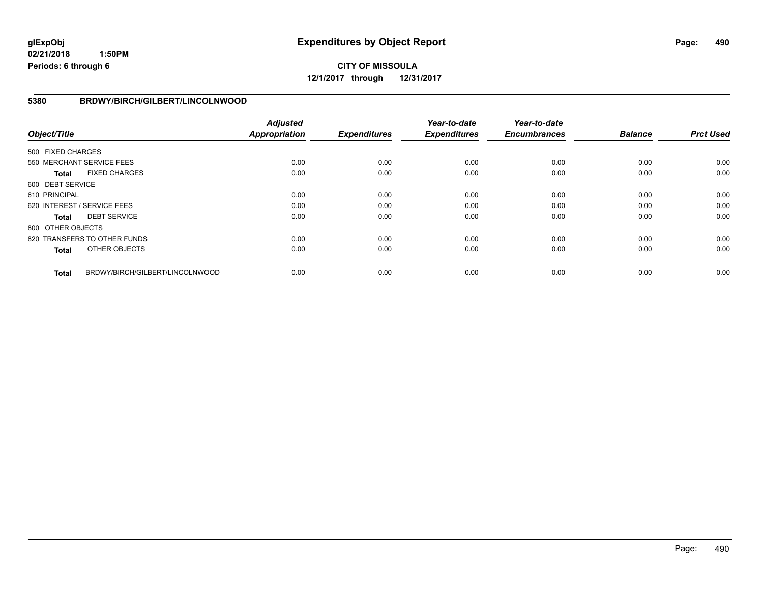**CITY OF MISSOULA 12/1/2017 through 12/31/2017**

### **5380 BRDWY/BIRCH/GILBERT/LINCOLNWOOD**

| Object/Title      |                                 | <b>Adjusted</b><br>Appropriation | <b>Expenditures</b> | Year-to-date<br><b>Expenditures</b> | Year-to-date<br><b>Encumbrances</b> | <b>Balance</b> | <b>Prct Used</b> |
|-------------------|---------------------------------|----------------------------------|---------------------|-------------------------------------|-------------------------------------|----------------|------------------|
| 500 FIXED CHARGES |                                 |                                  |                     |                                     |                                     |                |                  |
|                   | 550 MERCHANT SERVICE FEES       | 0.00                             | 0.00                | 0.00                                | 0.00                                | 0.00           | 0.00             |
| <b>Total</b>      | <b>FIXED CHARGES</b>            | 0.00                             | 0.00                | 0.00                                | 0.00                                | 0.00           | 0.00             |
| 600 DEBT SERVICE  |                                 |                                  |                     |                                     |                                     |                |                  |
| 610 PRINCIPAL     |                                 | 0.00                             | 0.00                | 0.00                                | 0.00                                | 0.00           | 0.00             |
|                   | 620 INTEREST / SERVICE FEES     | 0.00                             | 0.00                | 0.00                                | 0.00                                | 0.00           | 0.00             |
| Total             | <b>DEBT SERVICE</b>             | 0.00                             | 0.00                | 0.00                                | 0.00                                | 0.00           | 0.00             |
| 800 OTHER OBJECTS |                                 |                                  |                     |                                     |                                     |                |                  |
|                   | 820 TRANSFERS TO OTHER FUNDS    | 0.00                             | 0.00                | 0.00                                | 0.00                                | 0.00           | 0.00             |
| <b>Total</b>      | OTHER OBJECTS                   | 0.00                             | 0.00                | 0.00                                | 0.00                                | 0.00           | 0.00             |
| <b>Total</b>      | BRDWY/BIRCH/GILBERT/LINCOLNWOOD | 0.00                             | 0.00                | 0.00                                | 0.00                                | 0.00           | 0.00             |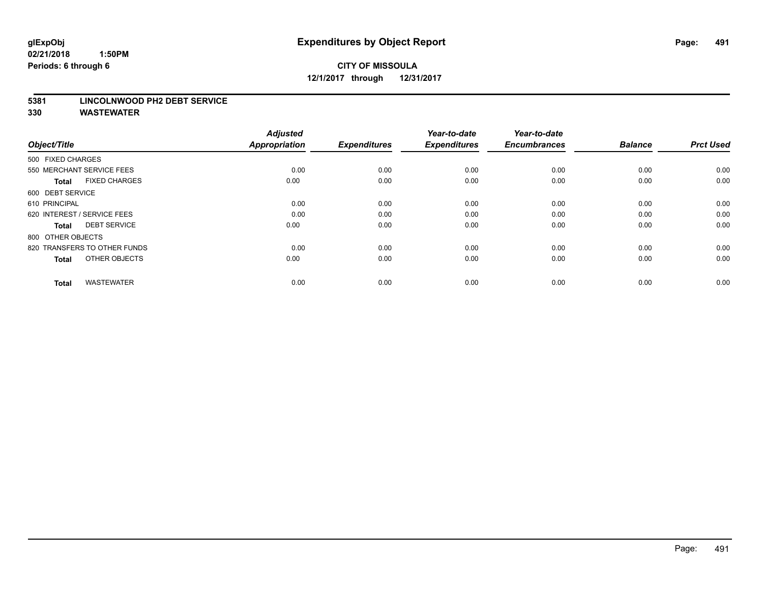# **CITY OF MISSOULA 12/1/2017 through 12/31/2017**

#### **5381 LINCOLNWOOD PH2 DEBT SERVICE**

| Object/Title                         | <b>Adjusted</b><br><b>Appropriation</b> | <b>Expenditures</b> | Year-to-date<br><b>Expenditures</b> | Year-to-date<br><b>Encumbrances</b> | <b>Balance</b> | <b>Prct Used</b> |
|--------------------------------------|-----------------------------------------|---------------------|-------------------------------------|-------------------------------------|----------------|------------------|
| 500 FIXED CHARGES                    |                                         |                     |                                     |                                     |                |                  |
| 550 MERCHANT SERVICE FEES            | 0.00                                    | 0.00                | 0.00                                | 0.00                                | 0.00           | 0.00             |
| <b>FIXED CHARGES</b><br><b>Total</b> | 0.00                                    | 0.00                | 0.00                                | 0.00                                | 0.00           | 0.00             |
| 600 DEBT SERVICE                     |                                         |                     |                                     |                                     |                |                  |
| 610 PRINCIPAL                        | 0.00                                    | 0.00                | 0.00                                | 0.00                                | 0.00           | 0.00             |
| 620 INTEREST / SERVICE FEES          | 0.00                                    | 0.00                | 0.00                                | 0.00                                | 0.00           | 0.00             |
| <b>DEBT SERVICE</b><br><b>Total</b>  | 0.00                                    | 0.00                | 0.00                                | 0.00                                | 0.00           | 0.00             |
| 800 OTHER OBJECTS                    |                                         |                     |                                     |                                     |                |                  |
| 820 TRANSFERS TO OTHER FUNDS         | 0.00                                    | 0.00                | 0.00                                | 0.00                                | 0.00           | 0.00             |
| OTHER OBJECTS<br><b>Total</b>        | 0.00                                    | 0.00                | 0.00                                | 0.00                                | 0.00           | 0.00             |
|                                      |                                         |                     |                                     |                                     |                |                  |
| <b>WASTEWATER</b><br><b>Total</b>    | 0.00                                    | 0.00                | 0.00                                | 0.00                                | 0.00           | 0.00             |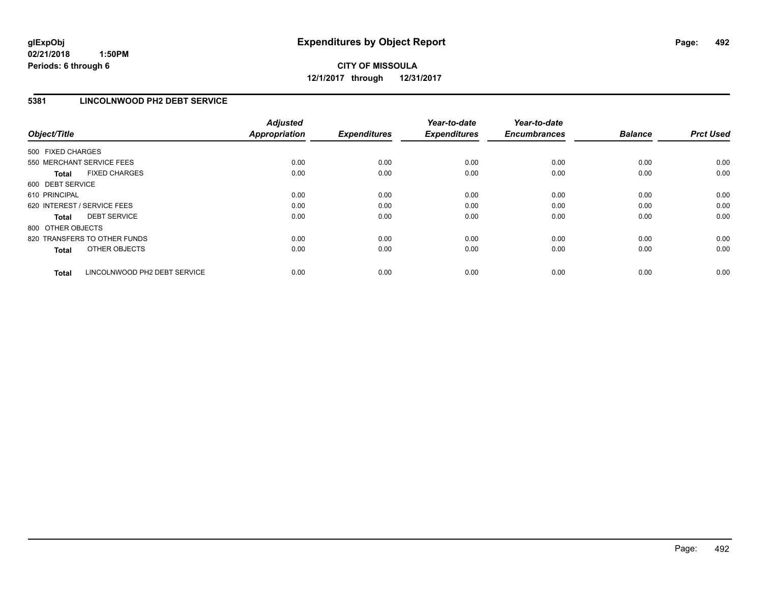# **5381 LINCOLNWOOD PH2 DEBT SERVICE**

| Object/Title                 |                              | <b>Adjusted</b><br><b>Appropriation</b> | <b>Expenditures</b> | Year-to-date<br><b>Expenditures</b> | Year-to-date<br><b>Encumbrances</b> | <b>Balance</b> | <b>Prct Used</b> |
|------------------------------|------------------------------|-----------------------------------------|---------------------|-------------------------------------|-------------------------------------|----------------|------------------|
| 500 FIXED CHARGES            |                              |                                         |                     |                                     |                                     |                |                  |
| 550 MERCHANT SERVICE FEES    |                              | 0.00                                    | 0.00                | 0.00                                | 0.00                                | 0.00           | 0.00             |
| <b>Total</b>                 | <b>FIXED CHARGES</b>         | 0.00                                    | 0.00                | 0.00                                | 0.00                                | 0.00           | 0.00             |
| 600 DEBT SERVICE             |                              |                                         |                     |                                     |                                     |                |                  |
| 610 PRINCIPAL                |                              | 0.00                                    | 0.00                | 0.00                                | 0.00                                | 0.00           | 0.00             |
| 620 INTEREST / SERVICE FEES  |                              | 0.00                                    | 0.00                | 0.00                                | 0.00                                | 0.00           | 0.00             |
| Total                        | <b>DEBT SERVICE</b>          | 0.00                                    | 0.00                | 0.00                                | 0.00                                | 0.00           | 0.00             |
| 800 OTHER OBJECTS            |                              |                                         |                     |                                     |                                     |                |                  |
| 820 TRANSFERS TO OTHER FUNDS |                              | 0.00                                    | 0.00                | 0.00                                | 0.00                                | 0.00           | 0.00             |
| <b>Total</b>                 | OTHER OBJECTS                | 0.00                                    | 0.00                | 0.00                                | 0.00                                | 0.00           | 0.00             |
| <b>Total</b>                 | LINCOLNWOOD PH2 DEBT SERVICE | 0.00                                    | 0.00                | 0.00                                | 0.00                                | 0.00           | 0.00             |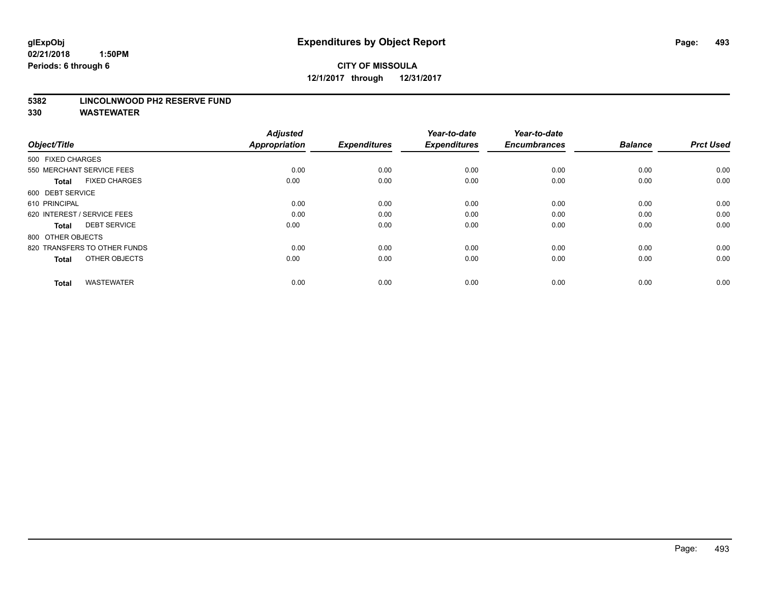#### **5382 LINCOLNWOOD PH2 RESERVE FUND**

| Object/Title                         | <b>Adjusted</b><br><b>Appropriation</b> | <b>Expenditures</b> | Year-to-date<br><b>Expenditures</b> | Year-to-date<br><b>Encumbrances</b> | <b>Balance</b> | <b>Prct Used</b> |
|--------------------------------------|-----------------------------------------|---------------------|-------------------------------------|-------------------------------------|----------------|------------------|
| 500 FIXED CHARGES                    |                                         |                     |                                     |                                     |                |                  |
| 550 MERCHANT SERVICE FEES            | 0.00                                    | 0.00                | 0.00                                | 0.00                                | 0.00           | 0.00             |
| <b>FIXED CHARGES</b><br><b>Total</b> | 0.00                                    | 0.00                | 0.00                                | 0.00                                | 0.00           | 0.00             |
| 600 DEBT SERVICE                     |                                         |                     |                                     |                                     |                |                  |
| 610 PRINCIPAL                        | 0.00                                    | 0.00                | 0.00                                | 0.00                                | 0.00           | 0.00             |
| 620 INTEREST / SERVICE FEES          | 0.00                                    | 0.00                | 0.00                                | 0.00                                | 0.00           | 0.00             |
| <b>DEBT SERVICE</b><br><b>Total</b>  | 0.00                                    | 0.00                | 0.00                                | 0.00                                | 0.00           | 0.00             |
| 800 OTHER OBJECTS                    |                                         |                     |                                     |                                     |                |                  |
| 820 TRANSFERS TO OTHER FUNDS         | 0.00                                    | 0.00                | 0.00                                | 0.00                                | 0.00           | 0.00             |
| OTHER OBJECTS<br><b>Total</b>        | 0.00                                    | 0.00                | 0.00                                | 0.00                                | 0.00           | 0.00             |
|                                      |                                         |                     |                                     |                                     |                |                  |
| <b>WASTEWATER</b><br><b>Total</b>    | 0.00                                    | 0.00                | 0.00                                | 0.00                                | 0.00           | 0.00             |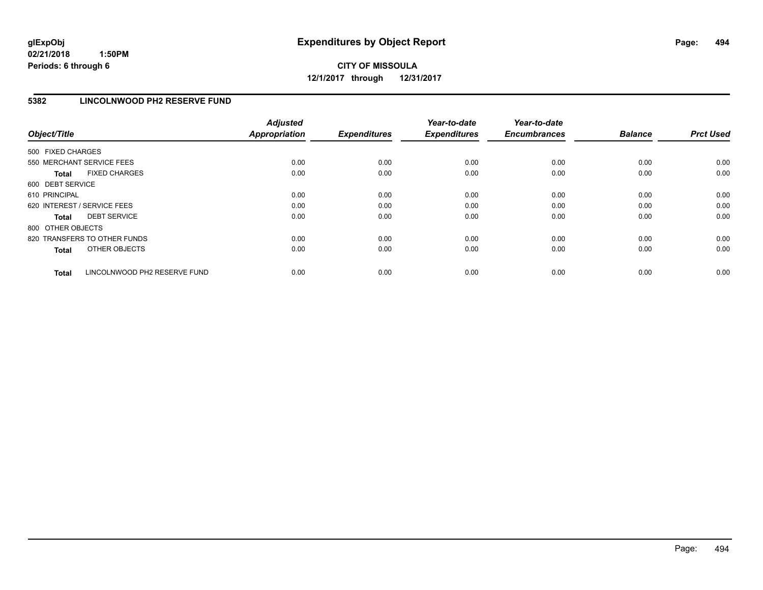# **CITY OF MISSOULA 12/1/2017 through 12/31/2017**

## **5382 LINCOLNWOOD PH2 RESERVE FUND**

| Object/Title      |                              | <b>Adjusted</b><br><b>Appropriation</b> | <b>Expenditures</b> | Year-to-date<br><b>Expenditures</b> | Year-to-date<br><b>Encumbrances</b> | <b>Balance</b> | <b>Prct Used</b> |
|-------------------|------------------------------|-----------------------------------------|---------------------|-------------------------------------|-------------------------------------|----------------|------------------|
| 500 FIXED CHARGES |                              |                                         |                     |                                     |                                     |                |                  |
|                   | 550 MERCHANT SERVICE FEES    | 0.00                                    | 0.00                | 0.00                                | 0.00                                | 0.00           | 0.00             |
| <b>Total</b>      | <b>FIXED CHARGES</b>         | 0.00                                    | 0.00                | 0.00                                | 0.00                                | 0.00           | 0.00             |
| 600 DEBT SERVICE  |                              |                                         |                     |                                     |                                     |                |                  |
| 610 PRINCIPAL     |                              | 0.00                                    | 0.00                | 0.00                                | 0.00                                | 0.00           | 0.00             |
|                   | 620 INTEREST / SERVICE FEES  | 0.00                                    | 0.00                | 0.00                                | 0.00                                | 0.00           | 0.00             |
| Total             | <b>DEBT SERVICE</b>          | 0.00                                    | 0.00                | 0.00                                | 0.00                                | 0.00           | 0.00             |
| 800 OTHER OBJECTS |                              |                                         |                     |                                     |                                     |                |                  |
|                   | 820 TRANSFERS TO OTHER FUNDS | 0.00                                    | 0.00                | 0.00                                | 0.00                                | 0.00           | 0.00             |
| <b>Total</b>      | OTHER OBJECTS                | 0.00                                    | 0.00                | 0.00                                | 0.00                                | 0.00           | 0.00             |
| <b>Total</b>      | LINCOLNWOOD PH2 RESERVE FUND | 0.00                                    | 0.00                | 0.00                                | 0.00                                | 0.00           | 0.00             |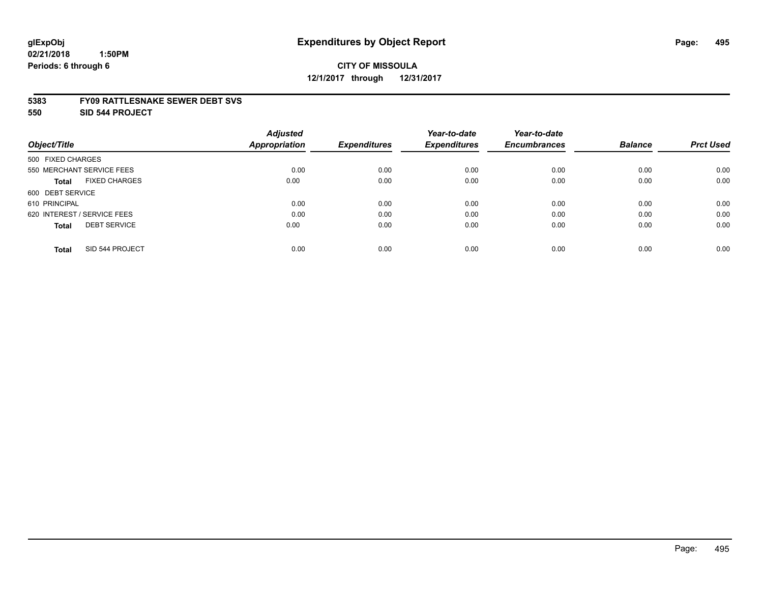# **CITY OF MISSOULA 12/1/2017 through 12/31/2017**

#### **5383 FY09 RATTLESNAKE SEWER DEBT SVS**

**550 SID 544 PROJECT**

|                                      | <b>Adjusted</b>      |                     | Year-to-date        | Year-to-date        |                |                  |
|--------------------------------------|----------------------|---------------------|---------------------|---------------------|----------------|------------------|
| Object/Title                         | <b>Appropriation</b> | <b>Expenditures</b> | <b>Expenditures</b> | <b>Encumbrances</b> | <b>Balance</b> | <b>Prct Used</b> |
| 500 FIXED CHARGES                    |                      |                     |                     |                     |                |                  |
| 550 MERCHANT SERVICE FEES            | 0.00                 | 0.00                | 0.00                | 0.00                | 0.00           | 0.00             |
| <b>FIXED CHARGES</b><br><b>Total</b> | 0.00                 | 0.00                | 0.00                | 0.00                | 0.00           | 0.00             |
| 600 DEBT SERVICE                     |                      |                     |                     |                     |                |                  |
| 610 PRINCIPAL                        | 0.00                 | 0.00                | 0.00                | 0.00                | 0.00           | 0.00             |
| 620 INTEREST / SERVICE FEES          | 0.00                 | 0.00                | 0.00                | 0.00                | 0.00           | 0.00             |
| <b>DEBT SERVICE</b><br><b>Total</b>  | 0.00                 | 0.00                | 0.00                | 0.00                | 0.00           | 0.00             |
| SID 544 PROJECT<br><b>Total</b>      | 0.00                 | 0.00                | 0.00                | 0.00                | 0.00           | 0.00             |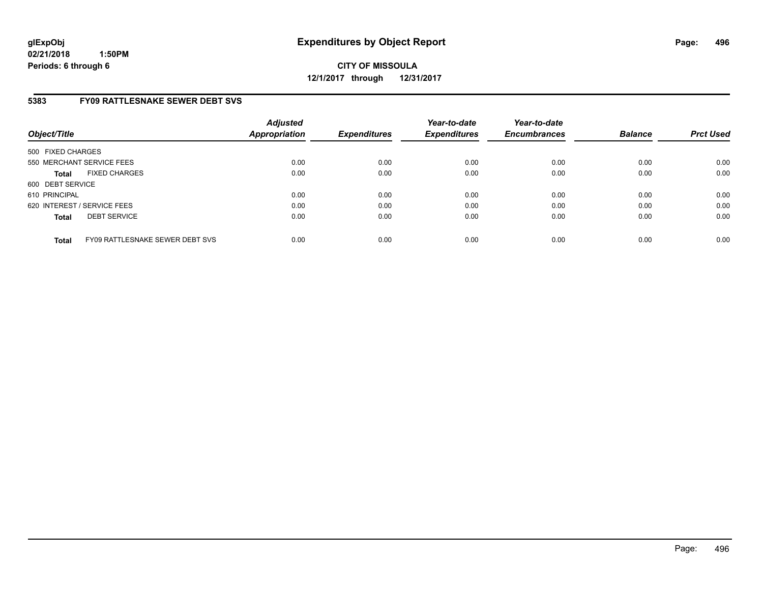**CITY OF MISSOULA 12/1/2017 through 12/31/2017**

# **5383 FY09 RATTLESNAKE SEWER DEBT SVS**

| Object/Title                |                                 | <b>Adjusted</b><br><b>Appropriation</b> | <b>Expenditures</b> | Year-to-date<br><b>Expenditures</b> | Year-to-date<br><b>Encumbrances</b> | <b>Balance</b> | <b>Prct Used</b> |
|-----------------------------|---------------------------------|-----------------------------------------|---------------------|-------------------------------------|-------------------------------------|----------------|------------------|
| 500 FIXED CHARGES           |                                 |                                         |                     |                                     |                                     |                |                  |
| 550 MERCHANT SERVICE FEES   |                                 | 0.00                                    | 0.00                | 0.00                                | 0.00                                | 0.00           | 0.00             |
| <b>Total</b>                | <b>FIXED CHARGES</b>            | 0.00                                    | 0.00                | 0.00                                | 0.00                                | 0.00           | 0.00             |
| 600 DEBT SERVICE            |                                 |                                         |                     |                                     |                                     |                |                  |
| 610 PRINCIPAL               |                                 | 0.00                                    | 0.00                | 0.00                                | 0.00                                | 0.00           | 0.00             |
| 620 INTEREST / SERVICE FEES |                                 | 0.00                                    | 0.00                | 0.00                                | 0.00                                | 0.00           | 0.00             |
| <b>Total</b>                | <b>DEBT SERVICE</b>             | 0.00                                    | 0.00                | 0.00                                | 0.00                                | 0.00           | 0.00             |
| <b>Total</b>                | FY09 RATTLESNAKE SEWER DEBT SVS | 0.00                                    | 0.00                | 0.00                                | 0.00                                | 0.00           | 0.00             |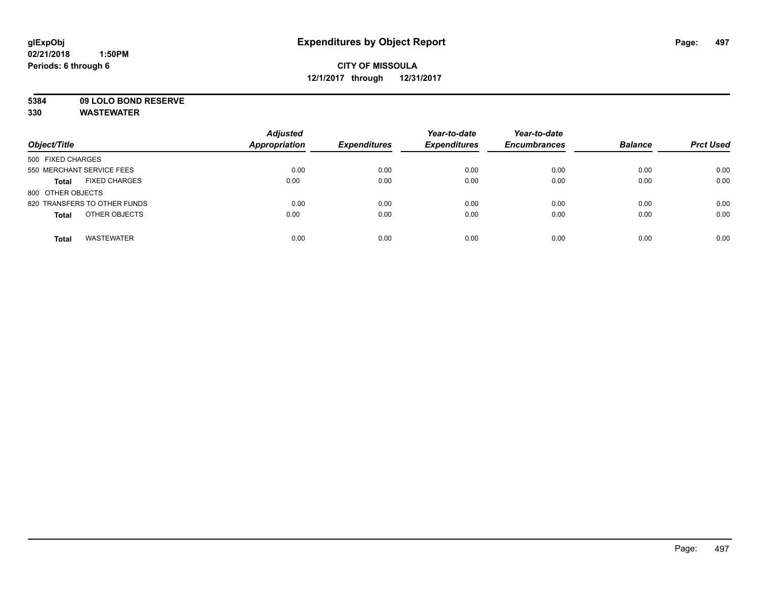# **CITY OF MISSOULA 12/1/2017 through 12/31/2017**

**5384 09 LOLO BOND RESERVE**

| Object/Title                         | <b>Adjusted</b><br><b>Appropriation</b> | <b>Expenditures</b> | Year-to-date<br><b>Expenditures</b> | Year-to-date<br><b>Encumbrances</b> | <b>Balance</b> | <b>Prct Used</b> |
|--------------------------------------|-----------------------------------------|---------------------|-------------------------------------|-------------------------------------|----------------|------------------|
|                                      |                                         |                     |                                     |                                     |                |                  |
| 500 FIXED CHARGES                    |                                         |                     |                                     |                                     |                |                  |
| 550 MERCHANT SERVICE FEES            | 0.00                                    | 0.00                | 0.00                                | 0.00                                | 0.00           | 0.00             |
| <b>FIXED CHARGES</b><br><b>Total</b> | 0.00                                    | 0.00                | 0.00                                | 0.00                                | 0.00           | 0.00             |
| 800 OTHER OBJECTS                    |                                         |                     |                                     |                                     |                |                  |
| 820 TRANSFERS TO OTHER FUNDS         | 0.00                                    | 0.00                | 0.00                                | 0.00                                | 0.00           | 0.00             |
| OTHER OBJECTS<br><b>Total</b>        | 0.00                                    | 0.00                | 0.00                                | 0.00                                | 0.00           | 0.00             |
| <b>WASTEWATER</b><br><b>Total</b>    | 0.00                                    | 0.00                | 0.00                                | 0.00                                | 0.00           | 0.00             |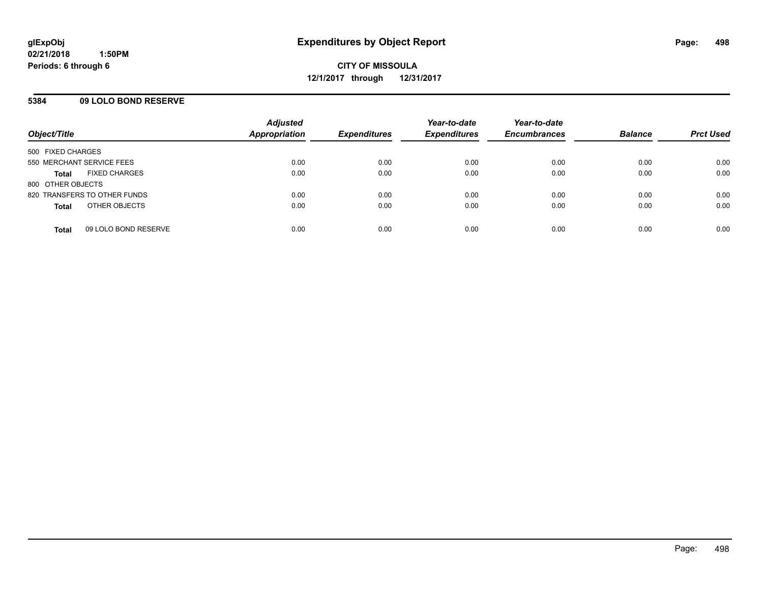### **5384 09 LOLO BOND RESERVE**

| Object/Title                         | <b>Adjusted</b><br><b>Appropriation</b> | <b>Expenditures</b> | Year-to-date<br><b>Expenditures</b> | Year-to-date<br><b>Encumbrances</b> | <b>Balance</b> | <b>Prct Used</b> |
|--------------------------------------|-----------------------------------------|---------------------|-------------------------------------|-------------------------------------|----------------|------------------|
| 500 FIXED CHARGES                    |                                         |                     |                                     |                                     |                |                  |
|                                      |                                         |                     |                                     |                                     |                |                  |
| 550 MERCHANT SERVICE FEES            | 0.00                                    | 0.00                | 0.00                                | 0.00                                | 0.00           | 0.00             |
| <b>FIXED CHARGES</b><br>Total        | 0.00                                    | 0.00                | 0.00                                | 0.00                                | 0.00           | 0.00             |
| 800 OTHER OBJECTS                    |                                         |                     |                                     |                                     |                |                  |
| 820 TRANSFERS TO OTHER FUNDS         | 0.00                                    | 0.00                | 0.00                                | 0.00                                | 0.00           | 0.00             |
| OTHER OBJECTS<br><b>Total</b>        | 0.00                                    | 0.00                | 0.00                                | 0.00                                | 0.00           | 0.00             |
|                                      |                                         |                     |                                     |                                     |                |                  |
| 09 LOLO BOND RESERVE<br><b>Total</b> | 0.00                                    | 0.00                | 0.00                                | 0.00                                | 0.00           | 0.00             |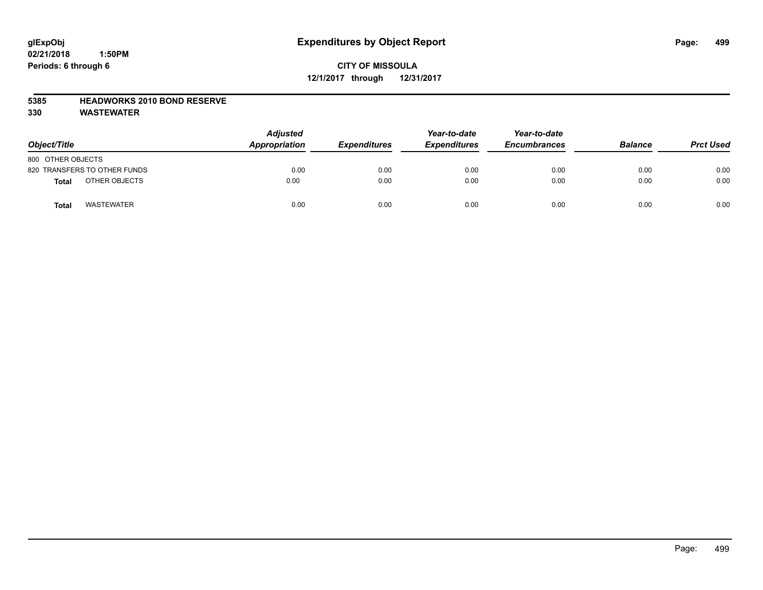# **CITY OF MISSOULA 12/1/2017 through 12/31/2017**

#### **5385 HEADWORKS 2010 BOND RESERVE**

| Object/Title                  | <b>Adjusted</b><br>Appropriation | <b>Expenditures</b> | Year-to-date<br><b>Expenditures</b> | Year-to-date<br><b>Encumbrances</b> | <b>Balance</b> | <b>Prct Used</b> |
|-------------------------------|----------------------------------|---------------------|-------------------------------------|-------------------------------------|----------------|------------------|
| 800 OTHER OBJECTS             |                                  |                     |                                     |                                     |                |                  |
| 820 TRANSFERS TO OTHER FUNDS  | 0.00                             | 0.00                | 0.00                                | 0.00                                | 0.00           | 0.00             |
| OTHER OBJECTS<br><b>Total</b> | 0.00                             | 0.00                | 0.00                                | 0.00                                | 0.00           | 0.00             |
| <b>WASTEWATER</b><br>Total    | 0.00                             | 0.00                | 0.00                                | 0.00                                | 0.00           | 0.00             |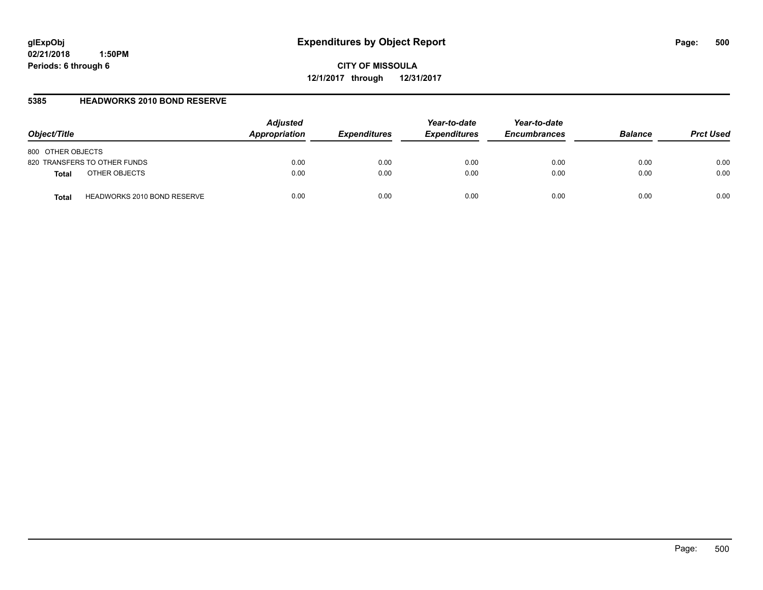**CITY OF MISSOULA 12/1/2017 through 12/31/2017**

### **5385 HEADWORKS 2010 BOND RESERVE**

| Object/Title                                | <b>Adjusted</b><br>Appropriation | <b>Expenditures</b> | Year-to-date<br><b>Expenditures</b> | Year-to-date<br><b>Encumbrances</b> | <b>Balance</b> | <b>Prct Used</b> |
|---------------------------------------------|----------------------------------|---------------------|-------------------------------------|-------------------------------------|----------------|------------------|
| 800 OTHER OBJECTS                           |                                  |                     |                                     |                                     |                |                  |
| 820 TRANSFERS TO OTHER FUNDS                | 0.00                             | 0.00                | 0.00                                | 0.00                                | 0.00           | 0.00             |
| OTHER OBJECTS<br>Total                      | 0.00                             | 0.00                | 0.00                                | 0.00                                | 0.00           | 0.00             |
| <b>HEADWORKS 2010 BOND RESERVE</b><br>Total | 0.00                             | 0.00                | 0.00                                | 0.00                                | 0.00           | 0.00             |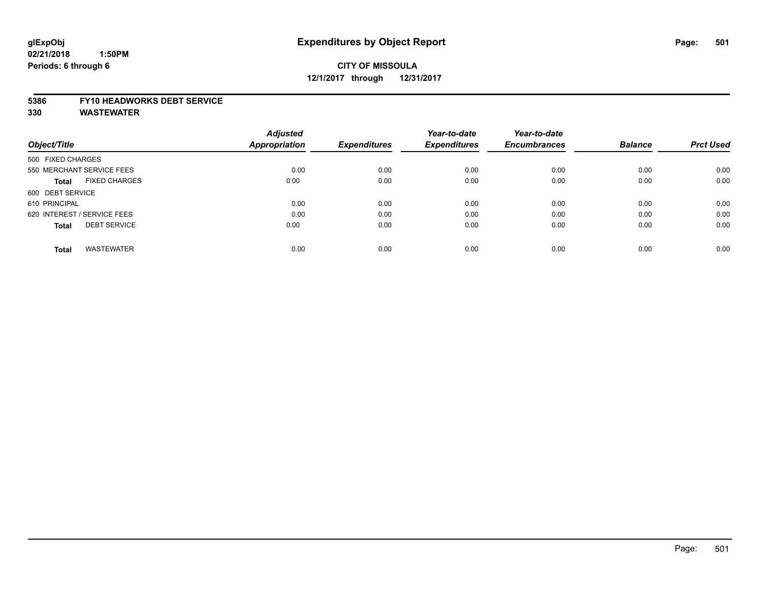# **CITY OF MISSOULA 12/1/2017 through 12/31/2017**

#### **5386 FY10 HEADWORKS DEBT SERVICE**

|                                      | <b>Adjusted</b>      |                     | Year-to-date        | Year-to-date        |                |                  |
|--------------------------------------|----------------------|---------------------|---------------------|---------------------|----------------|------------------|
| Object/Title                         | <b>Appropriation</b> | <b>Expenditures</b> | <b>Expenditures</b> | <b>Encumbrances</b> | <b>Balance</b> | <b>Prct Used</b> |
| 500 FIXED CHARGES                    |                      |                     |                     |                     |                |                  |
| 550 MERCHANT SERVICE FEES            | 0.00                 | 0.00                | 0.00                | 0.00                | 0.00           | 0.00             |
| <b>FIXED CHARGES</b><br><b>Total</b> | 0.00                 | 0.00                | 0.00                | 0.00                | 0.00           | 0.00             |
| 600 DEBT SERVICE                     |                      |                     |                     |                     |                |                  |
| 610 PRINCIPAL                        | 0.00                 | 0.00                | 0.00                | 0.00                | 0.00           | 0.00             |
| 620 INTEREST / SERVICE FEES          | 0.00                 | 0.00                | 0.00                | 0.00                | 0.00           | 0.00             |
| <b>DEBT SERVICE</b><br><b>Total</b>  | 0.00                 | 0.00                | 0.00                | 0.00                | 0.00           | 0.00             |
| <b>WASTEWATER</b><br><b>Total</b>    | 0.00                 | 0.00                | 0.00                | 0.00                | 0.00           | 0.00             |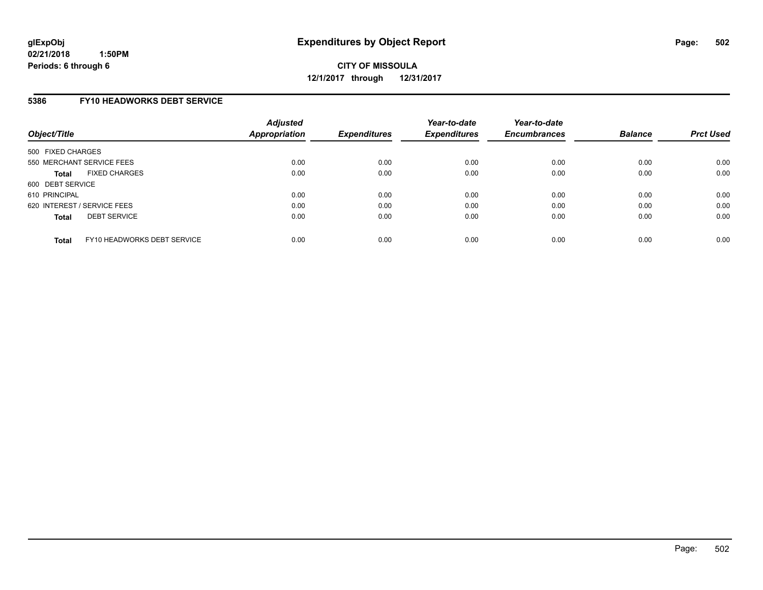### **5386 FY10 HEADWORKS DEBT SERVICE**

| Object/Title                |                             | <b>Adjusted</b><br>Appropriation | <b>Expenditures</b> | Year-to-date<br><b>Expenditures</b> | Year-to-date<br><b>Encumbrances</b> | <b>Balance</b> | <b>Prct Used</b> |
|-----------------------------|-----------------------------|----------------------------------|---------------------|-------------------------------------|-------------------------------------|----------------|------------------|
| 500 FIXED CHARGES           |                             |                                  |                     |                                     |                                     |                |                  |
| 550 MERCHANT SERVICE FEES   |                             | 0.00                             | 0.00                | 0.00                                | 0.00                                | 0.00           | 0.00             |
| <b>Total</b>                | <b>FIXED CHARGES</b>        | 0.00                             | 0.00                | 0.00                                | 0.00                                | 0.00           | 0.00             |
| 600 DEBT SERVICE            |                             |                                  |                     |                                     |                                     |                |                  |
| 610 PRINCIPAL               |                             | 0.00                             | 0.00                | 0.00                                | 0.00                                | 0.00           | 0.00             |
| 620 INTEREST / SERVICE FEES |                             | 0.00                             | 0.00                | 0.00                                | 0.00                                | 0.00           | 0.00             |
| <b>Total</b>                | <b>DEBT SERVICE</b>         | 0.00                             | 0.00                | 0.00                                | 0.00                                | 0.00           | 0.00             |
| <b>Total</b>                | FY10 HEADWORKS DEBT SERVICE | 0.00                             | 0.00                | 0.00                                | 0.00                                | 0.00           | 0.00             |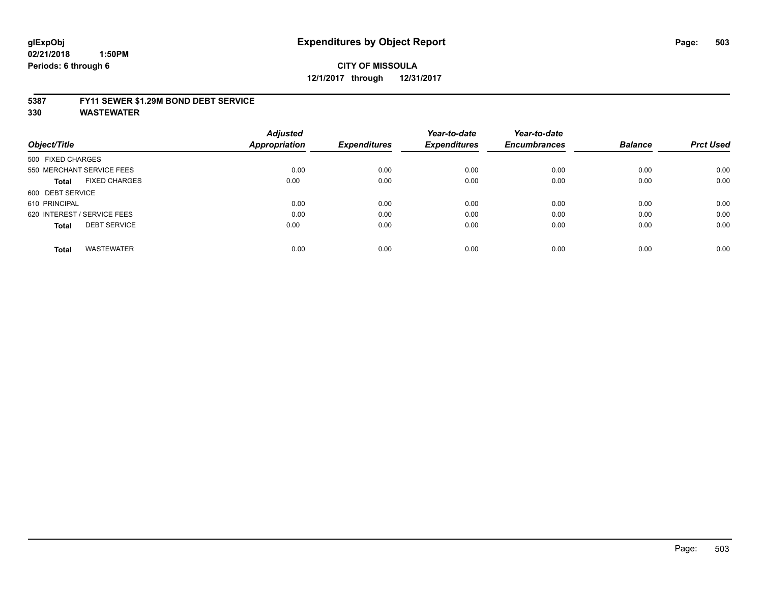# **glExpObj Expenditures by Object Report Page: 503**

#### **02/21/2018 1:50PM Periods: 6 through 6**

### **CITY OF MISSOULA 12/1/2017 through 12/31/2017**

#### **5387 FY11 SEWER \$1.29M BOND DEBT SERVICE**

|                   |                             | <b>Adjusted</b>      |                     | Year-to-date        | Year-to-date        |                |                  |
|-------------------|-----------------------------|----------------------|---------------------|---------------------|---------------------|----------------|------------------|
| Object/Title      |                             | <b>Appropriation</b> | <b>Expenditures</b> | <b>Expenditures</b> | <b>Encumbrances</b> | <b>Balance</b> | <b>Prct Used</b> |
| 500 FIXED CHARGES |                             |                      |                     |                     |                     |                |                  |
|                   | 550 MERCHANT SERVICE FEES   | 0.00                 | 0.00                | 0.00                | 0.00                | 0.00           | 0.00             |
| Total             | <b>FIXED CHARGES</b>        | 0.00                 | 0.00                | 0.00                | 0.00                | 0.00           | 0.00             |
| 600 DEBT SERVICE  |                             |                      |                     |                     |                     |                |                  |
| 610 PRINCIPAL     |                             | 0.00                 | 0.00                | 0.00                | 0.00                | 0.00           | 0.00             |
|                   | 620 INTEREST / SERVICE FEES | 0.00                 | 0.00                | 0.00                | 0.00                | 0.00           | 0.00             |
| <b>Total</b>      | <b>DEBT SERVICE</b>         | 0.00                 | 0.00                | 0.00                | 0.00                | 0.00           | 0.00             |
| <b>Total</b>      | <b>WASTEWATER</b>           | 0.00                 | 0.00                | 0.00                | 0.00                | 0.00           | 0.00             |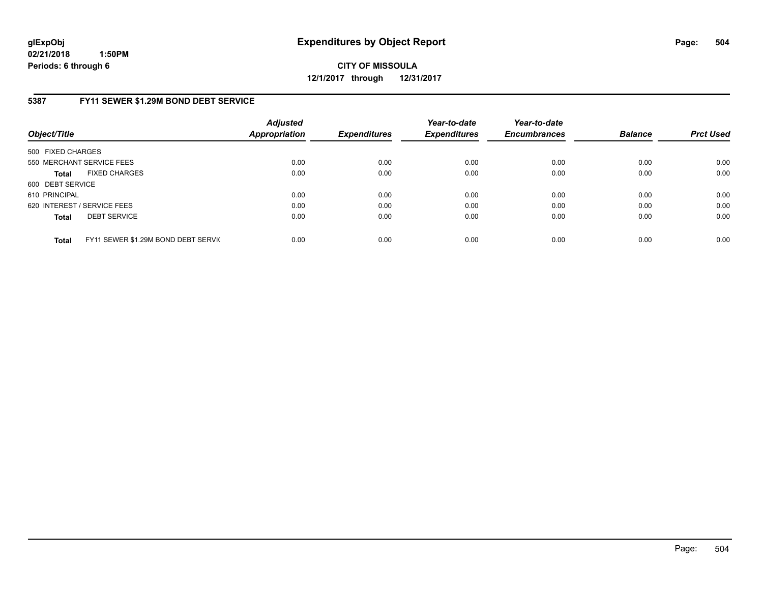**CITY OF MISSOULA 12/1/2017 through 12/31/2017**

### **5387 FY11 SEWER \$1.29M BOND DEBT SERVICE**

| Object/Title      |                                     | <b>Adjusted</b><br><b>Appropriation</b> | <b>Expenditures</b> | Year-to-date<br><b>Expenditures</b> | Year-to-date<br><b>Encumbrances</b> | <b>Balance</b> | <b>Prct Used</b> |
|-------------------|-------------------------------------|-----------------------------------------|---------------------|-------------------------------------|-------------------------------------|----------------|------------------|
| 500 FIXED CHARGES |                                     |                                         |                     |                                     |                                     |                |                  |
|                   | 550 MERCHANT SERVICE FEES           | 0.00                                    | 0.00                | 0.00                                | 0.00                                | 0.00           | 0.00             |
| <b>Total</b>      | <b>FIXED CHARGES</b>                | 0.00                                    | 0.00                | 0.00                                | 0.00                                | 0.00           | 0.00             |
| 600 DEBT SERVICE  |                                     |                                         |                     |                                     |                                     |                |                  |
| 610 PRINCIPAL     |                                     | 0.00                                    | 0.00                | 0.00                                | 0.00                                | 0.00           | 0.00             |
|                   | 620 INTEREST / SERVICE FEES         | 0.00                                    | 0.00                | 0.00                                | 0.00                                | 0.00           | 0.00             |
| <b>Total</b>      | <b>DEBT SERVICE</b>                 | 0.00                                    | 0.00                | 0.00                                | 0.00                                | 0.00           | 0.00             |
| <b>Total</b>      | FY11 SEWER \$1.29M BOND DEBT SERVIC | 0.00                                    | 0.00                | 0.00                                | 0.00                                | 0.00           | 0.00             |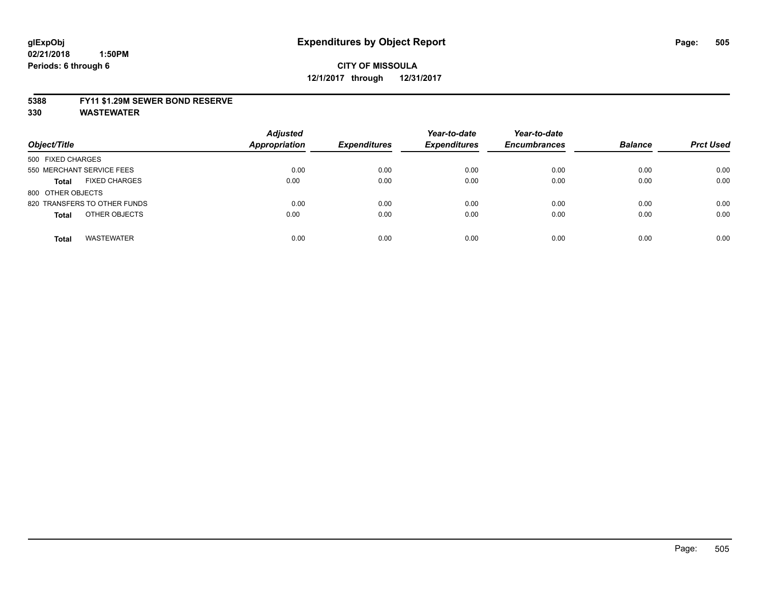### **5388 FY11 \$1.29M SEWER BOND RESERVE**

**330 WASTEWATER**

| Object/Title                         | <b>Adjusted</b><br><b>Appropriation</b> | <b>Expenditures</b> | Year-to-date<br><b>Expenditures</b> | Year-to-date<br><b>Encumbrances</b> | <b>Balance</b> | <b>Prct Used</b> |
|--------------------------------------|-----------------------------------------|---------------------|-------------------------------------|-------------------------------------|----------------|------------------|
| 500 FIXED CHARGES                    |                                         |                     |                                     |                                     |                |                  |
| 550 MERCHANT SERVICE FEES            | 0.00                                    | 0.00                | 0.00                                | 0.00                                | 0.00           | 0.00             |
| <b>FIXED CHARGES</b><br><b>Total</b> | 0.00                                    | 0.00                | 0.00                                | 0.00                                | 0.00           | 0.00             |
| 800 OTHER OBJECTS                    |                                         |                     |                                     |                                     |                |                  |
| 820 TRANSFERS TO OTHER FUNDS         | 0.00                                    | 0.00                | 0.00                                | 0.00                                | 0.00           | 0.00             |
| OTHER OBJECTS<br><b>Total</b>        | 0.00                                    | 0.00                | 0.00                                | 0.00                                | 0.00           | 0.00             |
| <b>WASTEWATER</b><br><b>Total</b>    | 0.00                                    | 0.00                | 0.00                                | 0.00                                | 0.00           | 0.00             |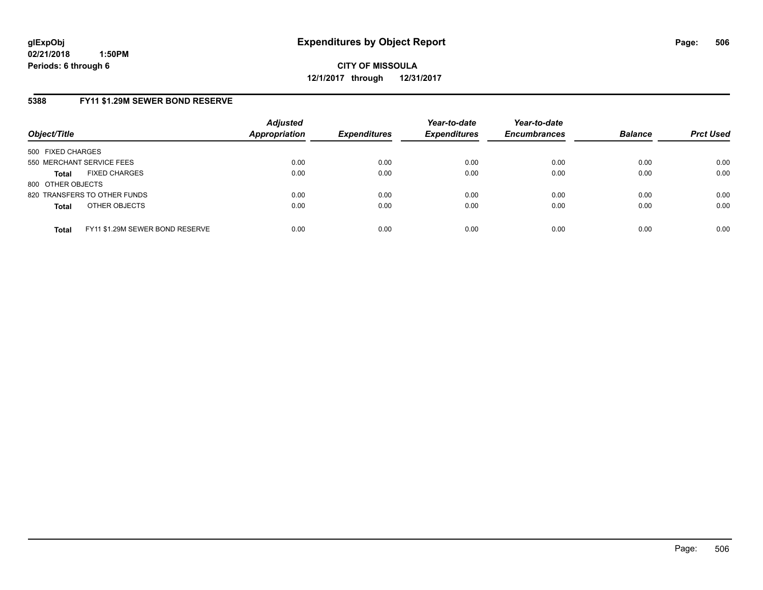# **5388 FY11 \$1.29M SEWER BOND RESERVE**

| Object/Title                         |                                 | <b>Adjusted</b><br><b>Appropriation</b> | <b>Expenditures</b> | Year-to-date<br><b>Expenditures</b> | Year-to-date<br><b>Encumbrances</b> | <b>Balance</b> | <b>Prct Used</b> |
|--------------------------------------|---------------------------------|-----------------------------------------|---------------------|-------------------------------------|-------------------------------------|----------------|------------------|
| 500 FIXED CHARGES                    |                                 |                                         |                     |                                     |                                     |                |                  |
| 550 MERCHANT SERVICE FEES            |                                 | 0.00                                    | 0.00                | 0.00                                | 0.00                                | 0.00           | 0.00             |
| <b>FIXED CHARGES</b><br><b>Total</b> |                                 | 0.00                                    | 0.00                | 0.00                                | 0.00                                | 0.00           | 0.00             |
| 800 OTHER OBJECTS                    |                                 |                                         |                     |                                     |                                     |                |                  |
| 820 TRANSFERS TO OTHER FUNDS         |                                 | 0.00                                    | 0.00                | 0.00                                | 0.00                                | 0.00           | 0.00             |
| OTHER OBJECTS<br><b>Total</b>        |                                 | 0.00                                    | 0.00                | 0.00                                | 0.00                                | 0.00           | 0.00             |
| <b>Total</b>                         | FY11 \$1.29M SEWER BOND RESERVE | 0.00                                    | 0.00                | 0.00                                | 0.00                                | 0.00           | 0.00             |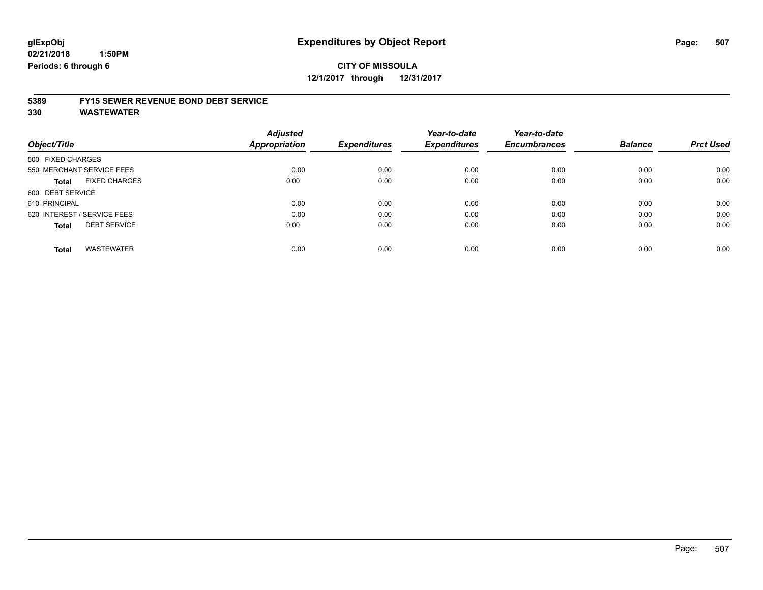# **glExpObj Expenditures by Object Report Page: 507**

### **02/21/2018 1:50PM Periods: 6 through 6**

## **CITY OF MISSOULA 12/1/2017 through 12/31/2017**

### **5389 FY15 SEWER REVENUE BOND DEBT SERVICE**

**330 WASTEWATER**

|                             |                      | <b>Adjusted</b> |                     | Year-to-date        | Year-to-date        |                |                  |
|-----------------------------|----------------------|-----------------|---------------------|---------------------|---------------------|----------------|------------------|
| Object/Title                |                      | Appropriation   | <b>Expenditures</b> | <b>Expenditures</b> | <b>Encumbrances</b> | <b>Balance</b> | <b>Prct Used</b> |
| 500 FIXED CHARGES           |                      |                 |                     |                     |                     |                |                  |
| 550 MERCHANT SERVICE FEES   |                      | 0.00            | 0.00                | 0.00                | 0.00                | 0.00           | 0.00             |
| <b>Total</b>                | <b>FIXED CHARGES</b> | 0.00            | 0.00                | 0.00                | 0.00                | 0.00           | 0.00             |
| 600 DEBT SERVICE            |                      |                 |                     |                     |                     |                |                  |
| 610 PRINCIPAL               |                      | 0.00            | 0.00                | 0.00                | 0.00                | 0.00           | 0.00             |
| 620 INTEREST / SERVICE FEES |                      | 0.00            | 0.00                | 0.00                | 0.00                | 0.00           | 0.00             |
| <b>Total</b>                | <b>DEBT SERVICE</b>  | 0.00            | 0.00                | 0.00                | 0.00                | 0.00           | 0.00             |
| <b>Total</b>                | <b>WASTEWATER</b>    | 0.00            | 0.00                | 0.00                | 0.00                | 0.00           | 0.00             |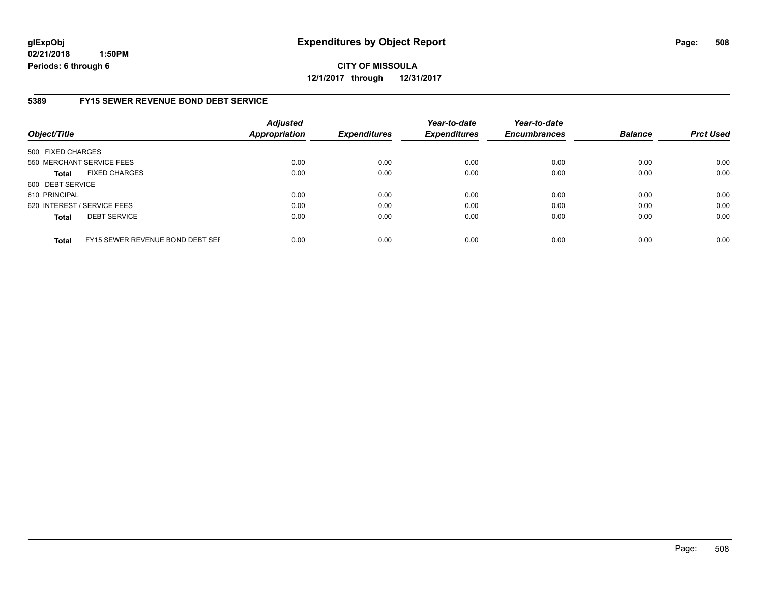**CITY OF MISSOULA 12/1/2017 through 12/31/2017**

## **5389 FY15 SEWER REVENUE BOND DEBT SERVICE**

| Object/Title      |                                  | <b>Adjusted</b><br><b>Appropriation</b> | <b>Expenditures</b> | Year-to-date<br><b>Expenditures</b> | Year-to-date<br><b>Encumbrances</b> | <b>Balance</b> | <b>Prct Used</b> |
|-------------------|----------------------------------|-----------------------------------------|---------------------|-------------------------------------|-------------------------------------|----------------|------------------|
| 500 FIXED CHARGES |                                  |                                         |                     |                                     |                                     |                |                  |
|                   | 550 MERCHANT SERVICE FEES        | 0.00                                    | 0.00                | 0.00                                | 0.00                                | 0.00           | 0.00             |
| <b>Total</b>      | <b>FIXED CHARGES</b>             | 0.00                                    | 0.00                | 0.00                                | 0.00                                | 0.00           | 0.00             |
| 600 DEBT SERVICE  |                                  |                                         |                     |                                     |                                     |                |                  |
| 610 PRINCIPAL     |                                  | 0.00                                    | 0.00                | 0.00                                | 0.00                                | 0.00           | 0.00             |
|                   | 620 INTEREST / SERVICE FEES      | 0.00                                    | 0.00                | 0.00                                | 0.00                                | 0.00           | 0.00             |
| <b>Total</b>      | <b>DEBT SERVICE</b>              | 0.00                                    | 0.00                | 0.00                                | 0.00                                | 0.00           | 0.00             |
| <b>Total</b>      | FY15 SEWER REVENUE BOND DEBT SEF | 0.00                                    | 0.00                | 0.00                                | 0.00                                | 0.00           | 0.00             |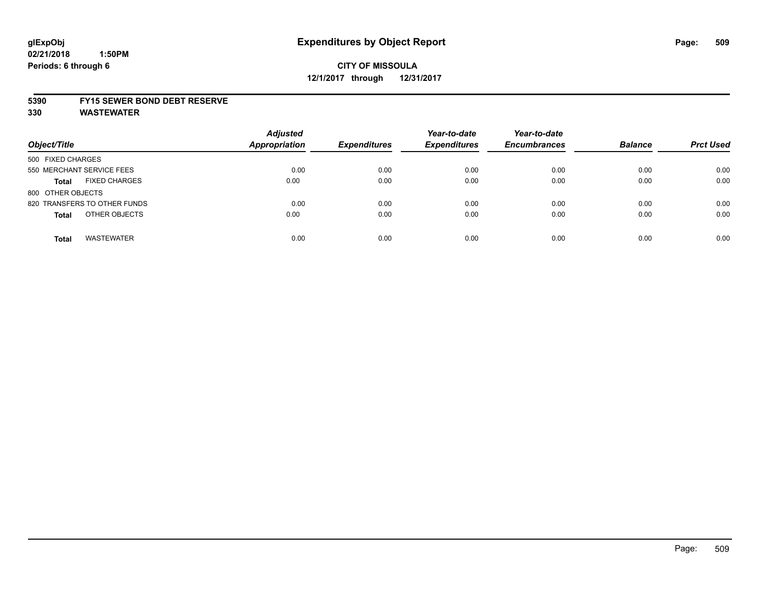# **CITY OF MISSOULA 12/1/2017 through 12/31/2017**

### **5390 FY15 SEWER BOND DEBT RESERVE**

**330 WASTEWATER**

| Object/Title                         | <b>Adjusted</b><br><b>Appropriation</b> | <b>Expenditures</b> | Year-to-date<br><b>Expenditures</b> | Year-to-date<br><b>Encumbrances</b> | <b>Balance</b> | <b>Prct Used</b> |
|--------------------------------------|-----------------------------------------|---------------------|-------------------------------------|-------------------------------------|----------------|------------------|
| 500 FIXED CHARGES                    |                                         |                     |                                     |                                     |                |                  |
| 550 MERCHANT SERVICE FEES            | 0.00                                    | 0.00                | 0.00                                | 0.00                                | 0.00           | 0.00             |
| <b>FIXED CHARGES</b><br><b>Total</b> | 0.00                                    | 0.00                | 0.00                                | 0.00                                | 0.00           | 0.00             |
| 800 OTHER OBJECTS                    |                                         |                     |                                     |                                     |                |                  |
| 820 TRANSFERS TO OTHER FUNDS         | 0.00                                    | 0.00                | 0.00                                | 0.00                                | 0.00           | 0.00             |
| OTHER OBJECTS<br><b>Total</b>        | 0.00                                    | 0.00                | 0.00                                | 0.00                                | 0.00           | 0.00             |
| <b>WASTEWATER</b><br><b>Total</b>    | 0.00                                    | 0.00                | 0.00                                | 0.00                                | 0.00           | 0.00             |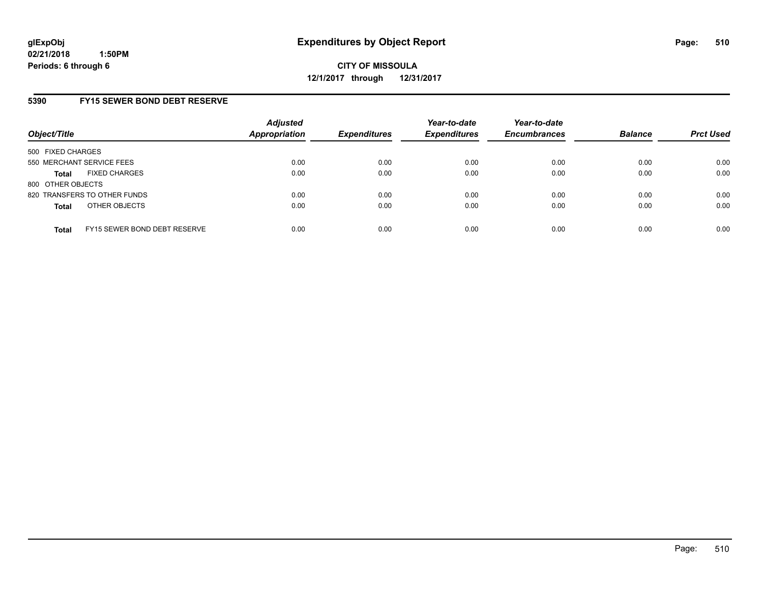## **5390 FY15 SEWER BOND DEBT RESERVE**

| Object/Title              |                              | <b>Adjusted</b><br><b>Appropriation</b> | <b>Expenditures</b> | Year-to-date<br><b>Expenditures</b> | Year-to-date<br><b>Encumbrances</b> | <b>Balance</b> | <b>Prct Used</b> |
|---------------------------|------------------------------|-----------------------------------------|---------------------|-------------------------------------|-------------------------------------|----------------|------------------|
| 500 FIXED CHARGES         |                              |                                         |                     |                                     |                                     |                |                  |
| 550 MERCHANT SERVICE FEES |                              | 0.00                                    | 0.00                | 0.00                                | 0.00                                | 0.00           | 0.00             |
| <b>Total</b>              | <b>FIXED CHARGES</b>         | 0.00                                    | 0.00                | 0.00                                | 0.00                                | 0.00           | 0.00             |
| 800 OTHER OBJECTS         |                              |                                         |                     |                                     |                                     |                |                  |
|                           | 820 TRANSFERS TO OTHER FUNDS | 0.00                                    | 0.00                | 0.00                                | 0.00                                | 0.00           | 0.00             |
| <b>Total</b>              | OTHER OBJECTS                | 0.00                                    | 0.00                | 0.00                                | 0.00                                | 0.00           | 0.00             |
| <b>Total</b>              | FY15 SEWER BOND DEBT RESERVE | 0.00                                    | 0.00                | 0.00                                | 0.00                                | 0.00           | 0.00             |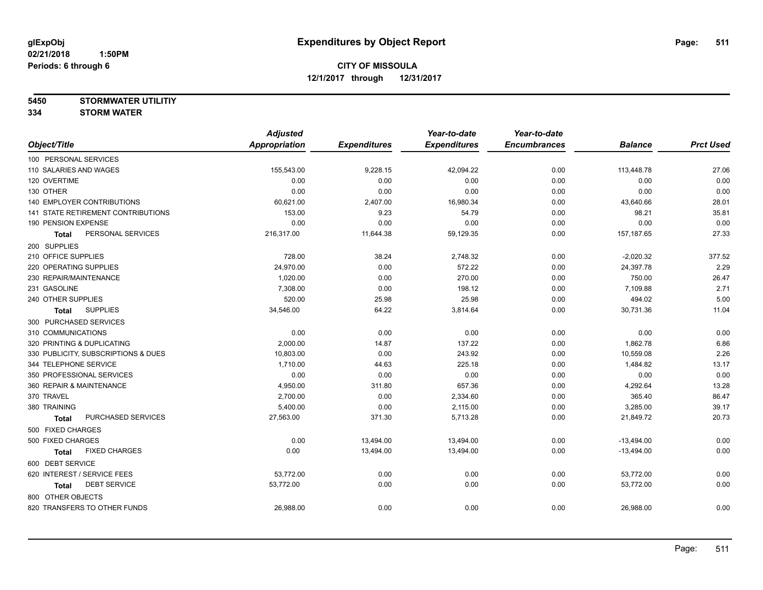**5450 STORMWATER UTILITIY**

**334 STORM WATER**

|                                      | <b>Adjusted</b>      |                     | Year-to-date        | Year-to-date        |                |                  |
|--------------------------------------|----------------------|---------------------|---------------------|---------------------|----------------|------------------|
| Object/Title                         | <b>Appropriation</b> | <b>Expenditures</b> | <b>Expenditures</b> | <b>Encumbrances</b> | <b>Balance</b> | <b>Prct Used</b> |
| 100 PERSONAL SERVICES                |                      |                     |                     |                     |                |                  |
| 110 SALARIES AND WAGES               | 155,543.00           | 9,228.15            | 42,094.22           | 0.00                | 113,448.78     | 27.06            |
| 120 OVERTIME                         | 0.00                 | 0.00                | 0.00                | 0.00                | 0.00           | 0.00             |
| 130 OTHER                            | 0.00                 | 0.00                | 0.00                | 0.00                | 0.00           | 0.00             |
| 140 EMPLOYER CONTRIBUTIONS           | 60,621.00            | 2,407.00            | 16,980.34           | 0.00                | 43,640.66      | 28.01            |
| 141 STATE RETIREMENT CONTRIBUTIONS   | 153.00               | 9.23                | 54.79               | 0.00                | 98.21          | 35.81            |
| 190 PENSION EXPENSE                  | 0.00                 | 0.00                | 0.00                | 0.00                | 0.00           | 0.00             |
| PERSONAL SERVICES<br>Total           | 216,317.00           | 11,644.38           | 59,129.35           | 0.00                | 157, 187. 65   | 27.33            |
| 200 SUPPLIES                         |                      |                     |                     |                     |                |                  |
| 210 OFFICE SUPPLIES                  | 728.00               | 38.24               | 2,748.32            | 0.00                | $-2,020.32$    | 377.52           |
| 220 OPERATING SUPPLIES               | 24,970.00            | 0.00                | 572.22              | 0.00                | 24,397.78      | 2.29             |
| 230 REPAIR/MAINTENANCE               | 1,020.00             | 0.00                | 270.00              | 0.00                | 750.00         | 26.47            |
| 231 GASOLINE                         | 7,308.00             | 0.00                | 198.12              | 0.00                | 7,109.88       | 2.71             |
| 240 OTHER SUPPLIES                   | 520.00               | 25.98               | 25.98               | 0.00                | 494.02         | 5.00             |
| <b>SUPPLIES</b><br><b>Total</b>      | 34,546.00            | 64.22               | 3,814.64            | 0.00                | 30,731.36      | 11.04            |
| 300 PURCHASED SERVICES               |                      |                     |                     |                     |                |                  |
| 310 COMMUNICATIONS                   | 0.00                 | 0.00                | 0.00                | 0.00                | 0.00           | 0.00             |
| 320 PRINTING & DUPLICATING           | 2,000.00             | 14.87               | 137.22              | 0.00                | 1,862.78       | 6.86             |
| 330 PUBLICITY, SUBSCRIPTIONS & DUES  | 10,803.00            | 0.00                | 243.92              | 0.00                | 10,559.08      | 2.26             |
| 344 TELEPHONE SERVICE                | 1,710.00             | 44.63               | 225.18              | 0.00                | 1,484.82       | 13.17            |
| 350 PROFESSIONAL SERVICES            | 0.00                 | 0.00                | 0.00                | 0.00                | 0.00           | 0.00             |
| 360 REPAIR & MAINTENANCE             | 4,950.00             | 311.80              | 657.36              | 0.00                | 4,292.64       | 13.28            |
| 370 TRAVEL                           | 2,700.00             | 0.00                | 2,334.60            | 0.00                | 365.40         | 86.47            |
| 380 TRAINING                         | 5,400.00             | 0.00                | 2,115.00            | 0.00                | 3,285.00       | 39.17            |
| PURCHASED SERVICES<br><b>Total</b>   | 27,563.00            | 371.30              | 5,713.28            | 0.00                | 21,849.72      | 20.73            |
| 500 FIXED CHARGES                    |                      |                     |                     |                     |                |                  |
| 500 FIXED CHARGES                    | 0.00                 | 13,494.00           | 13,494.00           | 0.00                | $-13,494.00$   | 0.00             |
| <b>FIXED CHARGES</b><br><b>Total</b> | 0.00                 | 13,494.00           | 13,494.00           | 0.00                | $-13,494.00$   | 0.00             |
| 600 DEBT SERVICE                     |                      |                     |                     |                     |                |                  |
| 620 INTEREST / SERVICE FEES          | 53,772.00            | 0.00                | 0.00                | 0.00                | 53,772.00      | 0.00             |
| <b>DEBT SERVICE</b><br><b>Total</b>  | 53,772.00            | 0.00                | 0.00                | 0.00                | 53,772.00      | 0.00             |
| 800 OTHER OBJECTS                    |                      |                     |                     |                     |                |                  |
| 820 TRANSFERS TO OTHER FUNDS         | 26,988.00            | 0.00                | 0.00                | 0.00                | 26,988.00      | 0.00             |
|                                      |                      |                     |                     |                     |                |                  |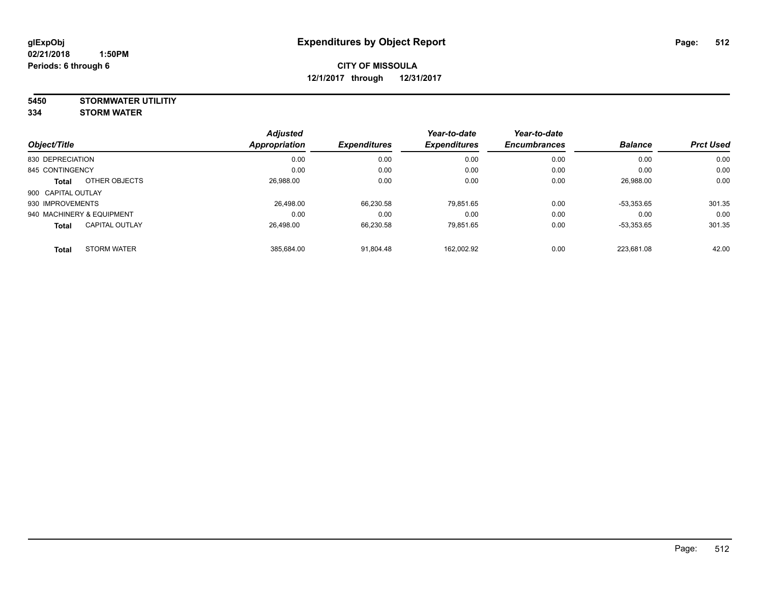**5450 STORMWATER UTILITIY 334 STORM WATER**

| Object/Title              |                       | <b>Adjusted</b><br>Appropriation | <b>Expenditures</b> | Year-to-date<br><b>Expenditures</b> | Year-to-date<br><b>Encumbrances</b> | <b>Balance</b> | <b>Prct Used</b> |
|---------------------------|-----------------------|----------------------------------|---------------------|-------------------------------------|-------------------------------------|----------------|------------------|
| 830 DEPRECIATION          |                       | 0.00                             | 0.00                | 0.00                                | 0.00                                | 0.00           | 0.00             |
| 845 CONTINGENCY           |                       | 0.00                             | 0.00                | 0.00                                | 0.00                                | 0.00           | 0.00             |
| Total                     | OTHER OBJECTS         | 26.988.00                        | 0.00                | 0.00                                | 0.00                                | 26.988.00      | 0.00             |
| 900 CAPITAL OUTLAY        |                       |                                  |                     |                                     |                                     |                |                  |
| 930 IMPROVEMENTS          |                       | 26.498.00                        | 66,230.58           | 79.851.65                           | 0.00                                | $-53.353.65$   | 301.35           |
| 940 MACHINERY & EQUIPMENT |                       | 0.00                             | 0.00                | 0.00                                | 0.00                                | 0.00           | 0.00             |
| <b>Total</b>              | <b>CAPITAL OUTLAY</b> | 26.498.00                        | 66,230.58           | 79.851.65                           | 0.00                                | $-53,353.65$   | 301.35           |
| <b>Total</b>              | <b>STORM WATER</b>    | 385.684.00                       | 91.804.48           | 162.002.92                          | 0.00                                | 223.681.08     | 42.00            |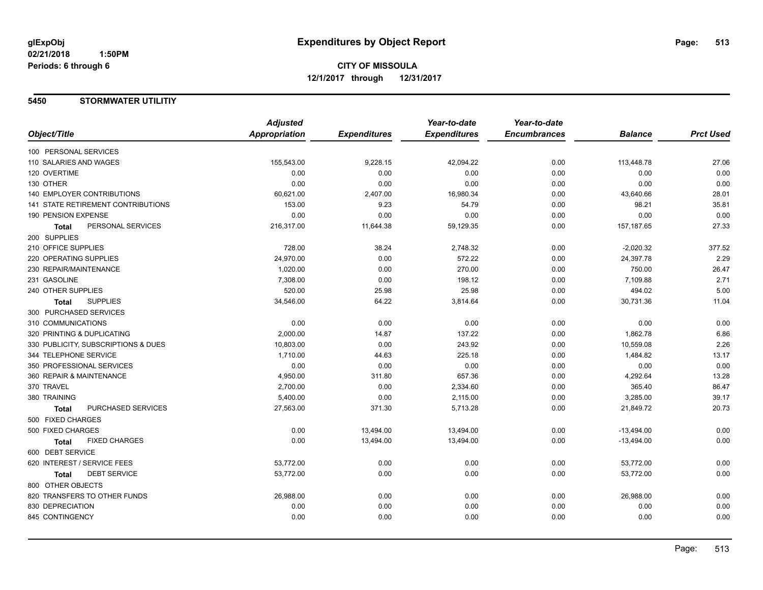## **5450 STORMWATER UTILITIY**

|                                      | <b>Adjusted</b> |                     | Year-to-date        | Year-to-date        |                |                  |
|--------------------------------------|-----------------|---------------------|---------------------|---------------------|----------------|------------------|
| Object/Title                         | Appropriation   | <b>Expenditures</b> | <b>Expenditures</b> | <b>Encumbrances</b> | <b>Balance</b> | <b>Prct Used</b> |
| 100 PERSONAL SERVICES                |                 |                     |                     |                     |                |                  |
| 110 SALARIES AND WAGES               | 155,543.00      | 9,228.15            | 42,094.22           | 0.00                | 113,448.78     | 27.06            |
| 120 OVERTIME                         | 0.00            | 0.00                | 0.00                | 0.00                | 0.00           | 0.00             |
| 130 OTHER                            | 0.00            | 0.00                | 0.00                | 0.00                | 0.00           | 0.00             |
| <b>140 EMPLOYER CONTRIBUTIONS</b>    | 60,621.00       | 2,407.00            | 16,980.34           | 0.00                | 43,640.66      | 28.01            |
| 141 STATE RETIREMENT CONTRIBUTIONS   | 153.00          | 9.23                | 54.79               | 0.00                | 98.21          | 35.81            |
| 190 PENSION EXPENSE                  | 0.00            | 0.00                | 0.00                | 0.00                | 0.00           | 0.00             |
| PERSONAL SERVICES<br><b>Total</b>    | 216,317.00      | 11,644.38           | 59,129.35           | 0.00                | 157, 187.65    | 27.33            |
| 200 SUPPLIES                         |                 |                     |                     |                     |                |                  |
| 210 OFFICE SUPPLIES                  | 728.00          | 38.24               | 2,748.32            | 0.00                | $-2,020.32$    | 377.52           |
| 220 OPERATING SUPPLIES               | 24,970.00       | 0.00                | 572.22              | 0.00                | 24,397.78      | 2.29             |
| 230 REPAIR/MAINTENANCE               | 1,020.00        | 0.00                | 270.00              | 0.00                | 750.00         | 26.47            |
| 231 GASOLINE                         | 7,308.00        | 0.00                | 198.12              | 0.00                | 7,109.88       | 2.71             |
| 240 OTHER SUPPLIES                   | 520.00          | 25.98               | 25.98               | 0.00                | 494.02         | 5.00             |
| <b>SUPPLIES</b><br>Total             | 34,546.00       | 64.22               | 3,814.64            | 0.00                | 30,731.36      | 11.04            |
| 300 PURCHASED SERVICES               |                 |                     |                     |                     |                |                  |
| 310 COMMUNICATIONS                   | 0.00            | 0.00                | 0.00                | 0.00                | 0.00           | 0.00             |
| 320 PRINTING & DUPLICATING           | 2,000.00        | 14.87               | 137.22              | 0.00                | 1,862.78       | 6.86             |
| 330 PUBLICITY, SUBSCRIPTIONS & DUES  | 10,803.00       | 0.00                | 243.92              | 0.00                | 10,559.08      | 2.26             |
| 344 TELEPHONE SERVICE                | 1,710.00        | 44.63               | 225.18              | 0.00                | 1,484.82       | 13.17            |
| 350 PROFESSIONAL SERVICES            | 0.00            | 0.00                | 0.00                | 0.00                | 0.00           | 0.00             |
| 360 REPAIR & MAINTENANCE             | 4,950.00        | 311.80              | 657.36              | 0.00                | 4,292.64       | 13.28            |
| 370 TRAVEL                           | 2,700.00        | 0.00                | 2,334.60            | 0.00                | 365.40         | 86.47            |
| 380 TRAINING                         | 5,400.00        | 0.00                | 2,115.00            | 0.00                | 3,285.00       | 39.17            |
| PURCHASED SERVICES<br><b>Total</b>   | 27,563.00       | 371.30              | 5,713.28            | 0.00                | 21,849.72      | 20.73            |
| 500 FIXED CHARGES                    |                 |                     |                     |                     |                |                  |
| 500 FIXED CHARGES                    | 0.00            | 13,494.00           | 13,494.00           | 0.00                | $-13,494.00$   | 0.00             |
| <b>FIXED CHARGES</b><br><b>Total</b> | 0.00            | 13,494.00           | 13,494.00           | 0.00                | $-13,494.00$   | 0.00             |
| 600 DEBT SERVICE                     |                 |                     |                     |                     |                |                  |
| 620 INTEREST / SERVICE FEES          | 53,772.00       | 0.00                | 0.00                | 0.00                | 53,772.00      | 0.00             |
| <b>DEBT SERVICE</b><br><b>Total</b>  | 53,772.00       | 0.00                | 0.00                | 0.00                | 53,772.00      | 0.00             |
| 800 OTHER OBJECTS                    |                 |                     |                     |                     |                |                  |
| 820 TRANSFERS TO OTHER FUNDS         | 26,988.00       | 0.00                | 0.00                | 0.00                | 26,988.00      | 0.00             |
| 830 DEPRECIATION                     | 0.00            | 0.00                | 0.00                | 0.00                | 0.00           | 0.00             |
| 845 CONTINGENCY                      | 0.00            | 0.00                | 0.00                | 0.00                | 0.00           | 0.00             |
|                                      |                 |                     |                     |                     |                |                  |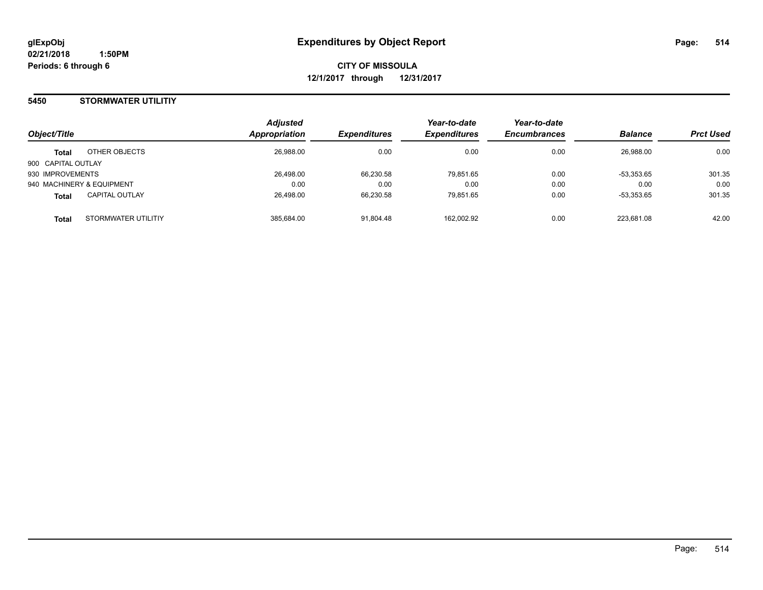**CITY OF MISSOULA 12/1/2017 through 12/31/2017**

## **5450 STORMWATER UTILITIY**

| Object/Title       |                           | <b>Adjusted</b><br>Appropriation | <b>Expenditures</b> | Year-to-date<br><b>Expenditures</b> | Year-to-date<br><b>Encumbrances</b> | <b>Balance</b> | <b>Prct Used</b> |
|--------------------|---------------------------|----------------------------------|---------------------|-------------------------------------|-------------------------------------|----------------|------------------|
|                    |                           |                                  |                     |                                     |                                     |                |                  |
| <b>Total</b>       | OTHER OBJECTS             | 26,988.00                        | 0.00                | 0.00                                | 0.00                                | 26,988.00      | 0.00             |
| 900 CAPITAL OUTLAY |                           |                                  |                     |                                     |                                     |                |                  |
| 930 IMPROVEMENTS   |                           | 26,498.00                        | 66,230.58           | 79,851.65                           | 0.00                                | $-53,353.65$   | 301.35           |
|                    | 940 MACHINERY & EQUIPMENT | 0.00                             | 0.00                | 0.00                                | 0.00                                | 0.00           | 0.00             |
| <b>Total</b>       | <b>CAPITAL OUTLAY</b>     | 26,498.00                        | 66,230.58           | 79,851.65                           | 0.00                                | $-53,353.65$   | 301.35           |
| <b>Total</b>       | STORMWATER UTILITIY       | 385.684.00                       | 91,804.48           | 162.002.92                          | 0.00                                | 223.681.08     | 42.00            |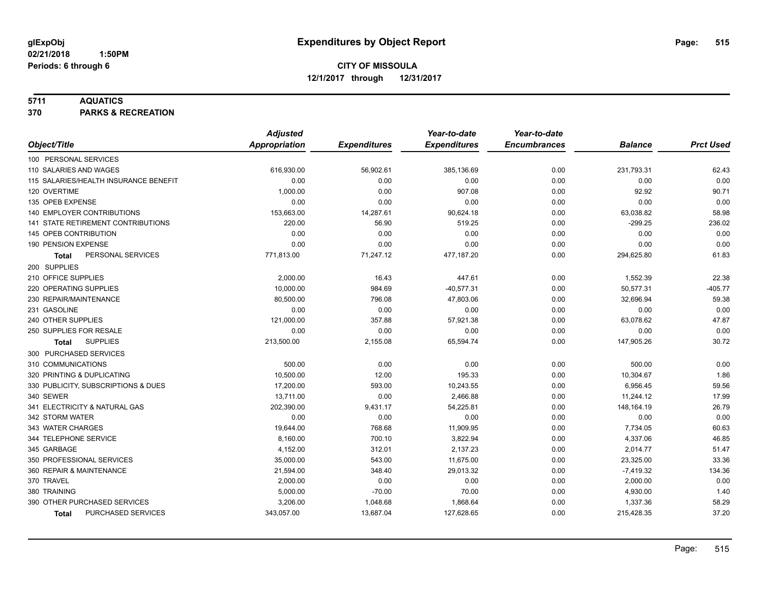## **5711 AQUATICS**

**370 PARKS & RECREATION**

|                                       | <b>Adjusted</b>      |                     | Year-to-date        | Year-to-date        |                |                  |
|---------------------------------------|----------------------|---------------------|---------------------|---------------------|----------------|------------------|
| Object/Title                          | <b>Appropriation</b> | <b>Expenditures</b> | <b>Expenditures</b> | <b>Encumbrances</b> | <b>Balance</b> | <b>Prct Used</b> |
| 100 PERSONAL SERVICES                 |                      |                     |                     |                     |                |                  |
| 110 SALARIES AND WAGES                | 616,930.00           | 56,902.61           | 385,136.69          | 0.00                | 231,793.31     | 62.43            |
| 115 SALARIES/HEALTH INSURANCE BENEFIT | 0.00                 | 0.00                | 0.00                | 0.00                | 0.00           | 0.00             |
| 120 OVERTIME                          | 1,000.00             | 0.00                | 907.08              | 0.00                | 92.92          | 90.71            |
| 135 OPEB EXPENSE                      | 0.00                 | 0.00                | 0.00                | 0.00                | 0.00           | 0.00             |
| <b>140 EMPLOYER CONTRIBUTIONS</b>     | 153,663.00           | 14,287.61           | 90,624.18           | 0.00                | 63,038.82      | 58.98            |
| 141 STATE RETIREMENT CONTRIBUTIONS    | 220.00               | 56.90               | 519.25              | 0.00                | $-299.25$      | 236.02           |
| 145 OPEB CONTRIBUTION                 | 0.00                 | 0.00                | 0.00                | 0.00                | 0.00           | 0.00             |
| 190 PENSION EXPENSE                   | 0.00                 | 0.00                | 0.00                | 0.00                | 0.00           | 0.00             |
| PERSONAL SERVICES<br>Total            | 771,813.00           | 71,247.12           | 477,187.20          | 0.00                | 294,625.80     | 61.83            |
| 200 SUPPLIES                          |                      |                     |                     |                     |                |                  |
| 210 OFFICE SUPPLIES                   | 2,000.00             | 16.43               | 447.61              | 0.00                | 1,552.39       | 22.38            |
| 220 OPERATING SUPPLIES                | 10,000.00            | 984.69              | $-40,577.31$        | 0.00                | 50,577.31      | $-405.77$        |
| 230 REPAIR/MAINTENANCE                | 80,500.00            | 796.08              | 47,803.06           | 0.00                | 32,696.94      | 59.38            |
| 231 GASOLINE                          | 0.00                 | 0.00                | 0.00                | 0.00                | 0.00           | 0.00             |
| 240 OTHER SUPPLIES                    | 121,000.00           | 357.88              | 57,921.38           | 0.00                | 63,078.62      | 47.87            |
| 250 SUPPLIES FOR RESALE               | 0.00                 | 0.00                | 0.00                | 0.00                | 0.00           | 0.00             |
| <b>SUPPLIES</b><br>Total              | 213,500.00           | 2,155.08            | 65,594.74           | 0.00                | 147,905.26     | 30.72            |
| 300 PURCHASED SERVICES                |                      |                     |                     |                     |                |                  |
| 310 COMMUNICATIONS                    | 500.00               | 0.00                | 0.00                | 0.00                | 500.00         | 0.00             |
| 320 PRINTING & DUPLICATING            | 10,500.00            | 12.00               | 195.33              | 0.00                | 10,304.67      | 1.86             |
| 330 PUBLICITY, SUBSCRIPTIONS & DUES   | 17,200.00            | 593.00              | 10,243.55           | 0.00                | 6,956.45       | 59.56            |
| 340 SEWER                             | 13,711.00            | 0.00                | 2,466.88            | 0.00                | 11,244.12      | 17.99            |
| 341 ELECTRICITY & NATURAL GAS         | 202,390.00           | 9,431.17            | 54,225.81           | 0.00                | 148,164.19     | 26.79            |
| 342 STORM WATER                       | 0.00                 | 0.00                | 0.00                | 0.00                | 0.00           | 0.00             |
| 343 WATER CHARGES                     | 19,644.00            | 768.68              | 11,909.95           | 0.00                | 7,734.05       | 60.63            |
| 344 TELEPHONE SERVICE                 | 8,160.00             | 700.10              | 3,822.94            | 0.00                | 4,337.06       | 46.85            |
| 345 GARBAGE                           | 4,152.00             | 312.01              | 2,137.23            | 0.00                | 2,014.77       | 51.47            |
| 350 PROFESSIONAL SERVICES             | 35,000.00            | 543.00              | 11,675.00           | 0.00                | 23,325.00      | 33.36            |
| 360 REPAIR & MAINTENANCE              | 21,594.00            | 348.40              | 29,013.32           | 0.00                | $-7,419.32$    | 134.36           |
| 370 TRAVEL                            | 2,000.00             | 0.00                | 0.00                | 0.00                | 2,000.00       | 0.00             |
| 380 TRAINING                          | 5,000.00             | $-70.00$            | 70.00               | 0.00                | 4,930.00       | 1.40             |
| 390 OTHER PURCHASED SERVICES          | 3,206.00             | 1,048.68            | 1,868.64            | 0.00                | 1,337.36       | 58.29            |
| PURCHASED SERVICES<br>Total           | 343,057.00           | 13,687.04           | 127,628.65          | 0.00                | 215,428.35     | 37.20            |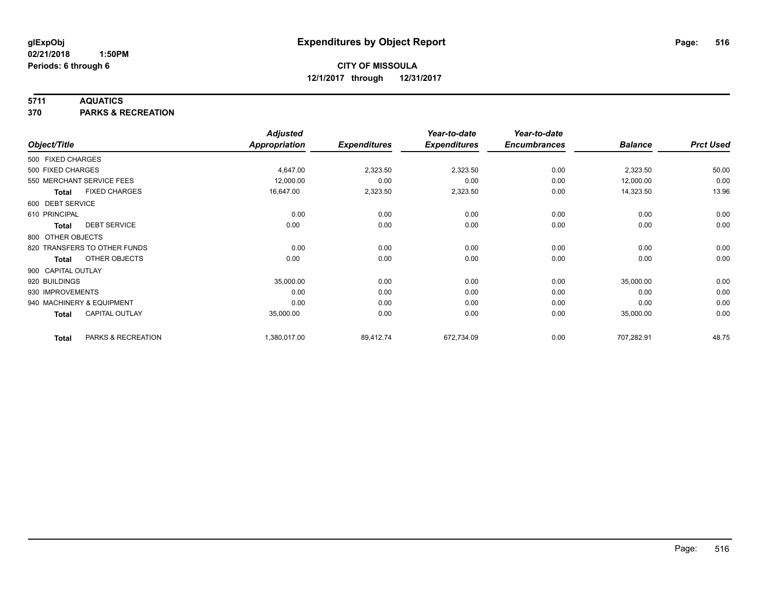## **5711 AQUATICS**

**370 PARKS & RECREATION**

|                    |                              | <b>Adjusted</b> |                     | Year-to-date        | Year-to-date        |                |                  |
|--------------------|------------------------------|-----------------|---------------------|---------------------|---------------------|----------------|------------------|
| Object/Title       |                              | Appropriation   | <b>Expenditures</b> | <b>Expenditures</b> | <b>Encumbrances</b> | <b>Balance</b> | <b>Prct Used</b> |
| 500 FIXED CHARGES  |                              |                 |                     |                     |                     |                |                  |
| 500 FIXED CHARGES  |                              | 4,647.00        | 2,323.50            | 2,323.50            | 0.00                | 2,323.50       | 50.00            |
|                    | 550 MERCHANT SERVICE FEES    | 12,000.00       | 0.00                | 0.00                | 0.00                | 12,000.00      | 0.00             |
| Total              | <b>FIXED CHARGES</b>         | 16,647.00       | 2,323.50            | 2,323.50            | 0.00                | 14,323.50      | 13.96            |
| 600 DEBT SERVICE   |                              |                 |                     |                     |                     |                |                  |
| 610 PRINCIPAL      |                              | 0.00            | 0.00                | 0.00                | 0.00                | 0.00           | 0.00             |
| <b>Total</b>       | <b>DEBT SERVICE</b>          | 0.00            | 0.00                | 0.00                | 0.00                | 0.00           | 0.00             |
| 800 OTHER OBJECTS  |                              |                 |                     |                     |                     |                |                  |
|                    | 820 TRANSFERS TO OTHER FUNDS | 0.00            | 0.00                | 0.00                | 0.00                | 0.00           | 0.00             |
| <b>Total</b>       | OTHER OBJECTS                | 0.00            | 0.00                | 0.00                | 0.00                | 0.00           | 0.00             |
| 900 CAPITAL OUTLAY |                              |                 |                     |                     |                     |                |                  |
| 920 BUILDINGS      |                              | 35,000.00       | 0.00                | 0.00                | 0.00                | 35,000.00      | 0.00             |
| 930 IMPROVEMENTS   |                              | 0.00            | 0.00                | 0.00                | 0.00                | 0.00           | 0.00             |
|                    | 940 MACHINERY & EQUIPMENT    | 0.00            | 0.00                | 0.00                | 0.00                | 0.00           | 0.00             |
| <b>Total</b>       | <b>CAPITAL OUTLAY</b>        | 35,000.00       | 0.00                | 0.00                | 0.00                | 35,000.00      | 0.00             |
| <b>Total</b>       | PARKS & RECREATION           | 1,380,017.00    | 89,412.74           | 672,734.09          | 0.00                | 707,282.91     | 48.75            |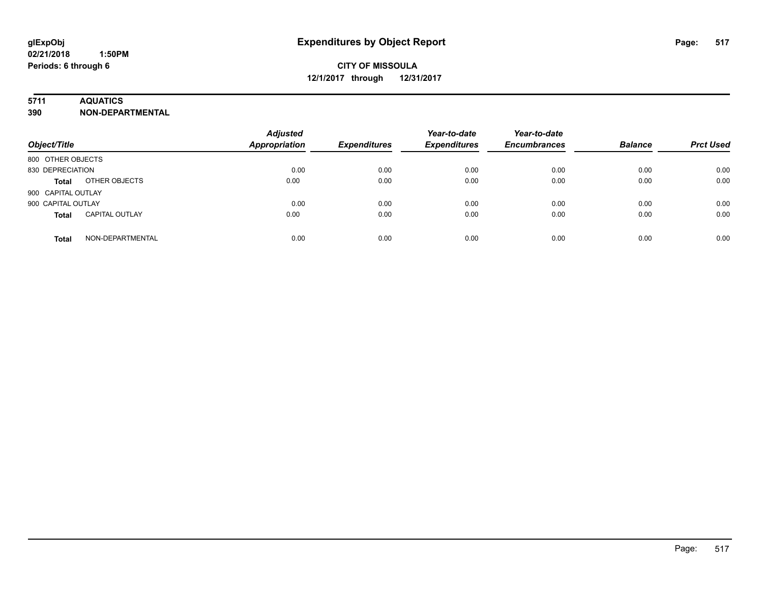## **5711 AQUATICS**

**390 NON-DEPARTMENTAL**

| Object/Title                          | <b>Adjusted</b><br><b>Appropriation</b> | <b>Expenditures</b> | Year-to-date<br><b>Expenditures</b> | Year-to-date<br><b>Encumbrances</b> | <b>Balance</b> | <b>Prct Used</b> |
|---------------------------------------|-----------------------------------------|---------------------|-------------------------------------|-------------------------------------|----------------|------------------|
| 800 OTHER OBJECTS                     |                                         |                     |                                     |                                     |                |                  |
| 830 DEPRECIATION                      | 0.00                                    | 0.00                | 0.00                                | 0.00                                | 0.00           | 0.00             |
| OTHER OBJECTS<br><b>Total</b>         | 0.00                                    | 0.00                | 0.00                                | 0.00                                | 0.00           | 0.00             |
| 900 CAPITAL OUTLAY                    |                                         |                     |                                     |                                     |                |                  |
| 900 CAPITAL OUTLAY                    | 0.00                                    | 0.00                | 0.00                                | 0.00                                | 0.00           | 0.00             |
| <b>CAPITAL OUTLAY</b><br><b>Total</b> | 0.00                                    | 0.00                | 0.00                                | 0.00                                | 0.00           | 0.00             |
| NON-DEPARTMENTAL<br><b>Total</b>      | 0.00                                    | 0.00                | 0.00                                | 0.00                                | 0.00           | 0.00             |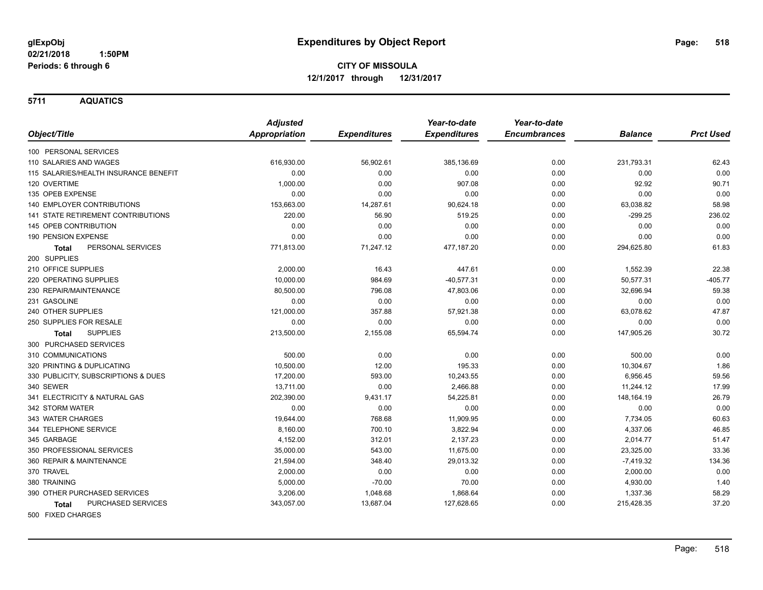**5711 AQUATICS**

|                                           | <b>Adjusted</b>      |                     | Year-to-date        | Year-to-date        |                |                  |
|-------------------------------------------|----------------------|---------------------|---------------------|---------------------|----------------|------------------|
| Object/Title                              | <b>Appropriation</b> | <b>Expenditures</b> | <b>Expenditures</b> | <b>Encumbrances</b> | <b>Balance</b> | <b>Prct Used</b> |
| 100 PERSONAL SERVICES                     |                      |                     |                     |                     |                |                  |
| 110 SALARIES AND WAGES                    | 616,930.00           | 56,902.61           | 385,136.69          | 0.00                | 231,793.31     | 62.43            |
| 115 SALARIES/HEALTH INSURANCE BENEFIT     | 0.00                 | 0.00                | 0.00                | 0.00                | 0.00           | 0.00             |
| 120 OVERTIME                              | 1,000.00             | 0.00                | 907.08              | 0.00                | 92.92          | 90.71            |
| 135 OPEB EXPENSE                          | 0.00                 | 0.00                | 0.00                | 0.00                | 0.00           | 0.00             |
| <b>140 EMPLOYER CONTRIBUTIONS</b>         | 153,663.00           | 14,287.61           | 90,624.18           | 0.00                | 63,038.82      | 58.98            |
| <b>141 STATE RETIREMENT CONTRIBUTIONS</b> | 220.00               | 56.90               | 519.25              | 0.00                | $-299.25$      | 236.02           |
| 145 OPEB CONTRIBUTION                     | 0.00                 | 0.00                | 0.00                | 0.00                | 0.00           | 0.00             |
| 190 PENSION EXPENSE                       | 0.00                 | 0.00                | 0.00                | 0.00                | 0.00           | 0.00             |
| PERSONAL SERVICES<br><b>Total</b>         | 771,813.00           | 71,247.12           | 477,187.20          | 0.00                | 294,625.80     | 61.83            |
| 200 SUPPLIES                              |                      |                     |                     |                     |                |                  |
| 210 OFFICE SUPPLIES                       | 2,000.00             | 16.43               | 447.61              | 0.00                | 1,552.39       | 22.38            |
| 220 OPERATING SUPPLIES                    | 10,000.00            | 984.69              | $-40,577.31$        | 0.00                | 50,577.31      | $-405.77$        |
| 230 REPAIR/MAINTENANCE                    | 80,500.00            | 796.08              | 47,803.06           | 0.00                | 32,696.94      | 59.38            |
| 231 GASOLINE                              | 0.00                 | 0.00                | 0.00                | 0.00                | 0.00           | 0.00             |
| 240 OTHER SUPPLIES                        | 121,000.00           | 357.88              | 57,921.38           | 0.00                | 63,078.62      | 47.87            |
| 250 SUPPLIES FOR RESALE                   | 0.00                 | 0.00                | 0.00                | 0.00                | 0.00           | 0.00             |
| <b>SUPPLIES</b><br><b>Total</b>           | 213,500.00           | 2,155.08            | 65,594.74           | 0.00                | 147,905.26     | 30.72            |
| 300 PURCHASED SERVICES                    |                      |                     |                     |                     |                |                  |
| 310 COMMUNICATIONS                        | 500.00               | 0.00                | 0.00                | 0.00                | 500.00         | 0.00             |
| 320 PRINTING & DUPLICATING                | 10,500.00            | 12.00               | 195.33              | 0.00                | 10,304.67      | 1.86             |
| 330 PUBLICITY, SUBSCRIPTIONS & DUES       | 17,200.00            | 593.00              | 10,243.55           | 0.00                | 6,956.45       | 59.56            |
| 340 SEWER                                 | 13,711.00            | 0.00                | 2,466.88            | 0.00                | 11,244.12      | 17.99            |
| 341 ELECTRICITY & NATURAL GAS             | 202,390.00           | 9,431.17            | 54,225.81           | 0.00                | 148,164.19     | 26.79            |
| 342 STORM WATER                           | 0.00                 | 0.00                | 0.00                | 0.00                | 0.00           | 0.00             |
| 343 WATER CHARGES                         | 19,644.00            | 768.68              | 11,909.95           | 0.00                | 7,734.05       | 60.63            |
| 344 TELEPHONE SERVICE                     | 8,160.00             | 700.10              | 3,822.94            | 0.00                | 4,337.06       | 46.85            |
| 345 GARBAGE                               | 4,152.00             | 312.01              | 2,137.23            | 0.00                | 2,014.77       | 51.47            |
| 350 PROFESSIONAL SERVICES                 | 35,000.00            | 543.00              | 11,675.00           | 0.00                | 23,325.00      | 33.36            |
| 360 REPAIR & MAINTENANCE                  | 21,594.00            | 348.40              | 29,013.32           | 0.00                | $-7,419.32$    | 134.36           |
| 370 TRAVEL                                | 2,000.00             | 0.00                | 0.00                | 0.00                | 2,000.00       | 0.00             |
| 380 TRAINING                              | 5,000.00             | $-70.00$            | 70.00               | 0.00                | 4,930.00       | 1.40             |
| 390 OTHER PURCHASED SERVICES              | 3,206.00             | 1,048.68            | 1,868.64            | 0.00                | 1,337.36       | 58.29            |
| <b>PURCHASED SERVICES</b><br><b>Total</b> | 343,057.00           | 13,687.04           | 127,628.65          | 0.00                | 215,428.35     | 37.20            |
|                                           |                      |                     |                     |                     |                |                  |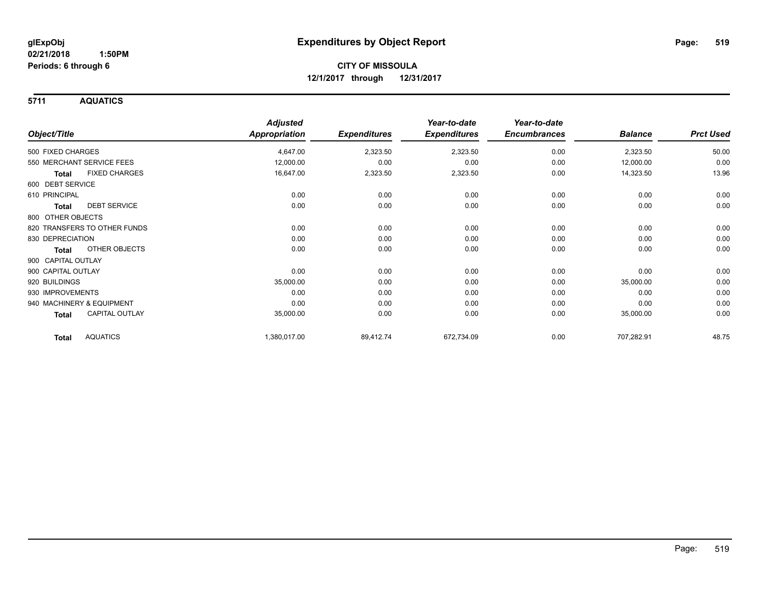**5711 AQUATICS**

|                    |                              | <b>Adjusted</b>      |                     | Year-to-date        | Year-to-date        |                |                  |
|--------------------|------------------------------|----------------------|---------------------|---------------------|---------------------|----------------|------------------|
| Object/Title       |                              | <b>Appropriation</b> | <b>Expenditures</b> | <b>Expenditures</b> | <b>Encumbrances</b> | <b>Balance</b> | <b>Prct Used</b> |
| 500 FIXED CHARGES  |                              | 4,647.00             | 2,323.50            | 2,323.50            | 0.00                | 2,323.50       | 50.00            |
|                    | 550 MERCHANT SERVICE FEES    | 12,000.00            | 0.00                | 0.00                | 0.00                | 12,000.00      | 0.00             |
| <b>Total</b>       | <b>FIXED CHARGES</b>         | 16,647.00            | 2,323.50            | 2,323.50            | 0.00                | 14,323.50      | 13.96            |
| 600 DEBT SERVICE   |                              |                      |                     |                     |                     |                |                  |
| 610 PRINCIPAL      |                              | 0.00                 | 0.00                | 0.00                | 0.00                | 0.00           | 0.00             |
| <b>Total</b>       | <b>DEBT SERVICE</b>          | 0.00                 | 0.00                | 0.00                | 0.00                | 0.00           | 0.00             |
| 800 OTHER OBJECTS  |                              |                      |                     |                     |                     |                |                  |
|                    | 820 TRANSFERS TO OTHER FUNDS | 0.00                 | 0.00                | 0.00                | 0.00                | 0.00           | 0.00             |
| 830 DEPRECIATION   |                              | 0.00                 | 0.00                | 0.00                | 0.00                | 0.00           | 0.00             |
| <b>Total</b>       | OTHER OBJECTS                | 0.00                 | 0.00                | 0.00                | 0.00                | 0.00           | 0.00             |
| 900 CAPITAL OUTLAY |                              |                      |                     |                     |                     |                |                  |
| 900 CAPITAL OUTLAY |                              | 0.00                 | 0.00                | 0.00                | 0.00                | 0.00           | 0.00             |
| 920 BUILDINGS      |                              | 35,000.00            | 0.00                | 0.00                | 0.00                | 35,000.00      | 0.00             |
| 930 IMPROVEMENTS   |                              | 0.00                 | 0.00                | 0.00                | 0.00                | 0.00           | 0.00             |
|                    | 940 MACHINERY & EQUIPMENT    | 0.00                 | 0.00                | 0.00                | 0.00                | 0.00           | 0.00             |
| <b>Total</b>       | <b>CAPITAL OUTLAY</b>        | 35,000.00            | 0.00                | 0.00                | 0.00                | 35,000.00      | 0.00             |
| <b>Total</b>       | <b>AQUATICS</b>              | 1,380,017.00         | 89,412.74           | 672,734.09          | 0.00                | 707,282.91     | 48.75            |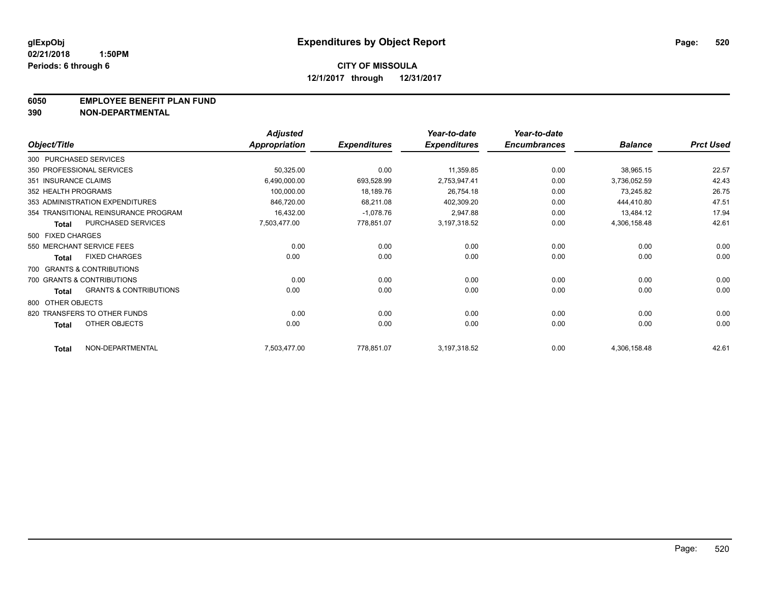### **6050 EMPLOYEE BENEFIT PLAN FUND**

**390 NON-DEPARTMENTAL**

|                      |                                      | <b>Adjusted</b> |                     | Year-to-date        | Year-to-date        |                |                  |
|----------------------|--------------------------------------|-----------------|---------------------|---------------------|---------------------|----------------|------------------|
| Object/Title         |                                      | Appropriation   | <b>Expenditures</b> | <b>Expenditures</b> | <b>Encumbrances</b> | <b>Balance</b> | <b>Prct Used</b> |
|                      | 300 PURCHASED SERVICES               |                 |                     |                     |                     |                |                  |
|                      | 350 PROFESSIONAL SERVICES            | 50,325.00       | 0.00                | 11,359.85           | 0.00                | 38,965.15      | 22.57            |
| 351 INSURANCE CLAIMS |                                      | 6,490,000.00    | 693,528.99          | 2,753,947.41        | 0.00                | 3,736,052.59   | 42.43            |
| 352 HEALTH PROGRAMS  |                                      | 100,000.00      | 18,189.76           | 26,754.18           | 0.00                | 73,245.82      | 26.75            |
|                      | 353 ADMINISTRATION EXPENDITURES      | 846,720.00      | 68,211.08           | 402,309.20          | 0.00                | 444.410.80     | 47.51            |
|                      | 354 TRANSITIONAL REINSURANCE PROGRAM | 16,432.00       | $-1,078.76$         | 2,947.88            | 0.00                | 13,484.12      | 17.94            |
| <b>Total</b>         | PURCHASED SERVICES                   | 7,503,477.00    | 778,851.07          | 3,197,318.52        | 0.00                | 4,306,158.48   | 42.61            |
| 500 FIXED CHARGES    |                                      |                 |                     |                     |                     |                |                  |
|                      | 550 MERCHANT SERVICE FEES            | 0.00            | 0.00                | 0.00                | 0.00                | 0.00           | 0.00             |
| <b>Total</b>         | <b>FIXED CHARGES</b>                 | 0.00            | 0.00                | 0.00                | 0.00                | 0.00           | 0.00             |
|                      | 700 GRANTS & CONTRIBUTIONS           |                 |                     |                     |                     |                |                  |
|                      | 700 GRANTS & CONTRIBUTIONS           | 0.00            | 0.00                | 0.00                | 0.00                | 0.00           | 0.00             |
| <b>Total</b>         | <b>GRANTS &amp; CONTRIBUTIONS</b>    | 0.00            | 0.00                | 0.00                | 0.00                | 0.00           | 0.00             |
| 800 OTHER OBJECTS    |                                      |                 |                     |                     |                     |                |                  |
|                      | 820 TRANSFERS TO OTHER FUNDS         | 0.00            | 0.00                | 0.00                | 0.00                | 0.00           | 0.00             |
| <b>Total</b>         | OTHER OBJECTS                        | 0.00            | 0.00                | 0.00                | 0.00                | 0.00           | 0.00             |
| <b>Total</b>         | NON-DEPARTMENTAL                     | 7,503,477.00    | 778,851.07          | 3,197,318.52        | 0.00                | 4,306,158.48   | 42.61            |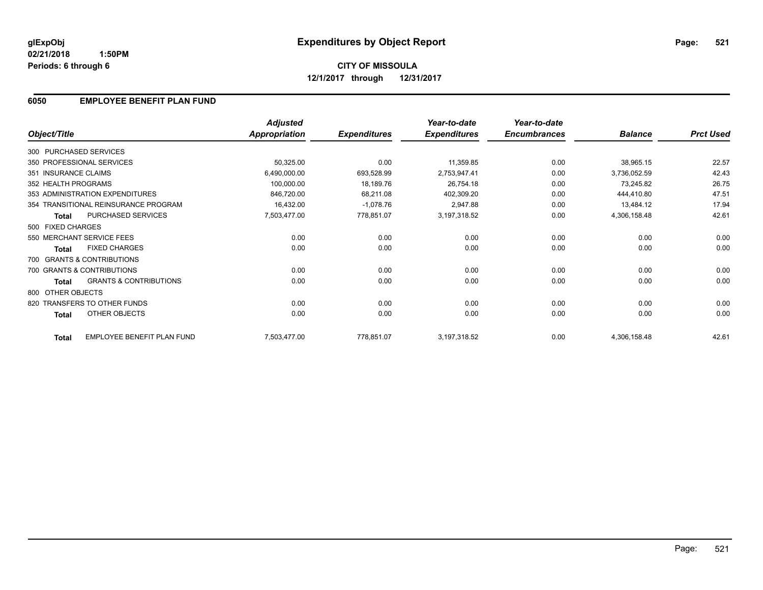## **6050 EMPLOYEE BENEFIT PLAN FUND**

|                      |                                      | <b>Adjusted</b>      |                     | Year-to-date        | Year-to-date        |                |                  |
|----------------------|--------------------------------------|----------------------|---------------------|---------------------|---------------------|----------------|------------------|
| Object/Title         |                                      | <b>Appropriation</b> | <b>Expenditures</b> | <b>Expenditures</b> | <b>Encumbrances</b> | <b>Balance</b> | <b>Prct Used</b> |
|                      | 300 PURCHASED SERVICES               |                      |                     |                     |                     |                |                  |
|                      | 350 PROFESSIONAL SERVICES            | 50,325.00            | 0.00                | 11,359.85           | 0.00                | 38,965.15      | 22.57            |
| 351 INSURANCE CLAIMS |                                      | 6,490,000.00         | 693,528.99          | 2,753,947.41        | 0.00                | 3,736,052.59   | 42.43            |
| 352 HEALTH PROGRAMS  |                                      | 100,000.00           | 18,189.76           | 26,754.18           | 0.00                | 73,245.82      | 26.75            |
|                      | 353 ADMINISTRATION EXPENDITURES      | 846,720.00           | 68,211.08           | 402,309.20          | 0.00                | 444,410.80     | 47.51            |
|                      | 354 TRANSITIONAL REINSURANCE PROGRAM | 16,432.00            | $-1,078.76$         | 2,947.88            | 0.00                | 13,484.12      | 17.94            |
| <b>Total</b>         | PURCHASED SERVICES                   | 7,503,477.00         | 778,851.07          | 3,197,318.52        | 0.00                | 4,306,158.48   | 42.61            |
| 500 FIXED CHARGES    |                                      |                      |                     |                     |                     |                |                  |
|                      | 550 MERCHANT SERVICE FEES            | 0.00                 | 0.00                | 0.00                | 0.00                | 0.00           | 0.00             |
| <b>Total</b>         | <b>FIXED CHARGES</b>                 | 0.00                 | 0.00                | 0.00                | 0.00                | 0.00           | 0.00             |
|                      | 700 GRANTS & CONTRIBUTIONS           |                      |                     |                     |                     |                |                  |
|                      | 700 GRANTS & CONTRIBUTIONS           | 0.00                 | 0.00                | 0.00                | 0.00                | 0.00           | 0.00             |
| Total                | <b>GRANTS &amp; CONTRIBUTIONS</b>    | 0.00                 | 0.00                | 0.00                | 0.00                | 0.00           | 0.00             |
| 800 OTHER OBJECTS    |                                      |                      |                     |                     |                     |                |                  |
|                      | 820 TRANSFERS TO OTHER FUNDS         | 0.00                 | 0.00                | 0.00                | 0.00                | 0.00           | 0.00             |
| <b>Total</b>         | OTHER OBJECTS                        | 0.00                 | 0.00                | 0.00                | 0.00                | 0.00           | 0.00             |
| <b>Total</b>         | <b>EMPLOYEE BENEFIT PLAN FUND</b>    | 7,503,477.00         | 778,851.07          | 3,197,318.52        | 0.00                | 4,306,158.48   | 42.61            |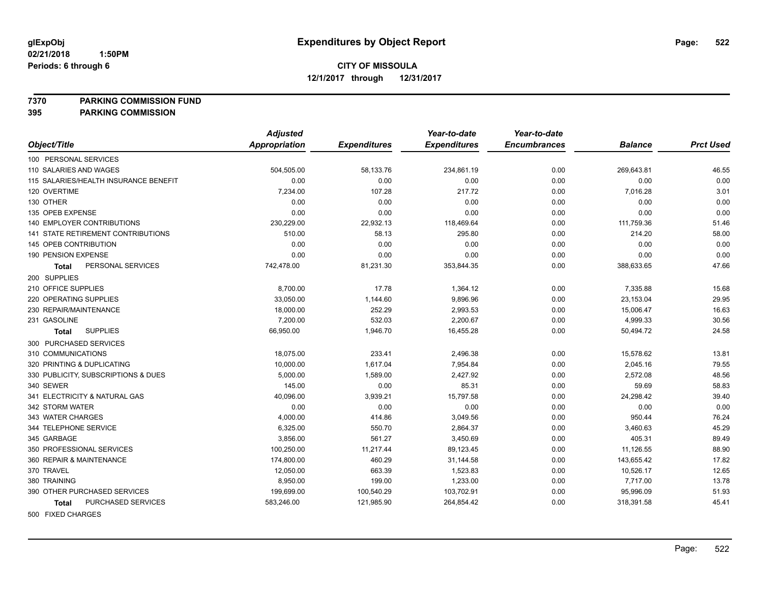**7370 PARKING COMMISSION FUND**

**395 PARKING COMMISSION**

|                                           | <b>Adjusted</b> |                     | Year-to-date        | Year-to-date        |                |                  |
|-------------------------------------------|-----------------|---------------------|---------------------|---------------------|----------------|------------------|
| Object/Title                              | Appropriation   | <b>Expenditures</b> | <b>Expenditures</b> | <b>Encumbrances</b> | <b>Balance</b> | <b>Prct Used</b> |
| 100 PERSONAL SERVICES                     |                 |                     |                     |                     |                |                  |
| 110 SALARIES AND WAGES                    | 504,505.00      | 58,133.76           | 234,861.19          | 0.00                | 269,643.81     | 46.55            |
| 115 SALARIES/HEALTH INSURANCE BENEFIT     | 0.00            | 0.00                | 0.00                | 0.00                | 0.00           | 0.00             |
| 120 OVERTIME                              | 7,234.00        | 107.28              | 217.72              | 0.00                | 7,016.28       | 3.01             |
| 130 OTHER                                 | 0.00            | 0.00                | 0.00                | 0.00                | 0.00           | 0.00             |
| 135 OPEB EXPENSE                          | 0.00            | 0.00                | 0.00                | 0.00                | 0.00           | 0.00             |
| <b>140 EMPLOYER CONTRIBUTIONS</b>         | 230,229.00      | 22,932.13           | 118,469.64          | 0.00                | 111,759.36     | 51.46            |
| <b>141 STATE RETIREMENT CONTRIBUTIONS</b> | 510.00          | 58.13               | 295.80              | 0.00                | 214.20         | 58.00            |
| 145 OPEB CONTRIBUTION                     | 0.00            | 0.00                | 0.00                | 0.00                | 0.00           | 0.00             |
| 190 PENSION EXPENSE                       | 0.00            | 0.00                | 0.00                | 0.00                | 0.00           | 0.00             |
| PERSONAL SERVICES<br><b>Total</b>         | 742,478.00      | 81,231.30           | 353,844.35          | 0.00                | 388,633.65     | 47.66            |
| 200 SUPPLIES                              |                 |                     |                     |                     |                |                  |
| 210 OFFICE SUPPLIES                       | 8,700.00        | 17.78               | 1,364.12            | 0.00                | 7,335.88       | 15.68            |
| 220 OPERATING SUPPLIES                    | 33,050.00       | 1,144.60            | 9,896.96            | 0.00                | 23,153.04      | 29.95            |
| 230 REPAIR/MAINTENANCE                    | 18,000.00       | 252.29              | 2,993.53            | 0.00                | 15,006.47      | 16.63            |
| 231 GASOLINE                              | 7,200.00        | 532.03              | 2,200.67            | 0.00                | 4,999.33       | 30.56            |
| <b>SUPPLIES</b><br><b>Total</b>           | 66,950.00       | 1,946.70            | 16,455.28           | 0.00                | 50,494.72      | 24.58            |
| 300 PURCHASED SERVICES                    |                 |                     |                     |                     |                |                  |
| 310 COMMUNICATIONS                        | 18,075.00       | 233.41              | 2,496.38            | 0.00                | 15,578.62      | 13.81            |
| 320 PRINTING & DUPLICATING                | 10,000.00       | 1,617.04            | 7,954.84            | 0.00                | 2,045.16       | 79.55            |
| 330 PUBLICITY, SUBSCRIPTIONS & DUES       | 5,000.00        | 1,589.00            | 2,427.92            | 0.00                | 2,572.08       | 48.56            |
| 340 SEWER                                 | 145.00          | 0.00                | 85.31               | 0.00                | 59.69          | 58.83            |
| 341 ELECTRICITY & NATURAL GAS             | 40,096.00       | 3,939.21            | 15,797.58           | 0.00                | 24,298.42      | 39.40            |
| 342 STORM WATER                           | 0.00            | 0.00                | 0.00                | 0.00                | 0.00           | 0.00             |
| 343 WATER CHARGES                         | 4,000.00        | 414.86              | 3,049.56            | 0.00                | 950.44         | 76.24            |
| 344 TELEPHONE SERVICE                     | 6,325.00        | 550.70              | 2,864.37            | 0.00                | 3,460.63       | 45.29            |
| 345 GARBAGE                               | 3,856.00        | 561.27              | 3,450.69            | 0.00                | 405.31         | 89.49            |
| 350 PROFESSIONAL SERVICES                 | 100,250.00      | 11,217.44           | 89,123.45           | 0.00                | 11,126.55      | 88.90            |
| 360 REPAIR & MAINTENANCE                  | 174,800.00      | 460.29              | 31,144.58           | 0.00                | 143,655.42     | 17.82            |
| 370 TRAVEL                                | 12,050.00       | 663.39              | 1,523.83            | 0.00                | 10,526.17      | 12.65            |
| 380 TRAINING                              | 8,950.00        | 199.00              | 1,233.00            | 0.00                | 7,717.00       | 13.78            |
| 390 OTHER PURCHASED SERVICES              | 199,699.00      | 100,540.29          | 103,702.91          | 0.00                | 95,996.09      | 51.93            |
| <b>PURCHASED SERVICES</b><br>Total        | 583,246.00      | 121,985.90          | 264,854.42          | 0.00                | 318,391.58     | 45.41            |
| $F(A) = F(A)F(A)$                         |                 |                     |                     |                     |                |                  |

500 FIXED CHARGES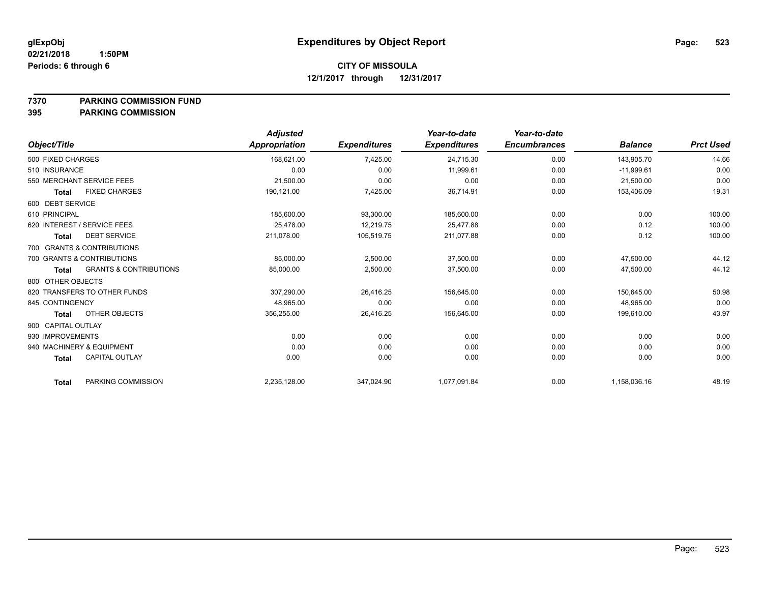**7370 PARKING COMMISSION FUND**

**395 PARKING COMMISSION**

|                    |                                   | <b>Adjusted</b> |                     | Year-to-date        | Year-to-date        |                |                  |
|--------------------|-----------------------------------|-----------------|---------------------|---------------------|---------------------|----------------|------------------|
| Object/Title       |                                   | Appropriation   | <b>Expenditures</b> | <b>Expenditures</b> | <b>Encumbrances</b> | <b>Balance</b> | <b>Prct Used</b> |
| 500 FIXED CHARGES  |                                   | 168,621.00      | 7,425.00            | 24,715.30           | 0.00                | 143,905.70     | 14.66            |
| 510 INSURANCE      |                                   | 0.00            | 0.00                | 11,999.61           | 0.00                | $-11,999.61$   | 0.00             |
|                    | 550 MERCHANT SERVICE FEES         | 21,500.00       | 0.00                | 0.00                | 0.00                | 21,500.00      | 0.00             |
| <b>Total</b>       | <b>FIXED CHARGES</b>              | 190,121.00      | 7,425.00            | 36,714.91           | 0.00                | 153,406.09     | 19.31            |
| 600 DEBT SERVICE   |                                   |                 |                     |                     |                     |                |                  |
| 610 PRINCIPAL      |                                   | 185,600.00      | 93,300.00           | 185,600.00          | 0.00                | 0.00           | 100.00           |
|                    | 620 INTEREST / SERVICE FEES       | 25.478.00       | 12.219.75           | 25.477.88           | 0.00                | 0.12           | 100.00           |
| <b>Total</b>       | <b>DEBT SERVICE</b>               | 211,078.00      | 105,519.75          | 211,077.88          | 0.00                | 0.12           | 100.00           |
|                    | 700 GRANTS & CONTRIBUTIONS        |                 |                     |                     |                     |                |                  |
|                    | 700 GRANTS & CONTRIBUTIONS        | 85,000.00       | 2,500.00            | 37,500.00           | 0.00                | 47,500.00      | 44.12            |
| <b>Total</b>       | <b>GRANTS &amp; CONTRIBUTIONS</b> | 85,000.00       | 2,500.00            | 37,500.00           | 0.00                | 47,500.00      | 44.12            |
| 800 OTHER OBJECTS  |                                   |                 |                     |                     |                     |                |                  |
|                    | 820 TRANSFERS TO OTHER FUNDS      | 307,290.00      | 26,416.25           | 156,645.00          | 0.00                | 150,645.00     | 50.98            |
| 845 CONTINGENCY    |                                   | 48,965.00       | 0.00                | 0.00                | 0.00                | 48,965.00      | 0.00             |
| <b>Total</b>       | OTHER OBJECTS                     | 356,255.00      | 26,416.25           | 156,645.00          | 0.00                | 199,610.00     | 43.97            |
| 900 CAPITAL OUTLAY |                                   |                 |                     |                     |                     |                |                  |
| 930 IMPROVEMENTS   |                                   | 0.00            | 0.00                | 0.00                | 0.00                | 0.00           | 0.00             |
|                    | 940 MACHINERY & EQUIPMENT         | 0.00            | 0.00                | 0.00                | 0.00                | 0.00           | 0.00             |
| <b>Total</b>       | <b>CAPITAL OUTLAY</b>             | 0.00            | 0.00                | 0.00                | 0.00                | 0.00           | 0.00             |
| <b>Total</b>       | PARKING COMMISSION                | 2,235,128.00    | 347,024.90          | 1,077,091.84        | 0.00                | 1,158,036.16   | 48.19            |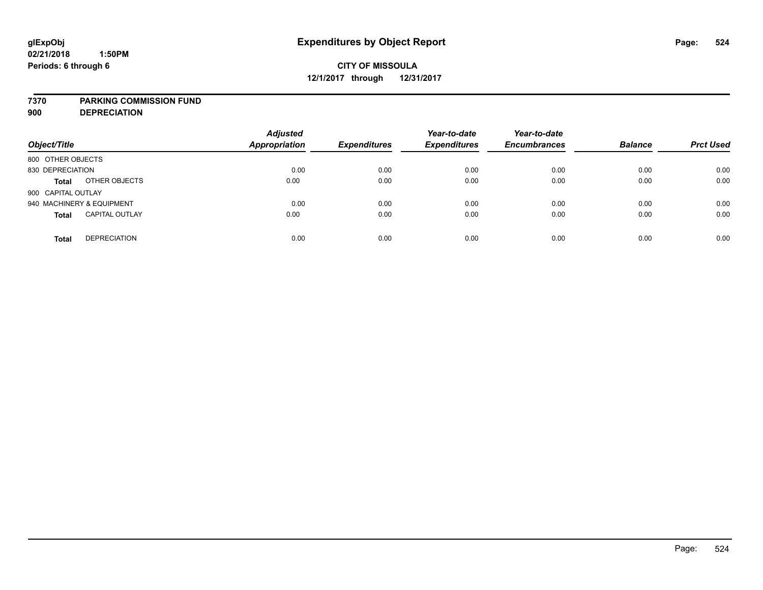### **7370 PARKING COMMISSION FUND**

**900 DEPRECIATION**

| Object/Title                          | <b>Adjusted</b><br><b>Appropriation</b> | <b>Expenditures</b> | Year-to-date<br><b>Expenditures</b> | Year-to-date<br><b>Encumbrances</b> | <b>Balance</b> | <b>Prct Used</b> |
|---------------------------------------|-----------------------------------------|---------------------|-------------------------------------|-------------------------------------|----------------|------------------|
| 800 OTHER OBJECTS                     |                                         |                     |                                     |                                     |                |                  |
| 830 DEPRECIATION                      | 0.00                                    | 0.00                | 0.00                                | 0.00                                | 0.00           | 0.00             |
| OTHER OBJECTS<br><b>Total</b>         | 0.00                                    | 0.00                | 0.00                                | 0.00                                | 0.00           | 0.00             |
| 900 CAPITAL OUTLAY                    |                                         |                     |                                     |                                     |                |                  |
| 940 MACHINERY & EQUIPMENT             | 0.00                                    | 0.00                | 0.00                                | 0.00                                | 0.00           | 0.00             |
| <b>CAPITAL OUTLAY</b><br><b>Total</b> | 0.00                                    | 0.00                | 0.00                                | 0.00                                | 0.00           | 0.00             |
| <b>DEPRECIATION</b><br><b>Total</b>   | 0.00                                    | 0.00                | 0.00                                | 0.00                                | 0.00           | 0.00             |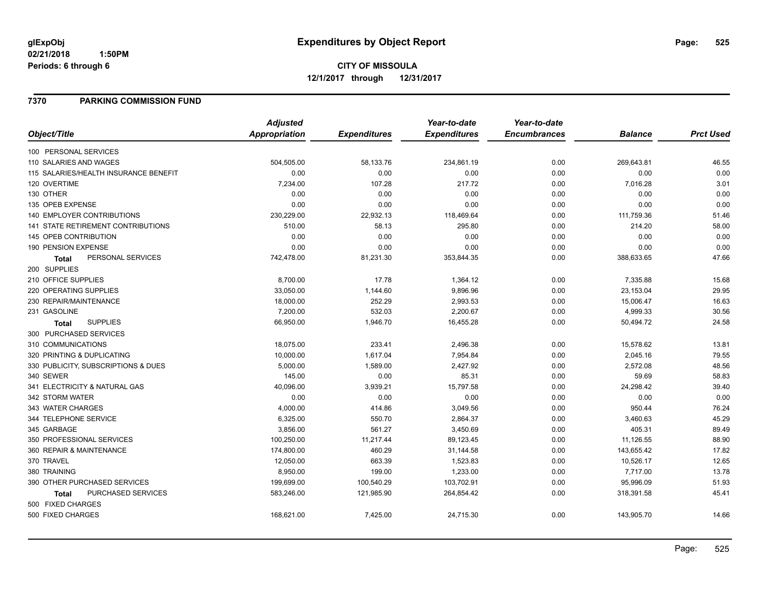# **CITY OF MISSOULA 12/1/2017 through 12/31/2017**

## **7370 PARKING COMMISSION FUND**

|                                       | <b>Adjusted</b>      |                     | Year-to-date        | Year-to-date        |                |                  |
|---------------------------------------|----------------------|---------------------|---------------------|---------------------|----------------|------------------|
| Object/Title                          | <b>Appropriation</b> | <b>Expenditures</b> | <b>Expenditures</b> | <b>Encumbrances</b> | <b>Balance</b> | <b>Prct Used</b> |
| 100 PERSONAL SERVICES                 |                      |                     |                     |                     |                |                  |
| 110 SALARIES AND WAGES                | 504,505.00           | 58,133.76           | 234,861.19          | 0.00                | 269,643.81     | 46.55            |
| 115 SALARIES/HEALTH INSURANCE BENEFIT | 0.00                 | 0.00                | 0.00                | 0.00                | 0.00           | 0.00             |
| 120 OVERTIME                          | 7,234.00             | 107.28              | 217.72              | 0.00                | 7,016.28       | 3.01             |
| 130 OTHER                             | 0.00                 | 0.00                | 0.00                | 0.00                | 0.00           | 0.00             |
| 135 OPEB EXPENSE                      | 0.00                 | 0.00                | 0.00                | 0.00                | 0.00           | 0.00             |
| 140 EMPLOYER CONTRIBUTIONS            | 230,229.00           | 22,932.13           | 118,469.64          | 0.00                | 111,759.36     | 51.46            |
| 141 STATE RETIREMENT CONTRIBUTIONS    | 510.00               | 58.13               | 295.80              | 0.00                | 214.20         | 58.00            |
| 145 OPEB CONTRIBUTION                 | 0.00                 | 0.00                | 0.00                | 0.00                | 0.00           | 0.00             |
| 190 PENSION EXPENSE                   | 0.00                 | 0.00                | 0.00                | 0.00                | 0.00           | 0.00             |
| PERSONAL SERVICES<br>Total            | 742,478.00           | 81,231.30           | 353,844.35          | 0.00                | 388,633.65     | 47.66            |
| 200 SUPPLIES                          |                      |                     |                     |                     |                |                  |
| 210 OFFICE SUPPLIES                   | 8,700.00             | 17.78               | 1,364.12            | 0.00                | 7,335.88       | 15.68            |
| 220 OPERATING SUPPLIES                | 33,050.00            | 1,144.60            | 9,896.96            | 0.00                | 23,153.04      | 29.95            |
| 230 REPAIR/MAINTENANCE                | 18,000.00            | 252.29              | 2,993.53            | 0.00                | 15,006.47      | 16.63            |
| 231 GASOLINE                          | 7,200.00             | 532.03              | 2,200.67            | 0.00                | 4,999.33       | 30.56            |
| <b>SUPPLIES</b><br>Total              | 66,950.00            | 1,946.70            | 16,455.28           | 0.00                | 50,494.72      | 24.58            |
| 300 PURCHASED SERVICES                |                      |                     |                     |                     |                |                  |
| 310 COMMUNICATIONS                    | 18,075.00            | 233.41              | 2,496.38            | 0.00                | 15,578.62      | 13.81            |
| 320 PRINTING & DUPLICATING            | 10,000.00            | 1,617.04            | 7,954.84            | 0.00                | 2,045.16       | 79.55            |
| 330 PUBLICITY, SUBSCRIPTIONS & DUES   | 5,000.00             | 1,589.00            | 2,427.92            | 0.00                | 2,572.08       | 48.56            |
| 340 SEWER                             | 145.00               | 0.00                | 85.31               | 0.00                | 59.69          | 58.83            |
| 341 ELECTRICITY & NATURAL GAS         | 40,096.00            | 3,939.21            | 15,797.58           | 0.00                | 24,298.42      | 39.40            |
| 342 STORM WATER                       | 0.00                 | 0.00                | 0.00                | 0.00                | 0.00           | 0.00             |
| 343 WATER CHARGES                     | 4,000.00             | 414.86              | 3,049.56            | 0.00                | 950.44         | 76.24            |
| 344 TELEPHONE SERVICE                 | 6,325.00             | 550.70              | 2,864.37            | 0.00                | 3,460.63       | 45.29            |
| 345 GARBAGE                           | 3,856.00             | 561.27              | 3,450.69            | 0.00                | 405.31         | 89.49            |
| 350 PROFESSIONAL SERVICES             | 100,250.00           | 11,217.44           | 89,123.45           | 0.00                | 11,126.55      | 88.90            |
| 360 REPAIR & MAINTENANCE              | 174,800.00           | 460.29              | 31,144.58           | 0.00                | 143,655.42     | 17.82            |
| 370 TRAVEL                            | 12,050.00            | 663.39              | 1,523.83            | 0.00                | 10,526.17      | 12.65            |
| 380 TRAINING                          | 8,950.00             | 199.00              | 1,233.00            | 0.00                | 7,717.00       | 13.78            |
| 390 OTHER PURCHASED SERVICES          | 199,699.00           | 100,540.29          | 103,702.91          | 0.00                | 95,996.09      | 51.93            |
| <b>PURCHASED SERVICES</b><br>Total    | 583,246.00           | 121,985.90          | 264,854.42          | 0.00                | 318,391.58     | 45.41            |
| 500 FIXED CHARGES                     |                      |                     |                     |                     |                |                  |
| 500 FIXED CHARGES                     | 168,621.00           | 7,425.00            | 24,715.30           | 0.00                | 143,905.70     | 14.66            |
|                                       |                      |                     |                     |                     |                |                  |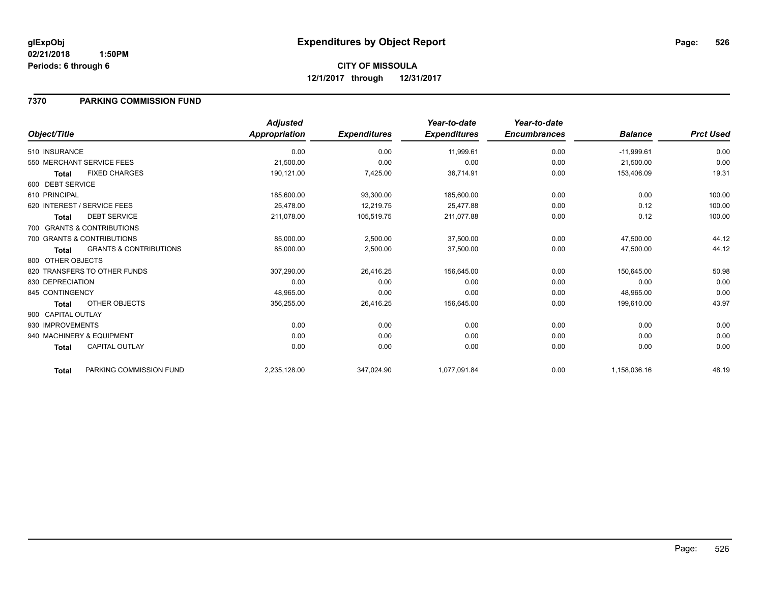## **7370 PARKING COMMISSION FUND**

|                    |                                   | <b>Adjusted</b> |                     | Year-to-date        | Year-to-date        |                |                  |
|--------------------|-----------------------------------|-----------------|---------------------|---------------------|---------------------|----------------|------------------|
| Object/Title       |                                   | Appropriation   | <b>Expenditures</b> | <b>Expenditures</b> | <b>Encumbrances</b> | <b>Balance</b> | <b>Prct Used</b> |
| 510 INSURANCE      |                                   | 0.00            | 0.00                | 11,999.61           | 0.00                | $-11,999.61$   | 0.00             |
|                    | 550 MERCHANT SERVICE FEES         | 21,500.00       | 0.00                | 0.00                | 0.00                | 21,500.00      | 0.00             |
| <b>Total</b>       | <b>FIXED CHARGES</b>              | 190,121.00      | 7,425.00            | 36,714.91           | 0.00                | 153,406.09     | 19.31            |
| 600 DEBT SERVICE   |                                   |                 |                     |                     |                     |                |                  |
| 610 PRINCIPAL      |                                   | 185,600.00      | 93,300.00           | 185,600.00          | 0.00                | 0.00           | 100.00           |
|                    | 620 INTEREST / SERVICE FEES       | 25,478.00       | 12,219.75           | 25,477.88           | 0.00                | 0.12           | 100.00           |
| <b>Total</b>       | <b>DEBT SERVICE</b>               | 211,078.00      | 105,519.75          | 211,077.88          | 0.00                | 0.12           | 100.00           |
|                    | 700 GRANTS & CONTRIBUTIONS        |                 |                     |                     |                     |                |                  |
|                    | 700 GRANTS & CONTRIBUTIONS        | 85,000.00       | 2,500.00            | 37,500.00           | 0.00                | 47,500.00      | 44.12            |
| <b>Total</b>       | <b>GRANTS &amp; CONTRIBUTIONS</b> | 85,000.00       | 2,500.00            | 37,500.00           | 0.00                | 47,500.00      | 44.12            |
| 800 OTHER OBJECTS  |                                   |                 |                     |                     |                     |                |                  |
|                    | 820 TRANSFERS TO OTHER FUNDS      | 307.290.00      | 26,416.25           | 156,645.00          | 0.00                | 150.645.00     | 50.98            |
| 830 DEPRECIATION   |                                   | 0.00            | 0.00                | 0.00                | 0.00                | 0.00           | 0.00             |
| 845 CONTINGENCY    |                                   | 48,965.00       | 0.00                | 0.00                | 0.00                | 48.965.00      | 0.00             |
| <b>Total</b>       | OTHER OBJECTS                     | 356,255.00      | 26,416.25           | 156,645.00          | 0.00                | 199,610.00     | 43.97            |
| 900 CAPITAL OUTLAY |                                   |                 |                     |                     |                     |                |                  |
| 930 IMPROVEMENTS   |                                   | 0.00            | 0.00                | 0.00                | 0.00                | 0.00           | 0.00             |
|                    | 940 MACHINERY & EQUIPMENT         | 0.00            | 0.00                | 0.00                | 0.00                | 0.00           | 0.00             |
| <b>Total</b>       | <b>CAPITAL OUTLAY</b>             | 0.00            | 0.00                | 0.00                | 0.00                | 0.00           | 0.00             |
| <b>Total</b>       | PARKING COMMISSION FUND           | 2,235,128.00    | 347,024.90          | 1,077,091.84        | 0.00                | 1,158,036.16   | 48.19            |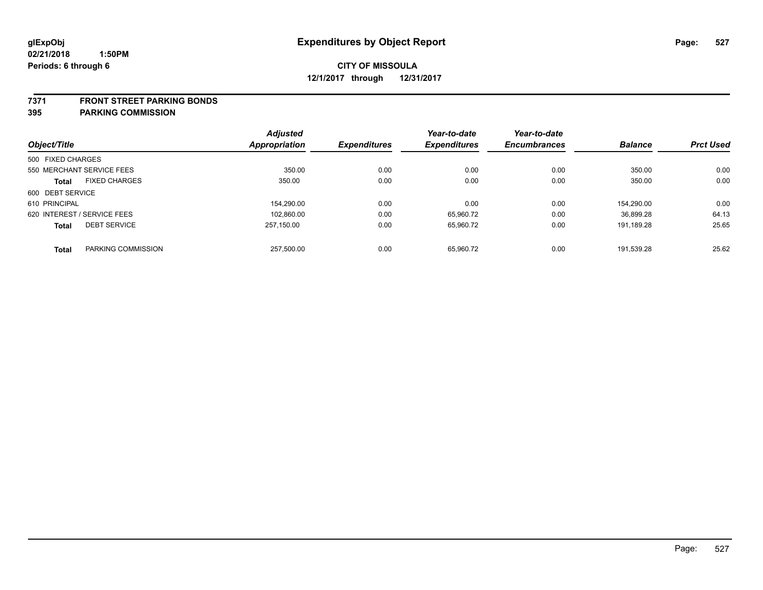### **7371 FRONT STREET PARKING BONDS**

**395 PARKING COMMISSION**

|                   |                             | <b>Adjusted</b>      |                     | Year-to-date        | Year-to-date        |                |                  |
|-------------------|-----------------------------|----------------------|---------------------|---------------------|---------------------|----------------|------------------|
| Object/Title      |                             | <b>Appropriation</b> | <b>Expenditures</b> | <b>Expenditures</b> | <b>Encumbrances</b> | <b>Balance</b> | <b>Prct Used</b> |
| 500 FIXED CHARGES |                             |                      |                     |                     |                     |                |                  |
|                   | 550 MERCHANT SERVICE FEES   | 350.00               | 0.00                | 0.00                | 0.00                | 350.00         | 0.00             |
| <b>Total</b>      | <b>FIXED CHARGES</b>        | 350.00               | 0.00                | 0.00                | 0.00                | 350.00         | 0.00             |
| 600 DEBT SERVICE  |                             |                      |                     |                     |                     |                |                  |
| 610 PRINCIPAL     |                             | 154.290.00           | 0.00                | 0.00                | 0.00                | 154.290.00     | 0.00             |
|                   | 620 INTEREST / SERVICE FEES | 102.860.00           | 0.00                | 65.960.72           | 0.00                | 36,899.28      | 64.13            |
| <b>Total</b>      | <b>DEBT SERVICE</b>         | 257.150.00           | 0.00                | 65.960.72           | 0.00                | 191.189.28     | 25.65            |
| <b>Total</b>      | PARKING COMMISSION          | 257.500.00           | 0.00                | 65.960.72           | 0.00                | 191.539.28     | 25.62            |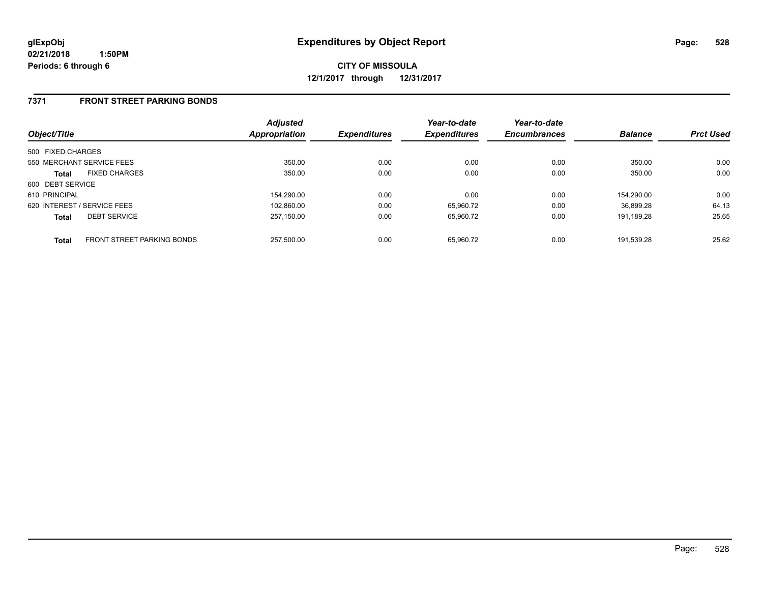## **7371 FRONT STREET PARKING BONDS**

| Object/Title                |                                   | <b>Adjusted</b><br>Appropriation | <b>Expenditures</b> | Year-to-date<br><b>Expenditures</b> | Year-to-date<br><b>Encumbrances</b> | <b>Balance</b> | <b>Prct Used</b> |
|-----------------------------|-----------------------------------|----------------------------------|---------------------|-------------------------------------|-------------------------------------|----------------|------------------|
| 500 FIXED CHARGES           |                                   |                                  |                     |                                     |                                     |                |                  |
| 550 MERCHANT SERVICE FEES   |                                   | 350.00                           | 0.00                | 0.00                                | 0.00                                | 350.00         | 0.00             |
| <b>Total</b>                | <b>FIXED CHARGES</b>              | 350.00                           | 0.00                | 0.00                                | 0.00                                | 350.00         | 0.00             |
| 600 DEBT SERVICE            |                                   |                                  |                     |                                     |                                     |                |                  |
| 610 PRINCIPAL               |                                   | 154.290.00                       | 0.00                | 0.00                                | 0.00                                | 154.290.00     | 0.00             |
| 620 INTEREST / SERVICE FEES |                                   | 102.860.00                       | 0.00                | 65.960.72                           | 0.00                                | 36.899.28      | 64.13            |
| <b>Total</b>                | <b>DEBT SERVICE</b>               | 257.150.00                       | 0.00                | 65,960.72                           | 0.00                                | 191.189.28     | 25.65            |
| <b>Total</b>                | <b>FRONT STREET PARKING BONDS</b> | 257.500.00                       | 0.00                | 65.960.72                           | 0.00                                | 191.539.28     | 25.62            |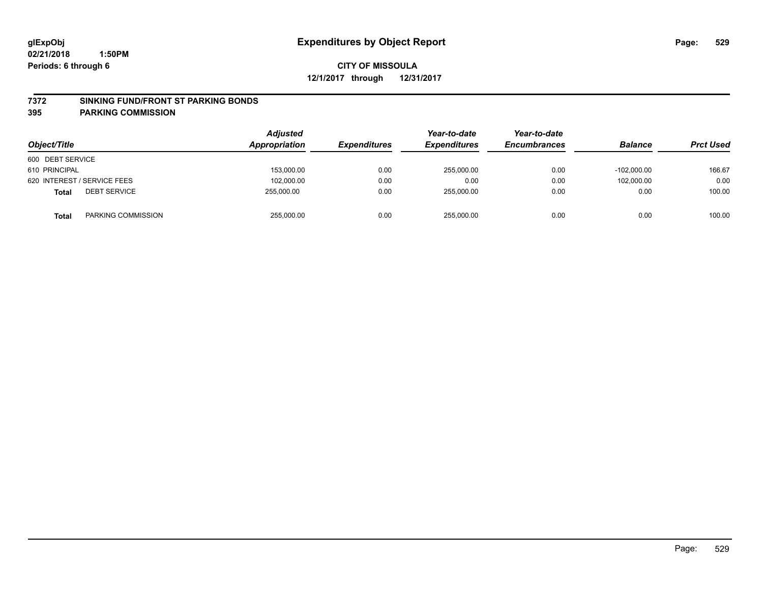### **7372 SINKING FUND/FRONT ST PARKING BONDS**

#### **395 PARKING COMMISSION**

| Object/Title     |                             | <b>Adjusted</b><br>Appropriation | <b>Expenditures</b> | Year-to-date<br><b>Expenditures</b> | Year-to-date<br><b>Encumbrances</b> | <b>Balance</b> | <b>Prct Used</b> |
|------------------|-----------------------------|----------------------------------|---------------------|-------------------------------------|-------------------------------------|----------------|------------------|
| 600 DEBT SERVICE |                             |                                  |                     |                                     |                                     |                |                  |
| 610 PRINCIPAL    |                             | 153,000.00                       | 0.00                | 255.000.00                          | 0.00                                | $-102.000.00$  | 166.67           |
|                  | 620 INTEREST / SERVICE FEES | 102,000.00                       | 0.00                | 0.00                                | 0.00                                | 102.000.00     | 0.00             |
| <b>Total</b>     | <b>DEBT SERVICE</b>         | 255.000.00                       | 0.00                | 255.000.00                          | 0.00                                | 0.00           | 100.00           |
| <b>Total</b>     | PARKING COMMISSION          | 255,000.00                       | 0.00                | 255,000.00                          | 0.00                                | 0.00           | 100.00           |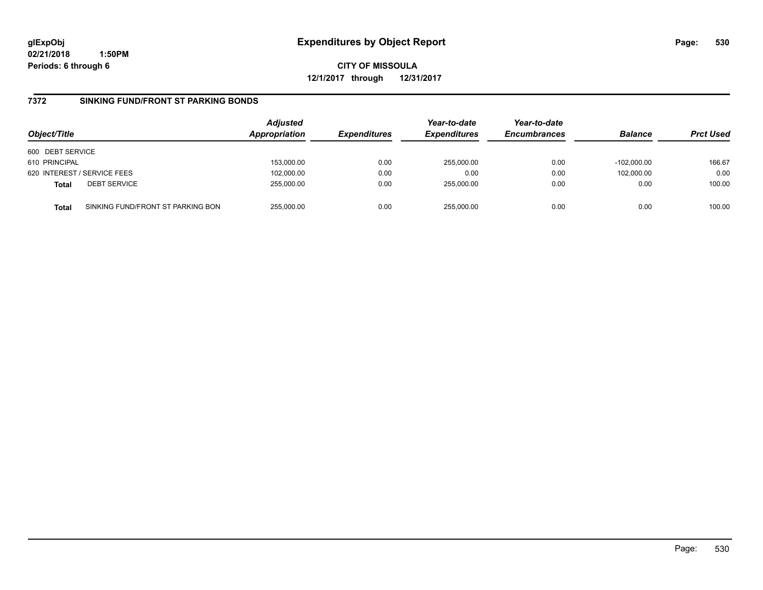**CITY OF MISSOULA 12/1/2017 through 12/31/2017**

## **7372 SINKING FUND/FRONT ST PARKING BONDS**

| Object/Title     |                                   | <b>Adjusted</b><br>Appropriation | <b>Expenditures</b> | Year-to-date<br><b>Expenditures</b> | Year-to-date<br><b>Encumbrances</b> | <b>Balance</b> | <b>Prct Used</b> |
|------------------|-----------------------------------|----------------------------------|---------------------|-------------------------------------|-------------------------------------|----------------|------------------|
| 600 DEBT SERVICE |                                   |                                  |                     |                                     |                                     |                |                  |
| 610 PRINCIPAL    |                                   | 153,000.00                       | 0.00                | 255,000.00                          | 0.00                                | $-102.000.00$  | 166.67           |
|                  | 620 INTEREST / SERVICE FEES       | 102,000.00                       | 0.00                | 0.00                                | 0.00                                | 102.000.00     | 0.00             |
| <b>Total</b>     | <b>DEBT SERVICE</b>               | 255,000.00                       | 0.00                | 255,000.00                          | 0.00                                | 0.00           | 100.00           |
| <b>Total</b>     | SINKING FUND/FRONT ST PARKING BON | 255,000.00                       | 0.00                | 255,000.00                          | 0.00                                | 0.00           | 100.00           |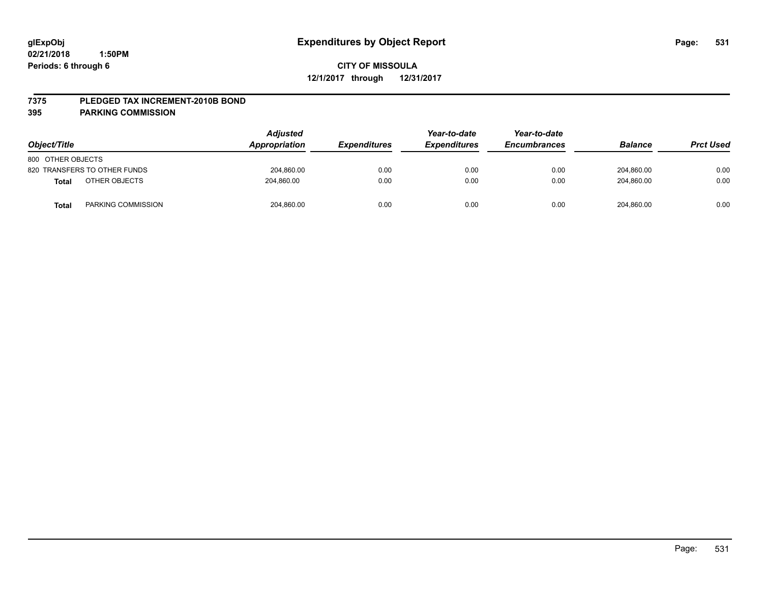### **7375 PLEDGED TAX INCREMENT-2010B BOND**

#### **395 PARKING COMMISSION**

| Object/Title                 | <b>Adjusted</b><br>Appropriation | <b>Expenditures</b> | Year-to-date<br><b>Expenditures</b> | Year-to-date<br><b>Encumbrances</b> | <b>Balance</b> | <b>Prct Used</b> |
|------------------------------|----------------------------------|---------------------|-------------------------------------|-------------------------------------|----------------|------------------|
| 800 OTHER OBJECTS            |                                  |                     |                                     |                                     |                |                  |
| 820 TRANSFERS TO OTHER FUNDS | 204,860.00                       | 0.00                | 0.00                                | 0.00                                | 204.860.00     | 0.00             |
| OTHER OBJECTS<br>Total       | 204,860.00                       | 0.00                | 0.00                                | 0.00                                | 204.860.00     | 0.00             |
| PARKING COMMISSION<br>Total  | 204,860.00                       | 0.00                | 0.00                                | 0.00                                | 204,860.00     | 0.00             |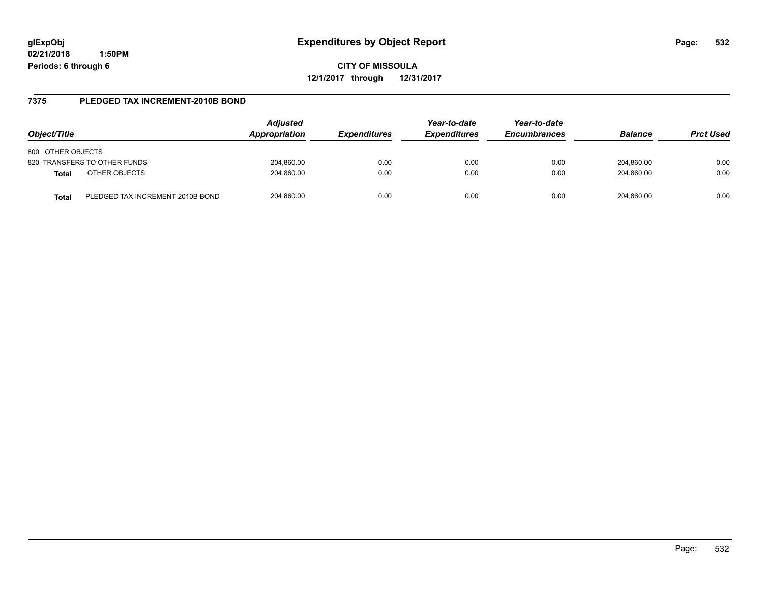**CITY OF MISSOULA 12/1/2017 through 12/31/2017**

## **7375 PLEDGED TAX INCREMENT-2010B BOND**

| Object/Title      |                                  | <b>Adjusted</b><br>Appropriation | <b>Expenditures</b> | Year-to-date<br><b>Expenditures</b> | Year-to-date<br><b>Encumbrances</b> | <b>Balance</b> | <b>Prct Used</b> |
|-------------------|----------------------------------|----------------------------------|---------------------|-------------------------------------|-------------------------------------|----------------|------------------|
| 800 OTHER OBJECTS |                                  |                                  |                     |                                     |                                     |                |                  |
|                   | 820 TRANSFERS TO OTHER FUNDS     | 204,860.00                       | 0.00                | 0.00                                | 0.00                                | 204.860.00     | 0.00             |
| <b>Total</b>      | OTHER OBJECTS                    | 204,860.00                       | 0.00                | 0.00                                | 0.00                                | 204.860.00     | 0.00             |
| <b>Total</b>      | PLEDGED TAX INCREMENT-2010B BOND | 204,860.00                       | 0.00                | 0.00                                | 0.00                                | 204.860.00     | 0.00             |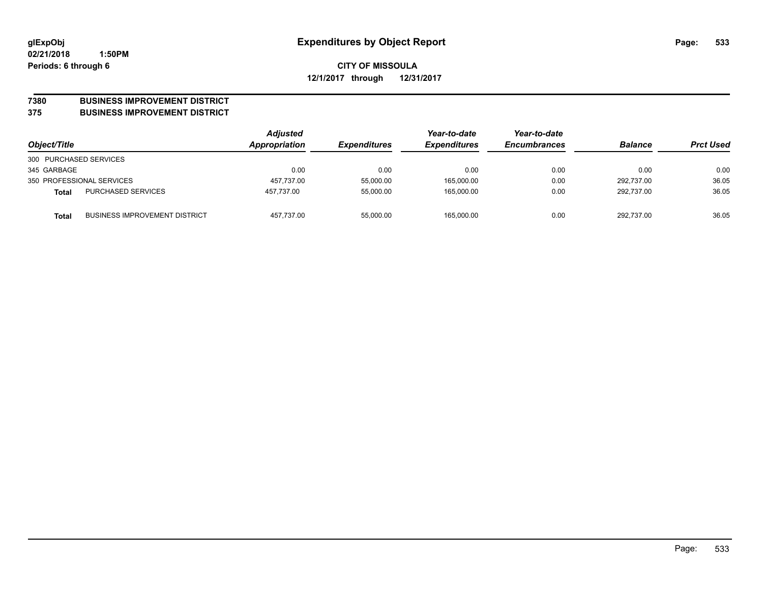### **7380 BUSINESS IMPROVEMENT DISTRICT**

**375 BUSINESS IMPROVEMENT DISTRICT**

| Object/Title                                         | <b>Adjusted</b><br>Appropriation | <b>Expenditures</b> | Year-to-date<br><b>Expenditures</b> | Year-to-date<br><b>Encumbrances</b> | <b>Balance</b> | <b>Prct Used</b> |
|------------------------------------------------------|----------------------------------|---------------------|-------------------------------------|-------------------------------------|----------------|------------------|
| 300 PURCHASED SERVICES                               |                                  |                     |                                     |                                     |                |                  |
| 345 GARBAGE                                          | 0.00                             | 0.00                | 0.00                                | 0.00                                | 0.00           | 0.00             |
| 350 PROFESSIONAL SERVICES                            | 457.737.00                       | 55,000.00           | 165,000.00                          | 0.00                                | 292.737.00     | 36.05            |
| <b>PURCHASED SERVICES</b><br>Total                   | 457.737.00                       | 55,000.00           | 165.000.00                          | 0.00                                | 292.737.00     | 36.05            |
| <b>BUSINESS IMPROVEMENT DISTRICT</b><br><b>Total</b> | 457,737.00                       | 55,000.00           | 165,000.00                          | 0.00                                | 292.737.00     | 36.05            |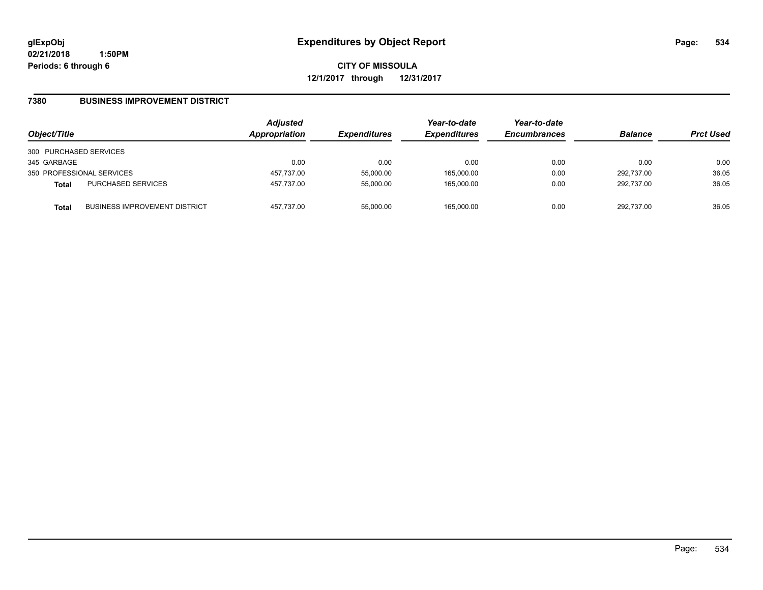**CITY OF MISSOULA 12/1/2017 through 12/31/2017**

### **7380 BUSINESS IMPROVEMENT DISTRICT**

| Object/Title           |                                      | <b>Adjusted</b><br>Appropriation | <b>Expenditures</b> | Year-to-date<br><b>Expenditures</b> | Year-to-date<br><b>Encumbrances</b> | <b>Balance</b> | <b>Prct Used</b> |
|------------------------|--------------------------------------|----------------------------------|---------------------|-------------------------------------|-------------------------------------|----------------|------------------|
| 300 PURCHASED SERVICES |                                      |                                  |                     |                                     |                                     |                |                  |
| 345 GARBAGE            |                                      | 0.00                             | 0.00                | 0.00                                | 0.00                                | 0.00           | 0.00             |
|                        | 350 PROFESSIONAL SERVICES            | 457,737.00                       | 55,000.00           | 165,000.00                          | 0.00                                | 292.737.00     | 36.05            |
| <b>Total</b>           | <b>PURCHASED SERVICES</b>            | 457,737.00                       | 55,000.00           | 165.000.00                          | 0.00                                | 292.737.00     | 36.05            |
| <b>Total</b>           | <b>BUSINESS IMPROVEMENT DISTRICT</b> | 457.737.00                       | 55,000.00           | 165.000.00                          | 0.00                                | 292.737.00     | 36.05            |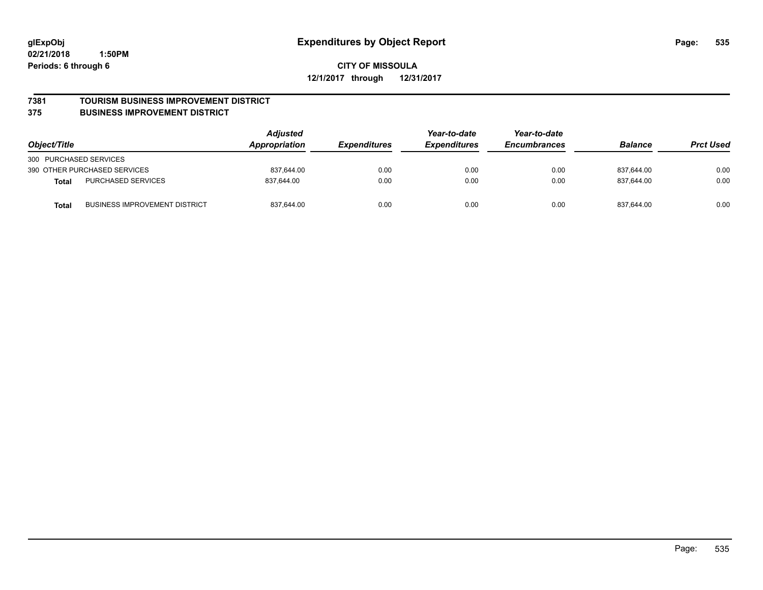### **7381 TOURISM BUSINESS IMPROVEMENT DISTRICT**

### **375 BUSINESS IMPROVEMENT DISTRICT**

| Object/Title                                         | <b>Adjusted</b><br>Appropriation | <i><b>Expenditures</b></i> | Year-to-date<br><b>Expenditures</b> | Year-to-date<br><b>Encumbrances</b> | <b>Balance</b> | <b>Prct Used</b> |
|------------------------------------------------------|----------------------------------|----------------------------|-------------------------------------|-------------------------------------|----------------|------------------|
| 300 PURCHASED SERVICES                               |                                  |                            |                                     |                                     |                |                  |
| 390 OTHER PURCHASED SERVICES                         | 837.644.00                       | 0.00                       | 0.00                                | 0.00                                | 837.644.00     | 0.00             |
| <b>PURCHASED SERVICES</b><br><b>Total</b>            | 837.644.00                       | 0.00                       | 0.00                                | 0.00                                | 837.644.00     | 0.00             |
| <b>BUSINESS IMPROVEMENT DISTRICT</b><br><b>Total</b> | 837,644.00                       | 0.00                       | 0.00                                | 0.00                                | 837,644.00     | 0.00             |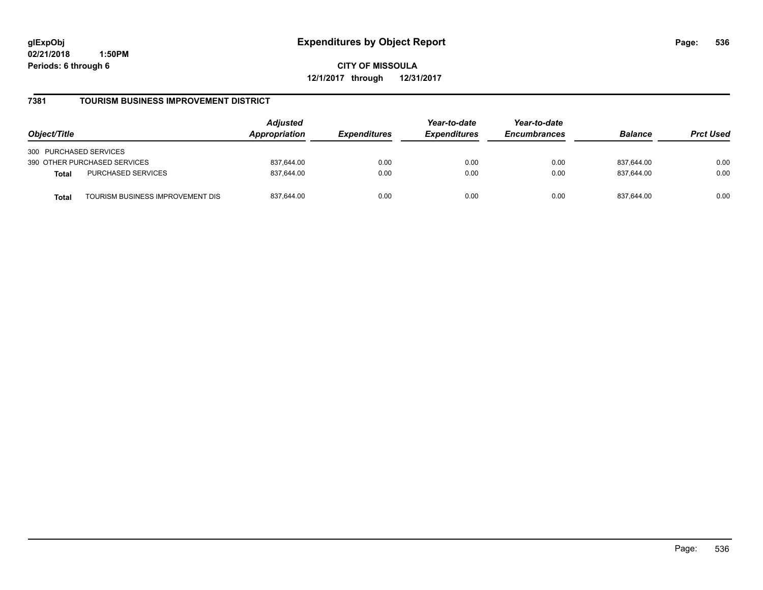**CITY OF MISSOULA 12/1/2017 through 12/31/2017**

## **7381 TOURISM BUSINESS IMPROVEMENT DISTRICT**

| Object/Title                              | <b>Adjusted</b><br>Appropriation | <i><b>Expenditures</b></i> | Year-to-date<br><b>Expenditures</b> | Year-to-date<br><b>Encumbrances</b> | <b>Balance</b> | <b>Prct Used</b> |
|-------------------------------------------|----------------------------------|----------------------------|-------------------------------------|-------------------------------------|----------------|------------------|
| 300 PURCHASED SERVICES                    |                                  |                            |                                     |                                     |                |                  |
| 390 OTHER PURCHASED SERVICES              | 837.644.00                       | 0.00                       | 0.00                                | 0.00                                | 837,644.00     | 0.00             |
| PURCHASED SERVICES<br><b>Total</b>        | 837.644.00                       | 0.00                       | 0.00                                | 0.00                                | 837.644.00     | 0.00             |
| TOURISM BUSINESS IMPROVEMENT DIS<br>Total | 837,644.00                       | 0.00                       | 0.00                                | 0.00                                | 837,644.00     | 0.00             |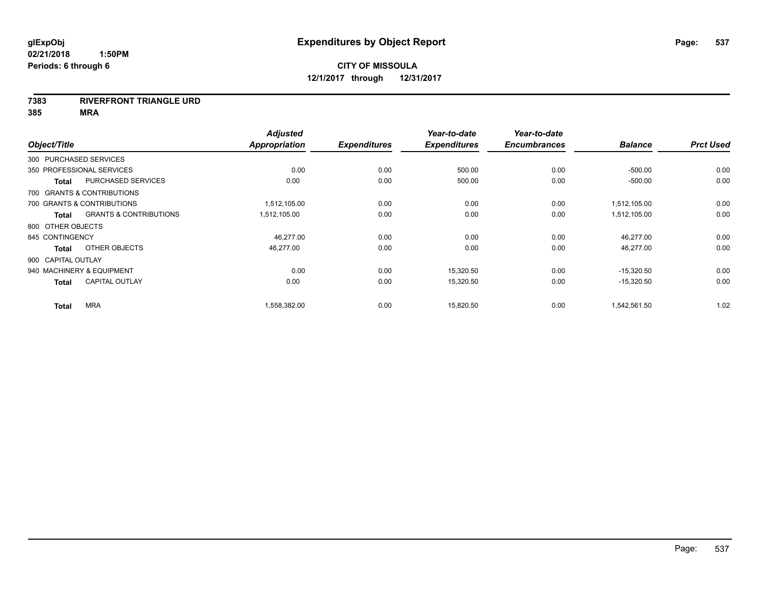### **7383 RIVERFRONT TRIANGLE URD**

**385 MRA**

| Object/Title           |                                   | <b>Adjusted</b><br><b>Appropriation</b> | <b>Expenditures</b> | Year-to-date<br><b>Expenditures</b> | Year-to-date<br><b>Encumbrances</b> | <b>Balance</b> | <b>Prct Used</b> |
|------------------------|-----------------------------------|-----------------------------------------|---------------------|-------------------------------------|-------------------------------------|----------------|------------------|
|                        |                                   |                                         |                     |                                     |                                     |                |                  |
| 300 PURCHASED SERVICES |                                   |                                         |                     |                                     |                                     |                |                  |
|                        | 350 PROFESSIONAL SERVICES         | 0.00                                    | 0.00                | 500.00                              | 0.00                                | $-500.00$      | 0.00             |
| <b>Total</b>           | PURCHASED SERVICES                | 0.00                                    | 0.00                | 500.00                              | 0.00                                | $-500.00$      | 0.00             |
|                        | 700 GRANTS & CONTRIBUTIONS        |                                         |                     |                                     |                                     |                |                  |
|                        | 700 GRANTS & CONTRIBUTIONS        | 1,512,105.00                            | 0.00                | 0.00                                | 0.00                                | 1,512,105.00   | 0.00             |
| Total                  | <b>GRANTS &amp; CONTRIBUTIONS</b> | 1,512,105.00                            | 0.00                | 0.00                                | 0.00                                | 1,512,105.00   | 0.00             |
| 800 OTHER OBJECTS      |                                   |                                         |                     |                                     |                                     |                |                  |
| 845 CONTINGENCY        |                                   | 46.277.00                               | 0.00                | 0.00                                | 0.00                                | 46.277.00      | 0.00             |
| <b>Total</b>           | OTHER OBJECTS                     | 46,277.00                               | 0.00                | 0.00                                | 0.00                                | 46,277.00      | 0.00             |
| 900 CAPITAL OUTLAY     |                                   |                                         |                     |                                     |                                     |                |                  |
|                        | 940 MACHINERY & EQUIPMENT         | 0.00                                    | 0.00                | 15,320.50                           | 0.00                                | $-15,320.50$   | 0.00             |
| <b>Total</b>           | <b>CAPITAL OUTLAY</b>             | 0.00                                    | 0.00                | 15,320.50                           | 0.00                                | $-15,320.50$   | 0.00             |
| <b>Total</b>           | <b>MRA</b>                        | 1,558,382.00                            | 0.00                | 15,820.50                           | 0.00                                | 1,542,561.50   | 1.02             |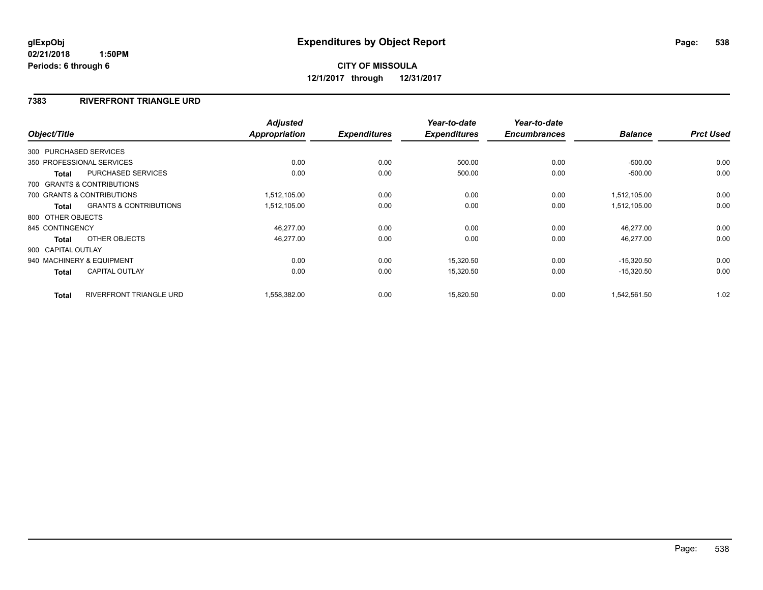## **7383 RIVERFRONT TRIANGLE URD**

|                    |                                   | <b>Adjusted</b> |                     | Year-to-date        | Year-to-date        |                |                  |
|--------------------|-----------------------------------|-----------------|---------------------|---------------------|---------------------|----------------|------------------|
| Object/Title       |                                   | Appropriation   | <b>Expenditures</b> | <b>Expenditures</b> | <b>Encumbrances</b> | <b>Balance</b> | <b>Prct Used</b> |
|                    | 300 PURCHASED SERVICES            |                 |                     |                     |                     |                |                  |
|                    | 350 PROFESSIONAL SERVICES         | 0.00            | 0.00                | 500.00              | 0.00                | $-500.00$      | 0.00             |
| Total              | <b>PURCHASED SERVICES</b>         | 0.00            | 0.00                | 500.00              | 0.00                | $-500.00$      | 0.00             |
|                    | 700 GRANTS & CONTRIBUTIONS        |                 |                     |                     |                     |                |                  |
|                    | 700 GRANTS & CONTRIBUTIONS        | 1,512,105.00    | 0.00                | 0.00                | 0.00                | 1,512,105.00   | 0.00             |
| <b>Total</b>       | <b>GRANTS &amp; CONTRIBUTIONS</b> | 1,512,105.00    | 0.00                | 0.00                | 0.00                | 1,512,105.00   | 0.00             |
| 800 OTHER OBJECTS  |                                   |                 |                     |                     |                     |                |                  |
| 845 CONTINGENCY    |                                   | 46,277.00       | 0.00                | 0.00                | 0.00                | 46,277.00      | 0.00             |
| <b>Total</b>       | OTHER OBJECTS                     | 46,277.00       | 0.00                | 0.00                | 0.00                | 46,277.00      | 0.00             |
| 900 CAPITAL OUTLAY |                                   |                 |                     |                     |                     |                |                  |
|                    | 940 MACHINERY & EQUIPMENT         | 0.00            | 0.00                | 15,320.50           | 0.00                | $-15,320.50$   | 0.00             |
| Total              | <b>CAPITAL OUTLAY</b>             | 0.00            | 0.00                | 15,320.50           | 0.00                | $-15,320.50$   | 0.00             |
| <b>Total</b>       | <b>RIVERFRONT TRIANGLE URD</b>    | 1,558,382.00    | 0.00                | 15,820.50           | 0.00                | 1,542,561.50   | 1.02             |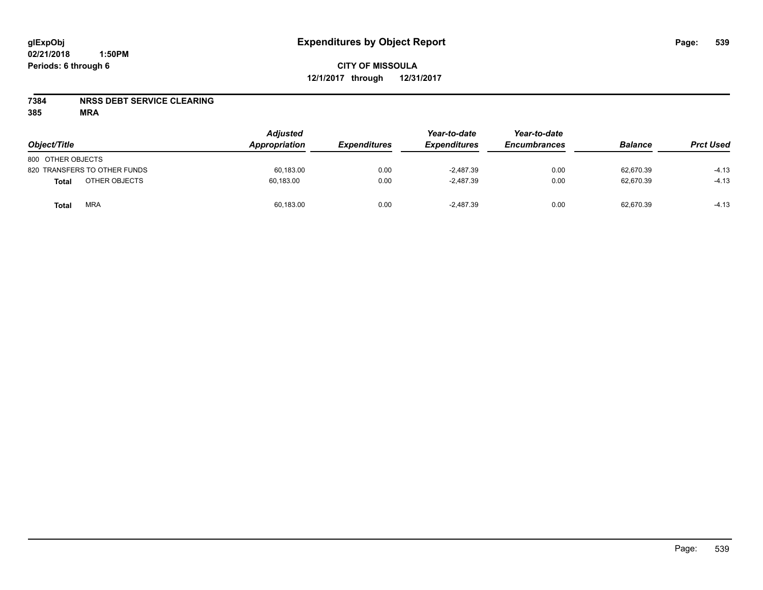## **7384 NRSS DEBT SERVICE CLEARING**

**385 MRA**

| Object/Title                 | <b>Adjusted</b><br>Appropriation | <i><b>Expenditures</b></i> | Year-to-date<br><b>Expenditures</b> | Year-to-date<br><b>Encumbrances</b> | <b>Balance</b> | <b>Prct Used</b> |
|------------------------------|----------------------------------|----------------------------|-------------------------------------|-------------------------------------|----------------|------------------|
| 800 OTHER OBJECTS            |                                  |                            |                                     |                                     |                |                  |
| 820 TRANSFERS TO OTHER FUNDS | 60,183.00                        | 0.00                       | $-2,487.39$                         | 0.00                                | 62,670.39      | $-4.13$          |
| OTHER OBJECTS<br>Total       | 60.183.00                        | 0.00                       | $-2,487.39$                         | 0.00                                | 62.670.39      | $-4.13$          |
| <b>MRA</b><br><b>Total</b>   | 60,183.00                        | 0.00                       | $-2,487.39$                         | 0.00                                | 62,670.39      | $-4.13$          |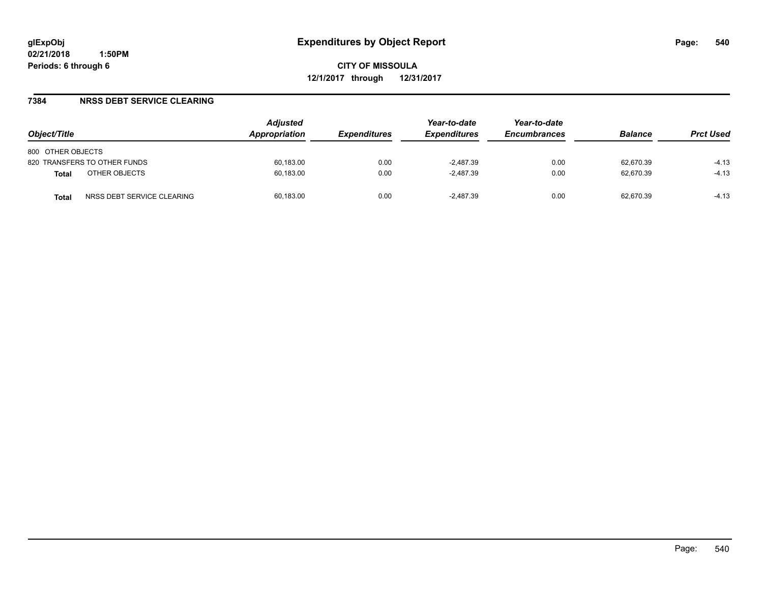## **7384 NRSS DEBT SERVICE CLEARING**

| Object/Title                               | <b>Adjusted</b><br>Appropriation | <b>Expenditures</b> | Year-to-date<br><b>Expenditures</b> | Year-to-date<br><b>Encumbrances</b> | <b>Balance</b> | <b>Prct Used</b> |
|--------------------------------------------|----------------------------------|---------------------|-------------------------------------|-------------------------------------|----------------|------------------|
| 800 OTHER OBJECTS                          |                                  |                     |                                     |                                     |                |                  |
| 820 TRANSFERS TO OTHER FUNDS               | 60,183.00                        | 0.00                | $-2,487.39$                         | 0.00                                | 62,670.39      | $-4.13$          |
| OTHER OBJECTS<br><b>Total</b>              | 60,183.00                        | 0.00                | $-2,487.39$                         | 0.00                                | 62,670.39      | $-4.13$          |
| NRSS DEBT SERVICE CLEARING<br><b>Total</b> | 60,183.00                        | 0.00                | $-2.487.39$                         | 0.00                                | 62.670.39      | $-4.13$          |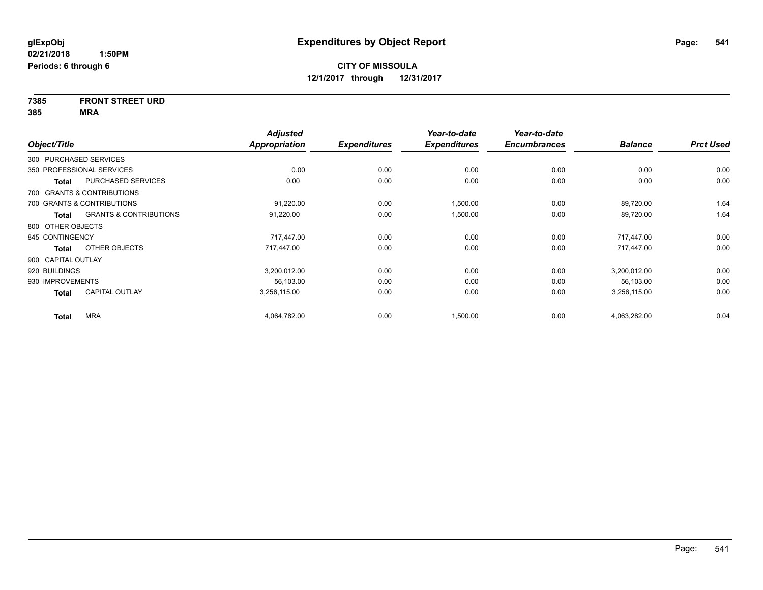# **7385 FRONT STREET URD**

|                        |                                   | <b>Adjusted</b> |                     | Year-to-date        | Year-to-date        |                |                  |
|------------------------|-----------------------------------|-----------------|---------------------|---------------------|---------------------|----------------|------------------|
| Object/Title           |                                   | Appropriation   | <b>Expenditures</b> | <b>Expenditures</b> | <b>Encumbrances</b> | <b>Balance</b> | <b>Prct Used</b> |
| 300 PURCHASED SERVICES |                                   |                 |                     |                     |                     |                |                  |
|                        | 350 PROFESSIONAL SERVICES         | 0.00            | 0.00                | 0.00                | 0.00                | 0.00           | 0.00             |
| <b>Total</b>           | PURCHASED SERVICES                | 0.00            | 0.00                | 0.00                | 0.00                | 0.00           | 0.00             |
|                        | 700 GRANTS & CONTRIBUTIONS        |                 |                     |                     |                     |                |                  |
|                        | 700 GRANTS & CONTRIBUTIONS        | 91,220.00       | 0.00                | 1,500.00            | 0.00                | 89,720.00      | 1.64             |
| Total                  | <b>GRANTS &amp; CONTRIBUTIONS</b> | 91,220.00       | 0.00                | 1,500.00            | 0.00                | 89,720.00      | 1.64             |
| 800 OTHER OBJECTS      |                                   |                 |                     |                     |                     |                |                  |
| 845 CONTINGENCY        |                                   | 717,447.00      | 0.00                | 0.00                | 0.00                | 717,447.00     | 0.00             |
| Total                  | OTHER OBJECTS                     | 717,447.00      | 0.00                | 0.00                | 0.00                | 717,447.00     | 0.00             |
| 900 CAPITAL OUTLAY     |                                   |                 |                     |                     |                     |                |                  |
| 920 BUILDINGS          |                                   | 3,200,012.00    | 0.00                | 0.00                | 0.00                | 3,200,012.00   | 0.00             |
| 930 IMPROVEMENTS       |                                   | 56,103.00       | 0.00                | 0.00                | 0.00                | 56,103.00      | 0.00             |
| Total                  | <b>CAPITAL OUTLAY</b>             | 3,256,115.00    | 0.00                | 0.00                | 0.00                | 3,256,115.00   | 0.00             |
| <b>Total</b>           | <b>MRA</b>                        | 4,064,782.00    | 0.00                | 1,500.00            | 0.00                | 4,063,282.00   | 0.04             |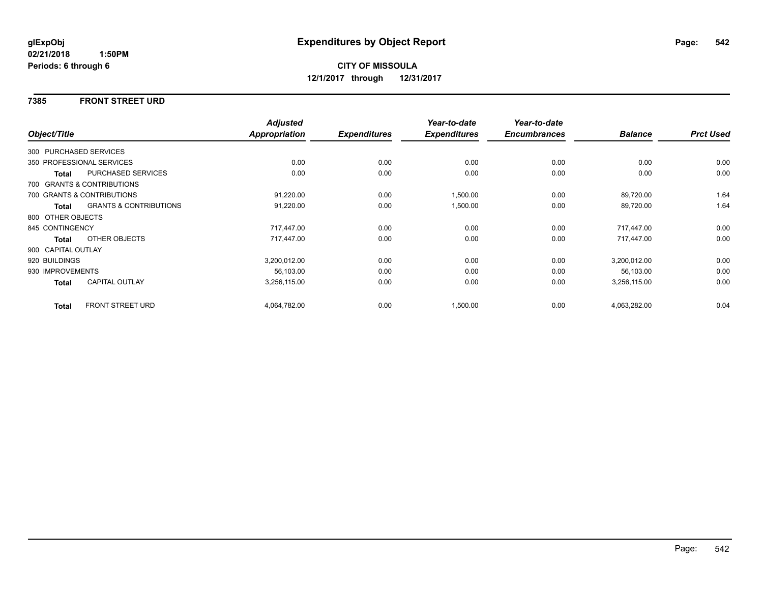#### **7385 FRONT STREET URD**

|                        |                                   | <b>Adjusted</b> |                     | Year-to-date        | Year-to-date        |                |                  |
|------------------------|-----------------------------------|-----------------|---------------------|---------------------|---------------------|----------------|------------------|
| Object/Title           |                                   | Appropriation   | <b>Expenditures</b> | <b>Expenditures</b> | <b>Encumbrances</b> | <b>Balance</b> | <b>Prct Used</b> |
| 300 PURCHASED SERVICES |                                   |                 |                     |                     |                     |                |                  |
|                        | 350 PROFESSIONAL SERVICES         | 0.00            | 0.00                | 0.00                | 0.00                | 0.00           | 0.00             |
| <b>Total</b>           | <b>PURCHASED SERVICES</b>         | 0.00            | 0.00                | 0.00                | 0.00                | 0.00           | 0.00             |
|                        | 700 GRANTS & CONTRIBUTIONS        |                 |                     |                     |                     |                |                  |
|                        | 700 GRANTS & CONTRIBUTIONS        | 91,220.00       | 0.00                | 1,500.00            | 0.00                | 89,720.00      | 1.64             |
| Total                  | <b>GRANTS &amp; CONTRIBUTIONS</b> | 91,220.00       | 0.00                | 1,500.00            | 0.00                | 89,720.00      | 1.64             |
| 800 OTHER OBJECTS      |                                   |                 |                     |                     |                     |                |                  |
| 845 CONTINGENCY        |                                   | 717,447.00      | 0.00                | 0.00                | 0.00                | 717,447.00     | 0.00             |
| Total                  | <b>OTHER OBJECTS</b>              | 717,447.00      | 0.00                | 0.00                | 0.00                | 717.447.00     | 0.00             |
| 900 CAPITAL OUTLAY     |                                   |                 |                     |                     |                     |                |                  |
| 920 BUILDINGS          |                                   | 3,200,012.00    | 0.00                | 0.00                | 0.00                | 3,200,012.00   | 0.00             |
| 930 IMPROVEMENTS       |                                   | 56,103.00       | 0.00                | 0.00                | 0.00                | 56,103.00      | 0.00             |
| Total                  | <b>CAPITAL OUTLAY</b>             | 3,256,115.00    | 0.00                | 0.00                | 0.00                | 3,256,115.00   | 0.00             |
| <b>Total</b>           | <b>FRONT STREET URD</b>           | 4,064,782.00    | 0.00                | 1,500.00            | 0.00                | 4,063,282.00   | 0.04             |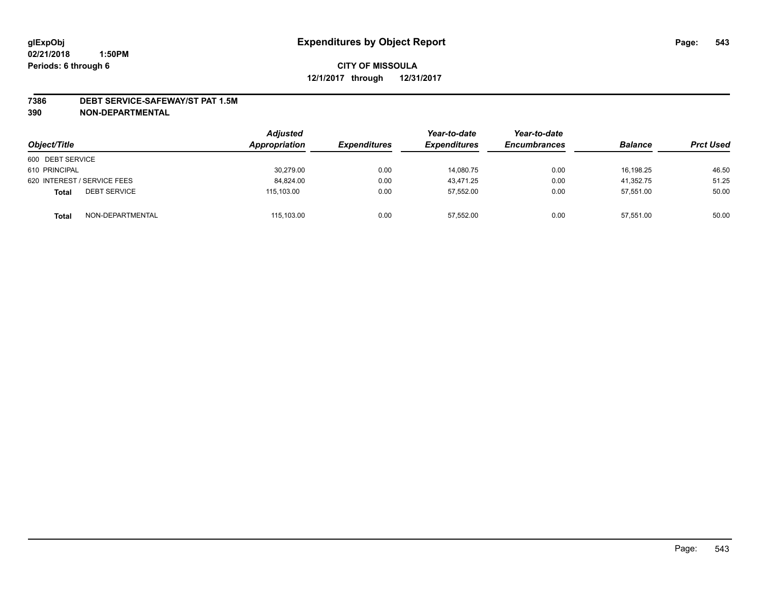#### **7386 DEBT SERVICE-SAFEWAY/ST PAT 1.5M**

**390 NON-DEPARTMENTAL**

| Object/Title                        | <b>Adjusted</b><br>Appropriation | <i><b>Expenditures</b></i> | Year-to-date<br><b>Expenditures</b> | Year-to-date<br><b>Encumbrances</b> | <b>Balance</b> | <b>Prct Used</b> |
|-------------------------------------|----------------------------------|----------------------------|-------------------------------------|-------------------------------------|----------------|------------------|
| 600 DEBT SERVICE                    |                                  |                            |                                     |                                     |                |                  |
| 610 PRINCIPAL                       | 30,279.00                        | 0.00                       | 14,080.75                           | 0.00                                | 16,198.25      | 46.50            |
| 620 INTEREST / SERVICE FEES         | 84,824.00                        | 0.00                       | 43.471.25                           | 0.00                                | 41,352.75      | 51.25            |
| <b>DEBT SERVICE</b><br><b>Total</b> | 115,103.00                       | 0.00                       | 57,552.00                           | 0.00                                | 57,551.00      | 50.00            |
| NON-DEPARTMENTAL<br><b>Total</b>    | 115,103.00                       | 0.00                       | 57,552.00                           | 0.00                                | 57,551.00      | 50.00            |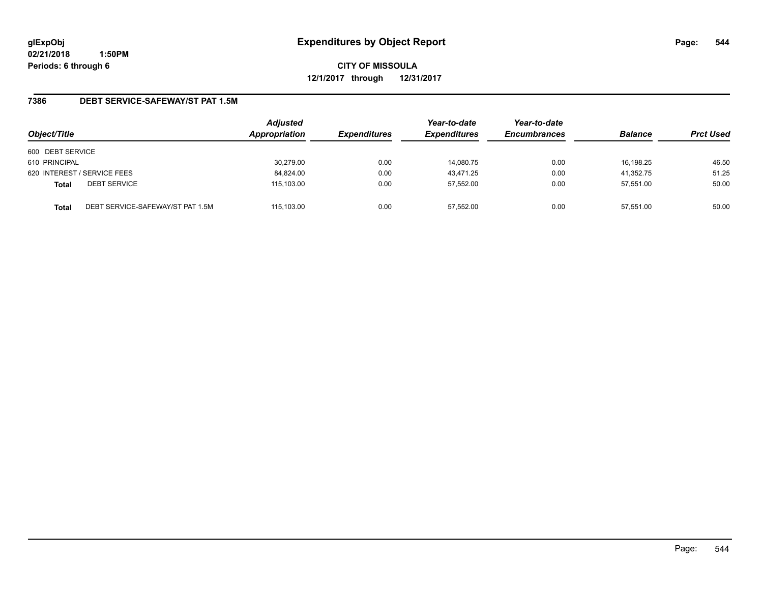**CITY OF MISSOULA 12/1/2017 through 12/31/2017**

### **7386 DEBT SERVICE-SAFEWAY/ST PAT 1.5M**

| Object/Title     |                                  | <b>Adjusted</b><br>Appropriation | <b>Expenditures</b> | Year-to-date<br><b>Expenditures</b> | Year-to-date<br><b>Encumbrances</b> | <b>Balance</b> | <b>Prct Used</b> |
|------------------|----------------------------------|----------------------------------|---------------------|-------------------------------------|-------------------------------------|----------------|------------------|
| 600 DEBT SERVICE |                                  |                                  |                     |                                     |                                     |                |                  |
| 610 PRINCIPAL    |                                  | 30,279.00                        | 0.00                | 14.080.75                           | 0.00                                | 16,198.25      | 46.50            |
|                  | 620 INTEREST / SERVICE FEES      | 84,824.00                        | 0.00                | 43.471.25                           | 0.00                                | 41.352.75      | 51.25            |
| <b>Total</b>     | <b>DEBT SERVICE</b>              | 115.103.00                       | 0.00                | 57.552.00                           | 0.00                                | 57.551.00      | 50.00            |
| <b>Total</b>     | DEBT SERVICE-SAFEWAY/ST PAT 1.5M | 115.103.00                       | 0.00                | 57.552.00                           | 0.00                                | 57.551.00      | 50.00            |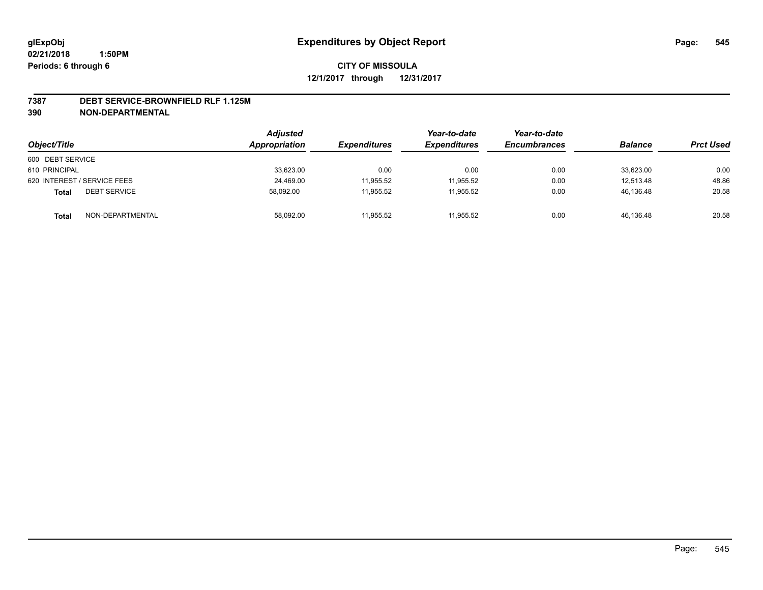#### **7387 DEBT SERVICE-BROWNFIELD RLF 1.125M**

**390 NON-DEPARTMENTAL**

| Object/Title                        | Adjusted<br>Appropriation | <b>Expenditures</b> | Year-to-date<br><b>Expenditures</b> | Year-to-date<br><b>Encumbrances</b> | <b>Balance</b> | <b>Prct Used</b> |
|-------------------------------------|---------------------------|---------------------|-------------------------------------|-------------------------------------|----------------|------------------|
| 600 DEBT SERVICE                    |                           |                     |                                     |                                     |                |                  |
| 610 PRINCIPAL                       | 33,623.00                 | 0.00                | 0.00                                | 0.00                                | 33,623.00      | 0.00             |
| 620 INTEREST / SERVICE FEES         | 24,469.00                 | 11,955.52           | 11,955.52                           | 0.00                                | 12,513.48      | 48.86            |
| <b>DEBT SERVICE</b><br><b>Total</b> | 58.092.00                 | 11,955.52           | 11.955.52                           | 0.00                                | 46,136.48      | 20.58            |
| NON-DEPARTMENTAL<br><b>Total</b>    | 58,092.00                 | 11,955.52           | 11,955.52                           | 0.00                                | 46,136.48      | 20.58            |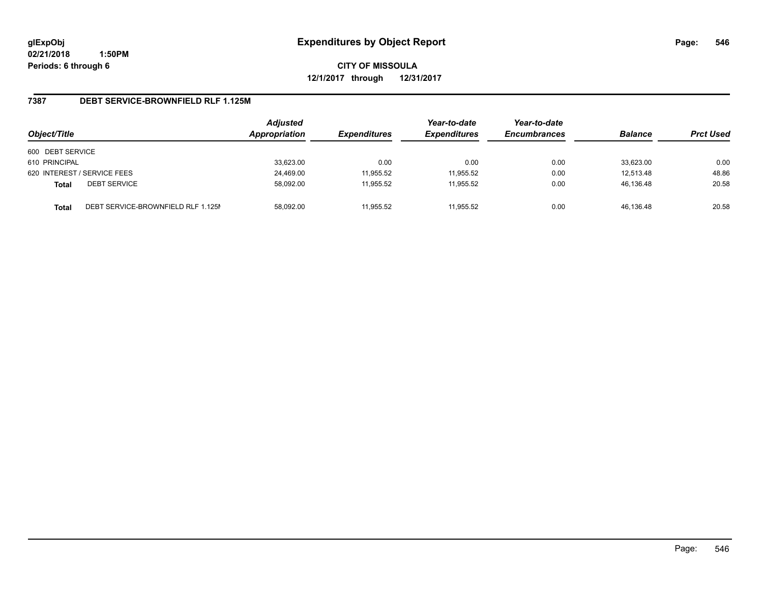**CITY OF MISSOULA 12/1/2017 through 12/31/2017**

### **7387 DEBT SERVICE-BROWNFIELD RLF 1.125M**

| Object/Title     |                                    | <b>Adjusted</b><br>Appropriation | <b>Expenditures</b> | Year-to-date<br><b>Expenditures</b> | Year-to-date<br><b>Encumbrances</b> | <b>Balance</b> | <b>Prct Used</b> |
|------------------|------------------------------------|----------------------------------|---------------------|-------------------------------------|-------------------------------------|----------------|------------------|
| 600 DEBT SERVICE |                                    |                                  |                     |                                     |                                     |                |                  |
| 610 PRINCIPAL    |                                    | 33,623.00                        | 0.00                | 0.00                                | 0.00                                | 33.623.00      | 0.00             |
|                  | 620 INTEREST / SERVICE FEES        | 24,469.00                        | 11.955.52           | 11,955.52                           | 0.00                                | 12,513.48      | 48.86            |
| <b>Total</b>     | <b>DEBT SERVICE</b>                | 58,092.00                        | 11,955.52           | 11.955.52                           | 0.00                                | 46.136.48      | 20.58            |
| <b>Total</b>     | DEBT SERVICE-BROWNFIELD RLF 1.125M | 58.092.00                        | 11.955.52           | 11.955.52                           | 0.00                                | 46.136.48      | 20.58            |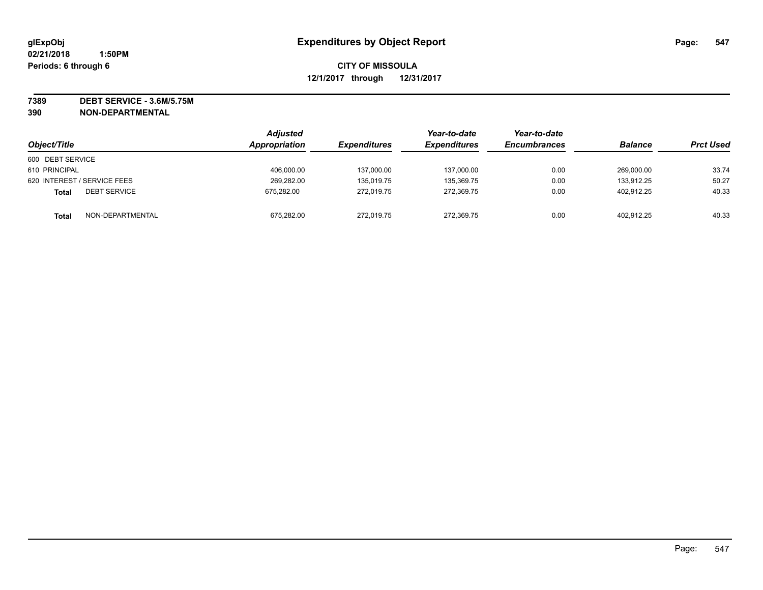**7389 DEBT SERVICE - 3.6M/5.75M**

**390 NON-DEPARTMENTAL**

| Object/Title                        | <b>Adjusted</b><br>Appropriation | <i><b>Expenditures</b></i> | Year-to-date<br><b>Expenditures</b> | Year-to-date<br><b>Encumbrances</b> | <b>Balance</b> | <b>Prct Used</b> |
|-------------------------------------|----------------------------------|----------------------------|-------------------------------------|-------------------------------------|----------------|------------------|
| 600 DEBT SERVICE                    |                                  |                            |                                     |                                     |                |                  |
| 610 PRINCIPAL                       | 406,000.00                       | 137.000.00                 | 137.000.00                          | 0.00                                | 269.000.00     | 33.74            |
| 620 INTEREST / SERVICE FEES         | 269,282.00                       | 135.019.75                 | 135.369.75                          | 0.00                                | 133.912.25     | 50.27            |
| <b>DEBT SERVICE</b><br><b>Total</b> | 675.282.00                       | 272.019.75                 | 272.369.75                          | 0.00                                | 402.912.25     | 40.33            |
| NON-DEPARTMENTAL<br><b>Total</b>    | 675,282.00                       | 272.019.75                 | 272,369.75                          | 0.00                                | 402.912.25     | 40.33            |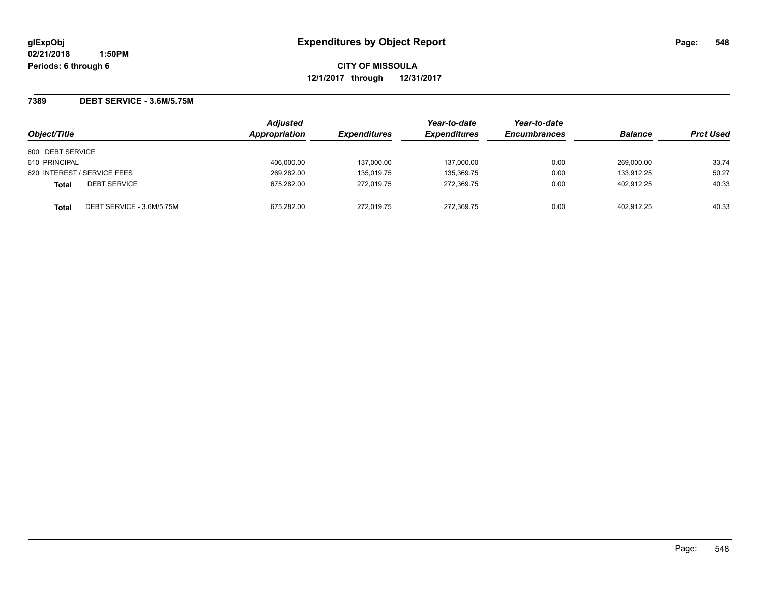#### **7389 DEBT SERVICE - 3.6M/5.75M**

| Object/Title                              | <b>Adjusted</b><br>Appropriation | <b>Expenditures</b> | Year-to-date<br><b>Expenditures</b> | Year-to-date<br><b>Encumbrances</b> | <b>Balance</b> | <b>Prct Used</b> |
|-------------------------------------------|----------------------------------|---------------------|-------------------------------------|-------------------------------------|----------------|------------------|
| 600 DEBT SERVICE                          |                                  |                     |                                     |                                     |                |                  |
| 610 PRINCIPAL                             | 406.000.00                       | 137.000.00          | 137.000.00                          | 0.00                                | 269.000.00     | 33.74            |
| 620 INTEREST / SERVICE FEES               | 269,282.00                       | 135.019.75          | 135,369.75                          | 0.00                                | 133.912.25     | 50.27            |
| <b>DEBT SERVICE</b><br><b>Total</b>       | 675,282.00                       | 272.019.75          | 272,369.75                          | 0.00                                | 402.912.25     | 40.33            |
| DEBT SERVICE - 3.6M/5.75M<br><b>Total</b> | 675,282.00                       | 272.019.75          | 272,369.75                          | 0.00                                | 402.912.25     | 40.33            |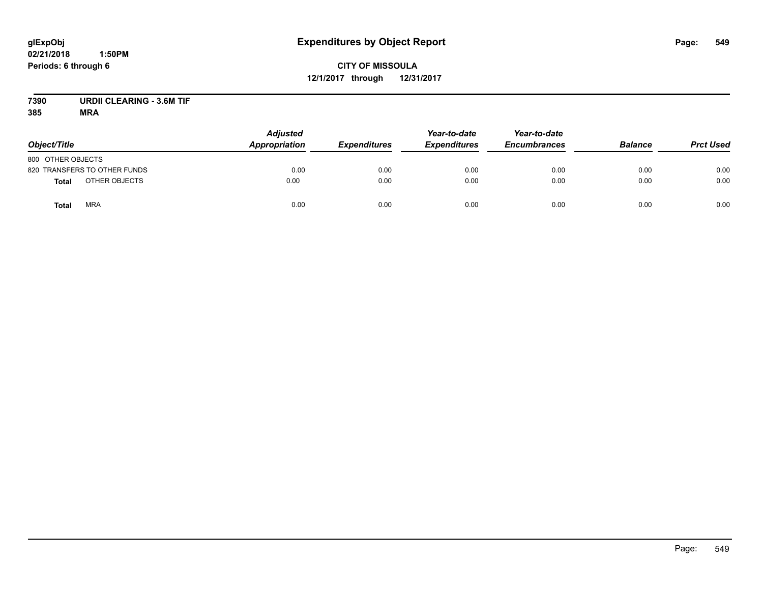## **CITY OF MISSOULA 12/1/2017 through 12/31/2017**

# **7390 URDII CLEARING - 3.6M TIF**

| Object/Title                  | <b>Adjusted</b><br><b>Appropriation</b> | <b>Expenditures</b> | Year-to-date<br><b>Expenditures</b> | Year-to-date<br><b>Encumbrances</b> | <b>Balance</b> | <b>Prct Used</b> |
|-------------------------------|-----------------------------------------|---------------------|-------------------------------------|-------------------------------------|----------------|------------------|
| 800 OTHER OBJECTS             |                                         |                     |                                     |                                     |                |                  |
| 820 TRANSFERS TO OTHER FUNDS  | 0.00                                    | 0.00                | 0.00                                | 0.00                                | 0.00           | 0.00             |
| OTHER OBJECTS<br><b>Total</b> | 0.00                                    | 0.00                | 0.00                                | 0.00                                | 0.00           | 0.00             |
| <b>MRA</b><br><b>Total</b>    | 0.00                                    | 0.00                | 0.00                                | 0.00                                | 0.00           | 0.00             |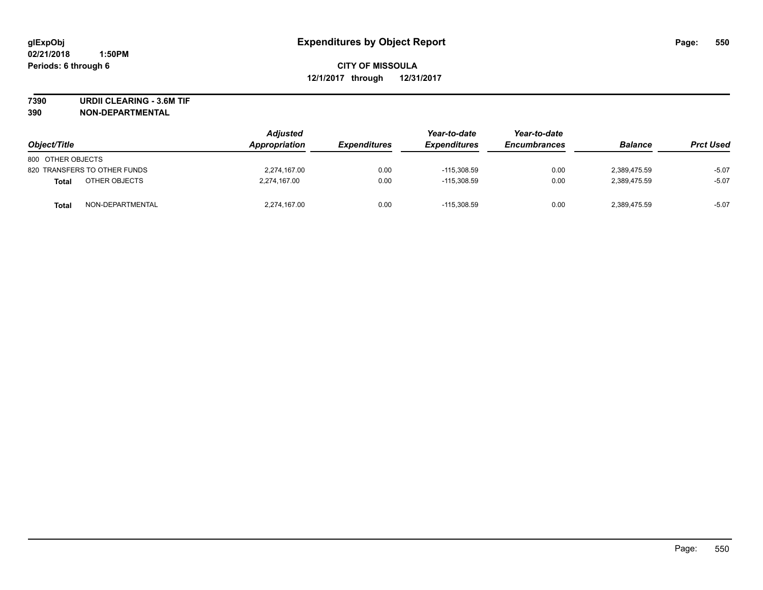**7390 URDII CLEARING - 3.6M TIF**

**390 NON-DEPARTMENTAL**

| Object/Title                 | <b>Adjusted</b><br>Appropriation | <b>Expenditures</b> | Year-to-date<br><b>Expenditures</b> | Year-to-date<br><b>Encumbrances</b> | <b>Balance</b> | <b>Prct Used</b> |
|------------------------------|----------------------------------|---------------------|-------------------------------------|-------------------------------------|----------------|------------------|
| 800 OTHER OBJECTS            |                                  |                     |                                     |                                     |                |                  |
| 820 TRANSFERS TO OTHER FUNDS | 2,274,167.00                     | 0.00                | $-115.308.59$                       | 0.00                                | 2,389,475.59   | $-5.07$          |
| OTHER OBJECTS<br>Total       | 2.274.167.00                     | 0.00                | $-115.308.59$                       | 0.00                                | 2.389.475.59   | $-5.07$          |
| NON-DEPARTMENTAL<br>Total    | 2,274,167.00                     | 0.00                | $-115,308.59$                       | 0.00                                | 2,389,475.59   | $-5.07$          |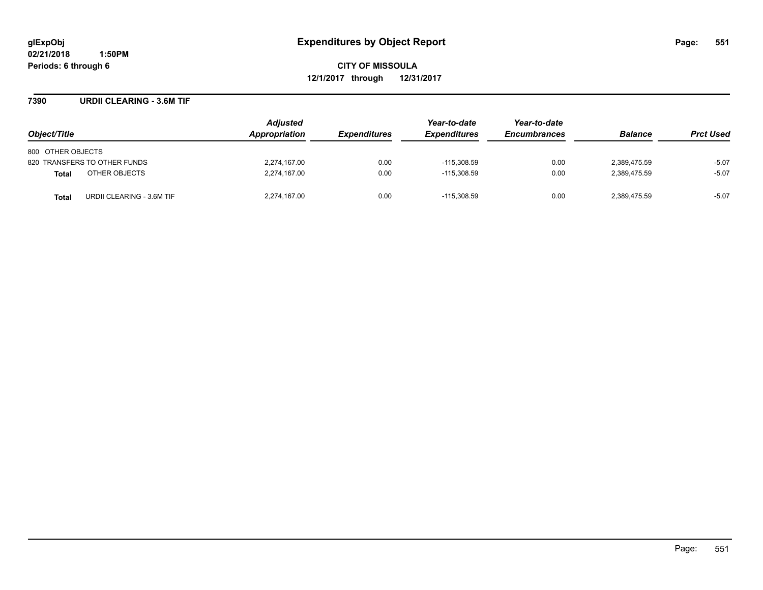**CITY OF MISSOULA 12/1/2017 through 12/31/2017**

**7390 URDII CLEARING - 3.6M TIF**

| Object/Title                              | <b>Adjusted</b><br>Appropriation | <b>Expenditures</b> | Year-to-date<br><b>Expenditures</b> | Year-to-date<br><b>Encumbrances</b> | <b>Balance</b> | <b>Prct Used</b> |
|-------------------------------------------|----------------------------------|---------------------|-------------------------------------|-------------------------------------|----------------|------------------|
| 800 OTHER OBJECTS                         |                                  |                     |                                     |                                     |                |                  |
| 820 TRANSFERS TO OTHER FUNDS              | 2,274,167.00                     | 0.00                | $-115,308.59$                       | 0.00                                | 2,389,475.59   | $-5.07$          |
| OTHER OBJECTS<br><b>Total</b>             | 2.274.167.00                     | 0.00                | $-115.308.59$                       | 0.00                                | 2.389.475.59   | $-5.07$          |
| URDII CLEARING - 3.6M TIF<br><b>Total</b> | 2.274.167.00                     | 0.00                | $-115.308.59$                       | 0.00                                | 2.389.475.59   | $-5.07$          |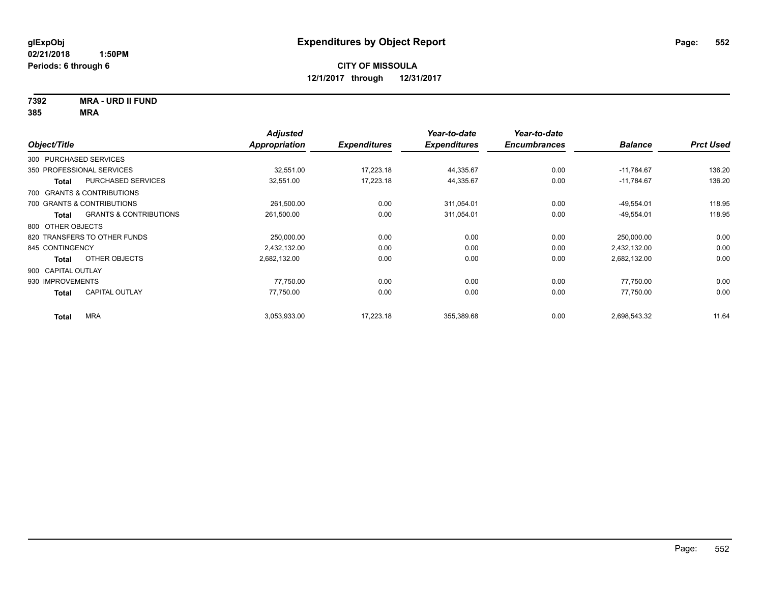# **7392 MRA - URD II FUND**

|                    |                                   | <b>Adjusted</b>      |                     | Year-to-date        | Year-to-date        |                |                  |
|--------------------|-----------------------------------|----------------------|---------------------|---------------------|---------------------|----------------|------------------|
| Object/Title       |                                   | <b>Appropriation</b> | <b>Expenditures</b> | <b>Expenditures</b> | <b>Encumbrances</b> | <b>Balance</b> | <b>Prct Used</b> |
|                    | 300 PURCHASED SERVICES            |                      |                     |                     |                     |                |                  |
|                    | 350 PROFESSIONAL SERVICES         | 32,551.00            | 17,223.18           | 44,335.67           | 0.00                | $-11,784.67$   | 136.20           |
| <b>Total</b>       | <b>PURCHASED SERVICES</b>         | 32,551.00            | 17,223.18           | 44,335.67           | 0.00                | $-11,784.67$   | 136.20           |
|                    | 700 GRANTS & CONTRIBUTIONS        |                      |                     |                     |                     |                |                  |
|                    | 700 GRANTS & CONTRIBUTIONS        | 261,500.00           | 0.00                | 311,054.01          | 0.00                | $-49,554.01$   | 118.95           |
| Total              | <b>GRANTS &amp; CONTRIBUTIONS</b> | 261,500.00           | 0.00                | 311,054.01          | 0.00                | $-49,554.01$   | 118.95           |
| 800 OTHER OBJECTS  |                                   |                      |                     |                     |                     |                |                  |
|                    | 820 TRANSFERS TO OTHER FUNDS      | 250,000.00           | 0.00                | 0.00                | 0.00                | 250,000.00     | 0.00             |
| 845 CONTINGENCY    |                                   | 2,432,132.00         | 0.00                | 0.00                | 0.00                | 2,432,132.00   | 0.00             |
| <b>Total</b>       | OTHER OBJECTS                     | 2,682,132.00         | 0.00                | 0.00                | 0.00                | 2,682,132.00   | 0.00             |
| 900 CAPITAL OUTLAY |                                   |                      |                     |                     |                     |                |                  |
| 930 IMPROVEMENTS   |                                   | 77,750.00            | 0.00                | 0.00                | 0.00                | 77,750.00      | 0.00             |
| Total              | <b>CAPITAL OUTLAY</b>             | 77,750.00            | 0.00                | 0.00                | 0.00                | 77,750.00      | 0.00             |
| <b>Total</b>       | <b>MRA</b>                        | 3,053,933.00         | 17,223.18           | 355,389.68          | 0.00                | 2,698,543.32   | 11.64            |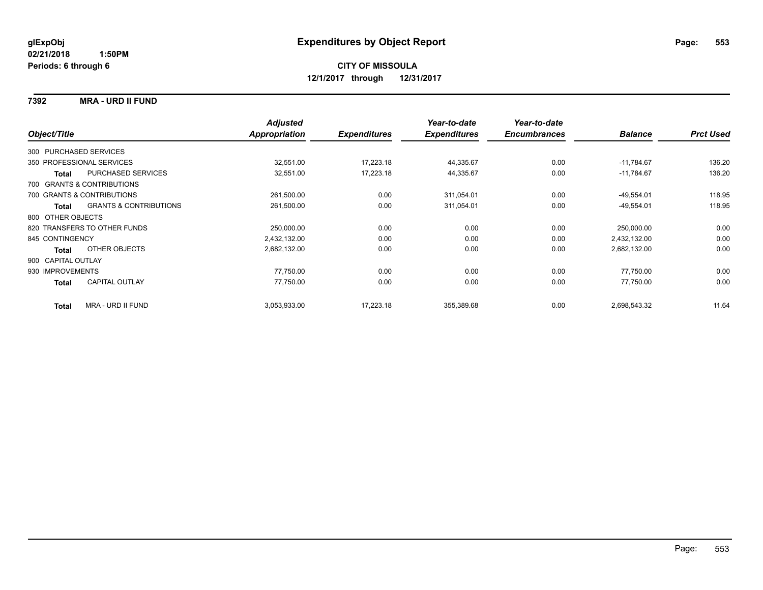#### **7392 MRA - URD II FUND**

|                    |                                   | <b>Adjusted</b> |                     | Year-to-date        | Year-to-date        |                |                  |
|--------------------|-----------------------------------|-----------------|---------------------|---------------------|---------------------|----------------|------------------|
| Object/Title       |                                   | Appropriation   | <b>Expenditures</b> | <b>Expenditures</b> | <b>Encumbrances</b> | <b>Balance</b> | <b>Prct Used</b> |
|                    | 300 PURCHASED SERVICES            |                 |                     |                     |                     |                |                  |
|                    | 350 PROFESSIONAL SERVICES         | 32,551.00       | 17,223.18           | 44,335.67           | 0.00                | $-11,784.67$   | 136.20           |
| <b>Total</b>       | PURCHASED SERVICES                | 32,551.00       | 17,223.18           | 44,335.67           | 0.00                | $-11,784.67$   | 136.20           |
|                    | 700 GRANTS & CONTRIBUTIONS        |                 |                     |                     |                     |                |                  |
|                    | 700 GRANTS & CONTRIBUTIONS        | 261,500.00      | 0.00                | 311,054.01          | 0.00                | $-49,554.01$   | 118.95           |
| Total              | <b>GRANTS &amp; CONTRIBUTIONS</b> | 261,500.00      | 0.00                | 311,054.01          | 0.00                | $-49,554.01$   | 118.95           |
| 800 OTHER OBJECTS  |                                   |                 |                     |                     |                     |                |                  |
|                    | 820 TRANSFERS TO OTHER FUNDS      | 250,000.00      | 0.00                | 0.00                | 0.00                | 250,000.00     | 0.00             |
| 845 CONTINGENCY    |                                   | 2,432,132.00    | 0.00                | 0.00                | 0.00                | 2,432,132.00   | 0.00             |
| <b>Total</b>       | OTHER OBJECTS                     | 2,682,132.00    | 0.00                | 0.00                | 0.00                | 2,682,132.00   | 0.00             |
| 900 CAPITAL OUTLAY |                                   |                 |                     |                     |                     |                |                  |
| 930 IMPROVEMENTS   |                                   | 77,750.00       | 0.00                | 0.00                | 0.00                | 77,750.00      | 0.00             |
| Total              | <b>CAPITAL OUTLAY</b>             | 77,750.00       | 0.00                | 0.00                | 0.00                | 77,750.00      | 0.00             |
| <b>Total</b>       | <b>MRA - URD II FUND</b>          | 3,053,933.00    | 17,223.18           | 355,389.68          | 0.00                | 2,698,543.32   | 11.64            |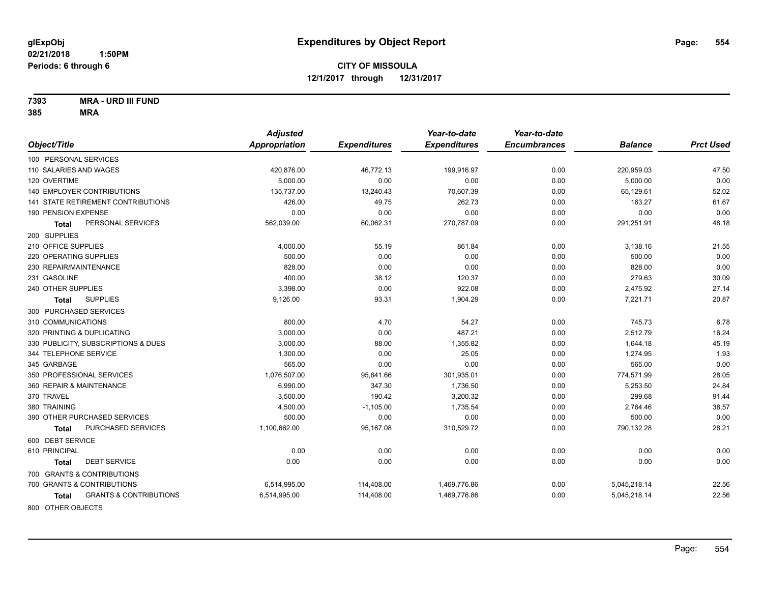**7393 MRA - URD III FUND**

**385 MRA**

|                                            | <b>Adjusted</b>      |                     | Year-to-date        | Year-to-date        |                |                  |
|--------------------------------------------|----------------------|---------------------|---------------------|---------------------|----------------|------------------|
| Object/Title                               | <b>Appropriation</b> | <b>Expenditures</b> | <b>Expenditures</b> | <b>Encumbrances</b> | <b>Balance</b> | <b>Prct Used</b> |
| 100 PERSONAL SERVICES                      |                      |                     |                     |                     |                |                  |
| 110 SALARIES AND WAGES                     | 420,876.00           | 46,772.13           | 199,916.97          | 0.00                | 220,959.03     | 47.50            |
| 120 OVERTIME                               | 5.000.00             | 0.00                | 0.00                | 0.00                | 5,000.00       | 0.00             |
| <b>140 EMPLOYER CONTRIBUTIONS</b>          | 135,737.00           | 13,240.43           | 70,607.39           | 0.00                | 65,129.61      | 52.02            |
| <b>141 STATE RETIREMENT CONTRIBUTIONS</b>  | 426.00               | 49.75               | 262.73              | 0.00                | 163.27         | 61.67            |
| 190 PENSION EXPENSE                        | 0.00                 | 0.00                | 0.00                | 0.00                | 0.00           | 0.00             |
| PERSONAL SERVICES<br><b>Total</b>          | 562,039.00           | 60,062.31           | 270,787.09          | 0.00                | 291,251.91     | 48.18            |
| 200 SUPPLIES                               |                      |                     |                     |                     |                |                  |
| 210 OFFICE SUPPLIES                        | 4,000.00             | 55.19               | 861.84              | 0.00                | 3,138.16       | 21.55            |
| 220 OPERATING SUPPLIES                     | 500.00               | 0.00                | 0.00                | 0.00                | 500.00         | 0.00             |
| 230 REPAIR/MAINTENANCE                     | 828.00               | 0.00                | 0.00                | 0.00                | 828.00         | 0.00             |
| 231 GASOLINE                               | 400.00               | 38.12               | 120.37              | 0.00                | 279.63         | 30.09            |
| 240 OTHER SUPPLIES                         | 3,398.00             | 0.00                | 922.08              | 0.00                | 2,475.92       | 27.14            |
| <b>SUPPLIES</b><br>Total                   | 9,126.00             | 93.31               | 1,904.29            | 0.00                | 7,221.71       | 20.87            |
| 300 PURCHASED SERVICES                     |                      |                     |                     |                     |                |                  |
| 310 COMMUNICATIONS                         | 800.00               | 4.70                | 54.27               | 0.00                | 745.73         | 6.78             |
| 320 PRINTING & DUPLICATING                 | 3,000.00             | 0.00                | 487.21              | 0.00                | 2,512.79       | 16.24            |
| 330 PUBLICITY, SUBSCRIPTIONS & DUES        | 3,000.00             | 88.00               | 1,355.82            | 0.00                | 1,644.18       | 45.19            |
| 344 TELEPHONE SERVICE                      | 1,300.00             | 0.00                | 25.05               | 0.00                | 1,274.95       | 1.93             |
| 345 GARBAGE                                | 565.00               | 0.00                | 0.00                | 0.00                | 565.00         | 0.00             |
| 350 PROFESSIONAL SERVICES                  | 1,076,507.00         | 95,641.66           | 301,935.01          | 0.00                | 774,571.99     | 28.05            |
| 360 REPAIR & MAINTENANCE                   | 6,990.00             | 347.30              | 1,736.50            | 0.00                | 5,253.50       | 24.84            |
| 370 TRAVEL                                 | 3,500.00             | 190.42              | 3,200.32            | 0.00                | 299.68         | 91.44            |
| 380 TRAINING                               | 4,500.00             | $-1,105.00$         | 1,735.54            | 0.00                | 2,764.46       | 38.57            |
| 390 OTHER PURCHASED SERVICES               | 500.00               | 0.00                | 0.00                | 0.00                | 500.00         | 0.00             |
| PURCHASED SERVICES<br>Total                | 1,100,662.00         | 95,167.08           | 310,529.72          | 0.00                | 790,132.28     | 28.21            |
| 600 DEBT SERVICE                           |                      |                     |                     |                     |                |                  |
| 610 PRINCIPAL                              | 0.00                 | 0.00                | 0.00                | 0.00                | 0.00           | 0.00             |
| <b>DEBT SERVICE</b><br>Total               | 0.00                 | 0.00                | 0.00                | 0.00                | 0.00           | 0.00             |
| 700 GRANTS & CONTRIBUTIONS                 |                      |                     |                     |                     |                |                  |
| 700 GRANTS & CONTRIBUTIONS                 | 6,514,995.00         | 114,408.00          | 1,469,776.86        | 0.00                | 5,045,218.14   | 22.56            |
| <b>GRANTS &amp; CONTRIBUTIONS</b><br>Total | 6,514,995.00         | 114,408.00          | 1,469,776.86        | 0.00                | 5,045,218.14   | 22.56            |
| 000 OTHER OR IECTO                         |                      |                     |                     |                     |                |                  |

800 OTHER OBJECTS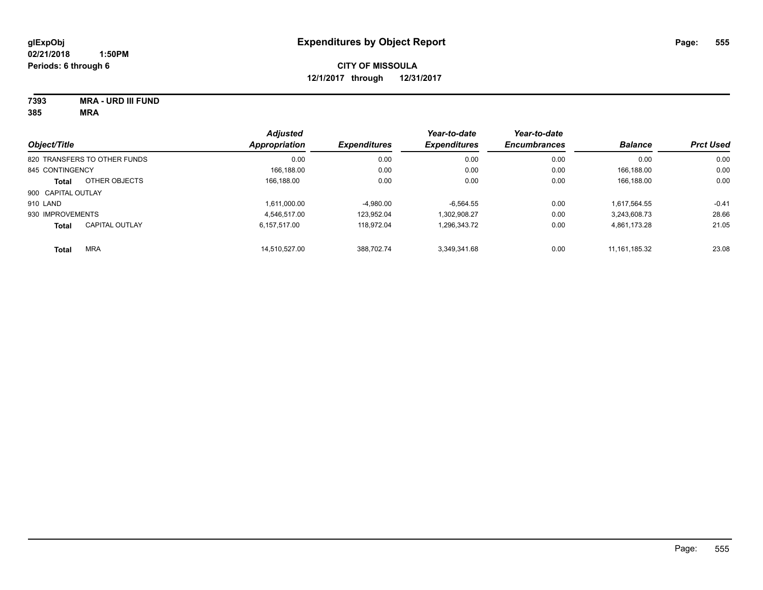| 7393 | <b>MRA - URD III FUND</b> |
|------|---------------------------|
| 385  | MRA                       |

| Object/Title                   | <b>Adjusted</b><br>Appropriation | <b>Expenditures</b> | Year-to-date<br><b>Expenditures</b> | Year-to-date<br><b>Encumbrances</b> | <b>Balance</b> | <b>Prct Used</b> |
|--------------------------------|----------------------------------|---------------------|-------------------------------------|-------------------------------------|----------------|------------------|
| 820 TRANSFERS TO OTHER FUNDS   | 0.00                             | 0.00                | 0.00                                | 0.00                                | 0.00           | 0.00             |
| 845 CONTINGENCY                | 166.188.00                       | 0.00                | 0.00                                | 0.00                                | 166.188.00     | 0.00             |
| OTHER OBJECTS<br>Total         | 166.188.00                       | 0.00                | 0.00                                | 0.00                                | 166.188.00     | 0.00             |
| 900 CAPITAL OUTLAY             |                                  |                     |                                     |                                     |                |                  |
| 910 LAND                       | 1.611.000.00                     | $-4.980.00$         | $-6.564.55$                         | 0.00                                | 1.617.564.55   | $-0.41$          |
| 930 IMPROVEMENTS               | 4.546.517.00                     | 123.952.04          | 1.302.908.27                        | 0.00                                | 3.243.608.73   | 28.66            |
| <b>CAPITAL OUTLAY</b><br>Total | 6.157.517.00                     | 118.972.04          | 1.296.343.72                        | 0.00                                | 4.861.173.28   | 21.05            |
| <b>MRA</b><br>Total            | 14.510.527.00                    | 388.702.74          | 3.349.341.68                        | 0.00                                | 11.161.185.32  | 23.08            |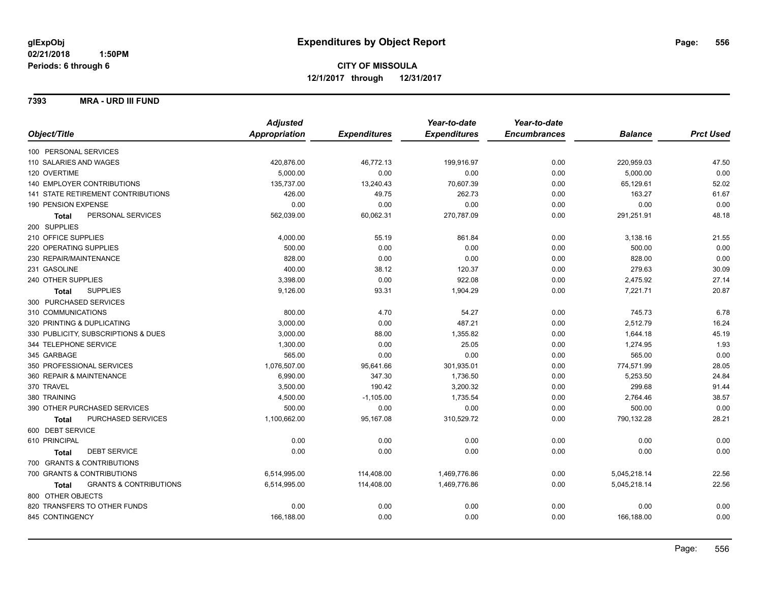**7393 MRA - URD III FUND**

|                                                   | <b>Adjusted</b>      |                     | Year-to-date        | Year-to-date        |                |                  |
|---------------------------------------------------|----------------------|---------------------|---------------------|---------------------|----------------|------------------|
| Object/Title                                      | <b>Appropriation</b> | <b>Expenditures</b> | <b>Expenditures</b> | <b>Encumbrances</b> | <b>Balance</b> | <b>Prct Used</b> |
| 100 PERSONAL SERVICES                             |                      |                     |                     |                     |                |                  |
| 110 SALARIES AND WAGES                            | 420,876.00           | 46,772.13           | 199,916.97          | 0.00                | 220,959.03     | 47.50            |
| 120 OVERTIME                                      | 5,000.00             | 0.00                | 0.00                | 0.00                | 5,000.00       | 0.00             |
| 140 EMPLOYER CONTRIBUTIONS                        | 135,737.00           | 13,240.43           | 70,607.39           | 0.00                | 65,129.61      | 52.02            |
| 141 STATE RETIREMENT CONTRIBUTIONS                | 426.00               | 49.75               | 262.73              | 0.00                | 163.27         | 61.67            |
| 190 PENSION EXPENSE                               | 0.00                 | 0.00                | 0.00                | 0.00                | 0.00           | 0.00             |
| PERSONAL SERVICES<br><b>Total</b>                 | 562,039.00           | 60,062.31           | 270,787.09          | 0.00                | 291,251.91     | 48.18            |
| 200 SUPPLIES                                      |                      |                     |                     |                     |                |                  |
| 210 OFFICE SUPPLIES                               | 4,000.00             | 55.19               | 861.84              | 0.00                | 3,138.16       | 21.55            |
| 220 OPERATING SUPPLIES                            | 500.00               | 0.00                | 0.00                | 0.00                | 500.00         | 0.00             |
| 230 REPAIR/MAINTENANCE                            | 828.00               | 0.00                | 0.00                | 0.00                | 828.00         | 0.00             |
| 231 GASOLINE                                      | 400.00               | 38.12               | 120.37              | 0.00                | 279.63         | 30.09            |
| 240 OTHER SUPPLIES                                | 3,398.00             | 0.00                | 922.08              | 0.00                | 2,475.92       | 27.14            |
| <b>SUPPLIES</b><br>Total                          | 9,126.00             | 93.31               | 1,904.29            | 0.00                | 7,221.71       | 20.87            |
| 300 PURCHASED SERVICES                            |                      |                     |                     |                     |                |                  |
| 310 COMMUNICATIONS                                | 800.00               | 4.70                | 54.27               | 0.00                | 745.73         | 6.78             |
| 320 PRINTING & DUPLICATING                        | 3,000.00             | 0.00                | 487.21              | 0.00                | 2,512.79       | 16.24            |
| 330 PUBLICITY, SUBSCRIPTIONS & DUES               | 3,000.00             | 88.00               | 1,355.82            | 0.00                | 1,644.18       | 45.19            |
| 344 TELEPHONE SERVICE                             | 1,300.00             | 0.00                | 25.05               | 0.00                | 1,274.95       | 1.93             |
| 345 GARBAGE                                       | 565.00               | 0.00                | 0.00                | 0.00                | 565.00         | 0.00             |
| 350 PROFESSIONAL SERVICES                         | 1,076,507.00         | 95,641.66           | 301,935.01          | 0.00                | 774,571.99     | 28.05            |
| 360 REPAIR & MAINTENANCE                          | 6,990.00             | 347.30              | 1,736.50            | 0.00                | 5,253.50       | 24.84            |
| 370 TRAVEL                                        | 3,500.00             | 190.42              | 3,200.32            | 0.00                | 299.68         | 91.44            |
| 380 TRAINING                                      | 4,500.00             | $-1,105.00$         | 1,735.54            | 0.00                | 2,764.46       | 38.57            |
| 390 OTHER PURCHASED SERVICES                      | 500.00               | 0.00                | 0.00                | 0.00                | 500.00         | 0.00             |
| PURCHASED SERVICES<br><b>Total</b>                | 1,100,662.00         | 95,167.08           | 310,529.72          | 0.00                | 790,132.28     | 28.21            |
| 600 DEBT SERVICE                                  |                      |                     |                     |                     |                |                  |
| 610 PRINCIPAL                                     | 0.00                 | 0.00                | 0.00                | 0.00                | 0.00           | 0.00             |
| <b>DEBT SERVICE</b><br><b>Total</b>               | 0.00                 | 0.00                | 0.00                | 0.00                | 0.00           | 0.00             |
| 700 GRANTS & CONTRIBUTIONS                        |                      |                     |                     |                     |                |                  |
| 700 GRANTS & CONTRIBUTIONS                        | 6,514,995.00         | 114,408.00          | 1,469,776.86        | 0.00                | 5,045,218.14   | 22.56            |
| <b>GRANTS &amp; CONTRIBUTIONS</b><br><b>Total</b> | 6,514,995.00         | 114,408.00          | 1,469,776.86        | 0.00                | 5,045,218.14   | 22.56            |
| 800 OTHER OBJECTS                                 |                      |                     |                     |                     |                |                  |
| 820 TRANSFERS TO OTHER FUNDS                      | 0.00                 | 0.00                | 0.00                | 0.00                | 0.00           | 0.00             |
| 845 CONTINGENCY                                   | 166,188.00           | 0.00                | 0.00                | 0.00                | 166,188.00     | 0.00             |
|                                                   |                      |                     |                     |                     |                |                  |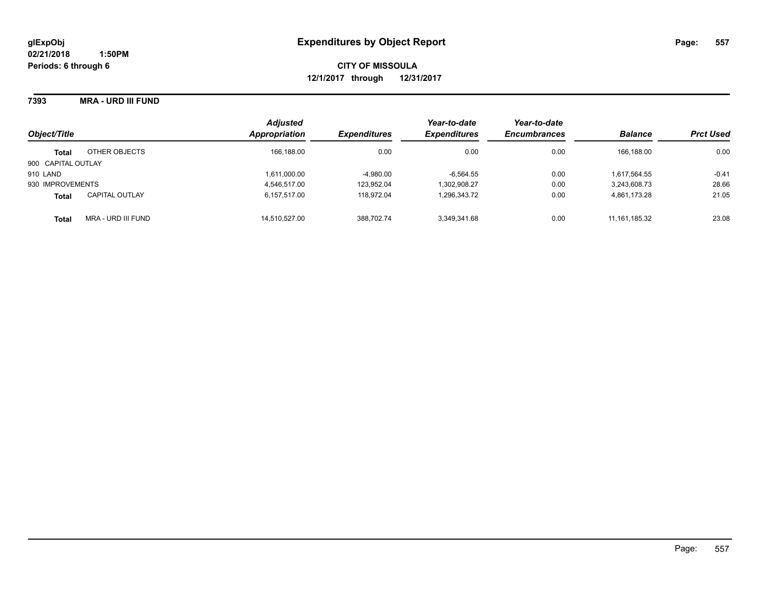**7393 MRA - URD III FUND**

| Object/Title       |                       | <b>Adjusted</b><br>Appropriation | <b>Expenditures</b> | Year-to-date<br><b>Expenditures</b> | Year-to-date<br><b>Encumbrances</b> | <b>Balance</b> | <b>Prct Used</b> |
|--------------------|-----------------------|----------------------------------|---------------------|-------------------------------------|-------------------------------------|----------------|------------------|
|                    |                       |                                  |                     |                                     |                                     |                |                  |
| 900 CAPITAL OUTLAY |                       |                                  |                     |                                     |                                     |                |                  |
| 910 LAND           |                       | 1,611,000.00                     | $-4,980.00$         | $-6,564.55$                         | 0.00                                | 1,617,564.55   | $-0.41$          |
| 930 IMPROVEMENTS   |                       | 4,546,517.00                     | 123.952.04          | 1,302,908.27                        | 0.00                                | 3,243,608.73   | 28.66            |
| <b>Total</b>       | <b>CAPITAL OUTLAY</b> | 6.157.517.00                     | 118.972.04          | 1.296.343.72                        | 0.00                                | 4,861,173.28   | 21.05            |
| <b>Total</b>       | MRA - URD III FUND    | 14.510.527.00                    | 388.702.74          | 3,349,341.68                        | 0.00                                | 11.161.185.32  | 23.08            |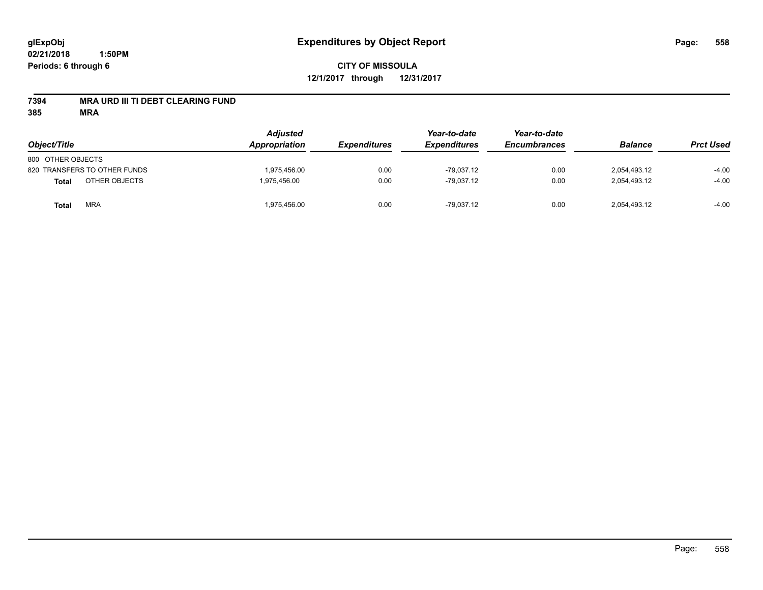### **7394 MRA URD III TI DEBT CLEARING FUND**

| Object/Title                  | <b>Adjusted</b><br>Appropriation | <b>Expenditures</b> | Year-to-date<br><b>Expenditures</b> | Year-to-date<br><b>Encumbrances</b> | <b>Balance</b> | <b>Prct Used</b> |
|-------------------------------|----------------------------------|---------------------|-------------------------------------|-------------------------------------|----------------|------------------|
| 800 OTHER OBJECTS             |                                  |                     |                                     |                                     |                |                  |
| 820 TRANSFERS TO OTHER FUNDS  | 1.975.456.00                     | 0.00                | $-79.037.12$                        | 0.00                                | 2.054.493.12   | $-4.00$          |
| OTHER OBJECTS<br><b>Total</b> | 1.975.456.00                     | 0.00                | $-79.037.12$                        | 0.00                                | 2,054,493.12   | $-4.00$          |
| <b>MRA</b><br><b>Total</b>    | 975,456.00                       | 0.00                | $-79,037.12$                        | 0.00                                | 2,054,493.12   | $-4.00$          |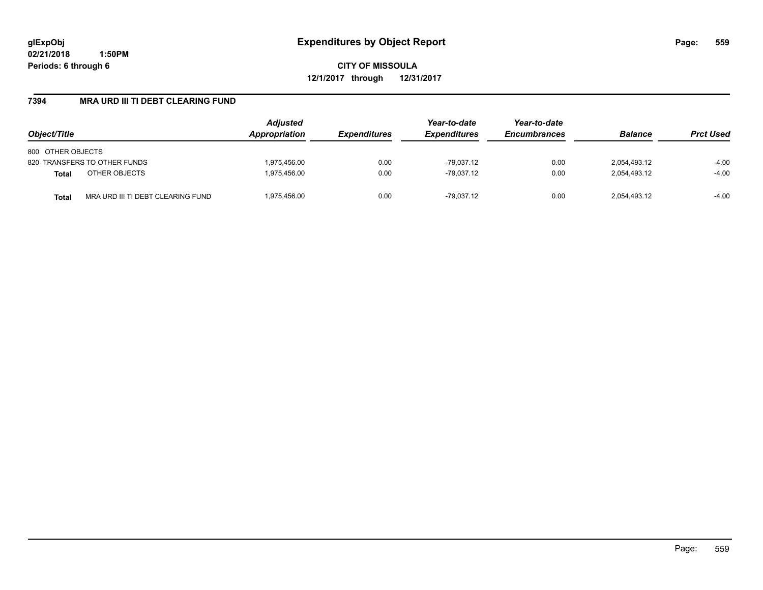**CITY OF MISSOULA 12/1/2017 through 12/31/2017**

### **7394 MRA URD III TI DEBT CLEARING FUND**

| Object/Title                                      | <b>Adjusted</b><br>Appropriation | <b>Expenditures</b> | Year-to-date<br><b>Expenditures</b> | Year-to-date<br><b>Encumbrances</b> | <b>Balance</b> | <b>Prct Used</b> |
|---------------------------------------------------|----------------------------------|---------------------|-------------------------------------|-------------------------------------|----------------|------------------|
| 800 OTHER OBJECTS                                 |                                  |                     |                                     |                                     |                |                  |
| 820 TRANSFERS TO OTHER FUNDS                      | 1,975,456.00                     | 0.00                | -79,037.12                          | 0.00                                | 2,054,493.12   | $-4.00$          |
| OTHER OBJECTS<br><b>Total</b>                     | 1.975.456.00                     | 0.00                | -79.037.12                          | 0.00                                | 2.054.493.12   | $-4.00$          |
| MRA URD III TI DEBT CLEARING FUND<br><b>Total</b> | 1,975,456.00                     | 0.00                | $-79.037.12$                        | 0.00                                | 2.054.493.12   | $-4.00$          |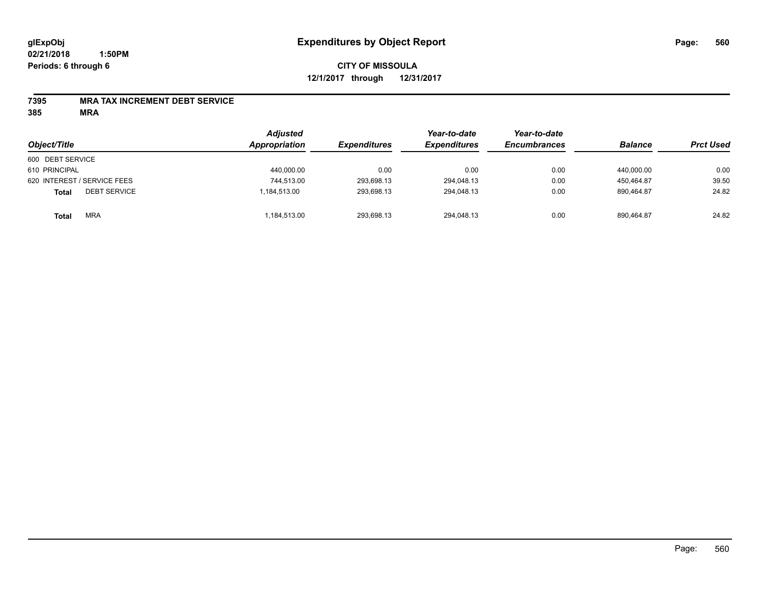### **7395 MRA TAX INCREMENT DEBT SERVICE**

| Object/Title                        | <b>Adjusted</b><br>Appropriation | <b>Expenditures</b> | Year-to-date<br><b>Expenditures</b> | Year-to-date<br><b>Encumbrances</b> | <b>Balance</b> | <b>Prct Used</b> |
|-------------------------------------|----------------------------------|---------------------|-------------------------------------|-------------------------------------|----------------|------------------|
| 600 DEBT SERVICE                    |                                  |                     |                                     |                                     |                |                  |
| 610 PRINCIPAL                       | 440,000.00                       | 0.00                | 0.00                                | 0.00                                | 440.000.00     | 0.00             |
| 620 INTEREST / SERVICE FEES         | 744,513.00                       | 293,698.13          | 294,048.13                          | 0.00                                | 450,464.87     | 39.50            |
| <b>DEBT SERVICE</b><br><b>Total</b> | 1,184,513.00                     | 293,698.13          | 294.048.13                          | 0.00                                | 890.464.87     | 24.82            |
| <b>MRA</b><br><b>Total</b>          | 184,513.00                       | 293,698.13          | 294.048.13                          | 0.00                                | 890.464.87     | 24.82            |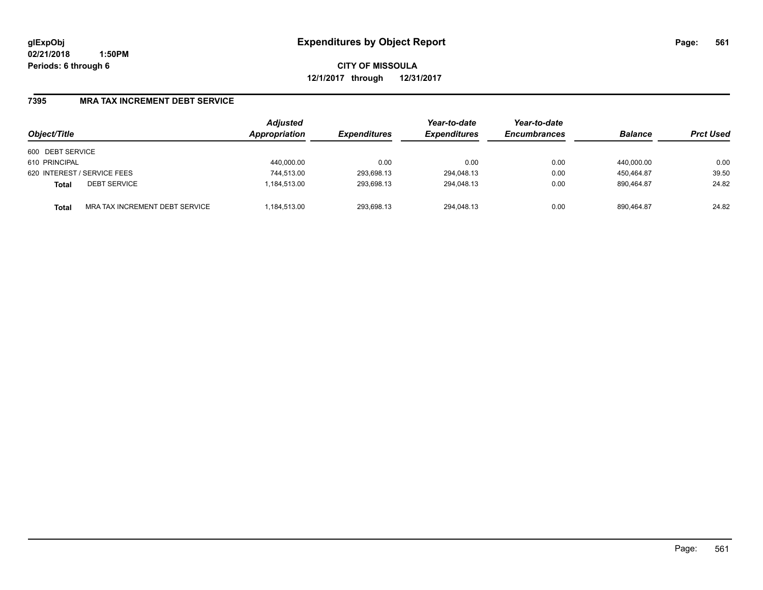**CITY OF MISSOULA 12/1/2017 through 12/31/2017**

### **7395 MRA TAX INCREMENT DEBT SERVICE**

| Object/Title     |                                | <b>Adjusted</b><br>Appropriation | <b>Expenditures</b> | Year-to-date<br><b>Expenditures</b> | Year-to-date<br><b>Encumbrances</b> | <b>Balance</b> | <b>Prct Used</b> |
|------------------|--------------------------------|----------------------------------|---------------------|-------------------------------------|-------------------------------------|----------------|------------------|
| 600 DEBT SERVICE |                                |                                  |                     |                                     |                                     |                |                  |
| 610 PRINCIPAL    |                                | 440,000.00                       | 0.00                | 0.00                                | 0.00                                | 440.000.00     | 0.00             |
|                  | 620 INTEREST / SERVICE FEES    | 744.513.00                       | 293.698.13          | 294,048.13                          | 0.00                                | 450.464.87     | 39.50            |
| <b>Total</b>     | <b>DEBT SERVICE</b>            | 1.184.513.00                     | 293.698.13          | 294.048.13                          | 0.00                                | 890.464.87     | 24.82            |
| <b>Total</b>     | MRA TAX INCREMENT DEBT SERVICE | 1,184,513.00                     | 293.698.13          | 294,048.13                          | 0.00                                | 890.464.87     | 24.82            |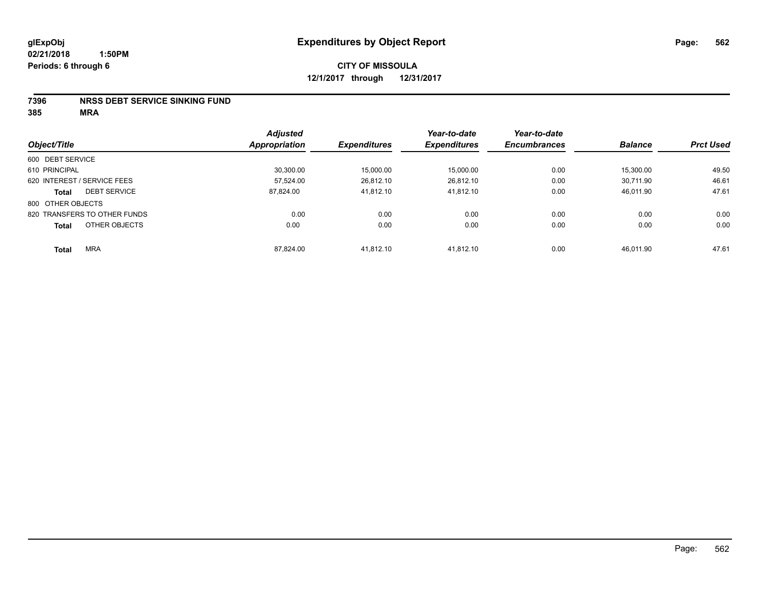#### **7396 NRSS DEBT SERVICE SINKING FUND**

|                                     | <b>Adjusted</b> |                     | Year-to-date        | Year-to-date        |                |                  |
|-------------------------------------|-----------------|---------------------|---------------------|---------------------|----------------|------------------|
| Object/Title                        | Appropriation   | <b>Expenditures</b> | <b>Expenditures</b> | <b>Encumbrances</b> | <b>Balance</b> | <b>Prct Used</b> |
| 600 DEBT SERVICE                    |                 |                     |                     |                     |                |                  |
| 610 PRINCIPAL                       | 30.300.00       | 15,000.00           | 15.000.00           | 0.00                | 15.300.00      | 49.50            |
| 620 INTEREST / SERVICE FEES         | 57.524.00       | 26.812.10           | 26.812.10           | 0.00                | 30.711.90      | 46.61            |
| <b>DEBT SERVICE</b><br><b>Total</b> | 87,824.00       | 41,812.10           | 41.812.10           | 0.00                | 46,011.90      | 47.61            |
| 800 OTHER OBJECTS                   |                 |                     |                     |                     |                |                  |
| 820 TRANSFERS TO OTHER FUNDS        | 0.00            | 0.00                | 0.00                | 0.00                | 0.00           | 0.00             |
| OTHER OBJECTS<br><b>Total</b>       | 0.00            | 0.00                | 0.00                | 0.00                | 0.00           | 0.00             |
| <b>MRA</b><br><b>Total</b>          | 87,824.00       | 41.812.10           | 41.812.10           | 0.00                | 46.011.90      | 47.61            |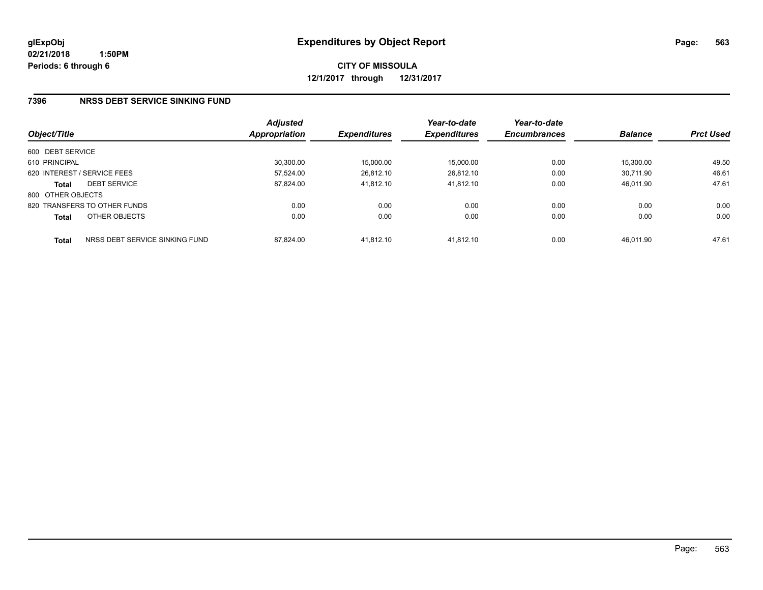### **7396 NRSS DEBT SERVICE SINKING FUND**

| Object/Title      |                                | <b>Adjusted</b><br><b>Appropriation</b> | <b>Expenditures</b> | Year-to-date<br><b>Expenditures</b> | Year-to-date<br><b>Encumbrances</b> | <b>Balance</b> | <b>Prct Used</b> |
|-------------------|--------------------------------|-----------------------------------------|---------------------|-------------------------------------|-------------------------------------|----------------|------------------|
| 600 DEBT SERVICE  |                                |                                         |                     |                                     |                                     |                |                  |
| 610 PRINCIPAL     |                                | 30.300.00                               | 15,000.00           | 15,000.00                           | 0.00                                | 15,300.00      | 49.50            |
|                   | 620 INTEREST / SERVICE FEES    | 57.524.00                               | 26.812.10           | 26.812.10                           | 0.00                                | 30.711.90      | 46.61            |
| <b>Total</b>      | <b>DEBT SERVICE</b>            | 87.824.00                               | 41.812.10           | 41.812.10                           | 0.00                                | 46.011.90      | 47.61            |
| 800 OTHER OBJECTS |                                |                                         |                     |                                     |                                     |                |                  |
|                   | 820 TRANSFERS TO OTHER FUNDS   | 0.00                                    | 0.00                | 0.00                                | 0.00                                | 0.00           | 0.00             |
| <b>Total</b>      | OTHER OBJECTS                  | 0.00                                    | 0.00                | 0.00                                | 0.00                                | 0.00           | 0.00             |
| <b>Total</b>      | NRSS DEBT SERVICE SINKING FUND | 87.824.00                               | 41.812.10           | 41.812.10                           | 0.00                                | 46.011.90      | 47.61            |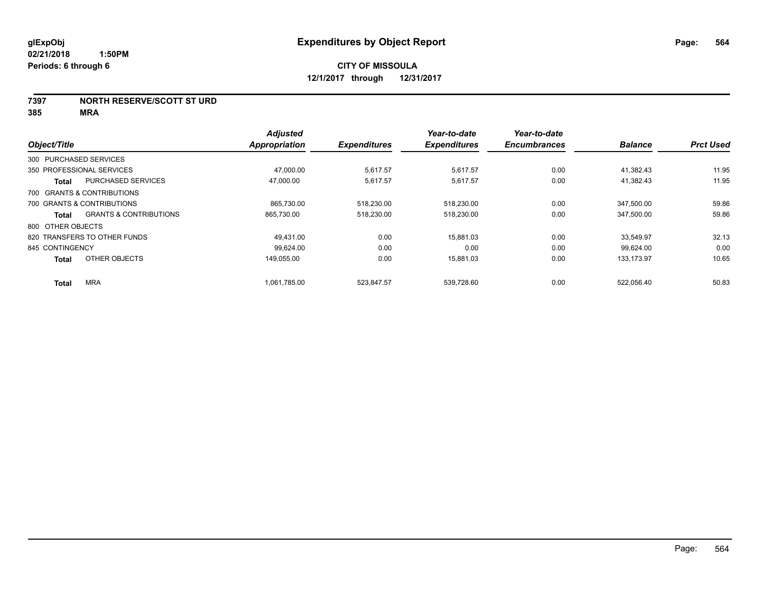#### **7397 NORTH RESERVE/SCOTT ST URD**

| Object/Title           |                                   | <b>Adjusted</b><br>Appropriation | <b>Expenditures</b> | Year-to-date<br><b>Expenditures</b> | Year-to-date<br><b>Encumbrances</b> | <b>Balance</b> | <b>Prct Used</b> |
|------------------------|-----------------------------------|----------------------------------|---------------------|-------------------------------------|-------------------------------------|----------------|------------------|
|                        |                                   |                                  |                     |                                     |                                     |                |                  |
| 300 PURCHASED SERVICES |                                   |                                  |                     |                                     |                                     |                |                  |
|                        | 350 PROFESSIONAL SERVICES         | 47.000.00                        | 5.617.57            | 5.617.57                            | 0.00                                | 41.382.43      | 11.95            |
| <b>Total</b>           | <b>PURCHASED SERVICES</b>         | 47.000.00                        | 5,617.57            | 5.617.57                            | 0.00                                | 41,382.43      | 11.95            |
|                        | 700 GRANTS & CONTRIBUTIONS        |                                  |                     |                                     |                                     |                |                  |
|                        | 700 GRANTS & CONTRIBUTIONS        | 865.730.00                       | 518,230.00          | 518,230.00                          | 0.00                                | 347,500.00     | 59.86            |
| <b>Total</b>           | <b>GRANTS &amp; CONTRIBUTIONS</b> | 865,730.00                       | 518,230.00          | 518,230.00                          | 0.00                                | 347,500.00     | 59.86            |
| 800 OTHER OBJECTS      |                                   |                                  |                     |                                     |                                     |                |                  |
|                        | 820 TRANSFERS TO OTHER FUNDS      | 49.431.00                        | 0.00                | 15.881.03                           | 0.00                                | 33.549.97      | 32.13            |
| 845 CONTINGENCY        |                                   | 99.624.00                        | 0.00                | 0.00                                | 0.00                                | 99.624.00      | 0.00             |
| <b>Total</b>           | OTHER OBJECTS                     | 149.055.00                       | 0.00                | 15.881.03                           | 0.00                                | 133.173.97     | 10.65            |
| <b>Total</b>           | <b>MRA</b>                        | 1,061,785.00                     | 523,847.57          | 539,728.60                          | 0.00                                | 522,056.40     | 50.83            |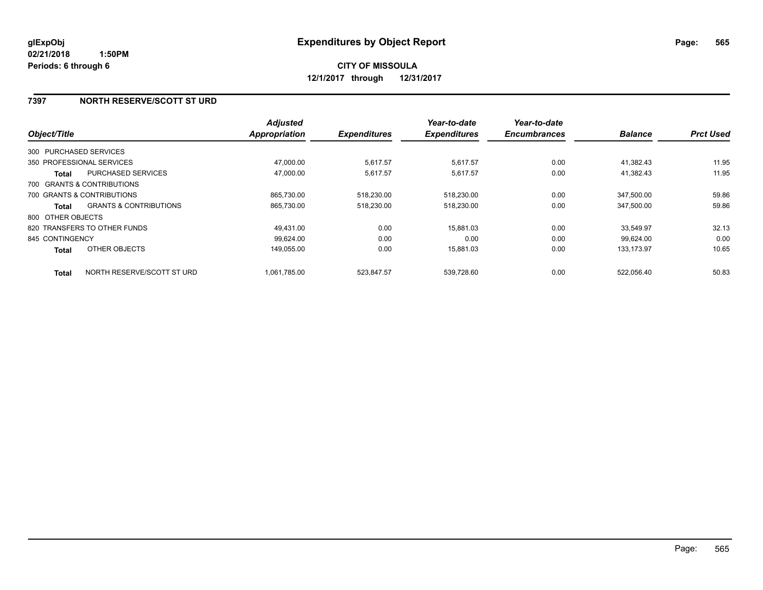### **7397 NORTH RESERVE/SCOTT ST URD**

| Object/Title      |                                   | <b>Adjusted</b><br>Appropriation | <b>Expenditures</b> | Year-to-date<br><b>Expenditures</b> | Year-to-date<br><b>Encumbrances</b> | <b>Balance</b> | <b>Prct Used</b> |
|-------------------|-----------------------------------|----------------------------------|---------------------|-------------------------------------|-------------------------------------|----------------|------------------|
|                   | 300 PURCHASED SERVICES            |                                  |                     |                                     |                                     |                |                  |
|                   | 350 PROFESSIONAL SERVICES         | 47.000.00                        | 5,617.57            | 5,617.57                            | 0.00                                | 41.382.43      | 11.95            |
|                   |                                   |                                  |                     |                                     |                                     |                |                  |
| Total             | <b>PURCHASED SERVICES</b>         | 47,000.00                        | 5,617.57            | 5.617.57                            | 0.00                                | 41.382.43      | 11.95            |
|                   | 700 GRANTS & CONTRIBUTIONS        |                                  |                     |                                     |                                     |                |                  |
|                   | 700 GRANTS & CONTRIBUTIONS        | 865.730.00                       | 518.230.00          | 518,230.00                          | 0.00                                | 347.500.00     | 59.86            |
| Total             | <b>GRANTS &amp; CONTRIBUTIONS</b> | 865.730.00                       | 518.230.00          | 518,230.00                          | 0.00                                | 347,500.00     | 59.86            |
| 800 OTHER OBJECTS |                                   |                                  |                     |                                     |                                     |                |                  |
|                   | 820 TRANSFERS TO OTHER FUNDS      | 49,431.00                        | 0.00                | 15,881.03                           | 0.00                                | 33,549.97      | 32.13            |
| 845 CONTINGENCY   |                                   | 99.624.00                        | 0.00                | 0.00                                | 0.00                                | 99.624.00      | 0.00             |
| <b>Total</b>      | OTHER OBJECTS                     | 149,055.00                       | 0.00                | 15,881.03                           | 0.00                                | 133.173.97     | 10.65            |
| <b>Total</b>      | NORTH RESERVE/SCOTT ST URD        | 1,061,785.00                     | 523.847.57          | 539.728.60                          | 0.00                                | 522.056.40     | 50.83            |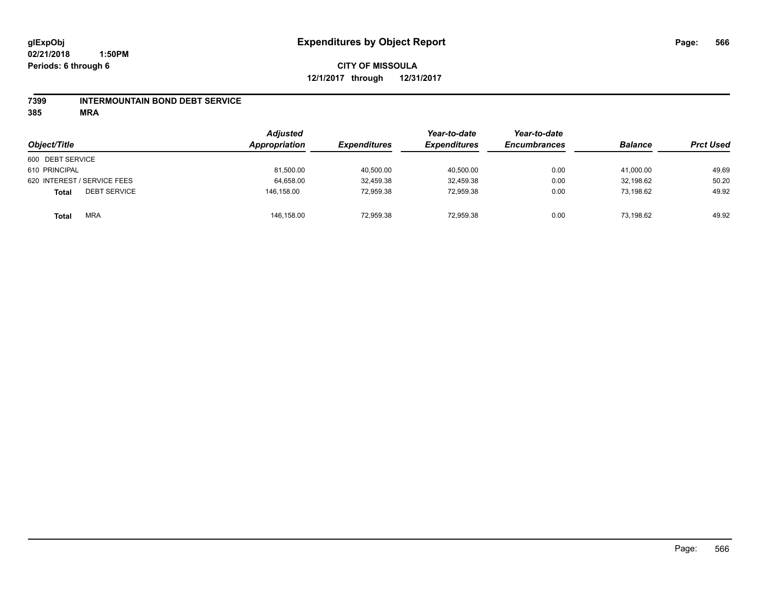#### **7399 INTERMOUNTAIN BOND DEBT SERVICE**

| Object/Title                        | <b>Adjusted</b><br>Appropriation | <b>Expenditures</b> | Year-to-date<br><b>Expenditures</b> | Year-to-date<br><b>Encumbrances</b> | <b>Balance</b> | <b>Prct Used</b> |
|-------------------------------------|----------------------------------|---------------------|-------------------------------------|-------------------------------------|----------------|------------------|
| 600 DEBT SERVICE                    |                                  |                     |                                     |                                     |                |                  |
| 610 PRINCIPAL                       | 81,500.00                        | 40,500.00           | 40,500.00                           | 0.00                                | 41,000.00      | 49.69            |
| 620 INTEREST / SERVICE FEES         | 64,658.00                        | 32,459.38           | 32.459.38                           | 0.00                                | 32.198.62      | 50.20            |
| <b>DEBT SERVICE</b><br><b>Total</b> | 146.158.00                       | 72,959.38           | 72,959.38                           | 0.00                                | 73,198.62      | 49.92            |
| <b>MRA</b><br>Total                 | 146,158.00                       | 72,959.38           | 72,959.38                           | 0.00                                | 73,198.62      | 49.92            |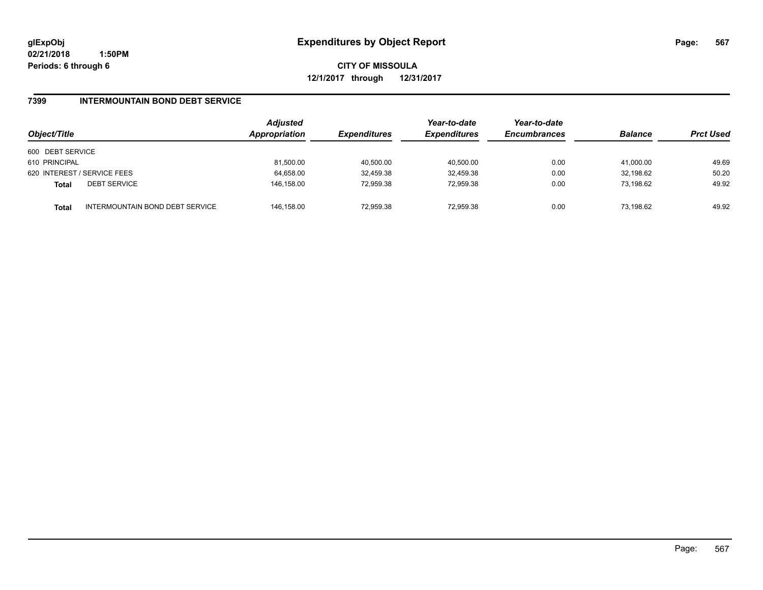**CITY OF MISSOULA 12/1/2017 through 12/31/2017**

### **7399 INTERMOUNTAIN BOND DEBT SERVICE**

| Object/Title     |                                 | <b>Adjusted</b><br>Appropriation | <b>Expenditures</b> | Year-to-date<br><b>Expenditures</b> | Year-to-date<br><b>Encumbrances</b> | <b>Balance</b> | <b>Prct Used</b> |
|------------------|---------------------------------|----------------------------------|---------------------|-------------------------------------|-------------------------------------|----------------|------------------|
| 600 DEBT SERVICE |                                 |                                  |                     |                                     |                                     |                |                  |
| 610 PRINCIPAL    |                                 | 81,500.00                        | 40.500.00           | 40.500.00                           | 0.00                                | 41.000.00      | 49.69            |
|                  | 620 INTEREST / SERVICE FEES     | 64,658.00                        | 32,459.38           | 32,459.38                           | 0.00                                | 32.198.62      | 50.20            |
| <b>Total</b>     | <b>DEBT SERVICE</b>             | 146,158.00                       | 72,959.38           | 72.959.38                           | 0.00                                | 73.198.62      | 49.92            |
| <b>Total</b>     | INTERMOUNTAIN BOND DEBT SERVICE | 146.158.00                       | 72,959.38           | 72,959.38                           | 0.00                                | 73.198.62      | 49.92            |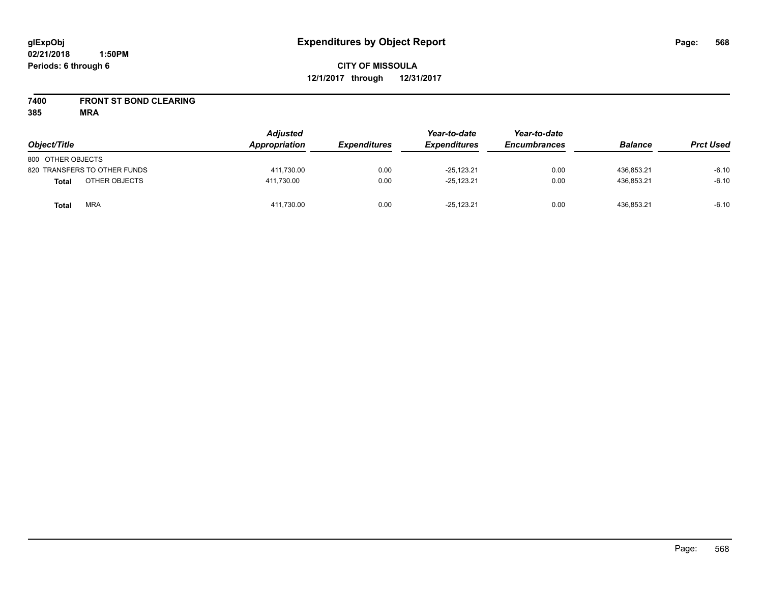### **CITY OF MISSOULA 12/1/2017 through 12/31/2017**

### **7400 FRONT ST BOND CLEARING**

| Object/Title                  | <b>Adjusted</b><br><b>Appropriation</b> | <i><b>Expenditures</b></i> | Year-to-date<br><b>Expenditures</b> | Year-to-date<br><b>Encumbrances</b> | <b>Balance</b> | <b>Prct Used</b> |
|-------------------------------|-----------------------------------------|----------------------------|-------------------------------------|-------------------------------------|----------------|------------------|
| 800 OTHER OBJECTS             |                                         |                            |                                     |                                     |                |                  |
| 820 TRANSFERS TO OTHER FUNDS  | 411,730.00                              | 0.00                       | $-25,123.21$                        | 0.00                                | 436,853.21     | $-6.10$          |
| OTHER OBJECTS<br><b>Total</b> | 411.730.00                              | 0.00                       | $-25.123.21$                        | 0.00                                | 436.853.21     | $-6.10$          |
| <b>MRA</b><br><b>Total</b>    | 411,730.00                              | 0.00                       | $-25,123.21$                        | 0.00                                | 436,853.21     | $-6.10$          |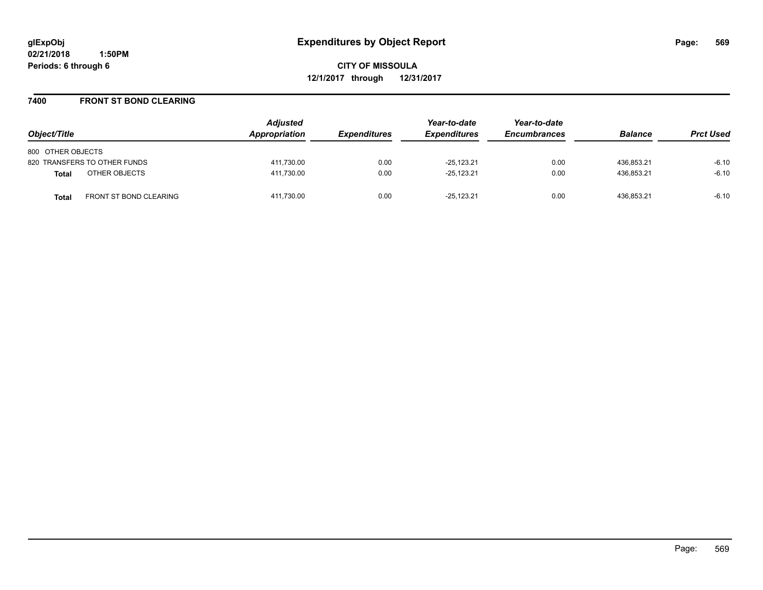**CITY OF MISSOULA 12/1/2017 through 12/31/2017**

#### **7400 FRONT ST BOND CLEARING**

| Object/Title                                  | <b>Adjusted</b><br><b>Appropriation</b> | <i><b>Expenditures</b></i> | Year-to-date<br><b>Expenditures</b> | Year-to-date<br><b>Encumbrances</b> | <b>Balance</b> | <b>Prct Used</b> |
|-----------------------------------------------|-----------------------------------------|----------------------------|-------------------------------------|-------------------------------------|----------------|------------------|
| 800 OTHER OBJECTS                             |                                         |                            |                                     |                                     |                |                  |
| 820 TRANSFERS TO OTHER FUNDS                  | 411.730.00                              | 0.00                       | $-25.123.21$                        | 0.00                                | 436.853.21     | $-6.10$          |
| OTHER OBJECTS<br><b>Total</b>                 | 411.730.00                              | 0.00                       | $-25.123.21$                        | 0.00                                | 436.853.21     | $-6.10$          |
| <b>FRONT ST BOND CLEARING</b><br><b>Total</b> | 411.730.00                              | 0.00                       | $-25.123.21$                        | 0.00                                | 436.853.21     | $-6.10$          |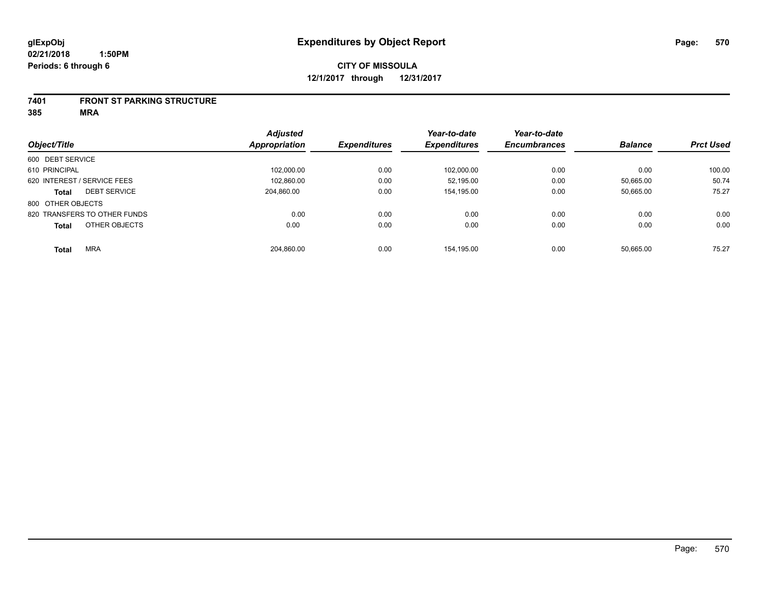#### **7401 FRONT ST PARKING STRUCTURE**

|                               | <b>Adjusted</b>      |                     | Year-to-date        | Year-to-date        |                |                  |
|-------------------------------|----------------------|---------------------|---------------------|---------------------|----------------|------------------|
| Object/Title                  | <b>Appropriation</b> | <b>Expenditures</b> | <b>Expenditures</b> | <b>Encumbrances</b> | <b>Balance</b> | <b>Prct Used</b> |
| 600 DEBT SERVICE              |                      |                     |                     |                     |                |                  |
| 610 PRINCIPAL                 | 102,000.00           | 0.00                | 102,000.00          | 0.00                | 0.00           | 100.00           |
| 620 INTEREST / SERVICE FEES   | 102.860.00           | 0.00                | 52.195.00           | 0.00                | 50.665.00      | 50.74            |
| <b>DEBT SERVICE</b><br>Total  | 204.860.00           | 0.00                | 154.195.00          | 0.00                | 50,665.00      | 75.27            |
| 800 OTHER OBJECTS             |                      |                     |                     |                     |                |                  |
| 820 TRANSFERS TO OTHER FUNDS  | 0.00                 | 0.00                | 0.00                | 0.00                | 0.00           | 0.00             |
| OTHER OBJECTS<br><b>Total</b> | 0.00                 | 0.00                | 0.00                | 0.00                | 0.00           | 0.00             |
| <b>MRA</b><br><b>Total</b>    | 204.860.00           | 0.00                | 154.195.00          | 0.00                | 50.665.00      | 75.27            |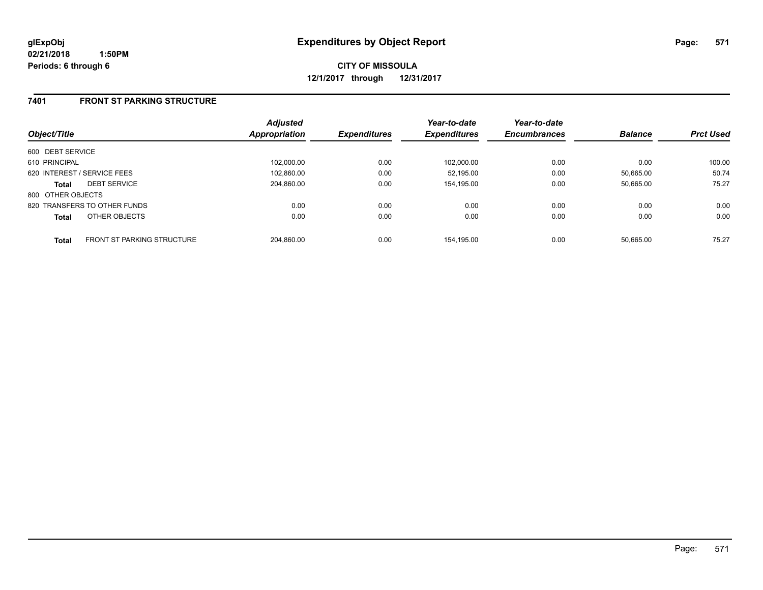### **7401 FRONT ST PARKING STRUCTURE**

| Object/Title      |                                   | <b>Adjusted</b><br>Appropriation | <b>Expenditures</b> | Year-to-date<br><b>Expenditures</b> | Year-to-date<br><b>Encumbrances</b> | <b>Balance</b> | <b>Prct Used</b> |
|-------------------|-----------------------------------|----------------------------------|---------------------|-------------------------------------|-------------------------------------|----------------|------------------|
| 600 DEBT SERVICE  |                                   |                                  |                     |                                     |                                     |                |                  |
| 610 PRINCIPAL     |                                   | 102.000.00                       | 0.00                | 102.000.00                          | 0.00                                | 0.00           | 100.00           |
|                   | 620 INTEREST / SERVICE FEES       | 102.860.00                       | 0.00                | 52.195.00                           | 0.00                                | 50.665.00      | 50.74            |
| <b>Total</b>      | <b>DEBT SERVICE</b>               | 204.860.00                       | 0.00                | 154,195.00                          | 0.00                                | 50.665.00      | 75.27            |
| 800 OTHER OBJECTS |                                   |                                  |                     |                                     |                                     |                |                  |
|                   | 820 TRANSFERS TO OTHER FUNDS      | 0.00                             | 0.00                | 0.00                                | 0.00                                | 0.00           | 0.00             |
| <b>Total</b>      | OTHER OBJECTS                     | 0.00                             | 0.00                | 0.00                                | 0.00                                | 0.00           | 0.00             |
| <b>Total</b>      | <b>FRONT ST PARKING STRUCTURE</b> | 204.860.00                       | 0.00                | 154.195.00                          | 0.00                                | 50.665.00      | 75.27            |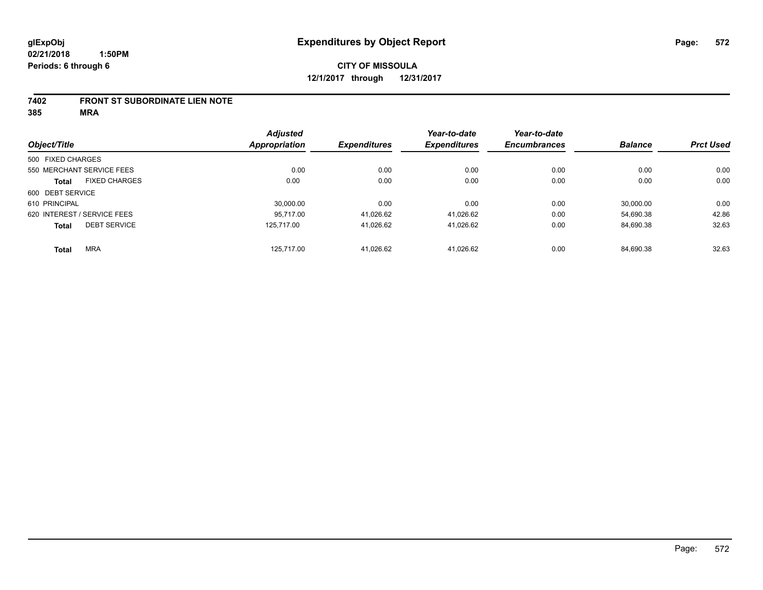#### **7402 FRONT ST SUBORDINATE LIEN NOTE**

|                   |                             | <b>Adjusted</b>      |                     | Year-to-date        | Year-to-date        |                |                  |
|-------------------|-----------------------------|----------------------|---------------------|---------------------|---------------------|----------------|------------------|
| Object/Title      |                             | <b>Appropriation</b> | <b>Expenditures</b> | <b>Expenditures</b> | <b>Encumbrances</b> | <b>Balance</b> | <b>Prct Used</b> |
| 500 FIXED CHARGES |                             |                      |                     |                     |                     |                |                  |
|                   | 550 MERCHANT SERVICE FEES   | 0.00                 | 0.00                | 0.00                | 0.00                | 0.00           | 0.00             |
| <b>Total</b>      | <b>FIXED CHARGES</b>        | 0.00                 | 0.00                | 0.00                | 0.00                | 0.00           | 0.00             |
| 600 DEBT SERVICE  |                             |                      |                     |                     |                     |                |                  |
| 610 PRINCIPAL     |                             | 30,000.00            | 0.00                | 0.00                | 0.00                | 30.000.00      | 0.00             |
|                   | 620 INTEREST / SERVICE FEES | 95.717.00            | 41,026.62           | 41,026.62           | 0.00                | 54,690.38      | 42.86            |
| <b>Total</b>      | <b>DEBT SERVICE</b>         | 125.717.00           | 41,026.62           | 41.026.62           | 0.00                | 84,690.38      | 32.63            |
| <b>Total</b>      | <b>MRA</b>                  | 125.717.00           | 41,026.62           | 41.026.62           | 0.00                | 84,690.38      | 32.63            |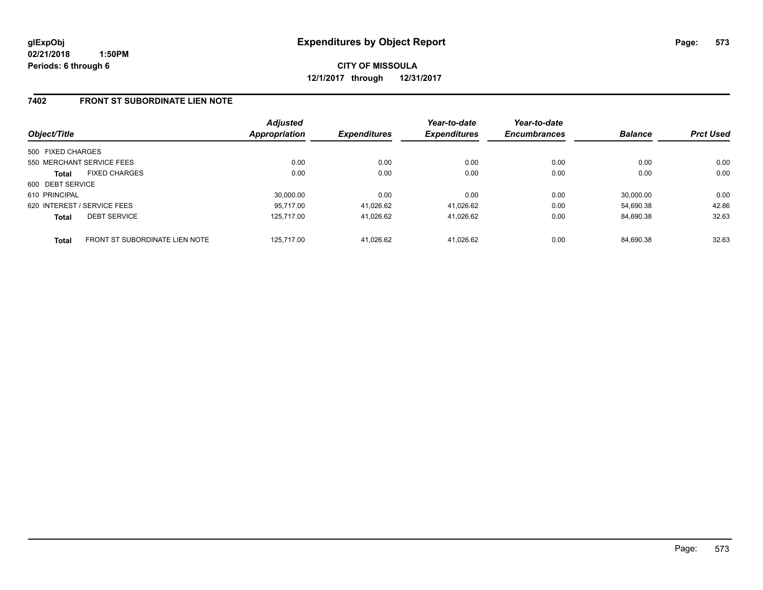**CITY OF MISSOULA 12/1/2017 through 12/31/2017**

### **7402 FRONT ST SUBORDINATE LIEN NOTE**

| Object/Title                         | <b>Adjusted</b><br>Appropriation                    | <b>Expenditures</b> | Year-to-date<br><b>Expenditures</b> | Year-to-date<br><b>Encumbrances</b> | <b>Balance</b> | <b>Prct Used</b> |
|--------------------------------------|-----------------------------------------------------|---------------------|-------------------------------------|-------------------------------------|----------------|------------------|
| 500 FIXED CHARGES                    |                                                     |                     |                                     |                                     |                |                  |
| 550 MERCHANT SERVICE FEES            |                                                     | 0.00<br>0.00        | 0.00                                | 0.00                                | 0.00           | 0.00             |
| <b>FIXED CHARGES</b><br><b>Total</b> |                                                     | 0.00<br>0.00        | 0.00                                | 0.00                                | 0.00           | 0.00             |
| 600 DEBT SERVICE                     |                                                     |                     |                                     |                                     |                |                  |
| 610 PRINCIPAL                        | 30,000.00                                           | 0.00                | 0.00                                | 0.00                                | 30.000.00      | 0.00             |
| 620 INTEREST / SERVICE FEES          | 95.717.00                                           | 41.026.62           | 41,026.62                           | 0.00                                | 54.690.38      | 42.86            |
| <b>DEBT SERVICE</b><br><b>Total</b>  | 125.717.00                                          | 41.026.62           | 41.026.62                           | 0.00                                | 84.690.38      | 32.63            |
| <b>Total</b>                         | 125.717.00<br><b>FRONT ST SUBORDINATE LIEN NOTE</b> | 41.026.62           | 41.026.62                           | 0.00                                | 84.690.38      | 32.63            |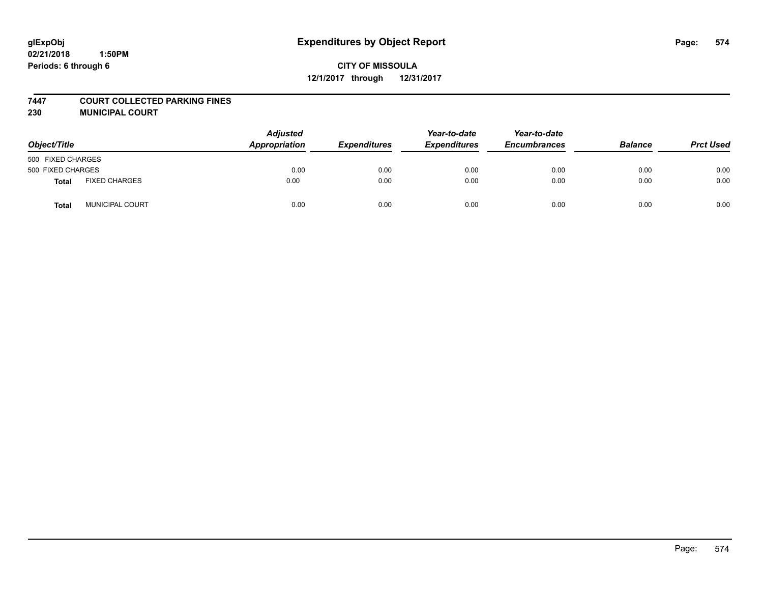#### **7447 COURT COLLECTED PARKING FINES**

**230 MUNICIPAL COURT**

| Object/Title      |                        | <b>Adjusted</b><br>Appropriation | <b>Expenditures</b> | Year-to-date<br><b>Expenditures</b> | Year-to-date<br><b>Encumbrances</b> | <b>Balance</b> | <b>Prct Used</b> |
|-------------------|------------------------|----------------------------------|---------------------|-------------------------------------|-------------------------------------|----------------|------------------|
| 500 FIXED CHARGES |                        |                                  |                     |                                     |                                     |                |                  |
| 500 FIXED CHARGES |                        | 0.00                             | 0.00                | 0.00                                | 0.00                                | 0.00           | 0.00             |
| Total             | <b>FIXED CHARGES</b>   | 0.00                             | 0.00                | 0.00                                | 0.00                                | 0.00           | 0.00             |
| <b>Total</b>      | <b>MUNICIPAL COURT</b> | 0.00                             | 0.00                | 0.00                                | 0.00                                | 0.00           | 0.00             |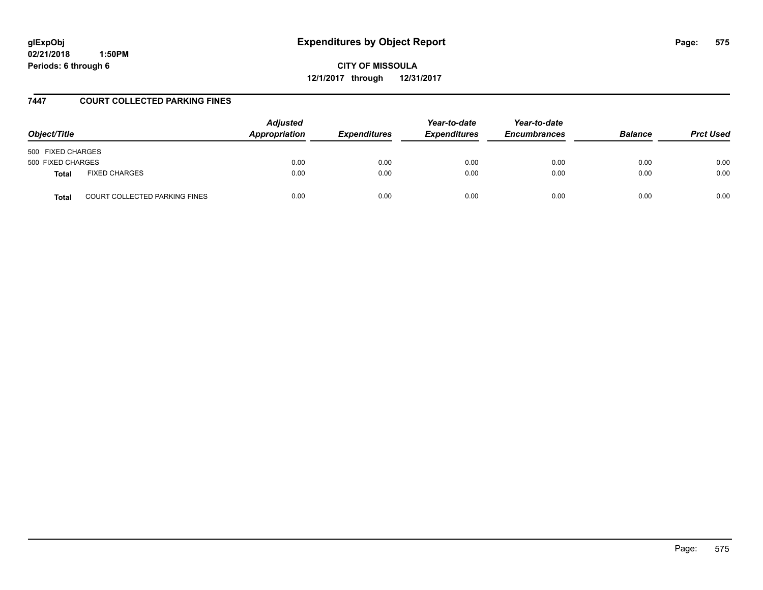# **glExpObj Expenditures by Object Report Page: 575**

**02/21/2018 1:50PM Periods: 6 through 6**

**CITY OF MISSOULA 12/1/2017 through 12/31/2017**

### **7447 COURT COLLECTED PARKING FINES**

| Object/Title                                  | <b>Adjusted</b><br>Appropriation | <b>Expenditures</b> | Year-to-date<br><b>Expenditures</b> | Year-to-date<br><b>Encumbrances</b> | <b>Balance</b> | <b>Prct Used</b> |
|-----------------------------------------------|----------------------------------|---------------------|-------------------------------------|-------------------------------------|----------------|------------------|
| 500 FIXED CHARGES                             |                                  |                     |                                     |                                     |                |                  |
| 500 FIXED CHARGES                             | 0.00                             | 0.00                | 0.00                                | 0.00                                | 0.00           | 0.00             |
| <b>FIXED CHARGES</b><br><b>Total</b>          | 0.00                             | 0.00                | 0.00                                | 0.00                                | 0.00           | 0.00             |
| <b>COURT COLLECTED PARKING FINES</b><br>Total | 0.00                             | 0.00                | 0.00                                | 0.00                                | 0.00           | 0.00             |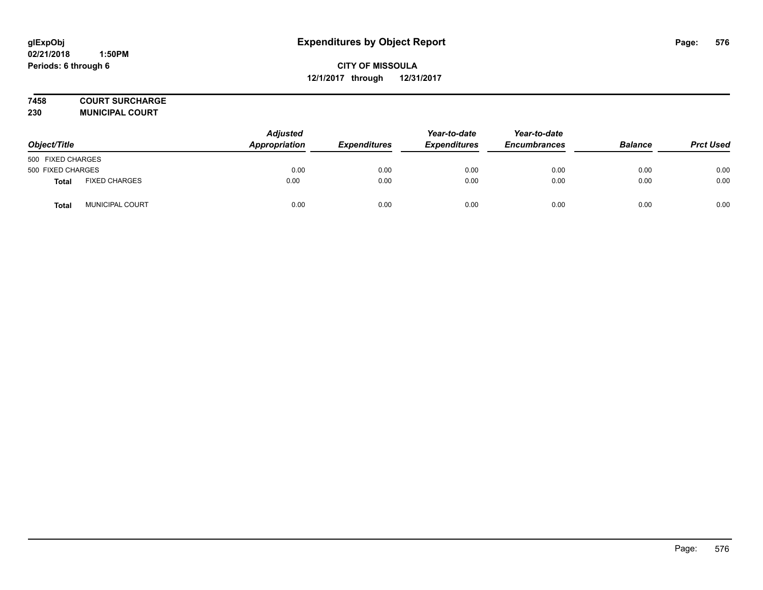## **7458 COURT SURCHARGE**

**230 MUNICIPAL COURT**

| Object/Title      |                      | Adjusted<br>Appropriation | <b>Expenditures</b> | Year-to-date<br><b>Expenditures</b> | Year-to-date<br><b>Encumbrances</b> | <b>Balance</b> | <b>Prct Used</b> |
|-------------------|----------------------|---------------------------|---------------------|-------------------------------------|-------------------------------------|----------------|------------------|
| 500 FIXED CHARGES |                      |                           |                     |                                     |                                     |                |                  |
| 500 FIXED CHARGES |                      | 0.00                      | 0.00                | 0.00                                | 0.00                                | 0.00           | 0.00             |
| <b>Total</b>      | <b>FIXED CHARGES</b> | 0.00                      | 0.00                | 0.00                                | 0.00                                | 0.00           | 0.00             |
| Total             | MUNICIPAL COURT      | 0.00                      | 0.00                | 0.00                                | 0.00                                | 0.00           | 0.00             |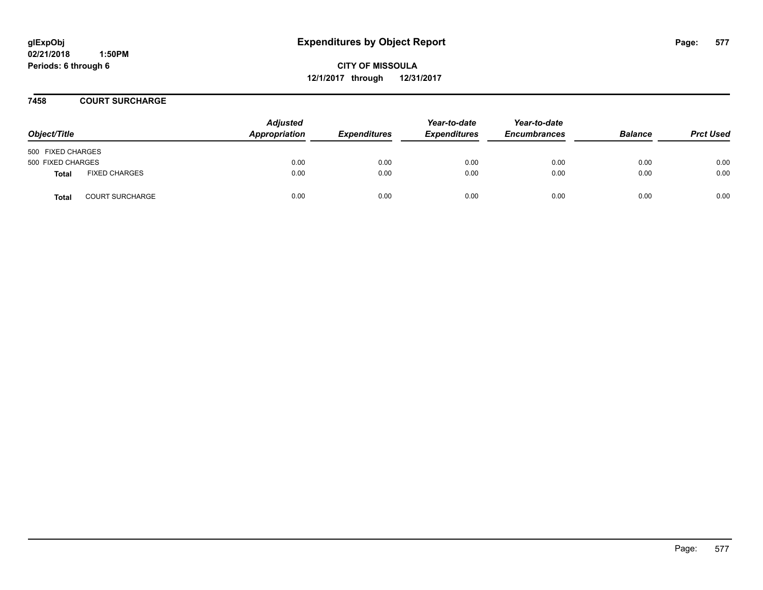**CITY OF MISSOULA 12/1/2017 through 12/31/2017**

**7458 COURT SURCHARGE**

| Object/Title      |                        | <b>Adjusted</b><br>Appropriation | <b>Expenditures</b> | Year-to-date<br><b>Expenditures</b> | Year-to-date<br><b>Encumbrances</b> | <b>Balance</b> | <b>Prct Used</b> |
|-------------------|------------------------|----------------------------------|---------------------|-------------------------------------|-------------------------------------|----------------|------------------|
| 500 FIXED CHARGES |                        |                                  |                     |                                     |                                     |                |                  |
| 500 FIXED CHARGES |                        | 0.00                             | 0.00                | 0.00                                | 0.00                                | 0.00           | 0.00             |
| Total             | <b>FIXED CHARGES</b>   | 0.00                             | 0.00                | 0.00                                | 0.00                                | 0.00           | 0.00             |
| <b>Total</b>      | <b>COURT SURCHARGE</b> | 0.00                             | 0.00                | 0.00                                | 0.00                                | 0.00           | 0.00             |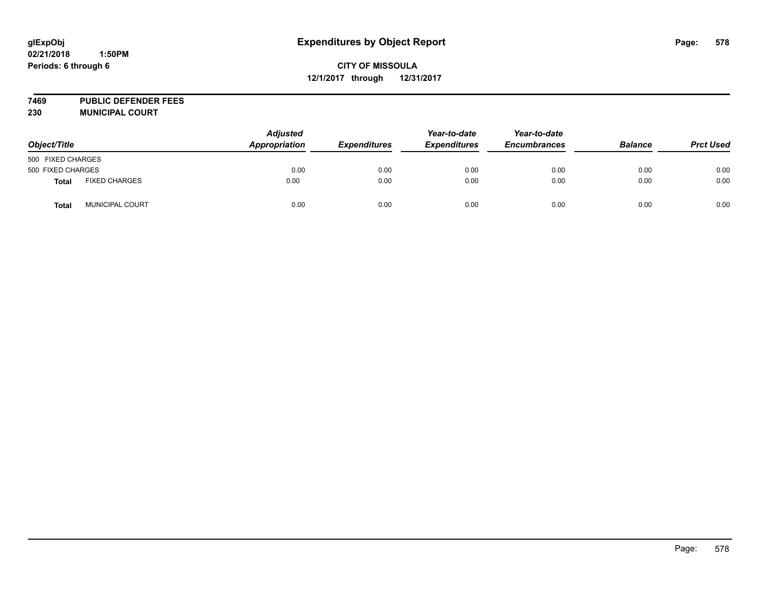**7469 PUBLIC DEFENDER FEES 230 MUNICIPAL COURT**

| Object/Title      |                      | <b>Adjusted</b><br>Appropriation | <b>Expenditures</b> | Year-to-date<br><b>Expenditures</b> | Year-to-date<br><b>Encumbrances</b> | <b>Balance</b> | <b>Prct Used</b> |
|-------------------|----------------------|----------------------------------|---------------------|-------------------------------------|-------------------------------------|----------------|------------------|
| 500 FIXED CHARGES |                      |                                  |                     |                                     |                                     |                |                  |
| 500 FIXED CHARGES |                      | 0.00                             | 0.00                | 0.00                                | 0.00                                | 0.00           | 0.00             |
| <b>Total</b>      | <b>FIXED CHARGES</b> | 0.00                             | 0.00                | 0.00                                | 0.00                                | 0.00           | 0.00             |
| Total             | MUNICIPAL COURT      | 0.00                             | 0.00                | 0.00                                | 0.00                                | 0.00           | 0.00             |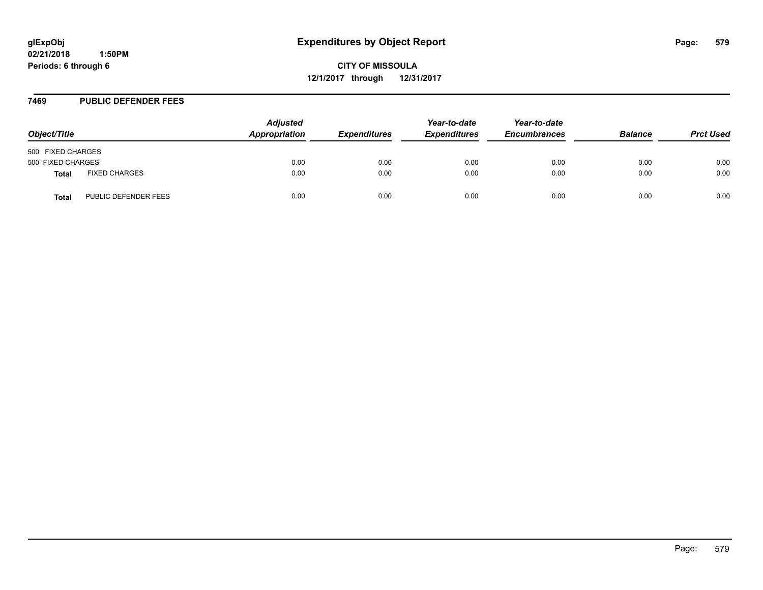**CITY OF MISSOULA 12/1/2017 through 12/31/2017**

### **7469 PUBLIC DEFENDER FEES**

| Object/Title                  | <b>Adjusted</b><br>Appropriation | <b>Expenditures</b> | Year-to-date<br><b>Expenditures</b> | Year-to-date<br><b>Encumbrances</b> | <b>Balance</b> | <b>Prct Used</b> |
|-------------------------------|----------------------------------|---------------------|-------------------------------------|-------------------------------------|----------------|------------------|
| 500 FIXED CHARGES             |                                  |                     |                                     |                                     |                |                  |
| 500 FIXED CHARGES             | 0.00                             | 0.00                | 0.00                                | 0.00                                | 0.00           | 0.00             |
| <b>FIXED CHARGES</b><br>Total | 0.00                             | 0.00                | 0.00                                | 0.00                                | 0.00           | 0.00             |
| PUBLIC DEFENDER FEES<br>Total | 0.00                             | 0.00                | 0.00                                | 0.00                                | 0.00           | 0.00             |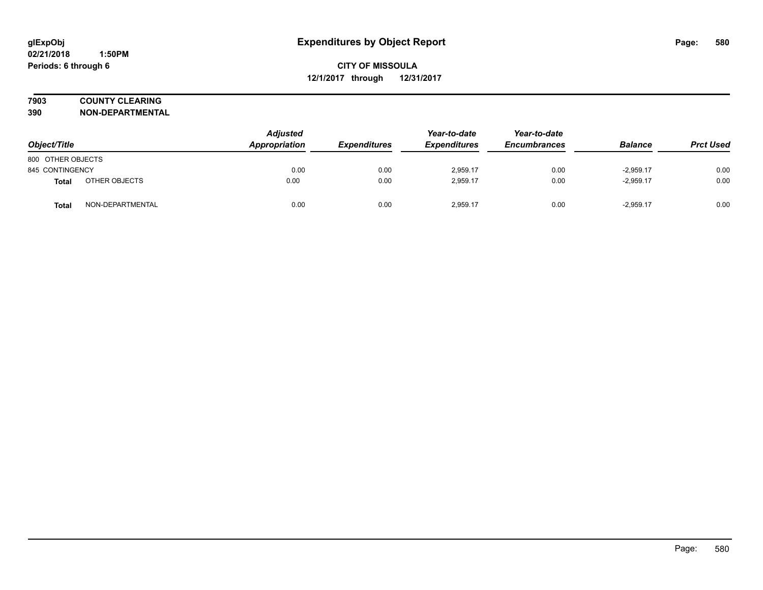# **7903 COUNTY CLEARING**

**390 NON-DEPARTMENTAL**

| Object/Title      |                  | <b>Adjusted</b><br>Appropriation | <b>Expenditures</b> | Year-to-date<br><b>Expenditures</b> | Year-to-date<br><b>Encumbrances</b> | <b>Balance</b> | <b>Prct Used</b> |
|-------------------|------------------|----------------------------------|---------------------|-------------------------------------|-------------------------------------|----------------|------------------|
| 800 OTHER OBJECTS |                  |                                  |                     |                                     |                                     |                |                  |
| 845 CONTINGENCY   |                  | 0.00                             | 0.00                | 2,959.17                            | 0.00                                | $-2.959.17$    | 0.00             |
| Total             | OTHER OBJECTS    | 0.00                             | 0.00                | 2.959.17                            | 0.00                                | $-2.959.17$    | 0.00             |
| Total             | NON-DEPARTMENTAL | 0.00                             | 0.00                | 2.959.17                            | 0.00                                | $-2.959.17$    | 0.00             |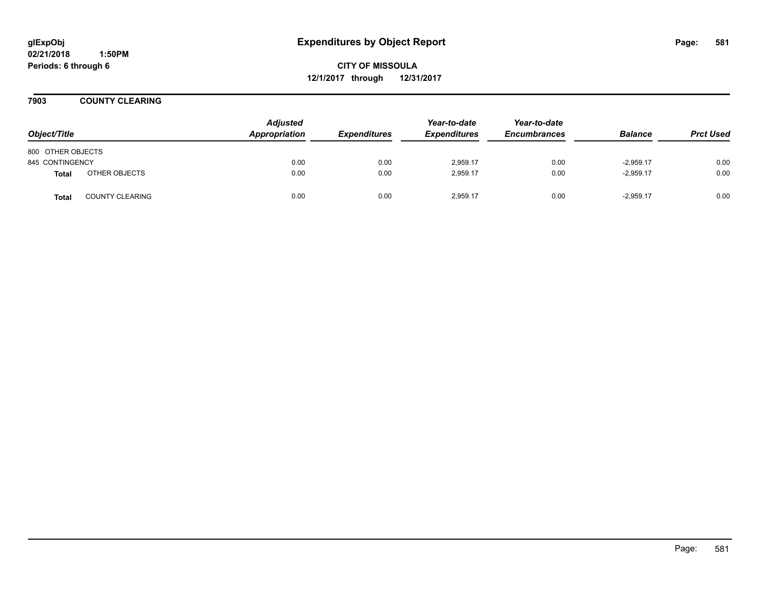**CITY OF MISSOULA 12/1/2017 through 12/31/2017**

**7903 COUNTY CLEARING**

| Object/Title      |                        | <b>Adjusted</b><br>Appropriation | <b>Expenditures</b> | Year-to-date<br><b>Expenditures</b> | Year-to-date<br><b>Encumbrances</b> | <b>Balance</b> | <b>Prct Used</b> |
|-------------------|------------------------|----------------------------------|---------------------|-------------------------------------|-------------------------------------|----------------|------------------|
| 800 OTHER OBJECTS |                        |                                  |                     |                                     |                                     |                |                  |
| 845 CONTINGENCY   |                        | 0.00                             | 0.00                | 2,959.17                            | 0.00                                | $-2,959.17$    | 0.00             |
| <b>Total</b>      | OTHER OBJECTS          | 0.00                             | 0.00                | 2.959.17                            | 0.00                                | $-2.959.17$    | 0.00             |
| <b>Total</b>      | <b>COUNTY CLEARING</b> | 0.00                             | 0.00                | 2.959.17                            | 0.00                                | $-2.959.17$    | 0.00             |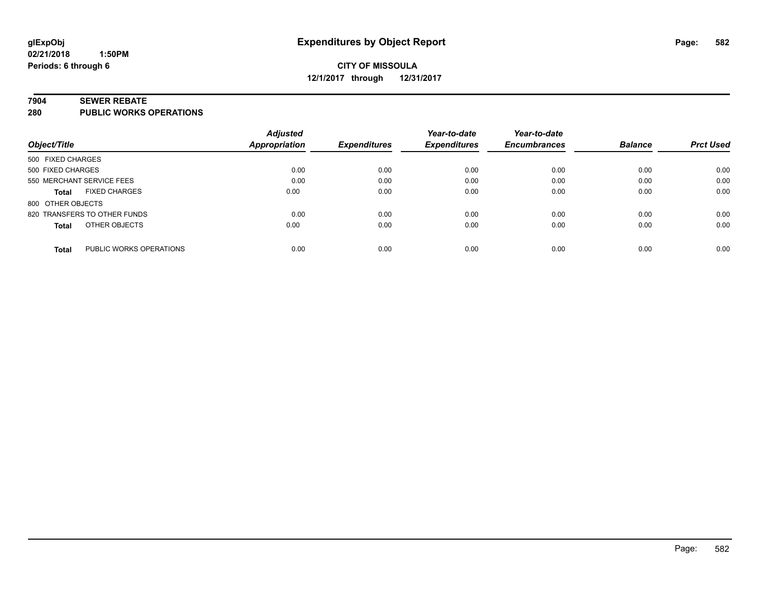#### **7904 SEWER REBATE**

**280 PUBLIC WORKS OPERATIONS**

|                                         | <b>Adjusted</b>      |                     | Year-to-date        | Year-to-date        |                |                  |
|-----------------------------------------|----------------------|---------------------|---------------------|---------------------|----------------|------------------|
| Object/Title                            | <b>Appropriation</b> | <b>Expenditures</b> | <b>Expenditures</b> | <b>Encumbrances</b> | <b>Balance</b> | <b>Prct Used</b> |
| 500 FIXED CHARGES                       |                      |                     |                     |                     |                |                  |
| 500 FIXED CHARGES                       | 0.00                 | 0.00                | 0.00                | 0.00                | 0.00           | 0.00             |
| 550 MERCHANT SERVICE FEES               | 0.00                 | 0.00                | 0.00                | 0.00                | 0.00           | 0.00             |
| <b>FIXED CHARGES</b><br><b>Total</b>    | 0.00                 | 0.00                | 0.00                | 0.00                | 0.00           | 0.00             |
| 800 OTHER OBJECTS                       |                      |                     |                     |                     |                |                  |
| 820 TRANSFERS TO OTHER FUNDS            | 0.00                 | 0.00                | 0.00                | 0.00                | 0.00           | 0.00             |
| OTHER OBJECTS<br><b>Total</b>           | 0.00                 | 0.00                | 0.00                | 0.00                | 0.00           | 0.00             |
| PUBLIC WORKS OPERATIONS<br><b>Total</b> | 0.00                 | 0.00                | 0.00                | 0.00                | 0.00           | 0.00             |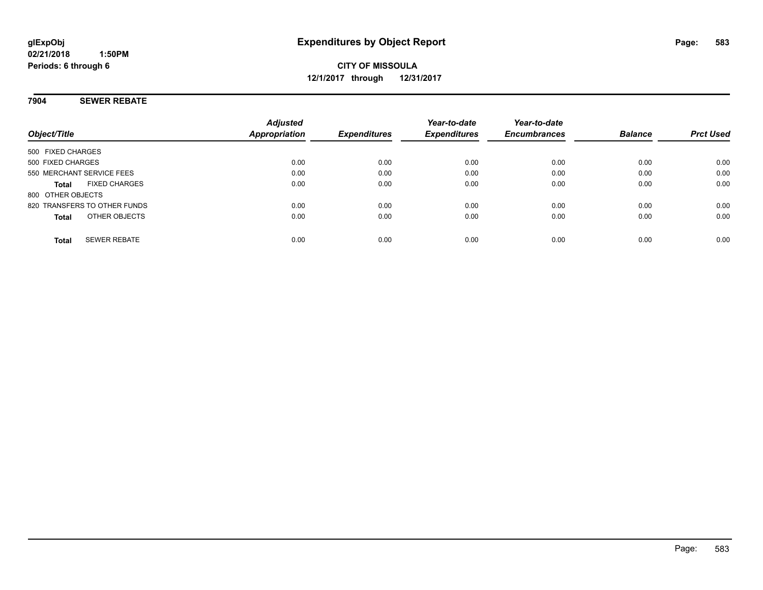## **7904 SEWER REBATE**

| Object/Title                         | <b>Adjusted</b><br>Appropriation | <b>Expenditures</b> | Year-to-date<br><b>Expenditures</b> | Year-to-date<br><b>Encumbrances</b> | <b>Balance</b> | <b>Prct Used</b> |
|--------------------------------------|----------------------------------|---------------------|-------------------------------------|-------------------------------------|----------------|------------------|
| 500 FIXED CHARGES                    |                                  |                     |                                     |                                     |                |                  |
| 500 FIXED CHARGES                    | 0.00                             | 0.00                | 0.00                                | 0.00                                | 0.00           | 0.00             |
| 550 MERCHANT SERVICE FEES            | 0.00                             | 0.00                | 0.00                                | 0.00                                | 0.00           | 0.00             |
| <b>FIXED CHARGES</b><br><b>Total</b> | 0.00                             | 0.00                | 0.00                                | 0.00                                | 0.00           | 0.00             |
| 800 OTHER OBJECTS                    |                                  |                     |                                     |                                     |                |                  |
| 820 TRANSFERS TO OTHER FUNDS         | 0.00                             | 0.00                | 0.00                                | 0.00                                | 0.00           | 0.00             |
| OTHER OBJECTS<br><b>Total</b>        | 0.00                             | 0.00                | 0.00                                | 0.00                                | 0.00           | 0.00             |
| <b>SEWER REBATE</b><br><b>Total</b>  | 0.00                             | 0.00                | 0.00                                | 0.00                                | 0.00           | 0.00             |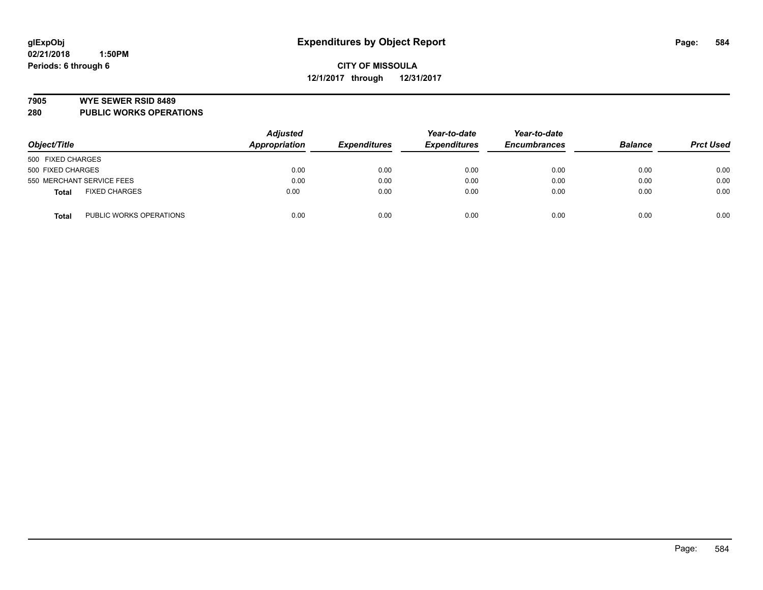#### **7905 WYE SEWER RSID 8489**

**280 PUBLIC WORKS OPERATIONS**

|                                         | <b>Adjusted</b> |                     | Year-to-date<br><b>Expenditures</b> | Year-to-date<br><b>Encumbrances</b> | <b>Balance</b> |                  |
|-----------------------------------------|-----------------|---------------------|-------------------------------------|-------------------------------------|----------------|------------------|
| Object/Title                            | Appropriation   | <b>Expenditures</b> |                                     |                                     |                | <b>Prct Used</b> |
| 500 FIXED CHARGES                       |                 |                     |                                     |                                     |                |                  |
| 500 FIXED CHARGES                       | 0.00            | 0.00                | 0.00                                | 0.00                                | 0.00           | 0.00             |
| 550 MERCHANT SERVICE FEES               | 0.00            | 0.00                | 0.00                                | 0.00                                | 0.00           | 0.00             |
| <b>FIXED CHARGES</b><br><b>Total</b>    | 0.00            | 0.00                | 0.00                                | 0.00                                | 0.00           | 0.00             |
| PUBLIC WORKS OPERATIONS<br><b>Total</b> | 0.00            | 0.00                | 0.00                                | 0.00                                | 0.00           | 0.00             |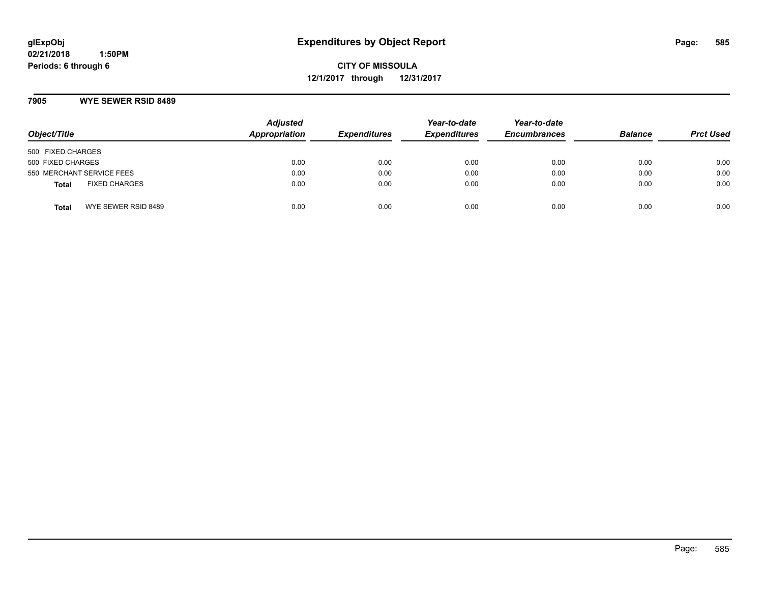## **7905 WYE SEWER RSID 8489**

| Object/Title                         | <b>Adjusted</b><br>Appropriation | <b>Expenditures</b> | Year-to-date<br><b>Expenditures</b> | Year-to-date<br><b>Encumbrances</b> | <b>Balance</b> | <b>Prct Used</b> |
|--------------------------------------|----------------------------------|---------------------|-------------------------------------|-------------------------------------|----------------|------------------|
| 500 FIXED CHARGES                    |                                  |                     |                                     |                                     |                |                  |
| 500 FIXED CHARGES                    | 0.00                             | 0.00                | 0.00                                | 0.00                                | 0.00           | 0.00             |
| 550 MERCHANT SERVICE FEES            | 0.00                             | 0.00                | 0.00                                | 0.00                                | 0.00           | 0.00             |
| <b>FIXED CHARGES</b><br><b>Total</b> | 0.00                             | 0.00                | 0.00                                | 0.00                                | 0.00           | 0.00             |
| WYE SEWER RSID 8489<br>Total         | 0.00                             | 0.00                | 0.00                                | 0.00                                | 0.00           | 0.00             |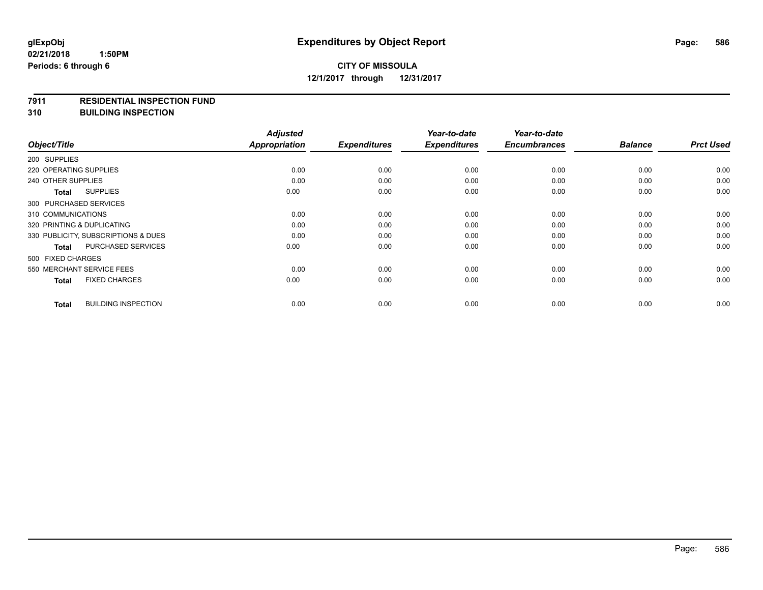#### **7911 RESIDENTIAL INSPECTION FUND**

**310 BUILDING INSPECTION**

|                                     |                            | <b>Adjusted</b>      |                     | Year-to-date        | Year-to-date        |                |                  |
|-------------------------------------|----------------------------|----------------------|---------------------|---------------------|---------------------|----------------|------------------|
| Object/Title                        |                            | <b>Appropriation</b> | <b>Expenditures</b> | <b>Expenditures</b> | <b>Encumbrances</b> | <b>Balance</b> | <b>Prct Used</b> |
| 200 SUPPLIES                        |                            |                      |                     |                     |                     |                |                  |
| 220 OPERATING SUPPLIES              |                            | 0.00                 | 0.00                | 0.00                | 0.00                | 0.00           | 0.00             |
| 240 OTHER SUPPLIES                  |                            | 0.00                 | 0.00                | 0.00                | 0.00                | 0.00           | 0.00             |
| <b>Total</b>                        | <b>SUPPLIES</b>            | 0.00                 | 0.00                | 0.00                | 0.00                | 0.00           | 0.00             |
| 300 PURCHASED SERVICES              |                            |                      |                     |                     |                     |                |                  |
| 310 COMMUNICATIONS                  |                            | 0.00                 | 0.00                | 0.00                | 0.00                | 0.00           | 0.00             |
| 320 PRINTING & DUPLICATING          |                            | 0.00                 | 0.00                | 0.00                | 0.00                | 0.00           | 0.00             |
| 330 PUBLICITY, SUBSCRIPTIONS & DUES |                            | 0.00                 | 0.00                | 0.00                | 0.00                | 0.00           | 0.00             |
| <b>Total</b>                        | <b>PURCHASED SERVICES</b>  | 0.00                 | 0.00                | 0.00                | 0.00                | 0.00           | 0.00             |
| 500 FIXED CHARGES                   |                            |                      |                     |                     |                     |                |                  |
| 550 MERCHANT SERVICE FEES           |                            | 0.00                 | 0.00                | 0.00                | 0.00                | 0.00           | 0.00             |
| <b>Total</b>                        | <b>FIXED CHARGES</b>       | 0.00                 | 0.00                | 0.00                | 0.00                | 0.00           | 0.00             |
| <b>Total</b>                        | <b>BUILDING INSPECTION</b> | 0.00                 | 0.00                | 0.00                | 0.00                | 0.00           | 0.00             |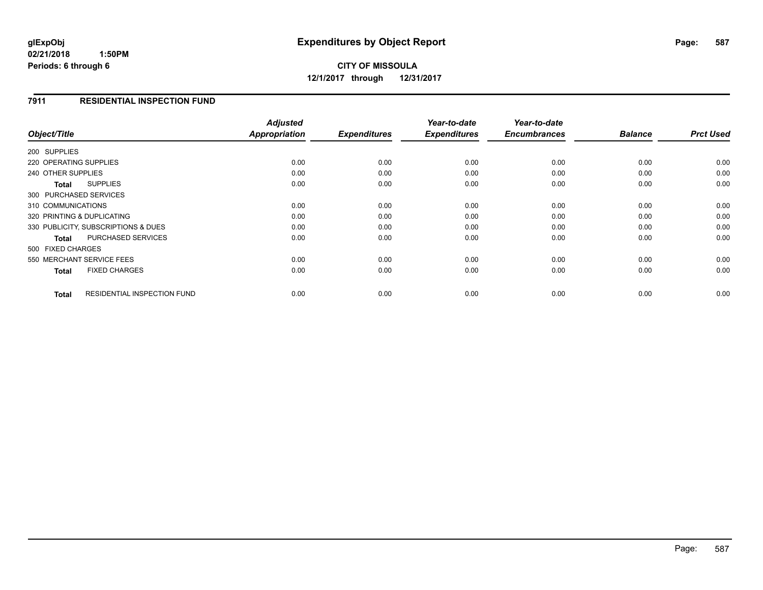# **CITY OF MISSOULA 12/1/2017 through 12/31/2017**

## **7911 RESIDENTIAL INSPECTION FUND**

| Object/Title                                       | <b>Adjusted</b><br>Appropriation | <b>Expenditures</b> | Year-to-date<br><b>Expenditures</b> | Year-to-date<br><b>Encumbrances</b> | <b>Balance</b> | <b>Prct Used</b> |
|----------------------------------------------------|----------------------------------|---------------------|-------------------------------------|-------------------------------------|----------------|------------------|
|                                                    |                                  |                     |                                     |                                     |                |                  |
| 200 SUPPLIES                                       |                                  |                     |                                     |                                     |                |                  |
| 220 OPERATING SUPPLIES                             | 0.00                             | 0.00                | 0.00                                | 0.00                                | 0.00           | 0.00             |
| 240 OTHER SUPPLIES                                 | 0.00                             | 0.00                | 0.00                                | 0.00                                | 0.00           | 0.00             |
| <b>SUPPLIES</b><br>Total                           | 0.00                             | 0.00                | 0.00                                | 0.00                                | 0.00           | 0.00             |
| 300 PURCHASED SERVICES                             |                                  |                     |                                     |                                     |                |                  |
| 310 COMMUNICATIONS                                 | 0.00                             | 0.00                | 0.00                                | 0.00                                | 0.00           | 0.00             |
| 320 PRINTING & DUPLICATING                         | 0.00                             | 0.00                | 0.00                                | 0.00                                | 0.00           | 0.00             |
| 330 PUBLICITY, SUBSCRIPTIONS & DUES                | 0.00                             | 0.00                | 0.00                                | 0.00                                | 0.00           | 0.00             |
| <b>PURCHASED SERVICES</b><br><b>Total</b>          | 0.00                             | 0.00                | 0.00                                | 0.00                                | 0.00           | 0.00             |
| 500 FIXED CHARGES                                  |                                  |                     |                                     |                                     |                |                  |
| 550 MERCHANT SERVICE FEES                          | 0.00                             | 0.00                | 0.00                                | 0.00                                | 0.00           | 0.00             |
| <b>FIXED CHARGES</b><br><b>Total</b>               | 0.00                             | 0.00                | 0.00                                | 0.00                                | 0.00           | 0.00             |
| <b>RESIDENTIAL INSPECTION FUND</b><br><b>Total</b> | 0.00                             | 0.00                | 0.00                                | 0.00                                | 0.00           | 0.00             |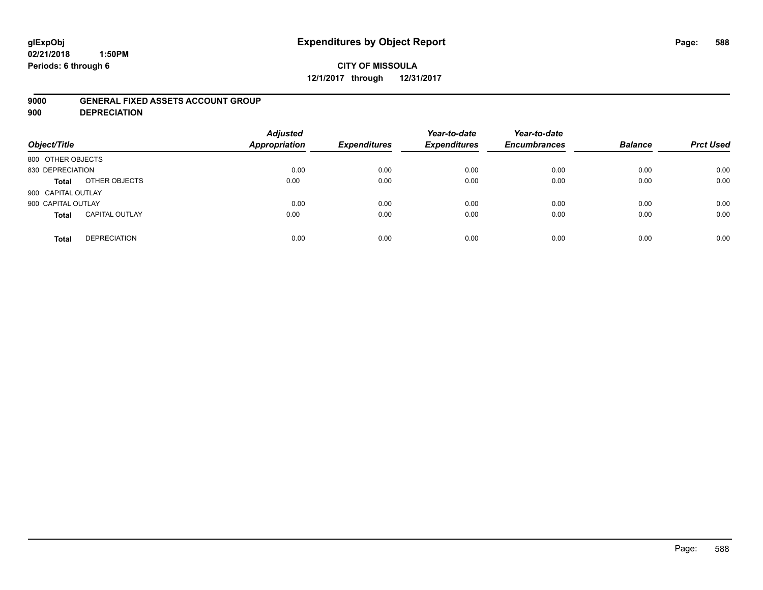# **glExpObj Expenditures by Object Report Page: 588**

#### **02/21/2018 1:50PM Periods: 6 through 6**

## **CITY OF MISSOULA 12/1/2017 through 12/31/2017**

## **9000 GENERAL FIXED ASSETS ACCOUNT GROUP**

**900 DEPRECIATION**

| Object/Title                          | <b>Adjusted</b><br><b>Appropriation</b> | <b>Expenditures</b> | Year-to-date<br><b>Expenditures</b> | Year-to-date<br><b>Encumbrances</b> | <b>Balance</b> | <b>Prct Used</b> |
|---------------------------------------|-----------------------------------------|---------------------|-------------------------------------|-------------------------------------|----------------|------------------|
| 800 OTHER OBJECTS                     |                                         |                     |                                     |                                     |                |                  |
| 830 DEPRECIATION                      | 0.00                                    | 0.00                | 0.00                                | 0.00                                | 0.00           | 0.00             |
| OTHER OBJECTS<br>Total                | 0.00                                    | 0.00                | 0.00                                | 0.00                                | 0.00           | 0.00             |
| 900 CAPITAL OUTLAY                    |                                         |                     |                                     |                                     |                |                  |
| 900 CAPITAL OUTLAY                    | 0.00                                    | 0.00                | 0.00                                | 0.00                                | 0.00           | 0.00             |
| <b>CAPITAL OUTLAY</b><br><b>Total</b> | 0.00                                    | 0.00                | 0.00                                | 0.00                                | 0.00           | 0.00             |
| <b>DEPRECIATION</b><br><b>Total</b>   | 0.00                                    | 0.00                | 0.00                                | 0.00                                | 0.00           | 0.00             |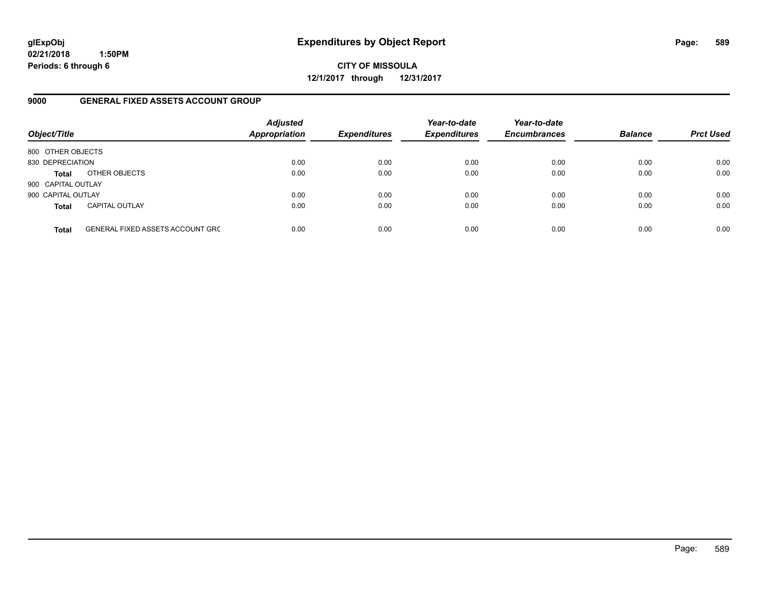**CITY OF MISSOULA 12/1/2017 through 12/31/2017**

## **9000 GENERAL FIXED ASSETS ACCOUNT GROUP**

| Object/Title       |                                         | <b>Adjusted</b><br><b>Appropriation</b> | <b>Expenditures</b> | Year-to-date<br><b>Expenditures</b> | Year-to-date<br><b>Encumbrances</b> | <b>Balance</b> | <b>Prct Used</b> |
|--------------------|-----------------------------------------|-----------------------------------------|---------------------|-------------------------------------|-------------------------------------|----------------|------------------|
| 800 OTHER OBJECTS  |                                         |                                         |                     |                                     |                                     |                |                  |
| 830 DEPRECIATION   |                                         | 0.00                                    | 0.00                | 0.00                                | 0.00                                | 0.00           | 0.00             |
| <b>Total</b>       | OTHER OBJECTS                           | 0.00                                    | 0.00                | 0.00                                | 0.00                                | 0.00           | 0.00             |
| 900 CAPITAL OUTLAY |                                         |                                         |                     |                                     |                                     |                |                  |
| 900 CAPITAL OUTLAY |                                         | 0.00                                    | 0.00                | 0.00                                | 0.00                                | 0.00           | 0.00             |
| <b>Total</b>       | <b>CAPITAL OUTLAY</b>                   | 0.00                                    | 0.00                | 0.00                                | 0.00                                | 0.00           | 0.00             |
| <b>Total</b>       | <b>GENERAL FIXED ASSETS ACCOUNT GRC</b> | 0.00                                    | 0.00                | 0.00                                | 0.00                                | 0.00           | 0.00             |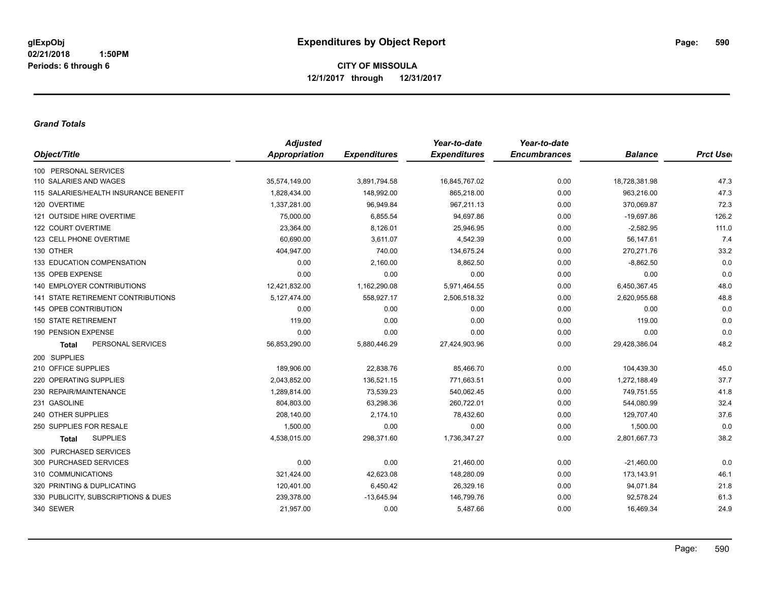### *Grand Totals*

|                                           | <b>Adjusted</b>      |                     | Year-to-date        | Year-to-date        |                |                  |
|-------------------------------------------|----------------------|---------------------|---------------------|---------------------|----------------|------------------|
| Object/Title                              | <b>Appropriation</b> | <b>Expenditures</b> | <b>Expenditures</b> | <b>Encumbrances</b> | <b>Balance</b> | <b>Prct User</b> |
| 100 PERSONAL SERVICES                     |                      |                     |                     |                     |                |                  |
| 110 SALARIES AND WAGES                    | 35,574,149.00        | 3,891,794.58        | 16,845,767.02       | 0.00                | 18,728,381.98  | 47.3             |
| 115 SALARIES/HEALTH INSURANCE BENEFIT     | 1,828,434.00         | 148,992.00          | 865,218.00          | 0.00                | 963,216.00     | 47.3             |
| 120 OVERTIME                              | 1,337,281.00         | 96,949.84           | 967,211.13          | 0.00                | 370,069.87     | 72.3             |
| 121 OUTSIDE HIRE OVERTIME                 | 75,000.00            | 6,855.54            | 94,697.86           | 0.00                | $-19,697.86$   | 126.2            |
| 122 COURT OVERTIME                        | 23,364.00            | 8,126.01            | 25,946.95           | 0.00                | $-2,582.95$    | 111.0            |
| 123 CELL PHONE OVERTIME                   | 60,690.00            | 3,611.07            | 4,542.39            | 0.00                | 56,147.61      | 7.4              |
| 130 OTHER                                 | 404,947.00           | 740.00              | 134,675.24          | 0.00                | 270,271.76     | 33.2             |
| 133 EDUCATION COMPENSATION                | 0.00                 | 2,160.00            | 8,862.50            | 0.00                | $-8,862.50$    | 0.0              |
| 135 OPEB EXPENSE                          | 0.00                 | 0.00                | 0.00                | 0.00                | 0.00           | 0.0              |
| <b>140 EMPLOYER CONTRIBUTIONS</b>         | 12,421,832.00        | 1,162,290.08        | 5,971,464.55        | 0.00                | 6,450,367.45   | 48.0             |
| <b>141 STATE RETIREMENT CONTRIBUTIONS</b> | 5,127,474.00         | 558,927.17          | 2,506,518.32        | 0.00                | 2,620,955.68   | 48.8             |
| 145 OPEB CONTRIBUTION                     | 0.00                 | 0.00                | 0.00                | 0.00                | 0.00           | 0.0              |
| <b>150 STATE RETIREMENT</b>               | 119.00               | 0.00                | 0.00                | 0.00                | 119.00         | 0.0              |
| 190 PENSION EXPENSE                       | 0.00                 | 0.00                | 0.00                | 0.00                | 0.00           | 0.0              |
| PERSONAL SERVICES<br><b>Total</b>         | 56,853,290.00        | 5,880,446.29        | 27,424,903.96       | 0.00                | 29,428,386.04  | 48.2             |
| 200 SUPPLIES                              |                      |                     |                     |                     |                |                  |
| 210 OFFICE SUPPLIES                       | 189,906.00           | 22,838.76           | 85,466.70           | 0.00                | 104,439.30     | 45.0             |
| 220 OPERATING SUPPLIES                    | 2,043,852.00         | 136,521.15          | 771,663.51          | 0.00                | 1,272,188.49   | 37.7             |
| 230 REPAIR/MAINTENANCE                    | 1,289,814.00         | 73,539.23           | 540,062.45          | 0.00                | 749,751.55     | 41.8             |
| 231 GASOLINE                              | 804,803.00           | 63,298.36           | 260,722.01          | 0.00                | 544,080.99     | 32.4             |
| 240 OTHER SUPPLIES                        | 208,140.00           | 2,174.10            | 78,432.60           | 0.00                | 129,707.40     | 37.6             |
| 250 SUPPLIES FOR RESALE                   | 1,500.00             | 0.00                | 0.00                | 0.00                | 1,500.00       | 0.0              |
| <b>SUPPLIES</b><br><b>Total</b>           | 4,538,015.00         | 298,371.60          | 1,736,347.27        | 0.00                | 2,801,667.73   | 38.2             |
| 300 PURCHASED SERVICES                    |                      |                     |                     |                     |                |                  |
| 300 PURCHASED SERVICES                    | 0.00                 | 0.00                | 21,460.00           | 0.00                | $-21,460.00$   | 0.0              |
| 310 COMMUNICATIONS                        | 321,424.00           | 42,623.08           | 148,280.09          | 0.00                | 173,143.91     | 46.1             |
| 320 PRINTING & DUPLICATING                | 120,401.00           | 6,450.42            | 26,329.16           | 0.00                | 94,071.84      | 21.8             |
| 330 PUBLICITY, SUBSCRIPTIONS & DUES       | 239,378.00           | $-13,645.94$        | 146,799.76          | 0.00                | 92,578.24      | 61.3             |
| 340 SEWER                                 | 21,957.00            | 0.00                | 5,487.66            | 0.00                | 16,469.34      | 24.9             |
|                                           |                      |                     |                     |                     |                |                  |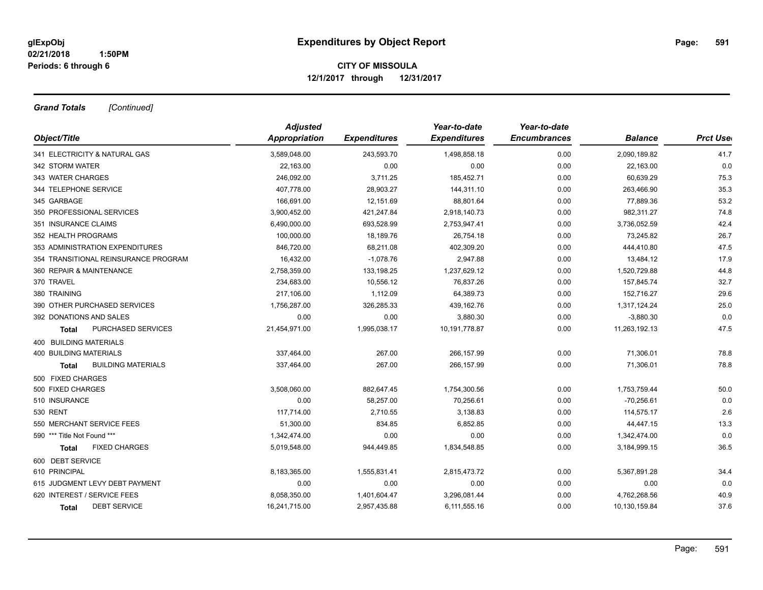*Grand Totals [Continued]*

|                                      | <b>Adjusted</b> |                     | Year-to-date        | Year-to-date        |                |                 |
|--------------------------------------|-----------------|---------------------|---------------------|---------------------|----------------|-----------------|
| Object/Title                         | Appropriation   | <b>Expenditures</b> | <b>Expenditures</b> | <b>Encumbrances</b> | <b>Balance</b> | <b>Prct Use</b> |
| 341 ELECTRICITY & NATURAL GAS        | 3,589,048.00    | 243,593.70          | 1,498,858.18        | 0.00                | 2,090,189.82   | 41.7            |
| 342 STORM WATER                      | 22,163.00       | 0.00                | 0.00                | 0.00                | 22,163.00      | 0.0             |
| 343 WATER CHARGES                    | 246,092.00      | 3,711.25            | 185,452.71          | 0.00                | 60,639.29      | 75.3            |
| 344 TELEPHONE SERVICE                | 407,778.00      | 28,903.27           | 144,311.10          | 0.00                | 263,466.90     | 35.3            |
| 345 GARBAGE                          | 166,691.00      | 12,151.69           | 88,801.64           | 0.00                | 77,889.36      | 53.2            |
| 350 PROFESSIONAL SERVICES            | 3,900,452.00    | 421,247.84          | 2,918,140.73        | 0.00                | 982,311.27     | 74.8            |
| 351 INSURANCE CLAIMS                 | 6,490,000.00    | 693,528.99          | 2,753,947.41        | 0.00                | 3,736,052.59   | 42.4            |
| 352 HEALTH PROGRAMS                  | 100,000.00      | 18,189.76           | 26,754.18           | 0.00                | 73,245.82      | 26.7            |
| 353 ADMINISTRATION EXPENDITURES      | 846,720.00      | 68,211.08           | 402,309.20          | 0.00                | 444,410.80     | 47.5            |
| 354 TRANSITIONAL REINSURANCE PROGRAM | 16,432.00       | $-1,078.76$         | 2,947.88            | 0.00                | 13,484.12      | 17.9            |
| 360 REPAIR & MAINTENANCE             | 2,758,359.00    | 133,198.25          | 1,237,629.12        | 0.00                | 1,520,729.88   | 44.8            |
| 370 TRAVEL                           | 234,683.00      | 10,556.12           | 76,837.26           | 0.00                | 157,845.74     | 32.7            |
| 380 TRAINING                         | 217,106.00      | 1,112.09            | 64,389.73           | 0.00                | 152,716.27     | 29.6            |
| 390 OTHER PURCHASED SERVICES         | 1,756,287.00    | 326,285.33          | 439,162.76          | 0.00                | 1,317,124.24   | 25.0            |
| 392 DONATIONS AND SALES              | 0.00            | 0.00                | 3,880.30            | 0.00                | $-3,880.30$    | 0.0             |
| PURCHASED SERVICES<br>Total          | 21,454,971.00   | 1,995,038.17        | 10,191,778.87       | 0.00                | 11,263,192.13  | 47.5            |
| 400 BUILDING MATERIALS               |                 |                     |                     |                     |                |                 |
| <b>400 BUILDING MATERIALS</b>        | 337,464.00      | 267.00              | 266,157.99          | 0.00                | 71,306.01      | 78.8            |
| <b>BUILDING MATERIALS</b><br>Total   | 337,464.00      | 267.00              | 266,157.99          | 0.00                | 71,306.01      | 78.8            |
| 500 FIXED CHARGES                    |                 |                     |                     |                     |                |                 |
| 500 FIXED CHARGES                    | 3,508,060.00    | 882,647.45          | 1,754,300.56        | 0.00                | 1,753,759.44   | 50.0            |
| 510 INSURANCE                        | 0.00            | 58,257.00           | 70,256.61           | 0.00                | $-70,256.61$   | 0.0             |
| <b>530 RENT</b>                      | 117.714.00      | 2,710.55            | 3,138.83            | 0.00                | 114,575.17     | 2.6             |
| 550 MERCHANT SERVICE FEES            | 51,300.00       | 834.85              | 6,852.85            | 0.00                | 44,447.15      | 13.3            |
| 590 *** Title Not Found ***          | 1,342,474.00    | 0.00                | 0.00                | 0.00                | 1,342,474.00   | 0.0             |
| <b>FIXED CHARGES</b><br>Total        | 5,019,548.00    | 944,449.85          | 1,834,548.85        | 0.00                | 3,184,999.15   | 36.5            |
| 600 DEBT SERVICE                     |                 |                     |                     |                     |                |                 |
| 610 PRINCIPAL                        | 8,183,365.00    | 1,555,831.41        | 2,815,473.72        | 0.00                | 5,367,891.28   | 34.4            |
| 615 JUDGMENT LEVY DEBT PAYMENT       | 0.00            | 0.00                | 0.00                | 0.00                | 0.00           | 0.0             |
| 620 INTEREST / SERVICE FEES          | 8,058,350.00    | 1,401,604.47        | 3,296,081.44        | 0.00                | 4,762,268.56   | 40.9            |
| <b>DEBT SERVICE</b><br><b>Total</b>  | 16,241,715.00   | 2,957,435.88        | 6,111,555.16        | 0.00                | 10,130,159.84  | 37.6            |